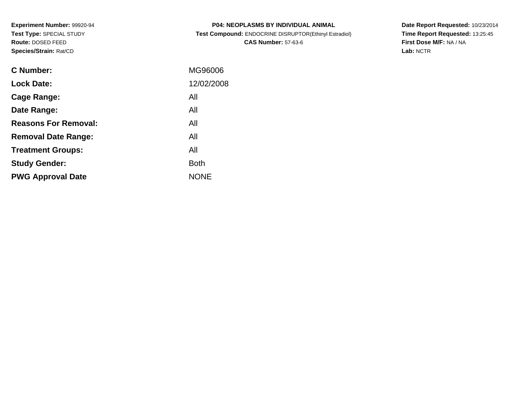**Experiment Number:** 99920-94**Test Type:** SPECIAL STUDY**Route:** DOSED FEED**Species/Strain:** Rat/CD

| <b>P04: NEOPLASMS BY INDIVIDUAL ANIMAL</b>            |
|-------------------------------------------------------|
| Test Compound: ENDOCRINE DISRUPTOR(Ethinyl Estradiol) |
| <b>CAS Number: 57-63-6</b>                            |

**Date Report Requested:** 10/23/2014 **Time Report Requested:** 13:25:45**First Dose M/F:** NA / NA**Lab:** NCTR

| <b>C</b> Number:            | MG96006     |
|-----------------------------|-------------|
| <b>Lock Date:</b>           | 12/02/2008  |
| Cage Range:                 | All         |
| Date Range:                 | All         |
| <b>Reasons For Removal:</b> | All         |
| <b>Removal Date Range:</b>  | All         |
| <b>Treatment Groups:</b>    | All         |
| <b>Study Gender:</b>        | <b>Both</b> |
| <b>PWG Approval Date</b>    | <b>NONE</b> |
|                             |             |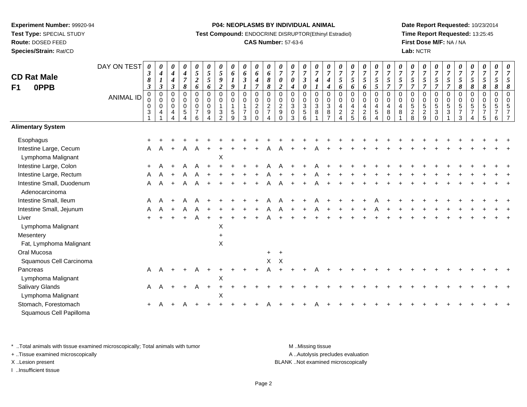**Route:** DOSED FEED

**Species/Strain:** Rat/CD

### **P04: NEOPLASMS BY INDIVIDUAL ANIMAL**

**Test Compound:** ENDOCRINE DISRUPTOR(Ethinyl Estradiol)

# **CAS Number:** 57-63-6

**Date Report Requested:** 10/23/2014**Time Report Requested:** 13:25:45**First Dose M/F:** NA / NA**Lab:** NCTR

| <b>CD Rat Male</b>                           | DAY ON TEST      | 0<br>$\boldsymbol{\beta}$<br>$\pmb{8}$                                  | 0<br>$\boldsymbol{4}$<br>$\boldsymbol{l}$                      | $\boldsymbol{\theta}$<br>$\boldsymbol{4}$<br>4                                | 0<br>$\boldsymbol{4}$<br>$\overline{\tau}$ | 0<br>$\mathfrak{s}$<br>$\boldsymbol{2}$         | $\frac{\theta}{5}$<br>$\sqrt{5}$                     | 0<br>$\mathfrak{s}$<br>$\boldsymbol{9}$                                                        | 0<br>6<br>$\boldsymbol{l}$                                                                 | 0<br>6<br>$\boldsymbol{\beta}$          | 0<br>6<br>$\boldsymbol{4}$                                                            | 0<br>6<br>8                                                                    | 0<br>$\overline{7}$<br>$\pmb{\theta}$                                        | 0<br>$\overline{7}$<br>$\boldsymbol{\theta}$                                    | 0<br>$\overline{7}$<br>$\boldsymbol{\beta}$    | $\boldsymbol{\theta}$<br>$\boldsymbol{7}$<br>$\boldsymbol{4}$       | $\frac{\theta}{7}$<br>4                                    | $\boldsymbol{\theta}$<br>$\boldsymbol{7}$<br>$\sqrt{5}$                | $\frac{\theta}{7}$<br>$\sqrt{5}$                                  | $\frac{\boldsymbol{\theta}}{\boldsymbol{7}}$<br>$\sqrt{5}$                | $\frac{\theta}{7}$<br>$\overline{5}$                                                   | $\frac{\boldsymbol{0}}{7}$<br>5                          | 0<br>$\boldsymbol{7}$<br>$\mathfrak{s}$             | 0<br>$\overline{7}$<br>5                                                          | $\frac{\boldsymbol{0}}{7}$<br>5                                                              | $\frac{\theta}{7}$<br>5                                                                  | 0<br>$\overline{7}$<br>$\sqrt{5}$                               | $\boldsymbol{\theta}$<br>$\overline{7}$<br>5                | $\frac{\boldsymbol{0}}{7}$<br>5                        | $\frac{\boldsymbol{\theta}}{\boldsymbol{7}}$<br>$\sqrt{5}$         | 0<br>$\boldsymbol{7}$<br>$\sqrt{5}$                                        | 0             |
|----------------------------------------------|------------------|-------------------------------------------------------------------------|----------------------------------------------------------------|-------------------------------------------------------------------------------|--------------------------------------------|-------------------------------------------------|------------------------------------------------------|------------------------------------------------------------------------------------------------|--------------------------------------------------------------------------------------------|-----------------------------------------|---------------------------------------------------------------------------------------|--------------------------------------------------------------------------------|------------------------------------------------------------------------------|---------------------------------------------------------------------------------|------------------------------------------------|---------------------------------------------------------------------|------------------------------------------------------------|------------------------------------------------------------------------|-------------------------------------------------------------------|---------------------------------------------------------------------------|----------------------------------------------------------------------------------------|----------------------------------------------------------|-----------------------------------------------------|-----------------------------------------------------------------------------------|----------------------------------------------------------------------------------------------|------------------------------------------------------------------------------------------|-----------------------------------------------------------------|-------------------------------------------------------------|--------------------------------------------------------|--------------------------------------------------------------------|----------------------------------------------------------------------------|---------------|
| 0PPB<br>F <sub>1</sub>                       | <b>ANIMAL ID</b> | $\mathfrak{z}$<br>$\mathbf 0$<br>$\pmb{0}$<br>$\pmb{0}$<br>$\mathbf{3}$ | $\mathbf{3}$<br>$\mathbf 0$<br>$\mathbf 0$<br>$\mathbf 0$<br>4 | $\boldsymbol{\mathfrak{z}}$<br>$\mathbf 0$<br>$\mathbf 0$<br>$\mathbf 0$<br>4 | 8<br>$\Omega$<br>0<br>0<br>5               | 6<br>$\pmb{0}$<br>0<br>0<br>$\overline{7}$<br>6 | 6<br>$\mathbf 0$<br>$\pmb{0}$<br>$\pmb{0}$<br>9<br>Δ | $\overline{2}$<br>$\pmb{0}$<br>$\mathbf 0$<br>$\overline{1}$<br>$\mathbf{3}$<br>$\mathfrak{p}$ | $\boldsymbol{9}$<br>$\pmb{0}$<br>$\mathbf 0$<br>$\mathbf{1}$<br>$\sqrt{5}$<br>$\mathbf{Q}$ | 0<br>$\mathbf 0$<br>$\overline{7}$<br>3 | $\overline{7}$<br>$\mathbf 0$<br>$\pmb{0}$<br>$\overline{c}$<br>$\pmb{0}$<br>$\Omega$ | 8<br>$\pmb{0}$<br>$\mathsf{O}\xspace$<br>$\overline{c}$<br>$\overline{7}$<br>4 | $\boldsymbol{2}$<br>0<br>0<br>$\overline{c}$<br>$\boldsymbol{9}$<br>$\Omega$ | 4<br>$\mathbf 0$<br>$\mathbf 0$<br>$\mathbf{3}$<br>$\mathbf 0$<br>$\mathcal{R}$ | 0<br>0<br>0<br>$\mathbf{3}$<br>$\sqrt{5}$<br>6 | $\boldsymbol{l}$<br>$\mathbf 0$<br>$\mathbf 0$<br>$\mathbf{3}$<br>8 | 4<br>$\mathbf 0$<br>0<br>$\sqrt{3}$<br>8<br>$\overline{ }$ | 6<br>$\mathbf 0$<br>0<br>4<br>$\overline{c}$<br>$\boldsymbol{\Lambda}$ | 6<br>$\pmb{0}$<br>$\mathsf{O}\xspace$<br>4<br>$\overline{c}$<br>5 | 6<br>$\pmb{0}$<br>$\pmb{0}$<br>$\overline{\mathbf{4}}$<br>$\sqrt{2}$<br>6 | $\overline{5}$<br>$\pmb{0}$<br>$\pmb{0}$<br>$\overline{\mathbf{4}}$<br>$\sqrt{5}$<br>4 | $\overline{7}$<br>0<br>$\mathbf 0$<br>4<br>8<br>$\Omega$ | $\overline{7}$<br>$\mathbf 0$<br>$\Omega$<br>4<br>8 | $\overline{7}$<br>$\mathbf 0$<br>$\mathbf 0$<br>$\sqrt{5}$<br>$\overline{c}$<br>8 | $\overline{7}$<br>0<br>$\mathsf{O}$<br>$5\phantom{.0}$<br>$\overline{2}$<br>$\boldsymbol{9}$ | $\overline{7}$<br>$\mathbf 0$<br>$\pmb{0}$<br>$\overline{5}$<br>$\mathbf{3}$<br>$\Omega$ | $\overline{7}$<br>$\mathbf 0$<br>$\mathbf 0$<br>$\sqrt{5}$<br>3 | 8<br>$\mathbf 0$<br>$\mathbf 0$<br>5<br>$\overline{7}$<br>3 | 8<br>$\mathbf 0$<br>$\mathbf 0$<br>5<br>$\overline{7}$ | 8<br>$\pmb{0}$<br>$\mathbf 0$<br>$\sqrt{5}$<br>$\overline{7}$<br>5 | $\pmb{8}$<br>$\pmb{0}$<br>$\mathsf 0$<br>$\sqrt{5}$<br>$\overline{7}$<br>6 | 8<br>$\Omega$ |
| <b>Alimentary System</b>                     |                  |                                                                         |                                                                |                                                                               |                                            |                                                 |                                                      |                                                                                                |                                                                                            |                                         |                                                                                       |                                                                                |                                                                              |                                                                                 |                                                |                                                                     |                                                            |                                                                        |                                                                   |                                                                           |                                                                                        |                                                          |                                                     |                                                                                   |                                                                                              |                                                                                          |                                                                 |                                                             |                                                        |                                                                    |                                                                            |               |
| Esophagus                                    |                  |                                                                         |                                                                |                                                                               |                                            |                                                 |                                                      |                                                                                                |                                                                                            |                                         |                                                                                       |                                                                                |                                                                              |                                                                                 |                                                |                                                                     |                                                            |                                                                        |                                                                   |                                                                           |                                                                                        |                                                          |                                                     |                                                                                   |                                                                                              |                                                                                          |                                                                 |                                                             |                                                        |                                                                    |                                                                            |               |
| Intestine Large, Cecum<br>Lymphoma Malignant |                  | A                                                                       | A                                                              |                                                                               |                                            |                                                 |                                                      | $\pmb{\times}$                                                                                 |                                                                                            |                                         |                                                                                       |                                                                                |                                                                              |                                                                                 |                                                |                                                                     |                                                            |                                                                        |                                                                   |                                                                           |                                                                                        |                                                          |                                                     |                                                                                   |                                                                                              |                                                                                          |                                                                 |                                                             |                                                        |                                                                    |                                                                            |               |
| Intestine Large, Colon                       |                  |                                                                         |                                                                |                                                                               |                                            |                                                 |                                                      |                                                                                                |                                                                                            |                                         |                                                                                       |                                                                                |                                                                              |                                                                                 |                                                |                                                                     |                                                            |                                                                        |                                                                   |                                                                           |                                                                                        |                                                          |                                                     |                                                                                   |                                                                                              |                                                                                          |                                                                 |                                                             |                                                        |                                                                    |                                                                            |               |
| Intestine Large, Rectum                      |                  | A                                                                       |                                                                |                                                                               |                                            |                                                 |                                                      |                                                                                                |                                                                                            |                                         |                                                                                       |                                                                                |                                                                              |                                                                                 |                                                |                                                                     |                                                            |                                                                        |                                                                   |                                                                           |                                                                                        |                                                          |                                                     |                                                                                   |                                                                                              |                                                                                          |                                                                 |                                                             |                                                        |                                                                    |                                                                            |               |
| Intestine Small, Duodenum<br>Adenocarcinoma  |                  | A                                                                       | A                                                              |                                                                               | A                                          | А                                               |                                                      |                                                                                                |                                                                                            |                                         |                                                                                       |                                                                                |                                                                              |                                                                                 |                                                |                                                                     |                                                            |                                                                        |                                                                   |                                                                           |                                                                                        |                                                          |                                                     |                                                                                   |                                                                                              |                                                                                          |                                                                 |                                                             |                                                        |                                                                    |                                                                            |               |
| Intestine Small, Ileum                       |                  | A                                                                       |                                                                |                                                                               |                                            |                                                 |                                                      |                                                                                                |                                                                                            |                                         |                                                                                       |                                                                                |                                                                              |                                                                                 |                                                |                                                                     |                                                            |                                                                        |                                                                   |                                                                           |                                                                                        |                                                          |                                                     |                                                                                   |                                                                                              |                                                                                          |                                                                 |                                                             |                                                        |                                                                    |                                                                            |               |
| Intestine Small, Jejunum                     |                  | A                                                                       |                                                                |                                                                               |                                            |                                                 |                                                      |                                                                                                |                                                                                            |                                         |                                                                                       |                                                                                |                                                                              |                                                                                 |                                                |                                                                     |                                                            |                                                                        |                                                                   |                                                                           |                                                                                        |                                                          |                                                     |                                                                                   |                                                                                              |                                                                                          |                                                                 |                                                             |                                                        |                                                                    |                                                                            |               |
| Liver                                        |                  |                                                                         |                                                                |                                                                               |                                            |                                                 |                                                      |                                                                                                |                                                                                            |                                         |                                                                                       |                                                                                |                                                                              |                                                                                 |                                                |                                                                     |                                                            |                                                                        |                                                                   |                                                                           |                                                                                        |                                                          |                                                     |                                                                                   |                                                                                              |                                                                                          |                                                                 |                                                             |                                                        |                                                                    |                                                                            |               |
| Lymphoma Malignant                           |                  |                                                                         |                                                                |                                                                               |                                            |                                                 |                                                      | X                                                                                              |                                                                                            |                                         |                                                                                       |                                                                                |                                                                              |                                                                                 |                                                |                                                                     |                                                            |                                                                        |                                                                   |                                                                           |                                                                                        |                                                          |                                                     |                                                                                   |                                                                                              |                                                                                          |                                                                 |                                                             |                                                        |                                                                    |                                                                            |               |
| Mesentery                                    |                  |                                                                         |                                                                |                                                                               |                                            |                                                 |                                                      |                                                                                                |                                                                                            |                                         |                                                                                       |                                                                                |                                                                              |                                                                                 |                                                |                                                                     |                                                            |                                                                        |                                                                   |                                                                           |                                                                                        |                                                          |                                                     |                                                                                   |                                                                                              |                                                                                          |                                                                 |                                                             |                                                        |                                                                    |                                                                            |               |
| Fat, Lymphoma Malignant                      |                  |                                                                         |                                                                |                                                                               |                                            |                                                 |                                                      | $\mathsf X$                                                                                    |                                                                                            |                                         |                                                                                       |                                                                                |                                                                              |                                                                                 |                                                |                                                                     |                                                            |                                                                        |                                                                   |                                                                           |                                                                                        |                                                          |                                                     |                                                                                   |                                                                                              |                                                                                          |                                                                 |                                                             |                                                        |                                                                    |                                                                            |               |
| Oral Mucosa                                  |                  |                                                                         |                                                                |                                                                               |                                            |                                                 |                                                      |                                                                                                |                                                                                            |                                         |                                                                                       | $+$                                                                            | $\ddot{}$                                                                    |                                                                                 |                                                |                                                                     |                                                            |                                                                        |                                                                   |                                                                           |                                                                                        |                                                          |                                                     |                                                                                   |                                                                                              |                                                                                          |                                                                 |                                                             |                                                        |                                                                    |                                                                            |               |
| Squamous Cell Carcinoma                      |                  |                                                                         |                                                                |                                                                               |                                            |                                                 |                                                      |                                                                                                |                                                                                            |                                         |                                                                                       | $\mathsf{X}$                                                                   | $\sf X$                                                                      |                                                                                 |                                                |                                                                     |                                                            |                                                                        |                                                                   |                                                                           |                                                                                        |                                                          |                                                     |                                                                                   |                                                                                              |                                                                                          |                                                                 |                                                             |                                                        |                                                                    |                                                                            |               |
| Pancreas<br>Lymphoma Malignant               |                  | A                                                                       | A                                                              |                                                                               |                                            |                                                 |                                                      | $\pmb{\times}$                                                                                 |                                                                                            |                                         |                                                                                       |                                                                                |                                                                              |                                                                                 |                                                |                                                                     |                                                            |                                                                        |                                                                   |                                                                           |                                                                                        |                                                          |                                                     |                                                                                   |                                                                                              |                                                                                          |                                                                 |                                                             |                                                        |                                                                    |                                                                            |               |
| Salivary Glands                              |                  | $\mathsf{A}$                                                            | A                                                              |                                                                               |                                            | A                                               |                                                      |                                                                                                |                                                                                            |                                         |                                                                                       |                                                                                |                                                                              |                                                                                 |                                                |                                                                     |                                                            |                                                                        |                                                                   |                                                                           |                                                                                        |                                                          |                                                     |                                                                                   |                                                                                              |                                                                                          |                                                                 |                                                             |                                                        |                                                                    |                                                                            |               |
| Lymphoma Malignant                           |                  |                                                                         |                                                                |                                                                               |                                            |                                                 |                                                      | х                                                                                              |                                                                                            |                                         |                                                                                       |                                                                                |                                                                              |                                                                                 |                                                |                                                                     |                                                            |                                                                        |                                                                   |                                                                           |                                                                                        |                                                          |                                                     |                                                                                   |                                                                                              |                                                                                          |                                                                 |                                                             |                                                        |                                                                    |                                                                            |               |
| Stomach, Forestomach                         |                  |                                                                         |                                                                |                                                                               |                                            |                                                 |                                                      |                                                                                                |                                                                                            |                                         |                                                                                       |                                                                                |                                                                              |                                                                                 |                                                |                                                                     |                                                            |                                                                        |                                                                   |                                                                           |                                                                                        |                                                          |                                                     |                                                                                   |                                                                                              |                                                                                          |                                                                 |                                                             |                                                        |                                                                    |                                                                            |               |
| Squamous Cell Papilloma                      |                  |                                                                         |                                                                |                                                                               |                                            |                                                 |                                                      |                                                                                                |                                                                                            |                                         |                                                                                       |                                                                                |                                                                              |                                                                                 |                                                |                                                                     |                                                            |                                                                        |                                                                   |                                                                           |                                                                                        |                                                          |                                                     |                                                                                   |                                                                                              |                                                                                          |                                                                 |                                                             |                                                        |                                                                    |                                                                            |               |

\* ..Total animals with tissue examined microscopically; Total animals with tumor **M** . Missing tissue M ..Missing tissue

+ ..Tissue examined microscopically

I ..Insufficient tissue

A ..Autolysis precludes evaluation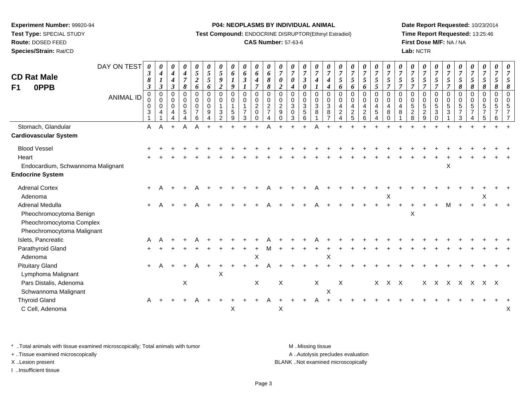**Route:** DOSED FEED**Species/Strain:** Rat/CD

#### **P04: NEOPLASMS BY INDIVIDUAL ANIMAL**

**Test Compound:** ENDOCRINE DISRUPTOR(Ethinyl Estradiol)

### **CAS Number:** 57-63-6

**Date Report Requested:** 10/23/2014**Time Report Requested:** 13:25:46**First Dose M/F:** NA / NA**Lab:** NCTR

| <b>CD Rat Male</b><br>0PPB<br>F <sub>1</sub>                                      | DAY ON TEST<br><b>ANIMAL ID</b> | 0<br>$\boldsymbol{\beta}$<br>8<br>$\boldsymbol{\beta}$<br>$\Omega$<br>0<br>0<br>3 | 0<br>$\boldsymbol{4}$<br>$\boldsymbol{l}$<br>$\mathfrak{z}$<br>$\pmb{0}$<br>$\pmb{0}$<br>$\pmb{0}$<br>$\overline{4}$ | 0<br>$\boldsymbol{4}$<br>$\boldsymbol{4}$<br>$\boldsymbol{\beta}$<br>$\pmb{0}$<br>$\mathbf 0$<br>$\mathsf{O}\xspace$<br>4<br>4 | $\boldsymbol{\theta}$<br>$\boldsymbol{4}$<br>$\overline{7}$<br>8<br>$\pmb{0}$<br>$\mathsf{O}\xspace$<br>$\mathbf 0$<br>$\,$ 5 $\,$<br>4 | 0<br>$\mathfrak{s}$<br>$\boldsymbol{2}$<br>$\boldsymbol{6}$<br>$\mathbf 0$<br>$\mathsf{O}\xspace$<br>$\mathbf 0$<br>$\overline{7}$<br>6 | 0<br>5<br>$\mathfrak{S}$<br>6<br>$\mathbf 0$<br>0<br>$\mathbf 0$<br>9<br>4 | 0<br>$\mathfrak{s}$<br>$\boldsymbol{9}$<br>$\overline{\mathbf{c}}$<br>$\mathbf 0$<br>$\mathbf 0$<br>$\overline{1}$<br>$\mathbf{3}$<br>$\overline{2}$ | 0<br>6<br>$\mathbf{I}$<br>$\boldsymbol{q}$<br>0<br>$\mathbf 0$<br>$\mathbf{1}$<br>5<br>9 | 0<br>6<br>$\boldsymbol{\beta}$<br>0<br>0<br>$\overline{7}$<br>3 | $\boldsymbol{\theta}$<br>$\pmb{6}$<br>$\boldsymbol{4}$<br>$\overline{7}$<br>$\pmb{0}$<br>$\pmb{0}$<br>$\overline{2}$<br>$\mathbf 0$<br>$\mathbf 0$ | 0<br>$\boldsymbol{6}$<br>$\pmb{8}$<br>$\pmb{8}$<br>$\mathbf 0$<br>$\mathbf 0$<br>$\sqrt{2}$<br>$\overline{7}$<br>4 | $\overline{7}$<br>$\boldsymbol{\theta}$<br>$\boldsymbol{2}$<br>$\Omega$<br>$\mathbf 0$<br>$\overline{2}$<br>9<br>$\Omega$ | 0<br>$\overline{7}$<br>0<br>4<br>$\Omega$<br>$\mathbf 0$<br>$\sqrt{3}$<br>$\mathbf 0$<br>3 | 0<br>$\boldsymbol{7}$<br>$\mathfrak{z}$<br>0<br>$\mathbf 0$<br>0<br>$\sqrt{3}$<br>$5\,$<br>6 | $\boldsymbol{\theta}$<br>$\boldsymbol{7}$<br>$\boldsymbol{4}$<br>$\mathbf 0$<br>$\pmb{0}$<br>$\sqrt{3}$<br>8 | $\theta$<br>$\boldsymbol{7}$<br>$\boldsymbol{4}$<br>$\boldsymbol{4}$<br>$\Omega$<br>$\mathbf 0$<br>$\mathbf{3}$<br>8 | $\boldsymbol{\theta}$<br>$\overline{7}$<br>5<br>6<br>$\mathbf 0$<br>$\mathbf 0$<br>4<br>$\overline{2}$<br>$\boldsymbol{\Lambda}$ | $\boldsymbol{\theta}$<br>$\overline{7}$<br>5<br>6<br>$\pmb{0}$<br>$\pmb{0}$<br>$\overline{4}$<br>$\overline{c}$<br>5 | 0<br>$\boldsymbol{7}$<br>5<br>6<br>$\pmb{0}$<br>$\mathbf 0$<br>4<br>$\overline{c}$<br>6 | $\frac{\theta}{7}$<br>5<br>$5\overline{)}$<br>$\mathbf 0$<br>$\mathbf 0$<br>4<br>5<br>4 | $\boldsymbol{\theta}$<br>$\boldsymbol{7}$<br>5<br>$\overline{7}$<br>$\mathbf 0$<br>$\mathbf 0$<br>4<br>8<br>$\Omega$ | $\boldsymbol{\theta}$<br>$\overline{7}$<br>5<br>$\overline{7}$<br>$\mathbf 0$<br>$\mathbf 0$<br>$\overline{4}$<br>8 | 0<br>$\boldsymbol{7}$<br>5<br>$\overline{7}$<br>$\mathbf 0$<br>$\mathsf{O}\xspace$<br>$\,$ 5 $\,$<br>$\overline{c}$<br>8 | $\boldsymbol{\theta}$<br>$\overline{7}$<br>$\mathfrak{s}$<br>$\overline{7}$<br>$\mathbf 0$<br>$\mathsf{O}\xspace$<br>$\overline{5}$<br>$\overline{2}$<br>9 | $\boldsymbol{\theta}$<br>$\boldsymbol{7}$<br>5<br>$\overline{7}$<br>$\Omega$<br>$\mathbf 0$<br>5<br>3<br>$\Omega$ | $\boldsymbol{\theta}$<br>$\boldsymbol{7}$<br>$\mathfrak{s}$<br>$\overline{7}$<br>0<br>0<br>$\sqrt{5}$<br>$\mathbf{3}$ | 0<br>$\overline{7}$<br>5<br>8<br>$\mathsf 0$<br>$\mathbf 0$<br>5<br>$\overline{7}$<br>3 | $\boldsymbol{\theta}$<br>$\boldsymbol{7}$<br>$\mathfrak{s}$<br>8<br>0<br>$\mathbf 0$<br>$5\phantom{.0}$<br>$\overline{7}$ | 0<br>$\boldsymbol{7}$<br>$\mathfrak{s}$<br>8<br>$\mathbf 0$<br>$\mathbf 0$<br>$\sqrt{5}$<br>$\overline{7}$<br>5 | 0<br>$\overline{7}$<br>5<br>8<br>$\mathbf 0$<br>0<br>5<br>$\overline{7}$<br>6 | 5<br>8<br>$\Omega$<br>$\Omega$<br>5 |
|-----------------------------------------------------------------------------------|---------------------------------|-----------------------------------------------------------------------------------|----------------------------------------------------------------------------------------------------------------------|--------------------------------------------------------------------------------------------------------------------------------|-----------------------------------------------------------------------------------------------------------------------------------------|-----------------------------------------------------------------------------------------------------------------------------------------|----------------------------------------------------------------------------|------------------------------------------------------------------------------------------------------------------------------------------------------|------------------------------------------------------------------------------------------|-----------------------------------------------------------------|----------------------------------------------------------------------------------------------------------------------------------------------------|--------------------------------------------------------------------------------------------------------------------|---------------------------------------------------------------------------------------------------------------------------|--------------------------------------------------------------------------------------------|----------------------------------------------------------------------------------------------|--------------------------------------------------------------------------------------------------------------|----------------------------------------------------------------------------------------------------------------------|----------------------------------------------------------------------------------------------------------------------------------|----------------------------------------------------------------------------------------------------------------------|-----------------------------------------------------------------------------------------|-----------------------------------------------------------------------------------------|----------------------------------------------------------------------------------------------------------------------|---------------------------------------------------------------------------------------------------------------------|--------------------------------------------------------------------------------------------------------------------------|------------------------------------------------------------------------------------------------------------------------------------------------------------|-------------------------------------------------------------------------------------------------------------------|-----------------------------------------------------------------------------------------------------------------------|-----------------------------------------------------------------------------------------|---------------------------------------------------------------------------------------------------------------------------|-----------------------------------------------------------------------------------------------------------------|-------------------------------------------------------------------------------|-------------------------------------|
| Stomach, Glandular                                                                |                                 | A                                                                                 | Α                                                                                                                    | $\ddot{}$                                                                                                                      | Α                                                                                                                                       | Α                                                                                                                                       | $\ddot{}$                                                                  |                                                                                                                                                      |                                                                                          |                                                                 | $\ddot{}$                                                                                                                                          | Α                                                                                                                  |                                                                                                                           |                                                                                            |                                                                                              |                                                                                                              |                                                                                                                      |                                                                                                                                  |                                                                                                                      |                                                                                         |                                                                                         |                                                                                                                      |                                                                                                                     |                                                                                                                          |                                                                                                                                                            |                                                                                                                   |                                                                                                                       |                                                                                         |                                                                                                                           |                                                                                                                 |                                                                               |                                     |
| <b>Cardiovascular System</b>                                                      |                                 |                                                                                   |                                                                                                                      |                                                                                                                                |                                                                                                                                         |                                                                                                                                         |                                                                            |                                                                                                                                                      |                                                                                          |                                                                 |                                                                                                                                                    |                                                                                                                    |                                                                                                                           |                                                                                            |                                                                                              |                                                                                                              |                                                                                                                      |                                                                                                                                  |                                                                                                                      |                                                                                         |                                                                                         |                                                                                                                      |                                                                                                                     |                                                                                                                          |                                                                                                                                                            |                                                                                                                   |                                                                                                                       |                                                                                         |                                                                                                                           |                                                                                                                 |                                                                               |                                     |
| <b>Blood Vessel</b>                                                               |                                 |                                                                                   |                                                                                                                      |                                                                                                                                |                                                                                                                                         |                                                                                                                                         |                                                                            |                                                                                                                                                      |                                                                                          |                                                                 |                                                                                                                                                    |                                                                                                                    |                                                                                                                           |                                                                                            |                                                                                              |                                                                                                              |                                                                                                                      |                                                                                                                                  |                                                                                                                      |                                                                                         |                                                                                         |                                                                                                                      |                                                                                                                     |                                                                                                                          |                                                                                                                                                            |                                                                                                                   |                                                                                                                       |                                                                                         |                                                                                                                           |                                                                                                                 |                                                                               |                                     |
| Heart                                                                             |                                 |                                                                                   |                                                                                                                      |                                                                                                                                |                                                                                                                                         |                                                                                                                                         |                                                                            |                                                                                                                                                      |                                                                                          |                                                                 |                                                                                                                                                    |                                                                                                                    |                                                                                                                           |                                                                                            |                                                                                              |                                                                                                              |                                                                                                                      |                                                                                                                                  |                                                                                                                      |                                                                                         |                                                                                         |                                                                                                                      |                                                                                                                     |                                                                                                                          |                                                                                                                                                            |                                                                                                                   |                                                                                                                       |                                                                                         |                                                                                                                           |                                                                                                                 |                                                                               |                                     |
| Endocardium, Schwannoma Malignant                                                 |                                 |                                                                                   |                                                                                                                      |                                                                                                                                |                                                                                                                                         |                                                                                                                                         |                                                                            |                                                                                                                                                      |                                                                                          |                                                                 |                                                                                                                                                    |                                                                                                                    |                                                                                                                           |                                                                                            |                                                                                              |                                                                                                              |                                                                                                                      |                                                                                                                                  |                                                                                                                      |                                                                                         |                                                                                         |                                                                                                                      |                                                                                                                     |                                                                                                                          |                                                                                                                                                            |                                                                                                                   | X                                                                                                                     |                                                                                         |                                                                                                                           |                                                                                                                 |                                                                               |                                     |
| <b>Endocrine System</b>                                                           |                                 |                                                                                   |                                                                                                                      |                                                                                                                                |                                                                                                                                         |                                                                                                                                         |                                                                            |                                                                                                                                                      |                                                                                          |                                                                 |                                                                                                                                                    |                                                                                                                    |                                                                                                                           |                                                                                            |                                                                                              |                                                                                                              |                                                                                                                      |                                                                                                                                  |                                                                                                                      |                                                                                         |                                                                                         |                                                                                                                      |                                                                                                                     |                                                                                                                          |                                                                                                                                                            |                                                                                                                   |                                                                                                                       |                                                                                         |                                                                                                                           |                                                                                                                 |                                                                               |                                     |
| <b>Adrenal Cortex</b>                                                             |                                 |                                                                                   |                                                                                                                      |                                                                                                                                |                                                                                                                                         |                                                                                                                                         |                                                                            |                                                                                                                                                      |                                                                                          |                                                                 |                                                                                                                                                    |                                                                                                                    |                                                                                                                           |                                                                                            |                                                                                              |                                                                                                              |                                                                                                                      |                                                                                                                                  |                                                                                                                      |                                                                                         |                                                                                         |                                                                                                                      |                                                                                                                     |                                                                                                                          |                                                                                                                                                            |                                                                                                                   |                                                                                                                       |                                                                                         |                                                                                                                           |                                                                                                                 |                                                                               |                                     |
| Adenoma<br>Adrenal Medulla<br>Pheochromocytoma Benign<br>Pheochromocytoma Complex |                                 | $\ddot{}$                                                                         |                                                                                                                      |                                                                                                                                |                                                                                                                                         |                                                                                                                                         |                                                                            |                                                                                                                                                      |                                                                                          |                                                                 |                                                                                                                                                    |                                                                                                                    |                                                                                                                           |                                                                                            |                                                                                              |                                                                                                              |                                                                                                                      |                                                                                                                                  |                                                                                                                      |                                                                                         |                                                                                         | X                                                                                                                    |                                                                                                                     | Χ                                                                                                                        |                                                                                                                                                            |                                                                                                                   |                                                                                                                       |                                                                                         |                                                                                                                           | X                                                                                                               |                                                                               |                                     |
| Pheochromocytoma Malignant                                                        |                                 |                                                                                   |                                                                                                                      |                                                                                                                                |                                                                                                                                         |                                                                                                                                         |                                                                            |                                                                                                                                                      |                                                                                          |                                                                 |                                                                                                                                                    |                                                                                                                    |                                                                                                                           |                                                                                            |                                                                                              |                                                                                                              |                                                                                                                      |                                                                                                                                  |                                                                                                                      |                                                                                         |                                                                                         |                                                                                                                      |                                                                                                                     |                                                                                                                          |                                                                                                                                                            |                                                                                                                   |                                                                                                                       |                                                                                         |                                                                                                                           |                                                                                                                 |                                                                               |                                     |
| Islets, Pancreatic                                                                |                                 |                                                                                   |                                                                                                                      |                                                                                                                                |                                                                                                                                         |                                                                                                                                         |                                                                            |                                                                                                                                                      |                                                                                          |                                                                 |                                                                                                                                                    |                                                                                                                    |                                                                                                                           |                                                                                            |                                                                                              |                                                                                                              |                                                                                                                      |                                                                                                                                  |                                                                                                                      |                                                                                         |                                                                                         |                                                                                                                      |                                                                                                                     |                                                                                                                          |                                                                                                                                                            |                                                                                                                   |                                                                                                                       |                                                                                         |                                                                                                                           |                                                                                                                 |                                                                               |                                     |
| Parathyroid Gland<br>Adenoma                                                      |                                 |                                                                                   |                                                                                                                      |                                                                                                                                |                                                                                                                                         |                                                                                                                                         |                                                                            |                                                                                                                                                      |                                                                                          | $\pm$                                                           | $\boldsymbol{\mathsf{X}}$                                                                                                                          | м                                                                                                                  |                                                                                                                           |                                                                                            |                                                                                              |                                                                                                              | X                                                                                                                    |                                                                                                                                  |                                                                                                                      |                                                                                         |                                                                                         |                                                                                                                      |                                                                                                                     |                                                                                                                          |                                                                                                                                                            |                                                                                                                   |                                                                                                                       |                                                                                         |                                                                                                                           |                                                                                                                 |                                                                               |                                     |
| <b>Pituitary Gland</b><br>Lymphoma Malignant                                      |                                 | $\ddot{}$                                                                         |                                                                                                                      |                                                                                                                                |                                                                                                                                         |                                                                                                                                         |                                                                            | X                                                                                                                                                    |                                                                                          |                                                                 |                                                                                                                                                    |                                                                                                                    |                                                                                                                           |                                                                                            |                                                                                              |                                                                                                              |                                                                                                                      |                                                                                                                                  |                                                                                                                      |                                                                                         |                                                                                         |                                                                                                                      |                                                                                                                     |                                                                                                                          |                                                                                                                                                            |                                                                                                                   |                                                                                                                       |                                                                                         |                                                                                                                           |                                                                                                                 |                                                                               |                                     |
| Pars Distalis, Adenoma<br>Schwannoma Malignant                                    |                                 |                                                                                   |                                                                                                                      |                                                                                                                                | X                                                                                                                                       |                                                                                                                                         |                                                                            |                                                                                                                                                      |                                                                                          |                                                                 | X                                                                                                                                                  |                                                                                                                    | $\mathsf{X}$                                                                                                              |                                                                                            |                                                                                              | X                                                                                                            | X                                                                                                                    | X                                                                                                                                |                                                                                                                      |                                                                                         | $\times$                                                                                |                                                                                                                      | $X$ $X$                                                                                                             |                                                                                                                          |                                                                                                                                                            | X X X X X                                                                                                         |                                                                                                                       |                                                                                         |                                                                                                                           | XX                                                                                                              |                                                                               |                                     |
| <b>Thyroid Gland</b><br>C Cell, Adenoma                                           |                                 | A                                                                                 |                                                                                                                      |                                                                                                                                |                                                                                                                                         |                                                                                                                                         |                                                                            |                                                                                                                                                      | X                                                                                        |                                                                 |                                                                                                                                                    |                                                                                                                    | X                                                                                                                         |                                                                                            |                                                                                              |                                                                                                              |                                                                                                                      |                                                                                                                                  |                                                                                                                      |                                                                                         |                                                                                         |                                                                                                                      |                                                                                                                     |                                                                                                                          |                                                                                                                                                            |                                                                                                                   |                                                                                                                       |                                                                                         |                                                                                                                           |                                                                                                                 |                                                                               | X                                   |

\* ..Total animals with tissue examined microscopically; Total animals with tumor **M** . Missing tissue M ..Missing tissue

+ ..Tissue examined microscopically

I ..Insufficient tissue

A ..Autolysis precludes evaluation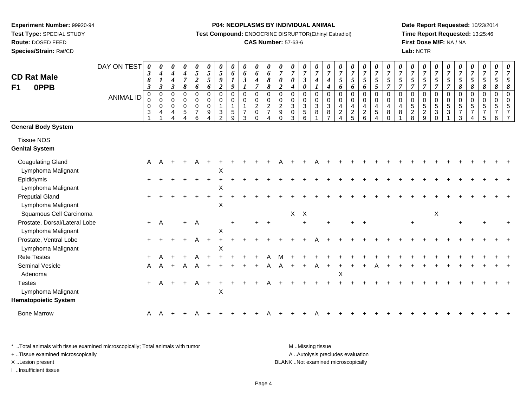**Route:** DOSED FEED

**Species/Strain:** Rat/CD

#### **P04: NEOPLASMS BY INDIVIDUAL ANIMAL**

**Test Compound:** ENDOCRINE DISRUPTOR(Ethinyl Estradiol)

### **CAS Number:** 57-63-6

**Date Report Requested:** 10/23/2014**Time Report Requested:** 13:25:46**First Dose M/F:** NA / NA**Lab:** NCTR

| <b>CD Rat Male</b><br>0PPB<br>F <sub>1</sub>                       | DAY ON TEST      | 0<br>$\mathfrak{z}$<br>$\pmb{8}$<br>$\mathfrak{z}$    | 0<br>$\boldsymbol{4}$<br>1<br>$\boldsymbol{\beta}$ | 0<br>$\boldsymbol{4}$<br>$\boldsymbol{4}$<br>$\mathfrak{z}$ | 0<br>$\boldsymbol{4}$<br>7<br>8             | 0<br>5<br>$\boldsymbol{2}$<br>6                              | 0<br>$\mathfrak{s}$<br>5<br>6                     | 0<br>$\mathfrak{s}$<br>9<br>$\overline{2}$                        | 0<br>6<br>9                                                | $\boldsymbol{\theta}$<br>6<br>$\boldsymbol{\beta}$<br>$\boldsymbol{l}$ | 0<br>6<br>$\boldsymbol{4}$<br>$\overline{7}$                          | $\boldsymbol{\theta}$<br>6<br>8<br>8                                                    | 0<br>$\overline{7}$<br>$\boldsymbol{\theta}$<br>$\boldsymbol{2}$       | 0<br>$\overline{7}$<br>0<br>$\boldsymbol{4}$ | 0<br>$\overline{7}$<br>$\boldsymbol{\beta}$<br>$\boldsymbol{\theta}$ | $\boldsymbol{\theta}$<br>$\overline{7}$<br>4    | 0<br>$\overline{7}$<br>$\boldsymbol{4}$<br>$\boldsymbol{4}$ | 0<br>$\overline{7}$<br>$\mathfrak{s}$<br>6      | 0<br>$\overline{7}$<br>$\sqrt{5}$<br>6            | 0<br>$\overline{7}$<br>$\mathfrak{s}$<br>6                        | 0<br>$\overline{7}$<br>5<br>5             | 0<br>$\boldsymbol{7}$<br>$\mathfrak{s}$<br>$\overline{7}$ | 0<br>$\overline{7}$<br>5<br>$\overline{7}$ | 0<br>$\overline{7}$<br>$\mathfrak{s}$<br>$\overline{7}$ | 0<br>$\overline{7}$<br>$\mathfrak{s}$<br>$\overline{7}$                          | 0<br>$\overline{7}$<br>$\mathfrak{s}$<br>$\overline{7}$ | $\boldsymbol{\theta}$<br>$\overline{7}$<br>$\overline{5}$<br>$\overline{7}$ | 0<br>$\overline{7}$<br>5<br>8                           | 0<br>$\boldsymbol{7}$<br>5<br>8                                       | 0<br>$\overline{7}$<br>5<br>$\pmb{8}$           | 0<br>$\overline{7}$<br>5<br>8                                   | 0<br>7<br>5<br>8                                                 |
|--------------------------------------------------------------------|------------------|-------------------------------------------------------|----------------------------------------------------|-------------------------------------------------------------|---------------------------------------------|--------------------------------------------------------------|---------------------------------------------------|-------------------------------------------------------------------|------------------------------------------------------------|------------------------------------------------------------------------|-----------------------------------------------------------------------|-----------------------------------------------------------------------------------------|------------------------------------------------------------------------|----------------------------------------------|----------------------------------------------------------------------|-------------------------------------------------|-------------------------------------------------------------|-------------------------------------------------|---------------------------------------------------|-------------------------------------------------------------------|-------------------------------------------|-----------------------------------------------------------|--------------------------------------------|---------------------------------------------------------|----------------------------------------------------------------------------------|---------------------------------------------------------|-----------------------------------------------------------------------------|---------------------------------------------------------|-----------------------------------------------------------------------|-------------------------------------------------|-----------------------------------------------------------------|------------------------------------------------------------------|
|                                                                    | <b>ANIMAL ID</b> | $\pmb{0}$<br>$\pmb{0}$<br>$\mathbf 0$<br>$\mathbf{3}$ | $\mathbf 0$<br>$\mathbf 0$<br>$\mathbf 0$<br>4     | $\pmb{0}$<br>$\mathbf 0$<br>$\mathbf 0$<br>4                | $\Omega$<br>$\mathbf 0$<br>$\mathbf 0$<br>5 | $\pmb{0}$<br>$\pmb{0}$<br>$\pmb{0}$<br>$\boldsymbol{7}$<br>6 | $\mathbf 0$<br>$\pmb{0}$<br>$\mathbf 0$<br>9<br>4 | $\mathbf 0$<br>$\mathbf 0$<br>$\mathbf{1}$<br>3<br>$\overline{2}$ | $\pmb{0}$<br>$\pmb{0}$<br>$\mathbf{1}$<br>$\,$ 5 $\,$<br>9 | $\pmb{0}$<br>$\pmb{0}$<br>$\overline{1}$<br>$\overline{7}$<br>3        | $\mathbf 0$<br>$\pmb{0}$<br>$\overline{2}$<br>$\mathbf 0$<br>$\Omega$ | $\mathbf 0$<br>$\pmb{0}$<br>$\overline{2}$<br>$\overline{7}$<br>$\overline{\mathbf{4}}$ | $\mathbf 0$<br>$\mathbf 0$<br>$\sqrt{2}$<br>$\boldsymbol{9}$<br>$\cap$ | $\mathbf 0$<br>0<br>3<br>0<br>3              | $\mathbf 0$<br>$\pmb{0}$<br>$\overline{3}$<br>5<br>6                 | $\mathbf 0$<br>$\pmb{0}$<br>$\overline{3}$<br>8 | $\mathbf 0$<br>$\mathbf 0$<br>$\mathbf{3}$<br>8             | $\mathbf 0$<br>$\pmb{0}$<br>4<br>$\overline{c}$ | 0<br>$\pmb{0}$<br>$\overline{4}$<br>$\frac{2}{5}$ | $\mathbf 0$<br>$\pmb{0}$<br>$\overline{4}$<br>$\overline{c}$<br>6 | $\mathbf 0$<br>$\mathbf 0$<br>4<br>5<br>4 | $\mathbf 0$<br>0<br>$\overline{4}$<br>$\bf 8$<br>$\Omega$ | $\mathsf 0$<br>0<br>$\overline{4}$<br>8    | 0<br>0<br>$\overline{5}$<br>$\overline{2}$<br>8         | $\mathbf 0$<br>$\pmb{0}$<br>$\overline{5}$<br>$\boldsymbol{2}$<br>$\overline{9}$ | 0<br>$\pmb{0}$<br>$\overline{5}$<br>3<br>$\Omega$       | $\boldsymbol{0}$<br>$\pmb{0}$<br>$\overline{5}$<br>$\sqrt{3}$               | 0<br>$\pmb{0}$<br>$\overline{5}$<br>$\overline{7}$<br>3 | $\mathbf 0$<br>$\mathbf 0$<br>$\overline{5}$<br>$\boldsymbol{7}$<br>4 | 0<br>0<br>$\overline{5}$<br>$\overline{7}$<br>5 | $\pmb{0}$<br>$\pmb{0}$<br>5<br>$\overline{7}$<br>$6\phantom{a}$ | $\Omega$<br>$\mathbf 0$<br>5<br>$\overline{7}$<br>$\overline{7}$ |
| <b>General Body System</b>                                         |                  |                                                       |                                                    |                                                             |                                             |                                                              |                                                   |                                                                   |                                                            |                                                                        |                                                                       |                                                                                         |                                                                        |                                              |                                                                      |                                                 |                                                             |                                                 |                                                   |                                                                   |                                           |                                                           |                                            |                                                         |                                                                                  |                                                         |                                                                             |                                                         |                                                                       |                                                 |                                                                 |                                                                  |
| <b>Tissue NOS</b><br><b>Genital System</b>                         |                  |                                                       |                                                    |                                                             |                                             |                                                              |                                                   |                                                                   |                                                            |                                                                        |                                                                       |                                                                                         |                                                                        |                                              |                                                                      |                                                 |                                                             |                                                 |                                                   |                                                                   |                                           |                                                           |                                            |                                                         |                                                                                  |                                                         |                                                                             |                                                         |                                                                       |                                                 |                                                                 |                                                                  |
| <b>Coagulating Gland</b><br>Lymphoma Malignant                     |                  | A                                                     | A                                                  |                                                             |                                             | A                                                            |                                                   | Χ                                                                 |                                                            |                                                                        |                                                                       |                                                                                         |                                                                        |                                              |                                                                      |                                                 |                                                             |                                                 |                                                   |                                                                   |                                           |                                                           |                                            |                                                         |                                                                                  |                                                         |                                                                             |                                                         |                                                                       |                                                 |                                                                 |                                                                  |
| Epididymis<br>Lymphoma Malignant                                   |                  |                                                       |                                                    |                                                             |                                             |                                                              |                                                   | Χ                                                                 |                                                            |                                                                        |                                                                       |                                                                                         |                                                                        |                                              |                                                                      |                                                 |                                                             |                                                 |                                                   |                                                                   |                                           |                                                           |                                            |                                                         |                                                                                  |                                                         |                                                                             |                                                         |                                                                       |                                                 |                                                                 |                                                                  |
| <b>Preputial Gland</b><br>Lymphoma Malignant                       |                  |                                                       |                                                    |                                                             |                                             |                                                              |                                                   | X                                                                 |                                                            |                                                                        |                                                                       |                                                                                         |                                                                        |                                              |                                                                      |                                                 |                                                             |                                                 |                                                   |                                                                   |                                           |                                                           |                                            |                                                         |                                                                                  |                                                         |                                                                             |                                                         |                                                                       |                                                 |                                                                 |                                                                  |
| Squamous Cell Carcinoma<br>Prostate, Dorsal/Lateral Lobe           |                  | $+$                                                   | A                                                  |                                                             | $+$                                         | - A                                                          |                                                   |                                                                   | $\overline{1}$                                             |                                                                        | $\ddot{}$                                                             | $\ddot{+}$                                                                              |                                                                        | $\mathsf{X}$                                 | $\mathsf{X}$<br>$+$                                                  |                                                 | $\ddot{}$                                                   |                                                 | $\ddot{}$                                         | $+$                                                               |                                           |                                                           |                                            | $+$                                                     |                                                                                  | $\boldsymbol{\mathsf{X}}$                               |                                                                             | $\ddot{}$                                               |                                                                       | $\ddot{}$                                       |                                                                 |                                                                  |
| Lymphoma Malignant<br>Prostate, Ventral Lobe<br>Lymphoma Malignant |                  |                                                       |                                                    |                                                             |                                             | A                                                            | $\ddot{}$                                         | $\boldsymbol{\mathsf{X}}$<br>X                                    |                                                            |                                                                        |                                                                       |                                                                                         |                                                                        |                                              |                                                                      |                                                 |                                                             |                                                 |                                                   |                                                                   |                                           |                                                           |                                            |                                                         |                                                                                  |                                                         |                                                                             |                                                         |                                                                       |                                                 |                                                                 |                                                                  |
| <b>Rete Testes</b><br>Seminal Vesicle                              |                  | A                                                     | Α                                                  | $\ddot{}$                                                   | A                                           |                                                              |                                                   |                                                                   |                                                            |                                                                        |                                                                       | А                                                                                       |                                                                        |                                              | $\overline{+}$                                                       | A                                               | $\ddot{}$                                                   |                                                 |                                                   |                                                                   |                                           |                                                           |                                            |                                                         |                                                                                  |                                                         |                                                                             |                                                         |                                                                       |                                                 |                                                                 |                                                                  |
| Adenoma<br><b>Testes</b>                                           |                  | $+$                                                   |                                                    |                                                             |                                             |                                                              |                                                   |                                                                   |                                                            |                                                                        |                                                                       |                                                                                         |                                                                        |                                              |                                                                      |                                                 |                                                             | X                                               |                                                   |                                                                   |                                           |                                                           |                                            |                                                         |                                                                                  |                                                         |                                                                             |                                                         |                                                                       |                                                 |                                                                 |                                                                  |
| Lymphoma Malignant<br><b>Hematopoietic System</b>                  |                  |                                                       |                                                    |                                                             |                                             |                                                              |                                                   | X                                                                 |                                                            |                                                                        |                                                                       |                                                                                         |                                                                        |                                              |                                                                      |                                                 |                                                             |                                                 |                                                   |                                                                   |                                           |                                                           |                                            |                                                         |                                                                                  |                                                         |                                                                             |                                                         |                                                                       |                                                 |                                                                 |                                                                  |
| <b>Bone Marrow</b>                                                 |                  | A                                                     | Α                                                  |                                                             |                                             |                                                              |                                                   |                                                                   |                                                            |                                                                        |                                                                       |                                                                                         |                                                                        |                                              |                                                                      |                                                 |                                                             |                                                 |                                                   |                                                                   |                                           |                                                           |                                            |                                                         |                                                                                  |                                                         |                                                                             |                                                         |                                                                       |                                                 |                                                                 |                                                                  |

\* ..Total animals with tissue examined microscopically; Total animals with tumor **M** . Missing tissue M ..Missing tissue A ..Autolysis precludes evaluation + ..Tissue examined microscopically X ..Lesion present BLANK ..Not examined microscopicallyI ..Insufficient tissue

Page 4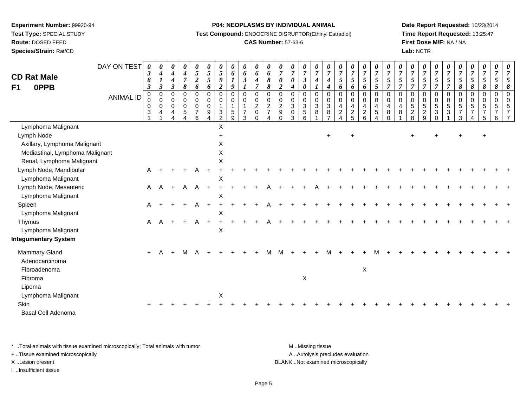**Route:** DOSED FEED

**Species/Strain:** Rat/CD

#### **P04: NEOPLASMS BY INDIVIDUAL ANIMAL**

**Test Compound:** ENDOCRINE DISRUPTOR(Ethinyl Estradiol)

### **CAS Number:** 57-63-6

**Date Report Requested:** 10/23/2014**Time Report Requested:** 13:25:47**First Dose M/F:** NA / NA**Lab:** NCTR

| <b>CD Rat Male</b><br>0PPB<br>F <sub>1</sub> | DAY ON TEST<br><b>ANIMAL ID</b> | 0<br>$\boldsymbol{\beta}$<br>8<br>$\boldsymbol{\beta}$<br>0<br>$\pmb{0}$<br>$\mathbf 0$<br>3 | 0<br>$\boldsymbol{4}$<br>$\boldsymbol{l}$<br>$\boldsymbol{\beta}$<br>$\mathbf 0$<br>$\mathbf 0$<br>$\mathbf 0$<br>4 | 0<br>$\boldsymbol{4}$<br>$\boldsymbol{4}$<br>$\boldsymbol{\beta}$<br>$\mathbf 0$<br>$\mathbf 0$<br>$\mathbf 0$<br>4 | 0<br>$\boldsymbol{4}$<br>$\overline{7}$<br>$\pmb{8}$<br>$\mathbf 0$<br>0<br>$\mathbf 0$<br>$\mathbf 5$ | 0<br>5<br>$\boldsymbol{2}$<br>6<br>0<br>0<br>$\mathbf 0$<br>$\overline{7}$ | 0<br>$\mathfrak{S}$<br>5<br>6<br>0<br>$\mathbf 0$<br>$\mathbf 0$<br>9 | $\boldsymbol{\theta}$<br>$\sqrt{5}$<br>9<br>$\boldsymbol{2}$<br>$\mathbf 0$<br>$\mathbf 0$<br>$\mathbf{1}$<br>3 | 0<br>6<br>9<br>$\mathbf 0$<br>$\pmb{0}$<br>$\,$ 5 $\,$ | 0<br>6<br>$\boldsymbol{\beta}$<br>$\boldsymbol{l}$<br>$\pmb{0}$<br>$\mathbf 0$<br>$\overline{1}$<br>$\overline{7}$ | 0<br>6<br>$\boldsymbol{4}$<br>$\overline{7}$<br>$\pmb{0}$<br>$\begin{smallmatrix} 0\\2 \end{smallmatrix}$<br>$\mathbf 0$ | 0<br>6<br>8<br>8<br>$\mathbf 0$<br>0<br>$\overline{2}$<br>$\overline{7}$ | $\boldsymbol{\theta}$<br>$\overline{7}$<br>$\pmb{\theta}$<br>$\boldsymbol{2}$<br>$\mathbf 0$<br>$\pmb{0}$<br>$\overline{2}$<br>$\boldsymbol{9}$ | 0<br>$\overline{7}$<br>$\boldsymbol{\theta}$<br>4<br>$\mathbf 0$<br>0<br>$\mathbf{3}$<br>0 | 0<br>$\overline{7}$<br>3<br>0<br>$\Omega$<br>$\mathbf 0$<br>3<br>$5\phantom{.0}$ | 0<br>$\overline{7}$<br>$\boldsymbol{4}$<br>$\mathbf 0$<br>$\boldsymbol{0}$<br>$\overline{3}$<br>8 | $\boldsymbol{\theta}$<br>$\overline{7}$<br>$\boldsymbol{4}$<br>4<br>$\mathbf 0$<br>$\mathbf 0$<br>3<br>8 | 7<br>$\sqrt{5}$<br>6<br>$\mathbf 0$<br>$\mathbf 0$<br>$\overline{4}$<br>$\overline{2}$ | 0<br>$\overline{7}$<br>5<br>6<br>0<br>0<br>4<br>$rac{2}{5}$ | 0<br>$\boldsymbol{7}$<br>$\sqrt{5}$<br>6<br>$\mathbf 0$<br>0<br>$\overline{4}$<br>$\overline{2}$ | 0<br>$\overline{7}$<br>$\mathfrak{s}$<br>5<br>$\mathbf 0$<br>$\mathbf 0$<br>$\overline{4}$<br>$\sqrt{5}$ | 0<br>$\overline{7}$<br>$\sqrt{5}$<br>$\overline{7}$<br>$\mathbf 0$<br>$\mathbf 0$<br>$\overline{4}$<br>8 | $\boldsymbol{\theta}$<br>$\overline{7}$<br>$\overline{5}$<br>$\overline{7}$<br>$\mathbf 0$<br>$\mathbf 0$<br>$\overline{4}$<br>8 | 0<br>$\boldsymbol{7}$<br>$\mathfrak{s}$<br>$\overline{7}$<br>$\mathbf 0$<br>0<br>5<br>$\overline{2}$ | 0<br>$\boldsymbol{7}$<br>5<br>$\overline{7}$<br>$\mathbf 0$<br>$\mathbf 0$<br>5<br>$\overline{2}$ | 0<br>$\overline{7}$<br>5<br>$\overline{7}$<br>$\mathbf 0$<br>$\pmb{0}$<br>5<br>3 | $\overline{7}$<br>$\mathfrak{s}$<br>$\overline{7}$<br>$\mathbf 0$<br>$\pmb{0}$<br>$\sqrt{5}$<br>$\mathbf{3}$ | 0<br>$\boldsymbol{7}$<br>$\sqrt{5}$<br>$\pmb{8}$<br>$\pmb{0}$<br>$\pmb{0}$<br>$\frac{5}{7}$ | 0<br>$\boldsymbol{7}$<br>$\overline{5}$<br>$\pmb{8}$<br>$\pmb{0}$<br>$\mathbf 0$<br>$\sqrt{5}$<br>$\overline{7}$ | 0<br>$\overline{7}$<br>5<br>8<br>$\mathbf 0$<br>$\boldsymbol{0}$<br>5<br>7 | U<br>$\overline{7}$<br>5<br>8<br>$\mathbf 0$<br>0<br>5<br>7 | $\overline{7}$<br>$\Omega$<br>$\Omega$ |
|----------------------------------------------|---------------------------------|----------------------------------------------------------------------------------------------|---------------------------------------------------------------------------------------------------------------------|---------------------------------------------------------------------------------------------------------------------|--------------------------------------------------------------------------------------------------------|----------------------------------------------------------------------------|-----------------------------------------------------------------------|-----------------------------------------------------------------------------------------------------------------|--------------------------------------------------------|--------------------------------------------------------------------------------------------------------------------|--------------------------------------------------------------------------------------------------------------------------|--------------------------------------------------------------------------|-------------------------------------------------------------------------------------------------------------------------------------------------|--------------------------------------------------------------------------------------------|----------------------------------------------------------------------------------|---------------------------------------------------------------------------------------------------|----------------------------------------------------------------------------------------------------------|----------------------------------------------------------------------------------------|-------------------------------------------------------------|--------------------------------------------------------------------------------------------------|----------------------------------------------------------------------------------------------------------|----------------------------------------------------------------------------------------------------------|----------------------------------------------------------------------------------------------------------------------------------|------------------------------------------------------------------------------------------------------|---------------------------------------------------------------------------------------------------|----------------------------------------------------------------------------------|--------------------------------------------------------------------------------------------------------------|---------------------------------------------------------------------------------------------|------------------------------------------------------------------------------------------------------------------|----------------------------------------------------------------------------|-------------------------------------------------------------|----------------------------------------|
|                                              |                                 |                                                                                              |                                                                                                                     |                                                                                                                     | 4                                                                                                      | 6                                                                          |                                                                       | $\overline{2}$                                                                                                  | 9                                                      | 3                                                                                                                  | $\Omega$                                                                                                                 | 4                                                                        |                                                                                                                                                 | 3                                                                                          | 6                                                                                |                                                                                                   | $\overline{ }$                                                                                           | $\lambda$                                                                              |                                                             | 6                                                                                                | 4                                                                                                        | $\Omega$                                                                                                 |                                                                                                                                  | 8                                                                                                    | 9                                                                                                 | $\Omega$                                                                         |                                                                                                              | 3                                                                                           | 4                                                                                                                | 5                                                                          |                                                             |                                        |
| Lymphoma Malignant                           |                                 |                                                                                              |                                                                                                                     |                                                                                                                     |                                                                                                        |                                                                            |                                                                       | X                                                                                                               |                                                        |                                                                                                                    |                                                                                                                          |                                                                          |                                                                                                                                                 |                                                                                            |                                                                                  |                                                                                                   |                                                                                                          |                                                                                        |                                                             |                                                                                                  |                                                                                                          |                                                                                                          |                                                                                                                                  |                                                                                                      |                                                                                                   |                                                                                  |                                                                                                              |                                                                                             |                                                                                                                  |                                                                            |                                                             |                                        |
| Lymph Node                                   |                                 |                                                                                              |                                                                                                                     |                                                                                                                     |                                                                                                        |                                                                            |                                                                       | $\pm$                                                                                                           |                                                        |                                                                                                                    |                                                                                                                          |                                                                          |                                                                                                                                                 |                                                                                            |                                                                                  |                                                                                                   | $+$                                                                                                      |                                                                                        |                                                             |                                                                                                  |                                                                                                          |                                                                                                          |                                                                                                                                  |                                                                                                      |                                                                                                   |                                                                                  |                                                                                                              |                                                                                             |                                                                                                                  |                                                                            |                                                             |                                        |
| Axillary, Lymphoma Malignant                 |                                 |                                                                                              |                                                                                                                     |                                                                                                                     |                                                                                                        |                                                                            |                                                                       | X                                                                                                               |                                                        |                                                                                                                    |                                                                                                                          |                                                                          |                                                                                                                                                 |                                                                                            |                                                                                  |                                                                                                   |                                                                                                          |                                                                                        |                                                             |                                                                                                  |                                                                                                          |                                                                                                          |                                                                                                                                  |                                                                                                      |                                                                                                   |                                                                                  |                                                                                                              |                                                                                             |                                                                                                                  |                                                                            |                                                             |                                        |
| Mediastinal, Lymphoma Malignant              |                                 |                                                                                              |                                                                                                                     |                                                                                                                     |                                                                                                        |                                                                            |                                                                       | X                                                                                                               |                                                        |                                                                                                                    |                                                                                                                          |                                                                          |                                                                                                                                                 |                                                                                            |                                                                                  |                                                                                                   |                                                                                                          |                                                                                        |                                                             |                                                                                                  |                                                                                                          |                                                                                                          |                                                                                                                                  |                                                                                                      |                                                                                                   |                                                                                  |                                                                                                              |                                                                                             |                                                                                                                  |                                                                            |                                                             |                                        |
| Renal, Lymphoma Malignant                    |                                 |                                                                                              |                                                                                                                     |                                                                                                                     |                                                                                                        |                                                                            |                                                                       | $\boldsymbol{\mathsf{X}}$                                                                                       |                                                        |                                                                                                                    |                                                                                                                          |                                                                          |                                                                                                                                                 |                                                                                            |                                                                                  |                                                                                                   |                                                                                                          |                                                                                        |                                                             |                                                                                                  |                                                                                                          |                                                                                                          |                                                                                                                                  |                                                                                                      |                                                                                                   |                                                                                  |                                                                                                              |                                                                                             |                                                                                                                  |                                                                            |                                                             |                                        |
| Lymph Node, Mandibular                       |                                 | A                                                                                            |                                                                                                                     |                                                                                                                     |                                                                                                        | A                                                                          | $\ddot{}$                                                             |                                                                                                                 |                                                        |                                                                                                                    |                                                                                                                          |                                                                          |                                                                                                                                                 |                                                                                            |                                                                                  |                                                                                                   |                                                                                                          |                                                                                        |                                                             |                                                                                                  |                                                                                                          |                                                                                                          |                                                                                                                                  |                                                                                                      |                                                                                                   |                                                                                  |                                                                                                              |                                                                                             |                                                                                                                  |                                                                            |                                                             |                                        |
| Lymphoma Malignant                           |                                 |                                                                                              |                                                                                                                     |                                                                                                                     |                                                                                                        |                                                                            |                                                                       | X                                                                                                               |                                                        |                                                                                                                    |                                                                                                                          |                                                                          |                                                                                                                                                 |                                                                                            |                                                                                  |                                                                                                   |                                                                                                          |                                                                                        |                                                             |                                                                                                  |                                                                                                          |                                                                                                          |                                                                                                                                  |                                                                                                      |                                                                                                   |                                                                                  |                                                                                                              |                                                                                             |                                                                                                                  |                                                                            |                                                             |                                        |
| Lymph Node, Mesenteric                       |                                 | A                                                                                            |                                                                                                                     |                                                                                                                     | A                                                                                                      | A                                                                          | $+$                                                                   |                                                                                                                 |                                                        |                                                                                                                    |                                                                                                                          |                                                                          |                                                                                                                                                 |                                                                                            |                                                                                  |                                                                                                   |                                                                                                          |                                                                                        |                                                             |                                                                                                  |                                                                                                          |                                                                                                          |                                                                                                                                  |                                                                                                      |                                                                                                   |                                                                                  |                                                                                                              |                                                                                             |                                                                                                                  |                                                                            |                                                             |                                        |
| Lymphoma Malignant                           |                                 |                                                                                              |                                                                                                                     |                                                                                                                     |                                                                                                        |                                                                            |                                                                       | X                                                                                                               |                                                        |                                                                                                                    |                                                                                                                          |                                                                          |                                                                                                                                                 |                                                                                            |                                                                                  |                                                                                                   |                                                                                                          |                                                                                        |                                                             |                                                                                                  |                                                                                                          |                                                                                                          |                                                                                                                                  |                                                                                                      |                                                                                                   |                                                                                  |                                                                                                              |                                                                                             |                                                                                                                  |                                                                            |                                                             |                                        |
| Spleen                                       |                                 | A                                                                                            |                                                                                                                     |                                                                                                                     | $\ddot{}$                                                                                              | $\mathsf{A}$                                                               | $\ddot{}$                                                             |                                                                                                                 |                                                        |                                                                                                                    |                                                                                                                          |                                                                          |                                                                                                                                                 |                                                                                            |                                                                                  |                                                                                                   |                                                                                                          |                                                                                        |                                                             |                                                                                                  |                                                                                                          |                                                                                                          |                                                                                                                                  |                                                                                                      |                                                                                                   |                                                                                  |                                                                                                              |                                                                                             |                                                                                                                  |                                                                            |                                                             |                                        |
| Lymphoma Malignant                           |                                 |                                                                                              |                                                                                                                     |                                                                                                                     |                                                                                                        |                                                                            |                                                                       | Χ                                                                                                               |                                                        |                                                                                                                    |                                                                                                                          |                                                                          |                                                                                                                                                 |                                                                                            |                                                                                  |                                                                                                   |                                                                                                          |                                                                                        |                                                             |                                                                                                  |                                                                                                          |                                                                                                          |                                                                                                                                  |                                                                                                      |                                                                                                   |                                                                                  |                                                                                                              |                                                                                             |                                                                                                                  |                                                                            |                                                             |                                        |
| Thymus                                       |                                 | A                                                                                            | A                                                                                                                   |                                                                                                                     | $\ddot{}$                                                                                              | A                                                                          | $\ddot{}$                                                             |                                                                                                                 |                                                        |                                                                                                                    |                                                                                                                          |                                                                          |                                                                                                                                                 |                                                                                            |                                                                                  |                                                                                                   |                                                                                                          |                                                                                        |                                                             |                                                                                                  |                                                                                                          |                                                                                                          |                                                                                                                                  |                                                                                                      |                                                                                                   |                                                                                  |                                                                                                              |                                                                                             |                                                                                                                  |                                                                            |                                                             |                                        |
| Lymphoma Malignant                           |                                 |                                                                                              |                                                                                                                     |                                                                                                                     |                                                                                                        |                                                                            |                                                                       | X                                                                                                               |                                                        |                                                                                                                    |                                                                                                                          |                                                                          |                                                                                                                                                 |                                                                                            |                                                                                  |                                                                                                   |                                                                                                          |                                                                                        |                                                             |                                                                                                  |                                                                                                          |                                                                                                          |                                                                                                                                  |                                                                                                      |                                                                                                   |                                                                                  |                                                                                                              |                                                                                             |                                                                                                                  |                                                                            |                                                             |                                        |
| <b>Integumentary System</b>                  |                                 |                                                                                              |                                                                                                                     |                                                                                                                     |                                                                                                        |                                                                            |                                                                       |                                                                                                                 |                                                        |                                                                                                                    |                                                                                                                          |                                                                          |                                                                                                                                                 |                                                                                            |                                                                                  |                                                                                                   |                                                                                                          |                                                                                        |                                                             |                                                                                                  |                                                                                                          |                                                                                                          |                                                                                                                                  |                                                                                                      |                                                                                                   |                                                                                  |                                                                                                              |                                                                                             |                                                                                                                  |                                                                            |                                                             |                                        |
| Mammary Gland                                |                                 | $\ddot{}$                                                                                    | A                                                                                                                   |                                                                                                                     | M                                                                                                      |                                                                            |                                                                       |                                                                                                                 |                                                        |                                                                                                                    |                                                                                                                          |                                                                          |                                                                                                                                                 |                                                                                            |                                                                                  |                                                                                                   | м                                                                                                        |                                                                                        |                                                             |                                                                                                  |                                                                                                          |                                                                                                          |                                                                                                                                  |                                                                                                      |                                                                                                   |                                                                                  |                                                                                                              |                                                                                             |                                                                                                                  |                                                                            |                                                             |                                        |
| Adenocarcinoma                               |                                 |                                                                                              |                                                                                                                     |                                                                                                                     |                                                                                                        |                                                                            |                                                                       |                                                                                                                 |                                                        |                                                                                                                    |                                                                                                                          |                                                                          |                                                                                                                                                 |                                                                                            |                                                                                  |                                                                                                   |                                                                                                          |                                                                                        |                                                             |                                                                                                  |                                                                                                          |                                                                                                          |                                                                                                                                  |                                                                                                      |                                                                                                   |                                                                                  |                                                                                                              |                                                                                             |                                                                                                                  |                                                                            |                                                             |                                        |
| Fibroadenoma                                 |                                 |                                                                                              |                                                                                                                     |                                                                                                                     |                                                                                                        |                                                                            |                                                                       |                                                                                                                 |                                                        |                                                                                                                    |                                                                                                                          |                                                                          |                                                                                                                                                 |                                                                                            |                                                                                  |                                                                                                   |                                                                                                          |                                                                                        |                                                             | X                                                                                                |                                                                                                          |                                                                                                          |                                                                                                                                  |                                                                                                      |                                                                                                   |                                                                                  |                                                                                                              |                                                                                             |                                                                                                                  |                                                                            |                                                             |                                        |
| Fibroma                                      |                                 |                                                                                              |                                                                                                                     |                                                                                                                     |                                                                                                        |                                                                            |                                                                       |                                                                                                                 |                                                        |                                                                                                                    |                                                                                                                          |                                                                          |                                                                                                                                                 |                                                                                            | X                                                                                |                                                                                                   |                                                                                                          |                                                                                        |                                                             |                                                                                                  |                                                                                                          |                                                                                                          |                                                                                                                                  |                                                                                                      |                                                                                                   |                                                                                  |                                                                                                              |                                                                                             |                                                                                                                  |                                                                            |                                                             |                                        |
| Lipoma                                       |                                 |                                                                                              |                                                                                                                     |                                                                                                                     |                                                                                                        |                                                                            |                                                                       |                                                                                                                 |                                                        |                                                                                                                    |                                                                                                                          |                                                                          |                                                                                                                                                 |                                                                                            |                                                                                  |                                                                                                   |                                                                                                          |                                                                                        |                                                             |                                                                                                  |                                                                                                          |                                                                                                          |                                                                                                                                  |                                                                                                      |                                                                                                   |                                                                                  |                                                                                                              |                                                                                             |                                                                                                                  |                                                                            |                                                             |                                        |
| Lymphoma Malignant                           |                                 |                                                                                              |                                                                                                                     |                                                                                                                     |                                                                                                        |                                                                            |                                                                       | $\boldsymbol{\mathsf{X}}$                                                                                       |                                                        |                                                                                                                    |                                                                                                                          |                                                                          |                                                                                                                                                 |                                                                                            |                                                                                  |                                                                                                   |                                                                                                          |                                                                                        |                                                             |                                                                                                  |                                                                                                          |                                                                                                          |                                                                                                                                  |                                                                                                      |                                                                                                   |                                                                                  |                                                                                                              |                                                                                             |                                                                                                                  |                                                                            |                                                             |                                        |
| Skin                                         |                                 |                                                                                              |                                                                                                                     |                                                                                                                     |                                                                                                        |                                                                            |                                                                       |                                                                                                                 |                                                        |                                                                                                                    |                                                                                                                          |                                                                          |                                                                                                                                                 |                                                                                            |                                                                                  |                                                                                                   |                                                                                                          |                                                                                        |                                                             |                                                                                                  |                                                                                                          |                                                                                                          |                                                                                                                                  |                                                                                                      |                                                                                                   |                                                                                  |                                                                                                              |                                                                                             |                                                                                                                  |                                                                            |                                                             |                                        |
| Basal Cell Adenoma                           |                                 |                                                                                              |                                                                                                                     |                                                                                                                     |                                                                                                        |                                                                            |                                                                       |                                                                                                                 |                                                        |                                                                                                                    |                                                                                                                          |                                                                          |                                                                                                                                                 |                                                                                            |                                                                                  |                                                                                                   |                                                                                                          |                                                                                        |                                                             |                                                                                                  |                                                                                                          |                                                                                                          |                                                                                                                                  |                                                                                                      |                                                                                                   |                                                                                  |                                                                                                              |                                                                                             |                                                                                                                  |                                                                            |                                                             |                                        |

\* ..Total animals with tissue examined microscopically; Total animals with tumor **M** . Missing tissue M ..Missing tissue

+ ..Tissue examined microscopically

X ..Lesion present BLANK ..Not examined microscopically

I ..Insufficient tissue

A ..Autolysis precludes evaluation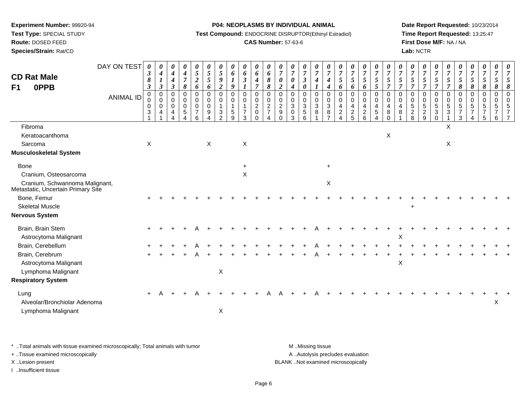**Test Type:** SPECIAL STUDY

**Route:** DOSED FEED

**Species/Strain:** Rat/CD

#### **P04: NEOPLASMS BY INDIVIDUAL ANIMAL**

**Test Compound:** ENDOCRINE DISRUPTOR(Ethinyl Estradiol)

# **CAS Number:** 57-63-6

**Date Report Requested:** 10/23/2014**Time Report Requested:** 13:25:47**First Dose M/F:** NA / NA**Lab:** NCTR

| <b>CD Rat Male</b>                                                   | DAY ON TEST      | 0<br>$\mathbf{3}$<br>8                                                          | 0<br>$\boldsymbol{4}$<br>$\boldsymbol{l}$  | 0<br>$\boldsymbol{4}$<br>$\boldsymbol{4}$                                    | 0<br>$\boldsymbol{4}$<br>$\overline{7}$                | $\boldsymbol{\theta}$<br>$\mathfrak{s}$<br>$\boldsymbol{2}$           | 0<br>$\mathfrak{s}$<br>$\mathfrak{s}$                    | 0<br>$\mathfrak{s}$<br>$\boldsymbol{9}$                        | 0<br>6<br>$\boldsymbol{l}$                                       | 0<br>6<br>$\boldsymbol{\mathfrak{z}}$ | 0<br>6<br>$\boldsymbol{4}$                                                               | $\boldsymbol{\theta}$<br>6<br>8                                          | $\boldsymbol{\theta}$<br>$\overline{7}$<br>$\boldsymbol{\theta}$                          | 0<br>$\overline{7}$<br>$\boldsymbol{\theta}$                                       | $\boldsymbol{\theta}$<br>$\boldsymbol{7}$<br>$\boldsymbol{\beta}$ | 0<br>$\boldsymbol{7}$<br>$\boldsymbol{4}$                           | 0<br>$\overline{7}$<br>$\boldsymbol{4}$                | $\boldsymbol{\theta}$<br>$\boldsymbol{7}$<br>$\mathfrak{S}$ | 0<br>$\overline{7}$<br>$\sqrt{5}$           | $\boldsymbol{\theta}$<br>$\boldsymbol{7}$<br>$\sqrt{5}$            | 0<br>$\overline{7}$                                                              | 0<br>$\overline{7}$<br>$\sqrt{5}$                                                  | 0<br>$\boldsymbol{7}$<br>$5\overline{)}$               | $\frac{\boldsymbol{0}}{7}$<br>5                | $\frac{\theta}{7}$<br>$\frac{5}{7}$                           | 0<br>$\overline{7}$<br>$\sqrt{5}$                                   | $\boldsymbol{\theta}$<br>$\overline{7}$                                         | 0<br>$\overline{7}$<br>$\sqrt{5}$                                             | $\boldsymbol{\theta}$<br>$\boldsymbol{7}$<br>$5\overline{)}$                             | 0<br>$\boldsymbol{7}$<br>$5\phantom{.0}$                                        | 0<br>$\overline{7}$<br>5                          | $\overline{7}$                  |
|----------------------------------------------------------------------|------------------|---------------------------------------------------------------------------------|--------------------------------------------|------------------------------------------------------------------------------|--------------------------------------------------------|-----------------------------------------------------------------------|----------------------------------------------------------|----------------------------------------------------------------|------------------------------------------------------------------|---------------------------------------|------------------------------------------------------------------------------------------|--------------------------------------------------------------------------|-------------------------------------------------------------------------------------------|------------------------------------------------------------------------------------|-------------------------------------------------------------------|---------------------------------------------------------------------|--------------------------------------------------------|-------------------------------------------------------------|---------------------------------------------|--------------------------------------------------------------------|----------------------------------------------------------------------------------|------------------------------------------------------------------------------------|--------------------------------------------------------|------------------------------------------------|---------------------------------------------------------------|---------------------------------------------------------------------|---------------------------------------------------------------------------------|-------------------------------------------------------------------------------|------------------------------------------------------------------------------------------|---------------------------------------------------------------------------------|---------------------------------------------------|---------------------------------|
| <b>OPPB</b><br>F <sub>1</sub>                                        | <b>ANIMAL ID</b> | $\boldsymbol{\beta}$<br>0<br>$\mathbf 0$<br>0<br>$\ensuremath{\mathsf{3}}$<br>1 | $\mathbf{3}$<br>$\mathbf 0$<br>0<br>0<br>4 | $\boldsymbol{\beta}$<br>$\mathbf 0$<br>0<br>0<br>4<br>$\boldsymbol{\Lambda}$ | $\pmb{8}$<br>$\mathbf 0$<br>0<br>0<br>$\,$ 5 $\,$<br>4 | 6<br>$\mathbf 0$<br>$\mathbf 0$<br>$\mathbf 0$<br>$\overline{7}$<br>6 | 6<br>$\mathbf 0$<br>$\mathbf 0$<br>$\mathbf 0$<br>9<br>4 | $\overline{2}$<br>$\mathbf 0$<br>0<br>1<br>3<br>$\overline{2}$ | 9<br>$\mathbf 0$<br>$\mathbf 0$<br>$\mathbf{1}$<br>$\frac{5}{9}$ | 0<br>0<br>$\overline{7}$<br>3         | $\overline{7}$<br>$\pmb{0}$<br>$\mathbf 0$<br>$\overline{c}$<br>$\pmb{0}$<br>$\mathbf 0$ | 8<br>$\mathbf 0$<br>$\mathsf 0$<br>$\overline{c}$<br>$\overline{7}$<br>4 | $\overline{2}$<br>$\mathbf 0$<br>0<br>$\boldsymbol{2}$<br>$\boldsymbol{9}$<br>$\mathbf 0$ | $\boldsymbol{4}$<br>$\mathbf 0$<br>$\mathbf 0$<br>$\mathbf{3}$<br>$\mathbf 0$<br>3 | 0<br>$\mathbf 0$<br>0<br>$\sqrt{3}$<br>5<br>6                     | $\boldsymbol{l}$<br>$\mathbf 0$<br>$\mathbf 0$<br>$\mathbf{3}$<br>8 | $\boldsymbol{4}$<br>0<br>0<br>3<br>8<br>$\overline{7}$ | 6<br>$\mathbf 0$<br>0<br>4<br>$\frac{2}{4}$                 | 6<br>$\mathbf 0$<br>0<br>4<br>$\frac{2}{5}$ | 6<br>$\mathbf 0$<br>$\mathbf 0$<br>$\overline{4}$<br>$\frac{2}{6}$ | $\frac{5}{5}$<br>$\mathbf 0$<br>$\mathbf 0$<br>$\overline{4}$<br>$\sqrt{5}$<br>4 | $\overline{7}$<br>$\mathbf 0$<br>$\mathbf 0$<br>$\overline{4}$<br>8<br>$\mathbf 0$ | $\overline{7}$<br>$\mathbf 0$<br>$\mathbf 0$<br>4<br>8 | $\overline{7}$<br>0<br>0<br>5<br>$\frac{2}{8}$ | $\mathbf 0$<br>$\mathbf 0$<br>$\overline{5}$<br>$\frac{2}{9}$ | $\overline{7}$<br>$\mathbf 0$<br>0<br>$\,$ 5 $\,$<br>$\overline{3}$ | $\frac{5}{7}$<br>$\mathbf 0$<br>0<br>$\sqrt{5}$<br>$\sqrt{3}$<br>$\overline{1}$ | $\pmb{8}$<br>$\mathbf 0$<br>$\mathbf 0$<br>$\,$ 5 $\,$<br>$\overline{7}$<br>3 | $\boldsymbol{\delta}$<br>$\mathbf 0$<br>$\mathbf 0$<br>$\sqrt{5}$<br>$\overline{7}$<br>4 | 8<br>$\pmb{0}$<br>$\mathbf 0$<br>$\sqrt{5}$<br>$\overline{7}$<br>$\overline{5}$ | 8<br>$\mathbf 0$<br>0<br>5<br>$\overline{7}$<br>6 | 8<br>$\Omega$<br>$\overline{7}$ |
| Fibroma<br>Keratoacanthoma<br>Sarcoma                                |                  | X                                                                               |                                            |                                                                              |                                                        |                                                                       | $\sf X$                                                  |                                                                |                                                                  | $\boldsymbol{\mathsf{X}}$             |                                                                                          |                                                                          |                                                                                           |                                                                                    |                                                                   |                                                                     |                                                        |                                                             |                                             |                                                                    |                                                                                  | X                                                                                  |                                                        |                                                |                                                               |                                                                     | $\times$<br>$\mathsf X$                                                         |                                                                               |                                                                                          |                                                                                 |                                                   |                                 |
| <b>Musculoskeletal System</b>                                        |                  |                                                                                 |                                            |                                                                              |                                                        |                                                                       |                                                          |                                                                |                                                                  |                                       |                                                                                          |                                                                          |                                                                                           |                                                                                    |                                                                   |                                                                     |                                                        |                                                             |                                             |                                                                    |                                                                                  |                                                                                    |                                                        |                                                |                                                               |                                                                     |                                                                                 |                                                                               |                                                                                          |                                                                                 |                                                   |                                 |
| <b>Bone</b><br>Cranium, Osteosarcoma                                 |                  |                                                                                 |                                            |                                                                              |                                                        |                                                                       |                                                          |                                                                |                                                                  | +<br>$\mathsf X$                      |                                                                                          |                                                                          |                                                                                           |                                                                                    |                                                                   |                                                                     | $\ddot{}$                                              |                                                             |                                             |                                                                    |                                                                                  |                                                                                    |                                                        |                                                |                                                               |                                                                     |                                                                                 |                                                                               |                                                                                          |                                                                                 |                                                   |                                 |
| Cranium, Schwannoma Malignant,<br>Metastatic, Uncertain Primary Site |                  |                                                                                 |                                            |                                                                              |                                                        |                                                                       |                                                          |                                                                |                                                                  |                                       |                                                                                          |                                                                          |                                                                                           |                                                                                    |                                                                   |                                                                     | X                                                      |                                                             |                                             |                                                                    |                                                                                  |                                                                                    |                                                        |                                                |                                                               |                                                                     |                                                                                 |                                                                               |                                                                                          |                                                                                 |                                                   |                                 |
| Bone, Femur<br><b>Skeletal Muscle</b>                                |                  |                                                                                 |                                            |                                                                              |                                                        |                                                                       |                                                          |                                                                |                                                                  |                                       |                                                                                          |                                                                          |                                                                                           |                                                                                    |                                                                   |                                                                     |                                                        |                                                             |                                             |                                                                    |                                                                                  |                                                                                    |                                                        | ÷                                              |                                                               |                                                                     |                                                                                 |                                                                               |                                                                                          |                                                                                 |                                                   |                                 |
| <b>Nervous System</b>                                                |                  |                                                                                 |                                            |                                                                              |                                                        |                                                                       |                                                          |                                                                |                                                                  |                                       |                                                                                          |                                                                          |                                                                                           |                                                                                    |                                                                   |                                                                     |                                                        |                                                             |                                             |                                                                    |                                                                                  |                                                                                    |                                                        |                                                |                                                               |                                                                     |                                                                                 |                                                                               |                                                                                          |                                                                                 |                                                   |                                 |
| Brain, Brain Stem<br>Astrocytoma Malignant                           |                  |                                                                                 |                                            |                                                                              |                                                        |                                                                       |                                                          |                                                                |                                                                  |                                       |                                                                                          |                                                                          |                                                                                           |                                                                                    |                                                                   |                                                                     |                                                        |                                                             |                                             |                                                                    |                                                                                  |                                                                                    | X                                                      |                                                |                                                               |                                                                     |                                                                                 |                                                                               |                                                                                          |                                                                                 |                                                   |                                 |
| Brain, Cerebellum                                                    |                  |                                                                                 |                                            |                                                                              |                                                        |                                                                       |                                                          |                                                                |                                                                  |                                       |                                                                                          |                                                                          |                                                                                           |                                                                                    |                                                                   |                                                                     |                                                        |                                                             |                                             |                                                                    |                                                                                  |                                                                                    |                                                        |                                                |                                                               |                                                                     |                                                                                 |                                                                               |                                                                                          |                                                                                 |                                                   |                                 |
| Brain, Cerebrum<br>Astrocytoma Malignant                             |                  |                                                                                 |                                            |                                                                              |                                                        |                                                                       |                                                          |                                                                |                                                                  |                                       |                                                                                          |                                                                          |                                                                                           |                                                                                    |                                                                   |                                                                     |                                                        |                                                             |                                             |                                                                    |                                                                                  |                                                                                    | X                                                      |                                                |                                                               |                                                                     |                                                                                 |                                                                               |                                                                                          |                                                                                 |                                                   |                                 |
| Lymphoma Malignant<br><b>Respiratory System</b>                      |                  |                                                                                 |                                            |                                                                              |                                                        |                                                                       |                                                          | $\mathsf X$                                                    |                                                                  |                                       |                                                                                          |                                                                          |                                                                                           |                                                                                    |                                                                   |                                                                     |                                                        |                                                             |                                             |                                                                    |                                                                                  |                                                                                    |                                                        |                                                |                                                               |                                                                     |                                                                                 |                                                                               |                                                                                          |                                                                                 |                                                   |                                 |
| Lung<br>Alveolar/Bronchiolar Adenoma                                 |                  |                                                                                 |                                            |                                                                              |                                                        |                                                                       |                                                          |                                                                |                                                                  |                                       |                                                                                          |                                                                          |                                                                                           |                                                                                    |                                                                   |                                                                     |                                                        |                                                             |                                             |                                                                    |                                                                                  |                                                                                    |                                                        |                                                |                                                               |                                                                     |                                                                                 |                                                                               |                                                                                          |                                                                                 | X                                                 |                                 |
| Lymphoma Malignant                                                   |                  |                                                                                 |                                            |                                                                              |                                                        |                                                                       |                                                          | X                                                              |                                                                  |                                       |                                                                                          |                                                                          |                                                                                           |                                                                                    |                                                                   |                                                                     |                                                        |                                                             |                                             |                                                                    |                                                                                  |                                                                                    |                                                        |                                                |                                                               |                                                                     |                                                                                 |                                                                               |                                                                                          |                                                                                 |                                                   |                                 |
|                                                                      |                  |                                                                                 |                                            |                                                                              |                                                        |                                                                       |                                                          |                                                                |                                                                  |                                       |                                                                                          |                                                                          |                                                                                           |                                                                                    |                                                                   |                                                                     |                                                        |                                                             |                                             |                                                                    |                                                                                  |                                                                                    |                                                        |                                                |                                                               |                                                                     |                                                                                 |                                                                               |                                                                                          |                                                                                 |                                                   |                                 |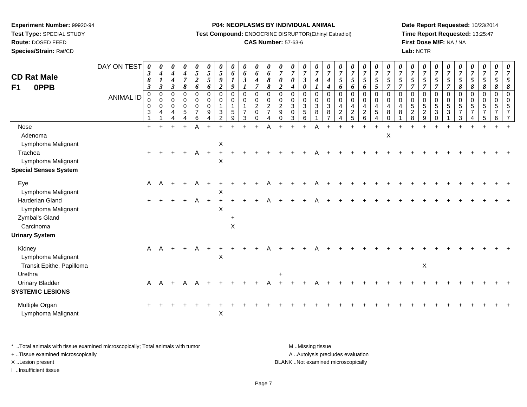**Test Type:** SPECIAL STUDY

**Route:** DOSED FEED

**Species/Strain:** Rat/CD

### **P04: NEOPLASMS BY INDIVIDUAL ANIMAL**

**Test Compound:** ENDOCRINE DISRUPTOR(Ethinyl Estradiol)

# **CAS Number:** 57-63-6

**Date Report Requested:** 10/23/2014**Time Report Requested:** 13:25:47**First Dose M/F:** NA / NA**Lab:** NCTR

| <b>CD Rat Male</b><br>0PPB<br>F <sub>1</sub>                         | DAY ON TEST<br><b>ANIMAL ID</b> | 0<br>$\boldsymbol{\beta}$<br>8<br>$\boldsymbol{\beta}$<br>0<br>0<br>0<br>3 | 0<br>$\boldsymbol{4}$<br>$\boldsymbol{l}$<br>$\mathfrak{z}$<br>0<br>$\mathbf 0$<br>0<br>4 | 0<br>$\boldsymbol{4}$<br>$\boldsymbol{4}$<br>$\boldsymbol{\beta}$<br>$\mathbf 0$<br>$\pmb{0}$<br>$\mathbf 0$<br>$\overline{4}$ | 0<br>$\boldsymbol{4}$<br>$\overline{7}$<br>8<br>0<br>0<br>0<br>5<br>4 | $\boldsymbol{\theta}$<br>$\mathfrak{s}$<br>$\boldsymbol{2}$<br>$\pmb{6}$<br>$\pmb{0}$<br>$\mathbf 0$<br>$\mathbf 0$<br>$\overline{7}$<br>6 | 0<br>5<br>$5\overline{)}$<br>6<br>$\mathbf 0$<br>0<br>0<br>9<br>4 | 0<br>$\mathfrak{s}$<br>9<br>$\overline{\mathbf{c}}$<br>$\mathbf 0$<br>0<br>3<br>$\overline{2}$ | 0<br>6<br>9<br>$\mathbf 0$<br>0<br>1<br>5<br>9 | 0<br>6<br>$\boldsymbol{\beta}$<br>0<br>0<br>$\mathbf{1}$<br>$\overline{7}$<br>3 | 0<br>6<br>$\boldsymbol{4}$<br>$\overline{7}$<br>$\pmb{0}$<br>$\mathbf 0$<br>$\overline{2}$<br>$\mathbf 0$<br>$\mathbf 0$ | $\boldsymbol{\theta}$<br>6<br>8<br>$\pmb{8}$<br>$\mathbf 0$<br>0<br>$\overline{2}$<br>$\overline{7}$<br>4 | $\boldsymbol{\theta}$<br>$\overline{7}$<br>$\boldsymbol{\theta}$<br>$\boldsymbol{2}$<br>$\Omega$<br>0<br>$\sqrt{2}$<br>9<br>$\Omega$ | 0<br>$\overline{7}$<br>0<br>4<br>$\mathbf 0$<br>0<br>3<br>0<br>3 | 0<br>$\boldsymbol{7}$<br>$\boldsymbol{\beta}$<br>$\pmb{\theta}$<br>$\mathbf 0$<br>0<br>$\overline{3}$<br>$\overline{5}$<br>6 | 0<br>$\overline{7}$<br>$\boldsymbol{4}$<br>$\mathbf 0$<br>0<br>$\overline{3}$<br>8 | $\boldsymbol{\theta}$<br>$\overline{7}$<br>$\boldsymbol{4}$<br>$\boldsymbol{4}$<br>$\mathbf 0$<br>0<br>$\overline{3}$<br>8<br>$\overline{7}$ | $\boldsymbol{\theta}$<br>$\overline{7}$<br>$\overline{5}$<br>6<br>$\mathbf 0$<br>0<br>$\overline{4}$<br>$\sqrt{2}$<br>4 | 0<br>$\boldsymbol{7}$<br>$5\overline{)}$<br>6<br>0<br>0<br>4<br>$\overline{c}$<br>5 | 0<br>$\boldsymbol{7}$<br>$5\overline{)}$<br>6<br>$\,0\,$<br>$\pmb{0}$<br>$\overline{4}$<br>$\frac{2}{6}$ | 0<br>$\overline{7}$<br>$5\overline{)}$<br>$5\phantom{.0}$<br>$\pmb{0}$<br>$\pmb{0}$<br>4<br>5<br>4 | 0<br>$\overline{7}$<br>5<br>$\overline{7}$<br>$\mathbf 0$<br>$\mathbf 0$<br>4<br>8<br>0 | $\boldsymbol{\theta}$<br>$\overline{7}$<br>5<br>$\overline{7}$<br>$\mathbf 0$<br>0<br>4<br>8 | 0<br>$\overline{7}$<br>$\mathfrak{s}$<br>$\overline{7}$<br>0<br>0<br>5<br>$\overline{2}$<br>8 | 0<br>$\overline{7}$<br>$\mathfrak{s}$<br>$\overline{7}$<br>$\mathbf 0$<br>$\mathbf 0$<br>$\overline{5}$<br>$\overline{c}$<br>9 | 0<br>$\overline{7}$<br>5<br>$\overline{7}$<br>$\Omega$<br>0<br>5<br>3<br>0 | 0<br>$\overline{7}$<br>$\mathfrak{s}$<br>$\overline{7}$<br>$\mathbf 0$<br>0<br>5<br>3 | $\boldsymbol{\theta}$<br>$\overline{7}$<br>$\mathfrak{s}$<br>8<br>$\mathbf 0$<br>0<br>$\sqrt{5}$<br>$\overline{7}$<br>3 | $\boldsymbol{\theta}$<br>$\overline{7}$<br>$\sqrt{5}$<br>8<br>0<br>0<br>$\,$ 5 $\,$<br>$\overline{7}$<br>4 | 0<br>$\overline{7}$<br>$\sqrt{5}$<br>$\pmb{8}$<br>$\pmb{0}$<br>$\mathbf 0$<br>$\sqrt{5}$<br>$\overline{7}$<br>5 | $\theta$<br>$\overline{7}$<br>5<br>8<br>$\mathbf 0$<br>0<br>5<br>$\overline{7}$<br>6 | 7<br>-5<br>8<br>$\Omega$<br>$\Omega$<br>5 |
|----------------------------------------------------------------------|---------------------------------|----------------------------------------------------------------------------|-------------------------------------------------------------------------------------------|--------------------------------------------------------------------------------------------------------------------------------|-----------------------------------------------------------------------|--------------------------------------------------------------------------------------------------------------------------------------------|-------------------------------------------------------------------|------------------------------------------------------------------------------------------------|------------------------------------------------|---------------------------------------------------------------------------------|--------------------------------------------------------------------------------------------------------------------------|-----------------------------------------------------------------------------------------------------------|--------------------------------------------------------------------------------------------------------------------------------------|------------------------------------------------------------------|------------------------------------------------------------------------------------------------------------------------------|------------------------------------------------------------------------------------|----------------------------------------------------------------------------------------------------------------------------------------------|-------------------------------------------------------------------------------------------------------------------------|-------------------------------------------------------------------------------------|----------------------------------------------------------------------------------------------------------|----------------------------------------------------------------------------------------------------|-----------------------------------------------------------------------------------------|----------------------------------------------------------------------------------------------|-----------------------------------------------------------------------------------------------|--------------------------------------------------------------------------------------------------------------------------------|----------------------------------------------------------------------------|---------------------------------------------------------------------------------------|-------------------------------------------------------------------------------------------------------------------------|------------------------------------------------------------------------------------------------------------|-----------------------------------------------------------------------------------------------------------------|--------------------------------------------------------------------------------------|-------------------------------------------|
| Nose<br>Adenoma<br>Lymphoma Malignant                                |                                 | $\ddot{}$                                                                  |                                                                                           |                                                                                                                                | $+$                                                                   |                                                                                                                                            |                                                                   | $\boldsymbol{\mathsf{X}}$                                                                      |                                                |                                                                                 |                                                                                                                          | А                                                                                                         |                                                                                                                                      |                                                                  |                                                                                                                              |                                                                                    |                                                                                                                                              |                                                                                                                         |                                                                                     |                                                                                                          |                                                                                                    | $\mathsf X$                                                                             |                                                                                              |                                                                                               |                                                                                                                                |                                                                            |                                                                                       |                                                                                                                         |                                                                                                            |                                                                                                                 |                                                                                      |                                           |
| Trachea<br>Lymphoma Malignant<br><b>Special Senses System</b>        |                                 |                                                                            |                                                                                           |                                                                                                                                |                                                                       |                                                                                                                                            |                                                                   | X                                                                                              |                                                |                                                                                 |                                                                                                                          |                                                                                                           |                                                                                                                                      |                                                                  |                                                                                                                              |                                                                                    |                                                                                                                                              |                                                                                                                         |                                                                                     |                                                                                                          |                                                                                                    |                                                                                         |                                                                                              |                                                                                               |                                                                                                                                |                                                                            |                                                                                       |                                                                                                                         |                                                                                                            |                                                                                                                 |                                                                                      |                                           |
| Eye<br>Lymphoma Malignant                                            |                                 | A                                                                          |                                                                                           |                                                                                                                                |                                                                       |                                                                                                                                            |                                                                   | X                                                                                              |                                                |                                                                                 |                                                                                                                          |                                                                                                           |                                                                                                                                      |                                                                  |                                                                                                                              |                                                                                    |                                                                                                                                              |                                                                                                                         |                                                                                     |                                                                                                          |                                                                                                    |                                                                                         |                                                                                              |                                                                                               |                                                                                                                                |                                                                            |                                                                                       |                                                                                                                         |                                                                                                            |                                                                                                                 |                                                                                      |                                           |
| Harderian Gland<br>Lymphoma Malignant<br>Zymbal's Gland<br>Carcinoma |                                 |                                                                            |                                                                                           |                                                                                                                                |                                                                       | A                                                                                                                                          | $+$                                                               | X                                                                                              | $\ddot{}$<br>$\mathsf{X}$                      |                                                                                 |                                                                                                                          |                                                                                                           |                                                                                                                                      |                                                                  |                                                                                                                              |                                                                                    |                                                                                                                                              |                                                                                                                         |                                                                                     |                                                                                                          |                                                                                                    |                                                                                         |                                                                                              |                                                                                               |                                                                                                                                |                                                                            |                                                                                       |                                                                                                                         |                                                                                                            |                                                                                                                 |                                                                                      |                                           |
| <b>Urinary System</b>                                                |                                 |                                                                            |                                                                                           |                                                                                                                                |                                                                       |                                                                                                                                            |                                                                   |                                                                                                |                                                |                                                                                 |                                                                                                                          |                                                                                                           |                                                                                                                                      |                                                                  |                                                                                                                              |                                                                                    |                                                                                                                                              |                                                                                                                         |                                                                                     |                                                                                                          |                                                                                                    |                                                                                         |                                                                                              |                                                                                               |                                                                                                                                |                                                                            |                                                                                       |                                                                                                                         |                                                                                                            |                                                                                                                 |                                                                                      |                                           |
| Kidney<br>Lymphoma Malignant<br>Transit Epithe, Papilloma            |                                 | Α                                                                          |                                                                                           |                                                                                                                                |                                                                       |                                                                                                                                            |                                                                   | $\mathsf X$                                                                                    |                                                |                                                                                 |                                                                                                                          |                                                                                                           |                                                                                                                                      |                                                                  |                                                                                                                              |                                                                                    |                                                                                                                                              |                                                                                                                         |                                                                                     |                                                                                                          |                                                                                                    |                                                                                         |                                                                                              |                                                                                               | $\boldsymbol{\mathsf{X}}$                                                                                                      |                                                                            |                                                                                       |                                                                                                                         |                                                                                                            |                                                                                                                 |                                                                                      |                                           |
| Urethra                                                              |                                 |                                                                            |                                                                                           |                                                                                                                                |                                                                       |                                                                                                                                            |                                                                   |                                                                                                |                                                |                                                                                 |                                                                                                                          |                                                                                                           |                                                                                                                                      |                                                                  |                                                                                                                              |                                                                                    |                                                                                                                                              |                                                                                                                         |                                                                                     |                                                                                                          |                                                                                                    |                                                                                         |                                                                                              |                                                                                               |                                                                                                                                |                                                                            |                                                                                       |                                                                                                                         |                                                                                                            |                                                                                                                 |                                                                                      |                                           |
| <b>Urinary Bladder</b><br><b>SYSTEMIC LESIONS</b>                    |                                 | Α                                                                          |                                                                                           |                                                                                                                                |                                                                       |                                                                                                                                            |                                                                   |                                                                                                |                                                |                                                                                 |                                                                                                                          |                                                                                                           |                                                                                                                                      |                                                                  |                                                                                                                              |                                                                                    |                                                                                                                                              |                                                                                                                         |                                                                                     |                                                                                                          |                                                                                                    |                                                                                         |                                                                                              |                                                                                               |                                                                                                                                |                                                                            |                                                                                       |                                                                                                                         |                                                                                                            |                                                                                                                 |                                                                                      |                                           |
| Multiple Organ<br>Lymphoma Malignant                                 |                                 |                                                                            |                                                                                           |                                                                                                                                |                                                                       |                                                                                                                                            |                                                                   | X                                                                                              |                                                |                                                                                 |                                                                                                                          |                                                                                                           |                                                                                                                                      |                                                                  |                                                                                                                              |                                                                                    |                                                                                                                                              |                                                                                                                         |                                                                                     |                                                                                                          |                                                                                                    |                                                                                         |                                                                                              |                                                                                               |                                                                                                                                |                                                                            |                                                                                       |                                                                                                                         |                                                                                                            |                                                                                                                 |                                                                                      |                                           |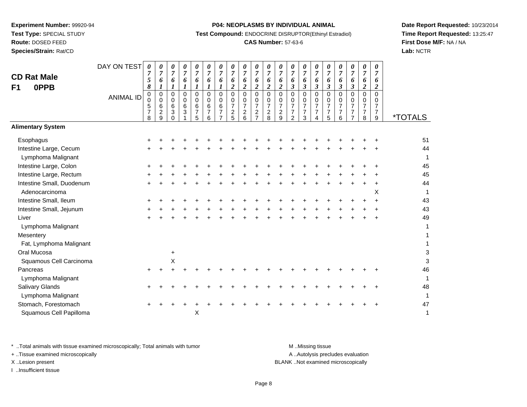**Route:** DOSED FEED

**Species/Strain:** Rat/CD

#### **P04: NEOPLASMS BY INDIVIDUAL ANIMAL**

**Test Compound:** ENDOCRINE DISRUPTOR(Ethinyl Estradiol)

### **CAS Number:** 57-63-6

**Date Report Requested:** 10/23/2014**Time Report Requested:** 13:25:47**First Dose M/F:** NA / NA**Lab:** NCTR

| DAY ON TEST<br>0<br>0<br>0<br>0<br>0<br>0<br>0<br>0<br>0<br>0<br>0<br>$\overline{7}$<br>$\overline{7}$<br>$\overline{7}$<br>$\overline{7}$<br>$\overline{7}$<br>$\overline{7}$<br>$\boldsymbol{7}$<br>$\overline{7}$<br>7<br>$\overline{7}$<br>7<br><b>CD Rat Male</b><br>5<br>6<br>6<br>6<br>6<br>6<br>6<br>6<br>6<br>6<br>6<br>$\overline{2}$<br>8<br>$\boldsymbol{l}$<br>$\boldsymbol{l}$<br>$\overline{2}$<br>$\boldsymbol{l}$<br>1<br>1<br>$\overline{2}$<br>$\overline{2}$<br>0PPB<br>F <sub>1</sub><br>$\mathbf 0$<br>$\pmb{0}$<br>$\pmb{0}$<br>$\pmb{0}$<br>0<br>$\Omega$<br>$\Omega$<br>$\mathbf 0$<br>0<br>$\mathbf 0$<br>$\mathbf 0$<br><b>ANIMAL ID</b><br>$\mathbf 0$<br>0<br>$\mathbf 0$<br>$\Omega$<br>$\mathbf 0$<br>$\mathbf 0$<br>$\Omega$<br>0<br>$\mathbf 0$<br>0<br>$\mathbf 0$<br>$\,6\,$<br>6<br>$\,6\,$<br>$\,6$<br>$\overline{7}$<br>6<br>$\overline{7}$<br>$\overline{7}$<br>5<br>6<br>$\overline{7}$<br>$\overline{7}$<br>$\overline{c}$<br>$\frac{2}{8}$<br>$\overline{7}$<br>3<br>$\mathbf{3}$<br>$\overline{7}$<br>$\overline{7}$<br>$\overline{c}$<br>$\overline{c}$<br>$\overline{c}$<br>5<br>6<br>$\overline{7}$<br>9<br>5<br>6<br>$\overline{7}$<br>8<br>$\Omega$ | 0<br>0<br>0<br>0<br>0<br>0<br>0<br>0<br>0<br>$\overline{7}$<br>$\overline{7}$<br>$\overline{7}$<br>$\boldsymbol{7}$<br>$\overline{7}$<br>$\overline{7}$<br>$\overline{7}$<br>$\overline{7}$<br>$\overline{7}$<br>6<br>6<br>6<br>6<br>6<br>6<br>6<br>6<br>6<br>$\overline{\mathbf{c}}$<br>$\mathfrak{z}$<br>$\boldsymbol{\beta}$<br>3<br>$\overline{c}$<br>$\boldsymbol{\beta}$<br>$\boldsymbol{\beta}$<br>$\boldsymbol{\beta}$<br>$\overline{2}$<br>$\pmb{0}$<br>$\mathbf 0$<br>$\mathsf 0$<br>0<br>$\Omega$<br>$\pmb{0}$<br>$\pmb{0}$<br>$\mathbf 0$<br>$\mathbf 0$<br>$\mathbf 0$<br>$\mathbf 0$<br>$\mathbf 0$<br>$\mathbf 0$<br>0<br>0<br>$\mathbf 0$<br>0<br>$\Omega$<br>$\overline{7}$<br>$\overline{7}$<br>$\overline{7}$<br>$\overline{7}$<br>7<br>$\overline{7}$<br>$\overline{\mathbf{7}}$<br>$\overline{7}$<br>7<br>$\mathbf 2$<br>$\overline{7}$<br>$\boldsymbol{7}$<br>$\boldsymbol{7}$<br>$\overline{7}$<br>$\boldsymbol{7}$<br>$\overline{7}$<br>$\overline{7}$<br>$\overline{7}$<br><i><b>*TOTALS</b></i><br>9<br>8<br>2<br>3<br>5<br>6<br>$\overline{7}$<br>9<br>4 |
|-----------------------------------------------------------------------------------------------------------------------------------------------------------------------------------------------------------------------------------------------------------------------------------------------------------------------------------------------------------------------------------------------------------------------------------------------------------------------------------------------------------------------------------------------------------------------------------------------------------------------------------------------------------------------------------------------------------------------------------------------------------------------------------------------------------------------------------------------------------------------------------------------------------------------------------------------------------------------------------------------------------------------------------------------------------------------------------------------------------------------------------------------------------------------------------------------------|-------------------------------------------------------------------------------------------------------------------------------------------------------------------------------------------------------------------------------------------------------------------------------------------------------------------------------------------------------------------------------------------------------------------------------------------------------------------------------------------------------------------------------------------------------------------------------------------------------------------------------------------------------------------------------------------------------------------------------------------------------------------------------------------------------------------------------------------------------------------------------------------------------------------------------------------------------------------------------------------------------------------------------------------------------------------------------------|
| <b>Alimentary System</b>                                                                                                                                                                                                                                                                                                                                                                                                                                                                                                                                                                                                                                                                                                                                                                                                                                                                                                                                                                                                                                                                                                                                                                            |                                                                                                                                                                                                                                                                                                                                                                                                                                                                                                                                                                                                                                                                                                                                                                                                                                                                                                                                                                                                                                                                                     |
| Esophagus                                                                                                                                                                                                                                                                                                                                                                                                                                                                                                                                                                                                                                                                                                                                                                                                                                                                                                                                                                                                                                                                                                                                                                                           | 51                                                                                                                                                                                                                                                                                                                                                                                                                                                                                                                                                                                                                                                                                                                                                                                                                                                                                                                                                                                                                                                                                  |
| Intestine Large, Cecum                                                                                                                                                                                                                                                                                                                                                                                                                                                                                                                                                                                                                                                                                                                                                                                                                                                                                                                                                                                                                                                                                                                                                                              | 44                                                                                                                                                                                                                                                                                                                                                                                                                                                                                                                                                                                                                                                                                                                                                                                                                                                                                                                                                                                                                                                                                  |
| Lymphoma Malignant                                                                                                                                                                                                                                                                                                                                                                                                                                                                                                                                                                                                                                                                                                                                                                                                                                                                                                                                                                                                                                                                                                                                                                                  |                                                                                                                                                                                                                                                                                                                                                                                                                                                                                                                                                                                                                                                                                                                                                                                                                                                                                                                                                                                                                                                                                     |
| Intestine Large, Colon                                                                                                                                                                                                                                                                                                                                                                                                                                                                                                                                                                                                                                                                                                                                                                                                                                                                                                                                                                                                                                                                                                                                                                              | 45                                                                                                                                                                                                                                                                                                                                                                                                                                                                                                                                                                                                                                                                                                                                                                                                                                                                                                                                                                                                                                                                                  |
| Intestine Large, Rectum                                                                                                                                                                                                                                                                                                                                                                                                                                                                                                                                                                                                                                                                                                                                                                                                                                                                                                                                                                                                                                                                                                                                                                             | 45                                                                                                                                                                                                                                                                                                                                                                                                                                                                                                                                                                                                                                                                                                                                                                                                                                                                                                                                                                                                                                                                                  |
| Intestine Small, Duodenum                                                                                                                                                                                                                                                                                                                                                                                                                                                                                                                                                                                                                                                                                                                                                                                                                                                                                                                                                                                                                                                                                                                                                                           | 44                                                                                                                                                                                                                                                                                                                                                                                                                                                                                                                                                                                                                                                                                                                                                                                                                                                                                                                                                                                                                                                                                  |
| Adenocarcinoma                                                                                                                                                                                                                                                                                                                                                                                                                                                                                                                                                                                                                                                                                                                                                                                                                                                                                                                                                                                                                                                                                                                                                                                      | X<br>1                                                                                                                                                                                                                                                                                                                                                                                                                                                                                                                                                                                                                                                                                                                                                                                                                                                                                                                                                                                                                                                                              |
| Intestine Small, Ileum                                                                                                                                                                                                                                                                                                                                                                                                                                                                                                                                                                                                                                                                                                                                                                                                                                                                                                                                                                                                                                                                                                                                                                              | 43                                                                                                                                                                                                                                                                                                                                                                                                                                                                                                                                                                                                                                                                                                                                                                                                                                                                                                                                                                                                                                                                                  |
| Intestine Small, Jejunum                                                                                                                                                                                                                                                                                                                                                                                                                                                                                                                                                                                                                                                                                                                                                                                                                                                                                                                                                                                                                                                                                                                                                                            | 43                                                                                                                                                                                                                                                                                                                                                                                                                                                                                                                                                                                                                                                                                                                                                                                                                                                                                                                                                                                                                                                                                  |
| Liver                                                                                                                                                                                                                                                                                                                                                                                                                                                                                                                                                                                                                                                                                                                                                                                                                                                                                                                                                                                                                                                                                                                                                                                               | 49                                                                                                                                                                                                                                                                                                                                                                                                                                                                                                                                                                                                                                                                                                                                                                                                                                                                                                                                                                                                                                                                                  |
| Lymphoma Malignant                                                                                                                                                                                                                                                                                                                                                                                                                                                                                                                                                                                                                                                                                                                                                                                                                                                                                                                                                                                                                                                                                                                                                                                  | 1                                                                                                                                                                                                                                                                                                                                                                                                                                                                                                                                                                                                                                                                                                                                                                                                                                                                                                                                                                                                                                                                                   |
| Mesentery                                                                                                                                                                                                                                                                                                                                                                                                                                                                                                                                                                                                                                                                                                                                                                                                                                                                                                                                                                                                                                                                                                                                                                                           |                                                                                                                                                                                                                                                                                                                                                                                                                                                                                                                                                                                                                                                                                                                                                                                                                                                                                                                                                                                                                                                                                     |
| Fat, Lymphoma Malignant                                                                                                                                                                                                                                                                                                                                                                                                                                                                                                                                                                                                                                                                                                                                                                                                                                                                                                                                                                                                                                                                                                                                                                             |                                                                                                                                                                                                                                                                                                                                                                                                                                                                                                                                                                                                                                                                                                                                                                                                                                                                                                                                                                                                                                                                                     |
| Oral Mucosa<br>$\ddot{}$                                                                                                                                                                                                                                                                                                                                                                                                                                                                                                                                                                                                                                                                                                                                                                                                                                                                                                                                                                                                                                                                                                                                                                            | 3                                                                                                                                                                                                                                                                                                                                                                                                                                                                                                                                                                                                                                                                                                                                                                                                                                                                                                                                                                                                                                                                                   |
| X<br>Squamous Cell Carcinoma                                                                                                                                                                                                                                                                                                                                                                                                                                                                                                                                                                                                                                                                                                                                                                                                                                                                                                                                                                                                                                                                                                                                                                        | 3                                                                                                                                                                                                                                                                                                                                                                                                                                                                                                                                                                                                                                                                                                                                                                                                                                                                                                                                                                                                                                                                                   |
| Pancreas                                                                                                                                                                                                                                                                                                                                                                                                                                                                                                                                                                                                                                                                                                                                                                                                                                                                                                                                                                                                                                                                                                                                                                                            | 46                                                                                                                                                                                                                                                                                                                                                                                                                                                                                                                                                                                                                                                                                                                                                                                                                                                                                                                                                                                                                                                                                  |
| Lymphoma Malignant                                                                                                                                                                                                                                                                                                                                                                                                                                                                                                                                                                                                                                                                                                                                                                                                                                                                                                                                                                                                                                                                                                                                                                                  |                                                                                                                                                                                                                                                                                                                                                                                                                                                                                                                                                                                                                                                                                                                                                                                                                                                                                                                                                                                                                                                                                     |
| <b>Salivary Glands</b>                                                                                                                                                                                                                                                                                                                                                                                                                                                                                                                                                                                                                                                                                                                                                                                                                                                                                                                                                                                                                                                                                                                                                                              | 48                                                                                                                                                                                                                                                                                                                                                                                                                                                                                                                                                                                                                                                                                                                                                                                                                                                                                                                                                                                                                                                                                  |
| Lymphoma Malignant                                                                                                                                                                                                                                                                                                                                                                                                                                                                                                                                                                                                                                                                                                                                                                                                                                                                                                                                                                                                                                                                                                                                                                                  |                                                                                                                                                                                                                                                                                                                                                                                                                                                                                                                                                                                                                                                                                                                                                                                                                                                                                                                                                                                                                                                                                     |
| Stomach, Forestomach<br>Squamous Cell Papilloma<br>X                                                                                                                                                                                                                                                                                                                                                                                                                                                                                                                                                                                                                                                                                                                                                                                                                                                                                                                                                                                                                                                                                                                                                | 47<br>1                                                                                                                                                                                                                                                                                                                                                                                                                                                                                                                                                                                                                                                                                                                                                                                                                                                                                                                                                                                                                                                                             |

\* ..Total animals with tissue examined microscopically; Total animals with tumor **M** . Missing tissue M ..Missing tissue

+ ..Tissue examined microscopically

I ..Insufficient tissue

A ..Autolysis precludes evaluation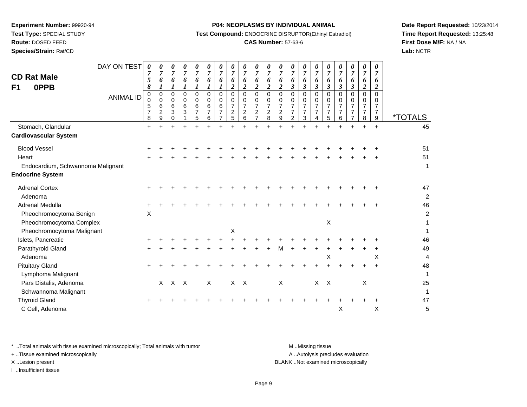**Route:** DOSED FEED

**Species/Strain:** Rat/CD

#### **P04: NEOPLASMS BY INDIVIDUAL ANIMAL**

**Test Compound:** ENDOCRINE DISRUPTOR(Ethinyl Estradiol)

### **CAS Number:** 57-63-6

**Date Report Requested:** 10/23/2014**Time Report Requested:** 13:25:48**First Dose M/F:** NA / NA**Lab:** NCTR

| <b>CD Rat Male</b><br>0PPB<br>F1<br>Stomach, Glandular                                       | DAY ON TEST<br><b>ANIMAL ID</b> | $\boldsymbol{\theta}$<br>$\overline{7}$<br>5<br>8<br>0<br>0<br>5<br>$\overline{7}$<br>8<br>$\ddot{}$ | 0<br>$\overline{7}$<br>6<br>1<br>$\mathbf 0$<br>0<br>$\,6$<br>$\boldsymbol{2}$<br>9<br>$\ddot{}$ | 0<br>$\overline{7}$<br>6<br>1<br>$\Omega$<br>$\mathbf 0$<br>6<br>3<br>0<br>$+$ | 0<br>$\overline{7}$<br>6<br>$\bm{l}$<br>$\mathbf 0$<br>$\mathbf 0$<br>$\,6\,$<br>$\mathbf{3}$<br>$\ddot{}$ | 0<br>$\overline{7}$<br>6<br>1<br>$\Omega$<br>0<br>6<br>$\overline{7}$<br>5<br>$\ddot{}$ | 0<br>$\overline{7}$<br>6<br>1<br>$\Omega$<br>0<br>$\,6$<br>$\overline{7}$<br>6 | 0<br>$\overline{7}$<br>6<br>1<br>$\mathbf 0$<br>0<br>6<br>$\overline{7}$<br>$\overline{7}$<br>+ | 0<br>$\boldsymbol{7}$<br>6<br>$\boldsymbol{2}$<br>$\mathbf 0$<br>0<br>$\overline{7}$<br>$\frac{2}{5}$<br>$\ddot{}$ | 0<br>$\overline{7}$<br>6<br>$\boldsymbol{2}$<br>$\Omega$<br>0<br>$\boldsymbol{7}$<br>$\frac{2}{6}$<br>$\ddot{}$ | 0<br>$\overline{7}$<br>6<br>$\boldsymbol{2}$<br>$\Omega$<br>0<br>7<br>$\overline{c}$<br>$\overline{7}$<br>$\ddot{}$ | 0<br>$\overline{7}$<br>6<br>$\boldsymbol{2}$<br>$\mathbf 0$<br>0<br>$\overline{7}$<br>$\frac{2}{8}$<br>$\ddot{}$ | 0<br>$\overline{7}$<br>6<br>$\overline{\mathbf{c}}$<br>$\Omega$<br>0<br>$\overline{7}$<br>$\frac{2}{9}$<br>$\ddot{}$ | 0<br>7<br>6<br>3<br>$\Omega$<br>0<br>7<br>$\overline{7}$<br>$\overline{2}$ | 0<br>7<br>6<br>3<br>$\Omega$<br>0<br>7<br>$\overline{7}$<br>3<br>$\ddot{}$ | 0<br>7<br>6<br>3<br>$\Omega$<br>0<br>7<br>$\overline{7}$<br>4<br>$+$ | 0<br>$\overline{7}$<br>6<br>$\boldsymbol{\beta}$<br>$\mathbf 0$<br>0<br>$\boldsymbol{7}$<br>$\overline{7}$<br>5<br>$+$ | 0<br>$\overline{7}$<br>6<br>$\boldsymbol{\beta}$<br>$\Omega$<br>$\mathbf 0$<br>$\overline{7}$<br>$\overline{7}$<br>6<br>$\ddot{}$ | 0<br>$\overline{7}$<br>6<br>$\boldsymbol{\mathfrak{z}}$<br>$\mathbf 0$<br>0<br>$\overline{7}$<br>$\overline{7}$<br>$\overline{7}$<br>+ | 0<br>$\overline{7}$<br>6<br>$\boldsymbol{2}$<br>$\Omega$<br>0<br>$\overline{7}$<br>$\overline{7}$<br>8 | 0<br>6<br>$\Omega$<br>0<br>7<br>$\overline{7}$<br>9<br>$+$ | <i><b>*TOTALS</b></i><br>45 |
|----------------------------------------------------------------------------------------------|---------------------------------|------------------------------------------------------------------------------------------------------|--------------------------------------------------------------------------------------------------|--------------------------------------------------------------------------------|------------------------------------------------------------------------------------------------------------|-----------------------------------------------------------------------------------------|--------------------------------------------------------------------------------|-------------------------------------------------------------------------------------------------|--------------------------------------------------------------------------------------------------------------------|-----------------------------------------------------------------------------------------------------------------|---------------------------------------------------------------------------------------------------------------------|------------------------------------------------------------------------------------------------------------------|----------------------------------------------------------------------------------------------------------------------|----------------------------------------------------------------------------|----------------------------------------------------------------------------|----------------------------------------------------------------------|------------------------------------------------------------------------------------------------------------------------|-----------------------------------------------------------------------------------------------------------------------------------|----------------------------------------------------------------------------------------------------------------------------------------|--------------------------------------------------------------------------------------------------------|------------------------------------------------------------|-----------------------------|
| <b>Cardiovascular System</b>                                                                 |                                 |                                                                                                      |                                                                                                  |                                                                                |                                                                                                            |                                                                                         |                                                                                |                                                                                                 |                                                                                                                    |                                                                                                                 |                                                                                                                     |                                                                                                                  |                                                                                                                      |                                                                            |                                                                            |                                                                      |                                                                                                                        |                                                                                                                                   |                                                                                                                                        |                                                                                                        |                                                            |                             |
| <b>Blood Vessel</b><br>Heart<br>Endocardium, Schwannoma Malignant<br><b>Endocrine System</b> |                                 |                                                                                                      |                                                                                                  |                                                                                |                                                                                                            |                                                                                         |                                                                                |                                                                                                 |                                                                                                                    |                                                                                                                 |                                                                                                                     |                                                                                                                  |                                                                                                                      |                                                                            |                                                                            |                                                                      |                                                                                                                        |                                                                                                                                   |                                                                                                                                        |                                                                                                        |                                                            | 51<br>51<br>1               |
| <b>Adrenal Cortex</b><br>Adenoma                                                             |                                 |                                                                                                      |                                                                                                  |                                                                                |                                                                                                            |                                                                                         |                                                                                |                                                                                                 |                                                                                                                    |                                                                                                                 |                                                                                                                     |                                                                                                                  |                                                                                                                      |                                                                            |                                                                            |                                                                      |                                                                                                                        |                                                                                                                                   |                                                                                                                                        |                                                                                                        |                                                            | 47<br>$\overline{c}$        |
| Adrenal Medulla<br>Pheochromocytoma Benign<br>Pheochromocytoma Complex                       |                                 | $\pmb{\times}$                                                                                       |                                                                                                  |                                                                                |                                                                                                            |                                                                                         |                                                                                |                                                                                                 |                                                                                                                    |                                                                                                                 |                                                                                                                     |                                                                                                                  |                                                                                                                      |                                                                            |                                                                            |                                                                      | X                                                                                                                      |                                                                                                                                   |                                                                                                                                        |                                                                                                        |                                                            | 46<br>$\overline{a}$<br>1   |
| Pheochromocytoma Malignant                                                                   |                                 |                                                                                                      |                                                                                                  |                                                                                |                                                                                                            |                                                                                         |                                                                                |                                                                                                 | X                                                                                                                  |                                                                                                                 |                                                                                                                     |                                                                                                                  |                                                                                                                      |                                                                            |                                                                            |                                                                      |                                                                                                                        |                                                                                                                                   |                                                                                                                                        |                                                                                                        |                                                            |                             |
| Islets, Pancreatic<br>Parathyroid Gland<br>Adenoma                                           |                                 |                                                                                                      |                                                                                                  |                                                                                |                                                                                                            |                                                                                         |                                                                                |                                                                                                 |                                                                                                                    |                                                                                                                 |                                                                                                                     |                                                                                                                  | м                                                                                                                    |                                                                            |                                                                            | $\ddot{}$                                                            | $\mathsf X$                                                                                                            |                                                                                                                                   |                                                                                                                                        |                                                                                                        | X                                                          | 46<br>49<br>4               |
| <b>Pituitary Gland</b><br>Lymphoma Malignant                                                 |                                 |                                                                                                      |                                                                                                  |                                                                                |                                                                                                            |                                                                                         |                                                                                |                                                                                                 |                                                                                                                    |                                                                                                                 |                                                                                                                     |                                                                                                                  |                                                                                                                      |                                                                            |                                                                            |                                                                      |                                                                                                                        |                                                                                                                                   |                                                                                                                                        |                                                                                                        |                                                            | 48<br>1                     |
| Pars Distalis, Adenoma<br>Schwannoma Malignant                                               |                                 |                                                                                                      | X                                                                                                | $\times$                                                                       | $\mathsf{X}$                                                                                               |                                                                                         | X                                                                              |                                                                                                 | $\times$                                                                                                           | $\mathsf{X}$                                                                                                    |                                                                                                                     |                                                                                                                  | X                                                                                                                    |                                                                            |                                                                            | $\times$                                                             | $\times$                                                                                                               |                                                                                                                                   |                                                                                                                                        | X                                                                                                      |                                                            | 25<br>1                     |
| <b>Thyroid Gland</b><br>C Cell, Adenoma                                                      |                                 |                                                                                                      |                                                                                                  |                                                                                |                                                                                                            |                                                                                         |                                                                                |                                                                                                 |                                                                                                                    |                                                                                                                 |                                                                                                                     |                                                                                                                  |                                                                                                                      |                                                                            |                                                                            |                                                                      |                                                                                                                        | Χ                                                                                                                                 |                                                                                                                                        |                                                                                                        | X                                                          | 47<br>5                     |

\* ..Total animals with tissue examined microscopically; Total animals with tumor **M** . Missing tissue M ..Missing tissue

+ ..Tissue examined microscopically

I ..Insufficient tissue

A ..Autolysis precludes evaluation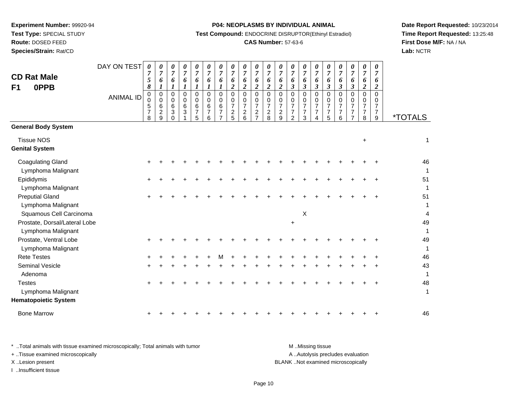**Route:** DOSED FEED

**Species/Strain:** Rat/CD

### **P04: NEOPLASMS BY INDIVIDUAL ANIMAL**

**Test Compound:** ENDOCRINE DISRUPTOR(Ethinyl Estradiol)

### **CAS Number:** 57-63-6

**Date Report Requested:** 10/23/2014**Time Report Requested:** 13:25:48**First Dose M/F:** NA / NA**Lab:** NCTR

| <b>CD Rat Male</b><br>0PPB<br>F <sub>1</sub>                                   | DAY ON TEST      | 0<br>$\overline{7}$<br>$\mathfrak{s}$<br>8 | 0<br>$\overline{7}$<br>6<br>1                | 0<br>$\overline{7}$<br>6<br>1 | 0<br>$\overline{7}$<br>6<br>1 | 0<br>$\overline{7}$<br>6<br>1      | $\boldsymbol{\theta}$<br>$\overline{7}$<br>6<br>1 | 0<br>$\overline{7}$<br>6                | 0<br>$\overline{7}$<br>6<br>$\boldsymbol{2}$              | 0<br>$\boldsymbol{7}$<br>6<br>$\boldsymbol{2}$            | 0<br>$\overline{7}$<br>6<br>$\overline{c}$                             | 0<br>$\overline{7}$<br>6<br>$\overline{c}$          | 0<br>$\overline{7}$<br>6<br>$\overline{c}$                         | 0<br>$\overline{7}$<br>6<br>$\mathfrak{z}$                   | 0<br>$\overline{7}$<br>6<br>$\mathfrak{z}$                  | 0<br>$\overline{7}$<br>6<br>$\mathfrak{z}$                | 0<br>$\overline{7}$<br>6<br>3                             | 0<br>$\overline{7}$<br>6<br>$\boldsymbol{\beta}$ | 0<br>$\overline{7}$<br>6<br>3                                          | $\pmb{\theta}$<br>$\overline{7}$<br>6<br>$\overline{a}$   | 0<br>$\overline{7}$<br>6<br>$\overline{c}$             |                       |
|--------------------------------------------------------------------------------|------------------|--------------------------------------------|----------------------------------------------|-------------------------------|-------------------------------|------------------------------------|---------------------------------------------------|-----------------------------------------|-----------------------------------------------------------|-----------------------------------------------------------|------------------------------------------------------------------------|-----------------------------------------------------|--------------------------------------------------------------------|--------------------------------------------------------------|-------------------------------------------------------------|-----------------------------------------------------------|-----------------------------------------------------------|--------------------------------------------------|------------------------------------------------------------------------|-----------------------------------------------------------|--------------------------------------------------------|-----------------------|
|                                                                                | <b>ANIMAL ID</b> | 0<br>0<br>5<br>$\overline{7}$<br>8         | $\mathbf 0$<br>0<br>6<br>$\overline{c}$<br>9 | 0<br>0<br>6<br>3<br>0         | $\mathbf 0$<br>0<br>6<br>3    | 0<br>0<br>6<br>$\overline{7}$<br>5 | $\Omega$<br>$\mathbf 0$<br>6<br>7<br>6            | $\mathbf 0$<br>0<br>6<br>$\overline{7}$ | $\mathbf 0$<br>0<br>$\overline{7}$<br>$\overline{2}$<br>5 | $\mathbf 0$<br>0<br>$\overline{7}$<br>$\overline{2}$<br>6 | $\mathbf 0$<br>0<br>$\overline{7}$<br>$\overline{c}$<br>$\overline{7}$ | $\mathbf 0$<br>0<br>$\overline{7}$<br>$\frac{2}{8}$ | $\mathbf 0$<br>0<br>$\overline{7}$<br>$\sqrt{2}$<br>$\overline{9}$ | 0<br>0<br>$\overline{7}$<br>$\overline{7}$<br>$\overline{2}$ | $\mathbf 0$<br>0<br>$\boldsymbol{7}$<br>$\overline{7}$<br>3 | $\mathbf 0$<br>0<br>$\overline{7}$<br>$\overline{7}$<br>4 | $\mathbf 0$<br>0<br>$\overline{7}$<br>$\overline{7}$<br>5 | 0<br>0<br>$\overline{7}$<br>$\overline{7}$<br>6  | $\mathbf 0$<br>0<br>$\overline{7}$<br>$\overline{7}$<br>$\overline{7}$ | $\mathbf 0$<br>0<br>$\overline{7}$<br>$\overline{7}$<br>8 | $\Omega$<br>0<br>$\overline{7}$<br>$\overline{7}$<br>9 | <i><b>*TOTALS</b></i> |
| <b>General Body System</b>                                                     |                  |                                            |                                              |                               |                               |                                    |                                                   |                                         |                                                           |                                                           |                                                                        |                                                     |                                                                    |                                                              |                                                             |                                                           |                                                           |                                                  |                                                                        |                                                           |                                                        |                       |
| <b>Tissue NOS</b><br><b>Genital System</b>                                     |                  |                                            |                                              |                               |                               |                                    |                                                   |                                         |                                                           |                                                           |                                                                        |                                                     |                                                                    |                                                              |                                                             |                                                           |                                                           |                                                  |                                                                        | $\ddot{}$                                                 |                                                        | 1                     |
| <b>Coagulating Gland</b><br>Lymphoma Malignant                                 |                  |                                            |                                              |                               |                               |                                    |                                                   |                                         |                                                           |                                                           |                                                                        |                                                     |                                                                    |                                                              |                                                             |                                                           |                                                           |                                                  |                                                                        |                                                           |                                                        | 46<br>$\mathbf{1}$    |
| Epididymis<br>Lymphoma Malignant                                               |                  |                                            |                                              |                               |                               |                                    |                                                   |                                         |                                                           |                                                           |                                                                        |                                                     |                                                                    |                                                              |                                                             |                                                           |                                                           |                                                  |                                                                        |                                                           |                                                        | 51<br>1               |
| <b>Preputial Gland</b><br>Lymphoma Malignant                                   |                  |                                            |                                              |                               |                               |                                    |                                                   |                                         |                                                           |                                                           |                                                                        |                                                     |                                                                    |                                                              |                                                             |                                                           |                                                           |                                                  |                                                                        |                                                           |                                                        | 51<br>1               |
| Squamous Cell Carcinoma<br>Prostate, Dorsal/Lateral Lobe<br>Lymphoma Malignant |                  |                                            |                                              |                               |                               |                                    |                                                   |                                         |                                                           |                                                           |                                                                        |                                                     |                                                                    | $\ddot{}$                                                    | $\pmb{\times}$                                              |                                                           |                                                           |                                                  |                                                                        |                                                           |                                                        | 4<br>49<br>1          |
| Prostate, Ventral Lobe<br>Lymphoma Malignant                                   |                  |                                            |                                              |                               |                               |                                    |                                                   |                                         |                                                           |                                                           |                                                                        |                                                     |                                                                    |                                                              |                                                             |                                                           |                                                           |                                                  |                                                                        |                                                           |                                                        | 49<br>$\mathbf{1}$    |
| <b>Rete Testes</b>                                                             |                  |                                            |                                              |                               |                               |                                    |                                                   |                                         |                                                           |                                                           |                                                                        |                                                     |                                                                    |                                                              |                                                             |                                                           |                                                           |                                                  |                                                                        |                                                           |                                                        | 46                    |
| <b>Seminal Vesicle</b><br>Adenoma                                              |                  | ٠                                          |                                              |                               |                               |                                    |                                                   |                                         |                                                           |                                                           |                                                                        |                                                     |                                                                    |                                                              |                                                             |                                                           |                                                           |                                                  |                                                                        |                                                           |                                                        | 43<br>$\mathbf{1}$    |
| <b>Testes</b><br>Lymphoma Malignant<br><b>Hematopoietic System</b>             |                  |                                            |                                              |                               |                               |                                    |                                                   |                                         |                                                           |                                                           |                                                                        |                                                     |                                                                    |                                                              |                                                             |                                                           |                                                           |                                                  |                                                                        |                                                           |                                                        | 48<br>1               |
| <b>Bone Marrow</b>                                                             |                  |                                            |                                              |                               |                               |                                    |                                                   |                                         |                                                           |                                                           |                                                                        |                                                     |                                                                    |                                                              |                                                             |                                                           |                                                           |                                                  |                                                                        |                                                           |                                                        | 46                    |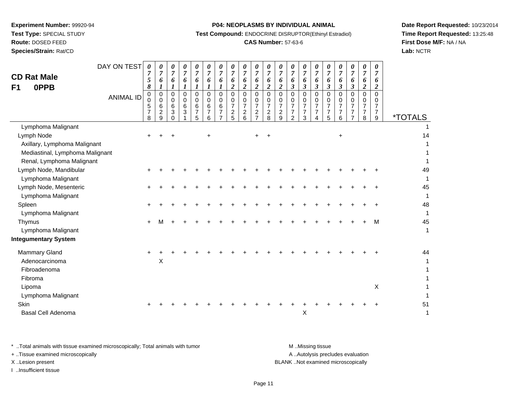**Route:** DOSED FEED

**Species/Strain:** Rat/CD

### **P04: NEOPLASMS BY INDIVIDUAL ANIMAL**

**Test Compound:** ENDOCRINE DISRUPTOR(Ethinyl Estradiol)

# **CAS Number:** 57-63-6

**Date Report Requested:** 10/23/2014**Time Report Requested:** 13:25:48**First Dose M/F:** NA / NA**Lab:** NCTR

| <b>CD Rat Male</b><br>0PPB<br>F1 | DAY ON TEST<br><b>ANIMAL ID</b> | 0<br>$\overline{7}$<br>5<br>8<br>0<br>0<br>5<br>$\overline{7}$<br>8 | 0<br>$\boldsymbol{7}$<br>6<br>1<br>0<br>0<br>6<br>$\overline{c}$<br>9 | 0<br>$\overline{7}$<br>6<br>1<br>0<br>0<br>6<br>3<br>$\Omega$ | 0<br>$\boldsymbol{7}$<br>6<br>1<br>0<br>0<br>6<br>3 | 0<br>$\overline{7}$<br>6<br>1<br>0<br>$\mathbf 0$<br>$\,6\,$<br>$\overline{7}$<br>5 | 0<br>$\overline{7}$<br>6<br>$\boldsymbol{l}$<br>0<br>$\mathbf 0$<br>$\,6$<br>$\overline{7}$<br>6 | 0<br>$\overline{7}$<br>6<br>1<br>$\pmb{0}$<br>0<br>6<br>$\overline{7}$<br>$\overline{7}$ | 0<br>$\overline{7}$<br>6<br>$\overline{c}$<br>$\mathbf 0$<br>0<br>$\overline{7}$<br>$\overline{c}$<br>5 | 0<br>$\boldsymbol{7}$<br>6<br>$\boldsymbol{2}$<br>$\pmb{0}$<br>0<br>$\boldsymbol{7}$<br>$\overline{c}$<br>6 | 0<br>$\overline{7}$<br>6<br>$\boldsymbol{2}$<br>$\mathbf 0$<br>0<br>$\overline{7}$<br>$\overline{2}$<br>$\overline{7}$ | 0<br>$\overline{7}$<br>6<br>2<br>0<br>0<br>$\overline{7}$<br>$\frac{2}{8}$ | 0<br>$\overline{7}$<br>6<br>$\overline{c}$<br>$\mathbf 0$<br>0<br>$\overline{7}$<br>$\overline{2}$<br>9 | 0<br>$\overline{7}$<br>6<br>3<br>0<br>0<br>7<br>$\overline{7}$<br>2 | 0<br>$\overline{7}$<br>6<br>$\boldsymbol{\beta}$<br>$\mathbf 0$<br>0<br>$\overline{7}$<br>$\overline{7}$<br>3 | 0<br>$\boldsymbol{7}$<br>6<br>3<br>$\mathbf 0$<br>0<br>$\overline{7}$<br>$\overline{7}$<br>4 | 0<br>$\overline{7}$<br>6<br>$\mathfrak{z}$<br>0<br>0<br>$\overline{7}$<br>$\overline{7}$<br>5 | 0<br>$\overline{7}$<br>6<br>3<br>$\pmb{0}$<br>0<br>$\overline{7}$<br>$\overline{7}$<br>6 | 0<br>$\overline{7}$<br>6<br>3<br>0<br>0<br>$\overline{7}$<br>7<br>$\overline{7}$ | 0<br>$\overline{7}$<br>6<br>$\overline{2}$<br>$\mathbf 0$<br>0<br>$\overline{7}$<br>$\overline{7}$<br>8 | 0<br>7<br>6<br>2<br>$\Omega$<br>0<br>$\overline{7}$<br>$\overline{7}$<br>9 | <i><b>*TOTALS</b></i> |
|----------------------------------|---------------------------------|---------------------------------------------------------------------|-----------------------------------------------------------------------|---------------------------------------------------------------|-----------------------------------------------------|-------------------------------------------------------------------------------------|--------------------------------------------------------------------------------------------------|------------------------------------------------------------------------------------------|---------------------------------------------------------------------------------------------------------|-------------------------------------------------------------------------------------------------------------|------------------------------------------------------------------------------------------------------------------------|----------------------------------------------------------------------------|---------------------------------------------------------------------------------------------------------|---------------------------------------------------------------------|---------------------------------------------------------------------------------------------------------------|----------------------------------------------------------------------------------------------|-----------------------------------------------------------------------------------------------|------------------------------------------------------------------------------------------|----------------------------------------------------------------------------------|---------------------------------------------------------------------------------------------------------|----------------------------------------------------------------------------|-----------------------|
| Lymphoma Malignant               |                                 |                                                                     |                                                                       |                                                               |                                                     |                                                                                     |                                                                                                  |                                                                                          |                                                                                                         |                                                                                                             |                                                                                                                        |                                                                            |                                                                                                         |                                                                     |                                                                                                               |                                                                                              |                                                                                               |                                                                                          |                                                                                  |                                                                                                         |                                                                            |                       |
| Lymph Node                       |                                 | $\ddot{}$                                                           |                                                                       |                                                               |                                                     |                                                                                     | $\ddot{}$                                                                                        |                                                                                          |                                                                                                         |                                                                                                             | $\ddot{}$                                                                                                              | $\ddot{}$                                                                  |                                                                                                         |                                                                     |                                                                                                               |                                                                                              |                                                                                               | $\ddot{}$                                                                                |                                                                                  |                                                                                                         |                                                                            | 14                    |
| Axillary, Lymphoma Malignant     |                                 |                                                                     |                                                                       |                                                               |                                                     |                                                                                     |                                                                                                  |                                                                                          |                                                                                                         |                                                                                                             |                                                                                                                        |                                                                            |                                                                                                         |                                                                     |                                                                                                               |                                                                                              |                                                                                               |                                                                                          |                                                                                  |                                                                                                         |                                                                            |                       |
| Mediastinal, Lymphoma Malignant  |                                 |                                                                     |                                                                       |                                                               |                                                     |                                                                                     |                                                                                                  |                                                                                          |                                                                                                         |                                                                                                             |                                                                                                                        |                                                                            |                                                                                                         |                                                                     |                                                                                                               |                                                                                              |                                                                                               |                                                                                          |                                                                                  |                                                                                                         |                                                                            |                       |
| Renal, Lymphoma Malignant        |                                 |                                                                     |                                                                       |                                                               |                                                     |                                                                                     |                                                                                                  |                                                                                          |                                                                                                         |                                                                                                             |                                                                                                                        |                                                                            |                                                                                                         |                                                                     |                                                                                                               |                                                                                              |                                                                                               |                                                                                          |                                                                                  |                                                                                                         |                                                                            |                       |
| Lymph Node, Mandibular           |                                 |                                                                     |                                                                       |                                                               |                                                     |                                                                                     |                                                                                                  |                                                                                          |                                                                                                         |                                                                                                             |                                                                                                                        |                                                                            |                                                                                                         |                                                                     |                                                                                                               |                                                                                              |                                                                                               |                                                                                          |                                                                                  |                                                                                                         |                                                                            | 49                    |
| Lymphoma Malignant               |                                 |                                                                     |                                                                       |                                                               |                                                     |                                                                                     |                                                                                                  |                                                                                          |                                                                                                         |                                                                                                             |                                                                                                                        |                                                                            |                                                                                                         |                                                                     |                                                                                                               |                                                                                              |                                                                                               |                                                                                          |                                                                                  |                                                                                                         |                                                                            | 1                     |
| Lymph Node, Mesenteric           |                                 |                                                                     |                                                                       |                                                               |                                                     |                                                                                     |                                                                                                  |                                                                                          |                                                                                                         |                                                                                                             |                                                                                                                        |                                                                            |                                                                                                         |                                                                     |                                                                                                               |                                                                                              |                                                                                               |                                                                                          |                                                                                  |                                                                                                         |                                                                            | 45                    |
| Lymphoma Malignant               |                                 |                                                                     |                                                                       |                                                               |                                                     |                                                                                     |                                                                                                  |                                                                                          |                                                                                                         |                                                                                                             |                                                                                                                        |                                                                            |                                                                                                         |                                                                     |                                                                                                               |                                                                                              |                                                                                               |                                                                                          |                                                                                  |                                                                                                         |                                                                            | 1                     |
| Spleen                           |                                 |                                                                     |                                                                       |                                                               |                                                     |                                                                                     |                                                                                                  |                                                                                          |                                                                                                         |                                                                                                             |                                                                                                                        |                                                                            |                                                                                                         |                                                                     |                                                                                                               |                                                                                              |                                                                                               |                                                                                          |                                                                                  |                                                                                                         |                                                                            | 48                    |
| Lymphoma Malignant               |                                 |                                                                     |                                                                       |                                                               |                                                     |                                                                                     |                                                                                                  |                                                                                          |                                                                                                         |                                                                                                             |                                                                                                                        |                                                                            |                                                                                                         |                                                                     |                                                                                                               |                                                                                              |                                                                                               |                                                                                          |                                                                                  |                                                                                                         | M                                                                          | $\mathbf{1}$<br>45    |
| Thymus<br>Lymphoma Malignant     |                                 | $\ddot{}$                                                           | м                                                                     |                                                               |                                                     |                                                                                     |                                                                                                  |                                                                                          |                                                                                                         |                                                                                                             |                                                                                                                        |                                                                            |                                                                                                         |                                                                     |                                                                                                               |                                                                                              |                                                                                               |                                                                                          |                                                                                  |                                                                                                         |                                                                            | 1                     |
| <b>Integumentary System</b>      |                                 |                                                                     |                                                                       |                                                               |                                                     |                                                                                     |                                                                                                  |                                                                                          |                                                                                                         |                                                                                                             |                                                                                                                        |                                                                            |                                                                                                         |                                                                     |                                                                                                               |                                                                                              |                                                                                               |                                                                                          |                                                                                  |                                                                                                         |                                                                            |                       |
| <b>Mammary Gland</b>             |                                 |                                                                     |                                                                       |                                                               |                                                     |                                                                                     |                                                                                                  |                                                                                          |                                                                                                         |                                                                                                             |                                                                                                                        |                                                                            |                                                                                                         |                                                                     |                                                                                                               |                                                                                              |                                                                                               |                                                                                          |                                                                                  |                                                                                                         |                                                                            | 44                    |
| Adenocarcinoma                   |                                 |                                                                     | $\times$                                                              |                                                               |                                                     |                                                                                     |                                                                                                  |                                                                                          |                                                                                                         |                                                                                                             |                                                                                                                        |                                                                            |                                                                                                         |                                                                     |                                                                                                               |                                                                                              |                                                                                               |                                                                                          |                                                                                  |                                                                                                         |                                                                            | 1                     |
| Fibroadenoma                     |                                 |                                                                     |                                                                       |                                                               |                                                     |                                                                                     |                                                                                                  |                                                                                          |                                                                                                         |                                                                                                             |                                                                                                                        |                                                                            |                                                                                                         |                                                                     |                                                                                                               |                                                                                              |                                                                                               |                                                                                          |                                                                                  |                                                                                                         |                                                                            | 1                     |
| Fibroma                          |                                 |                                                                     |                                                                       |                                                               |                                                     |                                                                                     |                                                                                                  |                                                                                          |                                                                                                         |                                                                                                             |                                                                                                                        |                                                                            |                                                                                                         |                                                                     |                                                                                                               |                                                                                              |                                                                                               |                                                                                          |                                                                                  |                                                                                                         |                                                                            |                       |
| Lipoma                           |                                 |                                                                     |                                                                       |                                                               |                                                     |                                                                                     |                                                                                                  |                                                                                          |                                                                                                         |                                                                                                             |                                                                                                                        |                                                                            |                                                                                                         |                                                                     |                                                                                                               |                                                                                              |                                                                                               |                                                                                          |                                                                                  |                                                                                                         | X                                                                          |                       |
| Lymphoma Malignant               |                                 |                                                                     |                                                                       |                                                               |                                                     |                                                                                     |                                                                                                  |                                                                                          |                                                                                                         |                                                                                                             |                                                                                                                        |                                                                            |                                                                                                         |                                                                     |                                                                                                               |                                                                                              |                                                                                               |                                                                                          |                                                                                  |                                                                                                         |                                                                            |                       |
| Skin                             |                                 |                                                                     |                                                                       |                                                               |                                                     |                                                                                     |                                                                                                  |                                                                                          |                                                                                                         |                                                                                                             |                                                                                                                        |                                                                            |                                                                                                         |                                                                     |                                                                                                               |                                                                                              |                                                                                               |                                                                                          |                                                                                  |                                                                                                         |                                                                            | 51                    |
| Basal Cell Adenoma               |                                 |                                                                     |                                                                       |                                                               |                                                     |                                                                                     |                                                                                                  |                                                                                          |                                                                                                         |                                                                                                             |                                                                                                                        |                                                                            |                                                                                                         |                                                                     | $\boldsymbol{\mathsf{X}}$                                                                                     |                                                                                              |                                                                                               |                                                                                          |                                                                                  |                                                                                                         |                                                                            | -1                    |
|                                  |                                 |                                                                     |                                                                       |                                                               |                                                     |                                                                                     |                                                                                                  |                                                                                          |                                                                                                         |                                                                                                             |                                                                                                                        |                                                                            |                                                                                                         |                                                                     |                                                                                                               |                                                                                              |                                                                                               |                                                                                          |                                                                                  |                                                                                                         |                                                                            |                       |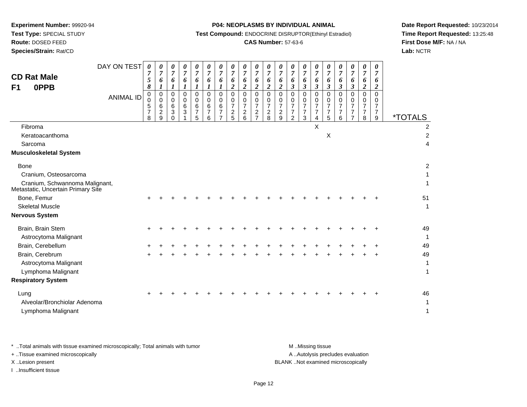**Route:** DOSED FEED

**Species/Strain:** Rat/CD

#### **P04: NEOPLASMS BY INDIVIDUAL ANIMAL**

**Test Compound:** ENDOCRINE DISRUPTOR(Ethinyl Estradiol)

### **CAS Number:** 57-63-6

**Date Report Requested:** 10/23/2014**Time Report Requested:** 13:25:48**First Dose M/F:** NA / NA**Lab:** NCTR

| <b>CD Rat Male</b><br>F1<br>0PPB                                     | DAY ON TEST<br><b>ANIMAL ID</b> | 0<br>7<br>5<br>8<br>0<br>0<br>5<br>$\overline{7}$<br>8 | 0<br>$\overline{7}$<br>6<br>1<br>0<br>0<br>6<br>2<br>9 | 0<br>7<br>6<br>1<br>0<br>0<br>6<br>3<br>0 | 0<br>$\overline{7}$<br>6<br>1<br>$\mathbf 0$<br>$\mathbf 0$<br>6<br>3 | 0<br>$\overline{7}$<br>6<br>$\mathbf 0$<br>0<br>6<br>$\overline{7}$<br>5 | 0<br>$\overline{7}$<br>6<br>1<br>$\mathbf 0$<br>0<br>6<br>$\overline{7}$<br>6 | 0<br>7<br>6<br>1<br>$\mathbf 0$<br>0<br>6<br>$\overline{7}$ | 0<br>$\overline{7}$<br>6<br>$\boldsymbol{2}$<br>0<br>0<br>$\overline{7}$<br>$\overline{\mathbf{c}}$<br>5 | 0<br>7<br>6<br>$\boldsymbol{2}$<br>$\Omega$<br>0<br>$\overline{7}$<br>$\overline{c}$<br>6 | 0<br>7<br>6<br>2<br>0<br>0<br>$\overline{7}$<br>$\overline{c}$<br>$\overline{ }$ | 0<br>$\overline{7}$<br>6<br>$\overline{c}$<br>0<br>0<br>$\overline{7}$<br>$\overline{2}$<br>8 | 0<br>7<br>6<br>$\boldsymbol{2}$<br>$\Omega$<br>0<br>$\overline{7}$<br>$\frac{2}{9}$ | 0<br>7<br>6<br>3<br>$\Omega$<br>0<br>7<br>$\overline{7}$<br>$\overline{2}$ | 0<br>7<br>6<br>3<br>$\Omega$<br>0<br>$\overline{7}$<br>$\overline{7}$<br>3 | 0<br>7<br>6<br>3<br>0<br>0<br>$\overline{7}$<br>$\overline{7}$ | 0<br>$\overline{7}$<br>6<br>$\boldsymbol{\beta}$<br>0<br>0<br>$\overline{7}$<br>$\overline{7}$<br>5 | 0<br>$\overline{7}$<br>6<br>3<br>0<br>0<br>$\overline{7}$<br>$\overline{7}$<br>6 | 0<br>$\overline{7}$<br>6<br>$\mathfrak{z}$<br>0<br>0<br>$\overline{7}$<br>7<br>$\overline{7}$ | 0<br>$\overline{7}$<br>6<br>$\boldsymbol{2}$<br>$\Omega$<br>0<br>$\overline{7}$<br>$\overline{7}$<br>8 | 0<br>6<br>2<br>$\Omega$<br>0<br>7<br>9 | <i><b>*TOTALS</b></i>   |
|----------------------------------------------------------------------|---------------------------------|--------------------------------------------------------|--------------------------------------------------------|-------------------------------------------|-----------------------------------------------------------------------|--------------------------------------------------------------------------|-------------------------------------------------------------------------------|-------------------------------------------------------------|----------------------------------------------------------------------------------------------------------|-------------------------------------------------------------------------------------------|----------------------------------------------------------------------------------|-----------------------------------------------------------------------------------------------|-------------------------------------------------------------------------------------|----------------------------------------------------------------------------|----------------------------------------------------------------------------|----------------------------------------------------------------|-----------------------------------------------------------------------------------------------------|----------------------------------------------------------------------------------|-----------------------------------------------------------------------------------------------|--------------------------------------------------------------------------------------------------------|----------------------------------------|-------------------------|
| Fibroma                                                              |                                 |                                                        |                                                        |                                           |                                                                       |                                                                          |                                                                               |                                                             |                                                                                                          |                                                                                           |                                                                                  |                                                                                               |                                                                                     |                                                                            |                                                                            | X                                                              |                                                                                                     |                                                                                  |                                                                                               |                                                                                                        |                                        |                         |
| Keratoacanthoma                                                      |                                 |                                                        |                                                        |                                           |                                                                       |                                                                          |                                                                               |                                                             |                                                                                                          |                                                                                           |                                                                                  |                                                                                               |                                                                                     |                                                                            |                                                                            |                                                                | Χ                                                                                                   |                                                                                  |                                                                                               |                                                                                                        |                                        | 2                       |
| Sarcoma                                                              |                                 |                                                        |                                                        |                                           |                                                                       |                                                                          |                                                                               |                                                             |                                                                                                          |                                                                                           |                                                                                  |                                                                                               |                                                                                     |                                                                            |                                                                            |                                                                |                                                                                                     |                                                                                  |                                                                                               |                                                                                                        |                                        | 4                       |
| <b>Musculoskeletal System</b>                                        |                                 |                                                        |                                                        |                                           |                                                                       |                                                                          |                                                                               |                                                             |                                                                                                          |                                                                                           |                                                                                  |                                                                                               |                                                                                     |                                                                            |                                                                            |                                                                |                                                                                                     |                                                                                  |                                                                                               |                                                                                                        |                                        |                         |
| <b>Bone</b>                                                          |                                 |                                                        |                                                        |                                           |                                                                       |                                                                          |                                                                               |                                                             |                                                                                                          |                                                                                           |                                                                                  |                                                                                               |                                                                                     |                                                                            |                                                                            |                                                                |                                                                                                     |                                                                                  |                                                                                               |                                                                                                        |                                        | $\overline{\mathbf{c}}$ |
| Cranium, Osteosarcoma                                                |                                 |                                                        |                                                        |                                           |                                                                       |                                                                          |                                                                               |                                                             |                                                                                                          |                                                                                           |                                                                                  |                                                                                               |                                                                                     |                                                                            |                                                                            |                                                                |                                                                                                     |                                                                                  |                                                                                               |                                                                                                        |                                        | 1                       |
| Cranium, Schwannoma Malignant,<br>Metastatic, Uncertain Primary Site |                                 |                                                        |                                                        |                                           |                                                                       |                                                                          |                                                                               |                                                             |                                                                                                          |                                                                                           |                                                                                  |                                                                                               |                                                                                     |                                                                            |                                                                            |                                                                |                                                                                                     |                                                                                  |                                                                                               |                                                                                                        |                                        | 1                       |
| Bone, Femur                                                          |                                 |                                                        |                                                        |                                           |                                                                       |                                                                          |                                                                               |                                                             |                                                                                                          |                                                                                           |                                                                                  |                                                                                               |                                                                                     |                                                                            |                                                                            |                                                                |                                                                                                     |                                                                                  |                                                                                               |                                                                                                        |                                        | 51                      |
| <b>Skeletal Muscle</b>                                               |                                 |                                                        |                                                        |                                           |                                                                       |                                                                          |                                                                               |                                                             |                                                                                                          |                                                                                           |                                                                                  |                                                                                               |                                                                                     |                                                                            |                                                                            |                                                                |                                                                                                     |                                                                                  |                                                                                               |                                                                                                        |                                        | $\mathbf{1}$            |
| <b>Nervous System</b>                                                |                                 |                                                        |                                                        |                                           |                                                                       |                                                                          |                                                                               |                                                             |                                                                                                          |                                                                                           |                                                                                  |                                                                                               |                                                                                     |                                                                            |                                                                            |                                                                |                                                                                                     |                                                                                  |                                                                                               |                                                                                                        |                                        |                         |
| Brain, Brain Stem<br>Astrocytoma Malignant                           |                                 |                                                        |                                                        |                                           |                                                                       |                                                                          |                                                                               |                                                             |                                                                                                          |                                                                                           |                                                                                  |                                                                                               |                                                                                     |                                                                            |                                                                            |                                                                |                                                                                                     |                                                                                  |                                                                                               |                                                                                                        |                                        | 49<br>1                 |
| Brain, Cerebellum                                                    |                                 |                                                        |                                                        |                                           |                                                                       |                                                                          |                                                                               |                                                             |                                                                                                          |                                                                                           |                                                                                  |                                                                                               |                                                                                     |                                                                            |                                                                            |                                                                |                                                                                                     |                                                                                  |                                                                                               |                                                                                                        |                                        | 49                      |
| Brain, Cerebrum<br>Astrocytoma Malignant<br>Lymphoma Malignant       |                                 |                                                        |                                                        |                                           |                                                                       |                                                                          |                                                                               |                                                             |                                                                                                          |                                                                                           |                                                                                  |                                                                                               |                                                                                     |                                                                            |                                                                            |                                                                |                                                                                                     |                                                                                  |                                                                                               |                                                                                                        |                                        | 49<br>$\mathbf 1$<br>1  |
| <b>Respiratory System</b>                                            |                                 |                                                        |                                                        |                                           |                                                                       |                                                                          |                                                                               |                                                             |                                                                                                          |                                                                                           |                                                                                  |                                                                                               |                                                                                     |                                                                            |                                                                            |                                                                |                                                                                                     |                                                                                  |                                                                                               |                                                                                                        |                                        |                         |
| Lung<br>Alveolar/Bronchiolar Adenoma<br>Lymphoma Malignant           |                                 |                                                        |                                                        |                                           |                                                                       |                                                                          |                                                                               |                                                             |                                                                                                          |                                                                                           |                                                                                  |                                                                                               |                                                                                     |                                                                            |                                                                            |                                                                |                                                                                                     |                                                                                  |                                                                                               |                                                                                                        |                                        | 46<br>1<br>1            |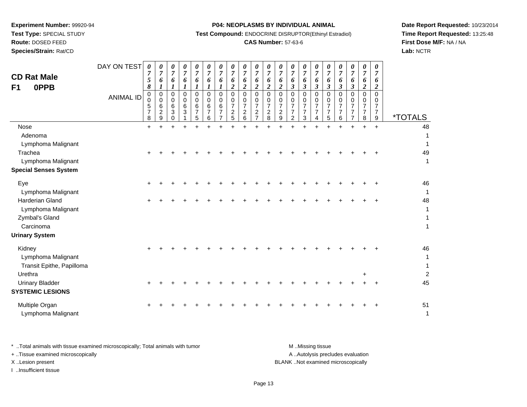**Route:** DOSED FEED**Species/Strain:** Rat/CD

#### **P04: NEOPLASMS BY INDIVIDUAL ANIMAL**

**Test Compound:** ENDOCRINE DISRUPTOR(Ethinyl Estradiol)

# **CAS Number:** 57-63-6

**Date Report Requested:** 10/23/2014**Time Report Requested:** 13:25:48**First Dose M/F:** NA / NA**Lab:** NCTR

| <b>CD Rat Male</b><br>0PPB<br>F1                                     | DAY ON TEST<br><b>ANIMAL ID</b> | 0<br>$\overline{7}$<br>5<br>8<br>0<br>$\mathbf 0$<br>5<br>$\overline{7}$<br>8 | 0<br>$\overline{7}$<br>6<br>1<br>$\pmb{0}$<br>$\mathbf 0$<br>$\,6\,$<br>$\boldsymbol{2}$<br>9 | 0<br>$\overline{7}$<br>6<br>$\Omega$<br>0<br>6<br>3<br>0 | 0<br>$\overline{7}$<br>6<br>1<br>$\Omega$<br>0<br>6<br>3 | 0<br>$\overline{7}$<br>6<br>1<br>$\Omega$<br>0<br>6<br>$\overline{7}$<br>5 | 0<br>$\boldsymbol{7}$<br>6<br>1<br>$\mathbf 0$<br>0<br>6<br>$\overline{7}$<br>6 | 0<br>$\overline{7}$<br>6<br>1<br>$\Omega$<br>0<br>6<br>7<br>$\overline{7}$ | 0<br>$\overline{7}$<br>6<br>$\overline{c}$<br>0<br>0<br>$\overline{7}$<br>$rac{2}{5}$ | 0<br>$\overline{7}$<br>6<br>$\overline{2}$<br>$\Omega$<br>$\mathbf 0$<br>$\overline{7}$<br>$\overline{2}$<br>6 | 0<br>$\overline{7}$<br>6<br>$\boldsymbol{2}$<br>$\Omega$<br>0<br>$\overline{7}$<br>$\overline{c}$<br>$\overline{7}$ | 0<br>7<br>6<br>$\boldsymbol{2}$<br>$\Omega$<br>0<br>$\overline{7}$<br>$\overline{c}$<br>8 | 0<br>7<br>6<br>$\boldsymbol{2}$<br>$\mathbf{0}$<br>0<br>$\overline{7}$<br>$\overline{c}$<br>9 | 0<br>7<br>6<br>$\boldsymbol{\beta}$<br>$\Omega$<br>0<br>$\overline{7}$<br>$\overline{7}$<br>$\overline{2}$ | 0<br>$\overline{7}$<br>6<br>$\boldsymbol{\beta}$<br>$\mathbf 0$<br>0<br>$\overline{7}$<br>$\overline{7}$<br>$\mathbf{3}$ | 0<br>$\overline{7}$<br>6<br>$\boldsymbol{\beta}$<br>$\Omega$<br>0<br>$\overline{7}$<br>$\overline{7}$<br>4 | 0<br>$\overline{7}$<br>6<br>$\boldsymbol{\beta}$<br>0<br>0<br>$\overline{7}$<br>$\overline{7}$<br>5 | 0<br>$\overline{7}$<br>6<br>$\boldsymbol{\beta}$<br>$\Omega$<br>0<br>$\overline{7}$<br>$\overline{7}$<br>6 | 0<br>$\overline{7}$<br>6<br>3<br>$\Omega$<br>0<br>$\overline{7}$<br>7<br>$\overline{7}$ | 0<br>$\overline{7}$<br>6<br>$\overline{2}$<br>$\Omega$<br>0<br>$\overline{7}$<br>$\boldsymbol{7}$<br>8 | 0<br>7<br>6<br>2<br>$\Omega$<br>0<br>$\overline{7}$<br>7<br>9 | <i><b>*TOTALS</b></i>                  |
|----------------------------------------------------------------------|---------------------------------|-------------------------------------------------------------------------------|-----------------------------------------------------------------------------------------------|----------------------------------------------------------|----------------------------------------------------------|----------------------------------------------------------------------------|---------------------------------------------------------------------------------|----------------------------------------------------------------------------|---------------------------------------------------------------------------------------|----------------------------------------------------------------------------------------------------------------|---------------------------------------------------------------------------------------------------------------------|-------------------------------------------------------------------------------------------|-----------------------------------------------------------------------------------------------|------------------------------------------------------------------------------------------------------------|--------------------------------------------------------------------------------------------------------------------------|------------------------------------------------------------------------------------------------------------|-----------------------------------------------------------------------------------------------------|------------------------------------------------------------------------------------------------------------|-----------------------------------------------------------------------------------------|--------------------------------------------------------------------------------------------------------|---------------------------------------------------------------|----------------------------------------|
| <b>Nose</b><br>Adenoma                                               |                                 | +                                                                             | 4                                                                                             |                                                          |                                                          |                                                                            |                                                                                 |                                                                            |                                                                                       |                                                                                                                |                                                                                                                     |                                                                                           |                                                                                               |                                                                                                            |                                                                                                                          |                                                                                                            |                                                                                                     |                                                                                                            |                                                                                         |                                                                                                        | $\ddot{}$                                                     | 48<br>1                                |
| Lymphoma Malignant                                                   |                                 |                                                                               |                                                                                               |                                                          |                                                          |                                                                            |                                                                                 |                                                                            |                                                                                       |                                                                                                                |                                                                                                                     |                                                                                           |                                                                                               |                                                                                                            |                                                                                                                          |                                                                                                            |                                                                                                     |                                                                                                            |                                                                                         |                                                                                                        |                                                               | 1                                      |
| Trachea<br>Lymphoma Malignant                                        |                                 | ÷.                                                                            |                                                                                               |                                                          |                                                          |                                                                            |                                                                                 |                                                                            |                                                                                       |                                                                                                                |                                                                                                                     |                                                                                           |                                                                                               |                                                                                                            |                                                                                                                          |                                                                                                            |                                                                                                     |                                                                                                            |                                                                                         |                                                                                                        |                                                               | 49<br>$\mathbf 1$                      |
| <b>Special Senses System</b>                                         |                                 |                                                                               |                                                                                               |                                                          |                                                          |                                                                            |                                                                                 |                                                                            |                                                                                       |                                                                                                                |                                                                                                                     |                                                                                           |                                                                                               |                                                                                                            |                                                                                                                          |                                                                                                            |                                                                                                     |                                                                                                            |                                                                                         |                                                                                                        |                                                               |                                        |
| Eye<br>Lymphoma Malignant                                            |                                 |                                                                               |                                                                                               |                                                          |                                                          |                                                                            |                                                                                 |                                                                            |                                                                                       |                                                                                                                |                                                                                                                     |                                                                                           |                                                                                               |                                                                                                            |                                                                                                                          |                                                                                                            |                                                                                                     |                                                                                                            |                                                                                         |                                                                                                        |                                                               | 46<br>$\mathbf 1$                      |
| Harderian Gland<br>Lymphoma Malignant<br>Zymbal's Gland<br>Carcinoma |                                 |                                                                               |                                                                                               |                                                          |                                                          |                                                                            |                                                                                 |                                                                            |                                                                                       |                                                                                                                |                                                                                                                     |                                                                                           |                                                                                               |                                                                                                            |                                                                                                                          |                                                                                                            |                                                                                                     |                                                                                                            |                                                                                         |                                                                                                        |                                                               | 48<br>1<br>$\mathbf 1$<br>$\mathbf{1}$ |
| <b>Urinary System</b>                                                |                                 |                                                                               |                                                                                               |                                                          |                                                          |                                                                            |                                                                                 |                                                                            |                                                                                       |                                                                                                                |                                                                                                                     |                                                                                           |                                                                                               |                                                                                                            |                                                                                                                          |                                                                                                            |                                                                                                     |                                                                                                            |                                                                                         |                                                                                                        |                                                               |                                        |
| Kidney<br>Lymphoma Malignant<br>Transit Epithe, Papilloma            |                                 |                                                                               |                                                                                               |                                                          |                                                          |                                                                            |                                                                                 |                                                                            |                                                                                       |                                                                                                                |                                                                                                                     |                                                                                           |                                                                                               |                                                                                                            |                                                                                                                          |                                                                                                            |                                                                                                     |                                                                                                            |                                                                                         |                                                                                                        |                                                               | 46<br>$\mathbf 1$<br>$\mathbf 1$       |
| Urethra                                                              |                                 |                                                                               |                                                                                               |                                                          |                                                          |                                                                            |                                                                                 |                                                                            |                                                                                       |                                                                                                                |                                                                                                                     |                                                                                           |                                                                                               |                                                                                                            |                                                                                                                          |                                                                                                            |                                                                                                     |                                                                                                            |                                                                                         | +                                                                                                      |                                                               | $\overline{a}$                         |
| <b>Urinary Bladder</b><br><b>SYSTEMIC LESIONS</b>                    |                                 |                                                                               |                                                                                               |                                                          |                                                          |                                                                            |                                                                                 |                                                                            |                                                                                       |                                                                                                                |                                                                                                                     |                                                                                           |                                                                                               |                                                                                                            |                                                                                                                          |                                                                                                            |                                                                                                     |                                                                                                            |                                                                                         |                                                                                                        |                                                               | 45                                     |
| Multiple Organ<br>Lymphoma Malignant                                 |                                 |                                                                               |                                                                                               |                                                          |                                                          |                                                                            |                                                                                 |                                                                            |                                                                                       |                                                                                                                |                                                                                                                     |                                                                                           |                                                                                               |                                                                                                            |                                                                                                                          |                                                                                                            |                                                                                                     |                                                                                                            |                                                                                         |                                                                                                        |                                                               | 51<br>$\mathbf 1$                      |

| * Total animals with tissue examined microscopically; Total animals with tumor | M Missing tissue                   |
|--------------------------------------------------------------------------------|------------------------------------|
| + Tissue examined microscopically                                              | A Autolysis precludes evaluation   |
| X Lesion present                                                               | BLANK Not examined microscopically |
| …Insufficient tissue                                                           |                                    |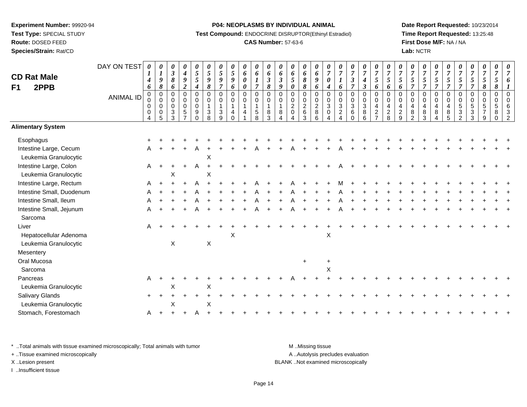**Route:** DOSED FEED

**Species/Strain:** Rat/CD

#### **P04: NEOPLASMS BY INDIVIDUAL ANIMAL**

**Test Compound:** ENDOCRINE DISRUPTOR(Ethinyl Estradiol)

# **CAS Number:** 57-63-6

**Date Report Requested:** 10/23/2014**Time Report Requested:** 13:25:48**First Dose M/F:** NA / NA**Lab:** NCTR

| <b>CD Rat Male</b><br>2PPB<br>F <sub>1</sub>    | DAY ON TEST<br><b>ANIMAL ID</b> | $\boldsymbol{\theta}$<br>$\boldsymbol{4}$<br>6<br>$\pmb{0}$<br>$\mathbf 0$<br>0<br>0<br>4 | 0<br>$\boldsymbol{l}$<br>9<br>8<br>$\pmb{0}$<br>0<br>0<br>0<br>5 | 0<br>$\mathfrak{z}$<br>$\pmb{8}$<br>6<br>$\pmb{0}$<br>$\mathbf 0$<br>$\mathbf 0$<br>$\mathbf{3}$<br>3 | 0<br>$\boldsymbol{4}$<br>9<br>$\overline{a}$<br>$\mathbf 0$<br>0<br>$\mathbf 0$<br>5 | $\boldsymbol{\theta}$<br>$\sqrt{5}$<br>$\sqrt{5}$<br>$\boldsymbol{4}$<br>$\boldsymbol{0}$<br>$\mathbf 0$<br>$\pmb{0}$<br>$\boldsymbol{9}$<br>$\Omega$ | $\pmb{\theta}$<br>5<br>9<br>8<br>$\pmb{0}$<br>$\pmb{0}$<br>$\mathbf{1}$<br>3<br>8 | 0<br>$\mathfrak{s}$<br>9<br>$\overline{7}$<br>0<br>0<br>$\mathbf{1}$<br>$\sqrt{3}$<br>9 | 0<br>$\sqrt{5}$<br>9<br>6<br>$\pmb{0}$<br>$\pmb{0}$<br>$\mathbf{1}$<br>4<br>$\Omega$ | $\boldsymbol{\theta}$<br>6<br>$\pmb{\theta}$<br>0<br>0<br>$\pmb{0}$<br>$\overline{1}$<br>4 | $\pmb{\theta}$<br>$\pmb{6}$<br>$\boldsymbol{l}$<br>$\overline{7}$<br>$\pmb{0}$<br>$\pmb{0}$<br>$\mathbf{1}$<br>$\sqrt{5}$<br>8 | 0<br>6<br>$\boldsymbol{\beta}$<br>8<br>0<br>0<br>1<br>8<br>3 | 0<br>6<br>$\boldsymbol{\beta}$<br>9<br>$\mathbf 0$<br>0<br>$\mathbf{1}$<br>8 | 0<br>6<br>5<br>0<br>$\mathsf 0$<br>0<br>$\overline{c}$<br>$\mathbf 0$ | 0<br>6<br>$\pmb{8}$<br>8<br>0<br>$\pmb{0}$<br>$\frac{2}{6}$<br>3 | 0<br>6<br>9<br>6<br>$\pmb{0}$<br>$\mathbf 0$<br>$\frac{2}{8}$<br>6 | 0<br>$\overline{7}$<br>$\pmb{\theta}$<br>$\boldsymbol{4}$<br>$\mathbf 0$<br>$\mathbf 0$<br>$\ensuremath{\mathsf{3}}$<br>0 | 0<br>$\overline{7}$<br>$\boldsymbol{l}$<br>6<br>$\pmb{0}$<br>$\mathbf 0$<br>$\sqrt{3}$<br>$\sqrt{2}$ | 0<br>$\boldsymbol{7}$<br>$\boldsymbol{\mathfrak{z}}$<br>$\overline{7}$<br>0<br>$\mathbf 0$<br>3<br>6<br>$\Omega$ | $\pmb{\theta}$<br>$\boldsymbol{7}$<br>$\boldsymbol{4}$<br>$\mathfrak{z}$<br>$\pmb{0}$<br>$\pmb{0}$<br>$\overline{3}$<br>8<br>6 | 0<br>$\overline{7}$<br>5<br>6<br>$\mathsf 0$<br>0<br>4<br>$\frac{2}{7}$ | 0<br>$\overline{7}$<br>$\sqrt{5}$<br>6<br>$\mathbf 0$<br>0<br>$\overline{\mathbf{4}}$<br>$\frac{2}{8}$ | 0<br>$\overline{7}$<br>5<br>6<br>$\pmb{0}$<br>$\mathbf 0$<br>4<br>$\frac{2}{9}$ | $\pmb{\theta}$<br>$\overline{7}$<br>$\mathfrak{s}$<br>$\overline{7}$<br>$\mathbf 0$<br>$\mathbf 0$<br>$\overline{\mathbf{4}}$<br>8<br>$\overline{2}$ | $\boldsymbol{\theta}$<br>$\overline{7}$<br>5<br>$\overline{7}$<br>$\mathbf 0$<br>$\mathbf 0$<br>$\overline{a}$<br>8<br>3 | 0<br>$\overline{7}$<br>$\mathfrak{s}$<br>$\overline{7}$<br>0<br>$\mathbf 0$<br>$\overline{4}$<br>8<br>4 | 0<br>$\overline{7}$<br>5<br>$\overline{7}$<br>$\mathbf 0$<br>$\mathbf 0$<br>4<br>8<br>5 | 0<br>$\overline{7}$<br>5<br>$\overline{7}$<br>0<br>0<br>5<br>3<br>$\mathcal{P}$ | $\pmb{\theta}$<br>$\boldsymbol{7}$<br>$\sqrt{5}$<br>$\overline{7}$<br>$\pmb{0}$<br>$\pmb{0}$<br>$\overline{5}$<br>$\frac{3}{3}$ | 0<br>$\overline{7}$<br>$\sqrt{5}$<br>$\pmb{8}$<br>$\pmb{0}$<br>$\mathbf 0$<br>$\,$ 5 $\,$<br>$\overline{7}$<br>9 | 0<br>$\overline{7}$<br>$\mathfrak{s}$<br>8<br>$\pmb{0}$<br>0<br>5<br>8<br>$\Omega$ | $\mathbf 0$<br>$\Omega$<br>6<br>3<br>$\mathcal{P}$ |
|-------------------------------------------------|---------------------------------|-------------------------------------------------------------------------------------------|------------------------------------------------------------------|-------------------------------------------------------------------------------------------------------|--------------------------------------------------------------------------------------|-------------------------------------------------------------------------------------------------------------------------------------------------------|-----------------------------------------------------------------------------------|-----------------------------------------------------------------------------------------|--------------------------------------------------------------------------------------|--------------------------------------------------------------------------------------------|--------------------------------------------------------------------------------------------------------------------------------|--------------------------------------------------------------|------------------------------------------------------------------------------|-----------------------------------------------------------------------|------------------------------------------------------------------|--------------------------------------------------------------------|---------------------------------------------------------------------------------------------------------------------------|------------------------------------------------------------------------------------------------------|------------------------------------------------------------------------------------------------------------------|--------------------------------------------------------------------------------------------------------------------------------|-------------------------------------------------------------------------|--------------------------------------------------------------------------------------------------------|---------------------------------------------------------------------------------|------------------------------------------------------------------------------------------------------------------------------------------------------|--------------------------------------------------------------------------------------------------------------------------|---------------------------------------------------------------------------------------------------------|-----------------------------------------------------------------------------------------|---------------------------------------------------------------------------------|---------------------------------------------------------------------------------------------------------------------------------|------------------------------------------------------------------------------------------------------------------|------------------------------------------------------------------------------------|----------------------------------------------------|
| <b>Alimentary System</b>                        |                                 |                                                                                           |                                                                  |                                                                                                       |                                                                                      |                                                                                                                                                       |                                                                                   |                                                                                         |                                                                                      |                                                                                            |                                                                                                                                |                                                              |                                                                              |                                                                       |                                                                  |                                                                    |                                                                                                                           |                                                                                                      |                                                                                                                  |                                                                                                                                |                                                                         |                                                                                                        |                                                                                 |                                                                                                                                                      |                                                                                                                          |                                                                                                         |                                                                                         |                                                                                 |                                                                                                                                 |                                                                                                                  |                                                                                    |                                                    |
| Esophagus                                       |                                 |                                                                                           |                                                                  |                                                                                                       |                                                                                      |                                                                                                                                                       |                                                                                   |                                                                                         |                                                                                      |                                                                                            |                                                                                                                                |                                                              |                                                                              |                                                                       |                                                                  |                                                                    |                                                                                                                           |                                                                                                      |                                                                                                                  |                                                                                                                                |                                                                         |                                                                                                        |                                                                                 |                                                                                                                                                      |                                                                                                                          |                                                                                                         |                                                                                         |                                                                                 |                                                                                                                                 |                                                                                                                  |                                                                                    |                                                    |
| Intestine Large, Cecum<br>Leukemia Granulocytic |                                 |                                                                                           |                                                                  |                                                                                                       |                                                                                      |                                                                                                                                                       | $\mathsf X$                                                                       |                                                                                         |                                                                                      |                                                                                            |                                                                                                                                |                                                              |                                                                              |                                                                       |                                                                  |                                                                    |                                                                                                                           |                                                                                                      |                                                                                                                  |                                                                                                                                |                                                                         |                                                                                                        |                                                                                 |                                                                                                                                                      |                                                                                                                          |                                                                                                         |                                                                                         |                                                                                 |                                                                                                                                 |                                                                                                                  |                                                                                    |                                                    |
| Intestine Large, Colon<br>Leukemia Granulocytic |                                 | A                                                                                         |                                                                  | X                                                                                                     |                                                                                      |                                                                                                                                                       | $\sf X$                                                                           |                                                                                         |                                                                                      |                                                                                            |                                                                                                                                |                                                              |                                                                              |                                                                       |                                                                  |                                                                    |                                                                                                                           |                                                                                                      |                                                                                                                  |                                                                                                                                |                                                                         |                                                                                                        |                                                                                 |                                                                                                                                                      |                                                                                                                          |                                                                                                         |                                                                                         |                                                                                 |                                                                                                                                 |                                                                                                                  |                                                                                    |                                                    |
| Intestine Large, Rectum                         |                                 | A                                                                                         |                                                                  |                                                                                                       |                                                                                      | А                                                                                                                                                     |                                                                                   |                                                                                         |                                                                                      |                                                                                            |                                                                                                                                |                                                              |                                                                              |                                                                       |                                                                  |                                                                    |                                                                                                                           |                                                                                                      |                                                                                                                  |                                                                                                                                |                                                                         |                                                                                                        |                                                                                 |                                                                                                                                                      |                                                                                                                          |                                                                                                         |                                                                                         |                                                                                 |                                                                                                                                 |                                                                                                                  |                                                                                    |                                                    |
| Intestine Small, Duodenum                       |                                 |                                                                                           |                                                                  |                                                                                                       |                                                                                      |                                                                                                                                                       |                                                                                   |                                                                                         |                                                                                      |                                                                                            |                                                                                                                                |                                                              |                                                                              |                                                                       |                                                                  |                                                                    |                                                                                                                           |                                                                                                      |                                                                                                                  |                                                                                                                                |                                                                         |                                                                                                        |                                                                                 |                                                                                                                                                      |                                                                                                                          |                                                                                                         |                                                                                         |                                                                                 |                                                                                                                                 |                                                                                                                  |                                                                                    |                                                    |
| Intestine Small, Ileum                          |                                 | A                                                                                         |                                                                  |                                                                                                       |                                                                                      |                                                                                                                                                       |                                                                                   |                                                                                         |                                                                                      |                                                                                            |                                                                                                                                |                                                              |                                                                              |                                                                       |                                                                  |                                                                    |                                                                                                                           |                                                                                                      |                                                                                                                  |                                                                                                                                |                                                                         |                                                                                                        |                                                                                 |                                                                                                                                                      |                                                                                                                          |                                                                                                         |                                                                                         |                                                                                 |                                                                                                                                 |                                                                                                                  |                                                                                    |                                                    |
| Intestine Small, Jejunum<br>Sarcoma             |                                 |                                                                                           |                                                                  |                                                                                                       |                                                                                      |                                                                                                                                                       |                                                                                   |                                                                                         |                                                                                      |                                                                                            |                                                                                                                                |                                                              |                                                                              |                                                                       |                                                                  |                                                                    |                                                                                                                           |                                                                                                      |                                                                                                                  |                                                                                                                                |                                                                         |                                                                                                        |                                                                                 |                                                                                                                                                      |                                                                                                                          |                                                                                                         |                                                                                         |                                                                                 |                                                                                                                                 |                                                                                                                  |                                                                                    |                                                    |
| Liver                                           |                                 | A                                                                                         |                                                                  |                                                                                                       |                                                                                      |                                                                                                                                                       |                                                                                   |                                                                                         |                                                                                      |                                                                                            |                                                                                                                                |                                                              |                                                                              |                                                                       |                                                                  |                                                                    |                                                                                                                           |                                                                                                      |                                                                                                                  |                                                                                                                                |                                                                         |                                                                                                        |                                                                                 |                                                                                                                                                      |                                                                                                                          |                                                                                                         |                                                                                         |                                                                                 |                                                                                                                                 |                                                                                                                  |                                                                                    |                                                    |
| Hepatocellular Adenoma                          |                                 |                                                                                           |                                                                  |                                                                                                       |                                                                                      |                                                                                                                                                       |                                                                                   |                                                                                         | X                                                                                    |                                                                                            |                                                                                                                                |                                                              |                                                                              |                                                                       |                                                                  |                                                                    | X                                                                                                                         |                                                                                                      |                                                                                                                  |                                                                                                                                |                                                                         |                                                                                                        |                                                                                 |                                                                                                                                                      |                                                                                                                          |                                                                                                         |                                                                                         |                                                                                 |                                                                                                                                 |                                                                                                                  |                                                                                    |                                                    |
| Leukemia Granulocytic<br>Mesentery              |                                 |                                                                                           |                                                                  | $\mathsf X$                                                                                           |                                                                                      |                                                                                                                                                       | $\mathsf X$                                                                       |                                                                                         |                                                                                      |                                                                                            |                                                                                                                                |                                                              |                                                                              |                                                                       |                                                                  |                                                                    |                                                                                                                           |                                                                                                      |                                                                                                                  |                                                                                                                                |                                                                         |                                                                                                        |                                                                                 |                                                                                                                                                      |                                                                                                                          |                                                                                                         |                                                                                         |                                                                                 |                                                                                                                                 |                                                                                                                  |                                                                                    |                                                    |
| Oral Mucosa                                     |                                 |                                                                                           |                                                                  |                                                                                                       |                                                                                      |                                                                                                                                                       |                                                                                   |                                                                                         |                                                                                      |                                                                                            |                                                                                                                                |                                                              |                                                                              |                                                                       | $\ddot{}$                                                        |                                                                    |                                                                                                                           |                                                                                                      |                                                                                                                  |                                                                                                                                |                                                                         |                                                                                                        |                                                                                 |                                                                                                                                                      |                                                                                                                          |                                                                                                         |                                                                                         |                                                                                 |                                                                                                                                 |                                                                                                                  |                                                                                    |                                                    |
| Sarcoma                                         |                                 |                                                                                           |                                                                  |                                                                                                       |                                                                                      |                                                                                                                                                       |                                                                                   |                                                                                         |                                                                                      |                                                                                            |                                                                                                                                |                                                              |                                                                              |                                                                       |                                                                  |                                                                    | Χ                                                                                                                         |                                                                                                      |                                                                                                                  |                                                                                                                                |                                                                         |                                                                                                        |                                                                                 |                                                                                                                                                      |                                                                                                                          |                                                                                                         |                                                                                         |                                                                                 |                                                                                                                                 |                                                                                                                  |                                                                                    |                                                    |
| Pancreas<br>Leukemia Granulocytic               |                                 | A                                                                                         |                                                                  | X                                                                                                     |                                                                                      |                                                                                                                                                       | $\sf X$                                                                           |                                                                                         |                                                                                      |                                                                                            |                                                                                                                                |                                                              |                                                                              |                                                                       |                                                                  |                                                                    |                                                                                                                           |                                                                                                      |                                                                                                                  |                                                                                                                                |                                                                         |                                                                                                        |                                                                                 |                                                                                                                                                      |                                                                                                                          |                                                                                                         |                                                                                         |                                                                                 |                                                                                                                                 |                                                                                                                  |                                                                                    |                                                    |
| <b>Salivary Glands</b><br>Leukemia Granulocytic |                                 |                                                                                           |                                                                  | Χ                                                                                                     |                                                                                      |                                                                                                                                                       | X                                                                                 |                                                                                         |                                                                                      |                                                                                            |                                                                                                                                |                                                              |                                                                              |                                                                       |                                                                  |                                                                    |                                                                                                                           |                                                                                                      |                                                                                                                  |                                                                                                                                |                                                                         |                                                                                                        |                                                                                 |                                                                                                                                                      |                                                                                                                          |                                                                                                         |                                                                                         |                                                                                 |                                                                                                                                 |                                                                                                                  |                                                                                    |                                                    |
| Stomach, Forestomach                            |                                 | A                                                                                         | $\ddot{}$                                                        |                                                                                                       |                                                                                      |                                                                                                                                                       |                                                                                   |                                                                                         |                                                                                      |                                                                                            |                                                                                                                                |                                                              |                                                                              |                                                                       |                                                                  |                                                                    |                                                                                                                           |                                                                                                      |                                                                                                                  |                                                                                                                                |                                                                         |                                                                                                        |                                                                                 |                                                                                                                                                      |                                                                                                                          |                                                                                                         |                                                                                         |                                                                                 |                                                                                                                                 |                                                                                                                  |                                                                                    |                                                    |

\* ..Total animals with tissue examined microscopically; Total animals with tumor **M** . Missing tissue M ..Missing tissue

+ ..Tissue examined microscopically

I ..Insufficient tissue

A ..Autolysis precludes evaluation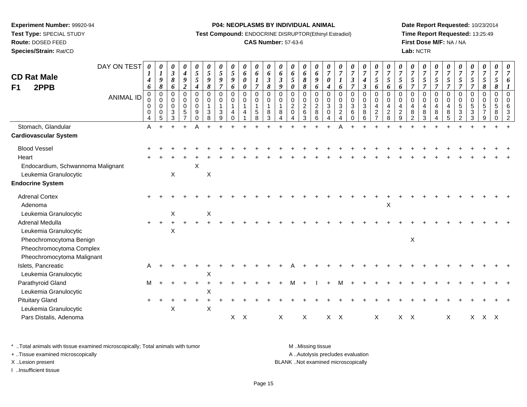**Test Type:** SPECIAL STUDY

**Route:** DOSED FEED

**Species/Strain:** Rat/CD

#### **P04: NEOPLASMS BY INDIVIDUAL ANIMAL**

**Test Compound:** ENDOCRINE DISRUPTOR(Ethinyl Estradiol)

### **CAS Number:** 57-63-6

**Date Report Requested:** 10/23/2014**Time Report Requested:** 13:25:49**First Dose M/F:** NA / NA**Lab:** NCTR

| <b>CD Rat Male</b><br>2PPB<br>F <sub>1</sub>                                                               | DAY ON TEST<br><b>ANIMAL ID</b> | 0<br>$\boldsymbol{4}$<br>6<br>$\mathbf 0$<br>$\mathbf 0$<br>$\mathbf 0$<br>$\mathbf 0$<br>4 | 0<br>$\boldsymbol{l}$<br>9<br>$\pmb{8}$<br>$\mathbf 0$<br>$\mathbf 0$<br>0<br>$\mathbf 0$<br>5 | 0<br>$\boldsymbol{\beta}$<br>8<br>6<br>$\Omega$<br>$\mathbf 0$<br>$\mathbf 0$<br>$\mathbf{3}$<br>3 | 0<br>$\boldsymbol{4}$<br>$\boldsymbol{g}$<br>$\overline{c}$<br>$\Omega$<br>0<br>$\mathbf 0$<br>5<br>$\overline{7}$ | 0<br>$\mathfrak{s}$<br>5<br>$\boldsymbol{4}$<br>$\Omega$<br>$\mathbf 0$<br>$\mathbf 0$<br>9<br>$\Omega$ | $\frac{\theta}{5}$<br>9<br>8<br>$\Omega$<br>0<br>1<br>3<br>8 | $\boldsymbol{\theta}$<br>$\sqrt{5}$<br>$\boldsymbol{g}$<br>$\overline{7}$<br>$\mathbf 0$<br>0<br>$\mathbf{1}$<br>3<br>9 | $\boldsymbol{\theta}$<br>5<br>9<br>6<br>$\mathbf 0$<br>$\mathbf 0$<br>4<br>$\Omega$ | 0<br>$\pmb{6}$<br>$\pmb{\theta}$<br>$\boldsymbol{\theta}$<br>$\mathbf 0$<br>$\mathbf 0$<br>$\overline{\mathbf{1}}$<br>4 | 0<br>$\boldsymbol{6}$<br>$\boldsymbol{l}$<br>$\overline{7}$<br>$\mathbf 0$<br>$\mathbf 0$<br>$\mathbf{1}$<br>$\sqrt{5}$<br>8 | 0<br>6<br>$\mathfrak{z}$<br>8<br>$\Omega$<br>$\mathbf 0$<br>1<br>8<br>3 | 0<br>6<br>$\mathfrak{z}$<br>$\boldsymbol{g}$<br>$\Omega$<br>$\Omega$<br>8<br>4 | $\boldsymbol{\theta}$<br>6<br>5<br>0<br>$\Omega$<br>0<br>$\overline{2}$<br>$\mathbf 0$<br>Δ | 0<br>6<br>8<br>$\pmb{8}$<br>$\Omega$<br>0<br>$\overline{c}$<br>6<br>$\mathbf{3}$ | 0<br>$\boldsymbol{6}$<br>$\boldsymbol{g}$<br>6<br>$\Omega$<br>$\mathbf 0$<br>$\overline{c}$<br>8<br>6 | $\boldsymbol{\theta}$<br>$\overline{7}$<br>$\boldsymbol{\theta}$<br>$\boldsymbol{4}$<br>$\Omega$<br>0<br>3<br>$\mathbf 0$<br>4 | $\overline{7}$<br>$\boldsymbol{l}$<br>6<br>$\Omega$<br>0<br>3<br>$\overline{c}$<br>4 | $\boldsymbol{\theta}$<br>$\overline{7}$<br>$\mathfrak{z}$<br>$\overline{7}$<br>$\mathbf 0$<br>0<br>3<br>6<br>$\Omega$ | $\boldsymbol{\theta}$<br>$\boldsymbol{7}$<br>$\boldsymbol{4}$<br>$\mathfrak{z}$<br>$\mathbf 0$<br>$\pmb{0}$<br>$\ensuremath{\mathsf{3}}$<br>8<br>$6\overline{6}$ | $\boldsymbol{\theta}$<br>$\overline{7}$<br>5<br>6<br>$\Omega$<br>$\mathbf 0$<br>4<br>$\frac{2}{7}$ | 0<br>$\boldsymbol{7}$<br>$\mathfrak{s}$<br>6<br>$\Omega$<br>0<br>4<br>$\frac{2}{8}$ | $\overline{7}$<br>$\overline{5}$<br>6<br>$\Omega$<br>$\mathbf 0$<br>$\overline{4}$<br>$\overline{c}$<br>$\overline{9}$ | 0<br>$\overline{7}$<br>5<br>$\overline{7}$<br>$\Omega$<br>$\mathbf 0$<br>$\overline{4}$<br>8<br>$\overline{2}$ | 0<br>$\frac{7}{5}$<br>$\overline{7}$<br>$\Omega$<br>0<br>4<br>8<br>3 | $\boldsymbol{\theta}$<br>$\boldsymbol{7}$<br>5<br>$\overline{7}$<br>$\Omega$<br>$\mathbf 0$<br>$\overline{4}$<br>8<br>$\overline{4}$ | $\boldsymbol{\theta}$<br>$\overline{7}$<br>5<br>$\overline{7}$<br>$\Omega$<br>0<br>4<br>8<br>5 | $\boldsymbol{\theta}$<br>$\overline{7}$<br>$\mathfrak{s}$<br>$\overline{7}$<br>$\mathbf 0$<br>$\mathbf 0$<br>5<br>$\sqrt{3}$<br>$\overline{2}$ | $\boldsymbol{\theta}$<br>$\overline{7}$<br>$\sqrt{5}$<br>$\overline{7}$<br>$\mathbf 0$<br>$\mathbf 0$<br>$\sqrt{5}$<br>3<br>3 | 0<br>$\boldsymbol{7}$<br>5<br>8<br>$\mathbf 0$<br>0<br>5<br>7<br>9 | 0<br>$\overline{7}$<br>$\mathfrak{s}$<br>8<br>$\mathbf 0$<br>0<br>5<br>8<br>$\Omega$ | $\Omega$<br>$\Omega$ |
|------------------------------------------------------------------------------------------------------------|---------------------------------|---------------------------------------------------------------------------------------------|------------------------------------------------------------------------------------------------|----------------------------------------------------------------------------------------------------|--------------------------------------------------------------------------------------------------------------------|---------------------------------------------------------------------------------------------------------|--------------------------------------------------------------|-------------------------------------------------------------------------------------------------------------------------|-------------------------------------------------------------------------------------|-------------------------------------------------------------------------------------------------------------------------|------------------------------------------------------------------------------------------------------------------------------|-------------------------------------------------------------------------|--------------------------------------------------------------------------------|---------------------------------------------------------------------------------------------|----------------------------------------------------------------------------------|-------------------------------------------------------------------------------------------------------|--------------------------------------------------------------------------------------------------------------------------------|--------------------------------------------------------------------------------------|-----------------------------------------------------------------------------------------------------------------------|------------------------------------------------------------------------------------------------------------------------------------------------------------------|----------------------------------------------------------------------------------------------------|-------------------------------------------------------------------------------------|------------------------------------------------------------------------------------------------------------------------|----------------------------------------------------------------------------------------------------------------|----------------------------------------------------------------------|--------------------------------------------------------------------------------------------------------------------------------------|------------------------------------------------------------------------------------------------|------------------------------------------------------------------------------------------------------------------------------------------------|-------------------------------------------------------------------------------------------------------------------------------|--------------------------------------------------------------------|--------------------------------------------------------------------------------------|----------------------|
| Stomach, Glandular                                                                                         |                                 | A                                                                                           | $+$                                                                                            |                                                                                                    | $\ddot{}$                                                                                                          | Α                                                                                                       |                                                              |                                                                                                                         |                                                                                     |                                                                                                                         |                                                                                                                              |                                                                         |                                                                                |                                                                                             |                                                                                  |                                                                                                       | ÷                                                                                                                              |                                                                                      |                                                                                                                       |                                                                                                                                                                  |                                                                                                    |                                                                                     |                                                                                                                        |                                                                                                                |                                                                      |                                                                                                                                      |                                                                                                |                                                                                                                                                |                                                                                                                               |                                                                    |                                                                                      |                      |
| <b>Cardiovascular System</b>                                                                               |                                 |                                                                                             |                                                                                                |                                                                                                    |                                                                                                                    |                                                                                                         |                                                              |                                                                                                                         |                                                                                     |                                                                                                                         |                                                                                                                              |                                                                         |                                                                                |                                                                                             |                                                                                  |                                                                                                       |                                                                                                                                |                                                                                      |                                                                                                                       |                                                                                                                                                                  |                                                                                                    |                                                                                     |                                                                                                                        |                                                                                                                |                                                                      |                                                                                                                                      |                                                                                                |                                                                                                                                                |                                                                                                                               |                                                                    |                                                                                      |                      |
| <b>Blood Vessel</b>                                                                                        |                                 |                                                                                             |                                                                                                |                                                                                                    |                                                                                                                    |                                                                                                         |                                                              |                                                                                                                         |                                                                                     |                                                                                                                         |                                                                                                                              |                                                                         |                                                                                |                                                                                             |                                                                                  |                                                                                                       |                                                                                                                                |                                                                                      |                                                                                                                       |                                                                                                                                                                  |                                                                                                    |                                                                                     |                                                                                                                        |                                                                                                                |                                                                      |                                                                                                                                      |                                                                                                |                                                                                                                                                |                                                                                                                               |                                                                    |                                                                                      |                      |
| Heart                                                                                                      |                                 |                                                                                             |                                                                                                |                                                                                                    |                                                                                                                    |                                                                                                         |                                                              |                                                                                                                         |                                                                                     |                                                                                                                         |                                                                                                                              |                                                                         |                                                                                |                                                                                             |                                                                                  |                                                                                                       |                                                                                                                                |                                                                                      |                                                                                                                       |                                                                                                                                                                  |                                                                                                    |                                                                                     |                                                                                                                        |                                                                                                                |                                                                      |                                                                                                                                      |                                                                                                |                                                                                                                                                |                                                                                                                               |                                                                    |                                                                                      |                      |
| Endocardium, Schwannoma Malignant                                                                          |                                 |                                                                                             |                                                                                                |                                                                                                    |                                                                                                                    | X                                                                                                       |                                                              |                                                                                                                         |                                                                                     |                                                                                                                         |                                                                                                                              |                                                                         |                                                                                |                                                                                             |                                                                                  |                                                                                                       |                                                                                                                                |                                                                                      |                                                                                                                       |                                                                                                                                                                  |                                                                                                    |                                                                                     |                                                                                                                        |                                                                                                                |                                                                      |                                                                                                                                      |                                                                                                |                                                                                                                                                |                                                                                                                               |                                                                    |                                                                                      |                      |
| Leukemia Granulocytic                                                                                      |                                 |                                                                                             |                                                                                                | $\mathsf X$                                                                                        |                                                                                                                    |                                                                                                         | X                                                            |                                                                                                                         |                                                                                     |                                                                                                                         |                                                                                                                              |                                                                         |                                                                                |                                                                                             |                                                                                  |                                                                                                       |                                                                                                                                |                                                                                      |                                                                                                                       |                                                                                                                                                                  |                                                                                                    |                                                                                     |                                                                                                                        |                                                                                                                |                                                                      |                                                                                                                                      |                                                                                                |                                                                                                                                                |                                                                                                                               |                                                                    |                                                                                      |                      |
| <b>Endocrine System</b>                                                                                    |                                 |                                                                                             |                                                                                                |                                                                                                    |                                                                                                                    |                                                                                                         |                                                              |                                                                                                                         |                                                                                     |                                                                                                                         |                                                                                                                              |                                                                         |                                                                                |                                                                                             |                                                                                  |                                                                                                       |                                                                                                                                |                                                                                      |                                                                                                                       |                                                                                                                                                                  |                                                                                                    |                                                                                     |                                                                                                                        |                                                                                                                |                                                                      |                                                                                                                                      |                                                                                                |                                                                                                                                                |                                                                                                                               |                                                                    |                                                                                      |                      |
| <b>Adrenal Cortex</b><br>Adenoma                                                                           |                                 |                                                                                             |                                                                                                |                                                                                                    |                                                                                                                    |                                                                                                         |                                                              |                                                                                                                         |                                                                                     |                                                                                                                         |                                                                                                                              |                                                                         |                                                                                |                                                                                             |                                                                                  |                                                                                                       |                                                                                                                                |                                                                                      |                                                                                                                       |                                                                                                                                                                  |                                                                                                    | X                                                                                   |                                                                                                                        |                                                                                                                |                                                                      |                                                                                                                                      |                                                                                                |                                                                                                                                                |                                                                                                                               |                                                                    |                                                                                      |                      |
| Leukemia Granulocytic                                                                                      |                                 |                                                                                             |                                                                                                | $\mathsf X$                                                                                        |                                                                                                                    |                                                                                                         | $\pmb{\times}$                                               |                                                                                                                         |                                                                                     |                                                                                                                         |                                                                                                                              |                                                                         |                                                                                |                                                                                             |                                                                                  |                                                                                                       |                                                                                                                                |                                                                                      |                                                                                                                       |                                                                                                                                                                  |                                                                                                    |                                                                                     |                                                                                                                        |                                                                                                                |                                                                      |                                                                                                                                      |                                                                                                |                                                                                                                                                |                                                                                                                               |                                                                    |                                                                                      |                      |
| Adrenal Medulla                                                                                            |                                 |                                                                                             |                                                                                                |                                                                                                    |                                                                                                                    |                                                                                                         |                                                              |                                                                                                                         |                                                                                     |                                                                                                                         |                                                                                                                              |                                                                         |                                                                                |                                                                                             |                                                                                  |                                                                                                       |                                                                                                                                |                                                                                      |                                                                                                                       |                                                                                                                                                                  |                                                                                                    |                                                                                     |                                                                                                                        |                                                                                                                |                                                                      |                                                                                                                                      |                                                                                                |                                                                                                                                                |                                                                                                                               |                                                                    |                                                                                      |                      |
| Leukemia Granulocytic<br>Pheochromocytoma Benign<br>Pheochromocytoma Complex<br>Pheochromocytoma Malignant |                                 |                                                                                             |                                                                                                | $\boldsymbol{\mathsf{X}}$                                                                          |                                                                                                                    |                                                                                                         |                                                              |                                                                                                                         |                                                                                     |                                                                                                                         |                                                                                                                              |                                                                         |                                                                                |                                                                                             |                                                                                  |                                                                                                       |                                                                                                                                |                                                                                      |                                                                                                                       |                                                                                                                                                                  |                                                                                                    |                                                                                     |                                                                                                                        | X                                                                                                              |                                                                      |                                                                                                                                      |                                                                                                |                                                                                                                                                |                                                                                                                               |                                                                    |                                                                                      |                      |
| Islets, Pancreatic                                                                                         |                                 | A                                                                                           |                                                                                                |                                                                                                    |                                                                                                                    |                                                                                                         |                                                              |                                                                                                                         |                                                                                     |                                                                                                                         |                                                                                                                              |                                                                         |                                                                                |                                                                                             |                                                                                  |                                                                                                       |                                                                                                                                |                                                                                      |                                                                                                                       |                                                                                                                                                                  |                                                                                                    |                                                                                     |                                                                                                                        |                                                                                                                |                                                                      |                                                                                                                                      |                                                                                                |                                                                                                                                                |                                                                                                                               |                                                                    |                                                                                      |                      |
| Leukemia Granulocytic                                                                                      |                                 |                                                                                             |                                                                                                |                                                                                                    |                                                                                                                    |                                                                                                         | X                                                            |                                                                                                                         |                                                                                     |                                                                                                                         |                                                                                                                              |                                                                         |                                                                                |                                                                                             |                                                                                  |                                                                                                       |                                                                                                                                |                                                                                      |                                                                                                                       |                                                                                                                                                                  |                                                                                                    |                                                                                     |                                                                                                                        |                                                                                                                |                                                                      |                                                                                                                                      |                                                                                                |                                                                                                                                                |                                                                                                                               |                                                                    |                                                                                      |                      |
| Parathyroid Gland<br>Leukemia Granulocytic                                                                 |                                 | м                                                                                           |                                                                                                |                                                                                                    |                                                                                                                    |                                                                                                         | X                                                            |                                                                                                                         |                                                                                     |                                                                                                                         |                                                                                                                              |                                                                         |                                                                                |                                                                                             |                                                                                  |                                                                                                       |                                                                                                                                |                                                                                      |                                                                                                                       |                                                                                                                                                                  |                                                                                                    |                                                                                     |                                                                                                                        |                                                                                                                |                                                                      |                                                                                                                                      |                                                                                                |                                                                                                                                                |                                                                                                                               |                                                                    |                                                                                      |                      |
| <b>Pituitary Gland</b>                                                                                     |                                 |                                                                                             |                                                                                                |                                                                                                    |                                                                                                                    |                                                                                                         |                                                              |                                                                                                                         |                                                                                     |                                                                                                                         |                                                                                                                              |                                                                         |                                                                                |                                                                                             |                                                                                  |                                                                                                       |                                                                                                                                |                                                                                      |                                                                                                                       |                                                                                                                                                                  |                                                                                                    |                                                                                     |                                                                                                                        |                                                                                                                |                                                                      |                                                                                                                                      |                                                                                                |                                                                                                                                                |                                                                                                                               |                                                                    |                                                                                      |                      |
| Leukemia Granulocytic                                                                                      |                                 |                                                                                             |                                                                                                | X                                                                                                  |                                                                                                                    |                                                                                                         | X                                                            |                                                                                                                         |                                                                                     |                                                                                                                         |                                                                                                                              |                                                                         |                                                                                |                                                                                             |                                                                                  |                                                                                                       |                                                                                                                                |                                                                                      |                                                                                                                       |                                                                                                                                                                  |                                                                                                    |                                                                                     |                                                                                                                        |                                                                                                                |                                                                      |                                                                                                                                      |                                                                                                |                                                                                                                                                |                                                                                                                               |                                                                    |                                                                                      |                      |
| Pars Distalis, Adenoma                                                                                     |                                 |                                                                                             |                                                                                                |                                                                                                    |                                                                                                                    |                                                                                                         |                                                              |                                                                                                                         | $X$ $X$                                                                             |                                                                                                                         |                                                                                                                              |                                                                         | X                                                                              |                                                                                             | X                                                                                |                                                                                                       |                                                                                                                                | $X$ $X$                                                                              |                                                                                                                       |                                                                                                                                                                  | X                                                                                                  |                                                                                     | $X$ $X$                                                                                                                |                                                                                                                |                                                                      |                                                                                                                                      | Χ                                                                                              |                                                                                                                                                |                                                                                                                               | X X X                                                              |                                                                                      |                      |

\* ..Total animals with tissue examined microscopically; Total animals with tumor **M** . Missing tissue M ..Missing tissue

+ ..Tissue examined microscopically

I ..Insufficient tissue

A ..Autolysis precludes evaluation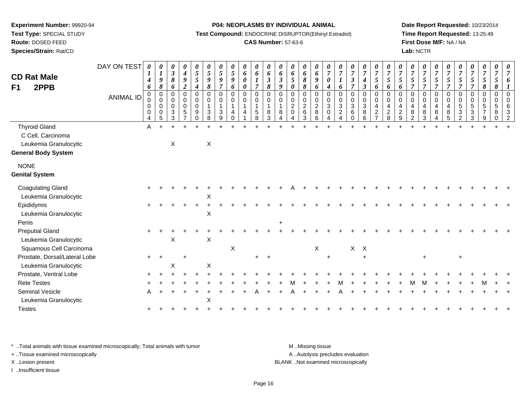**Route:** DOSED FEED

**Species/Strain:** Rat/CD

**P04: NEOPLASMS BY INDIVIDUAL ANIMAL**

**Test Compound:** ENDOCRINE DISRUPTOR(Ethinyl Estradiol)

# **CAS Number:** 57-63-6

**Date Report Requested:** 10/23/2014**Time Report Requested:** 13:25:49**First Dose M/F:** NA / NA**Lab:** NCTR

| <b>CD Rat Male</b><br>2PPB<br>F <sub>1</sub> | DAY ON TEST<br><b>ANIMAL ID</b> | 0<br>$\bm{l}$<br>$\boldsymbol{4}$<br>6<br>0<br>0<br>0<br>0 | $\boldsymbol{\theta}$<br>$\boldsymbol{l}$<br>9<br>8<br>$\pmb{0}$<br>0<br>0<br>0 | 0<br>$\boldsymbol{\beta}$<br>$\pmb{8}$<br>6<br>$\pmb{0}$<br>$\mathbf 0$<br>$\mathsf{O}\xspace$<br>$\sqrt{3}$ | 0<br>$\boldsymbol{4}$<br>$\pmb{9}$<br>$\overline{\mathbf{c}}$<br>0<br>0<br>$\pmb{0}$<br>$\sqrt{5}$ | $\boldsymbol{\theta}$<br>$\mathfrak{s}$<br>5<br>$\boldsymbol{4}$<br>$\mathbf 0$<br>$\mathbf 0$<br>$\mathbf 0$<br>9 | 0<br>5<br>9<br>8<br>$\mathbf 0$<br>$\mathbf 0$<br>$\mathbf{1}$<br>3 | 0<br>$\sqrt{5}$<br>9<br>$\overline{7}$<br>$\pmb{0}$<br>0<br>$\mathbf{1}$<br>3 | 0<br>$\mathfrak{s}$<br>$\boldsymbol{9}$<br>6<br>$\pmb{0}$<br>$\mathbf 0$<br>4 | $\boldsymbol{\theta}$<br>6<br>$\pmb{\theta}$<br>$\boldsymbol{\theta}$<br>$\pmb{0}$<br>0<br>$\mathbf 1$<br>4 | 0<br>6<br>$\boldsymbol{l}$<br>$\overline{7}$<br>$\pmb{0}$<br>$\mathbf 0$<br>$\mathbf{1}$<br>$\sqrt{5}$ | 0<br>$\pmb{6}$<br>$\boldsymbol{\beta}$<br>$\pmb{8}$<br>$\mathbf 0$<br>$\mathbf 0$<br>1<br>8 | $\boldsymbol{\theta}$<br>6<br>$\boldsymbol{\beta}$<br>9<br>$\mathbf 0$<br>$\Omega$<br>$\mathbf{1}$<br>8 | 0<br>6<br>5<br>$\boldsymbol{\theta}$<br>$\mathsf 0$<br>$\mathbf 0$<br>$\overline{c}$<br>$\mathbf 0$ | 0<br>6<br>$\pmb{8}$<br>$\pmb{8}$<br>$\mathbf 0$<br>$\pmb{0}$<br>$\overline{2}$<br>$\,6\,$ | 0<br>$\pmb{6}$<br>9<br>$\boldsymbol{6}$<br>$\pmb{0}$<br>$\pmb{0}$<br>$\overline{2}$<br>$\bf 8$ | $\boldsymbol{\theta}$<br>$\overline{7}$<br>$\boldsymbol{\theta}$<br>$\boldsymbol{4}$<br>$\mathbf 0$<br>0<br>$\mathbf{3}$<br>0 | $\boldsymbol{\theta}$<br>$\overline{7}$<br>6<br>$\mathbf 0$<br>$\mathbf 0$<br>$\mathbf{3}$<br>$\overline{c}$ | 0<br>$\overline{7}$<br>$\mathbf{3}$<br>$\overline{7}$<br>0<br>0<br>$\sqrt{3}$<br>6 | 0<br>$\overline{7}$<br>$\boldsymbol{4}$<br>$\mathfrak{z}$<br>$\pmb{0}$<br>$\boldsymbol{0}$<br>$\mathbf{3}$<br>8 | $\frac{\theta}{7}$<br>$\sqrt{5}$<br>6<br>$\pmb{0}$<br>$\mathbf 0$<br>4<br>$\overline{c}$ | 0<br>$\overline{7}$<br>$\mathfrak{s}$<br>6<br>$\mathbf 0$<br>$\mathbf 0$<br>$\overline{4}$<br>$\overline{c}$ | $\boldsymbol{\theta}$<br>$\overline{7}$<br>$\sqrt{5}$<br>6<br>$\mathbf 0$<br>$\mathbf 0$<br>$\overline{4}$<br>$\sqrt{2}$ | $\frac{\boldsymbol{0}}{7}$<br>$5\overline{)}$<br>$\overline{7}$<br>$\mathbf 0$<br>0<br>4<br>8 | 0<br>$\boldsymbol{7}$<br>$\sqrt{5}$<br>$\overline{7}$<br>0<br>$\pmb{0}$<br>$\overline{4}$<br>8 | 0<br>$\boldsymbol{7}$<br>5<br>$\overline{7}$<br>$\pmb{0}$<br>$\pmb{0}$<br>$\overline{4}$<br>$\bf 8$ | 0<br>$\overline{7}$<br>$\sqrt{5}$<br>$\overline{7}$<br>$\mathbf 0$<br>0<br>$\overline{\mathbf{4}}$<br>8 | $\boldsymbol{\theta}$<br>$\overline{7}$<br>$\mathfrak{s}$<br>$\overline{7}$<br>$\pmb{0}$<br>$\mathbf 0$<br>$\sqrt{5}$<br>$\mathbf{3}$ | 0<br>$\boldsymbol{7}$<br>$5\overline{)}$<br>$\overline{7}$<br>0<br>$\pmb{0}$<br>$\,$ 5 $\,$<br>$\ensuremath{\mathsf{3}}$ | 0<br>$\overline{7}$<br>5<br>8<br>$\mathbf 0$<br>$\mathbf 0$<br>5<br>$\overline{7}$ | 0<br>$\overline{7}$<br>$\mathfrak{s}$<br>$\pmb{8}$<br>$\mathsf 0$<br>$\begin{array}{c} 0 \\ 5 \end{array}$<br>8 | $\overline{7}$<br>$\Omega$<br>$\Omega$<br>6<br>3 |
|----------------------------------------------|---------------------------------|------------------------------------------------------------|---------------------------------------------------------------------------------|--------------------------------------------------------------------------------------------------------------|----------------------------------------------------------------------------------------------------|--------------------------------------------------------------------------------------------------------------------|---------------------------------------------------------------------|-------------------------------------------------------------------------------|-------------------------------------------------------------------------------|-------------------------------------------------------------------------------------------------------------|--------------------------------------------------------------------------------------------------------|---------------------------------------------------------------------------------------------|---------------------------------------------------------------------------------------------------------|-----------------------------------------------------------------------------------------------------|-------------------------------------------------------------------------------------------|------------------------------------------------------------------------------------------------|-------------------------------------------------------------------------------------------------------------------------------|--------------------------------------------------------------------------------------------------------------|------------------------------------------------------------------------------------|-----------------------------------------------------------------------------------------------------------------|------------------------------------------------------------------------------------------|--------------------------------------------------------------------------------------------------------------|--------------------------------------------------------------------------------------------------------------------------|-----------------------------------------------------------------------------------------------|------------------------------------------------------------------------------------------------|-----------------------------------------------------------------------------------------------------|---------------------------------------------------------------------------------------------------------|---------------------------------------------------------------------------------------------------------------------------------------|--------------------------------------------------------------------------------------------------------------------------|------------------------------------------------------------------------------------|-----------------------------------------------------------------------------------------------------------------|--------------------------------------------------|
| <b>Thyroid Gland</b>                         |                                 | 4<br>A                                                     | 5                                                                               | 3                                                                                                            | $\overline{ }$                                                                                     | $\Omega$                                                                                                           | 8                                                                   | 9                                                                             | $\Omega$                                                                      |                                                                                                             | 8                                                                                                      | 3                                                                                           |                                                                                                         |                                                                                                     | 3                                                                                         | 6                                                                                              | Δ                                                                                                                             |                                                                                                              | $\Omega$                                                                           | 6                                                                                                               | $\overline{ }$                                                                           | 8                                                                                                            | 9                                                                                                                        | 2                                                                                             | 3                                                                                              | 4                                                                                                   | 5                                                                                                       | $\mathcal{P}$                                                                                                                         | 3                                                                                                                        | 9                                                                                  | 0                                                                                                               |                                                  |
| C Cell, Carcinoma                            |                                 |                                                            |                                                                                 |                                                                                                              |                                                                                                    |                                                                                                                    |                                                                     |                                                                               |                                                                               |                                                                                                             |                                                                                                        |                                                                                             |                                                                                                         |                                                                                                     |                                                                                           |                                                                                                |                                                                                                                               |                                                                                                              |                                                                                    |                                                                                                                 |                                                                                          |                                                                                                              |                                                                                                                          |                                                                                               |                                                                                                |                                                                                                     |                                                                                                         |                                                                                                                                       |                                                                                                                          |                                                                                    |                                                                                                                 |                                                  |
| Leukemia Granulocytic                        |                                 |                                                            |                                                                                 | X                                                                                                            |                                                                                                    |                                                                                                                    | $\mathsf X$                                                         |                                                                               |                                                                               |                                                                                                             |                                                                                                        |                                                                                             |                                                                                                         |                                                                                                     |                                                                                           |                                                                                                |                                                                                                                               |                                                                                                              |                                                                                    |                                                                                                                 |                                                                                          |                                                                                                              |                                                                                                                          |                                                                                               |                                                                                                |                                                                                                     |                                                                                                         |                                                                                                                                       |                                                                                                                          |                                                                                    |                                                                                                                 |                                                  |
| <b>General Body System</b>                   |                                 |                                                            |                                                                                 |                                                                                                              |                                                                                                    |                                                                                                                    |                                                                     |                                                                               |                                                                               |                                                                                                             |                                                                                                        |                                                                                             |                                                                                                         |                                                                                                     |                                                                                           |                                                                                                |                                                                                                                               |                                                                                                              |                                                                                    |                                                                                                                 |                                                                                          |                                                                                                              |                                                                                                                          |                                                                                               |                                                                                                |                                                                                                     |                                                                                                         |                                                                                                                                       |                                                                                                                          |                                                                                    |                                                                                                                 |                                                  |
| <b>NONE</b>                                  |                                 |                                                            |                                                                                 |                                                                                                              |                                                                                                    |                                                                                                                    |                                                                     |                                                                               |                                                                               |                                                                                                             |                                                                                                        |                                                                                             |                                                                                                         |                                                                                                     |                                                                                           |                                                                                                |                                                                                                                               |                                                                                                              |                                                                                    |                                                                                                                 |                                                                                          |                                                                                                              |                                                                                                                          |                                                                                               |                                                                                                |                                                                                                     |                                                                                                         |                                                                                                                                       |                                                                                                                          |                                                                                    |                                                                                                                 |                                                  |
| <b>Genital System</b>                        |                                 |                                                            |                                                                                 |                                                                                                              |                                                                                                    |                                                                                                                    |                                                                     |                                                                               |                                                                               |                                                                                                             |                                                                                                        |                                                                                             |                                                                                                         |                                                                                                     |                                                                                           |                                                                                                |                                                                                                                               |                                                                                                              |                                                                                    |                                                                                                                 |                                                                                          |                                                                                                              |                                                                                                                          |                                                                                               |                                                                                                |                                                                                                     |                                                                                                         |                                                                                                                                       |                                                                                                                          |                                                                                    |                                                                                                                 |                                                  |
| <b>Coagulating Gland</b>                     |                                 |                                                            |                                                                                 |                                                                                                              |                                                                                                    |                                                                                                                    |                                                                     |                                                                               |                                                                               |                                                                                                             |                                                                                                        |                                                                                             |                                                                                                         |                                                                                                     |                                                                                           |                                                                                                |                                                                                                                               |                                                                                                              |                                                                                    |                                                                                                                 |                                                                                          |                                                                                                              |                                                                                                                          |                                                                                               |                                                                                                |                                                                                                     |                                                                                                         |                                                                                                                                       |                                                                                                                          |                                                                                    |                                                                                                                 |                                                  |
| Leukemia Granulocytic                        |                                 |                                                            |                                                                                 |                                                                                                              |                                                                                                    |                                                                                                                    | Χ                                                                   |                                                                               |                                                                               |                                                                                                             |                                                                                                        |                                                                                             |                                                                                                         |                                                                                                     |                                                                                           |                                                                                                |                                                                                                                               |                                                                                                              |                                                                                    |                                                                                                                 |                                                                                          |                                                                                                              |                                                                                                                          |                                                                                               |                                                                                                |                                                                                                     |                                                                                                         |                                                                                                                                       |                                                                                                                          |                                                                                    |                                                                                                                 |                                                  |
| Epididymis                                   |                                 |                                                            |                                                                                 |                                                                                                              |                                                                                                    |                                                                                                                    |                                                                     |                                                                               |                                                                               |                                                                                                             |                                                                                                        |                                                                                             |                                                                                                         |                                                                                                     |                                                                                           |                                                                                                |                                                                                                                               |                                                                                                              |                                                                                    |                                                                                                                 |                                                                                          |                                                                                                              |                                                                                                                          |                                                                                               |                                                                                                |                                                                                                     |                                                                                                         |                                                                                                                                       |                                                                                                                          |                                                                                    |                                                                                                                 |                                                  |
| Leukemia Granulocytic                        |                                 |                                                            |                                                                                 |                                                                                                              |                                                                                                    |                                                                                                                    | X                                                                   |                                                                               |                                                                               |                                                                                                             |                                                                                                        |                                                                                             |                                                                                                         |                                                                                                     |                                                                                           |                                                                                                |                                                                                                                               |                                                                                                              |                                                                                    |                                                                                                                 |                                                                                          |                                                                                                              |                                                                                                                          |                                                                                               |                                                                                                |                                                                                                     |                                                                                                         |                                                                                                                                       |                                                                                                                          |                                                                                    |                                                                                                                 |                                                  |
| Penis                                        |                                 |                                                            |                                                                                 |                                                                                                              |                                                                                                    |                                                                                                                    |                                                                     |                                                                               |                                                                               |                                                                                                             |                                                                                                        |                                                                                             | $\ddot{}$                                                                                               |                                                                                                     |                                                                                           |                                                                                                |                                                                                                                               |                                                                                                              |                                                                                    |                                                                                                                 |                                                                                          |                                                                                                              |                                                                                                                          |                                                                                               |                                                                                                |                                                                                                     |                                                                                                         |                                                                                                                                       |                                                                                                                          |                                                                                    |                                                                                                                 |                                                  |
| <b>Preputial Gland</b>                       |                                 |                                                            |                                                                                 |                                                                                                              |                                                                                                    |                                                                                                                    |                                                                     |                                                                               |                                                                               |                                                                                                             |                                                                                                        |                                                                                             |                                                                                                         |                                                                                                     |                                                                                           |                                                                                                |                                                                                                                               |                                                                                                              |                                                                                    |                                                                                                                 |                                                                                          |                                                                                                              |                                                                                                                          |                                                                                               |                                                                                                |                                                                                                     |                                                                                                         |                                                                                                                                       |                                                                                                                          |                                                                                    |                                                                                                                 |                                                  |
| Leukemia Granulocytic                        |                                 |                                                            |                                                                                 | $\boldsymbol{\mathsf{X}}$                                                                                    |                                                                                                    |                                                                                                                    | X                                                                   |                                                                               |                                                                               |                                                                                                             |                                                                                                        |                                                                                             |                                                                                                         |                                                                                                     |                                                                                           |                                                                                                |                                                                                                                               |                                                                                                              |                                                                                    |                                                                                                                 |                                                                                          |                                                                                                              |                                                                                                                          |                                                                                               |                                                                                                |                                                                                                     |                                                                                                         |                                                                                                                                       |                                                                                                                          |                                                                                    |                                                                                                                 |                                                  |
| Squamous Cell Carcinoma                      |                                 |                                                            |                                                                                 |                                                                                                              |                                                                                                    |                                                                                                                    |                                                                     |                                                                               | X                                                                             |                                                                                                             |                                                                                                        |                                                                                             |                                                                                                         |                                                                                                     |                                                                                           | X                                                                                              |                                                                                                                               |                                                                                                              | X                                                                                  | $\mathsf{X}$                                                                                                    |                                                                                          |                                                                                                              |                                                                                                                          |                                                                                               |                                                                                                |                                                                                                     |                                                                                                         |                                                                                                                                       |                                                                                                                          |                                                                                    |                                                                                                                 |                                                  |
| Prostate, Dorsal/Lateral Lobe                |                                 |                                                            |                                                                                 |                                                                                                              |                                                                                                    |                                                                                                                    |                                                                     |                                                                               |                                                                               |                                                                                                             |                                                                                                        |                                                                                             |                                                                                                         |                                                                                                     |                                                                                           |                                                                                                | $\ddot{}$                                                                                                                     |                                                                                                              |                                                                                    | $\ddot{}$                                                                                                       |                                                                                          |                                                                                                              |                                                                                                                          |                                                                                               |                                                                                                |                                                                                                     |                                                                                                         | $\ddot{}$                                                                                                                             |                                                                                                                          |                                                                                    |                                                                                                                 |                                                  |
| Leukemia Granulocytic                        |                                 |                                                            |                                                                                 | X                                                                                                            |                                                                                                    |                                                                                                                    | X                                                                   |                                                                               |                                                                               |                                                                                                             |                                                                                                        |                                                                                             |                                                                                                         |                                                                                                     |                                                                                           |                                                                                                |                                                                                                                               |                                                                                                              |                                                                                    |                                                                                                                 |                                                                                          |                                                                                                              |                                                                                                                          |                                                                                               |                                                                                                |                                                                                                     |                                                                                                         |                                                                                                                                       |                                                                                                                          |                                                                                    |                                                                                                                 |                                                  |
| Prostate, Ventral Lobe                       |                                 |                                                            |                                                                                 |                                                                                                              |                                                                                                    |                                                                                                                    |                                                                     |                                                                               |                                                                               |                                                                                                             |                                                                                                        |                                                                                             |                                                                                                         |                                                                                                     |                                                                                           |                                                                                                |                                                                                                                               |                                                                                                              |                                                                                    |                                                                                                                 |                                                                                          |                                                                                                              |                                                                                                                          |                                                                                               |                                                                                                |                                                                                                     |                                                                                                         |                                                                                                                                       |                                                                                                                          |                                                                                    |                                                                                                                 |                                                  |
| <b>Rete Testes</b>                           |                                 |                                                            |                                                                                 |                                                                                                              |                                                                                                    |                                                                                                                    |                                                                     |                                                                               |                                                                               |                                                                                                             |                                                                                                        |                                                                                             |                                                                                                         |                                                                                                     |                                                                                           |                                                                                                |                                                                                                                               |                                                                                                              |                                                                                    |                                                                                                                 |                                                                                          |                                                                                                              |                                                                                                                          |                                                                                               |                                                                                                |                                                                                                     |                                                                                                         |                                                                                                                                       |                                                                                                                          |                                                                                    |                                                                                                                 |                                                  |
| Seminal Vesicle                              |                                 | Α                                                          |                                                                                 |                                                                                                              |                                                                                                    |                                                                                                                    |                                                                     |                                                                               |                                                                               |                                                                                                             |                                                                                                        |                                                                                             |                                                                                                         |                                                                                                     |                                                                                           |                                                                                                |                                                                                                                               |                                                                                                              |                                                                                    |                                                                                                                 |                                                                                          |                                                                                                              |                                                                                                                          |                                                                                               |                                                                                                |                                                                                                     |                                                                                                         |                                                                                                                                       |                                                                                                                          |                                                                                    |                                                                                                                 |                                                  |
| Leukemia Granulocytic                        |                                 |                                                            |                                                                                 |                                                                                                              |                                                                                                    |                                                                                                                    | X                                                                   |                                                                               |                                                                               |                                                                                                             |                                                                                                        |                                                                                             |                                                                                                         |                                                                                                     |                                                                                           |                                                                                                |                                                                                                                               |                                                                                                              |                                                                                    |                                                                                                                 |                                                                                          |                                                                                                              |                                                                                                                          |                                                                                               |                                                                                                |                                                                                                     |                                                                                                         |                                                                                                                                       |                                                                                                                          |                                                                                    |                                                                                                                 |                                                  |
| <b>Testes</b>                                |                                 |                                                            |                                                                                 |                                                                                                              |                                                                                                    |                                                                                                                    |                                                                     |                                                                               |                                                                               |                                                                                                             |                                                                                                        |                                                                                             |                                                                                                         |                                                                                                     |                                                                                           |                                                                                                |                                                                                                                               |                                                                                                              |                                                                                    |                                                                                                                 |                                                                                          |                                                                                                              |                                                                                                                          |                                                                                               |                                                                                                |                                                                                                     |                                                                                                         |                                                                                                                                       |                                                                                                                          |                                                                                    |                                                                                                                 |                                                  |

\* ..Total animals with tissue examined microscopically; Total animals with tumor **M** . Missing tissue M ..Missing tissue

+ ..Tissue examined microscopically

I ..Insufficient tissue

A ..Autolysis precludes evaluation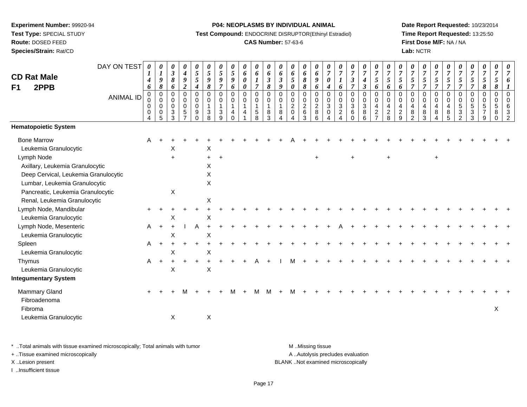**Route:** DOSED FEED

**Species/Strain:** Rat/CD

### **P04: NEOPLASMS BY INDIVIDUAL ANIMAL**

**Test Compound:** ENDOCRINE DISRUPTOR(Ethinyl Estradiol)

### **CAS Number:** 57-63-6

**Date Report Requested:** 10/23/2014**Time Report Requested:** 13:25:50**First Dose M/F:** NA / NA**Lab:** NCTR

| <b>CD Rat Male</b><br>2PPB<br>F <sub>1</sub><br><b>Hematopoietic System</b>                                                                                 | DAY ON TEST<br><b>ANIMAL ID</b> | 0<br>$\bm{l}$<br>$\boldsymbol{4}$<br>6<br>$\mathbf 0$<br>0<br>$\mathbf 0$<br>$\mathbf 0$<br>$\overline{4}$ | 0<br>$\boldsymbol{l}$<br>$\boldsymbol{9}$<br>8<br>$\overline{0}$<br>$\mathbf 0$<br>0<br>0<br>5 | 0<br>$\mathfrak{z}$<br>8<br>6<br>$\mathbf 0$<br>$\mathbf 0$<br>$\mathbf 0$<br>$\ensuremath{\mathsf{3}}$<br>3 | 0<br>$\boldsymbol{4}$<br>9<br>$\overline{2}$<br>$\mathbf 0$<br>0<br>$\mathbf 0$<br>5<br>$\overline{ }$ | $\frac{\theta}{5}$<br>5<br>$\boldsymbol{4}$<br>$\mathbf 0$<br>$\mathbf 0$<br>$\mathbf 0$<br>9<br>$\mathbf 0$ | $\boldsymbol{\theta}$<br>$\mathfrak{s}$<br>$\boldsymbol{g}$<br>$\pmb{8}$<br>$\mathbf 0$<br>0<br>$\mathbf{1}$<br>$\boldsymbol{3}$<br>8 | $\boldsymbol{\theta}$<br>$\mathfrak{s}$<br>$\boldsymbol{g}$<br>$\overline{7}$<br>$\mathbf 0$<br>0<br>$\overline{1}$<br>$\sqrt{3}$<br>9 | $\boldsymbol{\theta}$<br>$\overline{5}$<br>$\boldsymbol{9}$<br>$\boldsymbol{6}$<br>$\mathbf 0$<br>$\mathbf 0$<br>$\mathbf{1}$<br>4<br>$\Omega$ | 0<br>6<br>$\boldsymbol{\theta}$<br>0<br>0<br>0<br>$\mathbf{1}$<br>4 | $\boldsymbol{\theta}$<br>6<br>$\boldsymbol{l}$<br>$\overline{7}$<br>$\mathbf 0$<br>$\mathbf 0$<br>$\mathbf{1}$<br>$\mathbf 5$<br>8 | 0<br>6<br>$\boldsymbol{\beta}$<br>8<br>$\Omega$<br>0<br>$\mathbf{1}$<br>8<br>3 | 0<br>6<br>$\mathfrak{z}$<br>$\boldsymbol{g}$<br>$\mathbf 0$<br>0<br>1<br>8<br>$\boldsymbol{\Lambda}$ | 0<br>6<br>5<br>$\boldsymbol{\theta}$<br>$\mathbf 0$<br>0<br>$\overline{c}$<br>$\mathsf 0$<br>4 | 0<br>6<br>$\pmb{8}$<br>8<br>0<br>$\mathbf 0$<br>$\overline{a}$<br>$^6_3$ | $\boldsymbol{\theta}$<br>6<br>9<br>6<br>$\mathbf 0$<br>$\mathbf 0$<br>$\sqrt{2}$<br>$\bf 8$<br>6 | 0<br>$\overline{7}$<br>$\pmb{\theta}$<br>$\boldsymbol{4}$<br>$\mathbf 0$<br>0<br>$\ensuremath{\mathsf{3}}$<br>$\pmb{0}$<br>$\overline{4}$ | 0<br>$\overline{7}$<br>$\boldsymbol{l}$<br>6<br>$\mathbf 0$<br>$\mathbf 0$<br>$\sqrt{3}$<br>$\sqrt{2}$<br>$\Delta$ | $\frac{\boldsymbol{0}}{7}$<br>$\boldsymbol{\beta}$<br>$\overline{7}$<br>$\pmb{0}$<br>$\pmb{0}$<br>$\sqrt{3}$<br>$\,6$<br>$\mathbf 0$ | 0<br>$\boldsymbol{7}$<br>$\boldsymbol{4}$<br>$\boldsymbol{\beta}$<br>$\mathbf 0$<br>$\mathbf 0$<br>$\mathbf{3}$<br>8<br>6 | 0<br>$\overline{7}$<br>$\mathfrak{s}$<br>6<br>$\mathbf 0$<br>0<br>4<br>$\frac{2}{7}$ | 0<br>$\overline{7}$<br>$\sqrt{5}$<br>6<br>$\mathbf 0$<br>0<br>$\overline{4}$<br>$\frac{2}{8}$ | $\boldsymbol{\theta}$<br>$\overline{7}$<br>5<br>6<br>$\Omega$<br>0<br>$\overline{4}$<br>$\frac{2}{9}$ | $\frac{\boldsymbol{0}}{7}$<br>$\sqrt{5}$<br>$\overline{7}$<br>$\Omega$<br>$\mathbf 0$<br>$\overline{4}$<br>$\begin{smallmatrix} 8 \\ 2 \end{smallmatrix}$ | $\boldsymbol{\theta}$<br>$\overline{7}$<br>$\mathfrak{s}$<br>$\overline{7}$<br>$\mathbf 0$<br>$\mathsf{O}\xspace$<br>$\overline{4}$<br>$\, 8$<br>$\mathbf{3}$ | 0<br>$\overline{7}$<br>$\sqrt{5}$<br>$\overline{7}$<br>$\mathbf 0$<br>0<br>4<br>8<br>4 | 0<br>$\overline{7}$<br>$\mathfrak{s}$<br>$\overline{7}$<br>$\mathbf 0$<br>$\mathbf 0$<br>$\overline{4}$<br>$\bf8$<br>5 | 0<br>$\overline{7}$<br>$5\overline{)}$<br>$\overline{7}$<br>$\mathbf 0$<br>0<br>$5\phantom{.0}$<br>$\ensuremath{\mathsf{3}}$<br>$\overline{2}$ | $\frac{\boldsymbol{0}}{7}$<br>$rac{5}{7}$<br>$\mathsf 0$<br>$\mathbf 0$<br>5<br>$\frac{3}{3}$ | 0<br>$\overline{7}$<br>5<br>$\pmb{8}$<br>$\mathbf 0$<br>0<br>$5\phantom{.0}$<br>$\overline{7}$<br>9 | 0<br>$\overline{7}$<br>5<br>8<br>$\pmb{0}$<br>$\pmb{0}$<br>5<br>$\bf 8$<br>$\mathbf 0$ | $\boldsymbol{\theta}$<br>$\overline{7}$<br>6<br>$\mathbf 0$<br>$\mathbf 0$<br>6<br>$\frac{3}{2}$ |
|-------------------------------------------------------------------------------------------------------------------------------------------------------------|---------------------------------|------------------------------------------------------------------------------------------------------------|------------------------------------------------------------------------------------------------|--------------------------------------------------------------------------------------------------------------|--------------------------------------------------------------------------------------------------------|--------------------------------------------------------------------------------------------------------------|---------------------------------------------------------------------------------------------------------------------------------------|----------------------------------------------------------------------------------------------------------------------------------------|------------------------------------------------------------------------------------------------------------------------------------------------|---------------------------------------------------------------------|------------------------------------------------------------------------------------------------------------------------------------|--------------------------------------------------------------------------------|------------------------------------------------------------------------------------------------------|------------------------------------------------------------------------------------------------|--------------------------------------------------------------------------|--------------------------------------------------------------------------------------------------|-------------------------------------------------------------------------------------------------------------------------------------------|--------------------------------------------------------------------------------------------------------------------|--------------------------------------------------------------------------------------------------------------------------------------|---------------------------------------------------------------------------------------------------------------------------|--------------------------------------------------------------------------------------|-----------------------------------------------------------------------------------------------|-------------------------------------------------------------------------------------------------------|-----------------------------------------------------------------------------------------------------------------------------------------------------------|---------------------------------------------------------------------------------------------------------------------------------------------------------------|----------------------------------------------------------------------------------------|------------------------------------------------------------------------------------------------------------------------|------------------------------------------------------------------------------------------------------------------------------------------------|-----------------------------------------------------------------------------------------------|-----------------------------------------------------------------------------------------------------|----------------------------------------------------------------------------------------|--------------------------------------------------------------------------------------------------|
| <b>Bone Marrow</b><br>Leukemia Granulocytic                                                                                                                 |                                 | Α                                                                                                          |                                                                                                | X                                                                                                            |                                                                                                        |                                                                                                              | X                                                                                                                                     |                                                                                                                                        |                                                                                                                                                |                                                                     |                                                                                                                                    |                                                                                |                                                                                                      |                                                                                                |                                                                          |                                                                                                  |                                                                                                                                           |                                                                                                                    |                                                                                                                                      |                                                                                                                           |                                                                                      |                                                                                               |                                                                                                       |                                                                                                                                                           |                                                                                                                                                               |                                                                                        |                                                                                                                        |                                                                                                                                                |                                                                                               |                                                                                                     |                                                                                        |                                                                                                  |
| Lymph Node<br>Axillary, Leukemia Granulocytic<br>Deep Cervical, Leukemia Granulocytic<br>Lumbar, Leukemia Granulocytic<br>Pancreatic, Leukemia Granulocytic |                                 |                                                                                                            |                                                                                                | $\ddot{}$<br>$\pmb{\times}$                                                                                  |                                                                                                        |                                                                                                              | $\ddot{}$<br>X<br>X<br>X                                                                                                              | $+$                                                                                                                                    |                                                                                                                                                |                                                                     |                                                                                                                                    |                                                                                |                                                                                                      |                                                                                                |                                                                          | $\overline{+}$                                                                                   |                                                                                                                                           |                                                                                                                    |                                                                                                                                      |                                                                                                                           |                                                                                      | $\ddot{}$                                                                                     |                                                                                                       |                                                                                                                                                           |                                                                                                                                                               | $\ddot{}$                                                                              |                                                                                                                        |                                                                                                                                                |                                                                                               |                                                                                                     |                                                                                        |                                                                                                  |
| Renal, Leukemia Granulocytic<br>Lymph Node, Mandibular<br>Leukemia Granulocytic                                                                             |                                 |                                                                                                            |                                                                                                | X                                                                                                            |                                                                                                        |                                                                                                              | Χ<br>X                                                                                                                                |                                                                                                                                        |                                                                                                                                                |                                                                     |                                                                                                                                    |                                                                                |                                                                                                      |                                                                                                |                                                                          |                                                                                                  |                                                                                                                                           |                                                                                                                    |                                                                                                                                      |                                                                                                                           |                                                                                      |                                                                                               |                                                                                                       |                                                                                                                                                           |                                                                                                                                                               |                                                                                        |                                                                                                                        |                                                                                                                                                |                                                                                               |                                                                                                     |                                                                                        |                                                                                                  |
| Lymph Node, Mesenteric<br>Leukemia Granulocytic                                                                                                             |                                 | A                                                                                                          | $\ddot{}$                                                                                      | X                                                                                                            |                                                                                                        | Α                                                                                                            | $\ddot{}$<br>X                                                                                                                        |                                                                                                                                        |                                                                                                                                                |                                                                     |                                                                                                                                    |                                                                                |                                                                                                      |                                                                                                |                                                                          |                                                                                                  |                                                                                                                                           |                                                                                                                    |                                                                                                                                      |                                                                                                                           |                                                                                      |                                                                                               |                                                                                                       |                                                                                                                                                           |                                                                                                                                                               |                                                                                        |                                                                                                                        |                                                                                                                                                |                                                                                               |                                                                                                     |                                                                                        |                                                                                                  |
| Spleen<br>Leukemia Granulocytic                                                                                                                             |                                 | A                                                                                                          | $+$                                                                                            | X                                                                                                            |                                                                                                        | $\ddot{}$                                                                                                    | $\boldsymbol{\mathsf{X}}$                                                                                                             |                                                                                                                                        |                                                                                                                                                |                                                                     |                                                                                                                                    |                                                                                |                                                                                                      |                                                                                                |                                                                          |                                                                                                  |                                                                                                                                           |                                                                                                                    |                                                                                                                                      |                                                                                                                           |                                                                                      |                                                                                               |                                                                                                       |                                                                                                                                                           |                                                                                                                                                               |                                                                                        |                                                                                                                        |                                                                                                                                                |                                                                                               |                                                                                                     |                                                                                        |                                                                                                  |
| Thymus<br>Leukemia Granulocytic<br><b>Integumentary System</b>                                                                                              |                                 | A                                                                                                          | $\ddot{}$                                                                                      | X                                                                                                            |                                                                                                        |                                                                                                              | X                                                                                                                                     |                                                                                                                                        |                                                                                                                                                |                                                                     |                                                                                                                                    |                                                                                |                                                                                                      |                                                                                                |                                                                          |                                                                                                  |                                                                                                                                           |                                                                                                                    |                                                                                                                                      |                                                                                                                           |                                                                                      |                                                                                               |                                                                                                       |                                                                                                                                                           |                                                                                                                                                               |                                                                                        |                                                                                                                        |                                                                                                                                                |                                                                                               |                                                                                                     |                                                                                        |                                                                                                  |
| Mammary Gland<br>Fibroadenoma<br>Fibroma                                                                                                                    |                                 |                                                                                                            |                                                                                                |                                                                                                              |                                                                                                        |                                                                                                              |                                                                                                                                       |                                                                                                                                        |                                                                                                                                                |                                                                     |                                                                                                                                    |                                                                                |                                                                                                      |                                                                                                |                                                                          |                                                                                                  |                                                                                                                                           |                                                                                                                    |                                                                                                                                      |                                                                                                                           |                                                                                      |                                                                                               |                                                                                                       |                                                                                                                                                           |                                                                                                                                                               |                                                                                        |                                                                                                                        |                                                                                                                                                |                                                                                               |                                                                                                     | X                                                                                      |                                                                                                  |
| Leukemia Granulocytic                                                                                                                                       |                                 |                                                                                                            |                                                                                                | X                                                                                                            |                                                                                                        |                                                                                                              | X                                                                                                                                     |                                                                                                                                        |                                                                                                                                                |                                                                     |                                                                                                                                    |                                                                                |                                                                                                      |                                                                                                |                                                                          |                                                                                                  |                                                                                                                                           |                                                                                                                    |                                                                                                                                      |                                                                                                                           |                                                                                      |                                                                                               |                                                                                                       |                                                                                                                                                           |                                                                                                                                                               |                                                                                        |                                                                                                                        |                                                                                                                                                |                                                                                               |                                                                                                     |                                                                                        |                                                                                                  |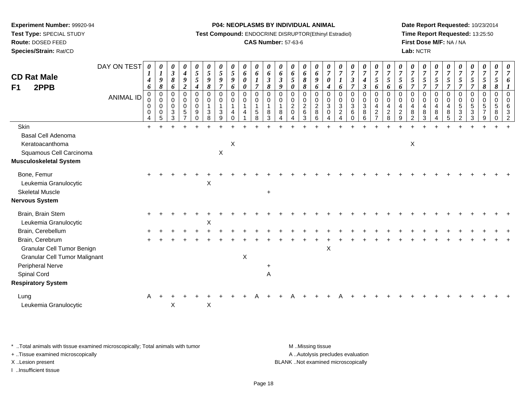**Test Type:** SPECIAL STUDY

**Route:** DOSED FEED**Species/Strain:** Rat/CD

#### **P04: NEOPLASMS BY INDIVIDUAL ANIMAL**

**Test Compound:** ENDOCRINE DISRUPTOR(Ethinyl Estradiol)

# **CAS Number:** 57-63-6

**Date Report Requested:** 10/23/2014**Time Report Requested:** 13:25:50**First Dose M/F:** NA / NA**Lab:** NCTR

| <b>CD Rat Male</b><br>2PPB<br>F <sub>1</sub><br>Skin<br><b>Basal Cell Adenoma</b>                                                                                          | DAY ON TEST<br><b>ANIMAL ID</b> | 0<br>1<br>$\boldsymbol{4}$<br>6<br>0<br>0<br>$\mathbf 0$<br>0<br>4<br>$+$ | 0<br>$\boldsymbol{l}$<br>9<br>8<br>$\mathbf 0$<br>$\mathbf 0$<br>$\mathbf 0$<br>0<br>5 | 0<br>$\mathfrak{z}$<br>$\pmb{8}$<br>6<br>$\mathbf 0$<br>$\mathbf 0$<br>$\mathbf 0$<br>3<br>3 | 0<br>$\boldsymbol{4}$<br>9<br>$\overline{\mathbf{c}}$<br>0<br>0<br>0<br>5 | 0<br>$\sqrt{5}$<br>$\mathfrak{S}$<br>$\boldsymbol{4}$<br>$\mathbf 0$<br>$\pmb{0}$<br>$\ddot{\mathbf{0}}$<br>9<br>$\Omega$ | 0<br>$\sqrt{5}$<br>9<br>$\pmb{8}$<br>$\pmb{0}$<br>$\pmb{0}$<br>$\mathbf{1}$<br>3<br>8 | 0<br>$\sqrt{5}$<br>$\boldsymbol{9}$<br>$\overline{7}$<br>$\pmb{0}$<br>$\mathbf 0$<br>$\overline{1}$<br>3<br>9 | 0<br>$\sqrt{5}$<br>$\pmb{9}$<br>6<br>$\mathbf 0$<br>$\pmb{0}$<br>$\mathbf{1}$<br>$\overline{4}$ | 0<br>$\boldsymbol{6}$<br>$\pmb{\theta}$<br>$\pmb{\theta}$<br>$\mathbf 0$<br>$\pmb{0}$<br>1<br>4 | 0<br>6<br>$\boldsymbol{l}$<br>$\overline{7}$<br>$\mathbf 0$<br>$\mathbf 0$<br>$\mathbf{1}$<br>5<br>8 | 0<br>$\boldsymbol{6}$<br>$\boldsymbol{\beta}$<br>$\boldsymbol{\delta}$<br>0<br>0<br>$\mathbf{1}$<br>8<br>3 | 0<br>6<br>$\boldsymbol{\beta}$<br>$\boldsymbol{g}$<br>$\mathbf 0$<br>$\pmb{0}$<br>$\mathbf{1}$<br>8<br>$\boldsymbol{\Lambda}$ | 0<br>6<br>$\sqrt{5}$<br>0<br>$\mathbf 0$<br>$^{\rm 0}_{\rm 2}$<br>$\pmb{0}$ | 0<br>6<br>$\pmb{8}$<br>$\pmb{8}$<br>$\pmb{0}$<br>$\frac{0}{2}$<br>3 | 0<br>6<br>9<br>6<br>$\mathbf 0$<br>$\pmb{0}$<br>$\overline{2}$<br>$\,8\,$<br>6 | 0<br>$\overline{7}$<br>$\boldsymbol{\theta}$<br>$\boldsymbol{4}$<br>$\mathbf 0$<br>$\pmb{0}$<br>$\mathbf{3}$<br>0<br>Δ | $\boldsymbol{\theta}$<br>$\boldsymbol{7}$<br>$\boldsymbol{l}$<br>6<br>$\mathbf 0$<br>$\pmb{0}$<br>$\mathbf{3}$<br>$\overline{2}$ | 0<br>$\overline{7}$<br>$\boldsymbol{\beta}$<br>$\overline{7}$<br>$\mathbf 0$<br>$\frac{0}{3}$<br>6<br>$\Omega$ | $\frac{\boldsymbol{0}}{7}$<br>$\boldsymbol{4}$<br>$\mathfrak{z}$<br>$\pmb{0}$<br>$_{3}^{\rm 0}$<br>8<br>6 | $\boldsymbol{\theta}$<br>$\overline{7}$<br>$\sqrt{5}$<br>6<br>$\pmb{0}$<br>$\pmb{0}$<br>$\overline{4}$<br>$\sqrt{2}$<br>$\overline{7}$ | 0<br>$\overline{7}$<br>$\mathfrak{s}$<br>6<br>$\mathbf 0$<br>$\pmb{0}$<br>$\overline{4}$<br>$\overline{2}$<br>8 | $\boldsymbol{\theta}$<br>$\overline{7}$<br>5<br>6<br>$\mathbf 0$<br>$\mathbf 0$<br>$\overline{4}$<br>$\overline{c}$<br>9 | 0<br>$\overline{7}$<br>$\mathfrak{s}$<br>$\overline{7}$<br>$\mathbf 0$<br>$\pmb{0}$<br>4<br>$\, 8$<br>2 | 0<br>$\boldsymbol{7}$<br>5<br>$\overline{7}$<br>$\mathbf 0$<br>$\mathbf 0$<br>$\overline{4}$<br>8<br>3 | 0<br>$\overline{7}$<br>$5\overline{)}$<br>$\overline{7}$<br>0<br>0<br>$\overline{4}$<br>8 | $\boldsymbol{\theta}$<br>$\boldsymbol{7}$<br>$\mathfrak{s}$<br>$\overline{7}$<br>$\mathbf 0$<br>$\pmb{0}$<br>$\overline{4}$<br>8<br>5 | 0<br>$\overline{7}$<br>$\mathfrak{s}$<br>$\overline{7}$<br>$\pmb{0}$<br>$\begin{array}{c} 0 \\ 5 \end{array}$<br>$\sqrt{3}$<br>$\mathcal{P}$ | $\boldsymbol{\theta}$<br>$\overline{7}$<br>$\sqrt{5}$<br>$\overline{7}$<br>$\pmb{0}$<br>$\frac{0}{5}$<br>3 | 0<br>$\boldsymbol{7}$<br>$\sqrt{5}$<br>8<br>$\pmb{0}$<br>$\pmb{0}$<br>$\overline{5}$<br>$\overline{7}$<br>9 | 0<br>$\overline{7}$<br>$\mathfrak{s}$<br>8<br>$\mathbf 0$<br>$\pmb{0}$<br>5<br>8<br>$\Omega$ | 7<br>$\Omega$<br>$\mathbf 0$<br>6<br>3 |
|----------------------------------------------------------------------------------------------------------------------------------------------------------------------------|---------------------------------|---------------------------------------------------------------------------|----------------------------------------------------------------------------------------|----------------------------------------------------------------------------------------------|---------------------------------------------------------------------------|---------------------------------------------------------------------------------------------------------------------------|---------------------------------------------------------------------------------------|---------------------------------------------------------------------------------------------------------------|-------------------------------------------------------------------------------------------------|-------------------------------------------------------------------------------------------------|------------------------------------------------------------------------------------------------------|------------------------------------------------------------------------------------------------------------|-------------------------------------------------------------------------------------------------------------------------------|-----------------------------------------------------------------------------|---------------------------------------------------------------------|--------------------------------------------------------------------------------|------------------------------------------------------------------------------------------------------------------------|----------------------------------------------------------------------------------------------------------------------------------|----------------------------------------------------------------------------------------------------------------|-----------------------------------------------------------------------------------------------------------|----------------------------------------------------------------------------------------------------------------------------------------|-----------------------------------------------------------------------------------------------------------------|--------------------------------------------------------------------------------------------------------------------------|---------------------------------------------------------------------------------------------------------|--------------------------------------------------------------------------------------------------------|-------------------------------------------------------------------------------------------|---------------------------------------------------------------------------------------------------------------------------------------|----------------------------------------------------------------------------------------------------------------------------------------------|------------------------------------------------------------------------------------------------------------|-------------------------------------------------------------------------------------------------------------|----------------------------------------------------------------------------------------------|----------------------------------------|
| Keratoacanthoma<br>Squamous Cell Carcinoma<br><b>Musculoskeletal System</b>                                                                                                |                                 |                                                                           |                                                                                        |                                                                                              |                                                                           |                                                                                                                           |                                                                                       | $\sf X$                                                                                                       | $\mathsf X$                                                                                     |                                                                                                 |                                                                                                      |                                                                                                            |                                                                                                                               |                                                                             |                                                                     |                                                                                |                                                                                                                        |                                                                                                                                  |                                                                                                                |                                                                                                           |                                                                                                                                        |                                                                                                                 |                                                                                                                          | X                                                                                                       |                                                                                                        |                                                                                           |                                                                                                                                       |                                                                                                                                              |                                                                                                            |                                                                                                             |                                                                                              |                                        |
| Bone, Femur<br>Leukemia Granulocytic<br><b>Skeletal Muscle</b><br><b>Nervous System</b>                                                                                    |                                 |                                                                           |                                                                                        |                                                                                              |                                                                           |                                                                                                                           | X                                                                                     |                                                                                                               |                                                                                                 |                                                                                                 |                                                                                                      | $\ddot{}$                                                                                                  |                                                                                                                               |                                                                             |                                                                     |                                                                                |                                                                                                                        |                                                                                                                                  |                                                                                                                |                                                                                                           |                                                                                                                                        |                                                                                                                 |                                                                                                                          |                                                                                                         |                                                                                                        |                                                                                           |                                                                                                                                       |                                                                                                                                              |                                                                                                            |                                                                                                             |                                                                                              |                                        |
| Brain, Brain Stem<br>Leukemia Granulocytic                                                                                                                                 |                                 |                                                                           |                                                                                        |                                                                                              |                                                                           |                                                                                                                           | X                                                                                     |                                                                                                               |                                                                                                 |                                                                                                 |                                                                                                      |                                                                                                            |                                                                                                                               |                                                                             |                                                                     |                                                                                |                                                                                                                        |                                                                                                                                  |                                                                                                                |                                                                                                           |                                                                                                                                        |                                                                                                                 |                                                                                                                          |                                                                                                         |                                                                                                        |                                                                                           |                                                                                                                                       |                                                                                                                                              |                                                                                                            |                                                                                                             |                                                                                              |                                        |
| Brain, Cerebellum<br>Brain, Cerebrum<br>Granular Cell Tumor Benign<br><b>Granular Cell Tumor Malignant</b><br>Peripheral Nerve<br>Spinal Cord<br><b>Respiratory System</b> |                                 |                                                                           |                                                                                        |                                                                                              |                                                                           |                                                                                                                           |                                                                                       |                                                                                                               |                                                                                                 | X                                                                                               |                                                                                                      | +<br>Α                                                                                                     |                                                                                                                               |                                                                             |                                                                     |                                                                                | $\boldsymbol{\mathsf{X}}$                                                                                              |                                                                                                                                  |                                                                                                                |                                                                                                           |                                                                                                                                        |                                                                                                                 |                                                                                                                          |                                                                                                         |                                                                                                        |                                                                                           |                                                                                                                                       |                                                                                                                                              |                                                                                                            |                                                                                                             |                                                                                              |                                        |
| Lung<br>Leukemia Granulocytic                                                                                                                                              |                                 | A                                                                         |                                                                                        | X                                                                                            |                                                                           |                                                                                                                           | X                                                                                     |                                                                                                               |                                                                                                 |                                                                                                 |                                                                                                      |                                                                                                            |                                                                                                                               |                                                                             |                                                                     |                                                                                |                                                                                                                        |                                                                                                                                  |                                                                                                                |                                                                                                           |                                                                                                                                        |                                                                                                                 |                                                                                                                          |                                                                                                         |                                                                                                        |                                                                                           |                                                                                                                                       |                                                                                                                                              |                                                                                                            |                                                                                                             |                                                                                              |                                        |

\* ..Total animals with tissue examined microscopically; Total animals with tumor **M** . Missing tissue M ..Missing tissue

+ ..Tissue examined microscopically

I ..Insufficient tissue

A ..Autolysis precludes evaluation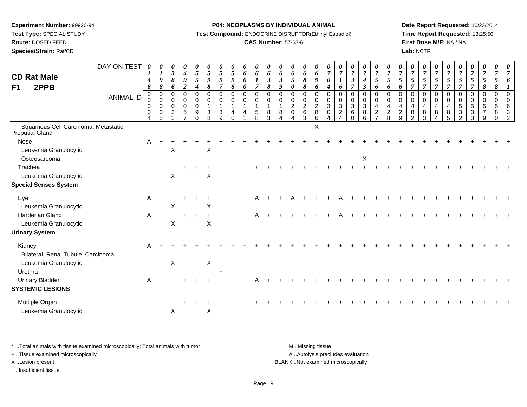**Test Type:** SPECIAL STUDY

**Route:** DOSED FEED

**Species/Strain:** Rat/CD

### **P04: NEOPLASMS BY INDIVIDUAL ANIMAL**

**Test Compound:** ENDOCRINE DISRUPTOR(Ethinyl Estradiol)

# **CAS Number:** 57-63-6

**Date Report Requested:** 10/23/2014**Time Report Requested:** 13:25:50**First Dose M/F:** NA / NA**Lab:** NCTR

| <b>CD Rat Male</b><br>2PPB<br>F <sub>1</sub>                          | DAY ON TEST<br><b>ANIMAL ID</b> | 0<br>$\boldsymbol{I}$<br>$\boldsymbol{4}$<br>6<br>0<br>$\pmb{0}$<br>$\mathbf 0$<br>0<br>4 | 0<br>$\boldsymbol{l}$<br>9<br>8<br>$\pmb{0}$<br>0<br>0<br>0<br>5 | 0<br>$\mathfrak{z}$<br>8<br>6<br>$\mathbf 0$<br>0<br>$\pmb{0}$<br>3<br>3 | 0<br>$\boldsymbol{4}$<br>9<br>$\boldsymbol{2}$<br>$\mathbf 0$<br>$\mathbf 0$<br>$\mathbf 0$<br>$\,$ 5 $\,$ | $\boldsymbol{\theta}$<br>$\sqrt{5}$<br>$\mathfrak{s}$<br>$\boldsymbol{4}$<br>0<br>0<br>$\mathbf 0$<br>9<br>$\Omega$ | 0<br>$\mathfrak{s}$<br>$\boldsymbol{9}$<br>$\boldsymbol{\delta}$<br>$\mathbf 0$<br>0<br>$\mathbf{1}$<br>3<br>8 | $\boldsymbol{\theta}$<br>5<br>$\boldsymbol{9}$<br>$\overline{7}$<br>$\mathbf 0$<br>0<br>$\mathbf{1}$<br>3<br>9 | 0<br>5<br>$\boldsymbol{9}$<br>6<br>$\mathbf 0$<br>0<br>$\mathbf{1}$<br>4 | 0<br>6<br>0<br>0<br>$\mathbf 0$<br>0<br>4 | 0<br>6<br>$\boldsymbol{l}$<br>$\overline{7}$<br>$\mathbf 0$<br>0<br>$\mathbf{1}$<br>5<br>8 | 0<br>6<br>$\boldsymbol{\beta}$<br>8<br>$\mathbf 0$<br>0<br>1<br>8<br>3 | 0<br>6<br>$\boldsymbol{\beta}$<br>9<br>$\mathbf 0$<br>0<br>8 | $\boldsymbol{\theta}$<br>6<br>5<br>0<br>$\mathbf 0$<br>$\mathbf 0$<br>$\overline{2}$<br>$\mathbf 0$ | 0<br>6<br>$\pmb{8}$<br>8<br>0<br>$\pmb{0}$<br>$\sqrt{2}$<br>6<br>3 | $\boldsymbol{\theta}$<br>6<br>9<br>6<br>$\mathbf 0$<br>$\overline{0}$<br>$\overline{c}$<br>8<br>6 | 0<br>$\overline{7}$<br>0<br>4<br>$\mathbf 0$<br>0<br>$\mathbf{3}$<br>0 | 0<br>$\overline{7}$<br>$\boldsymbol{l}$<br>6<br>$\mathbf 0$<br>0<br>$\sqrt{3}$<br>$\overline{2}$ | $\boldsymbol{\theta}$<br>$\overline{7}$<br>$\boldsymbol{\beta}$<br>$\overline{7}$<br>$\pmb{0}$<br>0<br>$\mathbf{3}$<br>6<br>$\Omega$ | 0<br>$\boldsymbol{7}$<br>$\boldsymbol{4}$<br>$\boldsymbol{\beta}$<br>0<br>0<br>3<br>8<br>6 | $\boldsymbol{\theta}$<br>$\overline{7}$<br>$\mathfrak{s}$<br>6<br>$\mathbf 0$<br>$\pmb{0}$<br>$\overline{4}$<br>$\overline{2}$<br>$\overline{ }$ | 0<br>$\overline{7}$<br>5<br>6<br>0<br>0<br>4<br>$\overline{c}$<br>8 | $\boldsymbol{\theta}$<br>$\overline{7}$<br>5<br>6<br>$\mathbf 0$<br>$\mathbf 0$<br>$\overline{4}$<br>$\overline{2}$<br>$\mathsf{Q}$ | 0<br>$\overline{7}$<br>5<br>7<br>$\mathbf 0$<br>0<br>$\overline{4}$<br>8<br>2 | 0<br>$\boldsymbol{7}$<br>$\sqrt{5}$<br>$\overline{7}$<br>0<br>$\pmb{0}$<br>$\overline{4}$<br>8<br>3 | 0<br>$\overline{7}$<br>5<br>$\overline{7}$<br>$\pmb{0}$<br>0<br>$\overline{4}$<br>8 | $\boldsymbol{\theta}$<br>$\overline{7}$<br>$\mathfrak{s}$<br>$\overline{7}$<br>$\mathbf 0$<br>0<br>4<br>8<br>5 | 0<br>$\overline{7}$<br>5<br>$\overline{7}$<br>$\mathbf 0$<br>$\mathsf 0$<br>$\sqrt{5}$<br>$\sqrt{3}$<br>$\mathfrak{p}$ | 0<br>$\overline{7}$<br>$\sqrt{5}$<br>$\overline{7}$<br>$\mathbf 0$<br>$\pmb{0}$<br>$\sqrt{5}$<br>$\ensuremath{\mathsf{3}}$<br>3 | 0<br>$\overline{7}$<br>$5\overline{)}$<br>$\boldsymbol{\delta}$<br>$\mathbf 0$<br>$\pmb{0}$<br>$\sqrt{5}$<br>$\overline{7}$<br>9 | $\theta$<br>$\overline{7}$<br>$\mathfrak{s}$<br>8<br>$\mathbf 0$<br>$\mathbf 0$<br>5<br>8<br>$\Omega$ | -7<br>$\Omega$<br>0<br>6<br>3<br>$\mathcal{P}$ |
|-----------------------------------------------------------------------|---------------------------------|-------------------------------------------------------------------------------------------|------------------------------------------------------------------|--------------------------------------------------------------------------|------------------------------------------------------------------------------------------------------------|---------------------------------------------------------------------------------------------------------------------|----------------------------------------------------------------------------------------------------------------|----------------------------------------------------------------------------------------------------------------|--------------------------------------------------------------------------|-------------------------------------------|--------------------------------------------------------------------------------------------|------------------------------------------------------------------------|--------------------------------------------------------------|-----------------------------------------------------------------------------------------------------|--------------------------------------------------------------------|---------------------------------------------------------------------------------------------------|------------------------------------------------------------------------|--------------------------------------------------------------------------------------------------|--------------------------------------------------------------------------------------------------------------------------------------|--------------------------------------------------------------------------------------------|--------------------------------------------------------------------------------------------------------------------------------------------------|---------------------------------------------------------------------|-------------------------------------------------------------------------------------------------------------------------------------|-------------------------------------------------------------------------------|-----------------------------------------------------------------------------------------------------|-------------------------------------------------------------------------------------|----------------------------------------------------------------------------------------------------------------|------------------------------------------------------------------------------------------------------------------------|---------------------------------------------------------------------------------------------------------------------------------|----------------------------------------------------------------------------------------------------------------------------------|-------------------------------------------------------------------------------------------------------|------------------------------------------------|
| Squamous Cell Carcinoma, Metastatic,<br><b>Preputial Gland</b>        |                                 |                                                                                           |                                                                  |                                                                          |                                                                                                            |                                                                                                                     |                                                                                                                |                                                                                                                |                                                                          |                                           |                                                                                            |                                                                        |                                                              |                                                                                                     |                                                                    | $\pmb{\times}$                                                                                    |                                                                        |                                                                                                  |                                                                                                                                      |                                                                                            |                                                                                                                                                  |                                                                     |                                                                                                                                     |                                                                               |                                                                                                     |                                                                                     |                                                                                                                |                                                                                                                        |                                                                                                                                 |                                                                                                                                  |                                                                                                       |                                                |
| Nose<br>Leukemia Granulocytic<br>Osteosarcoma                         |                                 | A                                                                                         |                                                                  | X                                                                        |                                                                                                            |                                                                                                                     | X                                                                                                              |                                                                                                                |                                                                          |                                           |                                                                                            |                                                                        |                                                              |                                                                                                     |                                                                    |                                                                                                   |                                                                        |                                                                                                  |                                                                                                                                      | X                                                                                          |                                                                                                                                                  |                                                                     |                                                                                                                                     |                                                                               |                                                                                                     |                                                                                     |                                                                                                                |                                                                                                                        |                                                                                                                                 |                                                                                                                                  |                                                                                                       |                                                |
| Trachea<br>Leukemia Granulocytic<br><b>Special Senses System</b>      |                                 |                                                                                           |                                                                  | X                                                                        |                                                                                                            |                                                                                                                     | X                                                                                                              |                                                                                                                |                                                                          |                                           |                                                                                            |                                                                        |                                                              |                                                                                                     |                                                                    |                                                                                                   |                                                                        |                                                                                                  |                                                                                                                                      |                                                                                            |                                                                                                                                                  |                                                                     |                                                                                                                                     |                                                                               |                                                                                                     |                                                                                     |                                                                                                                |                                                                                                                        |                                                                                                                                 |                                                                                                                                  |                                                                                                       |                                                |
| Eye<br>Leukemia Granulocytic                                          |                                 | A                                                                                         | $\div$                                                           | Х                                                                        |                                                                                                            |                                                                                                                     | X                                                                                                              |                                                                                                                |                                                                          |                                           |                                                                                            |                                                                        |                                                              |                                                                                                     |                                                                    |                                                                                                   |                                                                        |                                                                                                  |                                                                                                                                      |                                                                                            |                                                                                                                                                  |                                                                     |                                                                                                                                     |                                                                               |                                                                                                     |                                                                                     |                                                                                                                |                                                                                                                        |                                                                                                                                 |                                                                                                                                  |                                                                                                       |                                                |
| Harderian Gland<br>Leukemia Granulocytic<br><b>Urinary System</b>     |                                 | $\mathsf{A}$                                                                              | $\ddot{}$                                                        | X                                                                        |                                                                                                            |                                                                                                                     | X                                                                                                              |                                                                                                                |                                                                          |                                           |                                                                                            |                                                                        |                                                              |                                                                                                     |                                                                    |                                                                                                   |                                                                        |                                                                                                  |                                                                                                                                      |                                                                                            |                                                                                                                                                  |                                                                     |                                                                                                                                     |                                                                               |                                                                                                     |                                                                                     |                                                                                                                |                                                                                                                        |                                                                                                                                 |                                                                                                                                  |                                                                                                       |                                                |
| Kidney<br>Bilateral, Renal Tubule, Carcinoma<br>Leukemia Granulocytic |                                 | A                                                                                         |                                                                  | X                                                                        |                                                                                                            |                                                                                                                     | $\mathsf X$                                                                                                    |                                                                                                                |                                                                          |                                           |                                                                                            |                                                                        |                                                              |                                                                                                     |                                                                    |                                                                                                   |                                                                        |                                                                                                  |                                                                                                                                      |                                                                                            |                                                                                                                                                  |                                                                     |                                                                                                                                     |                                                                               |                                                                                                     |                                                                                     |                                                                                                                |                                                                                                                        |                                                                                                                                 |                                                                                                                                  |                                                                                                       |                                                |
| Urethra<br><b>Urinary Bladder</b><br><b>SYSTEMIC LESIONS</b>          |                                 | A                                                                                         |                                                                  |                                                                          |                                                                                                            |                                                                                                                     |                                                                                                                |                                                                                                                |                                                                          |                                           |                                                                                            |                                                                        |                                                              |                                                                                                     |                                                                    |                                                                                                   |                                                                        |                                                                                                  |                                                                                                                                      |                                                                                            |                                                                                                                                                  |                                                                     |                                                                                                                                     |                                                                               |                                                                                                     |                                                                                     |                                                                                                                |                                                                                                                        |                                                                                                                                 |                                                                                                                                  |                                                                                                       |                                                |
| Multiple Organ<br>Leukemia Granulocytic                               |                                 |                                                                                           |                                                                  | X                                                                        |                                                                                                            |                                                                                                                     | Χ                                                                                                              |                                                                                                                |                                                                          |                                           |                                                                                            |                                                                        |                                                              |                                                                                                     |                                                                    |                                                                                                   |                                                                        |                                                                                                  |                                                                                                                                      |                                                                                            |                                                                                                                                                  |                                                                     |                                                                                                                                     |                                                                               |                                                                                                     |                                                                                     |                                                                                                                |                                                                                                                        |                                                                                                                                 |                                                                                                                                  |                                                                                                       |                                                |

\* ..Total animals with tissue examined microscopically; Total animals with tumor **M** . Missing tissue M ..Missing tissue

+ ..Tissue examined microscopically

I ..Insufficient tissue

A ..Autolysis precludes evaluation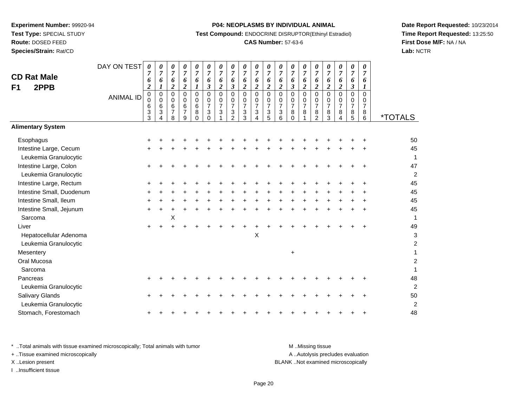**Route:** DOSED FEED

**Species/Strain:** Rat/CD

### **P04: NEOPLASMS BY INDIVIDUAL ANIMAL**

**Test Compound:** ENDOCRINE DISRUPTOR(Ethinyl Estradiol)

# **CAS Number:** 57-63-6

**Date Report Requested:** 10/23/2014**Time Report Requested:** 13:25:50**First Dose M/F:** NA / NA**Lab:** NCTR

| <b>CD Rat Male</b><br>2PPB<br>F <sub>1</sub> | DAY ON TEST<br><b>ANIMAL ID</b> | 0<br>$\overline{7}$<br>6<br>$\overline{\mathbf{c}}$<br>$\mathbf 0$<br>$\pmb{0}$<br>$\,6$<br>3<br>3 | 0<br>$\overline{7}$<br>6<br>$\boldsymbol{l}$<br>$\mathbf 0$<br>0<br>6<br>3<br>4 | 0<br>$\overline{7}$<br>6<br>$\boldsymbol{2}$<br>$\Omega$<br>0<br>6<br>7<br>8 | 0<br>$\overline{7}$<br>6<br>$\overline{c}$<br>0<br>0<br>6<br>7<br>9 | 0<br>$\boldsymbol{7}$<br>6<br>1<br>0<br>0<br>6<br>$\bf 8$<br>$\Omega$ | 0<br>$\overline{7}$<br>6<br>$\boldsymbol{\beta}$<br>$\mathbf 0$<br>0<br>$\overline{7}$<br>$\ensuremath{\mathsf{3}}$<br>$\Omega$ | 0<br>$\overline{7}$<br>6<br>$\boldsymbol{2}$<br>$\mathbf 0$<br>0<br>$\overline{7}$<br>3 | 0<br>$\overline{7}$<br>6<br>$\boldsymbol{\beta}$<br>$\mathbf 0$<br>0<br>$\boldsymbol{7}$<br>3<br>$\overline{2}$ | 0<br>$\overline{7}$<br>6<br>$\boldsymbol{2}$<br>0<br>0<br>$\overline{7}$<br>3<br>3 | 0<br>$\overline{7}$<br>6<br>$\overline{\mathbf{c}}$<br>0<br>0<br>$\overline{7}$<br>$\ensuremath{\mathsf{3}}$<br>4 | 0<br>$\overline{7}$<br>6<br>$\boldsymbol{2}$<br>$\mathbf 0$<br>0<br>$\overline{7}$<br>$\ensuremath{\mathsf{3}}$<br>5 | 0<br>$\overline{7}$<br>6<br>$\overline{\mathbf{c}}$<br>$\mathbf 0$<br>0<br>$\overline{7}$<br>3<br>6 | 0<br>$\overline{7}$<br>6<br>3<br>$\mathbf 0$<br>0<br>$\overline{7}$<br>$\bf8$<br>$\Omega$ | 0<br>$\overline{7}$<br>6<br>$\boldsymbol{2}$<br>$\Omega$<br>0<br>$\overline{7}$<br>8 | 0<br>$\overline{7}$<br>6<br>$\overline{c}$<br>0<br>0<br>$\overline{7}$<br>$\frac{8}{2}$ | 0<br>$\overline{7}$<br>6<br>$\boldsymbol{2}$<br>$\mathbf 0$<br>0<br>$\overline{7}$<br>8<br>3 | 0<br>$\boldsymbol{7}$<br>6<br>$\boldsymbol{2}$<br>$\mathbf 0$<br>0<br>$\overline{7}$<br>8<br>$\overline{4}$ | 0<br>$\overline{7}$<br>6<br>$\boldsymbol{\beta}$<br>$\mathbf 0$<br>0<br>$\overline{7}$<br>$\,8\,$<br>5 | 0<br>$\overline{7}$<br>6<br>1<br>$\Omega$<br>0<br>$\overline{7}$<br>8<br>6 | <i><b>*TOTALS</b></i> |
|----------------------------------------------|---------------------------------|----------------------------------------------------------------------------------------------------|---------------------------------------------------------------------------------|------------------------------------------------------------------------------|---------------------------------------------------------------------|-----------------------------------------------------------------------|---------------------------------------------------------------------------------------------------------------------------------|-----------------------------------------------------------------------------------------|-----------------------------------------------------------------------------------------------------------------|------------------------------------------------------------------------------------|-------------------------------------------------------------------------------------------------------------------|----------------------------------------------------------------------------------------------------------------------|-----------------------------------------------------------------------------------------------------|-------------------------------------------------------------------------------------------|--------------------------------------------------------------------------------------|-----------------------------------------------------------------------------------------|----------------------------------------------------------------------------------------------|-------------------------------------------------------------------------------------------------------------|--------------------------------------------------------------------------------------------------------|----------------------------------------------------------------------------|-----------------------|
| <b>Alimentary System</b>                     |                                 |                                                                                                    |                                                                                 |                                                                              |                                                                     |                                                                       |                                                                                                                                 |                                                                                         |                                                                                                                 |                                                                                    |                                                                                                                   |                                                                                                                      |                                                                                                     |                                                                                           |                                                                                      |                                                                                         |                                                                                              |                                                                                                             |                                                                                                        |                                                                            |                       |
| Esophagus                                    |                                 |                                                                                                    |                                                                                 |                                                                              |                                                                     |                                                                       |                                                                                                                                 |                                                                                         |                                                                                                                 |                                                                                    |                                                                                                                   |                                                                                                                      |                                                                                                     |                                                                                           |                                                                                      |                                                                                         |                                                                                              |                                                                                                             |                                                                                                        |                                                                            | 50                    |
| Intestine Large, Cecum                       |                                 |                                                                                                    |                                                                                 |                                                                              |                                                                     |                                                                       |                                                                                                                                 |                                                                                         |                                                                                                                 |                                                                                    |                                                                                                                   |                                                                                                                      |                                                                                                     |                                                                                           |                                                                                      |                                                                                         |                                                                                              |                                                                                                             |                                                                                                        |                                                                            | 45                    |
| Leukemia Granulocytic                        |                                 |                                                                                                    |                                                                                 |                                                                              |                                                                     |                                                                       |                                                                                                                                 |                                                                                         |                                                                                                                 |                                                                                    |                                                                                                                   |                                                                                                                      |                                                                                                     |                                                                                           |                                                                                      |                                                                                         |                                                                                              |                                                                                                             |                                                                                                        |                                                                            | $\mathbf{1}$          |
| Intestine Large, Colon                       |                                 |                                                                                                    |                                                                                 |                                                                              |                                                                     |                                                                       |                                                                                                                                 |                                                                                         |                                                                                                                 |                                                                                    |                                                                                                                   |                                                                                                                      |                                                                                                     |                                                                                           |                                                                                      |                                                                                         |                                                                                              |                                                                                                             |                                                                                                        |                                                                            | 47                    |
| Leukemia Granulocytic                        |                                 |                                                                                                    |                                                                                 |                                                                              |                                                                     |                                                                       |                                                                                                                                 |                                                                                         |                                                                                                                 |                                                                                    |                                                                                                                   |                                                                                                                      |                                                                                                     |                                                                                           |                                                                                      |                                                                                         |                                                                                              |                                                                                                             |                                                                                                        |                                                                            | $\overline{2}$        |
| Intestine Large, Rectum                      |                                 |                                                                                                    |                                                                                 |                                                                              |                                                                     |                                                                       |                                                                                                                                 |                                                                                         |                                                                                                                 |                                                                                    |                                                                                                                   |                                                                                                                      |                                                                                                     |                                                                                           |                                                                                      |                                                                                         |                                                                                              |                                                                                                             |                                                                                                        |                                                                            | 45                    |
| Intestine Small, Duodenum                    |                                 |                                                                                                    |                                                                                 |                                                                              |                                                                     |                                                                       |                                                                                                                                 |                                                                                         |                                                                                                                 |                                                                                    |                                                                                                                   |                                                                                                                      |                                                                                                     |                                                                                           |                                                                                      |                                                                                         |                                                                                              |                                                                                                             |                                                                                                        |                                                                            | 45                    |
| Intestine Small, Ileum                       |                                 |                                                                                                    |                                                                                 |                                                                              |                                                                     |                                                                       |                                                                                                                                 |                                                                                         |                                                                                                                 |                                                                                    |                                                                                                                   |                                                                                                                      |                                                                                                     |                                                                                           |                                                                                      |                                                                                         |                                                                                              |                                                                                                             |                                                                                                        |                                                                            | 45                    |
| Intestine Small, Jejunum                     |                                 |                                                                                                    |                                                                                 |                                                                              |                                                                     |                                                                       |                                                                                                                                 |                                                                                         |                                                                                                                 |                                                                                    |                                                                                                                   |                                                                                                                      |                                                                                                     |                                                                                           |                                                                                      |                                                                                         |                                                                                              |                                                                                                             |                                                                                                        |                                                                            | 45                    |
| Sarcoma                                      |                                 |                                                                                                    |                                                                                 | X                                                                            |                                                                     |                                                                       |                                                                                                                                 |                                                                                         |                                                                                                                 |                                                                                    |                                                                                                                   |                                                                                                                      |                                                                                                     |                                                                                           |                                                                                      |                                                                                         |                                                                                              |                                                                                                             |                                                                                                        |                                                                            | $\mathbf 1$           |
| Liver                                        |                                 | $\ddot{}$                                                                                          |                                                                                 |                                                                              |                                                                     |                                                                       |                                                                                                                                 |                                                                                         |                                                                                                                 |                                                                                    |                                                                                                                   |                                                                                                                      |                                                                                                     |                                                                                           |                                                                                      |                                                                                         |                                                                                              |                                                                                                             |                                                                                                        |                                                                            | 49                    |
| Hepatocellular Adenoma                       |                                 |                                                                                                    |                                                                                 |                                                                              |                                                                     |                                                                       |                                                                                                                                 |                                                                                         |                                                                                                                 |                                                                                    | X                                                                                                                 |                                                                                                                      |                                                                                                     |                                                                                           |                                                                                      |                                                                                         |                                                                                              |                                                                                                             |                                                                                                        |                                                                            | 3                     |
| Leukemia Granulocytic                        |                                 |                                                                                                    |                                                                                 |                                                                              |                                                                     |                                                                       |                                                                                                                                 |                                                                                         |                                                                                                                 |                                                                                    |                                                                                                                   |                                                                                                                      |                                                                                                     |                                                                                           |                                                                                      |                                                                                         |                                                                                              |                                                                                                             |                                                                                                        |                                                                            | $\overline{2}$        |
| Mesentery                                    |                                 |                                                                                                    |                                                                                 |                                                                              |                                                                     |                                                                       |                                                                                                                                 |                                                                                         |                                                                                                                 |                                                                                    |                                                                                                                   |                                                                                                                      |                                                                                                     | $\ddot{}$                                                                                 |                                                                                      |                                                                                         |                                                                                              |                                                                                                             |                                                                                                        |                                                                            | $\mathbf{1}$          |
| Oral Mucosa                                  |                                 |                                                                                                    |                                                                                 |                                                                              |                                                                     |                                                                       |                                                                                                                                 |                                                                                         |                                                                                                                 |                                                                                    |                                                                                                                   |                                                                                                                      |                                                                                                     |                                                                                           |                                                                                      |                                                                                         |                                                                                              |                                                                                                             |                                                                                                        |                                                                            | $\boldsymbol{2}$      |
| Sarcoma                                      |                                 |                                                                                                    |                                                                                 |                                                                              |                                                                     |                                                                       |                                                                                                                                 |                                                                                         |                                                                                                                 |                                                                                    |                                                                                                                   |                                                                                                                      |                                                                                                     |                                                                                           |                                                                                      |                                                                                         |                                                                                              |                                                                                                             |                                                                                                        |                                                                            | $\mathbf{1}$          |
| Pancreas                                     |                                 |                                                                                                    |                                                                                 |                                                                              |                                                                     |                                                                       |                                                                                                                                 |                                                                                         |                                                                                                                 |                                                                                    |                                                                                                                   |                                                                                                                      |                                                                                                     |                                                                                           |                                                                                      |                                                                                         |                                                                                              |                                                                                                             |                                                                                                        |                                                                            | 48                    |
| Leukemia Granulocytic                        |                                 |                                                                                                    |                                                                                 |                                                                              |                                                                     |                                                                       |                                                                                                                                 |                                                                                         |                                                                                                                 |                                                                                    |                                                                                                                   |                                                                                                                      |                                                                                                     |                                                                                           |                                                                                      |                                                                                         |                                                                                              |                                                                                                             |                                                                                                        |                                                                            | $\overline{2}$        |
| Salivary Glands                              |                                 |                                                                                                    |                                                                                 |                                                                              |                                                                     |                                                                       |                                                                                                                                 |                                                                                         |                                                                                                                 |                                                                                    |                                                                                                                   |                                                                                                                      |                                                                                                     |                                                                                           |                                                                                      |                                                                                         |                                                                                              |                                                                                                             |                                                                                                        |                                                                            | 50                    |
| Leukemia Granulocytic                        |                                 |                                                                                                    |                                                                                 |                                                                              |                                                                     |                                                                       |                                                                                                                                 |                                                                                         |                                                                                                                 |                                                                                    |                                                                                                                   |                                                                                                                      |                                                                                                     |                                                                                           |                                                                                      |                                                                                         |                                                                                              |                                                                                                             |                                                                                                        |                                                                            | $\overline{2}$        |
| Stomach, Forestomach                         |                                 |                                                                                                    |                                                                                 |                                                                              |                                                                     |                                                                       |                                                                                                                                 |                                                                                         |                                                                                                                 |                                                                                    |                                                                                                                   |                                                                                                                      |                                                                                                     |                                                                                           |                                                                                      |                                                                                         |                                                                                              |                                                                                                             |                                                                                                        |                                                                            | 48                    |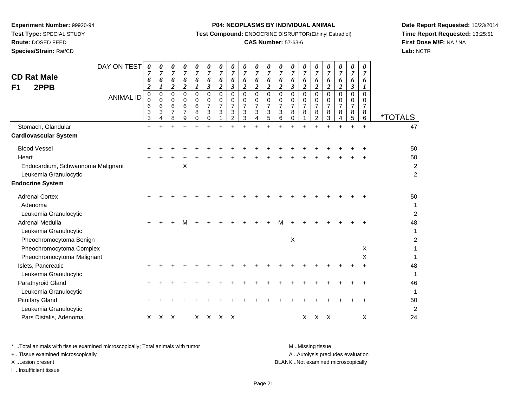**Route:** DOSED FEED**Species/Strain:** Rat/CD

#### **P04: NEOPLASMS BY INDIVIDUAL ANIMAL**

**Test Compound:** ENDOCRINE DISRUPTOR(Ethinyl Estradiol)

### **CAS Number:** 57-63-6

**Date Report Requested:** 10/23/2014**Time Report Requested:** 13:25:51**First Dose M/F:** NA / NA**Lab:** NCTR

| <b>CD Rat Male</b><br>F1<br>2PPB  | DAY ON TEST<br><b>ANIMAL ID</b> | 0<br>7<br>6<br>$\boldsymbol{2}$<br>$\pmb{0}$<br>0<br>6<br>3<br>3 | 0<br>$\overline{7}$<br>6<br>0<br>0<br>6<br>3<br>4 | 0<br>$\overline{7}$<br>6<br>2<br>0<br>0<br>6<br>7<br>8 | 0<br>$\overline{7}$<br>6<br>2<br>$\mathbf 0$<br>$\Omega$<br>6<br>7<br>9 | 0<br>$\overline{7}$<br>6<br>1<br>$\pmb{0}$<br>0<br>6<br>8<br>0 | 0<br>$\overline{7}$<br>6<br>$\boldsymbol{\beta}$<br>$\mathbf 0$<br>0<br>$\overline{7}$<br>3<br>$\pmb{0}$ | 0<br>7<br>6<br>$\boldsymbol{2}$<br>0<br>0<br>$\overline{7}$<br>3 | 0<br>$\overline{7}$<br>6<br>3<br>0<br>0<br>$\overline{7}$<br>3<br>$\overline{c}$ | 0<br>$\overline{7}$<br>6<br>$\overline{c}$<br>$\mathbf 0$<br>0<br>$\overline{7}$<br>3<br>3 | $\boldsymbol{\theta}$<br>$\overline{7}$<br>6<br>$\overline{c}$<br>$\mathbf 0$<br>0<br>$\overline{7}$<br>3<br>4 | 0<br>$\overline{7}$<br>6<br>$\boldsymbol{2}$<br>$\mathbf 0$<br>0<br>$\overline{7}$<br>3<br>5 | 0<br>$\overline{7}$<br>6<br>$\overline{c}$<br>0<br>0<br>$\overline{7}$<br>3<br>6 | 0<br>$\overline{7}$<br>6<br>3<br>0<br>0<br>$\overline{7}$<br>8<br>0 | 0<br>$\overline{7}$<br>6<br>$\boldsymbol{2}$<br>0<br>0<br>$\overline{7}$<br>8<br>1 | 0<br>$\overline{7}$<br>6<br>$\overline{c}$<br>$\mathbf 0$<br>0<br>$\overline{7}$<br>8<br>$\overline{c}$ | $\boldsymbol{\theta}$<br>$\overline{7}$<br>6<br>$\boldsymbol{2}$<br>$\Omega$<br>0<br>$\overline{7}$<br>8<br>3 | 0<br>$\overline{7}$<br>6<br>$\boldsymbol{2}$<br>$\mathbf 0$<br>0<br>$\overline{7}$<br>8<br>4 | 0<br>7<br>6<br>3<br>$\mathbf 0$<br>0<br>$\overline{7}$<br>8<br>5 | 0<br>7<br>6<br>1<br>$\Omega$<br>0<br>$\overline{7}$<br>8<br>6 | <i><b>*TOTALS</b></i> |
|-----------------------------------|---------------------------------|------------------------------------------------------------------|---------------------------------------------------|--------------------------------------------------------|-------------------------------------------------------------------------|----------------------------------------------------------------|----------------------------------------------------------------------------------------------------------|------------------------------------------------------------------|----------------------------------------------------------------------------------|--------------------------------------------------------------------------------------------|----------------------------------------------------------------------------------------------------------------|----------------------------------------------------------------------------------------------|----------------------------------------------------------------------------------|---------------------------------------------------------------------|------------------------------------------------------------------------------------|---------------------------------------------------------------------------------------------------------|---------------------------------------------------------------------------------------------------------------|----------------------------------------------------------------------------------------------|------------------------------------------------------------------|---------------------------------------------------------------|-----------------------|
| Stomach, Glandular                |                                 | $+$                                                              |                                                   |                                                        |                                                                         |                                                                |                                                                                                          |                                                                  | ÷                                                                                |                                                                                            |                                                                                                                |                                                                                              |                                                                                  |                                                                     |                                                                                    |                                                                                                         |                                                                                                               |                                                                                              | $+$                                                              | $+$                                                           | 47                    |
| <b>Cardiovascular System</b>      |                                 |                                                                  |                                                   |                                                        |                                                                         |                                                                |                                                                                                          |                                                                  |                                                                                  |                                                                                            |                                                                                                                |                                                                                              |                                                                                  |                                                                     |                                                                                    |                                                                                                         |                                                                                                               |                                                                                              |                                                                  |                                                               |                       |
| <b>Blood Vessel</b>               |                                 |                                                                  |                                                   |                                                        |                                                                         |                                                                |                                                                                                          |                                                                  |                                                                                  |                                                                                            |                                                                                                                |                                                                                              |                                                                                  |                                                                     |                                                                                    |                                                                                                         |                                                                                                               |                                                                                              |                                                                  |                                                               | 50                    |
| Heart                             |                                 |                                                                  |                                                   |                                                        |                                                                         |                                                                |                                                                                                          |                                                                  |                                                                                  |                                                                                            |                                                                                                                |                                                                                              |                                                                                  |                                                                     |                                                                                    |                                                                                                         |                                                                                                               |                                                                                              |                                                                  |                                                               | 50                    |
| Endocardium, Schwannoma Malignant |                                 |                                                                  |                                                   |                                                        | Χ                                                                       |                                                                |                                                                                                          |                                                                  |                                                                                  |                                                                                            |                                                                                                                |                                                                                              |                                                                                  |                                                                     |                                                                                    |                                                                                                         |                                                                                                               |                                                                                              |                                                                  |                                                               | $\boldsymbol{2}$      |
| Leukemia Granulocytic             |                                 |                                                                  |                                                   |                                                        |                                                                         |                                                                |                                                                                                          |                                                                  |                                                                                  |                                                                                            |                                                                                                                |                                                                                              |                                                                                  |                                                                     |                                                                                    |                                                                                                         |                                                                                                               |                                                                                              |                                                                  |                                                               | $\overline{2}$        |
| <b>Endocrine System</b>           |                                 |                                                                  |                                                   |                                                        |                                                                         |                                                                |                                                                                                          |                                                                  |                                                                                  |                                                                                            |                                                                                                                |                                                                                              |                                                                                  |                                                                     |                                                                                    |                                                                                                         |                                                                                                               |                                                                                              |                                                                  |                                                               |                       |
| <b>Adrenal Cortex</b>             |                                 |                                                                  |                                                   |                                                        |                                                                         |                                                                |                                                                                                          |                                                                  |                                                                                  |                                                                                            |                                                                                                                |                                                                                              |                                                                                  |                                                                     |                                                                                    |                                                                                                         |                                                                                                               |                                                                                              |                                                                  |                                                               | 50                    |
| Adenoma                           |                                 |                                                                  |                                                   |                                                        |                                                                         |                                                                |                                                                                                          |                                                                  |                                                                                  |                                                                                            |                                                                                                                |                                                                                              |                                                                                  |                                                                     |                                                                                    |                                                                                                         |                                                                                                               |                                                                                              |                                                                  |                                                               | 1                     |
| Leukemia Granulocytic             |                                 |                                                                  |                                                   |                                                        |                                                                         |                                                                |                                                                                                          |                                                                  |                                                                                  |                                                                                            |                                                                                                                |                                                                                              |                                                                                  |                                                                     |                                                                                    |                                                                                                         |                                                                                                               |                                                                                              |                                                                  |                                                               | $\overline{2}$        |
| Adrenal Medulla                   |                                 |                                                                  |                                                   |                                                        |                                                                         |                                                                |                                                                                                          |                                                                  |                                                                                  |                                                                                            |                                                                                                                |                                                                                              |                                                                                  |                                                                     |                                                                                    |                                                                                                         |                                                                                                               |                                                                                              |                                                                  |                                                               | 48                    |
| Leukemia Granulocytic             |                                 |                                                                  |                                                   |                                                        |                                                                         |                                                                |                                                                                                          |                                                                  |                                                                                  |                                                                                            |                                                                                                                |                                                                                              |                                                                                  |                                                                     |                                                                                    |                                                                                                         |                                                                                                               |                                                                                              |                                                                  |                                                               | $\mathbf{1}$          |
| Pheochromocytoma Benign           |                                 |                                                                  |                                                   |                                                        |                                                                         |                                                                |                                                                                                          |                                                                  |                                                                                  |                                                                                            |                                                                                                                |                                                                                              |                                                                                  | X                                                                   |                                                                                    |                                                                                                         |                                                                                                               |                                                                                              |                                                                  |                                                               | $\overline{c}$        |
| Pheochromocytoma Complex          |                                 |                                                                  |                                                   |                                                        |                                                                         |                                                                |                                                                                                          |                                                                  |                                                                                  |                                                                                            |                                                                                                                |                                                                                              |                                                                                  |                                                                     |                                                                                    |                                                                                                         |                                                                                                               |                                                                                              |                                                                  | X                                                             | $\mathbf 1$           |
| Pheochromocytoma Malignant        |                                 |                                                                  |                                                   |                                                        |                                                                         |                                                                |                                                                                                          |                                                                  |                                                                                  |                                                                                            |                                                                                                                |                                                                                              |                                                                                  |                                                                     |                                                                                    |                                                                                                         |                                                                                                               |                                                                                              |                                                                  | X                                                             | 1                     |
| Islets, Pancreatic                |                                 |                                                                  |                                                   |                                                        |                                                                         |                                                                |                                                                                                          |                                                                  |                                                                                  |                                                                                            |                                                                                                                |                                                                                              |                                                                                  |                                                                     |                                                                                    |                                                                                                         |                                                                                                               |                                                                                              |                                                                  |                                                               | 48                    |
| Leukemia Granulocytic             |                                 |                                                                  |                                                   |                                                        |                                                                         |                                                                |                                                                                                          |                                                                  |                                                                                  |                                                                                            |                                                                                                                |                                                                                              |                                                                                  |                                                                     |                                                                                    |                                                                                                         |                                                                                                               |                                                                                              |                                                                  |                                                               | 1                     |
| Parathyroid Gland                 |                                 |                                                                  |                                                   |                                                        |                                                                         |                                                                |                                                                                                          |                                                                  |                                                                                  |                                                                                            |                                                                                                                |                                                                                              |                                                                                  |                                                                     |                                                                                    |                                                                                                         |                                                                                                               |                                                                                              |                                                                  |                                                               | 46                    |
| Leukemia Granulocytic             |                                 |                                                                  |                                                   |                                                        |                                                                         |                                                                |                                                                                                          |                                                                  |                                                                                  |                                                                                            |                                                                                                                |                                                                                              |                                                                                  |                                                                     |                                                                                    |                                                                                                         |                                                                                                               |                                                                                              |                                                                  |                                                               | $\mathbf{1}$          |
| <b>Pituitary Gland</b>            |                                 |                                                                  |                                                   |                                                        |                                                                         |                                                                |                                                                                                          |                                                                  |                                                                                  |                                                                                            |                                                                                                                |                                                                                              |                                                                                  |                                                                     |                                                                                    |                                                                                                         |                                                                                                               |                                                                                              |                                                                  |                                                               | 50                    |
| Leukemia Granulocytic             |                                 |                                                                  |                                                   |                                                        |                                                                         |                                                                |                                                                                                          |                                                                  |                                                                                  |                                                                                            |                                                                                                                |                                                                                              |                                                                                  |                                                                     |                                                                                    |                                                                                                         |                                                                                                               |                                                                                              |                                                                  |                                                               | $\overline{2}$        |
| Pars Distalis, Adenoma            |                                 | X                                                                | X                                                 | $\times$                                               |                                                                         |                                                                |                                                                                                          | X X X X                                                          |                                                                                  |                                                                                            |                                                                                                                |                                                                                              |                                                                                  |                                                                     | X                                                                                  | $X \times$                                                                                              |                                                                                                               |                                                                                              |                                                                  | X                                                             | 24                    |

\* ..Total animals with tissue examined microscopically; Total animals with tumor **M** . Missing tissue M ..Missing tissue A ..Autolysis precludes evaluation + ..Tissue examined microscopically X ..Lesion present BLANK ..Not examined microscopicallyI ..Insufficient tissue

Page 21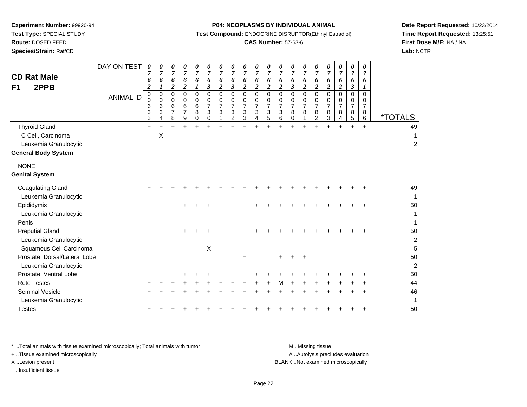**Route:** DOSED FEED

**Species/Strain:** Rat/CD

#### **P04: NEOPLASMS BY INDIVIDUAL ANIMAL**

**Test Compound:** ENDOCRINE DISRUPTOR(Ethinyl Estradiol)

# **CAS Number:** 57-63-6

**Date Report Requested:** 10/23/2014**Time Report Requested:** 13:25:51**First Dose M/F:** NA / NA**Lab:** NCTR

| <b>CD Rat Male</b><br>2PPB<br>F <sub>1</sub>                                                     | DAY ON TEST<br><b>ANIMAL ID</b> | 0<br>7<br>6<br>$\overline{\mathbf{2}}$<br>$\pmb{0}$<br>$\mathbf 0$<br>6<br>3<br>3 | 0<br>$\overline{7}$<br>6<br>$\pmb{0}$<br>$\mathbf 0$<br>6<br>$\ensuremath{\mathsf{3}}$<br>4 | 0<br>$\overline{7}$<br>6<br>$\boldsymbol{2}$<br>$\mathbf 0$<br>0<br>$\,6$<br>$\overline{7}$<br>8 | 0<br>$\overline{7}$<br>6<br>$\overline{\mathbf{c}}$<br>0<br>0<br>6<br>7<br>9 | 0<br>$\overline{7}$<br>6<br>1<br>$\Omega$<br>0<br>6<br>8<br>$\Omega$ | 0<br>$\overline{7}$<br>6<br>$\boldsymbol{\beta}$<br>$\Omega$<br>0<br>$\overline{7}$<br>3<br>$\mathbf 0$ | $\boldsymbol{\theta}$<br>$\overline{7}$<br>6<br>$\boldsymbol{2}$<br>$\mathbf 0$<br>0<br>$\overline{7}$<br>3 | 0<br>$\overline{7}$<br>6<br>$\boldsymbol{\beta}$<br>$\mathbf 0$<br>0<br>$\overline{7}$<br>3<br>$\overline{2}$ | 0<br>$\overline{7}$<br>6<br>$\overline{\mathbf{c}}$<br>0<br>0<br>7<br>3<br>3 | 0<br>$\overline{7}$<br>6<br>$\overline{\mathbf{c}}$<br>$\mathbf 0$<br>$\mathbf 0$<br>7<br>$\ensuremath{\mathsf{3}}$<br>4 | 0<br>$\overline{7}$<br>6<br>$\boldsymbol{2}$<br>$\mathbf 0$<br>0<br>$\overline{7}$<br>$\ensuremath{\mathsf{3}}$<br>5 | 0<br>$\overline{7}$<br>6<br>$\boldsymbol{2}$<br>$\mathbf 0$<br>0<br>$\overline{7}$<br>$\ensuremath{\mathsf{3}}$<br>$\,6$ | 0<br>$\overline{7}$<br>6<br>3<br>0<br>0<br>$\overline{7}$<br>8<br>$\mathbf 0$ | 0<br>$\overline{7}$<br>6<br>$\overline{\mathbf{c}}$<br>0<br>0<br>7<br>8 | 0<br>$\overline{7}$<br>6<br>$\overline{\mathbf{c}}$<br>$\mathbf 0$<br>0<br>$\overline{7}$<br>$\,$ 8 $\,$<br>$\overline{2}$ | 0<br>7<br>6<br>$\boldsymbol{2}$<br>$\Omega$<br>0<br>$\overline{7}$<br>8<br>$\mathbf{3}$ | 0<br>$\overline{7}$<br>6<br>$\boldsymbol{2}$<br>$\mathbf 0$<br>0<br>$\overline{7}$<br>8<br>4 | 0<br>$\overline{7}$<br>6<br>$\boldsymbol{\beta}$<br>0<br>0<br>$\overline{7}$<br>8<br>5 | 0<br>$\overline{7}$<br>6<br>1<br>$\Omega$<br>0<br>7<br>8<br>6 | <i><b>*TOTALS</b></i>                |
|--------------------------------------------------------------------------------------------------|---------------------------------|-----------------------------------------------------------------------------------|---------------------------------------------------------------------------------------------|--------------------------------------------------------------------------------------------------|------------------------------------------------------------------------------|----------------------------------------------------------------------|---------------------------------------------------------------------------------------------------------|-------------------------------------------------------------------------------------------------------------|---------------------------------------------------------------------------------------------------------------|------------------------------------------------------------------------------|--------------------------------------------------------------------------------------------------------------------------|----------------------------------------------------------------------------------------------------------------------|--------------------------------------------------------------------------------------------------------------------------|-------------------------------------------------------------------------------|-------------------------------------------------------------------------|----------------------------------------------------------------------------------------------------------------------------|-----------------------------------------------------------------------------------------|----------------------------------------------------------------------------------------------|----------------------------------------------------------------------------------------|---------------------------------------------------------------|--------------------------------------|
| <b>Thyroid Gland</b><br>C Cell, Carcinoma<br>Leukemia Granulocytic<br><b>General Body System</b> |                                 | $\ddot{}$                                                                         | $\ddot{}$<br>X                                                                              | $+$                                                                                              | $+$                                                                          | $\ddot{}$                                                            |                                                                                                         | ÷                                                                                                           | $\ddot{}$                                                                                                     | $\ddot{}$                                                                    | $\ddot{}$                                                                                                                |                                                                                                                      | ÷                                                                                                                        | $\ddot{}$                                                                     | $\ddot{}$                                                               | $\ddot{}$                                                                                                                  |                                                                                         | $\ddot{}$                                                                                    | $\ddot{}$                                                                              | $+$                                                           | 49<br>$\mathbf{1}$<br>$\overline{2}$ |
| <b>NONE</b><br><b>Genital System</b>                                                             |                                 |                                                                                   |                                                                                             |                                                                                                  |                                                                              |                                                                      |                                                                                                         |                                                                                                             |                                                                                                               |                                                                              |                                                                                                                          |                                                                                                                      |                                                                                                                          |                                                                               |                                                                         |                                                                                                                            |                                                                                         |                                                                                              |                                                                                        |                                                               |                                      |
| <b>Coagulating Gland</b><br>Leukemia Granulocytic                                                |                                 |                                                                                   |                                                                                             |                                                                                                  |                                                                              |                                                                      |                                                                                                         |                                                                                                             |                                                                                                               |                                                                              |                                                                                                                          |                                                                                                                      |                                                                                                                          |                                                                               |                                                                         |                                                                                                                            |                                                                                         |                                                                                              |                                                                                        |                                                               | 49<br>$\mathbf{1}$                   |
| Epididymis<br>Leukemia Granulocytic<br>Penis                                                     |                                 |                                                                                   |                                                                                             |                                                                                                  |                                                                              |                                                                      |                                                                                                         |                                                                                                             |                                                                                                               |                                                                              |                                                                                                                          |                                                                                                                      |                                                                                                                          |                                                                               |                                                                         |                                                                                                                            |                                                                                         |                                                                                              |                                                                                        |                                                               | 50<br>1<br>$\mathbf{1}$              |
| <b>Preputial Gland</b><br>Leukemia Granulocytic<br>Squamous Cell Carcinoma                       |                                 |                                                                                   |                                                                                             |                                                                                                  |                                                                              |                                                                      | $\mathsf X$                                                                                             |                                                                                                             |                                                                                                               |                                                                              |                                                                                                                          |                                                                                                                      |                                                                                                                          |                                                                               |                                                                         |                                                                                                                            |                                                                                         |                                                                                              |                                                                                        |                                                               | 50<br>$\overline{2}$<br>5            |
| Prostate, Dorsal/Lateral Lobe<br>Leukemia Granulocytic                                           |                                 |                                                                                   |                                                                                             |                                                                                                  |                                                                              |                                                                      |                                                                                                         |                                                                                                             |                                                                                                               | $\ddot{}$                                                                    |                                                                                                                          |                                                                                                                      |                                                                                                                          |                                                                               |                                                                         |                                                                                                                            |                                                                                         |                                                                                              |                                                                                        |                                                               | 50<br>$\overline{2}$                 |
| Prostate, Ventral Lobe                                                                           |                                 |                                                                                   |                                                                                             |                                                                                                  |                                                                              |                                                                      |                                                                                                         |                                                                                                             |                                                                                                               |                                                                              |                                                                                                                          |                                                                                                                      |                                                                                                                          |                                                                               |                                                                         |                                                                                                                            |                                                                                         |                                                                                              |                                                                                        |                                                               | 50                                   |
| <b>Rete Testes</b>                                                                               |                                 |                                                                                   |                                                                                             |                                                                                                  |                                                                              |                                                                      |                                                                                                         |                                                                                                             |                                                                                                               |                                                                              |                                                                                                                          |                                                                                                                      |                                                                                                                          |                                                                               |                                                                         |                                                                                                                            |                                                                                         |                                                                                              |                                                                                        |                                                               | 44                                   |
| <b>Seminal Vesicle</b><br>Leukemia Granulocytic<br><b>Testes</b>                                 |                                 |                                                                                   |                                                                                             |                                                                                                  |                                                                              |                                                                      |                                                                                                         |                                                                                                             |                                                                                                               |                                                                              |                                                                                                                          |                                                                                                                      |                                                                                                                          |                                                                               |                                                                         |                                                                                                                            |                                                                                         |                                                                                              |                                                                                        |                                                               | 46<br>$\mathbf 1$<br>50              |
|                                                                                                  |                                 |                                                                                   |                                                                                             |                                                                                                  |                                                                              |                                                                      |                                                                                                         |                                                                                                             |                                                                                                               |                                                                              |                                                                                                                          |                                                                                                                      |                                                                                                                          |                                                                               |                                                                         |                                                                                                                            |                                                                                         |                                                                                              |                                                                                        |                                                               |                                      |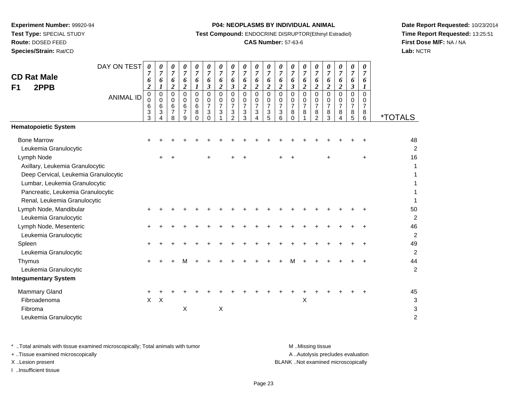**Route:** DOSED FEED

**Species/Strain:** Rat/CD

#### **P04: NEOPLASMS BY INDIVIDUAL ANIMAL**

**Test Compound:** ENDOCRINE DISRUPTOR(Ethinyl Estradiol)

# **CAS Number:** 57-63-6

**Date Report Requested:** 10/23/2014**Time Report Requested:** 13:25:51**First Dose M/F:** NA / NA**Lab:** NCTR

| <b>CD Rat Male</b><br>2PPB<br>F1<br><b>Hematopoietic System</b>                                                                                                               | DAY ON TEST<br><b>ANIMAL ID</b> | 0<br>7<br>6<br>2<br>$\pmb{0}$<br>$\mathbf 0$<br>6<br>3<br>3 | 0<br>7<br>6<br>$\boldsymbol{l}$<br>$\,0\,$<br>$\mathbf 0$<br>6<br>3<br>Δ | 0<br>$\overline{7}$<br>6<br>$\boldsymbol{2}$<br>$\mathbf 0$<br>$\mathbf 0$<br>6<br>7<br>8 | 0<br>$\overline{7}$<br>6<br>$\overline{\mathbf{c}}$<br>0<br>$\mathbf 0$<br>6<br>7<br>9 | 0<br>$\overline{7}$<br>6<br>1<br>0<br>0<br>$\,6\,$<br>8<br>$\Omega$ | 0<br>$\overline{7}$<br>6<br>3<br>$\mathbf 0$<br>0<br>$\overline{7}$<br>$\mathbf{3}$<br>$\Omega$ | 0<br>7<br>6<br>$\boldsymbol{2}$<br>$\mathbf 0$<br>0<br>$\overline{7}$<br>3 | 0<br>$\overline{7}$<br>6<br>$\boldsymbol{\beta}$<br>0<br>$\mathbf 0$<br>$\overline{7}$<br>3<br>$\mathfrak{p}$ | 0<br>7<br>6<br>$\overline{c}$<br>0<br>0<br>$\overline{7}$<br>3<br>3 | 0<br>$\overline{7}$<br>6<br>$\boldsymbol{2}$<br>$\pmb{0}$<br>$\mathbf 0$<br>$\overline{7}$<br>3<br>$\overline{4}$ | 0<br>$\overline{7}$<br>6<br>$\boldsymbol{2}$<br>$\mathbf 0$<br>0<br>$\overline{7}$<br>3<br>5 | 0<br>7<br>6<br>$\overline{2}$<br>$\mathbf 0$<br>0<br>$\overline{7}$<br>3<br>6 | 0<br>$\overline{7}$<br>6<br>3<br>0<br>0<br>$\overline{7}$<br>8<br>$\Omega$ | 0<br>$\overline{7}$<br>6<br>$\overline{\mathbf{c}}$<br>$\mathbf 0$<br>0<br>$\overline{7}$<br>8 | 0<br>7<br>6<br>$\overline{2}$<br>$\mathbf 0$<br>0<br>$\overline{7}$<br>8<br>$\overline{2}$ | 0<br>7<br>6<br>$\boldsymbol{2}$<br>$\Omega$<br>0<br>$\overline{7}$<br>8<br>3 | 0<br>7<br>6<br>2<br>0<br>0<br>$\overline{7}$<br>8<br>4 | 0<br>$\overline{7}$<br>6<br>$\boldsymbol{\beta}$<br>$\pmb{0}$<br>0<br>$\overline{7}$<br>8<br>5 | 0<br>7<br>6<br>1<br>$\Omega$<br>0<br>$\overline{7}$<br>8<br>6 | <i><b>*TOTALS</b></i>                                  |
|-------------------------------------------------------------------------------------------------------------------------------------------------------------------------------|---------------------------------|-------------------------------------------------------------|--------------------------------------------------------------------------|-------------------------------------------------------------------------------------------|----------------------------------------------------------------------------------------|---------------------------------------------------------------------|-------------------------------------------------------------------------------------------------|----------------------------------------------------------------------------|---------------------------------------------------------------------------------------------------------------|---------------------------------------------------------------------|-------------------------------------------------------------------------------------------------------------------|----------------------------------------------------------------------------------------------|-------------------------------------------------------------------------------|----------------------------------------------------------------------------|------------------------------------------------------------------------------------------------|--------------------------------------------------------------------------------------------|------------------------------------------------------------------------------|--------------------------------------------------------|------------------------------------------------------------------------------------------------|---------------------------------------------------------------|--------------------------------------------------------|
| <b>Bone Marrow</b>                                                                                                                                                            |                                 |                                                             |                                                                          |                                                                                           |                                                                                        |                                                                     |                                                                                                 |                                                                            |                                                                                                               |                                                                     |                                                                                                                   |                                                                                              |                                                                               |                                                                            |                                                                                                |                                                                                            |                                                                              |                                                        |                                                                                                |                                                               | 48                                                     |
| Leukemia Granulocytic                                                                                                                                                         |                                 |                                                             |                                                                          |                                                                                           |                                                                                        |                                                                     |                                                                                                 |                                                                            |                                                                                                               |                                                                     |                                                                                                                   |                                                                                              |                                                                               |                                                                            |                                                                                                |                                                                                            |                                                                              |                                                        |                                                                                                |                                                               | $\overline{c}$                                         |
| Lymph Node                                                                                                                                                                    |                                 |                                                             |                                                                          |                                                                                           |                                                                                        |                                                                     |                                                                                                 |                                                                            |                                                                                                               |                                                                     |                                                                                                                   |                                                                                              |                                                                               |                                                                            |                                                                                                |                                                                                            | $\ddot{}$                                                                    |                                                        |                                                                                                | $\ddot{}$                                                     | 16                                                     |
| Axillary, Leukemia Granulocytic<br>Deep Cervical, Leukemia Granulocytic<br>Lumbar, Leukemia Granulocytic<br>Pancreatic, Leukemia Granulocytic<br>Renal, Leukemia Granulocytic |                                 |                                                             |                                                                          |                                                                                           |                                                                                        |                                                                     |                                                                                                 |                                                                            |                                                                                                               |                                                                     |                                                                                                                   |                                                                                              |                                                                               |                                                                            |                                                                                                |                                                                                            |                                                                              |                                                        |                                                                                                |                                                               | 1<br>1<br>1                                            |
| Lymph Node, Mandibular<br>Leukemia Granulocytic                                                                                                                               |                                 |                                                             |                                                                          |                                                                                           |                                                                                        |                                                                     |                                                                                                 |                                                                            |                                                                                                               |                                                                     |                                                                                                                   |                                                                                              |                                                                               |                                                                            |                                                                                                |                                                                                            |                                                                              |                                                        |                                                                                                |                                                               | 50<br>$\overline{2}$                                   |
| Lymph Node, Mesenteric<br>Leukemia Granulocytic                                                                                                                               |                                 |                                                             |                                                                          |                                                                                           |                                                                                        |                                                                     |                                                                                                 |                                                                            |                                                                                                               |                                                                     |                                                                                                                   |                                                                                              |                                                                               |                                                                            |                                                                                                |                                                                                            |                                                                              |                                                        |                                                                                                |                                                               | 46<br>$\overline{2}$                                   |
| Spleen<br>Leukemia Granulocytic                                                                                                                                               |                                 |                                                             |                                                                          |                                                                                           |                                                                                        |                                                                     |                                                                                                 |                                                                            |                                                                                                               |                                                                     |                                                                                                                   |                                                                                              |                                                                               |                                                                            |                                                                                                |                                                                                            |                                                                              |                                                        |                                                                                                |                                                               | 49<br>$\overline{2}$                                   |
| Thymus<br>Leukemia Granulocytic                                                                                                                                               |                                 |                                                             |                                                                          |                                                                                           |                                                                                        |                                                                     |                                                                                                 |                                                                            |                                                                                                               |                                                                     |                                                                                                                   |                                                                                              |                                                                               |                                                                            |                                                                                                |                                                                                            |                                                                              |                                                        |                                                                                                |                                                               | 44<br>$\overline{c}$                                   |
| <b>Integumentary System</b>                                                                                                                                                   |                                 |                                                             |                                                                          |                                                                                           |                                                                                        |                                                                     |                                                                                                 |                                                                            |                                                                                                               |                                                                     |                                                                                                                   |                                                                                              |                                                                               |                                                                            |                                                                                                |                                                                                            |                                                                              |                                                        |                                                                                                |                                                               |                                                        |
| <b>Mammary Gland</b><br>Fibroadenoma<br>Fibroma<br>Leukemia Granulocytic                                                                                                      |                                 | $\mathsf{X}$                                                | X                                                                        |                                                                                           | $\boldsymbol{\mathsf{X}}$                                                              |                                                                     |                                                                                                 | Χ                                                                          |                                                                                                               |                                                                     |                                                                                                                   |                                                                                              |                                                                               |                                                                            | $\boldsymbol{\mathsf{X}}$                                                                      |                                                                                            |                                                                              |                                                        |                                                                                                |                                                               | 45<br>$\ensuremath{\mathsf{3}}$<br>3<br>$\overline{2}$ |

\* ..Total animals with tissue examined microscopically; Total animals with tumor **M** . Missing tissue M ..Missing tissue

+ ..Tissue examined microscopically

I ..Insufficient tissue

A ..Autolysis precludes evaluation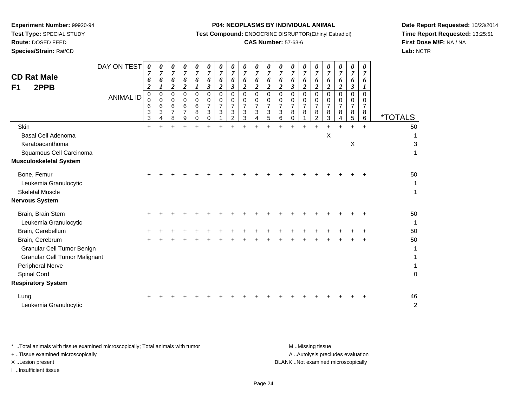**Route:** DOSED FEED

**Species/Strain:** Rat/CD

### **P04: NEOPLASMS BY INDIVIDUAL ANIMAL**

**Test Compound:** ENDOCRINE DISRUPTOR(Ethinyl Estradiol)

### **CAS Number:** 57-63-6

**Date Report Requested:** 10/23/2014**Time Report Requested:** 13:25:51**First Dose M/F:** NA / NA**Lab:** NCTR

| <b>CD Rat Male</b><br>2PPB<br>F <sub>1</sub>                                                                             | DAY ON TEST      | 0<br>7<br>6<br>$\boldsymbol{2}$<br>$\mathsf 0$ | 0<br>$\overline{7}$<br>6<br>1<br>$\pmb{0}$ | 0<br>$\overline{7}$<br>6<br>$\boldsymbol{2}$<br>0 | 0<br>$\overline{7}$<br>6<br>$\boldsymbol{2}$<br>0 | 0<br>7<br>6<br>1<br>$\Omega$   | 0<br>$\overline{7}$<br>6<br>$\boldsymbol{\beta}$<br>$\Omega$ | 0<br>$\overline{7}$<br>6<br>$\boldsymbol{2}$<br>$\mathbf 0$ | 0<br>$\overline{7}$<br>6<br>$\boldsymbol{\beta}$<br>0              | 0<br>$\overline{7}$<br>6<br>$\boldsymbol{2}$<br>0 | 0<br>$\overline{7}$<br>6<br>$\boldsymbol{2}$<br>$\mathbf 0$ | 0<br>$\overline{7}$<br>6<br>$\boldsymbol{2}$<br>$\mathbf 0$     | 0<br>$\overline{7}$<br>6<br>$\boldsymbol{2}$<br>$\mathbf 0$  | 0<br>$\overline{7}$<br>6<br>$\boldsymbol{\beta}$<br>0 | 0<br>$\overline{7}$<br>6<br>$\boldsymbol{2}$<br>0 | 0<br>$\overline{7}$<br>6<br>$\overline{\mathbf{c}}$<br>$\Omega$ | 0<br>7<br>6<br>$\boldsymbol{2}$<br>$\Omega$ | 0<br>$\overline{7}$<br>6<br>$\boldsymbol{2}$<br>$\Omega$ | 0<br>$\overline{7}$<br>6<br>$\boldsymbol{\beta}$<br>$\mathbf 0$ | 0<br>$\overline{7}$<br>6<br>1<br>$\Omega$ |                                  |
|--------------------------------------------------------------------------------------------------------------------------|------------------|------------------------------------------------|--------------------------------------------|---------------------------------------------------|---------------------------------------------------|--------------------------------|--------------------------------------------------------------|-------------------------------------------------------------|--------------------------------------------------------------------|---------------------------------------------------|-------------------------------------------------------------|-----------------------------------------------------------------|--------------------------------------------------------------|-------------------------------------------------------|---------------------------------------------------|-----------------------------------------------------------------|---------------------------------------------|----------------------------------------------------------|-----------------------------------------------------------------|-------------------------------------------|----------------------------------|
|                                                                                                                          | <b>ANIMAL ID</b> | $\Omega$<br>6<br>3<br>3                        | $\Omega$<br>6<br>$\mathbf{3}$<br>4         | 0<br>6<br>$\overline{7}$<br>8                     | 0<br>6<br>7<br>9                                  | $\Omega$<br>6<br>8<br>$\Omega$ | $\Omega$<br>$\overline{7}$<br>$\mathbf{3}$<br>$\mathbf 0$    | $\Omega$<br>$\overline{7}$<br>3                             | 0<br>$\overline{7}$<br>$\ensuremath{\mathsf{3}}$<br>$\overline{2}$ | 0<br>$\overline{7}$<br>3<br>3                     | $\mathbf 0$<br>$\overline{7}$<br>$\mathbf{3}$<br>4          | $\mathbf 0$<br>$\overline{7}$<br>$\ensuremath{\mathsf{3}}$<br>5 | $\Omega$<br>$\overline{7}$<br>$\ensuremath{\mathsf{3}}$<br>6 | 0<br>$\overline{7}$<br>$\bf 8$<br>$\mathbf 0$         | 0<br>$\overline{7}$<br>8                          | $\mathbf 0$<br>$\overline{7}$<br>$\bf 8$<br>$\overline{2}$      | $\Omega$<br>$\overline{7}$<br>8<br>3        | 0<br>$\overline{7}$<br>8<br>4                            | 0<br>$\overline{7}$<br>$\bf 8$<br>5                             | 0<br>$\overline{7}$<br>8<br>6             | <i><b>*TOTALS</b></i>            |
| Skin<br><b>Basal Cell Adenoma</b><br>Keratoacanthoma<br>Squamous Cell Carcinoma<br><b>Musculoskeletal System</b>         |                  | $\ddot{}$                                      |                                            |                                                   |                                                   |                                |                                                              |                                                             |                                                                    |                                                   |                                                             |                                                                 |                                                              |                                                       |                                                   | ÷                                                               | $\boldsymbol{\mathsf{X}}$                   | ÷.                                                       | $\ddot{}$<br>X                                                  | $+$                                       | 50<br>1<br>3<br>$\mathbf{1}$     |
| Bone, Femur<br>Leukemia Granulocytic<br><b>Skeletal Muscle</b><br><b>Nervous System</b>                                  |                  |                                                |                                            |                                                   |                                                   |                                |                                                              |                                                             |                                                                    |                                                   |                                                             |                                                                 |                                                              |                                                       |                                                   |                                                                 |                                             |                                                          |                                                                 |                                           | 50<br>1<br>$\mathbf{1}$          |
| Brain, Brain Stem<br>Leukemia Granulocytic<br>Brain, Cerebellum                                                          |                  |                                                |                                            |                                                   |                                                   |                                |                                                              |                                                             |                                                                    |                                                   |                                                             |                                                                 |                                                              |                                                       |                                                   |                                                                 |                                             |                                                          |                                                                 |                                           | 50<br>$\mathbf 1$<br>50          |
| Brain, Cerebrum<br>Granular Cell Tumor Benign<br><b>Granular Cell Tumor Malignant</b><br>Peripheral Nerve<br>Spinal Cord |                  |                                                |                                            |                                                   |                                                   |                                |                                                              |                                                             |                                                                    |                                                   |                                                             |                                                                 |                                                              |                                                       |                                                   |                                                                 |                                             |                                                          |                                                                 |                                           | 50<br>1<br>1<br>1<br>$\mathbf 0$ |
| <b>Respiratory System</b><br>Lung                                                                                        |                  |                                                |                                            |                                                   |                                                   |                                |                                                              |                                                             |                                                                    |                                                   |                                                             |                                                                 |                                                              |                                                       |                                                   |                                                                 |                                             |                                                          |                                                                 |                                           | 46                               |
| Leukemia Granulocytic                                                                                                    |                  |                                                |                                            |                                                   |                                                   |                                |                                                              |                                                             |                                                                    |                                                   |                                                             |                                                                 |                                                              |                                                       |                                                   |                                                                 |                                             |                                                          |                                                                 |                                           | $\overline{c}$                   |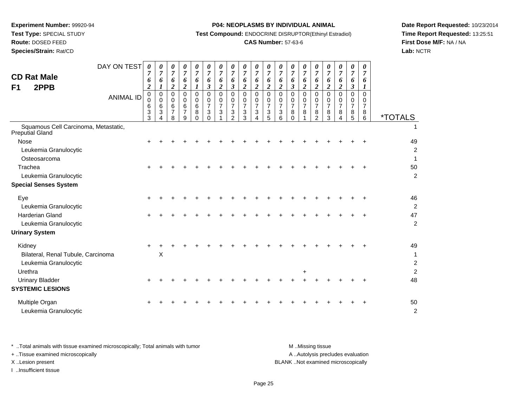**Test Type:** SPECIAL STUDY

**Route:** DOSED FEED

**Species/Strain:** Rat/CD

### **P04: NEOPLASMS BY INDIVIDUAL ANIMAL**

**Test Compound:** ENDOCRINE DISRUPTOR(Ethinyl Estradiol)

# **CAS Number:** 57-63-6

**Date Report Requested:** 10/23/2014**Time Report Requested:** 13:25:51**First Dose M/F:** NA / NA**Lab:** NCTR

| <b>CD Rat Male</b><br>2PPB<br>F <sub>1</sub>                   | DAY ON TEST      | 0<br>7<br>6<br>$\overline{2}$ | 0<br>6           | 0<br>$\overline{7}$<br>6<br>$\overline{\mathbf{c}}$ | 0<br>7<br>6<br>$\overline{\mathbf{c}}$             | 0<br>7<br>6                         | 0<br>7<br>6<br>$\boldsymbol{\beta}$                 | 0<br>$\overline{7}$<br>6<br>$\boldsymbol{2}$ | 0<br>$\overline{7}$<br>6<br>3                   | 0<br>$\overline{7}$<br>6<br>$\overline{c}$ | 0<br>7<br>6<br>$\boldsymbol{2}$              | 0<br>$\overline{7}$<br>6<br>$\overline{2}$ | 0<br>7<br>6<br>2                          | 0<br>$\overline{7}$<br>6<br>3                       | 0<br>7<br>6<br>$\boldsymbol{2}$ | 0<br>7<br>6<br>$\boldsymbol{2}$           | 0<br>7<br>6<br>$\boldsymbol{2}$              | 0<br>$\overline{7}$<br>6<br>$\boldsymbol{2}$ | 0<br>$\overline{7}$<br>6<br>3             | 0<br>7<br>6                               |                       |
|----------------------------------------------------------------|------------------|-------------------------------|------------------|-----------------------------------------------------|----------------------------------------------------|-------------------------------------|-----------------------------------------------------|----------------------------------------------|-------------------------------------------------|--------------------------------------------|----------------------------------------------|--------------------------------------------|-------------------------------------------|-----------------------------------------------------|---------------------------------|-------------------------------------------|----------------------------------------------|----------------------------------------------|-------------------------------------------|-------------------------------------------|-----------------------|
|                                                                | <b>ANIMAL ID</b> | 0<br>0<br>6<br>3<br>3         | 0<br>0<br>6<br>3 | 0<br>0<br>6<br>7<br>8                               | $\mathbf 0$<br>0<br>$\,6\,$<br>$\overline{7}$<br>9 | $\Omega$<br>0<br>6<br>8<br>$\Omega$ | $\mathbf 0$<br>0<br>$\overline{7}$<br>3<br>$\Omega$ | 0<br>0<br>$\overline{7}$<br>3                | 0<br>0<br>$\overline{7}$<br>3<br>$\overline{2}$ | 0<br>0<br>$\overline{7}$<br>3<br>3         | $\mathbf 0$<br>0<br>$\overline{7}$<br>3<br>4 | $\Omega$<br>0<br>$\overline{7}$<br>3<br>5  | $\Omega$<br>0<br>$\overline{7}$<br>3<br>6 | $\mathbf 0$<br>0<br>$\overline{7}$<br>8<br>$\Omega$ | 0<br>0<br>7<br>8                | $\Omega$<br>0<br>$\overline{7}$<br>8<br>2 | $\mathbf 0$<br>0<br>$\overline{7}$<br>8<br>3 | $\mathbf 0$<br>0<br>$\overline{7}$<br>8<br>4 | $\Omega$<br>0<br>$\overline{7}$<br>8<br>5 | $\Omega$<br>0<br>$\overline{7}$<br>8<br>6 | <i><b>*TOTALS</b></i> |
| Squamous Cell Carcinoma, Metastatic,<br><b>Preputial Gland</b> |                  |                               |                  |                                                     |                                                    |                                     |                                                     |                                              |                                                 |                                            |                                              |                                            |                                           |                                                     |                                 |                                           |                                              |                                              |                                           |                                           |                       |
| <b>Nose</b>                                                    |                  |                               |                  |                                                     |                                                    |                                     |                                                     |                                              |                                                 |                                            |                                              |                                            |                                           |                                                     |                                 |                                           |                                              |                                              |                                           |                                           | 49                    |
| Leukemia Granulocytic                                          |                  |                               |                  |                                                     |                                                    |                                     |                                                     |                                              |                                                 |                                            |                                              |                                            |                                           |                                                     |                                 |                                           |                                              |                                              |                                           |                                           | 2                     |
| Osteosarcoma                                                   |                  |                               |                  |                                                     |                                                    |                                     |                                                     |                                              |                                                 |                                            |                                              |                                            |                                           |                                                     |                                 |                                           |                                              |                                              |                                           |                                           | 1                     |
| Trachea                                                        |                  |                               |                  |                                                     |                                                    |                                     |                                                     |                                              |                                                 |                                            |                                              |                                            |                                           |                                                     |                                 |                                           |                                              |                                              |                                           |                                           | 50                    |
| Leukemia Granulocytic<br><b>Special Senses System</b>          |                  |                               |                  |                                                     |                                                    |                                     |                                                     |                                              |                                                 |                                            |                                              |                                            |                                           |                                                     |                                 |                                           |                                              |                                              |                                           |                                           | $\overline{a}$        |
| Eye                                                            |                  |                               |                  |                                                     |                                                    |                                     |                                                     |                                              |                                                 |                                            |                                              |                                            |                                           |                                                     |                                 |                                           |                                              |                                              |                                           |                                           | 46                    |
| Leukemia Granulocytic                                          |                  |                               |                  |                                                     |                                                    |                                     |                                                     |                                              |                                                 |                                            |                                              |                                            |                                           |                                                     |                                 |                                           |                                              |                                              |                                           |                                           | $\overline{a}$        |
| Harderian Gland                                                |                  |                               |                  |                                                     |                                                    |                                     |                                                     |                                              |                                                 |                                            |                                              |                                            |                                           |                                                     |                                 |                                           |                                              |                                              |                                           |                                           | 47                    |
| Leukemia Granulocytic                                          |                  |                               |                  |                                                     |                                                    |                                     |                                                     |                                              |                                                 |                                            |                                              |                                            |                                           |                                                     |                                 |                                           |                                              |                                              |                                           |                                           | $\overline{a}$        |
| <b>Urinary System</b>                                          |                  |                               |                  |                                                     |                                                    |                                     |                                                     |                                              |                                                 |                                            |                                              |                                            |                                           |                                                     |                                 |                                           |                                              |                                              |                                           |                                           |                       |
| Kidney                                                         |                  | ÷                             |                  |                                                     |                                                    |                                     |                                                     |                                              |                                                 |                                            |                                              |                                            |                                           |                                                     |                                 |                                           |                                              |                                              |                                           |                                           | 49                    |
| Bilateral, Renal Tubule, Carcinoma                             |                  |                               | X                |                                                     |                                                    |                                     |                                                     |                                              |                                                 |                                            |                                              |                                            |                                           |                                                     |                                 |                                           |                                              |                                              |                                           |                                           |                       |
| Leukemia Granulocytic                                          |                  |                               |                  |                                                     |                                                    |                                     |                                                     |                                              |                                                 |                                            |                                              |                                            |                                           |                                                     |                                 |                                           |                                              |                                              |                                           |                                           | $\overline{a}$        |
| Urethra                                                        |                  |                               |                  |                                                     |                                                    |                                     |                                                     |                                              |                                                 |                                            |                                              |                                            |                                           |                                                     | +                               |                                           |                                              |                                              |                                           |                                           |                       |
| <b>Urinary Bladder</b>                                         |                  | ÷                             |                  |                                                     |                                                    |                                     |                                                     |                                              |                                                 |                                            |                                              |                                            |                                           |                                                     |                                 |                                           |                                              |                                              |                                           |                                           | 48                    |
| <b>SYSTEMIC LESIONS</b>                                        |                  |                               |                  |                                                     |                                                    |                                     |                                                     |                                              |                                                 |                                            |                                              |                                            |                                           |                                                     |                                 |                                           |                                              |                                              |                                           |                                           |                       |
| Multiple Organ                                                 |                  |                               |                  |                                                     |                                                    |                                     |                                                     |                                              |                                                 |                                            |                                              |                                            |                                           |                                                     |                                 |                                           |                                              |                                              |                                           |                                           | 50                    |
| Leukemia Granulocytic                                          |                  |                               |                  |                                                     |                                                    |                                     |                                                     |                                              |                                                 |                                            |                                              |                                            |                                           |                                                     |                                 |                                           |                                              |                                              |                                           |                                           | $\overline{a}$        |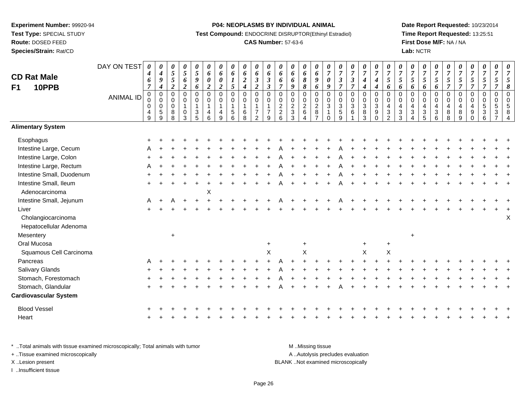**Route:** DOSED FEED

**Species/Strain:** Rat/CD

### **P04: NEOPLASMS BY INDIVIDUAL ANIMAL**

**Test Compound:** ENDOCRINE DISRUPTOR(Ethinyl Estradiol)

### **CAS Number:** 57-63-6

**Date Report Requested:** 10/23/2014**Time Report Requested:** 13:25:51**First Dose M/F:** NA / NA**Lab:** NCTR

| <b>CD Rat Male</b><br>10PPB<br>F <sub>1</sub>         | DAY ON TEST<br><b>ANIMAL ID</b> | 0<br>$\boldsymbol{4}$<br>6<br>$\overline{7}$<br>$\mathbf 0$<br>$\mathbf 0$<br>$\mathbf 0$<br>$\overline{4}$<br>9 | 0<br>$\boldsymbol{4}$<br>9<br>4<br>$\mathbf 0$<br>$\mathbf 0$<br>$\mathbf 0$<br>$\,$ 5 $\,$<br>9 | 0<br>$\sqrt{5}$<br>$\mathfrak{s}$<br>$\overline{2}$<br>$\pmb{0}$<br>$\mathbf 0$<br>$\mathbf 0$<br>8<br>8 | 0<br>5<br>6<br>$\overline{2}$<br>$\pmb{0}$<br>$\mathbf 0$<br>1<br>0<br>3 | 0<br>$\mathfrak{s}$<br>$\boldsymbol{g}$<br>6<br>0<br>0<br>$\frac{3}{5}$ | 0<br>6<br>$\boldsymbol{\theta}$<br>$\overline{2}$<br>$\pmb{0}$<br>$\pmb{0}$<br>$\mathbf{1}$<br>$\overline{4}$<br>$6\phantom{1}6$ | 0<br>6<br>$\boldsymbol{\theta}$<br>$\overline{2}$<br>$\pmb{0}$<br>0<br>$\overline{\mathbf{1}}$<br>4<br>9 | 0<br>6<br>$\boldsymbol{l}$<br>$\mathfrak{s}$<br>$\boldsymbol{0}$<br>$\mathbf 0$<br>$\mathbf{1}$<br>$\,$ 5 $\,$<br>6 | 0<br>6<br>$\boldsymbol{2}$<br>$\boldsymbol{4}$<br>$\pmb{0}$<br>0<br>1<br>$\,6\,$<br>8 | 0<br>6<br>$\boldsymbol{\beta}$<br>$\overline{2}$<br>$\pmb{0}$<br>$\mathbf 0$<br>$\mathbf{1}$<br>$\overline{7}$<br>$\overline{2}$ | 0<br>6<br>$\boldsymbol{\beta}$<br>$\mathfrak{z}$<br>0<br>0<br>$\mathbf{1}$<br>$\overline{7}$<br>9 | 0<br>6<br>6<br>$\overline{7}$<br>$\pmb{0}$<br>$\pmb{0}$<br>$\overline{2}$<br>$\boldsymbol{2}$<br>$6\phantom{a}$ | 0<br>6<br>6<br>$\boldsymbol{q}$<br>$\mathbf 0$<br>0<br>$\overline{2}$<br>$\ensuremath{\mathsf{3}}$<br>3 | 0<br>6<br>8<br>$\pmb{8}$<br>$\mathbf 0$<br>$\mathbf 0$<br>$\frac{2}{6}$<br>4 | 0<br>6<br>9<br>6<br>$\mathbf 0$<br>$\mathbf 0$<br>$\overline{2}$<br>$\, 8$<br>$\overline{7}$ | $\boldsymbol{\theta}$<br>$\overline{7}$<br>$\boldsymbol{\theta}$<br>9<br>$\pmb{0}$<br>0<br>$\mathbf{3}$<br>$\mathbf{1}$<br>$\Omega$ | $\overline{7}$<br>3<br>$\overline{7}$<br>$\overline{0}$<br>$\mathbf 0$<br>$\sqrt{3}$<br>5<br>9 | 0<br>$\boldsymbol{7}$<br>$\boldsymbol{\beta}$<br>$\overline{7}$<br>$\pmb{0}$<br>0<br>$\mathbf{3}$<br>6 | 0<br>$\boldsymbol{7}$<br>$\boldsymbol{4}$<br>$\boldsymbol{4}$<br>0<br>0<br>$\overline{3}$<br>$\,8\,$<br>3 | 0<br>$\boldsymbol{7}$<br>$\boldsymbol{4}$<br>$\boldsymbol{4}$<br>$\pmb{0}$<br>$\pmb{0}$<br>$\overline{3}$<br>9<br>$\Omega$ | 0<br>$\overline{7}$<br>$\mathfrak{s}$<br>6<br>$\mathbf 0$<br>0<br>$\overline{4}$<br>$\ensuremath{\mathsf{3}}$<br>$\overline{2}$ | 0<br>$\overline{7}$<br>$\sqrt{5}$<br>6<br>$\pmb{0}$<br>$\mathbf 0$<br>$\overline{4}$<br>$\sqrt{3}$<br>3 | 0<br>$\overline{7}$<br>5<br>6<br>0<br>0<br>$\overline{4}$<br>$\sqrt{3}$ | 0<br>$\overline{7}$<br>5<br>6<br>$\mathbf 0$<br>$\mathbf 0$<br>$\overline{4}$<br>$\mathbf{3}$<br>5 | 0<br>$\boldsymbol{7}$<br>5<br>6<br>$\mathbf 0$<br>0<br>4<br>3<br>6 | $\boldsymbol{\theta}$<br>$\boldsymbol{7}$<br>$\sqrt{5}$<br>$\overline{7}$<br>$\mathbf 0$<br>$\pmb{0}$<br>4<br>8<br>8 | 0<br>$\overline{7}$<br>5<br>$\overline{7}$<br>$\mathsf 0$<br>0<br>4<br>8<br>9 | 0<br>$\boldsymbol{7}$<br>$\sqrt{5}$<br>$\overline{7}$<br>0<br>$\pmb{0}$<br>$\overline{4}$<br>$\boldsymbol{9}$<br>$\mathbf 0$ | 0<br>$\overline{7}$<br>$\sqrt{5}$<br>$\overline{7}$<br>$\pmb{0}$<br>$\pmb{0}$<br>$\,$ 5 $\,$<br>$\ensuremath{\mathsf{3}}$<br>6 | $\boldsymbol{\theta}$<br>$\overline{7}$<br>$\mathfrak{s}$<br>$\overline{7}$<br>$\mathsf{O}\xspace$<br>$\mathbf 0$<br>$\,$ 5 $\,$<br>$\mathbf{3}$<br>$\overline{ }$ | $\overline{7}$<br>5<br>8<br>$\Omega$<br>$\Omega$<br>5<br>8 |
|-------------------------------------------------------|---------------------------------|------------------------------------------------------------------------------------------------------------------|--------------------------------------------------------------------------------------------------|----------------------------------------------------------------------------------------------------------|--------------------------------------------------------------------------|-------------------------------------------------------------------------|----------------------------------------------------------------------------------------------------------------------------------|----------------------------------------------------------------------------------------------------------|---------------------------------------------------------------------------------------------------------------------|---------------------------------------------------------------------------------------|----------------------------------------------------------------------------------------------------------------------------------|---------------------------------------------------------------------------------------------------|-----------------------------------------------------------------------------------------------------------------|---------------------------------------------------------------------------------------------------------|------------------------------------------------------------------------------|----------------------------------------------------------------------------------------------|-------------------------------------------------------------------------------------------------------------------------------------|------------------------------------------------------------------------------------------------|--------------------------------------------------------------------------------------------------------|-----------------------------------------------------------------------------------------------------------|----------------------------------------------------------------------------------------------------------------------------|---------------------------------------------------------------------------------------------------------------------------------|---------------------------------------------------------------------------------------------------------|-------------------------------------------------------------------------|----------------------------------------------------------------------------------------------------|--------------------------------------------------------------------|----------------------------------------------------------------------------------------------------------------------|-------------------------------------------------------------------------------|------------------------------------------------------------------------------------------------------------------------------|--------------------------------------------------------------------------------------------------------------------------------|--------------------------------------------------------------------------------------------------------------------------------------------------------------------|------------------------------------------------------------|
| <b>Alimentary System</b>                              |                                 |                                                                                                                  |                                                                                                  |                                                                                                          |                                                                          |                                                                         |                                                                                                                                  |                                                                                                          |                                                                                                                     |                                                                                       |                                                                                                                                  |                                                                                                   |                                                                                                                 |                                                                                                         |                                                                              |                                                                                              |                                                                                                                                     |                                                                                                |                                                                                                        |                                                                                                           |                                                                                                                            |                                                                                                                                 |                                                                                                         |                                                                         |                                                                                                    |                                                                    |                                                                                                                      |                                                                               |                                                                                                                              |                                                                                                                                |                                                                                                                                                                    |                                                            |
| Esophagus                                             |                                 |                                                                                                                  |                                                                                                  |                                                                                                          |                                                                          |                                                                         |                                                                                                                                  |                                                                                                          |                                                                                                                     |                                                                                       |                                                                                                                                  |                                                                                                   |                                                                                                                 |                                                                                                         |                                                                              |                                                                                              |                                                                                                                                     |                                                                                                |                                                                                                        |                                                                                                           |                                                                                                                            |                                                                                                                                 |                                                                                                         |                                                                         |                                                                                                    |                                                                    |                                                                                                                      |                                                                               |                                                                                                                              |                                                                                                                                |                                                                                                                                                                    |                                                            |
| Intestine Large, Cecum                                |                                 |                                                                                                                  |                                                                                                  |                                                                                                          |                                                                          |                                                                         |                                                                                                                                  |                                                                                                          |                                                                                                                     |                                                                                       |                                                                                                                                  |                                                                                                   |                                                                                                                 |                                                                                                         |                                                                              |                                                                                              |                                                                                                                                     |                                                                                                |                                                                                                        |                                                                                                           |                                                                                                                            |                                                                                                                                 |                                                                                                         |                                                                         |                                                                                                    |                                                                    |                                                                                                                      |                                                                               |                                                                                                                              |                                                                                                                                |                                                                                                                                                                    |                                                            |
| Intestine Large, Colon                                |                                 |                                                                                                                  |                                                                                                  |                                                                                                          |                                                                          |                                                                         |                                                                                                                                  |                                                                                                          |                                                                                                                     |                                                                                       |                                                                                                                                  |                                                                                                   |                                                                                                                 |                                                                                                         |                                                                              |                                                                                              |                                                                                                                                     |                                                                                                |                                                                                                        |                                                                                                           |                                                                                                                            |                                                                                                                                 |                                                                                                         |                                                                         |                                                                                                    |                                                                    |                                                                                                                      |                                                                               |                                                                                                                              |                                                                                                                                |                                                                                                                                                                    |                                                            |
| Intestine Large, Rectum                               |                                 |                                                                                                                  |                                                                                                  |                                                                                                          |                                                                          |                                                                         |                                                                                                                                  |                                                                                                          |                                                                                                                     |                                                                                       |                                                                                                                                  |                                                                                                   |                                                                                                                 |                                                                                                         |                                                                              |                                                                                              |                                                                                                                                     |                                                                                                |                                                                                                        |                                                                                                           |                                                                                                                            |                                                                                                                                 |                                                                                                         |                                                                         |                                                                                                    |                                                                    |                                                                                                                      |                                                                               |                                                                                                                              |                                                                                                                                |                                                                                                                                                                    |                                                            |
| Intestine Small, Duodenum                             |                                 |                                                                                                                  |                                                                                                  |                                                                                                          |                                                                          |                                                                         |                                                                                                                                  |                                                                                                          |                                                                                                                     |                                                                                       |                                                                                                                                  |                                                                                                   |                                                                                                                 |                                                                                                         |                                                                              |                                                                                              |                                                                                                                                     |                                                                                                |                                                                                                        |                                                                                                           |                                                                                                                            |                                                                                                                                 |                                                                                                         |                                                                         |                                                                                                    |                                                                    |                                                                                                                      |                                                                               |                                                                                                                              |                                                                                                                                |                                                                                                                                                                    |                                                            |
| Intestine Small, Ileum<br>Adenocarcinoma              |                                 |                                                                                                                  |                                                                                                  |                                                                                                          |                                                                          |                                                                         | X                                                                                                                                |                                                                                                          |                                                                                                                     |                                                                                       |                                                                                                                                  |                                                                                                   |                                                                                                                 |                                                                                                         |                                                                              |                                                                                              |                                                                                                                                     |                                                                                                |                                                                                                        |                                                                                                           |                                                                                                                            |                                                                                                                                 |                                                                                                         |                                                                         |                                                                                                    |                                                                    |                                                                                                                      |                                                                               |                                                                                                                              |                                                                                                                                |                                                                                                                                                                    |                                                            |
| Intestine Small, Jejunum                              |                                 |                                                                                                                  |                                                                                                  |                                                                                                          |                                                                          |                                                                         |                                                                                                                                  |                                                                                                          |                                                                                                                     |                                                                                       |                                                                                                                                  |                                                                                                   |                                                                                                                 |                                                                                                         |                                                                              |                                                                                              |                                                                                                                                     |                                                                                                |                                                                                                        |                                                                                                           |                                                                                                                            |                                                                                                                                 |                                                                                                         |                                                                         |                                                                                                    |                                                                    |                                                                                                                      |                                                                               |                                                                                                                              |                                                                                                                                |                                                                                                                                                                    |                                                            |
| Liver<br>Cholangiocarcinoma<br>Hepatocellular Adenoma |                                 |                                                                                                                  |                                                                                                  |                                                                                                          |                                                                          |                                                                         |                                                                                                                                  |                                                                                                          |                                                                                                                     |                                                                                       |                                                                                                                                  |                                                                                                   |                                                                                                                 |                                                                                                         |                                                                              |                                                                                              |                                                                                                                                     |                                                                                                |                                                                                                        |                                                                                                           |                                                                                                                            |                                                                                                                                 |                                                                                                         |                                                                         |                                                                                                    |                                                                    |                                                                                                                      |                                                                               |                                                                                                                              |                                                                                                                                |                                                                                                                                                                    | X                                                          |
| Mesentery                                             |                                 |                                                                                                                  |                                                                                                  | $\ddot{}$                                                                                                |                                                                          |                                                                         |                                                                                                                                  |                                                                                                          |                                                                                                                     |                                                                                       |                                                                                                                                  |                                                                                                   |                                                                                                                 |                                                                                                         |                                                                              |                                                                                              |                                                                                                                                     |                                                                                                |                                                                                                        |                                                                                                           |                                                                                                                            |                                                                                                                                 |                                                                                                         | $\ddot{}$                                                               |                                                                                                    |                                                                    |                                                                                                                      |                                                                               |                                                                                                                              |                                                                                                                                |                                                                                                                                                                    |                                                            |
| Oral Mucosa<br>Squamous Cell Carcinoma                |                                 |                                                                                                                  |                                                                                                  |                                                                                                          |                                                                          |                                                                         |                                                                                                                                  |                                                                                                          |                                                                                                                     |                                                                                       |                                                                                                                                  | $\ddot{}$<br>X                                                                                    |                                                                                                                 |                                                                                                         | $\ddot{}$<br>$\sf X$                                                         |                                                                                              |                                                                                                                                     |                                                                                                |                                                                                                        | $\pm$<br>X                                                                                                |                                                                                                                            | $\ddot{}$<br>$\mathsf X$                                                                                                        |                                                                                                         |                                                                         |                                                                                                    |                                                                    |                                                                                                                      |                                                                               |                                                                                                                              |                                                                                                                                |                                                                                                                                                                    |                                                            |
| Pancreas                                              |                                 |                                                                                                                  |                                                                                                  |                                                                                                          |                                                                          |                                                                         |                                                                                                                                  |                                                                                                          |                                                                                                                     |                                                                                       |                                                                                                                                  |                                                                                                   |                                                                                                                 |                                                                                                         |                                                                              |                                                                                              |                                                                                                                                     |                                                                                                |                                                                                                        |                                                                                                           |                                                                                                                            |                                                                                                                                 |                                                                                                         |                                                                         |                                                                                                    |                                                                    |                                                                                                                      |                                                                               |                                                                                                                              |                                                                                                                                |                                                                                                                                                                    |                                                            |
| Salivary Glands                                       |                                 |                                                                                                                  |                                                                                                  |                                                                                                          |                                                                          |                                                                         |                                                                                                                                  |                                                                                                          |                                                                                                                     |                                                                                       |                                                                                                                                  |                                                                                                   |                                                                                                                 |                                                                                                         |                                                                              |                                                                                              |                                                                                                                                     |                                                                                                |                                                                                                        |                                                                                                           |                                                                                                                            |                                                                                                                                 |                                                                                                         |                                                                         |                                                                                                    |                                                                    |                                                                                                                      |                                                                               |                                                                                                                              |                                                                                                                                |                                                                                                                                                                    |                                                            |
| Stomach, Forestomach                                  |                                 |                                                                                                                  |                                                                                                  |                                                                                                          |                                                                          |                                                                         |                                                                                                                                  |                                                                                                          |                                                                                                                     |                                                                                       |                                                                                                                                  |                                                                                                   |                                                                                                                 |                                                                                                         |                                                                              |                                                                                              |                                                                                                                                     |                                                                                                |                                                                                                        |                                                                                                           |                                                                                                                            |                                                                                                                                 |                                                                                                         |                                                                         |                                                                                                    |                                                                    |                                                                                                                      |                                                                               |                                                                                                                              |                                                                                                                                |                                                                                                                                                                    |                                                            |
| Stomach, Glandular                                    |                                 |                                                                                                                  |                                                                                                  |                                                                                                          |                                                                          |                                                                         |                                                                                                                                  |                                                                                                          |                                                                                                                     |                                                                                       |                                                                                                                                  |                                                                                                   |                                                                                                                 |                                                                                                         |                                                                              |                                                                                              |                                                                                                                                     |                                                                                                |                                                                                                        |                                                                                                           |                                                                                                                            |                                                                                                                                 |                                                                                                         |                                                                         |                                                                                                    |                                                                    |                                                                                                                      |                                                                               |                                                                                                                              |                                                                                                                                |                                                                                                                                                                    |                                                            |
| <b>Cardiovascular System</b>                          |                                 |                                                                                                                  |                                                                                                  |                                                                                                          |                                                                          |                                                                         |                                                                                                                                  |                                                                                                          |                                                                                                                     |                                                                                       |                                                                                                                                  |                                                                                                   |                                                                                                                 |                                                                                                         |                                                                              |                                                                                              |                                                                                                                                     |                                                                                                |                                                                                                        |                                                                                                           |                                                                                                                            |                                                                                                                                 |                                                                                                         |                                                                         |                                                                                                    |                                                                    |                                                                                                                      |                                                                               |                                                                                                                              |                                                                                                                                |                                                                                                                                                                    |                                                            |
| <b>Blood Vessel</b>                                   |                                 |                                                                                                                  |                                                                                                  |                                                                                                          |                                                                          |                                                                         |                                                                                                                                  |                                                                                                          |                                                                                                                     |                                                                                       |                                                                                                                                  |                                                                                                   |                                                                                                                 |                                                                                                         |                                                                              |                                                                                              |                                                                                                                                     |                                                                                                |                                                                                                        |                                                                                                           |                                                                                                                            |                                                                                                                                 |                                                                                                         |                                                                         |                                                                                                    |                                                                    |                                                                                                                      |                                                                               |                                                                                                                              |                                                                                                                                |                                                                                                                                                                    |                                                            |
| Heart                                                 |                                 |                                                                                                                  |                                                                                                  |                                                                                                          |                                                                          |                                                                         |                                                                                                                                  |                                                                                                          |                                                                                                                     |                                                                                       |                                                                                                                                  |                                                                                                   |                                                                                                                 |                                                                                                         |                                                                              |                                                                                              |                                                                                                                                     |                                                                                                |                                                                                                        |                                                                                                           |                                                                                                                            |                                                                                                                                 |                                                                                                         |                                                                         |                                                                                                    |                                                                    |                                                                                                                      |                                                                               |                                                                                                                              |                                                                                                                                |                                                                                                                                                                    |                                                            |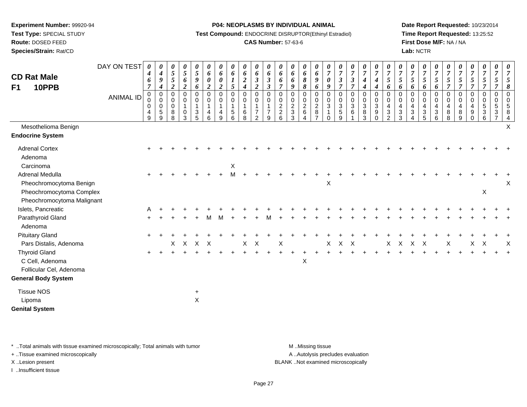**Route:** DOSED FEED

**Species/Strain:** Rat/CD

#### **P04: NEOPLASMS BY INDIVIDUAL ANIMAL**

**Test Compound:** ENDOCRINE DISRUPTOR(Ethinyl Estradiol)

### **CAS Number:** 57-63-6

**Date Report Requested:** 10/23/2014**Time Report Requested:** 13:25:52**First Dose M/F:** NA / NA**Lab:** NCTR

| <b>CD Rat Male</b><br>10PPB<br>F1                                                                    | DAY ON TEST<br><b>ANIMAL ID</b> | $\boldsymbol{\theta}$<br>4<br>6<br>$\overline{7}$<br>$\mathbf 0$<br>0<br>0<br>$\overline{4}$<br>9 | $\boldsymbol{\theta}$<br>$\boldsymbol{4}$<br>9<br>$\boldsymbol{4}$<br>$\mathbf 0$<br>$\mathbf 0$<br>$\mathbf 0$<br>$\sqrt{5}$<br>9 | $\boldsymbol{\theta}$<br>$\sqrt{5}$<br>$\sqrt{5}$<br>$\overline{2}$<br>$\mathbf 0$<br>0<br>$\mathbf 0$<br>8<br>8 | $\pmb{\theta}$<br>$\mathfrak{s}$<br>6<br>$\overline{2}$<br>$\mathbf 0$<br>0<br>1<br>$\pmb{0}$<br>3 | $\boldsymbol{\theta}$<br>5<br>9<br>6<br>$\mathbf 0$<br>$\mathbf 0$<br>$\mathbf{1}$<br>$\mathsf 3$<br>5 | 0<br>6<br>$\boldsymbol{\theta}$<br>$\overline{2}$<br>$\mathbf 0$<br>0<br>1<br>4<br>6 | 0<br>6<br>0<br>$\boldsymbol{2}$<br>$\mathbf 0$<br>0<br>$\mathbf{1}$<br>$\overline{4}$<br>9 | 0<br>6<br>5<br>$\mathbf 0$<br>0<br>$\mathbf 5$<br>$6\phantom{1}$ | $\pmb{\theta}$<br>6<br>$\overline{a}$<br>$\boldsymbol{4}$<br>0<br>0<br>$\,6$<br>8 | $\boldsymbol{\theta}$<br>6<br>$\mathfrak{z}$<br>$\overline{2}$<br>$\mathbf 0$<br>$\mathsf{O}\xspace$<br>$\mathbf{1}$<br>$\overline{7}$<br>$\overline{2}$ | $\pmb{\theta}$<br>6<br>$\boldsymbol{\beta}$<br>$\boldsymbol{\beta}$<br>$\Omega$<br>$\Omega$<br>$\overline{7}$<br>9 | $\boldsymbol{\theta}$<br>6<br>6<br>$\overline{7}$<br>$\mathbf 0$<br>$\mathbf 0$<br>$\overline{c}$<br>$\sqrt{2}$<br>6 | 0<br>6<br>6<br>9<br>$\Omega$<br>0<br>$\overline{c}$<br>$\ensuremath{\mathsf{3}}$<br>3 | 0<br>6<br>8<br>8<br>$\mathbf 0$<br>$\mathbf 0$<br>$\frac{2}{6}$<br>$\boldsymbol{\Lambda}$ | 0<br>6<br>9<br>6<br>$\mathbf 0$<br>0<br>$_{8}^{\rm 2}$<br>$\overline{7}$ | 0<br>$\boldsymbol{7}$<br>$\boldsymbol{\theta}$<br>9<br>$\mathbf 0$<br>0<br>$\sqrt{3}$<br>$\mathbf{1}$<br>$\mathbf 0$ | 0<br>$\overline{7}$<br>$\boldsymbol{\beta}$<br>$\overline{7}$<br>$\mathbf 0$<br>$_{3}^{\rm 0}$<br>$\,$ 5 $\,$<br>9 | 0<br>$\overline{7}$<br>$\boldsymbol{\beta}$<br>$\overline{7}$<br>0<br>$\mathbf 0$<br>$\sqrt{3}$<br>$\,6\,$ | 0<br>$\overline{7}$<br>$\boldsymbol{4}$<br>$\boldsymbol{4}$<br>$\mathbf 0$<br>$\mathsf 0$<br>$\overline{3}$<br>$^8_3$ | 0<br>$\overline{7}$<br>$\boldsymbol{4}$<br>$\boldsymbol{4}$<br>$\mathbf 0$<br>$\mathbf 0$<br>3<br>$\boldsymbol{9}$<br>$\Omega$ | 0<br>7<br>$\mathfrak{s}$<br>6<br>$\mathbf 0$<br>$\mathbf 0$<br>4<br>$\ensuremath{\mathsf{3}}$<br>$\overline{2}$ | 0<br>$\overline{7}$<br>5<br>6<br>$\Omega$<br>0<br>4<br>$\sqrt{3}$<br>3 | 0<br>$\boldsymbol{7}$<br>$\mathfrak{s}$<br>6<br>$\mathbf 0$<br>0<br>$\overline{4}$<br>3<br>$\overline{4}$ | 0<br>$\overline{7}$<br>5<br>6<br>$\mathbf 0$<br>$\pmb{0}$<br>$\overline{\mathbf{4}}$<br>$\frac{3}{5}$ | $\overline{7}$<br>5<br>6<br>$\Omega$<br>0<br>4<br>$\ensuremath{\mathsf{3}}$<br>6 | $\boldsymbol{\theta}$<br>$\overline{7}$<br>$\sqrt{5}$<br>$\overline{7}$<br>$\mathbf 0$<br>$\mathbf 0$<br>4<br>$\,8\,$<br>8 | $\pmb{\theta}$<br>$\boldsymbol{7}$<br>5<br>$\overline{7}$<br>0<br>0<br>$\overline{4}$<br>$^8_9$ | $\pmb{\theta}$<br>$\overline{7}$<br>$\mathfrak{s}$<br>$\overline{7}$<br>$\mathbf 0$<br>$\mathbf 0$<br>$\overline{4}$<br>$\boldsymbol{9}$<br>$\mathbf 0$ | $\boldsymbol{\theta}$<br>$\overline{7}$<br>5<br>$\overline{7}$<br>$\mathbf 0$<br>0<br>5<br>$\sqrt{3}$<br>6 | 0<br>$\overline{7}$<br>5<br>$\overline{7}$<br>$\mathbf 0$<br>0<br>5<br>3<br>$\overline{7}$ | 0<br>$\overline{7}$<br>5<br>8<br>$\mathsf 0$<br>$\mathbf 0$<br>5<br>8<br>$\overline{4}$ |
|------------------------------------------------------------------------------------------------------|---------------------------------|---------------------------------------------------------------------------------------------------|------------------------------------------------------------------------------------------------------------------------------------|------------------------------------------------------------------------------------------------------------------|----------------------------------------------------------------------------------------------------|--------------------------------------------------------------------------------------------------------|--------------------------------------------------------------------------------------|--------------------------------------------------------------------------------------------|------------------------------------------------------------------|-----------------------------------------------------------------------------------|----------------------------------------------------------------------------------------------------------------------------------------------------------|--------------------------------------------------------------------------------------------------------------------|----------------------------------------------------------------------------------------------------------------------|---------------------------------------------------------------------------------------|-------------------------------------------------------------------------------------------|--------------------------------------------------------------------------|----------------------------------------------------------------------------------------------------------------------|--------------------------------------------------------------------------------------------------------------------|------------------------------------------------------------------------------------------------------------|-----------------------------------------------------------------------------------------------------------------------|--------------------------------------------------------------------------------------------------------------------------------|-----------------------------------------------------------------------------------------------------------------|------------------------------------------------------------------------|-----------------------------------------------------------------------------------------------------------|-------------------------------------------------------------------------------------------------------|----------------------------------------------------------------------------------|----------------------------------------------------------------------------------------------------------------------------|-------------------------------------------------------------------------------------------------|---------------------------------------------------------------------------------------------------------------------------------------------------------|------------------------------------------------------------------------------------------------------------|--------------------------------------------------------------------------------------------|-----------------------------------------------------------------------------------------|
| Mesothelioma Benign                                                                                  |                                 |                                                                                                   |                                                                                                                                    |                                                                                                                  |                                                                                                    |                                                                                                        |                                                                                      |                                                                                            |                                                                  |                                                                                   |                                                                                                                                                          |                                                                                                                    |                                                                                                                      |                                                                                       |                                                                                           |                                                                          |                                                                                                                      |                                                                                                                    |                                                                                                            |                                                                                                                       |                                                                                                                                |                                                                                                                 |                                                                        |                                                                                                           |                                                                                                       |                                                                                  |                                                                                                                            |                                                                                                 |                                                                                                                                                         |                                                                                                            |                                                                                            | X                                                                                       |
| <b>Endocrine System</b>                                                                              |                                 |                                                                                                   |                                                                                                                                    |                                                                                                                  |                                                                                                    |                                                                                                        |                                                                                      |                                                                                            |                                                                  |                                                                                   |                                                                                                                                                          |                                                                                                                    |                                                                                                                      |                                                                                       |                                                                                           |                                                                          |                                                                                                                      |                                                                                                                    |                                                                                                            |                                                                                                                       |                                                                                                                                |                                                                                                                 |                                                                        |                                                                                                           |                                                                                                       |                                                                                  |                                                                                                                            |                                                                                                 |                                                                                                                                                         |                                                                                                            |                                                                                            |                                                                                         |
| <b>Adrenal Cortex</b><br>Adenoma                                                                     |                                 |                                                                                                   |                                                                                                                                    |                                                                                                                  |                                                                                                    |                                                                                                        |                                                                                      |                                                                                            |                                                                  |                                                                                   |                                                                                                                                                          |                                                                                                                    |                                                                                                                      |                                                                                       |                                                                                           |                                                                          |                                                                                                                      |                                                                                                                    |                                                                                                            |                                                                                                                       |                                                                                                                                |                                                                                                                 |                                                                        |                                                                                                           |                                                                                                       |                                                                                  |                                                                                                                            |                                                                                                 |                                                                                                                                                         |                                                                                                            |                                                                                            |                                                                                         |
| Carcinoma                                                                                            |                                 |                                                                                                   |                                                                                                                                    |                                                                                                                  |                                                                                                    |                                                                                                        |                                                                                      |                                                                                            | X                                                                |                                                                                   |                                                                                                                                                          |                                                                                                                    |                                                                                                                      |                                                                                       |                                                                                           |                                                                          |                                                                                                                      |                                                                                                                    |                                                                                                            |                                                                                                                       |                                                                                                                                |                                                                                                                 |                                                                        |                                                                                                           |                                                                                                       |                                                                                  |                                                                                                                            |                                                                                                 |                                                                                                                                                         |                                                                                                            |                                                                                            |                                                                                         |
| Adrenal Medulla<br>Pheochromocytoma Benign<br>Pheochromocytoma Complex<br>Pheochromocytoma Malignant |                                 |                                                                                                   |                                                                                                                                    |                                                                                                                  |                                                                                                    |                                                                                                        |                                                                                      |                                                                                            |                                                                  |                                                                                   |                                                                                                                                                          |                                                                                                                    |                                                                                                                      |                                                                                       |                                                                                           |                                                                          | $\boldsymbol{\mathsf{X}}$                                                                                            |                                                                                                                    |                                                                                                            |                                                                                                                       |                                                                                                                                |                                                                                                                 |                                                                        |                                                                                                           |                                                                                                       |                                                                                  |                                                                                                                            |                                                                                                 |                                                                                                                                                         | X                                                                                                          |                                                                                            | $\boldsymbol{\mathsf{X}}$                                                               |
| Islets, Pancreatic                                                                                   |                                 | A                                                                                                 |                                                                                                                                    |                                                                                                                  |                                                                                                    |                                                                                                        |                                                                                      |                                                                                            |                                                                  |                                                                                   |                                                                                                                                                          |                                                                                                                    |                                                                                                                      |                                                                                       |                                                                                           |                                                                          |                                                                                                                      |                                                                                                                    |                                                                                                            |                                                                                                                       |                                                                                                                                |                                                                                                                 |                                                                        |                                                                                                           |                                                                                                       |                                                                                  |                                                                                                                            |                                                                                                 |                                                                                                                                                         |                                                                                                            |                                                                                            |                                                                                         |
| Parathyroid Gland<br>Adenoma                                                                         |                                 |                                                                                                   |                                                                                                                                    |                                                                                                                  |                                                                                                    |                                                                                                        | м                                                                                    | м                                                                                          |                                                                  |                                                                                   |                                                                                                                                                          | м                                                                                                                  |                                                                                                                      |                                                                                       |                                                                                           |                                                                          |                                                                                                                      |                                                                                                                    |                                                                                                            |                                                                                                                       |                                                                                                                                |                                                                                                                 |                                                                        |                                                                                                           |                                                                                                       |                                                                                  |                                                                                                                            |                                                                                                 |                                                                                                                                                         |                                                                                                            |                                                                                            |                                                                                         |
| <b>Pituitary Gland</b>                                                                               |                                 |                                                                                                   |                                                                                                                                    |                                                                                                                  |                                                                                                    |                                                                                                        |                                                                                      |                                                                                            |                                                                  |                                                                                   |                                                                                                                                                          |                                                                                                                    |                                                                                                                      |                                                                                       |                                                                                           |                                                                          |                                                                                                                      |                                                                                                                    |                                                                                                            |                                                                                                                       |                                                                                                                                |                                                                                                                 |                                                                        |                                                                                                           |                                                                                                       |                                                                                  |                                                                                                                            |                                                                                                 |                                                                                                                                                         |                                                                                                            |                                                                                            |                                                                                         |
| Pars Distalis, Adenoma                                                                               |                                 |                                                                                                   |                                                                                                                                    | X                                                                                                                | $\mathsf{X}$                                                                                       | $\mathsf{X}$                                                                                           | $\mathsf{X}$                                                                         |                                                                                            |                                                                  | X                                                                                 | $\mathsf{X}$                                                                                                                                             |                                                                                                                    | X                                                                                                                    |                                                                                       |                                                                                           |                                                                          | X                                                                                                                    | $\mathsf{X}$                                                                                                       | $\mathsf{X}$                                                                                               |                                                                                                                       |                                                                                                                                | X                                                                                                               | $\mathsf{X}$                                                           | $\mathsf{X}$                                                                                              | $\mathsf{X}$                                                                                          |                                                                                  | X                                                                                                                          |                                                                                                 | X                                                                                                                                                       | $\times$                                                                                                   |                                                                                            | $\times$                                                                                |
| <b>Thyroid Gland</b><br>C Cell, Adenoma<br>Follicular Cel, Adenoma                                   |                                 |                                                                                                   |                                                                                                                                    |                                                                                                                  |                                                                                                    |                                                                                                        |                                                                                      |                                                                                            |                                                                  |                                                                                   |                                                                                                                                                          |                                                                                                                    |                                                                                                                      |                                                                                       | Χ                                                                                         |                                                                          |                                                                                                                      |                                                                                                                    |                                                                                                            |                                                                                                                       |                                                                                                                                |                                                                                                                 |                                                                        |                                                                                                           |                                                                                                       |                                                                                  |                                                                                                                            |                                                                                                 |                                                                                                                                                         |                                                                                                            |                                                                                            |                                                                                         |
| <b>General Body System</b>                                                                           |                                 |                                                                                                   |                                                                                                                                    |                                                                                                                  |                                                                                                    |                                                                                                        |                                                                                      |                                                                                            |                                                                  |                                                                                   |                                                                                                                                                          |                                                                                                                    |                                                                                                                      |                                                                                       |                                                                                           |                                                                          |                                                                                                                      |                                                                                                                    |                                                                                                            |                                                                                                                       |                                                                                                                                |                                                                                                                 |                                                                        |                                                                                                           |                                                                                                       |                                                                                  |                                                                                                                            |                                                                                                 |                                                                                                                                                         |                                                                                                            |                                                                                            |                                                                                         |
| <b>Tissue NOS</b><br>Lipoma                                                                          |                                 |                                                                                                   |                                                                                                                                    |                                                                                                                  |                                                                                                    | $\ddot{}$<br>$\pmb{\times}$                                                                            |                                                                                      |                                                                                            |                                                                  |                                                                                   |                                                                                                                                                          |                                                                                                                    |                                                                                                                      |                                                                                       |                                                                                           |                                                                          |                                                                                                                      |                                                                                                                    |                                                                                                            |                                                                                                                       |                                                                                                                                |                                                                                                                 |                                                                        |                                                                                                           |                                                                                                       |                                                                                  |                                                                                                                            |                                                                                                 |                                                                                                                                                         |                                                                                                            |                                                                                            |                                                                                         |
| <b>Genital System</b>                                                                                |                                 |                                                                                                   |                                                                                                                                    |                                                                                                                  |                                                                                                    |                                                                                                        |                                                                                      |                                                                                            |                                                                  |                                                                                   |                                                                                                                                                          |                                                                                                                    |                                                                                                                      |                                                                                       |                                                                                           |                                                                          |                                                                                                                      |                                                                                                                    |                                                                                                            |                                                                                                                       |                                                                                                                                |                                                                                                                 |                                                                        |                                                                                                           |                                                                                                       |                                                                                  |                                                                                                                            |                                                                                                 |                                                                                                                                                         |                                                                                                            |                                                                                            |                                                                                         |

\* ..Total animals with tissue examined microscopically; Total animals with tumor **M** . Missing tissue M ..Missing tissue

+ ..Tissue examined microscopically

I ..Insufficient tissue

A ..Autolysis precludes evaluation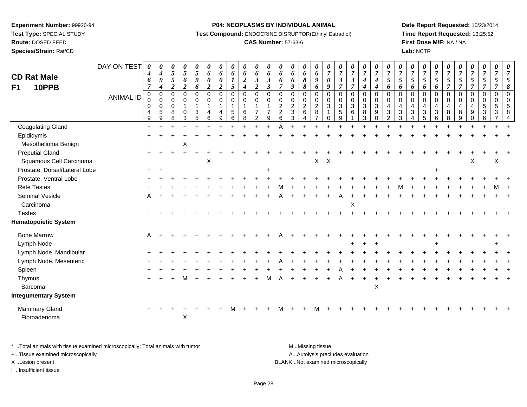**Route:** DOSED FEED

**Species/Strain:** Rat/CD

#### **P04: NEOPLASMS BY INDIVIDUAL ANIMAL**

**Test Compound:** ENDOCRINE DISRUPTOR(Ethinyl Estradiol)

### **CAS Number:** 57-63-6

**Date Report Requested:** 10/23/2014**Time Report Requested:** 13:25:52**First Dose M/F:** NA / NA**Lab:** NCTR

| <b>CD Rat Male</b><br>10PPB<br>F <sub>1</sub> | DAY ON TEST<br><b>ANIMAL ID</b> | 0<br>$\boldsymbol{4}$<br>6<br>$\overline{7}$<br>0<br>0<br>0<br>4 | 0<br>$\boldsymbol{4}$<br>9<br>4<br>$\mathbf 0$<br>0<br>$\overline{0}$<br>$\overline{5}$ | $\boldsymbol{\theta}$<br>5<br>5<br>$\overline{\mathbf{c}}$<br>$\mathbf 0$<br>0<br>$\mathbf 0$<br>8 | 0<br>$\mathfrak{S}$<br>6<br>$\boldsymbol{2}$<br>0<br>$\Omega$<br>$\Omega$ | $\pmb{\theta}$<br>$\sqrt{5}$<br>9<br>6<br>$\mathbf 0$<br>0<br>$\mathbf{1}$<br>$\mathbf{3}$ | 0<br>6<br>0<br>$\boldsymbol{2}$<br>$\mathbf 0$<br>0<br>$\mathbf{1}$<br>$\overline{4}$ | $\boldsymbol{\theta}$<br>6<br>0<br>$\boldsymbol{2}$<br>$\mathbf 0$<br>0<br>$\overline{1}$<br>4 | 0<br>6<br>1<br>$\overline{5}$<br>$\mathbf 0$<br>0<br>$\overline{1}$<br>$\sqrt{5}$ | 0<br>6<br>$\boldsymbol{2}$<br>4<br>0<br>0<br>$\mathbf{1}$<br>6 | $\boldsymbol{\theta}$<br>6<br>$\mathfrak{z}$<br>$\boldsymbol{2}$<br>$\mathbf 0$<br>$\pmb{0}$<br>$\mathbf{1}$<br>$\overline{7}$ | 0<br>6<br>$\mathbf{3}$<br>$\boldsymbol{\beta}$<br>$\mathbf 0$<br>0<br>1<br>$\overline{7}$ | 0<br>6<br>6<br>$\overline{7}$<br>$\mathbf 0$<br>0<br>$\overline{c}$<br>$\sqrt{2}$ | 0<br>6<br>6<br>$\boldsymbol{q}$<br>$\mathbf 0$<br>0<br>$\overline{2}$<br>$\mathbf{3}$ | 0<br>6<br>8<br>8<br>0<br>0<br>$\overline{c}$<br>6 | 0<br>6<br>9<br>6<br>$\mathbf 0$<br>$\pmb{0}$<br>$\boldsymbol{2}$<br>$\bf 8$ | 0<br>$\overline{7}$<br>$\boldsymbol{\theta}$<br>$\boldsymbol{g}$<br>$\mathbf 0$<br>0<br>$\sqrt{3}$ | 0<br>$\boldsymbol{7}$<br>$\boldsymbol{\beta}$<br>$\overline{7}$<br>$\mathbf 0$<br>$\pmb{0}$<br>$\sqrt{3}$<br>$\sqrt{5}$ | 0<br>$\boldsymbol{7}$<br>$\mathfrak{z}$<br>$\overline{7}$<br>$\mathbf 0$<br>0<br>$\sqrt{3}$<br>$\,6$ | 0<br>$\boldsymbol{7}$<br>$\boldsymbol{4}$<br>$\boldsymbol{4}$<br>$\mathbf 0$<br>$\pmb{0}$<br>$\ensuremath{\mathsf{3}}$<br>$8\phantom{1}$ | 0<br>$\boldsymbol{7}$<br>$\boldsymbol{4}$<br>$\boldsymbol{4}$<br>0<br>0<br>3<br>9 | 0<br>$\boldsymbol{7}$<br>5<br>6<br>$\mathbf 0$<br>0<br>4<br>$\ensuremath{\mathsf{3}}$ | 0<br>$\overline{7}$<br>5<br>6<br>$\mathbf 0$<br>$\Omega$<br>4<br>$\mathbf{3}$ | 0<br>$\boldsymbol{7}$<br>5<br>6<br>$\mathbf 0$<br>0<br>$\overline{4}$<br>$\ensuremath{\mathsf{3}}$ | 0<br>$\overline{7}$<br>5<br>6<br>$\mathbf 0$<br>0<br>$\overline{4}$<br>$\sqrt{3}$ | $\boldsymbol{\theta}$<br>$\overline{7}$<br>$\mathfrak{s}$<br>6<br>$\mathbf 0$<br>0<br>$\overline{4}$<br>$\ensuremath{\mathsf{3}}$ | 7<br>5<br>$\overline{7}$<br>$\mathbf 0$<br>$\mathbf 0$<br>4<br>8 | 0<br>$\overline{7}$<br>5<br>$\overline{7}$<br>$\mathbf 0$<br>0<br>4<br>8 | 0<br>$\overline{7}$<br>$\sqrt{5}$<br>$\overline{7}$<br>$\mathbf 0$<br>0<br>$\overline{4}$<br>9 | 0<br>$\overline{7}$<br>5<br>$\overline{7}$<br>$\mathbf 0$<br>0<br>$\sqrt{5}$<br>$\sqrt{3}$ | $\theta$<br>$\overline{7}$<br>5<br>$\mathbf 0$<br>0<br>5<br>3 | 0<br>7<br>8<br>$\Omega$<br>$\mathbf 0$<br>5<br>8 |
|-----------------------------------------------|---------------------------------|------------------------------------------------------------------|-----------------------------------------------------------------------------------------|----------------------------------------------------------------------------------------------------|---------------------------------------------------------------------------|--------------------------------------------------------------------------------------------|---------------------------------------------------------------------------------------|------------------------------------------------------------------------------------------------|-----------------------------------------------------------------------------------|----------------------------------------------------------------|--------------------------------------------------------------------------------------------------------------------------------|-------------------------------------------------------------------------------------------|-----------------------------------------------------------------------------------|---------------------------------------------------------------------------------------|---------------------------------------------------|-----------------------------------------------------------------------------|----------------------------------------------------------------------------------------------------|-------------------------------------------------------------------------------------------------------------------------|------------------------------------------------------------------------------------------------------|------------------------------------------------------------------------------------------------------------------------------------------|-----------------------------------------------------------------------------------|---------------------------------------------------------------------------------------|-------------------------------------------------------------------------------|----------------------------------------------------------------------------------------------------|-----------------------------------------------------------------------------------|-----------------------------------------------------------------------------------------------------------------------------------|------------------------------------------------------------------|--------------------------------------------------------------------------|------------------------------------------------------------------------------------------------|--------------------------------------------------------------------------------------------|---------------------------------------------------------------|--------------------------------------------------|
| <b>Coagulating Gland</b>                      |                                 | 9<br>$+$                                                         | 9                                                                                       | 8                                                                                                  | 3                                                                         | 5                                                                                          | 6                                                                                     | 9                                                                                              | 6                                                                                 | 8                                                              | $\overline{2}$                                                                                                                 | 9                                                                                         | 6                                                                                 | 3                                                                                     | Δ                                                 |                                                                             | 0                                                                                                  | 9                                                                                                                       |                                                                                                      | 3                                                                                                                                        | $\mathbf 0$                                                                       | $\overline{2}$                                                                        | 3                                                                             | 4                                                                                                  | 5                                                                                 | 6                                                                                                                                 | 8                                                                | 9                                                                        | $\Omega$                                                                                       | 6                                                                                          |                                                               |                                                  |
|                                               |                                 |                                                                  |                                                                                         |                                                                                                    |                                                                           |                                                                                            |                                                                                       |                                                                                                |                                                                                   |                                                                |                                                                                                                                |                                                                                           |                                                                                   |                                                                                       |                                                   |                                                                             |                                                                                                    |                                                                                                                         |                                                                                                      |                                                                                                                                          |                                                                                   |                                                                                       |                                                                               |                                                                                                    |                                                                                   |                                                                                                                                   |                                                                  |                                                                          |                                                                                                |                                                                                            |                                                               |                                                  |
| Epididymis                                    |                                 |                                                                  |                                                                                         |                                                                                                    |                                                                           |                                                                                            |                                                                                       |                                                                                                |                                                                                   |                                                                |                                                                                                                                |                                                                                           |                                                                                   |                                                                                       |                                                   |                                                                             |                                                                                                    |                                                                                                                         |                                                                                                      |                                                                                                                                          |                                                                                   |                                                                                       |                                                                               |                                                                                                    |                                                                                   |                                                                                                                                   |                                                                  |                                                                          |                                                                                                |                                                                                            |                                                               |                                                  |
| Mesothelioma Benign<br><b>Preputial Gland</b> |                                 |                                                                  |                                                                                         |                                                                                                    | X                                                                         |                                                                                            |                                                                                       |                                                                                                |                                                                                   |                                                                |                                                                                                                                |                                                                                           |                                                                                   |                                                                                       |                                                   |                                                                             |                                                                                                    |                                                                                                                         |                                                                                                      |                                                                                                                                          |                                                                                   |                                                                                       |                                                                               |                                                                                                    |                                                                                   |                                                                                                                                   |                                                                  |                                                                          |                                                                                                |                                                                                            |                                                               |                                                  |
| Squamous Cell Carcinoma                       |                                 |                                                                  |                                                                                         |                                                                                                    |                                                                           |                                                                                            | X                                                                                     |                                                                                                |                                                                                   |                                                                |                                                                                                                                |                                                                                           |                                                                                   |                                                                                       |                                                   | X                                                                           | $\times$                                                                                           |                                                                                                                         |                                                                                                      |                                                                                                                                          |                                                                                   |                                                                                       |                                                                               |                                                                                                    |                                                                                   |                                                                                                                                   |                                                                  |                                                                          | X                                                                                              |                                                                                            | X                                                             |                                                  |
| Prostate, Dorsal/Lateral Lobe                 |                                 |                                                                  |                                                                                         |                                                                                                    |                                                                           |                                                                                            |                                                                                       |                                                                                                |                                                                                   |                                                                |                                                                                                                                |                                                                                           |                                                                                   |                                                                                       |                                                   |                                                                             |                                                                                                    |                                                                                                                         |                                                                                                      |                                                                                                                                          |                                                                                   |                                                                                       |                                                                               |                                                                                                    |                                                                                   |                                                                                                                                   |                                                                  |                                                                          |                                                                                                |                                                                                            |                                                               |                                                  |
| Prostate, Ventral Lobe                        |                                 |                                                                  |                                                                                         |                                                                                                    |                                                                           |                                                                                            |                                                                                       |                                                                                                |                                                                                   |                                                                |                                                                                                                                |                                                                                           |                                                                                   |                                                                                       |                                                   |                                                                             |                                                                                                    |                                                                                                                         |                                                                                                      |                                                                                                                                          |                                                                                   |                                                                                       |                                                                               |                                                                                                    |                                                                                   |                                                                                                                                   |                                                                  |                                                                          |                                                                                                |                                                                                            |                                                               |                                                  |
| <b>Rete Testes</b>                            |                                 |                                                                  |                                                                                         |                                                                                                    |                                                                           |                                                                                            |                                                                                       |                                                                                                |                                                                                   |                                                                |                                                                                                                                |                                                                                           |                                                                                   |                                                                                       |                                                   |                                                                             |                                                                                                    |                                                                                                                         |                                                                                                      |                                                                                                                                          |                                                                                   |                                                                                       |                                                                               |                                                                                                    |                                                                                   |                                                                                                                                   |                                                                  |                                                                          |                                                                                                |                                                                                            |                                                               |                                                  |
| <b>Seminal Vesicle</b>                        |                                 |                                                                  |                                                                                         |                                                                                                    |                                                                           |                                                                                            |                                                                                       |                                                                                                |                                                                                   |                                                                |                                                                                                                                |                                                                                           |                                                                                   |                                                                                       |                                                   |                                                                             |                                                                                                    |                                                                                                                         |                                                                                                      |                                                                                                                                          |                                                                                   |                                                                                       |                                                                               |                                                                                                    |                                                                                   |                                                                                                                                   |                                                                  |                                                                          |                                                                                                |                                                                                            |                                                               |                                                  |
|                                               |                                 | A                                                                |                                                                                         |                                                                                                    |                                                                           |                                                                                            |                                                                                       |                                                                                                |                                                                                   |                                                                |                                                                                                                                |                                                                                           |                                                                                   |                                                                                       |                                                   |                                                                             |                                                                                                    |                                                                                                                         | X                                                                                                    |                                                                                                                                          |                                                                                   |                                                                                       |                                                                               |                                                                                                    |                                                                                   |                                                                                                                                   |                                                                  |                                                                          |                                                                                                |                                                                                            |                                                               |                                                  |
| Carcinoma                                     |                                 |                                                                  |                                                                                         |                                                                                                    |                                                                           |                                                                                            |                                                                                       |                                                                                                |                                                                                   |                                                                |                                                                                                                                |                                                                                           |                                                                                   |                                                                                       |                                                   |                                                                             |                                                                                                    |                                                                                                                         |                                                                                                      |                                                                                                                                          |                                                                                   |                                                                                       |                                                                               |                                                                                                    |                                                                                   |                                                                                                                                   |                                                                  |                                                                          |                                                                                                |                                                                                            |                                                               |                                                  |
| <b>Testes</b>                                 |                                 |                                                                  |                                                                                         |                                                                                                    |                                                                           |                                                                                            |                                                                                       |                                                                                                |                                                                                   |                                                                |                                                                                                                                |                                                                                           |                                                                                   |                                                                                       |                                                   |                                                                             |                                                                                                    |                                                                                                                         |                                                                                                      |                                                                                                                                          |                                                                                   |                                                                                       |                                                                               |                                                                                                    |                                                                                   |                                                                                                                                   |                                                                  |                                                                          |                                                                                                |                                                                                            |                                                               |                                                  |
| <b>Hematopoietic System</b>                   |                                 |                                                                  |                                                                                         |                                                                                                    |                                                                           |                                                                                            |                                                                                       |                                                                                                |                                                                                   |                                                                |                                                                                                                                |                                                                                           |                                                                                   |                                                                                       |                                                   |                                                                             |                                                                                                    |                                                                                                                         |                                                                                                      |                                                                                                                                          |                                                                                   |                                                                                       |                                                                               |                                                                                                    |                                                                                   |                                                                                                                                   |                                                                  |                                                                          |                                                                                                |                                                                                            |                                                               |                                                  |
| <b>Bone Marrow</b>                            |                                 | A                                                                |                                                                                         |                                                                                                    |                                                                           |                                                                                            |                                                                                       |                                                                                                |                                                                                   |                                                                |                                                                                                                                |                                                                                           |                                                                                   |                                                                                       |                                                   |                                                                             |                                                                                                    |                                                                                                                         |                                                                                                      |                                                                                                                                          |                                                                                   |                                                                                       |                                                                               |                                                                                                    |                                                                                   |                                                                                                                                   |                                                                  |                                                                          |                                                                                                |                                                                                            |                                                               |                                                  |
| Lymph Node                                    |                                 |                                                                  |                                                                                         |                                                                                                    |                                                                           |                                                                                            |                                                                                       |                                                                                                |                                                                                   |                                                                |                                                                                                                                |                                                                                           |                                                                                   |                                                                                       |                                                   |                                                                             |                                                                                                    |                                                                                                                         |                                                                                                      |                                                                                                                                          |                                                                                   |                                                                                       |                                                                               |                                                                                                    |                                                                                   |                                                                                                                                   |                                                                  |                                                                          |                                                                                                |                                                                                            |                                                               |                                                  |
| Lymph Node, Mandibular                        |                                 |                                                                  |                                                                                         |                                                                                                    |                                                                           |                                                                                            |                                                                                       |                                                                                                |                                                                                   |                                                                |                                                                                                                                |                                                                                           |                                                                                   |                                                                                       |                                                   |                                                                             |                                                                                                    |                                                                                                                         |                                                                                                      |                                                                                                                                          |                                                                                   |                                                                                       |                                                                               |                                                                                                    |                                                                                   |                                                                                                                                   |                                                                  |                                                                          |                                                                                                |                                                                                            |                                                               |                                                  |
| Lymph Node, Mesenteric                        |                                 |                                                                  |                                                                                         |                                                                                                    |                                                                           |                                                                                            |                                                                                       |                                                                                                |                                                                                   |                                                                |                                                                                                                                |                                                                                           |                                                                                   |                                                                                       |                                                   |                                                                             |                                                                                                    |                                                                                                                         |                                                                                                      |                                                                                                                                          |                                                                                   |                                                                                       |                                                                               |                                                                                                    |                                                                                   |                                                                                                                                   |                                                                  |                                                                          |                                                                                                |                                                                                            |                                                               |                                                  |
| Spleen                                        |                                 |                                                                  |                                                                                         |                                                                                                    |                                                                           |                                                                                            |                                                                                       |                                                                                                |                                                                                   |                                                                |                                                                                                                                |                                                                                           |                                                                                   |                                                                                       |                                                   |                                                                             |                                                                                                    |                                                                                                                         |                                                                                                      |                                                                                                                                          |                                                                                   |                                                                                       |                                                                               |                                                                                                    |                                                                                   |                                                                                                                                   |                                                                  |                                                                          |                                                                                                |                                                                                            |                                                               |                                                  |
| Thymus                                        |                                 |                                                                  |                                                                                         |                                                                                                    |                                                                           |                                                                                            |                                                                                       |                                                                                                |                                                                                   |                                                                |                                                                                                                                |                                                                                           |                                                                                   |                                                                                       |                                                   |                                                                             |                                                                                                    |                                                                                                                         |                                                                                                      |                                                                                                                                          |                                                                                   |                                                                                       |                                                                               |                                                                                                    |                                                                                   |                                                                                                                                   |                                                                  |                                                                          |                                                                                                |                                                                                            |                                                               |                                                  |
| Sarcoma                                       |                                 |                                                                  |                                                                                         |                                                                                                    |                                                                           |                                                                                            |                                                                                       |                                                                                                |                                                                                   |                                                                |                                                                                                                                |                                                                                           |                                                                                   |                                                                                       |                                                   |                                                                             |                                                                                                    |                                                                                                                         |                                                                                                      |                                                                                                                                          | X                                                                                 |                                                                                       |                                                                               |                                                                                                    |                                                                                   |                                                                                                                                   |                                                                  |                                                                          |                                                                                                |                                                                                            |                                                               |                                                  |
| <b>Integumentary System</b>                   |                                 |                                                                  |                                                                                         |                                                                                                    |                                                                           |                                                                                            |                                                                                       |                                                                                                |                                                                                   |                                                                |                                                                                                                                |                                                                                           |                                                                                   |                                                                                       |                                                   |                                                                             |                                                                                                    |                                                                                                                         |                                                                                                      |                                                                                                                                          |                                                                                   |                                                                                       |                                                                               |                                                                                                    |                                                                                   |                                                                                                                                   |                                                                  |                                                                          |                                                                                                |                                                                                            |                                                               |                                                  |
| Mammary Gland<br>Fibroadenoma                 |                                 |                                                                  |                                                                                         |                                                                                                    | Х                                                                         |                                                                                            |                                                                                       |                                                                                                |                                                                                   |                                                                |                                                                                                                                |                                                                                           |                                                                                   |                                                                                       |                                                   |                                                                             |                                                                                                    |                                                                                                                         |                                                                                                      |                                                                                                                                          |                                                                                   |                                                                                       |                                                                               |                                                                                                    |                                                                                   |                                                                                                                                   |                                                                  |                                                                          |                                                                                                |                                                                                            |                                                               |                                                  |
|                                               |                                 |                                                                  |                                                                                         |                                                                                                    |                                                                           |                                                                                            |                                                                                       |                                                                                                |                                                                                   |                                                                |                                                                                                                                |                                                                                           |                                                                                   |                                                                                       |                                                   |                                                                             |                                                                                                    |                                                                                                                         |                                                                                                      |                                                                                                                                          |                                                                                   |                                                                                       |                                                                               |                                                                                                    |                                                                                   |                                                                                                                                   |                                                                  |                                                                          |                                                                                                |                                                                                            |                                                               |                                                  |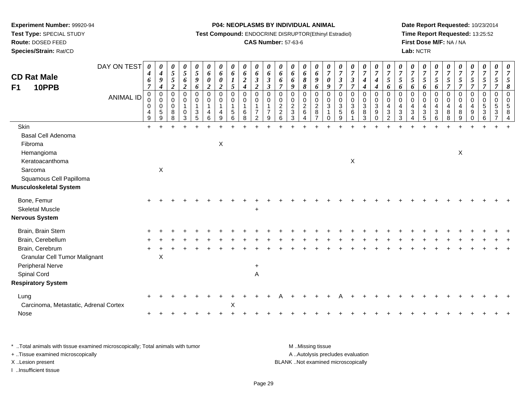**Test Type:** SPECIAL STUDY

**Route:** DOSED FEED

**Species/Strain:** Rat/CD

#### **P04: NEOPLASMS BY INDIVIDUAL ANIMAL**

**Test Compound:** ENDOCRINE DISRUPTOR(Ethinyl Estradiol)

# **CAS Number:** 57-63-6

**Date Report Requested:** 10/23/2014**Time Report Requested:** 13:25:52**First Dose M/F:** NA / NA**Lab:** NCTR

| <b>CD Rat Male</b><br>10PPB<br>F1     | DAY ON TEST<br><b>ANIMAL ID</b> | 0<br>$\boldsymbol{4}$<br>6<br>$\overline{7}$<br>0<br>$\pmb{0}$<br>$\mathbf 0$ | 0<br>$\boldsymbol{4}$<br>9<br>$\boldsymbol{4}$<br>0<br>$\mathbf 0$<br>0 | $\boldsymbol{\theta}$<br>$\mathfrak{s}$<br>$\overline{5}$<br>$\overline{2}$<br>$\mathbf 0$<br>$\mathsf{O}\xspace$<br>$\mathbf 0$ | 0<br>5<br>6<br>$\overline{2}$<br>0<br>$\mathsf 0$ | $\frac{\theta}{5}$<br>$\boldsymbol{g}$<br>6<br>0<br>$\pmb{0}$<br>$\mathbf{1}$ | 0<br>6<br>0<br>$\overline{2}$<br>$\mathbf 0$<br>$\mathsf 0$<br>$\mathbf{1}$ | 0<br>6<br>$\boldsymbol{\theta}$<br>$\overline{\mathbf{c}}$<br>$\mathbf 0$<br>$\mathbf 0$ | $\boldsymbol{\theta}$<br>6<br>5<br>$\pmb{0}$<br>$\mathbf 0$<br>$\mathbf{1}$ | $\boldsymbol{\theta}$<br>$\pmb{6}$<br>$\boldsymbol{2}$<br>$\boldsymbol{4}$<br>$\pmb{0}$<br>$\mathsf{O}\xspace$<br>$\overline{1}$ | 0<br>6<br>$\boldsymbol{\beta}$<br>$\boldsymbol{2}$<br>$\pmb{0}$<br>$\pmb{0}$<br>$\mathbf{1}$ | $\boldsymbol{\theta}$<br>$\pmb{6}$<br>$\boldsymbol{\beta}$<br>$\mathfrak{z}$<br>$\mathbf 0$<br>$\mathbf 0$<br>1 | 0<br>6<br>6<br>$\overline{7}$<br>0<br>$\mathbf 0$<br>$\overline{c}$ | 0<br>6<br>6<br>9<br>0<br>0<br>$\overline{a}$ | 0<br>6<br>8<br>8<br>0<br>$\pmb{0}$<br>$\overline{\mathbf{c}}$ | 0<br>6<br>$\boldsymbol{9}$<br>6<br>$\mathbf 0$<br>$\pmb{0}$<br>$\boldsymbol{2}$ | 0<br>$\overline{7}$<br>$\boldsymbol{\theta}$<br>$\boldsymbol{g}$<br>$\mathbf 0$<br>$\mathbf 0$<br>3 | $\boldsymbol{\theta}$<br>$\overline{7}$<br>$\boldsymbol{\beta}$<br>$\overline{7}$<br>$\mathbf 0$<br>$\mathsf{O}\xspace$<br>$\sqrt{3}$ | 0<br>$\boldsymbol{7}$<br>$\mathbf{3}$<br>$\overline{7}$<br>0<br>$\mathbf 0$<br>$\mathbf{3}$ | $\boldsymbol{\theta}$<br>$\boldsymbol{7}$<br>$\boldsymbol{4}$<br>$\boldsymbol{4}$<br>$\mathbf 0$<br>$\mathbf 0$<br>$\mathbf{3}$ | 0<br>$\overline{7}$<br>4<br>4<br>0<br>$\mathbf 0$<br>3 | 0<br>$\overline{7}$<br>$\mathfrak{s}$<br>6<br>$\Omega$<br>$\mathbf 0$<br>4 | $\boldsymbol{\theta}$<br>$\overline{7}$<br>5<br>6<br>$\mathbf 0$<br>0<br>4 | 0<br>$\boldsymbol{7}$<br>$\mathfrak{s}$<br>6<br>0<br>$\mathbf 0$<br>4 | $\frac{\theta}{7}$<br>$\mathfrak{s}$<br>6<br>$\mathbf 0$<br>$\mathsf{O}\xspace$<br>$\overline{4}$ | $\boldsymbol{\theta}$<br>$\overline{7}$<br>$\mathfrak{s}$<br>6<br>$\mathbf 0$<br>$\mathbf 0$<br>4 | $\boldsymbol{\theta}$<br>$\overline{7}$<br>$\overline{5}$<br>$\overline{7}$<br>$\pmb{0}$<br>$\mathbf 0$<br>$\overline{a}$ | 0<br>$\boldsymbol{7}$<br>$\mathfrak{S}$<br>$\overline{7}$<br>0<br>$\mathbf 0$<br>4 | $\begin{array}{c} 0 \\ 7 \\ 5 \end{array}$<br>$\overline{7}$<br>$\pmb{0}$<br>$\mathbf 0$<br>$\overline{\mathbf{4}}$ | $\frac{\theta}{7}$<br>5<br>$\overline{7}$<br>0<br>0<br>5 | 0<br>$\boldsymbol{7}$<br>$\mathfrak{s}$<br>$\overline{7}$<br>$\mathbf 0$<br>0<br>5 | 0<br>$\overline{7}$<br>5<br>8<br>$\mathbf 0$<br>$\pmb{0}$<br>5 |
|---------------------------------------|---------------------------------|-------------------------------------------------------------------------------|-------------------------------------------------------------------------|----------------------------------------------------------------------------------------------------------------------------------|---------------------------------------------------|-------------------------------------------------------------------------------|-----------------------------------------------------------------------------|------------------------------------------------------------------------------------------|-----------------------------------------------------------------------------|----------------------------------------------------------------------------------------------------------------------------------|----------------------------------------------------------------------------------------------|-----------------------------------------------------------------------------------------------------------------|---------------------------------------------------------------------|----------------------------------------------|---------------------------------------------------------------|---------------------------------------------------------------------------------|-----------------------------------------------------------------------------------------------------|---------------------------------------------------------------------------------------------------------------------------------------|---------------------------------------------------------------------------------------------|---------------------------------------------------------------------------------------------------------------------------------|--------------------------------------------------------|----------------------------------------------------------------------------|----------------------------------------------------------------------------|-----------------------------------------------------------------------|---------------------------------------------------------------------------------------------------|---------------------------------------------------------------------------------------------------|---------------------------------------------------------------------------------------------------------------------------|------------------------------------------------------------------------------------|---------------------------------------------------------------------------------------------------------------------|----------------------------------------------------------|------------------------------------------------------------------------------------|----------------------------------------------------------------|
|                                       |                                 | $\overline{\mathbf{4}}$<br>9                                                  | 5<br>9                                                                  | 8<br>8                                                                                                                           | 0<br>3                                            | $\frac{3}{5}$                                                                 | 4<br>6                                                                      | $\overline{4}$<br>9                                                                      | $\begin{array}{c} 5 \\ 6 \end{array}$                                       | 6<br>8                                                                                                                           | $\overline{7}$<br>$\overline{2}$                                                             | $\overline{7}$<br>9                                                                                             | $\overline{c}$<br>6                                                 | $\sqrt{3}$<br>3                              | $\,6$<br>Δ                                                    | $\bf 8$<br>$\overline{7}$                                                       | $\Omega$                                                                                            | $\overline{5}$<br>9                                                                                                                   | $\,6$                                                                                       | 8<br>3                                                                                                                          | 9<br>$\Omega$                                          | $\frac{3}{2}$                                                              | 3<br>3                                                                     | 3<br>$\overline{4}$                                                   | $\boldsymbol{3}$<br>5                                                                             | 3<br>6                                                                                            | 8<br>8                                                                                                                    | 8<br>9                                                                             | $\boldsymbol{9}$<br>$\Omega$                                                                                        | 3<br>6                                                   | $\frac{3}{7}$                                                                      | 8<br>$\overline{A}$                                            |
| Skin                                  |                                 | $+$                                                                           |                                                                         |                                                                                                                                  |                                                   |                                                                               |                                                                             |                                                                                          |                                                                             |                                                                                                                                  |                                                                                              |                                                                                                                 |                                                                     |                                              |                                                               |                                                                                 |                                                                                                     |                                                                                                                                       |                                                                                             |                                                                                                                                 |                                                        |                                                                            |                                                                            |                                                                       |                                                                                                   |                                                                                                   |                                                                                                                           |                                                                                    |                                                                                                                     |                                                          |                                                                                    |                                                                |
| Basal Cell Adenoma                    |                                 |                                                                               |                                                                         |                                                                                                                                  |                                                   |                                                                               |                                                                             |                                                                                          |                                                                             |                                                                                                                                  |                                                                                              |                                                                                                                 |                                                                     |                                              |                                                               |                                                                                 |                                                                                                     |                                                                                                                                       |                                                                                             |                                                                                                                                 |                                                        |                                                                            |                                                                            |                                                                       |                                                                                                   |                                                                                                   |                                                                                                                           |                                                                                    |                                                                                                                     |                                                          |                                                                                    |                                                                |
| Fibroma                               |                                 |                                                                               |                                                                         |                                                                                                                                  |                                                   |                                                                               |                                                                             | $\pmb{\times}$                                                                           |                                                                             |                                                                                                                                  |                                                                                              |                                                                                                                 |                                                                     |                                              |                                                               |                                                                                 |                                                                                                     |                                                                                                                                       |                                                                                             |                                                                                                                                 |                                                        |                                                                            |                                                                            |                                                                       |                                                                                                   |                                                                                                   |                                                                                                                           |                                                                                    |                                                                                                                     |                                                          |                                                                                    |                                                                |
| Hemangioma                            |                                 |                                                                               |                                                                         |                                                                                                                                  |                                                   |                                                                               |                                                                             |                                                                                          |                                                                             |                                                                                                                                  |                                                                                              |                                                                                                                 |                                                                     |                                              |                                                               |                                                                                 |                                                                                                     |                                                                                                                                       |                                                                                             |                                                                                                                                 |                                                        |                                                                            |                                                                            |                                                                       |                                                                                                   |                                                                                                   |                                                                                                                           | X                                                                                  |                                                                                                                     |                                                          |                                                                                    |                                                                |
| Keratoacanthoma                       |                                 |                                                                               |                                                                         |                                                                                                                                  |                                                   |                                                                               |                                                                             |                                                                                          |                                                                             |                                                                                                                                  |                                                                                              |                                                                                                                 |                                                                     |                                              |                                                               |                                                                                 |                                                                                                     |                                                                                                                                       | X                                                                                           |                                                                                                                                 |                                                        |                                                                            |                                                                            |                                                                       |                                                                                                   |                                                                                                   |                                                                                                                           |                                                                                    |                                                                                                                     |                                                          |                                                                                    |                                                                |
| Sarcoma                               |                                 |                                                                               | $\mathsf X$                                                             |                                                                                                                                  |                                                   |                                                                               |                                                                             |                                                                                          |                                                                             |                                                                                                                                  |                                                                                              |                                                                                                                 |                                                                     |                                              |                                                               |                                                                                 |                                                                                                     |                                                                                                                                       |                                                                                             |                                                                                                                                 |                                                        |                                                                            |                                                                            |                                                                       |                                                                                                   |                                                                                                   |                                                                                                                           |                                                                                    |                                                                                                                     |                                                          |                                                                                    |                                                                |
| Squamous Cell Papilloma               |                                 |                                                                               |                                                                         |                                                                                                                                  |                                                   |                                                                               |                                                                             |                                                                                          |                                                                             |                                                                                                                                  |                                                                                              |                                                                                                                 |                                                                     |                                              |                                                               |                                                                                 |                                                                                                     |                                                                                                                                       |                                                                                             |                                                                                                                                 |                                                        |                                                                            |                                                                            |                                                                       |                                                                                                   |                                                                                                   |                                                                                                                           |                                                                                    |                                                                                                                     |                                                          |                                                                                    |                                                                |
| <b>Musculoskeletal System</b>         |                                 |                                                                               |                                                                         |                                                                                                                                  |                                                   |                                                                               |                                                                             |                                                                                          |                                                                             |                                                                                                                                  |                                                                                              |                                                                                                                 |                                                                     |                                              |                                                               |                                                                                 |                                                                                                     |                                                                                                                                       |                                                                                             |                                                                                                                                 |                                                        |                                                                            |                                                                            |                                                                       |                                                                                                   |                                                                                                   |                                                                                                                           |                                                                                    |                                                                                                                     |                                                          |                                                                                    |                                                                |
| Bone, Femur                           |                                 |                                                                               |                                                                         |                                                                                                                                  |                                                   |                                                                               |                                                                             |                                                                                          |                                                                             |                                                                                                                                  |                                                                                              |                                                                                                                 |                                                                     |                                              |                                                               |                                                                                 |                                                                                                     |                                                                                                                                       |                                                                                             |                                                                                                                                 |                                                        |                                                                            |                                                                            |                                                                       |                                                                                                   |                                                                                                   |                                                                                                                           |                                                                                    |                                                                                                                     |                                                          |                                                                                    |                                                                |
| <b>Skeletal Muscle</b>                |                                 |                                                                               |                                                                         |                                                                                                                                  |                                                   |                                                                               |                                                                             |                                                                                          |                                                                             |                                                                                                                                  | $\div$                                                                                       |                                                                                                                 |                                                                     |                                              |                                                               |                                                                                 |                                                                                                     |                                                                                                                                       |                                                                                             |                                                                                                                                 |                                                        |                                                                            |                                                                            |                                                                       |                                                                                                   |                                                                                                   |                                                                                                                           |                                                                                    |                                                                                                                     |                                                          |                                                                                    |                                                                |
| <b>Nervous System</b>                 |                                 |                                                                               |                                                                         |                                                                                                                                  |                                                   |                                                                               |                                                                             |                                                                                          |                                                                             |                                                                                                                                  |                                                                                              |                                                                                                                 |                                                                     |                                              |                                                               |                                                                                 |                                                                                                     |                                                                                                                                       |                                                                                             |                                                                                                                                 |                                                        |                                                                            |                                                                            |                                                                       |                                                                                                   |                                                                                                   |                                                                                                                           |                                                                                    |                                                                                                                     |                                                          |                                                                                    |                                                                |
| Brain, Brain Stem                     |                                 |                                                                               |                                                                         |                                                                                                                                  |                                                   |                                                                               |                                                                             |                                                                                          |                                                                             |                                                                                                                                  |                                                                                              |                                                                                                                 |                                                                     |                                              |                                                               |                                                                                 |                                                                                                     |                                                                                                                                       |                                                                                             |                                                                                                                                 |                                                        |                                                                            |                                                                            |                                                                       |                                                                                                   |                                                                                                   |                                                                                                                           |                                                                                    |                                                                                                                     |                                                          |                                                                                    |                                                                |
| Brain, Cerebellum                     |                                 |                                                                               |                                                                         |                                                                                                                                  |                                                   |                                                                               |                                                                             |                                                                                          |                                                                             |                                                                                                                                  |                                                                                              |                                                                                                                 |                                                                     |                                              |                                                               |                                                                                 |                                                                                                     |                                                                                                                                       |                                                                                             |                                                                                                                                 |                                                        |                                                                            |                                                                            |                                                                       |                                                                                                   |                                                                                                   |                                                                                                                           |                                                                                    |                                                                                                                     |                                                          |                                                                                    |                                                                |
| Brain, Cerebrum                       |                                 |                                                                               |                                                                         |                                                                                                                                  |                                                   |                                                                               |                                                                             |                                                                                          |                                                                             |                                                                                                                                  |                                                                                              |                                                                                                                 |                                                                     |                                              |                                                               |                                                                                 |                                                                                                     |                                                                                                                                       |                                                                                             |                                                                                                                                 |                                                        |                                                                            |                                                                            |                                                                       |                                                                                                   |                                                                                                   |                                                                                                                           |                                                                                    |                                                                                                                     |                                                          |                                                                                    |                                                                |
| <b>Granular Cell Tumor Malignant</b>  |                                 |                                                                               | X                                                                       |                                                                                                                                  |                                                   |                                                                               |                                                                             |                                                                                          |                                                                             |                                                                                                                                  |                                                                                              |                                                                                                                 |                                                                     |                                              |                                                               |                                                                                 |                                                                                                     |                                                                                                                                       |                                                                                             |                                                                                                                                 |                                                        |                                                                            |                                                                            |                                                                       |                                                                                                   |                                                                                                   |                                                                                                                           |                                                                                    |                                                                                                                     |                                                          |                                                                                    |                                                                |
| Peripheral Nerve                      |                                 |                                                                               |                                                                         |                                                                                                                                  |                                                   |                                                                               |                                                                             |                                                                                          |                                                                             |                                                                                                                                  | $\ddot{}$                                                                                    |                                                                                                                 |                                                                     |                                              |                                                               |                                                                                 |                                                                                                     |                                                                                                                                       |                                                                                             |                                                                                                                                 |                                                        |                                                                            |                                                                            |                                                                       |                                                                                                   |                                                                                                   |                                                                                                                           |                                                                                    |                                                                                                                     |                                                          |                                                                                    |                                                                |
| Spinal Cord                           |                                 |                                                                               |                                                                         |                                                                                                                                  |                                                   |                                                                               |                                                                             |                                                                                          |                                                                             |                                                                                                                                  | $\overline{A}$                                                                               |                                                                                                                 |                                                                     |                                              |                                                               |                                                                                 |                                                                                                     |                                                                                                                                       |                                                                                             |                                                                                                                                 |                                                        |                                                                            |                                                                            |                                                                       |                                                                                                   |                                                                                                   |                                                                                                                           |                                                                                    |                                                                                                                     |                                                          |                                                                                    |                                                                |
| <b>Respiratory System</b>             |                                 |                                                                               |                                                                         |                                                                                                                                  |                                                   |                                                                               |                                                                             |                                                                                          |                                                                             |                                                                                                                                  |                                                                                              |                                                                                                                 |                                                                     |                                              |                                                               |                                                                                 |                                                                                                     |                                                                                                                                       |                                                                                             |                                                                                                                                 |                                                        |                                                                            |                                                                            |                                                                       |                                                                                                   |                                                                                                   |                                                                                                                           |                                                                                    |                                                                                                                     |                                                          |                                                                                    |                                                                |
| Lung                                  |                                 |                                                                               |                                                                         |                                                                                                                                  |                                                   |                                                                               |                                                                             |                                                                                          |                                                                             |                                                                                                                                  |                                                                                              |                                                                                                                 |                                                                     |                                              |                                                               |                                                                                 |                                                                                                     |                                                                                                                                       |                                                                                             |                                                                                                                                 |                                                        |                                                                            |                                                                            |                                                                       |                                                                                                   |                                                                                                   |                                                                                                                           |                                                                                    |                                                                                                                     |                                                          |                                                                                    |                                                                |
| Carcinoma, Metastatic, Adrenal Cortex |                                 |                                                                               |                                                                         |                                                                                                                                  |                                                   |                                                                               |                                                                             |                                                                                          | X                                                                           |                                                                                                                                  |                                                                                              |                                                                                                                 |                                                                     |                                              |                                                               |                                                                                 |                                                                                                     |                                                                                                                                       |                                                                                             |                                                                                                                                 |                                                        |                                                                            |                                                                            |                                                                       |                                                                                                   |                                                                                                   |                                                                                                                           |                                                                                    |                                                                                                                     |                                                          |                                                                                    |                                                                |
| Nose                                  |                                 |                                                                               |                                                                         |                                                                                                                                  |                                                   |                                                                               |                                                                             |                                                                                          |                                                                             |                                                                                                                                  |                                                                                              |                                                                                                                 |                                                                     |                                              |                                                               |                                                                                 |                                                                                                     |                                                                                                                                       |                                                                                             |                                                                                                                                 |                                                        |                                                                            |                                                                            |                                                                       |                                                                                                   |                                                                                                   |                                                                                                                           |                                                                                    |                                                                                                                     |                                                          |                                                                                    |                                                                |
|                                       |                                 |                                                                               |                                                                         |                                                                                                                                  |                                                   |                                                                               |                                                                             |                                                                                          |                                                                             |                                                                                                                                  |                                                                                              |                                                                                                                 |                                                                     |                                              |                                                               |                                                                                 |                                                                                                     |                                                                                                                                       |                                                                                             |                                                                                                                                 |                                                        |                                                                            |                                                                            |                                                                       |                                                                                                   |                                                                                                   |                                                                                                                           |                                                                                    |                                                                                                                     |                                                          |                                                                                    |                                                                |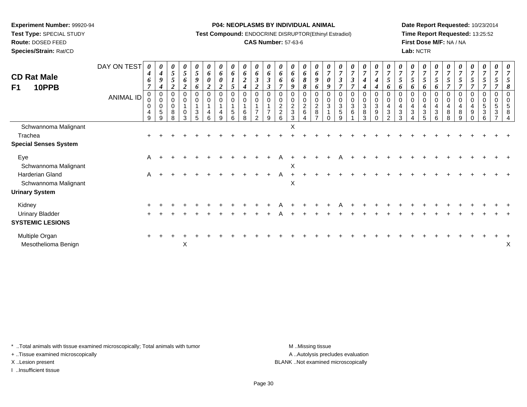**Test Type:** SPECIAL STUDY

**Route:** DOSED FEED

**Species/Strain:** Rat/CD

### **P04: NEOPLASMS BY INDIVIDUAL ANIMAL**

**Test Compound:** ENDOCRINE DISRUPTOR(Ethinyl Estradiol)

# **CAS Number:** 57-63-6

**Date Report Requested:** 10/23/2014**Time Report Requested:** 13:25:52**First Dose M/F:** NA / NA**Lab:** NCTR

| <b>CD Rat Male</b><br>10PPB<br>F <sub>1</sub>                                  | DAY ON TEST<br><b>ANIMAL ID</b> | $\boldsymbol{\theta}$<br>$\boldsymbol{4}$<br>6<br>$\overline{7}$<br>0<br>0<br>$\mathbf 0$<br>4<br>9 | 0<br>$\boldsymbol{4}$<br>9<br>4<br>$\mathbf 0$<br>$\boldsymbol{0}$<br>0<br>5<br>9 | $\sqrt{5}$<br>5<br>$\overline{2}$<br>0<br>$\pmb{0}$<br>$\mathbf 0$<br>8<br>8 | 0<br>5<br>6<br>ി<br>∠<br>$\mathbf 0$<br>0<br>3 | 0<br>$\overline{5}$<br>9<br>$\bm{o}$<br>0<br>$\mathbf 0$<br>3<br>5 | 0<br>6<br>$\boldsymbol{\theta}$<br>$\overline{2}$<br>0<br>$\mathbf 0$<br>4<br>6 | $\theta$<br>6<br>$\boldsymbol{\theta}$<br>$\boldsymbol{2}$<br>0<br>$\mathbf 0$<br>4<br>9 | o<br>Ć<br>$\mathbf 0$<br>$\mathbf 0$<br>5<br>6 | 0<br>6<br>$\overline{c}$<br>$\mathbf 0$<br>$\mathbf 0$<br>6<br>8 | 0<br>6<br>$\mathfrak{z}$<br>$\boldsymbol{2}$<br>0<br>0<br>$\overline{7}$<br>$\overline{2}$ | 0<br>6<br>$\mathfrak{z}$<br>$\boldsymbol{\beta}$<br>$\pmb{0}$<br>$\mathsf 0$<br>$\overline{7}$<br>9 | U<br>6<br>7<br>0<br>0<br>$\overline{c}$<br>$\overline{2}$<br>6 | 0<br>6<br>6<br>9<br>0<br>$\mathbf 0$<br>$\sqrt{2}$<br>$\ensuremath{\mathsf{3}}$<br>3 | 0<br>6<br>8<br>8<br>0<br>0<br>$\overline{c}$<br>$\,6\,$ | 0<br>6<br>$\boldsymbol{g}$<br>6<br>$\pmb{0}$<br>$\mathbf 0$<br>$\sqrt{2}$<br>8<br>$\overline{z}$ | $\theta$<br>$\overline{7}$<br>$\boldsymbol{\theta}$<br>9<br>0<br>$\mathbf 0$<br>3<br>$\Omega$ | $\boldsymbol{\beta}$<br>7<br>0<br>$\mathbf 0$<br>$\ensuremath{\mathsf{3}}$<br>$\,$ 5 $\,$<br>$\mathsf{Q}$ | 0<br>$\overline{\tau}$<br>$\overline{\mathbf{3}}$<br>$\mathbf 0$<br>$\mathsf 0$<br>$\mathbf{3}$<br>6 | 0<br>$\overline{7}$<br>$\boldsymbol{4}$<br>4<br>0<br>$\mathbf 0$<br>$\ensuremath{\mathsf{3}}$<br>8<br>3 | 0<br>$\overline{7}$<br>4<br>$\pmb{0}$<br>$\mathbf 0$<br>$\sqrt{3}$<br>9<br>$\Omega$ | 0<br>$\overline{7}$<br>6<br>0<br>$\pmb{0}$<br>$\overline{a}$<br>$\mathbf{3}$<br>$\overline{2}$ | 5<br>$\bm{b}$<br>0<br>$\pmb{0}$<br>4<br>$\sqrt{3}$<br>$\mathcal{R}$ | $\boldsymbol{\theta}$<br>7<br>$5\overline{)}$<br>6<br>0<br>0<br>$\overline{4}$<br>$\sqrt{3}$ | 0<br>$\overline{7}$<br>5<br>6<br>0<br>$\mathbf 0$<br>4<br>3<br>5 | 0<br>$\overline{7}$<br>5<br>6<br>0<br>0<br>4<br>$\mathbf{3}$<br>6 | 0<br>$\mathbf 0$<br>8<br>8 | 0<br>0<br>4<br>8<br>9 | $\boldsymbol{\theta}$<br>$\overline{7}$<br>5<br>7<br>0<br>0<br>$\overline{4}$<br>9<br>$\Omega$ | 0<br>$\overline{7}$<br>$\mathfrak{I}$<br>$\overline{ }$<br>0<br>$\boldsymbol{0}$<br>$\overline{5}$<br>$\ensuremath{\mathsf{3}}$<br>6 | 0<br>$\overline{7}$<br>0<br>$\mathbf 0$<br>5<br>3<br>$\overline{\phantom{0}}$ | $\boldsymbol{\theta}$<br>$\overline{7}$<br>8<br>$\mathbf 0$<br>$\mathbf 0$<br>5<br>8<br>$\boldsymbol{\varDelta}$ |
|--------------------------------------------------------------------------------|---------------------------------|-----------------------------------------------------------------------------------------------------|-----------------------------------------------------------------------------------|------------------------------------------------------------------------------|------------------------------------------------|--------------------------------------------------------------------|---------------------------------------------------------------------------------|------------------------------------------------------------------------------------------|------------------------------------------------|------------------------------------------------------------------|--------------------------------------------------------------------------------------------|-----------------------------------------------------------------------------------------------------|----------------------------------------------------------------|--------------------------------------------------------------------------------------|---------------------------------------------------------|--------------------------------------------------------------------------------------------------|-----------------------------------------------------------------------------------------------|-----------------------------------------------------------------------------------------------------------|------------------------------------------------------------------------------------------------------|---------------------------------------------------------------------------------------------------------|-------------------------------------------------------------------------------------|------------------------------------------------------------------------------------------------|---------------------------------------------------------------------|----------------------------------------------------------------------------------------------|------------------------------------------------------------------|-------------------------------------------------------------------|----------------------------|-----------------------|------------------------------------------------------------------------------------------------|--------------------------------------------------------------------------------------------------------------------------------------|-------------------------------------------------------------------------------|------------------------------------------------------------------------------------------------------------------|
| Schwannoma Malignant<br>Trachea                                                |                                 |                                                                                                     |                                                                                   |                                                                              |                                                |                                                                    |                                                                                 |                                                                                          |                                                |                                                                  |                                                                                            |                                                                                                     |                                                                | $\pmb{\times}$                                                                       |                                                         |                                                                                                  |                                                                                               |                                                                                                           |                                                                                                      |                                                                                                         |                                                                                     |                                                                                                |                                                                     |                                                                                              |                                                                  |                                                                   |                            |                       |                                                                                                |                                                                                                                                      |                                                                               |                                                                                                                  |
| <b>Special Senses System</b><br>Eye<br>Schwannoma Malignant<br>Harderian Gland |                                 | $\mathsf{A}$<br>$\mathsf{A}$                                                                        |                                                                                   |                                                                              |                                                |                                                                    |                                                                                 |                                                                                          |                                                |                                                                  |                                                                                            |                                                                                                     |                                                                | X                                                                                    |                                                         |                                                                                                  |                                                                                               |                                                                                                           |                                                                                                      |                                                                                                         |                                                                                     |                                                                                                |                                                                     |                                                                                              |                                                                  |                                                                   |                            |                       |                                                                                                |                                                                                                                                      |                                                                               |                                                                                                                  |
| Schwannoma Malignant<br><b>Urinary System</b>                                  |                                 |                                                                                                     |                                                                                   |                                                                              |                                                |                                                                    |                                                                                 |                                                                                          |                                                |                                                                  |                                                                                            |                                                                                                     |                                                                | X                                                                                    |                                                         |                                                                                                  |                                                                                               |                                                                                                           |                                                                                                      |                                                                                                         |                                                                                     |                                                                                                |                                                                     |                                                                                              |                                                                  |                                                                   |                            |                       |                                                                                                |                                                                                                                                      |                                                                               |                                                                                                                  |
| Kidney<br><b>Urinary Bladder</b><br><b>SYSTEMIC LESIONS</b>                    |                                 |                                                                                                     |                                                                                   |                                                                              |                                                |                                                                    |                                                                                 |                                                                                          |                                                |                                                                  |                                                                                            |                                                                                                     |                                                                |                                                                                      |                                                         |                                                                                                  |                                                                                               |                                                                                                           |                                                                                                      |                                                                                                         |                                                                                     |                                                                                                |                                                                     |                                                                                              |                                                                  |                                                                   |                            |                       |                                                                                                |                                                                                                                                      |                                                                               |                                                                                                                  |
| Multiple Organ<br>Mesothelioma Benign                                          |                                 |                                                                                                     |                                                                                   |                                                                              | X                                              |                                                                    |                                                                                 |                                                                                          |                                                |                                                                  |                                                                                            |                                                                                                     |                                                                |                                                                                      |                                                         |                                                                                                  |                                                                                               |                                                                                                           |                                                                                                      |                                                                                                         |                                                                                     |                                                                                                |                                                                     |                                                                                              |                                                                  |                                                                   |                            |                       |                                                                                                |                                                                                                                                      |                                                                               | X                                                                                                                |

\* ..Total animals with tissue examined microscopically; Total animals with tumor **M** . Missing tissue M ..Missing tissue

+ ..Tissue examined microscopically

I ..Insufficient tissue

A ..Autolysis precludes evaluation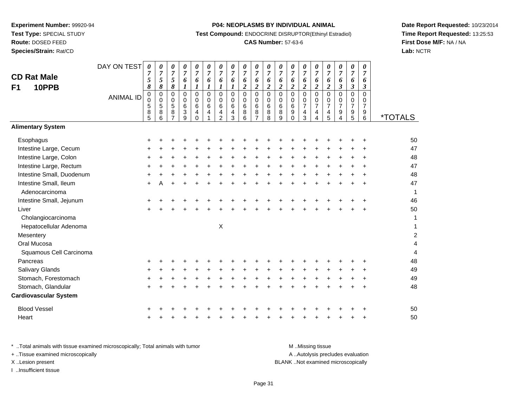**Route:** DOSED FEED

**Species/Strain:** Rat/CD

### **P04: NEOPLASMS BY INDIVIDUAL ANIMAL**

**Test Compound:** ENDOCRINE DISRUPTOR(Ethinyl Estradiol)

# **CAS Number:** 57-63-6

**Date Report Requested:** 10/23/2014**Time Report Requested:** 13:25:53**First Dose M/F:** NA / NA**Lab:** NCTR

| $\overline{7}$                                             | $\overline{7}$                     | $\overline{7}$             | $\overline{7}$             | $\overline{7}$                                                   | $\overline{7}$                                                   | $\boldsymbol{7}$                   | $\overline{7}$                       | $\overline{7}$                                                       | $\boldsymbol{7}$                                      | $\overline{7}$                                         | $\overline{7}$                  | $\overline{7}$                                          | $\overline{7}$                                    | $\overline{7}$                                                 | $\boldsymbol{7}$                                                              | $\overline{7}$                                                                       | $\overline{7}$                                                 | $\overline{7}$                                                       |                                                                |
|------------------------------------------------------------|------------------------------------|----------------------------|----------------------------|------------------------------------------------------------------|------------------------------------------------------------------|------------------------------------|--------------------------------------|----------------------------------------------------------------------|-------------------------------------------------------|--------------------------------------------------------|---------------------------------|---------------------------------------------------------|---------------------------------------------------|----------------------------------------------------------------|-------------------------------------------------------------------------------|--------------------------------------------------------------------------------------|----------------------------------------------------------------|----------------------------------------------------------------------|----------------------------------------------------------------|
|                                                            |                                    |                            |                            |                                                                  |                                                                  |                                    |                                      |                                                                      |                                                       | 6                                                      |                                 |                                                         |                                                   |                                                                |                                                                               |                                                                                      |                                                                |                                                                      |                                                                |
|                                                            |                                    |                            |                            |                                                                  |                                                                  |                                    |                                      |                                                                      |                                                       |                                                        |                                 |                                                         |                                                   |                                                                |                                                                               |                                                                                      |                                                                |                                                                      |                                                                |
| 0                                                          | $\pmb{0}$                          | 0                          | $\pmb{0}$                  | $\mathbf 0$                                                      | $\mathbf 0$                                                      | 0                                  | $\mathbf 0$                          | $\mathbf 0$                                                          | $\mathbf 0$                                           | 0                                                      | $\mathbf 0$                     | 0                                                       | $\mathbf 0$                                       | 0                                                              | 0                                                                             | 0                                                                                    | 0                                                              | $\mathbf 0$                                                          |                                                                |
|                                                            |                                    |                            |                            |                                                                  |                                                                  |                                    |                                      |                                                                      |                                                       |                                                        |                                 |                                                         |                                                   |                                                                |                                                                               |                                                                                      |                                                                |                                                                      |                                                                |
| 5                                                          | 6                                  | 7                          | 9                          | $\Omega$                                                         |                                                                  | $\overline{2}$                     | 3                                    | 6                                                                    | $\overline{7}$                                        | 8                                                      | 9                               | $\Omega$                                                | 3                                                 | $\overline{4}$                                                 | 5                                                                             | 4                                                                                    | 5                                                              | 6                                                                    | <i><b>*TOTALS</b></i>                                          |
|                                                            |                                    |                            |                            |                                                                  |                                                                  |                                    |                                      |                                                                      |                                                       |                                                        |                                 |                                                         |                                                   |                                                                |                                                                               |                                                                                      |                                                                |                                                                      |                                                                |
|                                                            |                                    |                            |                            |                                                                  |                                                                  |                                    |                                      |                                                                      |                                                       |                                                        |                                 |                                                         |                                                   |                                                                |                                                                               |                                                                                      |                                                                |                                                                      | 50                                                             |
|                                                            |                                    |                            |                            |                                                                  |                                                                  |                                    |                                      |                                                                      |                                                       |                                                        |                                 |                                                         |                                                   |                                                                |                                                                               |                                                                                      |                                                                |                                                                      | 47                                                             |
|                                                            |                                    |                            |                            |                                                                  |                                                                  |                                    |                                      |                                                                      |                                                       |                                                        |                                 |                                                         |                                                   |                                                                |                                                                               |                                                                                      |                                                                |                                                                      | 48                                                             |
|                                                            |                                    |                            |                            |                                                                  |                                                                  |                                    |                                      |                                                                      |                                                       |                                                        |                                 |                                                         |                                                   |                                                                |                                                                               |                                                                                      |                                                                |                                                                      | 47                                                             |
|                                                            |                                    |                            |                            |                                                                  |                                                                  |                                    |                                      |                                                                      |                                                       |                                                        |                                 |                                                         |                                                   |                                                                |                                                                               |                                                                                      |                                                                |                                                                      | 48                                                             |
| +                                                          |                                    |                            |                            |                                                                  |                                                                  |                                    |                                      |                                                                      |                                                       |                                                        |                                 |                                                         |                                                   |                                                                |                                                                               |                                                                                      |                                                                |                                                                      | 47                                                             |
|                                                            |                                    |                            |                            |                                                                  |                                                                  |                                    |                                      |                                                                      |                                                       |                                                        |                                 |                                                         |                                                   |                                                                |                                                                               |                                                                                      |                                                                |                                                                      | $\mathbf 1$                                                    |
|                                                            |                                    |                            |                            |                                                                  |                                                                  |                                    |                                      |                                                                      |                                                       |                                                        |                                 |                                                         |                                                   |                                                                |                                                                               |                                                                                      |                                                                |                                                                      | 46                                                             |
| $\div$                                                     |                                    |                            |                            |                                                                  |                                                                  |                                    |                                      |                                                                      |                                                       |                                                        |                                 |                                                         |                                                   |                                                                |                                                                               |                                                                                      |                                                                |                                                                      | 50                                                             |
|                                                            |                                    |                            |                            |                                                                  |                                                                  |                                    |                                      |                                                                      |                                                       |                                                        |                                 |                                                         |                                                   |                                                                |                                                                               |                                                                                      |                                                                |                                                                      | $\mathbf 1$                                                    |
|                                                            |                                    |                            |                            |                                                                  |                                                                  | $\pmb{\times}$                     |                                      |                                                                      |                                                       |                                                        |                                 |                                                         |                                                   |                                                                |                                                                               |                                                                                      |                                                                |                                                                      | $\mathbf{1}$                                                   |
|                                                            |                                    |                            |                            |                                                                  |                                                                  |                                    |                                      |                                                                      |                                                       |                                                        |                                 |                                                         |                                                   |                                                                |                                                                               |                                                                                      |                                                                |                                                                      | $\boldsymbol{2}$                                               |
|                                                            |                                    |                            |                            |                                                                  |                                                                  |                                    |                                      |                                                                      |                                                       |                                                        |                                 |                                                         |                                                   |                                                                |                                                                               |                                                                                      |                                                                |                                                                      | 4                                                              |
|                                                            |                                    |                            |                            |                                                                  |                                                                  |                                    |                                      |                                                                      |                                                       |                                                        |                                 |                                                         |                                                   |                                                                |                                                                               |                                                                                      |                                                                |                                                                      | $\overline{4}$                                                 |
|                                                            |                                    |                            |                            |                                                                  |                                                                  |                                    |                                      |                                                                      |                                                       |                                                        |                                 |                                                         |                                                   |                                                                |                                                                               |                                                                                      |                                                                |                                                                      | 48                                                             |
|                                                            |                                    |                            |                            |                                                                  |                                                                  |                                    |                                      |                                                                      |                                                       |                                                        |                                 |                                                         |                                                   |                                                                |                                                                               |                                                                                      |                                                                |                                                                      | 49                                                             |
|                                                            |                                    |                            |                            |                                                                  |                                                                  |                                    |                                      |                                                                      |                                                       |                                                        |                                 |                                                         |                                                   |                                                                |                                                                               |                                                                                      |                                                                |                                                                      | 49                                                             |
|                                                            |                                    |                            |                            |                                                                  |                                                                  |                                    |                                      |                                                                      |                                                       |                                                        |                                 |                                                         |                                                   |                                                                |                                                                               |                                                                                      |                                                                |                                                                      | 48                                                             |
|                                                            |                                    |                            |                            |                                                                  |                                                                  |                                    |                                      |                                                                      |                                                       |                                                        |                                 |                                                         |                                                   |                                                                |                                                                               |                                                                                      |                                                                |                                                                      |                                                                |
|                                                            |                                    |                            |                            |                                                                  |                                                                  |                                    |                                      |                                                                      |                                                       |                                                        |                                 |                                                         |                                                   |                                                                |                                                                               |                                                                                      |                                                                |                                                                      | 50                                                             |
|                                                            |                                    |                            |                            |                                                                  |                                                                  |                                    |                                      |                                                                      |                                                       |                                                        |                                 |                                                         |                                                   |                                                                |                                                                               |                                                                                      |                                                                |                                                                      | 50                                                             |
| DAY ON TEST<br><b>ANIMAL ID</b><br>Squamous Cell Carcinoma | 0<br>5<br>8<br>$\pmb{0}$<br>5<br>8 | 0<br>5<br>8<br>0<br>5<br>8 | 0<br>5<br>8<br>0<br>5<br>8 | 0<br>6<br>$\boldsymbol{l}$<br>$\pmb{0}$<br>$\,6\,$<br>$\sqrt{3}$ | 0<br>6<br>$\boldsymbol{l}$<br>$\mathbf 0$<br>6<br>$\overline{4}$ | 0<br>6<br>1<br>$\pmb{0}$<br>6<br>4 | 0<br>6<br>1<br>$\mathbf 0$<br>6<br>4 | 0<br>6<br>$\boldsymbol{l}$<br>$\pmb{0}$<br>$\,6\,$<br>$\overline{4}$ | 0<br>6<br>$\overline{2}$<br>$\pmb{0}$<br>$\,6\,$<br>8 | 0<br>6<br>$\boldsymbol{2}$<br>$\overline{0}$<br>6<br>8 | 0<br>2<br>$\mathbf 0$<br>6<br>8 | 0<br>6<br>$\boldsymbol{2}$<br>$\pmb{0}$<br>$\,6\,$<br>8 | 0<br>6<br>$\overline{c}$<br>$\mathbf 0$<br>6<br>9 | 0<br>6<br>$\overline{2}$<br>$\mathbf 0$<br>$\overline{7}$<br>4 | 0<br>6<br>$\boldsymbol{2}$<br>$\mathbf 0$<br>$\overline{7}$<br>$\overline{4}$ | 0<br>6<br>$\overline{c}$<br>$\mathbf 0$<br>$\overline{7}$<br>$\overline{\mathbf{4}}$ | 0<br>6<br>$\mathfrak{z}$<br>$\mathbf 0$<br>$\overline{7}$<br>9 | 0<br>6<br>$\boldsymbol{\beta}$<br>$\mathbf 0$<br>$\overline{7}$<br>9 | 0<br>6<br>$\mathfrak{z}$<br>$\mathbf 0$<br>$\overline{7}$<br>9 |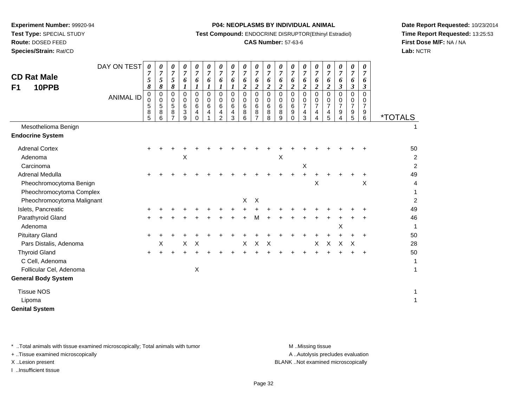**Route:** DOSED FEED**Species/Strain:** Rat/CD

#### **P04: NEOPLASMS BY INDIVIDUAL ANIMAL**

**Test Compound:** ENDOCRINE DISRUPTOR(Ethinyl Estradiol)

### **CAS Number:** 57-63-6

**Date Report Requested:** 10/23/2014**Time Report Requested:** 13:25:53**First Dose M/F:** NA / NA**Lab:** NCTR

| <b>CD Rat Male</b><br>10PPB<br>F <sub>1</sub><br>Mesothelioma Benign                                 | DAY ON TEST<br><b>ANIMAL ID</b> | $\boldsymbol{\theta}$<br>7<br>5<br>8<br>$\mathbf 0$<br>$\pmb{0}$<br>5<br>8<br>5 | $\boldsymbol{\theta}$<br>$\overline{7}$<br>5<br>8<br>$\mathbf 0$<br>$\Omega$<br>5<br>8<br>6 | $\boldsymbol{\theta}$<br>$\overline{7}$<br>$\mathfrak{s}$<br>8<br>0<br>0<br>$\mathbf 5$<br>8<br>$\overline{7}$ | 0<br>$\overline{7}$<br>6<br>0<br>0<br>6<br>3<br>9 | $\pmb{\theta}$<br>$\overline{7}$<br>6<br>1<br>$\Omega$<br>0<br>6<br>4<br>$\Omega$ | 0<br>$\overline{7}$<br>6<br>$\bm{l}$<br>0<br>$\mathbf 0$<br>6<br>4<br>1 | $\pmb{\theta}$<br>$\overline{7}$<br>6<br>1<br>$\Omega$<br>$\mathbf 0$<br>6<br>4<br>$\overline{2}$ | 0<br>$\overline{7}$<br>6<br>1<br>0<br>0<br>6<br>4<br>3 | 0<br>$\overline{7}$<br>6<br>$\overline{2}$<br>$\mathbf 0$<br>0<br>6<br>8<br>6 | 0<br>$\overline{7}$<br>6<br>$\boldsymbol{2}$<br>0<br>0<br>6<br>$\frac{8}{7}$ | 0<br>7<br>6<br>$\boldsymbol{2}$<br>$\mathbf 0$<br>$\mathbf 0$<br>6<br>$\bf 8$<br>8 | 0<br>$\overline{7}$<br>6<br>$\boldsymbol{2}$<br>$\mathbf 0$<br>$\Omega$<br>6<br>8<br>9 | 0<br>$\overline{7}$<br>6<br>$\boldsymbol{2}$<br>0<br>0<br>6<br>9<br>$\Omega$ | 0<br>$\overline{7}$<br>6<br>$\boldsymbol{2}$<br>0<br>0<br>$\overline{7}$<br>4<br>3 | 0<br>7<br>6<br>$\overline{c}$<br>$\Omega$<br>0<br>$\overline{7}$<br>4<br>4 | 0<br>7<br>6<br>$\boldsymbol{2}$<br>$\Omega$<br>0<br>7<br>$\begin{array}{c} 4 \\ 5 \end{array}$ | $\pmb{\theta}$<br>7<br>6<br>$\boldsymbol{\beta}$<br>0<br>$\Omega$<br>7<br>9<br>$\overline{4}$ | $\boldsymbol{\theta}$<br>$\overline{7}$<br>6<br>$\boldsymbol{\beta}$<br>0<br>0<br>$\overline{7}$<br>$\begin{array}{c} 9 \\ 5 \end{array}$ | 0<br>7<br>6<br>3<br>$\Omega$<br>0<br>$\overline{7}$<br>9<br>6 | <i><b>*TOTALS</b></i><br>1               |
|------------------------------------------------------------------------------------------------------|---------------------------------|---------------------------------------------------------------------------------|---------------------------------------------------------------------------------------------|----------------------------------------------------------------------------------------------------------------|---------------------------------------------------|-----------------------------------------------------------------------------------|-------------------------------------------------------------------------|---------------------------------------------------------------------------------------------------|--------------------------------------------------------|-------------------------------------------------------------------------------|------------------------------------------------------------------------------|------------------------------------------------------------------------------------|----------------------------------------------------------------------------------------|------------------------------------------------------------------------------|------------------------------------------------------------------------------------|----------------------------------------------------------------------------|------------------------------------------------------------------------------------------------|-----------------------------------------------------------------------------------------------|-------------------------------------------------------------------------------------------------------------------------------------------|---------------------------------------------------------------|------------------------------------------|
| <b>Endocrine System</b>                                                                              |                                 |                                                                                 |                                                                                             |                                                                                                                |                                                   |                                                                                   |                                                                         |                                                                                                   |                                                        |                                                                               |                                                                              |                                                                                    |                                                                                        |                                                                              |                                                                                    |                                                                            |                                                                                                |                                                                                               |                                                                                                                                           |                                                               |                                          |
| <b>Adrenal Cortex</b><br>Adenoma<br>Carcinoma                                                        |                                 |                                                                                 |                                                                                             |                                                                                                                | X                                                 |                                                                                   |                                                                         |                                                                                                   |                                                        |                                                                               |                                                                              |                                                                                    | Χ                                                                                      |                                                                              | X                                                                                  |                                                                            |                                                                                                |                                                                                               |                                                                                                                                           |                                                               | 50<br>$\overline{c}$<br>$\boldsymbol{2}$ |
| Adrenal Medulla<br>Pheochromocytoma Benign<br>Pheochromocytoma Complex<br>Pheochromocytoma Malignant |                                 |                                                                                 |                                                                                             |                                                                                                                |                                                   |                                                                                   |                                                                         |                                                                                                   |                                                        | X                                                                             | X                                                                            |                                                                                    |                                                                                        |                                                                              | $\ddot{}$                                                                          | $\sf X$                                                                    |                                                                                                |                                                                                               |                                                                                                                                           | X                                                             | 49<br>4<br>1<br>$\boldsymbol{2}$         |
| Islets, Pancreatic<br>Parathyroid Gland<br>Adenoma                                                   |                                 |                                                                                 |                                                                                             |                                                                                                                |                                                   |                                                                                   |                                                                         |                                                                                                   |                                                        |                                                                               | M                                                                            |                                                                                    |                                                                                        |                                                                              |                                                                                    |                                                                            |                                                                                                | X                                                                                             |                                                                                                                                           |                                                               | 49<br>46<br>$\mathbf 1$                  |
| <b>Pituitary Gland</b><br>Pars Distalis, Adenoma<br><b>Thyroid Gland</b>                             |                                 |                                                                                 | X                                                                                           |                                                                                                                | X                                                 | X                                                                                 |                                                                         |                                                                                                   |                                                        | X                                                                             | $\times$                                                                     | X                                                                                  |                                                                                        |                                                                              |                                                                                    | $\pmb{\times}$                                                             | $\mathsf{X}$                                                                                   | $\mathsf{X}$                                                                                  | X                                                                                                                                         |                                                               | 50<br>28<br>50                           |
| C Cell, Adenoma<br>Follicular Cel, Adenoma<br><b>General Body System</b>                             |                                 |                                                                                 |                                                                                             |                                                                                                                |                                                   | X                                                                                 |                                                                         |                                                                                                   |                                                        |                                                                               |                                                                              |                                                                                    |                                                                                        |                                                                              |                                                                                    |                                                                            |                                                                                                |                                                                                               |                                                                                                                                           |                                                               | $\mathbf{1}$<br>$\mathbf{1}$             |
| <b>Tissue NOS</b><br>Lipoma<br><b>Genital System</b>                                                 |                                 |                                                                                 |                                                                                             |                                                                                                                |                                                   |                                                                                   |                                                                         |                                                                                                   |                                                        |                                                                               |                                                                              |                                                                                    |                                                                                        |                                                                              |                                                                                    |                                                                            |                                                                                                |                                                                                               |                                                                                                                                           |                                                               | 1<br>$\mathbf{1}$                        |

\* ..Total animals with tissue examined microscopically; Total animals with tumor **M** . Missing tissue M ..Missing tissue

+ ..Tissue examined microscopically

I ..Insufficient tissue

A ..Autolysis precludes evaluation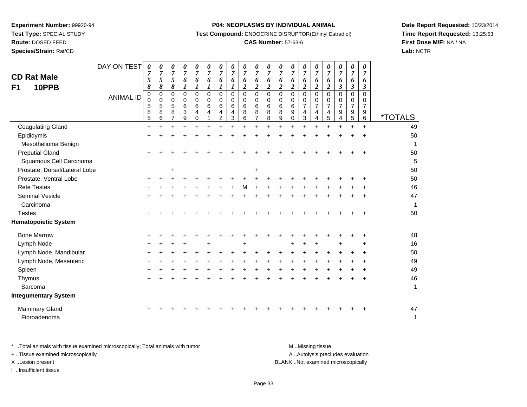**Route:** DOSED FEED

**Species/Strain:** Rat/CD

### **P04: NEOPLASMS BY INDIVIDUAL ANIMAL**

**Test Compound:** ENDOCRINE DISRUPTOR(Ethinyl Estradiol)

### **CAS Number:** 57-63-6

**Date Report Requested:** 10/23/2014**Time Report Requested:** 13:25:53**First Dose M/F:** NA / NA**Lab:** NCTR

| <b>CD Rat Male</b><br>10PPB<br>F <sub>1</sub> | DAY ON TEST      | 0<br>$\overline{7}$<br>5<br>8      | 0<br>$\overline{7}$<br>5<br>8   | 0<br>$\overline{7}$<br>5<br>8      | 0<br>$\boldsymbol{7}$<br>6<br>$\boldsymbol{l}$       | 0<br>$\overline{7}$<br>6<br>$\boldsymbol{l}$ | 0<br>$\overline{7}$<br>6<br>$\boldsymbol{l}$ | 0<br>$\boldsymbol{7}$<br>6<br>$\boldsymbol{l}$       | 0<br>$\overline{7}$<br>6<br>1 | 0<br>$\boldsymbol{7}$<br>6<br>$\overline{\mathbf{c}}$ | 0<br>$\overline{7}$<br>6<br>$\boldsymbol{2}$           | 0<br>$\overline{7}$<br>6<br>$\boldsymbol{2}$ | 0<br>$\overline{7}$<br>6<br>2          | 0<br>$\overline{7}$<br>6<br>$\overline{\mathbf{c}}$ | 0<br>7<br>6<br>$\overline{c}$      | 0<br>$\overline{7}$<br>6<br>$\boldsymbol{2}$     | 0<br>$\overline{7}$<br>6<br>$\boldsymbol{2}$        | 0<br>$\overline{7}$<br>6<br>$\boldsymbol{\beta}$    | 0<br>$\overline{7}$<br>6<br>$\boldsymbol{\beta}$    | 0<br>$\overline{7}$<br>6<br>3             |                       |
|-----------------------------------------------|------------------|------------------------------------|---------------------------------|------------------------------------|------------------------------------------------------|----------------------------------------------|----------------------------------------------|------------------------------------------------------|-------------------------------|-------------------------------------------------------|--------------------------------------------------------|----------------------------------------------|----------------------------------------|-----------------------------------------------------|------------------------------------|--------------------------------------------------|-----------------------------------------------------|-----------------------------------------------------|-----------------------------------------------------|-------------------------------------------|-----------------------|
|                                               | <b>ANIMAL ID</b> | 0<br>0<br>5<br>8<br>$\overline{5}$ | 0<br>$\mathbf 0$<br>5<br>8<br>6 | 0<br>0<br>5<br>8<br>$\overline{7}$ | $\mathbf 0$<br>$\mathbf 0$<br>6<br>$\mathbf{3}$<br>9 | $\Omega$<br>$\Omega$<br>6<br>4<br>$\Omega$   | $\mathbf 0$<br>$\Omega$<br>6<br>4            | $\pmb{0}$<br>$\mathbf 0$<br>6<br>4<br>$\overline{2}$ | 0<br>0<br>6<br>4<br>3         | 0<br>$\mathbf 0$<br>6<br>8<br>6                       | $\mathbf 0$<br>$\mathbf 0$<br>6<br>8<br>$\overline{7}$ | $\mathbf 0$<br>0<br>6<br>8<br>8              | $\mathbf 0$<br>$\Omega$<br>6<br>8<br>9 | 0<br>$\Omega$<br>6<br>9<br>$\mathbf 0$              | 0<br>0<br>$\overline{7}$<br>4<br>3 | $\Omega$<br>$\Omega$<br>$\overline{7}$<br>4<br>4 | $\mathbf 0$<br>$\Omega$<br>$\overline{7}$<br>4<br>5 | $\mathbf 0$<br>$\Omega$<br>$\overline{7}$<br>9<br>4 | $\mathbf 0$<br>0<br>$\overline{7}$<br>$\frac{9}{5}$ | $\Omega$<br>0<br>$\overline{7}$<br>9<br>6 | <i><b>*TOTALS</b></i> |
| <b>Coagulating Gland</b>                      |                  | $\ddot{}$                          | $\ddot{}$                       | $\div$                             | ÷                                                    | ÷                                            | $\div$                                       | $\div$                                               | $+$                           | $\ddot{}$                                             | ┹                                                      | ÷                                            | $\div$                                 | $\div$                                              | $\ddot{}$                          | +                                                | $\ddot{}$                                           | $\div$                                              | $+$                                                 | $\ddot{}$                                 | 49                    |
| Epididymis                                    |                  |                                    |                                 |                                    |                                                      |                                              |                                              |                                                      |                               |                                                       |                                                        |                                              |                                        |                                                     |                                    |                                                  |                                                     |                                                     |                                                     |                                           | 50                    |
| Mesothelioma Benign                           |                  |                                    |                                 |                                    |                                                      |                                              |                                              |                                                      |                               |                                                       |                                                        |                                              |                                        |                                                     |                                    |                                                  |                                                     |                                                     |                                                     |                                           |                       |
| <b>Preputial Gland</b>                        |                  |                                    |                                 |                                    |                                                      |                                              |                                              |                                                      |                               |                                                       |                                                        |                                              |                                        |                                                     |                                    |                                                  |                                                     |                                                     |                                                     |                                           | 50                    |
| Squamous Cell Carcinoma                       |                  |                                    |                                 |                                    |                                                      |                                              |                                              |                                                      |                               |                                                       |                                                        |                                              |                                        |                                                     |                                    |                                                  |                                                     |                                                     |                                                     |                                           | 5                     |
| Prostate, Dorsal/Lateral Lobe                 |                  |                                    |                                 | +                                  |                                                      |                                              |                                              |                                                      |                               |                                                       | $\ddot{}$                                              |                                              |                                        |                                                     |                                    |                                                  |                                                     |                                                     |                                                     |                                           | 50                    |
| Prostate, Ventral Lobe                        |                  | $\pm$                              |                                 |                                    |                                                      |                                              |                                              |                                                      |                               |                                                       |                                                        |                                              |                                        |                                                     |                                    |                                                  |                                                     |                                                     |                                                     |                                           | 50                    |
| <b>Rete Testes</b>                            |                  |                                    |                                 |                                    |                                                      |                                              |                                              |                                                      |                               | м                                                     |                                                        |                                              |                                        |                                                     |                                    |                                                  |                                                     |                                                     |                                                     |                                           | 46                    |
| Seminal Vesicle<br>Carcinoma                  |                  |                                    |                                 |                                    |                                                      |                                              |                                              |                                                      |                               |                                                       |                                                        |                                              |                                        |                                                     |                                    |                                                  |                                                     |                                                     |                                                     |                                           | 47<br>1               |
| <b>Testes</b>                                 |                  |                                    |                                 |                                    |                                                      |                                              |                                              |                                                      |                               |                                                       |                                                        |                                              |                                        |                                                     |                                    |                                                  |                                                     |                                                     |                                                     |                                           | 50                    |
| <b>Hematopoietic System</b>                   |                  |                                    |                                 |                                    |                                                      |                                              |                                              |                                                      |                               |                                                       |                                                        |                                              |                                        |                                                     |                                    |                                                  |                                                     |                                                     |                                                     |                                           |                       |
| <b>Bone Marrow</b>                            |                  | +                                  |                                 |                                    |                                                      |                                              |                                              |                                                      |                               |                                                       |                                                        |                                              |                                        |                                                     |                                    |                                                  |                                                     |                                                     |                                                     |                                           | 48                    |
| Lymph Node                                    |                  |                                    |                                 |                                    |                                                      |                                              |                                              |                                                      |                               | +                                                     |                                                        |                                              |                                        |                                                     |                                    |                                                  |                                                     |                                                     |                                                     |                                           | 16                    |
| Lymph Node, Mandibular                        |                  | ÷                                  |                                 |                                    |                                                      |                                              |                                              |                                                      |                               |                                                       |                                                        |                                              |                                        |                                                     |                                    |                                                  |                                                     |                                                     |                                                     | $\ddot{}$                                 | 50                    |
| Lymph Node, Mesenteric                        |                  | ÷                                  |                                 |                                    |                                                      |                                              |                                              |                                                      |                               |                                                       |                                                        |                                              |                                        |                                                     |                                    |                                                  |                                                     |                                                     |                                                     |                                           | 49                    |
| Spleen                                        |                  |                                    |                                 |                                    |                                                      |                                              |                                              |                                                      |                               |                                                       |                                                        |                                              |                                        |                                                     |                                    |                                                  |                                                     |                                                     |                                                     |                                           | 49                    |
| Thymus<br>Sarcoma                             |                  |                                    |                                 |                                    |                                                      |                                              |                                              |                                                      |                               |                                                       |                                                        |                                              |                                        |                                                     |                                    |                                                  |                                                     |                                                     |                                                     |                                           | 46<br>1               |
| <b>Integumentary System</b>                   |                  |                                    |                                 |                                    |                                                      |                                              |                                              |                                                      |                               |                                                       |                                                        |                                              |                                        |                                                     |                                    |                                                  |                                                     |                                                     |                                                     |                                           |                       |
| <b>Mammary Gland</b><br>Fibroadenoma          |                  | ÷                                  |                                 |                                    |                                                      |                                              |                                              |                                                      |                               |                                                       |                                                        |                                              |                                        |                                                     |                                    |                                                  |                                                     |                                                     |                                                     |                                           | 47<br>1               |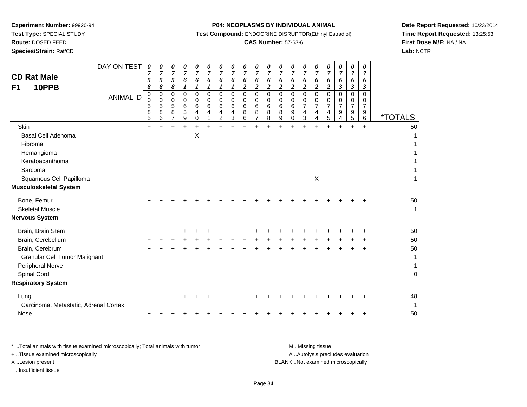**Route:** DOSED FEED

**Species/Strain:** Rat/CD

### **P04: NEOPLASMS BY INDIVIDUAL ANIMAL**

**Test Compound:** ENDOCRINE DISRUPTOR(Ethinyl Estradiol)

# **CAS Number:** 57-63-6

**Date Report Requested:** 10/23/2014 **Time Report Requested:** 13:25:53**First Dose M/F:** NA / NA**Lab:** NCTR

| <b>CD Rat Male</b><br>10PPB<br>F1     | DAY ON TEST<br><b>ANIMAL ID</b> | 0<br>$\overline{7}$<br>5<br>8<br>0<br>0<br>5<br>8<br>5 | 0<br>7<br>5<br>8<br>$\mathbf 0$<br>0<br>5<br>8<br>6 | 0<br>$\overline{7}$<br>5<br>8<br>$\mathbf 0$<br>$\Omega$<br>5<br>8<br>7 | 0<br>$\overline{7}$<br>6<br>1<br>0<br>0<br>$\,6$<br>3<br>9 | 0<br>$\overline{7}$<br>6<br>0<br>0<br>6<br>4<br>0 | 0<br>$\overline{7}$<br>6<br>1<br>$\mathbf 0$<br>0<br>6<br>4 | 0<br>7<br>6<br>1<br>$\Omega$<br>0<br>6<br>4<br>$\overline{c}$ | 0<br>7<br>6<br>1<br>$\mathbf 0$<br>$\Omega$<br>6<br>4<br>3 | 0<br>$\overline{7}$<br>6<br>$\boldsymbol{2}$<br>$\mathbf 0$<br>$\mathbf 0$<br>$6\phantom{1}6$<br>8<br>6 | 0<br>$\overline{7}$<br>6<br>$\boldsymbol{2}$<br>0<br>0<br>6<br>8<br>7 | 0<br>$\overline{7}$<br>6<br>$\overline{c}$<br>0<br>0<br>$\,6\,$<br>8<br>8 | 0<br>$\overline{7}$<br>6<br>$\boldsymbol{2}$<br>$\mathbf 0$<br>0<br>$\,6$<br>8<br>9 | 0<br>$\overline{7}$<br>6<br>$\boldsymbol{2}$<br>$\mathbf 0$<br>0<br>6<br>9<br>0 | 0<br>7<br>6<br>2<br>0<br>0<br>7<br>4<br>3 | 0<br>$\boldsymbol{7}$<br>6<br>2<br>$\mathbf 0$<br>0<br>$\overline{7}$<br>4<br>4 | 0<br>$\overline{7}$<br>6<br>$\overline{c}$<br>$\mathbf 0$<br>0<br>$\overline{7}$<br>4<br>$\sqrt{5}$ | 0<br>7<br>6<br>3<br>$\Omega$<br>0<br>$\overline{7}$<br>9<br>4 | 0<br>$\overline{7}$<br>6<br>$\boldsymbol{\beta}$<br>$\mathbf 0$<br>0<br>$\overline{7}$<br>9<br>5 | 0<br>7<br>6<br>3<br>0<br>0<br>$\overline{7}$<br>9<br>6 | <i><b>*TOTALS</b></i> |
|---------------------------------------|---------------------------------|--------------------------------------------------------|-----------------------------------------------------|-------------------------------------------------------------------------|------------------------------------------------------------|---------------------------------------------------|-------------------------------------------------------------|---------------------------------------------------------------|------------------------------------------------------------|---------------------------------------------------------------------------------------------------------|-----------------------------------------------------------------------|---------------------------------------------------------------------------|-------------------------------------------------------------------------------------|---------------------------------------------------------------------------------|-------------------------------------------|---------------------------------------------------------------------------------|-----------------------------------------------------------------------------------------------------|---------------------------------------------------------------|--------------------------------------------------------------------------------------------------|--------------------------------------------------------|-----------------------|
| Skin                                  |                                 | $+$                                                    |                                                     |                                                                         |                                                            | $\pm$                                             |                                                             |                                                               |                                                            | $\ddot{}$                                                                                               |                                                                       |                                                                           |                                                                                     |                                                                                 | $\ddot{}$                                 |                                                                                 | ÷                                                                                                   |                                                               |                                                                                                  | $\ddot{}$                                              | 50                    |
| <b>Basal Cell Adenoma</b>             |                                 |                                                        |                                                     |                                                                         |                                                            | Χ                                                 |                                                             |                                                               |                                                            |                                                                                                         |                                                                       |                                                                           |                                                                                     |                                                                                 |                                           |                                                                                 |                                                                                                     |                                                               |                                                                                                  |                                                        |                       |
| Fibroma                               |                                 |                                                        |                                                     |                                                                         |                                                            |                                                   |                                                             |                                                               |                                                            |                                                                                                         |                                                                       |                                                                           |                                                                                     |                                                                                 |                                           |                                                                                 |                                                                                                     |                                                               |                                                                                                  |                                                        |                       |
| Hemangioma                            |                                 |                                                        |                                                     |                                                                         |                                                            |                                                   |                                                             |                                                               |                                                            |                                                                                                         |                                                                       |                                                                           |                                                                                     |                                                                                 |                                           |                                                                                 |                                                                                                     |                                                               |                                                                                                  |                                                        |                       |
| Keratoacanthoma                       |                                 |                                                        |                                                     |                                                                         |                                                            |                                                   |                                                             |                                                               |                                                            |                                                                                                         |                                                                       |                                                                           |                                                                                     |                                                                                 |                                           |                                                                                 |                                                                                                     |                                                               |                                                                                                  |                                                        |                       |
| Sarcoma                               |                                 |                                                        |                                                     |                                                                         |                                                            |                                                   |                                                             |                                                               |                                                            |                                                                                                         |                                                                       |                                                                           |                                                                                     |                                                                                 |                                           |                                                                                 |                                                                                                     |                                                               |                                                                                                  |                                                        | 1                     |
| Squamous Cell Papilloma               |                                 |                                                        |                                                     |                                                                         |                                                            |                                                   |                                                             |                                                               |                                                            |                                                                                                         |                                                                       |                                                                           |                                                                                     |                                                                                 |                                           | $\boldsymbol{\mathsf{X}}$                                                       |                                                                                                     |                                                               |                                                                                                  |                                                        | 1                     |
| <b>Musculoskeletal System</b>         |                                 |                                                        |                                                     |                                                                         |                                                            |                                                   |                                                             |                                                               |                                                            |                                                                                                         |                                                                       |                                                                           |                                                                                     |                                                                                 |                                           |                                                                                 |                                                                                                     |                                                               |                                                                                                  |                                                        |                       |
| Bone, Femur                           |                                 |                                                        |                                                     |                                                                         |                                                            |                                                   |                                                             |                                                               |                                                            |                                                                                                         |                                                                       |                                                                           |                                                                                     |                                                                                 |                                           |                                                                                 |                                                                                                     |                                                               |                                                                                                  |                                                        | 50                    |
| <b>Skeletal Muscle</b>                |                                 |                                                        |                                                     |                                                                         |                                                            |                                                   |                                                             |                                                               |                                                            |                                                                                                         |                                                                       |                                                                           |                                                                                     |                                                                                 |                                           |                                                                                 |                                                                                                     |                                                               |                                                                                                  |                                                        | 1                     |
| <b>Nervous System</b>                 |                                 |                                                        |                                                     |                                                                         |                                                            |                                                   |                                                             |                                                               |                                                            |                                                                                                         |                                                                       |                                                                           |                                                                                     |                                                                                 |                                           |                                                                                 |                                                                                                     |                                                               |                                                                                                  |                                                        |                       |
| Brain, Brain Stem                     |                                 |                                                        |                                                     |                                                                         |                                                            |                                                   |                                                             |                                                               |                                                            |                                                                                                         |                                                                       |                                                                           |                                                                                     |                                                                                 |                                           |                                                                                 |                                                                                                     |                                                               |                                                                                                  |                                                        | 50                    |
| Brain, Cerebellum                     |                                 |                                                        |                                                     |                                                                         |                                                            |                                                   |                                                             |                                                               |                                                            |                                                                                                         |                                                                       |                                                                           |                                                                                     |                                                                                 |                                           |                                                                                 |                                                                                                     |                                                               |                                                                                                  |                                                        | 50                    |
| Brain, Cerebrum                       |                                 |                                                        |                                                     |                                                                         |                                                            |                                                   |                                                             |                                                               |                                                            |                                                                                                         |                                                                       |                                                                           |                                                                                     |                                                                                 |                                           |                                                                                 |                                                                                                     |                                                               |                                                                                                  | +                                                      | 50                    |
| <b>Granular Cell Tumor Malignant</b>  |                                 |                                                        |                                                     |                                                                         |                                                            |                                                   |                                                             |                                                               |                                                            |                                                                                                         |                                                                       |                                                                           |                                                                                     |                                                                                 |                                           |                                                                                 |                                                                                                     |                                                               |                                                                                                  |                                                        | 1                     |
| Peripheral Nerve                      |                                 |                                                        |                                                     |                                                                         |                                                            |                                                   |                                                             |                                                               |                                                            |                                                                                                         |                                                                       |                                                                           |                                                                                     |                                                                                 |                                           |                                                                                 |                                                                                                     |                                                               |                                                                                                  |                                                        | 1                     |
| Spinal Cord                           |                                 |                                                        |                                                     |                                                                         |                                                            |                                                   |                                                             |                                                               |                                                            |                                                                                                         |                                                                       |                                                                           |                                                                                     |                                                                                 |                                           |                                                                                 |                                                                                                     |                                                               |                                                                                                  |                                                        | 0                     |
| <b>Respiratory System</b>             |                                 |                                                        |                                                     |                                                                         |                                                            |                                                   |                                                             |                                                               |                                                            |                                                                                                         |                                                                       |                                                                           |                                                                                     |                                                                                 |                                           |                                                                                 |                                                                                                     |                                                               |                                                                                                  |                                                        |                       |
| Lung                                  |                                 |                                                        |                                                     |                                                                         |                                                            |                                                   |                                                             |                                                               |                                                            |                                                                                                         |                                                                       |                                                                           |                                                                                     |                                                                                 |                                           |                                                                                 |                                                                                                     |                                                               |                                                                                                  |                                                        | 48                    |
| Carcinoma, Metastatic, Adrenal Cortex |                                 |                                                        |                                                     |                                                                         |                                                            |                                                   |                                                             |                                                               |                                                            |                                                                                                         |                                                                       |                                                                           |                                                                                     |                                                                                 |                                           |                                                                                 |                                                                                                     |                                                               |                                                                                                  |                                                        | 1                     |
| Nose                                  |                                 |                                                        |                                                     |                                                                         |                                                            |                                                   |                                                             |                                                               |                                                            |                                                                                                         |                                                                       |                                                                           |                                                                                     |                                                                                 |                                           |                                                                                 |                                                                                                     |                                                               |                                                                                                  |                                                        | 50                    |

| * Total animals with tissue examined microscopically; Total animals with tumor | M Missing tissue                   |
|--------------------------------------------------------------------------------|------------------------------------|
| + Tissue examined microscopically                                              | A Autolysis precludes evaluation   |
| X Lesion present                                                               | BLANK Not examined microscopically |
| Insufficient tissue                                                            |                                    |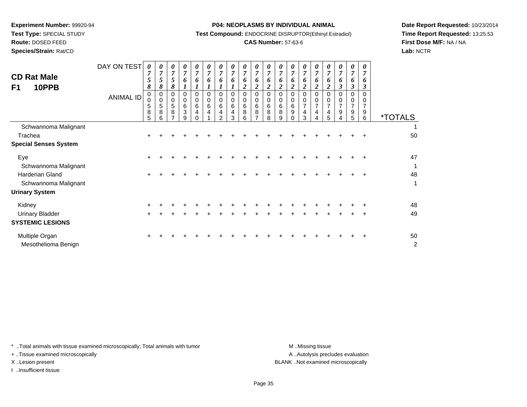**Test Type:** SPECIAL STUDY

# **Route:** DOSED FEED

**Species/Strain:** Rat/CD

### **P04: NEOPLASMS BY INDIVIDUAL ANIMAL**

**Test Compound:** ENDOCRINE DISRUPTOR(Ethinyl Estradiol)

# **CAS Number:** 57-63-6

**Date Report Requested:** 10/23/2014**Time Report Requested:** 13:25:53**First Dose M/F:** NA / NA**Lab:** NCTR

| <b>CD Rat Male</b><br>10PPB<br>F <sub>1</sub> | DAY ON TEST<br><b>ANIMAL ID</b> | $\boldsymbol{\theta}$<br>$\overline{7}$<br>$\mathfrak{H}$<br>8<br>0<br>$\mathbf 0$<br>5<br>8<br>5 | $\boldsymbol{\theta}$<br>$\overline{7}$<br>5<br>8<br>0<br>$\mathbf 0$<br>5<br>8<br>6 | 0<br>$\overline{7}$<br>5<br>8<br>0<br>0<br>5<br>8 | 0<br>$\overline{7}$<br>6<br>0<br>0<br>6<br>3<br>9 | 0<br>$\overline{7}$<br>6<br>0<br>0<br>6<br>4 | 0<br>$\overline{7}$<br>6<br>$\Omega$<br>0<br>6<br>4 | 0<br>$\overline{7}$<br>o<br>$\Omega$<br>0<br>6<br>4<br>$\overline{2}$ | $\boldsymbol{\theta}$<br>$\overline{7}$<br>6<br>$\mathbf 0$<br>0<br>6<br>4<br>3 | 0<br>$\overline{7}$<br>6<br>$\overline{\mathbf{c}}$<br>0<br>$\Omega$<br>6<br>8<br>6 | 0<br>$\overline{7}$<br>6<br>$\boldsymbol{2}$<br>0<br>$\pmb{0}$<br>$\,6\,$<br>8<br>$\overline{ }$ | $\boldsymbol{\theta}$<br>$\overline{7}$<br>6<br>$\overline{2}$<br>$\mathbf 0$<br>0<br>6<br>8<br>8 | 0<br>$\overline{7}$<br>6<br>2<br>$\Omega$<br>0<br>6<br>8<br>9 | 0<br>$\overline{7}$<br>6<br>0<br>0<br>6<br>9 | 0<br>$\overline{7}$<br>6<br>$\overline{c}$<br>$\Omega$<br>0<br>$\overline{7}$<br>4<br>3 | $\boldsymbol{\theta}$<br>$\overline{7}$<br>6<br>$\overline{\mathbf{c}}$<br>0<br>0<br>7<br>$\overline{4}$<br>4 | 0<br>$\overline{7}$<br>6<br>2<br>$\Omega$<br>0<br>$\overline{7}$<br>4<br>5 | 0<br>$\overline{7}$<br>6<br>3<br>$\Omega$<br>0<br>$\overline{7}$<br>9 | 0<br>7<br>6<br>3<br>0<br>0<br>$\overline{7}$<br>9<br>5 | 0<br>7<br>6<br>3<br>0<br>0<br>$\overline{7}$<br>9<br>6 | <i><b>*TOTALS</b></i> |
|-----------------------------------------------|---------------------------------|---------------------------------------------------------------------------------------------------|--------------------------------------------------------------------------------------|---------------------------------------------------|---------------------------------------------------|----------------------------------------------|-----------------------------------------------------|-----------------------------------------------------------------------|---------------------------------------------------------------------------------|-------------------------------------------------------------------------------------|--------------------------------------------------------------------------------------------------|---------------------------------------------------------------------------------------------------|---------------------------------------------------------------|----------------------------------------------|-----------------------------------------------------------------------------------------|---------------------------------------------------------------------------------------------------------------|----------------------------------------------------------------------------|-----------------------------------------------------------------------|--------------------------------------------------------|--------------------------------------------------------|-----------------------|
| Schwannoma Malignant                          |                                 |                                                                                                   |                                                                                      |                                                   |                                                   |                                              |                                                     |                                                                       |                                                                                 |                                                                                     |                                                                                                  |                                                                                                   |                                                               |                                              |                                                                                         |                                                                                                               |                                                                            |                                                                       |                                                        |                                                        |                       |
| Trachea                                       |                                 | $\ddot{}$                                                                                         |                                                                                      |                                                   |                                                   |                                              |                                                     |                                                                       |                                                                                 |                                                                                     |                                                                                                  |                                                                                                   |                                                               |                                              |                                                                                         |                                                                                                               |                                                                            |                                                                       |                                                        |                                                        | 50                    |
| <b>Special Senses System</b>                  |                                 |                                                                                                   |                                                                                      |                                                   |                                                   |                                              |                                                     |                                                                       |                                                                                 |                                                                                     |                                                                                                  |                                                                                                   |                                                               |                                              |                                                                                         |                                                                                                               |                                                                            |                                                                       |                                                        |                                                        |                       |
| Eye                                           |                                 | ÷                                                                                                 |                                                                                      |                                                   |                                                   |                                              |                                                     |                                                                       |                                                                                 |                                                                                     |                                                                                                  |                                                                                                   |                                                               |                                              |                                                                                         |                                                                                                               |                                                                            |                                                                       |                                                        |                                                        | 47                    |
| Schwannoma Malignant                          |                                 |                                                                                                   |                                                                                      |                                                   |                                                   |                                              |                                                     |                                                                       |                                                                                 |                                                                                     |                                                                                                  |                                                                                                   |                                                               |                                              |                                                                                         |                                                                                                               |                                                                            |                                                                       |                                                        |                                                        | 1                     |
| Harderian Gland                               |                                 | $\pm$                                                                                             |                                                                                      |                                                   |                                                   |                                              |                                                     |                                                                       |                                                                                 |                                                                                     |                                                                                                  |                                                                                                   |                                                               |                                              |                                                                                         |                                                                                                               |                                                                            |                                                                       |                                                        |                                                        | 48                    |
| Schwannoma Malignant                          |                                 |                                                                                                   |                                                                                      |                                                   |                                                   |                                              |                                                     |                                                                       |                                                                                 |                                                                                     |                                                                                                  |                                                                                                   |                                                               |                                              |                                                                                         |                                                                                                               |                                                                            |                                                                       |                                                        |                                                        | 1                     |
| <b>Urinary System</b>                         |                                 |                                                                                                   |                                                                                      |                                                   |                                                   |                                              |                                                     |                                                                       |                                                                                 |                                                                                     |                                                                                                  |                                                                                                   |                                                               |                                              |                                                                                         |                                                                                                               |                                                                            |                                                                       |                                                        |                                                        |                       |
| Kidney                                        |                                 |                                                                                                   |                                                                                      |                                                   |                                                   |                                              |                                                     |                                                                       |                                                                                 |                                                                                     |                                                                                                  |                                                                                                   |                                                               |                                              |                                                                                         |                                                                                                               |                                                                            |                                                                       |                                                        |                                                        | 48                    |
| <b>Urinary Bladder</b>                        |                                 | $\ddot{}$                                                                                         |                                                                                      |                                                   |                                                   |                                              |                                                     |                                                                       |                                                                                 |                                                                                     |                                                                                                  |                                                                                                   |                                                               |                                              |                                                                                         |                                                                                                               |                                                                            |                                                                       |                                                        |                                                        | 49                    |
| <b>SYSTEMIC LESIONS</b>                       |                                 |                                                                                                   |                                                                                      |                                                   |                                                   |                                              |                                                     |                                                                       |                                                                                 |                                                                                     |                                                                                                  |                                                                                                   |                                                               |                                              |                                                                                         |                                                                                                               |                                                                            |                                                                       |                                                        |                                                        |                       |
| Multiple Organ<br>Mesothelioma Benign         |                                 | $\pm$                                                                                             |                                                                                      |                                                   |                                                   |                                              |                                                     |                                                                       |                                                                                 |                                                                                     |                                                                                                  |                                                                                                   |                                                               |                                              |                                                                                         |                                                                                                               |                                                                            |                                                                       |                                                        |                                                        | 50<br>$\overline{2}$  |

\* ..Total animals with tissue examined microscopically; Total animals with tumor **M** . Missing tissue M ..Missing tissue

+ ..Tissue examined microscopically

I ..Insufficient tissue

A ..Autolysis precludes evaluation X ..Lesion present BLANK ..Not examined microscopically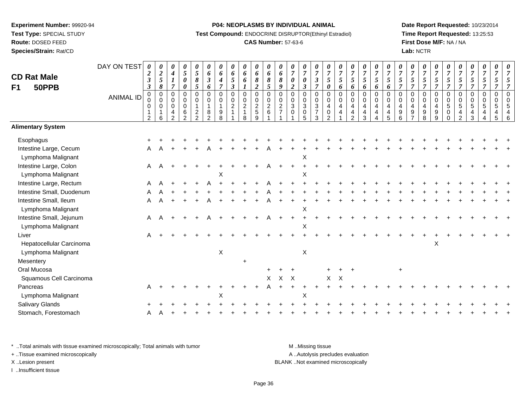**Route:** DOSED FEED

**Species/Strain:** Rat/CD

### **P04: NEOPLASMS BY INDIVIDUAL ANIMAL**

**Test Compound:** ENDOCRINE DISRUPTOR(Ethinyl Estradiol)

# **CAS Number:** 57-63-6

**Date Report Requested:** 10/23/2014**Time Report Requested:** 13:25:53**First Dose M/F:** NA / NA**Lab:** NCTR

| <b>CD Rat Male</b><br>50PPB<br>F <sub>1</sub>  | DAY ON TEST<br>ANIMAL ID | 0<br>$\boldsymbol{2}$<br>$\boldsymbol{\beta}$<br>$\boldsymbol{\beta}$<br>$\pmb{0}$<br>0<br>0<br>2 | $\boldsymbol{\theta}$<br>$\boldsymbol{2}$<br>$\mathfrak{s}$<br>8<br>$\pmb{0}$<br>$\pmb{0}$<br>$\mathbf 0$<br>$\overline{1}$<br>6 | 0<br>$\boldsymbol{4}$<br>1<br>$\overline{7}$<br>$\mathsf 0$<br>0<br>$\mathbf 0$<br>4<br>$\overline{2}$ | $\boldsymbol{\theta}$<br>5<br>$\boldsymbol{\theta}$<br>0<br>0<br>0<br>$\mathbf 0$<br>$\,6$<br>$\overline{2}$ | 0<br>5<br>8<br>5<br>$\mathbf 0$<br>0<br>$\mathbf{1}$<br>$\overline{c}$<br>$\overline{2}$ | 0<br>6<br>$\boldsymbol{\beta}$<br>6<br>$\mathbf 0$<br>0<br>1<br>8<br>2 | 0<br>6<br>$\boldsymbol{4}$<br>$\overline{7}$<br>$\mathbf 0$<br>0<br>$\mathbf{1}$<br>9<br>8 | 0<br>6<br>$\mathfrak{s}$<br>3<br>$\mathbf 0$<br>0<br>$\boldsymbol{2}$ | 0<br>6<br>6<br>$\pmb{0}$<br>0<br>$\boldsymbol{2}$<br>$\overline{1}$<br>8 | $\pmb{\theta}$<br>6<br>8<br>$\boldsymbol{2}$<br>$\pmb{0}$<br>$\boldsymbol{0}$<br>$\overline{c}$<br>$\overline{5}$<br>9 | $\boldsymbol{\theta}$<br>6<br>8<br>5<br>$\pmb{0}$<br>$\pmb{0}$<br>$\boldsymbol{2}$<br>$\,6\,$ | $\boldsymbol{\theta}$<br>6<br>8<br>9<br>$\mathbf 0$<br>0<br>$\overline{2}$<br>$\overline{7}$ | $\pmb{\theta}$<br>$\overline{7}$<br>0<br>$\overline{2}$<br>0<br>0<br>$\mathfrak{S}$<br>$\mathbf 0$ | 0<br>$\boldsymbol{7}$<br>$\pmb{\theta}$<br>3<br>0<br>0<br>$\mathbf 3$<br>0<br>5 | $\pmb{\theta}$<br>$\boldsymbol{7}$<br>$\boldsymbol{\beta}$<br>7<br>$\mathbf 0$<br>$\pmb{0}$<br>$\sqrt{3}$<br>$\overline{7}$<br>3 | 0<br>$\overline{7}$<br>5<br>0<br>$\mathbf 0$<br>0<br>$\overline{4}$<br>$\mathbf 0$<br>2 | $\boldsymbol{\theta}$<br>$\overline{7}$<br>5<br>6<br>$\pmb{0}$<br>$\pmb{0}$<br>$\overline{4}$<br>$\overline{4}$ | 0<br>$\overline{7}$<br>5<br>6<br>0<br>$\pmb{0}$<br>4<br>4<br>$\overline{2}$ | $\boldsymbol{\theta}$<br>$\overline{7}$<br>$\mathfrak{s}$<br>6<br>$\pmb{0}$<br>$\pmb{0}$<br>$\overline{a}$<br>$\overline{4}$<br>$\mathbf{3}$ | 0<br>$\overline{7}$<br>5<br>6<br>$\mathbf 0$<br>0<br>4<br>4<br>4 | 0<br>$\overline{7}$<br>5<br>6<br>$\mathbf 0$<br>$\mathbf 0$<br>4<br>4<br>5 | 0<br>$\overline{7}$<br>5<br>$\overline{7}$<br>$\pmb{0}$<br>$\mathbf 0$<br>$\overline{4}$<br>9<br>6 | 0<br>$\boldsymbol{7}$<br>$\mathfrak{s}$<br>$\overline{7}$<br>0<br>0<br>$\overline{4}$<br>9<br>$\overline{7}$ | 0<br>$\overline{7}$<br>5<br>7<br>$\pmb{0}$<br>$\pmb{0}$<br>$\overline{a}$<br>9<br>8 | $\pmb{\theta}$<br>$\overline{7}$<br>$\mathfrak{s}$<br>$\overline{7}$<br>$\pmb{0}$<br>$\pmb{0}$<br>$\overline{4}$<br>9<br>$\boldsymbol{9}$ | $\pmb{\theta}$<br>$\overline{7}$<br>5<br>$\overline{7}$<br>$\mathbf 0$<br>$\pmb{0}$<br>$\sqrt{5}$<br>$\mathbf 0$<br>0 | 0<br>$\overline{7}$<br>$\mathfrak{s}$<br>$\overline{7}$<br>0<br>$\pmb{0}$<br>$\sqrt{5}$<br>4<br>$\overline{c}$ | 0<br>$\boldsymbol{7}$<br>5<br>$\overline{7}$<br>$\pmb{0}$<br>$\pmb{0}$<br>5<br>4<br>$\mathbf{3}$ | $\frac{\boldsymbol{0}}{7}$<br>5<br>$\overline{7}$<br>0<br>0<br>5<br>4<br>4 | 0<br>$\overline{7}$<br>5<br>$\overline{7}$<br>$\pmb{0}$<br>0<br>5<br>4<br>5 | 0<br>7<br>5<br>$\overline{0}$<br>$\mathbf 0$<br>5<br>4<br>6 |
|------------------------------------------------|--------------------------|---------------------------------------------------------------------------------------------------|----------------------------------------------------------------------------------------------------------------------------------|--------------------------------------------------------------------------------------------------------|--------------------------------------------------------------------------------------------------------------|------------------------------------------------------------------------------------------|------------------------------------------------------------------------|--------------------------------------------------------------------------------------------|-----------------------------------------------------------------------|--------------------------------------------------------------------------|------------------------------------------------------------------------------------------------------------------------|-----------------------------------------------------------------------------------------------|----------------------------------------------------------------------------------------------|----------------------------------------------------------------------------------------------------|---------------------------------------------------------------------------------|----------------------------------------------------------------------------------------------------------------------------------|-----------------------------------------------------------------------------------------|-----------------------------------------------------------------------------------------------------------------|-----------------------------------------------------------------------------|----------------------------------------------------------------------------------------------------------------------------------------------|------------------------------------------------------------------|----------------------------------------------------------------------------|----------------------------------------------------------------------------------------------------|--------------------------------------------------------------------------------------------------------------|-------------------------------------------------------------------------------------|-------------------------------------------------------------------------------------------------------------------------------------------|-----------------------------------------------------------------------------------------------------------------------|----------------------------------------------------------------------------------------------------------------|--------------------------------------------------------------------------------------------------|----------------------------------------------------------------------------|-----------------------------------------------------------------------------|-------------------------------------------------------------|
| <b>Alimentary System</b>                       |                          |                                                                                                   |                                                                                                                                  |                                                                                                        |                                                                                                              |                                                                                          |                                                                        |                                                                                            |                                                                       |                                                                          |                                                                                                                        |                                                                                               |                                                                                              |                                                                                                    |                                                                                 |                                                                                                                                  |                                                                                         |                                                                                                                 |                                                                             |                                                                                                                                              |                                                                  |                                                                            |                                                                                                    |                                                                                                              |                                                                                     |                                                                                                                                           |                                                                                                                       |                                                                                                                |                                                                                                  |                                                                            |                                                                             |                                                             |
| Esophagus                                      |                          |                                                                                                   |                                                                                                                                  |                                                                                                        |                                                                                                              |                                                                                          |                                                                        |                                                                                            |                                                                       |                                                                          |                                                                                                                        |                                                                                               |                                                                                              |                                                                                                    |                                                                                 |                                                                                                                                  |                                                                                         |                                                                                                                 |                                                                             |                                                                                                                                              |                                                                  |                                                                            |                                                                                                    |                                                                                                              |                                                                                     |                                                                                                                                           |                                                                                                                       |                                                                                                                |                                                                                                  |                                                                            |                                                                             |                                                             |
| Intestine Large, Cecum<br>Lymphoma Malignant   |                          |                                                                                                   |                                                                                                                                  |                                                                                                        |                                                                                                              |                                                                                          |                                                                        |                                                                                            |                                                                       |                                                                          |                                                                                                                        |                                                                                               |                                                                                              |                                                                                                    | X                                                                               |                                                                                                                                  |                                                                                         |                                                                                                                 |                                                                             |                                                                                                                                              |                                                                  |                                                                            |                                                                                                    |                                                                                                              |                                                                                     |                                                                                                                                           |                                                                                                                       |                                                                                                                |                                                                                                  |                                                                            |                                                                             |                                                             |
| Intestine Large, Colon<br>Lymphoma Malignant   |                          | A                                                                                                 | $\mathsf{A}$                                                                                                                     |                                                                                                        |                                                                                                              |                                                                                          |                                                                        | X                                                                                          |                                                                       |                                                                          |                                                                                                                        |                                                                                               |                                                                                              |                                                                                                    | X                                                                               |                                                                                                                                  |                                                                                         |                                                                                                                 |                                                                             |                                                                                                                                              |                                                                  |                                                                            |                                                                                                    |                                                                                                              |                                                                                     |                                                                                                                                           |                                                                                                                       |                                                                                                                |                                                                                                  |                                                                            |                                                                             |                                                             |
| Intestine Large, Rectum                        |                          | A                                                                                                 |                                                                                                                                  |                                                                                                        |                                                                                                              |                                                                                          |                                                                        |                                                                                            |                                                                       |                                                                          |                                                                                                                        |                                                                                               |                                                                                              |                                                                                                    |                                                                                 |                                                                                                                                  |                                                                                         |                                                                                                                 |                                                                             |                                                                                                                                              |                                                                  |                                                                            |                                                                                                    |                                                                                                              |                                                                                     |                                                                                                                                           |                                                                                                                       |                                                                                                                |                                                                                                  |                                                                            |                                                                             |                                                             |
| Intestine Small, Duodenum                      |                          |                                                                                                   |                                                                                                                                  |                                                                                                        |                                                                                                              |                                                                                          |                                                                        |                                                                                            |                                                                       |                                                                          |                                                                                                                        |                                                                                               |                                                                                              |                                                                                                    |                                                                                 |                                                                                                                                  |                                                                                         |                                                                                                                 |                                                                             |                                                                                                                                              |                                                                  |                                                                            |                                                                                                    |                                                                                                              |                                                                                     |                                                                                                                                           |                                                                                                                       |                                                                                                                |                                                                                                  |                                                                            |                                                                             |                                                             |
| Intestine Small, Ileum<br>Lymphoma Malignant   |                          | A                                                                                                 | Α                                                                                                                                | $\ddot{}$                                                                                              | $+$                                                                                                          | $\ddot{}$                                                                                | Α                                                                      |                                                                                            |                                                                       |                                                                          |                                                                                                                        |                                                                                               |                                                                                              |                                                                                                    | X                                                                               |                                                                                                                                  |                                                                                         |                                                                                                                 |                                                                             |                                                                                                                                              |                                                                  |                                                                            |                                                                                                    |                                                                                                              |                                                                                     |                                                                                                                                           |                                                                                                                       |                                                                                                                |                                                                                                  |                                                                            |                                                                             |                                                             |
| Intestine Small, Jejunum<br>Lymphoma Malignant |                          | A                                                                                                 | A                                                                                                                                |                                                                                                        |                                                                                                              |                                                                                          |                                                                        |                                                                                            |                                                                       |                                                                          |                                                                                                                        |                                                                                               |                                                                                              |                                                                                                    | X                                                                               |                                                                                                                                  |                                                                                         |                                                                                                                 |                                                                             |                                                                                                                                              |                                                                  |                                                                            |                                                                                                    |                                                                                                              |                                                                                     |                                                                                                                                           |                                                                                                                       |                                                                                                                |                                                                                                  |                                                                            |                                                                             |                                                             |
| Liver<br>Hepatocellular Carcinoma              |                          | A                                                                                                 |                                                                                                                                  |                                                                                                        |                                                                                                              |                                                                                          |                                                                        |                                                                                            |                                                                       |                                                                          |                                                                                                                        |                                                                                               |                                                                                              |                                                                                                    |                                                                                 |                                                                                                                                  |                                                                                         |                                                                                                                 |                                                                             |                                                                                                                                              |                                                                  |                                                                            |                                                                                                    |                                                                                                              |                                                                                     | X                                                                                                                                         |                                                                                                                       |                                                                                                                |                                                                                                  |                                                                            |                                                                             |                                                             |
| Lymphoma Malignant                             |                          |                                                                                                   |                                                                                                                                  |                                                                                                        |                                                                                                              |                                                                                          |                                                                        | $\mathsf X$                                                                                |                                                                       |                                                                          |                                                                                                                        |                                                                                               |                                                                                              |                                                                                                    | X                                                                               |                                                                                                                                  |                                                                                         |                                                                                                                 |                                                                             |                                                                                                                                              |                                                                  |                                                                            |                                                                                                    |                                                                                                              |                                                                                     |                                                                                                                                           |                                                                                                                       |                                                                                                                |                                                                                                  |                                                                            |                                                                             |                                                             |
| Mesentery                                      |                          |                                                                                                   |                                                                                                                                  |                                                                                                        |                                                                                                              |                                                                                          |                                                                        |                                                                                            |                                                                       |                                                                          |                                                                                                                        |                                                                                               |                                                                                              |                                                                                                    |                                                                                 |                                                                                                                                  |                                                                                         |                                                                                                                 |                                                                             |                                                                                                                                              |                                                                  |                                                                            |                                                                                                    |                                                                                                              |                                                                                     |                                                                                                                                           |                                                                                                                       |                                                                                                                |                                                                                                  |                                                                            |                                                                             |                                                             |
| Oral Mucosa                                    |                          |                                                                                                   |                                                                                                                                  |                                                                                                        |                                                                                                              |                                                                                          |                                                                        |                                                                                            |                                                                       |                                                                          |                                                                                                                        | ÷                                                                                             |                                                                                              |                                                                                                    |                                                                                 |                                                                                                                                  |                                                                                         |                                                                                                                 |                                                                             |                                                                                                                                              |                                                                  |                                                                            | $+$                                                                                                |                                                                                                              |                                                                                     |                                                                                                                                           |                                                                                                                       |                                                                                                                |                                                                                                  |                                                                            |                                                                             |                                                             |
| Squamous Cell Carcinoma                        |                          |                                                                                                   |                                                                                                                                  |                                                                                                        |                                                                                                              |                                                                                          |                                                                        |                                                                                            |                                                                       |                                                                          |                                                                                                                        | X                                                                                             | X.                                                                                           | $\boldsymbol{\mathsf{X}}$                                                                          |                                                                                 |                                                                                                                                  | $\mathsf X$                                                                             | X                                                                                                               |                                                                             |                                                                                                                                              |                                                                  |                                                                            |                                                                                                    |                                                                                                              |                                                                                     |                                                                                                                                           |                                                                                                                       |                                                                                                                |                                                                                                  |                                                                            |                                                                             |                                                             |
| Pancreas<br>Lymphoma Malignant                 |                          | A                                                                                                 |                                                                                                                                  |                                                                                                        |                                                                                                              |                                                                                          |                                                                        | X                                                                                          |                                                                       |                                                                          |                                                                                                                        |                                                                                               |                                                                                              |                                                                                                    | X                                                                               |                                                                                                                                  |                                                                                         |                                                                                                                 |                                                                             |                                                                                                                                              |                                                                  |                                                                            |                                                                                                    |                                                                                                              |                                                                                     |                                                                                                                                           |                                                                                                                       |                                                                                                                |                                                                                                  |                                                                            |                                                                             |                                                             |
| <b>Salivary Glands</b>                         |                          |                                                                                                   |                                                                                                                                  |                                                                                                        |                                                                                                              |                                                                                          |                                                                        |                                                                                            |                                                                       |                                                                          |                                                                                                                        |                                                                                               |                                                                                              |                                                                                                    |                                                                                 |                                                                                                                                  |                                                                                         |                                                                                                                 |                                                                             |                                                                                                                                              |                                                                  |                                                                            |                                                                                                    |                                                                                                              |                                                                                     |                                                                                                                                           |                                                                                                                       |                                                                                                                |                                                                                                  |                                                                            |                                                                             |                                                             |
| Stomach, Forestomach                           |                          |                                                                                                   |                                                                                                                                  |                                                                                                        |                                                                                                              |                                                                                          |                                                                        |                                                                                            |                                                                       |                                                                          |                                                                                                                        |                                                                                               |                                                                                              |                                                                                                    |                                                                                 |                                                                                                                                  |                                                                                         |                                                                                                                 |                                                                             |                                                                                                                                              |                                                                  |                                                                            |                                                                                                    |                                                                                                              |                                                                                     |                                                                                                                                           |                                                                                                                       |                                                                                                                |                                                                                                  |                                                                            |                                                                             |                                                             |

\* ..Total animals with tissue examined microscopically; Total animals with tumor **M** . Missing tissue M ..Missing tissue A ..Autolysis precludes evaluation + ..Tissue examined microscopically X ..Lesion present BLANK ..Not examined microscopicallyI ..Insufficient tissue

Page 36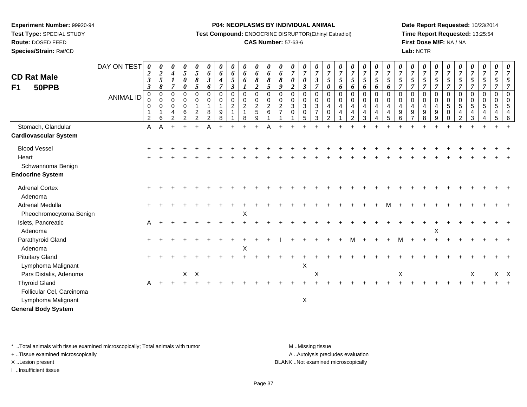**Route:** DOSED FEED

**Species/Strain:** Rat/CD

#### **P04: NEOPLASMS BY INDIVIDUAL ANIMAL**

**Test Compound:** ENDOCRINE DISRUPTOR(Ethinyl Estradiol)

### **CAS Number:** 57-63-6

**Date Report Requested:** 10/23/2014**Time Report Requested:** 13:25:54**First Dose M/F:** NA / NA**Lab:** NCTR

| <b>CD Rat Male</b><br>50PPB<br>F <sub>1</sub>            | DAY ON TEST      | 0<br>$\boldsymbol{2}$<br>$\boldsymbol{\beta}$<br>$\boldsymbol{\beta}$<br>0 | 0<br>$\boldsymbol{2}$<br>$\mathfrak{s}$<br>8<br>$\mathbf 0$ | $\boldsymbol{\theta}$<br>$\boldsymbol{4}$<br>$\boldsymbol{l}$<br>$\overline{7}$<br>$\mathbf 0$ | $\pmb{\theta}$<br>5<br>$\boldsymbol{\theta}$<br>$\boldsymbol{\theta}$<br>0 | $\pmb{\theta}$<br>5<br>$\pmb{8}$<br>$\overline{5}$<br>$\mathbf 0$ | 0<br>6<br>$\boldsymbol{\beta}$<br>6<br>0 | 0<br>6<br>4<br>$\overline{7}$<br>$\mathbf 0$ | $\pmb{\theta}$<br>6<br>5<br>$\mathfrak{z}$<br>0 | 0<br>6<br>6<br>0         | $\boldsymbol{\theta}$<br>6<br>8<br>$\boldsymbol{2}$<br>$\mathbf 0$ | $\pmb{\theta}$<br>6<br>8<br>5<br>0 | 0<br>6<br>8<br>9<br>$\Omega$          | 0<br>7<br>$\boldsymbol{\theta}$<br>$\overline{2}$<br>0 | 0<br>$\boldsymbol{7}$<br>0<br>3<br>0 | 0<br>$\overline{7}$<br>$\boldsymbol{\beta}$<br>$\overline{7}$<br>$\mathbf 0$ | 0<br>$\overline{7}$<br>5<br>0<br>0 | 0<br>$\overline{7}$<br>5<br>6<br>$\mathbf 0$ | 0<br>$\boldsymbol{7}$<br>5<br>6<br>0 | 0<br>$\overline{7}$<br>5<br>6<br>$\mathbf 0$ | 0<br>$\overline{7}$<br>5<br>6<br>$\Omega$ | 0<br>$\overline{7}$<br>5<br>6<br>$\Omega$  | 0<br>$\overline{7}$<br>5<br>$\Omega$      | $\pmb{\theta}$<br>$\overline{7}$<br>5<br>$\Omega$ | $\boldsymbol{\theta}$<br>$\overline{7}$<br>5<br>$\overline{7}$<br>$\Omega$ | 0<br>$\overline{7}$<br>5<br>7<br>$\mathbf 0$           | 7<br>5<br>7<br>$\Omega$ | 0<br>$\overline{7}$<br>5<br>7<br>0        | 0<br>$\boldsymbol{7}$<br>5<br>$\overline{7}$<br>0 | 0<br>$\overline{7}$<br>5<br>$\overline{7}$<br>0 | $\boldsymbol{\theta}$<br>$\overline{7}$<br>5<br>$\overline{7}$<br>0 | 0<br>$\overline{7}$<br>5<br>$\Omega$    |
|----------------------------------------------------------|------------------|----------------------------------------------------------------------------|-------------------------------------------------------------|------------------------------------------------------------------------------------------------|----------------------------------------------------------------------------|-------------------------------------------------------------------|------------------------------------------|----------------------------------------------|-------------------------------------------------|--------------------------|--------------------------------------------------------------------|------------------------------------|---------------------------------------|--------------------------------------------------------|--------------------------------------|------------------------------------------------------------------------------|------------------------------------|----------------------------------------------|--------------------------------------|----------------------------------------------|-------------------------------------------|--------------------------------------------|-------------------------------------------|---------------------------------------------------|----------------------------------------------------------------------------|--------------------------------------------------------|-------------------------|-------------------------------------------|---------------------------------------------------|-------------------------------------------------|---------------------------------------------------------------------|-----------------------------------------|
|                                                          | <b>ANIMAL ID</b> | 0<br>0<br>1<br>2                                                           | $\mathbf 0$<br>$\mathbf 0$<br>6                             | $\mathbf 0$<br>$\mathbf 0$<br>4<br>$\mathcal{P}$                                               | $\mathbf 0$<br>0<br>$\,6$<br>$\overline{2}$                                | $\pmb{0}$<br>$\mathbf{1}$<br>$\frac{2}{2}$                        | 0<br>1<br>8<br>$\overline{2}$            | 0<br>9<br>8                                  | 0<br>$\overline{c}$                             | 0<br>$\overline{c}$<br>8 | $\pmb{0}$<br>$rac{2}{5}$<br>9                                      | 0<br>$\overline{c}$<br>6           | 0<br>$\overline{2}$<br>$\overline{7}$ | 0<br>3<br>0                                            | 0<br>$\sqrt{3}$<br>$\pmb{0}$<br>5    | $\pmb{0}$<br>$\ensuremath{\mathsf{3}}$<br>$\overline{7}$<br>3                | 0<br>4<br>$\mathbf 0$<br>2         | $\mathbf 0$<br>4<br>$\overline{4}$           | 0<br>4<br>4<br>$\overline{2}$        | $\mathbf 0$<br>4<br>4<br>3                   | 0<br>4<br>4<br>4                          | 0<br>$\overline{4}$<br>$\overline{4}$<br>5 | $\mathbf 0$<br>4<br>$\boldsymbol{9}$<br>6 | $\mathbf 0$<br>$\overline{4}$<br>9                | $\mathbf 0$<br>4<br>$\boldsymbol{9}$<br>8                                  | $\mathbf 0$<br>$\overline{4}$<br>$\boldsymbol{9}$<br>9 | 0<br>5<br>0<br>$\Omega$ | 0<br>$\overline{5}$<br>4<br>$\mathcal{P}$ | $\mathbf 0$<br>$\,$ 5 $\,$<br>4<br>3              | $\mathbf 0$<br>$\sqrt{5}$<br>4<br>4             | $\mathbf 0$<br>$\sqrt{5}$<br>4<br>$\sqrt{5}$                        | $\mathbf 0$<br>5<br>$\overline{4}$<br>6 |
| Stomach, Glandular<br><b>Cardiovascular System</b>       |                  | Α                                                                          | Α                                                           |                                                                                                | $\ddot{}$                                                                  |                                                                   |                                          |                                              |                                                 |                          |                                                                    | Α                                  |                                       |                                                        |                                      |                                                                              |                                    |                                              |                                      |                                              |                                           |                                            |                                           |                                                   |                                                                            |                                                        |                         |                                           |                                                   |                                                 |                                                                     |                                         |
| <b>Blood Vessel</b>                                      |                  |                                                                            |                                                             |                                                                                                |                                                                            |                                                                   |                                          |                                              |                                                 |                          |                                                                    |                                    |                                       |                                                        |                                      |                                                                              |                                    |                                              |                                      |                                              |                                           |                                            |                                           |                                                   |                                                                            |                                                        |                         |                                           |                                                   |                                                 |                                                                     |                                         |
| Heart                                                    |                  |                                                                            |                                                             |                                                                                                |                                                                            |                                                                   |                                          |                                              |                                                 |                          |                                                                    |                                    |                                       |                                                        |                                      |                                                                              |                                    |                                              |                                      |                                              |                                           |                                            |                                           |                                                   |                                                                            |                                                        |                         |                                           |                                                   |                                                 |                                                                     |                                         |
| Schwannoma Benign<br><b>Endocrine System</b>             |                  |                                                                            |                                                             |                                                                                                |                                                                            |                                                                   |                                          |                                              |                                                 |                          |                                                                    |                                    |                                       |                                                        |                                      |                                                                              |                                    |                                              |                                      |                                              |                                           |                                            |                                           |                                                   |                                                                            |                                                        |                         |                                           |                                                   |                                                 |                                                                     |                                         |
| <b>Adrenal Cortex</b>                                    |                  |                                                                            |                                                             |                                                                                                |                                                                            |                                                                   |                                          |                                              |                                                 |                          |                                                                    |                                    |                                       |                                                        |                                      |                                                                              |                                    |                                              |                                      |                                              |                                           |                                            |                                           |                                                   |                                                                            |                                                        |                         |                                           |                                                   |                                                 |                                                                     |                                         |
| Adenoma                                                  |                  |                                                                            |                                                             |                                                                                                |                                                                            |                                                                   |                                          |                                              |                                                 |                          |                                                                    |                                    |                                       |                                                        |                                      |                                                                              |                                    |                                              |                                      |                                              |                                           |                                            |                                           |                                                   |                                                                            |                                                        |                         |                                           |                                                   |                                                 |                                                                     |                                         |
| Adrenal Medulla                                          |                  |                                                                            |                                                             |                                                                                                |                                                                            |                                                                   |                                          |                                              |                                                 |                          |                                                                    |                                    |                                       |                                                        |                                      |                                                                              |                                    |                                              |                                      |                                              |                                           | м                                          |                                           |                                                   |                                                                            |                                                        |                         |                                           |                                                   |                                                 |                                                                     |                                         |
| Pheochromocytoma Benign<br>Islets, Pancreatic<br>Adenoma |                  | A                                                                          |                                                             |                                                                                                |                                                                            |                                                                   |                                          |                                              |                                                 | X                        |                                                                    |                                    |                                       |                                                        |                                      |                                                                              |                                    |                                              |                                      |                                              |                                           |                                            |                                           |                                                   |                                                                            | X                                                      |                         |                                           |                                                   |                                                 |                                                                     |                                         |
| Parathyroid Gland<br>Adenoma                             |                  |                                                                            |                                                             |                                                                                                |                                                                            |                                                                   |                                          |                                              |                                                 | X                        |                                                                    |                                    |                                       |                                                        |                                      |                                                                              |                                    |                                              | м                                    |                                              |                                           |                                            | м                                         |                                                   |                                                                            |                                                        |                         |                                           |                                                   |                                                 |                                                                     |                                         |
| <b>Pituitary Gland</b><br>Lymphoma Malignant             |                  |                                                                            |                                                             |                                                                                                |                                                                            |                                                                   |                                          |                                              |                                                 |                          |                                                                    |                                    |                                       |                                                        | X                                    |                                                                              |                                    |                                              |                                      |                                              |                                           |                                            |                                           |                                                   |                                                                            |                                                        |                         |                                           |                                                   |                                                 |                                                                     |                                         |
| Pars Distalis, Adenoma                                   |                  |                                                                            |                                                             |                                                                                                |                                                                            | $X$ $X$                                                           |                                          |                                              |                                                 |                          |                                                                    |                                    |                                       |                                                        |                                      | $\pmb{\times}$                                                               |                                    |                                              |                                      |                                              |                                           |                                            | X                                         |                                                   |                                                                            |                                                        |                         |                                           | X                                                 |                                                 | $X$ $X$                                                             |                                         |
| <b>Thyroid Gland</b>                                     |                  | Α                                                                          |                                                             |                                                                                                |                                                                            |                                                                   |                                          |                                              |                                                 |                          |                                                                    |                                    |                                       |                                                        |                                      |                                                                              |                                    |                                              |                                      |                                              |                                           |                                            |                                           |                                                   |                                                                            |                                                        |                         |                                           |                                                   |                                                 |                                                                     |                                         |
| Follicular Cel, Carcinoma<br>Lymphoma Malignant          |                  |                                                                            |                                                             |                                                                                                |                                                                            |                                                                   |                                          |                                              |                                                 |                          |                                                                    |                                    |                                       |                                                        | X                                    |                                                                              |                                    |                                              |                                      |                                              |                                           |                                            |                                           |                                                   |                                                                            |                                                        |                         |                                           |                                                   |                                                 |                                                                     |                                         |
| <b>General Body System</b>                               |                  |                                                                            |                                                             |                                                                                                |                                                                            |                                                                   |                                          |                                              |                                                 |                          |                                                                    |                                    |                                       |                                                        |                                      |                                                                              |                                    |                                              |                                      |                                              |                                           |                                            |                                           |                                                   |                                                                            |                                                        |                         |                                           |                                                   |                                                 |                                                                     |                                         |

\* ..Total animals with tissue examined microscopically; Total animals with tumor **M** . Missing tissue M ..Missing tissue

+ ..Tissue examined microscopically

I ..Insufficient tissue

A ..Autolysis precludes evaluation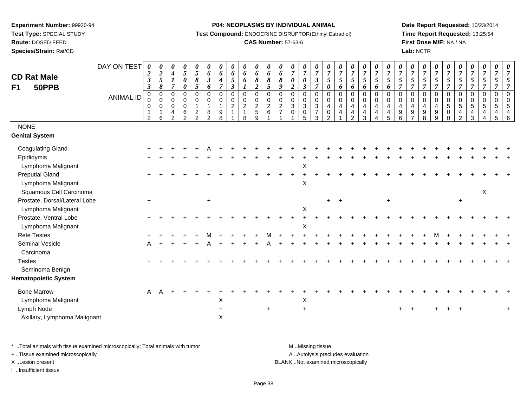**Route:** DOSED FEED

**Species/Strain:** Rat/CD

#### **P04: NEOPLASMS BY INDIVIDUAL ANIMAL**

**Test Compound:** ENDOCRINE DISRUPTOR(Ethinyl Estradiol)

### **CAS Number:** 57-63-6

**Date Report Requested:** 10/23/2014**Time Report Requested:** 13:25:54**First Dose M/F:** NA / NA**Lab:** NCTR

| <b>CD Rat Male</b>                             | DAY ON TEST      | 0<br>$\boldsymbol{2}$<br>$\overline{\mathbf{3}}$                                | 0<br>$\frac{2}{5}$                              | 0<br>$\boldsymbol{4}$<br>$\boldsymbol{l}$                                             | 0<br>5<br>$\boldsymbol{\theta}$                               | 0<br>$\sqrt{5}$<br>$\pmb{8}$                                      | 0<br>$\boldsymbol{6}$<br>$\mathfrak{z}$                                      | 0<br>6<br>$\boldsymbol{4}$                                  | 0<br>$\pmb{6}$<br>$\mathfrak{s}$                                           | 0<br>6<br>6                                                           | 0<br>6<br>8                                                       | $\frac{\theta}{6}$<br>$\boldsymbol{\delta}$            | 0<br>6<br>$\boldsymbol{\delta}$                                  | $\boldsymbol{\theta}$<br>$\overline{7}$<br>$\boldsymbol{\theta}$      | 0<br>$\overline{7}$<br>$\boldsymbol{\theta}$                                        | 0<br>$\overline{7}$<br>$\mathfrak{z}$                                       | 0<br>$\boldsymbol{7}$<br>$\overline{5}$                                                | $\boldsymbol{\theta}$<br>$\overline{7}$<br>$\overline{5}$           | 0<br>$\overline{7}$<br>5                                                 | $\begin{array}{c} 0 \\ 7 \\ 5 \end{array}$                            | $\frac{\boldsymbol{\theta}}{\boldsymbol{7}}$<br>5 | $\boldsymbol{\theta}$<br>$\boldsymbol{7}$<br>$\mathfrak{s}$                           | $\boldsymbol{\theta}$<br>$\overline{7}$<br>5   | $\frac{\boldsymbol{0}}{7}$<br>5                                                      | 0<br>$\overline{7}$<br>$\overline{5}$                                                   | 0<br>$\overline{7}$<br>$\mathfrak{s}$                               | $\boldsymbol{\theta}$<br>$\overline{7}$<br>$\sqrt{5}$                           | 0<br>$\overline{7}$<br>5                                                 | $\begin{array}{c} 0 \\ 7 \\ 5 \end{array}$                                                     | 0<br>$\overline{7}$<br>5                                                 | 0<br>$\boldsymbol{7}$<br>5                                                | 0<br>$\overline{7}$<br>5                                                              |
|------------------------------------------------|------------------|---------------------------------------------------------------------------------|-------------------------------------------------|---------------------------------------------------------------------------------------|---------------------------------------------------------------|-------------------------------------------------------------------|------------------------------------------------------------------------------|-------------------------------------------------------------|----------------------------------------------------------------------------|-----------------------------------------------------------------------|-------------------------------------------------------------------|--------------------------------------------------------|------------------------------------------------------------------|-----------------------------------------------------------------------|-------------------------------------------------------------------------------------|-----------------------------------------------------------------------------|----------------------------------------------------------------------------------------|---------------------------------------------------------------------|--------------------------------------------------------------------------|-----------------------------------------------------------------------|---------------------------------------------------|---------------------------------------------------------------------------------------|------------------------------------------------|--------------------------------------------------------------------------------------|-----------------------------------------------------------------------------------------|---------------------------------------------------------------------|---------------------------------------------------------------------------------|--------------------------------------------------------------------------|------------------------------------------------------------------------------------------------|--------------------------------------------------------------------------|---------------------------------------------------------------------------|---------------------------------------------------------------------------------------|
| 50PPB<br>F1                                    | <b>ANIMAL ID</b> | $\mathbf{3}$<br>0<br>$\pmb{0}$<br>$\mathbf 0$<br>$\mathbf{1}$<br>$\overline{2}$ | $\pmb{8}$<br>$\mathbf 0$<br>$\pmb{0}$<br>0<br>6 | $\overline{7}$<br>$\mathbf 0$<br>0<br>$\mathbf 0$<br>$\overline{4}$<br>$\overline{2}$ | $\boldsymbol{\theta}$<br>$\Omega$<br>0<br>$\pmb{0}$<br>6<br>2 | $5\overline{)}$<br>$\Omega$<br>0<br>$\mathbf{1}$<br>$\frac{2}{2}$ | 6<br>$\mathbf 0$<br>$\pmb{0}$<br>$\overline{1}$<br>$\bf 8$<br>$\overline{2}$ | $\overline{7}$<br>$\Omega$<br>0<br>$\overline{1}$<br>9<br>8 | $\mathfrak{z}$<br>$\mathbf 0$<br>$\mathbf 0$<br>$\sqrt{2}$<br>$\mathbf{1}$ | $\boldsymbol{l}$<br>$\mathbf 0$<br>$\mathbf 0$<br>$\overline{c}$<br>8 | $\overline{2}$<br>$\pmb{0}$<br>$\mathsf{O}\xspace$<br>$rac{2}{9}$ | 5<br>$\mathbf 0$<br>$\mathbf 0$<br>$\overline{c}$<br>6 | 9<br>$\Omega$<br>$\mathbf 0$<br>$\overline{2}$<br>$\overline{7}$ | $\overline{\mathbf{c}}$<br>$\Omega$<br>0<br>$\sqrt{3}$<br>$\mathbf 0$ | $\mathbf{3}$<br>$\Omega$<br>$\mathbf 0$<br>$\mathsf 3$<br>$\mathbf 0$<br>$\sqrt{5}$ | $\overline{7}$<br>$\mathbf 0$<br>$\pmb{0}$<br>$\frac{3}{7}$<br>$\mathbf{3}$ | $\boldsymbol{\theta}$<br>$\Omega$<br>$\mathbf 0$<br>4<br>$\mathbf 0$<br>$\overline{2}$ | 6<br>$\mathbf 0$<br>$\mathbf 0$<br>$\overline{4}$<br>$\overline{a}$ | 6<br>$\mathbf 0$<br>$\mathbf 0$<br>$\overline{4}$<br>4<br>$\overline{2}$ | 6<br>$\pmb{0}$<br>$\boldsymbol{0}$<br>$\overline{4}$<br>$\frac{4}{3}$ | 6<br>$\mathbf 0$<br>$\mathbf 0$<br>4<br>4<br>4    | 6<br>$\mathbf 0$<br>$\mathbf 0$<br>$\overline{4}$<br>$\overline{a}$<br>$\overline{5}$ | $\overline{7}$<br>$\Omega$<br>0<br>4<br>9<br>6 | $\overline{7}$<br>$\Omega$<br>$\mathbf 0$<br>4<br>$\boldsymbol{9}$<br>$\overline{7}$ | $\overline{7}$<br>$\mathbf 0$<br>$\mathbf 0$<br>$\overline{4}$<br>$\boldsymbol{9}$<br>8 | $\overline{7}$<br>$\Omega$<br>$\pmb{0}$<br>$\overline{4}$<br>9<br>9 | $\overline{7}$<br>$\mathbf 0$<br>$\mathbf 0$<br>$\overline{5}$<br>0<br>$\Omega$ | $\overline{7}$<br>$\mathbf 0$<br>$\mathbf 0$<br>5<br>4<br>$\overline{2}$ | $\overline{7}$<br>$\pmb{0}$<br>$\pmb{0}$<br>$\overline{5}$<br>$\overline{4}$<br>$\overline{3}$ | $\overline{7}$<br>$\mathbf 0$<br>$\mathbf 0$<br>5<br>$\overline{4}$<br>4 | $\overline{7}$<br>$\mathbf 0$<br>$\pmb{0}$<br>$\sqrt{5}$<br>$\frac{4}{5}$ | $\overline{7}$<br>$\mathbf 0$<br>$\mathbf 0$<br>5<br>$\overline{4}$<br>$\overline{6}$ |
| <b>NONE</b>                                    |                  |                                                                                 |                                                 |                                                                                       |                                                               |                                                                   |                                                                              |                                                             |                                                                            |                                                                       |                                                                   |                                                        |                                                                  |                                                                       |                                                                                     |                                                                             |                                                                                        |                                                                     |                                                                          |                                                                       |                                                   |                                                                                       |                                                |                                                                                      |                                                                                         |                                                                     |                                                                                 |                                                                          |                                                                                                |                                                                          |                                                                           |                                                                                       |
| <b>Genital System</b>                          |                  |                                                                                 |                                                 |                                                                                       |                                                               |                                                                   |                                                                              |                                                             |                                                                            |                                                                       |                                                                   |                                                        |                                                                  |                                                                       |                                                                                     |                                                                             |                                                                                        |                                                                     |                                                                          |                                                                       |                                                   |                                                                                       |                                                |                                                                                      |                                                                                         |                                                                     |                                                                                 |                                                                          |                                                                                                |                                                                          |                                                                           |                                                                                       |
| <b>Coagulating Gland</b>                       |                  |                                                                                 |                                                 |                                                                                       |                                                               |                                                                   |                                                                              |                                                             |                                                                            |                                                                       |                                                                   |                                                        |                                                                  |                                                                       |                                                                                     |                                                                             |                                                                                        |                                                                     |                                                                          |                                                                       |                                                   |                                                                                       |                                                |                                                                                      |                                                                                         |                                                                     |                                                                                 |                                                                          |                                                                                                |                                                                          |                                                                           |                                                                                       |
| Epididymis                                     |                  |                                                                                 |                                                 |                                                                                       |                                                               |                                                                   |                                                                              |                                                             |                                                                            |                                                                       |                                                                   |                                                        |                                                                  |                                                                       |                                                                                     |                                                                             |                                                                                        |                                                                     |                                                                          |                                                                       |                                                   |                                                                                       |                                                |                                                                                      |                                                                                         |                                                                     |                                                                                 |                                                                          |                                                                                                |                                                                          |                                                                           |                                                                                       |
| Lymphoma Malignant                             |                  |                                                                                 |                                                 |                                                                                       |                                                               |                                                                   |                                                                              |                                                             |                                                                            |                                                                       |                                                                   |                                                        |                                                                  |                                                                       | X                                                                                   |                                                                             |                                                                                        |                                                                     |                                                                          |                                                                       |                                                   |                                                                                       |                                                |                                                                                      |                                                                                         |                                                                     |                                                                                 |                                                                          |                                                                                                |                                                                          |                                                                           |                                                                                       |
| <b>Preputial Gland</b>                         |                  |                                                                                 |                                                 |                                                                                       |                                                               |                                                                   |                                                                              |                                                             |                                                                            |                                                                       |                                                                   |                                                        |                                                                  |                                                                       |                                                                                     |                                                                             |                                                                                        |                                                                     |                                                                          |                                                                       |                                                   |                                                                                       |                                                |                                                                                      |                                                                                         |                                                                     |                                                                                 |                                                                          |                                                                                                |                                                                          |                                                                           |                                                                                       |
| Lymphoma Malignant                             |                  |                                                                                 |                                                 |                                                                                       |                                                               |                                                                   |                                                                              |                                                             |                                                                            |                                                                       |                                                                   |                                                        |                                                                  |                                                                       | X                                                                                   |                                                                             |                                                                                        |                                                                     |                                                                          |                                                                       |                                                   |                                                                                       |                                                |                                                                                      |                                                                                         |                                                                     |                                                                                 |                                                                          |                                                                                                |                                                                          |                                                                           |                                                                                       |
| Squamous Cell Carcinoma                        |                  |                                                                                 |                                                 |                                                                                       |                                                               |                                                                   |                                                                              |                                                             |                                                                            |                                                                       |                                                                   |                                                        |                                                                  |                                                                       |                                                                                     |                                                                             |                                                                                        |                                                                     |                                                                          |                                                                       |                                                   |                                                                                       |                                                |                                                                                      |                                                                                         |                                                                     |                                                                                 |                                                                          |                                                                                                | X                                                                        |                                                                           |                                                                                       |
| Prostate, Dorsal/Lateral Lobe                  |                  | $\ddot{}$                                                                       |                                                 |                                                                                       |                                                               |                                                                   | $+$                                                                          |                                                             |                                                                            |                                                                       |                                                                   |                                                        |                                                                  |                                                                       |                                                                                     |                                                                             | $\ddot{}$                                                                              |                                                                     |                                                                          |                                                                       |                                                   | $\ddot{}$                                                                             |                                                |                                                                                      |                                                                                         |                                                                     |                                                                                 | $\ddot{}$                                                                |                                                                                                |                                                                          |                                                                           |                                                                                       |
| Lymphoma Malignant                             |                  |                                                                                 |                                                 |                                                                                       |                                                               |                                                                   |                                                                              |                                                             |                                                                            |                                                                       |                                                                   |                                                        |                                                                  |                                                                       | X                                                                                   |                                                                             |                                                                                        |                                                                     |                                                                          |                                                                       |                                                   |                                                                                       |                                                |                                                                                      |                                                                                         |                                                                     |                                                                                 |                                                                          |                                                                                                |                                                                          |                                                                           |                                                                                       |
| Prostate, Ventral Lobe<br>Lymphoma Malignant   |                  |                                                                                 |                                                 |                                                                                       |                                                               |                                                                   |                                                                              |                                                             |                                                                            |                                                                       |                                                                   |                                                        |                                                                  |                                                                       | +<br>X                                                                              |                                                                             |                                                                                        |                                                                     |                                                                          |                                                                       |                                                   |                                                                                       |                                                |                                                                                      |                                                                                         |                                                                     |                                                                                 |                                                                          |                                                                                                |                                                                          |                                                                           |                                                                                       |
| <b>Rete Testes</b>                             |                  |                                                                                 |                                                 |                                                                                       |                                                               |                                                                   |                                                                              |                                                             |                                                                            |                                                                       |                                                                   |                                                        |                                                                  |                                                                       |                                                                                     |                                                                             |                                                                                        |                                                                     |                                                                          |                                                                       |                                                   |                                                                                       |                                                |                                                                                      |                                                                                         |                                                                     |                                                                                 |                                                                          |                                                                                                |                                                                          |                                                                           |                                                                                       |
| Seminal Vesicle                                |                  |                                                                                 |                                                 |                                                                                       |                                                               |                                                                   |                                                                              |                                                             |                                                                            |                                                                       |                                                                   |                                                        |                                                                  |                                                                       |                                                                                     |                                                                             |                                                                                        |                                                                     |                                                                          |                                                                       |                                                   |                                                                                       |                                                |                                                                                      |                                                                                         |                                                                     |                                                                                 |                                                                          |                                                                                                |                                                                          |                                                                           |                                                                                       |
| Carcinoma                                      |                  |                                                                                 |                                                 |                                                                                       |                                                               |                                                                   |                                                                              |                                                             |                                                                            |                                                                       |                                                                   |                                                        |                                                                  |                                                                       |                                                                                     |                                                                             |                                                                                        |                                                                     |                                                                          |                                                                       |                                                   |                                                                                       |                                                |                                                                                      |                                                                                         |                                                                     |                                                                                 |                                                                          |                                                                                                |                                                                          |                                                                           |                                                                                       |
| <b>Testes</b>                                  |                  |                                                                                 |                                                 |                                                                                       |                                                               |                                                                   |                                                                              |                                                             |                                                                            |                                                                       |                                                                   |                                                        |                                                                  |                                                                       |                                                                                     |                                                                             |                                                                                        |                                                                     |                                                                          |                                                                       |                                                   |                                                                                       |                                                |                                                                                      |                                                                                         |                                                                     |                                                                                 |                                                                          |                                                                                                |                                                                          |                                                                           |                                                                                       |
| Seminoma Benign<br><b>Hematopoietic System</b> |                  |                                                                                 |                                                 |                                                                                       |                                                               |                                                                   |                                                                              |                                                             |                                                                            |                                                                       |                                                                   |                                                        |                                                                  |                                                                       |                                                                                     |                                                                             |                                                                                        |                                                                     |                                                                          |                                                                       |                                                   |                                                                                       |                                                |                                                                                      |                                                                                         |                                                                     |                                                                                 |                                                                          |                                                                                                |                                                                          |                                                                           |                                                                                       |
| <b>Bone Marrow</b>                             |                  | $\mathsf{A}$                                                                    | Α                                               |                                                                                       |                                                               |                                                                   |                                                                              |                                                             |                                                                            |                                                                       |                                                                   |                                                        |                                                                  |                                                                       |                                                                                     |                                                                             |                                                                                        |                                                                     |                                                                          |                                                                       |                                                   |                                                                                       |                                                |                                                                                      |                                                                                         |                                                                     |                                                                                 |                                                                          |                                                                                                |                                                                          |                                                                           |                                                                                       |
| Lymphoma Malignant                             |                  |                                                                                 |                                                 |                                                                                       |                                                               |                                                                   |                                                                              | X                                                           |                                                                            |                                                                       |                                                                   |                                                        |                                                                  |                                                                       | X                                                                                   |                                                                             |                                                                                        |                                                                     |                                                                          |                                                                       |                                                   |                                                                                       |                                                |                                                                                      |                                                                                         |                                                                     |                                                                                 |                                                                          |                                                                                                |                                                                          |                                                                           |                                                                                       |
| Lymph Node                                     |                  |                                                                                 |                                                 |                                                                                       |                                                               |                                                                   |                                                                              |                                                             |                                                                            |                                                                       |                                                                   | $\ddot{}$                                              |                                                                  |                                                                       | $\ddot{}$                                                                           |                                                                             |                                                                                        |                                                                     |                                                                          |                                                                       |                                                   |                                                                                       |                                                |                                                                                      |                                                                                         |                                                                     |                                                                                 |                                                                          |                                                                                                |                                                                          |                                                                           |                                                                                       |
| Axillary, Lymphoma Malignant                   |                  |                                                                                 |                                                 |                                                                                       |                                                               |                                                                   |                                                                              | Χ                                                           |                                                                            |                                                                       |                                                                   |                                                        |                                                                  |                                                                       |                                                                                     |                                                                             |                                                                                        |                                                                     |                                                                          |                                                                       |                                                   |                                                                                       |                                                |                                                                                      |                                                                                         |                                                                     |                                                                                 |                                                                          |                                                                                                |                                                                          |                                                                           |                                                                                       |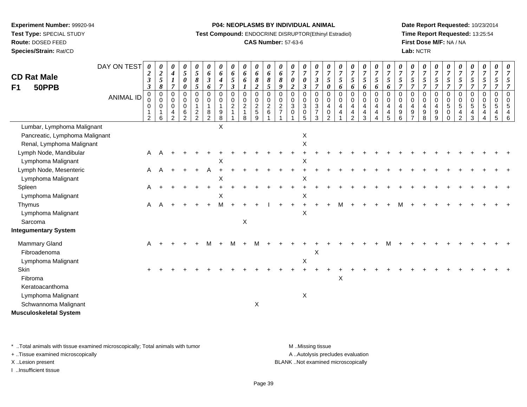**Route:** DOSED FEED

**Species/Strain:** Rat/CD

#### **P04: NEOPLASMS BY INDIVIDUAL ANIMAL**

**Test Compound:** ENDOCRINE DISRUPTOR(Ethinyl Estradiol)

### **CAS Number:** 57-63-6

**Date Report Requested:** 10/23/2014**Time Report Requested:** 13:25:54**First Dose M/F:** NA / NA**Lab:** NCTR

|                                | DAY ON TEST      | 0                                        | 0                          | 0                                    | 0                | 0                       | 0                           | $\boldsymbol{\theta}$                  | 0                       | $\boldsymbol{\theta}$         | 0                                          | 0                  | 0              | 0                                       | 0                           | 0                                      | $\boldsymbol{\theta}$            | 0                     | 0                   | 0                              | 0                              | $\boldsymbol{\theta}$            | $\boldsymbol{\theta}$         | $\boldsymbol{\theta}$          | 0                             | 0                   | $\boldsymbol{\theta}$          | 0                                     | 0                                     | 0                                     | $\boldsymbol{\theta}$ |                |
|--------------------------------|------------------|------------------------------------------|----------------------------|--------------------------------------|------------------|-------------------------|-----------------------------|----------------------------------------|-------------------------|-------------------------------|--------------------------------------------|--------------------|----------------|-----------------------------------------|-----------------------------|----------------------------------------|----------------------------------|-----------------------|---------------------|--------------------------------|--------------------------------|----------------------------------|-------------------------------|--------------------------------|-------------------------------|---------------------|--------------------------------|---------------------------------------|---------------------------------------|---------------------------------------|-----------------------|----------------|
| <b>CD Rat Male</b>             |                  | $\boldsymbol{2}$<br>$\boldsymbol{\beta}$ | $\boldsymbol{2}$<br>5      | $\boldsymbol{4}$<br>$\boldsymbol{l}$ | 5<br>0           | $\sqrt{5}$<br>$\pmb{8}$ | 6<br>$\boldsymbol{\beta}$   | 6<br>$\boldsymbol{4}$                  | 6<br>$\sqrt{5}$         | 6<br>6                        | 6<br>$\boldsymbol{\delta}$                 | 6<br>$\pmb{8}$     | 6<br>$\pmb{8}$ | $\overline{7}$<br>$\boldsymbol{\theta}$ | $\overline{7}$<br>0         | $\overline{7}$<br>$\boldsymbol{\beta}$ | $\overline{7}$<br>$\mathfrak{s}$ | $\boldsymbol{7}$<br>5 | $\overline{7}$<br>5 | $\boldsymbol{7}$<br>$\sqrt{5}$ | $\boldsymbol{7}$<br>$\sqrt{5}$ | $\overline{7}$<br>$\mathfrak{s}$ | $\overline{7}$<br>$\sqrt{5}$  | $\boldsymbol{7}$<br>$\sqrt{5}$ | $\boldsymbol{7}$<br>5         | $\overline{7}$<br>5 | $\boldsymbol{7}$<br>$\sqrt{5}$ | $\overline{7}$<br>$\sqrt{5}$          | $\overline{7}$<br>$\sqrt{5}$          | $\boldsymbol{7}$<br>$\sqrt{5}$        | $\overline{7}$<br>5   | $\overline{7}$ |
| 50PPB<br>F <sub>1</sub>        |                  | $\boldsymbol{\beta}$                     | 8                          | $\boldsymbol{7}$                     | $\pmb{\theta}$   | 5                       | 6                           | $\overline{7}$                         | $\mathfrak{z}$          |                               | $\boldsymbol{2}$                           | 5                  | 9              | $\boldsymbol{2}$                        | $\mathfrak{z}$              | $\overline{7}$                         | $\boldsymbol{\theta}$            | 6                     | 6                   | 6                              | 6                              | 6                                | $\overline{7}$                | $\overline{7}$                 | $\overline{7}$                | $\overline{7}$      | $\overline{7}$                 | $\overline{7}$                        | $\overline{7}$                        | $\overline{7}$                        | $\overline{7}$        |                |
|                                | <b>ANIMAL ID</b> | 0                                        | $\mathbf 0$                | $\mathbf 0$                          | 0                | $\mathbf 0$             | $\mathbf 0$                 | $\mathbf 0$                            | $\mathbf 0$             | $\mathbf 0$                   | $\pmb{0}$                                  | 0                  | $\mathbf 0$    | $\mathbf 0$                             | $\pmb{0}$                   | $\mathbf 0$                            | $\mathbf 0$                      | 0                     | 0                   | $\pmb{0}$                      | $\mathbf 0$                    | $\mathbf 0$                      | $\mathbf 0$                   | $\mathbf 0$                    | $\mathbf 0$                   | 0                   | $\mathbf 0$                    | $\mathbf 0$                           | $\pmb{0}$                             | $\mathbf 0$                           | $\mathbf 0$           | $\Omega$       |
|                                |                  | 0<br>$\mathbf 0$                         | $\mathbf 0$<br>$\mathbf 0$ | $\mathbf 0$<br>$\mathbf 0$           | 0<br>$\mathbf 0$ | 0<br>$\mathbf{1}$       | $\pmb{0}$<br>$\overline{1}$ | $\mathbf 0$<br>$\overline{\mathbf{1}}$ | $\pmb{0}$<br>$\sqrt{2}$ | $\pmb{0}$<br>$\boldsymbol{2}$ | $\begin{array}{c} 0 \\ 2 \\ 5 \end{array}$ | $^{\rm 0}_{\rm 2}$ | $\pmb{0}$      | $_{3}^{\rm 0}$                          | $\mathbf 0$<br>$\mathbf{3}$ | $\pmb{0}$<br>$\sqrt{3}$                | 0<br>$\overline{4}$              | 0<br>$\overline{4}$   | 0<br>4              | $\pmb{0}$<br>$\overline{a}$    | $\mathbf 0$<br>4               | $\mathbf 0$<br>$\overline{a}$    | $\mathbf 0$<br>$\overline{4}$ | 0<br>4                         | $\mathbf 0$<br>$\overline{4}$ | 0<br>4              | $\pmb{0}$<br>5                 | $\begin{array}{c} 0 \\ 5 \end{array}$ | $\begin{array}{c} 0 \\ 5 \end{array}$ | $\begin{array}{c} 0 \\ 5 \end{array}$ | 0<br>5                | $\Omega$<br>5  |
|                                |                  | 1                                        | -1                         | 4                                    | 6                | $\overline{2}$          | 8                           | 9                                      | 1                       | $\mathbf{1}$                  |                                            | 6                  | $\frac{2}{7}$  | $\mathbf 0$                             | $\mathbf 0$                 | $\overline{7}$                         | 0                                | 4                     | 4                   | $\overline{\mathbf{4}}$        | 4                              | $\overline{4}$                   | 9                             | $\boldsymbol{9}$               | $\boldsymbol{9}$              | 9                   | $\pmb{0}$                      | 4                                     | $\overline{4}$                        | 4                                     | 4                     |                |
|                                |                  | $\overline{2}$                           | 6                          | $\mathcal{P}$                        | $\mathcal{P}$    | 2                       | 2                           | 8                                      |                         | 8                             | 9                                          |                    |                |                                         | 5                           | 3                                      | $\mathcal{P}$                    |                       | $\mathfrak{p}$      | 3                              | Δ                              | 5                                | 6                             | $\overline{ }$                 | 8                             | 9                   | $\Omega$                       | $\mathcal{P}$                         | 3                                     | 4                                     | 5                     |                |
| Lumbar, Lymphoma Malignant     |                  |                                          |                            |                                      |                  |                         |                             | Χ                                      |                         |                               |                                            |                    |                |                                         |                             |                                        |                                  |                       |                     |                                |                                |                                  |                               |                                |                               |                     |                                |                                       |                                       |                                       |                       |                |
| Pancreatic, Lymphoma Malignant |                  |                                          |                            |                                      |                  |                         |                             |                                        |                         |                               |                                            |                    |                |                                         | X                           |                                        |                                  |                       |                     |                                |                                |                                  |                               |                                |                               |                     |                                |                                       |                                       |                                       |                       |                |
| Renal, Lymphoma Malignant      |                  |                                          |                            |                                      |                  |                         |                             |                                        |                         |                               |                                            |                    |                |                                         | X                           |                                        |                                  |                       |                     |                                |                                |                                  |                               |                                |                               |                     |                                |                                       |                                       |                                       |                       |                |
| Lymph Node, Mandibular         |                  | A                                        |                            |                                      |                  |                         |                             |                                        |                         |                               |                                            |                    |                |                                         |                             |                                        |                                  |                       |                     |                                |                                |                                  |                               |                                |                               |                     |                                |                                       |                                       |                                       |                       |                |
| Lymphoma Malignant             |                  |                                          |                            |                                      |                  |                         |                             | X                                      |                         |                               |                                            |                    |                |                                         | X                           |                                        |                                  |                       |                     |                                |                                |                                  |                               |                                |                               |                     |                                |                                       |                                       |                                       |                       |                |
| Lymph Node, Mesenteric         |                  | A                                        |                            |                                      |                  | $\pm$                   | Α                           |                                        |                         |                               |                                            |                    |                |                                         |                             |                                        |                                  |                       |                     |                                |                                |                                  |                               |                                |                               |                     |                                |                                       |                                       |                                       |                       |                |
| Lymphoma Malignant             |                  |                                          |                            |                                      |                  |                         |                             | х                                      |                         |                               |                                            |                    |                |                                         | Χ                           |                                        |                                  |                       |                     |                                |                                |                                  |                               |                                |                               |                     |                                |                                       |                                       |                                       |                       |                |
| Spleen                         |                  | A                                        |                            |                                      |                  |                         |                             |                                        |                         |                               |                                            |                    |                |                                         |                             |                                        |                                  |                       |                     |                                |                                |                                  |                               |                                |                               |                     |                                |                                       |                                       |                                       |                       |                |
| Lymphoma Malignant             |                  |                                          |                            |                                      |                  |                         |                             | X                                      |                         |                               |                                            |                    |                |                                         | X                           |                                        |                                  |                       |                     |                                |                                |                                  |                               |                                |                               |                     |                                |                                       |                                       |                                       |                       |                |
| Thymus                         |                  | $\mathsf{A}$                             |                            |                                      |                  |                         |                             | M                                      |                         |                               |                                            |                    |                |                                         |                             |                                        |                                  |                       |                     |                                |                                |                                  |                               |                                |                               |                     |                                |                                       |                                       |                                       |                       |                |
| Lymphoma Malignant             |                  |                                          |                            |                                      |                  |                         |                             |                                        |                         |                               |                                            |                    |                |                                         | $\boldsymbol{\mathsf{X}}$   |                                        |                                  |                       |                     |                                |                                |                                  |                               |                                |                               |                     |                                |                                       |                                       |                                       |                       |                |
| Sarcoma                        |                  |                                          |                            |                                      |                  |                         |                             |                                        |                         | X                             |                                            |                    |                |                                         |                             |                                        |                                  |                       |                     |                                |                                |                                  |                               |                                |                               |                     |                                |                                       |                                       |                                       |                       |                |
| <b>Integumentary System</b>    |                  |                                          |                            |                                      |                  |                         |                             |                                        |                         |                               |                                            |                    |                |                                         |                             |                                        |                                  |                       |                     |                                |                                |                                  |                               |                                |                               |                     |                                |                                       |                                       |                                       |                       |                |
| <b>Mammary Gland</b>           |                  | A                                        |                            |                                      |                  |                         |                             |                                        | м                       |                               |                                            |                    |                |                                         |                             |                                        |                                  |                       |                     |                                |                                |                                  |                               |                                |                               |                     |                                |                                       |                                       |                                       |                       |                |
| Fibroadenoma                   |                  |                                          |                            |                                      |                  |                         |                             |                                        |                         |                               |                                            |                    |                |                                         |                             | X                                      |                                  |                       |                     |                                |                                |                                  |                               |                                |                               |                     |                                |                                       |                                       |                                       |                       |                |
| Lymphoma Malignant             |                  |                                          |                            |                                      |                  |                         |                             |                                        |                         |                               |                                            |                    |                |                                         | $\sf X$                     |                                        |                                  |                       |                     |                                |                                |                                  |                               |                                |                               |                     |                                |                                       |                                       |                                       |                       |                |
| Skin                           |                  |                                          |                            |                                      |                  |                         |                             |                                        |                         |                               |                                            |                    |                |                                         |                             |                                        |                                  |                       |                     |                                |                                |                                  |                               |                                |                               |                     |                                |                                       |                                       |                                       |                       |                |
| Fibroma                        |                  |                                          |                            |                                      |                  |                         |                             |                                        |                         |                               |                                            |                    |                |                                         |                             |                                        |                                  | Χ                     |                     |                                |                                |                                  |                               |                                |                               |                     |                                |                                       |                                       |                                       |                       |                |
| Keratoacanthoma                |                  |                                          |                            |                                      |                  |                         |                             |                                        |                         |                               |                                            |                    |                |                                         |                             |                                        |                                  |                       |                     |                                |                                |                                  |                               |                                |                               |                     |                                |                                       |                                       |                                       |                       |                |
| Lymphoma Malignant             |                  |                                          |                            |                                      |                  |                         |                             |                                        |                         |                               |                                            |                    |                |                                         | X                           |                                        |                                  |                       |                     |                                |                                |                                  |                               |                                |                               |                     |                                |                                       |                                       |                                       |                       |                |
| Schwannoma Malignant           |                  |                                          |                            |                                      |                  |                         |                             |                                        |                         |                               | X                                          |                    |                |                                         |                             |                                        |                                  |                       |                     |                                |                                |                                  |                               |                                |                               |                     |                                |                                       |                                       |                                       |                       |                |
| <b>Musculoskeletal System</b>  |                  |                                          |                            |                                      |                  |                         |                             |                                        |                         |                               |                                            |                    |                |                                         |                             |                                        |                                  |                       |                     |                                |                                |                                  |                               |                                |                               |                     |                                |                                       |                                       |                                       |                       |                |

\* ..Total animals with tissue examined microscopically; Total animals with tumor **M** . Missing tissue M ..Missing tissue

+ ..Tissue examined microscopically

I ..Insufficient tissue

A ..Autolysis precludes evaluation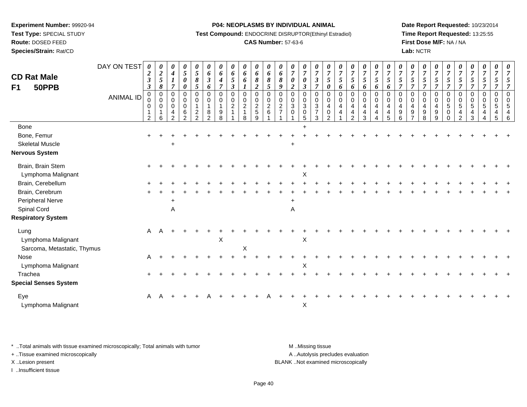**Test Type:** SPECIAL STUDY

**Route:** DOSED FEED

**Species/Strain:** Rat/CD

#### **P04: NEOPLASMS BY INDIVIDUAL ANIMAL**

**Test Compound:** ENDOCRINE DISRUPTOR(Ethinyl Estradiol)

### **CAS Number:** 57-63-6

**Date Report Requested:** 10/23/2014**Time Report Requested:** 13:25:55**First Dose M/F:** NA / NA**Lab:** NCTR

| <b>CD Rat Male</b><br>50PPB<br>F <sub>1</sub> | DAY ON TEST      | 0<br>$\boldsymbol{2}$<br>$\mathfrak{z}$<br>$\boldsymbol{\beta}$ | $\boldsymbol{\theta}$<br>$\boldsymbol{2}$<br>$\mathfrak{s}$<br>$\boldsymbol{\delta}$ | $\boldsymbol{\theta}$<br>$\boldsymbol{4}$<br>$\boldsymbol{l}$<br>$\overline{7}$ | 0<br>$\mathfrak{z}$<br>$\boldsymbol{\theta}$<br>0 | 0<br>$\sqrt{5}$<br>$\pmb{8}$<br>$\sqrt{5}$                           | 0<br>6<br>$\boldsymbol{\beta}$<br>6      | $\boldsymbol{\theta}$<br>6<br>$\boldsymbol{4}$<br>$\overline{7}$ | 0<br>6<br>$\sqrt{5}$<br>$\boldsymbol{\beta}$                | $\boldsymbol{\theta}$<br>6<br>6                                | 0<br>6<br>$\pmb{8}$<br>$\boldsymbol{2}$                       | 0<br>$\boldsymbol{6}$<br>$\boldsymbol{\delta}$<br>$\mathfrak{s}$ | $\boldsymbol{\theta}$<br>6<br>8<br>9                          | 0<br>$\overline{7}$<br>0<br>$\boldsymbol{2}$ | 0<br>$\overline{7}$<br>$\boldsymbol{\theta}$<br>$\boldsymbol{\beta}$ | $\boldsymbol{\theta}$<br>$\overline{7}$<br>$\boldsymbol{\beta}$<br>$\overline{7}$ | $\boldsymbol{\theta}$<br>$\overline{7}$<br>$\mathfrak{s}$<br>$\boldsymbol{\theta}$ | $\boldsymbol{\theta}$<br>$\overline{7}$<br>5<br>6              | $\frac{\theta}{7}$<br>$5\overline{)}$<br>6 | $\boldsymbol{\theta}$<br>$\overline{7}$<br>$\mathfrak{s}$<br>6    | 0<br>$\overline{7}$<br>5<br>6                       | $\boldsymbol{\theta}$<br>$\overline{7}$<br>5<br>6   | $\boldsymbol{\theta}$<br>$\overline{7}$<br>5<br>$\overline{7}$ | 0<br>$\overline{7}$<br>5<br>$\overline{7}$ | $\boldsymbol{\theta}$<br>$\overline{7}$<br>5<br>$\overline{7}$ | $\boldsymbol{\theta}$<br>$\overline{7}$<br>$5\overline{)}$<br>$\overline{7}$ | $\boldsymbol{\theta}$<br>$\overline{7}$<br>$\overline{\mathbf{5}}$<br>$\overline{7}$ | 0<br>$\overline{7}$<br>$5\overline{)}$<br>$\overline{7}$ | $\frac{\boldsymbol{0}}{7}$<br>$\mathfrak{S}$<br>$\overline{7}$ | $\frac{\theta}{7}$<br>5<br>$\overline{7}$ | 0<br>$\overline{7}$<br>5<br>$\overline{7}$   | 0<br>7<br>5                               |
|-----------------------------------------------|------------------|-----------------------------------------------------------------|--------------------------------------------------------------------------------------|---------------------------------------------------------------------------------|---------------------------------------------------|----------------------------------------------------------------------|------------------------------------------|------------------------------------------------------------------|-------------------------------------------------------------|----------------------------------------------------------------|---------------------------------------------------------------|------------------------------------------------------------------|---------------------------------------------------------------|----------------------------------------------|----------------------------------------------------------------------|-----------------------------------------------------------------------------------|------------------------------------------------------------------------------------|----------------------------------------------------------------|--------------------------------------------|-------------------------------------------------------------------|-----------------------------------------------------|-----------------------------------------------------|----------------------------------------------------------------|--------------------------------------------|----------------------------------------------------------------|------------------------------------------------------------------------------|--------------------------------------------------------------------------------------|----------------------------------------------------------|----------------------------------------------------------------|-------------------------------------------|----------------------------------------------|-------------------------------------------|
|                                               | <b>ANIMAL ID</b> | 0<br>$\pmb{0}$<br>$\mathbf 0$<br>-1<br>$\overline{2}$           | $\mathbf 0$<br>$\mathbf 0$<br>0<br>6                                                 | $\mathbf 0$<br>$\mathbf 0$<br>$\mathbf 0$<br>4<br>$\mathcal{P}$                 | $\Omega$<br>0<br>$\Omega$<br>6<br>$\mathcal{P}$   | 0<br>$\pmb{0}$<br>$\mathbf{1}$<br>$\boldsymbol{2}$<br>$\overline{2}$ | $\pmb{0}$<br>0<br>$\mathbf{1}$<br>8<br>2 | $\mathbf 0$<br>0<br>9<br>8                                       | $\mathbf 0$<br>$\begin{smallmatrix} 0\\2 \end{smallmatrix}$ | $\pmb{0}$<br>$\begin{smallmatrix} 0\\2 \end{smallmatrix}$<br>8 | $\mathsf 0$<br>$\pmb{0}$<br>$\overline{2}$<br>$\sqrt{5}$<br>9 | $\mathbf 0$<br>0<br>$\overline{2}$<br>6                          | $\Omega$<br>$\mathbf 0$<br>$\boldsymbol{2}$<br>$\overline{7}$ | $\Omega$<br>0<br>3<br>$\mathbf 0$            | 0<br>0<br>$\mathbf{3}$<br>$\pmb{0}$<br>5                             | $\mathbf 0$<br>$\begin{array}{c} 0 \\ 3 \\ 7 \end{array}$<br>3                    | $\mathbf 0$<br>0<br>$\overline{4}$<br>$\mathbf 0$<br>2                             | $\mathbf 0$<br>$\mathbf 0$<br>$\overline{4}$<br>$\overline{4}$ | 0<br>0<br>4<br>4<br>$\overline{2}$         | $\mathbf 0$<br>$\pmb{0}$<br>$\overline{4}$<br>$\overline{4}$<br>3 | $\Omega$<br>$\mathbf 0$<br>$\overline{4}$<br>4<br>Δ | $\Omega$<br>$\mathbf 0$<br>$\overline{4}$<br>4<br>5 | $\mathbf 0$<br>$\mathbf 0$<br>$\overline{4}$<br>9<br>6         | 0<br>0<br>4<br>$\boldsymbol{9}$            | $\mathbf 0$<br>$\mathbf 0$<br>$\overline{4}$<br>$9\,$<br>8     | 0<br>0<br>4<br>9<br>9                                                        | $\mathbf 0$<br>$\mathbf 0$<br>5<br>$\mathbf 0$                                       | $\mathbf 0$<br>0<br>5<br>4<br>2                          | $\pmb{0}$<br>$\overline{0}$<br>$\sqrt{5}$<br>4<br>3            | 0<br>0<br>5<br>4                          | $\mathbf 0$<br>0<br>5<br>$\overline{4}$<br>5 | $\Omega$<br>0<br>5<br>$\overline{4}$<br>6 |
| <b>Bone</b>                                   |                  |                                                                 |                                                                                      |                                                                                 |                                                   |                                                                      |                                          |                                                                  |                                                             |                                                                |                                                               |                                                                  |                                                               |                                              | $+$                                                                  |                                                                                   |                                                                                    |                                                                |                                            |                                                                   |                                                     |                                                     |                                                                |                                            |                                                                |                                                                              |                                                                                      |                                                          |                                                                |                                           |                                              |                                           |
| Bone, Femur                                   |                  |                                                                 |                                                                                      |                                                                                 |                                                   |                                                                      |                                          |                                                                  |                                                             |                                                                |                                                               |                                                                  |                                                               |                                              |                                                                      |                                                                                   |                                                                                    |                                                                |                                            |                                                                   |                                                     |                                                     |                                                                |                                            |                                                                |                                                                              |                                                                                      |                                                          |                                                                |                                           |                                              |                                           |
| <b>Skeletal Muscle</b>                        |                  |                                                                 |                                                                                      |                                                                                 |                                                   |                                                                      |                                          |                                                                  |                                                             |                                                                |                                                               |                                                                  |                                                               | $\ddot{}$                                    |                                                                      |                                                                                   |                                                                                    |                                                                |                                            |                                                                   |                                                     |                                                     |                                                                |                                            |                                                                |                                                                              |                                                                                      |                                                          |                                                                |                                           |                                              |                                           |
| <b>Nervous System</b>                         |                  |                                                                 |                                                                                      |                                                                                 |                                                   |                                                                      |                                          |                                                                  |                                                             |                                                                |                                                               |                                                                  |                                                               |                                              |                                                                      |                                                                                   |                                                                                    |                                                                |                                            |                                                                   |                                                     |                                                     |                                                                |                                            |                                                                |                                                                              |                                                                                      |                                                          |                                                                |                                           |                                              |                                           |
| Brain, Brain Stem<br>Lymphoma Malignant       |                  |                                                                 |                                                                                      |                                                                                 |                                                   |                                                                      |                                          |                                                                  |                                                             |                                                                |                                                               |                                                                  |                                                               |                                              | X                                                                    |                                                                                   |                                                                                    |                                                                |                                            |                                                                   |                                                     |                                                     |                                                                |                                            |                                                                |                                                                              |                                                                                      |                                                          |                                                                |                                           |                                              |                                           |
| Brain, Cerebellum                             |                  |                                                                 |                                                                                      |                                                                                 |                                                   |                                                                      |                                          |                                                                  |                                                             |                                                                |                                                               |                                                                  |                                                               |                                              |                                                                      |                                                                                   |                                                                                    |                                                                |                                            |                                                                   |                                                     |                                                     |                                                                |                                            |                                                                |                                                                              |                                                                                      |                                                          |                                                                |                                           |                                              |                                           |
| Brain, Cerebrum                               |                  |                                                                 |                                                                                      |                                                                                 |                                                   |                                                                      |                                          |                                                                  |                                                             |                                                                |                                                               |                                                                  |                                                               |                                              |                                                                      |                                                                                   |                                                                                    |                                                                |                                            |                                                                   |                                                     |                                                     |                                                                |                                            |                                                                |                                                                              |                                                                                      |                                                          |                                                                |                                           |                                              |                                           |
| <b>Peripheral Nerve</b>                       |                  |                                                                 |                                                                                      | $\pm$                                                                           |                                                   |                                                                      |                                          |                                                                  |                                                             |                                                                |                                                               |                                                                  |                                                               | $\ddot{}$                                    |                                                                      |                                                                                   |                                                                                    |                                                                |                                            |                                                                   |                                                     |                                                     |                                                                |                                            |                                                                |                                                                              |                                                                                      |                                                          |                                                                |                                           |                                              |                                           |
| Spinal Cord                                   |                  |                                                                 |                                                                                      | A                                                                               |                                                   |                                                                      |                                          |                                                                  |                                                             |                                                                |                                                               |                                                                  |                                                               | A                                            |                                                                      |                                                                                   |                                                                                    |                                                                |                                            |                                                                   |                                                     |                                                     |                                                                |                                            |                                                                |                                                                              |                                                                                      |                                                          |                                                                |                                           |                                              |                                           |
| <b>Respiratory System</b>                     |                  |                                                                 |                                                                                      |                                                                                 |                                                   |                                                                      |                                          |                                                                  |                                                             |                                                                |                                                               |                                                                  |                                                               |                                              |                                                                      |                                                                                   |                                                                                    |                                                                |                                            |                                                                   |                                                     |                                                     |                                                                |                                            |                                                                |                                                                              |                                                                                      |                                                          |                                                                |                                           |                                              |                                           |
| Lung<br>Lymphoma Malignant                    |                  | $\mathsf{A}$                                                    | A                                                                                    |                                                                                 |                                                   |                                                                      |                                          | X                                                                |                                                             |                                                                |                                                               |                                                                  |                                                               |                                              | X                                                                    |                                                                                   |                                                                                    |                                                                |                                            |                                                                   |                                                     |                                                     |                                                                |                                            |                                                                |                                                                              |                                                                                      |                                                          |                                                                |                                           |                                              |                                           |
| Sarcoma, Metastatic, Thymus                   |                  |                                                                 |                                                                                      |                                                                                 |                                                   |                                                                      |                                          |                                                                  |                                                             | $\pmb{\times}$                                                 |                                                               |                                                                  |                                                               |                                              |                                                                      |                                                                                   |                                                                                    |                                                                |                                            |                                                                   |                                                     |                                                     |                                                                |                                            |                                                                |                                                                              |                                                                                      |                                                          |                                                                |                                           |                                              |                                           |
| Nose                                          |                  | A                                                               |                                                                                      |                                                                                 |                                                   |                                                                      |                                          |                                                                  |                                                             |                                                                |                                                               |                                                                  |                                                               |                                              |                                                                      |                                                                                   |                                                                                    |                                                                |                                            |                                                                   |                                                     |                                                     |                                                                |                                            |                                                                |                                                                              |                                                                                      |                                                          |                                                                |                                           |                                              |                                           |
| Lymphoma Malignant                            |                  |                                                                 |                                                                                      |                                                                                 |                                                   |                                                                      |                                          |                                                                  |                                                             |                                                                |                                                               |                                                                  |                                                               |                                              | X                                                                    |                                                                                   |                                                                                    |                                                                |                                            |                                                                   |                                                     |                                                     |                                                                |                                            |                                                                |                                                                              |                                                                                      |                                                          |                                                                |                                           |                                              |                                           |
| Trachea                                       |                  |                                                                 |                                                                                      |                                                                                 |                                                   |                                                                      |                                          |                                                                  |                                                             |                                                                |                                                               |                                                                  |                                                               |                                              |                                                                      |                                                                                   |                                                                                    |                                                                |                                            |                                                                   |                                                     |                                                     |                                                                |                                            |                                                                |                                                                              |                                                                                      |                                                          |                                                                |                                           |                                              |                                           |
| <b>Special Senses System</b>                  |                  |                                                                 |                                                                                      |                                                                                 |                                                   |                                                                      |                                          |                                                                  |                                                             |                                                                |                                                               |                                                                  |                                                               |                                              |                                                                      |                                                                                   |                                                                                    |                                                                |                                            |                                                                   |                                                     |                                                     |                                                                |                                            |                                                                |                                                                              |                                                                                      |                                                          |                                                                |                                           |                                              |                                           |
| Eye<br>Lymphoma Malignant                     |                  | A                                                               |                                                                                      |                                                                                 |                                                   |                                                                      |                                          |                                                                  |                                                             |                                                                |                                                               |                                                                  |                                                               |                                              | X                                                                    |                                                                                   |                                                                                    |                                                                |                                            |                                                                   |                                                     |                                                     |                                                                |                                            |                                                                |                                                                              |                                                                                      |                                                          |                                                                |                                           |                                              |                                           |

\* ..Total animals with tissue examined microscopically; Total animals with tumor **M** . Missing tissue M ..Missing tissue

+ ..Tissue examined microscopically

I ..Insufficient tissue

A ..Autolysis precludes evaluation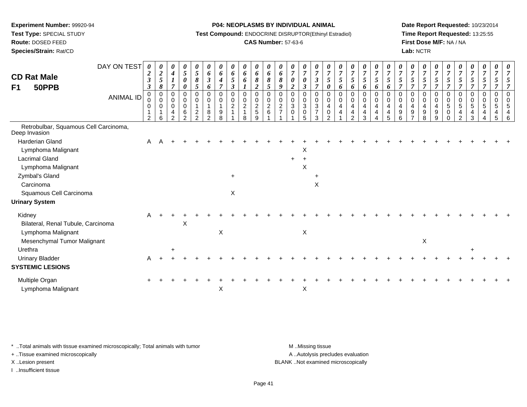**Test Type:** SPECIAL STUDY

**Route:** DOSED FEED

**Species/Strain:** Rat/CD

#### **P04: NEOPLASMS BY INDIVIDUAL ANIMAL**

**Test Compound:** ENDOCRINE DISRUPTOR(Ethinyl Estradiol)

### **CAS Number:** 57-63-6

**Date Report Requested:** 10/23/2014**Time Report Requested:** 13:25:55**First Dose M/F:** NA / NA**Lab:** NCTR

| <b>CD Rat Male</b><br>50PPB<br>F1                                                                                                                                                                                                 | DAY ON TEST<br><b>ANIMAL ID</b> | 0<br>$\boldsymbol{2}$<br>$\boldsymbol{\beta}$<br>$\boldsymbol{\beta}$<br>0<br>$\mathbf 0$<br>0<br>1<br>$\overline{2}$ | 0<br>$\boldsymbol{2}$<br>5<br>8<br>0<br>$\mathbf 0$<br>$\mathbf 0$<br>1<br>6 | 0<br>4<br>$\overline{7}$<br>0<br>0<br>$\mathbf 0$<br>4<br>$\mathfrak{p}$ | $\boldsymbol{\theta}$<br>$\mathfrak{s}$<br>$\boldsymbol{\theta}$<br>0<br>0<br>0<br>$\mathbf 0$<br>$\,6$<br>$\mathfrak{p}$ | $\boldsymbol{\theta}$<br>5<br>8<br>5<br>$\Omega$<br>0<br>2<br>$\Omega$ | 0<br>6<br>$\boldsymbol{\beta}$<br>6<br>0<br>0<br>8<br>$\mathfrak{p}$ | 0<br>6<br>$\boldsymbol{4}$<br>$\overline{7}$<br>$\mathbf 0$<br>$\pmb{0}$<br>$\overline{1}$<br>9<br>8 | 0<br>6<br>5<br>$\mathbf{3}$<br>0<br>0<br>$\overline{c}$ | $\boldsymbol{\theta}$<br>6<br>6<br>$\boldsymbol{l}$<br>$\mathbf 0$<br>0<br>$\overline{2}$<br>8 | 0<br>6<br>8<br>$\overline{c}$<br>0<br>0<br>$\overline{c}$<br>5<br>$\mathbf{Q}$ | 0<br>6<br>$\pmb{8}$<br>$5\overline{)}$<br>0<br>$\frac{0}{2}$<br>$\,6\,$ | 0<br>6<br>8<br>9<br>$\pmb{0}$<br>$\mathsf{O}\xspace$<br>$\overline{c}$<br>$\overline{7}$ | $\overline{7}$<br>0<br>$\boldsymbol{2}$<br>0<br>$\mathbf 0$<br>$\mathbf{3}$<br>$\Omega$ | $\boldsymbol{\theta}$<br>$\overline{7}$<br>$\boldsymbol{\theta}$<br>$\mathfrak{z}$<br>$\mathbf 0$<br>$\mathbf 0$<br>$\mathbf{3}$<br>$\pmb{0}$<br>5 | 0<br>$\overline{7}$<br>$\boldsymbol{\beta}$<br>$\overline{7}$<br>0<br>0<br>$\mathbf{3}$<br>$\overline{7}$<br>3 | $\boldsymbol{\theta}$<br>$\overline{7}$<br>$\mathfrak{s}$<br>$\boldsymbol{\theta}$<br>$\mathbf 0$<br>$\mathbf 0$<br>$\overline{a}$<br>$\pmb{0}$<br>$\mathcal{P}$ | $\boldsymbol{\theta}$<br>$\overline{7}$<br>$5\overline{)}$<br>6<br>0<br>$\mathbf 0$<br>4<br>4 | $\boldsymbol{\theta}$<br>$\overline{7}$<br>$\overline{5}$<br>6<br>0<br>0<br>$\overline{4}$<br>4<br>$\mathcal{P}$ | 0<br>$\overline{7}$<br>5<br>6<br>0<br>0<br>4<br>4<br>3 | 0<br>$\boldsymbol{7}$<br>5<br>6<br>0<br>$\pmb{0}$<br>$\overline{\mathbf{4}}$<br>$\overline{\mathbf{4}}$<br>$\Delta$ | 0<br>$\boldsymbol{7}$<br>5<br>6<br>0<br>$\pmb{0}$<br>$\overline{4}$<br>$\overline{\mathbf{4}}$<br>5 | $\boldsymbol{\theta}$<br>$\overline{7}$<br>5<br>$\overline{7}$<br>0<br>$\mathsf{O}\xspace$<br>$\overline{4}$<br>$9\,$<br>6 | $\boldsymbol{\theta}$<br>$\overline{7}$<br>5<br>$\overline{7}$<br>$\Omega$<br>4<br>9 | $\frac{\boldsymbol{\theta}}{\boldsymbol{7}}$<br>$\mathfrak{s}$<br>$\overline{7}$<br>0<br>$\mathbf 0$<br>4<br>9<br>8 | 0<br>$\overline{7}$<br>5<br>$\overline{7}$<br>0<br>$\mathbf 0$<br>$\overline{4}$<br>$\boldsymbol{9}$<br>9 | $\boldsymbol{\theta}$<br>$\overline{7}$<br>5<br>$\overline{7}$<br>0<br>0<br>$\sqrt{5}$<br>0<br>$\Omega$ | 5<br>$\overline{7}$<br>$\Omega$<br>0<br>5<br>4<br>$\mathfrak{p}$ | $\boldsymbol{\theta}$<br>$\overline{7}$<br>$\mathfrak{s}$<br>$\overline{7}$<br>0<br>$\mathbf 0$<br>5<br>4<br>3 | 0<br>$\overline{7}$<br>5<br>$\overline{7}$<br>0<br>$\mathbf 0$<br>5<br>4 | $\boldsymbol{\theta}$<br>$\overline{7}$<br>5<br>0<br>$\mathbf 0$<br>5<br>4<br>5 | 6 |
|-----------------------------------------------------------------------------------------------------------------------------------------------------------------------------------------------------------------------------------|---------------------------------|-----------------------------------------------------------------------------------------------------------------------|------------------------------------------------------------------------------|--------------------------------------------------------------------------|---------------------------------------------------------------------------------------------------------------------------|------------------------------------------------------------------------|----------------------------------------------------------------------|------------------------------------------------------------------------------------------------------|---------------------------------------------------------|------------------------------------------------------------------------------------------------|--------------------------------------------------------------------------------|-------------------------------------------------------------------------|------------------------------------------------------------------------------------------|-----------------------------------------------------------------------------------------|----------------------------------------------------------------------------------------------------------------------------------------------------|----------------------------------------------------------------------------------------------------------------|------------------------------------------------------------------------------------------------------------------------------------------------------------------|-----------------------------------------------------------------------------------------------|------------------------------------------------------------------------------------------------------------------|--------------------------------------------------------|---------------------------------------------------------------------------------------------------------------------|-----------------------------------------------------------------------------------------------------|----------------------------------------------------------------------------------------------------------------------------|--------------------------------------------------------------------------------------|---------------------------------------------------------------------------------------------------------------------|-----------------------------------------------------------------------------------------------------------|---------------------------------------------------------------------------------------------------------|------------------------------------------------------------------|----------------------------------------------------------------------------------------------------------------|--------------------------------------------------------------------------|---------------------------------------------------------------------------------|---|
| Retrobulbar, Squamous Cell Carcinoma,<br>Deep Invasion<br>Harderian Gland<br>Lymphoma Malignant<br><b>Lacrimal Gland</b><br>Lymphoma Malignant<br>Zymbal's Gland<br>Carcinoma<br>Squamous Cell Carcinoma<br><b>Urinary System</b> |                                 | A                                                                                                                     |                                                                              |                                                                          |                                                                                                                           |                                                                        |                                                                      |                                                                                                      | $\ddot{}$<br>X                                          |                                                                                                |                                                                                |                                                                         |                                                                                          | $+$                                                                                     | X<br>X                                                                                                                                             | X                                                                                                              |                                                                                                                                                                  |                                                                                               |                                                                                                                  |                                                        |                                                                                                                     |                                                                                                     |                                                                                                                            |                                                                                      |                                                                                                                     |                                                                                                           |                                                                                                         |                                                                  |                                                                                                                |                                                                          |                                                                                 |   |
| Kidney<br>Bilateral, Renal Tubule, Carcinoma<br>Lymphoma Malignant<br>Mesenchymal Tumor Malignant<br>Urethra<br><b>Urinary Bladder</b><br><b>SYSTEMIC LESIONS</b>                                                                 |                                 | A<br>A                                                                                                                |                                                                              | $\ddot{}$                                                                | X                                                                                                                         |                                                                        |                                                                      | $\pmb{\times}$                                                                                       |                                                         |                                                                                                |                                                                                |                                                                         |                                                                                          |                                                                                         | X                                                                                                                                                  |                                                                                                                |                                                                                                                                                                  |                                                                                               |                                                                                                                  |                                                        |                                                                                                                     |                                                                                                     |                                                                                                                            |                                                                                      | $\pmb{\times}$                                                                                                      |                                                                                                           |                                                                                                         |                                                                  |                                                                                                                |                                                                          |                                                                                 |   |
| Multiple Organ<br>Lymphoma Malignant                                                                                                                                                                                              |                                 |                                                                                                                       |                                                                              |                                                                          |                                                                                                                           |                                                                        |                                                                      | X                                                                                                    |                                                         |                                                                                                |                                                                                |                                                                         |                                                                                          |                                                                                         | X                                                                                                                                                  |                                                                                                                |                                                                                                                                                                  |                                                                                               |                                                                                                                  |                                                        |                                                                                                                     |                                                                                                     |                                                                                                                            |                                                                                      |                                                                                                                     |                                                                                                           |                                                                                                         |                                                                  |                                                                                                                |                                                                          |                                                                                 |   |

\* ..Total animals with tissue examined microscopically; Total animals with tumor **M** . Missing tissue M ..Missing tissue

+ ..Tissue examined microscopically

I ..Insufficient tissue

A ..Autolysis precludes evaluation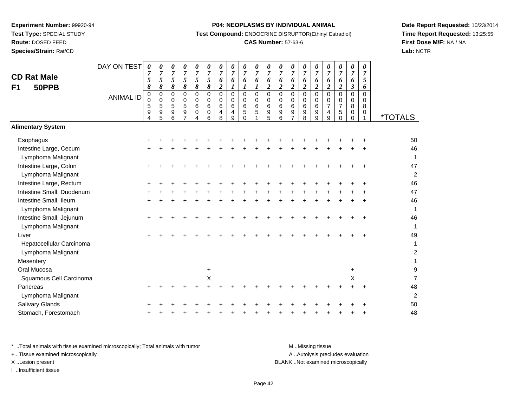**Route:** DOSED FEED

**Species/Strain:** Rat/CD

#### **P04: NEOPLASMS BY INDIVIDUAL ANIMAL**

**Test Compound:** ENDOCRINE DISRUPTOR(Ethinyl Estradiol)

### **CAS Number:** 57-63-6

**Date Report Requested:** 10/23/2014**Time Report Requested:** 13:25:55**First Dose M/F:** NA / NA**Lab:** NCTR

| <b>CD Rat Male</b><br>50PPB<br>F <sub>1</sub> | DAY ON TEST      | 0<br>7<br>5<br>$\pmb{8}$      | 0<br>$\overline{7}$<br>5<br>8        | 0<br>$\overline{7}$<br>5<br>8   | 0<br>$\overline{7}$<br>5<br>8      | 0<br>$\boldsymbol{7}$<br>5<br>8 | 0<br>$\boldsymbol{7}$<br>$\mathfrak{s}$<br>8        | 0<br>$\overline{7}$<br>6<br>$\boldsymbol{2}$ | 0<br>$\overline{7}$<br>6<br>1 | 0<br>$\overline{7}$<br>6<br>1              | 0<br>$\overline{7}$<br>6<br>1 | 0<br>$\overline{7}$<br>6<br>$\boldsymbol{2}$       | 0<br>$\overline{7}$<br>6<br>$\overline{2}$ | 0<br>$\overline{7}$<br>6<br>$\boldsymbol{2}$                | 0<br>$\overline{7}$<br>6<br>$\overline{c}$ | 0<br>$\overline{7}$<br>6<br>$\overline{c}$ | 0<br>$\overline{7}$<br>6<br>$\boldsymbol{2}$                       | 0<br>$\overline{7}$<br>6<br>$\boldsymbol{2}$        | 0<br>$\overline{7}$<br>6<br>$\boldsymbol{\beta}$     | 0<br>7<br>5<br>6 |                       |
|-----------------------------------------------|------------------|-------------------------------|--------------------------------------|---------------------------------|------------------------------------|---------------------------------|-----------------------------------------------------|----------------------------------------------|-------------------------------|--------------------------------------------|-------------------------------|----------------------------------------------------|--------------------------------------------|-------------------------------------------------------------|--------------------------------------------|--------------------------------------------|--------------------------------------------------------------------|-----------------------------------------------------|------------------------------------------------------|------------------|-----------------------|
|                                               | <b>ANIMAL ID</b> | $\pmb{0}$<br>0<br>5<br>9<br>4 | 0<br>0<br>5<br>$\boldsymbol{9}$<br>5 | 0<br>$\mathbf 0$<br>5<br>9<br>6 | 0<br>0<br>5<br>9<br>$\overline{7}$ | 0<br>0<br>6<br>$\mathbf 0$<br>4 | $\mathbf 0$<br>$\mathbf 0$<br>6<br>$\mathbf 0$<br>6 | $\mathbf 0$<br>0<br>6<br>4<br>8              | 0<br>0<br>6<br>4<br>9         | $\mathbf 0$<br>0<br>$\,6$<br>5<br>$\Omega$ | $\mathbf 0$<br>0<br>6<br>5    | $\mathbf 0$<br>0<br>$\,6$<br>$\boldsymbol{9}$<br>5 | $\mathbf 0$<br>$\mathbf 0$<br>6<br>9<br>6  | $\mathbf 0$<br>0<br>6<br>$\boldsymbol{9}$<br>$\overline{7}$ | 0<br>0<br>6<br>9<br>8                      | 0<br>0<br>$\,6$<br>$\boldsymbol{9}$<br>9   | $\mathbf 0$<br>0<br>$\overline{7}$<br>$\overline{\mathbf{4}}$<br>9 | $\mathbf 0$<br>0<br>$\overline{7}$<br>5<br>$\Omega$ | $\mathbf 0$<br>0<br>$\bf8$<br>$\,0\,$<br>$\mathbf 0$ | 0<br>0<br>8<br>0 | <i><b>*TOTALS</b></i> |
| <b>Alimentary System</b>                      |                  |                               |                                      |                                 |                                    |                                 |                                                     |                                              |                               |                                            |                               |                                                    |                                            |                                                             |                                            |                                            |                                                                    |                                                     |                                                      |                  |                       |
| Esophagus                                     |                  |                               |                                      |                                 |                                    |                                 |                                                     |                                              |                               |                                            |                               |                                                    |                                            |                                                             |                                            |                                            |                                                                    |                                                     |                                                      |                  | 50                    |
| Intestine Large, Cecum                        |                  |                               |                                      |                                 |                                    |                                 |                                                     |                                              |                               |                                            |                               |                                                    |                                            |                                                             |                                            |                                            |                                                                    |                                                     |                                                      |                  | 46                    |
| Lymphoma Malignant                            |                  |                               |                                      |                                 |                                    |                                 |                                                     |                                              |                               |                                            |                               |                                                    |                                            |                                                             |                                            |                                            |                                                                    |                                                     |                                                      |                  | -1                    |
| Intestine Large, Colon                        |                  |                               |                                      |                                 |                                    |                                 |                                                     |                                              |                               |                                            |                               |                                                    |                                            |                                                             |                                            |                                            |                                                                    |                                                     |                                                      |                  | 47                    |
| Lymphoma Malignant                            |                  |                               |                                      |                                 |                                    |                                 |                                                     |                                              |                               |                                            |                               |                                                    |                                            |                                                             |                                            |                                            |                                                                    |                                                     |                                                      |                  | $\overline{c}$        |
| Intestine Large, Rectum                       |                  |                               |                                      |                                 |                                    |                                 |                                                     |                                              |                               |                                            |                               |                                                    |                                            |                                                             |                                            |                                            |                                                                    |                                                     |                                                      |                  | 46                    |
| Intestine Small, Duodenum                     |                  |                               |                                      |                                 |                                    |                                 |                                                     |                                              |                               |                                            |                               |                                                    |                                            |                                                             |                                            |                                            |                                                                    |                                                     |                                                      |                  | 47                    |
| Intestine Small, Ileum                        |                  |                               |                                      |                                 |                                    |                                 |                                                     |                                              |                               |                                            |                               |                                                    |                                            |                                                             |                                            |                                            |                                                                    |                                                     |                                                      |                  | 46                    |
| Lymphoma Malignant                            |                  |                               |                                      |                                 |                                    |                                 |                                                     |                                              |                               |                                            |                               |                                                    |                                            |                                                             |                                            |                                            |                                                                    |                                                     |                                                      |                  | $\mathbf{1}$          |
| Intestine Small, Jejunum                      |                  |                               |                                      |                                 |                                    |                                 |                                                     |                                              |                               |                                            |                               |                                                    |                                            |                                                             |                                            |                                            |                                                                    |                                                     |                                                      |                  | 46                    |
| Lymphoma Malignant                            |                  |                               |                                      |                                 |                                    |                                 |                                                     |                                              |                               |                                            |                               |                                                    |                                            |                                                             |                                            |                                            |                                                                    |                                                     |                                                      |                  | 1                     |
| Liver                                         |                  |                               |                                      |                                 |                                    |                                 |                                                     |                                              |                               |                                            |                               |                                                    |                                            |                                                             |                                            |                                            |                                                                    |                                                     |                                                      |                  | 49                    |
| Hepatocellular Carcinoma                      |                  |                               |                                      |                                 |                                    |                                 |                                                     |                                              |                               |                                            |                               |                                                    |                                            |                                                             |                                            |                                            |                                                                    |                                                     |                                                      |                  | $\mathbf{1}$          |
| Lymphoma Malignant                            |                  |                               |                                      |                                 |                                    |                                 |                                                     |                                              |                               |                                            |                               |                                                    |                                            |                                                             |                                            |                                            |                                                                    |                                                     |                                                      |                  | $\boldsymbol{2}$      |
| Mesentery                                     |                  |                               |                                      |                                 |                                    |                                 |                                                     |                                              |                               |                                            |                               |                                                    |                                            |                                                             |                                            |                                            |                                                                    |                                                     |                                                      |                  | $\mathbf{1}$          |
| Oral Mucosa                                   |                  |                               |                                      |                                 |                                    |                                 | $\ddot{}$                                           |                                              |                               |                                            |                               |                                                    |                                            |                                                             |                                            |                                            |                                                                    |                                                     | $\ddot{}$                                            |                  | 9                     |
| Squamous Cell Carcinoma                       |                  |                               |                                      |                                 |                                    |                                 | Χ                                                   |                                              |                               |                                            |                               |                                                    |                                            |                                                             |                                            |                                            |                                                                    |                                                     | X                                                    |                  | $\overline{7}$        |
| Pancreas                                      |                  |                               |                                      |                                 |                                    |                                 |                                                     |                                              |                               |                                            |                               |                                                    |                                            |                                                             |                                            |                                            |                                                                    |                                                     |                                                      |                  | 48                    |
| Lymphoma Malignant                            |                  |                               |                                      |                                 |                                    |                                 |                                                     |                                              |                               |                                            |                               |                                                    |                                            |                                                             |                                            |                                            |                                                                    |                                                     |                                                      |                  | $\overline{2}$        |
| <b>Salivary Glands</b>                        |                  |                               |                                      |                                 |                                    |                                 |                                                     |                                              |                               |                                            |                               |                                                    |                                            |                                                             |                                            |                                            |                                                                    |                                                     |                                                      |                  | 50                    |
| Stomach, Forestomach                          |                  |                               |                                      |                                 |                                    |                                 |                                                     |                                              |                               |                                            |                               |                                                    |                                            |                                                             |                                            |                                            |                                                                    |                                                     |                                                      |                  | 48                    |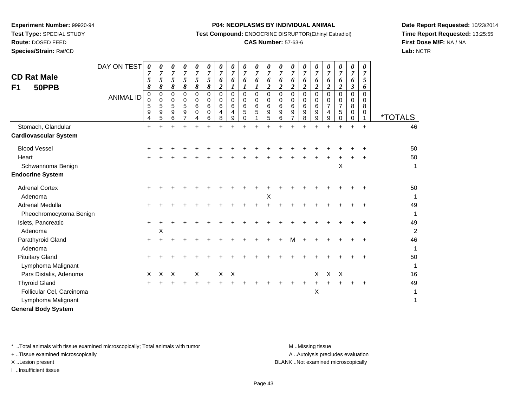**Route:** DOSED FEED

**Species/Strain:** Rat/CD

#### **P04: NEOPLASMS BY INDIVIDUAL ANIMAL**

**Test Compound:** ENDOCRINE DISRUPTOR(Ethinyl Estradiol)

### **CAS Number:** 57-63-6

**Date Report Requested:** 10/23/2014**Time Report Requested:** 13:25:55**First Dose M/F:** NA / NA**Lab:** NCTR

| <b>CD Rat Male</b><br>50PPB<br>F <sub>1</sub> | DAY ON TEST      | 0<br>7<br>5<br>8      | 0<br>$\overline{7}$<br>5<br>8 | 0<br>$\overline{7}$<br>5<br>8 | 0<br>$\boldsymbol{7}$<br>5<br>8    | 0<br>7<br>5<br>8      | 0<br>$\overline{7}$<br>$\mathfrak{s}$<br>$\pmb{8}$ | 0<br>7<br>6<br>$\boldsymbol{2}$ | 0<br>$\overline{7}$<br>6     | 0<br>$\overline{7}$<br>6<br>1 | 0<br>$\overline{7}$<br>6<br>1 | 0<br>7<br>6<br>$\boldsymbol{2}$                | 0<br>$\overline{7}$<br>6<br>$\boldsymbol{2}$ | 0<br>$\overline{7}$<br>6<br>$\boldsymbol{2}$ | 0<br>$\overline{7}$<br>6<br>$\overline{\mathbf{c}}$ | 0<br>$\overline{7}$<br>6<br>$\boldsymbol{2}$                              | 0<br>7<br>6<br>$\boldsymbol{2}$     | 0<br>7<br>6<br>$\boldsymbol{2}$           | 0<br>$\overline{7}$<br>6<br>3 | 0<br>$\overline{7}$<br>5<br>6 |                       |
|-----------------------------------------------|------------------|-----------------------|-------------------------------|-------------------------------|------------------------------------|-----------------------|----------------------------------------------------|---------------------------------|------------------------------|-------------------------------|-------------------------------|------------------------------------------------|----------------------------------------------|----------------------------------------------|-----------------------------------------------------|---------------------------------------------------------------------------|-------------------------------------|-------------------------------------------|-------------------------------|-------------------------------|-----------------------|
|                                               | <b>ANIMAL ID</b> | 0<br>0<br>5<br>9<br>4 | 0<br>0<br>5<br>9<br>5         | 0<br>0<br>5<br>9<br>6         | 0<br>0<br>5<br>9<br>$\overline{7}$ | 0<br>0<br>6<br>0<br>4 | $\Omega$<br>0<br>6<br>0<br>6                       | $\Omega$<br>0<br>6<br>4<br>8    | $\Omega$<br>0<br>6<br>4<br>9 | $\Omega$<br>0<br>6<br>5<br>0  | 0<br>0<br>$\,6\,$<br>5        | $\mathbf 0$<br>0<br>6<br>$\boldsymbol{9}$<br>5 | $\mathbf 0$<br>0<br>6<br>9<br>6              | 0<br>$\mathbf 0$<br>6<br>9<br>$\overline{7}$ | 0<br>0<br>6<br>9<br>8                               | $\mathbf 0$<br>0<br>$\,6$<br>$\begin{smallmatrix} 9\\9 \end{smallmatrix}$ | $\Omega$<br>$\Omega$<br>7<br>4<br>9 | $\mathbf 0$<br>0<br>7<br>5<br>$\mathbf 0$ | 0<br>0<br>8<br>0<br>0         | $\Omega$<br>0<br>8<br>0<br>1  | <i><b>*TOTALS</b></i> |
| Stomach, Glandular                            |                  | $\ddot{}$             | $\ddot{}$                     | $\ddot{}$                     | $\ddot{}$                          | $\ddot{}$             |                                                    | $\ddot{}$                       | $+$                          | $\ddot{}$                     | $\ddot{}$                     |                                                | $\ddot{}$                                    | $\ddot{}$                                    | +                                                   | $\ddot{}$                                                                 |                                     | $\ddot{}$                                 | $\ddot{}$                     | $\ddot{}$                     | 46                    |
| <b>Cardiovascular System</b>                  |                  |                       |                               |                               |                                    |                       |                                                    |                                 |                              |                               |                               |                                                |                                              |                                              |                                                     |                                                                           |                                     |                                           |                               |                               |                       |
| <b>Blood Vessel</b>                           |                  |                       |                               |                               |                                    |                       |                                                    |                                 |                              |                               |                               |                                                |                                              |                                              |                                                     |                                                                           |                                     |                                           |                               |                               | 50                    |
| Heart                                         |                  |                       |                               |                               |                                    |                       |                                                    |                                 |                              |                               |                               |                                                |                                              |                                              |                                                     |                                                                           |                                     |                                           |                               |                               | 50                    |
| Schwannoma Benign                             |                  |                       |                               |                               |                                    |                       |                                                    |                                 |                              |                               |                               |                                                |                                              |                                              |                                                     |                                                                           |                                     | Χ                                         |                               |                               | 1                     |
| <b>Endocrine System</b>                       |                  |                       |                               |                               |                                    |                       |                                                    |                                 |                              |                               |                               |                                                |                                              |                                              |                                                     |                                                                           |                                     |                                           |                               |                               |                       |
| <b>Adrenal Cortex</b>                         |                  | $\ddot{}$             |                               |                               |                                    |                       |                                                    |                                 |                              |                               |                               |                                                |                                              |                                              |                                                     |                                                                           |                                     |                                           |                               |                               | 50                    |
| Adenoma                                       |                  |                       |                               |                               |                                    |                       |                                                    |                                 |                              |                               |                               | X                                              |                                              |                                              |                                                     |                                                                           |                                     |                                           |                               |                               | 1                     |
| Adrenal Medulla                               |                  |                       |                               |                               |                                    |                       |                                                    |                                 |                              |                               |                               |                                                |                                              |                                              |                                                     |                                                                           |                                     |                                           |                               |                               | 49                    |
| Pheochromocytoma Benign                       |                  |                       |                               |                               |                                    |                       |                                                    |                                 |                              |                               |                               |                                                |                                              |                                              |                                                     |                                                                           |                                     |                                           |                               |                               | $\mathbf{1}$          |
| Islets, Pancreatic                            |                  | +                     |                               |                               |                                    |                       |                                                    |                                 |                              |                               |                               |                                                |                                              |                                              |                                                     |                                                                           |                                     |                                           |                               |                               | 49                    |
| Adenoma                                       |                  |                       | X                             |                               |                                    |                       |                                                    |                                 |                              |                               |                               |                                                |                                              |                                              |                                                     |                                                                           |                                     |                                           |                               |                               | $\overline{c}$        |
| Parathyroid Gland                             |                  | $+$                   |                               |                               |                                    |                       |                                                    |                                 |                              |                               |                               |                                                |                                              | м                                            |                                                     |                                                                           |                                     |                                           |                               |                               | 46                    |
| Adenoma                                       |                  |                       |                               |                               |                                    |                       |                                                    |                                 |                              |                               |                               |                                                |                                              |                                              |                                                     |                                                                           |                                     |                                           |                               |                               | $\mathbf{1}$          |
| <b>Pituitary Gland</b>                        |                  | $\ddot{}$             |                               |                               |                                    |                       |                                                    |                                 |                              |                               |                               |                                                |                                              |                                              |                                                     |                                                                           |                                     |                                           |                               |                               | 50                    |
| Lymphoma Malignant                            |                  |                       |                               |                               |                                    |                       |                                                    |                                 |                              |                               |                               |                                                |                                              |                                              |                                                     |                                                                           |                                     |                                           |                               |                               | 1                     |
| Pars Distalis, Adenoma                        |                  | X                     | Χ                             | X                             |                                    | X                     |                                                    | X                               | X                            |                               |                               |                                                |                                              |                                              |                                                     | X                                                                         | X                                   | $\boldsymbol{\mathsf{X}}$                 |                               |                               | 16                    |
| <b>Thyroid Gland</b>                          |                  | ÷                     |                               |                               |                                    |                       |                                                    |                                 |                              |                               |                               |                                                |                                              |                                              |                                                     | +                                                                         |                                     |                                           |                               |                               | 49                    |
| Follicular Cel, Carcinoma                     |                  |                       |                               |                               |                                    |                       |                                                    |                                 |                              |                               |                               |                                                |                                              |                                              |                                                     | X                                                                         |                                     |                                           |                               |                               | 1                     |
| Lymphoma Malignant                            |                  |                       |                               |                               |                                    |                       |                                                    |                                 |                              |                               |                               |                                                |                                              |                                              |                                                     |                                                                           |                                     |                                           |                               |                               | 1                     |
| <b>General Body System</b>                    |                  |                       |                               |                               |                                    |                       |                                                    |                                 |                              |                               |                               |                                                |                                              |                                              |                                                     |                                                                           |                                     |                                           |                               |                               |                       |

\* ..Total animals with tissue examined microscopically; Total animals with tumor **M** . Missing tissue M ..Missing tissue

+ ..Tissue examined microscopically

I ..Insufficient tissue

A ..Autolysis precludes evaluation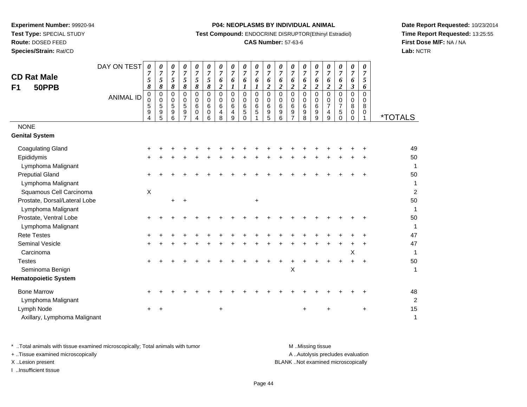**Route:** DOSED FEED

**Species/Strain:** Rat/CD

#### **P04: NEOPLASMS BY INDIVIDUAL ANIMAL**

**Test Compound:** ENDOCRINE DISRUPTOR(Ethinyl Estradiol)

### **CAS Number:** 57-63-6

**Date Report Requested:** 10/23/2014**Time Report Requested:** 13:25:55**First Dose M/F:** NA / NA**Lab:** NCTR

| F1            | <b>CD Rat Male</b><br>50PPB   | DAY ON TEST<br><b>ANIMAL ID</b> | 0<br>$\overline{7}$<br>5<br>8<br>0<br>0 | 0<br>$\overline{7}$<br>$\mathfrak{s}$<br>8<br>0<br>$\mathbf 0$ | 0<br>$\overline{7}$<br>5<br>8<br>0<br>0 | 0<br>$\boldsymbol{7}$<br>5<br>$\pmb{\delta}$<br>$\pmb{0}$<br>0 | 0<br>$\overline{7}$<br>5<br>8<br>$\mathbf 0$<br>$\mathbf 0$ | 0<br>$\overline{7}$<br>5<br>8<br>$\mathbf 0$<br>$\mathbf 0$ | 0<br>$\overline{7}$<br>6<br>$\boldsymbol{2}$<br>$\mathbf 0$<br>$\mathbf 0$ | 0<br>$\overline{7}$<br>6<br>$\boldsymbol{l}$<br>$\mathbf 0$<br>$\mathbf 0$ | 0<br>$\overline{7}$<br>6<br>$\boldsymbol{l}$<br>$\pmb{0}$<br>0 | 0<br>$\overline{7}$<br>6<br>$\boldsymbol{l}$<br>$\mathbf 0$<br>$\mathbf 0$ | 0<br>$\overline{7}$<br>6<br>$\boldsymbol{2}$<br>$\Omega$<br>0 | 0<br>$\overline{7}$<br>6<br>$\boldsymbol{2}$<br>$\mathbf 0$<br>0 | 0<br>$\overline{7}$<br>6<br>$\overline{\mathbf{c}}$<br>0<br>0 | 0<br>7<br>6<br>$\overline{\mathbf{c}}$<br>$\mathbf 0$<br>$\mathbf 0$ | 0<br>$\overline{7}$<br>6<br>$\overline{2}$<br>$\Omega$<br>0 | 0<br>$\overline{7}$<br>6<br>$\boldsymbol{2}$<br>$\Omega$<br>$\Omega$ | 0<br>$\boldsymbol{7}$<br>6<br>$\boldsymbol{2}$<br>$\pmb{0}$<br>$\mathbf 0$ | 0<br>$\overline{7}$<br>6<br>3<br>0<br>0 | 0<br>$\overline{7}$<br>5<br>6<br>0<br>$\Omega$ |                       |
|---------------|-------------------------------|---------------------------------|-----------------------------------------|----------------------------------------------------------------|-----------------------------------------|----------------------------------------------------------------|-------------------------------------------------------------|-------------------------------------------------------------|----------------------------------------------------------------------------|----------------------------------------------------------------------------|----------------------------------------------------------------|----------------------------------------------------------------------------|---------------------------------------------------------------|------------------------------------------------------------------|---------------------------------------------------------------|----------------------------------------------------------------------|-------------------------------------------------------------|----------------------------------------------------------------------|----------------------------------------------------------------------------|-----------------------------------------|------------------------------------------------|-----------------------|
|               |                               |                                 | 5<br>9<br>4                             | $\sqrt{5}$<br>9<br>5                                           | 5<br>9<br>6                             | $\sqrt{5}$<br>$\mathsf g$<br>$\overline{7}$                    | 6<br>0<br>4                                                 | 6<br>0<br>6                                                 | 6<br>4<br>8                                                                | 6<br>9                                                                     | $\,6\,$<br>5<br>$\Omega$                                       | 6<br>5                                                                     | 6<br>9<br>5                                                   | 6<br>9<br>6                                                      | 6<br>9<br>$\overline{7}$                                      | 6<br>$\boldsymbol{9}$<br>$\mathbf{8}$                                | 6<br>9<br>9                                                 | $\overline{7}$<br>4<br>9                                             | $\overline{7}$<br>5<br>$\Omega$                                            | 8<br>0<br>0                             | 8<br>0                                         | <i><b>*TOTALS</b></i> |
| <b>NONE</b>   |                               |                                 |                                         |                                                                |                                         |                                                                |                                                             |                                                             |                                                                            |                                                                            |                                                                |                                                                            |                                                               |                                                                  |                                                               |                                                                      |                                                             |                                                                      |                                                                            |                                         |                                                |                       |
|               | <b>Genital System</b>         |                                 |                                         |                                                                |                                         |                                                                |                                                             |                                                             |                                                                            |                                                                            |                                                                |                                                                            |                                                               |                                                                  |                                                               |                                                                      |                                                             |                                                                      |                                                                            |                                         |                                                |                       |
|               | <b>Coagulating Gland</b>      |                                 |                                         |                                                                |                                         |                                                                |                                                             |                                                             |                                                                            |                                                                            |                                                                |                                                                            |                                                               |                                                                  |                                                               |                                                                      |                                                             |                                                                      |                                                                            |                                         |                                                | 49                    |
|               | Epididymis                    |                                 | ÷                                       |                                                                |                                         |                                                                |                                                             |                                                             |                                                                            |                                                                            |                                                                |                                                                            |                                                               |                                                                  |                                                               |                                                                      |                                                             |                                                                      |                                                                            |                                         |                                                | 50                    |
|               | Lymphoma Malignant            |                                 |                                         |                                                                |                                         |                                                                |                                                             |                                                             |                                                                            |                                                                            |                                                                |                                                                            |                                                               |                                                                  |                                                               |                                                                      |                                                             |                                                                      |                                                                            |                                         |                                                |                       |
|               | <b>Preputial Gland</b>        |                                 | $\ddot{}$                               |                                                                |                                         |                                                                |                                                             |                                                             |                                                                            |                                                                            |                                                                |                                                                            |                                                               |                                                                  |                                                               |                                                                      |                                                             |                                                                      |                                                                            |                                         | $\ddot{}$                                      | 50                    |
|               | Lymphoma Malignant            |                                 |                                         |                                                                |                                         |                                                                |                                                             |                                                             |                                                                            |                                                                            |                                                                |                                                                            |                                                               |                                                                  |                                                               |                                                                      |                                                             |                                                                      |                                                                            |                                         |                                                | 1                     |
|               | Squamous Cell Carcinoma       |                                 | $\pmb{\times}$                          |                                                                |                                         |                                                                |                                                             |                                                             |                                                                            |                                                                            |                                                                |                                                                            |                                                               |                                                                  |                                                               |                                                                      |                                                             |                                                                      |                                                                            |                                         |                                                | $\overline{c}$        |
|               | Prostate, Dorsal/Lateral Lobe |                                 |                                         |                                                                | $\pm$                                   | $\ddot{}$                                                      |                                                             |                                                             |                                                                            |                                                                            |                                                                | +                                                                          |                                                               |                                                                  |                                                               |                                                                      |                                                             |                                                                      |                                                                            |                                         |                                                | 50                    |
|               | Lymphoma Malignant            |                                 |                                         |                                                                |                                         |                                                                |                                                             |                                                             |                                                                            |                                                                            |                                                                |                                                                            |                                                               |                                                                  |                                                               |                                                                      |                                                             |                                                                      |                                                                            |                                         |                                                |                       |
|               | Prostate, Ventral Lobe        |                                 | $\ddot{}$                               |                                                                |                                         |                                                                |                                                             |                                                             |                                                                            |                                                                            |                                                                |                                                                            |                                                               |                                                                  |                                                               |                                                                      |                                                             |                                                                      |                                                                            |                                         |                                                | 50                    |
|               | Lymphoma Malignant            |                                 |                                         |                                                                |                                         |                                                                |                                                             |                                                             |                                                                            |                                                                            |                                                                |                                                                            |                                                               |                                                                  |                                                               |                                                                      |                                                             |                                                                      |                                                                            |                                         |                                                |                       |
|               | <b>Rete Testes</b>            |                                 |                                         |                                                                |                                         |                                                                |                                                             |                                                             |                                                                            |                                                                            |                                                                |                                                                            |                                                               |                                                                  |                                                               |                                                                      |                                                             |                                                                      |                                                                            |                                         |                                                | 47                    |
|               | <b>Seminal Vesicle</b>        |                                 |                                         |                                                                |                                         |                                                                |                                                             |                                                             |                                                                            |                                                                            |                                                                |                                                                            |                                                               |                                                                  |                                                               |                                                                      |                                                             |                                                                      |                                                                            |                                         | $\ddot{}$                                      | 47                    |
|               | Carcinoma                     |                                 |                                         |                                                                |                                         |                                                                |                                                             |                                                             |                                                                            |                                                                            |                                                                |                                                                            |                                                               |                                                                  |                                                               |                                                                      |                                                             |                                                                      |                                                                            | Χ                                       |                                                | 1                     |
| <b>Testes</b> |                               |                                 |                                         |                                                                |                                         |                                                                |                                                             |                                                             |                                                                            |                                                                            |                                                                |                                                                            |                                                               |                                                                  |                                                               |                                                                      |                                                             |                                                                      |                                                                            |                                         |                                                | 50                    |
|               | Seminoma Benign               |                                 |                                         |                                                                |                                         |                                                                |                                                             |                                                             |                                                                            |                                                                            |                                                                |                                                                            |                                                               |                                                                  | Χ                                                             |                                                                      |                                                             |                                                                      |                                                                            |                                         |                                                | $\mathbf 1$           |
|               | <b>Hematopoietic System</b>   |                                 |                                         |                                                                |                                         |                                                                |                                                             |                                                             |                                                                            |                                                                            |                                                                |                                                                            |                                                               |                                                                  |                                                               |                                                                      |                                                             |                                                                      |                                                                            |                                         |                                                |                       |
|               | <b>Bone Marrow</b>            |                                 |                                         |                                                                |                                         |                                                                |                                                             |                                                             |                                                                            |                                                                            |                                                                |                                                                            |                                                               |                                                                  |                                                               |                                                                      |                                                             |                                                                      |                                                                            |                                         |                                                | 48                    |
|               | Lymphoma Malignant            |                                 |                                         |                                                                |                                         |                                                                |                                                             |                                                             |                                                                            |                                                                            |                                                                |                                                                            |                                                               |                                                                  |                                                               |                                                                      |                                                             |                                                                      |                                                                            |                                         |                                                | $\overline{c}$        |
|               | Lymph Node                    |                                 | $\ddot{}$                               |                                                                |                                         |                                                                |                                                             |                                                             | $\ddot{}$                                                                  |                                                                            |                                                                |                                                                            |                                                               |                                                                  |                                                               | +                                                                    |                                                             | $\ddot{}$                                                            |                                                                            |                                         | $\ddot{}$                                      | 15                    |
|               | Axillary, Lymphoma Malignant  |                                 |                                         |                                                                |                                         |                                                                |                                                             |                                                             |                                                                            |                                                                            |                                                                |                                                                            |                                                               |                                                                  |                                                               |                                                                      |                                                             |                                                                      |                                                                            |                                         |                                                | 1                     |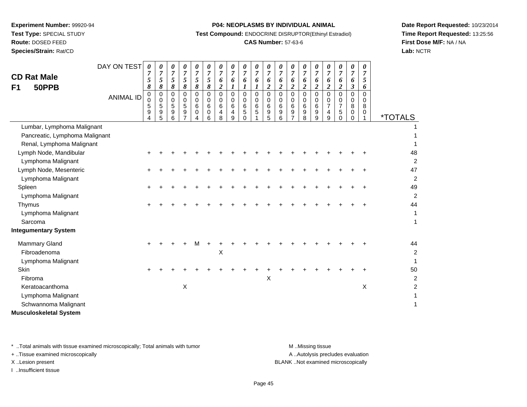**Experiment Number:** 99920-94**Test Type:** SPECIAL STUDY**Route:** DOSED FEED

### **Species/Strain:** Rat/CD

#### **P04: NEOPLASMS BY INDIVIDUAL ANIMAL**

**Test Compound:** ENDOCRINE DISRUPTOR(Ethinyl Estradiol)

### **CAS Number:** 57-63-6

**Date Report Requested:** 10/23/2014**Time Report Requested:** 13:25:56**First Dose M/F:** NA / NA**Lab:** NCTR

| <b>CD Rat Male</b><br>50PPB<br>F <sub>1</sub>                                             | DAY ON TEST      | 0<br>7<br>5<br>8      | 0<br>$\sqrt{5}$<br>8  | 0<br>$\overline{7}$<br>5<br>8 | 0<br>$\overline{7}$<br>5<br>8      | 0<br>$\overline{7}$<br>$\mathfrak{s}$<br>8 | 0<br>$\overline{7}$<br>$\sqrt{5}$<br>8 | 0<br>$\overline{7}$<br>6<br>$\boldsymbol{2}$ | 0<br>$\overline{7}$<br>6 | 0<br>$\overline{7}$<br>6<br>1      | 0<br>$\overline{7}$<br>6<br>1    | 0<br>$\overline{7}$<br>6<br>2          | 0<br>$\boldsymbol{7}$<br>6<br>2 | 0<br>7<br>6<br>$\overline{2}$      | 0<br>7<br>6<br>$\overline{2}$         | 0<br>7<br>6<br>$\overline{2}$ | 0<br>7<br>6<br>$\overline{2}$                | 0<br>$\overline{7}$<br>6<br>$\boldsymbol{2}$ | 0<br>7<br>6<br>3      | 0<br>$\overline{7}$<br>5<br>6 |                                               |
|-------------------------------------------------------------------------------------------|------------------|-----------------------|-----------------------|-------------------------------|------------------------------------|--------------------------------------------|----------------------------------------|----------------------------------------------|--------------------------|------------------------------------|----------------------------------|----------------------------------------|---------------------------------|------------------------------------|---------------------------------------|-------------------------------|----------------------------------------------|----------------------------------------------|-----------------------|-------------------------------|-----------------------------------------------|
|                                                                                           | <b>ANIMAL ID</b> | 0<br>0<br>5<br>9<br>4 | 0<br>0<br>5<br>9<br>5 | 0<br>0<br>5<br>9<br>6         | 0<br>0<br>5<br>9<br>$\overline{7}$ | $\Omega$<br>$\Omega$<br>6<br>0<br>4        | $\mathbf 0$<br>$\Omega$<br>6<br>0<br>6 | $\mathbf 0$<br>0<br>6<br>4<br>8              | 0<br>0<br>6<br>4<br>9    | 0<br>0<br>$\,6\,$<br>5<br>$\Omega$ | $\mathbf 0$<br>0<br>$\,6\,$<br>5 | $\mathbf 0$<br>$\Omega$<br>6<br>9<br>5 | $\mathbf 0$<br>0<br>6<br>9<br>6 | 0<br>0<br>6<br>9<br>$\overline{7}$ | $\mathbf 0$<br>0<br>$\,6\,$<br>9<br>8 | $\Omega$<br>0<br>6<br>9<br>9  | $\mathbf 0$<br>0<br>$\overline{7}$<br>4<br>9 | $\pmb{0}$<br>0<br>$\overline{7}$<br>5<br>0   | 0<br>0<br>8<br>0<br>0 | $\Omega$<br>0<br>8<br>0       | <i><b>*TOTALS</b></i>                         |
| Lumbar, Lymphoma Malignant<br>Pancreatic, Lymphoma Malignant<br>Renal, Lymphoma Malignant |                  |                       |                       |                               |                                    |                                            |                                        |                                              |                          |                                    |                                  |                                        |                                 |                                    |                                       |                               |                                              |                                              |                       |                               |                                               |
| Lymph Node, Mandibular<br>Lymphoma Malignant                                              |                  |                       |                       |                               |                                    |                                            |                                        |                                              |                          |                                    |                                  |                                        |                                 |                                    |                                       |                               |                                              |                                              |                       |                               | 48<br>$\overline{2}$                          |
| Lymph Node, Mesenteric<br>Lymphoma Malignant                                              |                  |                       |                       |                               |                                    |                                            |                                        |                                              |                          |                                    |                                  |                                        |                                 |                                    |                                       |                               |                                              |                                              |                       |                               | 47<br>$\overline{c}$                          |
| Spleen<br>Lymphoma Malignant                                                              |                  |                       |                       |                               |                                    |                                            |                                        |                                              |                          |                                    |                                  |                                        |                                 |                                    |                                       |                               |                                              |                                              |                       |                               | 49<br>$\overline{c}$                          |
| Thymus<br>Lymphoma Malignant                                                              |                  |                       |                       |                               |                                    |                                            |                                        |                                              |                          |                                    |                                  |                                        |                                 |                                    |                                       |                               |                                              |                                              |                       |                               | 44<br>1                                       |
| Sarcoma<br><b>Integumentary System</b>                                                    |                  |                       |                       |                               |                                    |                                            |                                        |                                              |                          |                                    |                                  |                                        |                                 |                                    |                                       |                               |                                              |                                              |                       |                               | 1                                             |
| <b>Mammary Gland</b><br>Fibroadenoma<br>Lymphoma Malignant                                |                  | $\ddot{}$             |                       |                               |                                    |                                            |                                        | X                                            |                          |                                    |                                  |                                        |                                 |                                    |                                       |                               |                                              |                                              |                       |                               | 44<br>$\overline{\mathbf{c}}$<br>$\mathbf{1}$ |
| <b>Skin</b><br>Fibroma                                                                    |                  |                       |                       |                               |                                    |                                            |                                        |                                              |                          |                                    |                                  | X                                      |                                 |                                    |                                       |                               |                                              |                                              |                       |                               | 50<br>$\overline{c}$                          |
| Keratoacanthoma<br>Lymphoma Malignant<br>Schwannoma Malignant                             |                  |                       |                       |                               | X                                  |                                            |                                        |                                              |                          |                                    |                                  |                                        |                                 |                                    |                                       |                               |                                              |                                              |                       | $\boldsymbol{\mathsf{X}}$     | 2                                             |
| <b>Musculoskeletal System</b>                                                             |                  |                       |                       |                               |                                    |                                            |                                        |                                              |                          |                                    |                                  |                                        |                                 |                                    |                                       |                               |                                              |                                              |                       |                               |                                               |

\* ..Total animals with tissue examined microscopically; Total animals with tumor **M** . Missing tissue M ..Missing tissue

+ ..Tissue examined microscopically

I ..Insufficient tissue

A ..Autolysis precludes evaluation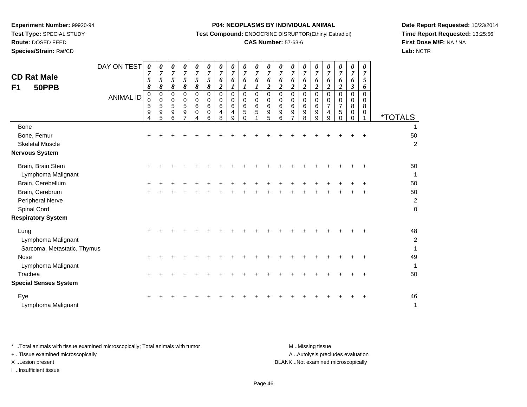**Route:** DOSED FEED

**Species/Strain:** Rat/CD

#### **P04: NEOPLASMS BY INDIVIDUAL ANIMAL**

**Test Compound:** ENDOCRINE DISRUPTOR(Ethinyl Estradiol)

### **CAS Number:** 57-63-6

**Date Report Requested:** 10/23/2014**Time Report Requested:** 13:25:56**First Dose M/F:** NA / NA**Lab:** NCTR

| <b>CD Rat Male</b><br>50PPB<br>F <sub>1</sub>             | DAY ON TEST      | $\boldsymbol{\theta}$<br>7<br>5<br>8 | 0<br>$\overline{7}$<br>5<br>8 | 0<br>$\overline{7}$<br>5<br>8 | 0<br>$\overline{7}$<br>5<br>8 | 0<br>$\overline{7}$<br>5<br>$\pmb{8}$ | 0<br>$\overline{7}$<br>5<br>8   | 0<br>$\overline{7}$<br>6<br>$\boldsymbol{2}$ | 0<br>$\overline{7}$<br>6                      | 0<br>$\overline{7}$<br>6        | 0<br>$\boldsymbol{7}$<br>6<br>$\boldsymbol{l}$ | 0<br>$\overline{7}$<br>6<br>$\boldsymbol{2}$ | 0<br>$\boldsymbol{7}$<br>6<br>$\boldsymbol{2}$ | 0<br>$\overline{7}$<br>6<br>$\overline{\mathbf{2}}$ | 0<br>$\overline{7}$<br>6<br>$\overline{\mathbf{c}}$ | 0<br>$\overline{7}$<br>6<br>$\overline{c}$           | 0<br>$\overline{7}$<br>6<br>$\boldsymbol{2}$     | 0<br>$\overline{7}$<br>6<br>$\boldsymbol{2}$        | 0<br>$\overline{7}$<br>6<br>3 | 0<br>$\overline{7}$<br>5<br>6 |                                      |
|-----------------------------------------------------------|------------------|--------------------------------------|-------------------------------|-------------------------------|-------------------------------|---------------------------------------|---------------------------------|----------------------------------------------|-----------------------------------------------|---------------------------------|------------------------------------------------|----------------------------------------------|------------------------------------------------|-----------------------------------------------------|-----------------------------------------------------|------------------------------------------------------|--------------------------------------------------|-----------------------------------------------------|-------------------------------|-------------------------------|--------------------------------------|
|                                                           | <b>ANIMAL ID</b> | $\mathbf 0$<br>0<br>5<br>9<br>4      | 0<br>0<br>5<br>9<br>5         | 0<br>0<br>5<br>9<br>6         | 0<br>0<br>5<br>9              | 0<br>0<br>6<br>0<br>4                 | $\mathbf 0$<br>0<br>6<br>0<br>6 | $\mathbf 0$<br>$\Omega$<br>6<br>4<br>8       | 0<br>$\mathbf 0$<br>$6\phantom{1}6$<br>4<br>9 | 0<br>$\mathbf 0$<br>6<br>5<br>0 | 0<br>0<br>$\,6\,$<br>$\sqrt{5}$                | $\mathbf 0$<br>0<br>6<br>9<br>5              | $\mathbf 0$<br>0<br>6<br>9<br>6                | 0<br>0<br>6<br>9<br>7                               | $\mathbf 0$<br>0<br>6<br>9<br>8                     | $\mathbf 0$<br>0<br>$\,6\,$<br>$\boldsymbol{9}$<br>9 | $\Omega$<br>$\Omega$<br>$\overline{7}$<br>4<br>9 | $\mathbf 0$<br>0<br>$\overline{7}$<br>5<br>$\Omega$ | 0<br>0<br>8<br>0<br>$\Omega$  | 0<br>0<br>8<br>0              | <i><b>*TOTALS</b></i>                |
| <b>Bone</b>                                               |                  |                                      |                               |                               |                               |                                       |                                 |                                              |                                               |                                 |                                                |                                              |                                                |                                                     |                                                     |                                                      |                                                  |                                                     |                               |                               |                                      |
| Bone, Femur                                               |                  | $\pm$                                |                               |                               |                               |                                       |                                 |                                              |                                               |                                 |                                                |                                              |                                                |                                                     |                                                     |                                                      |                                                  |                                                     |                               | $\div$                        | 50                                   |
| <b>Skeletal Muscle</b>                                    |                  |                                      |                               |                               |                               |                                       |                                 |                                              |                                               |                                 |                                                |                                              |                                                |                                                     |                                                     |                                                      |                                                  |                                                     |                               |                               | $\overline{c}$                       |
| <b>Nervous System</b>                                     |                  |                                      |                               |                               |                               |                                       |                                 |                                              |                                               |                                 |                                                |                                              |                                                |                                                     |                                                     |                                                      |                                                  |                                                     |                               |                               |                                      |
| Brain, Brain Stem<br>Lymphoma Malignant                   |                  |                                      |                               |                               |                               |                                       |                                 |                                              |                                               |                                 |                                                |                                              |                                                |                                                     |                                                     |                                                      |                                                  |                                                     |                               |                               | 50<br>$\mathbf{1}$                   |
| Brain, Cerebellum                                         |                  |                                      |                               |                               |                               |                                       |                                 |                                              |                                               |                                 |                                                |                                              |                                                |                                                     |                                                     |                                                      |                                                  |                                                     |                               |                               | 50                                   |
| Brain, Cerebrum<br>Peripheral Nerve<br>Spinal Cord        |                  |                                      |                               |                               |                               |                                       |                                 |                                              |                                               |                                 |                                                |                                              |                                                |                                                     |                                                     |                                                      |                                                  |                                                     |                               |                               | 50<br>$\boldsymbol{2}$<br>0          |
| <b>Respiratory System</b>                                 |                  |                                      |                               |                               |                               |                                       |                                 |                                              |                                               |                                 |                                                |                                              |                                                |                                                     |                                                     |                                                      |                                                  |                                                     |                               |                               |                                      |
| Lung<br>Lymphoma Malignant<br>Sarcoma, Metastatic, Thymus |                  |                                      |                               |                               |                               |                                       |                                 |                                              |                                               |                                 |                                                |                                              |                                                |                                                     |                                                     |                                                      |                                                  |                                                     |                               |                               | 48<br>$\overline{c}$<br>$\mathbf{1}$ |
| <b>Nose</b><br>Lymphoma Malignant                         |                  |                                      |                               |                               |                               |                                       |                                 |                                              |                                               |                                 |                                                |                                              |                                                |                                                     |                                                     |                                                      |                                                  |                                                     |                               |                               | 49<br>$\mathbf{1}$                   |
| Trachea                                                   |                  | $\pm$                                |                               |                               |                               |                                       |                                 |                                              |                                               |                                 |                                                |                                              |                                                |                                                     |                                                     |                                                      |                                                  |                                                     |                               |                               | 50                                   |
| <b>Special Senses System</b>                              |                  |                                      |                               |                               |                               |                                       |                                 |                                              |                                               |                                 |                                                |                                              |                                                |                                                     |                                                     |                                                      |                                                  |                                                     |                               |                               |                                      |
| Eye<br>Lymphoma Malignant                                 |                  |                                      |                               |                               |                               |                                       |                                 |                                              |                                               |                                 |                                                |                                              |                                                |                                                     |                                                     |                                                      |                                                  |                                                     |                               |                               | 46<br>1                              |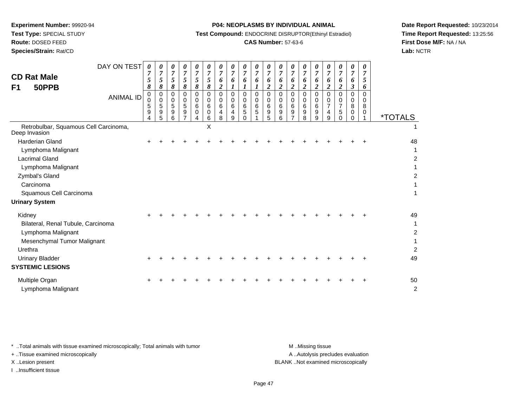**Test Type:** SPECIAL STUDY

**Route:** DOSED FEED

**Species/Strain:** Rat/CD

#### **P04: NEOPLASMS BY INDIVIDUAL ANIMAL**

**Test Compound:** ENDOCRINE DISRUPTOR(Ethinyl Estradiol)

### **CAS Number:** 57-63-6

**Date Report Requested:** 10/23/2014**Time Report Requested:** 13:25:56**First Dose M/F:** NA / NA**Lab:** NCTR

| <b>CD Rat Male</b><br>50PPB<br>F <sub>1</sub>                                                                                                                                  | DAY ON TEST<br><b>ANIMAL ID</b> | 0<br>7<br>5<br>8<br>0<br>0<br>5<br>9<br>4 | 0<br>$\overline{7}$<br>5<br>8<br>0<br>$\mathbf 0$<br>$\overline{5}$<br>9<br>5 | 0<br>$\overline{7}$<br>5<br>8<br>0<br>0<br>5<br>9<br>6 | 0<br>$\overline{7}$<br>5<br>8<br>$\Omega$<br>0<br>5<br>9 | 0<br>$\overline{7}$<br>5<br>8<br>$\Omega$<br>0<br>6<br>0<br>4 | 0<br>$\overline{7}$<br>5<br>8<br>$\Omega$<br>0<br>6<br>0<br>6 | 0<br>$\overline{7}$<br>6<br>$\boldsymbol{2}$<br>0<br>0<br>6<br>$\overline{4}$<br>8 | 0<br>$\overline{7}$<br>6<br>$\Omega$<br>0<br>6<br>4<br>9 | 0<br>$\overline{7}$<br>6<br>1<br>$\Omega$<br>$\mathbf 0$<br>6<br>$5\phantom{.0}$<br>$\Omega$ | 0<br>7<br>6<br>$\Omega$<br>0<br>$\,6$<br>5 | 0<br>$\overline{7}$<br>6<br>$\boldsymbol{2}$<br>$\Omega$<br>0<br>$\,6$<br>9<br>5 | 0<br>$\overline{7}$<br>6<br>$\boldsymbol{2}$<br>$\Omega$<br>0<br>6<br>9<br>6 | 0<br>$\overline{7}$<br>6<br>$\boldsymbol{2}$<br>$\Omega$<br>0<br>6<br>9<br>$\overline{ }$ | 0<br>$\overline{7}$<br>6<br>$\overline{\mathbf{c}}$<br>0<br>0<br>6<br>9<br>8 | 0<br>$\overline{7}$<br>6<br>$\boldsymbol{2}$<br>$\Omega$<br>0<br>6<br>9<br>9 | 0<br>$\overline{7}$<br>6<br>$\boldsymbol{2}$<br>$\Omega$<br>0<br>$\overline{7}$<br>4<br>9 | 0<br>$\overline{7}$<br>6<br>$\boldsymbol{2}$<br>$\Omega$<br>0<br>$\overline{7}$<br>$\,$ 5 $\,$<br>$\Omega$ | 0<br>$\overline{7}$<br>6<br>3<br>$\Omega$<br>0<br>8<br>0<br>$\Omega$ | 0<br>$\overline{7}$<br>5<br>6<br>$\Omega$<br>0<br>8<br>0 | <i><b>*TOTALS</b></i>                                             |
|--------------------------------------------------------------------------------------------------------------------------------------------------------------------------------|---------------------------------|-------------------------------------------|-------------------------------------------------------------------------------|--------------------------------------------------------|----------------------------------------------------------|---------------------------------------------------------------|---------------------------------------------------------------|------------------------------------------------------------------------------------|----------------------------------------------------------|----------------------------------------------------------------------------------------------|--------------------------------------------|----------------------------------------------------------------------------------|------------------------------------------------------------------------------|-------------------------------------------------------------------------------------------|------------------------------------------------------------------------------|------------------------------------------------------------------------------|-------------------------------------------------------------------------------------------|------------------------------------------------------------------------------------------------------------|----------------------------------------------------------------------|----------------------------------------------------------|-------------------------------------------------------------------|
| Retrobulbar, Squamous Cell Carcinoma,<br>Deep Invasion                                                                                                                         |                                 |                                           |                                                                               |                                                        |                                                          |                                                               | X                                                             |                                                                                    |                                                          |                                                                                              |                                            |                                                                                  |                                                                              |                                                                                           |                                                                              |                                                                              |                                                                                           |                                                                                                            |                                                                      |                                                          |                                                                   |
| <b>Harderian Gland</b><br>Lymphoma Malignant<br><b>Lacrimal Gland</b><br>Lymphoma Malignant<br>Zymbal's Gland<br>Carcinoma<br>Squamous Cell Carcinoma<br><b>Urinary System</b> |                                 |                                           |                                                                               |                                                        |                                                          |                                                               |                                                               |                                                                                    |                                                          |                                                                                              |                                            |                                                                                  |                                                                              |                                                                                           |                                                                              |                                                                              |                                                                                           |                                                                                                            |                                                                      |                                                          | 48<br>1<br>2<br>$\overline{c}$<br>$\mathbf{1}$<br>1               |
| Kidney<br>Bilateral, Renal Tubule, Carcinoma<br>Lymphoma Malignant<br>Mesenchymal Tumor Malignant<br>Urethra<br><b>Urinary Bladder</b><br><b>SYSTEMIC LESIONS</b>              |                                 |                                           |                                                                               |                                                        |                                                          |                                                               |                                                               |                                                                                    |                                                          |                                                                                              |                                            |                                                                                  |                                                                              |                                                                                           |                                                                              |                                                                              |                                                                                           |                                                                                                            |                                                                      |                                                          | 49<br>1<br>$\overline{c}$<br>$\mathbf{1}$<br>$\overline{2}$<br>49 |
| Multiple Organ<br>Lymphoma Malignant                                                                                                                                           |                                 |                                           |                                                                               |                                                        |                                                          |                                                               |                                                               |                                                                                    |                                                          |                                                                                              |                                            |                                                                                  |                                                                              |                                                                                           |                                                                              |                                                                              |                                                                                           |                                                                                                            |                                                                      |                                                          | 50<br>$\overline{c}$                                              |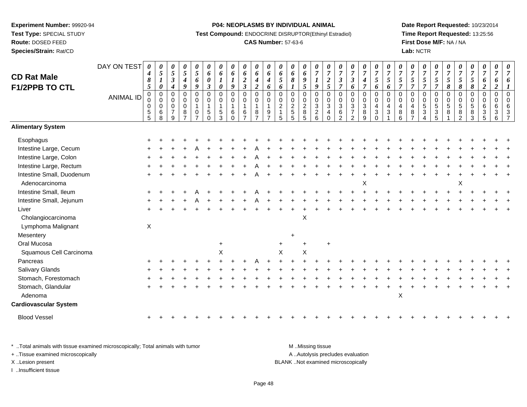**Route:** DOSED FEED

**Species/Strain:** Rat/CD

#### **P04: NEOPLASMS BY INDIVIDUAL ANIMAL**

**Test Compound:** ENDOCRINE DISRUPTOR(Ethinyl Estradiol)

### **CAS Number:** 57-63-6

**Date Report Requested:** 10/23/2014**Time Report Requested:** 13:25:56**First Dose M/F:** NA / NA**Lab:** NCTR

| <b>CD Rat Male</b><br><b>F1/2PPB TO CTL</b> | DAY ON TEST<br><b>ANIMAL ID</b> | 0<br>$\boldsymbol{4}$<br>8<br>5<br>0<br>$\mathbf 0$<br>0<br>$\frac{5}{5}$ | 0<br>5<br>$\boldsymbol{l}$<br>0<br>$\overline{0}$<br>$\pmb{0}$<br>$\pmb{0}$<br>6<br>$\overline{8}$ | 0<br>$\mathfrak{s}$<br>$\boldsymbol{\beta}$<br>4<br>$\mathbf 0$<br>0<br>$\mathbf 0$<br>$\overline{7}$<br>9 | $\boldsymbol{\theta}$<br>$\sqrt{5}$<br>$\boldsymbol{4}$<br>9<br>$\overline{0}$<br>$\mathbf 0$<br>$\pmb{0}$<br>8 | $\pmb{\theta}$<br>$\mathfrak{s}$<br>6<br>9<br>$\pmb{0}$<br>$\mathbf 0$<br>$\overline{1}$<br>0<br>$\overline{ }$ | 0<br>6<br>$\boldsymbol{\theta}$<br>$\boldsymbol{\beta}$<br>$\mathbf 0$<br>$\mathbf 0$<br>$\mathbf{1}$<br>5<br>$\Omega$ | 0<br>6<br>$\boldsymbol{l}$<br>$\boldsymbol{\theta}$<br>$\mathbf 0$<br>0<br>$\mathbf{1}$<br>$\mathbf 5$<br>3 | 0<br>6<br>1<br>9<br>$\mathbf 0$<br>$\Omega$<br>$\overline{1}$<br>6<br>$\Omega$ | 0<br>6<br>$\boldsymbol{2}$<br>$\boldsymbol{\beta}$<br>$\mathbf 0$<br>$\mathbf 0$<br>1<br>6 | 0<br>6<br>$\boldsymbol{4}$<br>$\boldsymbol{2}$<br>$\mathbf 0$<br>0<br>$\mathbf{1}$<br>8<br>$\overline{z}$ | $\pmb{\theta}$<br>6<br>$\boldsymbol{4}$<br>6<br>$\overline{0}$<br>$\pmb{0}$<br>$\mathbf{1}$<br>9<br>$\overline{ }$ | 0<br>6<br>5<br>6<br>$\mathbf 0$<br>0<br>$\overline{2}$<br>5 | $\boldsymbol{\theta}$<br>6<br>8<br>$\mathbf 0$<br>$\begin{array}{c} 0 \\ 2 \\ 5 \end{array}$<br>5 | $\pmb{\theta}$<br>6<br>$\boldsymbol{g}$<br>5<br>0<br>$\pmb{0}$<br>$\frac{2}{8}$<br>5 | 0<br>$\overline{7}$<br>$\boldsymbol{l}$<br>9<br>$\pmb{0}$<br>$\mathbf 0$<br>$\sqrt{3}$<br>$\frac{2}{6}$ | 0<br>$\overline{7}$<br>$\sqrt{2}$<br>5<br>$\mathbf 0$<br>$\mathbf 0$<br>$\sqrt{3}$<br>4<br>$\Omega$ | 0<br>$\overline{7}$<br>$\boldsymbol{\beta}$<br>$\overline{7}$<br>$\mathbf 0$<br>$\Omega$<br>3<br>6<br>ົ | 0<br>$\overline{7}$<br>$\boldsymbol{\mathfrak{z}}$<br>6<br>0<br>0<br>3<br>$\overline{7}$<br>$\mathcal{P}$ | $\pmb{\theta}$<br>$\boldsymbol{7}$<br>$\boldsymbol{4}$<br>$\overline{7}$<br>$\pmb{0}$<br>0<br>$\sqrt{3}$<br>8<br>9 | $\pmb{\theta}$<br>$\boldsymbol{7}$<br>5<br>6<br>$\overline{0}$<br>$\pmb{0}$<br>$\overline{\mathbf{4}}$<br>$\sqrt{3}$<br>$\Omega$ | 0<br>$\overline{7}$<br>5<br>6<br>$\mathbf 0$<br>0<br>4<br>3 | $\boldsymbol{\theta}$<br>$\overline{7}$<br>$\sqrt{5}$<br>$\overline{7}$<br>$\mathbf 0$<br>$\mathbf 0$<br>$\overline{\mathbf{4}}$<br>$\bf 8$<br>6 | $\pmb{\theta}$<br>$\boldsymbol{7}$<br>$\mathfrak{I}$<br>$\overline{7}$<br>0<br>0<br>4<br>8<br>$\overline{ }$ | 0<br>$\overline{7}$<br>$\overline{\mathbf{5}}$<br>$\overline{7}$<br>$\pmb{0}$<br>$\mathbf 0$<br>$\overline{5}$<br>$\sqrt{3}$<br>4 | 0<br>$\overline{7}$<br>5<br>$\overline{7}$<br>$\mathbf 0$<br>$\mathbf 0$<br>5<br>3<br>5 | 0<br>$\overline{7}$<br>5<br>8<br>$\mathbf 0$<br>0<br>5<br>8 | 0<br>$\boldsymbol{7}$<br>5<br>8<br>0<br>0<br>5<br>8<br>$\mathfrak{p}$ | $\pmb{\theta}$<br>$\boldsymbol{7}$<br>$\sqrt{5}$<br>8<br>$\pmb{0}$<br>$\mathbf 0$<br>5<br>8<br>3 | $\boldsymbol{\theta}$<br>$\overline{7}$<br>6<br>$\overline{\mathbf{c}}$<br>$\pmb{0}$<br>$\mathbf 0$<br>$\,6$<br>$\sqrt{3}$<br>5 | 0<br>7<br>6<br>$\boldsymbol{2}$<br>$\mathbf 0$<br>$\Omega$<br>6<br>3<br>6 | $\boldsymbol{\theta}$<br>$\overline{7}$<br>$\mathbf 0$<br>$\Omega$<br>6 |
|---------------------------------------------|---------------------------------|---------------------------------------------------------------------------|----------------------------------------------------------------------------------------------------|------------------------------------------------------------------------------------------------------------|-----------------------------------------------------------------------------------------------------------------|-----------------------------------------------------------------------------------------------------------------|------------------------------------------------------------------------------------------------------------------------|-------------------------------------------------------------------------------------------------------------|--------------------------------------------------------------------------------|--------------------------------------------------------------------------------------------|-----------------------------------------------------------------------------------------------------------|--------------------------------------------------------------------------------------------------------------------|-------------------------------------------------------------|---------------------------------------------------------------------------------------------------|--------------------------------------------------------------------------------------|---------------------------------------------------------------------------------------------------------|-----------------------------------------------------------------------------------------------------|---------------------------------------------------------------------------------------------------------|-----------------------------------------------------------------------------------------------------------|--------------------------------------------------------------------------------------------------------------------|----------------------------------------------------------------------------------------------------------------------------------|-------------------------------------------------------------|--------------------------------------------------------------------------------------------------------------------------------------------------|--------------------------------------------------------------------------------------------------------------|-----------------------------------------------------------------------------------------------------------------------------------|-----------------------------------------------------------------------------------------|-------------------------------------------------------------|-----------------------------------------------------------------------|--------------------------------------------------------------------------------------------------|---------------------------------------------------------------------------------------------------------------------------------|---------------------------------------------------------------------------|-------------------------------------------------------------------------|
| <b>Alimentary System</b>                    |                                 |                                                                           |                                                                                                    |                                                                                                            |                                                                                                                 |                                                                                                                 |                                                                                                                        |                                                                                                             |                                                                                |                                                                                            |                                                                                                           |                                                                                                                    |                                                             |                                                                                                   |                                                                                      |                                                                                                         |                                                                                                     |                                                                                                         |                                                                                                           |                                                                                                                    |                                                                                                                                  |                                                             |                                                                                                                                                  |                                                                                                              |                                                                                                                                   |                                                                                         |                                                             |                                                                       |                                                                                                  |                                                                                                                                 |                                                                           |                                                                         |
| Esophagus                                   |                                 |                                                                           |                                                                                                    |                                                                                                            |                                                                                                                 |                                                                                                                 |                                                                                                                        |                                                                                                             |                                                                                |                                                                                            |                                                                                                           |                                                                                                                    |                                                             |                                                                                                   |                                                                                      |                                                                                                         |                                                                                                     |                                                                                                         |                                                                                                           |                                                                                                                    |                                                                                                                                  |                                                             |                                                                                                                                                  |                                                                                                              |                                                                                                                                   |                                                                                         |                                                             |                                                                       |                                                                                                  |                                                                                                                                 |                                                                           |                                                                         |
| Intestine Large, Cecum                      |                                 |                                                                           |                                                                                                    |                                                                                                            |                                                                                                                 |                                                                                                                 |                                                                                                                        |                                                                                                             |                                                                                |                                                                                            |                                                                                                           |                                                                                                                    |                                                             |                                                                                                   |                                                                                      |                                                                                                         |                                                                                                     |                                                                                                         |                                                                                                           |                                                                                                                    |                                                                                                                                  |                                                             |                                                                                                                                                  |                                                                                                              |                                                                                                                                   |                                                                                         |                                                             |                                                                       |                                                                                                  |                                                                                                                                 |                                                                           |                                                                         |
| Intestine Large, Colon                      |                                 |                                                                           |                                                                                                    |                                                                                                            |                                                                                                                 |                                                                                                                 |                                                                                                                        |                                                                                                             |                                                                                |                                                                                            |                                                                                                           |                                                                                                                    |                                                             |                                                                                                   |                                                                                      |                                                                                                         |                                                                                                     |                                                                                                         |                                                                                                           |                                                                                                                    |                                                                                                                                  |                                                             |                                                                                                                                                  |                                                                                                              |                                                                                                                                   |                                                                                         |                                                             |                                                                       |                                                                                                  |                                                                                                                                 |                                                                           |                                                                         |
| Intestine Large, Rectum                     |                                 |                                                                           |                                                                                                    |                                                                                                            |                                                                                                                 |                                                                                                                 |                                                                                                                        |                                                                                                             |                                                                                |                                                                                            |                                                                                                           |                                                                                                                    |                                                             |                                                                                                   |                                                                                      |                                                                                                         |                                                                                                     |                                                                                                         |                                                                                                           |                                                                                                                    |                                                                                                                                  |                                                             |                                                                                                                                                  |                                                                                                              |                                                                                                                                   |                                                                                         |                                                             |                                                                       |                                                                                                  |                                                                                                                                 |                                                                           |                                                                         |
| Intestine Small, Duodenum<br>Adenocarcinoma |                                 |                                                                           |                                                                                                    |                                                                                                            |                                                                                                                 |                                                                                                                 |                                                                                                                        |                                                                                                             |                                                                                |                                                                                            |                                                                                                           |                                                                                                                    |                                                             |                                                                                                   |                                                                                      |                                                                                                         |                                                                                                     |                                                                                                         |                                                                                                           | X                                                                                                                  |                                                                                                                                  |                                                             |                                                                                                                                                  |                                                                                                              |                                                                                                                                   |                                                                                         |                                                             | Χ                                                                     |                                                                                                  |                                                                                                                                 |                                                                           |                                                                         |
| Intestine Small, Ileum                      |                                 |                                                                           |                                                                                                    |                                                                                                            |                                                                                                                 |                                                                                                                 |                                                                                                                        |                                                                                                             |                                                                                |                                                                                            |                                                                                                           |                                                                                                                    |                                                             |                                                                                                   |                                                                                      |                                                                                                         |                                                                                                     |                                                                                                         |                                                                                                           |                                                                                                                    |                                                                                                                                  |                                                             |                                                                                                                                                  |                                                                                                              |                                                                                                                                   |                                                                                         |                                                             |                                                                       |                                                                                                  |                                                                                                                                 |                                                                           |                                                                         |
| Intestine Small, Jejunum                    |                                 |                                                                           |                                                                                                    |                                                                                                            |                                                                                                                 |                                                                                                                 |                                                                                                                        |                                                                                                             |                                                                                |                                                                                            |                                                                                                           |                                                                                                                    |                                                             |                                                                                                   |                                                                                      |                                                                                                         |                                                                                                     |                                                                                                         |                                                                                                           |                                                                                                                    |                                                                                                                                  |                                                             |                                                                                                                                                  |                                                                                                              |                                                                                                                                   |                                                                                         |                                                             |                                                                       |                                                                                                  |                                                                                                                                 |                                                                           |                                                                         |
| Liver                                       |                                 |                                                                           |                                                                                                    |                                                                                                            |                                                                                                                 |                                                                                                                 |                                                                                                                        |                                                                                                             |                                                                                |                                                                                            |                                                                                                           |                                                                                                                    |                                                             |                                                                                                   |                                                                                      |                                                                                                         |                                                                                                     |                                                                                                         |                                                                                                           |                                                                                                                    |                                                                                                                                  |                                                             |                                                                                                                                                  |                                                                                                              |                                                                                                                                   |                                                                                         |                                                             |                                                                       |                                                                                                  |                                                                                                                                 |                                                                           |                                                                         |
| Cholangiocarcinoma                          |                                 |                                                                           |                                                                                                    |                                                                                                            |                                                                                                                 |                                                                                                                 |                                                                                                                        |                                                                                                             |                                                                                |                                                                                            |                                                                                                           |                                                                                                                    |                                                             |                                                                                                   | $\times$                                                                             |                                                                                                         |                                                                                                     |                                                                                                         |                                                                                                           |                                                                                                                    |                                                                                                                                  |                                                             |                                                                                                                                                  |                                                                                                              |                                                                                                                                   |                                                                                         |                                                             |                                                                       |                                                                                                  |                                                                                                                                 |                                                                           |                                                                         |
| Lymphoma Malignant                          |                                 | $\boldsymbol{\mathsf{X}}$                                                 |                                                                                                    |                                                                                                            |                                                                                                                 |                                                                                                                 |                                                                                                                        |                                                                                                             |                                                                                |                                                                                            |                                                                                                           |                                                                                                                    |                                                             |                                                                                                   |                                                                                      |                                                                                                         |                                                                                                     |                                                                                                         |                                                                                                           |                                                                                                                    |                                                                                                                                  |                                                             |                                                                                                                                                  |                                                                                                              |                                                                                                                                   |                                                                                         |                                                             |                                                                       |                                                                                                  |                                                                                                                                 |                                                                           |                                                                         |
| Mesentery                                   |                                 |                                                                           |                                                                                                    |                                                                                                            |                                                                                                                 |                                                                                                                 |                                                                                                                        |                                                                                                             |                                                                                |                                                                                            |                                                                                                           |                                                                                                                    |                                                             | $\overline{\phantom{a}}$                                                                          |                                                                                      |                                                                                                         |                                                                                                     |                                                                                                         |                                                                                                           |                                                                                                                    |                                                                                                                                  |                                                             |                                                                                                                                                  |                                                                                                              |                                                                                                                                   |                                                                                         |                                                             |                                                                       |                                                                                                  |                                                                                                                                 |                                                                           |                                                                         |
| Oral Mucosa                                 |                                 |                                                                           |                                                                                                    |                                                                                                            |                                                                                                                 |                                                                                                                 |                                                                                                                        | $\ddot{}$                                                                                                   |                                                                                |                                                                                            |                                                                                                           |                                                                                                                    | $\ddot{}$                                                   |                                                                                                   |                                                                                      |                                                                                                         | $\ddot{}$                                                                                           |                                                                                                         |                                                                                                           |                                                                                                                    |                                                                                                                                  |                                                             |                                                                                                                                                  |                                                                                                              |                                                                                                                                   |                                                                                         |                                                             |                                                                       |                                                                                                  |                                                                                                                                 |                                                                           |                                                                         |
| Squamous Cell Carcinoma                     |                                 |                                                                           |                                                                                                    |                                                                                                            |                                                                                                                 |                                                                                                                 |                                                                                                                        | X                                                                                                           |                                                                                |                                                                                            |                                                                                                           |                                                                                                                    | X                                                           |                                                                                                   | X                                                                                    |                                                                                                         |                                                                                                     |                                                                                                         |                                                                                                           |                                                                                                                    |                                                                                                                                  |                                                             |                                                                                                                                                  |                                                                                                              |                                                                                                                                   |                                                                                         |                                                             |                                                                       |                                                                                                  |                                                                                                                                 |                                                                           |                                                                         |
| Pancreas                                    |                                 |                                                                           |                                                                                                    |                                                                                                            |                                                                                                                 |                                                                                                                 |                                                                                                                        |                                                                                                             |                                                                                |                                                                                            |                                                                                                           |                                                                                                                    |                                                             |                                                                                                   |                                                                                      |                                                                                                         |                                                                                                     |                                                                                                         |                                                                                                           |                                                                                                                    |                                                                                                                                  |                                                             |                                                                                                                                                  |                                                                                                              |                                                                                                                                   |                                                                                         |                                                             |                                                                       |                                                                                                  |                                                                                                                                 |                                                                           |                                                                         |
| <b>Salivary Glands</b>                      |                                 |                                                                           |                                                                                                    |                                                                                                            |                                                                                                                 |                                                                                                                 |                                                                                                                        |                                                                                                             |                                                                                |                                                                                            |                                                                                                           |                                                                                                                    |                                                             |                                                                                                   |                                                                                      |                                                                                                         |                                                                                                     |                                                                                                         |                                                                                                           |                                                                                                                    |                                                                                                                                  |                                                             |                                                                                                                                                  |                                                                                                              |                                                                                                                                   |                                                                                         |                                                             |                                                                       |                                                                                                  |                                                                                                                                 |                                                                           |                                                                         |
| Stomach, Forestomach                        |                                 |                                                                           |                                                                                                    |                                                                                                            |                                                                                                                 |                                                                                                                 |                                                                                                                        |                                                                                                             |                                                                                |                                                                                            |                                                                                                           |                                                                                                                    |                                                             |                                                                                                   |                                                                                      |                                                                                                         |                                                                                                     |                                                                                                         |                                                                                                           |                                                                                                                    |                                                                                                                                  |                                                             |                                                                                                                                                  |                                                                                                              |                                                                                                                                   |                                                                                         |                                                             |                                                                       |                                                                                                  |                                                                                                                                 |                                                                           |                                                                         |
| Stomach, Glandular                          |                                 |                                                                           |                                                                                                    |                                                                                                            |                                                                                                                 |                                                                                                                 |                                                                                                                        |                                                                                                             |                                                                                |                                                                                            |                                                                                                           |                                                                                                                    |                                                             |                                                                                                   |                                                                                      |                                                                                                         |                                                                                                     |                                                                                                         |                                                                                                           |                                                                                                                    |                                                                                                                                  |                                                             |                                                                                                                                                  |                                                                                                              |                                                                                                                                   |                                                                                         |                                                             |                                                                       |                                                                                                  |                                                                                                                                 |                                                                           |                                                                         |
| Adenoma<br><b>Cardiovascular System</b>     |                                 |                                                                           |                                                                                                    |                                                                                                            |                                                                                                                 |                                                                                                                 |                                                                                                                        |                                                                                                             |                                                                                |                                                                                            |                                                                                                           |                                                                                                                    |                                                             |                                                                                                   |                                                                                      |                                                                                                         |                                                                                                     |                                                                                                         |                                                                                                           |                                                                                                                    |                                                                                                                                  |                                                             | $\pmb{\times}$                                                                                                                                   |                                                                                                              |                                                                                                                                   |                                                                                         |                                                             |                                                                       |                                                                                                  |                                                                                                                                 |                                                                           |                                                                         |
| <b>Blood Vessel</b>                         |                                 |                                                                           |                                                                                                    |                                                                                                            |                                                                                                                 |                                                                                                                 |                                                                                                                        |                                                                                                             |                                                                                |                                                                                            |                                                                                                           |                                                                                                                    |                                                             |                                                                                                   |                                                                                      |                                                                                                         |                                                                                                     |                                                                                                         |                                                                                                           |                                                                                                                    |                                                                                                                                  |                                                             |                                                                                                                                                  |                                                                                                              |                                                                                                                                   |                                                                                         |                                                             |                                                                       |                                                                                                  |                                                                                                                                 |                                                                           |                                                                         |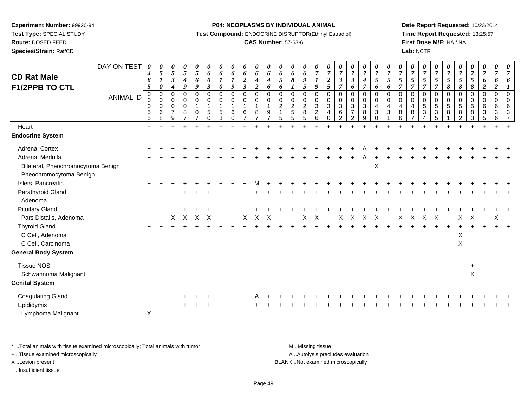**Test Type:** SPECIAL STUDY**Route:** DOSED FEED

**Species/Strain:** Rat/CD

#### **P04: NEOPLASMS BY INDIVIDUAL ANIMAL**

**Test Compound:** ENDOCRINE DISRUPTOR(Ethinyl Estradiol)

### **CAS Number:** 57-63-6

**Date Report Requested:** 10/23/2014**Time Report Requested:** 13:25:57**First Dose M/F:** NA / NA**Lab:** NCTR

| <b>CD Rat Male</b><br><b>F1/2PPB TO CTL</b>                   | DAY ON TEST<br><b>ANIMAL ID</b> | 0<br>$\boldsymbol{4}$<br>$\pmb{8}$<br>$\overline{5}$<br>$\pmb{0}$<br>$\pmb{0}$<br>$\pmb{0}$<br>$\sqrt{5}$<br>5 | 0<br>5<br>$\boldsymbol{l}$<br>$\boldsymbol{\theta}$<br>0<br>0<br>0<br>6<br>8 | 0<br>$5\overline{)}$<br>$\boldsymbol{\beta}$<br>$\boldsymbol{4}$<br>$\mathbf 0$<br>$\mathbf 0$<br>$\mathbf 0$<br>$\overline{7}$<br>9 | 0<br>5<br>$\boldsymbol{4}$<br>9<br>0<br>$\mathbf 0$<br>$\mathbf 0$<br>8 | 0<br>$\sqrt{5}$<br>6<br>9<br>0<br>0<br>0 | 0<br>6<br>$\boldsymbol{\theta}$<br>$\mathfrak{z}$<br>$\mathbf 0$<br>$\mathbf 0$<br>$\overline{1}$<br>$\sqrt{5}$<br>$\Omega$ | 0<br>6<br>1<br>0<br>0<br>0<br>$\mathbf{1}$<br>5<br>3 | 0<br>6<br>$\boldsymbol{l}$<br>9<br>$\mathbf 0$<br>$\mathbf 0$<br>1<br>6<br>$\Omega$ | 0<br>6<br>$\overline{2}$<br>$\overline{\mathbf{3}}$<br>0<br>$\mathbf 0$<br>6 | 0<br>6<br>$\boldsymbol{4}$<br>$\boldsymbol{2}$<br>$\mathsf 0$<br>0<br>$\mathbf{1}$<br>8<br>$\overline{7}$ | 0<br>6<br>$\boldsymbol{4}$<br>6<br>$\mathbf 0$<br>$\pmb{0}$<br>$\mathbf{1}$<br>$\boldsymbol{9}$<br>$\overline{7}$ | 0<br>6<br>5<br>6<br>$\mathbf 0$<br>0<br>$\overline{2}$<br>$\overline{1}$<br>5 | 0<br>6<br>8<br>$\mathbf 0$<br>$\mathbf 0$<br>$\overline{c}$<br>$\overline{5}$<br>5 | 0<br>6<br>9<br>5<br>0<br>0<br>$\overline{c}$<br>$\bf 8$<br>5 | 0<br>$\boldsymbol{7}$<br>$\boldsymbol{l}$<br>9<br>$\mathbf 0$<br>$\mathbf 0$<br>$\mathbf{3}$<br>$\boldsymbol{2}$<br>6 | 0<br>$\boldsymbol{7}$<br>$\boldsymbol{2}$<br>5<br>$\Omega$<br>0<br>3<br>4<br>$\Omega$ | $\boldsymbol{\theta}$<br>$\overline{7}$<br>$\boldsymbol{\beta}$<br>$\overline{7}$<br>$\mathbf 0$<br>0<br>3<br>$\,6$<br>2 | $\boldsymbol{\theta}$<br>$\overline{7}$<br>$\boldsymbol{\beta}$<br>6<br>$\mathbf 0$<br>$\pmb{0}$<br>$\sqrt{3}$<br>$\overline{7}$<br>2 | 0<br>$\overline{7}$<br>$\boldsymbol{4}$<br>$\overline{7}$<br>0<br>$\mathbf 0$<br>$\sqrt{3}$<br>8<br>9 | $\frac{\theta}{7}$<br>5<br>6<br>$\pmb{0}$<br>$\mathbf 0$<br>$\overline{4}$<br>$\sqrt{3}$<br>$\Omega$ | $\boldsymbol{\theta}$<br>$\overline{7}$<br>$\mathfrak{s}$<br>6<br>$\pmb{0}$<br>$\mathbf 0$<br>$\overline{4}$<br>3 | $\overline{7}$<br>5<br>$\overline{7}$<br>$\mathbf 0$<br>$\mathbf 0$<br>$\overline{4}$<br>8<br>6 | 0<br>$\overline{7}$<br>5<br>$\overline{7}$<br>$\Omega$<br>$\Omega$<br>4<br>8 | 0<br>$\overline{7}$<br>5<br>$\overline{7}$<br>0<br>$\mathsf 0$<br>5<br>$\mathbf{3}$ | $\boldsymbol{\theta}$<br>$\overline{7}$<br>$\mathfrak{H}$<br>$\overline{7}$<br>$\mathbf 0$<br>$\pmb{0}$<br>$\sqrt{5}$<br>$\ensuremath{\mathsf{3}}$<br>5 | 0<br>$\overline{7}$<br>$\mathfrak{s}$<br>8<br>$\mathbf 0$<br>$\mathbf 0$<br>5<br>8 | $\boldsymbol{\theta}$<br>$\overline{7}$<br>5<br>$\pmb{8}$<br>$\mathbf 0$<br>$\mathbf 0$<br>5<br>8<br>$\overline{2}$ | $\boldsymbol{\theta}$<br>$\boldsymbol{7}$<br>$5\phantom{.0}$<br>$\pmb{8}$<br>0<br>$\pmb{0}$<br>$\sqrt{5}$<br>$\bf 8$<br>3 | 0<br>$\boldsymbol{7}$<br>6<br>$\overline{2}$<br>$\pmb{0}$<br>$\mathsf 0$<br>6<br>$\ensuremath{\mathsf{3}}$<br>5 | 0<br>$\overline{7}$<br>6<br>$\boldsymbol{2}$<br>0<br>0<br>6<br>3<br>6 | 0<br>$\Omega$ |
|---------------------------------------------------------------|---------------------------------|----------------------------------------------------------------------------------------------------------------|------------------------------------------------------------------------------|--------------------------------------------------------------------------------------------------------------------------------------|-------------------------------------------------------------------------|------------------------------------------|-----------------------------------------------------------------------------------------------------------------------------|------------------------------------------------------|-------------------------------------------------------------------------------------|------------------------------------------------------------------------------|-----------------------------------------------------------------------------------------------------------|-------------------------------------------------------------------------------------------------------------------|-------------------------------------------------------------------------------|------------------------------------------------------------------------------------|--------------------------------------------------------------|-----------------------------------------------------------------------------------------------------------------------|---------------------------------------------------------------------------------------|--------------------------------------------------------------------------------------------------------------------------|---------------------------------------------------------------------------------------------------------------------------------------|-------------------------------------------------------------------------------------------------------|------------------------------------------------------------------------------------------------------|-------------------------------------------------------------------------------------------------------------------|-------------------------------------------------------------------------------------------------|------------------------------------------------------------------------------|-------------------------------------------------------------------------------------|---------------------------------------------------------------------------------------------------------------------------------------------------------|------------------------------------------------------------------------------------|---------------------------------------------------------------------------------------------------------------------|---------------------------------------------------------------------------------------------------------------------------|-----------------------------------------------------------------------------------------------------------------|-----------------------------------------------------------------------|---------------|
| Heart                                                         |                                 | $+$                                                                                                            |                                                                              |                                                                                                                                      |                                                                         |                                          |                                                                                                                             |                                                      |                                                                                     |                                                                              |                                                                                                           |                                                                                                                   |                                                                               |                                                                                    |                                                              |                                                                                                                       |                                                                                       |                                                                                                                          |                                                                                                                                       |                                                                                                       |                                                                                                      |                                                                                                                   |                                                                                                 |                                                                              |                                                                                     |                                                                                                                                                         |                                                                                    |                                                                                                                     |                                                                                                                           |                                                                                                                 |                                                                       |               |
| <b>Endocrine System</b>                                       |                                 |                                                                                                                |                                                                              |                                                                                                                                      |                                                                         |                                          |                                                                                                                             |                                                      |                                                                                     |                                                                              |                                                                                                           |                                                                                                                   |                                                                               |                                                                                    |                                                              |                                                                                                                       |                                                                                       |                                                                                                                          |                                                                                                                                       |                                                                                                       |                                                                                                      |                                                                                                                   |                                                                                                 |                                                                              |                                                                                     |                                                                                                                                                         |                                                                                    |                                                                                                                     |                                                                                                                           |                                                                                                                 |                                                                       |               |
| <b>Adrenal Cortex</b>                                         |                                 |                                                                                                                |                                                                              |                                                                                                                                      |                                                                         |                                          |                                                                                                                             |                                                      |                                                                                     |                                                                              |                                                                                                           |                                                                                                                   |                                                                               |                                                                                    |                                                              |                                                                                                                       |                                                                                       |                                                                                                                          |                                                                                                                                       |                                                                                                       |                                                                                                      |                                                                                                                   |                                                                                                 |                                                                              |                                                                                     |                                                                                                                                                         |                                                                                    |                                                                                                                     |                                                                                                                           |                                                                                                                 |                                                                       |               |
| Adrenal Medulla                                               |                                 |                                                                                                                |                                                                              |                                                                                                                                      |                                                                         |                                          |                                                                                                                             |                                                      |                                                                                     |                                                                              |                                                                                                           |                                                                                                                   |                                                                               |                                                                                    |                                                              |                                                                                                                       |                                                                                       |                                                                                                                          |                                                                                                                                       |                                                                                                       |                                                                                                      |                                                                                                                   |                                                                                                 |                                                                              |                                                                                     |                                                                                                                                                         |                                                                                    |                                                                                                                     |                                                                                                                           |                                                                                                                 |                                                                       |               |
| Bilateral, Pheochromocytoma Benign<br>Pheochromocytoma Benign |                                 |                                                                                                                |                                                                              |                                                                                                                                      |                                                                         |                                          |                                                                                                                             |                                                      |                                                                                     |                                                                              |                                                                                                           |                                                                                                                   |                                                                               |                                                                                    |                                                              |                                                                                                                       |                                                                                       |                                                                                                                          |                                                                                                                                       |                                                                                                       | $\times$                                                                                             |                                                                                                                   |                                                                                                 |                                                                              |                                                                                     |                                                                                                                                                         |                                                                                    |                                                                                                                     |                                                                                                                           |                                                                                                                 |                                                                       |               |
| Islets, Pancreatic                                            |                                 |                                                                                                                |                                                                              |                                                                                                                                      |                                                                         |                                          |                                                                                                                             |                                                      |                                                                                     |                                                                              |                                                                                                           |                                                                                                                   |                                                                               |                                                                                    |                                                              |                                                                                                                       |                                                                                       |                                                                                                                          |                                                                                                                                       |                                                                                                       |                                                                                                      |                                                                                                                   |                                                                                                 |                                                                              |                                                                                     |                                                                                                                                                         |                                                                                    |                                                                                                                     |                                                                                                                           |                                                                                                                 |                                                                       |               |
| Parathyroid Gland<br>Adenoma                                  |                                 |                                                                                                                |                                                                              |                                                                                                                                      |                                                                         |                                          |                                                                                                                             |                                                      |                                                                                     |                                                                              |                                                                                                           |                                                                                                                   |                                                                               |                                                                                    |                                                              |                                                                                                                       |                                                                                       |                                                                                                                          |                                                                                                                                       |                                                                                                       |                                                                                                      |                                                                                                                   |                                                                                                 |                                                                              |                                                                                     |                                                                                                                                                         |                                                                                    |                                                                                                                     |                                                                                                                           |                                                                                                                 |                                                                       |               |
| <b>Pituitary Gland</b>                                        |                                 |                                                                                                                |                                                                              |                                                                                                                                      |                                                                         |                                          |                                                                                                                             |                                                      |                                                                                     |                                                                              |                                                                                                           |                                                                                                                   |                                                                               |                                                                                    |                                                              |                                                                                                                       |                                                                                       |                                                                                                                          |                                                                                                                                       |                                                                                                       |                                                                                                      |                                                                                                                   |                                                                                                 |                                                                              |                                                                                     |                                                                                                                                                         |                                                                                    |                                                                                                                     |                                                                                                                           |                                                                                                                 |                                                                       |               |
| Pars Distalis, Adenoma                                        |                                 |                                                                                                                |                                                                              | X                                                                                                                                    | $\times$                                                                | $\times$                                 | X                                                                                                                           |                                                      |                                                                                     | X                                                                            | $\times$                                                                                                  | X                                                                                                                 |                                                                               |                                                                                    | X                                                            | $\times$                                                                                                              |                                                                                       | X                                                                                                                        | X                                                                                                                                     | X                                                                                                     | X                                                                                                    |                                                                                                                   | X                                                                                               | $\times$                                                                     | $\times$                                                                            | $\mathsf{X}$                                                                                                                                            |                                                                                    | X                                                                                                                   | X                                                                                                                         |                                                                                                                 | Χ                                                                     |               |
| <b>Thyroid Gland</b>                                          |                                 |                                                                                                                |                                                                              |                                                                                                                                      |                                                                         |                                          |                                                                                                                             |                                                      |                                                                                     |                                                                              |                                                                                                           |                                                                                                                   |                                                                               |                                                                                    |                                                              |                                                                                                                       |                                                                                       |                                                                                                                          |                                                                                                                                       |                                                                                                       |                                                                                                      |                                                                                                                   |                                                                                                 |                                                                              |                                                                                     |                                                                                                                                                         |                                                                                    |                                                                                                                     |                                                                                                                           |                                                                                                                 |                                                                       |               |
| C Cell, Adenoma                                               |                                 |                                                                                                                |                                                                              |                                                                                                                                      |                                                                         |                                          |                                                                                                                             |                                                      |                                                                                     |                                                                              |                                                                                                           |                                                                                                                   |                                                                               |                                                                                    |                                                              |                                                                                                                       |                                                                                       |                                                                                                                          |                                                                                                                                       |                                                                                                       |                                                                                                      |                                                                                                                   |                                                                                                 |                                                                              |                                                                                     |                                                                                                                                                         |                                                                                    | X                                                                                                                   |                                                                                                                           |                                                                                                                 |                                                                       |               |
| C Cell, Carcinoma                                             |                                 |                                                                                                                |                                                                              |                                                                                                                                      |                                                                         |                                          |                                                                                                                             |                                                      |                                                                                     |                                                                              |                                                                                                           |                                                                                                                   |                                                                               |                                                                                    |                                                              |                                                                                                                       |                                                                                       |                                                                                                                          |                                                                                                                                       |                                                                                                       |                                                                                                      |                                                                                                                   |                                                                                                 |                                                                              |                                                                                     |                                                                                                                                                         |                                                                                    | $\mathsf X$                                                                                                         |                                                                                                                           |                                                                                                                 |                                                                       |               |
| <b>General Body System</b>                                    |                                 |                                                                                                                |                                                                              |                                                                                                                                      |                                                                         |                                          |                                                                                                                             |                                                      |                                                                                     |                                                                              |                                                                                                           |                                                                                                                   |                                                                               |                                                                                    |                                                              |                                                                                                                       |                                                                                       |                                                                                                                          |                                                                                                                                       |                                                                                                       |                                                                                                      |                                                                                                                   |                                                                                                 |                                                                              |                                                                                     |                                                                                                                                                         |                                                                                    |                                                                                                                     |                                                                                                                           |                                                                                                                 |                                                                       |               |
| <b>Tissue NOS</b>                                             |                                 |                                                                                                                |                                                                              |                                                                                                                                      |                                                                         |                                          |                                                                                                                             |                                                      |                                                                                     |                                                                              |                                                                                                           |                                                                                                                   |                                                                               |                                                                                    |                                                              |                                                                                                                       |                                                                                       |                                                                                                                          |                                                                                                                                       |                                                                                                       |                                                                                                      |                                                                                                                   |                                                                                                 |                                                                              |                                                                                     |                                                                                                                                                         |                                                                                    |                                                                                                                     |                                                                                                                           |                                                                                                                 |                                                                       |               |
| Schwannoma Malignant                                          |                                 |                                                                                                                |                                                                              |                                                                                                                                      |                                                                         |                                          |                                                                                                                             |                                                      |                                                                                     |                                                                              |                                                                                                           |                                                                                                                   |                                                                               |                                                                                    |                                                              |                                                                                                                       |                                                                                       |                                                                                                                          |                                                                                                                                       |                                                                                                       |                                                                                                      |                                                                                                                   |                                                                                                 |                                                                              |                                                                                     |                                                                                                                                                         |                                                                                    |                                                                                                                     | X                                                                                                                         |                                                                                                                 |                                                                       |               |
| <b>Genital System</b>                                         |                                 |                                                                                                                |                                                                              |                                                                                                                                      |                                                                         |                                          |                                                                                                                             |                                                      |                                                                                     |                                                                              |                                                                                                           |                                                                                                                   |                                                                               |                                                                                    |                                                              |                                                                                                                       |                                                                                       |                                                                                                                          |                                                                                                                                       |                                                                                                       |                                                                                                      |                                                                                                                   |                                                                                                 |                                                                              |                                                                                     |                                                                                                                                                         |                                                                                    |                                                                                                                     |                                                                                                                           |                                                                                                                 |                                                                       |               |
| <b>Coagulating Gland</b>                                      |                                 |                                                                                                                |                                                                              |                                                                                                                                      |                                                                         |                                          |                                                                                                                             |                                                      |                                                                                     |                                                                              |                                                                                                           |                                                                                                                   |                                                                               |                                                                                    |                                                              |                                                                                                                       |                                                                                       |                                                                                                                          |                                                                                                                                       |                                                                                                       |                                                                                                      |                                                                                                                   |                                                                                                 |                                                                              |                                                                                     |                                                                                                                                                         |                                                                                    |                                                                                                                     |                                                                                                                           |                                                                                                                 |                                                                       |               |
| Epididymis                                                    |                                 |                                                                                                                |                                                                              |                                                                                                                                      |                                                                         |                                          |                                                                                                                             |                                                      |                                                                                     |                                                                              |                                                                                                           |                                                                                                                   |                                                                               |                                                                                    |                                                              |                                                                                                                       |                                                                                       |                                                                                                                          |                                                                                                                                       |                                                                                                       |                                                                                                      |                                                                                                                   |                                                                                                 |                                                                              |                                                                                     |                                                                                                                                                         |                                                                                    |                                                                                                                     |                                                                                                                           |                                                                                                                 |                                                                       |               |
| Lymphoma Malignant                                            |                                 | X                                                                                                              |                                                                              |                                                                                                                                      |                                                                         |                                          |                                                                                                                             |                                                      |                                                                                     |                                                                              |                                                                                                           |                                                                                                                   |                                                                               |                                                                                    |                                                              |                                                                                                                       |                                                                                       |                                                                                                                          |                                                                                                                                       |                                                                                                       |                                                                                                      |                                                                                                                   |                                                                                                 |                                                                              |                                                                                     |                                                                                                                                                         |                                                                                    |                                                                                                                     |                                                                                                                           |                                                                                                                 |                                                                       |               |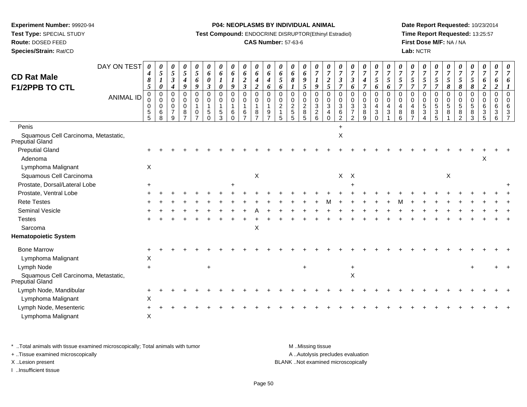**Test Type:** SPECIAL STUDY

# **Route:** DOSED FEED

**Species/Strain:** Rat/CD

#### **P04: NEOPLASMS BY INDIVIDUAL ANIMAL**

**Test Compound:** ENDOCRINE DISRUPTOR(Ethinyl Estradiol)

### **CAS Number:** 57-63-6

**Date Report Requested:** 10/23/2014**Time Report Requested:** 13:25:57**First Dose M/F:** NA / NA**Lab:** NCTR

| <b>CD Rat Male</b><br><b>F1/2PPB TO CTL</b>                    | DAY ON TEST      | 0<br>4<br>8<br>5                                    | 0<br>$\sqrt{5}$<br>$\boldsymbol{l}$<br>0 | 0<br>$5\phantom{.0}$<br>$\boldsymbol{\beta}$<br>$\boldsymbol{4}$ | 0<br>5<br>4<br>9                  | $\boldsymbol{\theta}$<br>$\mathfrak{s}$<br>6<br>9 | 0<br>6<br>$\boldsymbol{\theta}$<br>$\mathfrak{z}$        | $\boldsymbol{\theta}$<br>6<br>$\boldsymbol{\theta}$ | 0<br>6<br>9                         | 0<br>6<br>$\boldsymbol{2}$<br>$\overline{\mathbf{3}}$ | 0<br>6<br>$\boldsymbol{4}$<br>$\overline{2}$            | 0<br>6<br>4<br>6                                         | $\boldsymbol{\theta}$<br>6<br>$\mathfrak{s}$<br>6               | $\boldsymbol{\theta}$<br>6<br>8                                | 0<br>6<br>9<br>5                                | 0<br>$\boldsymbol{7}$<br>1<br>9                 | 0<br>$\overline{7}$<br>$\boldsymbol{2}$<br>5 | $\boldsymbol{\theta}$<br>$\overline{7}$<br>$\boldsymbol{\beta}$<br>$\overline{7}$ | 0<br>$\overline{7}$<br>$\boldsymbol{\beta}$<br>6                            | $\boldsymbol{\theta}$<br>$\overline{7}$<br>$\boldsymbol{4}$<br>$\overline{7}$ | $\boldsymbol{\theta}$<br>$\overline{7}$<br>$\mathfrak{s}$<br>6         | 0<br>$\overline{7}$<br>5<br>6     | 0<br>$\overline{7}$<br>5<br>$\overline{7}$ | 0<br>$\overline{7}$<br>5<br>$\overline{7}$ | 0<br>$\overline{7}$<br>5<br>$\overline{7}$ | 0<br>$\overline{7}$<br>5<br>$\overline{7}$                            | 0<br>$\overline{7}$<br>5<br>$\pmb{8}$           | $\boldsymbol{\theta}$<br>$\overline{7}$<br>5<br>8 | 0<br>$\overline{7}$<br>5<br>8 | 0<br>$\boldsymbol{7}$<br>6<br>$\overline{2}$ | 0<br>$\overline{7}$<br>6<br>$\overline{2}$          |  |
|----------------------------------------------------------------|------------------|-----------------------------------------------------|------------------------------------------|------------------------------------------------------------------|-----------------------------------|---------------------------------------------------|----------------------------------------------------------|-----------------------------------------------------|-------------------------------------|-------------------------------------------------------|---------------------------------------------------------|----------------------------------------------------------|-----------------------------------------------------------------|----------------------------------------------------------------|-------------------------------------------------|-------------------------------------------------|----------------------------------------------|-----------------------------------------------------------------------------------|-----------------------------------------------------------------------------|-------------------------------------------------------------------------------|------------------------------------------------------------------------|-----------------------------------|--------------------------------------------|--------------------------------------------|--------------------------------------------|-----------------------------------------------------------------------|-------------------------------------------------|---------------------------------------------------|-------------------------------|----------------------------------------------|-----------------------------------------------------|--|
|                                                                | <b>ANIMAL ID</b> | $\Omega$<br>$\mathbf 0$<br>0<br>5<br>$\overline{5}$ | $\Omega$<br>0<br>0<br>6<br>8             | $\Omega$<br>0<br>$\mathbf 0$<br>$\overline{7}$<br>9              | 0<br>$\mathbf 0$<br>$\Omega$<br>8 | $\Omega$<br>$\mathbf 0$<br>0<br>$\overline{z}$    | $\Omega$<br>$\mathbf 0$<br>$\mathbf{1}$<br>5<br>$\Omega$ | $\Omega$<br>$\mathbf 0$<br>5<br>3                   | $\Omega$<br>0<br>1<br>6<br>$\Omega$ | $\Omega$<br>0<br>$\frac{6}{7}$                        | $\pmb{0}$<br>$\pmb{0}$<br>$\mathbf{1}$<br>$\frac{8}{7}$ | $\Omega$<br>$\mathbf 0$<br>$\mathbf{1}$<br>$\frac{9}{7}$ | $\Omega$<br>0<br>$\overline{2}$<br>$\overline{\mathbf{1}}$<br>5 | 0<br>$\mathbf 0$<br>$\sqrt{2}$<br>$\sqrt{5}$<br>$\overline{5}$ | $\Omega$<br>0<br>$\overline{a}$<br>$\bf 8$<br>5 | 0<br>$\pmb{0}$<br>$\mathbf{3}$<br>$\frac{2}{6}$ | 0<br>0<br>$\mathbf{3}$<br>4<br>$\Omega$      | $\Omega$<br>0<br>3<br>6<br>$\overline{2}$                                         | $\mathbf 0$<br>$\mathbf 0$<br>$\sqrt{3}$<br>$\overline{7}$<br>$\mathcal{P}$ | 0<br>0<br>$\sqrt{3}$<br>$\frac{8}{9}$                                         | $\mathbf 0$<br>$\mathbf 0$<br>$\overline{4}$<br>$\sqrt{3}$<br>$\Omega$ | $\Omega$<br>$\mathbf 0$<br>4<br>3 | 0<br>$\mathbf 0$<br>4<br>8<br>6            | $\Omega$<br>$\mathbf 0$<br>8               | 0<br>0<br>5<br>$\mathbf{3}$<br>Δ           | $\Omega$<br>$\mathbf 0$<br>$\sqrt{5}$<br>$\sqrt{3}$<br>$\overline{5}$ | $\Omega$<br>$\mathbf 0$<br>$5\phantom{.0}$<br>8 | $\Omega$<br>$\Omega$<br>5<br>8<br>$\overline{2}$  | 0<br>0<br>5<br>8<br>3         | 0<br>0<br>6<br>$\frac{3}{5}$                 | $\mathbf 0$<br>$\mathbf 0$<br>6<br>3<br>$6^{\circ}$ |  |
| Penis                                                          |                  |                                                     |                                          |                                                                  |                                   |                                                   |                                                          |                                                     |                                     |                                                       |                                                         |                                                          |                                                                 |                                                                |                                                 |                                                 |                                              |                                                                                   |                                                                             |                                                                               |                                                                        |                                   |                                            |                                            |                                            |                                                                       |                                                 |                                                   |                               |                                              |                                                     |  |
| Squamous Cell Carcinoma, Metastatic,<br><b>Preputial Gland</b> |                  |                                                     |                                          |                                                                  |                                   |                                                   |                                                          |                                                     |                                     |                                                       |                                                         |                                                          |                                                                 |                                                                |                                                 |                                                 |                                              | X                                                                                 |                                                                             |                                                                               |                                                                        |                                   |                                            |                                            |                                            |                                                                       |                                                 |                                                   |                               |                                              |                                                     |  |
| <b>Preputial Gland</b><br>Adenoma                              |                  |                                                     |                                          |                                                                  |                                   |                                                   |                                                          |                                                     |                                     |                                                       |                                                         |                                                          |                                                                 |                                                                |                                                 |                                                 |                                              |                                                                                   |                                                                             |                                                                               |                                                                        |                                   |                                            |                                            |                                            |                                                                       |                                                 |                                                   |                               | x                                            |                                                     |  |
| Lymphoma Malignant<br>Squamous Cell Carcinoma                  |                  | $\sf X$                                             |                                          |                                                                  |                                   |                                                   |                                                          |                                                     |                                     |                                                       | X                                                       |                                                          |                                                                 |                                                                |                                                 |                                                 |                                              |                                                                                   | $X$ $X$                                                                     |                                                                               |                                                                        |                                   |                                            |                                            |                                            |                                                                       | X                                               |                                                   |                               |                                              |                                                     |  |
| Prostate, Dorsal/Lateral Lobe                                  |                  |                                                     |                                          |                                                                  |                                   |                                                   |                                                          |                                                     |                                     |                                                       |                                                         |                                                          |                                                                 |                                                                |                                                 |                                                 |                                              |                                                                                   |                                                                             |                                                                               |                                                                        |                                   |                                            |                                            |                                            |                                                                       |                                                 |                                                   |                               |                                              |                                                     |  |
| Prostate, Ventral Lobe                                         |                  |                                                     |                                          |                                                                  |                                   |                                                   |                                                          |                                                     |                                     |                                                       |                                                         |                                                          |                                                                 |                                                                |                                                 |                                                 |                                              |                                                                                   |                                                                             |                                                                               |                                                                        |                                   |                                            |                                            |                                            |                                                                       |                                                 |                                                   |                               |                                              |                                                     |  |
| <b>Rete Testes</b>                                             |                  |                                                     |                                          |                                                                  |                                   |                                                   |                                                          |                                                     |                                     |                                                       |                                                         |                                                          |                                                                 |                                                                |                                                 |                                                 |                                              |                                                                                   |                                                                             |                                                                               |                                                                        |                                   |                                            |                                            |                                            |                                                                       |                                                 |                                                   |                               |                                              |                                                     |  |
| <b>Seminal Vesicle</b>                                         |                  |                                                     |                                          |                                                                  |                                   |                                                   |                                                          |                                                     |                                     |                                                       |                                                         |                                                          |                                                                 |                                                                |                                                 |                                                 |                                              |                                                                                   |                                                                             |                                                                               |                                                                        |                                   |                                            |                                            |                                            |                                                                       |                                                 |                                                   |                               |                                              |                                                     |  |
| <b>Testes</b>                                                  |                  |                                                     |                                          |                                                                  |                                   |                                                   |                                                          |                                                     |                                     |                                                       |                                                         |                                                          |                                                                 |                                                                |                                                 |                                                 |                                              |                                                                                   |                                                                             |                                                                               |                                                                        |                                   |                                            |                                            |                                            |                                                                       |                                                 |                                                   |                               |                                              |                                                     |  |
| Sarcoma                                                        |                  |                                                     |                                          |                                                                  |                                   |                                                   |                                                          |                                                     |                                     |                                                       | $\boldsymbol{\mathsf{X}}$                               |                                                          |                                                                 |                                                                |                                                 |                                                 |                                              |                                                                                   |                                                                             |                                                                               |                                                                        |                                   |                                            |                                            |                                            |                                                                       |                                                 |                                                   |                               |                                              |                                                     |  |
| <b>Hematopoietic System</b>                                    |                  |                                                     |                                          |                                                                  |                                   |                                                   |                                                          |                                                     |                                     |                                                       |                                                         |                                                          |                                                                 |                                                                |                                                 |                                                 |                                              |                                                                                   |                                                                             |                                                                               |                                                                        |                                   |                                            |                                            |                                            |                                                                       |                                                 |                                                   |                               |                                              |                                                     |  |
| <b>Bone Marrow</b>                                             |                  |                                                     |                                          |                                                                  |                                   |                                                   |                                                          |                                                     |                                     |                                                       |                                                         |                                                          |                                                                 |                                                                |                                                 |                                                 |                                              |                                                                                   |                                                                             |                                                                               |                                                                        |                                   |                                            |                                            |                                            |                                                                       |                                                 |                                                   |                               |                                              |                                                     |  |
| Lymphoma Malignant                                             |                  | X                                                   |                                          |                                                                  |                                   |                                                   |                                                          |                                                     |                                     |                                                       |                                                         |                                                          |                                                                 |                                                                |                                                 |                                                 |                                              |                                                                                   |                                                                             |                                                                               |                                                                        |                                   |                                            |                                            |                                            |                                                                       |                                                 |                                                   |                               |                                              |                                                     |  |
| Lymph Node                                                     |                  |                                                     |                                          |                                                                  |                                   |                                                   |                                                          |                                                     |                                     |                                                       |                                                         |                                                          |                                                                 |                                                                | $\ddot{}$                                       |                                                 |                                              |                                                                                   |                                                                             |                                                                               |                                                                        |                                   |                                            |                                            |                                            |                                                                       |                                                 |                                                   |                               |                                              |                                                     |  |
| Squamous Cell Carcinoma, Metastatic,<br><b>Preputial Gland</b> |                  |                                                     |                                          |                                                                  |                                   |                                                   |                                                          |                                                     |                                     |                                                       |                                                         |                                                          |                                                                 |                                                                |                                                 |                                                 |                                              |                                                                                   | $\boldsymbol{\mathsf{X}}$                                                   |                                                                               |                                                                        |                                   |                                            |                                            |                                            |                                                                       |                                                 |                                                   |                               |                                              |                                                     |  |
| Lymph Node, Mandibular                                         |                  |                                                     |                                          |                                                                  |                                   |                                                   |                                                          |                                                     |                                     |                                                       |                                                         |                                                          |                                                                 |                                                                |                                                 |                                                 |                                              |                                                                                   |                                                                             |                                                                               |                                                                        |                                   |                                            |                                            |                                            |                                                                       |                                                 |                                                   |                               |                                              |                                                     |  |
| Lymphoma Malignant                                             |                  | X                                                   |                                          |                                                                  |                                   |                                                   |                                                          |                                                     |                                     |                                                       |                                                         |                                                          |                                                                 |                                                                |                                                 |                                                 |                                              |                                                                                   |                                                                             |                                                                               |                                                                        |                                   |                                            |                                            |                                            |                                                                       |                                                 |                                                   |                               |                                              |                                                     |  |
| Lymph Node, Mesenteric                                         |                  |                                                     |                                          |                                                                  |                                   |                                                   |                                                          |                                                     |                                     |                                                       |                                                         |                                                          |                                                                 |                                                                |                                                 |                                                 |                                              |                                                                                   |                                                                             |                                                                               |                                                                        |                                   |                                            |                                            |                                            |                                                                       |                                                 |                                                   |                               |                                              |                                                     |  |
| Lymphoma Malignant                                             |                  | X                                                   |                                          |                                                                  |                                   |                                                   |                                                          |                                                     |                                     |                                                       |                                                         |                                                          |                                                                 |                                                                |                                                 |                                                 |                                              |                                                                                   |                                                                             |                                                                               |                                                                        |                                   |                                            |                                            |                                            |                                                                       |                                                 |                                                   |                               |                                              |                                                     |  |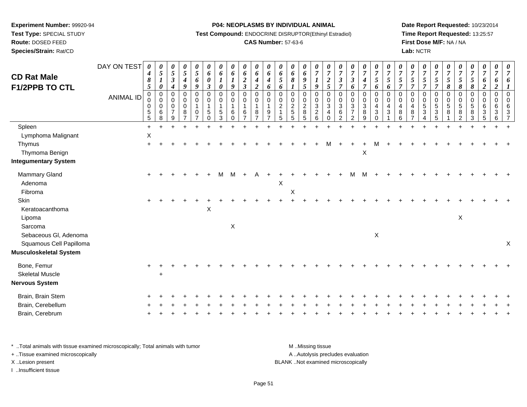**Route:** DOSED FEED

**Species/Strain:** Rat/CD

#### **P04: NEOPLASMS BY INDIVIDUAL ANIMAL**

**Test Compound:** ENDOCRINE DISRUPTOR(Ethinyl Estradiol)

### **CAS Number:** 57-63-6

**Date Report Requested:** 10/23/2014**Time Report Requested:** 13:25:57**First Dose M/F:** NA / NA**Lab:** NCTR

| <b>CD Rat Male</b><br><b>F1/2PPB TO CTL</b> | DAY ON TEST<br><b>ANIMAL ID</b> | 0<br>4<br>$\pmb{8}$<br>5<br>0<br>0<br>0<br>$\,$ 5 $\,$<br>$\overline{5}$ | 0<br>$5\overline{)}$<br>1<br>$\boldsymbol{\theta}$<br>0<br>0<br>0<br>6<br>8 | 0<br>$5\overline{)}$<br>$\boldsymbol{\beta}$<br>$\boldsymbol{4}$<br>$\Omega$<br>0<br>$\mathbf 0$<br>$\overline{7}$<br>9 | 0<br>$\mathfrak{s}$<br>$\boldsymbol{4}$<br>9<br>$\Omega$<br>0<br>$\mathbf 0$<br>8<br>$\overline{7}$ | 0<br>$\sqrt{5}$<br>6<br>9<br>$\Omega$<br>$\mathbf 0$<br>$\overline{1}$<br>0<br>$\overline{7}$ | 0<br>6<br>$\boldsymbol{\theta}$<br>$\mathfrak{z}$<br>$\mathbf 0$<br>$\mathbf 0$<br>$\overline{1}$<br>$\sqrt{5}$<br>$\Omega$ | 0<br>6<br>$\boldsymbol{\theta}$<br>$\Omega$<br>$\mathbf 0$<br>$\mathbf{1}$<br>5<br>3 | 0<br>6<br>9<br>$\Omega$<br>$\mathbf 0$<br>1<br>6<br>$\Omega$ | 0<br>6<br>$\boldsymbol{2}$<br>$\mathfrak{z}$<br>$\mathbf 0$<br>0<br>6<br>$\overline{7}$ | 0<br>6<br>$\boldsymbol{4}$<br>$\overline{2}$<br>0<br>0<br>$\mathbf{1}$<br>$\frac{8}{7}$ | 0<br>6<br>$\boldsymbol{4}$<br>6<br>$\pmb{0}$<br>$\pmb{0}$<br>$\mathbf{1}$<br>$\frac{9}{7}$ | 0<br>6<br>5<br>6<br>$\Omega$<br>0<br>$\overline{2}$<br>5 | $\boldsymbol{\theta}$<br>6<br>8<br>$\Omega$<br>$\mathbf 0$<br>$rac{2}{5}$ | 0<br>6<br>9<br>5<br>0<br>0<br>$\overline{2}$<br>8<br>5 | $\boldsymbol{\theta}$<br>$\overline{7}$<br>$\boldsymbol{l}$<br>$\boldsymbol{g}$<br>$\mathbf 0$<br>$\mathbf 0$<br>$\mathbf{3}$<br>$\frac{2}{6}$ | 0<br>$\overline{7}$<br>$\boldsymbol{2}$<br>5<br>$\Omega$<br>0<br>3<br>4<br>$\Omega$ | 0<br>$\overline{7}$<br>$\boldsymbol{\beta}$<br>$\overline{7}$<br>$\Omega$<br>$\mathbf 0$<br>$\mathbf{3}$<br>$\,6\,$<br>$\mathcal{P}$ | 0<br>$\overline{7}$<br>$\boldsymbol{\beta}$<br>6<br>$\mathbf 0$<br>$\mathbf 0$<br>$\mathbf{3}$<br>$\overline{7}$<br>$\mathcal{P}$ | 0<br>$\overline{7}$<br>$\boldsymbol{4}$<br>$\overline{7}$<br>0<br>$\mathbf 0$<br>$\mathbf{3}$<br>8<br>$\overline{9}$ | $\frac{\boldsymbol{\theta}}{\boldsymbol{7}}$<br>$\sqrt{5}$<br>6<br>$\pmb{0}$<br>$\mathsf{O}\xspace$<br>$\overline{4}$<br>$\sqrt{3}$<br>$\mathbf{0}$ | $\boldsymbol{\theta}$<br>$\overline{7}$<br>$\mathfrak{s}$<br>6<br>$\mathbf 0$<br>$\mathbf 0$<br>4<br>3 | 0<br>$\overline{7}$<br>$\mathfrak{s}$<br>$\overline{7}$<br>$\mathbf 0$<br>$\mathbf 0$<br>$\overline{a}$<br>$\bf8$<br>6 | 0<br>$\overline{7}$<br>5<br>$\overline{7}$<br>$\Omega$<br>0<br>4<br>8<br>7 | 0<br>$\boldsymbol{7}$<br>$\mathfrak{s}$<br>$\overline{7}$<br>0<br>$\mathbf 0$<br>5<br>$\ensuremath{\mathsf{3}}$<br>$\overline{\mathbf{4}}$ | $\frac{\boldsymbol{\theta}}{\boldsymbol{7}}$<br>5<br>$\overline{7}$<br>$\Omega$<br>0<br>$5\phantom{.0}$<br>$\frac{3}{5}$ | $\boldsymbol{\theta}$<br>$\overline{7}$<br>5<br>8<br>$\Omega$<br>0<br>$\overline{5}$<br>8 | $\boldsymbol{\theta}$<br>$\overline{7}$<br>$\sqrt{5}$<br>$\pmb{8}$<br>$\mathbf 0$<br>0<br>$\sqrt{5}$<br>8<br>$\mathfrak{p}$ | $\boldsymbol{\theta}$<br>$\boldsymbol{7}$<br>$\sqrt{5}$<br>$\pmb{8}$<br>$\pmb{0}$<br>$\mathbf 0$<br>$\,$ 5 $\,$<br>8<br>3 | 0<br>$\overline{7}$<br>$\boldsymbol{6}$<br>$\boldsymbol{2}$<br>$\pmb{0}$<br>$\mathbf 0$<br>6<br>$\mathbf{3}$<br>$5\phantom{.0}$ | 0<br>$\overline{7}$<br>6<br>$\boldsymbol{2}$<br>$\mathbf 0$<br>0<br>6<br>3<br>6 | 7<br>$\Omega$<br>$\Omega$<br>6<br>3<br>$\overline{7}$ |
|---------------------------------------------|---------------------------------|--------------------------------------------------------------------------|-----------------------------------------------------------------------------|-------------------------------------------------------------------------------------------------------------------------|-----------------------------------------------------------------------------------------------------|-----------------------------------------------------------------------------------------------|-----------------------------------------------------------------------------------------------------------------------------|--------------------------------------------------------------------------------------|--------------------------------------------------------------|-----------------------------------------------------------------------------------------|-----------------------------------------------------------------------------------------|--------------------------------------------------------------------------------------------|----------------------------------------------------------|---------------------------------------------------------------------------|--------------------------------------------------------|------------------------------------------------------------------------------------------------------------------------------------------------|-------------------------------------------------------------------------------------|--------------------------------------------------------------------------------------------------------------------------------------|-----------------------------------------------------------------------------------------------------------------------------------|----------------------------------------------------------------------------------------------------------------------|-----------------------------------------------------------------------------------------------------------------------------------------------------|--------------------------------------------------------------------------------------------------------|------------------------------------------------------------------------------------------------------------------------|----------------------------------------------------------------------------|--------------------------------------------------------------------------------------------------------------------------------------------|--------------------------------------------------------------------------------------------------------------------------|-------------------------------------------------------------------------------------------|-----------------------------------------------------------------------------------------------------------------------------|---------------------------------------------------------------------------------------------------------------------------|---------------------------------------------------------------------------------------------------------------------------------|---------------------------------------------------------------------------------|-------------------------------------------------------|
| Spleen                                      |                                 | $+$                                                                      |                                                                             |                                                                                                                         |                                                                                                     |                                                                                               |                                                                                                                             |                                                                                      |                                                              |                                                                                         |                                                                                         |                                                                                            |                                                          |                                                                           |                                                        |                                                                                                                                                |                                                                                     |                                                                                                                                      |                                                                                                                                   |                                                                                                                      |                                                                                                                                                     |                                                                                                        |                                                                                                                        |                                                                            |                                                                                                                                            |                                                                                                                          |                                                                                           |                                                                                                                             |                                                                                                                           |                                                                                                                                 |                                                                                 |                                                       |
| Lymphoma Malignant                          |                                 | $\sf X$                                                                  |                                                                             |                                                                                                                         |                                                                                                     |                                                                                               |                                                                                                                             |                                                                                      |                                                              |                                                                                         |                                                                                         |                                                                                            |                                                          |                                                                           |                                                        |                                                                                                                                                |                                                                                     |                                                                                                                                      |                                                                                                                                   |                                                                                                                      |                                                                                                                                                     |                                                                                                        |                                                                                                                        |                                                                            |                                                                                                                                            |                                                                                                                          |                                                                                           |                                                                                                                             |                                                                                                                           |                                                                                                                                 |                                                                                 |                                                       |
| Thymus                                      |                                 | $\ddot{}$                                                                |                                                                             |                                                                                                                         |                                                                                                     |                                                                                               |                                                                                                                             |                                                                                      |                                                              |                                                                                         |                                                                                         |                                                                                            |                                                          |                                                                           |                                                        |                                                                                                                                                | Μ                                                                                   |                                                                                                                                      | $\ddot{}$                                                                                                                         | $\ddot{}$                                                                                                            | М                                                                                                                                                   |                                                                                                        |                                                                                                                        |                                                                            |                                                                                                                                            |                                                                                                                          |                                                                                           |                                                                                                                             |                                                                                                                           |                                                                                                                                 |                                                                                 |                                                       |
| Thymoma Benign                              |                                 |                                                                          |                                                                             |                                                                                                                         |                                                                                                     |                                                                                               |                                                                                                                             |                                                                                      |                                                              |                                                                                         |                                                                                         |                                                                                            |                                                          |                                                                           |                                                        |                                                                                                                                                |                                                                                     |                                                                                                                                      |                                                                                                                                   | X                                                                                                                    |                                                                                                                                                     |                                                                                                        |                                                                                                                        |                                                                            |                                                                                                                                            |                                                                                                                          |                                                                                           |                                                                                                                             |                                                                                                                           |                                                                                                                                 |                                                                                 |                                                       |
| <b>Integumentary System</b>                 |                                 |                                                                          |                                                                             |                                                                                                                         |                                                                                                     |                                                                                               |                                                                                                                             |                                                                                      |                                                              |                                                                                         |                                                                                         |                                                                                            |                                                          |                                                                           |                                                        |                                                                                                                                                |                                                                                     |                                                                                                                                      |                                                                                                                                   |                                                                                                                      |                                                                                                                                                     |                                                                                                        |                                                                                                                        |                                                                            |                                                                                                                                            |                                                                                                                          |                                                                                           |                                                                                                                             |                                                                                                                           |                                                                                                                                 |                                                                                 |                                                       |
| Mammary Gland<br>Adenoma                    |                                 |                                                                          |                                                                             |                                                                                                                         |                                                                                                     |                                                                                               |                                                                                                                             | м                                                                                    | м                                                            |                                                                                         |                                                                                         |                                                                                            | X                                                        |                                                                           |                                                        |                                                                                                                                                |                                                                                     |                                                                                                                                      |                                                                                                                                   |                                                                                                                      |                                                                                                                                                     |                                                                                                        |                                                                                                                        |                                                                            |                                                                                                                                            |                                                                                                                          |                                                                                           |                                                                                                                             |                                                                                                                           |                                                                                                                                 |                                                                                 |                                                       |
| Fibroma                                     |                                 |                                                                          |                                                                             |                                                                                                                         |                                                                                                     |                                                                                               |                                                                                                                             |                                                                                      |                                                              |                                                                                         |                                                                                         |                                                                                            |                                                          | $\mathsf X$                                                               |                                                        |                                                                                                                                                |                                                                                     |                                                                                                                                      |                                                                                                                                   |                                                                                                                      |                                                                                                                                                     |                                                                                                        |                                                                                                                        |                                                                            |                                                                                                                                            |                                                                                                                          |                                                                                           |                                                                                                                             |                                                                                                                           |                                                                                                                                 |                                                                                 |                                                       |
| Skin                                        |                                 |                                                                          |                                                                             |                                                                                                                         |                                                                                                     |                                                                                               |                                                                                                                             |                                                                                      |                                                              |                                                                                         |                                                                                         |                                                                                            |                                                          |                                                                           |                                                        |                                                                                                                                                |                                                                                     |                                                                                                                                      |                                                                                                                                   |                                                                                                                      |                                                                                                                                                     |                                                                                                        |                                                                                                                        |                                                                            |                                                                                                                                            |                                                                                                                          |                                                                                           |                                                                                                                             |                                                                                                                           |                                                                                                                                 |                                                                                 |                                                       |
| Keratoacanthoma                             |                                 |                                                                          |                                                                             |                                                                                                                         |                                                                                                     |                                                                                               | X                                                                                                                           |                                                                                      |                                                              |                                                                                         |                                                                                         |                                                                                            |                                                          |                                                                           |                                                        |                                                                                                                                                |                                                                                     |                                                                                                                                      |                                                                                                                                   |                                                                                                                      |                                                                                                                                                     |                                                                                                        |                                                                                                                        |                                                                            |                                                                                                                                            |                                                                                                                          |                                                                                           |                                                                                                                             |                                                                                                                           |                                                                                                                                 |                                                                                 |                                                       |
| Lipoma                                      |                                 |                                                                          |                                                                             |                                                                                                                         |                                                                                                     |                                                                                               |                                                                                                                             |                                                                                      |                                                              |                                                                                         |                                                                                         |                                                                                            |                                                          |                                                                           |                                                        |                                                                                                                                                |                                                                                     |                                                                                                                                      |                                                                                                                                   |                                                                                                                      |                                                                                                                                                     |                                                                                                        |                                                                                                                        |                                                                            |                                                                                                                                            |                                                                                                                          |                                                                                           | $\pmb{\times}$                                                                                                              |                                                                                                                           |                                                                                                                                 |                                                                                 |                                                       |
| Sarcoma                                     |                                 |                                                                          |                                                                             |                                                                                                                         |                                                                                                     |                                                                                               |                                                                                                                             |                                                                                      | $\mathsf X$                                                  |                                                                                         |                                                                                         |                                                                                            |                                                          |                                                                           |                                                        |                                                                                                                                                |                                                                                     |                                                                                                                                      |                                                                                                                                   |                                                                                                                      |                                                                                                                                                     |                                                                                                        |                                                                                                                        |                                                                            |                                                                                                                                            |                                                                                                                          |                                                                                           |                                                                                                                             |                                                                                                                           |                                                                                                                                 |                                                                                 |                                                       |
| Sebaceous Gl, Adenoma                       |                                 |                                                                          |                                                                             |                                                                                                                         |                                                                                                     |                                                                                               |                                                                                                                             |                                                                                      |                                                              |                                                                                         |                                                                                         |                                                                                            |                                                          |                                                                           |                                                        |                                                                                                                                                |                                                                                     |                                                                                                                                      |                                                                                                                                   |                                                                                                                      | $\boldsymbol{\mathsf{X}}$                                                                                                                           |                                                                                                        |                                                                                                                        |                                                                            |                                                                                                                                            |                                                                                                                          |                                                                                           |                                                                                                                             |                                                                                                                           |                                                                                                                                 |                                                                                 |                                                       |
| Squamous Cell Papilloma                     |                                 |                                                                          |                                                                             |                                                                                                                         |                                                                                                     |                                                                                               |                                                                                                                             |                                                                                      |                                                              |                                                                                         |                                                                                         |                                                                                            |                                                          |                                                                           |                                                        |                                                                                                                                                |                                                                                     |                                                                                                                                      |                                                                                                                                   |                                                                                                                      |                                                                                                                                                     |                                                                                                        |                                                                                                                        |                                                                            |                                                                                                                                            |                                                                                                                          |                                                                                           |                                                                                                                             |                                                                                                                           |                                                                                                                                 |                                                                                 | $\pmb{\mathsf{X}}$                                    |
| <b>Musculoskeletal System</b>               |                                 |                                                                          |                                                                             |                                                                                                                         |                                                                                                     |                                                                                               |                                                                                                                             |                                                                                      |                                                              |                                                                                         |                                                                                         |                                                                                            |                                                          |                                                                           |                                                        |                                                                                                                                                |                                                                                     |                                                                                                                                      |                                                                                                                                   |                                                                                                                      |                                                                                                                                                     |                                                                                                        |                                                                                                                        |                                                                            |                                                                                                                                            |                                                                                                                          |                                                                                           |                                                                                                                             |                                                                                                                           |                                                                                                                                 |                                                                                 |                                                       |
| Bone, Femur                                 |                                 |                                                                          |                                                                             |                                                                                                                         |                                                                                                     |                                                                                               |                                                                                                                             |                                                                                      |                                                              |                                                                                         |                                                                                         |                                                                                            |                                                          |                                                                           |                                                        |                                                                                                                                                |                                                                                     |                                                                                                                                      |                                                                                                                                   |                                                                                                                      |                                                                                                                                                     |                                                                                                        |                                                                                                                        |                                                                            |                                                                                                                                            |                                                                                                                          |                                                                                           |                                                                                                                             |                                                                                                                           |                                                                                                                                 |                                                                                 |                                                       |
| <b>Skeletal Muscle</b>                      |                                 |                                                                          | $\ddot{}$                                                                   |                                                                                                                         |                                                                                                     |                                                                                               |                                                                                                                             |                                                                                      |                                                              |                                                                                         |                                                                                         |                                                                                            |                                                          |                                                                           |                                                        |                                                                                                                                                |                                                                                     |                                                                                                                                      |                                                                                                                                   |                                                                                                                      |                                                                                                                                                     |                                                                                                        |                                                                                                                        |                                                                            |                                                                                                                                            |                                                                                                                          |                                                                                           |                                                                                                                             |                                                                                                                           |                                                                                                                                 |                                                                                 |                                                       |
| <b>Nervous System</b>                       |                                 |                                                                          |                                                                             |                                                                                                                         |                                                                                                     |                                                                                               |                                                                                                                             |                                                                                      |                                                              |                                                                                         |                                                                                         |                                                                                            |                                                          |                                                                           |                                                        |                                                                                                                                                |                                                                                     |                                                                                                                                      |                                                                                                                                   |                                                                                                                      |                                                                                                                                                     |                                                                                                        |                                                                                                                        |                                                                            |                                                                                                                                            |                                                                                                                          |                                                                                           |                                                                                                                             |                                                                                                                           |                                                                                                                                 |                                                                                 |                                                       |
| Brain, Brain Stem                           |                                 |                                                                          |                                                                             |                                                                                                                         |                                                                                                     |                                                                                               |                                                                                                                             |                                                                                      |                                                              |                                                                                         |                                                                                         |                                                                                            |                                                          |                                                                           |                                                        |                                                                                                                                                |                                                                                     |                                                                                                                                      |                                                                                                                                   |                                                                                                                      |                                                                                                                                                     |                                                                                                        |                                                                                                                        |                                                                            |                                                                                                                                            |                                                                                                                          |                                                                                           |                                                                                                                             |                                                                                                                           |                                                                                                                                 |                                                                                 |                                                       |
| Brain, Cerebellum                           |                                 |                                                                          |                                                                             |                                                                                                                         |                                                                                                     |                                                                                               |                                                                                                                             |                                                                                      |                                                              |                                                                                         |                                                                                         |                                                                                            |                                                          |                                                                           |                                                        |                                                                                                                                                |                                                                                     |                                                                                                                                      |                                                                                                                                   |                                                                                                                      |                                                                                                                                                     |                                                                                                        |                                                                                                                        |                                                                            |                                                                                                                                            |                                                                                                                          |                                                                                           |                                                                                                                             |                                                                                                                           |                                                                                                                                 |                                                                                 |                                                       |
| Brain, Cerebrum                             |                                 |                                                                          |                                                                             |                                                                                                                         |                                                                                                     |                                                                                               |                                                                                                                             |                                                                                      |                                                              |                                                                                         |                                                                                         |                                                                                            |                                                          |                                                                           |                                                        |                                                                                                                                                |                                                                                     |                                                                                                                                      |                                                                                                                                   |                                                                                                                      |                                                                                                                                                     |                                                                                                        |                                                                                                                        |                                                                            |                                                                                                                                            |                                                                                                                          |                                                                                           |                                                                                                                             |                                                                                                                           |                                                                                                                                 |                                                                                 |                                                       |
|                                             |                                 |                                                                          |                                                                             |                                                                                                                         |                                                                                                     |                                                                                               |                                                                                                                             |                                                                                      |                                                              |                                                                                         |                                                                                         |                                                                                            |                                                          |                                                                           |                                                        |                                                                                                                                                |                                                                                     |                                                                                                                                      |                                                                                                                                   |                                                                                                                      |                                                                                                                                                     |                                                                                                        |                                                                                                                        |                                                                            |                                                                                                                                            |                                                                                                                          |                                                                                           |                                                                                                                             |                                                                                                                           |                                                                                                                                 |                                                                                 |                                                       |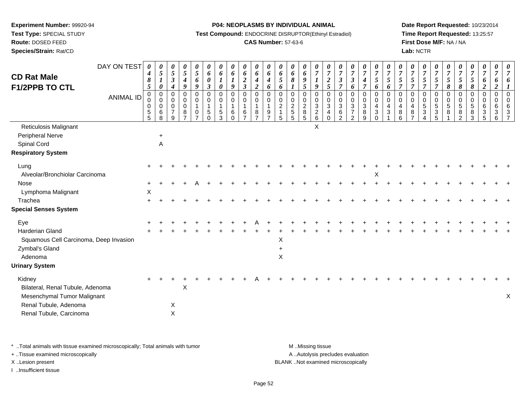**Test Type:** SPECIAL STUDY

**Route:** DOSED FEED**Species/Strain:** Rat/CD

#### **P04: NEOPLASMS BY INDIVIDUAL ANIMAL**

**Test Compound:** ENDOCRINE DISRUPTOR(Ethinyl Estradiol)

### **CAS Number:** 57-63-6

**Date Report Requested:** 10/23/2014**Time Report Requested:** 13:25:57**First Dose M/F:** NA / NA**Lab:** NCTR

| <b>CD Rat Male</b>                                                                                                            | DAY ON TEST      | 0<br>4<br>8                                    | $\boldsymbol{\theta}$<br>$\overline{5}$<br>$\boldsymbol{l}$              | 0<br>$\mathfrak{s}$<br>$\boldsymbol{\beta}$                                          | $\frac{\theta}{5}$<br>$\boldsymbol{4}$                              | 0<br>5<br>6                                                          | 0<br>6<br>$\boldsymbol{\theta}$                                     | 0<br>6<br>$\boldsymbol{l}$                                        | 0<br>6                                                             | $\boldsymbol{\theta}$<br>6<br>$\boldsymbol{2}$                                      | $\pmb{\theta}$<br>6<br>$\boldsymbol{4}$                                             | $\boldsymbol{\theta}$<br>6<br>$\boldsymbol{4}$                         | 0<br>6<br>5                                                            | 0<br>6<br>$\pmb{8}$                                            | 0<br>6<br>9                                            | 0<br>$\overline{7}$                                                           | 0<br>$\overline{7}$<br>$\boldsymbol{2}$                                        | 0<br>$\overline{7}$<br>$\boldsymbol{\beta}$                                           | $\frac{\boldsymbol{0}}{7}$<br>$\boldsymbol{\beta}$                                   | 0<br>$\boldsymbol{7}$<br>4                                           | $\frac{\theta}{7}$<br>$5\overline{)}$ | 0<br>$\overline{7}$<br>$\sqrt{5}$                     | 0<br>$\overline{7}$<br>5                                                 | $\frac{\boldsymbol{0}}{7}$<br>$\mathfrak{s}$                                          | 0<br>$\overline{7}$<br>5                                                 | 0<br>$\overline{7}$<br>$\mathfrak{s}$                                               | 0<br>$\overline{7}$<br>5                  | $\frac{\boldsymbol{0}}{7}$<br>5         | $\frac{\boldsymbol{0}}{7}$<br>$\sqrt{5}$                                | $\boldsymbol{\theta}$<br>$\overline{7}$<br>6                             | $\boldsymbol{\theta}$<br>$\overline{7}$<br>6               | $\overline{7}$<br>6                                 |
|-------------------------------------------------------------------------------------------------------------------------------|------------------|------------------------------------------------|--------------------------------------------------------------------------|--------------------------------------------------------------------------------------|---------------------------------------------------------------------|----------------------------------------------------------------------|---------------------------------------------------------------------|-------------------------------------------------------------------|--------------------------------------------------------------------|-------------------------------------------------------------------------------------|-------------------------------------------------------------------------------------|------------------------------------------------------------------------|------------------------------------------------------------------------|----------------------------------------------------------------|--------------------------------------------------------|-------------------------------------------------------------------------------|--------------------------------------------------------------------------------|---------------------------------------------------------------------------------------|--------------------------------------------------------------------------------------|----------------------------------------------------------------------|---------------------------------------|-------------------------------------------------------|--------------------------------------------------------------------------|---------------------------------------------------------------------------------------|--------------------------------------------------------------------------|-------------------------------------------------------------------------------------|-------------------------------------------|-----------------------------------------|-------------------------------------------------------------------------|--------------------------------------------------------------------------|------------------------------------------------------------|-----------------------------------------------------|
| <b>F1/2PPB TO CTL</b>                                                                                                         | <b>ANIMAL ID</b> | 5<br>$\mathbf 0$<br>0<br>0<br>$\,$ 5 $\,$<br>5 | $\boldsymbol{\theta}$<br>$\pmb{0}$<br>$\pmb{0}$<br>$\mathbf 0$<br>6<br>8 | $\boldsymbol{4}$<br>$\mathbf 0$<br>$\mathbf 0$<br>$\mathbf 0$<br>$\overline{7}$<br>9 | 9<br>0<br>$\mathbf 0$<br>$\mathsf{O}\xspace$<br>8<br>$\overline{ }$ | 9<br>$\mathbf 0$<br>$\pmb{0}$<br>$\mathbf{1}$<br>0<br>$\overline{7}$ | $\mathfrak{z}$<br>$\mathbf 0$<br>0<br>$\mathbf{1}$<br>5<br>$\Omega$ | 0<br>$\pmb{0}$<br>$\mathbf 0$<br>$\mathbf{1}$<br>$\mathbf 5$<br>3 | 9<br>$\pmb{0}$<br>$\mathbf 0$<br>$\mathbf{1}$<br>$\,6$<br>$\Omega$ | $\mathfrak{z}$<br>$\pmb{0}$<br>$\mathbf 0$<br>$\overline{1}$<br>6<br>$\overline{7}$ | $\boldsymbol{2}$<br>$\pmb{0}$<br>$\mathbf 0$<br>$\mathbf{1}$<br>8<br>$\overline{7}$ | 6<br>$\mathbf 0$<br>$\mathbf 0$<br>$\mathbf{1}$<br>9<br>$\overline{ }$ | 6<br>$\mathbf 0$<br>$\mathbf 0$<br>$\overline{c}$<br>$\mathbf{1}$<br>5 | $\mathbf 0$<br>$\begin{array}{c} 0 \\ 2 \\ 5 \end{array}$<br>5 | 5<br>0<br>$\begin{array}{c}\n0 \\ 2 \\ 5\n\end{array}$ | 9<br>$\mathbf 0$<br>$\mathbf 0$<br>$\ensuremath{\mathsf{3}}$<br>$\frac{2}{6}$ | 5<br>$\mathbf 0$<br>$\mathbf 0$<br>$\sqrt{3}$<br>$\overline{4}$<br>$\mathbf 0$ | $\overline{7}$<br>$\mathbf 0$<br>$\mathbf 0$<br>$\sqrt{3}$<br>$\,6$<br>$\overline{2}$ | 6<br>0<br>$\pmb{0}$<br>$\ensuremath{\mathsf{3}}$<br>$\overline{7}$<br>$\overline{2}$ | $\overline{7}$<br>$\pmb{0}$<br>$\mathbf 0$<br>$\mathbf{3}$<br>8<br>9 | 6<br>0<br>0<br>4<br>3<br>$\Omega$     | 6<br>$\mathbf 0$<br>0<br>$\overline{4}$<br>$\sqrt{3}$ | $\overline{7}$<br>$\mathbf 0$<br>$\mathbf 0$<br>$\overline{4}$<br>8<br>6 | $\overline{7}$<br>$\mathbf 0$<br>$\mathbf 0$<br>$\overline{4}$<br>8<br>$\overline{ }$ | $\overline{7}$<br>$\mathbf 0$<br>$\mathbf 0$<br>$\overline{5}$<br>3<br>4 | $\overline{7}$<br>$\mathbf 0$<br>$\mathbf 0$<br>$\overline{5}$<br>$\mathbf{3}$<br>5 | 8<br>$\mathbf 0$<br>$\mathbf 0$<br>5<br>8 | 8<br>0<br>0<br>5<br>8<br>$\mathfrak{p}$ | 8<br>$\pmb{0}$<br>$\begin{smallmatrix}0\0\5\end{smallmatrix}$<br>8<br>3 | $\boldsymbol{2}$<br>$\pmb{0}$<br>$\pmb{0}$<br>$\,6\,$<br>$\sqrt{3}$<br>5 | $\overline{2}$<br>$\pmb{0}$<br>0<br>6<br>$\mathbf{3}$<br>6 | $\Omega$<br>$\mathbf 0$<br>6<br>3<br>$\overline{7}$ |
| Reticulosis Malignant<br><b>Peripheral Nerve</b><br>Spinal Cord<br><b>Respiratory System</b>                                  |                  |                                                | $\ddot{}$<br>A                                                           |                                                                                      |                                                                     |                                                                      |                                                                     |                                                                   |                                                                    |                                                                                     |                                                                                     |                                                                        |                                                                        |                                                                |                                                        | X                                                                             |                                                                                |                                                                                       |                                                                                      |                                                                      |                                       |                                                       |                                                                          |                                                                                       |                                                                          |                                                                                     |                                           |                                         |                                                                         |                                                                          |                                                            |                                                     |
| Lung<br>Alveolar/Bronchiolar Carcinoma                                                                                        |                  |                                                |                                                                          |                                                                                      |                                                                     |                                                                      |                                                                     |                                                                   |                                                                    |                                                                                     |                                                                                     |                                                                        |                                                                        |                                                                |                                                        |                                                                               |                                                                                |                                                                                       |                                                                                      |                                                                      | Х                                     |                                                       |                                                                          |                                                                                       |                                                                          |                                                                                     |                                           |                                         |                                                                         |                                                                          |                                                            |                                                     |
| Nose<br>Lymphoma Malignant                                                                                                    |                  | X                                              |                                                                          |                                                                                      |                                                                     |                                                                      |                                                                     |                                                                   |                                                                    |                                                                                     |                                                                                     |                                                                        |                                                                        |                                                                |                                                        |                                                                               |                                                                                |                                                                                       |                                                                                      |                                                                      |                                       |                                                       |                                                                          |                                                                                       |                                                                          |                                                                                     |                                           |                                         |                                                                         |                                                                          |                                                            |                                                     |
| Trachea<br><b>Special Senses System</b>                                                                                       |                  |                                                |                                                                          |                                                                                      |                                                                     |                                                                      |                                                                     |                                                                   |                                                                    |                                                                                     |                                                                                     |                                                                        |                                                                        |                                                                |                                                        |                                                                               |                                                                                |                                                                                       |                                                                                      |                                                                      |                                       |                                                       |                                                                          |                                                                                       |                                                                          |                                                                                     |                                           |                                         |                                                                         |                                                                          |                                                            |                                                     |
| Eye<br>Harderian Gland<br>Squamous Cell Carcinoma, Deep Invasion<br>Zymbal's Gland<br>Adenoma<br><b>Urinary System</b>        |                  |                                                |                                                                          |                                                                                      |                                                                     |                                                                      |                                                                     |                                                                   |                                                                    |                                                                                     |                                                                                     |                                                                        | X<br>÷<br>X                                                            |                                                                |                                                        |                                                                               |                                                                                |                                                                                       |                                                                                      |                                                                      |                                       |                                                       |                                                                          |                                                                                       |                                                                          |                                                                                     |                                           |                                         |                                                                         |                                                                          |                                                            |                                                     |
| Kidney<br>Bilateral, Renal Tubule, Adenoma<br>Mesenchymal Tumor Malignant<br>Renal Tubule, Adenoma<br>Renal Tubule, Carcinoma |                  |                                                |                                                                          | X<br>X                                                                               | Χ                                                                   |                                                                      |                                                                     |                                                                   |                                                                    |                                                                                     |                                                                                     |                                                                        |                                                                        |                                                                |                                                        |                                                                               |                                                                                |                                                                                       |                                                                                      |                                                                      |                                       |                                                       |                                                                          |                                                                                       |                                                                          |                                                                                     |                                           |                                         |                                                                         |                                                                          |                                                            | X                                                   |

\* ..Total animals with tissue examined microscopically; Total animals with tumor **M** . Missing tissue M ..Missing tissue

+ ..Tissue examined microscopically

I ..Insufficient tissue

A ..Autolysis precludes evaluation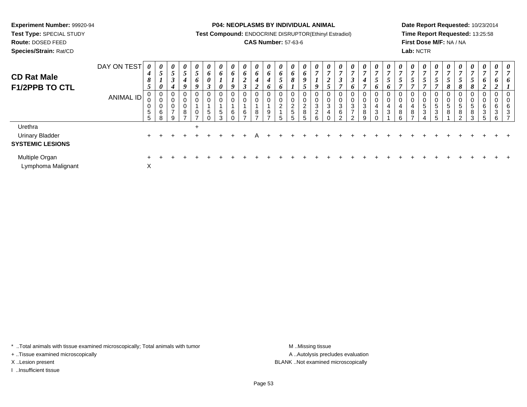**Test Type:** SPECIAL STUDY

**Route:** DOSED FEED

**Species/Strain:** Rat/CD

#### **P04: NEOPLASMS BY INDIVIDUAL ANIMAL**

**Test Compound:** ENDOCRINE DISRUPTOR(Ethinyl Estradiol)

### **CAS Number:** 57-63-6

**Date Report Requested:** 10/23/2014**Time Report Requested:** 13:25:58**First Dose M/F:** NA / NA**Lab:** NCTR

| <b>CD Rat Male</b><br><b>F1/2PPB TO CTL</b>                  | DAY ON TEST<br>ANIMAL ID | 0<br>4<br>8<br>$\mathfrak{p}$<br>U<br>0<br>$\overline{5}$<br>5 | 0<br>$\overline{5}$<br>$\overline{\mathbf{r}}$<br>0<br>0<br>0<br>0<br>6<br>8 | 0<br>C<br>$\boldsymbol{\beta}$<br>$\boldsymbol{4}$<br>$\mathbf 0$<br>0<br>$\mathbf 0$<br>⇁<br>9 | $\boldsymbol{\theta}$<br>$\overline{ }$<br>J<br>0<br>$\sim$<br>⌒<br>8<br>- | $\boldsymbol{\theta}$<br>$\overline{ }$<br>$\mathcal{L}$<br>6<br>0<br>$\rightarrow$ | $\boldsymbol{\theta}$<br>6<br>0<br>$\cdot$<br>0<br>0<br>$\sqrt{5}$<br>U | 0<br>6<br>x.<br>0<br>0<br>0<br>$\sqrt{5}$<br>3 | 0<br>6<br>Q<br>0<br>0<br>6<br>$\Omega$ | $\boldsymbol{\theta}$<br>6<br>2<br>3<br>0<br>0<br>6<br>$\rightarrow$ | $\boldsymbol{\theta}$<br>6<br>$\boldsymbol{4}$<br>$\overline{2}$<br>0<br>0<br>8<br>$\overline{ }$ | 0<br>$\bm{b}$<br>4<br>$\bm{o}$<br>0<br>0<br>9<br>– | 0<br>6<br>$\mathcal{L}$<br>O<br>$\mathbf 0$<br>0<br>$\sim$ | $\boldsymbol{\theta}$<br>6<br>8<br>0<br>◠<br>▃<br>5<br><b>-</b> | 0<br>6<br>9<br>.,<br>0<br>$\overline{c}$<br>8<br>- | $\boldsymbol{\theta}$<br>$\mathbf{r}$<br>O.<br>0<br>0<br>3<br>$\overline{2}$<br>6 | 0<br>$\mathbf{r}$<br>$\mathbf{\Omega}$<br>◢<br>Ć<br>0<br>0<br>$\sqrt{3}$<br>4<br>$\Omega$ | 0<br>$\overline{ }$<br>$\rightarrow$<br>J<br>$\mathbf{r}$<br>0<br>0<br>3<br>$\,6$<br>$\sim$ | $\boldsymbol{\theta}$<br>$\overline{ }$<br>$\mathbf{\Omega}$<br>J<br>$\bm{b}$<br>0<br>0<br>$\ensuremath{\mathsf{3}}$<br>$\overline{ }$<br>$\Omega$ | 0<br>$\overline{7}$<br>$\boldsymbol{4}$<br>$\overline{a}$<br>0<br>0<br>$\mathbf{3}$<br>8<br>9 | 0<br>$\overline{5}$<br>O<br>0<br>0<br>4<br>3 | 0<br>7<br>C<br>$\bm{o}$<br>0<br>0<br>4<br>$\sim$<br>చ | $\boldsymbol{\theta}$<br>$\mathbf{r}$<br>J<br>0<br>4<br>8<br>Р. | $\boldsymbol{\theta}$<br>$\overline{ }$<br>$\overline{ }$<br>$\mathfrak{p}$<br>0<br>4<br>8<br>$\rightarrow$ | $\boldsymbol{\theta}$<br>$\mathbf{r}$<br>$\epsilon$<br>J<br>0<br>0<br>$\mathbf 5$<br>3 | 0<br>$\mathbf{r}$<br>$\mathfrak{I}$<br>0<br>0<br>$\sqrt{5}$<br>$\sqrt{3}$<br>5 | $\boldsymbol{\theta}$<br>$\overline{ }$<br>$\mathfrak{I}$<br>8<br>0<br>0<br>$\sqrt{5}$<br>8 | $\boldsymbol{\theta}$<br>$\overline{ }$<br>$\overline{5}$<br>8<br>0<br>0<br>$\sqrt{5}$<br>8<br>ົ | $\boldsymbol{\theta}$<br>$\overline{7}$<br>$\overline{5}$<br>8<br>0<br>$\mathbf 0$<br>$\overline{5}$<br>8<br>3 | $\boldsymbol{\theta}$<br>$\overline{ }$<br>6<br>2<br>0<br>0<br>6<br>3<br>5 | $\boldsymbol{\theta}$<br>7<br>6<br>$\mathbf{\hat{}}$<br>∠<br>0<br>0<br>6<br>3<br>6 | $\boldsymbol{\theta}$<br>o<br>- 0<br>6<br>3 |
|--------------------------------------------------------------|--------------------------|----------------------------------------------------------------|------------------------------------------------------------------------------|-------------------------------------------------------------------------------------------------|----------------------------------------------------------------------------|-------------------------------------------------------------------------------------|-------------------------------------------------------------------------|------------------------------------------------|----------------------------------------|----------------------------------------------------------------------|---------------------------------------------------------------------------------------------------|----------------------------------------------------|------------------------------------------------------------|-----------------------------------------------------------------|----------------------------------------------------|-----------------------------------------------------------------------------------|-------------------------------------------------------------------------------------------|---------------------------------------------------------------------------------------------|----------------------------------------------------------------------------------------------------------------------------------------------------|-----------------------------------------------------------------------------------------------|----------------------------------------------|-------------------------------------------------------|-----------------------------------------------------------------|-------------------------------------------------------------------------------------------------------------|----------------------------------------------------------------------------------------|--------------------------------------------------------------------------------|---------------------------------------------------------------------------------------------|--------------------------------------------------------------------------------------------------|----------------------------------------------------------------------------------------------------------------|----------------------------------------------------------------------------|------------------------------------------------------------------------------------|---------------------------------------------|
| Urethra<br><b>Urinary Bladder</b><br><b>SYSTEMIC LESIONS</b> |                          |                                                                |                                                                              |                                                                                                 |                                                                            | $+$                                                                                 |                                                                         |                                                |                                        |                                                                      |                                                                                                   |                                                    |                                                            |                                                                 |                                                    |                                                                                   |                                                                                           |                                                                                             |                                                                                                                                                    |                                                                                               |                                              |                                                       |                                                                 |                                                                                                             |                                                                                        |                                                                                |                                                                                             |                                                                                                  |                                                                                                                |                                                                            |                                                                                    |                                             |
| Multiple Organ<br>Lymphoma Malignant                         |                          | X                                                              |                                                                              |                                                                                                 |                                                                            |                                                                                     |                                                                         |                                                |                                        |                                                                      |                                                                                                   |                                                    |                                                            |                                                                 |                                                    |                                                                                   |                                                                                           |                                                                                             |                                                                                                                                                    |                                                                                               |                                              |                                                       |                                                                 |                                                                                                             |                                                                                        |                                                                                |                                                                                             |                                                                                                  |                                                                                                                |                                                                            |                                                                                    |                                             |

\* ..Total animals with tissue examined microscopically; Total animals with tumor **M** . Missing tissue M ..Missing tissue

+ ..Tissue examined microscopically

I ..Insufficient tissue

A ..Autolysis precludes evaluation X ..Lesion present BLANK ..Not examined microscopically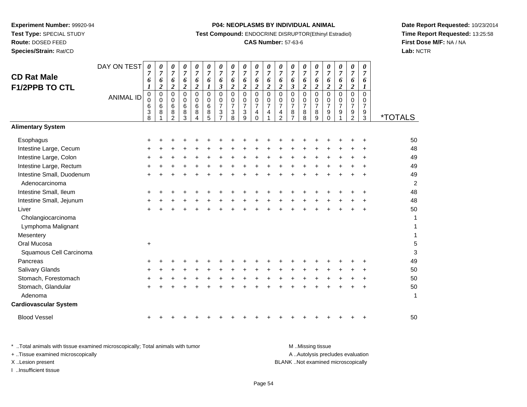# **Route:** DOSED FEED

**Species/Strain:** Rat/CD

#### **P04: NEOPLASMS BY INDIVIDUAL ANIMAL**

**Test Compound:** ENDOCRINE DISRUPTOR(Ethinyl Estradiol)

### **CAS Number:** 57-63-6

**Date Report Requested:** 10/23/2014**Time Report Requested:** 13:25:58**First Dose M/F:** NA / NA**Lab:** NCTR

| <b>CD Rat Male</b>                          | DAY ON TEST      | $\boldsymbol{\theta}$<br>7<br>6 | 0<br>$\overline{7}$<br>6 | 0<br>$\overline{7}$<br>6                            | $\pmb{\theta}$<br>$\overline{7}$<br>6 | 0<br>$\overline{7}$<br>6                        | 0<br>7<br>6                     | $\boldsymbol{\theta}$<br>$\overline{7}$<br>6            | 0<br>$\overline{7}$<br>6                               | 0<br>$\overline{7}$<br>6                     | 0<br>$\overline{7}$<br>6     | 0<br>7<br>6                             | 0<br>$\overline{7}$<br>6                                  | 0<br>$\overline{7}$<br>6                                  | 0<br>$\overline{7}$<br>6                     | 0<br>7<br>6                        | 0<br>$\overline{7}$<br>6                            | $\boldsymbol{\theta}$<br>7<br>6         | 0<br>$\overline{7}$<br>6                        | 0<br>$\overline{7}$<br>6                        |                       |
|---------------------------------------------|------------------|---------------------------------|--------------------------|-----------------------------------------------------|---------------------------------------|-------------------------------------------------|---------------------------------|---------------------------------------------------------|--------------------------------------------------------|----------------------------------------------|------------------------------|-----------------------------------------|-----------------------------------------------------------|-----------------------------------------------------------|----------------------------------------------|------------------------------------|-----------------------------------------------------|-----------------------------------------|-------------------------------------------------|-------------------------------------------------|-----------------------|
| <b>F1/2PPB TO CTL</b>                       |                  | 1                               | $\boldsymbol{2}$         | $\boldsymbol{2}$                                    | $\overline{\mathbf{c}}$               | $\boldsymbol{2}$                                | 1                               | $\boldsymbol{\beta}$                                    | $\boldsymbol{2}$                                       | $\overline{\mathbf{c}}$                      | $\overline{c}$               | $\overline{c}$                          | $\boldsymbol{2}$                                          | $\boldsymbol{\beta}$                                      | $\overline{c}$                               | $\overline{c}$                     | $\overline{2}$                                      | $\boldsymbol{2}$                        | $\boldsymbol{2}$                                | 1                                               |                       |
|                                             | <b>ANIMAL ID</b> | $\pmb{0}$<br>0<br>6<br>3<br>8   | $\pmb{0}$<br>0<br>6<br>8 | $\mathbf 0$<br>$\Omega$<br>6<br>8<br>$\overline{2}$ | $\mathbf 0$<br>0<br>6<br>8<br>3       | $\overline{0}$<br>0<br>6<br>8<br>$\overline{4}$ | $\mathbf 0$<br>0<br>6<br>8<br>5 | $\pmb{0}$<br>0<br>$\overline{7}$<br>3<br>$\overline{7}$ | $\mathbf 0$<br>$\mathbf 0$<br>$\overline{7}$<br>3<br>8 | $\mathbf 0$<br>0<br>$\overline{7}$<br>3<br>9 | 0<br>0<br>7<br>4<br>$\Omega$ | $\mathbf 0$<br>0<br>$\overline{7}$<br>4 | $\mathbf 0$<br>0<br>$\overline{7}$<br>4<br>$\overline{2}$ | $\mathbf 0$<br>0<br>$\overline{7}$<br>8<br>$\overline{7}$ | $\mathbf 0$<br>0<br>$\overline{7}$<br>8<br>8 | 0<br>0<br>$\overline{7}$<br>8<br>9 | $\mathbf 0$<br>0<br>$\overline{7}$<br>9<br>$\Omega$ | $\mathbf 0$<br>0<br>$\overline{7}$<br>9 | 0<br>0<br>$\overline{7}$<br>9<br>$\overline{2}$ | 0<br>0<br>$\overline{7}$<br>9<br>$\overline{3}$ | <i><b>*TOTALS</b></i> |
| <b>Alimentary System</b>                    |                  |                                 |                          |                                                     |                                       |                                                 |                                 |                                                         |                                                        |                                              |                              |                                         |                                                           |                                                           |                                              |                                    |                                                     |                                         |                                                 |                                                 |                       |
| Esophagus                                   |                  | ٠                               |                          |                                                     |                                       |                                                 |                                 |                                                         |                                                        |                                              |                              |                                         |                                                           |                                                           |                                              |                                    |                                                     |                                         |                                                 |                                                 | 50                    |
| Intestine Large, Cecum                      |                  |                                 |                          |                                                     |                                       |                                                 |                                 |                                                         |                                                        |                                              |                              |                                         |                                                           |                                                           |                                              |                                    |                                                     |                                         |                                                 |                                                 | 48                    |
| Intestine Large, Colon                      |                  | +                               |                          |                                                     |                                       |                                                 |                                 |                                                         |                                                        |                                              |                              |                                         |                                                           |                                                           |                                              |                                    |                                                     |                                         |                                                 |                                                 | 49                    |
| Intestine Large, Rectum                     |                  |                                 |                          |                                                     |                                       |                                                 |                                 |                                                         |                                                        |                                              |                              |                                         |                                                           |                                                           |                                              |                                    |                                                     |                                         |                                                 |                                                 | 49                    |
| Intestine Small, Duodenum<br>Adenocarcinoma |                  | $+$                             |                          |                                                     |                                       |                                                 |                                 |                                                         |                                                        |                                              |                              |                                         |                                                           |                                                           |                                              |                                    |                                                     |                                         |                                                 |                                                 | 49<br>$\overline{2}$  |
| Intestine Small, Ileum                      |                  | +                               |                          |                                                     |                                       |                                                 |                                 |                                                         |                                                        |                                              |                              |                                         |                                                           |                                                           |                                              |                                    |                                                     |                                         |                                                 |                                                 | 48                    |
| Intestine Small, Jejunum                    |                  |                                 |                          |                                                     |                                       |                                                 |                                 |                                                         |                                                        |                                              |                              |                                         |                                                           |                                                           |                                              |                                    |                                                     |                                         |                                                 |                                                 | 48                    |
| Liver                                       |                  | $\pm$                           |                          |                                                     |                                       |                                                 |                                 |                                                         |                                                        |                                              |                              |                                         |                                                           |                                                           |                                              |                                    |                                                     |                                         |                                                 | $\ddot{}$                                       | 50                    |
| Cholangiocarcinoma                          |                  |                                 |                          |                                                     |                                       |                                                 |                                 |                                                         |                                                        |                                              |                              |                                         |                                                           |                                                           |                                              |                                    |                                                     |                                         |                                                 |                                                 | 1                     |
| Lymphoma Malignant                          |                  |                                 |                          |                                                     |                                       |                                                 |                                 |                                                         |                                                        |                                              |                              |                                         |                                                           |                                                           |                                              |                                    |                                                     |                                         |                                                 |                                                 | 1                     |
| Mesentery                                   |                  |                                 |                          |                                                     |                                       |                                                 |                                 |                                                         |                                                        |                                              |                              |                                         |                                                           |                                                           |                                              |                                    |                                                     |                                         |                                                 |                                                 | $\mathbf{1}$          |
| Oral Mucosa                                 |                  | $\ddot{}$                       |                          |                                                     |                                       |                                                 |                                 |                                                         |                                                        |                                              |                              |                                         |                                                           |                                                           |                                              |                                    |                                                     |                                         |                                                 |                                                 | 5                     |
| Squamous Cell Carcinoma                     |                  |                                 |                          |                                                     |                                       |                                                 |                                 |                                                         |                                                        |                                              |                              |                                         |                                                           |                                                           |                                              |                                    |                                                     |                                         |                                                 |                                                 | 3                     |
| Pancreas                                    |                  |                                 |                          |                                                     |                                       |                                                 |                                 |                                                         |                                                        |                                              |                              |                                         |                                                           |                                                           |                                              |                                    |                                                     |                                         |                                                 |                                                 | 49                    |
| <b>Salivary Glands</b>                      |                  |                                 |                          |                                                     |                                       |                                                 |                                 |                                                         |                                                        |                                              |                              |                                         |                                                           |                                                           |                                              |                                    |                                                     |                                         |                                                 |                                                 | 50                    |
| Stomach, Forestomach                        |                  |                                 |                          |                                                     |                                       |                                                 |                                 |                                                         |                                                        |                                              |                              |                                         |                                                           |                                                           |                                              |                                    |                                                     |                                         |                                                 |                                                 | 50                    |
| Stomach, Glandular                          |                  |                                 |                          |                                                     |                                       |                                                 |                                 |                                                         |                                                        |                                              |                              |                                         |                                                           |                                                           |                                              |                                    |                                                     |                                         |                                                 |                                                 | 50                    |
| Adenoma                                     |                  |                                 |                          |                                                     |                                       |                                                 |                                 |                                                         |                                                        |                                              |                              |                                         |                                                           |                                                           |                                              |                                    |                                                     |                                         |                                                 |                                                 | 1                     |
| <b>Cardiovascular System</b>                |                  |                                 |                          |                                                     |                                       |                                                 |                                 |                                                         |                                                        |                                              |                              |                                         |                                                           |                                                           |                                              |                                    |                                                     |                                         |                                                 |                                                 |                       |
| <b>Blood Vessel</b>                         |                  | +                               |                          |                                                     |                                       |                                                 |                                 |                                                         |                                                        |                                              |                              |                                         |                                                           |                                                           |                                              |                                    |                                                     |                                         |                                                 |                                                 | 50                    |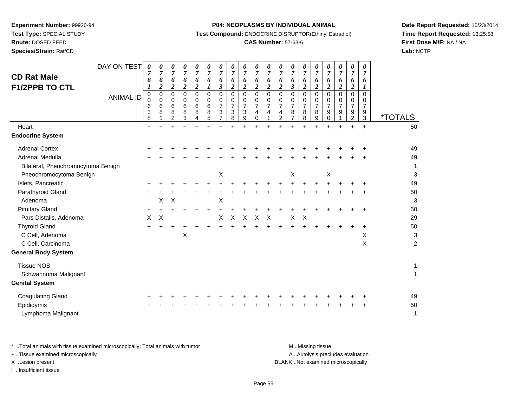**Route:** DOSED FEED

**Species/Strain:** Rat/CD

#### **P04: NEOPLASMS BY INDIVIDUAL ANIMAL**

**Test Compound:** ENDOCRINE DISRUPTOR(Ethinyl Estradiol)

### **CAS Number:** 57-63-6

**Date Report Requested:** 10/23/2014**Time Report Requested:** 13:25:58**First Dose M/F:** NA / NA**Lab:** NCTR

| <b>CD Rat Male</b><br><b>F1/2PPB TO CTL</b><br>Heart                                  | DAY ON TEST<br><b>ANIMAL ID</b> | $\boldsymbol{\theta}$<br>7<br>6<br>1<br>0<br>0<br>6<br>3<br>8<br>$\ddot{}$ | 0<br>$\overline{7}$<br>6<br>$\boldsymbol{2}$<br>$\pmb{0}$<br>0<br>6<br>8 | 0<br>$\overline{7}$<br>6<br>$\overline{c}$<br>0<br>0<br>6<br>8<br>$\overline{2}$ | 0<br>7<br>6<br>$\boldsymbol{2}$<br>$\Omega$<br>0<br>6<br>8<br>$\mathbf{3}$ | 0<br>$\overline{7}$<br>6<br>$\boldsymbol{2}$<br>$\Omega$<br>0<br>6<br>8<br>4 | $\boldsymbol{\theta}$<br>7<br>6<br>1<br>$\Omega$<br>0<br>6<br>8<br>5<br>+ | 0<br>$\overline{7}$<br>6<br>3<br>$\mathbf 0$<br>0<br>$\overline{7}$<br>3<br>$\div$ | 0<br>$\overline{7}$<br>6<br>$\boldsymbol{2}$<br>0<br>0<br>$\overline{7}$<br>3<br>8<br>$\div$ | 0<br>$\overline{7}$<br>6<br>$\boldsymbol{2}$<br>$\mathbf 0$<br>0<br>$\overline{7}$<br>$\ensuremath{\mathsf{3}}$<br>9 | 0<br>7<br>6<br>$\boldsymbol{2}$<br>$\mathbf 0$<br>0<br>$\overline{7}$<br>4<br>$\mathbf 0$ | 0<br>7<br>6<br>$\overline{\mathbf{2}}$<br>$\Omega$<br>0<br>$\overline{7}$<br>4 | 0<br>$\overline{7}$<br>6<br>$\boldsymbol{2}$<br>$\Omega$<br>0<br>$\overline{7}$<br>4<br>2 | 0<br>$\overline{7}$<br>6<br>$\boldsymbol{\beta}$<br>$\Omega$<br>0<br>$\overline{7}$<br>8<br>$\overline{7}$ | 0<br>7<br>6<br>$\boldsymbol{2}$<br>$\overline{0}$<br>0<br>$\overline{7}$<br>8<br>8 | 0<br>7<br>6<br>2<br>$\Omega$<br>0<br>$\overline{7}$<br>8<br>9 | 0<br>$\overline{7}$<br>6<br>$\boldsymbol{2}$<br>$\mathbf 0$<br>0<br>$\overline{7}$<br>9<br>0<br>$\ddot{}$ | $\boldsymbol{\theta}$<br>$\overline{7}$<br>6<br>$\boldsymbol{2}$<br>$\Omega$<br>0<br>$\overline{7}$<br>9<br>+ | 0<br>$\overline{7}$<br>6<br>$\boldsymbol{2}$<br>$\Omega$<br>0<br>$\overline{7}$<br>9<br>$\overline{2}$<br>+ | 0<br>7<br>6<br>$\mathbf 0$<br>0<br>$\overline{7}$<br>9<br>$\mathbf{3}$<br>$\ddot{}$ | <i><b>*TOTALS</b></i><br>50 |
|---------------------------------------------------------------------------------------|---------------------------------|----------------------------------------------------------------------------|--------------------------------------------------------------------------|----------------------------------------------------------------------------------|----------------------------------------------------------------------------|------------------------------------------------------------------------------|---------------------------------------------------------------------------|------------------------------------------------------------------------------------|----------------------------------------------------------------------------------------------|----------------------------------------------------------------------------------------------------------------------|-------------------------------------------------------------------------------------------|--------------------------------------------------------------------------------|-------------------------------------------------------------------------------------------|------------------------------------------------------------------------------------------------------------|------------------------------------------------------------------------------------|---------------------------------------------------------------|-----------------------------------------------------------------------------------------------------------|---------------------------------------------------------------------------------------------------------------|-------------------------------------------------------------------------------------------------------------|-------------------------------------------------------------------------------------|-----------------------------|
| <b>Endocrine System</b>                                                               |                                 |                                                                            |                                                                          |                                                                                  |                                                                            |                                                                              |                                                                           |                                                                                    |                                                                                              |                                                                                                                      |                                                                                           |                                                                                |                                                                                           |                                                                                                            |                                                                                    |                                                               |                                                                                                           |                                                                                                               |                                                                                                             |                                                                                     |                             |
| <b>Adrenal Cortex</b><br><b>Adrenal Medulla</b><br>Bilateral, Pheochromocytoma Benign |                                 |                                                                            |                                                                          |                                                                                  |                                                                            |                                                                              |                                                                           |                                                                                    |                                                                                              |                                                                                                                      |                                                                                           |                                                                                |                                                                                           |                                                                                                            |                                                                                    |                                                               |                                                                                                           |                                                                                                               |                                                                                                             |                                                                                     | 49<br>49<br>1               |
| Pheochromocytoma Benign                                                               |                                 |                                                                            |                                                                          |                                                                                  |                                                                            |                                                                              |                                                                           | X                                                                                  |                                                                                              |                                                                                                                      |                                                                                           |                                                                                |                                                                                           | Χ                                                                                                          |                                                                                    |                                                               | $\boldsymbol{\mathsf{X}}$                                                                                 |                                                                                                               |                                                                                                             |                                                                                     | 3                           |
| Islets, Pancreatic                                                                    |                                 |                                                                            |                                                                          |                                                                                  |                                                                            |                                                                              |                                                                           |                                                                                    |                                                                                              |                                                                                                                      |                                                                                           |                                                                                |                                                                                           |                                                                                                            |                                                                                    |                                                               |                                                                                                           |                                                                                                               |                                                                                                             | ÷                                                                                   | 49                          |
| Parathyroid Gland<br>Adenoma                                                          |                                 |                                                                            | X                                                                        | $\times$                                                                         |                                                                            |                                                                              |                                                                           | X                                                                                  |                                                                                              |                                                                                                                      |                                                                                           |                                                                                |                                                                                           |                                                                                                            |                                                                                    |                                                               |                                                                                                           |                                                                                                               |                                                                                                             |                                                                                     | 50<br>3                     |
| <b>Pituitary Gland</b><br>Pars Distalis, Adenoma                                      |                                 | $\ddot{}$<br>X                                                             | $\boldsymbol{\mathsf{X}}$                                                |                                                                                  |                                                                            |                                                                              |                                                                           | X                                                                                  | $\boldsymbol{\mathsf{X}}$                                                                    | $\boldsymbol{\mathsf{X}}$                                                                                            | X                                                                                         | Χ                                                                              |                                                                                           | х                                                                                                          | X                                                                                  |                                                               |                                                                                                           |                                                                                                               |                                                                                                             |                                                                                     | 50<br>29                    |
| <b>Thyroid Gland</b><br>C Cell, Adenoma<br>C Cell, Carcinoma                          |                                 | $\ddot{}$                                                                  |                                                                          |                                                                                  | Χ                                                                          |                                                                              |                                                                           |                                                                                    |                                                                                              |                                                                                                                      |                                                                                           |                                                                                |                                                                                           |                                                                                                            |                                                                                    |                                                               |                                                                                                           |                                                                                                               | ÷                                                                                                           | $\ddot{}$<br>Χ<br>X                                                                 | 50<br>3<br>2                |
| <b>General Body System</b>                                                            |                                 |                                                                            |                                                                          |                                                                                  |                                                                            |                                                                              |                                                                           |                                                                                    |                                                                                              |                                                                                                                      |                                                                                           |                                                                                |                                                                                           |                                                                                                            |                                                                                    |                                                               |                                                                                                           |                                                                                                               |                                                                                                             |                                                                                     |                             |
| <b>Tissue NOS</b><br>Schwannoma Malignant                                             |                                 |                                                                            |                                                                          |                                                                                  |                                                                            |                                                                              |                                                                           |                                                                                    |                                                                                              |                                                                                                                      |                                                                                           |                                                                                |                                                                                           |                                                                                                            |                                                                                    |                                                               |                                                                                                           |                                                                                                               |                                                                                                             |                                                                                     | 1<br>1                      |
| <b>Genital System</b>                                                                 |                                 |                                                                            |                                                                          |                                                                                  |                                                                            |                                                                              |                                                                           |                                                                                    |                                                                                              |                                                                                                                      |                                                                                           |                                                                                |                                                                                           |                                                                                                            |                                                                                    |                                                               |                                                                                                           |                                                                                                               |                                                                                                             |                                                                                     |                             |
| <b>Coagulating Gland</b>                                                              |                                 |                                                                            |                                                                          |                                                                                  |                                                                            |                                                                              |                                                                           |                                                                                    |                                                                                              |                                                                                                                      |                                                                                           |                                                                                |                                                                                           |                                                                                                            |                                                                                    |                                                               |                                                                                                           |                                                                                                               |                                                                                                             |                                                                                     | 49                          |
| Epididymis<br>Lymphoma Malignant                                                      |                                 |                                                                            |                                                                          |                                                                                  |                                                                            |                                                                              |                                                                           |                                                                                    |                                                                                              |                                                                                                                      |                                                                                           |                                                                                |                                                                                           |                                                                                                            |                                                                                    |                                                               |                                                                                                           |                                                                                                               |                                                                                                             |                                                                                     | 50<br>1                     |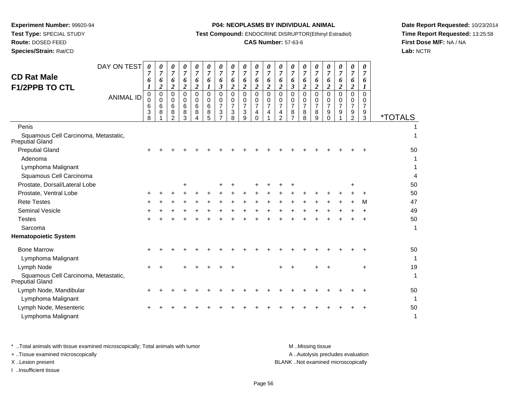**Test Type:** SPECIAL STUDY

# **Route:** DOSED FEED

**Species/Strain:** Rat/CD

#### **P04: NEOPLASMS BY INDIVIDUAL ANIMAL**

**Test Compound:** ENDOCRINE DISRUPTOR(Ethinyl Estradiol)

### **CAS Number:** 57-63-6

**Date Report Requested:** 10/23/2014**Time Report Requested:** 13:25:58**First Dose M/F:** NA / NA**Lab:** NCTR

| <b>CD Rat Male</b><br><b>F1/2PPB TO CTL</b><br>Penis                               | DAY ON TEST<br><b>ANIMAL ID</b> | $\boldsymbol{\theta}$<br>7<br>6<br>1<br>0<br>$\Omega$<br>6<br>3<br>8 | 0<br>$\overline{7}$<br>6<br>$\overline{2}$<br>0<br>0<br>6<br>8 | 0<br>7<br>6<br>$\overline{2}$<br>0<br>0<br>6<br>8<br>$\overline{2}$ | 0<br>$\overline{7}$<br>6<br>$\overline{2}$<br>0<br>$\Omega$<br>6<br>8<br>3 | 0<br>$\overline{7}$<br>6<br>$\overline{2}$<br>$\Omega$<br>$\Omega$<br>6<br>8 | 0<br>$\overline{7}$<br>6<br>1<br>$\mathbf 0$<br>$\Omega$<br>6<br>8<br>5 | 0<br>$\overline{7}$<br>6<br>3<br>$\mathbf 0$<br>0<br>$\overline{7}$<br>3 | 0<br>$\overline{7}$<br>6<br>$\overline{2}$<br>$\mathbf 0$<br>0<br>$\overline{7}$<br>3<br>8 | 0<br>$\overline{7}$<br>6<br>$\boldsymbol{2}$<br>$\mathbf 0$<br>0<br>$\overline{7}$<br>3<br>9 | 0<br>$\overline{7}$<br>6<br>$\boldsymbol{2}$<br>$\mathbf 0$<br>0<br>$\overline{7}$<br>4<br>$\Omega$ | 0<br>$\overline{7}$<br>6<br>2<br>$\Omega$<br>$\Omega$<br>$\overline{7}$<br>4 | 0<br>$\overline{7}$<br>6<br>$\overline{2}$<br>$\Omega$<br>0<br>$\overline{7}$<br>4<br>$\mathcal{P}$ | 0<br>$\overline{7}$<br>6<br>3<br>$\mathbf 0$<br>0<br>$\overline{7}$<br>8<br>$\overline{7}$ | 0<br>7<br>6<br>$\overline{\mathbf{2}}$<br>$\Omega$<br>0<br>7<br>8<br>8 | 0<br>7<br>6<br>$\overline{2}$<br>$\Omega$<br>0<br>$\overline{7}$<br>8<br>9 | 0<br>$\overline{7}$<br>6<br>2<br>0<br>0<br>$\overline{7}$<br>9<br>$\Omega$ | 0<br>$\overline{7}$<br>6<br>$\overline{c}$<br>$\Omega$<br>$\Omega$<br>$\overline{7}$<br>9 | 0<br>$\overline{7}$<br>6<br>2<br>$\Omega$<br>0<br>$\overline{7}$<br>9<br>2 | 0<br>$\overline{7}$<br>6<br>$\Omega$<br>0<br>$\overline{7}$<br>9<br>3 | <i><b>*TOTALS</b></i> |
|------------------------------------------------------------------------------------|---------------------------------|----------------------------------------------------------------------|----------------------------------------------------------------|---------------------------------------------------------------------|----------------------------------------------------------------------------|------------------------------------------------------------------------------|-------------------------------------------------------------------------|--------------------------------------------------------------------------|--------------------------------------------------------------------------------------------|----------------------------------------------------------------------------------------------|-----------------------------------------------------------------------------------------------------|------------------------------------------------------------------------------|-----------------------------------------------------------------------------------------------------|--------------------------------------------------------------------------------------------|------------------------------------------------------------------------|----------------------------------------------------------------------------|----------------------------------------------------------------------------|-------------------------------------------------------------------------------------------|----------------------------------------------------------------------------|-----------------------------------------------------------------------|-----------------------|
| Squamous Cell Carcinoma, Metastatic,<br><b>Preputial Gland</b>                     |                                 |                                                                      |                                                                |                                                                     |                                                                            |                                                                              |                                                                         |                                                                          |                                                                                            |                                                                                              |                                                                                                     |                                                                              |                                                                                                     |                                                                                            |                                                                        |                                                                            |                                                                            |                                                                                           |                                                                            |                                                                       |                       |
| <b>Preputial Gland</b><br>Adenoma<br>Lymphoma Malignant<br>Squamous Cell Carcinoma |                                 |                                                                      |                                                                |                                                                     |                                                                            |                                                                              |                                                                         |                                                                          |                                                                                            |                                                                                              |                                                                                                     |                                                                              |                                                                                                     |                                                                                            |                                                                        |                                                                            |                                                                            |                                                                                           |                                                                            |                                                                       | 50                    |
| Prostate, Dorsal/Lateral Lobe                                                      |                                 |                                                                      |                                                                |                                                                     | +                                                                          |                                                                              |                                                                         |                                                                          |                                                                                            |                                                                                              |                                                                                                     |                                                                              |                                                                                                     |                                                                                            |                                                                        |                                                                            |                                                                            |                                                                                           |                                                                            |                                                                       | 50                    |
| Prostate, Ventral Lobe                                                             |                                 |                                                                      |                                                                |                                                                     |                                                                            |                                                                              |                                                                         |                                                                          |                                                                                            |                                                                                              |                                                                                                     |                                                                              |                                                                                                     |                                                                                            |                                                                        |                                                                            |                                                                            |                                                                                           |                                                                            |                                                                       | 50                    |
| <b>Rete Testes</b>                                                                 |                                 |                                                                      |                                                                |                                                                     |                                                                            |                                                                              |                                                                         |                                                                          |                                                                                            |                                                                                              |                                                                                                     |                                                                              |                                                                                                     |                                                                                            |                                                                        |                                                                            |                                                                            |                                                                                           |                                                                            | М                                                                     | 47                    |
| <b>Seminal Vesicle</b>                                                             |                                 |                                                                      |                                                                |                                                                     |                                                                            |                                                                              |                                                                         |                                                                          |                                                                                            |                                                                                              |                                                                                                     |                                                                              |                                                                                                     |                                                                                            |                                                                        |                                                                            |                                                                            |                                                                                           |                                                                            |                                                                       | 49                    |
| <b>Testes</b>                                                                      |                                 |                                                                      |                                                                |                                                                     |                                                                            |                                                                              |                                                                         |                                                                          |                                                                                            |                                                                                              |                                                                                                     |                                                                              |                                                                                                     |                                                                                            |                                                                        |                                                                            |                                                                            |                                                                                           |                                                                            |                                                                       | 50                    |
| Sarcoma                                                                            |                                 |                                                                      |                                                                |                                                                     |                                                                            |                                                                              |                                                                         |                                                                          |                                                                                            |                                                                                              |                                                                                                     |                                                                              |                                                                                                     |                                                                                            |                                                                        |                                                                            |                                                                            |                                                                                           |                                                                            |                                                                       | 1                     |
| <b>Hematopoietic System</b>                                                        |                                 |                                                                      |                                                                |                                                                     |                                                                            |                                                                              |                                                                         |                                                                          |                                                                                            |                                                                                              |                                                                                                     |                                                                              |                                                                                                     |                                                                                            |                                                                        |                                                                            |                                                                            |                                                                                           |                                                                            |                                                                       |                       |
| <b>Bone Marrow</b><br>Lymphoma Malignant                                           |                                 |                                                                      |                                                                |                                                                     |                                                                            |                                                                              |                                                                         |                                                                          |                                                                                            |                                                                                              |                                                                                                     |                                                                              |                                                                                                     |                                                                                            |                                                                        |                                                                            |                                                                            |                                                                                           |                                                                            |                                                                       | 50<br>1               |
| Lymph Node                                                                         |                                 |                                                                      |                                                                |                                                                     |                                                                            |                                                                              |                                                                         |                                                                          |                                                                                            |                                                                                              |                                                                                                     |                                                                              |                                                                                                     |                                                                                            |                                                                        |                                                                            |                                                                            |                                                                                           |                                                                            | $\ddot{}$                                                             | 19                    |
| Squamous Cell Carcinoma, Metastatic,<br><b>Preputial Gland</b>                     |                                 |                                                                      |                                                                |                                                                     |                                                                            |                                                                              |                                                                         |                                                                          |                                                                                            |                                                                                              |                                                                                                     |                                                                              |                                                                                                     |                                                                                            |                                                                        |                                                                            |                                                                            |                                                                                           |                                                                            |                                                                       | 1                     |
| Lymph Node, Mandibular                                                             |                                 |                                                                      |                                                                |                                                                     |                                                                            |                                                                              |                                                                         |                                                                          |                                                                                            |                                                                                              |                                                                                                     |                                                                              |                                                                                                     |                                                                                            |                                                                        |                                                                            |                                                                            |                                                                                           |                                                                            |                                                                       | 50                    |
| Lymphoma Malignant                                                                 |                                 |                                                                      |                                                                |                                                                     |                                                                            |                                                                              |                                                                         |                                                                          |                                                                                            |                                                                                              |                                                                                                     |                                                                              |                                                                                                     |                                                                                            |                                                                        |                                                                            |                                                                            |                                                                                           |                                                                            |                                                                       | 1                     |
| Lymph Node, Mesenteric<br>Lymphoma Malignant                                       |                                 |                                                                      |                                                                |                                                                     |                                                                            |                                                                              |                                                                         |                                                                          |                                                                                            |                                                                                              |                                                                                                     |                                                                              |                                                                                                     |                                                                                            |                                                                        |                                                                            |                                                                            |                                                                                           |                                                                            |                                                                       | 50<br>1               |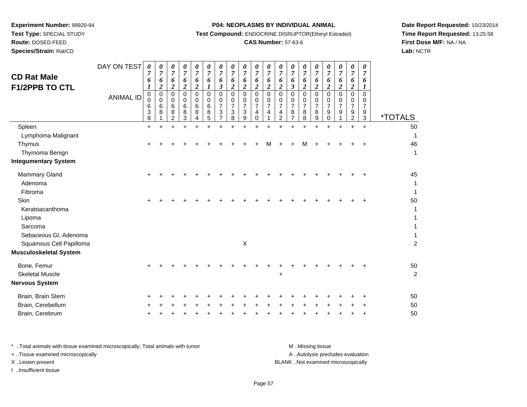**Route:** DOSED FEED

**Species/Strain:** Rat/CD

### **P04: NEOPLASMS BY INDIVIDUAL ANIMAL**

**Test Compound:** ENDOCRINE DISRUPTOR(Ethinyl Estradiol)

## **CAS Number:** 57-63-6

**Date Report Requested:** 10/23/2014**Time Report Requested:** 13:25:58**First Dose M/F:** NA / NA**Lab:** NCTR

| <b>CD Rat Male</b><br><b>F1/2PPB TO CTL</b> | DAY ON TEST<br><b>ANIMAL ID</b> | $\boldsymbol{\theta}$<br>$\overline{7}$<br>6<br>$\pmb{0}$<br>$\Omega$<br>6<br>3<br>8 | 0<br>$\overline{7}$<br>6<br>$\boldsymbol{2}$<br>0<br>$\Omega$<br>6<br>8 | 0<br>$\overline{7}$<br>6<br>$\boldsymbol{2}$<br>0<br>$\Omega$<br>6<br>8<br>$\overline{2}$ | 0<br>$\overline{7}$<br>6<br>$\overline{\mathbf{c}}$<br>0<br>$\Omega$<br>6<br>8<br>3 | $\boldsymbol{\theta}$<br>$\overline{7}$<br>6<br>$\overline{\mathbf{c}}$<br>$\mathbf 0$<br>$\Omega$<br>6<br>8<br>4 | 0<br>$\overline{7}$<br>6<br>$\Omega$<br>$\Omega$<br>6<br>8<br>5 | 0<br>$\overline{7}$<br>6<br>3<br>$\mathbf 0$<br>0<br>$\overline{7}$<br>3 | 0<br>$\overline{7}$<br>6<br>$\boldsymbol{2}$<br>0<br>0<br>$\overline{7}$<br>3<br>8 | 0<br>$\overline{7}$<br>6<br>$\overline{2}$<br>0<br>$\mathbf 0$<br>$\overline{7}$<br>3<br>9 | 0<br>$\overline{7}$<br>6<br>$\overline{c}$<br>$\mathbf 0$<br>$\mathbf 0$<br>$\overline{7}$<br>4<br>$\mathbf 0$ | 0<br>$\overline{7}$<br>6<br>$\boldsymbol{2}$<br>$\mathbf 0$<br>0<br>$\overline{7}$<br>4 | 0<br>$\overline{7}$<br>6<br>$\boldsymbol{2}$<br>0<br>0<br>7<br>4<br>$\overline{a}$ | 0<br>$\overline{7}$<br>6<br>3<br>0<br>0<br>$\overline{7}$<br>8<br>7 | 0<br>$\overline{7}$<br>6<br>$\overline{c}$<br>$\mathbf 0$<br>$\Omega$<br>$\overline{7}$<br>8<br>8 | 0<br>$\overline{7}$<br>6<br>$\overline{c}$<br>$\mathbf 0$<br>$\Omega$<br>$\overline{7}$<br>8<br>9 | 0<br>$\overline{7}$<br>6<br>$\boldsymbol{2}$<br>$\mathbf 0$<br>0<br>$\overline{7}$<br>9<br>$\mathbf 0$ | 0<br>$\overline{7}$<br>6<br>$\overline{\mathbf{c}}$<br>$\mathbf 0$<br>0<br>$\overline{7}$<br>9 | 0<br>$\overline{7}$<br>6<br>$\boldsymbol{2}$<br>0<br>0<br>$\overline{7}$<br>9<br>$\overline{2}$ | 0<br>7<br>6<br>$\Omega$<br>$\Omega$<br>$\overline{7}$<br>9<br>3 | <i><b>*TOTALS</b></i> |
|---------------------------------------------|---------------------------------|--------------------------------------------------------------------------------------|-------------------------------------------------------------------------|-------------------------------------------------------------------------------------------|-------------------------------------------------------------------------------------|-------------------------------------------------------------------------------------------------------------------|-----------------------------------------------------------------|--------------------------------------------------------------------------|------------------------------------------------------------------------------------|--------------------------------------------------------------------------------------------|----------------------------------------------------------------------------------------------------------------|-----------------------------------------------------------------------------------------|------------------------------------------------------------------------------------|---------------------------------------------------------------------|---------------------------------------------------------------------------------------------------|---------------------------------------------------------------------------------------------------|--------------------------------------------------------------------------------------------------------|------------------------------------------------------------------------------------------------|-------------------------------------------------------------------------------------------------|-----------------------------------------------------------------|-----------------------|
| Spleen                                      |                                 | $+$                                                                                  |                                                                         |                                                                                           |                                                                                     |                                                                                                                   |                                                                 |                                                                          | $\ddot{}$                                                                          |                                                                                            | ÷                                                                                                              |                                                                                         |                                                                                    |                                                                     |                                                                                                   |                                                                                                   | $\ddot{}$                                                                                              |                                                                                                | $\ddot{}$                                                                                       | $\ddot{}$                                                       | 50                    |
| Lymphoma Malignant                          |                                 |                                                                                      |                                                                         |                                                                                           |                                                                                     |                                                                                                                   |                                                                 |                                                                          |                                                                                    |                                                                                            |                                                                                                                |                                                                                         |                                                                                    |                                                                     |                                                                                                   |                                                                                                   |                                                                                                        |                                                                                                |                                                                                                 |                                                                 | 1                     |
| Thymus                                      |                                 |                                                                                      |                                                                         |                                                                                           |                                                                                     |                                                                                                                   |                                                                 |                                                                          |                                                                                    |                                                                                            |                                                                                                                | M                                                                                       |                                                                                    |                                                                     | м                                                                                                 |                                                                                                   |                                                                                                        |                                                                                                |                                                                                                 |                                                                 | 46                    |
| Thymoma Benign                              |                                 |                                                                                      |                                                                         |                                                                                           |                                                                                     |                                                                                                                   |                                                                 |                                                                          |                                                                                    |                                                                                            |                                                                                                                |                                                                                         |                                                                                    |                                                                     |                                                                                                   |                                                                                                   |                                                                                                        |                                                                                                |                                                                                                 |                                                                 | 1                     |
| <b>Integumentary System</b>                 |                                 |                                                                                      |                                                                         |                                                                                           |                                                                                     |                                                                                                                   |                                                                 |                                                                          |                                                                                    |                                                                                            |                                                                                                                |                                                                                         |                                                                                    |                                                                     |                                                                                                   |                                                                                                   |                                                                                                        |                                                                                                |                                                                                                 |                                                                 |                       |
| Mammary Gland                               |                                 |                                                                                      |                                                                         |                                                                                           |                                                                                     |                                                                                                                   |                                                                 |                                                                          |                                                                                    |                                                                                            |                                                                                                                |                                                                                         |                                                                                    |                                                                     |                                                                                                   |                                                                                                   |                                                                                                        |                                                                                                |                                                                                                 |                                                                 | 45                    |
| Adenoma                                     |                                 |                                                                                      |                                                                         |                                                                                           |                                                                                     |                                                                                                                   |                                                                 |                                                                          |                                                                                    |                                                                                            |                                                                                                                |                                                                                         |                                                                                    |                                                                     |                                                                                                   |                                                                                                   |                                                                                                        |                                                                                                |                                                                                                 |                                                                 | 1                     |
| Fibroma                                     |                                 |                                                                                      |                                                                         |                                                                                           |                                                                                     |                                                                                                                   |                                                                 |                                                                          |                                                                                    |                                                                                            |                                                                                                                |                                                                                         |                                                                                    |                                                                     |                                                                                                   |                                                                                                   |                                                                                                        |                                                                                                |                                                                                                 |                                                                 | 1                     |
| <b>Skin</b>                                 |                                 |                                                                                      |                                                                         |                                                                                           |                                                                                     |                                                                                                                   |                                                                 |                                                                          |                                                                                    |                                                                                            |                                                                                                                |                                                                                         |                                                                                    |                                                                     |                                                                                                   |                                                                                                   |                                                                                                        |                                                                                                |                                                                                                 |                                                                 | 50                    |
| Keratoacanthoma                             |                                 |                                                                                      |                                                                         |                                                                                           |                                                                                     |                                                                                                                   |                                                                 |                                                                          |                                                                                    |                                                                                            |                                                                                                                |                                                                                         |                                                                                    |                                                                     |                                                                                                   |                                                                                                   |                                                                                                        |                                                                                                |                                                                                                 |                                                                 | 1                     |
| Lipoma                                      |                                 |                                                                                      |                                                                         |                                                                                           |                                                                                     |                                                                                                                   |                                                                 |                                                                          |                                                                                    |                                                                                            |                                                                                                                |                                                                                         |                                                                                    |                                                                     |                                                                                                   |                                                                                                   |                                                                                                        |                                                                                                |                                                                                                 |                                                                 | 1                     |
| Sarcoma                                     |                                 |                                                                                      |                                                                         |                                                                                           |                                                                                     |                                                                                                                   |                                                                 |                                                                          |                                                                                    |                                                                                            |                                                                                                                |                                                                                         |                                                                                    |                                                                     |                                                                                                   |                                                                                                   |                                                                                                        |                                                                                                |                                                                                                 |                                                                 | 1                     |
| Sebaceous Gl, Adenoma                       |                                 |                                                                                      |                                                                         |                                                                                           |                                                                                     |                                                                                                                   |                                                                 |                                                                          |                                                                                    |                                                                                            |                                                                                                                |                                                                                         |                                                                                    |                                                                     |                                                                                                   |                                                                                                   |                                                                                                        |                                                                                                |                                                                                                 |                                                                 | 1                     |
| Squamous Cell Papilloma                     |                                 |                                                                                      |                                                                         |                                                                                           |                                                                                     |                                                                                                                   |                                                                 |                                                                          |                                                                                    | $\boldsymbol{\mathsf{X}}$                                                                  |                                                                                                                |                                                                                         |                                                                                    |                                                                     |                                                                                                   |                                                                                                   |                                                                                                        |                                                                                                |                                                                                                 |                                                                 | $\overline{c}$        |
| <b>Musculoskeletal System</b>               |                                 |                                                                                      |                                                                         |                                                                                           |                                                                                     |                                                                                                                   |                                                                 |                                                                          |                                                                                    |                                                                                            |                                                                                                                |                                                                                         |                                                                                    |                                                                     |                                                                                                   |                                                                                                   |                                                                                                        |                                                                                                |                                                                                                 |                                                                 |                       |
| Bone, Femur                                 |                                 |                                                                                      |                                                                         |                                                                                           |                                                                                     |                                                                                                                   |                                                                 |                                                                          |                                                                                    |                                                                                            |                                                                                                                |                                                                                         |                                                                                    |                                                                     |                                                                                                   |                                                                                                   |                                                                                                        |                                                                                                |                                                                                                 |                                                                 | 50                    |
| <b>Skeletal Muscle</b>                      |                                 |                                                                                      |                                                                         |                                                                                           |                                                                                     |                                                                                                                   |                                                                 |                                                                          |                                                                                    |                                                                                            |                                                                                                                |                                                                                         | $\ddot{}$                                                                          |                                                                     |                                                                                                   |                                                                                                   |                                                                                                        |                                                                                                |                                                                                                 |                                                                 | $\overline{c}$        |
| <b>Nervous System</b>                       |                                 |                                                                                      |                                                                         |                                                                                           |                                                                                     |                                                                                                                   |                                                                 |                                                                          |                                                                                    |                                                                                            |                                                                                                                |                                                                                         |                                                                                    |                                                                     |                                                                                                   |                                                                                                   |                                                                                                        |                                                                                                |                                                                                                 |                                                                 |                       |
| Brain, Brain Stem                           |                                 |                                                                                      |                                                                         |                                                                                           |                                                                                     |                                                                                                                   |                                                                 |                                                                          |                                                                                    |                                                                                            |                                                                                                                |                                                                                         |                                                                                    |                                                                     |                                                                                                   |                                                                                                   |                                                                                                        |                                                                                                |                                                                                                 |                                                                 | 50                    |
| Brain, Cerebellum                           |                                 |                                                                                      |                                                                         |                                                                                           |                                                                                     |                                                                                                                   |                                                                 |                                                                          |                                                                                    |                                                                                            |                                                                                                                |                                                                                         |                                                                                    |                                                                     |                                                                                                   |                                                                                                   |                                                                                                        |                                                                                                |                                                                                                 |                                                                 | 50                    |
| Brain, Cerebrum                             |                                 |                                                                                      |                                                                         |                                                                                           |                                                                                     |                                                                                                                   |                                                                 |                                                                          |                                                                                    |                                                                                            |                                                                                                                |                                                                                         |                                                                                    |                                                                     |                                                                                                   |                                                                                                   |                                                                                                        |                                                                                                |                                                                                                 |                                                                 | 50                    |
|                                             |                                 |                                                                                      |                                                                         |                                                                                           |                                                                                     |                                                                                                                   |                                                                 |                                                                          |                                                                                    |                                                                                            |                                                                                                                |                                                                                         |                                                                                    |                                                                     |                                                                                                   |                                                                                                   |                                                                                                        |                                                                                                |                                                                                                 |                                                                 |                       |

| * Total animals with tissue examined microscopically; Total animals with tumor | M Missing tissue                   |
|--------------------------------------------------------------------------------|------------------------------------|
| + Tissue examined microscopically                                              | A Autolysis precludes evaluation   |
| X Lesion present                                                               | BLANK Not examined microscopically |
| Insufficient tissue                                                            |                                    |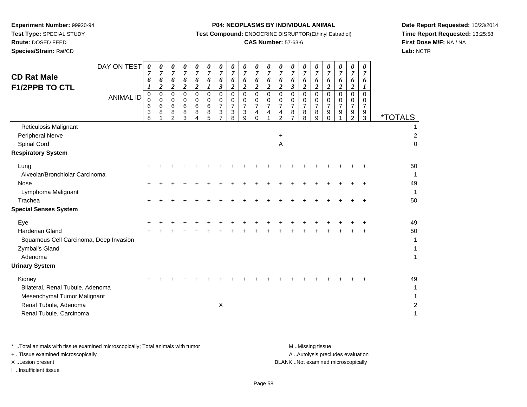**Route:** DOSED FEED

**Species/Strain:** Rat/CD

#### **P04: NEOPLASMS BY INDIVIDUAL ANIMAL**

**Test Compound:** ENDOCRINE DISRUPTOR(Ethinyl Estradiol)

### **CAS Number:** 57-63-6

**Date Report Requested:** 10/23/2014**Time Report Requested:** 13:25:58**First Dose M/F:** NA / NA**Lab:** NCTR

| <b>CD Rat Male</b><br>F1/2PPB TO CTL                                                                                          | DAY ON TEST<br><b>ANIMAL ID</b> | $\boldsymbol{\theta}$<br>7<br>6<br>0<br>$\Omega$<br>6<br>3 | 0<br>$\overline{7}$<br>6<br>$\boldsymbol{2}$<br>$\pmb{0}$<br>$\mathbf 0$<br>6<br>8 | 0<br>$\overline{7}$<br>6<br>$\boldsymbol{2}$<br>$\mathbf 0$<br>0<br>6<br>8 | 0<br>$\overline{7}$<br>6<br>$\boldsymbol{2}$<br>0<br>0<br>6<br>8 | 0<br>$\overline{7}$<br>6<br>$\overline{c}$<br>0<br>$\mathbf 0$<br>$\,6$<br>8 | 0<br>$\overline{7}$<br>6<br>1<br>0<br>0<br>6<br>8 | 0<br>$\boldsymbol{7}$<br>6<br>$\mathfrak{z}$<br>$\mathbf 0$<br>$\Omega$<br>$\overline{7}$<br>$\ensuremath{\mathsf{3}}$ | 0<br>$\overline{7}$<br>6<br>$\overline{2}$<br>$\mathbf 0$<br>0<br>$\overline{7}$<br>3 | 0<br>$\overline{7}$<br>6<br>$\boldsymbol{2}$<br>$\mathbf 0$<br>0<br>$\overline{7}$<br>3 | 0<br>$\overline{7}$<br>6<br>$\overline{c}$<br>0<br>0<br>$\overline{7}$<br>4 | 0<br>$\overline{7}$<br>6<br>$\overline{c}$<br>$\mathbf 0$<br>0<br>7<br>4 | 0<br>$\overline{7}$<br>6<br>$\overline{\mathbf{c}}$<br>$\mathbf 0$<br>0<br>$\overline{7}$<br>4 | 0<br>$\overline{7}$<br>6<br>$\boldsymbol{\beta}$<br>0<br>0<br>$\overline{7}$<br>8 | 0<br>$\overline{7}$<br>6<br>$\overline{\mathbf{c}}$<br>$\Omega$<br>0<br>$\overline{7}$<br>8 | 0<br>$\overline{7}$<br>6<br>$\overline{c}$<br>$\mathbf 0$<br>0<br>$\overline{7}$<br>8 | 0<br>7<br>6<br>$\boldsymbol{2}$<br>0<br>0<br>7<br>9 | 0<br>$\overline{7}$<br>6<br>$\overline{\mathbf{2}}$<br>$\mathbf 0$<br>0<br>7<br>9 | 0<br>$\overline{7}$<br>6<br>$\boldsymbol{2}$<br>0<br>0<br>$\overline{7}$<br>9 | 0<br>7<br>6<br>1<br>$\Omega$<br>0<br>7<br>9 |                                                |
|-------------------------------------------------------------------------------------------------------------------------------|---------------------------------|------------------------------------------------------------|------------------------------------------------------------------------------------|----------------------------------------------------------------------------|------------------------------------------------------------------|------------------------------------------------------------------------------|---------------------------------------------------|------------------------------------------------------------------------------------------------------------------------|---------------------------------------------------------------------------------------|-----------------------------------------------------------------------------------------|-----------------------------------------------------------------------------|--------------------------------------------------------------------------|------------------------------------------------------------------------------------------------|-----------------------------------------------------------------------------------|---------------------------------------------------------------------------------------------|---------------------------------------------------------------------------------------|-----------------------------------------------------|-----------------------------------------------------------------------------------|-------------------------------------------------------------------------------|---------------------------------------------|------------------------------------------------|
|                                                                                                                               |                                 | 8                                                          |                                                                                    | $\overline{2}$                                                             | 3                                                                | 4                                                                            | 5                                                 | $\overline{7}$                                                                                                         | 8                                                                                     | 9                                                                                       | $\Omega$                                                                    |                                                                          | $\overline{2}$                                                                                 | $\overline{7}$                                                                    | 8                                                                                           | 9                                                                                     | $\Omega$                                            |                                                                                   | $\overline{2}$                                                                | 3                                           | <i><b>*TOTALS</b></i>                          |
| Reticulosis Malignant<br>Peripheral Nerve<br>Spinal Cord<br><b>Respiratory System</b>                                         |                                 |                                                            |                                                                                    |                                                                            |                                                                  |                                                                              |                                                   |                                                                                                                        |                                                                                       |                                                                                         |                                                                             |                                                                          | +<br>A                                                                                         |                                                                                   |                                                                                             |                                                                                       |                                                     |                                                                                   |                                                                               |                                             | $\overline{c}$<br>$\mathbf 0$                  |
| Lung<br>Alveolar/Bronchiolar Carcinoma                                                                                        |                                 |                                                            |                                                                                    |                                                                            |                                                                  |                                                                              |                                                   |                                                                                                                        |                                                                                       |                                                                                         |                                                                             |                                                                          |                                                                                                |                                                                                   |                                                                                             |                                                                                       |                                                     |                                                                                   |                                                                               |                                             | 50<br>1                                        |
| <b>Nose</b><br>Lymphoma Malignant                                                                                             |                                 |                                                            |                                                                                    |                                                                            |                                                                  |                                                                              |                                                   |                                                                                                                        |                                                                                       |                                                                                         |                                                                             |                                                                          |                                                                                                |                                                                                   |                                                                                             |                                                                                       |                                                     |                                                                                   |                                                                               |                                             | 49<br>$\mathbf{1}$                             |
| Trachea<br><b>Special Senses System</b>                                                                                       |                                 |                                                            |                                                                                    |                                                                            |                                                                  |                                                                              |                                                   |                                                                                                                        |                                                                                       |                                                                                         |                                                                             |                                                                          |                                                                                                |                                                                                   |                                                                                             |                                                                                       |                                                     |                                                                                   |                                                                               |                                             | 50                                             |
| Eye<br><b>Harderian Gland</b><br>Squamous Cell Carcinoma, Deep Invasion<br>Zymbal's Gland<br>Adenoma<br><b>Urinary System</b> |                                 |                                                            |                                                                                    |                                                                            |                                                                  |                                                                              |                                                   |                                                                                                                        |                                                                                       |                                                                                         |                                                                             |                                                                          |                                                                                                |                                                                                   |                                                                                             |                                                                                       |                                                     |                                                                                   |                                                                               |                                             | 49<br>50<br>$\mathbf{1}$<br>1<br>$\mathbf{1}$  |
| Kidney<br>Bilateral, Renal Tubule, Adenoma<br>Mesenchymal Tumor Malignant<br>Renal Tubule, Adenoma<br>Renal Tubule, Carcinoma |                                 |                                                            |                                                                                    |                                                                            |                                                                  |                                                                              |                                                   | $\boldsymbol{\mathsf{X}}$                                                                                              |                                                                                       |                                                                                         |                                                                             |                                                                          |                                                                                                |                                                                                   |                                                                                             |                                                                                       |                                                     |                                                                                   |                                                                               |                                             | 49<br>1<br>1<br>$\overline{c}$<br>$\mathbf{1}$ |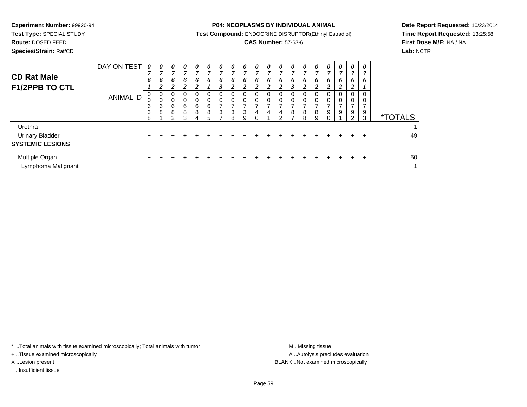**Route:** DOSED FEED

**Species/Strain:** Rat/CD

#### **P04: NEOPLASMS BY INDIVIDUAL ANIMAL**

**Test Compound:** ENDOCRINE DISRUPTOR(Ethinyl Estradiol)

### **CAS Number:** 57-63-6

**Date Report Requested:** 10/23/2014**Time Report Requested:** 13:25:58**First Dose M/F:** NA / NA**Lab:** NCTR

| <b>CD Rat Male</b><br><b>F1/2PPB TO CTL</b> | DAY ON TEST<br><b>ANIMAL ID</b> | 0<br>7<br>6<br>0<br>U<br>6<br>3<br>8 | 0<br>6<br>◢<br>0<br>0<br>6<br>8 | $\boldsymbol{\theta}$<br>7<br>6<br>2<br>0<br>6<br>8<br>◠ | $\boldsymbol{\theta}$<br>7<br>6<br>2<br>$\mathbf 0$<br>0<br>6<br>8<br>3 | 0<br>$\overline{7}$<br>6<br>0<br>$\mathbf 0$<br>6<br>8<br>$\overline{4}$ | 0<br>$\overline{7}$<br>6<br>0<br>0<br>6<br>8<br>5 | $\boldsymbol{\theta}$<br>7<br>6<br>0<br>0<br>$\overline{ }$<br>3 | $\boldsymbol{\theta}$<br>$\overline{ }$<br>o<br>0<br>0<br>3<br>8 | $\boldsymbol{\theta}$<br>7<br>6<br>ി<br>0<br>0<br>$\overline{ }$<br>3<br>9 | 0<br>7<br>6<br>2<br>0<br>$\mathbf 0$<br>$\overline{ }$<br>4<br>$\Omega$ | $\boldsymbol{\theta}$<br>7<br>6<br>0<br>0<br>$\overline{\phantom{a}}$<br>$\overline{4}$ | 0<br>7<br>6<br>2<br>0<br>0<br>$\overline{ }$<br>4<br>っ | $\boldsymbol{\theta}$<br>7<br>6<br>0<br>0<br>8 | 0<br>7<br>6<br><u>า</u><br>0<br>0<br>$\overline{ }$<br>8<br>8 | $\boldsymbol{\theta}$<br>7<br>6<br>$\boldsymbol{2}$<br>0<br>$\pmb{0}$<br>$\overline{7}$<br>8<br>9 | $\boldsymbol{\theta}$<br>7<br>6<br>0<br>0<br>$\overline{ }$<br>9 | $\boldsymbol{\theta}$<br>7<br>6<br>0<br>0<br>9 | $\boldsymbol{\theta}$<br>$\overline{ }$<br>6<br>0<br>0<br>$\overline{ }$<br>9<br>2 | 0<br>$\overline{ }$<br>6<br>0<br>0<br>9<br>3 | <i><b>*TOTALS</b></i> |
|---------------------------------------------|---------------------------------|--------------------------------------|---------------------------------|----------------------------------------------------------|-------------------------------------------------------------------------|--------------------------------------------------------------------------|---------------------------------------------------|------------------------------------------------------------------|------------------------------------------------------------------|----------------------------------------------------------------------------|-------------------------------------------------------------------------|-----------------------------------------------------------------------------------------|--------------------------------------------------------|------------------------------------------------|---------------------------------------------------------------|---------------------------------------------------------------------------------------------------|------------------------------------------------------------------|------------------------------------------------|------------------------------------------------------------------------------------|----------------------------------------------|-----------------------|
| Urethra                                     |                                 |                                      |                                 |                                                          |                                                                         |                                                                          |                                                   |                                                                  |                                                                  |                                                                            |                                                                         |                                                                                         |                                                        |                                                |                                                               |                                                                                                   |                                                                  |                                                |                                                                                    |                                              |                       |
| <b>Urinary Bladder</b>                      |                                 | $\pm$                                |                                 |                                                          |                                                                         |                                                                          |                                                   |                                                                  |                                                                  |                                                                            |                                                                         |                                                                                         |                                                        |                                                |                                                               |                                                                                                   |                                                                  |                                                | ÷                                                                                  | $\div$                                       | 49                    |
| <b>SYSTEMIC LESIONS</b>                     |                                 |                                      |                                 |                                                          |                                                                         |                                                                          |                                                   |                                                                  |                                                                  |                                                                            |                                                                         |                                                                                         |                                                        |                                                |                                                               |                                                                                                   |                                                                  |                                                |                                                                                    |                                              |                       |
| Multiple Organ<br>Lymphoma Malignant        |                                 | $\pm$                                |                                 |                                                          |                                                                         |                                                                          |                                                   |                                                                  |                                                                  |                                                                            |                                                                         |                                                                                         |                                                        |                                                |                                                               |                                                                                                   |                                                                  |                                                | ÷                                                                                  | $\div$                                       | 50<br>1               |

\* ..Total animals with tissue examined microscopically; Total animals with tumor **M** . Missing tissue M ..Missing tissue

+ ..Tissue examined microscopically

I ..Insufficient tissue

A ..Autolysis precludes evaluation X ..Lesion present BLANK ..Not examined microscopically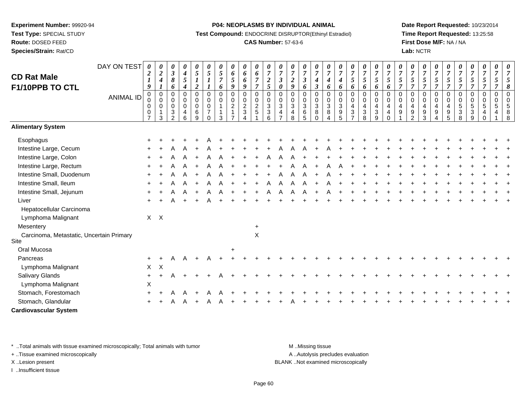**Route:** DOSED FEED

**Species/Strain:** Rat/CD

#### **P04: NEOPLASMS BY INDIVIDUAL ANIMAL**

**Test Compound:** ENDOCRINE DISRUPTOR(Ethinyl Estradiol)

### **CAS Number:** 57-63-6

**Date Report Requested:** 10/23/2014**Time Report Requested:** 13:25:58**First Dose M/F:** NA / NA**Lab:** NCTR

| <b>CD Rat Male</b><br>F1/10PPB TO CTL            | DAY ON TEST<br><b>ANIMAL ID</b> | $\boldsymbol{\theta}$<br>$\boldsymbol{2}$<br>$\boldsymbol{l}$<br>9<br>$_{\rm 0}^{\rm 0}$<br>0<br>$\pmb{0}$<br>$\overline{7}$ | 0<br>$\boldsymbol{2}$<br>$\boldsymbol{4}$<br>$\pmb{0}$<br>0<br>0<br>1<br>3 | 0<br>$\mathfrak{z}$<br>8<br>6<br>$\mathbf 0$<br>$\mathbf 0$<br>0<br>3<br>$\overline{2}$ | $\boldsymbol{\theta}$<br>$\boldsymbol{4}$<br>5<br>$\boldsymbol{4}$<br>$\Omega$<br>0<br>$\mathbf 0$<br>4<br>6 | 0<br>$\mathfrak{s}$<br>$\boldsymbol{l}$<br>$\boldsymbol{2}$<br>$\mathbf 0$<br>0<br>$\mathbf 0$<br>6<br>9 | $\boldsymbol{\theta}$<br>5<br>$\mathbf 0$<br>$\mathbf 0$<br>$\mathbf 0$<br>$\overline{7}$<br>$\mathbf 0$ | 0<br>$\mathfrak{s}$<br>7<br>6<br>0<br>0<br>$\mathbf{1}$<br>3 | $\boldsymbol{\theta}$<br>6<br>5<br>9<br>$\mathbf 0$<br>$\mathbf 0$<br>$\boldsymbol{2}$<br>1 | 0<br>6<br>6<br>9<br>0<br>0<br>$\overline{c}$<br>3<br>4 | 0<br>6<br>$\boldsymbol{7}$<br>$\overline{7}$<br>0<br>$\pmb{0}$<br>$\frac{2}{5}$ | $\pmb{\theta}$<br>$\overline{7}$<br>$\boldsymbol{2}$<br>5<br>$\pmb{0}$<br>$\pmb{0}$<br>$\mathbf{3}$<br>$\mathbf{3}$<br>6 | $\boldsymbol{\theta}$<br>$\overline{7}$<br>$\boldsymbol{\beta}$<br>$\boldsymbol{\theta}$<br>$\mathbf 0$<br>$\mathbf 0$<br>$\sqrt{3}$<br>$\overline{\mathbf{4}}$<br>$\overline{7}$ | $\boldsymbol{\theta}$<br>$\overline{7}$<br>$\boldsymbol{2}$<br>9<br>$\mathbf 0$<br>$\pmb{0}$<br>$\sqrt{3}$<br>$\overline{\mathbf{4}}$<br>8 | $\pmb{\theta}$<br>$\overline{7}$<br>$\mathfrak{z}$<br>6<br>$\pmb{0}$<br>$\boldsymbol{0}$<br>$\sqrt{3}$<br>$\,6\,$<br>5 | $\pmb{\theta}$<br>$\overline{7}$<br>$\boldsymbol{4}$<br>$\boldsymbol{\beta}$<br>0<br>$\mathbf 0$<br>$\sqrt{3}$<br>8<br>$\mathbf 0$ | 0<br>$\overline{7}$<br>4<br>6<br>$\mathbf 0$<br>$\mathbf 0$<br>$\ensuremath{\mathsf{3}}$<br>8<br>4 | 0<br>$\overline{7}$<br>4<br>6<br>$\Omega$<br>$\mathbf 0$<br>$\mathbf{3}$<br>$\boldsymbol{9}$<br>5 | $\pmb{\theta}$<br>$\overline{7}$<br>$5\overline{)}$<br>6<br>0<br>0<br>4<br>3<br>$\overline{ }$ | 0<br>$\overline{7}$<br>$\mathfrak{s}$<br>6<br>0<br>0<br>4<br>$\sqrt{3}$<br>8 | $\pmb{\theta}$<br>$\overline{7}$<br>5<br>6<br>$\mathbf 0$<br>$\pmb{0}$<br>$\overline{\mathbf{4}}$<br>$\sqrt{3}$<br>9 | 0<br>$\overline{7}$<br>5<br>6<br>$\Omega$<br>0<br>4<br>$\overline{4}$<br>$\mathbf 0$ | $\boldsymbol{\theta}$<br>$\overline{7}$<br>5<br>$\overline{7}$<br>$\mathbf 0$<br>$\mathbf 0$<br>$\overline{4}$<br>9 | $\pmb{\theta}$<br>$\overline{7}$<br>5<br>$\overline{7}$<br>0<br>$\mathbf 0$<br>4<br>$9\,$<br>$\overline{2}$ | $\pmb{\theta}$<br>$\overline{7}$<br>5<br>$\overline{7}$<br>0<br>$\mathbf 0$<br>$\overline{4}$<br>$\boldsymbol{9}$<br>$\mathbf{3}$ | 0<br>$\overline{7}$<br>5<br>7<br>$\mathbf 0$<br>0<br>4<br>$\boldsymbol{9}$<br>$\overline{4}$ | 0<br>$\overline{7}$<br>5<br>$\overline{7}$<br>0<br>$\mathbf 0$<br>4<br>9<br>5 | 0<br>$\overline{7}$<br>5<br>$\overline{7}$<br>$\mathbf 0$<br>0<br>5<br>3<br>8 | 0<br>$\overline{7}$<br>$\sqrt{5}$<br>$\overline{7}$<br>$\mathbf 0$<br>$\mathbf 0$<br>$\sqrt{5}$<br>3<br>9 | $\boldsymbol{\theta}$<br>$\overline{7}$<br>$\mathfrak{s}$<br>$\overline{7}$<br>$\pmb{0}$<br>$\mathbf 0$<br>$\overline{5}$<br>4<br>$\mathbf 0$ | 0<br>$\overline{7}$<br>5<br>$\mathbf 0$<br>$\mathbf 0$<br>5 | $\boldsymbol{\theta}$<br>$\overline{7}$<br>5<br>8<br>$\overline{0}$<br>$\boldsymbol{0}$<br>5<br>8<br>8 |
|--------------------------------------------------|---------------------------------|------------------------------------------------------------------------------------------------------------------------------|----------------------------------------------------------------------------|-----------------------------------------------------------------------------------------|--------------------------------------------------------------------------------------------------------------|----------------------------------------------------------------------------------------------------------|----------------------------------------------------------------------------------------------------------|--------------------------------------------------------------|---------------------------------------------------------------------------------------------|--------------------------------------------------------|---------------------------------------------------------------------------------|--------------------------------------------------------------------------------------------------------------------------|-----------------------------------------------------------------------------------------------------------------------------------------------------------------------------------|--------------------------------------------------------------------------------------------------------------------------------------------|------------------------------------------------------------------------------------------------------------------------|------------------------------------------------------------------------------------------------------------------------------------|----------------------------------------------------------------------------------------------------|---------------------------------------------------------------------------------------------------|------------------------------------------------------------------------------------------------|------------------------------------------------------------------------------|----------------------------------------------------------------------------------------------------------------------|--------------------------------------------------------------------------------------|---------------------------------------------------------------------------------------------------------------------|-------------------------------------------------------------------------------------------------------------|-----------------------------------------------------------------------------------------------------------------------------------|----------------------------------------------------------------------------------------------|-------------------------------------------------------------------------------|-------------------------------------------------------------------------------|-----------------------------------------------------------------------------------------------------------|-----------------------------------------------------------------------------------------------------------------------------------------------|-------------------------------------------------------------|--------------------------------------------------------------------------------------------------------|
| <b>Alimentary System</b>                         |                                 |                                                                                                                              |                                                                            |                                                                                         |                                                                                                              |                                                                                                          |                                                                                                          |                                                              |                                                                                             |                                                        |                                                                                 |                                                                                                                          |                                                                                                                                                                                   |                                                                                                                                            |                                                                                                                        |                                                                                                                                    |                                                                                                    |                                                                                                   |                                                                                                |                                                                              |                                                                                                                      |                                                                                      |                                                                                                                     |                                                                                                             |                                                                                                                                   |                                                                                              |                                                                               |                                                                               |                                                                                                           |                                                                                                                                               |                                                             |                                                                                                        |
| Esophagus                                        |                                 |                                                                                                                              |                                                                            |                                                                                         |                                                                                                              |                                                                                                          |                                                                                                          |                                                              |                                                                                             |                                                        |                                                                                 |                                                                                                                          |                                                                                                                                                                                   |                                                                                                                                            |                                                                                                                        |                                                                                                                                    |                                                                                                    |                                                                                                   |                                                                                                |                                                                              |                                                                                                                      |                                                                                      |                                                                                                                     |                                                                                                             |                                                                                                                                   |                                                                                              |                                                                               |                                                                               |                                                                                                           |                                                                                                                                               |                                                             |                                                                                                        |
| Intestine Large, Cecum                           |                                 |                                                                                                                              |                                                                            |                                                                                         |                                                                                                              |                                                                                                          |                                                                                                          |                                                              |                                                                                             |                                                        |                                                                                 |                                                                                                                          |                                                                                                                                                                                   |                                                                                                                                            |                                                                                                                        |                                                                                                                                    |                                                                                                    |                                                                                                   |                                                                                                |                                                                              |                                                                                                                      |                                                                                      |                                                                                                                     |                                                                                                             |                                                                                                                                   |                                                                                              |                                                                               |                                                                               |                                                                                                           |                                                                                                                                               |                                                             |                                                                                                        |
| Intestine Large, Colon                           |                                 |                                                                                                                              |                                                                            |                                                                                         |                                                                                                              |                                                                                                          | А                                                                                                        |                                                              |                                                                                             |                                                        |                                                                                 |                                                                                                                          |                                                                                                                                                                                   |                                                                                                                                            |                                                                                                                        |                                                                                                                                    |                                                                                                    |                                                                                                   |                                                                                                |                                                                              |                                                                                                                      |                                                                                      |                                                                                                                     |                                                                                                             |                                                                                                                                   |                                                                                              |                                                                               |                                                                               |                                                                                                           |                                                                                                                                               |                                                             |                                                                                                        |
| Intestine Large, Rectum                          |                                 |                                                                                                                              |                                                                            |                                                                                         |                                                                                                              |                                                                                                          |                                                                                                          |                                                              |                                                                                             |                                                        |                                                                                 |                                                                                                                          |                                                                                                                                                                                   |                                                                                                                                            |                                                                                                                        |                                                                                                                                    |                                                                                                    |                                                                                                   |                                                                                                |                                                                              |                                                                                                                      |                                                                                      |                                                                                                                     |                                                                                                             |                                                                                                                                   |                                                                                              |                                                                               |                                                                               |                                                                                                           |                                                                                                                                               |                                                             |                                                                                                        |
| Intestine Small, Duodenum                        |                                 |                                                                                                                              |                                                                            |                                                                                         |                                                                                                              |                                                                                                          |                                                                                                          |                                                              |                                                                                             |                                                        |                                                                                 |                                                                                                                          |                                                                                                                                                                                   |                                                                                                                                            |                                                                                                                        |                                                                                                                                    |                                                                                                    |                                                                                                   |                                                                                                |                                                                              |                                                                                                                      |                                                                                      |                                                                                                                     |                                                                                                             |                                                                                                                                   |                                                                                              |                                                                               |                                                                               |                                                                                                           |                                                                                                                                               |                                                             |                                                                                                        |
| Intestine Small, Ileum                           |                                 |                                                                                                                              |                                                                            |                                                                                         |                                                                                                              |                                                                                                          |                                                                                                          |                                                              |                                                                                             |                                                        |                                                                                 |                                                                                                                          |                                                                                                                                                                                   |                                                                                                                                            |                                                                                                                        |                                                                                                                                    |                                                                                                    |                                                                                                   |                                                                                                |                                                                              |                                                                                                                      |                                                                                      |                                                                                                                     |                                                                                                             |                                                                                                                                   |                                                                                              |                                                                               |                                                                               |                                                                                                           |                                                                                                                                               |                                                             |                                                                                                        |
| Intestine Small, Jejunum                         |                                 |                                                                                                                              |                                                                            |                                                                                         |                                                                                                              |                                                                                                          |                                                                                                          |                                                              |                                                                                             |                                                        |                                                                                 |                                                                                                                          |                                                                                                                                                                                   |                                                                                                                                            |                                                                                                                        |                                                                                                                                    |                                                                                                    |                                                                                                   |                                                                                                |                                                                              |                                                                                                                      |                                                                                      |                                                                                                                     |                                                                                                             |                                                                                                                                   |                                                                                              |                                                                               |                                                                               |                                                                                                           |                                                                                                                                               |                                                             |                                                                                                        |
| Liver                                            |                                 |                                                                                                                              |                                                                            |                                                                                         |                                                                                                              |                                                                                                          |                                                                                                          |                                                              |                                                                                             |                                                        |                                                                                 |                                                                                                                          |                                                                                                                                                                                   |                                                                                                                                            |                                                                                                                        |                                                                                                                                    |                                                                                                    |                                                                                                   |                                                                                                |                                                                              |                                                                                                                      |                                                                                      |                                                                                                                     |                                                                                                             |                                                                                                                                   |                                                                                              |                                                                               |                                                                               |                                                                                                           |                                                                                                                                               |                                                             |                                                                                                        |
| Hepatocellular Carcinoma                         |                                 |                                                                                                                              |                                                                            |                                                                                         |                                                                                                              |                                                                                                          |                                                                                                          |                                                              |                                                                                             |                                                        |                                                                                 |                                                                                                                          |                                                                                                                                                                                   |                                                                                                                                            |                                                                                                                        |                                                                                                                                    |                                                                                                    |                                                                                                   |                                                                                                |                                                                              |                                                                                                                      |                                                                                      |                                                                                                                     |                                                                                                             |                                                                                                                                   |                                                                                              |                                                                               |                                                                               |                                                                                                           |                                                                                                                                               |                                                             |                                                                                                        |
| Lymphoma Malignant                               |                                 |                                                                                                                              | $X$ $X$                                                                    |                                                                                         |                                                                                                              |                                                                                                          |                                                                                                          |                                                              |                                                                                             |                                                        |                                                                                 |                                                                                                                          |                                                                                                                                                                                   |                                                                                                                                            |                                                                                                                        |                                                                                                                                    |                                                                                                    |                                                                                                   |                                                                                                |                                                                              |                                                                                                                      |                                                                                      |                                                                                                                     |                                                                                                             |                                                                                                                                   |                                                                                              |                                                                               |                                                                               |                                                                                                           |                                                                                                                                               |                                                             |                                                                                                        |
| Mesentery                                        |                                 |                                                                                                                              |                                                                            |                                                                                         |                                                                                                              |                                                                                                          |                                                                                                          |                                                              |                                                                                             |                                                        | $\ddot{}$                                                                       |                                                                                                                          |                                                                                                                                                                                   |                                                                                                                                            |                                                                                                                        |                                                                                                                                    |                                                                                                    |                                                                                                   |                                                                                                |                                                                              |                                                                                                                      |                                                                                      |                                                                                                                     |                                                                                                             |                                                                                                                                   |                                                                                              |                                                                               |                                                                               |                                                                                                           |                                                                                                                                               |                                                             |                                                                                                        |
| Carcinoma, Metastatic, Uncertain Primary<br>Site |                                 |                                                                                                                              |                                                                            |                                                                                         |                                                                                                              |                                                                                                          |                                                                                                          |                                                              |                                                                                             |                                                        | X                                                                               |                                                                                                                          |                                                                                                                                                                                   |                                                                                                                                            |                                                                                                                        |                                                                                                                                    |                                                                                                    |                                                                                                   |                                                                                                |                                                                              |                                                                                                                      |                                                                                      |                                                                                                                     |                                                                                                             |                                                                                                                                   |                                                                                              |                                                                               |                                                                               |                                                                                                           |                                                                                                                                               |                                                             |                                                                                                        |
| Oral Mucosa                                      |                                 |                                                                                                                              |                                                                            |                                                                                         |                                                                                                              |                                                                                                          |                                                                                                          |                                                              |                                                                                             |                                                        |                                                                                 |                                                                                                                          |                                                                                                                                                                                   |                                                                                                                                            |                                                                                                                        |                                                                                                                                    |                                                                                                    |                                                                                                   |                                                                                                |                                                                              |                                                                                                                      |                                                                                      |                                                                                                                     |                                                                                                             |                                                                                                                                   |                                                                                              |                                                                               |                                                                               |                                                                                                           |                                                                                                                                               |                                                             |                                                                                                        |
| Pancreas                                         |                                 | $+$                                                                                                                          | $\ddot{}$                                                                  | A                                                                                       |                                                                                                              | $\ddot{}$                                                                                                |                                                                                                          |                                                              |                                                                                             |                                                        |                                                                                 |                                                                                                                          |                                                                                                                                                                                   |                                                                                                                                            |                                                                                                                        |                                                                                                                                    |                                                                                                    |                                                                                                   |                                                                                                |                                                                              |                                                                                                                      |                                                                                      |                                                                                                                     |                                                                                                             |                                                                                                                                   |                                                                                              |                                                                               |                                                                               |                                                                                                           |                                                                                                                                               |                                                             |                                                                                                        |
| Lymphoma Malignant                               |                                 | $\mathsf{X}$                                                                                                                 | $\mathsf{X}$                                                               |                                                                                         |                                                                                                              |                                                                                                          |                                                                                                          |                                                              |                                                                                             |                                                        |                                                                                 |                                                                                                                          |                                                                                                                                                                                   |                                                                                                                                            |                                                                                                                        |                                                                                                                                    |                                                                                                    |                                                                                                   |                                                                                                |                                                                              |                                                                                                                      |                                                                                      |                                                                                                                     |                                                                                                             |                                                                                                                                   |                                                                                              |                                                                               |                                                                               |                                                                                                           |                                                                                                                                               |                                                             |                                                                                                        |
| <b>Salivary Glands</b>                           |                                 | $\ddot{}$                                                                                                                    |                                                                            |                                                                                         |                                                                                                              |                                                                                                          |                                                                                                          |                                                              |                                                                                             |                                                        |                                                                                 |                                                                                                                          |                                                                                                                                                                                   |                                                                                                                                            |                                                                                                                        |                                                                                                                                    |                                                                                                    |                                                                                                   |                                                                                                |                                                                              |                                                                                                                      |                                                                                      |                                                                                                                     |                                                                                                             |                                                                                                                                   |                                                                                              |                                                                               |                                                                               |                                                                                                           |                                                                                                                                               |                                                             |                                                                                                        |
| Lymphoma Malignant                               |                                 | $\boldsymbol{\mathsf{X}}$                                                                                                    |                                                                            |                                                                                         |                                                                                                              |                                                                                                          |                                                                                                          |                                                              |                                                                                             |                                                        |                                                                                 |                                                                                                                          |                                                                                                                                                                                   |                                                                                                                                            |                                                                                                                        |                                                                                                                                    |                                                                                                    |                                                                                                   |                                                                                                |                                                                              |                                                                                                                      |                                                                                      |                                                                                                                     |                                                                                                             |                                                                                                                                   |                                                                                              |                                                                               |                                                                               |                                                                                                           |                                                                                                                                               |                                                             |                                                                                                        |
| Stomach, Forestomach                             |                                 |                                                                                                                              |                                                                            |                                                                                         |                                                                                                              |                                                                                                          |                                                                                                          |                                                              |                                                                                             |                                                        |                                                                                 |                                                                                                                          |                                                                                                                                                                                   |                                                                                                                                            |                                                                                                                        |                                                                                                                                    |                                                                                                    |                                                                                                   |                                                                                                |                                                                              |                                                                                                                      |                                                                                      |                                                                                                                     |                                                                                                             |                                                                                                                                   |                                                                                              |                                                                               |                                                                               |                                                                                                           |                                                                                                                                               |                                                             |                                                                                                        |
| Stomach, Glandular                               |                                 |                                                                                                                              |                                                                            |                                                                                         |                                                                                                              |                                                                                                          |                                                                                                          |                                                              |                                                                                             |                                                        |                                                                                 |                                                                                                                          |                                                                                                                                                                                   |                                                                                                                                            |                                                                                                                        |                                                                                                                                    |                                                                                                    |                                                                                                   |                                                                                                |                                                                              |                                                                                                                      |                                                                                      |                                                                                                                     |                                                                                                             |                                                                                                                                   |                                                                                              |                                                                               |                                                                               |                                                                                                           |                                                                                                                                               |                                                             |                                                                                                        |
| <b>Cardiovascular System</b>                     |                                 |                                                                                                                              |                                                                            |                                                                                         |                                                                                                              |                                                                                                          |                                                                                                          |                                                              |                                                                                             |                                                        |                                                                                 |                                                                                                                          |                                                                                                                                                                                   |                                                                                                                                            |                                                                                                                        |                                                                                                                                    |                                                                                                    |                                                                                                   |                                                                                                |                                                                              |                                                                                                                      |                                                                                      |                                                                                                                     |                                                                                                             |                                                                                                                                   |                                                                                              |                                                                               |                                                                               |                                                                                                           |                                                                                                                                               |                                                             |                                                                                                        |

\* ..Total animals with tissue examined microscopically; Total animals with tumor **M** . Missing tissue M ..Missing tissue

+ ..Tissue examined microscopically

I ..Insufficient tissue

A ..Autolysis precludes evaluation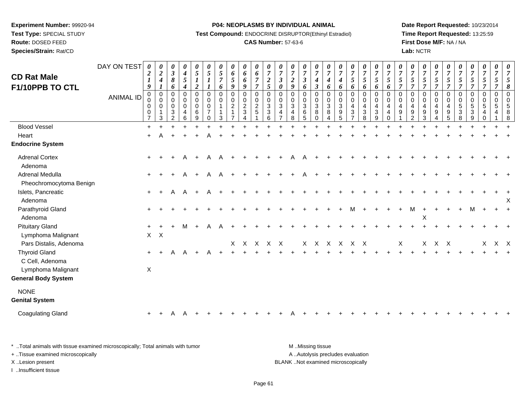**Test Type:** SPECIAL STUDY

**Route:** DOSED FEED**Species/Strain:** Rat/CD **P04: NEOPLASMS BY INDIVIDUAL ANIMAL**

**Test Compound:** ENDOCRINE DISRUPTOR(Ethinyl Estradiol)

### **CAS Number:** 57-63-6

**Date Report Requested:** 10/23/2014**Time Report Requested:** 13:25:59**First Dose M/F:** NA / NA**Lab:** NCTR

| <b>CD Rat Male</b>                               | DAY ON TEST      | 0<br>$\boldsymbol{2}$<br>1                                          | 0<br>$\boldsymbol{2}$<br>4            | 0<br>$\boldsymbol{\beta}$<br>8                                                | 0<br>$\boldsymbol{4}$<br>$\mathfrak{s}$ | 0<br>5<br>$\boldsymbol{l}$                                              | 0<br>$\mathfrak{z}$                                 | 0<br>$\sqrt{5}$<br>$\overline{7}$                                   | 0<br>6<br>5                                                       | 0<br>6<br>6                                                                     | 0<br>6<br>$\overline{7}$                                                                     | 0<br>$\overline{7}$<br>$\boldsymbol{2}$        | 0<br>$\overline{7}$<br>$\mathfrak{z}$               | 0<br>$\overline{7}$<br>$\overline{2}$ | 0<br>$\boldsymbol{7}$<br>$\mathfrak{z}$        | $\boldsymbol{\theta}$<br>$\overline{7}$<br>$\boldsymbol{4}$                   | 0<br>$\overline{7}$<br>4                    | 0<br>$\overline{7}$<br>4                    | 0<br>$\overline{7}$<br>5                                       | 0<br>$\boldsymbol{7}$<br>$\mathfrak{H}$                   | 0<br>$\overline{7}$<br>5                                                 | 0<br>$\overline{7}$<br>$5\overline{)}$                             | 0<br>$\overline{7}$<br>$\mathfrak{s}$                            | 0<br>$\overline{7}$<br>$5\overline{)}$                                            | 0<br>$\overline{7}$<br>5                                              | 0<br>$\overline{7}$<br>5                                                                       | 0<br>$\overline{7}$<br>5                                                       | 0<br>$\overline{7}$<br>5                                             | $\boldsymbol{\theta}$<br>$\boldsymbol{7}$<br>$\mathfrak{I}$ | 0<br>$\boldsymbol{7}$<br>$5\overline{)}$                           | 0<br>$\overline{7}$<br>5                               |          |
|--------------------------------------------------|------------------|---------------------------------------------------------------------|---------------------------------------|-------------------------------------------------------------------------------|-----------------------------------------|-------------------------------------------------------------------------|-----------------------------------------------------|---------------------------------------------------------------------|-------------------------------------------------------------------|---------------------------------------------------------------------------------|----------------------------------------------------------------------------------------------|------------------------------------------------|-----------------------------------------------------|---------------------------------------|------------------------------------------------|-------------------------------------------------------------------------------|---------------------------------------------|---------------------------------------------|----------------------------------------------------------------|-----------------------------------------------------------|--------------------------------------------------------------------------|--------------------------------------------------------------------|------------------------------------------------------------------|-----------------------------------------------------------------------------------|-----------------------------------------------------------------------|------------------------------------------------------------------------------------------------|--------------------------------------------------------------------------------|----------------------------------------------------------------------|-------------------------------------------------------------|--------------------------------------------------------------------|--------------------------------------------------------|----------|
| F1/10PPB TO CTL                                  | <b>ANIMAL ID</b> | 9<br>$\mathbf 0$<br>0<br>$\mathbf 0$<br>$\pmb{0}$<br>$\overline{7}$ | $\Omega$<br>$\Omega$<br>$\Omega$<br>3 | 6<br>$\Omega$<br>$\mathbf 0$<br>$\mathbf 0$<br>$\mathbf{3}$<br>$\overline{2}$ | 4<br>0<br>0<br>$\mathbf 0$<br>4<br>6    | $\boldsymbol{2}$<br>$\mathbf 0$<br>$\mathbf 0$<br>$\mathbf 0$<br>6<br>9 | $\Omega$<br>0<br>0<br>$\overline{7}$<br>$\mathbf 0$ | 6<br>$\mathbf 0$<br>$\mathbf 0$<br>$\mathbf{1}$<br>$\mathbf 1$<br>3 | 9<br>$\pmb{0}$<br>$\mathbf 0$<br>$\overline{2}$<br>$\overline{ }$ | 9<br>$\pmb{0}$<br>$\mathbf 0$<br>$\overline{c}$<br>$\sqrt{3}$<br>$\overline{4}$ | $\overline{7}$<br>$\pmb{0}$<br>$\mathbf 0$<br>$\sqrt{2}$<br>$\overline{5}$<br>$\overline{1}$ | 5<br>$\mathbf 0$<br>$\mathbf 0$<br>3<br>3<br>6 | 0<br>$\Omega$<br>$\mathbf 0$<br>3<br>$\overline{4}$ | 9<br>$\Omega$<br>0<br>3<br>4<br>8     | 6<br>$\Omega$<br>0<br>3<br>6<br>$\overline{5}$ | $\mathfrak{z}$<br>$\Omega$<br>$\mathbf 0$<br>$\mathbf{3}$<br>8<br>$\mathbf 0$ | 6<br>$\Omega$<br>$\mathbf 0$<br>3<br>8<br>4 | 6<br>$\Omega$<br>$\mathbf 0$<br>3<br>9<br>5 | 6<br>$\overline{0}$<br>$\mathbf 0$<br>4<br>3<br>$\overline{7}$ | 6<br>$\mathsf 0$<br>$\pmb{0}$<br>$\overline{4}$<br>3<br>8 | 6<br>$\mathbf 0$<br>$\mathbf 0$<br>$\overline{4}$<br>$\sqrt{3}$<br>$9\,$ | 6<br>$\mathbf 0$<br>$\mathbf 0$<br>$\overline{4}$<br>4<br>$\Omega$ | $\overline{7}$<br>$\Omega$<br>$\mathbf 0$<br>$\overline{4}$<br>9 | $\overline{7}$<br>$\Omega$<br>$\mathbf 0$<br>$\overline{4}$<br>9<br>$\mathcal{P}$ | $\overline{7}$<br>$\Omega$<br>$\mathbf 0$<br>$\overline{4}$<br>9<br>3 | $\overline{7}$<br>$\mathbf 0$<br>$\mathbf 0$<br>$\overline{4}$<br>9<br>$\overline{\mathbf{4}}$ | $\overline{7}$<br>$\Omega$<br>$\mathbf 0$<br>$\overline{4}$<br>9<br>$\sqrt{5}$ | $\overline{7}$<br>$\mathbf 0$<br>$\mathbf 0$<br>5<br>$\sqrt{3}$<br>8 | $\overline{7}$<br>0<br>$\mathbf 0$<br>$\,$ 5 $\,$<br>3<br>9 | $\overline{7}$<br>$\mathbf 0$<br>$\mathbf 0$<br>5<br>4<br>$\Omega$ | $\overline{7}$<br>$\mathbf 0$<br>$\mathbf 0$<br>5<br>4 | $\Omega$ |
| <b>Blood Vessel</b>                              |                  | $\ddot{}$                                                           |                                       |                                                                               |                                         |                                                                         |                                                     |                                                                     |                                                                   |                                                                                 |                                                                                              |                                                |                                                     |                                       |                                                |                                                                               |                                             |                                             |                                                                |                                                           |                                                                          |                                                                    |                                                                  |                                                                                   |                                                                       |                                                                                                |                                                                                |                                                                      |                                                             |                                                                    |                                                        |          |
| Heart                                            |                  | $\ddot{}$                                                           |                                       |                                                                               |                                         |                                                                         |                                                     |                                                                     |                                                                   |                                                                                 |                                                                                              |                                                |                                                     |                                       |                                                |                                                                               |                                             |                                             |                                                                |                                                           |                                                                          |                                                                    |                                                                  |                                                                                   |                                                                       |                                                                                                |                                                                                |                                                                      |                                                             |                                                                    |                                                        |          |
| <b>Endocrine System</b>                          |                  |                                                                     |                                       |                                                                               |                                         |                                                                         |                                                     |                                                                     |                                                                   |                                                                                 |                                                                                              |                                                |                                                     |                                       |                                                |                                                                               |                                             |                                             |                                                                |                                                           |                                                                          |                                                                    |                                                                  |                                                                                   |                                                                       |                                                                                                |                                                                                |                                                                      |                                                             |                                                                    |                                                        |          |
| <b>Adrenal Cortex</b><br>Adenoma                 |                  | $\pm$                                                               |                                       |                                                                               | A                                       |                                                                         |                                                     |                                                                     |                                                                   |                                                                                 |                                                                                              |                                                |                                                     |                                       |                                                |                                                                               |                                             |                                             |                                                                |                                                           |                                                                          |                                                                    |                                                                  |                                                                                   |                                                                       |                                                                                                |                                                                                |                                                                      |                                                             |                                                                    |                                                        |          |
| Adrenal Medulla<br>Pheochromocytoma Benign       |                  | $\ddot{}$                                                           |                                       |                                                                               |                                         |                                                                         | A                                                   |                                                                     |                                                                   |                                                                                 |                                                                                              |                                                |                                                     |                                       |                                                |                                                                               |                                             |                                             |                                                                |                                                           |                                                                          |                                                                    |                                                                  |                                                                                   |                                                                       |                                                                                                |                                                                                |                                                                      |                                                             |                                                                    |                                                        |          |
| Islets, Pancreatic<br>Adenoma                    |                  | $\pm$                                                               |                                       | Α                                                                             | A                                       |                                                                         |                                                     |                                                                     |                                                                   |                                                                                 |                                                                                              |                                                |                                                     |                                       |                                                |                                                                               |                                             |                                             |                                                                |                                                           |                                                                          |                                                                    |                                                                  |                                                                                   |                                                                       |                                                                                                |                                                                                |                                                                      |                                                             |                                                                    |                                                        | X        |
| Parathyroid Gland<br>Adenoma                     |                  |                                                                     |                                       |                                                                               |                                         |                                                                         |                                                     |                                                                     |                                                                   |                                                                                 |                                                                                              |                                                |                                                     |                                       |                                                |                                                                               |                                             |                                             |                                                                |                                                           |                                                                          |                                                                    |                                                                  | M                                                                                 | X                                                                     |                                                                                                |                                                                                |                                                                      | М                                                           |                                                                    |                                                        |          |
| <b>Pituitary Gland</b>                           |                  |                                                                     |                                       |                                                                               |                                         |                                                                         |                                                     |                                                                     |                                                                   |                                                                                 |                                                                                              |                                                |                                                     |                                       |                                                |                                                                               |                                             |                                             |                                                                |                                                           |                                                                          |                                                                    |                                                                  |                                                                                   |                                                                       |                                                                                                |                                                                                |                                                                      |                                                             |                                                                    |                                                        |          |
| Lymphoma Malignant                               |                  |                                                                     | $X$ $X$                               |                                                                               |                                         |                                                                         |                                                     |                                                                     |                                                                   |                                                                                 |                                                                                              |                                                |                                                     |                                       |                                                |                                                                               |                                             |                                             |                                                                |                                                           |                                                                          |                                                                    |                                                                  |                                                                                   |                                                                       |                                                                                                |                                                                                |                                                                      |                                                             |                                                                    |                                                        |          |
| Pars Distalis, Adenoma                           |                  |                                                                     |                                       |                                                                               |                                         |                                                                         |                                                     |                                                                     |                                                                   | $X$ $X$ $X$ $X$ $X$                                                             |                                                                                              |                                                |                                                     |                                       |                                                | X X X X                                                                       |                                             |                                             | $\mathsf{X}$                                                   | $\mathsf{X}$                                              |                                                                          |                                                                    | X                                                                |                                                                                   | X                                                                     | $\mathsf{X}$                                                                                   | $\mathsf{X}$                                                                   |                                                                      |                                                             | $\mathsf{X}$                                                       | X X                                                    |          |
| <b>Thyroid Gland</b><br>C Cell, Adenoma          |                  | $+$                                                                 |                                       |                                                                               |                                         |                                                                         |                                                     |                                                                     |                                                                   |                                                                                 |                                                                                              |                                                |                                                     |                                       |                                                |                                                                               |                                             |                                             |                                                                |                                                           |                                                                          |                                                                    |                                                                  |                                                                                   |                                                                       |                                                                                                |                                                                                |                                                                      |                                                             |                                                                    |                                                        |          |
| Lymphoma Malignant<br><b>General Body System</b> |                  | X                                                                   |                                       |                                                                               |                                         |                                                                         |                                                     |                                                                     |                                                                   |                                                                                 |                                                                                              |                                                |                                                     |                                       |                                                |                                                                               |                                             |                                             |                                                                |                                                           |                                                                          |                                                                    |                                                                  |                                                                                   |                                                                       |                                                                                                |                                                                                |                                                                      |                                                             |                                                                    |                                                        |          |
| <b>NONE</b>                                      |                  |                                                                     |                                       |                                                                               |                                         |                                                                         |                                                     |                                                                     |                                                                   |                                                                                 |                                                                                              |                                                |                                                     |                                       |                                                |                                                                               |                                             |                                             |                                                                |                                                           |                                                                          |                                                                    |                                                                  |                                                                                   |                                                                       |                                                                                                |                                                                                |                                                                      |                                                             |                                                                    |                                                        |          |
| <b>Genital System</b>                            |                  |                                                                     |                                       |                                                                               |                                         |                                                                         |                                                     |                                                                     |                                                                   |                                                                                 |                                                                                              |                                                |                                                     |                                       |                                                |                                                                               |                                             |                                             |                                                                |                                                           |                                                                          |                                                                    |                                                                  |                                                                                   |                                                                       |                                                                                                |                                                                                |                                                                      |                                                             |                                                                    |                                                        |          |
| <b>Coagulating Gland</b>                         |                  | $+$                                                                 |                                       |                                                                               |                                         |                                                                         |                                                     |                                                                     |                                                                   |                                                                                 |                                                                                              |                                                |                                                     |                                       |                                                |                                                                               |                                             |                                             |                                                                |                                                           |                                                                          |                                                                    |                                                                  |                                                                                   |                                                                       |                                                                                                |                                                                                |                                                                      |                                                             |                                                                    |                                                        |          |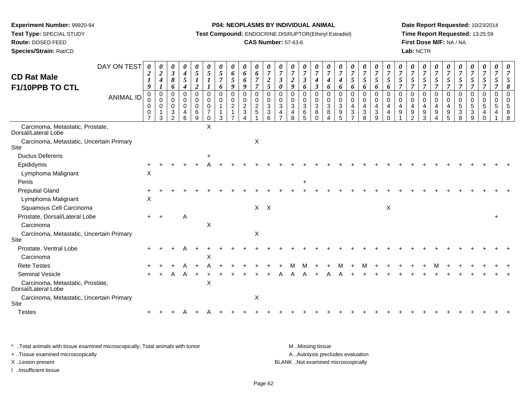**Test Type:** SPECIAL STUDY

## **Route:** DOSED FEED

**Species/Strain:** Rat/CD

#### **P04: NEOPLASMS BY INDIVIDUAL ANIMAL**

**Test Compound:** ENDOCRINE DISRUPTOR(Ethinyl Estradiol)

### **CAS Number:** 57-63-6

**Date Report Requested:** 10/23/2014**Time Report Requested:** 13:25:59**First Dose M/F:** NA / NA**Lab:** NCTR

| DAY ON TEST<br><b>CD Rat Male</b><br>F1/10PPB TO CTL    | <b>ANIMAL ID</b> | 0<br>$\boldsymbol{2}$<br>$\boldsymbol{l}$<br>9<br>0<br>$\mathbf 0$<br>$\mathbf 0$<br>0<br>$\overline{7}$ | 0<br>$\boldsymbol{2}$<br>$\boldsymbol{4}$<br>$\mathsf 0$<br>0<br>0<br>$\mathbf{1}$<br>3 | $\theta$<br>$\boldsymbol{\beta}$<br>8<br>6<br>$\mathbf 0$<br>0<br>0<br>3<br>$\overline{2}$ | 0<br>$\boldsymbol{4}$<br>5<br>4<br>$\mathbf 0$<br>$\mathbf 0$<br>$\mathbf 0$<br>$\overline{4}$<br>6 | 0<br>$5\overline{)}$<br>$\boldsymbol{l}$<br>$\boldsymbol{2}$<br>$\mathbf 0$<br>$\mathbf 0$<br>$\mathbf 0$<br>6<br>9 | 0<br>$\mathfrak{s}$<br>1<br>$\mathbf 0$<br>$\mathbf 0$<br>$\mathbf 0$<br>$\overline{7}$<br>0 | 0<br>$\mathfrak{s}$<br>$\overline{7}$<br>6<br>$\mathbf 0$<br>$\mathbf 0$<br>$\mathbf{1}$<br>3 | 0<br>6<br>5<br>9<br>$\mathbf 0$<br>0<br>$\overline{2}$<br>$\mathbf{1}$<br>$\overline{ }$ | 0<br>6<br>6<br>9<br>0<br>0<br>$\overline{a}$<br>3 | 0<br>6<br>$\overline{7}$<br>$\overline{7}$<br>0<br>0<br>$\overline{2}$<br>5 | 0<br>$\overline{7}$<br>$\boldsymbol{2}$<br>5<br>$\mathbf 0$<br>$\pmb{0}$<br>$\mathbf{3}$<br>$\mathbf{3}$<br>6 | $\boldsymbol{\theta}$<br>$\overline{7}$<br>$\boldsymbol{\beta}$<br>0<br>$\mathbf 0$<br>$\mathbf 0$<br>3<br>$\overline{4}$ | $\boldsymbol{\theta}$<br>$\overline{7}$<br>$\boldsymbol{2}$<br>9<br>$\mathbf 0$<br>$\mathbf 0$<br>3<br>4<br>8 | 0<br>$\overline{7}$<br>$\boldsymbol{\beta}$<br>6<br>0<br>0<br>3<br>6<br>5 | 0<br>$\overline{7}$<br>$\boldsymbol{4}$<br>$\mathfrak{z}$<br>$\mathbf 0$<br>$\mathbf 0$<br>3<br>8<br>$\Omega$ | $\boldsymbol{\theta}$<br>$\overline{7}$<br>4<br>6<br>$\mathbf 0$<br>0<br>$\mathbf{3}$<br>8<br>4 | $\theta$<br>$\overline{7}$<br>$\boldsymbol{4}$<br>6<br>$\mathbf 0$<br>$\mathbf 0$<br>$\mathbf{3}$<br>9<br>5 | 0<br>$\overline{7}$<br>5<br>6<br>$\mathbf 0$<br>0<br>$\overline{4}$<br>3 | 0<br>$\overline{7}$<br>5<br>6<br>$\mathbf 0$<br>0<br>$\overline{4}$<br>3<br>8 | 0<br>$\overline{7}$<br>5<br>6<br>$\mathbf 0$<br>$\mathbf 0$<br>$\overline{4}$<br>$\sqrt{3}$<br>9 | $\boldsymbol{\theta}$<br>$\overline{7}$<br>5<br>6<br>$\mathbf 0$<br>0<br>$\overline{4}$<br>4<br>$\Omega$ | $\theta$<br>$\overline{7}$<br>5<br>$\mathbf 0$<br>$\mathbf 0$<br>$\overline{4}$<br>9 | 0<br>$\overline{7}$<br>5<br>$\overline{7}$<br>$\mathbf 0$<br>0<br>$\overline{4}$<br>9<br>$\mathcal{P}$ | 0<br>$\overline{7}$<br>5<br>$\overline{7}$<br>$\mathbf 0$<br>0<br>$\overline{4}$<br>9<br>3 | 0<br>$\overline{7}$<br>5<br>$\overline{7}$<br>$\mathbf 0$<br>$\mathbf 0$<br>$\overline{4}$<br>9 | $\overline{7}$<br>5<br>$\overline{7}$<br>$\mathbf 0$<br>0<br>$\overline{4}$<br>9<br>5 | $\boldsymbol{\theta}$<br>$\overline{7}$<br>5<br>$\mathbf 0$<br>0<br>$\sqrt{5}$<br>$\mathbf{3}$<br>8 | 0<br>$\overline{7}$<br>$5\overline{)}$<br>$\overline{\tau}$<br>$\mathbf 0$<br>0<br>$\sqrt{5}$<br>3<br>9 | 0<br>$\overline{7}$<br>5<br>$\overline{7}$<br>$\mathbf 0$<br>$\mathbf 0$<br>$\overline{5}$<br>$\overline{4}$<br>$\Omega$ | $\theta$<br>$\overline{7}$<br>5<br>$\mathbf 0$<br>0<br>5<br>4 | $\overline{7}$<br>5<br>8<br>$\mathbf 0$<br>$\Omega$<br>5<br>8<br>8 |
|---------------------------------------------------------|------------------|----------------------------------------------------------------------------------------------------------|-----------------------------------------------------------------------------------------|--------------------------------------------------------------------------------------------|-----------------------------------------------------------------------------------------------------|---------------------------------------------------------------------------------------------------------------------|----------------------------------------------------------------------------------------------|-----------------------------------------------------------------------------------------------|------------------------------------------------------------------------------------------|---------------------------------------------------|-----------------------------------------------------------------------------|---------------------------------------------------------------------------------------------------------------|---------------------------------------------------------------------------------------------------------------------------|---------------------------------------------------------------------------------------------------------------|---------------------------------------------------------------------------|---------------------------------------------------------------------------------------------------------------|-------------------------------------------------------------------------------------------------|-------------------------------------------------------------------------------------------------------------|--------------------------------------------------------------------------|-------------------------------------------------------------------------------|--------------------------------------------------------------------------------------------------|----------------------------------------------------------------------------------------------------------|--------------------------------------------------------------------------------------|--------------------------------------------------------------------------------------------------------|--------------------------------------------------------------------------------------------|-------------------------------------------------------------------------------------------------|---------------------------------------------------------------------------------------|-----------------------------------------------------------------------------------------------------|---------------------------------------------------------------------------------------------------------|--------------------------------------------------------------------------------------------------------------------------|---------------------------------------------------------------|--------------------------------------------------------------------|
| Carcinoma, Metastatic, Prostate,<br>Dorsal/Lateral Lobe |                  |                                                                                                          |                                                                                         |                                                                                            |                                                                                                     |                                                                                                                     | $\pmb{\times}$                                                                               |                                                                                               |                                                                                          |                                                   |                                                                             |                                                                                                               |                                                                                                                           |                                                                                                               |                                                                           |                                                                                                               |                                                                                                 |                                                                                                             |                                                                          |                                                                               |                                                                                                  |                                                                                                          |                                                                                      |                                                                                                        |                                                                                            |                                                                                                 |                                                                                       |                                                                                                     |                                                                                                         |                                                                                                                          |                                                               |                                                                    |
| Carcinoma, Metastatic, Uncertain Primary<br>Site        |                  |                                                                                                          |                                                                                         |                                                                                            |                                                                                                     |                                                                                                                     |                                                                                              |                                                                                               |                                                                                          |                                                   | X                                                                           |                                                                                                               |                                                                                                                           |                                                                                                               |                                                                           |                                                                                                               |                                                                                                 |                                                                                                             |                                                                          |                                                                               |                                                                                                  |                                                                                                          |                                                                                      |                                                                                                        |                                                                                            |                                                                                                 |                                                                                       |                                                                                                     |                                                                                                         |                                                                                                                          |                                                               |                                                                    |
| <b>Ductus Deferens</b>                                  |                  |                                                                                                          |                                                                                         |                                                                                            |                                                                                                     |                                                                                                                     | ÷                                                                                            |                                                                                               |                                                                                          |                                                   |                                                                             |                                                                                                               |                                                                                                                           |                                                                                                               |                                                                           |                                                                                                               |                                                                                                 |                                                                                                             |                                                                          |                                                                               |                                                                                                  |                                                                                                          |                                                                                      |                                                                                                        |                                                                                            |                                                                                                 |                                                                                       |                                                                                                     |                                                                                                         |                                                                                                                          |                                                               |                                                                    |
| Epididymis                                              |                  |                                                                                                          |                                                                                         |                                                                                            |                                                                                                     |                                                                                                                     |                                                                                              |                                                                                               |                                                                                          |                                                   |                                                                             |                                                                                                               |                                                                                                                           |                                                                                                               |                                                                           |                                                                                                               |                                                                                                 |                                                                                                             |                                                                          |                                                                               |                                                                                                  |                                                                                                          |                                                                                      |                                                                                                        |                                                                                            |                                                                                                 |                                                                                       |                                                                                                     |                                                                                                         |                                                                                                                          |                                                               |                                                                    |
| Lymphoma Malignant                                      |                  | X                                                                                                        |                                                                                         |                                                                                            |                                                                                                     |                                                                                                                     |                                                                                              |                                                                                               |                                                                                          |                                                   |                                                                             |                                                                                                               |                                                                                                                           |                                                                                                               |                                                                           |                                                                                                               |                                                                                                 |                                                                                                             |                                                                          |                                                                               |                                                                                                  |                                                                                                          |                                                                                      |                                                                                                        |                                                                                            |                                                                                                 |                                                                                       |                                                                                                     |                                                                                                         |                                                                                                                          |                                                               |                                                                    |
| Penis                                                   |                  |                                                                                                          |                                                                                         |                                                                                            |                                                                                                     |                                                                                                                     |                                                                                              |                                                                                               |                                                                                          |                                                   |                                                                             |                                                                                                               |                                                                                                                           |                                                                                                               | +                                                                         |                                                                                                               |                                                                                                 |                                                                                                             |                                                                          |                                                                               |                                                                                                  |                                                                                                          |                                                                                      |                                                                                                        |                                                                                            |                                                                                                 |                                                                                       |                                                                                                     |                                                                                                         |                                                                                                                          |                                                               |                                                                    |
| <b>Preputial Gland</b>                                  |                  |                                                                                                          |                                                                                         |                                                                                            |                                                                                                     |                                                                                                                     |                                                                                              |                                                                                               |                                                                                          |                                                   |                                                                             |                                                                                                               |                                                                                                                           |                                                                                                               |                                                                           |                                                                                                               |                                                                                                 |                                                                                                             |                                                                          |                                                                               |                                                                                                  |                                                                                                          |                                                                                      |                                                                                                        |                                                                                            |                                                                                                 |                                                                                       |                                                                                                     |                                                                                                         |                                                                                                                          |                                                               |                                                                    |
| Lymphoma Malignant                                      |                  | $\mathsf{X}$                                                                                             |                                                                                         |                                                                                            |                                                                                                     |                                                                                                                     |                                                                                              |                                                                                               |                                                                                          |                                                   |                                                                             |                                                                                                               |                                                                                                                           |                                                                                                               |                                                                           |                                                                                                               |                                                                                                 |                                                                                                             |                                                                          |                                                                               |                                                                                                  |                                                                                                          |                                                                                      |                                                                                                        |                                                                                            |                                                                                                 |                                                                                       |                                                                                                     |                                                                                                         |                                                                                                                          |                                                               |                                                                    |
| Squamous Cell Carcinoma                                 |                  |                                                                                                          |                                                                                         |                                                                                            |                                                                                                     |                                                                                                                     |                                                                                              |                                                                                               |                                                                                          |                                                   | $X$ $X$                                                                     |                                                                                                               |                                                                                                                           |                                                                                                               |                                                                           |                                                                                                               |                                                                                                 |                                                                                                             |                                                                          |                                                                               |                                                                                                  | $\mathsf X$                                                                                              |                                                                                      |                                                                                                        |                                                                                            |                                                                                                 |                                                                                       |                                                                                                     |                                                                                                         |                                                                                                                          |                                                               |                                                                    |
| Prostate, Dorsal/Lateral Lobe                           |                  |                                                                                                          |                                                                                         |                                                                                            | A                                                                                                   |                                                                                                                     |                                                                                              |                                                                                               |                                                                                          |                                                   |                                                                             |                                                                                                               |                                                                                                                           |                                                                                                               |                                                                           |                                                                                                               |                                                                                                 |                                                                                                             |                                                                          |                                                                               |                                                                                                  |                                                                                                          |                                                                                      |                                                                                                        |                                                                                            |                                                                                                 |                                                                                       |                                                                                                     |                                                                                                         |                                                                                                                          |                                                               |                                                                    |
| Carcinoma                                               |                  |                                                                                                          |                                                                                         |                                                                                            |                                                                                                     |                                                                                                                     | X                                                                                            |                                                                                               |                                                                                          |                                                   |                                                                             |                                                                                                               |                                                                                                                           |                                                                                                               |                                                                           |                                                                                                               |                                                                                                 |                                                                                                             |                                                                          |                                                                               |                                                                                                  |                                                                                                          |                                                                                      |                                                                                                        |                                                                                            |                                                                                                 |                                                                                       |                                                                                                     |                                                                                                         |                                                                                                                          |                                                               |                                                                    |
| Carcinoma, Metastatic, Uncertain Primary<br>Site        |                  |                                                                                                          |                                                                                         |                                                                                            |                                                                                                     |                                                                                                                     |                                                                                              |                                                                                               |                                                                                          |                                                   | X                                                                           |                                                                                                               |                                                                                                                           |                                                                                                               |                                                                           |                                                                                                               |                                                                                                 |                                                                                                             |                                                                          |                                                                               |                                                                                                  |                                                                                                          |                                                                                      |                                                                                                        |                                                                                            |                                                                                                 |                                                                                       |                                                                                                     |                                                                                                         |                                                                                                                          |                                                               |                                                                    |
| Prostate, Ventral Lobe                                  |                  |                                                                                                          |                                                                                         |                                                                                            |                                                                                                     |                                                                                                                     |                                                                                              |                                                                                               |                                                                                          |                                                   |                                                                             |                                                                                                               |                                                                                                                           |                                                                                                               |                                                                           |                                                                                                               |                                                                                                 |                                                                                                             |                                                                          |                                                                               |                                                                                                  |                                                                                                          |                                                                                      |                                                                                                        |                                                                                            |                                                                                                 |                                                                                       |                                                                                                     |                                                                                                         |                                                                                                                          |                                                               |                                                                    |
| Carcinoma                                               |                  |                                                                                                          |                                                                                         |                                                                                            |                                                                                                     |                                                                                                                     | X                                                                                            |                                                                                               |                                                                                          |                                                   |                                                                             |                                                                                                               |                                                                                                                           |                                                                                                               |                                                                           |                                                                                                               |                                                                                                 |                                                                                                             |                                                                          |                                                                               |                                                                                                  |                                                                                                          |                                                                                      |                                                                                                        |                                                                                            |                                                                                                 |                                                                                       |                                                                                                     |                                                                                                         |                                                                                                                          |                                                               |                                                                    |
| <b>Rete Testes</b>                                      |                  |                                                                                                          |                                                                                         |                                                                                            |                                                                                                     |                                                                                                                     |                                                                                              |                                                                                               |                                                                                          |                                                   |                                                                             |                                                                                                               |                                                                                                                           |                                                                                                               |                                                                           |                                                                                                               |                                                                                                 |                                                                                                             |                                                                          |                                                                               |                                                                                                  |                                                                                                          |                                                                                      |                                                                                                        |                                                                                            |                                                                                                 |                                                                                       |                                                                                                     |                                                                                                         |                                                                                                                          |                                                               |                                                                    |
| <b>Seminal Vesicle</b>                                  |                  |                                                                                                          |                                                                                         | A                                                                                          | A                                                                                                   |                                                                                                                     |                                                                                              |                                                                                               |                                                                                          |                                                   |                                                                             |                                                                                                               |                                                                                                                           |                                                                                                               |                                                                           |                                                                                                               |                                                                                                 |                                                                                                             |                                                                          |                                                                               |                                                                                                  |                                                                                                          |                                                                                      |                                                                                                        |                                                                                            |                                                                                                 |                                                                                       |                                                                                                     |                                                                                                         |                                                                                                                          |                                                               |                                                                    |
| Carcinoma, Metastatic, Prostate,<br>Dorsal/Lateral Lobe |                  |                                                                                                          |                                                                                         |                                                                                            |                                                                                                     |                                                                                                                     | X                                                                                            |                                                                                               |                                                                                          |                                                   |                                                                             |                                                                                                               |                                                                                                                           |                                                                                                               |                                                                           |                                                                                                               |                                                                                                 |                                                                                                             |                                                                          |                                                                               |                                                                                                  |                                                                                                          |                                                                                      |                                                                                                        |                                                                                            |                                                                                                 |                                                                                       |                                                                                                     |                                                                                                         |                                                                                                                          |                                                               |                                                                    |
| Carcinoma, Metastatic, Uncertain Primary<br>Site        |                  |                                                                                                          |                                                                                         |                                                                                            |                                                                                                     |                                                                                                                     |                                                                                              |                                                                                               |                                                                                          |                                                   | X                                                                           |                                                                                                               |                                                                                                                           |                                                                                                               |                                                                           |                                                                                                               |                                                                                                 |                                                                                                             |                                                                          |                                                                               |                                                                                                  |                                                                                                          |                                                                                      |                                                                                                        |                                                                                            |                                                                                                 |                                                                                       |                                                                                                     |                                                                                                         |                                                                                                                          |                                                               |                                                                    |
| <b>Testes</b>                                           |                  |                                                                                                          |                                                                                         |                                                                                            |                                                                                                     |                                                                                                                     |                                                                                              |                                                                                               |                                                                                          |                                                   |                                                                             |                                                                                                               |                                                                                                                           |                                                                                                               |                                                                           |                                                                                                               |                                                                                                 |                                                                                                             |                                                                          |                                                                               |                                                                                                  |                                                                                                          |                                                                                      |                                                                                                        |                                                                                            |                                                                                                 |                                                                                       |                                                                                                     |                                                                                                         |                                                                                                                          |                                                               |                                                                    |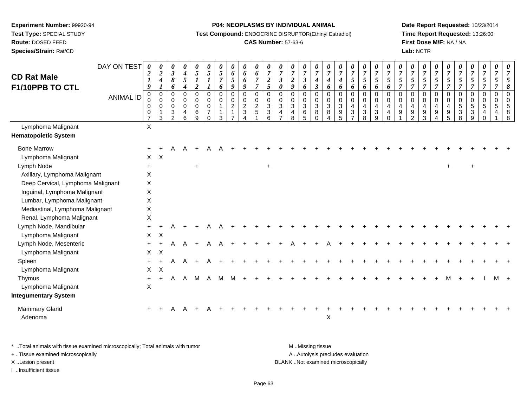**Test Type:** SPECIAL STUDY

**Route:** DOSED FEED

**Species/Strain:** Rat/CD

#### **P04: NEOPLASMS BY INDIVIDUAL ANIMAL**

**Test Compound:** ENDOCRINE DISRUPTOR(Ethinyl Estradiol)

### **CAS Number:** 57-63-6

**Date Report Requested:** 10/23/2014**Time Report Requested:** 13:26:00**First Dose M/F:** NA / NA**Lab:** NCTR

| DAY ON TEST<br><b>CD Rat Male</b>                 | $\boldsymbol{\theta}$<br>$\boldsymbol{2}$<br>$\boldsymbol{l}$      | 0<br>$\boldsymbol{2}$<br>$\boldsymbol{4}$                | 0<br>$\mathfrak{z}$<br>8                                                     | 0<br>$\boldsymbol{4}$<br>5                  | 0<br>$\sqrt{5}$<br>$\boldsymbol{l}$                       | 0<br>5                                              | 0<br>$\mathfrak{s}$<br>$\overline{7}$                        | 0<br>6<br>5                                                                         | 0<br>6<br>6                                                         | 0<br>$\boldsymbol{6}$<br>$\overline{7}$         | 0<br>$\boldsymbol{7}$<br>$\boldsymbol{2}$                                       | 0<br>$\overline{7}$<br>$\boldsymbol{\beta}$                                     | $\boldsymbol{\theta}$<br>$\overline{7}$<br>$\boldsymbol{2}$ | $\boldsymbol{\theta}$<br>$\overline{7}$<br>$\boldsymbol{\beta}$                     | 0<br>$\overline{7}$<br>$\boldsymbol{4}$                                             | 0<br>$\overline{7}$<br>$\boldsymbol{4}$ | $\boldsymbol{\theta}$<br>$\overline{7}$<br>$\boldsymbol{4}$                    | 0<br>$\overline{7}$<br>$\sqrt{5}$                                  | 0<br>$\overline{7}$<br>$\sqrt{5}$ | 0<br>$\overline{7}$<br>5                                             | 0<br>$\boldsymbol{7}$<br>$5\overline{)}$ | 0<br>$\overline{7}$<br>$5\phantom{.0}$                                | 0<br>$\overline{7}$<br>5                                                 | 0<br>$\overline{7}$<br>$\sqrt{5}$                                            | 0<br>$\boldsymbol{7}$<br>$\sqrt{5}$                                                | 0<br>$\overline{7}$<br>$5\overline{)}$                          | $\boldsymbol{\theta}$<br>$\overline{7}$<br>$\mathfrak{s}$   | 0<br>$\overline{7}$<br>5                                                           | 0<br>$\overline{7}$<br>$\sqrt{5}$                            | 0<br>$\overline{7}$<br>5                                               |                   |
|---------------------------------------------------|--------------------------------------------------------------------|----------------------------------------------------------|------------------------------------------------------------------------------|---------------------------------------------|-----------------------------------------------------------|-----------------------------------------------------|--------------------------------------------------------------|-------------------------------------------------------------------------------------|---------------------------------------------------------------------|-------------------------------------------------|---------------------------------------------------------------------------------|---------------------------------------------------------------------------------|-------------------------------------------------------------|-------------------------------------------------------------------------------------|-------------------------------------------------------------------------------------|-----------------------------------------|--------------------------------------------------------------------------------|--------------------------------------------------------------------|-----------------------------------|----------------------------------------------------------------------|------------------------------------------|-----------------------------------------------------------------------|--------------------------------------------------------------------------|------------------------------------------------------------------------------|------------------------------------------------------------------------------------|-----------------------------------------------------------------|-------------------------------------------------------------|------------------------------------------------------------------------------------|--------------------------------------------------------------|------------------------------------------------------------------------|-------------------|
| F1/10PPB TO CTL<br><b>ANIMAL ID</b>               | 9<br>$\Omega$<br>$\mathbf 0$<br>0<br>$\mathbf 0$<br>$\overline{7}$ | $\boldsymbol{l}$<br>$\mathbf 0$<br>$\mathbf 0$<br>0<br>3 | 6<br>$\Omega$<br>$\mathbf 0$<br>$\mathbf 0$<br>$\mathsf 3$<br>$\overline{2}$ | 4<br>$\Omega$<br>0<br>$\mathbf 0$<br>4<br>6 | $\boldsymbol{2}$<br>$\mathbf 0$<br>0<br>0<br>$\,6\,$<br>9 | $\Omega$<br>0<br>0<br>$\overline{7}$<br>$\mathbf 0$ | 6<br>$\mathbf 0$<br>$\mathbf 0$<br>$\overline{1}$<br>-1<br>3 | 9<br>$\mathbf 0$<br>$\mathbf 0$<br>$\overline{c}$<br>$\mathbf{1}$<br>$\overline{7}$ | 9<br>$\mathbf 0$<br>0<br>$\overline{c}$<br>$\mathbf{3}$<br>$\Delta$ | $\overline{7}$<br>0<br>0<br>$\overline{c}$<br>5 | 5<br>$\mathbf 0$<br>$\mathbf 0$<br>$\sqrt{3}$<br>$\ensuremath{\mathsf{3}}$<br>6 | $\boldsymbol{\theta}$<br>$\Omega$<br>0<br>3<br>$\overline{4}$<br>$\overline{7}$ | 9<br>$\Omega$<br>$\mathbf 0$<br>$\mathbf{3}$<br>4<br>8      | 6<br>$\Omega$<br>$\mathbf 0$<br>$\sqrt{3}$<br>$\begin{array}{c} 6 \\ 5 \end{array}$ | $\mathfrak{z}$<br>$\mathbf 0$<br>$\mathbf 0$<br>$\mathbf{3}$<br>$\bf 8$<br>$\Omega$ | 6<br>0<br>0<br>3<br>8<br>4              | 6<br>$\mathbf 0$<br>0<br>$\mathbf{3}$<br>$\begin{array}{c} 9 \\ 5 \end{array}$ | 6<br>$\mathbf 0$<br>$\mathbf 0$<br>$\overline{a}$<br>$\frac{3}{7}$ | 6<br>0<br>0<br>4<br>$_8^3$        | 6<br>$\mathbf 0$<br>$\mathbf 0$<br>$\overline{a}$<br>$\sqrt{3}$<br>9 | 6<br>$\Omega$<br>0<br>4<br>4<br>$\Omega$ | $\overline{7}$<br>$\Omega$<br>0<br>$\overline{4}$<br>$\boldsymbol{9}$ | $\overline{7}$<br>$\Omega$<br>0<br>$\overline{4}$<br>9<br>$\mathfrak{p}$ | $\overline{7}$<br>$\Omega$<br>$\mathbf 0$<br>$\overline{4}$<br>$\frac{9}{3}$ | $\overline{7}$<br>$\Omega$<br>$\mathbf 0$<br>$\overline{4}$<br>9<br>$\overline{A}$ | $\overline{7}$<br>$\Omega$<br>$\mathbf 0$<br>4<br>$\frac{9}{5}$ | $\overline{7}$<br>$\mathbf 0$<br>$\mathbf 0$<br>5<br>$_8^3$ | $\overline{7}$<br>$\mathsf 0$<br>0<br>$\sqrt{5}$<br>$\ensuremath{\mathsf{3}}$<br>9 | $\overline{7}$<br>$\mathbf 0$<br>0<br>$5\,$<br>4<br>$\Omega$ | $\overline{7}$<br>$\mathbf 0$<br>$\mathsf{O}\xspace$<br>$\overline{5}$ | 8<br>$\mathsf{R}$ |
| Lymphoma Malignant<br><b>Hematopoietic System</b> | $\times$                                                           |                                                          |                                                                              |                                             |                                                           |                                                     |                                                              |                                                                                     |                                                                     |                                                 |                                                                                 |                                                                                 |                                                             |                                                                                     |                                                                                     |                                         |                                                                                |                                                                    |                                   |                                                                      |                                          |                                                                       |                                                                          |                                                                              |                                                                                    |                                                                 |                                                             |                                                                                    |                                                              |                                                                        |                   |
| <b>Bone Marrow</b>                                |                                                                    |                                                          |                                                                              | A                                           |                                                           |                                                     |                                                              |                                                                                     |                                                                     |                                                 |                                                                                 |                                                                                 |                                                             |                                                                                     |                                                                                     |                                         |                                                                                |                                                                    |                                   |                                                                      |                                          |                                                                       |                                                                          |                                                                              |                                                                                    |                                                                 |                                                             |                                                                                    |                                                              |                                                                        |                   |
| Lymphoma Malignant                                | X                                                                  | $\times$                                                 |                                                                              |                                             |                                                           |                                                     |                                                              |                                                                                     |                                                                     |                                                 |                                                                                 |                                                                                 |                                                             |                                                                                     |                                                                                     |                                         |                                                                                |                                                                    |                                   |                                                                      |                                          |                                                                       |                                                                          |                                                                              |                                                                                    |                                                                 |                                                             |                                                                                    |                                                              |                                                                        |                   |
| Lymph Node                                        | $\pm$                                                              |                                                          |                                                                              |                                             | $+$                                                       |                                                     |                                                              |                                                                                     |                                                                     |                                                 | $\ddot{}$                                                                       |                                                                                 |                                                             |                                                                                     |                                                                                     |                                         |                                                                                |                                                                    |                                   |                                                                      |                                          |                                                                       |                                                                          |                                                                              |                                                                                    | $\ddot{}$                                                       |                                                             | $\ddot{}$                                                                          |                                                              |                                                                        |                   |
| Axillary, Lymphoma Malignant                      | X                                                                  |                                                          |                                                                              |                                             |                                                           |                                                     |                                                              |                                                                                     |                                                                     |                                                 |                                                                                 |                                                                                 |                                                             |                                                                                     |                                                                                     |                                         |                                                                                |                                                                    |                                   |                                                                      |                                          |                                                                       |                                                                          |                                                                              |                                                                                    |                                                                 |                                                             |                                                                                    |                                                              |                                                                        |                   |
| Deep Cervical, Lymphoma Malignant                 | X                                                                  |                                                          |                                                                              |                                             |                                                           |                                                     |                                                              |                                                                                     |                                                                     |                                                 |                                                                                 |                                                                                 |                                                             |                                                                                     |                                                                                     |                                         |                                                                                |                                                                    |                                   |                                                                      |                                          |                                                                       |                                                                          |                                                                              |                                                                                    |                                                                 |                                                             |                                                                                    |                                                              |                                                                        |                   |
| Inguinal, Lymphoma Malignant                      | X                                                                  |                                                          |                                                                              |                                             |                                                           |                                                     |                                                              |                                                                                     |                                                                     |                                                 |                                                                                 |                                                                                 |                                                             |                                                                                     |                                                                                     |                                         |                                                                                |                                                                    |                                   |                                                                      |                                          |                                                                       |                                                                          |                                                                              |                                                                                    |                                                                 |                                                             |                                                                                    |                                                              |                                                                        |                   |
| Lumbar, Lymphoma Malignant                        | $\mathsf X$                                                        |                                                          |                                                                              |                                             |                                                           |                                                     |                                                              |                                                                                     |                                                                     |                                                 |                                                                                 |                                                                                 |                                                             |                                                                                     |                                                                                     |                                         |                                                                                |                                                                    |                                   |                                                                      |                                          |                                                                       |                                                                          |                                                                              |                                                                                    |                                                                 |                                                             |                                                                                    |                                                              |                                                                        |                   |
| Mediastinal, Lymphoma Malignant                   | X                                                                  |                                                          |                                                                              |                                             |                                                           |                                                     |                                                              |                                                                                     |                                                                     |                                                 |                                                                                 |                                                                                 |                                                             |                                                                                     |                                                                                     |                                         |                                                                                |                                                                    |                                   |                                                                      |                                          |                                                                       |                                                                          |                                                                              |                                                                                    |                                                                 |                                                             |                                                                                    |                                                              |                                                                        |                   |
| Renal, Lymphoma Malignant                         | $\pmb{\times}$                                                     |                                                          |                                                                              |                                             |                                                           |                                                     |                                                              |                                                                                     |                                                                     |                                                 |                                                                                 |                                                                                 |                                                             |                                                                                     |                                                                                     |                                         |                                                                                |                                                                    |                                   |                                                                      |                                          |                                                                       |                                                                          |                                                                              |                                                                                    |                                                                 |                                                             |                                                                                    |                                                              |                                                                        |                   |
| Lymph Node, Mandibular                            | $\ddot{}$                                                          | $\ddot{}$                                                |                                                                              |                                             |                                                           |                                                     |                                                              |                                                                                     |                                                                     |                                                 |                                                                                 |                                                                                 |                                                             |                                                                                     |                                                                                     |                                         |                                                                                |                                                                    |                                   |                                                                      |                                          |                                                                       |                                                                          |                                                                              |                                                                                    |                                                                 |                                                             |                                                                                    |                                                              |                                                                        |                   |
| Lymphoma Malignant                                | $\mathsf{X}$                                                       | $\boldsymbol{\mathsf{X}}$                                |                                                                              |                                             |                                                           |                                                     |                                                              |                                                                                     |                                                                     |                                                 |                                                                                 |                                                                                 |                                                             |                                                                                     |                                                                                     |                                         |                                                                                |                                                                    |                                   |                                                                      |                                          |                                                                       |                                                                          |                                                                              |                                                                                    |                                                                 |                                                             |                                                                                    |                                                              |                                                                        |                   |
| Lymph Node, Mesenteric                            | $\ddot{}$                                                          | $+$                                                      | A                                                                            | A                                           |                                                           | A                                                   |                                                              |                                                                                     |                                                                     |                                                 |                                                                                 |                                                                                 |                                                             |                                                                                     |                                                                                     |                                         |                                                                                |                                                                    |                                   |                                                                      |                                          |                                                                       |                                                                          |                                                                              |                                                                                    |                                                                 |                                                             |                                                                                    |                                                              |                                                                        |                   |
| Lymphoma Malignant                                | X                                                                  | $\boldsymbol{\mathsf{X}}$                                |                                                                              |                                             |                                                           |                                                     |                                                              |                                                                                     |                                                                     |                                                 |                                                                                 |                                                                                 |                                                             |                                                                                     |                                                                                     |                                         |                                                                                |                                                                    |                                   |                                                                      |                                          |                                                                       |                                                                          |                                                                              |                                                                                    |                                                                 |                                                             |                                                                                    |                                                              |                                                                        |                   |
| Spleen                                            | $\ddot{}$                                                          | $\ddot{}$                                                | A                                                                            | A                                           | $+$                                                       |                                                     |                                                              |                                                                                     |                                                                     |                                                 |                                                                                 |                                                                                 |                                                             |                                                                                     |                                                                                     |                                         |                                                                                |                                                                    |                                   |                                                                      |                                          |                                                                       |                                                                          |                                                                              |                                                                                    |                                                                 |                                                             |                                                                                    |                                                              |                                                                        |                   |
| Lymphoma Malignant                                | X                                                                  | $\times$                                                 |                                                                              |                                             |                                                           |                                                     |                                                              |                                                                                     |                                                                     |                                                 |                                                                                 |                                                                                 |                                                             |                                                                                     |                                                                                     |                                         |                                                                                |                                                                    |                                   |                                                                      |                                          |                                                                       |                                                                          |                                                                              |                                                                                    |                                                                 |                                                             |                                                                                    |                                                              |                                                                        |                   |
| Thymus                                            | $+$                                                                | $\ddot{}$                                                | A                                                                            | $\mathsf{A}$                                | M                                                         | $\mathsf{A}$                                        | м                                                            | M                                                                                   |                                                                     |                                                 |                                                                                 |                                                                                 |                                                             |                                                                                     |                                                                                     |                                         |                                                                                |                                                                    |                                   |                                                                      |                                          |                                                                       |                                                                          |                                                                              |                                                                                    |                                                                 |                                                             |                                                                                    |                                                              |                                                                        |                   |
| Lymphoma Malignant                                | X                                                                  |                                                          |                                                                              |                                             |                                                           |                                                     |                                                              |                                                                                     |                                                                     |                                                 |                                                                                 |                                                                                 |                                                             |                                                                                     |                                                                                     |                                         |                                                                                |                                                                    |                                   |                                                                      |                                          |                                                                       |                                                                          |                                                                              |                                                                                    |                                                                 |                                                             |                                                                                    |                                                              |                                                                        |                   |
| <b>Integumentary System</b>                       |                                                                    |                                                          |                                                                              |                                             |                                                           |                                                     |                                                              |                                                                                     |                                                                     |                                                 |                                                                                 |                                                                                 |                                                             |                                                                                     |                                                                                     |                                         |                                                                                |                                                                    |                                   |                                                                      |                                          |                                                                       |                                                                          |                                                                              |                                                                                    |                                                                 |                                                             |                                                                                    |                                                              |                                                                        |                   |
| Mammary Gland<br>Adenoma                          |                                                                    |                                                          | Α                                                                            | A                                           |                                                           |                                                     |                                                              |                                                                                     |                                                                     |                                                 |                                                                                 |                                                                                 |                                                             |                                                                                     |                                                                                     | X                                       |                                                                                |                                                                    |                                   |                                                                      |                                          |                                                                       |                                                                          |                                                                              |                                                                                    |                                                                 |                                                             |                                                                                    |                                                              |                                                                        |                   |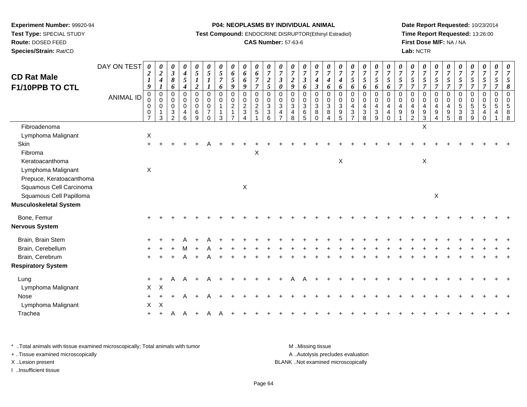**Route:** DOSED FEED

**Species/Strain:** Rat/CD

#### **P04: NEOPLASMS BY INDIVIDUAL ANIMAL**

**Test Compound:** ENDOCRINE DISRUPTOR(Ethinyl Estradiol)

### **CAS Number:** 57-63-6

**Date Report Requested:** 10/23/2014**Time Report Requested:** 13:26:00**First Dose M/F:** NA / NA**Lab:** NCTR

| <b>CD Rat Male</b><br>F1/10PPB TO CTL                                     | DAY ON TEST<br><b>ANIMAL ID</b> | 0<br>$\boldsymbol{2}$<br>$\boldsymbol{l}$<br>9<br>0<br>0<br>$\mathbf 0$<br>$\mathbf 0$ | 0<br>$\boldsymbol{2}$<br>$\boldsymbol{4}$<br>$\boldsymbol{l}$<br>$\mathbf 0$<br>0<br>$\overline{0}$<br>$\mathbf 1$ | U<br>$\boldsymbol{\beta}$<br>8<br>6<br>$\mathbf 0$<br>0<br>$\overline{0}$<br>3 | 0<br>$\boldsymbol{4}$<br>5<br>$\boldsymbol{4}$<br>0<br>0<br>$\mathbf 0$<br>4 | 0<br>$\sqrt{5}$<br>$\boldsymbol{l}$<br>$\boldsymbol{2}$<br>$\pmb{0}$<br>$\pmb{0}$<br>$\pmb{0}$<br>6 | 0<br>$\sqrt{5}$<br>$\mathbf 0$<br>$\pmb{0}$<br>$\mathbf 0$<br>$\overline{7}$ | $\boldsymbol{\theta}$<br>$\mathfrak{s}$<br>$\overline{7}$<br>6<br>0<br>0<br>$\mathbf{1}$<br>-1 | $\boldsymbol{\theta}$<br>6<br>$\overline{5}$<br>9<br>$\mathbf 0$<br>0<br>$\overline{c}$<br>$\overline{1}$ | 0<br>6<br>6<br>9<br>$\mathbf 0$<br>0<br>$\overline{c}$<br>$\mathbf{3}$ | 0<br>6<br>$\overline{7}$<br>$\overline{7}$<br>0<br>$_{2}^{\rm 0}$<br>$\overline{5}$ | 0<br>$\boldsymbol{7}$<br>$\boldsymbol{2}$<br>5<br>$\mathbf 0$<br>$\,0\,$<br>$\sqrt{3}$<br>$\ensuremath{\mathsf{3}}$ | U<br>$\overline{7}$<br>$\mathfrak{z}$<br>$\boldsymbol{\theta}$<br>$\mathbf 0$<br>0<br>$\mathbf{3}$<br>4 | $\boldsymbol{\theta}$<br>$\overline{7}$<br>$\boldsymbol{2}$<br>9<br>$\mathbf 0$<br>0<br>3<br>$\overline{4}$ | $\boldsymbol{\theta}$<br>$\overline{7}$<br>$\mathfrak{z}$<br>6<br>$\mathbf 0$<br>0<br>$\sqrt{3}$<br>$\,6\,$ | 0<br>$\boldsymbol{7}$<br>$\boldsymbol{4}$<br>$\boldsymbol{\beta}$<br>$\mathbf 0$<br>0<br>$\mathbf{3}$<br>8 | 0<br>$\overline{7}$<br>4<br>6<br>0<br>0<br>$\mathbf{3}$<br>8 | $\overline{7}$<br>$\boldsymbol{4}$<br>6<br>$\mathbf 0$<br>0<br>$\ensuremath{\mathsf{3}}$ | $\boldsymbol{\theta}$<br>$\overline{7}$<br>$\sqrt{5}$<br>6<br>$\mathsf 0$<br>$\pmb{0}$<br>$\overline{4}$<br>$\sqrt{3}$ | 0<br>$\boldsymbol{7}$<br>$\sqrt{5}$<br>6<br>$\pmb{0}$<br>$\pmb{0}$<br>$\overline{4}$<br>$\sqrt{3}$ | 0<br>$\overline{7}$<br>$\overline{5}$<br>6<br>$\mathsf 0$<br>$\pmb{0}$<br>$\overline{\mathbf{4}}$<br>$\mathbf{3}$ | $\boldsymbol{\theta}$<br>$\overline{7}$<br>5<br>6<br>$\mathbf 0$<br>0<br>4<br>$\overline{4}$ | $\overline{7}$<br>$5\phantom{.0}$<br>$\overline{7}$<br>$\mathbf 0$<br>$\mathbf 0$<br>4<br>9 | $\theta$<br>$\overline{\tau}$<br>5<br>$\overline{7}$<br>$\mathbf 0$<br>$\mathbf 0$<br>4<br>9 | 0<br>$\boldsymbol{7}$<br>5<br>$\overline{7}$<br>0<br>0<br>$\overline{4}$<br>9 | 0<br>$\overline{7}$<br>$\mathfrak{s}$<br>$\overline{7}$<br>$\boldsymbol{0}$<br>$\mathbf 0$<br>$\overline{4}$<br>9 | $\overline{7}$<br>$\sqrt{5}$<br>$\overline{7}$<br>$\mathbf 0$<br>0<br>$\overline{4}$<br>$\boldsymbol{9}$ | 7<br>5<br>$\overline{7}$<br>$\mathbf 0$<br>$\mathbf 0$<br>5<br>$\sqrt{3}$ | $\boldsymbol{\theta}$<br>$\overline{7}$<br>5<br>$\overline{7}$<br>0<br>0<br>$5\phantom{.0}$<br>3 | 0<br>$\boldsymbol{7}$<br>$\mathfrak{H}$<br>$\overline{7}$<br>$\pmb{0}$<br>$\pmb{0}$<br>$\sqrt{5}$<br>4 | $\boldsymbol{\theta}$<br>$\overline{7}$<br>5<br>$\overline{7}$<br>$\pmb{0}$<br>$\pmb{0}$<br>$\sqrt{5}$<br>4 | 8<br>$\Omega$<br>0<br>8 |
|---------------------------------------------------------------------------|---------------------------------|----------------------------------------------------------------------------------------|--------------------------------------------------------------------------------------------------------------------|--------------------------------------------------------------------------------|------------------------------------------------------------------------------|-----------------------------------------------------------------------------------------------------|------------------------------------------------------------------------------|------------------------------------------------------------------------------------------------|-----------------------------------------------------------------------------------------------------------|------------------------------------------------------------------------|-------------------------------------------------------------------------------------|---------------------------------------------------------------------------------------------------------------------|---------------------------------------------------------------------------------------------------------|-------------------------------------------------------------------------------------------------------------|-------------------------------------------------------------------------------------------------------------|------------------------------------------------------------------------------------------------------------|--------------------------------------------------------------|------------------------------------------------------------------------------------------|------------------------------------------------------------------------------------------------------------------------|----------------------------------------------------------------------------------------------------|-------------------------------------------------------------------------------------------------------------------|----------------------------------------------------------------------------------------------|---------------------------------------------------------------------------------------------|----------------------------------------------------------------------------------------------|-------------------------------------------------------------------------------|-------------------------------------------------------------------------------------------------------------------|----------------------------------------------------------------------------------------------------------|---------------------------------------------------------------------------|--------------------------------------------------------------------------------------------------|--------------------------------------------------------------------------------------------------------|-------------------------------------------------------------------------------------------------------------|-------------------------|
|                                                                           |                                 | $\overline{7}$                                                                         | 3                                                                                                                  | $\mathfrak{p}$                                                                 | 6                                                                            | 9                                                                                                   | $\mathbf 0$                                                                  | 3                                                                                              | $\overline{ }$                                                                                            |                                                                        |                                                                                     | 6                                                                                                                   |                                                                                                         | 8                                                                                                           | 5                                                                                                           | $\Omega$                                                                                                   | 4                                                            | $\frac{9}{5}$                                                                            |                                                                                                                        | 8                                                                                                  | 9                                                                                                                 | $\Omega$                                                                                     |                                                                                             | $\overline{2}$                                                                               | 3                                                                             | 4                                                                                                                 | 5                                                                                                        | 8                                                                         | 9                                                                                                | $\Omega$                                                                                               |                                                                                                             | 8                       |
| Fibroadenoma<br>Lymphoma Malignant                                        |                                 | $\mathsf X$                                                                            |                                                                                                                    |                                                                                |                                                                              |                                                                                                     |                                                                              |                                                                                                |                                                                                                           |                                                                        |                                                                                     |                                                                                                                     |                                                                                                         |                                                                                                             |                                                                                                             |                                                                                                            |                                                              |                                                                                          |                                                                                                                        |                                                                                                    |                                                                                                                   |                                                                                              |                                                                                             |                                                                                              | $\mathsf X$                                                                   |                                                                                                                   |                                                                                                          |                                                                           |                                                                                                  |                                                                                                        |                                                                                                             |                         |
| Skin                                                                      |                                 | $+$                                                                                    |                                                                                                                    |                                                                                |                                                                              |                                                                                                     |                                                                              |                                                                                                |                                                                                                           |                                                                        |                                                                                     |                                                                                                                     |                                                                                                         |                                                                                                             |                                                                                                             |                                                                                                            |                                                              |                                                                                          |                                                                                                                        |                                                                                                    |                                                                                                                   |                                                                                              |                                                                                             |                                                                                              |                                                                               |                                                                                                                   |                                                                                                          |                                                                           |                                                                                                  |                                                                                                        |                                                                                                             |                         |
| Fibroma<br>Keratoacanthoma                                                |                                 |                                                                                        |                                                                                                                    |                                                                                |                                                                              |                                                                                                     |                                                                              |                                                                                                |                                                                                                           |                                                                        | X                                                                                   |                                                                                                                     |                                                                                                         |                                                                                                             |                                                                                                             |                                                                                                            |                                                              | $\mathsf X$                                                                              |                                                                                                                        |                                                                                                    |                                                                                                                   |                                                                                              |                                                                                             |                                                                                              | $\mathsf X$                                                                   |                                                                                                                   |                                                                                                          |                                                                           |                                                                                                  |                                                                                                        |                                                                                                             |                         |
| Lymphoma Malignant<br>Prepuce, Keratoacanthoma<br>Squamous Cell Carcinoma |                                 | $\mathsf X$                                                                            |                                                                                                                    |                                                                                |                                                                              |                                                                                                     |                                                                              |                                                                                                |                                                                                                           | X                                                                      |                                                                                     |                                                                                                                     |                                                                                                         |                                                                                                             |                                                                                                             |                                                                                                            |                                                              |                                                                                          |                                                                                                                        |                                                                                                    |                                                                                                                   |                                                                                              |                                                                                             |                                                                                              |                                                                               |                                                                                                                   |                                                                                                          |                                                                           |                                                                                                  |                                                                                                        |                                                                                                             |                         |
| Squamous Cell Papilloma                                                   |                                 |                                                                                        |                                                                                                                    |                                                                                |                                                                              |                                                                                                     |                                                                              |                                                                                                |                                                                                                           |                                                                        |                                                                                     |                                                                                                                     |                                                                                                         |                                                                                                             |                                                                                                             |                                                                                                            |                                                              |                                                                                          |                                                                                                                        |                                                                                                    |                                                                                                                   |                                                                                              |                                                                                             |                                                                                              |                                                                               | X                                                                                                                 |                                                                                                          |                                                                           |                                                                                                  |                                                                                                        |                                                                                                             |                         |
| <b>Musculoskeletal System</b>                                             |                                 |                                                                                        |                                                                                                                    |                                                                                |                                                                              |                                                                                                     |                                                                              |                                                                                                |                                                                                                           |                                                                        |                                                                                     |                                                                                                                     |                                                                                                         |                                                                                                             |                                                                                                             |                                                                                                            |                                                              |                                                                                          |                                                                                                                        |                                                                                                    |                                                                                                                   |                                                                                              |                                                                                             |                                                                                              |                                                                               |                                                                                                                   |                                                                                                          |                                                                           |                                                                                                  |                                                                                                        |                                                                                                             |                         |
| Bone, Femur                                                               |                                 |                                                                                        |                                                                                                                    |                                                                                |                                                                              |                                                                                                     |                                                                              |                                                                                                |                                                                                                           |                                                                        |                                                                                     |                                                                                                                     |                                                                                                         |                                                                                                             |                                                                                                             |                                                                                                            |                                                              |                                                                                          |                                                                                                                        |                                                                                                    |                                                                                                                   |                                                                                              |                                                                                             |                                                                                              |                                                                               |                                                                                                                   |                                                                                                          |                                                                           |                                                                                                  |                                                                                                        |                                                                                                             |                         |
| <b>Nervous System</b>                                                     |                                 |                                                                                        |                                                                                                                    |                                                                                |                                                                              |                                                                                                     |                                                                              |                                                                                                |                                                                                                           |                                                                        |                                                                                     |                                                                                                                     |                                                                                                         |                                                                                                             |                                                                                                             |                                                                                                            |                                                              |                                                                                          |                                                                                                                        |                                                                                                    |                                                                                                                   |                                                                                              |                                                                                             |                                                                                              |                                                                               |                                                                                                                   |                                                                                                          |                                                                           |                                                                                                  |                                                                                                        |                                                                                                             |                         |
| Brain, Brain Stem                                                         |                                 |                                                                                        |                                                                                                                    |                                                                                |                                                                              |                                                                                                     |                                                                              |                                                                                                |                                                                                                           |                                                                        |                                                                                     |                                                                                                                     |                                                                                                         |                                                                                                             |                                                                                                             |                                                                                                            |                                                              |                                                                                          |                                                                                                                        |                                                                                                    |                                                                                                                   |                                                                                              |                                                                                             |                                                                                              |                                                                               |                                                                                                                   |                                                                                                          |                                                                           |                                                                                                  |                                                                                                        |                                                                                                             |                         |
| Brain, Cerebellum                                                         |                                 |                                                                                        |                                                                                                                    |                                                                                |                                                                              |                                                                                                     |                                                                              |                                                                                                |                                                                                                           |                                                                        |                                                                                     |                                                                                                                     |                                                                                                         |                                                                                                             |                                                                                                             |                                                                                                            |                                                              |                                                                                          |                                                                                                                        |                                                                                                    |                                                                                                                   |                                                                                              |                                                                                             |                                                                                              |                                                                               |                                                                                                                   |                                                                                                          |                                                                           |                                                                                                  |                                                                                                        |                                                                                                             |                         |
| Brain, Cerebrum                                                           |                                 |                                                                                        |                                                                                                                    |                                                                                |                                                                              |                                                                                                     |                                                                              |                                                                                                |                                                                                                           |                                                                        |                                                                                     |                                                                                                                     |                                                                                                         |                                                                                                             |                                                                                                             |                                                                                                            |                                                              |                                                                                          |                                                                                                                        |                                                                                                    |                                                                                                                   |                                                                                              |                                                                                             |                                                                                              |                                                                               |                                                                                                                   |                                                                                                          |                                                                           |                                                                                                  |                                                                                                        |                                                                                                             |                         |
| <b>Respiratory System</b>                                                 |                                 |                                                                                        |                                                                                                                    |                                                                                |                                                                              |                                                                                                     |                                                                              |                                                                                                |                                                                                                           |                                                                        |                                                                                     |                                                                                                                     |                                                                                                         |                                                                                                             |                                                                                                             |                                                                                                            |                                                              |                                                                                          |                                                                                                                        |                                                                                                    |                                                                                                                   |                                                                                              |                                                                                             |                                                                                              |                                                                               |                                                                                                                   |                                                                                                          |                                                                           |                                                                                                  |                                                                                                        |                                                                                                             |                         |
| Lung                                                                      |                                 | $\pm$                                                                                  | $\ddot{}$                                                                                                          |                                                                                | A                                                                            |                                                                                                     |                                                                              |                                                                                                |                                                                                                           |                                                                        |                                                                                     |                                                                                                                     |                                                                                                         |                                                                                                             |                                                                                                             |                                                                                                            |                                                              |                                                                                          |                                                                                                                        |                                                                                                    |                                                                                                                   |                                                                                              |                                                                                             |                                                                                              |                                                                               |                                                                                                                   |                                                                                                          |                                                                           |                                                                                                  |                                                                                                        |                                                                                                             |                         |
| Lymphoma Malignant                                                        |                                 | $\times$                                                                               | $\boldsymbol{X}$                                                                                                   |                                                                                |                                                                              |                                                                                                     |                                                                              |                                                                                                |                                                                                                           |                                                                        |                                                                                     |                                                                                                                     |                                                                                                         |                                                                                                             |                                                                                                             |                                                                                                            |                                                              |                                                                                          |                                                                                                                        |                                                                                                    |                                                                                                                   |                                                                                              |                                                                                             |                                                                                              |                                                                               |                                                                                                                   |                                                                                                          |                                                                           |                                                                                                  |                                                                                                        |                                                                                                             |                         |
| Nose                                                                      |                                 | $\ddot{}$                                                                              | $\ddot{}$                                                                                                          | ÷                                                                              | Α                                                                            |                                                                                                     |                                                                              |                                                                                                |                                                                                                           |                                                                        |                                                                                     |                                                                                                                     |                                                                                                         |                                                                                                             |                                                                                                             |                                                                                                            |                                                              |                                                                                          |                                                                                                                        |                                                                                                    |                                                                                                                   |                                                                                              |                                                                                             |                                                                                              |                                                                               |                                                                                                                   |                                                                                                          |                                                                           |                                                                                                  |                                                                                                        |                                                                                                             |                         |
| Lymphoma Malignant                                                        |                                 | $\mathsf{X}$                                                                           | $\boldsymbol{\mathsf{X}}$                                                                                          |                                                                                |                                                                              |                                                                                                     |                                                                              |                                                                                                |                                                                                                           |                                                                        |                                                                                     |                                                                                                                     |                                                                                                         |                                                                                                             |                                                                                                             |                                                                                                            |                                                              |                                                                                          |                                                                                                                        |                                                                                                    |                                                                                                                   |                                                                                              |                                                                                             |                                                                                              |                                                                               |                                                                                                                   |                                                                                                          |                                                                           |                                                                                                  |                                                                                                        |                                                                                                             |                         |
| Trachea                                                                   |                                 | $\ddot{}$                                                                              | $\ddot{}$                                                                                                          | A                                                                              | A                                                                            | $\pm$                                                                                               | A                                                                            |                                                                                                |                                                                                                           |                                                                        |                                                                                     |                                                                                                                     |                                                                                                         |                                                                                                             |                                                                                                             |                                                                                                            |                                                              |                                                                                          |                                                                                                                        |                                                                                                    |                                                                                                                   |                                                                                              |                                                                                             |                                                                                              |                                                                               |                                                                                                                   |                                                                                                          |                                                                           |                                                                                                  |                                                                                                        |                                                                                                             |                         |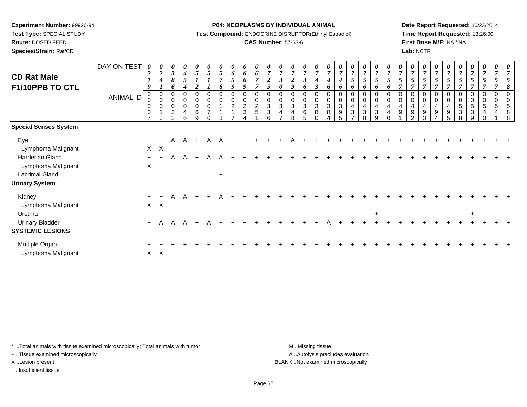**Test Type:** SPECIAL STUDY

**Route:** DOSED FEED

**Species/Strain:** Rat/CD

#### **P04: NEOPLASMS BY INDIVIDUAL ANIMAL**

**Test Compound:** ENDOCRINE DISRUPTOR(Ethinyl Estradiol)

### **CAS Number:** 57-63-6

**Date Report Requested:** 10/23/2014**Time Report Requested:** 13:26:00**First Dose M/F:** NA / NA**Lab:** NCTR

| <b>CD Rat Male</b><br>F1/10PPB TO CTL                                                                                | DAY ON TEST<br><b>ANIMAL ID</b> | 0<br>$\boldsymbol{2}$<br>$\boldsymbol{l}$<br>9<br>0 | 0<br>$\boldsymbol{2}$<br>4<br>0<br>$\ddot{\mathbf{0}}$ | 0<br>$\boldsymbol{\beta}$<br>$\pmb{8}$<br>6<br>0<br>$\mathbf 0$ | $\boldsymbol{\theta}$<br>$\boldsymbol{4}$<br>$\overline{5}$<br>$\boldsymbol{4}$<br>$\mathbf 0$<br>$\mathbf 0$ | $\boldsymbol{\theta}$<br>5<br>$\overline{2}$<br>0<br>0 | $\boldsymbol{\theta}$<br>5<br>$\boldsymbol{l}$<br>$\mathbf 0$<br>$\pmb{0}$ | $\boldsymbol{\theta}$<br>5<br>$\overline{7}$<br>6<br>$\mathbf 0$<br>$\mathbf 0$ | $\boldsymbol{\theta}$<br>6<br>5<br>9<br>$\pmb{0}$ | $\boldsymbol{\theta}$<br>6<br>6<br>$\boldsymbol{q}$<br>0<br>0 | $\boldsymbol{\theta}$<br>6<br>$\overline{7}$<br>$\overline{ }$<br>0<br>$\pmb{0}$ | $\boldsymbol{\theta}$<br>$\overline{\tau}$<br>$\boldsymbol{2}$<br>5<br>$\mathbf 0$<br>$\frac{0}{3}$ | $\overline{7}$<br>$\boldsymbol{\beta}$<br>0<br>0<br>$\pmb{0}$ | $\boldsymbol{\theta}$<br>$\overline{7}$<br>$\boldsymbol{2}$<br>9<br>$\mathbf 0$<br>$\mathbf 0$ | $\boldsymbol{\theta}$<br>$\overline{7}$<br>$\boldsymbol{\beta}$<br>6<br>0<br>0 | $\boldsymbol{\theta}$<br>$\boldsymbol{7}$<br>$\boldsymbol{4}$<br>$\mathbf{3}$<br>$\mathbf 0$<br>$\pmb{0}$ | $\boldsymbol{\theta}$<br>7<br>4<br>6<br>$\mathbf 0$<br>$\pmb{0}$ | 7<br>4<br>6<br>$\mathbf 0$ | $\theta$<br>$\overline{7}$<br>5<br>6<br>0 | 0<br>$\boldsymbol{7}$<br>$\mathfrak{s}$<br>6<br>0<br>$\mathsf 0$ | $\boldsymbol{\theta}$<br>$\overline{7}$<br>5<br>6<br>$\pmb{0}$<br>$\pmb{0}$ | 5<br>6<br>0         | $\boldsymbol{\theta}$<br>$\overline{7}$<br>5<br>$\overline{ }$<br>$\mathbf 0$<br>$\mathbf 0$ | $\boldsymbol{\theta}$<br>$\overline{7}$<br>$\mathfrak{s}$<br>$\overline{7}$<br>$\mathbf 0$<br>$\pmb{0}$ | 0<br>$\overline{7}$<br>$\mathfrak{s}$<br>$\overline{7}$<br>0<br>$\mathbf 0$ | $\boldsymbol{\theta}$<br>$5\overline{)}$<br>7<br>0<br>$\mathbf 0$ | 5<br>$\mathbf 0$ | $\boldsymbol{\theta}$<br>$\overline{7}$<br>5<br>$\mathbf 0$ | 0<br>$\boldsymbol{7}$<br>$\mathfrak{s}$<br>$\overline{ }$<br>0<br>$\mathsf{O}\xspace$ | 0<br>$\overline{7}$<br>5<br>$\overline{7}$<br>0<br>$\mathsf{O}\xspace$ | 0<br>$\overline{7}$<br>$\mathfrak{s}$<br>$\overline{7}$<br>0<br>$\pmb{0}$ | O<br>8<br>$\mathbf 0$<br>$\mathbf 0$ |
|----------------------------------------------------------------------------------------------------------------------|---------------------------------|-----------------------------------------------------|--------------------------------------------------------|-----------------------------------------------------------------|---------------------------------------------------------------------------------------------------------------|--------------------------------------------------------|----------------------------------------------------------------------------|---------------------------------------------------------------------------------|---------------------------------------------------|---------------------------------------------------------------|----------------------------------------------------------------------------------|-----------------------------------------------------------------------------------------------------|---------------------------------------------------------------|------------------------------------------------------------------------------------------------|--------------------------------------------------------------------------------|-----------------------------------------------------------------------------------------------------------|------------------------------------------------------------------|----------------------------|-------------------------------------------|------------------------------------------------------------------|-----------------------------------------------------------------------------|---------------------|----------------------------------------------------------------------------------------------|---------------------------------------------------------------------------------------------------------|-----------------------------------------------------------------------------|-------------------------------------------------------------------|------------------|-------------------------------------------------------------|---------------------------------------------------------------------------------------|------------------------------------------------------------------------|---------------------------------------------------------------------------|--------------------------------------|
|                                                                                                                      |                                 | 0<br>$\pmb{0}$<br>$\overline{7}$                    | 0<br>3                                                 | $\pmb{0}$<br>$\mathbf{3}$<br>$\mathcal{P}$                      | $\mathbf 0$<br>4                                                                                              | 0<br>6<br>g                                            | $\boldsymbol{0}$<br>$\overline{7}$<br>$\Omega$                             | 3                                                                               | $\sqrt{2}$                                        | $\overline{a}$<br>3                                           | $\overline{c}$<br>5                                                              | $\sqrt{3}$<br>6                                                                                     | $\sqrt{3}$<br>4                                               | $\overline{3}$<br>4<br>R                                                                       | $\sqrt{3}$<br>6<br>5                                                           | $\sqrt{3}$<br>8<br>$\Omega$                                                                               | $\sqrt{3}$<br>8                                                  | 3<br>9                     | 4<br>3                                    | $\overline{4}$<br>$\ensuremath{\mathsf{3}}$<br>8                 | $\overline{\mathbf{4}}$<br>$\ensuremath{\mathsf{3}}$<br>9                   | 4<br>$\overline{4}$ | 4<br>9                                                                                       | 4<br>9<br>$\mathcal{P}$                                                                                 | $\overline{4}$<br>9<br>3                                                    | $\overline{4}$<br>9                                               | 9                | 5<br>3                                                      | 5<br>$\sqrt{3}$<br>9                                                                  | 5<br>4                                                                 | 5<br>4                                                                    | 5<br>8<br>8                          |
| <b>Special Senses System</b>                                                                                         |                                 |                                                     |                                                        |                                                                 |                                                                                                               |                                                        |                                                                            |                                                                                 |                                                   |                                                               |                                                                                  |                                                                                                     |                                                               |                                                                                                |                                                                                |                                                                                                           |                                                                  |                            |                                           |                                                                  |                                                                             |                     |                                                                                              |                                                                                                         |                                                                             |                                                                   |                  |                                                             |                                                                                       |                                                                        |                                                                           |                                      |
| Eye<br>Lymphoma Malignant<br>Harderian Gland<br>Lymphoma Malignant<br><b>Lacrimal Gland</b><br><b>Urinary System</b> |                                 | $+$<br>$+$<br>X                                     | $\pm$<br>$X$ $X$<br>$+$                                | A<br>A                                                          | A<br>A                                                                                                        | $+$<br>$+$                                             | A<br>A                                                                     | A<br>$\ddot{}$                                                                  |                                                   |                                                               |                                                                                  |                                                                                                     |                                                               |                                                                                                |                                                                                |                                                                                                           |                                                                  |                            |                                           |                                                                  |                                                                             |                     |                                                                                              |                                                                                                         |                                                                             |                                                                   |                  |                                                             |                                                                                       |                                                                        |                                                                           |                                      |
| Kidney<br>Lymphoma Malignant<br>Urethra<br><b>Urinary Bladder</b><br><b>SYSTEMIC LESIONS</b>                         |                                 | $+$                                                 | $X$ $X$<br>A                                           | A<br>A                                                          | A<br>A                                                                                                        |                                                        |                                                                            |                                                                                 |                                                   |                                                               |                                                                                  |                                                                                                     |                                                               |                                                                                                |                                                                                |                                                                                                           |                                                                  |                            |                                           |                                                                  | $+$                                                                         |                     |                                                                                              |                                                                                                         |                                                                             |                                                                   |                  |                                                             | $\ddot{}$                                                                             |                                                                        |                                                                           |                                      |
| Multiple Organ<br>Lymphoma Malignant                                                                                 |                                 |                                                     | $X$ $X$                                                |                                                                 |                                                                                                               |                                                        |                                                                            |                                                                                 |                                                   |                                                               |                                                                                  |                                                                                                     |                                                               |                                                                                                |                                                                                |                                                                                                           |                                                                  |                            |                                           |                                                                  |                                                                             |                     |                                                                                              |                                                                                                         |                                                                             |                                                                   |                  |                                                             |                                                                                       |                                                                        |                                                                           |                                      |

\* ..Total animals with tissue examined microscopically; Total animals with tumor **M** . Missing tissue M ..Missing tissue

+ ..Tissue examined microscopically

I ..Insufficient tissue

A ..Autolysis precludes evaluation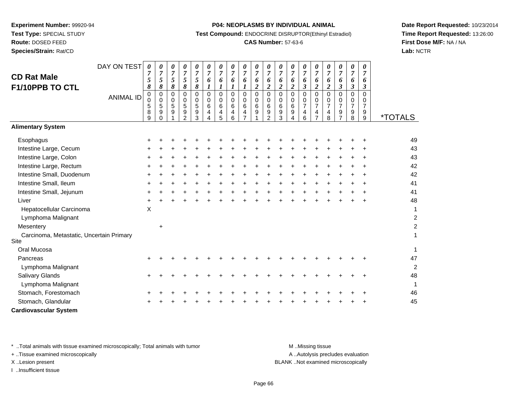**Route:** DOSED FEED

**Species/Strain:** Rat/CD

#### **P04: NEOPLASMS BY INDIVIDUAL ANIMAL**

**Test Compound:** ENDOCRINE DISRUPTOR(Ethinyl Estradiol)

### **CAS Number:** 57-63-6

**Date Report Requested:** 10/23/2014**Time Report Requested:** 13:26:00**First Dose M/F:** NA / NA**Lab:** NCTR

| <b>CD Rat Male</b><br>F1/10PPB TO CTL            | DAY ON TEST<br><b>ANIMAL ID</b> | 0<br>7<br>5<br>8<br>0<br>0<br>5<br>8<br>9 | 0<br>$\overline{7}$<br>5<br>8<br>$\pmb{0}$<br>0<br>$\overline{5}$<br>9<br>$\Omega$ | 0<br>$\overline{7}$<br>5<br>8<br>$\mathbf 0$<br>0<br>5<br>9 | 0<br>$\boldsymbol{7}$<br>5<br>$\boldsymbol{\delta}$<br>0<br>0<br>5<br>9<br>$\mathfrak{p}$ | 0<br>$\overline{7}$<br>5<br>8<br>$\Omega$<br>0<br>5<br>9<br>3 | 0<br>$\boldsymbol{7}$<br>6<br>$\mathbf 0$<br>0<br>6<br>4<br>4 | 0<br>$\boldsymbol{7}$<br>6<br>1<br>0<br>0<br>6<br>4<br>5 | 0<br>$\boldsymbol{7}$<br>6<br>1<br>$\pmb{0}$<br>0<br>6<br>$\overline{\mathbf{4}}$<br>6 | 0<br>$\boldsymbol{7}$<br>6<br>1<br>$\pmb{0}$<br>0<br>6<br>4<br>$\overline{7}$ | 0<br>$\overline{7}$<br>6<br>$\boldsymbol{2}$<br>$\overline{0}$<br>0<br>$\,6$<br>9 | 0<br>$\overline{7}$<br>6<br>$\boldsymbol{2}$<br>$\mathbf 0$<br>0<br>6<br>9<br>$\overline{2}$ | 0<br>$\boldsymbol{7}$<br>6<br>$\overline{c}$<br>$\mathbf 0$<br>0<br>$\,6\,$<br>9<br>3 | 0<br>$\overline{7}$<br>6<br>$\boldsymbol{2}$<br>$\Omega$<br>0<br>6<br>9<br>4 | 0<br>$\overline{7}$<br>6<br>$\boldsymbol{\beta}$<br>$\Omega$<br>0<br>$\overline{7}$<br>4<br>6 | 0<br>$\overline{7}$<br>6<br>$\overline{c}$<br>$\Omega$<br>0<br>$\overline{7}$<br>4<br>$\overline{7}$ | 0<br>7<br>6<br>$\boldsymbol{2}$<br>$\Omega$<br>0<br>$\overline{7}$<br>$\overline{4}$<br>8 | 0<br>$\overline{7}$<br>6<br>$\mathfrak{z}$<br>$\Omega$<br>0<br>$\overline{7}$<br>9<br>$\overline{7}$ | 0<br>$\overline{7}$<br>6<br>$\boldsymbol{\beta}$<br>$\Omega$<br>0<br>$\overline{7}$<br>9<br>8 | 0<br>$\overline{7}$<br>6<br>3<br>$\Omega$<br>0<br>$\overline{7}$<br>9<br>9 | <i><b>*TOTALS</b></i> |
|--------------------------------------------------|---------------------------------|-------------------------------------------|------------------------------------------------------------------------------------|-------------------------------------------------------------|-------------------------------------------------------------------------------------------|---------------------------------------------------------------|---------------------------------------------------------------|----------------------------------------------------------|----------------------------------------------------------------------------------------|-------------------------------------------------------------------------------|-----------------------------------------------------------------------------------|----------------------------------------------------------------------------------------------|---------------------------------------------------------------------------------------|------------------------------------------------------------------------------|-----------------------------------------------------------------------------------------------|------------------------------------------------------------------------------------------------------|-------------------------------------------------------------------------------------------|------------------------------------------------------------------------------------------------------|-----------------------------------------------------------------------------------------------|----------------------------------------------------------------------------|-----------------------|
| <b>Alimentary System</b>                         |                                 |                                           |                                                                                    |                                                             |                                                                                           |                                                               |                                                               |                                                          |                                                                                        |                                                                               |                                                                                   |                                                                                              |                                                                                       |                                                                              |                                                                                               |                                                                                                      |                                                                                           |                                                                                                      |                                                                                               |                                                                            |                       |
| Esophagus                                        |                                 |                                           |                                                                                    |                                                             |                                                                                           |                                                               |                                                               |                                                          |                                                                                        |                                                                               |                                                                                   |                                                                                              |                                                                                       |                                                                              |                                                                                               |                                                                                                      |                                                                                           |                                                                                                      |                                                                                               |                                                                            | 49                    |
| Intestine Large, Cecum                           |                                 |                                           |                                                                                    |                                                             |                                                                                           |                                                               |                                                               |                                                          |                                                                                        |                                                                               |                                                                                   |                                                                                              |                                                                                       |                                                                              |                                                                                               |                                                                                                      |                                                                                           |                                                                                                      |                                                                                               |                                                                            | 43                    |
| Intestine Large, Colon                           |                                 |                                           |                                                                                    |                                                             |                                                                                           |                                                               |                                                               |                                                          |                                                                                        |                                                                               |                                                                                   |                                                                                              |                                                                                       |                                                                              |                                                                                               |                                                                                                      |                                                                                           |                                                                                                      |                                                                                               |                                                                            | 43                    |
| Intestine Large, Rectum                          |                                 |                                           |                                                                                    |                                                             |                                                                                           |                                                               |                                                               |                                                          |                                                                                        |                                                                               |                                                                                   |                                                                                              |                                                                                       |                                                                              |                                                                                               |                                                                                                      |                                                                                           |                                                                                                      |                                                                                               |                                                                            | 42                    |
| Intestine Small, Duodenum                        |                                 |                                           |                                                                                    |                                                             |                                                                                           |                                                               |                                                               |                                                          |                                                                                        |                                                                               |                                                                                   |                                                                                              |                                                                                       |                                                                              |                                                                                               |                                                                                                      |                                                                                           |                                                                                                      |                                                                                               |                                                                            | 42                    |
| Intestine Small, Ileum                           |                                 | +                                         |                                                                                    |                                                             |                                                                                           |                                                               |                                                               |                                                          |                                                                                        |                                                                               |                                                                                   |                                                                                              |                                                                                       |                                                                              |                                                                                               |                                                                                                      |                                                                                           |                                                                                                      |                                                                                               |                                                                            | 41                    |
| Intestine Small, Jejunum                         |                                 |                                           |                                                                                    |                                                             |                                                                                           |                                                               |                                                               |                                                          |                                                                                        |                                                                               |                                                                                   |                                                                                              |                                                                                       |                                                                              |                                                                                               |                                                                                                      |                                                                                           |                                                                                                      |                                                                                               |                                                                            | 41                    |
| Liver                                            |                                 |                                           |                                                                                    |                                                             |                                                                                           |                                                               |                                                               |                                                          |                                                                                        |                                                                               |                                                                                   |                                                                                              |                                                                                       |                                                                              |                                                                                               |                                                                                                      |                                                                                           |                                                                                                      |                                                                                               |                                                                            | 48                    |
| Hepatocellular Carcinoma                         |                                 | $\boldsymbol{\mathsf{X}}$                 |                                                                                    |                                                             |                                                                                           |                                                               |                                                               |                                                          |                                                                                        |                                                                               |                                                                                   |                                                                                              |                                                                                       |                                                                              |                                                                                               |                                                                                                      |                                                                                           |                                                                                                      |                                                                                               |                                                                            | $\mathbf{1}$          |
| Lymphoma Malignant                               |                                 |                                           |                                                                                    |                                                             |                                                                                           |                                                               |                                                               |                                                          |                                                                                        |                                                                               |                                                                                   |                                                                                              |                                                                                       |                                                                              |                                                                                               |                                                                                                      |                                                                                           |                                                                                                      |                                                                                               |                                                                            | $\overline{c}$        |
| Mesentery                                        |                                 |                                           | $\pm$                                                                              |                                                             |                                                                                           |                                                               |                                                               |                                                          |                                                                                        |                                                                               |                                                                                   |                                                                                              |                                                                                       |                                                                              |                                                                                               |                                                                                                      |                                                                                           |                                                                                                      |                                                                                               |                                                                            | $\overline{2}$        |
| Carcinoma, Metastatic, Uncertain Primary<br>Site |                                 |                                           |                                                                                    |                                                             |                                                                                           |                                                               |                                                               |                                                          |                                                                                        |                                                                               |                                                                                   |                                                                                              |                                                                                       |                                                                              |                                                                                               |                                                                                                      |                                                                                           |                                                                                                      |                                                                                               |                                                                            | 1                     |
| Oral Mucosa                                      |                                 |                                           |                                                                                    |                                                             |                                                                                           |                                                               |                                                               |                                                          |                                                                                        |                                                                               |                                                                                   |                                                                                              |                                                                                       |                                                                              |                                                                                               |                                                                                                      |                                                                                           |                                                                                                      |                                                                                               |                                                                            | 1                     |
| Pancreas                                         |                                 |                                           |                                                                                    |                                                             |                                                                                           |                                                               |                                                               |                                                          |                                                                                        |                                                                               |                                                                                   |                                                                                              |                                                                                       |                                                                              |                                                                                               |                                                                                                      |                                                                                           |                                                                                                      |                                                                                               |                                                                            | 47                    |
| Lymphoma Malignant                               |                                 |                                           |                                                                                    |                                                             |                                                                                           |                                                               |                                                               |                                                          |                                                                                        |                                                                               |                                                                                   |                                                                                              |                                                                                       |                                                                              |                                                                                               |                                                                                                      |                                                                                           |                                                                                                      |                                                                                               |                                                                            | $\overline{2}$        |
| Salivary Glands                                  |                                 |                                           |                                                                                    |                                                             |                                                                                           |                                                               |                                                               |                                                          |                                                                                        |                                                                               |                                                                                   |                                                                                              |                                                                                       |                                                                              |                                                                                               |                                                                                                      |                                                                                           |                                                                                                      |                                                                                               |                                                                            | 48                    |
| Lymphoma Malignant                               |                                 |                                           |                                                                                    |                                                             |                                                                                           |                                                               |                                                               |                                                          |                                                                                        |                                                                               |                                                                                   |                                                                                              |                                                                                       |                                                                              |                                                                                               |                                                                                                      |                                                                                           |                                                                                                      |                                                                                               |                                                                            | $\mathbf 1$           |
| Stomach, Forestomach                             |                                 |                                           |                                                                                    |                                                             |                                                                                           |                                                               |                                                               |                                                          |                                                                                        |                                                                               |                                                                                   |                                                                                              |                                                                                       |                                                                              |                                                                                               |                                                                                                      |                                                                                           |                                                                                                      |                                                                                               |                                                                            | 46                    |
| Stomach, Glandular                               |                                 |                                           |                                                                                    |                                                             |                                                                                           |                                                               |                                                               |                                                          |                                                                                        |                                                                               |                                                                                   |                                                                                              |                                                                                       |                                                                              |                                                                                               |                                                                                                      |                                                                                           |                                                                                                      |                                                                                               |                                                                            | 45                    |
|                                                  |                                 |                                           |                                                                                    |                                                             |                                                                                           |                                                               |                                                               |                                                          |                                                                                        |                                                                               |                                                                                   |                                                                                              |                                                                                       |                                                                              |                                                                                               |                                                                                                      |                                                                                           |                                                                                                      |                                                                                               |                                                                            |                       |

**Cardiovascular System**

\* ..Total animals with tissue examined microscopically; Total animals with tumor **M** . Missing tissue M ..Missing tissue

+ ..Tissue examined microscopically

I ..Insufficient tissue

A ..Autolysis precludes evaluation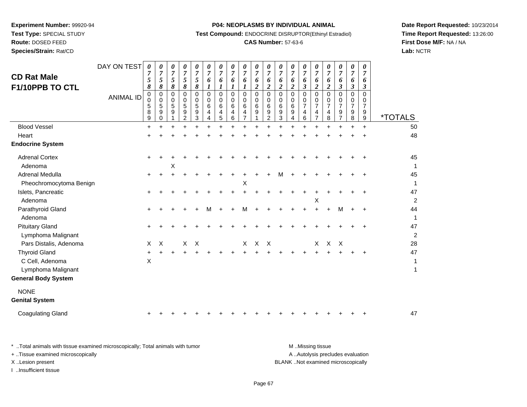**Test Type:** SPECIAL STUDY

**Route:** DOSED FEED

**Species/Strain:** Rat/CD

### **P04: NEOPLASMS BY INDIVIDUAL ANIMAL**

**Test Compound:** ENDOCRINE DISRUPTOR(Ethinyl Estradiol)

## **CAS Number:** 57-63-6

**Date Report Requested:** 10/23/2014**Time Report Requested:** 13:26:00**First Dose M/F:** NA / NA**Lab:** NCTR

| <b>CD Rat Male</b><br>F1/10PPB TO CTL<br><b>Blood Vessel</b> | DAY ON TEST<br><b>ANIMAL ID</b> | $\boldsymbol{\theta}$<br>7<br>5<br>8<br>$\pmb{0}$<br>$\mathbf 0$<br>5<br>8<br>9<br>$\ddot{}$ | 0<br>7<br>5<br>8<br>$\pmb{0}$<br>0<br>$\sqrt{5}$<br>9<br>0 | 0<br>$\overline{7}$<br>5<br>$\pmb{8}$<br>0<br>0<br>5<br>9 | 0<br>$\overline{7}$<br>5<br>8<br>$\Omega$<br>0<br>5<br>9<br>$\overline{2}$ | 0<br>$\overline{7}$<br>5<br>8<br>$\Omega$<br>0<br>$\overline{5}$<br>9<br>$\mathbf{3}$<br>$\ddot{}$ | 0<br>$\overline{7}$<br>6<br>0<br>0<br>$\,6\,$<br>4<br>4 | 0<br>$\overline{7}$<br>6<br>1<br>$\mathbf 0$<br>0<br>6<br>4<br>5 | 0<br>$\overline{7}$<br>6<br>1<br>$\Omega$<br>0<br>6<br>$\overline{4}$<br>6 | 0<br>$\overline{7}$<br>6<br>1<br>$\mathbf 0$<br>0<br>6<br>4<br>$\overline{7}$ | 0<br>$\overline{7}$<br>6<br>$\boldsymbol{2}$<br>0<br>0<br>6<br>9<br>$+$ | 0<br>$\overline{7}$<br>6<br>$\overline{2}$<br>0<br>0<br>$\,6\,$<br>9<br>2<br>÷ | 0<br>$\overline{7}$<br>6<br>$\boldsymbol{2}$<br>$\mathbf 0$<br>0<br>$\,6\,$<br>9<br>3 | 0<br>$\overline{7}$<br>6<br>$\boldsymbol{2}$<br>$\Omega$<br>0<br>6<br>9<br>4 | 0<br>$\overline{7}$<br>6<br>3<br>0<br>0<br>7<br>4<br>6 | 0<br>$\overline{7}$<br>6<br>$\boldsymbol{2}$<br>0<br>0<br>$\overline{7}$<br>4<br>$\overline{7}$ | 0<br>$\overline{7}$<br>6<br>$\boldsymbol{2}$<br>0<br>0<br>$\overline{7}$<br>4<br>8 | 0<br>$\overline{7}$<br>6<br>$\boldsymbol{\beta}$<br>$\mathbf 0$<br>0<br>$\overline{7}$<br>9<br>$\overline{7}$ | 0<br>$\overline{7}$<br>6<br>3<br>$\overline{0}$<br>0<br>$\overline{7}$<br>9<br>8 | 0<br>$\overline{7}$<br>6<br>$\boldsymbol{\beta}$<br>$\Omega$<br>0<br>$\overline{7}$<br>9<br>9<br>$+$ | <i><b>*TOTALS</b></i><br>50 |
|--------------------------------------------------------------|---------------------------------|----------------------------------------------------------------------------------------------|------------------------------------------------------------|-----------------------------------------------------------|----------------------------------------------------------------------------|----------------------------------------------------------------------------------------------------|---------------------------------------------------------|------------------------------------------------------------------|----------------------------------------------------------------------------|-------------------------------------------------------------------------------|-------------------------------------------------------------------------|--------------------------------------------------------------------------------|---------------------------------------------------------------------------------------|------------------------------------------------------------------------------|--------------------------------------------------------|-------------------------------------------------------------------------------------------------|------------------------------------------------------------------------------------|---------------------------------------------------------------------------------------------------------------|----------------------------------------------------------------------------------|------------------------------------------------------------------------------------------------------|-----------------------------|
| Heart                                                        |                                 | +                                                                                            |                                                            |                                                           |                                                                            |                                                                                                    |                                                         |                                                                  |                                                                            |                                                                               |                                                                         |                                                                                |                                                                                       |                                                                              |                                                        |                                                                                                 |                                                                                    |                                                                                                               |                                                                                  |                                                                                                      | 48                          |
| <b>Endocrine System</b>                                      |                                 |                                                                                              |                                                            |                                                           |                                                                            |                                                                                                    |                                                         |                                                                  |                                                                            |                                                                               |                                                                         |                                                                                |                                                                                       |                                                                              |                                                        |                                                                                                 |                                                                                    |                                                                                                               |                                                                                  |                                                                                                      |                             |
| <b>Adrenal Cortex</b><br>Adenoma                             |                                 | ÷                                                                                            |                                                            | X                                                         |                                                                            |                                                                                                    |                                                         |                                                                  |                                                                            |                                                                               |                                                                         |                                                                                |                                                                                       |                                                                              |                                                        |                                                                                                 |                                                                                    |                                                                                                               |                                                                                  |                                                                                                      | 45<br>1                     |
| <b>Adrenal Medulla</b>                                       |                                 | $\ddot{}$                                                                                    |                                                            |                                                           |                                                                            |                                                                                                    |                                                         |                                                                  |                                                                            |                                                                               |                                                                         |                                                                                |                                                                                       |                                                                              |                                                        |                                                                                                 |                                                                                    |                                                                                                               |                                                                                  |                                                                                                      | 45                          |
| Pheochromocytoma Benign                                      |                                 |                                                                                              |                                                            |                                                           |                                                                            |                                                                                                    |                                                         |                                                                  |                                                                            | X                                                                             |                                                                         |                                                                                |                                                                                       |                                                                              |                                                        |                                                                                                 |                                                                                    |                                                                                                               |                                                                                  |                                                                                                      | 1                           |
| Islets, Pancreatic<br>Adenoma                                |                                 |                                                                                              |                                                            |                                                           |                                                                            |                                                                                                    |                                                         |                                                                  |                                                                            |                                                                               |                                                                         |                                                                                |                                                                                       |                                                                              |                                                        | X                                                                                               |                                                                                    |                                                                                                               |                                                                                  |                                                                                                      | 47<br>$\overline{2}$        |
| Parathyroid Gland<br>Adenoma                                 |                                 |                                                                                              |                                                            |                                                           |                                                                            |                                                                                                    | м                                                       |                                                                  |                                                                            | M                                                                             |                                                                         |                                                                                |                                                                                       |                                                                              |                                                        |                                                                                                 |                                                                                    | M                                                                                                             | $\pm$                                                                            | $\ddot{}$                                                                                            | 44<br>1                     |
| <b>Pituitary Gland</b><br>Lymphoma Malignant                 |                                 |                                                                                              |                                                            |                                                           |                                                                            |                                                                                                    |                                                         |                                                                  |                                                                            |                                                                               |                                                                         |                                                                                |                                                                                       |                                                                              |                                                        |                                                                                                 |                                                                                    |                                                                                                               |                                                                                  |                                                                                                      | 47<br>$\overline{c}$        |
| Pars Distalis, Adenoma                                       |                                 | X                                                                                            | X                                                          |                                                           | X                                                                          | $\boldsymbol{\mathsf{X}}$                                                                          |                                                         |                                                                  |                                                                            | $\times$                                                                      | $\boldsymbol{\mathsf{X}}$                                               | $\times$                                                                       |                                                                                       |                                                                              |                                                        | X                                                                                               | $\mathsf{X}$                                                                       | $\times$                                                                                                      |                                                                                  |                                                                                                      | 28                          |
| <b>Thyroid Gland</b>                                         |                                 | ÷                                                                                            |                                                            |                                                           |                                                                            |                                                                                                    |                                                         |                                                                  |                                                                            |                                                                               |                                                                         |                                                                                |                                                                                       |                                                                              |                                                        |                                                                                                 |                                                                                    |                                                                                                               |                                                                                  |                                                                                                      | 47                          |
| C Cell, Adenoma<br>Lymphoma Malignant                        |                                 | X                                                                                            |                                                            |                                                           |                                                                            |                                                                                                    |                                                         |                                                                  |                                                                            |                                                                               |                                                                         |                                                                                |                                                                                       |                                                                              |                                                        |                                                                                                 |                                                                                    |                                                                                                               |                                                                                  |                                                                                                      | 1<br>1                      |
| <b>General Body System</b>                                   |                                 |                                                                                              |                                                            |                                                           |                                                                            |                                                                                                    |                                                         |                                                                  |                                                                            |                                                                               |                                                                         |                                                                                |                                                                                       |                                                                              |                                                        |                                                                                                 |                                                                                    |                                                                                                               |                                                                                  |                                                                                                      |                             |
| <b>NONE</b><br><b>Genital System</b>                         |                                 |                                                                                              |                                                            |                                                           |                                                                            |                                                                                                    |                                                         |                                                                  |                                                                            |                                                                               |                                                                         |                                                                                |                                                                                       |                                                                              |                                                        |                                                                                                 |                                                                                    |                                                                                                               |                                                                                  |                                                                                                      |                             |
| <b>Coagulating Gland</b>                                     |                                 |                                                                                              |                                                            |                                                           |                                                                            |                                                                                                    |                                                         |                                                                  |                                                                            |                                                                               |                                                                         |                                                                                |                                                                                       |                                                                              |                                                        |                                                                                                 |                                                                                    |                                                                                                               |                                                                                  |                                                                                                      | 47                          |

| * Total animals with tissue examined microscopically; Total animals with tumor | M Missing tissue                   |
|--------------------------------------------------------------------------------|------------------------------------|
| + Tissue examined microscopically                                              | A Autolysis precludes evaluation   |
| X Lesion present                                                               | BLANK Not examined microscopically |
| Insufficient tissue                                                            |                                    |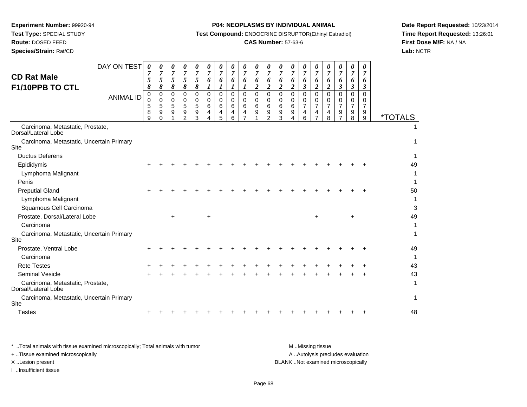**Test Type:** SPECIAL STUDY

# **Route:** DOSED FEED

**Species/Strain:** Rat/CD

### **P04: NEOPLASMS BY INDIVIDUAL ANIMAL**

**Test Compound:** ENDOCRINE DISRUPTOR(Ethinyl Estradiol)

# **CAS Number:** 57-63-6

**Date Report Requested:** 10/23/2014**Time Report Requested:** 13:26:01**First Dose M/F:** NA / NA**Lab:** NCTR

| <b>CD Rat Male</b><br>F1/10PPB TO CTL                   | DAY ON TEST<br><b>ANIMAL ID</b> | 0<br>$\overline{7}$<br>5<br>8<br>0<br>0<br>5<br>8<br>9 | 0<br>$\overline{7}$<br>5<br>8<br>0<br>0<br>5<br>9<br>0 | $\theta$<br>$\boldsymbol{7}$<br>5<br>8<br>$\Omega$<br>0<br>5<br>9 | $\theta$<br>$\overline{7}$<br>5<br>8<br>0<br>0<br>5<br>9<br>$\mathfrak{p}$ | $\boldsymbol{\theta}$<br>$\overline{7}$<br>5<br>8<br>$\Omega$<br>$\Omega$<br>5<br>9<br>3 | 0<br>$\boldsymbol{7}$<br>6<br>$\boldsymbol{I}$<br>$\Omega$<br>0<br>6<br>4<br>4 | $\boldsymbol{\theta}$<br>$\overline{7}$<br>6<br>1<br>$\Omega$<br>0<br>6<br>4<br>5 | $\theta$<br>$\boldsymbol{7}$<br>6<br>1<br>$\Omega$<br>$\mathbf 0$<br>6<br>4<br>6 | $\theta$<br>$\overline{7}$<br>6<br>1<br>$\Omega$<br>$\mathbf 0$<br>6<br>4<br>$\overline{7}$ | 0<br>$\overline{7}$<br>6<br>2<br>$\Omega$<br>0<br>6<br>9 | 0<br>$\overline{7}$<br>6<br>$\boldsymbol{2}$<br>$\Omega$<br>0<br>6<br>9<br>$\overline{2}$ | 0<br>$\overline{7}$<br>6<br>2<br>$\Omega$<br>0<br>6<br>9<br>3 | 0<br>$\overline{7}$<br>6<br>$\boldsymbol{2}$<br>$\Omega$<br>0<br>6<br>9<br>4 | 0<br>$\overline{7}$<br>6<br>3<br>$\Omega$<br>$\mathbf 0$<br>$\overline{7}$<br>4<br>6 | $\boldsymbol{\theta}$<br>$\overline{7}$<br>6<br>$\boldsymbol{2}$<br>$\Omega$<br>0<br>$\overline{7}$<br>4<br>$\overline{7}$ | 0<br>$\overline{7}$<br>6<br>$\boldsymbol{2}$<br>$\Omega$<br>0<br>7<br>4<br>8 | $\boldsymbol{\theta}$<br>$\overline{7}$<br>6<br>$\boldsymbol{\beta}$<br>$\Omega$<br>$\mathbf 0$<br>$\overline{7}$<br>9<br>$\overline{7}$ | 0<br>$\overline{7}$<br>6<br>$\boldsymbol{\beta}$<br>$\Omega$<br>$\Omega$<br>$\overline{7}$<br>9<br>8 | 0<br>$\overline{7}$<br>6<br>3<br>$\Omega$<br>$\Omega$<br>$\overline{7}$<br>9<br>9 | <i><b>*TOTALS</b></i> |
|---------------------------------------------------------|---------------------------------|--------------------------------------------------------|--------------------------------------------------------|-------------------------------------------------------------------|----------------------------------------------------------------------------|------------------------------------------------------------------------------------------|--------------------------------------------------------------------------------|-----------------------------------------------------------------------------------|----------------------------------------------------------------------------------|---------------------------------------------------------------------------------------------|----------------------------------------------------------|-------------------------------------------------------------------------------------------|---------------------------------------------------------------|------------------------------------------------------------------------------|--------------------------------------------------------------------------------------|----------------------------------------------------------------------------------------------------------------------------|------------------------------------------------------------------------------|------------------------------------------------------------------------------------------------------------------------------------------|------------------------------------------------------------------------------------------------------|-----------------------------------------------------------------------------------|-----------------------|
| Carcinoma, Metastatic, Prostate,<br>Dorsal/Lateral Lobe |                                 |                                                        |                                                        |                                                                   |                                                                            |                                                                                          |                                                                                |                                                                                   |                                                                                  |                                                                                             |                                                          |                                                                                           |                                                               |                                                                              |                                                                                      |                                                                                                                            |                                                                              |                                                                                                                                          |                                                                                                      |                                                                                   |                       |
| Carcinoma, Metastatic, Uncertain Primary<br><b>Site</b> |                                 |                                                        |                                                        |                                                                   |                                                                            |                                                                                          |                                                                                |                                                                                   |                                                                                  |                                                                                             |                                                          |                                                                                           |                                                               |                                                                              |                                                                                      |                                                                                                                            |                                                                              |                                                                                                                                          |                                                                                                      |                                                                                   | 1                     |
| <b>Ductus Deferens</b>                                  |                                 |                                                        |                                                        |                                                                   |                                                                            |                                                                                          |                                                                                |                                                                                   |                                                                                  |                                                                                             |                                                          |                                                                                           |                                                               |                                                                              |                                                                                      |                                                                                                                            |                                                                              |                                                                                                                                          |                                                                                                      |                                                                                   |                       |
| Epididymis                                              |                                 |                                                        |                                                        |                                                                   |                                                                            |                                                                                          |                                                                                |                                                                                   |                                                                                  |                                                                                             |                                                          |                                                                                           |                                                               |                                                                              |                                                                                      |                                                                                                                            |                                                                              |                                                                                                                                          |                                                                                                      |                                                                                   | 49                    |
| Lymphoma Malignant                                      |                                 |                                                        |                                                        |                                                                   |                                                                            |                                                                                          |                                                                                |                                                                                   |                                                                                  |                                                                                             |                                                          |                                                                                           |                                                               |                                                                              |                                                                                      |                                                                                                                            |                                                                              |                                                                                                                                          |                                                                                                      |                                                                                   |                       |
| Penis                                                   |                                 |                                                        |                                                        |                                                                   |                                                                            |                                                                                          |                                                                                |                                                                                   |                                                                                  |                                                                                             |                                                          |                                                                                           |                                                               |                                                                              |                                                                                      |                                                                                                                            |                                                                              |                                                                                                                                          |                                                                                                      |                                                                                   |                       |
| <b>Preputial Gland</b>                                  |                                 |                                                        |                                                        |                                                                   |                                                                            |                                                                                          |                                                                                |                                                                                   |                                                                                  |                                                                                             |                                                          |                                                                                           |                                                               |                                                                              |                                                                                      |                                                                                                                            |                                                                              |                                                                                                                                          |                                                                                                      |                                                                                   | 50                    |
| Lymphoma Malignant                                      |                                 |                                                        |                                                        |                                                                   |                                                                            |                                                                                          |                                                                                |                                                                                   |                                                                                  |                                                                                             |                                                          |                                                                                           |                                                               |                                                                              |                                                                                      |                                                                                                                            |                                                                              |                                                                                                                                          |                                                                                                      |                                                                                   | 1                     |
| Squamous Cell Carcinoma                                 |                                 |                                                        |                                                        |                                                                   |                                                                            |                                                                                          |                                                                                |                                                                                   |                                                                                  |                                                                                             |                                                          |                                                                                           |                                                               |                                                                              |                                                                                      |                                                                                                                            |                                                                              |                                                                                                                                          |                                                                                                      |                                                                                   | 3                     |
| Prostate, Dorsal/Lateral Lobe                           |                                 |                                                        |                                                        | $+$                                                               |                                                                            |                                                                                          | $\ddot{}$                                                                      |                                                                                   |                                                                                  |                                                                                             |                                                          |                                                                                           |                                                               |                                                                              |                                                                                      | $\ddot{}$                                                                                                                  |                                                                              |                                                                                                                                          |                                                                                                      |                                                                                   | 49                    |
| Carcinoma                                               |                                 |                                                        |                                                        |                                                                   |                                                                            |                                                                                          |                                                                                |                                                                                   |                                                                                  |                                                                                             |                                                          |                                                                                           |                                                               |                                                                              |                                                                                      |                                                                                                                            |                                                                              |                                                                                                                                          |                                                                                                      |                                                                                   | 1                     |
| Carcinoma, Metastatic, Uncertain Primary<br>Site        |                                 |                                                        |                                                        |                                                                   |                                                                            |                                                                                          |                                                                                |                                                                                   |                                                                                  |                                                                                             |                                                          |                                                                                           |                                                               |                                                                              |                                                                                      |                                                                                                                            |                                                                              |                                                                                                                                          |                                                                                                      |                                                                                   | 1                     |
| Prostate, Ventral Lobe                                  |                                 |                                                        |                                                        |                                                                   |                                                                            |                                                                                          |                                                                                |                                                                                   |                                                                                  |                                                                                             |                                                          |                                                                                           |                                                               |                                                                              |                                                                                      |                                                                                                                            |                                                                              |                                                                                                                                          |                                                                                                      |                                                                                   | 49                    |
| Carcinoma                                               |                                 |                                                        |                                                        |                                                                   |                                                                            |                                                                                          |                                                                                |                                                                                   |                                                                                  |                                                                                             |                                                          |                                                                                           |                                                               |                                                                              |                                                                                      |                                                                                                                            |                                                                              |                                                                                                                                          |                                                                                                      |                                                                                   | 1                     |
| <b>Rete Testes</b>                                      |                                 |                                                        |                                                        |                                                                   |                                                                            |                                                                                          |                                                                                |                                                                                   |                                                                                  |                                                                                             |                                                          |                                                                                           |                                                               |                                                                              |                                                                                      |                                                                                                                            |                                                                              |                                                                                                                                          |                                                                                                      |                                                                                   | 43                    |
| <b>Seminal Vesicle</b>                                  |                                 |                                                        |                                                        |                                                                   |                                                                            |                                                                                          |                                                                                |                                                                                   |                                                                                  |                                                                                             |                                                          |                                                                                           |                                                               |                                                                              |                                                                                      |                                                                                                                            |                                                                              |                                                                                                                                          |                                                                                                      |                                                                                   | 43                    |
| Carcinoma, Metastatic, Prostate,<br>Dorsal/Lateral Lobe |                                 |                                                        |                                                        |                                                                   |                                                                            |                                                                                          |                                                                                |                                                                                   |                                                                                  |                                                                                             |                                                          |                                                                                           |                                                               |                                                                              |                                                                                      |                                                                                                                            |                                                                              |                                                                                                                                          |                                                                                                      |                                                                                   | $\mathbf{1}$          |
| Carcinoma, Metastatic, Uncertain Primary<br>Site        |                                 |                                                        |                                                        |                                                                   |                                                                            |                                                                                          |                                                                                |                                                                                   |                                                                                  |                                                                                             |                                                          |                                                                                           |                                                               |                                                                              |                                                                                      |                                                                                                                            |                                                                              |                                                                                                                                          |                                                                                                      |                                                                                   | 1                     |
| <b>Testes</b>                                           |                                 |                                                        |                                                        |                                                                   |                                                                            |                                                                                          |                                                                                |                                                                                   |                                                                                  |                                                                                             |                                                          |                                                                                           |                                                               |                                                                              |                                                                                      |                                                                                                                            |                                                                              |                                                                                                                                          |                                                                                                      |                                                                                   | 48                    |

| Total animals with tissue examined microscopically; Total animals with tumor | M Missing tissue                   |
|------------------------------------------------------------------------------|------------------------------------|
| + Tissue examined microscopically                                            | A Autolysis precludes evaluation   |
| X Lesion present                                                             | BLANK Not examined microscopically |
| Insufficient tissue                                                          |                                    |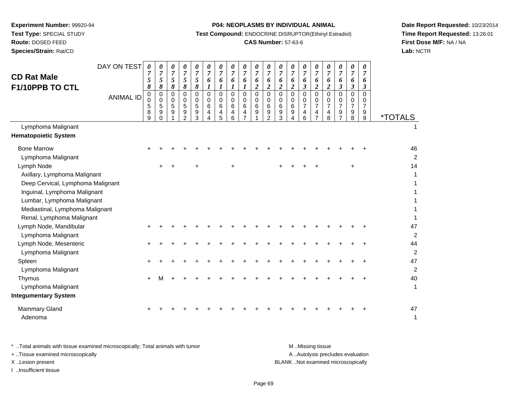**Route:** DOSED FEED

**Species/Strain:** Rat/CD

#### **P04: NEOPLASMS BY INDIVIDUAL ANIMAL**

**Test Compound:** ENDOCRINE DISRUPTOR(Ethinyl Estradiol)

### **CAS Number:** 57-63-6

**Date Report Requested:** 10/23/2014**Time Report Requested:** 13:26:01**First Dose M/F:** NA / NA**Lab:** NCTR

| <b>CD Rat Male</b><br>F1/10PPB TO CTL<br>Lymphoma Malignant<br><b>Hematopoietic System</b>                                                                                                                                                                | DAY ON TEST<br><b>ANIMAL ID</b> | 0<br>7<br>5<br>8<br>0<br>0<br>5<br>8<br>9 | 0<br>$\overline{7}$<br>5<br>8<br>0<br>$\Omega$<br>5<br>9<br>$\Omega$ | 0<br>$\overline{7}$<br>5<br>8<br>$\mathbf 0$<br>$\Omega$<br>5<br>9 | 0<br>$\overline{7}$<br>$\mathfrak{s}$<br>8<br>$\mathbf 0$<br>$\Omega$<br>5<br>9<br>$\mathcal{P}$ | 0<br>$\overline{7}$<br>5<br>8<br>$\mathbf 0$<br>$\Omega$<br>5<br>9<br>3 | 0<br>7<br>6<br>1<br>$\mathbf 0$<br>0<br>6<br>4<br>4 | 0<br>$\overline{7}$<br>6<br>1<br>$\mathbf 0$<br>$\Omega$<br>6<br>4<br>5 | 0<br>$\overline{7}$<br>6<br>$\mathbf 0$<br>0<br>6<br>4<br>6 | 0<br>$\overline{7}$<br>6<br>1<br>0<br>0<br>6<br>4<br>$\overline{7}$ | 0<br>$\overline{7}$<br>6<br>$\boldsymbol{2}$<br>$\mathbf 0$<br>$\Omega$<br>6<br>9 | 0<br>7<br>6<br>2<br>$\mathbf 0$<br>$\Omega$<br>6<br>9<br>$\mathcal{P}$ | 0<br>$\overline{7}$<br>6<br>2<br>$\mathbf 0$<br>$\Omega$<br>6<br>9<br>3 | 0<br>$\overline{7}$<br>6<br>$\overline{2}$<br>0<br>0<br>6<br>9<br>4 | 0<br>$\overline{7}$<br>6<br>3<br>0<br>0<br>$\overline{7}$<br>4<br>6 | 0<br>7<br>6<br>$\overline{2}$<br>$\mathbf 0$<br>$\Omega$<br>$\overline{7}$<br>4<br>$\overline{7}$ | 0<br>7<br>6<br>$\boldsymbol{2}$<br>$\mathbf 0$<br>0<br>$\overline{7}$<br>4<br>8 | 0<br>$\overline{7}$<br>6<br>3<br>$\mathbf 0$<br>$\Omega$<br>$\overline{7}$<br>9<br>$\overline{7}$ | 0<br>$\overline{7}$<br>6<br>$\boldsymbol{\beta}$<br>0<br>0<br>$\overline{7}$<br>9<br>8 | 0<br>$\overline{\tau}$<br>6<br>3<br>$\Omega$<br>0<br>7<br>9<br>9 | <i><b>*TOTALS</b></i>                                                           |
|-----------------------------------------------------------------------------------------------------------------------------------------------------------------------------------------------------------------------------------------------------------|---------------------------------|-------------------------------------------|----------------------------------------------------------------------|--------------------------------------------------------------------|--------------------------------------------------------------------------------------------------|-------------------------------------------------------------------------|-----------------------------------------------------|-------------------------------------------------------------------------|-------------------------------------------------------------|---------------------------------------------------------------------|-----------------------------------------------------------------------------------|------------------------------------------------------------------------|-------------------------------------------------------------------------|---------------------------------------------------------------------|---------------------------------------------------------------------|---------------------------------------------------------------------------------------------------|---------------------------------------------------------------------------------|---------------------------------------------------------------------------------------------------|----------------------------------------------------------------------------------------|------------------------------------------------------------------|---------------------------------------------------------------------------------|
| <b>Bone Marrow</b><br>Lymphoma Malignant<br>Lymph Node<br>Axillary, Lymphoma Malignant<br>Deep Cervical, Lymphoma Malignant<br>Inguinal, Lymphoma Malignant<br>Lumbar, Lymphoma Malignant<br>Mediastinal, Lymphoma Malignant<br>Renal, Lymphoma Malignant |                                 |                                           |                                                                      |                                                                    |                                                                                                  |                                                                         |                                                     |                                                                         |                                                             |                                                                     |                                                                                   |                                                                        |                                                                         |                                                                     |                                                                     |                                                                                                   |                                                                                 |                                                                                                   |                                                                                        |                                                                  | 46<br>$\overline{2}$<br>14                                                      |
| Lymph Node, Mandibular<br>Lymphoma Malignant<br>Lymph Node, Mesenteric<br>Lymphoma Malignant<br>Spleen<br>Lymphoma Malignant<br>Thymus<br>Lymphoma Malignant<br><b>Integumentary System</b>                                                               |                                 | $\ddot{}$                                 |                                                                      |                                                                    |                                                                                                  |                                                                         |                                                     |                                                                         |                                                             |                                                                     |                                                                                   |                                                                        |                                                                         |                                                                     |                                                                     |                                                                                                   |                                                                                 |                                                                                                   |                                                                                        |                                                                  | 47<br>$\overline{2}$<br>44<br>$\overline{c}$<br>47<br>$\overline{2}$<br>40<br>1 |
| Mammary Gland<br>Adenoma                                                                                                                                                                                                                                  |                                 |                                           |                                                                      |                                                                    |                                                                                                  |                                                                         |                                                     |                                                                         |                                                             |                                                                     |                                                                                   |                                                                        |                                                                         |                                                                     |                                                                     |                                                                                                   |                                                                                 |                                                                                                   |                                                                                        |                                                                  | 47<br>$\mathbf{1}$                                                              |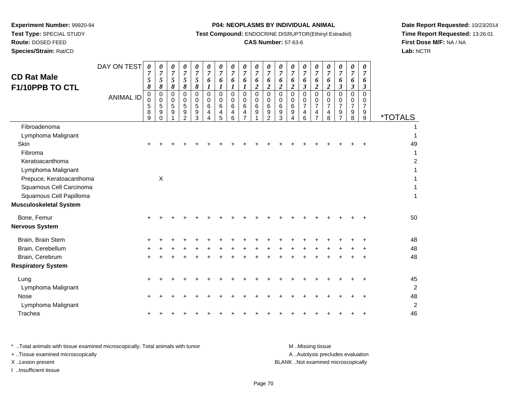**Route:** DOSED FEED

**Species/Strain:** Rat/CD

### **P04: NEOPLASMS BY INDIVIDUAL ANIMAL**

**Test Compound:** ENDOCRINE DISRUPTOR(Ethinyl Estradiol)

## **CAS Number:** 57-63-6

**Date Report Requested:** 10/23/2014**Time Report Requested:** 13:26:01**First Dose M/F:** NA / NA**Lab:** NCTR

| <b>CD Rat Male</b><br>F1/10PPB TO CTL                    | DAY ON TEST<br><b>ANIMAL ID</b> | $\boldsymbol{\theta}$<br>$\overline{7}$<br>5<br>8<br>0<br>0<br>5<br>8<br>9 | 0<br>$\overline{7}$<br>5<br>8<br>0<br>0<br>5<br>9<br>0 | 0<br>$\overline{7}$<br>5<br>8<br>0<br>0<br>5<br>9 | 0<br>$\overline{7}$<br>5<br>8<br>$\mathbf 0$<br>0<br>5<br>9<br>2 | $\boldsymbol{\theta}$<br>$\boldsymbol{7}$<br>5<br>8<br>$\mathbf 0$<br>0<br>$\sqrt{5}$<br>9<br>3 | 0<br>$\overline{7}$<br>6<br>1<br>$\Omega$<br>$\Omega$<br>6<br>4<br>4 | 0<br>$\overline{7}$<br>6<br>$\Omega$<br>0<br>6<br>4<br>5 | 0<br>$\overline{7}$<br>6<br>1<br>0<br>0<br>6<br>4<br>6 | 0<br>$\boldsymbol{7}$<br>6<br>1<br>$\mathbf 0$<br>0<br>$\,6\,$<br>4<br>$\overline{7}$ | $\pmb{\theta}$<br>$\overline{7}$<br>6<br>$\overline{\mathbf{c}}$<br>$\mathbf 0$<br>0<br>6<br>9<br>1 | 0<br>$\overline{7}$<br>6<br>$\boldsymbol{2}$<br>$\Omega$<br>0<br>6<br>9<br>$\overline{2}$ | 0<br>$\overline{7}$<br>6<br>$\boldsymbol{2}$<br>$\mathbf 0$<br>0<br>6<br>9<br>3 | 0<br>$\overline{7}$<br>6<br>2<br>0<br>0<br>6<br>9<br>4 | 0<br>$\boldsymbol{7}$<br>6<br>3<br>$\mathbf 0$<br>0<br>$\overline{7}$<br>4<br>6 | 0<br>$\overline{7}$<br>6<br>$\overline{c}$<br>$\mathbf 0$<br>0<br>$\overline{7}$<br>4<br>$\overline{7}$ | 0<br>$\overline{7}$<br>6<br>$\boldsymbol{2}$<br>$\Omega$<br>0<br>$\overline{7}$<br>4<br>8 | 0<br>$\overline{7}$<br>6<br>3<br>$\Omega$<br>0<br>$\overline{7}$<br>9<br>$\overline{7}$ | 0<br>$\overline{7}$<br>6<br>3<br>$\mathbf 0$<br>0<br>$\overline{7}$<br>9<br>8 | 0<br>$\overline{7}$<br>6<br>3<br>$\Omega$<br>0<br>$\overline{7}$<br>9<br>9 | <i><b>*TOTALS</b></i>        |
|----------------------------------------------------------|---------------------------------|----------------------------------------------------------------------------|--------------------------------------------------------|---------------------------------------------------|------------------------------------------------------------------|-------------------------------------------------------------------------------------------------|----------------------------------------------------------------------|----------------------------------------------------------|--------------------------------------------------------|---------------------------------------------------------------------------------------|-----------------------------------------------------------------------------------------------------|-------------------------------------------------------------------------------------------|---------------------------------------------------------------------------------|--------------------------------------------------------|---------------------------------------------------------------------------------|---------------------------------------------------------------------------------------------------------|-------------------------------------------------------------------------------------------|-----------------------------------------------------------------------------------------|-------------------------------------------------------------------------------|----------------------------------------------------------------------------|------------------------------|
| Fibroadenoma                                             |                                 |                                                                            |                                                        |                                                   |                                                                  |                                                                                                 |                                                                      |                                                          |                                                        |                                                                                       |                                                                                                     |                                                                                           |                                                                                 |                                                        |                                                                                 |                                                                                                         |                                                                                           |                                                                                         |                                                                               |                                                                            |                              |
| Lymphoma Malignant                                       |                                 |                                                                            |                                                        |                                                   |                                                                  |                                                                                                 |                                                                      |                                                          |                                                        |                                                                                       |                                                                                                     |                                                                                           |                                                                                 |                                                        |                                                                                 |                                                                                                         |                                                                                           |                                                                                         |                                                                               |                                                                            | -1                           |
| Skin                                                     |                                 |                                                                            |                                                        |                                                   |                                                                  |                                                                                                 |                                                                      |                                                          |                                                        |                                                                                       |                                                                                                     |                                                                                           |                                                                                 |                                                        |                                                                                 |                                                                                                         |                                                                                           |                                                                                         |                                                                               |                                                                            | 49                           |
| Fibroma                                                  |                                 |                                                                            |                                                        |                                                   |                                                                  |                                                                                                 |                                                                      |                                                          |                                                        |                                                                                       |                                                                                                     |                                                                                           |                                                                                 |                                                        |                                                                                 |                                                                                                         |                                                                                           |                                                                                         |                                                                               |                                                                            | 1                            |
| Keratoacanthoma                                          |                                 |                                                                            |                                                        |                                                   |                                                                  |                                                                                                 |                                                                      |                                                          |                                                        |                                                                                       |                                                                                                     |                                                                                           |                                                                                 |                                                        |                                                                                 |                                                                                                         |                                                                                           |                                                                                         |                                                                               |                                                                            | $\overline{2}$               |
| Lymphoma Malignant                                       |                                 |                                                                            |                                                        |                                                   |                                                                  |                                                                                                 |                                                                      |                                                          |                                                        |                                                                                       |                                                                                                     |                                                                                           |                                                                                 |                                                        |                                                                                 |                                                                                                         |                                                                                           |                                                                                         |                                                                               |                                                                            |                              |
| Prepuce, Keratoacanthoma                                 |                                 |                                                                            | $\boldsymbol{\mathsf{X}}$                              |                                                   |                                                                  |                                                                                                 |                                                                      |                                                          |                                                        |                                                                                       |                                                                                                     |                                                                                           |                                                                                 |                                                        |                                                                                 |                                                                                                         |                                                                                           |                                                                                         |                                                                               |                                                                            |                              |
| Squamous Cell Carcinoma                                  |                                 |                                                                            |                                                        |                                                   |                                                                  |                                                                                                 |                                                                      |                                                          |                                                        |                                                                                       |                                                                                                     |                                                                                           |                                                                                 |                                                        |                                                                                 |                                                                                                         |                                                                                           |                                                                                         |                                                                               |                                                                            | $\mathbf{1}$<br>$\mathbf{1}$ |
| Squamous Cell Papilloma<br><b>Musculoskeletal System</b> |                                 |                                                                            |                                                        |                                                   |                                                                  |                                                                                                 |                                                                      |                                                          |                                                        |                                                                                       |                                                                                                     |                                                                                           |                                                                                 |                                                        |                                                                                 |                                                                                                         |                                                                                           |                                                                                         |                                                                               |                                                                            |                              |
|                                                          |                                 |                                                                            |                                                        |                                                   |                                                                  |                                                                                                 |                                                                      |                                                          |                                                        |                                                                                       |                                                                                                     |                                                                                           |                                                                                 |                                                        |                                                                                 |                                                                                                         |                                                                                           |                                                                                         |                                                                               |                                                                            |                              |
| Bone, Femur                                              |                                 |                                                                            |                                                        |                                                   |                                                                  |                                                                                                 |                                                                      |                                                          |                                                        |                                                                                       |                                                                                                     |                                                                                           |                                                                                 |                                                        |                                                                                 |                                                                                                         |                                                                                           |                                                                                         |                                                                               |                                                                            | 50                           |
| <b>Nervous System</b>                                    |                                 |                                                                            |                                                        |                                                   |                                                                  |                                                                                                 |                                                                      |                                                          |                                                        |                                                                                       |                                                                                                     |                                                                                           |                                                                                 |                                                        |                                                                                 |                                                                                                         |                                                                                           |                                                                                         |                                                                               |                                                                            |                              |
| Brain, Brain Stem                                        |                                 |                                                                            |                                                        |                                                   |                                                                  |                                                                                                 |                                                                      |                                                          |                                                        |                                                                                       |                                                                                                     |                                                                                           |                                                                                 |                                                        |                                                                                 |                                                                                                         |                                                                                           |                                                                                         |                                                                               |                                                                            | 48                           |
| Brain, Cerebellum                                        |                                 |                                                                            |                                                        |                                                   |                                                                  |                                                                                                 |                                                                      |                                                          |                                                        |                                                                                       |                                                                                                     |                                                                                           |                                                                                 |                                                        |                                                                                 |                                                                                                         |                                                                                           |                                                                                         |                                                                               |                                                                            | 48                           |
| Brain, Cerebrum                                          |                                 |                                                                            |                                                        |                                                   |                                                                  |                                                                                                 |                                                                      |                                                          |                                                        |                                                                                       |                                                                                                     |                                                                                           |                                                                                 |                                                        |                                                                                 |                                                                                                         |                                                                                           |                                                                                         |                                                                               |                                                                            | 48                           |
| <b>Respiratory System</b>                                |                                 |                                                                            |                                                        |                                                   |                                                                  |                                                                                                 |                                                                      |                                                          |                                                        |                                                                                       |                                                                                                     |                                                                                           |                                                                                 |                                                        |                                                                                 |                                                                                                         |                                                                                           |                                                                                         |                                                                               |                                                                            |                              |
| Lung                                                     |                                 | ÷                                                                          |                                                        |                                                   |                                                                  |                                                                                                 |                                                                      |                                                          |                                                        |                                                                                       |                                                                                                     |                                                                                           |                                                                                 |                                                        |                                                                                 |                                                                                                         |                                                                                           |                                                                                         |                                                                               |                                                                            | 45                           |
| Lymphoma Malignant                                       |                                 |                                                                            |                                                        |                                                   |                                                                  |                                                                                                 |                                                                      |                                                          |                                                        |                                                                                       |                                                                                                     |                                                                                           |                                                                                 |                                                        |                                                                                 |                                                                                                         |                                                                                           |                                                                                         |                                                                               |                                                                            | $\overline{2}$               |
| <b>Nose</b>                                              |                                 | ÷                                                                          |                                                        |                                                   |                                                                  |                                                                                                 |                                                                      |                                                          |                                                        |                                                                                       |                                                                                                     |                                                                                           |                                                                                 |                                                        |                                                                                 |                                                                                                         |                                                                                           |                                                                                         |                                                                               |                                                                            | 48                           |
| Lymphoma Malignant                                       |                                 |                                                                            |                                                        |                                                   |                                                                  |                                                                                                 |                                                                      |                                                          |                                                        |                                                                                       |                                                                                                     |                                                                                           |                                                                                 |                                                        |                                                                                 |                                                                                                         |                                                                                           |                                                                                         |                                                                               |                                                                            | $\overline{2}$               |
| Trachea                                                  |                                 |                                                                            |                                                        |                                                   |                                                                  |                                                                                                 |                                                                      |                                                          |                                                        |                                                                                       |                                                                                                     |                                                                                           |                                                                                 |                                                        |                                                                                 |                                                                                                         |                                                                                           |                                                                                         |                                                                               |                                                                            | 46                           |
|                                                          |                                 |                                                                            |                                                        |                                                   |                                                                  |                                                                                                 |                                                                      |                                                          |                                                        |                                                                                       |                                                                                                     |                                                                                           |                                                                                 |                                                        |                                                                                 |                                                                                                         |                                                                                           |                                                                                         |                                                                               |                                                                            |                              |

| * Total animals with tissue examined microscopically; Total animals with tumor | M Missing tissue                   |
|--------------------------------------------------------------------------------|------------------------------------|
| + Tissue examined microscopically                                              | A Autolysis precludes evaluation   |
| X Lesion present                                                               | BLANK Not examined microscopically |
| Insufficient tissue                                                            |                                    |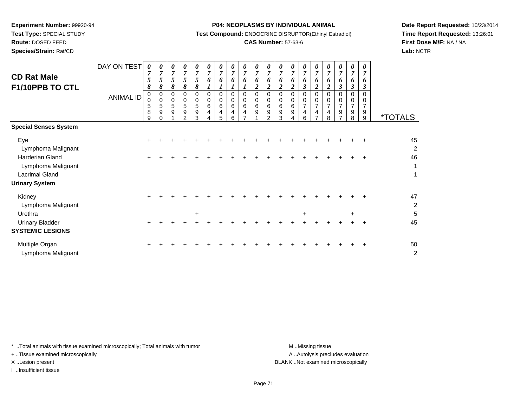**Test Type:** SPECIAL STUDY

**Route:** DOSED FEED

**Species/Strain:** Rat/CD

#### **P04: NEOPLASMS BY INDIVIDUAL ANIMAL**

**Test Compound:** ENDOCRINE DISRUPTOR(Ethinyl Estradiol)

### **CAS Number:** 57-63-6

**Date Report Requested:** 10/23/2014**Time Report Requested:** 13:26:01**First Dose M/F:** NA / NA**Lab:** NCTR

| <b>CD Rat Male</b><br>F1/10PPB TO CTL                          | DAY ON TEST<br><b>ANIMAL ID</b> | 0<br>7<br>5<br>8<br>0<br>$\mathbf 0$<br>5<br>8<br>9 | $\boldsymbol{\theta}$<br>$\overline{7}$<br>5<br>8<br>0<br>$\mathbf 0$<br>5<br>9 | 0<br>$\overline{7}$<br>5<br>8<br>0<br>$\mathbf 0$<br>$\sqrt{5}$<br>9 | 0<br>$\overline{7}$<br>5<br>8<br>0<br>0<br>$\sqrt{5}$<br>$\boldsymbol{9}$<br>$\mathcal{P}$ | 0<br>$\overline{7}$<br>5<br>8<br>0<br>$\pmb{0}$<br>$\sqrt{5}$<br>9<br>3 | 0<br>$\overline{7}$<br>6<br>$\Omega$<br>0<br>6<br>4 | 0<br>$\overline{7}$<br>6<br>0<br>$\mathbf 0$<br>6<br>4<br>5 | 0<br>$\overline{7}$<br>6<br>0<br>$\mathbf 0$<br>$\,6\,$<br>4<br>6 | 0<br>$\overline{7}$<br>6<br>$\Omega$<br>$\mathbf 0$<br>$6\phantom{1}$<br>$\overline{4}$<br>$\overline{ }$ | 0<br>$\overline{7}$<br>6<br>2<br>$\Omega$<br>$\mathbf 0$<br>6<br>9 | $\overline{7}$<br>6<br>$\overline{\mathbf{c}}$<br>0<br>0<br>6<br>9<br>$\mathcal{P}$ | $\theta$<br>$\overline{7}$<br>6<br>$\overline{c}$<br>$\Omega$<br>$\mathbf 0$<br>6<br>9<br>3 | $\boldsymbol{\theta}$<br>$\overline{7}$<br>6<br>$\overline{2}$<br>$\Omega$<br>$\mathbf 0$<br>$\,6\,$<br>9 | $\boldsymbol{\theta}$<br>$\overline{7}$<br>6<br>3<br>0<br>0<br>$\overline{7}$<br>4<br>6 | 0<br>$\overline{7}$<br>6<br>2<br>0<br>0<br>$\overline{7}$<br>4<br>$\overline{\phantom{0}}$ | $\boldsymbol{\theta}$<br>$\overline{7}$<br>6<br>$\boldsymbol{2}$<br>$\Omega$<br>$\mathbf 0$<br>$\overline{7}$<br>4<br>8 | 0<br>$\overline{7}$<br>6<br>3<br>$\Omega$<br>$\Omega$<br>$\overline{7}$<br>9 | 0<br>$\overline{7}$<br>6<br>3<br>0<br>$\pmb{0}$<br>$\overline{7}$<br>9<br>8 | 0<br>$\overline{\tau}$<br>6<br>3<br>0<br>0<br>9<br>9 | <i><b>*TOTALS</b></i> |
|----------------------------------------------------------------|---------------------------------|-----------------------------------------------------|---------------------------------------------------------------------------------|----------------------------------------------------------------------|--------------------------------------------------------------------------------------------|-------------------------------------------------------------------------|-----------------------------------------------------|-------------------------------------------------------------|-------------------------------------------------------------------|-----------------------------------------------------------------------------------------------------------|--------------------------------------------------------------------|-------------------------------------------------------------------------------------|---------------------------------------------------------------------------------------------|-----------------------------------------------------------------------------------------------------------|-----------------------------------------------------------------------------------------|--------------------------------------------------------------------------------------------|-------------------------------------------------------------------------------------------------------------------------|------------------------------------------------------------------------------|-----------------------------------------------------------------------------|------------------------------------------------------|-----------------------|
| <b>Special Senses System</b>                                   |                                 |                                                     |                                                                                 |                                                                      |                                                                                            |                                                                         |                                                     |                                                             |                                                                   |                                                                                                           |                                                                    |                                                                                     |                                                                                             |                                                                                                           |                                                                                         |                                                                                            |                                                                                                                         |                                                                              |                                                                             |                                                      |                       |
| Eye<br>Lymphoma Malignant                                      |                                 | $\div$                                              |                                                                                 |                                                                      |                                                                                            |                                                                         |                                                     |                                                             |                                                                   |                                                                                                           |                                                                    |                                                                                     |                                                                                             |                                                                                                           |                                                                                         |                                                                                            |                                                                                                                         |                                                                              |                                                                             |                                                      | 45<br>$\overline{c}$  |
| Harderian Gland<br>Lymphoma Malignant<br><b>Lacrimal Gland</b> |                                 | $\ddot{}$                                           |                                                                                 |                                                                      |                                                                                            |                                                                         |                                                     |                                                             |                                                                   |                                                                                                           |                                                                    |                                                                                     |                                                                                             |                                                                                                           |                                                                                         |                                                                                            |                                                                                                                         |                                                                              |                                                                             |                                                      | 46<br>1<br>1          |
| <b>Urinary System</b>                                          |                                 |                                                     |                                                                                 |                                                                      |                                                                                            |                                                                         |                                                     |                                                             |                                                                   |                                                                                                           |                                                                    |                                                                                     |                                                                                             |                                                                                                           |                                                                                         |                                                                                            |                                                                                                                         |                                                                              |                                                                             |                                                      |                       |
| Kidney<br>Lymphoma Malignant                                   |                                 | $\ddot{}$                                           |                                                                                 |                                                                      |                                                                                            |                                                                         |                                                     |                                                             |                                                                   |                                                                                                           |                                                                    |                                                                                     |                                                                                             |                                                                                                           |                                                                                         |                                                                                            |                                                                                                                         |                                                                              |                                                                             |                                                      | 47<br>$\overline{c}$  |
| Urethra<br><b>Urinary Bladder</b>                              |                                 | $\ddot{}$                                           |                                                                                 |                                                                      |                                                                                            | $\ddot{}$                                                               |                                                     |                                                             |                                                                   |                                                                                                           |                                                                    |                                                                                     |                                                                                             |                                                                                                           | $\ddot{}$                                                                               |                                                                                            |                                                                                                                         |                                                                              | $\ddot{}$                                                                   |                                                      | 5<br>45               |
| <b>SYSTEMIC LESIONS</b>                                        |                                 |                                                     |                                                                                 |                                                                      |                                                                                            |                                                                         |                                                     |                                                             |                                                                   |                                                                                                           |                                                                    |                                                                                     |                                                                                             |                                                                                                           |                                                                                         |                                                                                            |                                                                                                                         |                                                                              |                                                                             |                                                      |                       |
| Multiple Organ<br>Lymphoma Malignant                           |                                 | ÷                                                   |                                                                                 |                                                                      |                                                                                            |                                                                         |                                                     |                                                             |                                                                   |                                                                                                           |                                                                    |                                                                                     |                                                                                             |                                                                                                           |                                                                                         |                                                                                            |                                                                                                                         |                                                                              |                                                                             |                                                      | 50<br>$\overline{c}$  |

\* ..Total animals with tissue examined microscopically; Total animals with tumor **M** . Missing tissue M ..Missing tissue

+ ..Tissue examined microscopically

I ..Insufficient tissue

A ..Autolysis precludes evaluation X ..Lesion present BLANK ..Not examined microscopically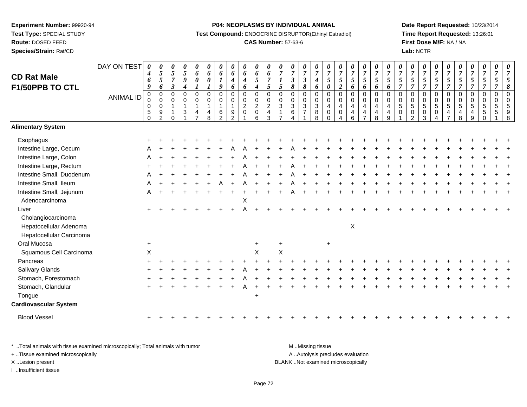**Route:** DOSED FEED

**Species/Strain:** Rat/CD

#### **P04: NEOPLASMS BY INDIVIDUAL ANIMAL**

**Test Compound:** ENDOCRINE DISRUPTOR(Ethinyl Estradiol)

### **CAS Number:** 57-63-6

**Date Report Requested:** 10/23/2014**Time Report Requested:** 13:26:01**First Dose M/F:** NA / NA**Lab:** NCTR

| <b>CD Rat Male</b><br><b>F1/50PPB TO CTL</b>                             | DAY ON TEST      | 0<br>$\boldsymbol{4}$<br>6<br>$\boldsymbol{9}$                          | 0<br>$5\overline{)}$<br>5<br>6                         | 0<br>$5\overline{)}$<br>$\overline{7}$<br>$\mathfrak{z}$ | $\pmb{\theta}$<br>5<br>9<br>$\boldsymbol{4}$ | 0<br>6<br>0                                         | 0<br>$\pmb{6}$<br>$\boldsymbol{\theta}$<br>$\boldsymbol{\mathit{1}}$ | 0<br>6<br>$\boldsymbol{l}$<br>$\boldsymbol{9}$                  | 0<br>6<br>$\boldsymbol{4}$<br>6                       | 0<br>6<br>$\boldsymbol{4}$<br>6                             | 0<br>6<br>$\sqrt{5}$<br>$\boldsymbol{4}$                       | 0<br>$\pmb{6}$<br>$\overline{7}$<br>$5\overline{)}$                        | 0<br>$\overline{7}$<br>$\boldsymbol{l}$<br>$\overline{5}$      | $\boldsymbol{\theta}$<br>$\overline{7}$<br>$\boldsymbol{\beta}$<br>$\boldsymbol{\delta}$ | $\frac{\boldsymbol{\theta}}{\boldsymbol{7}}$<br>$\mathfrak{z}$<br>$\boldsymbol{\delta}$ | $\frac{\theta}{7}$<br>$\boldsymbol{4}$<br>6                | $\frac{\boldsymbol{0}}{7}$<br>5<br>$\pmb{\theta}$             | $\boldsymbol{\theta}$<br>$\overline{7}$<br>$\sqrt{5}$<br>$\overline{2}$ | $\frac{\boldsymbol{0}}{7}$<br>$\sqrt{5}$<br>6        | $\boldsymbol{\theta}$<br>$\boldsymbol{7}$<br>$\sqrt{5}$<br>6         | $\frac{\theta}{7}$<br>5<br>6                                                          | $\begin{array}{c} \boldsymbol{\mathit{0}} \\ \boldsymbol{\mathit{7}} \end{array}$<br>5<br>6 | 0<br>$\boldsymbol{7}$<br>5<br>$\overline{7}$ | $\boldsymbol{\theta}$<br>$\overline{7}$<br>5<br>$\overline{7}$ | 0<br>$\boldsymbol{7}$<br>$\sqrt{5}$<br>$\overline{7}$ | $\frac{\theta}{7}$<br>$\mathfrak{s}$<br>$\overline{7}$               | 0<br>$\overline{7}$<br>$\sqrt{5}$<br>$\overline{7}$       | 0<br>$\overline{7}$<br>$\sqrt{5}$<br>$\overline{7}$ | $\frac{\boldsymbol{0}}{7}$<br>5<br>$\overline{7}$              | 0<br>$\boldsymbol{7}$<br>$\sqrt{5}$<br>$\overline{7}$            | 0<br>$\boldsymbol{7}$<br>$\sqrt{5}$<br>$\overline{7}$ | $\boldsymbol{\theta}$<br>$\overline{7}$<br>5<br>8 |
|--------------------------------------------------------------------------|------------------|-------------------------------------------------------------------------|--------------------------------------------------------|----------------------------------------------------------|----------------------------------------------|-----------------------------------------------------|----------------------------------------------------------------------|-----------------------------------------------------------------|-------------------------------------------------------|-------------------------------------------------------------|----------------------------------------------------------------|----------------------------------------------------------------------------|----------------------------------------------------------------|------------------------------------------------------------------------------------------|-----------------------------------------------------------------------------------------|------------------------------------------------------------|---------------------------------------------------------------|-------------------------------------------------------------------------|------------------------------------------------------|----------------------------------------------------------------------|---------------------------------------------------------------------------------------|---------------------------------------------------------------------------------------------|----------------------------------------------|----------------------------------------------------------------|-------------------------------------------------------|----------------------------------------------------------------------|-----------------------------------------------------------|-----------------------------------------------------|----------------------------------------------------------------|------------------------------------------------------------------|-------------------------------------------------------|---------------------------------------------------|
|                                                                          | <b>ANIMAL ID</b> | $\mathbf 0$<br>$\boldsymbol{0}$<br>$\pmb{0}$<br>$\,$ 5 $\,$<br>$\Omega$ | $\mathbf 0$<br>$\mathbf 0$<br>0<br>9<br>$\overline{2}$ | $\Omega$<br>$\mathbf 0$<br>1<br>$\Omega$                 | $\mathbf 0$<br>0<br>$\mathbf{1}$<br>3        | $\Omega$<br>$\mathbf 0$<br>1<br>4<br>$\overline{ }$ | $\mathbf 0$<br>$\pmb{0}$<br>$\mathbf{1}$<br>4<br>8                   | $\mathbf 0$<br>$\pmb{0}$<br>$\mathbf{1}$<br>6<br>$\overline{2}$ | $\mathbf 0$<br>$\mathbf 0$<br>1<br>9<br>$\mathcal{P}$ | $\mathbf 0$<br>$\mathbf 0$<br>$\overline{c}$<br>$\mathbf 0$ | $\mathbf 0$<br>$\mathbf 0$<br>$\overline{2}$<br>$\pmb{0}$<br>6 | $\mathbf 0$<br>$\pmb{0}$<br>$\overline{c}$<br>$\overline{\mathbf{4}}$<br>3 | $\mathbf 0$<br>$\mathbf 0$<br>$\overline{3}$<br>$\overline{7}$ | $\mathbf 0$<br>$\pmb{0}$<br>$\sqrt{3}$<br>$\,6\,$<br>$\Delta$                            | $\mathbf 0$<br>$\mathbf 0$<br>$\sqrt{3}$<br>$\overline{7}$                              | $\mathbf 0$<br>$\pmb{0}$<br>$\overline{3}$<br>$\bf 8$<br>8 | $\mathbf 0$<br>$\pmb{0}$<br>4<br>$\boldsymbol{0}$<br>$\Omega$ | $\mathbf 0$<br>0<br>$\overline{4}$<br>0<br>$\boldsymbol{\Lambda}$       | $\mathbf 0$<br>$\pmb{0}$<br>4<br>$\overline{4}$<br>6 | 0<br>$\mathsf{O}\xspace$<br>$\overline{\mathbf{4}}$<br>$\frac{4}{7}$ | $\mathbf 0$<br>$\mathbf 0$<br>$\overline{4}$<br>$\begin{array}{c} 4 \\ 8 \end{array}$ | $\Omega$<br>0<br>4<br>4<br>9                                                                | 0<br>0<br>$\overline{5}$<br>$\mathbf 0$      | $\Omega$<br>0<br>$\sqrt{5}$<br>$\,0\,$<br>2                    | $\mathbf 0$<br>$\mathbf 0$<br>$5\,$<br>$_{3}^{\rm 0}$ | $\Omega$<br>$\mathbf 0$<br>$\sqrt{5}$<br>$\pmb{0}$<br>$\overline{A}$ | $\mathbf 0$<br>$\mathbf 0$<br>$\sqrt{5}$<br>$\frac{4}{7}$ | $\Omega$<br>$\mathbf 0$<br>5<br>4<br>8              | $\mathbf 0$<br>0<br>5<br>$\begin{array}{c} 4 \\ 9 \end{array}$ | 0<br>$\mathbf 0$<br>$\overline{5}$<br>$\,$ 5 $\,$<br>$\mathbf 0$ | $\mathbf 0$<br>$\pmb{0}$<br>$\,$ 5 $\,$<br>$\sqrt{5}$ | $\Omega$<br>9<br>$\mathsf{R}$                     |
| <b>Alimentary System</b>                                                 |                  |                                                                         |                                                        |                                                          |                                              |                                                     |                                                                      |                                                                 |                                                       |                                                             |                                                                |                                                                            |                                                                |                                                                                          |                                                                                         |                                                            |                                                               |                                                                         |                                                      |                                                                      |                                                                                       |                                                                                             |                                              |                                                                |                                                       |                                                                      |                                                           |                                                     |                                                                |                                                                  |                                                       |                                                   |
| Esophagus                                                                |                  |                                                                         |                                                        |                                                          |                                              |                                                     |                                                                      |                                                                 |                                                       |                                                             |                                                                |                                                                            |                                                                |                                                                                          |                                                                                         |                                                            |                                                               |                                                                         |                                                      |                                                                      |                                                                                       |                                                                                             |                                              |                                                                |                                                       |                                                                      |                                                           |                                                     |                                                                |                                                                  |                                                       |                                                   |
| Intestine Large, Cecum                                                   |                  |                                                                         |                                                        |                                                          |                                              |                                                     |                                                                      |                                                                 |                                                       |                                                             |                                                                |                                                                            |                                                                |                                                                                          |                                                                                         |                                                            |                                                               |                                                                         |                                                      |                                                                      |                                                                                       |                                                                                             |                                              |                                                                |                                                       |                                                                      |                                                           |                                                     |                                                                |                                                                  |                                                       |                                                   |
| Intestine Large, Colon                                                   |                  |                                                                         |                                                        |                                                          |                                              |                                                     |                                                                      |                                                                 |                                                       |                                                             |                                                                |                                                                            |                                                                |                                                                                          |                                                                                         |                                                            |                                                               |                                                                         |                                                      |                                                                      |                                                                                       |                                                                                             |                                              |                                                                |                                                       |                                                                      |                                                           |                                                     |                                                                |                                                                  |                                                       |                                                   |
| Intestine Large, Rectum                                                  |                  |                                                                         |                                                        |                                                          |                                              |                                                     |                                                                      |                                                                 |                                                       |                                                             |                                                                |                                                                            |                                                                |                                                                                          |                                                                                         |                                                            |                                                               |                                                                         |                                                      |                                                                      |                                                                                       |                                                                                             |                                              |                                                                |                                                       |                                                                      |                                                           |                                                     |                                                                |                                                                  |                                                       |                                                   |
| Intestine Small, Duodenum                                                |                  |                                                                         |                                                        |                                                          |                                              |                                                     |                                                                      |                                                                 |                                                       |                                                             |                                                                |                                                                            |                                                                |                                                                                          |                                                                                         |                                                            |                                                               |                                                                         |                                                      |                                                                      |                                                                                       |                                                                                             |                                              |                                                                |                                                       |                                                                      |                                                           |                                                     |                                                                |                                                                  |                                                       |                                                   |
| Intestine Small, Ileum                                                   |                  |                                                                         |                                                        |                                                          |                                              |                                                     |                                                                      |                                                                 |                                                       |                                                             |                                                                |                                                                            |                                                                |                                                                                          |                                                                                         |                                                            |                                                               |                                                                         |                                                      |                                                                      |                                                                                       |                                                                                             |                                              |                                                                |                                                       |                                                                      |                                                           |                                                     |                                                                |                                                                  |                                                       |                                                   |
| Intestine Small, Jejunum<br>Adenocarcinoma                               |                  | A                                                                       |                                                        |                                                          |                                              |                                                     |                                                                      |                                                                 |                                                       | Χ                                                           |                                                                |                                                                            |                                                                |                                                                                          |                                                                                         |                                                            |                                                               |                                                                         |                                                      |                                                                      |                                                                                       |                                                                                             |                                              |                                                                |                                                       |                                                                      |                                                           |                                                     |                                                                |                                                                  |                                                       |                                                   |
| Liver                                                                    |                  |                                                                         |                                                        |                                                          |                                              |                                                     |                                                                      |                                                                 |                                                       |                                                             |                                                                |                                                                            |                                                                |                                                                                          |                                                                                         |                                                            |                                                               |                                                                         |                                                      |                                                                      |                                                                                       |                                                                                             |                                              |                                                                |                                                       |                                                                      |                                                           |                                                     |                                                                |                                                                  |                                                       |                                                   |
| Cholangiocarcinoma<br>Hepatocellular Adenoma<br>Hepatocellular Carcinoma |                  |                                                                         |                                                        |                                                          |                                              |                                                     |                                                                      |                                                                 |                                                       |                                                             |                                                                |                                                                            |                                                                |                                                                                          |                                                                                         |                                                            |                                                               |                                                                         | X                                                    |                                                                      |                                                                                       |                                                                                             |                                              |                                                                |                                                       |                                                                      |                                                           |                                                     |                                                                |                                                                  |                                                       |                                                   |
| Oral Mucosa                                                              |                  | $\ddot{}$                                                               |                                                        |                                                          |                                              |                                                     |                                                                      |                                                                 |                                                       |                                                             | $\ddot{}$                                                      |                                                                            | $\ddot{}$                                                      |                                                                                          |                                                                                         |                                                            | $\ddot{}$                                                     |                                                                         |                                                      |                                                                      |                                                                                       |                                                                                             |                                              |                                                                |                                                       |                                                                      |                                                           |                                                     |                                                                |                                                                  |                                                       |                                                   |
| Squamous Cell Carcinoma                                                  |                  | X                                                                       |                                                        |                                                          |                                              |                                                     |                                                                      |                                                                 |                                                       |                                                             | X                                                              |                                                                            | $\mathsf X$                                                    |                                                                                          |                                                                                         |                                                            |                                                               |                                                                         |                                                      |                                                                      |                                                                                       |                                                                                             |                                              |                                                                |                                                       |                                                                      |                                                           |                                                     |                                                                |                                                                  |                                                       |                                                   |
| Pancreas                                                                 |                  |                                                                         |                                                        |                                                          |                                              |                                                     |                                                                      |                                                                 |                                                       |                                                             |                                                                |                                                                            |                                                                |                                                                                          |                                                                                         |                                                            |                                                               |                                                                         |                                                      |                                                                      |                                                                                       |                                                                                             |                                              |                                                                |                                                       |                                                                      |                                                           |                                                     |                                                                |                                                                  |                                                       |                                                   |
| <b>Salivary Glands</b>                                                   |                  |                                                                         |                                                        |                                                          |                                              |                                                     |                                                                      |                                                                 |                                                       |                                                             |                                                                |                                                                            |                                                                |                                                                                          |                                                                                         |                                                            |                                                               |                                                                         |                                                      |                                                                      |                                                                                       |                                                                                             |                                              |                                                                |                                                       |                                                                      |                                                           |                                                     |                                                                |                                                                  |                                                       |                                                   |
| Stomach, Forestomach                                                     |                  |                                                                         |                                                        |                                                          |                                              |                                                     |                                                                      |                                                                 |                                                       |                                                             |                                                                |                                                                            |                                                                |                                                                                          |                                                                                         |                                                            |                                                               |                                                                         |                                                      |                                                                      |                                                                                       |                                                                                             |                                              |                                                                |                                                       |                                                                      |                                                           |                                                     |                                                                |                                                                  |                                                       |                                                   |
| Stomach, Glandular                                                       |                  |                                                                         |                                                        |                                                          |                                              |                                                     |                                                                      |                                                                 |                                                       |                                                             |                                                                |                                                                            |                                                                |                                                                                          |                                                                                         |                                                            |                                                               |                                                                         |                                                      |                                                                      |                                                                                       |                                                                                             |                                              |                                                                |                                                       |                                                                      |                                                           |                                                     |                                                                |                                                                  |                                                       |                                                   |
| Tongue                                                                   |                  |                                                                         |                                                        |                                                          |                                              |                                                     |                                                                      |                                                                 |                                                       |                                                             | $\div$                                                         |                                                                            |                                                                |                                                                                          |                                                                                         |                                                            |                                                               |                                                                         |                                                      |                                                                      |                                                                                       |                                                                                             |                                              |                                                                |                                                       |                                                                      |                                                           |                                                     |                                                                |                                                                  |                                                       |                                                   |
| <b>Cardiovascular System</b>                                             |                  |                                                                         |                                                        |                                                          |                                              |                                                     |                                                                      |                                                                 |                                                       |                                                             |                                                                |                                                                            |                                                                |                                                                                          |                                                                                         |                                                            |                                                               |                                                                         |                                                      |                                                                      |                                                                                       |                                                                                             |                                              |                                                                |                                                       |                                                                      |                                                           |                                                     |                                                                |                                                                  |                                                       |                                                   |
| <b>Blood Vessel</b>                                                      |                  |                                                                         |                                                        |                                                          |                                              |                                                     |                                                                      |                                                                 |                                                       |                                                             |                                                                |                                                                            |                                                                |                                                                                          |                                                                                         |                                                            |                                                               |                                                                         |                                                      |                                                                      |                                                                                       |                                                                                             |                                              |                                                                |                                                       |                                                                      |                                                           |                                                     |                                                                |                                                                  |                                                       |                                                   |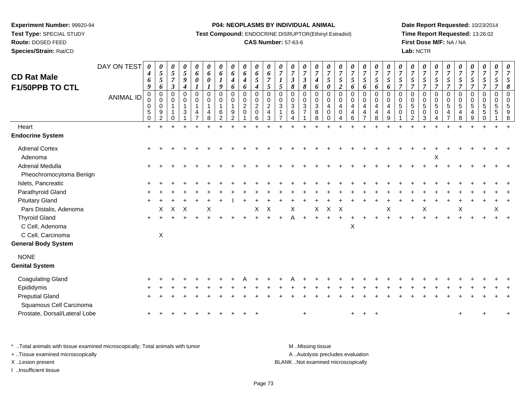**Test Type:** SPECIAL STUDY

# **Route:** DOSED FEED

**Species/Strain:** Rat/CD

#### **P04: NEOPLASMS BY INDIVIDUAL ANIMAL**

**Test Compound:** ENDOCRINE DISRUPTOR(Ethinyl Estradiol)

## **CAS Number:** 57-63-6

**Date Report Requested:** 10/23/2014**Time Report Requested:** 13:26:02**First Dose M/F:** NA / NA**Lab:** NCTR

| <b>CD Rat Male</b>                         | DAY ON TEST      | 0<br>$\boldsymbol{4}$<br>6                                        | 0<br>5<br>5                                                             | 0<br>$\mathfrak{z}$<br>$\overline{7}$       | 0<br>5<br>9                            | 0<br>6<br>$\boldsymbol{\theta}$ | 0<br>$\boldsymbol{6}$<br>$\boldsymbol{\theta}$    | 0<br>6<br>$\boldsymbol{l}$                           | 0<br>6<br>$\boldsymbol{4}$                                                | 0<br>6<br>$\boldsymbol{4}$                | 0<br>$\boldsymbol{6}$<br>5                                                             | 0<br>$\boldsymbol{6}$<br>$\overline{7}$                        | $\overline{7}$<br>$\boldsymbol{l}$                   | $\boldsymbol{\theta}$<br>$\overline{7}$<br>$\mathfrak{z}$                       | $\frac{\theta}{7}$<br>$\mathfrak{z}$                                         | 0<br>$\overline{7}$<br>$\boldsymbol{4}$                          | $\boldsymbol{\theta}$<br>$\overline{7}$<br>$\sqrt{5}$                     | 0<br>$\overline{7}$<br>$\mathfrak{s}$                               | $\frac{\boldsymbol{0}}{7}$<br>5                | $\frac{\boldsymbol{\theta}}{\boldsymbol{7}}$<br>$\mathfrak{s}$                                 | $\frac{\theta}{7}$<br>5                                  | $\boldsymbol{\theta}$<br>$\overline{7}$<br>5       | $\overline{7}$<br>5<br>$\overline{7}$    | $\frac{\boldsymbol{0}}{7}$<br>$\sqrt{5}$                                              | 0<br>$\overline{7}$<br>5                                                  | $\boldsymbol{\theta}$<br>$\overline{7}$<br>5   | $\overline{7}$<br>$\sqrt{5}$                                     | $\boldsymbol{\theta}$<br>$\overline{7}$<br>5<br>$\overline{7}$ | 0<br>$\overline{7}$<br>5<br>$\overline{7}$                        | 0<br>$\overline{7}$<br>5<br>$\overline{7}$                                         | 0<br>$\overline{7}$<br>5                  | $\overline{7}$<br>5                      |
|--------------------------------------------|------------------|-------------------------------------------------------------------|-------------------------------------------------------------------------|---------------------------------------------|----------------------------------------|---------------------------------|---------------------------------------------------|------------------------------------------------------|---------------------------------------------------------------------------|-------------------------------------------|----------------------------------------------------------------------------------------|----------------------------------------------------------------|------------------------------------------------------|---------------------------------------------------------------------------------|------------------------------------------------------------------------------|------------------------------------------------------------------|---------------------------------------------------------------------------|---------------------------------------------------------------------|------------------------------------------------|------------------------------------------------------------------------------------------------|----------------------------------------------------------|----------------------------------------------------|------------------------------------------|---------------------------------------------------------------------------------------|---------------------------------------------------------------------------|------------------------------------------------|------------------------------------------------------------------|----------------------------------------------------------------|-------------------------------------------------------------------|------------------------------------------------------------------------------------|-------------------------------------------|------------------------------------------|
| F1/50PPB TO CTL                            | <b>ANIMAL ID</b> | 9<br>$\mathbf 0$<br>$\mathbf 0$<br>0<br>$\sqrt{5}$<br>$\mathbf 0$ | 6<br>$\Omega$<br>$\mathbf 0$<br>0<br>$\boldsymbol{9}$<br>$\overline{2}$ | $\mathfrak{z}$<br>$\Omega$<br>0<br>$\Omega$ | $\boldsymbol{4}$<br>$\Omega$<br>0<br>3 | 0<br>0<br>1<br>4                | $\Omega$<br>$\pmb{0}$<br>$\overline{1}$<br>4<br>8 | $\boldsymbol{9}$<br>0<br>0<br>$\mathbf{1}$<br>6<br>2 | 6<br>$\mathbf 0$<br>$\mathbf 0$<br>$\mathbf{1}$<br>$9\,$<br>$\mathcal{P}$ | 6<br>0<br>0<br>$\overline{c}$<br>$\Omega$ | $\boldsymbol{4}$<br>$\mathbf 0$<br>$\mathsf{O}\xspace$<br>$\overline{c}$<br>$0\over 6$ | 5<br>$\mathbf 0$<br>0<br>$\overline{c}$<br>$\overline{4}$<br>3 | 5<br>$\Omega$<br>0<br>$\mathbf{3}$<br>$\overline{7}$ | $\pmb{8}$<br>$\Omega$<br>$\mathbf 0$<br>$\sqrt{3}$<br>$\,6\,$<br>$\overline{A}$ | 8<br>$\mathbf 0$<br>$\pmb{0}$<br>$\ensuremath{\mathsf{3}}$<br>$\overline{7}$ | 6<br>$\mathbf 0$<br>$\pmb{0}$<br>$\sqrt{3}$<br>$\,8\,$<br>$\bf8$ | $\boldsymbol{\theta}$<br>$\Omega$<br>0<br>4<br>$\mathbf 0$<br>$\mathbf 0$ | $\overline{2}$<br>$\Omega$<br>0<br>4<br>0<br>$\boldsymbol{\Lambda}$ | 6<br>$\mathbf 0$<br>$\mathbf 0$<br>4<br>4<br>6 | 6<br>$\mathbf 0$<br>$\mathbf 0$<br>$\overline{\mathbf{4}}$<br>$\overline{4}$<br>$\overline{7}$ | 6<br>$\Omega$<br>$\mathbf 0$<br>4<br>$\overline{4}$<br>8 | 6<br>$\Omega$<br>0<br>4<br>$\overline{4}$<br>$9\,$ | $\Omega$<br>$\mathbf 0$<br>5<br>$\Omega$ | $\overline{7}$<br>$\Omega$<br>$\pmb{0}$<br>$\,$ 5 $\,$<br>$\pmb{0}$<br>$\overline{c}$ | $\overline{7}$<br>$\Omega$<br>$\pmb{0}$<br>$\sqrt{5}$<br>$\mathbf 0$<br>3 | $\overline{7}$<br>$\Omega$<br>0<br>5<br>0<br>Δ | $\overline{7}$<br>$\Omega$<br>0<br>5<br>$\overline{\mathcal{A}}$ | $\mathbf 0$<br>0<br>$\sqrt{5}$<br>4<br>8                       | $\Omega$<br>$\mathbf 0$<br>$5\phantom{.0}$<br>$\overline{4}$<br>9 | $\Omega$<br>$\mathsf{O}\xspace$<br>$\overline{5}$<br>$\overline{5}$<br>$\mathbf 0$ | $\overline{7}$<br>$\Omega$<br>0<br>5<br>5 | 8<br>$\Omega$<br>$\Omega$<br>5<br>9<br>8 |
| Heart                                      |                  | $+$                                                               | $+$                                                                     |                                             |                                        |                                 |                                                   |                                                      |                                                                           |                                           |                                                                                        |                                                                |                                                      |                                                                                 |                                                                              |                                                                  |                                                                           |                                                                     |                                                |                                                                                                |                                                          |                                                    |                                          |                                                                                       |                                                                           |                                                |                                                                  |                                                                |                                                                   |                                                                                    |                                           |                                          |
| <b>Endocrine System</b>                    |                  |                                                                   |                                                                         |                                             |                                        |                                 |                                                   |                                                      |                                                                           |                                           |                                                                                        |                                                                |                                                      |                                                                                 |                                                                              |                                                                  |                                                                           |                                                                     |                                                |                                                                                                |                                                          |                                                    |                                          |                                                                                       |                                                                           |                                                |                                                                  |                                                                |                                                                   |                                                                                    |                                           |                                          |
| <b>Adrenal Cortex</b><br>Adenoma           |                  |                                                                   |                                                                         |                                             |                                        |                                 |                                                   |                                                      |                                                                           |                                           |                                                                                        |                                                                |                                                      |                                                                                 |                                                                              |                                                                  |                                                                           |                                                                     |                                                |                                                                                                |                                                          |                                                    |                                          |                                                                                       |                                                                           | X                                              |                                                                  |                                                                |                                                                   |                                                                                    |                                           |                                          |
| Adrenal Medulla<br>Pheochromocytoma Benign |                  |                                                                   |                                                                         |                                             |                                        |                                 |                                                   |                                                      |                                                                           |                                           |                                                                                        |                                                                |                                                      |                                                                                 |                                                                              |                                                                  |                                                                           |                                                                     |                                                |                                                                                                |                                                          |                                                    |                                          |                                                                                       |                                                                           |                                                |                                                                  |                                                                |                                                                   |                                                                                    |                                           |                                          |
| Islets, Pancreatic                         |                  |                                                                   |                                                                         |                                             |                                        |                                 |                                                   |                                                      |                                                                           |                                           |                                                                                        |                                                                |                                                      |                                                                                 |                                                                              |                                                                  |                                                                           |                                                                     |                                                |                                                                                                |                                                          |                                                    |                                          |                                                                                       |                                                                           |                                                |                                                                  |                                                                |                                                                   |                                                                                    |                                           |                                          |
| Parathyroid Gland                          |                  |                                                                   |                                                                         |                                             |                                        |                                 |                                                   |                                                      |                                                                           |                                           |                                                                                        |                                                                |                                                      |                                                                                 |                                                                              |                                                                  |                                                                           |                                                                     |                                                |                                                                                                |                                                          |                                                    |                                          |                                                                                       |                                                                           |                                                |                                                                  |                                                                |                                                                   |                                                                                    |                                           |                                          |
| <b>Pituitary Gland</b>                     |                  |                                                                   |                                                                         |                                             |                                        |                                 |                                                   |                                                      |                                                                           |                                           |                                                                                        |                                                                |                                                      |                                                                                 |                                                                              |                                                                  |                                                                           |                                                                     |                                                |                                                                                                |                                                          |                                                    |                                          |                                                                                       |                                                                           |                                                |                                                                  |                                                                |                                                                   |                                                                                    |                                           |                                          |
| Pars Distalis, Adenoma                     |                  |                                                                   | Χ                                                                       | X                                           | $\times$                               |                                 | X                                                 |                                                      |                                                                           |                                           | X                                                                                      | $\boldsymbol{\mathsf{X}}$                                      |                                                      | X                                                                               |                                                                              | X                                                                | $\mathsf{X}$                                                              | $\times$                                                            |                                                |                                                                                                |                                                          | Χ                                                  |                                          |                                                                                       | X                                                                         |                                                |                                                                  | X                                                              |                                                                   |                                                                                    | X                                         |                                          |
| <b>Thyroid Gland</b><br>C Cell, Adenoma    |                  |                                                                   |                                                                         |                                             |                                        |                                 |                                                   |                                                      |                                                                           |                                           |                                                                                        |                                                                |                                                      |                                                                                 |                                                                              |                                                                  |                                                                           |                                                                     | X                                              |                                                                                                |                                                          |                                                    |                                          |                                                                                       |                                                                           |                                                |                                                                  |                                                                |                                                                   |                                                                                    |                                           |                                          |
| C Cell, Carcinoma                          |                  |                                                                   | $\boldsymbol{\mathsf{X}}$                                               |                                             |                                        |                                 |                                                   |                                                      |                                                                           |                                           |                                                                                        |                                                                |                                                      |                                                                                 |                                                                              |                                                                  |                                                                           |                                                                     |                                                |                                                                                                |                                                          |                                                    |                                          |                                                                                       |                                                                           |                                                |                                                                  |                                                                |                                                                   |                                                                                    |                                           |                                          |
| <b>General Body System</b>                 |                  |                                                                   |                                                                         |                                             |                                        |                                 |                                                   |                                                      |                                                                           |                                           |                                                                                        |                                                                |                                                      |                                                                                 |                                                                              |                                                                  |                                                                           |                                                                     |                                                |                                                                                                |                                                          |                                                    |                                          |                                                                                       |                                                                           |                                                |                                                                  |                                                                |                                                                   |                                                                                    |                                           |                                          |
| <b>NONE</b>                                |                  |                                                                   |                                                                         |                                             |                                        |                                 |                                                   |                                                      |                                                                           |                                           |                                                                                        |                                                                |                                                      |                                                                                 |                                                                              |                                                                  |                                                                           |                                                                     |                                                |                                                                                                |                                                          |                                                    |                                          |                                                                                       |                                                                           |                                                |                                                                  |                                                                |                                                                   |                                                                                    |                                           |                                          |
| <b>Genital System</b>                      |                  |                                                                   |                                                                         |                                             |                                        |                                 |                                                   |                                                      |                                                                           |                                           |                                                                                        |                                                                |                                                      |                                                                                 |                                                                              |                                                                  |                                                                           |                                                                     |                                                |                                                                                                |                                                          |                                                    |                                          |                                                                                       |                                                                           |                                                |                                                                  |                                                                |                                                                   |                                                                                    |                                           |                                          |
| <b>Coagulating Gland</b>                   |                  |                                                                   |                                                                         |                                             |                                        |                                 |                                                   |                                                      |                                                                           |                                           |                                                                                        |                                                                |                                                      |                                                                                 |                                                                              |                                                                  |                                                                           |                                                                     |                                                |                                                                                                |                                                          |                                                    |                                          |                                                                                       |                                                                           |                                                |                                                                  |                                                                |                                                                   |                                                                                    |                                           |                                          |
| Epididymis                                 |                  |                                                                   |                                                                         |                                             |                                        |                                 |                                                   |                                                      |                                                                           |                                           |                                                                                        |                                                                |                                                      |                                                                                 |                                                                              |                                                                  |                                                                           |                                                                     |                                                |                                                                                                |                                                          |                                                    |                                          |                                                                                       |                                                                           |                                                |                                                                  |                                                                |                                                                   |                                                                                    |                                           |                                          |
| <b>Preputial Gland</b>                     |                  |                                                                   |                                                                         |                                             |                                        |                                 |                                                   |                                                      |                                                                           |                                           |                                                                                        |                                                                |                                                      |                                                                                 |                                                                              |                                                                  |                                                                           |                                                                     |                                                |                                                                                                |                                                          |                                                    |                                          |                                                                                       |                                                                           |                                                |                                                                  |                                                                |                                                                   |                                                                                    |                                           |                                          |
| Squamous Cell Carcinoma                    |                  |                                                                   |                                                                         |                                             |                                        |                                 |                                                   |                                                      |                                                                           |                                           |                                                                                        |                                                                |                                                      |                                                                                 |                                                                              |                                                                  |                                                                           |                                                                     |                                                |                                                                                                |                                                          |                                                    |                                          |                                                                                       |                                                                           |                                                |                                                                  |                                                                |                                                                   |                                                                                    |                                           |                                          |
| Prostate, Dorsal/Lateral Lobe              |                  |                                                                   |                                                                         |                                             |                                        |                                 |                                                   |                                                      |                                                                           |                                           |                                                                                        |                                                                |                                                      |                                                                                 | $\ddot{}$                                                                    |                                                                  |                                                                           |                                                                     | $+$                                            | $+$                                                                                            | $+$                                                      |                                                    |                                          |                                                                                       |                                                                           |                                                |                                                                  | $\ddot{}$                                                      |                                                                   |                                                                                    |                                           |                                          |

\* ..Total animals with tissue examined microscopically; Total animals with tumor **M** . Missing tissue M ..Missing tissue

+ ..Tissue examined microscopically

I ..Insufficient tissue

A ..Autolysis precludes evaluation

X ..Lesion present BLANK ..Not examined microscopically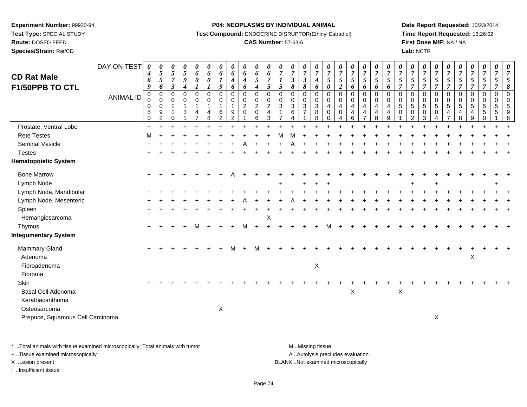**Test Type:** SPECIAL STUDY

**Route:** DOSED FEED**Species/Strain:** Rat/CD

#### **P04: NEOPLASMS BY INDIVIDUAL ANIMAL**

**Test Compound:** ENDOCRINE DISRUPTOR(Ethinyl Estradiol)

## **CAS Number:** 57-63-6

**Date Report Requested:** 10/23/2014**Time Report Requested:** 13:26:02**First Dose M/F:** NA / NA**Lab:** NCTR

| <b>CD Rat Male</b><br>F1/50PPB TO CTL | DAY ON TEST<br>ANIMAL ID | $\boldsymbol{\theta}$<br>$\boldsymbol{4}$<br>6<br>9<br>0<br>$\pmb{0}$<br>$\pmb{0}$<br>$\sqrt{5}$<br>$\mathbf 0$ | $\boldsymbol{\theta}$<br>$\sqrt{5}$<br>$\mathfrak{s}$<br>6<br>$\mathbf 0$<br>$\mathsf{O}\xspace$<br>$\mathbf 0$<br>9<br>$\overline{2}$ | $\pmb{\theta}$<br>$\sqrt{5}$<br>$\overline{7}$<br>$\boldsymbol{\beta}$<br>$\mathbf 0$<br>$\mathbf 0$<br>1<br>1<br>$\Omega$ | $\pmb{\theta}$<br>$\mathfrak{s}$<br>9<br>$\boldsymbol{4}$<br>$\mathbf 0$<br>$\mathbf 0$<br>1<br>3 | 0<br>6<br>$\boldsymbol{\theta}$<br>$\mathbf{I}$<br>$\mathbf 0$<br>$\mathbf 0$<br>$\mathbf{1}$<br>4<br>7 | 0<br>6<br>0<br>0<br>$\mathbf 0$<br>1<br>4<br>8 | 0<br>6<br>$\boldsymbol{l}$<br>$\boldsymbol{g}$<br>0<br>0<br>1<br>6<br>2 | 0<br>6<br>4<br>6<br>$\pmb{0}$<br>$\mathbf 0$<br>9<br>2 | 0<br>6<br>4<br>6<br>0<br>$\mathbf 0$<br>$\overline{2}$<br>$\Omega$ | 0<br>6<br>$\sqrt{5}$<br>$\boldsymbol{4}$<br>$\mathsf 0$<br>$\pmb{0}$<br>$\sqrt{2}$<br>$\mathbf 0$<br>6 | $\boldsymbol{\theta}$<br>$\pmb{6}$<br>$\overline{7}$<br>$\mathfrak{s}$<br>0<br>$\mathbf 0$<br>$\overline{2}$<br>$\overline{4}$<br>3 | 0<br>$\overline{7}$<br>1<br>5<br>$\mathbf 0$<br>$\mathbf 0$<br>3 | $\boldsymbol{\theta}$<br>$\overline{7}$<br>$\boldsymbol{\beta}$<br>$\pmb{8}$<br>$\mathbf 0$<br>$\pmb{0}$<br>$\sqrt{3}$<br>6<br>$\boldsymbol{\Lambda}$ | $\pmb{\theta}$<br>$\overline{7}$<br>$\boldsymbol{\beta}$<br>8<br>$\mathbf 0$<br>$\pmb{0}$<br>$\ensuremath{\mathsf{3}}$<br>$\overline{7}$ | 0<br>$\boldsymbol{7}$<br>$\boldsymbol{4}$<br>6<br>0<br>0<br>3<br>8<br>8 | 0<br>$\overline{7}$<br>$\mathfrak{s}$<br>0<br>0<br>$\mathbf 0$<br>4<br>$\Omega$ | 0<br>$\overline{7}$<br>5<br>$\overline{a}$<br>$\pmb{0}$<br>0<br>4<br>$\Omega$<br>Δ | 0<br>$\overline{7}$<br>$\mathfrak{s}$<br>6<br>0<br>$\mathbf 0$<br>$\overline{4}$<br>$\overline{4}$<br>6 | 0<br>$\overline{7}$<br>$\mathfrak{H}$<br>6<br>$\mathbf 0$<br>$\mathbf 0$<br>4<br>$\overline{4}$<br>$\overline{7}$ | $\boldsymbol{\theta}$<br>$\overline{7}$<br>$\mathfrak{s}$<br>6<br>0<br>0<br>4<br>4<br>8 | $\pmb{\theta}$<br>$\overline{7}$<br>5<br>6<br>$\mathbf 0$<br>$\Omega$<br>4<br>$\overline{4}$<br>9 | $\pmb{\theta}$<br>$\boldsymbol{7}$<br>$\mathfrak{s}$<br>$\overline{7}$<br>$\mathbf 0$<br>$\mathbf 0$<br>$\overline{5}$<br>$\mathbf 0$ | $\pmb{\theta}$<br>$\overline{7}$<br>5<br>$\overline{7}$<br>$\mathbf 0$<br>$\mathbf 0$<br>$\sqrt{5}$<br>$\mathbf 0$<br>2 | 0<br>$\overline{7}$<br>5<br>$\overline{7}$<br>0<br>0<br>5<br>$\Omega$<br>3 | 0<br>$\overline{7}$<br>$\sqrt{5}$<br>$\overline{7}$<br>0<br>0<br>5<br>$\Omega$ | 0<br>$\overline{7}$<br>5<br>$\overline{7}$<br>0<br>$\pmb{0}$<br>5<br>$\overline{4}$ | 0<br>$\overline{7}$<br>$\sqrt{5}$<br>$\overline{7}$<br>0<br>0<br>$\sqrt{5}$<br>$\overline{4}$<br>8 | 0<br>$\overline{7}$<br>$\sqrt{5}$<br>$\overline{7}$<br>$\mathbf 0$<br>$\pmb{0}$<br>$\sqrt{5}$<br>$\overline{4}$<br>9 | $\pmb{\theta}$<br>$\boldsymbol{7}$<br>$\sqrt{5}$<br>$\overline{7}$<br>$\mathbf 0$<br>0<br>$\sqrt{5}$<br>$\sqrt{5}$<br>$\Omega$ | $\pmb{\theta}$<br>$\boldsymbol{7}$<br>$\sqrt{5}$<br>$\overline{7}$<br>0<br>$\mathbf 0$<br>$\,$ 5 $\,$<br>5<br>1 | $\boldsymbol{\theta}$<br>$\overline{7}$<br>5<br>$\pmb{8}$<br>$\mathbf 0$<br>$\pmb{0}$<br>$\overline{5}$<br>$\boldsymbol{9}$<br>$\, 8$ |
|---------------------------------------|--------------------------|-----------------------------------------------------------------------------------------------------------------|----------------------------------------------------------------------------------------------------------------------------------------|----------------------------------------------------------------------------------------------------------------------------|---------------------------------------------------------------------------------------------------|---------------------------------------------------------------------------------------------------------|------------------------------------------------|-------------------------------------------------------------------------|--------------------------------------------------------|--------------------------------------------------------------------|--------------------------------------------------------------------------------------------------------|-------------------------------------------------------------------------------------------------------------------------------------|------------------------------------------------------------------|-------------------------------------------------------------------------------------------------------------------------------------------------------|------------------------------------------------------------------------------------------------------------------------------------------|-------------------------------------------------------------------------|---------------------------------------------------------------------------------|------------------------------------------------------------------------------------|---------------------------------------------------------------------------------------------------------|-------------------------------------------------------------------------------------------------------------------|-----------------------------------------------------------------------------------------|---------------------------------------------------------------------------------------------------|---------------------------------------------------------------------------------------------------------------------------------------|-------------------------------------------------------------------------------------------------------------------------|----------------------------------------------------------------------------|--------------------------------------------------------------------------------|-------------------------------------------------------------------------------------|----------------------------------------------------------------------------------------------------|----------------------------------------------------------------------------------------------------------------------|--------------------------------------------------------------------------------------------------------------------------------|-----------------------------------------------------------------------------------------------------------------|---------------------------------------------------------------------------------------------------------------------------------------|
| Prostate, Ventral Lobe                |                          | $\ddot{}$                                                                                                       |                                                                                                                                        |                                                                                                                            |                                                                                                   |                                                                                                         |                                                |                                                                         |                                                        |                                                                    |                                                                                                        |                                                                                                                                     |                                                                  |                                                                                                                                                       |                                                                                                                                          |                                                                         |                                                                                 |                                                                                    |                                                                                                         |                                                                                                                   |                                                                                         |                                                                                                   |                                                                                                                                       |                                                                                                                         |                                                                            |                                                                                |                                                                                     |                                                                                                    |                                                                                                                      |                                                                                                                                |                                                                                                                 |                                                                                                                                       |
| <b>Rete Testes</b>                    |                          | м                                                                                                               |                                                                                                                                        |                                                                                                                            |                                                                                                   |                                                                                                         |                                                |                                                                         |                                                        |                                                                    |                                                                                                        |                                                                                                                                     | м                                                                | м                                                                                                                                                     |                                                                                                                                          |                                                                         |                                                                                 |                                                                                    |                                                                                                         |                                                                                                                   |                                                                                         |                                                                                                   |                                                                                                                                       |                                                                                                                         |                                                                            |                                                                                |                                                                                     |                                                                                                    |                                                                                                                      |                                                                                                                                |                                                                                                                 |                                                                                                                                       |
| Seminal Vesicle                       |                          |                                                                                                                 |                                                                                                                                        |                                                                                                                            |                                                                                                   |                                                                                                         |                                                |                                                                         |                                                        |                                                                    |                                                                                                        |                                                                                                                                     |                                                                  |                                                                                                                                                       |                                                                                                                                          |                                                                         |                                                                                 |                                                                                    |                                                                                                         |                                                                                                                   |                                                                                         |                                                                                                   |                                                                                                                                       |                                                                                                                         |                                                                            |                                                                                |                                                                                     |                                                                                                    |                                                                                                                      |                                                                                                                                |                                                                                                                 |                                                                                                                                       |
| <b>Testes</b>                         |                          |                                                                                                                 |                                                                                                                                        |                                                                                                                            |                                                                                                   |                                                                                                         |                                                |                                                                         |                                                        |                                                                    |                                                                                                        |                                                                                                                                     |                                                                  |                                                                                                                                                       |                                                                                                                                          |                                                                         |                                                                                 |                                                                                    |                                                                                                         |                                                                                                                   |                                                                                         |                                                                                                   |                                                                                                                                       |                                                                                                                         |                                                                            |                                                                                |                                                                                     |                                                                                                    |                                                                                                                      |                                                                                                                                |                                                                                                                 |                                                                                                                                       |
| <b>Hematopoietic System</b>           |                          |                                                                                                                 |                                                                                                                                        |                                                                                                                            |                                                                                                   |                                                                                                         |                                                |                                                                         |                                                        |                                                                    |                                                                                                        |                                                                                                                                     |                                                                  |                                                                                                                                                       |                                                                                                                                          |                                                                         |                                                                                 |                                                                                    |                                                                                                         |                                                                                                                   |                                                                                         |                                                                                                   |                                                                                                                                       |                                                                                                                         |                                                                            |                                                                                |                                                                                     |                                                                                                    |                                                                                                                      |                                                                                                                                |                                                                                                                 |                                                                                                                                       |
| <b>Bone Marrow</b>                    |                          |                                                                                                                 |                                                                                                                                        |                                                                                                                            |                                                                                                   |                                                                                                         |                                                |                                                                         |                                                        |                                                                    |                                                                                                        |                                                                                                                                     |                                                                  |                                                                                                                                                       |                                                                                                                                          |                                                                         |                                                                                 |                                                                                    |                                                                                                         |                                                                                                                   |                                                                                         |                                                                                                   |                                                                                                                                       |                                                                                                                         |                                                                            |                                                                                |                                                                                     |                                                                                                    |                                                                                                                      |                                                                                                                                |                                                                                                                 |                                                                                                                                       |
| Lymph Node                            |                          |                                                                                                                 |                                                                                                                                        |                                                                                                                            |                                                                                                   |                                                                                                         |                                                |                                                                         |                                                        |                                                                    |                                                                                                        |                                                                                                                                     |                                                                  |                                                                                                                                                       |                                                                                                                                          |                                                                         |                                                                                 |                                                                                    |                                                                                                         |                                                                                                                   |                                                                                         |                                                                                                   |                                                                                                                                       |                                                                                                                         |                                                                            |                                                                                |                                                                                     |                                                                                                    |                                                                                                                      |                                                                                                                                |                                                                                                                 |                                                                                                                                       |
| Lymph Node, Mandibular                |                          |                                                                                                                 |                                                                                                                                        |                                                                                                                            |                                                                                                   |                                                                                                         |                                                |                                                                         |                                                        |                                                                    |                                                                                                        |                                                                                                                                     |                                                                  |                                                                                                                                                       |                                                                                                                                          |                                                                         |                                                                                 |                                                                                    |                                                                                                         |                                                                                                                   |                                                                                         |                                                                                                   |                                                                                                                                       |                                                                                                                         |                                                                            |                                                                                |                                                                                     |                                                                                                    |                                                                                                                      |                                                                                                                                |                                                                                                                 |                                                                                                                                       |
| Lymph Node, Mesenteric                |                          |                                                                                                                 |                                                                                                                                        |                                                                                                                            |                                                                                                   |                                                                                                         |                                                |                                                                         |                                                        |                                                                    |                                                                                                        |                                                                                                                                     |                                                                  |                                                                                                                                                       |                                                                                                                                          |                                                                         |                                                                                 |                                                                                    |                                                                                                         |                                                                                                                   |                                                                                         |                                                                                                   |                                                                                                                                       |                                                                                                                         |                                                                            |                                                                                |                                                                                     |                                                                                                    |                                                                                                                      |                                                                                                                                |                                                                                                                 |                                                                                                                                       |
| Spleen                                |                          |                                                                                                                 |                                                                                                                                        |                                                                                                                            |                                                                                                   |                                                                                                         |                                                |                                                                         |                                                        |                                                                    |                                                                                                        |                                                                                                                                     |                                                                  |                                                                                                                                                       |                                                                                                                                          |                                                                         |                                                                                 |                                                                                    |                                                                                                         |                                                                                                                   |                                                                                         |                                                                                                   |                                                                                                                                       |                                                                                                                         |                                                                            |                                                                                |                                                                                     |                                                                                                    |                                                                                                                      |                                                                                                                                |                                                                                                                 |                                                                                                                                       |
| Hemangiosarcoma                       |                          |                                                                                                                 |                                                                                                                                        |                                                                                                                            |                                                                                                   |                                                                                                         |                                                |                                                                         |                                                        |                                                                    |                                                                                                        | $\mathsf X$                                                                                                                         |                                                                  |                                                                                                                                                       |                                                                                                                                          |                                                                         |                                                                                 |                                                                                    |                                                                                                         |                                                                                                                   |                                                                                         |                                                                                                   |                                                                                                                                       |                                                                                                                         |                                                                            |                                                                                |                                                                                     |                                                                                                    |                                                                                                                      |                                                                                                                                |                                                                                                                 |                                                                                                                                       |
| Thymus                                |                          |                                                                                                                 |                                                                                                                                        |                                                                                                                            |                                                                                                   |                                                                                                         |                                                |                                                                         |                                                        |                                                                    |                                                                                                        |                                                                                                                                     |                                                                  |                                                                                                                                                       |                                                                                                                                          |                                                                         |                                                                                 |                                                                                    |                                                                                                         |                                                                                                                   |                                                                                         |                                                                                                   |                                                                                                                                       |                                                                                                                         |                                                                            |                                                                                |                                                                                     |                                                                                                    |                                                                                                                      |                                                                                                                                |                                                                                                                 |                                                                                                                                       |
| <b>Integumentary System</b>           |                          |                                                                                                                 |                                                                                                                                        |                                                                                                                            |                                                                                                   |                                                                                                         |                                                |                                                                         |                                                        |                                                                    |                                                                                                        |                                                                                                                                     |                                                                  |                                                                                                                                                       |                                                                                                                                          |                                                                         |                                                                                 |                                                                                    |                                                                                                         |                                                                                                                   |                                                                                         |                                                                                                   |                                                                                                                                       |                                                                                                                         |                                                                            |                                                                                |                                                                                     |                                                                                                    |                                                                                                                      |                                                                                                                                |                                                                                                                 |                                                                                                                                       |
| Mammary Gland                         |                          |                                                                                                                 |                                                                                                                                        |                                                                                                                            |                                                                                                   |                                                                                                         |                                                |                                                                         |                                                        |                                                                    |                                                                                                        |                                                                                                                                     |                                                                  |                                                                                                                                                       |                                                                                                                                          |                                                                         |                                                                                 |                                                                                    |                                                                                                         |                                                                                                                   |                                                                                         |                                                                                                   |                                                                                                                                       |                                                                                                                         |                                                                            |                                                                                |                                                                                     |                                                                                                    |                                                                                                                      |                                                                                                                                |                                                                                                                 |                                                                                                                                       |
| Adenoma                               |                          |                                                                                                                 |                                                                                                                                        |                                                                                                                            |                                                                                                   |                                                                                                         |                                                |                                                                         |                                                        |                                                                    |                                                                                                        |                                                                                                                                     |                                                                  |                                                                                                                                                       |                                                                                                                                          |                                                                         |                                                                                 |                                                                                    |                                                                                                         |                                                                                                                   |                                                                                         |                                                                                                   |                                                                                                                                       |                                                                                                                         |                                                                            |                                                                                |                                                                                     |                                                                                                    | X                                                                                                                    |                                                                                                                                |                                                                                                                 |                                                                                                                                       |
| Fibroadenoma                          |                          |                                                                                                                 |                                                                                                                                        |                                                                                                                            |                                                                                                   |                                                                                                         |                                                |                                                                         |                                                        |                                                                    |                                                                                                        |                                                                                                                                     |                                                                  |                                                                                                                                                       |                                                                                                                                          | $\boldsymbol{\mathsf{X}}$                                               |                                                                                 |                                                                                    |                                                                                                         |                                                                                                                   |                                                                                         |                                                                                                   |                                                                                                                                       |                                                                                                                         |                                                                            |                                                                                |                                                                                     |                                                                                                    |                                                                                                                      |                                                                                                                                |                                                                                                                 |                                                                                                                                       |
| Fibroma                               |                          |                                                                                                                 |                                                                                                                                        |                                                                                                                            |                                                                                                   |                                                                                                         |                                                |                                                                         |                                                        |                                                                    |                                                                                                        |                                                                                                                                     |                                                                  |                                                                                                                                                       |                                                                                                                                          |                                                                         |                                                                                 |                                                                                    |                                                                                                         |                                                                                                                   |                                                                                         |                                                                                                   |                                                                                                                                       |                                                                                                                         |                                                                            |                                                                                |                                                                                     |                                                                                                    |                                                                                                                      |                                                                                                                                |                                                                                                                 |                                                                                                                                       |
| Skin                                  |                          |                                                                                                                 |                                                                                                                                        |                                                                                                                            |                                                                                                   |                                                                                                         |                                                |                                                                         |                                                        |                                                                    |                                                                                                        |                                                                                                                                     |                                                                  |                                                                                                                                                       |                                                                                                                                          |                                                                         |                                                                                 |                                                                                    |                                                                                                         |                                                                                                                   |                                                                                         |                                                                                                   |                                                                                                                                       |                                                                                                                         |                                                                            |                                                                                |                                                                                     |                                                                                                    |                                                                                                                      |                                                                                                                                |                                                                                                                 |                                                                                                                                       |
| Basal Cell Adenoma                    |                          |                                                                                                                 |                                                                                                                                        |                                                                                                                            |                                                                                                   |                                                                                                         |                                                |                                                                         |                                                        |                                                                    |                                                                                                        |                                                                                                                                     |                                                                  |                                                                                                                                                       |                                                                                                                                          |                                                                         |                                                                                 |                                                                                    | X                                                                                                       |                                                                                                                   |                                                                                         |                                                                                                   | $\pmb{\times}$                                                                                                                        |                                                                                                                         |                                                                            |                                                                                |                                                                                     |                                                                                                    |                                                                                                                      |                                                                                                                                |                                                                                                                 |                                                                                                                                       |
| Keratoacanthoma                       |                          |                                                                                                                 |                                                                                                                                        |                                                                                                                            |                                                                                                   |                                                                                                         |                                                |                                                                         |                                                        |                                                                    |                                                                                                        |                                                                                                                                     |                                                                  |                                                                                                                                                       |                                                                                                                                          |                                                                         |                                                                                 |                                                                                    |                                                                                                         |                                                                                                                   |                                                                                         |                                                                                                   |                                                                                                                                       |                                                                                                                         |                                                                            |                                                                                |                                                                                     |                                                                                                    |                                                                                                                      |                                                                                                                                |                                                                                                                 |                                                                                                                                       |
| Osteosarcoma                          |                          |                                                                                                                 |                                                                                                                                        |                                                                                                                            |                                                                                                   |                                                                                                         |                                                | $\boldsymbol{\mathsf{X}}$                                               |                                                        |                                                                    |                                                                                                        |                                                                                                                                     |                                                                  |                                                                                                                                                       |                                                                                                                                          |                                                                         |                                                                                 |                                                                                    |                                                                                                         |                                                                                                                   |                                                                                         |                                                                                                   |                                                                                                                                       |                                                                                                                         |                                                                            |                                                                                |                                                                                     |                                                                                                    |                                                                                                                      |                                                                                                                                |                                                                                                                 |                                                                                                                                       |
| Prepuce, Squamous Cell Carcinoma      |                          |                                                                                                                 |                                                                                                                                        |                                                                                                                            |                                                                                                   |                                                                                                         |                                                |                                                                         |                                                        |                                                                    |                                                                                                        |                                                                                                                                     |                                                                  |                                                                                                                                                       |                                                                                                                                          |                                                                         |                                                                                 |                                                                                    |                                                                                                         |                                                                                                                   |                                                                                         |                                                                                                   |                                                                                                                                       |                                                                                                                         |                                                                            | X                                                                              |                                                                                     |                                                                                                    |                                                                                                                      |                                                                                                                                |                                                                                                                 |                                                                                                                                       |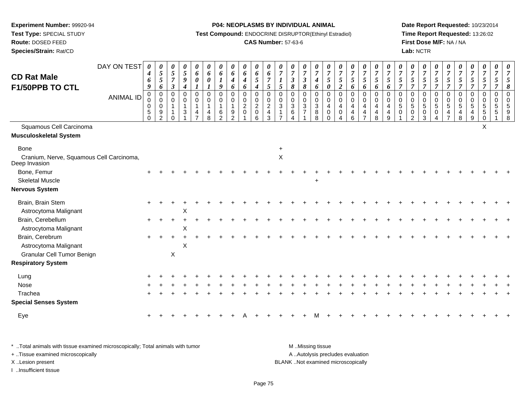**Test Type:** SPECIAL STUDY

**Route:** DOSED FEED

**Species/Strain:** Rat/CD

#### **P04: NEOPLASMS BY INDIVIDUAL ANIMAL**

**Test Compound:** ENDOCRINE DISRUPTOR(Ethinyl Estradiol)

## **CAS Number:** 57-63-6

**Date Report Requested:** 10/23/2014**Time Report Requested:** 13:26:02**First Dose M/F:** NA / NA**Lab:** NCTR

| <b>CD Rat Male</b><br>F1/50PPB TO CTL                     | DAY ON TEST<br><b>ANIMAL ID</b> | $\boldsymbol{\theta}$<br>$\boldsymbol{4}$<br>6<br>9<br>$\Omega$<br>$\mathbf 0$<br>0<br>$\,$ 5 $\,$<br>$\mathbf 0$ | $\boldsymbol{\theta}$<br>$\sqrt{5}$<br>$\sqrt{5}$<br>6<br>$\Omega$<br>0<br>$\mathbf 0$<br>9<br>$\overline{2}$ | 0<br>$\overline{5}$<br>$\overline{7}$<br>$\boldsymbol{\beta}$<br>$\Omega$<br>$\mathbf 0$<br>$\mathbf{1}$<br>1<br>$\Omega$ | 5<br>9<br>$\boldsymbol{4}$<br>$\Omega$<br>$\Omega$<br>1<br>3 | 0<br>6<br>$\boldsymbol{\theta}$<br>$\Omega$<br>0<br>1<br>4<br>$\overline{ }$ | 0<br>6<br>$\boldsymbol{\theta}$<br>$\mathbf{I}$<br>$\Omega$<br>0<br>$\mathbf{1}$<br>4<br>8 | 0<br>6<br>$\boldsymbol{l}$<br>9<br>$\Omega$<br>0<br>$\mathbf{1}$<br>6<br>$\overline{2}$ | $\boldsymbol{\theta}$<br>6<br>$\boldsymbol{4}$<br>6<br>$\Omega$<br>0<br>$\mathbf{1}$<br>$\frac{9}{2}$ | $\boldsymbol{\theta}$<br>6<br>$\boldsymbol{4}$<br>6<br>$\mathbf 0$<br>$\pmb{0}$<br>$\sqrt{2}$<br>$\mathbf 0$ | $\boldsymbol{\theta}$<br>6<br>$\sqrt{5}$<br>$\boldsymbol{4}$<br>$\mathbf 0$<br>$\mathbf 0$<br>$\overline{c}$<br>$\mathbf 0$<br>6 | 0<br>$\boldsymbol{6}$<br>$\overline{7}$<br>$\mathfrak{s}$<br>$\Omega$<br>$\mathbf 0$<br>$\boldsymbol{2}$<br>$\overline{4}$<br>$\mathbf{3}$ | $\boldsymbol{\theta}$<br>$\overline{7}$<br>$\boldsymbol{l}$<br>$5\overline{)}$<br>$\Omega$<br>$\mathbf 0$<br>3<br>$\mathbf{1}$<br>$\overline{7}$ | $\overline{7}$<br>$\mathfrak{z}$<br>8<br>$\Omega$<br>0<br>3<br>6<br>Δ | 0<br>$\overline{7}$<br>$\mathfrak{z}$<br>8<br>$\Omega$<br>$\mathbf 0$<br>3<br>$\overline{7}$ | $\frac{\boldsymbol{0}}{7}$<br>$\boldsymbol{4}$<br>6<br>$\mathbf 0$<br>$\pmb{0}$<br>$\ensuremath{\mathsf{3}}$<br>8<br>$\overline{8}$ | $\frac{\boldsymbol{\theta}}{\boldsymbol{7}}$<br>5<br>$\boldsymbol{\theta}$<br>$\Omega$<br>0<br>4<br>0<br>$\Omega$ | $\overline{7}$<br>$\mathfrak{s}$<br>$\boldsymbol{2}$<br>$\mathbf 0$<br>0<br>$\overline{4}$<br>0<br>$\overline{4}$ | $\overline{7}$<br>$\mathfrak{s}$<br>6<br>$\Omega$<br>$\mathbf 0$<br>4<br>$\overline{4}$<br>6 | U<br>$\overline{7}$<br>5<br>6<br>$\Omega$<br>$\overline{0}$<br>4<br>$\overline{a}$<br>$\overline{z}$ | $\boldsymbol{\theta}$<br>$\overline{7}$<br>5<br>6<br>$\Omega$<br>$\mathbf 0$<br>$\overline{4}$<br>$\overline{4}$<br>8 | U<br>$\overline{7}$<br>$\overline{5}$<br>6<br>$\Omega$<br>$\Omega$<br>4<br>4<br>9 | $\overline{7}$<br>$\overline{5}$<br>$\overline{7}$<br>$\Omega$<br>$\mathbf 0$<br>$\sqrt{5}$<br>$\mathbf 0$ | $\frac{\boldsymbol{0}}{7}$<br>$5\overline{)}$<br>$\overline{7}$<br>$\Omega$<br>0<br>$\sqrt{5}$<br>$\mathbf 0$<br>$\overline{2}$ | $\frac{\boldsymbol{0}}{7}$<br>$\overline{5}$<br>$\overline{7}$<br>$\Omega$<br>$\mathbf 0$<br>$\sqrt{5}$<br>$\pmb{0}$<br>3 | $\frac{\boldsymbol{\theta}}{\boldsymbol{7}}$<br>5<br>$\overline{7}$<br>$\Omega$<br>0<br>$\sqrt{5}$<br>$\mathbf 0$<br>4 | $\overline{7}$<br>$\sqrt{5}$<br>$\overline{7}$<br>$\Omega$<br>0<br>5<br>4 | $\overline{7}$<br>5<br>$\overline{\tau}$<br>$\mathbf 0$<br>0<br>5<br>4<br>8 | U<br>$\overline{7}$<br>$\mathfrak{s}$<br>$\overline{7}$<br>0<br>0<br>$\overline{5}$<br>4<br>$9\,$ | $\boldsymbol{\theta}$<br>$\overline{7}$<br>$\mathfrak{H}$<br>$\overline{7}$<br>$\Omega$<br>$\mathbf 0$<br>$\sqrt{5}$<br>$\sqrt{5}$<br>$\pmb{0}$ | 0<br>$\overline{7}$<br>$\sqrt{5}$<br>$\overline{7}$<br>$\mathbf 0$<br>$\mathbf 0$<br>$\sqrt{5}$<br>5 | 0<br>$\overline{7}$<br>5<br>8<br>$\Omega$<br>$\Omega$<br>5<br>9<br>8 |
|-----------------------------------------------------------|---------------------------------|-------------------------------------------------------------------------------------------------------------------|---------------------------------------------------------------------------------------------------------------|---------------------------------------------------------------------------------------------------------------------------|--------------------------------------------------------------|------------------------------------------------------------------------------|--------------------------------------------------------------------------------------------|-----------------------------------------------------------------------------------------|-------------------------------------------------------------------------------------------------------|--------------------------------------------------------------------------------------------------------------|----------------------------------------------------------------------------------------------------------------------------------|--------------------------------------------------------------------------------------------------------------------------------------------|--------------------------------------------------------------------------------------------------------------------------------------------------|-----------------------------------------------------------------------|----------------------------------------------------------------------------------------------|-------------------------------------------------------------------------------------------------------------------------------------|-------------------------------------------------------------------------------------------------------------------|-------------------------------------------------------------------------------------------------------------------|----------------------------------------------------------------------------------------------|------------------------------------------------------------------------------------------------------|-----------------------------------------------------------------------------------------------------------------------|-----------------------------------------------------------------------------------|------------------------------------------------------------------------------------------------------------|---------------------------------------------------------------------------------------------------------------------------------|---------------------------------------------------------------------------------------------------------------------------|------------------------------------------------------------------------------------------------------------------------|---------------------------------------------------------------------------|-----------------------------------------------------------------------------|---------------------------------------------------------------------------------------------------|-------------------------------------------------------------------------------------------------------------------------------------------------|------------------------------------------------------------------------------------------------------|----------------------------------------------------------------------|
| Squamous Cell Carcinoma                                   |                                 |                                                                                                                   |                                                                                                               |                                                                                                                           |                                                              |                                                                              |                                                                                            |                                                                                         |                                                                                                       |                                                                                                              |                                                                                                                                  |                                                                                                                                            |                                                                                                                                                  |                                                                       |                                                                                              |                                                                                                                                     |                                                                                                                   |                                                                                                                   |                                                                                              |                                                                                                      |                                                                                                                       |                                                                                   |                                                                                                            |                                                                                                                                 |                                                                                                                           |                                                                                                                        |                                                                           |                                                                             |                                                                                                   | X                                                                                                                                               |                                                                                                      |                                                                      |
| <b>Musculoskeletal System</b>                             |                                 |                                                                                                                   |                                                                                                               |                                                                                                                           |                                                              |                                                                              |                                                                                            |                                                                                         |                                                                                                       |                                                                                                              |                                                                                                                                  |                                                                                                                                            |                                                                                                                                                  |                                                                       |                                                                                              |                                                                                                                                     |                                                                                                                   |                                                                                                                   |                                                                                              |                                                                                                      |                                                                                                                       |                                                                                   |                                                                                                            |                                                                                                                                 |                                                                                                                           |                                                                                                                        |                                                                           |                                                                             |                                                                                                   |                                                                                                                                                 |                                                                                                      |                                                                      |
| Bone                                                      |                                 |                                                                                                                   |                                                                                                               |                                                                                                                           |                                                              |                                                                              |                                                                                            |                                                                                         |                                                                                                       |                                                                                                              |                                                                                                                                  |                                                                                                                                            | $\ddot{}$                                                                                                                                        |                                                                       |                                                                                              |                                                                                                                                     |                                                                                                                   |                                                                                                                   |                                                                                              |                                                                                                      |                                                                                                                       |                                                                                   |                                                                                                            |                                                                                                                                 |                                                                                                                           |                                                                                                                        |                                                                           |                                                                             |                                                                                                   |                                                                                                                                                 |                                                                                                      |                                                                      |
| Cranium, Nerve, Squamous Cell Carcinoma,<br>Deep Invasion |                                 |                                                                                                                   |                                                                                                               |                                                                                                                           |                                                              |                                                                              |                                                                                            |                                                                                         |                                                                                                       |                                                                                                              |                                                                                                                                  |                                                                                                                                            | $\mathsf X$                                                                                                                                      |                                                                       |                                                                                              |                                                                                                                                     |                                                                                                                   |                                                                                                                   |                                                                                              |                                                                                                      |                                                                                                                       |                                                                                   |                                                                                                            |                                                                                                                                 |                                                                                                                           |                                                                                                                        |                                                                           |                                                                             |                                                                                                   |                                                                                                                                                 |                                                                                                      |                                                                      |
| Bone, Femur                                               |                                 |                                                                                                                   |                                                                                                               |                                                                                                                           |                                                              |                                                                              |                                                                                            |                                                                                         |                                                                                                       |                                                                                                              |                                                                                                                                  |                                                                                                                                            |                                                                                                                                                  |                                                                       |                                                                                              |                                                                                                                                     |                                                                                                                   |                                                                                                                   |                                                                                              |                                                                                                      |                                                                                                                       |                                                                                   |                                                                                                            |                                                                                                                                 |                                                                                                                           |                                                                                                                        |                                                                           |                                                                             |                                                                                                   |                                                                                                                                                 |                                                                                                      |                                                                      |
| <b>Skeletal Muscle</b>                                    |                                 |                                                                                                                   |                                                                                                               |                                                                                                                           |                                                              |                                                                              |                                                                                            |                                                                                         |                                                                                                       |                                                                                                              |                                                                                                                                  |                                                                                                                                            |                                                                                                                                                  |                                                                       |                                                                                              | $\ddot{}$                                                                                                                           |                                                                                                                   |                                                                                                                   |                                                                                              |                                                                                                      |                                                                                                                       |                                                                                   |                                                                                                            |                                                                                                                                 |                                                                                                                           |                                                                                                                        |                                                                           |                                                                             |                                                                                                   |                                                                                                                                                 |                                                                                                      |                                                                      |
| <b>Nervous System</b>                                     |                                 |                                                                                                                   |                                                                                                               |                                                                                                                           |                                                              |                                                                              |                                                                                            |                                                                                         |                                                                                                       |                                                                                                              |                                                                                                                                  |                                                                                                                                            |                                                                                                                                                  |                                                                       |                                                                                              |                                                                                                                                     |                                                                                                                   |                                                                                                                   |                                                                                              |                                                                                                      |                                                                                                                       |                                                                                   |                                                                                                            |                                                                                                                                 |                                                                                                                           |                                                                                                                        |                                                                           |                                                                             |                                                                                                   |                                                                                                                                                 |                                                                                                      |                                                                      |
| Brain, Brain Stem<br>Astrocytoma Malignant                |                                 |                                                                                                                   |                                                                                                               |                                                                                                                           | X                                                            |                                                                              |                                                                                            |                                                                                         |                                                                                                       |                                                                                                              |                                                                                                                                  |                                                                                                                                            |                                                                                                                                                  |                                                                       |                                                                                              |                                                                                                                                     |                                                                                                                   |                                                                                                                   |                                                                                              |                                                                                                      |                                                                                                                       |                                                                                   |                                                                                                            |                                                                                                                                 |                                                                                                                           |                                                                                                                        |                                                                           |                                                                             |                                                                                                   |                                                                                                                                                 |                                                                                                      |                                                                      |
| Brain, Cerebellum<br>Astrocytoma Malignant                |                                 |                                                                                                                   |                                                                                                               |                                                                                                                           | X                                                            |                                                                              |                                                                                            |                                                                                         |                                                                                                       |                                                                                                              |                                                                                                                                  |                                                                                                                                            |                                                                                                                                                  |                                                                       |                                                                                              |                                                                                                                                     |                                                                                                                   |                                                                                                                   |                                                                                              |                                                                                                      |                                                                                                                       |                                                                                   |                                                                                                            |                                                                                                                                 |                                                                                                                           |                                                                                                                        |                                                                           |                                                                             |                                                                                                   |                                                                                                                                                 |                                                                                                      |                                                                      |
| Brain, Cerebrum<br>Astrocytoma Malignant                  |                                 |                                                                                                                   |                                                                                                               |                                                                                                                           | $\times$                                                     |                                                                              |                                                                                            |                                                                                         |                                                                                                       |                                                                                                              |                                                                                                                                  |                                                                                                                                            |                                                                                                                                                  |                                                                       |                                                                                              |                                                                                                                                     |                                                                                                                   |                                                                                                                   |                                                                                              |                                                                                                      |                                                                                                                       |                                                                                   |                                                                                                            |                                                                                                                                 |                                                                                                                           |                                                                                                                        |                                                                           |                                                                             |                                                                                                   |                                                                                                                                                 |                                                                                                      |                                                                      |
| Granular Cell Tumor Benign                                |                                 |                                                                                                                   |                                                                                                               | X                                                                                                                         |                                                              |                                                                              |                                                                                            |                                                                                         |                                                                                                       |                                                                                                              |                                                                                                                                  |                                                                                                                                            |                                                                                                                                                  |                                                                       |                                                                                              |                                                                                                                                     |                                                                                                                   |                                                                                                                   |                                                                                              |                                                                                                      |                                                                                                                       |                                                                                   |                                                                                                            |                                                                                                                                 |                                                                                                                           |                                                                                                                        |                                                                           |                                                                             |                                                                                                   |                                                                                                                                                 |                                                                                                      |                                                                      |
| <b>Respiratory System</b>                                 |                                 |                                                                                                                   |                                                                                                               |                                                                                                                           |                                                              |                                                                              |                                                                                            |                                                                                         |                                                                                                       |                                                                                                              |                                                                                                                                  |                                                                                                                                            |                                                                                                                                                  |                                                                       |                                                                                              |                                                                                                                                     |                                                                                                                   |                                                                                                                   |                                                                                              |                                                                                                      |                                                                                                                       |                                                                                   |                                                                                                            |                                                                                                                                 |                                                                                                                           |                                                                                                                        |                                                                           |                                                                             |                                                                                                   |                                                                                                                                                 |                                                                                                      |                                                                      |
| Lung                                                      |                                 |                                                                                                                   |                                                                                                               |                                                                                                                           |                                                              |                                                                              |                                                                                            |                                                                                         |                                                                                                       |                                                                                                              |                                                                                                                                  |                                                                                                                                            |                                                                                                                                                  |                                                                       |                                                                                              |                                                                                                                                     |                                                                                                                   |                                                                                                                   |                                                                                              |                                                                                                      |                                                                                                                       |                                                                                   |                                                                                                            |                                                                                                                                 |                                                                                                                           |                                                                                                                        |                                                                           |                                                                             |                                                                                                   |                                                                                                                                                 |                                                                                                      |                                                                      |
| Nose                                                      |                                 |                                                                                                                   |                                                                                                               |                                                                                                                           |                                                              |                                                                              |                                                                                            |                                                                                         |                                                                                                       |                                                                                                              |                                                                                                                                  |                                                                                                                                            |                                                                                                                                                  |                                                                       |                                                                                              |                                                                                                                                     |                                                                                                                   |                                                                                                                   |                                                                                              |                                                                                                      |                                                                                                                       |                                                                                   |                                                                                                            |                                                                                                                                 |                                                                                                                           |                                                                                                                        |                                                                           |                                                                             |                                                                                                   |                                                                                                                                                 |                                                                                                      |                                                                      |
| Trachea                                                   |                                 |                                                                                                                   |                                                                                                               |                                                                                                                           |                                                              |                                                                              |                                                                                            |                                                                                         |                                                                                                       |                                                                                                              |                                                                                                                                  |                                                                                                                                            |                                                                                                                                                  |                                                                       |                                                                                              |                                                                                                                                     |                                                                                                                   |                                                                                                                   |                                                                                              |                                                                                                      |                                                                                                                       |                                                                                   |                                                                                                            |                                                                                                                                 |                                                                                                                           |                                                                                                                        |                                                                           |                                                                             |                                                                                                   |                                                                                                                                                 |                                                                                                      |                                                                      |
| <b>Special Senses System</b>                              |                                 |                                                                                                                   |                                                                                                               |                                                                                                                           |                                                              |                                                                              |                                                                                            |                                                                                         |                                                                                                       |                                                                                                              |                                                                                                                                  |                                                                                                                                            |                                                                                                                                                  |                                                                       |                                                                                              |                                                                                                                                     |                                                                                                                   |                                                                                                                   |                                                                                              |                                                                                                      |                                                                                                                       |                                                                                   |                                                                                                            |                                                                                                                                 |                                                                                                                           |                                                                                                                        |                                                                           |                                                                             |                                                                                                   |                                                                                                                                                 |                                                                                                      |                                                                      |
| Eye                                                       |                                 |                                                                                                                   |                                                                                                               |                                                                                                                           |                                                              |                                                                              |                                                                                            |                                                                                         |                                                                                                       |                                                                                                              |                                                                                                                                  |                                                                                                                                            |                                                                                                                                                  |                                                                       |                                                                                              |                                                                                                                                     |                                                                                                                   |                                                                                                                   |                                                                                              |                                                                                                      |                                                                                                                       |                                                                                   |                                                                                                            |                                                                                                                                 |                                                                                                                           |                                                                                                                        |                                                                           |                                                                             |                                                                                                   |                                                                                                                                                 |                                                                                                      |                                                                      |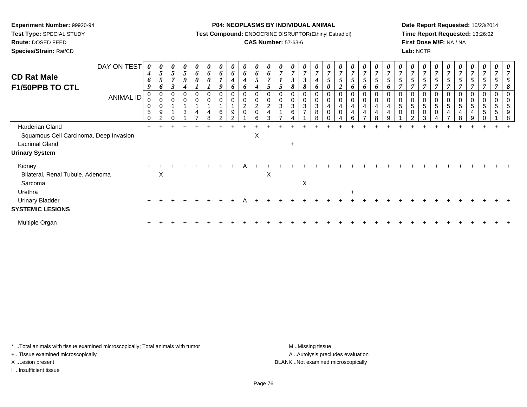**Test Type:** SPECIAL STUDY

## **Route:** DOSED FEED

**Species/Strain:** Rat/CD

#### **P04: NEOPLASMS BY INDIVIDUAL ANIMAL**

**Test Compound:** ENDOCRINE DISRUPTOR(Ethinyl Estradiol)

## **CAS Number:** 57-63-6

**Date Report Requested:** 10/23/2014**Time Report Requested:** 13:26:02**First Dose M/F:** NA / NA**Lab:** NCTR

| <b>CD Rat Male</b><br>F1/50PPB TO CTL                                                                                 | DAY ON TEST<br><b>ANIMAL ID</b> | 0<br>4<br>6<br>9<br>$\mathbf 0$<br>$\mathbf 0$<br>5 | 0<br>$5\overline{)}$<br>5<br>6<br>$\begin{smallmatrix}0\0\0\end{smallmatrix}$<br>$\pmb{0}$<br>9<br>ົ | 0<br>$\sqrt{5}$<br>$\overline{7}$<br>$\boldsymbol{\beta}$<br>$\mathbf 0$ | 0<br>5<br>$\boldsymbol{0}$<br>0<br>3 | $\boldsymbol{\theta}$<br>6<br>0<br>0<br>$\mathbf 0$<br>$\overline{4}$ | 0<br>6<br>$\boldsymbol{\theta}$<br>$\pmb{0}$<br>4<br>8 | 6<br>9<br>$\pmb{0}$<br>6<br>ົ | 6<br>$\boldsymbol{4}$<br>6<br>0<br>$\boldsymbol{0}$<br>1<br>9<br>◠ | $\boldsymbol{\theta}$<br>6<br>4<br>6<br>0<br>$\pmb{0}$<br>$\boldsymbol{2}$<br>0 | $\boldsymbol{\theta}$<br>6<br>$\sqrt{5}$<br>4<br>$\mathbf 0$<br>$\boldsymbol{2}$<br>$\pmb{0}$<br>6 | $\boldsymbol{\theta}$<br>6<br>0<br>$\overline{c}$<br>4<br>વ | 0<br>3 | 0<br>3<br>8<br>0<br>$\mathbf{3}$<br>6 | 0<br>$\overline{7}$<br>$\boldsymbol{\beta}$<br>8<br>$\pmb{0}$<br>$\sqrt{3}$<br>$\overline{ }$ | $\overline{ }$<br>0<br>$\pmb{0}$<br>3<br>8<br>8 | $\overline{ }$<br>5<br>0<br>0<br>$\mathbf 0$<br>0 | $\boldsymbol{\theta}$<br>$\overline{ }$<br>5<br>$\overline{2}$<br>$\pmb{0}$<br>4<br>$\mathbf 0$ | 0<br>$\overline{7}$<br>$\mathfrak{s}$<br>6<br>0<br>0<br>4<br>4<br>6 | 0<br>$\overline{7}$<br>5<br>6<br>$\boldsymbol{0}$<br>$\pmb{0}$<br>$\overline{4}$<br>$\overline{4}$<br>$\overline{ }$ | 0<br>$\overline{7}$<br>5<br>6<br>0<br>$\pmb{0}$<br>4<br>4<br>8 | 6<br>$\mathbf 0$<br>$\Omega$ | $\boldsymbol{\theta}$<br>5 | 0<br>$\overline{7}$<br>5<br>$\mathbf 0$<br>$\sqrt{5}$<br>$\mathbf 0$ | 0<br>$\overline{ }$<br>$\overline{ }$<br>0<br>$\mathsf 0$<br>$\sqrt{5}$<br>0<br>3 | 0<br>$\overline{ }$<br>5<br>$\overline{ }$<br>$\mathbf 0$<br>$\sqrt{5}$<br>$\mathbf 0$ | 0<br>5<br>$\mathbf{r}$<br>0<br>5<br>4 | $\boldsymbol{\theta}$<br>$\overline{ }$<br>5<br>$\overline{ }$<br>0<br>0<br>$\sqrt{5}$<br>4<br>8 | 0<br>$\overline{7}$<br>5<br>$\overline{ }$<br>0<br>$\pmb{0}$<br>$\overline{5}$<br>4<br>9 | 0<br>0<br>5<br>5 | 7<br>$\mathbf 0$<br>5 | $\boldsymbol{\theta}$<br>$\overline{7}$<br>5<br>8<br>0<br>$\pmb{0}$<br>5<br>9<br>8 |
|-----------------------------------------------------------------------------------------------------------------------|---------------------------------|-----------------------------------------------------|------------------------------------------------------------------------------------------------------|--------------------------------------------------------------------------|--------------------------------------|-----------------------------------------------------------------------|--------------------------------------------------------|-------------------------------|--------------------------------------------------------------------|---------------------------------------------------------------------------------|----------------------------------------------------------------------------------------------------|-------------------------------------------------------------|--------|---------------------------------------|-----------------------------------------------------------------------------------------------|-------------------------------------------------|---------------------------------------------------|-------------------------------------------------------------------------------------------------|---------------------------------------------------------------------|----------------------------------------------------------------------------------------------------------------------|----------------------------------------------------------------|------------------------------|----------------------------|----------------------------------------------------------------------|-----------------------------------------------------------------------------------|----------------------------------------------------------------------------------------|---------------------------------------|--------------------------------------------------------------------------------------------------|------------------------------------------------------------------------------------------|------------------|-----------------------|------------------------------------------------------------------------------------|
| Harderian Gland<br>Squamous Cell Carcinoma, Deep Invasion<br><b>Lacrimal Gland</b><br><b>Urinary System</b>           |                                 |                                                     |                                                                                                      |                                                                          |                                      |                                                                       |                                                        |                               |                                                                    |                                                                                 | X                                                                                                  |                                                             |        | $\ddot{}$                             |                                                                                               |                                                 |                                                   |                                                                                                 |                                                                     |                                                                                                                      |                                                                |                              |                            |                                                                      |                                                                                   |                                                                                        |                                       |                                                                                                  |                                                                                          |                  |                       |                                                                                    |
| Kidney<br>Bilateral, Renal Tubule, Adenoma<br>Sarcoma<br>Urethra<br><b>Urinary Bladder</b><br><b>SYSTEMIC LESIONS</b> |                                 | $+$                                                 | X                                                                                                    |                                                                          |                                      |                                                                       |                                                        |                               |                                                                    |                                                                                 |                                                                                                    | $\sf X$                                                     |        |                                       | X                                                                                             |                                                 |                                                   |                                                                                                 | $\ddot{}$                                                           |                                                                                                                      |                                                                |                              |                            |                                                                      |                                                                                   |                                                                                        |                                       |                                                                                                  |                                                                                          |                  |                       |                                                                                    |
| Multiple Organ                                                                                                        |                                 |                                                     |                                                                                                      |                                                                          |                                      |                                                                       |                                                        |                               |                                                                    |                                                                                 |                                                                                                    |                                                             |        |                                       |                                                                                               |                                                 |                                                   |                                                                                                 |                                                                     |                                                                                                                      |                                                                |                              |                            |                                                                      |                                                                                   |                                                                                        |                                       |                                                                                                  |                                                                                          |                  |                       |                                                                                    |

\* ..Total animals with tissue examined microscopically; Total animals with tumor **M** . Missing tissue M ..Missing tissue

+ ..Tissue examined microscopically

I ..Insufficient tissue

A ..Autolysis precludes evaluation X ..Lesion present BLANK ..Not examined microscopically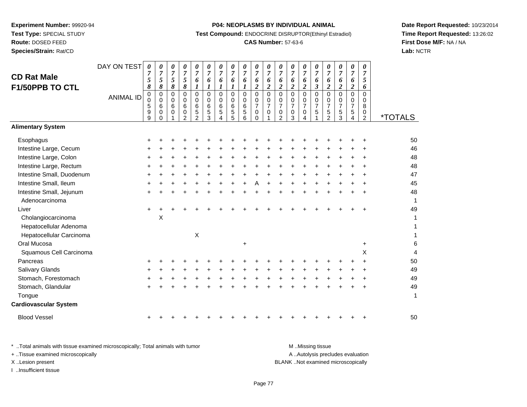**Route:** DOSED FEED

**Species/Strain:** Rat/CD

#### **P04: NEOPLASMS BY INDIVIDUAL ANIMAL**

**Test Compound:** ENDOCRINE DISRUPTOR(Ethinyl Estradiol)

### **CAS Number:** 57-63-6

**Date Report Requested:** 10/23/2014**Time Report Requested:** 13:26:02**First Dose M/F:** NA / NA**Lab:** NCTR

| <b>CD Rat Male</b><br>F1/50PPB TO CTL | DAY ON TEST<br><b>ANIMAL ID</b> | 0<br>$\overline{7}$<br>5<br>8<br>$\mathbf 0$<br>0<br>5<br>$\boldsymbol{9}$<br>9 | $\boldsymbol{\theta}$<br>$\overline{7}$<br>5<br>8<br>$\mathbf 0$<br>0<br>6<br>$\mathbf 0$<br>$\Omega$ | 0<br>$\overline{7}$<br>5<br>8<br>0<br>0<br>6<br>0 | 0<br>$\boldsymbol{7}$<br>$\overline{5}$<br>8<br>$\pmb{0}$<br>$\mathbf 0$<br>$\,6\,$<br>$\pmb{0}$<br>2 | 0<br>$\overline{7}$<br>6<br>$\bm{l}$<br>$\mathbf 0$<br>0<br>6<br>5<br>$\overline{2}$ | $\pmb{\theta}$<br>$\boldsymbol{7}$<br>6<br>1<br>$\mathbf 0$<br>0<br>6<br>$\sqrt{5}$<br>3 | 0<br>$\overline{7}$<br>6<br>1<br>$\mathbf 0$<br>0<br>6<br>5<br>4 | 0<br>$\overline{7}$<br>6<br>$\bm{l}$<br>$\overline{0}$<br>0<br>$\,6$<br>5<br>5 | $\pmb{\theta}$<br>$\overline{7}$<br>6<br>$\boldsymbol{l}$<br>$\mathbf 0$<br>0<br>$\,6\,$<br>$\sqrt{5}$<br>6 | 0<br>$\overline{7}$<br>6<br>$\boldsymbol{2}$<br>$\overline{0}$<br>0<br>$\overline{7}$<br>$\pmb{0}$<br>$\Omega$ | 0<br>$\overline{7}$<br>6<br>$\overline{c}$<br>$\mathbf 0$<br>0<br>$\overline{7}$<br>$\mathbf 0$ | 0<br>$\overline{7}$<br>6<br>$\boldsymbol{2}$<br>$\mathbf 0$<br>0<br>$\boldsymbol{7}$<br>$\mathbf 0$<br>$\overline{2}$ | 0<br>$\overline{7}$<br>6<br>$\overline{c}$<br>$\mathbf 0$<br>0<br>$\overline{7}$<br>$\mathbf 0$<br>3 | 0<br>$\overline{7}$<br>6<br>$\overline{c}$<br>0<br>0<br>$\overline{7}$<br>0 | 0<br>$\boldsymbol{7}$<br>6<br>$\boldsymbol{\beta}$<br>$\mathbf 0$<br>0<br>$\overline{7}$<br>5 | 0<br>$\overline{7}$<br>6<br>$\boldsymbol{2}$<br>$\overline{0}$<br>0<br>$\boldsymbol{7}$<br>$\sqrt{5}$<br>$\overline{2}$ | 0<br>$\overline{7}$<br>6<br>$\boldsymbol{2}$<br>$\mathbf 0$<br>0<br>$\overline{7}$<br>$\sqrt{5}$<br>3 | $\pmb{\theta}$<br>$\overline{7}$<br>6<br>$\boldsymbol{2}$<br>$\mathbf 0$<br>0<br>$\overline{7}$<br>$\sqrt{5}$<br>4 | 0<br>$\overline{7}$<br>5<br>6<br>$\Omega$<br>0<br>8<br>0<br>$\overline{2}$ | <i><b>*TOTALS</b></i> |
|---------------------------------------|---------------------------------|---------------------------------------------------------------------------------|-------------------------------------------------------------------------------------------------------|---------------------------------------------------|-------------------------------------------------------------------------------------------------------|--------------------------------------------------------------------------------------|------------------------------------------------------------------------------------------|------------------------------------------------------------------|--------------------------------------------------------------------------------|-------------------------------------------------------------------------------------------------------------|----------------------------------------------------------------------------------------------------------------|-------------------------------------------------------------------------------------------------|-----------------------------------------------------------------------------------------------------------------------|------------------------------------------------------------------------------------------------------|-----------------------------------------------------------------------------|-----------------------------------------------------------------------------------------------|-------------------------------------------------------------------------------------------------------------------------|-------------------------------------------------------------------------------------------------------|--------------------------------------------------------------------------------------------------------------------|----------------------------------------------------------------------------|-----------------------|
| <b>Alimentary System</b>              |                                 |                                                                                 |                                                                                                       |                                                   |                                                                                                       |                                                                                      |                                                                                          |                                                                  |                                                                                |                                                                                                             |                                                                                                                |                                                                                                 |                                                                                                                       |                                                                                                      |                                                                             |                                                                                               |                                                                                                                         |                                                                                                       |                                                                                                                    |                                                                            |                       |
| Esophagus                             |                                 |                                                                                 |                                                                                                       |                                                   |                                                                                                       |                                                                                      |                                                                                          |                                                                  |                                                                                |                                                                                                             |                                                                                                                |                                                                                                 |                                                                                                                       |                                                                                                      |                                                                             |                                                                                               |                                                                                                                         |                                                                                                       |                                                                                                                    |                                                                            | 50                    |
| Intestine Large, Cecum                |                                 |                                                                                 |                                                                                                       |                                                   |                                                                                                       |                                                                                      |                                                                                          |                                                                  |                                                                                |                                                                                                             |                                                                                                                |                                                                                                 |                                                                                                                       |                                                                                                      |                                                                             |                                                                                               |                                                                                                                         |                                                                                                       |                                                                                                                    |                                                                            | 46                    |
| Intestine Large, Colon                |                                 |                                                                                 |                                                                                                       |                                                   |                                                                                                       |                                                                                      |                                                                                          |                                                                  |                                                                                |                                                                                                             |                                                                                                                |                                                                                                 |                                                                                                                       |                                                                                                      |                                                                             |                                                                                               |                                                                                                                         |                                                                                                       |                                                                                                                    |                                                                            | 48                    |
| Intestine Large, Rectum               |                                 |                                                                                 |                                                                                                       |                                                   |                                                                                                       |                                                                                      |                                                                                          |                                                                  |                                                                                |                                                                                                             |                                                                                                                |                                                                                                 |                                                                                                                       |                                                                                                      |                                                                             |                                                                                               |                                                                                                                         |                                                                                                       |                                                                                                                    |                                                                            | 48                    |
| Intestine Small, Duodenum             |                                 | ÷                                                                               |                                                                                                       |                                                   |                                                                                                       |                                                                                      |                                                                                          |                                                                  |                                                                                |                                                                                                             |                                                                                                                |                                                                                                 |                                                                                                                       |                                                                                                      |                                                                             |                                                                                               |                                                                                                                         |                                                                                                       |                                                                                                                    |                                                                            | 47                    |
| Intestine Small, Ileum                |                                 |                                                                                 |                                                                                                       |                                                   |                                                                                                       |                                                                                      |                                                                                          |                                                                  |                                                                                |                                                                                                             |                                                                                                                |                                                                                                 |                                                                                                                       |                                                                                                      |                                                                             |                                                                                               |                                                                                                                         |                                                                                                       |                                                                                                                    |                                                                            | 45                    |
| Intestine Small, Jejunum              |                                 |                                                                                 |                                                                                                       |                                                   |                                                                                                       |                                                                                      |                                                                                          |                                                                  |                                                                                |                                                                                                             |                                                                                                                |                                                                                                 |                                                                                                                       |                                                                                                      |                                                                             |                                                                                               |                                                                                                                         |                                                                                                       |                                                                                                                    |                                                                            | 48                    |
| Adenocarcinoma                        |                                 |                                                                                 |                                                                                                       |                                                   |                                                                                                       |                                                                                      |                                                                                          |                                                                  |                                                                                |                                                                                                             |                                                                                                                |                                                                                                 |                                                                                                                       |                                                                                                      |                                                                             |                                                                                               |                                                                                                                         |                                                                                                       |                                                                                                                    |                                                                            | $\mathbf{1}$          |
| Liver                                 |                                 |                                                                                 |                                                                                                       |                                                   |                                                                                                       |                                                                                      |                                                                                          |                                                                  |                                                                                |                                                                                                             |                                                                                                                |                                                                                                 |                                                                                                                       |                                                                                                      |                                                                             |                                                                                               |                                                                                                                         |                                                                                                       |                                                                                                                    |                                                                            | 49                    |
| Cholangiocarcinoma                    |                                 |                                                                                 | X                                                                                                     |                                                   |                                                                                                       |                                                                                      |                                                                                          |                                                                  |                                                                                |                                                                                                             |                                                                                                                |                                                                                                 |                                                                                                                       |                                                                                                      |                                                                             |                                                                                               |                                                                                                                         |                                                                                                       |                                                                                                                    |                                                                            | 1                     |
| Hepatocellular Adenoma                |                                 |                                                                                 |                                                                                                       |                                                   |                                                                                                       |                                                                                      |                                                                                          |                                                                  |                                                                                |                                                                                                             |                                                                                                                |                                                                                                 |                                                                                                                       |                                                                                                      |                                                                             |                                                                                               |                                                                                                                         |                                                                                                       |                                                                                                                    |                                                                            | 1                     |
| Hepatocellular Carcinoma              |                                 |                                                                                 |                                                                                                       |                                                   |                                                                                                       | $\pmb{\times}$                                                                       |                                                                                          |                                                                  |                                                                                |                                                                                                             |                                                                                                                |                                                                                                 |                                                                                                                       |                                                                                                      |                                                                             |                                                                                               |                                                                                                                         |                                                                                                       |                                                                                                                    |                                                                            | 1                     |
| Oral Mucosa                           |                                 |                                                                                 |                                                                                                       |                                                   |                                                                                                       |                                                                                      |                                                                                          |                                                                  |                                                                                | $\ddot{}$                                                                                                   |                                                                                                                |                                                                                                 |                                                                                                                       |                                                                                                      |                                                                             |                                                                                               |                                                                                                                         |                                                                                                       |                                                                                                                    | $\ddot{}$                                                                  | $\,6$                 |
| Squamous Cell Carcinoma               |                                 |                                                                                 |                                                                                                       |                                                   |                                                                                                       |                                                                                      |                                                                                          |                                                                  |                                                                                |                                                                                                             |                                                                                                                |                                                                                                 |                                                                                                                       |                                                                                                      |                                                                             |                                                                                               |                                                                                                                         |                                                                                                       |                                                                                                                    | X                                                                          | $\overline{4}$        |
| Pancreas                              |                                 |                                                                                 |                                                                                                       |                                                   |                                                                                                       |                                                                                      |                                                                                          |                                                                  |                                                                                |                                                                                                             |                                                                                                                |                                                                                                 |                                                                                                                       |                                                                                                      |                                                                             |                                                                                               |                                                                                                                         |                                                                                                       |                                                                                                                    |                                                                            | 50                    |
| Salivary Glands                       |                                 |                                                                                 |                                                                                                       |                                                   |                                                                                                       |                                                                                      |                                                                                          |                                                                  |                                                                                |                                                                                                             |                                                                                                                |                                                                                                 |                                                                                                                       |                                                                                                      |                                                                             |                                                                                               |                                                                                                                         |                                                                                                       |                                                                                                                    |                                                                            | 49                    |
| Stomach, Forestomach                  |                                 |                                                                                 |                                                                                                       |                                                   |                                                                                                       |                                                                                      |                                                                                          |                                                                  |                                                                                |                                                                                                             |                                                                                                                |                                                                                                 |                                                                                                                       |                                                                                                      |                                                                             |                                                                                               |                                                                                                                         |                                                                                                       |                                                                                                                    |                                                                            | 49                    |
| Stomach, Glandular                    |                                 |                                                                                 |                                                                                                       |                                                   |                                                                                                       |                                                                                      |                                                                                          |                                                                  |                                                                                |                                                                                                             |                                                                                                                |                                                                                                 |                                                                                                                       |                                                                                                      |                                                                             |                                                                                               |                                                                                                                         |                                                                                                       |                                                                                                                    |                                                                            | 49                    |
| Tongue                                |                                 |                                                                                 |                                                                                                       |                                                   |                                                                                                       |                                                                                      |                                                                                          |                                                                  |                                                                                |                                                                                                             |                                                                                                                |                                                                                                 |                                                                                                                       |                                                                                                      |                                                                             |                                                                                               |                                                                                                                         |                                                                                                       |                                                                                                                    |                                                                            | 1                     |
| <b>Cardiovascular System</b>          |                                 |                                                                                 |                                                                                                       |                                                   |                                                                                                       |                                                                                      |                                                                                          |                                                                  |                                                                                |                                                                                                             |                                                                                                                |                                                                                                 |                                                                                                                       |                                                                                                      |                                                                             |                                                                                               |                                                                                                                         |                                                                                                       |                                                                                                                    |                                                                            |                       |
| <b>Blood Vessel</b>                   |                                 |                                                                                 |                                                                                                       |                                                   |                                                                                                       |                                                                                      |                                                                                          |                                                                  |                                                                                |                                                                                                             |                                                                                                                |                                                                                                 |                                                                                                                       |                                                                                                      |                                                                             |                                                                                               |                                                                                                                         |                                                                                                       |                                                                                                                    |                                                                            | 50                    |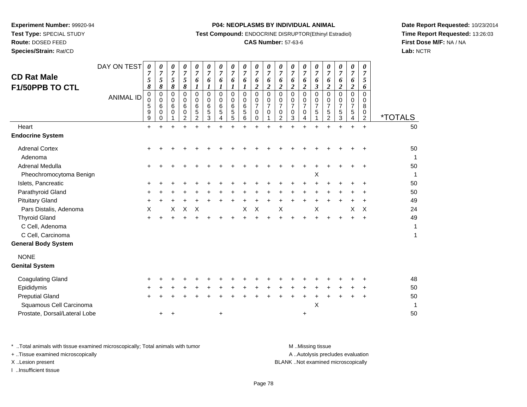**Test Type:** SPECIAL STUDY

**Route:** DOSED FEED

**Species/Strain:** Rat/CD

#### **P04: NEOPLASMS BY INDIVIDUAL ANIMAL**

**Test Compound:** ENDOCRINE DISRUPTOR(Ethinyl Estradiol)

## **CAS Number:** 57-63-6

**Date Report Requested:** 10/23/2014**Time Report Requested:** 13:26:03**First Dose M/F:** NA / NA**Lab:** NCTR

| <b>CD Rat Male</b><br>F1/50PPB TO CTL<br>Heart | DAY ON TEST<br><b>ANIMAL ID</b> | $\pmb{\theta}$<br>7<br>5<br>8<br>$\pmb{0}$<br>$\mathbf 0$<br>5<br>9<br>9<br>$\ddot{}$ | 0<br>$\overline{7}$<br>5<br>8<br>0<br>$\mathbf 0$<br>6<br>0<br>$\Omega$ | 0<br>$\overline{7}$<br>5<br>8<br>0<br>0<br>6<br>$\mathbf 0$ | 0<br>7<br>5<br>8<br>$\Omega$<br>$\Omega$<br>6<br>0<br>$\overline{2}$ | 0<br>7<br>6<br>1<br>$\Omega$<br>0<br>6<br>5<br>$\overline{2}$ | 0<br>7<br>6<br>1<br>$\mathbf 0$<br>0<br>6<br>$\sqrt{5}$<br>3<br>4 | 0<br>$\overline{7}$<br>6<br>1<br>$\Omega$<br>$\mathbf 0$<br>6<br>5<br>4 | 0<br>$\overline{7}$<br>6<br>$\boldsymbol{l}$<br>$\Omega$<br>$\mathbf 0$<br>6<br>$\sqrt{5}$<br>5<br>$\ddot{}$ | 0<br>$\overline{7}$<br>6<br>$\overline{0}$<br>0<br>6<br>$\sqrt{5}$<br>6 | 0<br>7<br>6<br>2<br>0<br>0<br>7<br>0<br>0 | 0<br>$\overline{7}$<br>6<br>$\boldsymbol{2}$<br>$\pmb{0}$<br>0<br>$\overline{7}$<br>0 | 0<br>7<br>6<br>2<br>$\Omega$<br>0<br>$\overline{7}$<br>0<br>2 | 0<br>7<br>6<br>$\boldsymbol{2}$<br>$\Omega$<br>$\Omega$<br>7<br>0<br>3<br>$\ddot{}$ | 0<br>$\overline{7}$<br>6<br>$\boldsymbol{2}$<br>$\mathbf{0}$<br>$\Omega$<br>$\overline{7}$<br>0<br>4 | 0<br>7<br>6<br>3<br>$\mathbf{0}$<br>0<br>$\overline{7}$<br>5 | 0<br>7<br>6<br>$\overline{\mathbf{c}}$<br>$\mathbf 0$<br>0<br>$\overline{7}$<br>5<br>$\overline{2}$<br>÷ | 0<br>7<br>6<br>$\boldsymbol{2}$<br>$\Omega$<br>0<br>$\overline{7}$<br>5<br>3 | $\boldsymbol{\theta}$<br>$\overline{7}$<br>6<br>$\boldsymbol{2}$<br>$\mathbf 0$<br>$\mathbf 0$<br>7<br>5<br>4<br>+ | 0<br>$\overline{7}$<br>5<br>6<br>$\Omega$<br>0<br>8<br>0<br>$\overline{2}$<br>$\ddot{}$ | <i><b>*TOTALS</b></i><br>50 |
|------------------------------------------------|---------------------------------|---------------------------------------------------------------------------------------|-------------------------------------------------------------------------|-------------------------------------------------------------|----------------------------------------------------------------------|---------------------------------------------------------------|-------------------------------------------------------------------|-------------------------------------------------------------------------|--------------------------------------------------------------------------------------------------------------|-------------------------------------------------------------------------|-------------------------------------------|---------------------------------------------------------------------------------------|---------------------------------------------------------------|-------------------------------------------------------------------------------------|------------------------------------------------------------------------------------------------------|--------------------------------------------------------------|----------------------------------------------------------------------------------------------------------|------------------------------------------------------------------------------|--------------------------------------------------------------------------------------------------------------------|-----------------------------------------------------------------------------------------|-----------------------------|
| <b>Endocrine System</b>                        |                                 |                                                                                       |                                                                         |                                                             |                                                                      |                                                               |                                                                   |                                                                         |                                                                                                              |                                                                         |                                           |                                                                                       |                                                               |                                                                                     |                                                                                                      |                                                              |                                                                                                          |                                                                              |                                                                                                                    |                                                                                         |                             |
| <b>Adrenal Cortex</b><br>Adenoma               |                                 |                                                                                       |                                                                         |                                                             |                                                                      |                                                               |                                                                   |                                                                         |                                                                                                              |                                                                         |                                           |                                                                                       |                                                               |                                                                                     |                                                                                                      |                                                              |                                                                                                          |                                                                              |                                                                                                                    |                                                                                         | 50<br>1                     |
| Adrenal Medulla                                |                                 | $\ddot{}$                                                                             |                                                                         |                                                             |                                                                      |                                                               |                                                                   |                                                                         |                                                                                                              |                                                                         |                                           |                                                                                       |                                                               |                                                                                     |                                                                                                      |                                                              |                                                                                                          |                                                                              |                                                                                                                    |                                                                                         | 50                          |
| Pheochromocytoma Benign                        |                                 |                                                                                       |                                                                         |                                                             |                                                                      |                                                               |                                                                   |                                                                         |                                                                                                              |                                                                         |                                           |                                                                                       |                                                               |                                                                                     |                                                                                                      | х                                                            |                                                                                                          |                                                                              |                                                                                                                    |                                                                                         | 1                           |
| Islets, Pancreatic                             |                                 |                                                                                       |                                                                         |                                                             |                                                                      |                                                               |                                                                   |                                                                         |                                                                                                              |                                                                         |                                           |                                                                                       |                                                               |                                                                                     |                                                                                                      |                                                              |                                                                                                          |                                                                              |                                                                                                                    |                                                                                         | 50                          |
| Parathyroid Gland                              |                                 |                                                                                       |                                                                         |                                                             |                                                                      |                                                               |                                                                   |                                                                         |                                                                                                              |                                                                         |                                           |                                                                                       |                                                               |                                                                                     |                                                                                                      |                                                              |                                                                                                          |                                                                              |                                                                                                                    |                                                                                         | 50                          |
| <b>Pituitary Gland</b>                         |                                 |                                                                                       |                                                                         |                                                             |                                                                      |                                                               |                                                                   |                                                                         | +                                                                                                            |                                                                         |                                           |                                                                                       |                                                               | ٠                                                                                   | $\ddot{}$                                                                                            |                                                              |                                                                                                          |                                                                              |                                                                                                                    | +                                                                                       | 49                          |
| Pars Distalis, Adenoma                         |                                 | Х                                                                                     |                                                                         | Χ                                                           | X                                                                    | $\times$                                                      |                                                                   |                                                                         |                                                                                                              | X                                                                       | X                                         |                                                                                       | X                                                             |                                                                                     |                                                                                                      | X                                                            |                                                                                                          |                                                                              | X                                                                                                                  | X                                                                                       | 24                          |
| <b>Thyroid Gland</b>                           |                                 | $\ddot{}$                                                                             |                                                                         |                                                             |                                                                      |                                                               |                                                                   |                                                                         |                                                                                                              |                                                                         |                                           |                                                                                       |                                                               |                                                                                     |                                                                                                      |                                                              |                                                                                                          |                                                                              |                                                                                                                    | $\ddot{}$                                                                               | 49                          |
| C Cell, Adenoma                                |                                 |                                                                                       |                                                                         |                                                             |                                                                      |                                                               |                                                                   |                                                                         |                                                                                                              |                                                                         |                                           |                                                                                       |                                                               |                                                                                     |                                                                                                      |                                                              |                                                                                                          |                                                                              |                                                                                                                    |                                                                                         | 1                           |
| C Cell, Carcinoma                              |                                 |                                                                                       |                                                                         |                                                             |                                                                      |                                                               |                                                                   |                                                                         |                                                                                                              |                                                                         |                                           |                                                                                       |                                                               |                                                                                     |                                                                                                      |                                                              |                                                                                                          |                                                                              |                                                                                                                    |                                                                                         | 1                           |
| <b>General Body System</b>                     |                                 |                                                                                       |                                                                         |                                                             |                                                                      |                                                               |                                                                   |                                                                         |                                                                                                              |                                                                         |                                           |                                                                                       |                                                               |                                                                                     |                                                                                                      |                                                              |                                                                                                          |                                                                              |                                                                                                                    |                                                                                         |                             |
| <b>NONE</b>                                    |                                 |                                                                                       |                                                                         |                                                             |                                                                      |                                                               |                                                                   |                                                                         |                                                                                                              |                                                                         |                                           |                                                                                       |                                                               |                                                                                     |                                                                                                      |                                                              |                                                                                                          |                                                                              |                                                                                                                    |                                                                                         |                             |
| <b>Genital System</b>                          |                                 |                                                                                       |                                                                         |                                                             |                                                                      |                                                               |                                                                   |                                                                         |                                                                                                              |                                                                         |                                           |                                                                                       |                                                               |                                                                                     |                                                                                                      |                                                              |                                                                                                          |                                                                              |                                                                                                                    |                                                                                         |                             |
| <b>Coagulating Gland</b>                       |                                 |                                                                                       |                                                                         |                                                             |                                                                      |                                                               |                                                                   |                                                                         |                                                                                                              |                                                                         |                                           |                                                                                       |                                                               |                                                                                     |                                                                                                      |                                                              |                                                                                                          |                                                                              |                                                                                                                    |                                                                                         | 48                          |
| Epididymis                                     |                                 |                                                                                       |                                                                         |                                                             |                                                                      |                                                               |                                                                   |                                                                         |                                                                                                              |                                                                         |                                           |                                                                                       |                                                               |                                                                                     |                                                                                                      |                                                              |                                                                                                          |                                                                              |                                                                                                                    |                                                                                         | 50                          |
| <b>Preputial Gland</b>                         |                                 | ٠                                                                                     |                                                                         |                                                             |                                                                      |                                                               |                                                                   |                                                                         |                                                                                                              |                                                                         |                                           |                                                                                       |                                                               |                                                                                     |                                                                                                      |                                                              |                                                                                                          |                                                                              |                                                                                                                    |                                                                                         | 50                          |
| Squamous Cell Carcinoma                        |                                 |                                                                                       |                                                                         |                                                             |                                                                      |                                                               |                                                                   |                                                                         |                                                                                                              |                                                                         |                                           |                                                                                       |                                                               |                                                                                     |                                                                                                      | $\boldsymbol{\mathsf{X}}$                                    |                                                                                                          |                                                                              |                                                                                                                    |                                                                                         |                             |
| Prostate, Dorsal/Lateral Lobe                  |                                 |                                                                                       |                                                                         | ÷                                                           |                                                                      |                                                               |                                                                   | +                                                                       |                                                                                                              |                                                                         |                                           |                                                                                       |                                                               |                                                                                     | +                                                                                                    |                                                              |                                                                                                          |                                                                              |                                                                                                                    |                                                                                         | 50                          |
|                                                |                                 |                                                                                       |                                                                         |                                                             |                                                                      |                                                               |                                                                   |                                                                         |                                                                                                              |                                                                         |                                           |                                                                                       |                                                               |                                                                                     |                                                                                                      |                                                              |                                                                                                          |                                                                              |                                                                                                                    |                                                                                         |                             |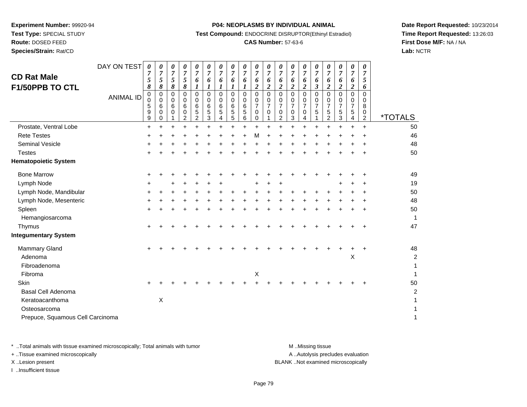**Route:** DOSED FEED

**Species/Strain:** Rat/CD

#### **P04: NEOPLASMS BY INDIVIDUAL ANIMAL**

**Test Compound:** ENDOCRINE DISRUPTOR(Ethinyl Estradiol)

### **CAS Number:** 57-63-6

**Date Report Requested:** 10/23/2014**Time Report Requested:** 13:26:03**First Dose M/F:** NA / NA**Lab:** NCTR

|                                  | DAY ON TEST      | $\pmb{\theta}$                        | 0                               | 0                | 0                                  | 0                                         | 0                            | $\boldsymbol{\theta}$           | 0                               | 0                         | 0                                  | 0                                       | 0                                            | 0                                  | 0                                  | 0                                    | 0                                         | $\pmb{\theta}$                               | $\boldsymbol{\theta}$                        | 0                                         |                       |
|----------------------------------|------------------|---------------------------------------|---------------------------------|------------------|------------------------------------|-------------------------------------------|------------------------------|---------------------------------|---------------------------------|---------------------------|------------------------------------|-----------------------------------------|----------------------------------------------|------------------------------------|------------------------------------|--------------------------------------|-------------------------------------------|----------------------------------------------|----------------------------------------------|-------------------------------------------|-----------------------|
| <b>CD Rat Male</b>               |                  | $\overline{7}$                        | $\overline{7}$                  | $\overline{7}$   | 7                                  | $\overline{7}$                            | $\overline{7}$               | $\overline{7}$                  | $\overline{7}$                  | $\overline{7}$            | 7                                  | $\overline{7}$                          | $\overline{7}$                               | $\overline{7}$                     | $\overline{7}$                     | $\overline{7}$                       | 7                                         | 7                                            | $\overline{7}$                               | $\overline{\mathcal{I}}$                  |                       |
| F1/50PPB TO CTL                  |                  | 5<br>8                                | 5<br>8                          | 5<br>8           | 5<br>8                             | 6<br>1                                    | 6<br>1                       | 6<br>1                          | 6<br>$\boldsymbol{l}$           | 6<br>1                    | 6<br>$\overline{\mathbf{c}}$       | 6<br>$\overline{2}$                     | 6<br>$\boldsymbol{2}$                        | 6<br>$\boldsymbol{2}$              | 6<br>2                             | 6<br>3                               | 6<br>$\boldsymbol{2}$                     | 6<br>$\boldsymbol{2}$                        | 6<br>$\boldsymbol{2}$                        | 5<br>6                                    |                       |
|                                  | <b>ANIMAL ID</b> | $\pmb{0}$<br>$\pmb{0}$<br>5<br>9<br>9 | $\mathbf 0$<br>0<br>6<br>0<br>0 | 0<br>0<br>6<br>0 | 0<br>0<br>6<br>0<br>$\overline{2}$ | $\Omega$<br>0<br>6<br>5<br>$\overline{2}$ | $\Omega$<br>0<br>6<br>5<br>3 | $\mathbf 0$<br>0<br>6<br>5<br>4 | $\mathbf 0$<br>0<br>6<br>5<br>5 | 0<br>0<br>$\,6$<br>5<br>6 | 0<br>0<br>$\overline{7}$<br>0<br>0 | $\mathbf 0$<br>0<br>$\overline{7}$<br>0 | $\mathbf 0$<br>0<br>$\overline{7}$<br>0<br>2 | 0<br>0<br>$\overline{7}$<br>0<br>3 | 0<br>0<br>$\overline{7}$<br>0<br>4 | $\Omega$<br>0<br>$\overline{7}$<br>5 | $\Omega$<br>0<br>$\overline{7}$<br>5<br>2 | $\mathbf 0$<br>0<br>$\overline{7}$<br>5<br>3 | $\mathbf 0$<br>0<br>$\overline{7}$<br>5<br>4 | $\Omega$<br>0<br>8<br>0<br>$\overline{2}$ | <i><b>*TOTALS</b></i> |
| Prostate, Ventral Lobe           |                  | $\ddot{}$                             | ÷                               |                  |                                    |                                           |                              |                                 |                                 | $\ddot{}$                 | $\ddot{}$                          |                                         |                                              |                                    |                                    | ÷                                    |                                           | ÷                                            | $\ddot{}$                                    | $+$                                       | 50                    |
| <b>Rete Testes</b>               |                  |                                       |                                 |                  |                                    |                                           |                              |                                 |                                 |                           | M                                  |                                         |                                              |                                    |                                    |                                      |                                           |                                              |                                              |                                           | 46                    |
| <b>Seminal Vesicle</b>           |                  |                                       |                                 |                  |                                    |                                           |                              |                                 |                                 |                           |                                    |                                         |                                              |                                    |                                    |                                      |                                           |                                              |                                              |                                           | 48                    |
| <b>Testes</b>                    |                  |                                       |                                 |                  |                                    |                                           |                              |                                 |                                 |                           |                                    |                                         |                                              |                                    |                                    |                                      |                                           |                                              |                                              | ÷                                         | 50                    |
| <b>Hematopoietic System</b>      |                  |                                       |                                 |                  |                                    |                                           |                              |                                 |                                 |                           |                                    |                                         |                                              |                                    |                                    |                                      |                                           |                                              |                                              |                                           |                       |
| <b>Bone Marrow</b>               |                  |                                       |                                 |                  |                                    |                                           |                              |                                 |                                 |                           |                                    |                                         |                                              |                                    |                                    |                                      |                                           |                                              |                                              |                                           | 49                    |
| Lymph Node                       |                  |                                       |                                 |                  |                                    |                                           |                              |                                 |                                 |                           |                                    |                                         |                                              |                                    |                                    |                                      |                                           |                                              |                                              |                                           | 19                    |
| Lymph Node, Mandibular           |                  |                                       |                                 |                  |                                    |                                           |                              |                                 |                                 |                           |                                    |                                         |                                              |                                    |                                    |                                      |                                           |                                              |                                              |                                           | 50                    |
| Lymph Node, Mesenteric           |                  |                                       |                                 |                  |                                    |                                           |                              |                                 |                                 |                           |                                    |                                         |                                              |                                    |                                    |                                      |                                           |                                              |                                              |                                           | 48                    |
| Spleen                           |                  | +                                     |                                 |                  |                                    |                                           |                              |                                 |                                 |                           |                                    |                                         |                                              |                                    |                                    |                                      |                                           |                                              |                                              |                                           | 50                    |
| Hemangiosarcoma                  |                  |                                       |                                 |                  |                                    |                                           |                              |                                 |                                 |                           |                                    |                                         |                                              |                                    |                                    |                                      |                                           |                                              |                                              |                                           | $\mathbf 1$           |
| Thymus                           |                  |                                       |                                 |                  |                                    |                                           |                              |                                 |                                 |                           |                                    |                                         |                                              |                                    |                                    |                                      |                                           |                                              |                                              |                                           | 47                    |
| <b>Integumentary System</b>      |                  |                                       |                                 |                  |                                    |                                           |                              |                                 |                                 |                           |                                    |                                         |                                              |                                    |                                    |                                      |                                           |                                              |                                              |                                           |                       |
| <b>Mammary Gland</b>             |                  |                                       |                                 |                  |                                    |                                           |                              |                                 |                                 |                           |                                    |                                         |                                              |                                    |                                    |                                      |                                           |                                              |                                              |                                           | 48                    |
| Adenoma                          |                  |                                       |                                 |                  |                                    |                                           |                              |                                 |                                 |                           |                                    |                                         |                                              |                                    |                                    |                                      |                                           |                                              | X                                            |                                           | $\overline{c}$        |
| Fibroadenoma                     |                  |                                       |                                 |                  |                                    |                                           |                              |                                 |                                 |                           |                                    |                                         |                                              |                                    |                                    |                                      |                                           |                                              |                                              |                                           | 1                     |
| Fibroma                          |                  |                                       |                                 |                  |                                    |                                           |                              |                                 |                                 |                           | X                                  |                                         |                                              |                                    |                                    |                                      |                                           |                                              |                                              |                                           | $\mathbf 1$           |
| Skin                             |                  |                                       |                                 |                  |                                    |                                           |                              |                                 |                                 |                           |                                    |                                         |                                              |                                    |                                    |                                      |                                           |                                              |                                              |                                           | 50                    |
| <b>Basal Cell Adenoma</b>        |                  |                                       |                                 |                  |                                    |                                           |                              |                                 |                                 |                           |                                    |                                         |                                              |                                    |                                    |                                      |                                           |                                              |                                              |                                           | $\overline{2}$        |
| Keratoacanthoma                  |                  |                                       | Χ                               |                  |                                    |                                           |                              |                                 |                                 |                           |                                    |                                         |                                              |                                    |                                    |                                      |                                           |                                              |                                              |                                           | 1                     |
| Osteosarcoma                     |                  |                                       |                                 |                  |                                    |                                           |                              |                                 |                                 |                           |                                    |                                         |                                              |                                    |                                    |                                      |                                           |                                              |                                              |                                           | 1                     |
| Prepuce, Squamous Cell Carcinoma |                  |                                       |                                 |                  |                                    |                                           |                              |                                 |                                 |                           |                                    |                                         |                                              |                                    |                                    |                                      |                                           |                                              |                                              |                                           | 1                     |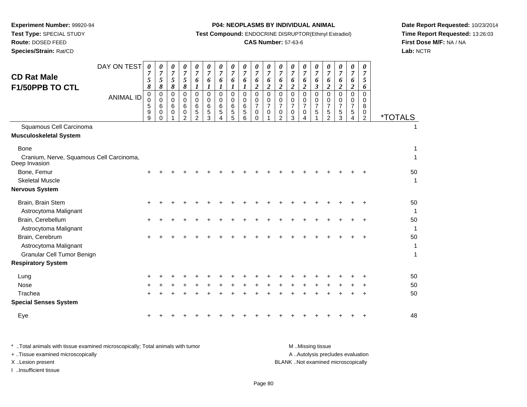**Test Type:** SPECIAL STUDY

**Route:** DOSED FEED

### **Species/Strain:** Rat/CD

## **P04: NEOPLASMS BY INDIVIDUAL ANIMAL**

**Test Compound:** ENDOCRINE DISRUPTOR(Ethinyl Estradiol)

## **CAS Number:** 57-63-6

**Date Report Requested:** 10/23/2014**Time Report Requested:** 13:26:03**First Dose M/F:** NA / NA**Lab:** NCTR

| <b>CD Rat Male</b><br>F1/50PPB TO CTL<br>Squamous Cell Carcinoma | DAY ON TEST<br><b>ANIMAL ID</b> | 0<br>$\overline{7}$<br>5<br>8<br>0<br>0<br>5<br>$\boldsymbol{9}$<br>9 | 0<br>$\overline{7}$<br>5<br>8<br>0<br>$\mathbf 0$<br>6<br>$\mathbf 0$<br>$\Omega$ | 0<br>$\boldsymbol{7}$<br>5<br>8<br>0<br>$\mathbf 0$<br>6<br>$\Omega$ | 0<br>$\overline{7}$<br>5<br>8<br>$\Omega$<br>0<br>6<br>0<br>$\mathcal{P}$ | 0<br>$\overline{7}$<br>6<br>$\bm{l}$<br>$\mathbf 0$<br>$\mathbf 0$<br>6<br>$\sqrt{5}$<br>$\overline{2}$ | 0<br>$\overline{7}$<br>6<br>$\boldsymbol{I}$<br>$\Omega$<br>$\mathbf 0$<br>6<br>5<br>3 | 0<br>$\overline{7}$<br>6<br>1<br>$\mathbf 0$<br>$\mathbf 0$<br>6<br>5<br>4 | 0<br>$\overline{7}$<br>6<br>1<br>$\mathbf 0$<br>0<br>6<br>$\overline{5}$<br>5 | 0<br>$\boldsymbol{7}$<br>6<br>1<br>$\Omega$<br>0<br>6<br>$\sqrt{5}$<br>6 | 0<br>$\overline{7}$<br>6<br>$\boldsymbol{2}$<br>$\Omega$<br>$\mathbf 0$<br>$\overline{7}$<br>$\mathbf 0$<br>$\Omega$ | 0<br>$\overline{7}$<br>6<br>$\overline{2}$<br>$\mathbf 0$<br>$\mathbf 0$<br>$\overline{7}$<br>$\Omega$ | 0<br>$\overline{7}$<br>6<br>$\overline{2}$<br>0<br>0<br>$\overline{7}$<br>$\mathbf 0$<br>$\overline{c}$ | 0<br>$\overline{7}$<br>6<br>$\overline{2}$<br>$\Omega$<br>0<br>$\overline{7}$<br>$\mathbf 0$<br>3 | 0<br>$\boldsymbol{7}$<br>6<br>$\overline{2}$<br>$\mathbf 0$<br>0<br>$\overline{7}$<br>$\mathbf 0$<br>4 | 0<br>$\overline{7}$<br>6<br>$\boldsymbol{\beta}$<br>$\Omega$<br>$\mathbf 0$<br>$\overline{7}$<br>5 | 0<br>$\overline{7}$<br>6<br>$\boldsymbol{2}$<br>$\Omega$<br>0<br>$\overline{7}$<br>5<br>$\overline{2}$ | 0<br>$\boldsymbol{7}$<br>6<br>$\overline{\mathbf{2}}$<br>$\mathbf 0$<br>0<br>$\overline{7}$<br>5<br>3 | 0<br>7<br>6<br>$\overline{2}$<br>$\Omega$<br>0<br>$\overline{7}$<br>5<br>4 | 0<br>$\overline{7}$<br>5<br>6<br>$\mathbf 0$<br>$\mathbf 0$<br>8<br>$\mathbf 0$<br>2 | <i><b>*TOTALS</b></i> |
|------------------------------------------------------------------|---------------------------------|-----------------------------------------------------------------------|-----------------------------------------------------------------------------------|----------------------------------------------------------------------|---------------------------------------------------------------------------|---------------------------------------------------------------------------------------------------------|----------------------------------------------------------------------------------------|----------------------------------------------------------------------------|-------------------------------------------------------------------------------|--------------------------------------------------------------------------|----------------------------------------------------------------------------------------------------------------------|--------------------------------------------------------------------------------------------------------|---------------------------------------------------------------------------------------------------------|---------------------------------------------------------------------------------------------------|--------------------------------------------------------------------------------------------------------|----------------------------------------------------------------------------------------------------|--------------------------------------------------------------------------------------------------------|-------------------------------------------------------------------------------------------------------|----------------------------------------------------------------------------|--------------------------------------------------------------------------------------|-----------------------|
| <b>Musculoskeletal System</b>                                    |                                 |                                                                       |                                                                                   |                                                                      |                                                                           |                                                                                                         |                                                                                        |                                                                            |                                                                               |                                                                          |                                                                                                                      |                                                                                                        |                                                                                                         |                                                                                                   |                                                                                                        |                                                                                                    |                                                                                                        |                                                                                                       |                                                                            |                                                                                      |                       |
| Bone                                                             |                                 |                                                                       |                                                                                   |                                                                      |                                                                           |                                                                                                         |                                                                                        |                                                                            |                                                                               |                                                                          |                                                                                                                      |                                                                                                        |                                                                                                         |                                                                                                   |                                                                                                        |                                                                                                    |                                                                                                        |                                                                                                       |                                                                            |                                                                                      | 1                     |
| Cranium, Nerve, Squamous Cell Carcinoma,<br>Deep Invasion        |                                 |                                                                       |                                                                                   |                                                                      |                                                                           |                                                                                                         |                                                                                        |                                                                            |                                                                               |                                                                          |                                                                                                                      |                                                                                                        |                                                                                                         |                                                                                                   |                                                                                                        |                                                                                                    |                                                                                                        |                                                                                                       |                                                                            |                                                                                      | 1                     |
| Bone, Femur                                                      |                                 |                                                                       |                                                                                   |                                                                      |                                                                           |                                                                                                         |                                                                                        |                                                                            |                                                                               |                                                                          |                                                                                                                      |                                                                                                        |                                                                                                         |                                                                                                   |                                                                                                        |                                                                                                    |                                                                                                        |                                                                                                       |                                                                            |                                                                                      | 50                    |
| <b>Skeletal Muscle</b>                                           |                                 |                                                                       |                                                                                   |                                                                      |                                                                           |                                                                                                         |                                                                                        |                                                                            |                                                                               |                                                                          |                                                                                                                      |                                                                                                        |                                                                                                         |                                                                                                   |                                                                                                        |                                                                                                    |                                                                                                        |                                                                                                       |                                                                            |                                                                                      | 1                     |
| <b>Nervous System</b>                                            |                                 |                                                                       |                                                                                   |                                                                      |                                                                           |                                                                                                         |                                                                                        |                                                                            |                                                                               |                                                                          |                                                                                                                      |                                                                                                        |                                                                                                         |                                                                                                   |                                                                                                        |                                                                                                    |                                                                                                        |                                                                                                       |                                                                            |                                                                                      |                       |
| Brain, Brain Stem<br>Astrocytoma Malignant                       |                                 |                                                                       |                                                                                   |                                                                      |                                                                           |                                                                                                         |                                                                                        |                                                                            |                                                                               |                                                                          |                                                                                                                      |                                                                                                        |                                                                                                         |                                                                                                   |                                                                                                        |                                                                                                    |                                                                                                        |                                                                                                       |                                                                            |                                                                                      | 50<br>1               |
| Brain, Cerebellum<br>Astrocytoma Malignant                       |                                 |                                                                       |                                                                                   |                                                                      |                                                                           |                                                                                                         |                                                                                        |                                                                            |                                                                               |                                                                          |                                                                                                                      |                                                                                                        |                                                                                                         |                                                                                                   |                                                                                                        |                                                                                                    |                                                                                                        |                                                                                                       |                                                                            |                                                                                      | 50<br>1               |
| Brain, Cerebrum                                                  |                                 |                                                                       |                                                                                   |                                                                      |                                                                           |                                                                                                         |                                                                                        |                                                                            |                                                                               |                                                                          |                                                                                                                      |                                                                                                        |                                                                                                         |                                                                                                   |                                                                                                        |                                                                                                    |                                                                                                        |                                                                                                       |                                                                            |                                                                                      | 50                    |
| Astrocytoma Malignant<br>Granular Cell Tumor Benign              |                                 |                                                                       |                                                                                   |                                                                      |                                                                           |                                                                                                         |                                                                                        |                                                                            |                                                                               |                                                                          |                                                                                                                      |                                                                                                        |                                                                                                         |                                                                                                   |                                                                                                        |                                                                                                    |                                                                                                        |                                                                                                       |                                                                            |                                                                                      | 1<br>1                |
| <b>Respiratory System</b>                                        |                                 |                                                                       |                                                                                   |                                                                      |                                                                           |                                                                                                         |                                                                                        |                                                                            |                                                                               |                                                                          |                                                                                                                      |                                                                                                        |                                                                                                         |                                                                                                   |                                                                                                        |                                                                                                    |                                                                                                        |                                                                                                       |                                                                            |                                                                                      |                       |
| Lung                                                             |                                 |                                                                       |                                                                                   |                                                                      |                                                                           |                                                                                                         |                                                                                        |                                                                            |                                                                               |                                                                          |                                                                                                                      |                                                                                                        |                                                                                                         |                                                                                                   |                                                                                                        |                                                                                                    |                                                                                                        |                                                                                                       |                                                                            |                                                                                      | 50                    |
| <b>Nose</b>                                                      |                                 |                                                                       |                                                                                   |                                                                      |                                                                           |                                                                                                         |                                                                                        |                                                                            |                                                                               |                                                                          |                                                                                                                      |                                                                                                        |                                                                                                         |                                                                                                   |                                                                                                        |                                                                                                    |                                                                                                        |                                                                                                       |                                                                            |                                                                                      | 50                    |
| Trachea                                                          |                                 |                                                                       |                                                                                   |                                                                      |                                                                           |                                                                                                         |                                                                                        |                                                                            |                                                                               |                                                                          |                                                                                                                      |                                                                                                        |                                                                                                         |                                                                                                   |                                                                                                        |                                                                                                    |                                                                                                        |                                                                                                       |                                                                            |                                                                                      | 50                    |
| <b>Special Senses System</b>                                     |                                 |                                                                       |                                                                                   |                                                                      |                                                                           |                                                                                                         |                                                                                        |                                                                            |                                                                               |                                                                          |                                                                                                                      |                                                                                                        |                                                                                                         |                                                                                                   |                                                                                                        |                                                                                                    |                                                                                                        |                                                                                                       |                                                                            |                                                                                      |                       |
| Eye                                                              |                                 |                                                                       |                                                                                   |                                                                      |                                                                           |                                                                                                         |                                                                                        |                                                                            |                                                                               |                                                                          |                                                                                                                      |                                                                                                        |                                                                                                         |                                                                                                   |                                                                                                        |                                                                                                    |                                                                                                        |                                                                                                       |                                                                            |                                                                                      | 48                    |

| Total animals with tissue examined microscopically; Total animals with tumor | M Missing tissue                   |
|------------------------------------------------------------------------------|------------------------------------|
| + Tissue examined microscopically                                            | A Autolysis precludes evaluation   |
| X Lesion present                                                             | BLANK Not examined microscopically |
| Insufficient tissue                                                          |                                    |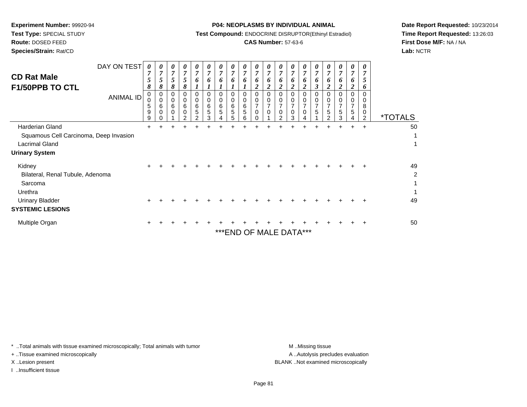**Test Type:** SPECIAL STUDY

# **Route:** DOSED FEED

**Species/Strain:** Rat/CD

#### **P04: NEOPLASMS BY INDIVIDUAL ANIMAL**

**Test Compound:** ENDOCRINE DISRUPTOR(Ethinyl Estradiol)

## **CAS Number:** 57-63-6

**Date Report Requested:** 10/23/2014**Time Report Requested:** 13:26:03**First Dose M/F:** NA / NA**Lab:** NCTR

| <b>CD Rat Male</b><br>F1/50PPB TO CTL                                                                              | DAY ON TEST<br><b>ANIMAL ID</b> | 0<br>7<br>5<br>8<br>0<br>0<br>5<br>9<br>9 | 0<br>$\overline{7}$<br>5<br>8<br>0<br>0<br>6<br>$\Omega$ | 0<br>7<br>5<br>8<br>0<br>0<br>6<br>$\Omega$ | 0<br>7<br>5<br>8<br>0<br>0<br>6<br>$\Omega$<br>ົ | 0<br>o<br>0<br>0<br>6<br>5<br>っ | $\boldsymbol{\theta}$<br>$\overline{7}$<br>6<br>0<br>0<br>6<br>5<br>3 | 0<br>$\overline{7}$<br>6<br>0<br>$\mathbf 0$<br>6<br>5 | 0<br>$\overline{7}$<br>6<br>0<br>$\mathbf 0$<br>6<br>5<br>5 | 0<br>7<br>6<br>0<br>0<br>6<br>5<br>6 | 0<br>0<br>2<br>0<br>0<br>$\overline{7}$ | 0<br>$\overline{7}$<br>6<br>0<br>0<br>$\overline{7}$<br>$\Omega$ | 0<br>7<br>o<br>0<br>$\overline{7}$<br>◠ | 0<br>7<br>n<br>$\overline{\mathbf{c}}$<br>0<br>$\overline{7}$<br>$\Omega$<br>3 | 0<br>2<br>0<br>0<br>$\overline{7}$<br>$\mathbf 0$ | 0<br>3<br>0<br>0<br>$\overline{7}$<br>5 | 0<br>$\overline{7}$<br>o<br>0<br>0<br>$\overline{7}$<br>5<br>2 | 0<br>7<br>o<br>2<br>$\Omega$<br>7<br>5<br>3 | 0<br>$\overline{7}$<br>o<br>$\boldsymbol{2}$<br>0<br>0<br>$\overline{7}$<br>5 | 0<br>$\mathcal{L}$<br>6<br>0<br>0<br>8<br>0<br>$\overline{2}$ | <i><b>*TOTALS</b></i>      |
|--------------------------------------------------------------------------------------------------------------------|---------------------------------|-------------------------------------------|----------------------------------------------------------|---------------------------------------------|--------------------------------------------------|---------------------------------|-----------------------------------------------------------------------|--------------------------------------------------------|-------------------------------------------------------------|--------------------------------------|-----------------------------------------|------------------------------------------------------------------|-----------------------------------------|--------------------------------------------------------------------------------|---------------------------------------------------|-----------------------------------------|----------------------------------------------------------------|---------------------------------------------|-------------------------------------------------------------------------------|---------------------------------------------------------------|----------------------------|
| <b>Harderian Gland</b><br>Squamous Cell Carcinoma, Deep Invasion<br><b>Lacrimal Gland</b><br><b>Urinary System</b> |                                 | 4                                         |                                                          |                                             |                                                  |                                 |                                                                       |                                                        |                                                             |                                      |                                         |                                                                  |                                         |                                                                                |                                                   |                                         |                                                                |                                             |                                                                               | $\ddot{}$                                                     | 50                         |
| Kidney<br>Bilateral, Renal Tubule, Adenoma<br>Sarcoma<br>Urethra<br>Urinary Bladder<br><b>SYSTEMIC LESIONS</b>     |                                 | +                                         |                                                          |                                             |                                                  |                                 |                                                                       |                                                        |                                                             |                                      |                                         |                                                                  |                                         |                                                                                |                                                   |                                         |                                                                |                                             |                                                                               |                                                               | 49<br>$\overline{a}$<br>49 |
| Multiple Organ                                                                                                     |                                 |                                           |                                                          |                                             |                                                  |                                 |                                                                       |                                                        |                                                             |                                      |                                         |                                                                  |                                         | *** END OF MALE DATA***                                                        |                                                   |                                         |                                                                |                                             |                                                                               |                                                               | 50                         |

\* ..Total animals with tissue examined microscopically; Total animals with tumor **M** . Missing tissue M ..Missing tissue

+ ..Tissue examined microscopically

I ..Insufficient tissue

A ..Autolysis precludes evaluation X ..Lesion present BLANK ..Not examined microscopically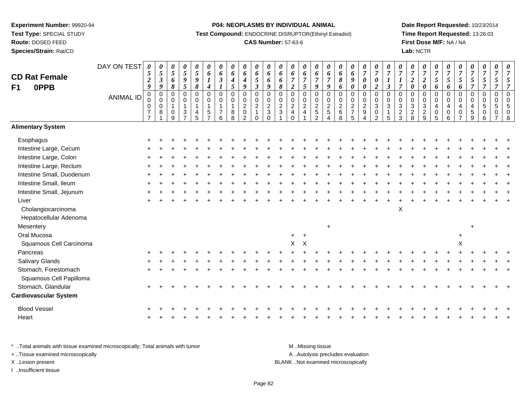**Route:** DOSED FEED

**Species/Strain:** Rat/CD

#### **P04: NEOPLASMS BY INDIVIDUAL ANIMAL**

**Test Compound:** ENDOCRINE DISRUPTOR(Ethinyl Estradiol)

### **CAS Number:** 57-63-6

**Date Report Requested:** 10/23/2014**Time Report Requested:** 13:26:03**First Dose M/F:** NA / NA**Lab:** NCTR

| <b>CD Rat Female</b>                | DAY ON TEST      | $\pmb{\theta}$<br>$\mathfrak{H}$<br>$\boldsymbol{2}$<br>$\boldsymbol{g}$ | 0<br>$\mathfrak{H}$<br>$\boldsymbol{\mathfrak{z}}$<br>9 | 0<br>$\mathfrak{s}$<br>6<br>8                      | 0<br>$\mathfrak{s}$<br>9<br>5                                              | $\boldsymbol{\theta}$<br>$\sqrt{5}$<br>$\boldsymbol{g}$<br>$\pmb{8}$ | 0<br>$\boldsymbol{6}$<br>$\boldsymbol{l}$<br>$\boldsymbol{4}$                  | 0<br>6<br>$\boldsymbol{\beta}$<br>$\boldsymbol{l}$ | 0<br>6<br>$\boldsymbol{4}$<br>5                    | 0<br>6<br>$\boldsymbol{4}$<br>9                                    | 0<br>6<br>$\frac{5}{3}$                                                 | 0<br>6<br>6<br>9                                       | $\boldsymbol{\theta}$<br>$\pmb{6}$<br>6<br>8                        | 0<br>6<br>$\overline{7}$<br>$\overline{2}$                                 | 0<br>$\boldsymbol{6}$<br>$\boldsymbol{7}$<br>5                          | 0<br>6<br>$\boldsymbol{7}$<br>$\boldsymbol{g}$ | 0<br>$\boldsymbol{6}$<br>$\overline{7}$<br>$\boldsymbol{g}$ | 0<br>6<br>8<br>6                                             | 0<br>$\boldsymbol{6}$<br>$\boldsymbol{9}$<br>$\boldsymbol{\theta}$ | 0<br>$\boldsymbol{7}$<br>$\pmb{\theta}$<br>$\pmb{\theta}$              | $\frac{\theta}{7}$<br>$\pmb{\theta}$<br>$\overline{\mathbf{c}}$        | $\boldsymbol{\theta}$<br>$\overline{7}$<br>$\boldsymbol{l}$<br>$\mathfrak{z}$ | 0<br>$\overline{7}$<br>$\boldsymbol{l}$<br>$\overline{7}$ | $\frac{\boldsymbol{0}}{7}$<br>$\boldsymbol{2}$<br>$\boldsymbol{\theta}$ | $\frac{\boldsymbol{\theta}}{\boldsymbol{7}}$<br>$\boldsymbol{2}$<br>$\boldsymbol{\theta}$ | 0<br>$\boldsymbol{7}$<br>$\mathfrak{S}$<br>6                                     | 0<br>$\overline{7}$<br>$\sqrt{5}$<br>6                                                 | 0<br>$\overline{7}$<br>$\sqrt{5}$<br>6                              | $\frac{\boldsymbol{\theta}}{\boldsymbol{7}}$<br>$\mathfrak{z}$<br>$\overline{7}$ | $\pmb{\theta}$<br>$\begin{array}{c} 7 \\ 5 \end{array}$<br>$\overline{7}$ | 0<br>$\overline{7}$<br>5<br>$\overline{7}$ | 0<br>$\overline{7}$ |
|-------------------------------------|------------------|--------------------------------------------------------------------------|---------------------------------------------------------|----------------------------------------------------|----------------------------------------------------------------------------|----------------------------------------------------------------------|--------------------------------------------------------------------------------|----------------------------------------------------|----------------------------------------------------|--------------------------------------------------------------------|-------------------------------------------------------------------------|--------------------------------------------------------|---------------------------------------------------------------------|----------------------------------------------------------------------------|-------------------------------------------------------------------------|------------------------------------------------|-------------------------------------------------------------|--------------------------------------------------------------|--------------------------------------------------------------------|------------------------------------------------------------------------|------------------------------------------------------------------------|-------------------------------------------------------------------------------|-----------------------------------------------------------|-------------------------------------------------------------------------|-------------------------------------------------------------------------------------------|----------------------------------------------------------------------------------|----------------------------------------------------------------------------------------|---------------------------------------------------------------------|----------------------------------------------------------------------------------|---------------------------------------------------------------------------|--------------------------------------------|---------------------|
| <b>OPPB</b><br>F <sub>1</sub>       | <b>ANIMAL ID</b> | 0<br>$\mathbf 0$<br>$\pmb{0}$<br>$\frac{7}{7}$                           | $\mathbf 0$<br>0<br>0<br>8                              | $\mathbf 0$<br>0<br>$\mathbf{1}$<br>$_{9}^{\rm 0}$ | $\mathbf 0$<br>$\mathbf 0$<br>$\mathbf{1}$<br>$\sqrt{3}$<br>$\overline{z}$ | $\pmb{0}$<br>$\mathbf 0$<br>$\overline{1}$<br>$\frac{4}{5}$          | $\mathbf 0$<br>$\mathbf 0$<br>$\mathbf{1}$<br>$\overline{5}$<br>$\overline{7}$ | $\mathbf 0$<br>$\mathbf 0$<br>1<br>7<br>6          | $\pmb{0}$<br>$\mathbf 0$<br>$\mathbf{1}$<br>8<br>8 | 0<br>$\mathbf 0$<br>$\overline{a}$<br>$\mathbf 0$<br>$\mathcal{P}$ | $\pmb{0}$<br>$\pmb{0}$<br>$\overline{2}$<br>$\mathbf{1}$<br>$\mathbf 0$ | $\pmb{0}$<br>$\pmb{0}$<br>$\frac{2}{3}$<br>$\mathbf 0$ | $\boldsymbol{0}$<br>$\begin{smallmatrix} 0\\2\\3 \end{smallmatrix}$ | $\mathbf 0$<br>$\mathbf 0$<br>$\overline{c}$<br>$\overline{4}$<br>$\Omega$ | $\mathbf 0$<br>$\mathbf 0$<br>$\overline{c}$<br>$\overline{\mathbf{4}}$ | $\mathbf 0$<br>$\mathbf 0$<br>$\frac{2}{2}$    | $\mathsf 0$<br>0<br>$\frac{2}{5}$<br>$\overline{4}$         | $\pmb{0}$<br>0<br>$\begin{array}{c} 2 \\ 6 \\ 8 \end{array}$ | $\mathbf 0$<br>$\mathsf{O}\xspace$<br>$\frac{2}{7}$<br>5           | $\pmb{0}$<br>$\mathbf 0$<br>$\begin{array}{c} 2 \\ 9 \\ 4 \end{array}$ | $\pmb{0}$<br>$\mathbf 0$<br>$\mathsf 3$<br>$\pmb{0}$<br>$\overline{2}$ | $\Omega$<br>$\mathbf 0$<br>$\mathbf{3}$<br>5                                  | $\Omega$<br>$\mathbf 0$<br>$\sqrt{3}$<br>$\frac{2}{3}$    | 0<br>0<br>3<br>$\frac{2}{8}$                                            | $\pmb{0}$<br>$_{3}^{\rm 0}$<br>$\frac{2}{9}$                                              | $\mathbf 0$<br>$\mathsf{O}\xspace$<br>4<br>$\begin{array}{c} 0 \\ 5 \end{array}$ | $\boldsymbol{0}$<br>$\boldsymbol{0}$<br>$\overline{4}$<br>$\pmb{0}$<br>$6\phantom{1}6$ | $\mathbf 0$<br>$\mathbf 0$<br>$\overline{4}$<br>0<br>$\overline{7}$ | $\pmb{0}$<br>$\mathbf 0$<br>4<br>$\mathbf 5$<br>9                                | $\pmb{0}$<br>$\mathbf 0$<br>5<br>$\pmb{0}$<br>6                           | 0<br>0<br>5<br>0<br>$\overline{7}$         | $\mathsf{R}$        |
| <b>Alimentary System</b>            |                  |                                                                          |                                                         |                                                    |                                                                            |                                                                      |                                                                                |                                                    |                                                    |                                                                    |                                                                         |                                                        |                                                                     |                                                                            |                                                                         |                                                |                                                             |                                                              |                                                                    |                                                                        |                                                                        |                                                                               |                                                           |                                                                         |                                                                                           |                                                                                  |                                                                                        |                                                                     |                                                                                  |                                                                           |                                            |                     |
| Esophagus                           |                  |                                                                          |                                                         |                                                    |                                                                            |                                                                      |                                                                                |                                                    |                                                    |                                                                    |                                                                         |                                                        |                                                                     |                                                                            |                                                                         |                                                |                                                             |                                                              |                                                                    |                                                                        |                                                                        |                                                                               |                                                           |                                                                         |                                                                                           |                                                                                  |                                                                                        |                                                                     |                                                                                  |                                                                           |                                            |                     |
| Intestine Large, Cecum              |                  |                                                                          |                                                         |                                                    |                                                                            |                                                                      |                                                                                |                                                    |                                                    |                                                                    |                                                                         |                                                        |                                                                     |                                                                            |                                                                         |                                                |                                                             |                                                              |                                                                    |                                                                        |                                                                        |                                                                               |                                                           |                                                                         |                                                                                           |                                                                                  |                                                                                        |                                                                     |                                                                                  |                                                                           |                                            |                     |
| Intestine Large, Colon              |                  |                                                                          |                                                         |                                                    |                                                                            |                                                                      |                                                                                |                                                    |                                                    |                                                                    |                                                                         |                                                        |                                                                     |                                                                            |                                                                         |                                                |                                                             |                                                              |                                                                    |                                                                        |                                                                        |                                                                               |                                                           |                                                                         |                                                                                           |                                                                                  |                                                                                        |                                                                     |                                                                                  |                                                                           |                                            |                     |
| Intestine Large, Rectum             |                  |                                                                          |                                                         |                                                    |                                                                            |                                                                      |                                                                                |                                                    |                                                    |                                                                    |                                                                         |                                                        |                                                                     |                                                                            |                                                                         |                                                |                                                             |                                                              |                                                                    |                                                                        |                                                                        |                                                                               |                                                           |                                                                         |                                                                                           |                                                                                  |                                                                                        |                                                                     |                                                                                  |                                                                           |                                            |                     |
| Intestine Small, Duodenum           |                  |                                                                          |                                                         |                                                    |                                                                            |                                                                      |                                                                                |                                                    |                                                    |                                                                    |                                                                         |                                                        |                                                                     |                                                                            |                                                                         |                                                |                                                             |                                                              |                                                                    |                                                                        |                                                                        |                                                                               |                                                           |                                                                         |                                                                                           |                                                                                  |                                                                                        |                                                                     |                                                                                  |                                                                           |                                            |                     |
| Intestine Small, Ileum              |                  |                                                                          |                                                         |                                                    |                                                                            |                                                                      |                                                                                |                                                    |                                                    |                                                                    |                                                                         |                                                        |                                                                     |                                                                            |                                                                         |                                                |                                                             |                                                              |                                                                    |                                                                        |                                                                        |                                                                               |                                                           |                                                                         |                                                                                           |                                                                                  |                                                                                        |                                                                     |                                                                                  |                                                                           |                                            |                     |
| Intestine Small, Jejunum            |                  |                                                                          |                                                         |                                                    |                                                                            |                                                                      |                                                                                |                                                    |                                                    |                                                                    |                                                                         |                                                        |                                                                     |                                                                            |                                                                         |                                                |                                                             |                                                              |                                                                    |                                                                        |                                                                        |                                                                               |                                                           |                                                                         |                                                                                           |                                                                                  |                                                                                        |                                                                     |                                                                                  |                                                                           |                                            |                     |
| Liver                               |                  |                                                                          |                                                         |                                                    |                                                                            |                                                                      |                                                                                |                                                    |                                                    |                                                                    |                                                                         |                                                        |                                                                     |                                                                            |                                                                         |                                                |                                                             |                                                              |                                                                    |                                                                        |                                                                        |                                                                               |                                                           |                                                                         |                                                                                           |                                                                                  |                                                                                        |                                                                     |                                                                                  |                                                                           |                                            |                     |
| Cholangiocarcinoma                  |                  |                                                                          |                                                         |                                                    |                                                                            |                                                                      |                                                                                |                                                    |                                                    |                                                                    |                                                                         |                                                        |                                                                     |                                                                            |                                                                         |                                                |                                                             |                                                              |                                                                    |                                                                        |                                                                        |                                                                               | X                                                         |                                                                         |                                                                                           |                                                                                  |                                                                                        |                                                                     |                                                                                  |                                                                           |                                            |                     |
| Hepatocellular Adenoma<br>Mesentery |                  |                                                                          |                                                         |                                                    |                                                                            |                                                                      |                                                                                |                                                    |                                                    |                                                                    |                                                                         |                                                        |                                                                     |                                                                            |                                                                         |                                                |                                                             |                                                              |                                                                    |                                                                        |                                                                        |                                                                               |                                                           |                                                                         |                                                                                           |                                                                                  |                                                                                        |                                                                     |                                                                                  |                                                                           |                                            |                     |
| Oral Mucosa                         |                  |                                                                          |                                                         |                                                    |                                                                            |                                                                      |                                                                                |                                                    |                                                    |                                                                    |                                                                         |                                                        |                                                                     | $+$                                                                        | $+$                                                                     |                                                | $\ddot{}$                                                   |                                                              |                                                                    |                                                                        |                                                                        |                                                                               |                                                           |                                                                         |                                                                                           |                                                                                  |                                                                                        |                                                                     | ÷                                                                                |                                                                           |                                            |                     |
| Squamous Cell Carcinoma             |                  |                                                                          |                                                         |                                                    |                                                                            |                                                                      |                                                                                |                                                    |                                                    |                                                                    |                                                                         |                                                        |                                                                     | X                                                                          | $\times$                                                                |                                                |                                                             |                                                              |                                                                    |                                                                        |                                                                        |                                                                               |                                                           |                                                                         |                                                                                           |                                                                                  |                                                                                        | $\ddot{}$<br>X                                                      |                                                                                  |                                                                           |                                            |                     |
| Pancreas                            |                  |                                                                          |                                                         |                                                    |                                                                            |                                                                      |                                                                                |                                                    |                                                    |                                                                    |                                                                         |                                                        |                                                                     |                                                                            |                                                                         |                                                |                                                             |                                                              |                                                                    |                                                                        |                                                                        |                                                                               |                                                           |                                                                         |                                                                                           |                                                                                  |                                                                                        |                                                                     |                                                                                  |                                                                           |                                            |                     |
| Salivary Glands                     |                  |                                                                          |                                                         |                                                    |                                                                            |                                                                      |                                                                                |                                                    |                                                    |                                                                    |                                                                         |                                                        |                                                                     |                                                                            |                                                                         |                                                |                                                             |                                                              |                                                                    |                                                                        |                                                                        |                                                                               |                                                           |                                                                         |                                                                                           |                                                                                  |                                                                                        |                                                                     |                                                                                  |                                                                           |                                            |                     |
| Stomach, Forestomach                |                  |                                                                          |                                                         |                                                    |                                                                            |                                                                      |                                                                                |                                                    |                                                    |                                                                    |                                                                         |                                                        |                                                                     |                                                                            |                                                                         |                                                |                                                             |                                                              |                                                                    |                                                                        |                                                                        |                                                                               |                                                           |                                                                         |                                                                                           |                                                                                  |                                                                                        |                                                                     |                                                                                  |                                                                           |                                            |                     |
| Squamous Cell Papilloma             |                  |                                                                          |                                                         |                                                    |                                                                            |                                                                      |                                                                                |                                                    |                                                    |                                                                    |                                                                         |                                                        |                                                                     |                                                                            |                                                                         |                                                |                                                             |                                                              |                                                                    |                                                                        |                                                                        |                                                                               |                                                           |                                                                         |                                                                                           |                                                                                  |                                                                                        |                                                                     |                                                                                  |                                                                           |                                            |                     |
| Stomach, Glandular                  |                  |                                                                          |                                                         |                                                    |                                                                            |                                                                      |                                                                                |                                                    |                                                    |                                                                    |                                                                         |                                                        |                                                                     |                                                                            |                                                                         |                                                |                                                             |                                                              |                                                                    |                                                                        |                                                                        |                                                                               |                                                           |                                                                         |                                                                                           |                                                                                  |                                                                                        |                                                                     |                                                                                  |                                                                           |                                            |                     |
| <b>Cardiovascular System</b>        |                  |                                                                          |                                                         |                                                    |                                                                            |                                                                      |                                                                                |                                                    |                                                    |                                                                    |                                                                         |                                                        |                                                                     |                                                                            |                                                                         |                                                |                                                             |                                                              |                                                                    |                                                                        |                                                                        |                                                                               |                                                           |                                                                         |                                                                                           |                                                                                  |                                                                                        |                                                                     |                                                                                  |                                                                           |                                            |                     |
| <b>Blood Vessel</b>                 |                  |                                                                          |                                                         |                                                    |                                                                            |                                                                      |                                                                                |                                                    |                                                    |                                                                    |                                                                         |                                                        |                                                                     |                                                                            |                                                                         |                                                |                                                             |                                                              |                                                                    |                                                                        |                                                                        |                                                                               |                                                           |                                                                         |                                                                                           |                                                                                  |                                                                                        |                                                                     |                                                                                  |                                                                           |                                            |                     |
| Heart                               |                  |                                                                          |                                                         |                                                    |                                                                            |                                                                      |                                                                                |                                                    |                                                    |                                                                    |                                                                         |                                                        |                                                                     |                                                                            |                                                                         |                                                |                                                             |                                                              |                                                                    |                                                                        |                                                                        |                                                                               |                                                           |                                                                         |                                                                                           |                                                                                  |                                                                                        |                                                                     |                                                                                  |                                                                           |                                            |                     |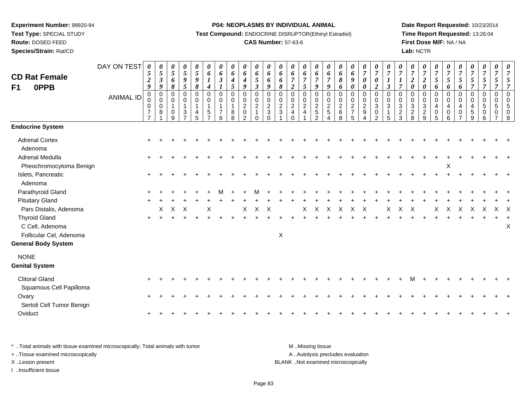**Test Type:** SPECIAL STUDY

**Route:** DOSED FEED

**Species/Strain:** Rat/CD

#### **P04: NEOPLASMS BY INDIVIDUAL ANIMAL**

**Test Compound:** ENDOCRINE DISRUPTOR(Ethinyl Estradiol)

## **CAS Number:** 57-63-6

**Date Report Requested:** 10/23/2014**Time Report Requested:** 13:26:04**First Dose M/F:** NA / NA**Lab:** NCTR

| <b>CD Rat Female</b><br>0PPB<br>F1                                 | DAY ON TEST      | $\boldsymbol{\theta}$<br>5<br>$\boldsymbol{2}$<br>9                 | 0<br>$\mathfrak{s}$<br>$\mathbf{3}$<br>9 | 0<br>$5\overline{)}$<br>6<br>8 | 0<br>5<br>9<br>5      | 0<br>$\mathfrak{s}$<br>$\boldsymbol{g}$<br>8 | 0<br>6<br>1<br>$\boldsymbol{4}$                                   | 0<br>6<br>$\mathfrak{z}$                | 0<br>6<br>$\boldsymbol{4}$<br>5                      | 0<br>$\pmb{6}$<br>$\boldsymbol{4}$<br>9                             | 0<br>6<br>5<br>$\boldsymbol{\beta}$                          | 0<br>6<br>6<br>9                            | 0<br>6<br>6<br>8                                 | 0<br>6<br>$\boldsymbol{2}$                         | 0<br>6<br>7<br>5                           | 0<br>6<br>$\overline{7}$<br>9                     | 0<br>6<br>$\overline{7}$<br>9                   | 0<br>6<br>8<br>6                                       | 0<br>6<br>9<br>0                     | 0<br>$\overline{7}$<br>0<br>$\boldsymbol{\theta}$ | 0<br>$\overline{7}$<br>0<br>$\overline{c}$           | 0<br>$\overline{7}$<br>1<br>$\boldsymbol{\beta}$ | 0<br>$\overline{7}$<br>$\overline{7}$         | 0<br>$\boldsymbol{7}$<br>$\boldsymbol{2}$<br>0 | 0<br>$\overline{7}$<br>$\boldsymbol{2}$<br>$\boldsymbol{\theta}$ | 0<br>$\overline{7}$<br>5<br>6 | $\overline{7}$<br>$\mathfrak{s}$<br>6                  | 0<br>$\overline{7}$<br>5<br>6 | 0<br>$\overline{7}$<br>$\mathfrak{S}$<br>$\overline{7}$ | 0<br>$\overline{7}$<br>5<br>$\overline{7}$ | 0<br>$\boldsymbol{7}$<br>5<br>$\overline{7}$       | 0<br>7<br>5<br>7                                |
|--------------------------------------------------------------------|------------------|---------------------------------------------------------------------|------------------------------------------|--------------------------------|-----------------------|----------------------------------------------|-------------------------------------------------------------------|-----------------------------------------|------------------------------------------------------|---------------------------------------------------------------------|--------------------------------------------------------------|---------------------------------------------|--------------------------------------------------|----------------------------------------------------|--------------------------------------------|---------------------------------------------------|-------------------------------------------------|--------------------------------------------------------|--------------------------------------|---------------------------------------------------|------------------------------------------------------|--------------------------------------------------|-----------------------------------------------|------------------------------------------------|------------------------------------------------------------------|-------------------------------|--------------------------------------------------------|-------------------------------|---------------------------------------------------------|--------------------------------------------|----------------------------------------------------|-------------------------------------------------|
|                                                                    | <b>ANIMAL ID</b> | 0<br>$\mathbf 0$<br>$\mathbf 0$<br>$\overline{7}$<br>$\overline{7}$ | 0<br>$\mathbf 0$<br>$\mathbf 0$<br>8     | 0<br>$\Omega$<br>1<br>0<br>9   | 0<br>$\mathbf 0$<br>3 | 0<br>0<br>4<br>5                             | 0<br>$\pmb{0}$<br>$\overline{1}$<br>$\,$ 5 $\,$<br>$\overline{7}$ | 0<br>$\mathbf 0$<br>$\overline{7}$<br>6 | $\mathbf 0$<br>$\mathbf 0$<br>$\mathbf{1}$<br>8<br>8 | 0<br>$\pmb{0}$<br>$\boldsymbol{2}$<br>$\mathbf 0$<br>$\overline{2}$ | 0<br>$\pmb{0}$<br>$\overline{c}$<br>$\mathbf{1}$<br>$\Omega$ | 0<br>$\pmb{0}$<br>$\frac{2}{3}$<br>$\Omega$ | 0<br>$\mathbf 0$<br>$\overline{c}$<br>$\sqrt{3}$ | 0<br>$\pmb{0}$<br>$\overline{a}$<br>$\overline{4}$ | 0<br>0<br>$\overline{a}$<br>$\overline{4}$ | 0<br>$\pmb{0}$<br>$\frac{2}{5}$<br>$\overline{2}$ | 0<br>$\pmb{0}$<br>$\sqrt{2}$<br>$\sqrt{5}$<br>4 | $\mathbf 0$<br>$\pmb{0}$<br>$\sqrt{2}$<br>$\,6\,$<br>8 | 0<br>$\pmb{0}$<br>$\frac{2}{7}$<br>5 | 0<br>$\mathsf 0$<br>$\overline{c}$<br>9           | 0<br>$\mathbf 0$<br>3<br>$\pmb{0}$<br>$\overline{2}$ | 0<br>$\mathbf 0$<br>3<br>1<br>5                  | 0<br>0<br>$\sqrt{3}$<br>$\boldsymbol{2}$<br>3 | 0<br>$\mathbf 0$<br>3<br>$\overline{c}$<br>8   | $\mathbf 0$<br>$\mathbf 0$<br>$\sqrt{3}$<br>$\overline{c}$<br>9  | 0<br>0<br>4<br>0<br>5         | $\mathbf 0$<br>$\mathbf 0$<br>$\overline{4}$<br>0<br>6 | 0<br>$\mathbf 0$<br>4<br>0    | 0<br>$\mathbf 0$<br>$\frac{4}{5}$<br>9                  | 0<br>$\mathbf 0$<br>5<br>0<br>6            | $\pmb{0}$<br>$\pmb{0}$<br>5<br>0<br>$\overline{7}$ | $\mathbf 0$<br>$\pmb{0}$<br>5<br>$\pmb{0}$<br>8 |
| <b>Endocrine System</b>                                            |                  |                                                                     |                                          |                                |                       |                                              |                                                                   |                                         |                                                      |                                                                     |                                                              |                                             |                                                  |                                                    |                                            |                                                   |                                                 |                                                        |                                      |                                                   |                                                      |                                                  |                                               |                                                |                                                                  |                               |                                                        |                               |                                                         |                                            |                                                    |                                                 |
| <b>Adrenal Cortex</b><br>Adenoma                                   |                  |                                                                     |                                          |                                |                       |                                              |                                                                   |                                         |                                                      |                                                                     |                                                              |                                             |                                                  |                                                    |                                            |                                                   |                                                 |                                                        |                                      |                                                   |                                                      |                                                  |                                               |                                                |                                                                  |                               |                                                        |                               |                                                         |                                            |                                                    |                                                 |
| <b>Adrenal Medulla</b><br>Pheochromocytoma Benign                  |                  |                                                                     |                                          |                                |                       |                                              |                                                                   |                                         |                                                      |                                                                     |                                                              |                                             |                                                  |                                                    |                                            |                                                   |                                                 |                                                        |                                      |                                                   |                                                      |                                                  |                                               |                                                |                                                                  |                               | X                                                      |                               |                                                         |                                            |                                                    |                                                 |
| Islets, Pancreatic<br>Adenoma                                      |                  |                                                                     |                                          |                                |                       |                                              |                                                                   |                                         |                                                      |                                                                     |                                                              |                                             |                                                  |                                                    |                                            |                                                   |                                                 |                                                        |                                      |                                                   |                                                      |                                                  |                                               |                                                |                                                                  |                               |                                                        |                               |                                                         |                                            |                                                    |                                                 |
| Parathyroid Gland                                                  |                  |                                                                     |                                          |                                |                       |                                              |                                                                   |                                         |                                                      |                                                                     |                                                              |                                             |                                                  |                                                    |                                            |                                                   |                                                 |                                                        |                                      |                                                   |                                                      |                                                  |                                               |                                                |                                                                  |                               |                                                        |                               |                                                         |                                            |                                                    |                                                 |
| <b>Pituitary Gland</b>                                             |                  |                                                                     |                                          |                                |                       |                                              |                                                                   |                                         |                                                      |                                                                     |                                                              |                                             |                                                  |                                                    |                                            |                                                   |                                                 |                                                        |                                      |                                                   |                                                      |                                                  |                                               |                                                |                                                                  |                               |                                                        |                               |                                                         |                                            |                                                    |                                                 |
| Pars Distalis, Adenoma                                             |                  |                                                                     | X                                        | X                              | $\times$              |                                              | X                                                                 |                                         |                                                      | X                                                                   | X                                                            | $\times$                                    |                                                  |                                                    |                                            | X                                                 | X                                               |                                                        | X                                    | $\times$                                          |                                                      | X                                                | X                                             | X                                              |                                                                  | Χ                             |                                                        | X                             | X                                                       | X                                          |                                                    | $X \times$                                      |
| <b>Thyroid Gland</b><br>C Cell, Adenoma<br>Follicular Cel, Adenoma |                  |                                                                     |                                          |                                |                       |                                              |                                                                   |                                         |                                                      |                                                                     |                                                              |                                             | $\boldsymbol{\mathsf{X}}$                        |                                                    |                                            |                                                   |                                                 |                                                        |                                      |                                                   |                                                      |                                                  |                                               |                                                |                                                                  |                               |                                                        |                               |                                                         |                                            |                                                    | X                                               |
| <b>General Body System</b>                                         |                  |                                                                     |                                          |                                |                       |                                              |                                                                   |                                         |                                                      |                                                                     |                                                              |                                             |                                                  |                                                    |                                            |                                                   |                                                 |                                                        |                                      |                                                   |                                                      |                                                  |                                               |                                                |                                                                  |                               |                                                        |                               |                                                         |                                            |                                                    |                                                 |
| <b>NONE</b>                                                        |                  |                                                                     |                                          |                                |                       |                                              |                                                                   |                                         |                                                      |                                                                     |                                                              |                                             |                                                  |                                                    |                                            |                                                   |                                                 |                                                        |                                      |                                                   |                                                      |                                                  |                                               |                                                |                                                                  |                               |                                                        |                               |                                                         |                                            |                                                    |                                                 |
| <b>Genital System</b>                                              |                  |                                                                     |                                          |                                |                       |                                              |                                                                   |                                         |                                                      |                                                                     |                                                              |                                             |                                                  |                                                    |                                            |                                                   |                                                 |                                                        |                                      |                                                   |                                                      |                                                  |                                               |                                                |                                                                  |                               |                                                        |                               |                                                         |                                            |                                                    |                                                 |
| <b>Clitoral Gland</b><br>Squamous Cell Papilloma                   |                  |                                                                     |                                          |                                |                       |                                              |                                                                   |                                         |                                                      |                                                                     |                                                              |                                             |                                                  |                                                    |                                            |                                                   |                                                 |                                                        |                                      |                                                   |                                                      |                                                  |                                               |                                                |                                                                  |                               |                                                        |                               |                                                         |                                            |                                                    |                                                 |
| Ovary<br>Sertoli Cell Tumor Benign                                 |                  |                                                                     |                                          |                                |                       |                                              |                                                                   |                                         |                                                      |                                                                     |                                                              |                                             |                                                  |                                                    |                                            |                                                   |                                                 |                                                        |                                      |                                                   |                                                      |                                                  |                                               |                                                |                                                                  |                               |                                                        |                               |                                                         |                                            |                                                    |                                                 |
| Oviduct                                                            |                  |                                                                     |                                          |                                |                       |                                              |                                                                   |                                         |                                                      |                                                                     |                                                              |                                             |                                                  |                                                    |                                            |                                                   |                                                 |                                                        |                                      |                                                   |                                                      |                                                  |                                               |                                                |                                                                  |                               |                                                        |                               |                                                         |                                            |                                                    |                                                 |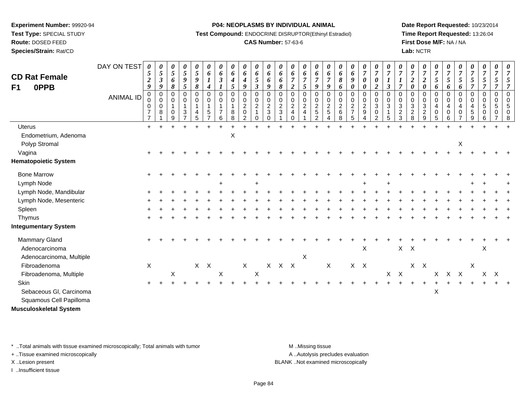**Test Type:** SPECIAL STUDY

## **Route:** DOSED FEED

**Species/Strain:** Rat/CD

#### **P04: NEOPLASMS BY INDIVIDUAL ANIMAL**

**Test Compound:** ENDOCRINE DISRUPTOR(Ethinyl Estradiol)

## **CAS Number:** 57-63-6

**Date Report Requested:** 10/23/2014**Time Report Requested:** 13:26:04**First Dose M/F:** NA / NA**Lab:** NCTR

| <b>CD Rat Female</b>                                                                        | DAY ON TEST      | 0<br>5<br>$\boldsymbol{2}$                                               | 0<br>$5\overline{)}$<br>$\boldsymbol{\beta}$        | $\boldsymbol{\theta}$<br>5<br>6                                     | 0<br>5<br>9                               | 0<br>$\mathfrak{s}$<br>9                                                       | 0<br>6                                                        | 0<br>6<br>$\boldsymbol{\beta}$          | $\boldsymbol{\theta}$<br>6<br>$\boldsymbol{4}$                           | 0<br>6<br>4                                                    | 0<br>6<br>$\sqrt{5}$                                                                       | 0<br>6<br>6                                                                   | 0<br>6<br>6                                             | 0<br>6<br>$\overline{7}$                                                    | 0<br>6<br>7                                     | 0<br>6<br>$\overline{7}$                                             | 0<br>6<br>$\overline{7}$                                             | $\boldsymbol{\theta}$<br>6<br>$\pmb{8}$                                | 0<br>6<br>9                                                                        | $\frac{\theta}{7}$<br>$\pmb{\theta}$                                                                 | 0<br>$\overline{7}$<br>0                                                  | $\overline{7}$                                                  | $\boldsymbol{\theta}$<br>$\overline{7}$                                           | 0<br>$\boldsymbol{7}$<br>$\boldsymbol{2}$                                 | 0<br>$\overline{7}$<br>$\boldsymbol{2}$                                         | $\boldsymbol{\theta}$<br>$\boldsymbol{7}$<br>$\sqrt{5}$     | $\boldsymbol{\theta}$<br>$\boldsymbol{7}$<br>$\sqrt{5}$     | 0<br>$\overline{7}$<br>5  | $\frac{\boldsymbol{0}}{7}$<br>$\sqrt{5}$                                               | 0<br>$\boldsymbol{7}$<br>$\mathfrak{S}$                                     | 0<br>$\overline{7}$<br>$\sqrt{5}$                                                  | $\overline{7}$<br>5                                                   |
|---------------------------------------------------------------------------------------------|------------------|--------------------------------------------------------------------------|-----------------------------------------------------|---------------------------------------------------------------------|-------------------------------------------|--------------------------------------------------------------------------------|---------------------------------------------------------------|-----------------------------------------|--------------------------------------------------------------------------|----------------------------------------------------------------|--------------------------------------------------------------------------------------------|-------------------------------------------------------------------------------|---------------------------------------------------------|-----------------------------------------------------------------------------|-------------------------------------------------|----------------------------------------------------------------------|----------------------------------------------------------------------|------------------------------------------------------------------------|------------------------------------------------------------------------------------|------------------------------------------------------------------------------------------------------|---------------------------------------------------------------------------|-----------------------------------------------------------------|-----------------------------------------------------------------------------------|---------------------------------------------------------------------------|---------------------------------------------------------------------------------|-------------------------------------------------------------|-------------------------------------------------------------|---------------------------|----------------------------------------------------------------------------------------|-----------------------------------------------------------------------------|------------------------------------------------------------------------------------|-----------------------------------------------------------------------|
| 0PPB<br>F1                                                                                  | <b>ANIMAL ID</b> | 9<br>0<br>$\mathbf 0$<br>$\mathbf 0$<br>$\overline{7}$<br>$\overline{7}$ | 9<br>$\mathbf 0$<br>$\mathbf 0$<br>$\mathbf 0$<br>8 | 8<br>$\mathbf 0$<br>$\mathbf 0$<br>$\mathbf{1}$<br>$\mathbf 0$<br>9 | 5<br>$\mathbf 0$<br>$\mathbf 0$<br>1<br>3 | $\pmb{8}$<br>$\mathbf 0$<br>$\mathbf 0$<br>$\mathbf{1}$<br>$\overline{4}$<br>5 | $\boldsymbol{4}$<br>$\pmb{0}$<br>$\,0\,$<br>$\mathbf{1}$<br>5 | $\mathbf 0$<br>0<br>$\overline{7}$<br>6 | $\overline{5}$<br>$\mathbf 0$<br>$\mathbf 0$<br>$\overline{1}$<br>8<br>8 | 9<br>0<br>0<br>$\overline{c}$<br>$\mathbf 0$<br>$\overline{2}$ | $\mathfrak{z}$<br>$\pmb{0}$<br>$\mathbf 0$<br>$\overline{c}$<br>$\overline{1}$<br>$\Omega$ | 9<br>$\mathbf 0$<br>$\mathbf 0$<br>$\overline{c}$<br>$\mathbf{3}$<br>$\Omega$ | 8<br>$\mathbf 0$<br>0<br>$\overline{c}$<br>$\mathbf{3}$ | $\overline{2}$<br>$\mathbf 0$<br>0<br>$\overline{c}$<br>$\overline{4}$<br>∩ | 5<br>0<br>0<br>$\overline{c}$<br>$\overline{4}$ | 9<br>$\mathbf 0$<br>$\mathbf 0$<br>$\overline{2}$<br>$\sqrt{5}$<br>2 | 9<br>$\mathbf 0$<br>$\mathbf 0$<br>$\overline{c}$<br>$\sqrt{5}$<br>Δ | 6<br>$\boldsymbol{0}$<br>$\mathbf 0$<br>$\overline{c}$<br>$\,6\,$<br>8 | $\boldsymbol{\theta}$<br>$\mathbf 0$<br>0<br>$\overline{c}$<br>$\overline{7}$<br>5 | $\pmb{\theta}$<br>$\pmb{0}$<br>$\begin{smallmatrix} 0\\2 \end{smallmatrix}$<br>$\boldsymbol{9}$<br>4 | $\overline{2}$<br>$\pmb{0}$<br>$\boldsymbol{0}$<br>$\mathbf{3}$<br>0<br>2 | $\mathfrak{z}$<br>$\mathbf 0$<br>$\mathbf 0$<br>$\sqrt{3}$<br>5 | $\overline{7}$<br>$\mathbf 0$<br>$\mathbf 0$<br>$\sqrt{3}$<br>$\overline{c}$<br>3 | $\pmb{\theta}$<br>$\mathbf 0$<br>0<br>$\mathbf{3}$<br>$\overline{c}$<br>8 | $\pmb{\theta}$<br>$\pmb{0}$<br>$\pmb{0}$<br>$\mathbf{3}$<br>$\overline{2}$<br>9 | 6<br>$\mathbf 0$<br>$\mathbf 0$<br>$\overline{4}$<br>0<br>5 | 6<br>$\mathbf 0$<br>$\mathbf 0$<br>$\overline{4}$<br>0<br>6 | 6<br>0<br>0<br>4<br>0     | $\overline{7}$<br>$\pmb{0}$<br>$\pmb{0}$<br>$\overline{\mathbf{4}}$<br>$\sqrt{5}$<br>9 | $\overline{7}$<br>$\pmb{0}$<br>$\pmb{0}$<br>$\,$ 5 $\,$<br>$\mathbf 0$<br>6 | $\overline{7}$<br>$\mathbf 0$<br>$\mathbf 0$<br>$\,$ 5 $\,$<br>0<br>$\overline{7}$ | $\overline{7}$<br>$\mathbf 0$<br>$\mathbf 0$<br>5<br>$\mathbf 0$<br>8 |
| <b>Uterus</b><br>Endometrium, Adenoma<br>Polyp Stromal                                      |                  | $+$                                                                      |                                                     |                                                                     |                                           |                                                                                |                                                               |                                         | $\pmb{\times}$                                                           |                                                                |                                                                                            |                                                                               |                                                         |                                                                             |                                                 |                                                                      |                                                                      |                                                                        |                                                                                    |                                                                                                      |                                                                           |                                                                 |                                                                                   |                                                                           |                                                                                 |                                                             |                                                             | $\boldsymbol{\mathsf{X}}$ |                                                                                        |                                                                             |                                                                                    |                                                                       |
| Vagina<br><b>Hematopoietic System</b>                                                       |                  |                                                                          |                                                     |                                                                     |                                           |                                                                                |                                                               |                                         |                                                                          |                                                                |                                                                                            |                                                                               |                                                         |                                                                             |                                                 |                                                                      |                                                                      |                                                                        |                                                                                    |                                                                                                      |                                                                           |                                                                 |                                                                                   |                                                                           |                                                                                 |                                                             |                                                             |                           |                                                                                        |                                                                             |                                                                                    |                                                                       |
| <b>Bone Marrow</b><br>Lymph Node                                                            |                  |                                                                          |                                                     |                                                                     |                                           |                                                                                |                                                               |                                         |                                                                          |                                                                |                                                                                            |                                                                               |                                                         |                                                                             |                                                 |                                                                      |                                                                      |                                                                        |                                                                                    |                                                                                                      |                                                                           |                                                                 |                                                                                   |                                                                           |                                                                                 |                                                             |                                                             |                           |                                                                                        |                                                                             |                                                                                    |                                                                       |
| Lymph Node, Mandibular<br>Lymph Node, Mesenteric                                            |                  |                                                                          |                                                     |                                                                     |                                           |                                                                                |                                                               |                                         |                                                                          |                                                                |                                                                                            |                                                                               |                                                         |                                                                             |                                                 |                                                                      |                                                                      |                                                                        |                                                                                    |                                                                                                      |                                                                           |                                                                 |                                                                                   |                                                                           |                                                                                 |                                                             |                                                             |                           |                                                                                        |                                                                             |                                                                                    |                                                                       |
| Spleen<br>Thymus                                                                            |                  |                                                                          |                                                     |                                                                     |                                           |                                                                                |                                                               |                                         |                                                                          |                                                                |                                                                                            |                                                                               |                                                         |                                                                             |                                                 |                                                                      |                                                                      |                                                                        |                                                                                    |                                                                                                      |                                                                           |                                                                 |                                                                                   |                                                                           |                                                                                 |                                                             |                                                             |                           |                                                                                        |                                                                             |                                                                                    |                                                                       |
| <b>Integumentary System</b>                                                                 |                  |                                                                          |                                                     |                                                                     |                                           |                                                                                |                                                               |                                         |                                                                          |                                                                |                                                                                            |                                                                               |                                                         |                                                                             |                                                 |                                                                      |                                                                      |                                                                        |                                                                                    |                                                                                                      |                                                                           |                                                                 |                                                                                   |                                                                           |                                                                                 |                                                             |                                                             |                           |                                                                                        |                                                                             |                                                                                    |                                                                       |
| Mammary Gland<br>Adenocarcinoma<br>Adenocarcinoma, Multiple                                 |                  |                                                                          |                                                     |                                                                     |                                           |                                                                                |                                                               |                                         |                                                                          |                                                                |                                                                                            |                                                                               |                                                         |                                                                             | X                                               |                                                                      |                                                                      |                                                                        |                                                                                    | $\mathsf X$                                                                                          |                                                                           |                                                                 | $X -$                                                                             | $\times$                                                                  |                                                                                 |                                                             |                                                             |                           |                                                                                        | X                                                                           |                                                                                    |                                                                       |
| Fibroadenoma<br>Fibroadenoma, Multiple                                                      |                  | X                                                                        |                                                     | $\boldsymbol{\mathsf{X}}$                                           |                                           |                                                                                | $X$ $X$                                                       | $\boldsymbol{\mathsf{X}}$               |                                                                          | $\mathsf{X}$                                                   | $\boldsymbol{\mathsf{X}}$                                                                  |                                                                               | X X X                                                   |                                                                             |                                                 |                                                                      | $\mathsf{X}$                                                         |                                                                        |                                                                                    | $X$ $X$                                                                                              |                                                                           |                                                                 | $X$ $X$                                                                           |                                                                           | $X$ $X$                                                                         | X                                                           |                                                             | X X                       | X                                                                                      | X                                                                           | X                                                                                  |                                                                       |
| Skin<br>Sebaceous GI, Carcinoma<br>Squamous Cell Papilloma<br><b>Musculoskeletal System</b> |                  |                                                                          |                                                     |                                                                     |                                           |                                                                                |                                                               |                                         |                                                                          |                                                                |                                                                                            |                                                                               |                                                         |                                                                             |                                                 |                                                                      |                                                                      |                                                                        |                                                                                    |                                                                                                      |                                                                           |                                                                 |                                                                                   |                                                                           |                                                                                 | X                                                           |                                                             |                           |                                                                                        |                                                                             |                                                                                    |                                                                       |

\* ..Total animals with tissue examined microscopically; Total animals with tumor **M** . Missing tissue M ..Missing tissue

+ ..Tissue examined microscopically

I ..Insufficient tissue

A ..Autolysis precludes evaluation

X ..Lesion present BLANK ..Not examined microscopically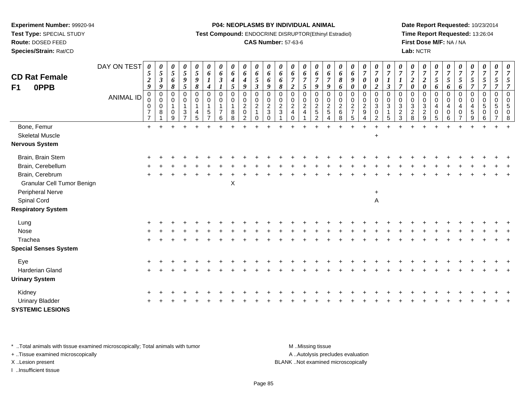**Route:** DOSED FEED

**Species/Strain:** Rat/CD

#### **P04: NEOPLASMS BY INDIVIDUAL ANIMAL**

**Test Compound:** ENDOCRINE DISRUPTOR(Ethinyl Estradiol)

## **CAS Number:** 57-63-6

**Date Report Requested:** 10/23/2014**Time Report Requested:** 13:26:04**First Dose M/F:** NA / NA**Lab:** NCTR

| <b>CD Rat Female</b>                                           | DAY ON TEST      | 0<br>$\mathfrak{s}$<br>$\boldsymbol{2}$                                                     | 0<br>$\overline{5}$<br>$\boldsymbol{\beta}$         | 5<br>6                                                                   | 0<br>5<br>9                                          | 0<br>$\mathfrak{s}$<br>$\boldsymbol{g}$ | 0<br>6<br>$\boldsymbol{l}$                                                        | 0<br>6<br>$\boldsymbol{\beta}$ | $\boldsymbol{\theta}$<br>6<br>$\boldsymbol{4}$                         | 0<br>6<br>4                                                                     | 0<br>$\pmb{6}$                                                            | 0<br>6<br>6                                                        | 0<br>6<br>6                        | 0<br>6<br>$\overline{7}$                                     | 0<br>6<br>$\boldsymbol{7}$                                               | 0<br>6<br>$\overline{7}$                                                            | 0<br>6<br>$\overline{7}$                                                   | $\boldsymbol{\theta}$<br>6<br>$\pmb{8}$                     | 0<br>6<br>9                                          | $\frac{\theta}{7}$<br>$\pmb{\theta}$                                            | 0<br>$\overline{7}$<br>$\pmb{\theta}$                                                 | 0<br>$\overline{7}$                       | $\boldsymbol{\theta}$<br>$\overline{7}$                                       | 0<br>$\overline{7}$<br>$\boldsymbol{2}$                                          | $\boldsymbol{\theta}$<br>$\overline{7}$<br>$\boldsymbol{2}$                              | 0<br>$\overline{7}$<br>5                                              | $\boldsymbol{7}$<br>$\mathfrak{s}$   | $\boldsymbol{\theta}$<br>$\overline{7}$<br>5 | 0<br>$\boldsymbol{7}$<br>$\sqrt{5}$     | 0<br>$\boldsymbol{7}$<br>$\mathfrak{s}$                                        | 0<br>$\overline{7}$<br>$\sqrt{5}$            | 7<br>5                                                       |
|----------------------------------------------------------------|------------------|---------------------------------------------------------------------------------------------|-----------------------------------------------------|--------------------------------------------------------------------------|------------------------------------------------------|-----------------------------------------|-----------------------------------------------------------------------------------|--------------------------------|------------------------------------------------------------------------|---------------------------------------------------------------------------------|---------------------------------------------------------------------------|--------------------------------------------------------------------|------------------------------------|--------------------------------------------------------------|--------------------------------------------------------------------------|-------------------------------------------------------------------------------------|----------------------------------------------------------------------------|-------------------------------------------------------------|------------------------------------------------------|---------------------------------------------------------------------------------|---------------------------------------------------------------------------------------|-------------------------------------------|-------------------------------------------------------------------------------|----------------------------------------------------------------------------------|------------------------------------------------------------------------------------------|-----------------------------------------------------------------------|--------------------------------------|----------------------------------------------|-----------------------------------------|--------------------------------------------------------------------------------|----------------------------------------------|--------------------------------------------------------------|
| <b>OPPB</b><br>F1                                              | <b>ANIMAL ID</b> | $\boldsymbol{g}$<br>$\pmb{0}$<br>$\pmb{0}$<br>$\pmb{0}$<br>$\overline{7}$<br>$\overline{7}$ | 9<br>$\mathbf 0$<br>$\mathbf 0$<br>$\mathbf 0$<br>8 | 8<br>$\overline{0}$<br>$\mathbf 0$<br>$\overline{1}$<br>$\mathbf 0$<br>9 | $5\overline{)}$<br>$\mathbf 0$<br>$\Omega$<br>1<br>3 | 8<br>0<br>0<br>$\mathbf{1}$<br>4<br>5   | $\boldsymbol{4}$<br>$\pmb{0}$<br>$\pmb{0}$<br>$\mathbf{1}$<br>5<br>$\overline{7}$ | $\mathbf 0$<br>0<br>6          | $\mathfrak{s}$<br>$\pmb{0}$<br>$\mathbf 0$<br>$\overline{1}$<br>8<br>8 | 9<br>0<br>$\boldsymbol{0}$<br>$\boldsymbol{2}$<br>$\mathbf 0$<br>$\overline{2}$ | $\frac{5}{3}$<br>$\pmb{0}$<br>$\frac{0}{2}$<br>$\overline{1}$<br>$\Omega$ | 9<br>$\mathbf 0$<br>$\mathbf 0$<br>$\overline{c}$<br>3<br>$\Omega$ | 8<br>0<br>0<br>$\overline{2}$<br>3 | $\overline{2}$<br>0<br>0<br>$\overline{c}$<br>$\overline{4}$ | 5<br>0<br>$\begin{smallmatrix} 0\\2 \end{smallmatrix}$<br>$\overline{4}$ | $\boldsymbol{g}$<br>$\mathbf 0$<br>$\frac{0}{2}$<br>$\overline{5}$<br>$\mathcal{P}$ | $\boldsymbol{9}$<br>$\mathbf 0$<br>$\mathbf 0$<br>$\overline{c}$<br>5<br>Δ | 6<br>$\mathbf 0$<br>$\mathbf 0$<br>$\overline{2}$<br>6<br>8 | 0<br>0<br>0<br>$\overline{c}$<br>$\overline{7}$<br>5 | $\boldsymbol{\theta}$<br>0<br>$_{2}^{\rm 0}$<br>$9\,$<br>$\boldsymbol{\Lambda}$ | $\overline{2}$<br>$\pmb{0}$<br>$\pmb{0}$<br>$\sqrt{3}$<br>$\pmb{0}$<br>$\overline{2}$ | 3<br>$\mathbf 0$<br>$\mathbf 0$<br>3<br>5 | $\overline{7}$<br>$\mathbf 0$<br>$\mathbf 0$<br>$\sqrt{3}$<br>$\sqrt{2}$<br>3 | $\boldsymbol{\theta}$<br>0<br>$\mathbf 0$<br>$\mathbf{3}$<br>$\overline{2}$<br>8 | $\boldsymbol{\theta}$<br>$\mathbf 0$<br>$\pmb{0}$<br>$\mathbf{3}$<br>$\overline{c}$<br>9 | 6<br>$\mathbf 0$<br>$\mathbf 0$<br>$\overline{4}$<br>$\mathbf 0$<br>5 | 6<br>0<br>$\mathbf 0$<br>4<br>0<br>6 | 6<br>0<br>0<br>$\overline{4}$<br>$\mathbf 0$ | $\overline{7}$<br>0<br>0<br>4<br>5<br>9 | $\overline{7}$<br>$\pmb{0}$<br>$\pmb{0}$<br>$\overline{5}$<br>$\mathbf 0$<br>6 | $\overline{7}$<br>$\mathbf 0$<br>0<br>5<br>0 | $\overline{7}$<br>$\Omega$<br>$\Omega$<br>5<br>$\Omega$<br>8 |
| Bone, Femur<br><b>Skeletal Muscle</b><br><b>Nervous System</b> |                  | $+$                                                                                         | $+$                                                 |                                                                          |                                                      |                                         |                                                                                   |                                |                                                                        |                                                                                 |                                                                           |                                                                    |                                    |                                                              |                                                                          |                                                                                     |                                                                            |                                                             |                                                      |                                                                                 | $+$                                                                                   |                                           |                                                                               |                                                                                  |                                                                                          |                                                                       |                                      |                                              |                                         |                                                                                |                                              |                                                              |
|                                                                |                  |                                                                                             |                                                     |                                                                          |                                                      |                                         |                                                                                   |                                |                                                                        |                                                                                 |                                                                           |                                                                    |                                    |                                                              |                                                                          |                                                                                     |                                                                            |                                                             |                                                      |                                                                                 |                                                                                       |                                           |                                                                               |                                                                                  |                                                                                          |                                                                       |                                      |                                              |                                         |                                                                                |                                              |                                                              |
| Brain, Brain Stem                                              |                  |                                                                                             |                                                     |                                                                          |                                                      |                                         |                                                                                   |                                |                                                                        |                                                                                 |                                                                           |                                                                    |                                    |                                                              |                                                                          |                                                                                     |                                                                            |                                                             |                                                      |                                                                                 |                                                                                       |                                           |                                                                               |                                                                                  |                                                                                          |                                                                       |                                      |                                              |                                         |                                                                                |                                              |                                                              |
| Brain, Cerebellum<br>Brain, Cerebrum                           |                  |                                                                                             |                                                     |                                                                          |                                                      |                                         |                                                                                   |                                |                                                                        |                                                                                 |                                                                           |                                                                    |                                    |                                                              |                                                                          |                                                                                     |                                                                            |                                                             |                                                      |                                                                                 |                                                                                       |                                           |                                                                               |                                                                                  |                                                                                          |                                                                       |                                      |                                              |                                         |                                                                                |                                              |                                                              |
| Granular Cell Tumor Benign                                     |                  |                                                                                             |                                                     |                                                                          |                                                      |                                         |                                                                                   |                                | $\mathsf X$                                                            |                                                                                 |                                                                           |                                                                    |                                    |                                                              |                                                                          |                                                                                     |                                                                            |                                                             |                                                      |                                                                                 |                                                                                       |                                           |                                                                               |                                                                                  |                                                                                          |                                                                       |                                      |                                              |                                         |                                                                                |                                              |                                                              |
| Peripheral Nerve                                               |                  |                                                                                             |                                                     |                                                                          |                                                      |                                         |                                                                                   |                                |                                                                        |                                                                                 |                                                                           |                                                                    |                                    |                                                              |                                                                          |                                                                                     |                                                                            |                                                             |                                                      |                                                                                 | $\ddot{}$                                                                             |                                           |                                                                               |                                                                                  |                                                                                          |                                                                       |                                      |                                              |                                         |                                                                                |                                              |                                                              |
| Spinal Cord<br><b>Respiratory System</b>                       |                  |                                                                                             |                                                     |                                                                          |                                                      |                                         |                                                                                   |                                |                                                                        |                                                                                 |                                                                           |                                                                    |                                    |                                                              |                                                                          |                                                                                     |                                                                            |                                                             |                                                      |                                                                                 | $\mathsf A$                                                                           |                                           |                                                                               |                                                                                  |                                                                                          |                                                                       |                                      |                                              |                                         |                                                                                |                                              |                                                              |
|                                                                |                  |                                                                                             |                                                     |                                                                          |                                                      |                                         |                                                                                   |                                |                                                                        |                                                                                 |                                                                           |                                                                    |                                    |                                                              |                                                                          |                                                                                     |                                                                            |                                                             |                                                      |                                                                                 |                                                                                       |                                           |                                                                               |                                                                                  |                                                                                          |                                                                       |                                      |                                              |                                         |                                                                                |                                              |                                                              |
| Lung                                                           |                  |                                                                                             |                                                     |                                                                          |                                                      |                                         |                                                                                   |                                |                                                                        |                                                                                 |                                                                           |                                                                    |                                    |                                                              |                                                                          |                                                                                     |                                                                            |                                                             |                                                      |                                                                                 |                                                                                       |                                           |                                                                               |                                                                                  |                                                                                          |                                                                       |                                      |                                              |                                         |                                                                                |                                              |                                                              |
| Nose                                                           |                  |                                                                                             |                                                     |                                                                          |                                                      |                                         |                                                                                   |                                |                                                                        |                                                                                 |                                                                           |                                                                    |                                    |                                                              |                                                                          |                                                                                     |                                                                            |                                                             |                                                      |                                                                                 |                                                                                       |                                           |                                                                               |                                                                                  |                                                                                          |                                                                       |                                      |                                              |                                         |                                                                                |                                              |                                                              |
| Trachea                                                        |                  |                                                                                             |                                                     |                                                                          |                                                      |                                         |                                                                                   |                                |                                                                        |                                                                                 |                                                                           |                                                                    |                                    |                                                              |                                                                          |                                                                                     |                                                                            |                                                             |                                                      |                                                                                 |                                                                                       |                                           |                                                                               |                                                                                  |                                                                                          |                                                                       |                                      |                                              |                                         |                                                                                |                                              |                                                              |
| <b>Special Senses System</b>                                   |                  |                                                                                             |                                                     |                                                                          |                                                      |                                         |                                                                                   |                                |                                                                        |                                                                                 |                                                                           |                                                                    |                                    |                                                              |                                                                          |                                                                                     |                                                                            |                                                             |                                                      |                                                                                 |                                                                                       |                                           |                                                                               |                                                                                  |                                                                                          |                                                                       |                                      |                                              |                                         |                                                                                |                                              |                                                              |
| Eye                                                            |                  |                                                                                             |                                                     |                                                                          |                                                      |                                         |                                                                                   |                                |                                                                        |                                                                                 |                                                                           |                                                                    |                                    |                                                              |                                                                          |                                                                                     |                                                                            |                                                             |                                                      |                                                                                 |                                                                                       |                                           |                                                                               |                                                                                  |                                                                                          |                                                                       |                                      |                                              |                                         |                                                                                |                                              |                                                              |
| Harderian Gland                                                |                  |                                                                                             |                                                     |                                                                          |                                                      |                                         |                                                                                   |                                |                                                                        |                                                                                 |                                                                           |                                                                    |                                    |                                                              |                                                                          |                                                                                     |                                                                            |                                                             |                                                      |                                                                                 |                                                                                       |                                           |                                                                               |                                                                                  |                                                                                          |                                                                       |                                      |                                              |                                         |                                                                                |                                              |                                                              |
| <b>Urinary System</b>                                          |                  |                                                                                             |                                                     |                                                                          |                                                      |                                         |                                                                                   |                                |                                                                        |                                                                                 |                                                                           |                                                                    |                                    |                                                              |                                                                          |                                                                                     |                                                                            |                                                             |                                                      |                                                                                 |                                                                                       |                                           |                                                                               |                                                                                  |                                                                                          |                                                                       |                                      |                                              |                                         |                                                                                |                                              |                                                              |
| Kidney                                                         |                  |                                                                                             |                                                     |                                                                          |                                                      |                                         |                                                                                   |                                |                                                                        |                                                                                 |                                                                           |                                                                    |                                    |                                                              |                                                                          |                                                                                     |                                                                            |                                                             |                                                      |                                                                                 |                                                                                       |                                           |                                                                               |                                                                                  |                                                                                          |                                                                       |                                      |                                              |                                         |                                                                                |                                              |                                                              |
| <b>Urinary Bladder</b>                                         |                  |                                                                                             |                                                     |                                                                          |                                                      |                                         |                                                                                   |                                |                                                                        |                                                                                 |                                                                           |                                                                    |                                    |                                                              |                                                                          |                                                                                     |                                                                            |                                                             |                                                      |                                                                                 |                                                                                       |                                           |                                                                               |                                                                                  |                                                                                          |                                                                       |                                      |                                              |                                         |                                                                                |                                              |                                                              |
| <b>SYSTEMIC LESIONS</b>                                        |                  |                                                                                             |                                                     |                                                                          |                                                      |                                         |                                                                                   |                                |                                                                        |                                                                                 |                                                                           |                                                                    |                                    |                                                              |                                                                          |                                                                                     |                                                                            |                                                             |                                                      |                                                                                 |                                                                                       |                                           |                                                                               |                                                                                  |                                                                                          |                                                                       |                                      |                                              |                                         |                                                                                |                                              |                                                              |

\* ..Total animals with tissue examined microscopically; Total animals with tumor **M** . Missing tissue M ..Missing tissue

+ ..Tissue examined microscopically

I ..Insufficient tissue

A ..Autolysis precludes evaluation

X ..Lesion present BLANK ..Not examined microscopically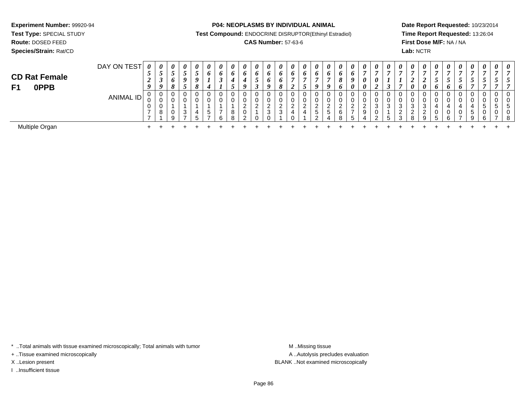**Test Type:** SPECIAL STUDY

**Route:** DOSED FEED

**Species/Strain:** Rat/CD

**P04: NEOPLASMS BY INDIVIDUAL ANIMAL**

**Test Compound:** ENDOCRINE DISRUPTOR(Ethinyl Estradiol)

## **CAS Number:** 57-63-6

**Date Report Requested:** 10/23/2014**Time Report Requested:** 13:26:04**First Dose M/F:** NA / NA**Lab:** NCTR

| <b>CD Rat Female</b><br>0PPB<br>F <sub>1</sub> | DAY ON TEST | $\boldsymbol{\mathit{U}}$<br>◡ | 0<br>ູ<br>◡      | 0<br>◡<br>6<br>8 | 0<br>ັ<br>o      | $\boldsymbol{\theta}$<br>$\mathcal{L}$<br>9 | U<br>o | 0<br>o | $\boldsymbol{\theta}$ | 0<br>o | $\boldsymbol{\theta}$<br>0 | 0<br>o<br>o<br>o | $\boldsymbol{\theta}$<br>6<br>o<br>8 | $\boldsymbol{\theta}$<br>$\bm{o}$ | 0<br>$\bm{o}$<br>J | $\boldsymbol{\theta}$<br>$\bm{o}$<br>o                  | $\boldsymbol{\theta}$<br>$\bm{o}$<br><b>Q</b> | 0<br>o<br>o<br>6 | $\boldsymbol{\theta}$<br>6<br>0 | $\boldsymbol{\theta}$<br>$\boldsymbol{\theta}$<br>0 | 0           | $\boldsymbol{\theta}$ | $\theta$                | $\boldsymbol{\theta}$<br>$\boldsymbol{\theta}$ | $\boldsymbol{\theta}$<br>$\theta$ | 0<br>6                      | $\boldsymbol{\theta}$<br>-<br>ັ<br>O | $\boldsymbol{\theta}$<br>$\overline{ }$<br>O | $\boldsymbol{\mathit{U}}$ | 0<br>◡ | $\boldsymbol{\theta}$ | $\boldsymbol{\theta}$ |
|------------------------------------------------|-------------|--------------------------------|------------------|------------------|------------------|---------------------------------------------|--------|--------|-----------------------|--------|----------------------------|------------------|--------------------------------------|-----------------------------------|--------------------|---------------------------------------------------------|-----------------------------------------------|------------------|---------------------------------|-----------------------------------------------------|-------------|-----------------------|-------------------------|------------------------------------------------|-----------------------------------|-----------------------------|--------------------------------------|----------------------------------------------|---------------------------|--------|-----------------------|-----------------------|
|                                                | ANIMAL ID   | 0<br>0<br>$\mathbf{0}$         | 0<br>0<br>0<br>8 | U<br>a           | 0<br>0<br>ົ<br>J | 0<br>0<br>4                                 | ◡      |        |                       | $\sim$ | v<br>v<br>$\sim$           | ີ<br>J           | 0<br>0<br>റ<br>3                     | 0<br>0<br>$\sim$<br>4             | v<br>ົ<br>4        | 0<br>0<br><sup>o</sup><br>$\mathcal{D}$<br><sup>o</sup> | U<br>υ<br>ົ<br><sub>5</sub>                   | 6<br>$\circ$     |                                 | 9                                                   | $\sim$<br>◡ | ົ                     | ົ<br>ົ<br><u>_</u><br>ົ | -3<br>ົ<br>8                                   | J.<br>$\sim$<br>$\epsilon$<br>9   | 0<br>0<br>0<br><sub>5</sub> | 0<br>0<br>4<br>0<br>6                | v                                            |                           |        | 0                     | 8                     |
| Multiple Organ                                 |             |                                |                  |                  |                  |                                             |        |        |                       |        |                            |                  |                                      |                                   |                    |                                                         |                                               |                  |                                 |                                                     |             |                       |                         |                                                |                                   |                             |                                      |                                              |                           |        |                       |                       |

\* ..Total animals with tissue examined microscopically; Total animals with tumor **M** . Missing tissue M ..Missing tissue

+ ..Tissue examined microscopically

I ..Insufficient tissue

A ..Autolysis precludes evaluation X ..Lesion present BLANK ..Not examined microscopically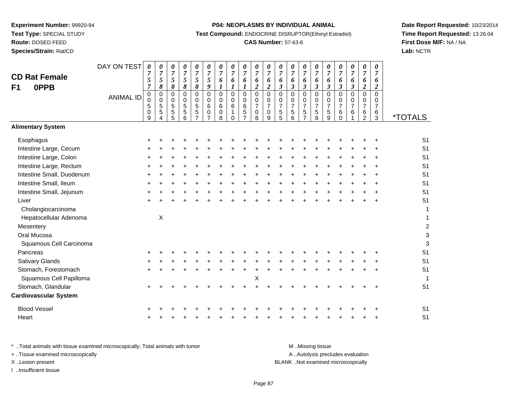**Route:** DOSED FEED

**Species/Strain:** Rat/CD

#### **P04: NEOPLASMS BY INDIVIDUAL ANIMAL**

**Test Compound:** ENDOCRINE DISRUPTOR(Ethinyl Estradiol)

## **CAS Number:** 57-63-6

**Date Report Requested:** 10/23/2014**Time Report Requested:** 13:26:04**First Dose M/F:** NA / NA**Lab:** NCTR

| <b>CD Rat Female</b>         | DAY ON TEST      | $\boldsymbol{\theta}$<br>$\overline{7}$   | 0<br>$\overline{7}$                    | 0<br>$\boldsymbol{7}$                                 | 0<br>$\overline{7}$                | 0<br>$\boldsymbol{7}$                                       | 0<br>$\overline{7}$                                 | 0<br>$\boldsymbol{7}$           | 0<br>$\overline{7}$                           | 0<br>$\overline{7}$     | 0<br>$\overline{7}$                          | 0<br>$\boldsymbol{7}$                                | 0<br>$\boldsymbol{7}$                                 | 0<br>$\overline{7}$                          | 0<br>$\boldsymbol{7}$                                    | 0<br>$\overline{7}$                                   | 0<br>$\overline{7}$                | 0<br>$\overline{7}$                                              | 0<br>$\boldsymbol{7}$                        | 0<br>$\overline{7}$                                           | 0<br>$\overline{7}$                              |                         |
|------------------------------|------------------|-------------------------------------------|----------------------------------------|-------------------------------------------------------|------------------------------------|-------------------------------------------------------------|-----------------------------------------------------|---------------------------------|-----------------------------------------------|-------------------------|----------------------------------------------|------------------------------------------------------|-------------------------------------------------------|----------------------------------------------|----------------------------------------------------------|-------------------------------------------------------|------------------------------------|------------------------------------------------------------------|----------------------------------------------|---------------------------------------------------------------|--------------------------------------------------|-------------------------|
| 0PPB<br>F <sub>1</sub>       |                  | 5<br>$\overline{7}$                       | 5<br>8                                 | 5<br>8                                                | 5<br>8                             | $\sqrt{5}$<br>8                                             | $\sqrt{5}$<br>9                                     | 6<br>1                          | 6<br>1                                        | 6                       | $\boldsymbol{6}$<br>$\overline{2}$           | 6<br>$\boldsymbol{2}$                                | 6<br>$\boldsymbol{\beta}$                             | 6<br>$\mathfrak{z}$                          | 6<br>$\mathfrak{z}$                                      | 6<br>$\boldsymbol{\beta}$                             | 6<br>$\mathfrak{z}$                | 6<br>$\mathbf{3}$                                                | 6<br>$\boldsymbol{\beta}$                    | 6<br>$\boldsymbol{2}$                                         | 6<br>$\boldsymbol{2}$                            |                         |
|                              | <b>ANIMAL ID</b> | 0<br>$\mathbf 0$<br>5<br>$\mathbf 0$<br>9 | $\mathbf 0$<br>0<br>$\frac{5}{5}$<br>4 | $\mathbf 0$<br>0<br>$\sqrt{5}$<br>$\overline{5}$<br>5 | 0<br>0<br>5<br>$\overline{5}$<br>6 | $\mathbf 0$<br>$\mathbf 0$<br>$\sqrt{5}$<br>$\sqrt{5}$<br>7 | $\mathbf 0$<br>$\Omega$<br>6<br>0<br>$\overline{7}$ | 0<br>0<br>6<br>$\mathbf 0$<br>8 | $\Omega$<br>$\mathbf 0$<br>6<br>1<br>$\Omega$ | $\Omega$<br>0<br>6<br>5 | $\mathbf 0$<br>0<br>$\overline{7}$<br>0<br>8 | $\mathbf 0$<br>0<br>$\overline{7}$<br>$\pmb{0}$<br>9 | $\mathbf 0$<br>0<br>$\overline{7}$<br>$\sqrt{5}$<br>5 | $\mathbf 0$<br>0<br>$\overline{7}$<br>5<br>6 | 0<br>0<br>$\overline{7}$<br>$\sqrt{5}$<br>$\overline{7}$ | $\mathbf 0$<br>0<br>$\overline{7}$<br>$\sqrt{5}$<br>8 | 0<br>0<br>$\overline{7}$<br>5<br>9 | $\mathbf 0$<br>$\mathbf 0$<br>$\overline{7}$<br>6<br>$\mathbf 0$ | $\mathbf 0$<br>0<br>$\overline{7}$<br>6<br>1 | $\mathbf 0$<br>0<br>$\overline{7}$<br>$\,6$<br>$\overline{2}$ | $\Omega$<br>$\Omega$<br>$\overline{7}$<br>6<br>3 | <i><b>*TOTALS</b></i>   |
| <b>Alimentary System</b>     |                  |                                           |                                        |                                                       |                                    |                                                             |                                                     |                                 |                                               |                         |                                              |                                                      |                                                       |                                              |                                                          |                                                       |                                    |                                                                  |                                              |                                                               |                                                  |                         |
| Esophagus                    |                  |                                           |                                        |                                                       |                                    |                                                             |                                                     |                                 |                                               |                         |                                              |                                                      |                                                       |                                              |                                                          |                                                       |                                    |                                                                  |                                              |                                                               |                                                  | 51                      |
| Intestine Large, Cecum       |                  |                                           |                                        |                                                       |                                    |                                                             |                                                     |                                 |                                               |                         |                                              |                                                      |                                                       |                                              |                                                          |                                                       |                                    |                                                                  |                                              |                                                               |                                                  | 51                      |
| Intestine Large, Colon       |                  |                                           |                                        |                                                       |                                    |                                                             |                                                     |                                 |                                               |                         |                                              |                                                      |                                                       |                                              |                                                          |                                                       |                                    |                                                                  |                                              |                                                               |                                                  | 51                      |
| Intestine Large, Rectum      |                  |                                           |                                        |                                                       |                                    |                                                             |                                                     |                                 |                                               |                         |                                              |                                                      |                                                       |                                              |                                                          |                                                       |                                    |                                                                  |                                              |                                                               |                                                  | 51                      |
| Intestine Small, Duodenum    |                  |                                           |                                        |                                                       |                                    |                                                             |                                                     |                                 |                                               |                         |                                              |                                                      |                                                       |                                              |                                                          |                                                       |                                    |                                                                  |                                              |                                                               |                                                  | 51                      |
| Intestine Small, Ileum       |                  | +                                         |                                        |                                                       |                                    |                                                             |                                                     |                                 |                                               |                         |                                              |                                                      |                                                       |                                              |                                                          |                                                       |                                    |                                                                  |                                              |                                                               |                                                  | 51                      |
| Intestine Small, Jejunum     |                  |                                           |                                        |                                                       |                                    |                                                             |                                                     |                                 |                                               |                         |                                              |                                                      |                                                       |                                              |                                                          |                                                       |                                    |                                                                  |                                              |                                                               |                                                  | 51                      |
| Liver                        |                  |                                           |                                        |                                                       |                                    |                                                             |                                                     |                                 |                                               |                         |                                              |                                                      |                                                       |                                              |                                                          |                                                       |                                    |                                                                  |                                              |                                                               |                                                  | 51                      |
| Cholangiocarcinoma           |                  |                                           |                                        |                                                       |                                    |                                                             |                                                     |                                 |                                               |                         |                                              |                                                      |                                                       |                                              |                                                          |                                                       |                                    |                                                                  |                                              |                                                               |                                                  |                         |
| Hepatocellular Adenoma       |                  |                                           | X                                      |                                                       |                                    |                                                             |                                                     |                                 |                                               |                         |                                              |                                                      |                                                       |                                              |                                                          |                                                       |                                    |                                                                  |                                              |                                                               |                                                  |                         |
| Mesentery                    |                  |                                           |                                        |                                                       |                                    |                                                             |                                                     |                                 |                                               |                         |                                              |                                                      |                                                       |                                              |                                                          |                                                       |                                    |                                                                  |                                              |                                                               |                                                  | $\overline{\mathbf{c}}$ |
| Oral Mucosa                  |                  |                                           |                                        |                                                       |                                    |                                                             |                                                     |                                 |                                               |                         |                                              |                                                      |                                                       |                                              |                                                          |                                                       |                                    |                                                                  |                                              |                                                               |                                                  | 3                       |
| Squamous Cell Carcinoma      |                  |                                           |                                        |                                                       |                                    |                                                             |                                                     |                                 |                                               |                         |                                              |                                                      |                                                       |                                              |                                                          |                                                       |                                    |                                                                  |                                              |                                                               |                                                  | 3                       |
| Pancreas                     |                  |                                           |                                        |                                                       |                                    |                                                             |                                                     |                                 |                                               |                         |                                              |                                                      |                                                       |                                              |                                                          |                                                       |                                    |                                                                  |                                              |                                                               |                                                  | 51                      |
| Salivary Glands              |                  |                                           |                                        |                                                       |                                    |                                                             |                                                     |                                 |                                               |                         |                                              |                                                      |                                                       |                                              |                                                          |                                                       |                                    |                                                                  |                                              |                                                               |                                                  | 51                      |
| Stomach, Forestomach         |                  |                                           |                                        |                                                       |                                    |                                                             |                                                     |                                 |                                               |                         |                                              |                                                      |                                                       |                                              |                                                          |                                                       |                                    |                                                                  |                                              |                                                               |                                                  | 51                      |
| Squamous Cell Papilloma      |                  |                                           |                                        |                                                       |                                    |                                                             |                                                     |                                 |                                               |                         | X                                            |                                                      |                                                       |                                              |                                                          |                                                       |                                    |                                                                  |                                              |                                                               |                                                  | 1                       |
| Stomach, Glandular           |                  |                                           |                                        |                                                       |                                    |                                                             |                                                     |                                 |                                               |                         |                                              |                                                      |                                                       |                                              |                                                          |                                                       |                                    |                                                                  |                                              |                                                               |                                                  | 51                      |
| <b>Cardiovascular System</b> |                  |                                           |                                        |                                                       |                                    |                                                             |                                                     |                                 |                                               |                         |                                              |                                                      |                                                       |                                              |                                                          |                                                       |                                    |                                                                  |                                              |                                                               |                                                  |                         |
| <b>Blood Vessel</b>          |                  |                                           |                                        |                                                       |                                    |                                                             |                                                     |                                 |                                               |                         |                                              |                                                      |                                                       |                                              |                                                          |                                                       |                                    |                                                                  |                                              |                                                               |                                                  | 51                      |
| Heart                        |                  |                                           |                                        |                                                       |                                    |                                                             |                                                     |                                 |                                               |                         |                                              |                                                      |                                                       |                                              |                                                          |                                                       |                                    |                                                                  |                                              |                                                               |                                                  | 51                      |

| * Total animals with tissue examined microscopically; Total animals with tumor | M Missing tissue                   |
|--------------------------------------------------------------------------------|------------------------------------|
| + Tissue examined microscopically                                              | A Autolysis precludes evaluation   |
| X Lesion present                                                               | BLANK Not examined microscopically |
| Insufficient tissue                                                            |                                    |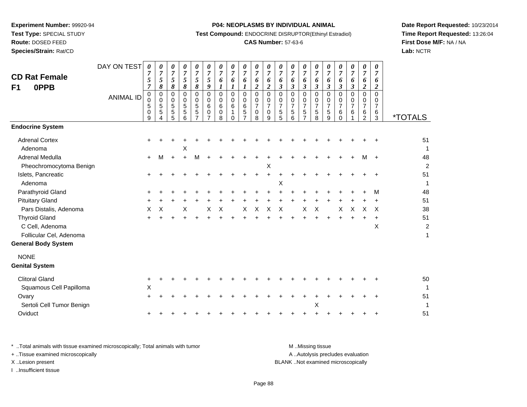**Test Type:** SPECIAL STUDY

**Route:** DOSED FEED

**Species/Strain:** Rat/CD

### **P04: NEOPLASMS BY INDIVIDUAL ANIMAL**

**Test Compound:** ENDOCRINE DISRUPTOR(Ethinyl Estradiol)

## **CAS Number:** 57-63-6

**Date Report Requested:** 10/23/2014**Time Report Requested:** 13:26:04**First Dose M/F:** NA / NA**Lab:** NCTR

| <b>CD Rat Female</b><br>0PPB<br>F1         | DAY ON TEST<br><b>ANIMAL ID</b> | 0<br>$\overline{7}$<br>5<br>7<br>$\mathbf 0$<br>0<br>5<br>0<br>9 | 0<br>$\overline{7}$<br>5<br>8<br>0<br>0<br>5<br>$\sqrt{5}$<br>4 | 0<br>$\overline{7}$<br>5<br>8<br>$\mathsf 0$<br>$\mathsf 0$<br>5<br>$\frac{5}{5}$ | 0<br>$\overline{7}$<br>$\sqrt{5}$<br>8<br>$\Omega$<br>$\mathbf 0$<br>5<br>5<br>6 | 0<br>$\boldsymbol{7}$<br>$\sqrt{5}$<br>8<br>$\Omega$<br>0<br>$\mathbf 5$<br>$\sqrt{5}$<br>$\overline{7}$ | 0<br>$\overline{7}$<br>$\mathfrak{s}$<br>9<br>0<br>0<br>6<br>0<br>$\overline{7}$ | 0<br>$\overline{7}$<br>6<br>1<br>0<br>0<br>6<br>$\mathbf 0$<br>8 | 0<br>$\overline{7}$<br>6<br>1<br>$\Omega$<br>$\mathbf 0$<br>6<br>1<br>$\Omega$ | 0<br>$\overline{7}$<br>6<br>1<br>$\Omega$<br>0<br>6<br>5<br>$\overline{7}$ | 0<br>$\overline{7}$<br>6<br>$\boldsymbol{2}$<br>0<br>0<br>$\overline{7}$<br>0<br>8 | 0<br>$\overline{7}$<br>6<br>$\boldsymbol{2}$<br>$\mathbf 0$<br>0<br>$\overline{7}$<br>$\pmb{0}$<br>9 | 0<br>$\boldsymbol{7}$<br>6<br>$\boldsymbol{\beta}$<br>$\mathbf 0$<br>0<br>$\overline{7}$<br>5<br>5 | 0<br>$\overline{7}$<br>6<br>$\boldsymbol{\beta}$<br>$\Omega$<br>0<br>7<br>5<br>6 | $\boldsymbol{\theta}$<br>$\overline{7}$<br>6<br>$\mathfrak{z}$<br>0<br>$\mathbf 0$<br>7<br>$\mathbf 5$<br>$\overline{7}$ | 0<br>$\overline{7}$<br>6<br>$\boldsymbol{\beta}$<br>$\Omega$<br>0<br>7<br>$\sqrt{5}$<br>8 | 0<br>$\overline{7}$<br>6<br>3<br>$\mathbf 0$<br>$\mathbf 0$<br>$\overline{7}$<br>$\sqrt{5}$<br>9 | 0<br>$\overline{7}$<br>6<br>$\mathfrak{z}$<br>$\mathbf 0$<br>0<br>$\overline{7}$<br>6<br>$\Omega$ | 0<br>$\overline{7}$<br>6<br>$\boldsymbol{\beta}$<br>$\mathbf 0$<br>0<br>$\overline{7}$<br>6 | 0<br>$\overline{7}$<br>6<br>$\boldsymbol{2}$<br>$\mathbf 0$<br>$\mathbf 0$<br>$\overline{7}$<br>6<br>$\overline{2}$ | 0<br>$\overline{7}$<br>6<br>$\boldsymbol{2}$<br>$\Omega$<br>$\Omega$<br>$\overline{7}$<br>6<br>3 | <i><b>*TOTALS</b></i> |
|--------------------------------------------|---------------------------------|------------------------------------------------------------------|-----------------------------------------------------------------|-----------------------------------------------------------------------------------|----------------------------------------------------------------------------------|----------------------------------------------------------------------------------------------------------|----------------------------------------------------------------------------------|------------------------------------------------------------------|--------------------------------------------------------------------------------|----------------------------------------------------------------------------|------------------------------------------------------------------------------------|------------------------------------------------------------------------------------------------------|----------------------------------------------------------------------------------------------------|----------------------------------------------------------------------------------|--------------------------------------------------------------------------------------------------------------------------|-------------------------------------------------------------------------------------------|--------------------------------------------------------------------------------------------------|---------------------------------------------------------------------------------------------------|---------------------------------------------------------------------------------------------|---------------------------------------------------------------------------------------------------------------------|--------------------------------------------------------------------------------------------------|-----------------------|
| <b>Endocrine System</b>                    |                                 |                                                                  |                                                                 |                                                                                   |                                                                                  |                                                                                                          |                                                                                  |                                                                  |                                                                                |                                                                            |                                                                                    |                                                                                                      |                                                                                                    |                                                                                  |                                                                                                                          |                                                                                           |                                                                                                  |                                                                                                   |                                                                                             |                                                                                                                     |                                                                                                  |                       |
| <b>Adrenal Cortex</b><br>Adenoma           |                                 | ÷.                                                               |                                                                 |                                                                                   | X                                                                                |                                                                                                          |                                                                                  |                                                                  |                                                                                |                                                                            |                                                                                    |                                                                                                      |                                                                                                    |                                                                                  |                                                                                                                          |                                                                                           |                                                                                                  |                                                                                                   |                                                                                             |                                                                                                                     |                                                                                                  | 51                    |
| Adrenal Medulla<br>Pheochromocytoma Benign |                                 |                                                                  | м                                                               | $\ddot{}$                                                                         | $\div$                                                                           | M                                                                                                        |                                                                                  |                                                                  |                                                                                |                                                                            |                                                                                    | X                                                                                                    |                                                                                                    |                                                                                  |                                                                                                                          |                                                                                           |                                                                                                  |                                                                                                   |                                                                                             | M                                                                                                                   | $\ddot{}$                                                                                        | 48<br>2               |
| Islets, Pancreatic<br>Adenoma              |                                 |                                                                  |                                                                 |                                                                                   |                                                                                  |                                                                                                          |                                                                                  |                                                                  |                                                                                |                                                                            |                                                                                    | $\ddot{}$                                                                                            | X                                                                                                  |                                                                                  |                                                                                                                          |                                                                                           |                                                                                                  |                                                                                                   |                                                                                             |                                                                                                                     |                                                                                                  | 51<br>1               |
| Parathyroid Gland                          |                                 |                                                                  |                                                                 |                                                                                   |                                                                                  |                                                                                                          |                                                                                  |                                                                  |                                                                                |                                                                            |                                                                                    |                                                                                                      |                                                                                                    |                                                                                  |                                                                                                                          |                                                                                           |                                                                                                  |                                                                                                   |                                                                                             |                                                                                                                     | м                                                                                                | 48                    |
| <b>Pituitary Gland</b>                     |                                 |                                                                  |                                                                 |                                                                                   |                                                                                  |                                                                                                          |                                                                                  |                                                                  |                                                                                |                                                                            |                                                                                    |                                                                                                      |                                                                                                    |                                                                                  |                                                                                                                          |                                                                                           |                                                                                                  |                                                                                                   |                                                                                             |                                                                                                                     |                                                                                                  | 51                    |
| Pars Distalis, Adenoma                     |                                 | X                                                                | Χ                                                               |                                                                                   | X                                                                                |                                                                                                          | X                                                                                | X                                                                |                                                                                | Χ                                                                          | X                                                                                  | X                                                                                                    | $\times$                                                                                           |                                                                                  | Χ                                                                                                                        | $\times$                                                                                  |                                                                                                  | Χ                                                                                                 | X                                                                                           | X                                                                                                                   | X                                                                                                | 38                    |
| <b>Thyroid Gland</b>                       |                                 |                                                                  |                                                                 |                                                                                   |                                                                                  |                                                                                                          |                                                                                  |                                                                  |                                                                                |                                                                            |                                                                                    |                                                                                                      |                                                                                                    |                                                                                  |                                                                                                                          |                                                                                           |                                                                                                  |                                                                                                   |                                                                                             |                                                                                                                     | $\ddot{}$                                                                                        | 51                    |
| C Cell, Adenoma                            |                                 |                                                                  |                                                                 |                                                                                   |                                                                                  |                                                                                                          |                                                                                  |                                                                  |                                                                                |                                                                            |                                                                                    |                                                                                                      |                                                                                                    |                                                                                  |                                                                                                                          |                                                                                           |                                                                                                  |                                                                                                   |                                                                                             |                                                                                                                     | Χ                                                                                                | $\overline{c}$        |
| Follicular Cel, Adenoma                    |                                 |                                                                  |                                                                 |                                                                                   |                                                                                  |                                                                                                          |                                                                                  |                                                                  |                                                                                |                                                                            |                                                                                    |                                                                                                      |                                                                                                    |                                                                                  |                                                                                                                          |                                                                                           |                                                                                                  |                                                                                                   |                                                                                             |                                                                                                                     |                                                                                                  | 1                     |
| <b>General Body System</b>                 |                                 |                                                                  |                                                                 |                                                                                   |                                                                                  |                                                                                                          |                                                                                  |                                                                  |                                                                                |                                                                            |                                                                                    |                                                                                                      |                                                                                                    |                                                                                  |                                                                                                                          |                                                                                           |                                                                                                  |                                                                                                   |                                                                                             |                                                                                                                     |                                                                                                  |                       |
| <b>NONE</b>                                |                                 |                                                                  |                                                                 |                                                                                   |                                                                                  |                                                                                                          |                                                                                  |                                                                  |                                                                                |                                                                            |                                                                                    |                                                                                                      |                                                                                                    |                                                                                  |                                                                                                                          |                                                                                           |                                                                                                  |                                                                                                   |                                                                                             |                                                                                                                     |                                                                                                  |                       |
| <b>Genital System</b>                      |                                 |                                                                  |                                                                 |                                                                                   |                                                                                  |                                                                                                          |                                                                                  |                                                                  |                                                                                |                                                                            |                                                                                    |                                                                                                      |                                                                                                    |                                                                                  |                                                                                                                          |                                                                                           |                                                                                                  |                                                                                                   |                                                                                             |                                                                                                                     |                                                                                                  |                       |
| <b>Clitoral Gland</b>                      |                                 | $\ddot{}$                                                        |                                                                 |                                                                                   |                                                                                  |                                                                                                          |                                                                                  |                                                                  |                                                                                |                                                                            |                                                                                    |                                                                                                      |                                                                                                    |                                                                                  |                                                                                                                          |                                                                                           |                                                                                                  |                                                                                                   |                                                                                             |                                                                                                                     |                                                                                                  | 50                    |
| Squamous Cell Papilloma                    |                                 | X                                                                |                                                                 |                                                                                   |                                                                                  |                                                                                                          |                                                                                  |                                                                  |                                                                                |                                                                            |                                                                                    |                                                                                                      |                                                                                                    |                                                                                  |                                                                                                                          |                                                                                           |                                                                                                  |                                                                                                   |                                                                                             |                                                                                                                     |                                                                                                  |                       |
| Ovary                                      |                                 |                                                                  |                                                                 |                                                                                   |                                                                                  |                                                                                                          |                                                                                  |                                                                  |                                                                                |                                                                            |                                                                                    |                                                                                                      |                                                                                                    |                                                                                  |                                                                                                                          |                                                                                           |                                                                                                  |                                                                                                   |                                                                                             |                                                                                                                     |                                                                                                  | 51                    |
| Sertoli Cell Tumor Benign                  |                                 |                                                                  |                                                                 |                                                                                   |                                                                                  |                                                                                                          |                                                                                  |                                                                  |                                                                                |                                                                            |                                                                                    |                                                                                                      |                                                                                                    |                                                                                  |                                                                                                                          | X                                                                                         |                                                                                                  |                                                                                                   |                                                                                             |                                                                                                                     |                                                                                                  |                       |
| Oviduct                                    |                                 |                                                                  |                                                                 |                                                                                   |                                                                                  |                                                                                                          |                                                                                  |                                                                  |                                                                                |                                                                            |                                                                                    |                                                                                                      |                                                                                                    |                                                                                  |                                                                                                                          |                                                                                           |                                                                                                  |                                                                                                   |                                                                                             |                                                                                                                     |                                                                                                  | 51                    |

| * Total animals with tissue examined microscopically; Total animals with tumor | M Missing tissue                   |
|--------------------------------------------------------------------------------|------------------------------------|
| + Tissue examined microscopically                                              | A Autolysis precludes evaluation   |
| X Lesion present                                                               | BLANK Not examined microscopically |
| …Insufficient tissue                                                           |                                    |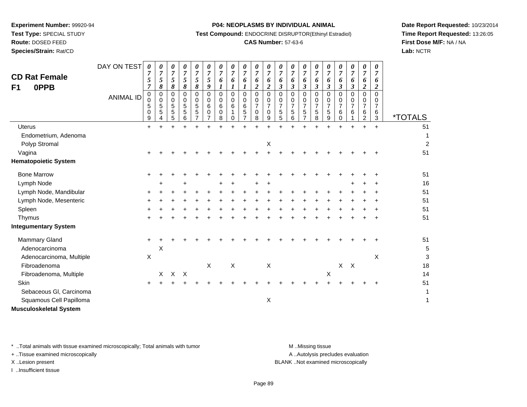**Test Type:** SPECIAL STUDY

**Route:** DOSED FEED

**Species/Strain:** Rat/CD

#### **P04: NEOPLASMS BY INDIVIDUAL ANIMAL**

**Test Compound:** ENDOCRINE DISRUPTOR(Ethinyl Estradiol)

## **CAS Number:** 57-63-6

**Date Report Requested:** 10/23/2014**Time Report Requested:** 13:26:05**First Dose M/F:** NA / NA**Lab:** NCTR

| <b>CD Rat Female</b><br>0PPB<br>F <sub>1</sub> | DAY ON TEST      | $\boldsymbol{\theta}$<br>7<br>5<br>7 | 0<br>7<br>5<br>8 | 0<br>$\boldsymbol{7}$<br>5<br>8                       | 0<br>$\overline{7}$<br>5<br>8   | 0<br>$\overline{7}$<br>5<br>8             | 0<br>$\overline{7}$<br>$\sqrt{5}$<br>9    | 0<br>$\overline{7}$<br>6<br>1 | 0<br>$\overline{7}$<br>6 | 0<br>$\overline{7}$<br>6<br>1                    | 0<br>$\overline{7}$<br>6<br>$\overline{a}$                    | 0<br>$\overline{7}$<br>6<br>$\boldsymbol{2}$ | 0<br>$\overline{7}$<br>6<br>3                          | 0<br>7<br>6<br>3             | 0<br>7<br>6<br>$\boldsymbol{\beta}$       | 0<br>7<br>6<br>3               | 0<br>$\overline{7}$<br>6<br>$\boldsymbol{\beta}$ | 0<br>$\overline{7}$<br>6<br>$\boldsymbol{\beta}$ | 0<br>$\overline{7}$<br>6<br>3        | 0<br>$\overline{7}$<br>6<br>$\boldsymbol{2}$           | 0<br>7<br>6<br>$\overline{\mathbf{2}}$ |                       |
|------------------------------------------------|------------------|--------------------------------------|------------------|-------------------------------------------------------|---------------------------------|-------------------------------------------|-------------------------------------------|-------------------------------|--------------------------|--------------------------------------------------|---------------------------------------------------------------|----------------------------------------------|--------------------------------------------------------|------------------------------|-------------------------------------------|--------------------------------|--------------------------------------------------|--------------------------------------------------|--------------------------------------|--------------------------------------------------------|----------------------------------------|-----------------------|
|                                                | <b>ANIMAL ID</b> | 0<br>$\mathbf 0$<br>5<br>0<br>9      | 0<br>0<br>5<br>5 | $\mathbf 0$<br>$\overline{0}$<br>5<br>$\sqrt{5}$<br>5 | 0<br>$\mathbf 0$<br>5<br>5<br>6 | $\Omega$<br>0<br>5<br>5<br>$\overline{7}$ | $\Omega$<br>0<br>6<br>0<br>$\overline{7}$ | 0<br>0<br>6<br>0<br>8         | 0<br>0<br>6<br>0         | $\mathbf 0$<br>0<br>$\,6$<br>5<br>$\overline{7}$ | $\mathbf 0$<br>$\mathbf 0$<br>$\overline{7}$<br>$\Omega$<br>8 | 0<br>0<br>7<br>0<br>9                        | $\Omega$<br>0<br>$\overline{7}$<br>$\overline{5}$<br>5 | $\Omega$<br>0<br>7<br>5<br>6 | $\Omega$<br>0<br>7<br>5<br>$\overline{7}$ | 0<br>0<br>7<br>$\sqrt{5}$<br>8 | 0<br>0<br>$\overline{7}$<br>5<br>9               | $\Omega$<br>0<br>$\overline{7}$<br>6<br>0        | $\Omega$<br>0<br>$\overline{7}$<br>6 | $\Omega$<br>0<br>$\overline{7}$<br>6<br>$\overline{c}$ | $\Omega$<br>0<br>7<br>6<br>3           | <i><b>*TOTALS</b></i> |
| <b>Uterus</b>                                  |                  | $\ddot{}$                            | $\ddot{}$        | $\ddot{}$                                             | $\ddot{}$                       |                                           |                                           |                               |                          |                                                  | $\ddot{}$                                                     | $\ddot{}$                                    |                                                        |                              |                                           | $\ddot{}$                      | $\ddot{}$                                        | $+$                                              | $\ddot{}$                            |                                                        | $+$                                    | 51                    |
| Endometrium, Adenoma<br>Polyp Stromal          |                  |                                      |                  |                                                       |                                 |                                           |                                           |                               |                          |                                                  |                                                               | X                                            |                                                        |                              |                                           |                                |                                                  |                                                  |                                      |                                                        |                                        | $\overline{2}$        |
| Vagina                                         |                  |                                      |                  |                                                       |                                 |                                           |                                           |                               |                          |                                                  |                                                               |                                              |                                                        |                              |                                           |                                |                                                  |                                                  |                                      |                                                        |                                        | 51                    |
| <b>Hematopoietic System</b>                    |                  |                                      |                  |                                                       |                                 |                                           |                                           |                               |                          |                                                  |                                                               |                                              |                                                        |                              |                                           |                                |                                                  |                                                  |                                      |                                                        |                                        |                       |
| <b>Bone Marrow</b>                             |                  | ÷                                    |                  |                                                       |                                 |                                           |                                           |                               |                          |                                                  |                                                               |                                              |                                                        |                              |                                           |                                |                                                  |                                                  |                                      |                                                        |                                        | 51                    |
| Lymph Node                                     |                  |                                      |                  |                                                       |                                 |                                           |                                           |                               |                          |                                                  |                                                               |                                              |                                                        |                              |                                           |                                |                                                  |                                                  |                                      |                                                        |                                        | 16                    |
| Lymph Node, Mandibular                         |                  |                                      |                  |                                                       |                                 |                                           |                                           |                               |                          |                                                  |                                                               |                                              |                                                        |                              |                                           |                                |                                                  |                                                  |                                      |                                                        |                                        | 51                    |
| Lymph Node, Mesenteric                         |                  |                                      |                  |                                                       |                                 |                                           |                                           |                               |                          |                                                  |                                                               |                                              |                                                        |                              |                                           |                                |                                                  |                                                  |                                      |                                                        |                                        | 51                    |
| Spleen                                         |                  |                                      |                  |                                                       |                                 |                                           |                                           |                               |                          |                                                  |                                                               |                                              |                                                        |                              |                                           |                                |                                                  |                                                  |                                      |                                                        |                                        | 51                    |
| Thymus                                         |                  |                                      |                  |                                                       |                                 |                                           |                                           |                               |                          |                                                  |                                                               |                                              |                                                        |                              |                                           |                                |                                                  |                                                  |                                      |                                                        |                                        | 51                    |
| <b>Integumentary System</b>                    |                  |                                      |                  |                                                       |                                 |                                           |                                           |                               |                          |                                                  |                                                               |                                              |                                                        |                              |                                           |                                |                                                  |                                                  |                                      |                                                        |                                        |                       |
| Mammary Gland                                  |                  | $\pm$                                |                  |                                                       |                                 |                                           |                                           |                               |                          |                                                  |                                                               |                                              |                                                        |                              |                                           |                                |                                                  |                                                  |                                      |                                                        |                                        | 51                    |
| Adenocarcinoma                                 |                  |                                      | Χ                |                                                       |                                 |                                           |                                           |                               |                          |                                                  |                                                               |                                              |                                                        |                              |                                           |                                |                                                  |                                                  |                                      |                                                        |                                        | 5                     |
| Adenocarcinoma, Multiple                       |                  | $\mathsf X$                          |                  |                                                       |                                 |                                           |                                           |                               |                          |                                                  |                                                               |                                              |                                                        |                              |                                           |                                |                                                  |                                                  |                                      |                                                        | $\boldsymbol{\mathsf{X}}$              | 3                     |
| Fibroadenoma                                   |                  |                                      |                  |                                                       |                                 |                                           | $\boldsymbol{\mathsf{X}}$                 |                               | X                        |                                                  |                                                               | X                                            |                                                        |                              |                                           |                                |                                                  | $\mathsf{X}$                                     | $\mathsf{X}$                         |                                                        |                                        | 18                    |
| Fibroadenoma, Multiple                         |                  |                                      | X.               | X                                                     | $\boldsymbol{\mathsf{X}}$       |                                           |                                           |                               |                          |                                                  |                                                               |                                              |                                                        |                              |                                           |                                | X                                                |                                                  |                                      |                                                        |                                        | 14                    |
| Skin                                           |                  | $\div$                               |                  |                                                       |                                 |                                           |                                           |                               |                          |                                                  |                                                               |                                              |                                                        |                              |                                           |                                |                                                  |                                                  |                                      |                                                        |                                        | 51                    |
| Sebaceous Gl, Carcinoma                        |                  |                                      |                  |                                                       |                                 |                                           |                                           |                               |                          |                                                  |                                                               |                                              |                                                        |                              |                                           |                                |                                                  |                                                  |                                      |                                                        |                                        |                       |
| Squamous Cell Papilloma                        |                  |                                      |                  |                                                       |                                 |                                           |                                           |                               |                          |                                                  |                                                               | X                                            |                                                        |                              |                                           |                                |                                                  |                                                  |                                      |                                                        |                                        | 1                     |
| <b>Musculoskeletal System</b>                  |                  |                                      |                  |                                                       |                                 |                                           |                                           |                               |                          |                                                  |                                                               |                                              |                                                        |                              |                                           |                                |                                                  |                                                  |                                      |                                                        |                                        |                       |

\* ..Total animals with tissue examined microscopically; Total animals with tumor **M** . Missing tissue M ..Missing tissue

+ ..Tissue examined microscopically

I ..Insufficient tissue

A ..Autolysis precludes evaluation

X ..Lesion present BLANK ..Not examined microscopically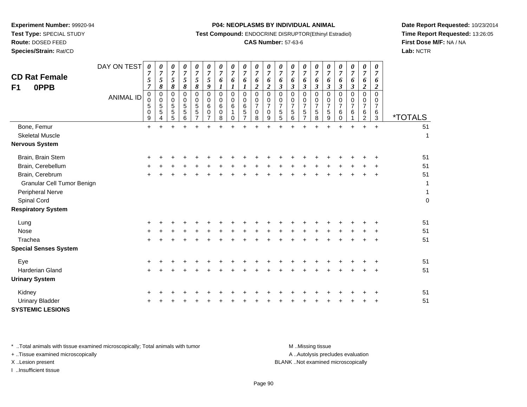**Route:** DOSED FEED

**Species/Strain:** Rat/CD

#### **P04: NEOPLASMS BY INDIVIDUAL ANIMAL**

**Test Compound:** ENDOCRINE DISRUPTOR(Ethinyl Estradiol)

### **CAS Number:** 57-63-6

**Date Report Requested:** 10/23/2014**Time Report Requested:** 13:26:05**First Dose M/F:** NA / NA**Lab:** NCTR

| <b>CD Rat Female</b><br>0PPB<br>F <sub>1</sub> | DAY ON TEST<br><b>ANIMAL ID</b> | 0<br>$\overline{7}$<br>5<br>$\overline{7}$<br>0<br>$\mathbf 0$<br>5<br>$\mathbf 0$<br>9 | 0<br>$\overline{7}$<br>5<br>8<br>0<br>$\mathbf 0$<br>5<br>5<br>4 | 0<br>$\overline{7}$<br>5<br>8<br>$\mathbf 0$<br>$\mathbf 0$<br>$\sqrt{5}$<br>$\sqrt{5}$<br>5 | 0<br>$\boldsymbol{7}$<br>5<br>8<br>$\mathbf 0$<br>0<br>5<br>5<br>6 | 0<br>$\overline{7}$<br>5<br>8<br>$\Omega$<br>0<br>5<br>5<br>$\overline{7}$ | 0<br>$\overline{7}$<br>5<br>9<br>$\Omega$<br>0<br>6<br>$\mathbf 0$<br>$\overline{7}$ | 0<br>$\overline{7}$<br>6<br>$\Omega$<br>0<br>6<br>$\mathbf 0$<br>8 | 0<br>$\overline{7}$<br>6<br>$\mathbf 0$<br>0<br>6<br>1<br>0 | 0<br>$\overline{7}$<br>6<br>1<br>$\Omega$<br>0<br>6<br>$\sqrt{5}$<br>$\overline{7}$ | 0<br>$\overline{7}$<br>6<br>$\overline{2}$<br>$\Omega$<br>$\mathbf 0$<br>$\overline{7}$<br>$\mathbf 0$<br>8 | 0<br>$\overline{7}$<br>6<br>$\boldsymbol{2}$<br>$\mathbf 0$<br>0<br>$\overline{7}$<br>0<br>9 | 0<br>$\overline{7}$<br>6<br>$\mathfrak{z}$<br>$\Omega$<br>0<br>$\overline{7}$<br>$\sqrt{5}$<br>5 | 0<br>$\overline{7}$<br>6<br>$\boldsymbol{\beta}$<br>$\Omega$<br>0<br>$\overline{7}$<br>$\sqrt{5}$<br>6 | 0<br>$\overline{7}$<br>6<br>$\boldsymbol{\beta}$<br>$\Omega$<br>0<br>7<br>$\sqrt{5}$<br>$\overline{7}$ | 0<br>$\overline{7}$<br>6<br>$\boldsymbol{\beta}$<br>$\mathbf 0$<br>0<br>$\overline{7}$<br>$\sqrt{5}$<br>8 | 0<br>$\overline{7}$<br>6<br>$\boldsymbol{\beta}$<br>$\Omega$<br>0<br>7<br>5<br>9 | 0<br>$\overline{7}$<br>6<br>$\boldsymbol{\beta}$<br>$\Omega$<br>$\mathbf 0$<br>$\overline{7}$<br>6<br>$\mathsf 0$ | 0<br>$\overline{7}$<br>6<br>$\boldsymbol{\beta}$<br>0<br>0<br>$\overline{7}$<br>6 | $\boldsymbol{\theta}$<br>$\overline{7}$<br>6<br>$\boldsymbol{2}$<br>$\Omega$<br>0<br>$\overline{7}$<br>$\,6$<br>$\overline{2}$ | 0<br>6<br>2<br>$\Omega$<br>0<br>$\overline{7}$<br>6<br>3 | <i><b>*TOTALS</b></i> |
|------------------------------------------------|---------------------------------|-----------------------------------------------------------------------------------------|------------------------------------------------------------------|----------------------------------------------------------------------------------------------|--------------------------------------------------------------------|----------------------------------------------------------------------------|--------------------------------------------------------------------------------------|--------------------------------------------------------------------|-------------------------------------------------------------|-------------------------------------------------------------------------------------|-------------------------------------------------------------------------------------------------------------|----------------------------------------------------------------------------------------------|--------------------------------------------------------------------------------------------------|--------------------------------------------------------------------------------------------------------|--------------------------------------------------------------------------------------------------------|-----------------------------------------------------------------------------------------------------------|----------------------------------------------------------------------------------|-------------------------------------------------------------------------------------------------------------------|-----------------------------------------------------------------------------------|--------------------------------------------------------------------------------------------------------------------------------|----------------------------------------------------------|-----------------------|
| Bone, Femur                                    |                                 | $+$                                                                                     | $+$                                                              | $+$                                                                                          | $\ddot{}$                                                          | $\ddot{}$                                                                  |                                                                                      | ÷                                                                  | $\ddot{}$                                                   | $\ddot{}$                                                                           | $\ddot{}$                                                                                                   | $+$                                                                                          |                                                                                                  | $\ddot{}$                                                                                              | $\ddot{}$                                                                                              | $\ddot{}$                                                                                                 | $+$                                                                              | $\ddot{}$                                                                                                         | $\ddot{}$                                                                         | $\ddot{}$                                                                                                                      | $+$                                                      | 51                    |
| <b>Skeletal Muscle</b>                         |                                 |                                                                                         |                                                                  |                                                                                              |                                                                    |                                                                            |                                                                                      |                                                                    |                                                             |                                                                                     |                                                                                                             |                                                                                              |                                                                                                  |                                                                                                        |                                                                                                        |                                                                                                           |                                                                                  |                                                                                                                   |                                                                                   |                                                                                                                                |                                                          | 1                     |
| <b>Nervous System</b>                          |                                 |                                                                                         |                                                                  |                                                                                              |                                                                    |                                                                            |                                                                                      |                                                                    |                                                             |                                                                                     |                                                                                                             |                                                                                              |                                                                                                  |                                                                                                        |                                                                                                        |                                                                                                           |                                                                                  |                                                                                                                   |                                                                                   |                                                                                                                                |                                                          |                       |
| Brain, Brain Stem                              |                                 |                                                                                         |                                                                  |                                                                                              |                                                                    |                                                                            |                                                                                      |                                                                    |                                                             |                                                                                     |                                                                                                             |                                                                                              |                                                                                                  |                                                                                                        |                                                                                                        |                                                                                                           |                                                                                  |                                                                                                                   |                                                                                   |                                                                                                                                |                                                          | 51                    |
| Brain, Cerebellum                              |                                 |                                                                                         |                                                                  |                                                                                              |                                                                    |                                                                            |                                                                                      |                                                                    |                                                             |                                                                                     |                                                                                                             |                                                                                              |                                                                                                  |                                                                                                        |                                                                                                        |                                                                                                           |                                                                                  |                                                                                                                   |                                                                                   |                                                                                                                                |                                                          | 51                    |
| Brain, Cerebrum                                |                                 |                                                                                         |                                                                  |                                                                                              |                                                                    |                                                                            |                                                                                      |                                                                    |                                                             |                                                                                     |                                                                                                             |                                                                                              |                                                                                                  |                                                                                                        |                                                                                                        |                                                                                                           |                                                                                  |                                                                                                                   |                                                                                   |                                                                                                                                |                                                          | 51                    |
| Granular Cell Tumor Benign                     |                                 |                                                                                         |                                                                  |                                                                                              |                                                                    |                                                                            |                                                                                      |                                                                    |                                                             |                                                                                     |                                                                                                             |                                                                                              |                                                                                                  |                                                                                                        |                                                                                                        |                                                                                                           |                                                                                  |                                                                                                                   |                                                                                   |                                                                                                                                |                                                          | 1                     |
| Peripheral Nerve                               |                                 |                                                                                         |                                                                  |                                                                                              |                                                                    |                                                                            |                                                                                      |                                                                    |                                                             |                                                                                     |                                                                                                             |                                                                                              |                                                                                                  |                                                                                                        |                                                                                                        |                                                                                                           |                                                                                  |                                                                                                                   |                                                                                   |                                                                                                                                |                                                          | $\mathbf 1$           |
| Spinal Cord                                    |                                 |                                                                                         |                                                                  |                                                                                              |                                                                    |                                                                            |                                                                                      |                                                                    |                                                             |                                                                                     |                                                                                                             |                                                                                              |                                                                                                  |                                                                                                        |                                                                                                        |                                                                                                           |                                                                                  |                                                                                                                   |                                                                                   |                                                                                                                                |                                                          | $\mathbf 0$           |
| <b>Respiratory System</b>                      |                                 |                                                                                         |                                                                  |                                                                                              |                                                                    |                                                                            |                                                                                      |                                                                    |                                                             |                                                                                     |                                                                                                             |                                                                                              |                                                                                                  |                                                                                                        |                                                                                                        |                                                                                                           |                                                                                  |                                                                                                                   |                                                                                   |                                                                                                                                |                                                          |                       |
| Lung                                           |                                 |                                                                                         |                                                                  |                                                                                              |                                                                    |                                                                            |                                                                                      |                                                                    |                                                             |                                                                                     |                                                                                                             |                                                                                              |                                                                                                  |                                                                                                        |                                                                                                        |                                                                                                           |                                                                                  |                                                                                                                   |                                                                                   |                                                                                                                                |                                                          | 51                    |
| Nose                                           |                                 |                                                                                         |                                                                  |                                                                                              |                                                                    |                                                                            |                                                                                      |                                                                    |                                                             |                                                                                     |                                                                                                             |                                                                                              |                                                                                                  |                                                                                                        |                                                                                                        |                                                                                                           |                                                                                  |                                                                                                                   |                                                                                   |                                                                                                                                |                                                          | 51                    |
| Trachea                                        |                                 |                                                                                         |                                                                  |                                                                                              |                                                                    |                                                                            |                                                                                      |                                                                    |                                                             |                                                                                     |                                                                                                             |                                                                                              |                                                                                                  |                                                                                                        |                                                                                                        |                                                                                                           |                                                                                  |                                                                                                                   |                                                                                   |                                                                                                                                |                                                          | 51                    |
| <b>Special Senses System</b>                   |                                 |                                                                                         |                                                                  |                                                                                              |                                                                    |                                                                            |                                                                                      |                                                                    |                                                             |                                                                                     |                                                                                                             |                                                                                              |                                                                                                  |                                                                                                        |                                                                                                        |                                                                                                           |                                                                                  |                                                                                                                   |                                                                                   |                                                                                                                                |                                                          |                       |
| Eye                                            |                                 |                                                                                         |                                                                  |                                                                                              |                                                                    |                                                                            |                                                                                      |                                                                    |                                                             |                                                                                     |                                                                                                             |                                                                                              |                                                                                                  |                                                                                                        |                                                                                                        |                                                                                                           |                                                                                  |                                                                                                                   |                                                                                   |                                                                                                                                |                                                          | 51                    |
| Harderian Gland                                |                                 |                                                                                         |                                                                  |                                                                                              |                                                                    |                                                                            |                                                                                      |                                                                    |                                                             |                                                                                     |                                                                                                             |                                                                                              |                                                                                                  |                                                                                                        |                                                                                                        |                                                                                                           |                                                                                  |                                                                                                                   |                                                                                   |                                                                                                                                |                                                          | 51                    |
| <b>Urinary System</b>                          |                                 |                                                                                         |                                                                  |                                                                                              |                                                                    |                                                                            |                                                                                      |                                                                    |                                                             |                                                                                     |                                                                                                             |                                                                                              |                                                                                                  |                                                                                                        |                                                                                                        |                                                                                                           |                                                                                  |                                                                                                                   |                                                                                   |                                                                                                                                |                                                          |                       |
| Kidney                                         |                                 |                                                                                         |                                                                  |                                                                                              |                                                                    |                                                                            |                                                                                      |                                                                    |                                                             |                                                                                     |                                                                                                             |                                                                                              |                                                                                                  |                                                                                                        |                                                                                                        |                                                                                                           |                                                                                  |                                                                                                                   |                                                                                   |                                                                                                                                |                                                          | 51                    |
| <b>Urinary Bladder</b>                         |                                 |                                                                                         |                                                                  |                                                                                              |                                                                    |                                                                            |                                                                                      |                                                                    |                                                             |                                                                                     |                                                                                                             |                                                                                              |                                                                                                  |                                                                                                        |                                                                                                        |                                                                                                           |                                                                                  |                                                                                                                   |                                                                                   |                                                                                                                                |                                                          | 51                    |
| <b>SYSTEMIC LESIONS</b>                        |                                 |                                                                                         |                                                                  |                                                                                              |                                                                    |                                                                            |                                                                                      |                                                                    |                                                             |                                                                                     |                                                                                                             |                                                                                              |                                                                                                  |                                                                                                        |                                                                                                        |                                                                                                           |                                                                                  |                                                                                                                   |                                                                                   |                                                                                                                                |                                                          |                       |

\* ..Total animals with tissue examined microscopically; Total animals with tumor **M** . Missing tissue M ..Missing tissue

+ ..Tissue examined microscopically

I ..Insufficient tissue

A ..Autolysis precludes evaluation

X ..Lesion present BLANK ..Not examined microscopically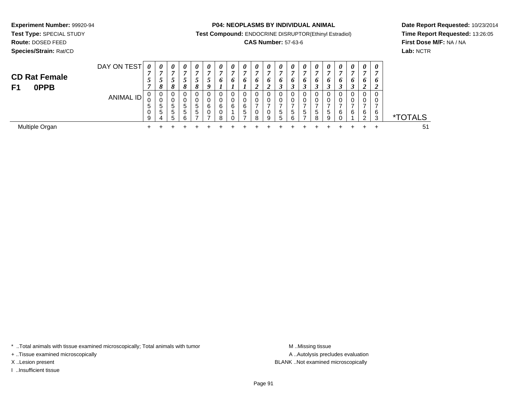**Test Type:** SPECIAL STUDY

**Route:** DOSED FEED

**Species/Strain:** Rat/CD

#### **P04: NEOPLASMS BY INDIVIDUAL ANIMAL**

**Test Compound:** ENDOCRINE DISRUPTOR(Ethinyl Estradiol)

## **CAS Number:** 57-63-6

**Date Report Requested:** 10/23/2014**Time Report Requested:** 13:26:05**First Dose M/F:** NA / NA**Lab:** NCTR

| <b>CD Rat Female</b><br>0PPB<br>F <sub>1</sub> | DAY ON TEST      | $\boldsymbol{\theta}$<br>◡ | 0<br>J<br>8                      | 0<br>8                   | 0<br>⇁<br>8                      | 0<br>$\overline{ }$<br>ັ<br>8 | 0<br>$\overline{ }$<br>C<br>o | 0<br>0 | 0<br>6 | 0<br>−<br>O            | 0<br>o | 0<br>O | $\boldsymbol{\theta}$<br>o | $\boldsymbol{\theta}$<br>$\overline{ }$<br>6<br>◡ | $\boldsymbol{\theta}$<br>F.<br>o<br>J | $\boldsymbol{\theta}$<br>o<br>J    | 0<br>o<br>J | 0<br>−<br>o<br>3 | $\boldsymbol{\theta}$<br>o<br>◡ | $\theta$<br>o<br>ി<br>◢ | 0<br>Đ |      |
|------------------------------------------------|------------------|----------------------------|----------------------------------|--------------------------|----------------------------------|-------------------------------|-------------------------------|--------|--------|------------------------|--------|--------|----------------------------|---------------------------------------------------|---------------------------------------|------------------------------------|-------------|------------------|---------------------------------|-------------------------|--------|------|
|                                                | <b>ANIMAL ID</b> | v<br><sub>5</sub><br>9     | 0<br>υ<br><sub>5</sub><br>5<br>4 | D.<br>b.<br>$\mathbf{b}$ | 0<br>0<br>$5^{\circ}$<br>5<br>6. | 0<br>0<br>5<br>5              | 0<br>0<br>6<br>0              | 6<br>o | 6      | 0<br>6<br><sub>5</sub> | 0<br>8 |        | $5^{\circ}$                | v<br>U<br><sub>5</sub><br>6                       | 0<br>0<br>5                           | <u>0</u><br>υ<br><sub>5</sub><br>8 | 5           | 0<br>0<br>6      | -6                              | 0<br>0<br>6<br>◠        | 6      | TALS |
| Multiple Organ                                 |                  |                            |                                  |                          |                                  |                               |                               |        |        |                        |        |        |                            |                                                   |                                       |                                    |             |                  |                                 |                         | ÷      | 51   |

\* ..Total animals with tissue examined microscopically; Total animals with tumor **M** . Missing tissue M ..Missing tissue

+ ..Tissue examined microscopically

I ..Insufficient tissue

A ..Autolysis precludes evaluation X ..Lesion present BLANK ..Not examined microscopically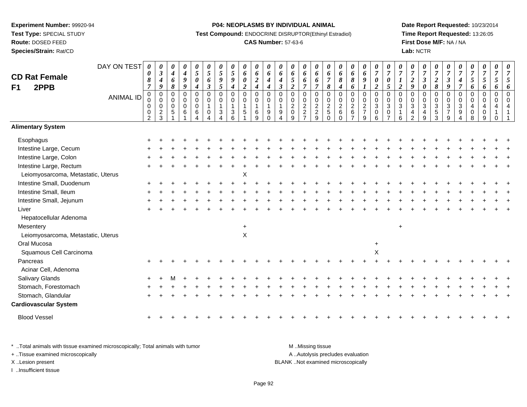**Test Type:** SPECIAL STUDY

**Route:** DOSED FEED

**Species/Strain:** Rat/CD

#### **P04: NEOPLASMS BY INDIVIDUAL ANIMAL**

**Test Compound:** ENDOCRINE DISRUPTOR(Ethinyl Estradiol)

## **CAS Number:** 57-63-6

**Date Report Requested:** 10/23/2014**Time Report Requested:** 13:26:05**First Dose M/F:** NA / NA**Lab:** NCTR

| <b>CD Rat Female</b>               | DAY ON TEST      | 0<br>$\boldsymbol{\theta}$<br>$\pmb{8}$<br>$\overline{7}$              | 0<br>$\boldsymbol{\beta}$<br>4<br>9                              | 0<br>$\boldsymbol{4}$<br>6<br>$\pmb{8}$        | 0<br>$\boldsymbol{4}$<br>9<br>$\boldsymbol{q}$ | 0<br>$\sqrt{5}$<br>0<br>4                            | 0<br>$\mathfrak{s}$<br>6<br>$\mathfrak{z}$                          | 0<br>$\mathfrak{s}$<br>9<br>5                        | 0<br>$\overline{5}$<br>9<br>$\boldsymbol{4}$          | 0<br>6<br>$\pmb{\theta}$<br>$\overline{c}$ | 0<br>6<br>$\frac{2}{4}$                         | 0<br>$\pmb{6}$<br>$\boldsymbol{4}$<br>$\boldsymbol{4}$                           | 0<br>6<br>4<br>$\boldsymbol{\beta}$                        | 0<br>6<br>$\mathfrak{s}$<br>$\overline{2}$                             | 0<br>6<br>6<br>$\overline{7}$                                            | 0<br>6<br>6<br>$\overline{7}$                    | 0<br>6<br>$\boldsymbol{7}$<br>8                           | 0<br>6<br>$\pmb{8}$<br>$\boldsymbol{4}$                           | 0<br>6<br>$\pmb{8}$<br>6                                                | $\boldsymbol{\theta}$<br>6<br>9                                     | $\boldsymbol{\theta}$<br>$\overline{7}$<br>$\pmb{\theta}$<br>$\overline{2}$ | $\boldsymbol{\theta}$<br>$\overline{7}$<br>$\boldsymbol{\theta}$<br>5                  | $\overline{7}$<br>$\overline{2}$       | 0<br>$\overline{7}$<br>$\boldsymbol{2}$<br>$\boldsymbol{g}$ | 0<br>$\boldsymbol{7}$<br>$\boldsymbol{\mathfrak{z}}$<br>0      | 0<br>$\overline{7}$<br>$\boldsymbol{2}$<br>$\boldsymbol{\delta}$ | 0<br>$\overline{7}$<br>$\boldsymbol{\beta}$<br>9                | 0<br>$\overline{7}$<br>$\boldsymbol{4}$<br>$\overline{7}$ | 0<br>$\boldsymbol{7}$<br>$5\overline{)}$<br>6   | 0<br>$\boldsymbol{7}$<br>$\mathfrak{S}$<br>6 | 0<br>$\overline{7}$<br>$\mathfrak{z}$<br>6 |  |
|------------------------------------|------------------|------------------------------------------------------------------------|------------------------------------------------------------------|------------------------------------------------|------------------------------------------------|------------------------------------------------------|---------------------------------------------------------------------|------------------------------------------------------|-------------------------------------------------------|--------------------------------------------|-------------------------------------------------|----------------------------------------------------------------------------------|------------------------------------------------------------|------------------------------------------------------------------------|--------------------------------------------------------------------------|--------------------------------------------------|-----------------------------------------------------------|-------------------------------------------------------------------|-------------------------------------------------------------------------|---------------------------------------------------------------------|-----------------------------------------------------------------------------|----------------------------------------------------------------------------------------|----------------------------------------|-------------------------------------------------------------|----------------------------------------------------------------|------------------------------------------------------------------|-----------------------------------------------------------------|-----------------------------------------------------------|-------------------------------------------------|----------------------------------------------|--------------------------------------------|--|
| 2PPB<br>F1                         | <b>ANIMAL ID</b> | $\pmb{0}$<br>$\mathbf 0$<br>$\mathbf 0$<br>$\pmb{0}$<br>$\overline{2}$ | $\mathbf 0$<br>$\mathbf 0$<br>$\mathbf 0$<br>$\overline{c}$<br>3 | $\mathbf 0$<br>$\mathbf 0$<br>$\mathbf 0$<br>5 | $\mathbf 0$<br>$\mathbf 0$<br>0<br>6           | $\mathbf 0$<br>$\mathbf 0$<br>0<br>$\,6$<br>$\Delta$ | $\pmb{0}$<br>$\mathbf 0$<br>$\overline{1}$<br>$\pmb{0}$<br>$\Delta$ | $\mathbf 0$<br>$\mathbf 0$<br>$\mathbf{1}$<br>3<br>4 | $\mathbf 0$<br>$\mathbf 0$<br>-1<br>$\mathbf{3}$<br>6 | $\mathbf 0$<br>$\mathbf 0$<br>5            | 0<br>$\boldsymbol{0}$<br>$\mathbf{1}$<br>$^6_9$ | $\mathbf 0$<br>$\pmb{0}$<br>$\mathbf{1}$<br>$\begin{matrix} 9 \\ 0 \end{matrix}$ | $\Omega$<br>$\mathbf 0$<br>$\overline{1}$<br>9<br>$\Delta$ | $\Omega$<br>$\mathbf 0$<br>$\overline{c}$<br>$\pmb{0}$<br>$\mathsf{Q}$ | 0<br>$\mathbf 0$<br>$\overline{c}$<br>$\boldsymbol{2}$<br>$\overline{7}$ | $\mathbf 0$<br>$\mathbf 0$<br>$\frac{2}{2}$<br>9 | $\Omega$<br>$\boldsymbol{0}$<br>$\frac{2}{5}$<br>$\Omega$ | $\mathbf 0$<br>$\pmb{0}$<br>$\overline{c}$<br>$\,6\,$<br>$\Omega$ | $\mathbf 0$<br>$\pmb{0}$<br>$\boldsymbol{2}$<br>$\,6$<br>$\overline{ }$ | $\mathsf 0$<br>$\mathbf 0$<br>$\overline{c}$<br>$\overline{7}$<br>9 | $\pmb{0}$<br>$\mathbf 0$<br>$\mathbf{3}$<br>$\pmb{0}$<br>6                  | $\mathbf 0$<br>$\mathbf 0$<br>$\ensuremath{\mathsf{3}}$<br>$\pmb{0}$<br>$\overline{7}$ | $\Omega$<br>$\mathbf 0$<br>3<br>1<br>6 | $\Omega$<br>0<br>3<br>4<br>$\mathfrak{p}$                   | 0<br>$\pmb{0}$<br>$\mathbf{3}$<br>$\overline{\mathbf{4}}$<br>9 | $\mathbf 0$<br>$\pmb{0}$<br>$\frac{3}{5}$                        | $\mathbf 0$<br>$\mathbf 0$<br>$\sqrt{3}$<br>$\overline{7}$<br>9 | $\mathbf 0$<br>$\mathbf 0$<br>3<br>9<br>$\Delta$          | $\pmb{0}$<br>$\mathbf 0$<br>4<br>$\pmb{0}$<br>8 | $\pmb{0}$<br>$\mathbf 0$<br>4<br>0<br>9      | 0<br>0<br>4<br>$\Omega$                    |  |
| <b>Alimentary System</b>           |                  |                                                                        |                                                                  |                                                |                                                |                                                      |                                                                     |                                                      |                                                       |                                            |                                                 |                                                                                  |                                                            |                                                                        |                                                                          |                                                  |                                                           |                                                                   |                                                                         |                                                                     |                                                                             |                                                                                        |                                        |                                                             |                                                                |                                                                  |                                                                 |                                                           |                                                 |                                              |                                            |  |
| Esophagus                          |                  |                                                                        |                                                                  |                                                |                                                |                                                      |                                                                     |                                                      |                                                       |                                            |                                                 |                                                                                  |                                                            |                                                                        |                                                                          |                                                  |                                                           |                                                                   |                                                                         |                                                                     |                                                                             |                                                                                        |                                        |                                                             |                                                                |                                                                  |                                                                 |                                                           |                                                 |                                              |                                            |  |
| Intestine Large, Cecum             |                  |                                                                        |                                                                  |                                                |                                                |                                                      |                                                                     |                                                      |                                                       |                                            |                                                 |                                                                                  |                                                            |                                                                        |                                                                          |                                                  |                                                           |                                                                   |                                                                         |                                                                     |                                                                             |                                                                                        |                                        |                                                             |                                                                |                                                                  |                                                                 |                                                           |                                                 |                                              |                                            |  |
| Intestine Large, Colon             |                  |                                                                        |                                                                  |                                                |                                                |                                                      |                                                                     |                                                      |                                                       |                                            |                                                 |                                                                                  |                                                            |                                                                        |                                                                          |                                                  |                                                           |                                                                   |                                                                         |                                                                     |                                                                             |                                                                                        |                                        |                                                             |                                                                |                                                                  |                                                                 |                                                           |                                                 |                                              |                                            |  |
| Intestine Large, Rectum            |                  |                                                                        |                                                                  |                                                |                                                |                                                      |                                                                     |                                                      |                                                       |                                            |                                                 |                                                                                  |                                                            |                                                                        |                                                                          |                                                  |                                                           |                                                                   |                                                                         |                                                                     |                                                                             |                                                                                        |                                        |                                                             |                                                                |                                                                  |                                                                 |                                                           |                                                 |                                              |                                            |  |
| Leiomyosarcoma, Metastatic, Uterus |                  |                                                                        |                                                                  |                                                |                                                |                                                      |                                                                     |                                                      |                                                       | X                                          |                                                 |                                                                                  |                                                            |                                                                        |                                                                          |                                                  |                                                           |                                                                   |                                                                         |                                                                     |                                                                             |                                                                                        |                                        |                                                             |                                                                |                                                                  |                                                                 |                                                           |                                                 |                                              |                                            |  |
| Intestine Small, Duodenum          |                  |                                                                        |                                                                  |                                                |                                                |                                                      |                                                                     |                                                      |                                                       |                                            |                                                 |                                                                                  |                                                            |                                                                        |                                                                          |                                                  |                                                           |                                                                   |                                                                         |                                                                     |                                                                             |                                                                                        |                                        |                                                             |                                                                |                                                                  |                                                                 |                                                           |                                                 |                                              |                                            |  |
| Intestine Small, Ileum             |                  |                                                                        |                                                                  |                                                |                                                |                                                      |                                                                     |                                                      |                                                       |                                            |                                                 |                                                                                  |                                                            |                                                                        |                                                                          |                                                  |                                                           |                                                                   |                                                                         |                                                                     |                                                                             |                                                                                        |                                        |                                                             |                                                                |                                                                  |                                                                 |                                                           |                                                 |                                              |                                            |  |
| Intestine Small, Jejunum           |                  |                                                                        |                                                                  |                                                |                                                |                                                      |                                                                     |                                                      |                                                       |                                            |                                                 |                                                                                  |                                                            |                                                                        |                                                                          |                                                  |                                                           |                                                                   |                                                                         |                                                                     |                                                                             |                                                                                        |                                        |                                                             |                                                                |                                                                  |                                                                 |                                                           |                                                 |                                              |                                            |  |
| Liver                              |                  |                                                                        |                                                                  |                                                |                                                |                                                      |                                                                     |                                                      |                                                       |                                            |                                                 |                                                                                  |                                                            |                                                                        |                                                                          |                                                  |                                                           |                                                                   |                                                                         |                                                                     |                                                                             |                                                                                        |                                        |                                                             |                                                                |                                                                  |                                                                 |                                                           |                                                 |                                              |                                            |  |
| Hepatocellular Adenoma             |                  |                                                                        |                                                                  |                                                |                                                |                                                      |                                                                     |                                                      |                                                       |                                            |                                                 |                                                                                  |                                                            |                                                                        |                                                                          |                                                  |                                                           |                                                                   |                                                                         |                                                                     |                                                                             |                                                                                        |                                        |                                                             |                                                                |                                                                  |                                                                 |                                                           |                                                 |                                              |                                            |  |
| Mesentery                          |                  |                                                                        |                                                                  |                                                |                                                |                                                      |                                                                     |                                                      |                                                       | +                                          |                                                 |                                                                                  |                                                            |                                                                        |                                                                          |                                                  |                                                           |                                                                   |                                                                         |                                                                     |                                                                             |                                                                                        | $\ddot{}$                              |                                                             |                                                                |                                                                  |                                                                 |                                                           |                                                 |                                              |                                            |  |
| Leiomyosarcoma, Metastatic, Uterus |                  |                                                                        |                                                                  |                                                |                                                |                                                      |                                                                     |                                                      |                                                       | X                                          |                                                 |                                                                                  |                                                            |                                                                        |                                                                          |                                                  |                                                           |                                                                   |                                                                         |                                                                     |                                                                             |                                                                                        |                                        |                                                             |                                                                |                                                                  |                                                                 |                                                           |                                                 |                                              |                                            |  |
| Oral Mucosa                        |                  |                                                                        |                                                                  |                                                |                                                |                                                      |                                                                     |                                                      |                                                       |                                            |                                                 |                                                                                  |                                                            |                                                                        |                                                                          |                                                  |                                                           |                                                                   |                                                                         |                                                                     | $\ddot{}$                                                                   |                                                                                        |                                        |                                                             |                                                                |                                                                  |                                                                 |                                                           |                                                 |                                              |                                            |  |
| Squamous Cell Carcinoma            |                  |                                                                        |                                                                  |                                                |                                                |                                                      |                                                                     |                                                      |                                                       |                                            |                                                 |                                                                                  |                                                            |                                                                        |                                                                          |                                                  |                                                           |                                                                   |                                                                         |                                                                     | X                                                                           |                                                                                        |                                        |                                                             |                                                                |                                                                  |                                                                 |                                                           |                                                 |                                              |                                            |  |
| Pancreas                           |                  |                                                                        |                                                                  |                                                |                                                |                                                      |                                                                     |                                                      |                                                       |                                            |                                                 |                                                                                  |                                                            |                                                                        |                                                                          |                                                  |                                                           |                                                                   |                                                                         |                                                                     |                                                                             |                                                                                        |                                        |                                                             |                                                                |                                                                  |                                                                 |                                                           |                                                 |                                              |                                            |  |
| Acinar Cell, Adenoma               |                  |                                                                        |                                                                  |                                                |                                                |                                                      |                                                                     |                                                      |                                                       |                                            |                                                 |                                                                                  |                                                            |                                                                        |                                                                          |                                                  |                                                           |                                                                   |                                                                         |                                                                     |                                                                             |                                                                                        |                                        |                                                             |                                                                |                                                                  |                                                                 |                                                           |                                                 |                                              |                                            |  |
| <b>Salivary Glands</b>             |                  |                                                                        |                                                                  |                                                |                                                |                                                      |                                                                     |                                                      |                                                       |                                            |                                                 |                                                                                  |                                                            |                                                                        |                                                                          |                                                  |                                                           |                                                                   |                                                                         |                                                                     |                                                                             |                                                                                        |                                        |                                                             |                                                                |                                                                  |                                                                 |                                                           |                                                 |                                              |                                            |  |
| Stomach, Forestomach               |                  |                                                                        |                                                                  |                                                |                                                |                                                      |                                                                     |                                                      |                                                       |                                            |                                                 |                                                                                  |                                                            |                                                                        |                                                                          |                                                  |                                                           |                                                                   |                                                                         |                                                                     |                                                                             |                                                                                        |                                        |                                                             |                                                                |                                                                  |                                                                 |                                                           |                                                 |                                              |                                            |  |
| Stomach, Glandular                 |                  |                                                                        |                                                                  |                                                |                                                |                                                      |                                                                     |                                                      |                                                       |                                            |                                                 |                                                                                  |                                                            |                                                                        |                                                                          |                                                  |                                                           |                                                                   |                                                                         |                                                                     |                                                                             |                                                                                        |                                        |                                                             |                                                                |                                                                  |                                                                 |                                                           |                                                 |                                              |                                            |  |
| <b>Cardiovascular System</b>       |                  |                                                                        |                                                                  |                                                |                                                |                                                      |                                                                     |                                                      |                                                       |                                            |                                                 |                                                                                  |                                                            |                                                                        |                                                                          |                                                  |                                                           |                                                                   |                                                                         |                                                                     |                                                                             |                                                                                        |                                        |                                                             |                                                                |                                                                  |                                                                 |                                                           |                                                 |                                              |                                            |  |
| <b>Blood Vessel</b>                |                  |                                                                        |                                                                  |                                                |                                                |                                                      |                                                                     |                                                      |                                                       |                                            |                                                 |                                                                                  |                                                            |                                                                        |                                                                          |                                                  |                                                           |                                                                   |                                                                         |                                                                     |                                                                             |                                                                                        |                                        |                                                             |                                                                |                                                                  |                                                                 |                                                           |                                                 |                                              |                                            |  |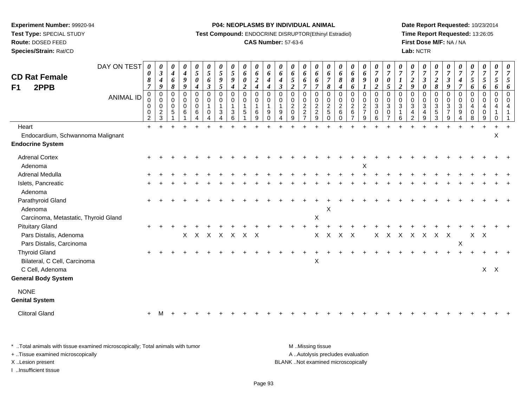**Test Type:** SPECIAL STUDY

## **Route:** DOSED FEED

**Species/Strain:** Rat/CD

#### **P04: NEOPLASMS BY INDIVIDUAL ANIMAL**

**Test Compound:** ENDOCRINE DISRUPTOR(Ethinyl Estradiol)

## **CAS Number:** 57-63-6

**Date Report Requested:** 10/23/2014**Time Report Requested:** 13:26:05**First Dose M/F:** NA / NA**Lab:** NCTR

| DAY ON TEST<br><b>CD Rat Female</b><br>2PPB<br>F1<br><b>ANIMAL ID</b> | 0<br>0<br>$\pmb{8}$<br>$\overline{7}$<br>0<br>0<br>$\mathbf 0$<br>$\pmb{0}$<br>$\overline{2}$ | 0<br>$\mathbf{3}$<br>$\boldsymbol{4}$<br>$\boldsymbol{g}$<br>$\Omega$<br>$\mathbf 0$<br>$\mathbf 0$<br>$\overline{c}$<br>3 | 0<br>$\boldsymbol{4}$<br>6<br>8<br>$\Omega$<br>$\mathbf 0$<br>$\mathbf 0$<br>5<br>1 | 0<br>9<br>9<br>$\mathbf 0$<br>$\mathbf 0$<br>6 | $\boldsymbol{4}$<br>0 | 0<br>$\mathfrak{s}$<br>$\boldsymbol{\theta}$<br>$\boldsymbol{4}$<br>$\mathbf 0$<br>$\mathbf 0$<br>$\mathbf 0$<br>6<br>$\overline{4}$ | $\boldsymbol{\theta}$<br>$\mathfrak{s}$<br>6<br>$\mathfrak{z}$<br>$\Omega$<br>$\mathbf 0$<br>1<br>0<br>4 | 0<br>$\sqrt{5}$<br>$\boldsymbol{g}$<br>$5\overline{)}$<br>$\Omega$<br>0<br>$\overline{1}$<br>3<br>4 | 0<br>$\mathfrak{s}$<br>9<br>$\boldsymbol{4}$<br>$\Omega$<br>$\mathbf 0$<br>$\mathbf{1}$<br>3<br>6 | 0<br>6<br>$\boldsymbol{\theta}$<br>$\overline{2}$<br>0<br>$\mathbf 0$<br>$\mathbf{1}$<br>5<br>$\blacktriangleleft$ | 0<br>$\pmb{6}$<br>$\boldsymbol{2}$<br>$\overline{\boldsymbol{4}}$<br>$\Omega$<br>$\mathbf 0$<br>$\overline{1}$<br>$\,6$<br>9 | $\boldsymbol{\theta}$<br>6<br>4<br>4<br>$\Omega$<br>0<br>1<br>9<br>$\Omega$ | 0<br>6<br>$\boldsymbol{4}$<br>$\mathfrak{z}$<br>$\Omega$<br>0<br>9<br>4 | 0<br>6<br>5<br>$\overline{2}$<br>$\Omega$<br>0<br>$\overline{2}$<br>$\mathbf 0$<br>9 | 0<br>6<br>6<br>$\overline{7}$<br>$\Omega$<br>$\mathbf 0$<br>$\frac{2}{2}$<br>$\overline{7}$ | $\boldsymbol{\theta}$<br>6<br>6<br>$\overline{7}$<br>$\Omega$<br>$0$<br>$2$<br>$9$ | $\boldsymbol{\theta}$<br>6<br>$\overline{7}$<br>8<br>$\mathbf 0$<br>$\begin{array}{c} 0 \\ 2 \\ 5 \end{array}$<br>$\mathbf 0$ | $\boldsymbol{\theta}$<br>6<br>$\pmb{8}$<br>$\boldsymbol{4}$<br>$\Omega$<br>$\mathbf 0$<br>$\overline{2}$<br>$\,6\,$<br>$\Omega$ | $\boldsymbol{\theta}$<br>6<br>$\pmb{8}$<br>6<br>$\mathbf 0$<br>$\mathbf 0$<br>$\overline{c}$<br>$\,6\,$<br>$\overline{7}$ | $\boldsymbol{\theta}$<br>6<br>9<br>$\boldsymbol{l}$<br>$\mathbf 0$<br>$\mathbf 0$<br>$\overline{c}$<br>$\boldsymbol{7}$<br>9 | 0<br>$\boldsymbol{7}$<br>$\pmb{\theta}$<br>$\overline{\mathbf{c}}$<br>$\Omega$<br>$\pmb{0}$<br>3<br>0<br>6 | $\overline{7}$<br>$\boldsymbol{\theta}$<br>5<br>$\Omega$<br>$\mathbf 0$<br>$\sqrt{3}$<br>0<br>$\overline{7}$ | $\overline{7}$<br>$\overline{2}$<br>$\Omega$<br>0<br>3<br>6 | 0<br>$\boldsymbol{7}$<br>$\boldsymbol{2}$<br>9<br>$\Omega$<br>$\mathbf 0$<br>3<br>4<br>$\overline{2}$ | 0<br>$\overline{7}$<br>$\mathfrak{z}$<br>$\boldsymbol{\theta}$<br>$\Omega$<br>$_{3}^{\rm 0}$<br>4<br>9 | $\boldsymbol{\theta}$<br>$\overline{7}$<br>$\boldsymbol{2}$<br>$\pmb{8}$<br>$\Omega$<br>0<br>3<br>$\,$ 5 $\,$<br>3 | $\boldsymbol{\theta}$<br>$\overline{7}$<br>$\boldsymbol{\beta}$<br>9<br>$\Omega$<br>$\mathbf 0$<br>$\mathbf{3}$<br>$\overline{7}$<br>9 | $\boldsymbol{\theta}$<br>$\boldsymbol{7}$<br>$\boldsymbol{4}$<br>$\overline{7}$<br>0<br>$\mathbf 0$<br>3<br>9<br>$\overline{A}$ | $\begin{array}{c} 0 \\ 7 \\ 5 \end{array}$<br>6<br>$\mathbf 0$<br>$\mathbf 0$<br>$\overline{4}$<br>$\pmb{0}$<br>8 | 0<br>$\boldsymbol{7}$<br>$\mathfrak{S}$<br>6<br>$\mathbf 0$<br>0<br>$\overline{4}$<br>0 | 0<br>$\overline{7}$<br>$\mathfrak{H}$<br>6<br>0<br>0<br>4<br>1<br>0 | 0<br>$\overline{7}$<br>5<br>6<br>$\Omega$<br>$\Omega$<br>$\overline{\mathcal{L}}$ |
|-----------------------------------------------------------------------|-----------------------------------------------------------------------------------------------|----------------------------------------------------------------------------------------------------------------------------|-------------------------------------------------------------------------------------|------------------------------------------------|-----------------------|--------------------------------------------------------------------------------------------------------------------------------------|----------------------------------------------------------------------------------------------------------|-----------------------------------------------------------------------------------------------------|---------------------------------------------------------------------------------------------------|--------------------------------------------------------------------------------------------------------------------|------------------------------------------------------------------------------------------------------------------------------|-----------------------------------------------------------------------------|-------------------------------------------------------------------------|--------------------------------------------------------------------------------------|---------------------------------------------------------------------------------------------|------------------------------------------------------------------------------------|-------------------------------------------------------------------------------------------------------------------------------|---------------------------------------------------------------------------------------------------------------------------------|---------------------------------------------------------------------------------------------------------------------------|------------------------------------------------------------------------------------------------------------------------------|------------------------------------------------------------------------------------------------------------|--------------------------------------------------------------------------------------------------------------|-------------------------------------------------------------|-------------------------------------------------------------------------------------------------------|--------------------------------------------------------------------------------------------------------|--------------------------------------------------------------------------------------------------------------------|----------------------------------------------------------------------------------------------------------------------------------------|---------------------------------------------------------------------------------------------------------------------------------|-------------------------------------------------------------------------------------------------------------------|-----------------------------------------------------------------------------------------|---------------------------------------------------------------------|-----------------------------------------------------------------------------------|
| Heart                                                                 | $+$                                                                                           |                                                                                                                            |                                                                                     |                                                |                       |                                                                                                                                      |                                                                                                          |                                                                                                     |                                                                                                   |                                                                                                                    |                                                                                                                              |                                                                             |                                                                         |                                                                                      |                                                                                             |                                                                                    |                                                                                                                               |                                                                                                                                 |                                                                                                                           |                                                                                                                              |                                                                                                            |                                                                                                              |                                                             |                                                                                                       |                                                                                                        |                                                                                                                    |                                                                                                                                        |                                                                                                                                 |                                                                                                                   | 9                                                                                       |                                                                     |                                                                                   |
| Endocardium, Schwannoma Malignant<br><b>Endocrine System</b>          |                                                                                               |                                                                                                                            |                                                                                     |                                                |                       |                                                                                                                                      |                                                                                                          |                                                                                                     |                                                                                                   |                                                                                                                    |                                                                                                                              |                                                                             |                                                                         |                                                                                      |                                                                                             |                                                                                    |                                                                                                                               |                                                                                                                                 |                                                                                                                           |                                                                                                                              |                                                                                                            |                                                                                                              |                                                             |                                                                                                       |                                                                                                        |                                                                                                                    |                                                                                                                                        |                                                                                                                                 |                                                                                                                   |                                                                                         | X                                                                   |                                                                                   |
| <b>Adrenal Cortex</b><br>Adenoma                                      |                                                                                               |                                                                                                                            |                                                                                     |                                                |                       |                                                                                                                                      |                                                                                                          |                                                                                                     |                                                                                                   |                                                                                                                    |                                                                                                                              |                                                                             |                                                                         |                                                                                      |                                                                                             |                                                                                    |                                                                                                                               |                                                                                                                                 |                                                                                                                           | X                                                                                                                            |                                                                                                            |                                                                                                              |                                                             |                                                                                                       |                                                                                                        |                                                                                                                    |                                                                                                                                        |                                                                                                                                 |                                                                                                                   |                                                                                         |                                                                     |                                                                                   |
| <b>Adrenal Medulla</b>                                                |                                                                                               |                                                                                                                            |                                                                                     |                                                |                       |                                                                                                                                      |                                                                                                          |                                                                                                     |                                                                                                   |                                                                                                                    |                                                                                                                              |                                                                             |                                                                         |                                                                                      |                                                                                             |                                                                                    |                                                                                                                               |                                                                                                                                 |                                                                                                                           |                                                                                                                              |                                                                                                            |                                                                                                              |                                                             |                                                                                                       |                                                                                                        |                                                                                                                    |                                                                                                                                        |                                                                                                                                 |                                                                                                                   |                                                                                         |                                                                     |                                                                                   |
| Islets, Pancreatic<br>Adenoma                                         |                                                                                               |                                                                                                                            |                                                                                     |                                                |                       |                                                                                                                                      |                                                                                                          |                                                                                                     |                                                                                                   |                                                                                                                    |                                                                                                                              |                                                                             |                                                                         |                                                                                      |                                                                                             |                                                                                    |                                                                                                                               |                                                                                                                                 |                                                                                                                           |                                                                                                                              |                                                                                                            |                                                                                                              |                                                             |                                                                                                       |                                                                                                        |                                                                                                                    |                                                                                                                                        |                                                                                                                                 |                                                                                                                   |                                                                                         |                                                                     |                                                                                   |
| Parathyroid Gland<br>Adenoma                                          |                                                                                               |                                                                                                                            |                                                                                     |                                                |                       |                                                                                                                                      |                                                                                                          |                                                                                                     |                                                                                                   |                                                                                                                    |                                                                                                                              |                                                                             |                                                                         |                                                                                      |                                                                                             |                                                                                    | X                                                                                                                             |                                                                                                                                 |                                                                                                                           |                                                                                                                              |                                                                                                            |                                                                                                              |                                                             |                                                                                                       |                                                                                                        |                                                                                                                    |                                                                                                                                        |                                                                                                                                 |                                                                                                                   |                                                                                         |                                                                     |                                                                                   |
| Carcinoma, Metastatic, Thyroid Gland                                  |                                                                                               |                                                                                                                            |                                                                                     |                                                |                       |                                                                                                                                      |                                                                                                          |                                                                                                     |                                                                                                   |                                                                                                                    |                                                                                                                              |                                                                             |                                                                         |                                                                                      |                                                                                             | X                                                                                  |                                                                                                                               |                                                                                                                                 |                                                                                                                           |                                                                                                                              |                                                                                                            |                                                                                                              |                                                             |                                                                                                       |                                                                                                        |                                                                                                                    |                                                                                                                                        |                                                                                                                                 |                                                                                                                   |                                                                                         |                                                                     |                                                                                   |
| <b>Pituitary Gland</b>                                                |                                                                                               |                                                                                                                            |                                                                                     |                                                |                       |                                                                                                                                      |                                                                                                          |                                                                                                     |                                                                                                   |                                                                                                                    |                                                                                                                              |                                                                             |                                                                         |                                                                                      |                                                                                             |                                                                                    |                                                                                                                               |                                                                                                                                 |                                                                                                                           |                                                                                                                              |                                                                                                            |                                                                                                              |                                                             |                                                                                                       |                                                                                                        |                                                                                                                    |                                                                                                                                        |                                                                                                                                 |                                                                                                                   |                                                                                         |                                                                     |                                                                                   |
| Pars Distalis, Adenoma<br>Pars Distalis, Carcinoma                    |                                                                                               |                                                                                                                            |                                                                                     |                                                |                       |                                                                                                                                      |                                                                                                          | X X X X X X X                                                                                       |                                                                                                   |                                                                                                                    |                                                                                                                              |                                                                             |                                                                         |                                                                                      |                                                                                             |                                                                                    | $X$ $X$                                                                                                                       | $X$ $X$                                                                                                                         |                                                                                                                           |                                                                                                                              | X                                                                                                          |                                                                                                              |                                                             |                                                                                                       | X X X X                                                                                                | X                                                                                                                  | $\mathsf{X}$                                                                                                                           | X                                                                                                                               | $X$ $X$                                                                                                           |                                                                                         |                                                                     |                                                                                   |
| <b>Thyroid Gland</b><br>Bilateral, C Cell, Carcinoma                  |                                                                                               |                                                                                                                            |                                                                                     |                                                |                       |                                                                                                                                      |                                                                                                          |                                                                                                     |                                                                                                   |                                                                                                                    |                                                                                                                              |                                                                             |                                                                         |                                                                                      |                                                                                             | X                                                                                  |                                                                                                                               |                                                                                                                                 |                                                                                                                           |                                                                                                                              |                                                                                                            |                                                                                                              |                                                             |                                                                                                       |                                                                                                        |                                                                                                                    |                                                                                                                                        |                                                                                                                                 |                                                                                                                   |                                                                                         |                                                                     |                                                                                   |
| C Cell, Adenoma                                                       |                                                                                               |                                                                                                                            |                                                                                     |                                                |                       |                                                                                                                                      |                                                                                                          |                                                                                                     |                                                                                                   |                                                                                                                    |                                                                                                                              |                                                                             |                                                                         |                                                                                      |                                                                                             |                                                                                    |                                                                                                                               |                                                                                                                                 |                                                                                                                           |                                                                                                                              |                                                                                                            |                                                                                                              |                                                             |                                                                                                       |                                                                                                        |                                                                                                                    |                                                                                                                                        |                                                                                                                                 |                                                                                                                   | $X$ $X$                                                                                 |                                                                     |                                                                                   |
| <b>General Body System</b>                                            |                                                                                               |                                                                                                                            |                                                                                     |                                                |                       |                                                                                                                                      |                                                                                                          |                                                                                                     |                                                                                                   |                                                                                                                    |                                                                                                                              |                                                                             |                                                                         |                                                                                      |                                                                                             |                                                                                    |                                                                                                                               |                                                                                                                                 |                                                                                                                           |                                                                                                                              |                                                                                                            |                                                                                                              |                                                             |                                                                                                       |                                                                                                        |                                                                                                                    |                                                                                                                                        |                                                                                                                                 |                                                                                                                   |                                                                                         |                                                                     |                                                                                   |
| <b>NONE</b><br><b>Genital System</b>                                  |                                                                                               |                                                                                                                            |                                                                                     |                                                |                       |                                                                                                                                      |                                                                                                          |                                                                                                     |                                                                                                   |                                                                                                                    |                                                                                                                              |                                                                             |                                                                         |                                                                                      |                                                                                             |                                                                                    |                                                                                                                               |                                                                                                                                 |                                                                                                                           |                                                                                                                              |                                                                                                            |                                                                                                              |                                                             |                                                                                                       |                                                                                                        |                                                                                                                    |                                                                                                                                        |                                                                                                                                 |                                                                                                                   |                                                                                         |                                                                     |                                                                                   |
| <b>Clitoral Gland</b>                                                 |                                                                                               |                                                                                                                            |                                                                                     |                                                |                       |                                                                                                                                      |                                                                                                          |                                                                                                     |                                                                                                   |                                                                                                                    |                                                                                                                              |                                                                             |                                                                         |                                                                                      |                                                                                             |                                                                                    |                                                                                                                               |                                                                                                                                 |                                                                                                                           |                                                                                                                              |                                                                                                            |                                                                                                              |                                                             |                                                                                                       |                                                                                                        |                                                                                                                    |                                                                                                                                        |                                                                                                                                 |                                                                                                                   |                                                                                         |                                                                     |                                                                                   |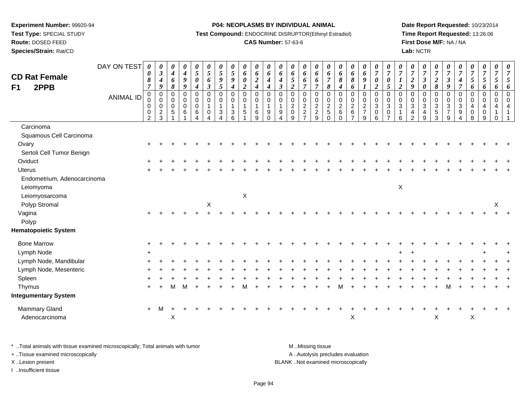**Test Type:** SPECIAL STUDY

**Route:** DOSED FEED

**Species/Strain:** Rat/CD

#### **P04: NEOPLASMS BY INDIVIDUAL ANIMAL**

**Test Compound:** ENDOCRINE DISRUPTOR(Ethinyl Estradiol)

## **CAS Number:** 57-63-6

**Date Report Requested:** 10/23/2014**Time Report Requested:** 13:26:06**First Dose M/F:** NA / NA**Lab:** NCTR

| <b>CD Rat Female</b><br>2PPB<br>F <sub>1</sub> | DAY ON TEST<br>ANIMAL ID | 0<br>0<br>8<br>$\overline{7}$<br>$\pmb{0}$<br>$\mathbf 0$<br>$\mathbf 0$<br>0<br>$\overline{2}$ | $\boldsymbol{\theta}$<br>$\mathfrak{z}$<br>$\boldsymbol{4}$<br>9<br>$\pmb{0}$<br>$\pmb{0}$<br>$\mathbf 0$<br>$\frac{2}{3}$ | 0<br>$\boldsymbol{4}$<br>6<br>$\pmb{8}$<br>$\mathbf 0$<br>0<br>$\mathbf 0$<br>5 | $\pmb{\theta}$<br>$\boldsymbol{4}$<br>$\boldsymbol{9}$<br>9<br>$\mathbf 0$<br>$\mathbf 0$<br>$\pmb{0}$<br>6 | 0<br>5<br>$\boldsymbol{\theta}$<br>4<br>$\pmb{0}$<br>$\mathbf 0$<br>$\mathbf 0$<br>6<br>4 | 0<br>$\mathfrak{z}$<br>6<br>$\boldsymbol{\beta}$<br>0<br>0<br>$\mathbf{1}$<br>0 | 0<br>$\sqrt{5}$<br>9<br>5<br>$\pmb{0}$<br>$\pmb{0}$<br>$\mathbf{1}$<br>3<br>$\Delta$ | 0<br>$\sqrt{5}$<br>9<br>$\boldsymbol{4}$<br>$\mathsf 0$<br>$\mathbf 0$<br>$\mathbf{1}$<br>3<br>6 | $\boldsymbol{\theta}$<br>6<br>$\boldsymbol{\theta}$<br>$\boldsymbol{2}$<br>$\pmb{0}$<br>$\mathbf 0$<br>$\overline{1}$<br>$\sqrt{5}$ | $\pmb{\theta}$<br>6<br>$\boldsymbol{2}$<br>$\boldsymbol{4}$<br>$\pmb{0}$<br>$\pmb{0}$<br>$\mathbf{1}$<br>6<br>9 | $\boldsymbol{\theta}$<br>6<br>$\boldsymbol{4}$<br>4<br>$\mathbf 0$<br>$\mathbf 0$<br>$\overline{1}$<br>9<br>$\Omega$ | 0<br>6<br>$\boldsymbol{4}$<br>$\boldsymbol{\beta}$<br>$\mathbf 0$<br>$\Omega$<br>$\mathbf{1}$<br>9 | 0<br>6<br>5<br>$\overline{\mathbf{c}}$<br>0<br>0<br>$\overline{a}$<br>0<br>9 | $\pmb{\theta}$<br>6<br>6<br>$\overline{7}$<br>$\pmb{0}$<br>$\begin{smallmatrix} 0\\2 \end{smallmatrix}$<br>$\overline{c}$<br>$\overline{7}$ | 0<br>6<br>6<br>$\overline{7}$<br>$\pmb{0}$<br>$\pmb{0}$<br>$\boldsymbol{2}$<br>$\frac{2}{9}$ | $\boldsymbol{\theta}$<br>6<br>$\overline{7}$<br>$\pmb{8}$<br>$\pmb{0}$<br>$\mathbf 0$<br>$rac{2}{5}$<br>$\Omega$ | 0<br>6<br>$\pmb{8}$<br>$\boldsymbol{4}$<br>$\mathbf 0$<br>$\pmb{0}$<br>$\overline{2}$<br>6 | $\boldsymbol{\theta}$<br>6<br>$\pmb{8}$<br>6<br>$\pmb{0}$<br>$\begin{array}{c} 0 \\ 2 \\ 6 \end{array}$<br>$\overline{ }$ | 0<br>6<br>9<br>$\boldsymbol{l}$<br>$\pmb{0}$<br>$\pmb{0}$<br>$\frac{2}{7}$<br>9 | 0<br>$\boldsymbol{7}$<br>$\boldsymbol{\theta}$<br>$\overline{2}$<br>0<br>0<br>3<br>$\mathbf 0$<br>6 | 0<br>$\boldsymbol{7}$<br>$\boldsymbol{\theta}$<br>5<br>$\mathbf 0$<br>0<br>$\ensuremath{\mathsf{3}}$<br>0<br>$\overline{z}$ | 0<br>$\overline{7}$<br>$\boldsymbol{2}$<br>$\mathbf 0$<br>$\mathbf 0$<br>$\sqrt{3}$<br>6 | $\boldsymbol{\theta}$<br>$\overline{7}$<br>$\boldsymbol{2}$<br>9<br>$\pmb{0}$<br>$\mathbf 0$<br>$\overline{3}$<br>$\overline{4}$<br>$\overline{2}$ | 0<br>$\overline{7}$<br>$\boldsymbol{\beta}$<br>$\boldsymbol{\theta}$<br>$\mathbf 0$<br>$\mathbf 0$<br>$\sqrt{3}$<br>4<br>9 | 0<br>$\overline{7}$<br>$\overline{2}$<br>8<br>$\mathbf 0$<br>$\mathbf 0$<br>$\mathbf{3}$<br>$\sqrt{5}$<br>3 | 0<br>$\overline{7}$<br>$\boldsymbol{\beta}$<br>9<br>$\mathbf 0$<br>$\Omega$<br>$\mathbf{3}$<br>7<br>$\mathbf{Q}$ | 0<br>$\overline{7}$<br>4<br>$\overline{7}$<br>0<br>0<br>3<br>9 | $\pmb{\theta}$<br>$\boldsymbol{7}$<br>$\sqrt{5}$<br>6<br>$\pmb{0}$<br>$\pmb{0}$<br>$\overline{4}$<br>$\pmb{0}$<br>8 | 0<br>$\overline{7}$<br>5<br>6<br>$\pmb{0}$<br>$\pmb{0}$<br>4<br>0<br>9 | $\boldsymbol{\theta}$<br>$\overline{7}$<br>$\mathfrak{s}$<br>6<br>$\pmb{0}$<br>$\mathbf 0$<br>4<br>$\Omega$ | $\boldsymbol{\theta}$<br>$\overline{7}$<br>5<br>6<br>$\overline{0}$<br>$\mathbf 0$<br>$\overline{4}$ |
|------------------------------------------------|--------------------------|-------------------------------------------------------------------------------------------------|----------------------------------------------------------------------------------------------------------------------------|---------------------------------------------------------------------------------|-------------------------------------------------------------------------------------------------------------|-------------------------------------------------------------------------------------------|---------------------------------------------------------------------------------|--------------------------------------------------------------------------------------|--------------------------------------------------------------------------------------------------|-------------------------------------------------------------------------------------------------------------------------------------|-----------------------------------------------------------------------------------------------------------------|----------------------------------------------------------------------------------------------------------------------|----------------------------------------------------------------------------------------------------|------------------------------------------------------------------------------|---------------------------------------------------------------------------------------------------------------------------------------------|----------------------------------------------------------------------------------------------|------------------------------------------------------------------------------------------------------------------|--------------------------------------------------------------------------------------------|---------------------------------------------------------------------------------------------------------------------------|---------------------------------------------------------------------------------|-----------------------------------------------------------------------------------------------------|-----------------------------------------------------------------------------------------------------------------------------|------------------------------------------------------------------------------------------|----------------------------------------------------------------------------------------------------------------------------------------------------|----------------------------------------------------------------------------------------------------------------------------|-------------------------------------------------------------------------------------------------------------|------------------------------------------------------------------------------------------------------------------|----------------------------------------------------------------|---------------------------------------------------------------------------------------------------------------------|------------------------------------------------------------------------|-------------------------------------------------------------------------------------------------------------|------------------------------------------------------------------------------------------------------|
| Carcinoma                                      |                          |                                                                                                 |                                                                                                                            |                                                                                 |                                                                                                             |                                                                                           |                                                                                 |                                                                                      |                                                                                                  |                                                                                                                                     |                                                                                                                 |                                                                                                                      |                                                                                                    |                                                                              |                                                                                                                                             |                                                                                              |                                                                                                                  |                                                                                            |                                                                                                                           |                                                                                 |                                                                                                     |                                                                                                                             |                                                                                          |                                                                                                                                                    |                                                                                                                            |                                                                                                             |                                                                                                                  |                                                                |                                                                                                                     |                                                                        |                                                                                                             |                                                                                                      |
| Squamous Cell Carcinoma                        |                          |                                                                                                 |                                                                                                                            |                                                                                 |                                                                                                             |                                                                                           |                                                                                 |                                                                                      |                                                                                                  |                                                                                                                                     |                                                                                                                 |                                                                                                                      |                                                                                                    |                                                                              |                                                                                                                                             |                                                                                              |                                                                                                                  |                                                                                            |                                                                                                                           |                                                                                 |                                                                                                     |                                                                                                                             |                                                                                          |                                                                                                                                                    |                                                                                                                            |                                                                                                             |                                                                                                                  |                                                                |                                                                                                                     |                                                                        |                                                                                                             |                                                                                                      |
| Ovary                                          |                          |                                                                                                 |                                                                                                                            |                                                                                 |                                                                                                             |                                                                                           |                                                                                 |                                                                                      |                                                                                                  |                                                                                                                                     |                                                                                                                 |                                                                                                                      |                                                                                                    |                                                                              |                                                                                                                                             |                                                                                              |                                                                                                                  |                                                                                            |                                                                                                                           |                                                                                 |                                                                                                     |                                                                                                                             |                                                                                          |                                                                                                                                                    |                                                                                                                            |                                                                                                             |                                                                                                                  |                                                                |                                                                                                                     |                                                                        |                                                                                                             |                                                                                                      |
| Sertoli Cell Tumor Benign                      |                          |                                                                                                 |                                                                                                                            |                                                                                 |                                                                                                             |                                                                                           |                                                                                 |                                                                                      |                                                                                                  |                                                                                                                                     |                                                                                                                 |                                                                                                                      |                                                                                                    |                                                                              |                                                                                                                                             |                                                                                              |                                                                                                                  |                                                                                            |                                                                                                                           |                                                                                 |                                                                                                     |                                                                                                                             |                                                                                          |                                                                                                                                                    |                                                                                                                            |                                                                                                             |                                                                                                                  |                                                                |                                                                                                                     |                                                                        |                                                                                                             |                                                                                                      |
| Oviduct                                        |                          |                                                                                                 |                                                                                                                            |                                                                                 |                                                                                                             |                                                                                           |                                                                                 |                                                                                      |                                                                                                  |                                                                                                                                     |                                                                                                                 |                                                                                                                      |                                                                                                    |                                                                              |                                                                                                                                             |                                                                                              |                                                                                                                  |                                                                                            |                                                                                                                           |                                                                                 |                                                                                                     |                                                                                                                             |                                                                                          |                                                                                                                                                    |                                                                                                                            |                                                                                                             |                                                                                                                  |                                                                |                                                                                                                     |                                                                        |                                                                                                             |                                                                                                      |
| <b>Uterus</b>                                  |                          |                                                                                                 |                                                                                                                            |                                                                                 |                                                                                                             |                                                                                           |                                                                                 |                                                                                      |                                                                                                  |                                                                                                                                     |                                                                                                                 |                                                                                                                      |                                                                                                    |                                                                              |                                                                                                                                             |                                                                                              |                                                                                                                  |                                                                                            |                                                                                                                           |                                                                                 |                                                                                                     |                                                                                                                             |                                                                                          |                                                                                                                                                    |                                                                                                                            |                                                                                                             |                                                                                                                  |                                                                |                                                                                                                     |                                                                        |                                                                                                             |                                                                                                      |
| Endometrium, Adenocarcinoma                    |                          |                                                                                                 |                                                                                                                            |                                                                                 |                                                                                                             |                                                                                           |                                                                                 |                                                                                      |                                                                                                  |                                                                                                                                     |                                                                                                                 |                                                                                                                      |                                                                                                    |                                                                              |                                                                                                                                             |                                                                                              |                                                                                                                  |                                                                                            |                                                                                                                           |                                                                                 |                                                                                                     |                                                                                                                             |                                                                                          |                                                                                                                                                    |                                                                                                                            |                                                                                                             |                                                                                                                  |                                                                |                                                                                                                     |                                                                        |                                                                                                             |                                                                                                      |
| Leiomyoma                                      |                          |                                                                                                 |                                                                                                                            |                                                                                 |                                                                                                             |                                                                                           |                                                                                 |                                                                                      |                                                                                                  |                                                                                                                                     |                                                                                                                 |                                                                                                                      |                                                                                                    |                                                                              |                                                                                                                                             |                                                                                              |                                                                                                                  |                                                                                            |                                                                                                                           |                                                                                 |                                                                                                     |                                                                                                                             | $\boldsymbol{\mathsf{X}}$                                                                |                                                                                                                                                    |                                                                                                                            |                                                                                                             |                                                                                                                  |                                                                |                                                                                                                     |                                                                        |                                                                                                             |                                                                                                      |
| Leiomyosarcoma                                 |                          |                                                                                                 |                                                                                                                            |                                                                                 |                                                                                                             |                                                                                           |                                                                                 |                                                                                      |                                                                                                  | $\boldsymbol{\mathsf{X}}$                                                                                                           |                                                                                                                 |                                                                                                                      |                                                                                                    |                                                                              |                                                                                                                                             |                                                                                              |                                                                                                                  |                                                                                            |                                                                                                                           |                                                                                 |                                                                                                     |                                                                                                                             |                                                                                          |                                                                                                                                                    |                                                                                                                            |                                                                                                             |                                                                                                                  |                                                                |                                                                                                                     |                                                                        |                                                                                                             |                                                                                                      |
| Polyp Stromal                                  |                          |                                                                                                 |                                                                                                                            |                                                                                 |                                                                                                             |                                                                                           | $\mathsf X$                                                                     |                                                                                      |                                                                                                  |                                                                                                                                     |                                                                                                                 |                                                                                                                      |                                                                                                    |                                                                              |                                                                                                                                             |                                                                                              |                                                                                                                  |                                                                                            |                                                                                                                           |                                                                                 |                                                                                                     |                                                                                                                             |                                                                                          |                                                                                                                                                    |                                                                                                                            |                                                                                                             |                                                                                                                  |                                                                |                                                                                                                     |                                                                        | X                                                                                                           |                                                                                                      |
| Vagina                                         |                          |                                                                                                 |                                                                                                                            |                                                                                 |                                                                                                             |                                                                                           |                                                                                 |                                                                                      |                                                                                                  |                                                                                                                                     |                                                                                                                 |                                                                                                                      |                                                                                                    |                                                                              |                                                                                                                                             |                                                                                              |                                                                                                                  |                                                                                            |                                                                                                                           |                                                                                 |                                                                                                     |                                                                                                                             |                                                                                          |                                                                                                                                                    |                                                                                                                            |                                                                                                             |                                                                                                                  |                                                                |                                                                                                                     |                                                                        |                                                                                                             |                                                                                                      |
| Polyp                                          |                          |                                                                                                 |                                                                                                                            |                                                                                 |                                                                                                             |                                                                                           |                                                                                 |                                                                                      |                                                                                                  |                                                                                                                                     |                                                                                                                 |                                                                                                                      |                                                                                                    |                                                                              |                                                                                                                                             |                                                                                              |                                                                                                                  |                                                                                            |                                                                                                                           |                                                                                 |                                                                                                     |                                                                                                                             |                                                                                          |                                                                                                                                                    |                                                                                                                            |                                                                                                             |                                                                                                                  |                                                                |                                                                                                                     |                                                                        |                                                                                                             |                                                                                                      |
| <b>Hematopoietic System</b>                    |                          |                                                                                                 |                                                                                                                            |                                                                                 |                                                                                                             |                                                                                           |                                                                                 |                                                                                      |                                                                                                  |                                                                                                                                     |                                                                                                                 |                                                                                                                      |                                                                                                    |                                                                              |                                                                                                                                             |                                                                                              |                                                                                                                  |                                                                                            |                                                                                                                           |                                                                                 |                                                                                                     |                                                                                                                             |                                                                                          |                                                                                                                                                    |                                                                                                                            |                                                                                                             |                                                                                                                  |                                                                |                                                                                                                     |                                                                        |                                                                                                             |                                                                                                      |
| <b>Bone Marrow</b>                             |                          |                                                                                                 |                                                                                                                            |                                                                                 |                                                                                                             |                                                                                           |                                                                                 |                                                                                      |                                                                                                  |                                                                                                                                     |                                                                                                                 |                                                                                                                      |                                                                                                    |                                                                              |                                                                                                                                             |                                                                                              |                                                                                                                  |                                                                                            |                                                                                                                           |                                                                                 |                                                                                                     |                                                                                                                             |                                                                                          |                                                                                                                                                    |                                                                                                                            |                                                                                                             |                                                                                                                  |                                                                |                                                                                                                     |                                                                        |                                                                                                             |                                                                                                      |
| Lymph Node                                     |                          | $\ddot{}$                                                                                       |                                                                                                                            |                                                                                 |                                                                                                             |                                                                                           |                                                                                 |                                                                                      |                                                                                                  |                                                                                                                                     |                                                                                                                 |                                                                                                                      |                                                                                                    |                                                                              |                                                                                                                                             |                                                                                              |                                                                                                                  |                                                                                            |                                                                                                                           |                                                                                 |                                                                                                     |                                                                                                                             | $\ddot{}$                                                                                | $\div$                                                                                                                                             |                                                                                                                            |                                                                                                             |                                                                                                                  |                                                                |                                                                                                                     |                                                                        |                                                                                                             |                                                                                                      |
| Lymph Node, Mandibular                         |                          |                                                                                                 |                                                                                                                            |                                                                                 |                                                                                                             |                                                                                           |                                                                                 |                                                                                      |                                                                                                  |                                                                                                                                     |                                                                                                                 |                                                                                                                      |                                                                                                    |                                                                              |                                                                                                                                             |                                                                                              |                                                                                                                  |                                                                                            |                                                                                                                           |                                                                                 |                                                                                                     |                                                                                                                             |                                                                                          |                                                                                                                                                    |                                                                                                                            |                                                                                                             |                                                                                                                  |                                                                |                                                                                                                     |                                                                        |                                                                                                             |                                                                                                      |
| Lymph Node, Mesenteric                         |                          |                                                                                                 |                                                                                                                            |                                                                                 |                                                                                                             |                                                                                           |                                                                                 |                                                                                      |                                                                                                  |                                                                                                                                     |                                                                                                                 |                                                                                                                      |                                                                                                    |                                                                              |                                                                                                                                             |                                                                                              |                                                                                                                  |                                                                                            |                                                                                                                           |                                                                                 |                                                                                                     |                                                                                                                             |                                                                                          |                                                                                                                                                    |                                                                                                                            |                                                                                                             |                                                                                                                  |                                                                |                                                                                                                     |                                                                        |                                                                                                             |                                                                                                      |
| Spleen                                         |                          |                                                                                                 |                                                                                                                            |                                                                                 |                                                                                                             |                                                                                           |                                                                                 |                                                                                      |                                                                                                  |                                                                                                                                     |                                                                                                                 |                                                                                                                      |                                                                                                    |                                                                              |                                                                                                                                             |                                                                                              |                                                                                                                  |                                                                                            |                                                                                                                           |                                                                                 |                                                                                                     |                                                                                                                             |                                                                                          |                                                                                                                                                    |                                                                                                                            |                                                                                                             |                                                                                                                  |                                                                |                                                                                                                     |                                                                        |                                                                                                             |                                                                                                      |
| Thymus                                         |                          | $\pm$                                                                                           |                                                                                                                            | M                                                                               | м                                                                                                           |                                                                                           |                                                                                 |                                                                                      |                                                                                                  |                                                                                                                                     |                                                                                                                 |                                                                                                                      |                                                                                                    |                                                                              |                                                                                                                                             |                                                                                              |                                                                                                                  |                                                                                            |                                                                                                                           |                                                                                 |                                                                                                     |                                                                                                                             |                                                                                          |                                                                                                                                                    |                                                                                                                            |                                                                                                             |                                                                                                                  |                                                                |                                                                                                                     |                                                                        |                                                                                                             |                                                                                                      |
| <b>Integumentary System</b>                    |                          |                                                                                                 |                                                                                                                            |                                                                                 |                                                                                                             |                                                                                           |                                                                                 |                                                                                      |                                                                                                  |                                                                                                                                     |                                                                                                                 |                                                                                                                      |                                                                                                    |                                                                              |                                                                                                                                             |                                                                                              |                                                                                                                  |                                                                                            |                                                                                                                           |                                                                                 |                                                                                                     |                                                                                                                             |                                                                                          |                                                                                                                                                    |                                                                                                                            |                                                                                                             |                                                                                                                  |                                                                |                                                                                                                     |                                                                        |                                                                                                             |                                                                                                      |
| Mammary Gland<br>Adenocarcinoma                |                          | $\pm$                                                                                           | М                                                                                                                          | X                                                                               |                                                                                                             |                                                                                           |                                                                                 |                                                                                      |                                                                                                  |                                                                                                                                     |                                                                                                                 |                                                                                                                      |                                                                                                    |                                                                              |                                                                                                                                             |                                                                                              |                                                                                                                  |                                                                                            | X                                                                                                                         |                                                                                 |                                                                                                     |                                                                                                                             |                                                                                          |                                                                                                                                                    |                                                                                                                            | X                                                                                                           |                                                                                                                  |                                                                | $\times$                                                                                                            |                                                                        |                                                                                                             |                                                                                                      |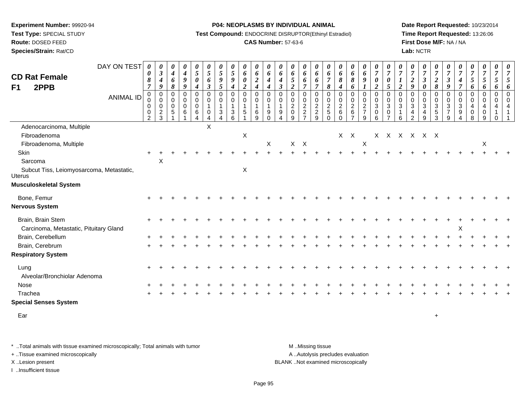**Test Type:** SPECIAL STUDY

## **Route:** DOSED FEED

**Species/Strain:** Rat/CD

#### **P04: NEOPLASMS BY INDIVIDUAL ANIMAL**

**Test Compound:** ENDOCRINE DISRUPTOR(Ethinyl Estradiol)

## **CAS Number:** 57-63-6

**Date Report Requested:** 10/23/2014**Time Report Requested:** 13:26:06**First Dose M/F:** NA / NA**Lab:** NCTR

| <b>CD Rat Female</b><br>2PPB<br>F <sub>1</sub>                               | DAY ON TEST<br><b>ANIMAL ID</b> | 0<br>0<br>8<br>$\overline{7}$<br>0<br>0<br>0<br>0<br>$\overline{2}$ | 0<br>$\boldsymbol{\beta}$<br>$\boldsymbol{4}$<br>9<br>$\mathbf 0$<br>$\pmb{0}$<br>$\pmb{0}$<br>$\overline{c}$<br>3 | 0<br>$\boldsymbol{4}$<br>6<br>8<br>$\Omega$<br>0<br>0<br>5 | 0<br>$\boldsymbol{4}$<br>9<br>$\boldsymbol{g}$<br>$\Omega$<br>$\mathbf 0$<br>$\mathbf 0$<br>6 | 0<br>$\sqrt{5}$<br>$\pmb{\theta}$<br>$\boldsymbol{4}$<br>0<br>0<br>0<br>$\,6$<br>4 | 0<br>$5\phantom{.0}$<br>6<br>$\mathfrak{z}$<br>$\Omega$<br>$\mathbf 0$<br>$\mathbf{1}$<br>$\overline{0}$<br>$\Delta$ | 0<br>$\mathfrak{s}$<br>9<br>5<br>$\mathbf 0$<br>0<br>1<br>3 | $\overline{5}$<br>9<br>$\boldsymbol{4}$<br>$\mathbf 0$<br>0<br>$\mathbf{1}$<br>3<br>6 | $\boldsymbol{\theta}$<br>6<br>0<br>$\overline{2}$<br>$\mathbf 0$<br>$\mathbf 0$<br>5 | 0<br>6<br>$\overline{2}$<br>$\boldsymbol{4}$<br>$\mathbf 0$<br>$\mathbf 0$<br>$\overline{1}$<br>$\,6$<br>9 | 0<br>6<br>$\boldsymbol{4}$<br>$\boldsymbol{4}$<br>$\mathbf 0$<br>0<br>$\mathbf{1}$<br>$\boldsymbol{9}$<br>$\Omega$ | $\boldsymbol{\theta}$<br>6<br>$\boldsymbol{4}$<br>$\mathfrak{z}$<br>$\mathbf 0$<br>$\mathbf 0$<br>$\mathbf{1}$<br>$\boldsymbol{9}$<br>$\Delta$ | $\boldsymbol{\theta}$<br>6<br>5<br>$\overline{2}$<br>$\Omega$<br>$\mathbf 0$<br>$\overline{c}$<br>$\pmb{0}$<br>q | 0<br>6<br>6<br>$\overline{7}$<br>0<br>0<br>$\overline{a}$<br>$\overline{c}$<br>$\overline{ }$ | 0<br>6<br>6<br>$\overline{7}$<br>0<br>$\begin{smallmatrix} 0\\2 \end{smallmatrix}$<br>$\overline{a}$<br>9 | 0<br>6<br>$\overline{7}$<br>8<br>$\mathbf 0$<br>$\pmb{0}$<br>$\frac{2}{5}$<br>$\Omega$ | $\boldsymbol{\theta}$<br>$\pmb{6}$<br>$\pmb{8}$<br>$\boldsymbol{4}$<br>$\mathbf 0$<br>$\begin{array}{c} 0 \\ 2 \\ 6 \end{array}$<br>$\Omega$ | $\boldsymbol{\theta}$<br>6<br>$\pmb{8}$<br>6<br>$\mathbf 0$<br>$\mathbf 0$<br>$\sqrt{2}$<br>$\,6\,$<br>$\overline{z}$ | 0<br>6<br>9<br>0<br>$\mathbf 0$<br>$\overline{2}$<br>$\overline{7}$<br>9 | 0<br>$\overline{7}$<br>$\pmb{\theta}$<br>$\overline{2}$<br>$\pmb{0}$<br>$_{3}^{\rm 0}$<br>$\pmb{0}$<br>6 | 0<br>$\overline{7}$<br>$\boldsymbol{\theta}$<br>$5\overline{)}$<br>$\pmb{0}$<br>$\mathbf 0$<br>$\mathbf{3}$<br>$\mathsf 0$<br>$\overline{7}$ | $\overline{7}$<br>$\boldsymbol{l}$<br>$\overline{2}$<br>$\Omega$<br>0<br>$\mathbf{3}$<br>6 | $\overline{7}$<br>$\boldsymbol{2}$<br>$\boldsymbol{g}$<br>$\Omega$<br>$\pmb{0}$<br>$\sqrt{3}$<br>$\overline{4}$<br>$\mathcal{P}$ | 0<br>$\boldsymbol{7}$<br>$\boldsymbol{\beta}$<br>$\boldsymbol{\theta}$<br>0<br>0<br>$\mathbf{3}$<br>4<br>9 | 0<br>$\overline{7}$<br>$\frac{2}{8}$<br>$\overline{0}$<br>$\boldsymbol{0}$<br>$\sqrt{3}$<br>$\overline{5}$<br>$\mathbf{3}$ | $\boldsymbol{\theta}$<br>$\overline{7}$<br>$\boldsymbol{\beta}$<br>9<br>$\Omega$<br>$\mathbf 0$<br>$\mathbf{3}$<br>$\overline{7}$<br>9 | $\overline{7}$<br>4<br>$\overline{7}$<br>$\mathbf 0$<br>$\mathbf 0$<br>3<br>9 | $\overline{7}$<br>5<br>6<br>$\mathbf 0$<br>$\mathbf 0$<br>0<br>8 | 0<br>$\overline{7}$<br>5<br>6<br>$\mathbf{0}$<br>$\mathbf 0$<br>4<br>0<br>9 | $\overline{7}$<br>$\mathfrak{s}$<br>6<br>$\mathbf 0$<br>$\mathbf 0$<br>$\overline{4}$ |  |
|------------------------------------------------------------------------------|---------------------------------|---------------------------------------------------------------------|--------------------------------------------------------------------------------------------------------------------|------------------------------------------------------------|-----------------------------------------------------------------------------------------------|------------------------------------------------------------------------------------|----------------------------------------------------------------------------------------------------------------------|-------------------------------------------------------------|---------------------------------------------------------------------------------------|--------------------------------------------------------------------------------------|------------------------------------------------------------------------------------------------------------|--------------------------------------------------------------------------------------------------------------------|------------------------------------------------------------------------------------------------------------------------------------------------|------------------------------------------------------------------------------------------------------------------|-----------------------------------------------------------------------------------------------|-----------------------------------------------------------------------------------------------------------|----------------------------------------------------------------------------------------|----------------------------------------------------------------------------------------------------------------------------------------------|-----------------------------------------------------------------------------------------------------------------------|--------------------------------------------------------------------------|----------------------------------------------------------------------------------------------------------|----------------------------------------------------------------------------------------------------------------------------------------------|--------------------------------------------------------------------------------------------|----------------------------------------------------------------------------------------------------------------------------------|------------------------------------------------------------------------------------------------------------|----------------------------------------------------------------------------------------------------------------------------|----------------------------------------------------------------------------------------------------------------------------------------|-------------------------------------------------------------------------------|------------------------------------------------------------------|-----------------------------------------------------------------------------|---------------------------------------------------------------------------------------|--|
| Adenocarcinoma, Multiple<br>Fibroadenoma<br>Fibroadenoma, Multiple           |                                 |                                                                     |                                                                                                                    |                                                            |                                                                                               |                                                                                    | X                                                                                                                    |                                                             |                                                                                       | X                                                                                    |                                                                                                            | X                                                                                                                  |                                                                                                                                                |                                                                                                                  | $X$ $X$                                                                                       |                                                                                                           |                                                                                        | $X$ $X$                                                                                                                                      |                                                                                                                       | X                                                                        |                                                                                                          |                                                                                                                                              |                                                                                            |                                                                                                                                  | X X X X X X                                                                                                |                                                                                                                            |                                                                                                                                        |                                                                               |                                                                  | X                                                                           |                                                                                       |  |
| Skin<br>Sarcoma<br>Subcut Tiss, Leiomyosarcoma, Metastatic,<br><b>Uterus</b> |                                 |                                                                     | X                                                                                                                  |                                                            |                                                                                               |                                                                                    |                                                                                                                      |                                                             |                                                                                       | X                                                                                    |                                                                                                            |                                                                                                                    |                                                                                                                                                |                                                                                                                  |                                                                                               |                                                                                                           |                                                                                        |                                                                                                                                              |                                                                                                                       |                                                                          |                                                                                                          |                                                                                                                                              |                                                                                            |                                                                                                                                  |                                                                                                            |                                                                                                                            |                                                                                                                                        |                                                                               |                                                                  |                                                                             |                                                                                       |  |
| <b>Musculoskeletal System</b><br>Bone, Femur<br><b>Nervous System</b>        |                                 |                                                                     |                                                                                                                    |                                                            |                                                                                               |                                                                                    |                                                                                                                      |                                                             |                                                                                       |                                                                                      |                                                                                                            |                                                                                                                    |                                                                                                                                                |                                                                                                                  |                                                                                               |                                                                                                           |                                                                                        |                                                                                                                                              |                                                                                                                       |                                                                          |                                                                                                          |                                                                                                                                              |                                                                                            |                                                                                                                                  |                                                                                                            |                                                                                                                            |                                                                                                                                        |                                                                               |                                                                  |                                                                             |                                                                                       |  |
| Brain, Brain Stem<br>Carcinoma, Metastatic, Pituitary Gland                  |                                 |                                                                     |                                                                                                                    |                                                            |                                                                                               |                                                                                    |                                                                                                                      |                                                             |                                                                                       |                                                                                      |                                                                                                            |                                                                                                                    |                                                                                                                                                |                                                                                                                  |                                                                                               |                                                                                                           |                                                                                        |                                                                                                                                              |                                                                                                                       |                                                                          |                                                                                                          |                                                                                                                                              |                                                                                            |                                                                                                                                  |                                                                                                            |                                                                                                                            |                                                                                                                                        | X                                                                             |                                                                  |                                                                             |                                                                                       |  |
| Brain, Cerebellum<br>Brain, Cerebrum<br><b>Respiratory System</b>            |                                 |                                                                     |                                                                                                                    |                                                            |                                                                                               |                                                                                    |                                                                                                                      |                                                             |                                                                                       |                                                                                      |                                                                                                            |                                                                                                                    |                                                                                                                                                |                                                                                                                  |                                                                                               |                                                                                                           |                                                                                        |                                                                                                                                              |                                                                                                                       |                                                                          |                                                                                                          |                                                                                                                                              |                                                                                            |                                                                                                                                  |                                                                                                            |                                                                                                                            |                                                                                                                                        |                                                                               |                                                                  |                                                                             |                                                                                       |  |
| Lung<br>Alveolar/Bronchiolar Adenoma                                         |                                 |                                                                     |                                                                                                                    |                                                            |                                                                                               |                                                                                    |                                                                                                                      |                                                             |                                                                                       |                                                                                      |                                                                                                            |                                                                                                                    |                                                                                                                                                |                                                                                                                  |                                                                                               |                                                                                                           |                                                                                        |                                                                                                                                              |                                                                                                                       |                                                                          |                                                                                                          |                                                                                                                                              |                                                                                            |                                                                                                                                  |                                                                                                            |                                                                                                                            |                                                                                                                                        |                                                                               |                                                                  |                                                                             |                                                                                       |  |
| Nose<br>Trachea<br><b>Special Senses System</b>                              |                                 |                                                                     |                                                                                                                    |                                                            |                                                                                               |                                                                                    |                                                                                                                      |                                                             |                                                                                       |                                                                                      |                                                                                                            |                                                                                                                    |                                                                                                                                                |                                                                                                                  |                                                                                               |                                                                                                           |                                                                                        |                                                                                                                                              |                                                                                                                       |                                                                          |                                                                                                          |                                                                                                                                              |                                                                                            |                                                                                                                                  |                                                                                                            |                                                                                                                            |                                                                                                                                        |                                                                               |                                                                  |                                                                             |                                                                                       |  |

Eart and the contract of the contract of the contract of the contract of the contract of the contract of the contract of the contract of the contract of the contract of the contract of the contract of the contract of the cont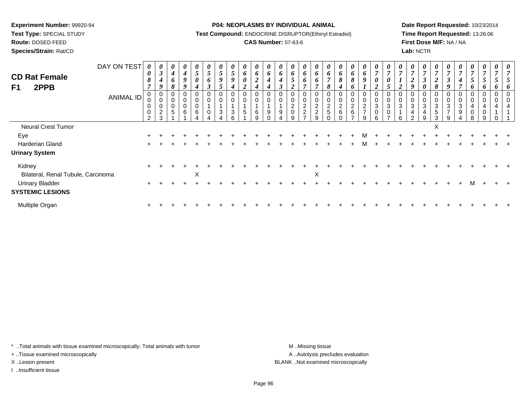**Test Type:** SPECIAL STUDY

## **Route:** DOSED FEED

**Species/Strain:** Rat/CD

#### **P04: NEOPLASMS BY INDIVIDUAL ANIMAL**

**Test Compound:** ENDOCRINE DISRUPTOR(Ethinyl Estradiol)

## **CAS Number:** 57-63-6

**Date Report Requested:** 10/23/2014**Time Report Requested:** 13:26:06**First Dose M/F:** NA / NA**Lab:** NCTR

| <b>CD Rat Female</b><br>2PPB<br>F <sub>1</sub>                                                    | DAY ON TEST<br>ANIMAL ID | $\boldsymbol{\theta}$<br>$\boldsymbol{\theta}$<br>8<br>$\overline{ }$<br>$\mathbf 0$<br>$\mathbf 0$<br>2 | U<br>$\boldsymbol{\beta}$<br>Q<br>0<br>$\overline{\mathbf{c}}$<br>વ | $\boldsymbol{\mathit{U}}$<br>$\boldsymbol{4}$<br>$\pmb{8}$<br>$\mathbf 0$<br>5 | 0<br>4<br><sub>Q</sub><br>$\boldsymbol{Q}$<br>0<br>0<br>6 | $\boldsymbol{\theta}$<br>$5\overline{)}$<br>$\boldsymbol{\theta}$<br>4<br>0<br>6 | $\boldsymbol{\theta}$<br>$\mathfrak{F}$<br>6<br>$\boldsymbol{\beta}$<br>0<br>$\mathbf 0$<br>0 | $\overline{5}$<br>9<br>$\overline{5}$<br>0<br>$\mathbf 0$<br>$\mathbf{3}$ | 5<br>$\boldsymbol{9}$<br>4<br>0<br>0<br>3 | $\boldsymbol{\theta}$<br>$\pmb{6}$<br>$\boldsymbol{\theta}$<br>$\overline{\mathbf{c}}$<br>0<br>$\pmb{0}$<br>$\sqrt{5}$ | U<br>6<br>$\mathbf{\Omega}$<br>◢<br>4<br>$\mathbf 0$<br>6 | U<br>6<br>9 | J.<br>9 | 6<br>◠<br>$\overline{c}$<br>0 | $\boldsymbol{\theta}$<br>6<br>6<br>$\overline{ }$<br>$\frac{2}{2}$ | $\boldsymbol{\theta}$<br>6<br>6<br>$\overline{ }$<br>0<br>$\mathbf 0$<br>$\frac{2}{2}$<br>$\circ$ | U<br>6<br>$\overline{ }$<br>8<br>0<br>$\frac{2}{5}$ | $\boldsymbol{\boldsymbol{\upsilon}}$<br>6<br>$\boldsymbol{\delta}$<br>$\boldsymbol{4}$<br>0<br>$\pmb{0}$<br>$\frac{2}{6}$ | $\boldsymbol{\theta}$<br>6<br>8<br>6<br>0<br>0<br>$\frac{2}{6}$ | $\boldsymbol{\theta}$<br>6<br>$\boldsymbol{9}$<br>$\pmb{0}$<br>$\frac{2}{7}$ | $\boldsymbol{\theta}$<br>$\overline{ }$<br>0<br>◠<br>◢<br>0<br>3<br>0 | 5<br>3 | $\overline{ }$<br>3 | $\boldsymbol{\theta}$<br>$\overline{ }$<br>◠<br>9<br>0<br>0<br>3<br>$\overline{4}$<br>ົ | $\boldsymbol{\theta}$<br>$\overline{ }$<br>$\boldsymbol{\beta}$<br>$\boldsymbol{\theta}$<br>0<br>$\pmb{0}$<br>$\mathbf{3}$<br>$\overline{a}$<br>9 | $\boldsymbol{2}$<br>$\pmb{8}$<br>0<br>$\sqrt{3}$<br>5<br>3 | $\overline{ }$<br>$\boldsymbol{\beta}$<br>9<br>$\mathbf{3}$<br>$\rightarrow$ | $\overline{ }$<br>4<br>3<br>9 | $\boldsymbol{\theta}$<br>$\boldsymbol{7}$<br>$5\overline{)}$<br>6<br>$\pmb{0}$<br>$\overline{\mathbf{4}}$<br>$\mathbf 0$ | 0<br>$\overline{ }$<br>5<br>6<br>0<br>$\pmb{0}$<br>$\overline{4}$<br>0<br>9 | $\overline{ }$<br>5 | $\boldsymbol{\theta}$ |
|---------------------------------------------------------------------------------------------------|--------------------------|----------------------------------------------------------------------------------------------------------|---------------------------------------------------------------------|--------------------------------------------------------------------------------|-----------------------------------------------------------|----------------------------------------------------------------------------------|-----------------------------------------------------------------------------------------------|---------------------------------------------------------------------------|-------------------------------------------|------------------------------------------------------------------------------------------------------------------------|-----------------------------------------------------------|-------------|---------|-------------------------------|--------------------------------------------------------------------|---------------------------------------------------------------------------------------------------|-----------------------------------------------------|---------------------------------------------------------------------------------------------------------------------------|-----------------------------------------------------------------|------------------------------------------------------------------------------|-----------------------------------------------------------------------|--------|---------------------|-----------------------------------------------------------------------------------------|---------------------------------------------------------------------------------------------------------------------------------------------------|------------------------------------------------------------|------------------------------------------------------------------------------|-------------------------------|--------------------------------------------------------------------------------------------------------------------------|-----------------------------------------------------------------------------|---------------------|-----------------------|
| Neural Crest Tumor<br>Eye<br>Harderian Gland<br><b>Urinary System</b>                             |                          |                                                                                                          |                                                                     |                                                                                |                                                           |                                                                                  |                                                                                               |                                                                           |                                           |                                                                                                                        |                                                           |             |         |                               |                                                                    |                                                                                                   |                                                     |                                                                                                                           |                                                                 | M                                                                            |                                                                       |        |                     |                                                                                         |                                                                                                                                                   | Χ                                                          |                                                                              |                               |                                                                                                                          |                                                                             |                     |                       |
| Kidney<br>Bilateral, Renal Tubule, Carcinoma<br><b>Urinary Bladder</b><br><b>SYSTEMIC LESIONS</b> |                          |                                                                                                          |                                                                     |                                                                                |                                                           | X                                                                                |                                                                                               |                                                                           |                                           |                                                                                                                        |                                                           |             |         |                               |                                                                    | X                                                                                                 |                                                     |                                                                                                                           |                                                                 |                                                                              |                                                                       |        |                     |                                                                                         |                                                                                                                                                   |                                                            |                                                                              |                               |                                                                                                                          |                                                                             |                     |                       |
| Multiple Organ                                                                                    |                          |                                                                                                          |                                                                     |                                                                                |                                                           |                                                                                  |                                                                                               |                                                                           |                                           |                                                                                                                        |                                                           |             |         |                               |                                                                    |                                                                                                   |                                                     |                                                                                                                           |                                                                 |                                                                              |                                                                       |        |                     |                                                                                         |                                                                                                                                                   |                                                            |                                                                              |                               |                                                                                                                          |                                                                             |                     |                       |

\* ..Total animals with tissue examined microscopically; Total animals with tumor **M** . Missing tissue M ..Missing tissue

+ ..Tissue examined microscopically

I ..Insufficient tissue

A ..Autolysis precludes evaluation X ..Lesion present BLANK ..Not examined microscopically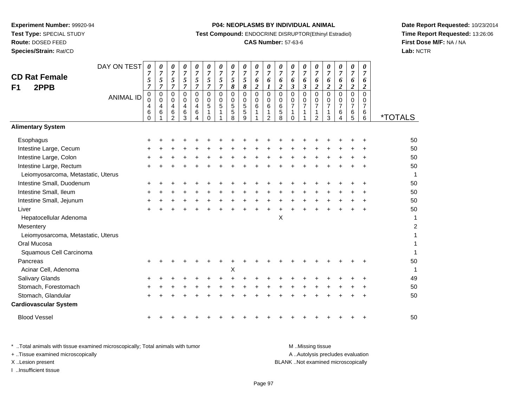**Test Type:** SPECIAL STUDY

**Route:** DOSED FEED**Species/Strain:** Rat/CD

#### **P04: NEOPLASMS BY INDIVIDUAL ANIMAL**

**Test Compound:** ENDOCRINE DISRUPTOR(Ethinyl Estradiol)

## **CAS Number:** 57-63-6

**Date Report Requested:** 10/23/2014**Time Report Requested:** 13:26:06**First Dose M/F:** NA / NA**Lab:** NCTR

| <b>CD Rat Female</b><br>2PPB<br>F <sub>1</sub> | DAY ON TEST      | 0<br>7<br>5<br>$\overline{7}$   | 0<br>$\overline{7}$<br>5<br>$\overline{7}$ | 0<br>$\overline{7}$<br>5<br>$\overline{7}$                        | 0<br>$\overline{7}$<br>5<br>$\overline{7}$ | 0<br>$\overline{7}$<br>5<br>$\overline{7}$   | 0<br>$\overline{7}$<br>5<br>$\boldsymbol{7}$     | 0<br>$\overline{7}$<br>5<br>$\boldsymbol{7}$ | 0<br>$\overline{7}$<br>5<br>8                                 | 0<br>$\overline{7}$<br>5<br>$\boldsymbol{\delta}$ | 0<br>$\overline{7}$<br>6<br>$\overline{\mathbf{c}}$ | 0<br>$\overline{7}$<br>6<br>$\boldsymbol{l}$             | 0<br>$\overline{7}$<br>6<br>$\overline{\mathbf{c}}$ | 0<br>$\overline{7}$<br>6<br>$\boldsymbol{\beta}$                         | 0<br>$\overline{7}$<br>6<br>$\boldsymbol{\beta}$ | 0<br>$\overline{7}$<br>6<br>$\overline{c}$      | 0<br>$\overline{7}$<br>6<br>$\overline{2}$   | 0<br>$\overline{7}$<br>6<br>$\boldsymbol{2}$ | 0<br>$\overline{7}$<br>6<br>$\boldsymbol{2}$                            | 0<br>$\overline{7}$<br>6<br>$\overline{c}$ |                       |
|------------------------------------------------|------------------|---------------------------------|--------------------------------------------|-------------------------------------------------------------------|--------------------------------------------|----------------------------------------------|--------------------------------------------------|----------------------------------------------|---------------------------------------------------------------|---------------------------------------------------|-----------------------------------------------------|----------------------------------------------------------|-----------------------------------------------------|--------------------------------------------------------------------------|--------------------------------------------------|-------------------------------------------------|----------------------------------------------|----------------------------------------------|-------------------------------------------------------------------------|--------------------------------------------|-----------------------|
|                                                | <b>ANIMAL ID</b> | $\mathbf 0$<br>0<br>4<br>6<br>0 | $\mathbf 0$<br>$\mathbf 0$<br>4<br>6       | $\pmb{0}$<br>$\mathbf 0$<br>$\overline{4}$<br>6<br>$\overline{2}$ | 0<br>0<br>4<br>6<br>3                      | 0<br>$\mathbf 0$<br>$\overline{4}$<br>6<br>4 | $\mathbf 0$<br>$\mathbf 0$<br>5<br>1<br>$\Omega$ | $\mathbf 0$<br>$\mathbf 0$<br>5              | $\pmb{0}$<br>$\mathbf 0$<br>$\sqrt{5}$<br>$\overline{5}$<br>8 | 0<br>0<br>$\frac{5}{5}$<br>9                      | $\mathsf 0$<br>$\pmb{0}$<br>$\,6\,$<br>1            | $\pmb{0}$<br>$\mathbf 0$<br>$\,6$<br>1<br>$\overline{2}$ | $\pmb{0}$<br>$\mathbf 0$<br>6<br>$\,$ 5 $\,$<br>8   | $\mathbf 0$<br>$\mathbf 0$<br>$\overline{7}$<br>$\mathbf{1}$<br>$\Omega$ | 0<br>0<br>7                                      | 0<br>0<br>$\overline{7}$<br>1<br>$\overline{2}$ | $\mathbf 0$<br>0<br>$\overline{7}$<br>1<br>3 | $\mathbf 0$<br>0<br>$\overline{7}$<br>6<br>4 | $\mathbf 0$<br>$\mathbf 0$<br>$\overline{7}$<br>$\,6$<br>$\overline{5}$ | 0<br>0<br>$\overline{7}$<br>6<br>6         | <i><b>*TOTALS</b></i> |
| <b>Alimentary System</b>                       |                  |                                 |                                            |                                                                   |                                            |                                              |                                                  |                                              |                                                               |                                                   |                                                     |                                                          |                                                     |                                                                          |                                                  |                                                 |                                              |                                              |                                                                         |                                            |                       |
| Esophagus                                      |                  |                                 |                                            |                                                                   |                                            |                                              |                                                  |                                              |                                                               |                                                   |                                                     |                                                          |                                                     |                                                                          |                                                  |                                                 |                                              |                                              |                                                                         |                                            | 50                    |
| Intestine Large, Cecum                         |                  |                                 |                                            |                                                                   |                                            |                                              |                                                  |                                              |                                                               |                                                   |                                                     |                                                          |                                                     |                                                                          |                                                  |                                                 |                                              |                                              |                                                                         |                                            | 50                    |
| Intestine Large, Colon                         |                  |                                 |                                            |                                                                   |                                            |                                              |                                                  |                                              |                                                               |                                                   |                                                     |                                                          |                                                     |                                                                          |                                                  |                                                 |                                              |                                              |                                                                         |                                            | 50                    |
| Intestine Large, Rectum                        |                  |                                 |                                            |                                                                   |                                            |                                              |                                                  |                                              |                                                               |                                                   |                                                     |                                                          |                                                     |                                                                          |                                                  |                                                 |                                              |                                              |                                                                         |                                            | 50                    |
| Leiomyosarcoma, Metastatic, Uterus             |                  |                                 |                                            |                                                                   |                                            |                                              |                                                  |                                              |                                                               |                                                   |                                                     |                                                          |                                                     |                                                                          |                                                  |                                                 |                                              |                                              |                                                                         |                                            | -1                    |
| Intestine Small, Duodenum                      |                  |                                 |                                            |                                                                   |                                            |                                              |                                                  |                                              |                                                               |                                                   |                                                     |                                                          |                                                     |                                                                          |                                                  |                                                 |                                              |                                              |                                                                         |                                            | 50                    |
| Intestine Small, Ileum                         |                  |                                 |                                            |                                                                   |                                            |                                              |                                                  |                                              |                                                               |                                                   |                                                     |                                                          |                                                     |                                                                          |                                                  |                                                 |                                              |                                              |                                                                         |                                            | 50                    |
| Intestine Small, Jejunum                       |                  |                                 |                                            |                                                                   |                                            |                                              |                                                  |                                              |                                                               |                                                   |                                                     |                                                          |                                                     |                                                                          |                                                  |                                                 |                                              |                                              |                                                                         |                                            | 50                    |
| Liver                                          |                  |                                 |                                            |                                                                   |                                            |                                              |                                                  |                                              |                                                               |                                                   |                                                     |                                                          |                                                     |                                                                          |                                                  |                                                 |                                              |                                              |                                                                         |                                            | 50                    |
| Hepatocellular Adenoma                         |                  |                                 |                                            |                                                                   |                                            |                                              |                                                  |                                              |                                                               |                                                   |                                                     |                                                          | X                                                   |                                                                          |                                                  |                                                 |                                              |                                              |                                                                         |                                            | 1                     |
| Mesentery                                      |                  |                                 |                                            |                                                                   |                                            |                                              |                                                  |                                              |                                                               |                                                   |                                                     |                                                          |                                                     |                                                                          |                                                  |                                                 |                                              |                                              |                                                                         |                                            | $\overline{2}$        |
| Leiomyosarcoma, Metastatic, Uterus             |                  |                                 |                                            |                                                                   |                                            |                                              |                                                  |                                              |                                                               |                                                   |                                                     |                                                          |                                                     |                                                                          |                                                  |                                                 |                                              |                                              |                                                                         |                                            | 1                     |
| Oral Mucosa                                    |                  |                                 |                                            |                                                                   |                                            |                                              |                                                  |                                              |                                                               |                                                   |                                                     |                                                          |                                                     |                                                                          |                                                  |                                                 |                                              |                                              |                                                                         |                                            | 1                     |
| Squamous Cell Carcinoma                        |                  |                                 |                                            |                                                                   |                                            |                                              |                                                  |                                              |                                                               |                                                   |                                                     |                                                          |                                                     |                                                                          |                                                  |                                                 |                                              |                                              |                                                                         |                                            | 1                     |
| Pancreas                                       |                  |                                 |                                            |                                                                   |                                            |                                              |                                                  |                                              |                                                               |                                                   |                                                     |                                                          |                                                     |                                                                          |                                                  |                                                 |                                              |                                              |                                                                         |                                            | 50                    |
| Acinar Cell, Adenoma                           |                  |                                 |                                            |                                                                   |                                            |                                              |                                                  |                                              | X                                                             |                                                   |                                                     |                                                          |                                                     |                                                                          |                                                  |                                                 |                                              |                                              |                                                                         |                                            | $\mathbf 1$           |
| Salivary Glands                                |                  |                                 |                                            |                                                                   |                                            |                                              |                                                  |                                              |                                                               |                                                   |                                                     |                                                          |                                                     |                                                                          |                                                  |                                                 |                                              |                                              |                                                                         |                                            | 49                    |
| Stomach, Forestomach                           |                  |                                 |                                            |                                                                   |                                            |                                              |                                                  |                                              |                                                               |                                                   |                                                     |                                                          |                                                     |                                                                          |                                                  |                                                 |                                              |                                              |                                                                         |                                            | 50                    |
| Stomach, Glandular                             |                  |                                 |                                            |                                                                   |                                            |                                              |                                                  |                                              |                                                               |                                                   |                                                     |                                                          |                                                     |                                                                          |                                                  |                                                 |                                              |                                              |                                                                         |                                            | 50                    |
| <b>Cardiovascular System</b>                   |                  |                                 |                                            |                                                                   |                                            |                                              |                                                  |                                              |                                                               |                                                   |                                                     |                                                          |                                                     |                                                                          |                                                  |                                                 |                                              |                                              |                                                                         |                                            |                       |
| <b>Blood Vessel</b>                            |                  |                                 |                                            |                                                                   |                                            |                                              |                                                  |                                              |                                                               |                                                   |                                                     |                                                          |                                                     |                                                                          |                                                  |                                                 |                                              |                                              |                                                                         |                                            | 50                    |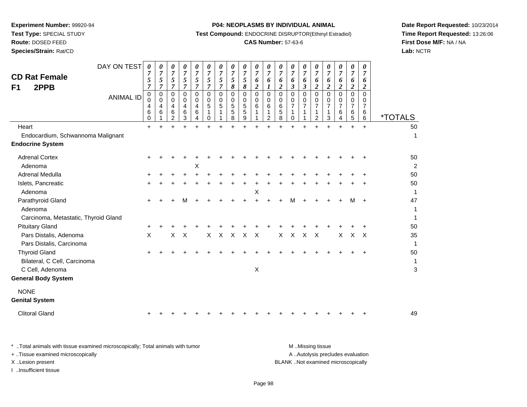**Test Type:** SPECIAL STUDY

## **Route:** DOSED FEED

**Species/Strain:** Rat/CD

#### **P04: NEOPLASMS BY INDIVIDUAL ANIMAL**

**Test Compound:** ENDOCRINE DISRUPTOR(Ethinyl Estradiol)

## **CAS Number:** 57-63-6

**Date Report Requested:** 10/23/2014**Time Report Requested:** 13:26:06**First Dose M/F:** NA / NA**Lab:** NCTR

| <b>CD Rat Female</b><br>2PPB<br>F1                                                                    | DAY ON TEST<br><b>ANIMAL ID</b> | 0<br>$\overline{7}$<br>5<br>7<br>0<br>$\Omega$<br>4<br>6<br>$\Omega$ | 0<br>$\overline{7}$<br>5<br>$\overline{7}$<br>0<br>0<br>4<br>6 | 0<br>$\overline{7}$<br>5<br>$\overline{7}$<br>0<br>0<br>4<br>6<br>$\overline{a}$ | 0<br>$\overline{7}$<br>5<br>7<br>0<br>0<br>4<br>$\,6$<br>3 | 0<br>$\overline{7}$<br>5<br>$\overline{7}$<br>$\Omega$<br>0<br>4<br>6<br>4 | 0<br>$\overline{7}$<br>5<br>7<br>$\Omega$<br>0<br>5<br>1<br>0 | 0<br>$\overline{7}$<br>5<br>7<br>0<br>0<br>5<br>1 | 0<br>$\overline{7}$<br>5<br>8<br>$\mathbf 0$<br>0<br>5<br>5<br>8 | 0<br>$\overline{7}$<br>5<br>8<br>$\mathbf 0$<br>0<br>5<br>$\mathbf 5$<br>9 | 0<br>$\overline{7}$<br>6<br>$\boldsymbol{2}$<br>$\mathbf 0$<br>0<br>6<br>1<br>1 | 0<br>$\overline{7}$<br>6<br>$\Omega$<br>0<br>6<br>1<br>$\overline{c}$ | 0<br>$\overline{7}$<br>6<br>$\boldsymbol{2}$<br>$\Omega$<br>0<br>6<br>5<br>8 | 0<br>$\overline{7}$<br>6<br>$\boldsymbol{\beta}$<br>$\mathbf 0$<br>0<br>$\overline{7}$<br>0 | 0<br>$\overline{7}$<br>6<br>3<br>$\overline{0}$<br>0<br>$\overline{7}$ | 0<br>7<br>6<br>2<br>$\Omega$<br>0<br>7<br>1<br>2 | 0<br>$\overline{7}$<br>6<br>$\boldsymbol{2}$<br>0<br>0<br>$\overline{7}$<br>$\mathbf{1}$<br>$\mathbf{3}$ | 0<br>$\overline{7}$<br>6<br>$\boldsymbol{2}$<br>$\Omega$<br>0<br>$\overline{7}$<br>6<br>4 | 0<br>$\overline{7}$<br>6<br>$\boldsymbol{2}$<br>$\Omega$<br>0<br>$\overline{7}$<br>6<br>5 | 0<br>$\overline{7}$<br>6<br>$\boldsymbol{2}$<br>$\Omega$<br>0<br>$\overline{7}$<br>6<br>$\,6\,$ | <i><b>*TOTALS</b></i>         |
|-------------------------------------------------------------------------------------------------------|---------------------------------|----------------------------------------------------------------------|----------------------------------------------------------------|----------------------------------------------------------------------------------|------------------------------------------------------------|----------------------------------------------------------------------------|---------------------------------------------------------------|---------------------------------------------------|------------------------------------------------------------------|----------------------------------------------------------------------------|---------------------------------------------------------------------------------|-----------------------------------------------------------------------|------------------------------------------------------------------------------|---------------------------------------------------------------------------------------------|------------------------------------------------------------------------|--------------------------------------------------|----------------------------------------------------------------------------------------------------------|-------------------------------------------------------------------------------------------|-------------------------------------------------------------------------------------------|-------------------------------------------------------------------------------------------------|-------------------------------|
| Heart                                                                                                 |                                 | +                                                                    |                                                                |                                                                                  |                                                            |                                                                            |                                                               |                                                   |                                                                  |                                                                            |                                                                                 |                                                                       |                                                                              |                                                                                             |                                                                        |                                                  | Ŧ.                                                                                                       |                                                                                           | $\ddot{}$                                                                                 | $\ddot{}$                                                                                       | 50                            |
| Endocardium, Schwannoma Malignant<br><b>Endocrine System</b>                                          |                                 |                                                                      |                                                                |                                                                                  |                                                            |                                                                            |                                                               |                                                   |                                                                  |                                                                            |                                                                                 |                                                                       |                                                                              |                                                                                             |                                                                        |                                                  |                                                                                                          |                                                                                           |                                                                                           |                                                                                                 | 1                             |
| <b>Adrenal Cortex</b><br>Adenoma                                                                      |                                 |                                                                      |                                                                |                                                                                  |                                                            | $\boldsymbol{\mathsf{X}}$                                                  |                                                               |                                                   |                                                                  |                                                                            |                                                                                 |                                                                       |                                                                              |                                                                                             |                                                                        |                                                  |                                                                                                          |                                                                                           |                                                                                           |                                                                                                 | 50<br>$\overline{\mathbf{c}}$ |
| Adrenal Medulla                                                                                       |                                 |                                                                      |                                                                |                                                                                  |                                                            |                                                                            |                                                               |                                                   |                                                                  |                                                                            |                                                                                 |                                                                       |                                                                              |                                                                                             |                                                                        |                                                  |                                                                                                          |                                                                                           |                                                                                           |                                                                                                 | 50                            |
| Islets, Pancreatic<br>Adenoma                                                                         |                                 | $\div$                                                               |                                                                |                                                                                  |                                                            |                                                                            |                                                               |                                                   |                                                                  | $\ddot{}$                                                                  | $\sf X$                                                                         |                                                                       |                                                                              |                                                                                             |                                                                        |                                                  |                                                                                                          |                                                                                           |                                                                                           |                                                                                                 | 50<br>1                       |
| Parathyroid Gland<br>Adenoma<br>Carcinoma, Metastatic, Thyroid Gland                                  |                                 | +                                                                    |                                                                |                                                                                  | м                                                          |                                                                            |                                                               |                                                   |                                                                  |                                                                            |                                                                                 |                                                                       |                                                                              | м                                                                                           |                                                                        |                                                  |                                                                                                          |                                                                                           | м                                                                                         | $\ddot{}$                                                                                       | 47<br>1<br>1                  |
| <b>Pituitary Gland</b>                                                                                |                                 |                                                                      |                                                                |                                                                                  |                                                            |                                                                            |                                                               |                                                   |                                                                  |                                                                            |                                                                                 |                                                                       |                                                                              |                                                                                             |                                                                        |                                                  |                                                                                                          |                                                                                           |                                                                                           |                                                                                                 | 50                            |
| Pars Distalis, Adenoma<br>Pars Distalis, Carcinoma                                                    |                                 | $\boldsymbol{\mathsf{X}}$                                            |                                                                | $\mathsf{X}$                                                                     | $\boldsymbol{\mathsf{X}}$                                  |                                                                            | $\mathsf{X}$                                                  | X                                                 | $\mathsf{X}$                                                     | $\sf X$                                                                    | $\boldsymbol{\mathsf{X}}$                                                       |                                                                       | X                                                                            | $\mathsf{X}$                                                                                | $\sf X$                                                                | $\mathsf{X}$                                     |                                                                                                          | $\mathsf{X}$                                                                              | $\sf X$                                                                                   | $\mathsf{X}$                                                                                    | 35<br>1                       |
| <b>Thyroid Gland</b><br>Bilateral, C Cell, Carcinoma<br>C Cell, Adenoma<br><b>General Body System</b> |                                 |                                                                      |                                                                |                                                                                  |                                                            |                                                                            |                                                               |                                                   |                                                                  |                                                                            | X                                                                               |                                                                       |                                                                              |                                                                                             |                                                                        |                                                  |                                                                                                          |                                                                                           |                                                                                           | ÷                                                                                               | 50<br>1<br>3                  |
| <b>NONE</b>                                                                                           |                                 |                                                                      |                                                                |                                                                                  |                                                            |                                                                            |                                                               |                                                   |                                                                  |                                                                            |                                                                                 |                                                                       |                                                                              |                                                                                             |                                                                        |                                                  |                                                                                                          |                                                                                           |                                                                                           |                                                                                                 |                               |
| <b>Genital System</b>                                                                                 |                                 |                                                                      |                                                                |                                                                                  |                                                            |                                                                            |                                                               |                                                   |                                                                  |                                                                            |                                                                                 |                                                                       |                                                                              |                                                                                             |                                                                        |                                                  |                                                                                                          |                                                                                           |                                                                                           |                                                                                                 |                               |
| <b>Clitoral Gland</b>                                                                                 |                                 |                                                                      |                                                                |                                                                                  |                                                            |                                                                            |                                                               |                                                   |                                                                  |                                                                            |                                                                                 |                                                                       |                                                                              |                                                                                             |                                                                        |                                                  |                                                                                                          |                                                                                           |                                                                                           |                                                                                                 | 49                            |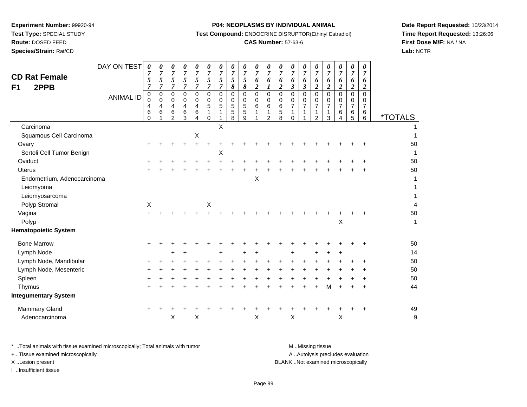**Test Type:** SPECIAL STUDY

**Route:** DOSED FEED

**Species/Strain:** Rat/CD

#### **P04: NEOPLASMS BY INDIVIDUAL ANIMAL**

**Test Compound:** ENDOCRINE DISRUPTOR(Ethinyl Estradiol)

## **CAS Number:** 57-63-6

**Date Report Requested:** 10/23/2014**Time Report Requested:** 13:26:06**First Dose M/F:** NA / NA**Lab:** NCTR

| <b>CD Rat Female</b><br>2PPB<br>F1 | DAY ON TEST<br><b>ANIMAL ID</b> | 0<br>7<br>5<br>7<br>$\pmb{0}$<br>0<br>4<br>6<br>0 | 0<br>7<br>5<br>$\overline{7}$<br>$\mathbf 0$<br>$\mathbf 0$<br>4<br>6 | $\pmb{\theta}$<br>$\overline{7}$<br>5<br>$\overline{7}$<br>0<br>$\mathbf 0$<br>4<br>6<br>$\overline{2}$ | 0<br>$\overline{7}$<br>5<br>$\overline{7}$<br>0<br>0<br>4<br>6<br>3 | 0<br>$\overline{7}$<br>$\mathfrak{H}$<br>7<br>$\pmb{0}$<br>0<br>4<br>6<br>4 | 0<br>$\overline{7}$<br>$\mathfrak{s}$<br>$\overline{7}$<br>$\mathbf 0$<br>0<br>$\sqrt{5}$<br>$\mathbf{1}$<br>$\mathbf 0$ | 0<br>$\overline{7}$<br>5<br>$\overline{7}$<br>$\mathbf 0$<br>0<br>5<br>1 | $\pmb{\theta}$<br>$\overline{7}$<br>5<br>8<br>$\pmb{0}$<br>$\mathbf 0$<br>5<br>5<br>8 | 0<br>$\overline{7}$<br>5<br>8<br>0<br>0<br>5<br>5<br>9 | 0<br>7<br>6<br>$\boldsymbol{2}$<br>0<br>0<br>6 | 0<br>7<br>6<br>0<br>0<br>6<br>$\overline{2}$ | $\boldsymbol{\theta}$<br>$\overline{7}$<br>6<br>$\overline{\mathbf{2}}$<br>$\mathbf 0$<br>0<br>$6\phantom{1}6$<br>5<br>8 | 0<br>$\overline{7}$<br>6<br>3<br>$\mathbf 0$<br>$\mathbf 0$<br>$\overline{7}$<br>1<br>$\Omega$ | 0<br>$\overline{7}$<br>6<br>$\boldsymbol{\beta}$<br>$\mathbf 0$<br>$\mathbf 0$<br>$\overline{7}$<br>1 | 0<br>7<br>6<br>2<br>$\mathbf 0$<br>0<br>$\overline{7}$<br>1<br>$\overline{2}$ | 0<br>$\overline{7}$<br>6<br>$\boldsymbol{2}$<br>$\mathbf 0$<br>0<br>$\overline{7}$<br>1<br>3 | 0<br>$\overline{7}$<br>6<br>$\boldsymbol{2}$<br>0<br>0<br>$\overline{7}$<br>6<br>4 | 0<br>$\overline{7}$<br>6<br>2<br>$\mathbf 0$<br>0<br>$\overline{7}$<br>6<br>5 | 0<br>$\overline{7}$<br>6<br>$\overline{2}$<br>0<br>0<br>$\overline{7}$<br>$6\phantom{.}6$<br>$\,6\,$ | <i><b>*TOTALS</b></i> |
|------------------------------------|---------------------------------|---------------------------------------------------|-----------------------------------------------------------------------|---------------------------------------------------------------------------------------------------------|---------------------------------------------------------------------|-----------------------------------------------------------------------------|--------------------------------------------------------------------------------------------------------------------------|--------------------------------------------------------------------------|---------------------------------------------------------------------------------------|--------------------------------------------------------|------------------------------------------------|----------------------------------------------|--------------------------------------------------------------------------------------------------------------------------|------------------------------------------------------------------------------------------------|-------------------------------------------------------------------------------------------------------|-------------------------------------------------------------------------------|----------------------------------------------------------------------------------------------|------------------------------------------------------------------------------------|-------------------------------------------------------------------------------|------------------------------------------------------------------------------------------------------|-----------------------|
| Carcinoma                          |                                 |                                                   |                                                                       |                                                                                                         |                                                                     |                                                                             |                                                                                                                          | $\times$                                                                 |                                                                                       |                                                        |                                                |                                              |                                                                                                                          |                                                                                                |                                                                                                       |                                                                               |                                                                                              |                                                                                    |                                                                               |                                                                                                      |                       |
| Squamous Cell Carcinoma            |                                 |                                                   |                                                                       |                                                                                                         |                                                                     | $\boldsymbol{\mathsf{X}}$                                                   |                                                                                                                          |                                                                          |                                                                                       |                                                        |                                                |                                              |                                                                                                                          |                                                                                                |                                                                                                       |                                                                               |                                                                                              |                                                                                    |                                                                               |                                                                                                      |                       |
| Ovary                              |                                 |                                                   |                                                                       |                                                                                                         |                                                                     | $\ddot{}$                                                                   |                                                                                                                          |                                                                          |                                                                                       |                                                        |                                                |                                              |                                                                                                                          |                                                                                                |                                                                                                       |                                                                               |                                                                                              |                                                                                    |                                                                               |                                                                                                      | 50                    |
| Sertoli Cell Tumor Benign          |                                 |                                                   |                                                                       |                                                                                                         |                                                                     |                                                                             |                                                                                                                          | X                                                                        |                                                                                       |                                                        |                                                |                                              |                                                                                                                          |                                                                                                |                                                                                                       |                                                                               |                                                                                              |                                                                                    |                                                                               |                                                                                                      | 1                     |
| Oviduct                            |                                 |                                                   |                                                                       |                                                                                                         |                                                                     |                                                                             |                                                                                                                          |                                                                          |                                                                                       |                                                        |                                                |                                              |                                                                                                                          |                                                                                                |                                                                                                       |                                                                               |                                                                                              |                                                                                    |                                                                               |                                                                                                      | 50                    |
| <b>Uterus</b>                      |                                 |                                                   |                                                                       |                                                                                                         |                                                                     |                                                                             |                                                                                                                          |                                                                          |                                                                                       |                                                        |                                                |                                              |                                                                                                                          |                                                                                                |                                                                                                       |                                                                               |                                                                                              |                                                                                    |                                                                               |                                                                                                      | 50                    |
| Endometrium, Adenocarcinoma        |                                 |                                                   |                                                                       |                                                                                                         |                                                                     |                                                                             |                                                                                                                          |                                                                          |                                                                                       |                                                        | Χ                                              |                                              |                                                                                                                          |                                                                                                |                                                                                                       |                                                                               |                                                                                              |                                                                                    |                                                                               |                                                                                                      |                       |
| Leiomyoma                          |                                 |                                                   |                                                                       |                                                                                                         |                                                                     |                                                                             |                                                                                                                          |                                                                          |                                                                                       |                                                        |                                                |                                              |                                                                                                                          |                                                                                                |                                                                                                       |                                                                               |                                                                                              |                                                                                    |                                                                               |                                                                                                      | 1                     |
| Leiomyosarcoma                     |                                 |                                                   |                                                                       |                                                                                                         |                                                                     |                                                                             |                                                                                                                          |                                                                          |                                                                                       |                                                        |                                                |                                              |                                                                                                                          |                                                                                                |                                                                                                       |                                                                               |                                                                                              |                                                                                    |                                                                               |                                                                                                      | 1                     |
| Polyp Stromal                      |                                 | X                                                 |                                                                       |                                                                                                         |                                                                     |                                                                             | $\mathsf X$                                                                                                              |                                                                          |                                                                                       |                                                        |                                                |                                              |                                                                                                                          |                                                                                                |                                                                                                       |                                                                               |                                                                                              |                                                                                    |                                                                               |                                                                                                      | 4                     |
| Vagina                             |                                 | ÷                                                 |                                                                       |                                                                                                         |                                                                     |                                                                             |                                                                                                                          |                                                                          |                                                                                       |                                                        |                                                |                                              |                                                                                                                          |                                                                                                |                                                                                                       |                                                                               |                                                                                              |                                                                                    |                                                                               |                                                                                                      | 50                    |
| Polyp                              |                                 |                                                   |                                                                       |                                                                                                         |                                                                     |                                                                             |                                                                                                                          |                                                                          |                                                                                       |                                                        |                                                |                                              |                                                                                                                          |                                                                                                |                                                                                                       |                                                                               |                                                                                              | $\boldsymbol{\mathsf{X}}$                                                          |                                                                               |                                                                                                      | $\mathbf{1}$          |
| <b>Hematopoietic System</b>        |                                 |                                                   |                                                                       |                                                                                                         |                                                                     |                                                                             |                                                                                                                          |                                                                          |                                                                                       |                                                        |                                                |                                              |                                                                                                                          |                                                                                                |                                                                                                       |                                                                               |                                                                                              |                                                                                    |                                                                               |                                                                                                      |                       |
| <b>Bone Marrow</b>                 |                                 |                                                   |                                                                       |                                                                                                         |                                                                     |                                                                             |                                                                                                                          |                                                                          |                                                                                       |                                                        |                                                |                                              |                                                                                                                          |                                                                                                |                                                                                                       |                                                                               |                                                                                              |                                                                                    |                                                                               | ٠                                                                                                    | 50                    |
| Lymph Node                         |                                 |                                                   |                                                                       |                                                                                                         |                                                                     |                                                                             |                                                                                                                          | +                                                                        |                                                                                       | +                                                      | $\ddot{}$                                      |                                              |                                                                                                                          |                                                                                                |                                                                                                       | 4                                                                             |                                                                                              | ÷                                                                                  |                                                                               |                                                                                                      | 14                    |
| Lymph Node, Mandibular             |                                 |                                                   |                                                                       |                                                                                                         |                                                                     |                                                                             |                                                                                                                          |                                                                          |                                                                                       |                                                        |                                                |                                              |                                                                                                                          |                                                                                                |                                                                                                       |                                                                               |                                                                                              |                                                                                    |                                                                               |                                                                                                      | 50                    |
| Lymph Node, Mesenteric             |                                 |                                                   |                                                                       |                                                                                                         |                                                                     |                                                                             |                                                                                                                          |                                                                          |                                                                                       |                                                        |                                                |                                              |                                                                                                                          |                                                                                                |                                                                                                       |                                                                               |                                                                                              |                                                                                    |                                                                               |                                                                                                      | 50                    |
| Spleen                             |                                 |                                                   |                                                                       |                                                                                                         |                                                                     |                                                                             |                                                                                                                          |                                                                          |                                                                                       |                                                        |                                                |                                              |                                                                                                                          |                                                                                                |                                                                                                       |                                                                               |                                                                                              |                                                                                    |                                                                               |                                                                                                      | 50                    |
| Thymus                             |                                 |                                                   |                                                                       |                                                                                                         |                                                                     |                                                                             |                                                                                                                          |                                                                          |                                                                                       |                                                        |                                                |                                              |                                                                                                                          |                                                                                                |                                                                                                       |                                                                               | M                                                                                            | $\ddot{}$                                                                          | +                                                                             | $\ddot{}$                                                                                            | 44                    |
| <b>Integumentary System</b>        |                                 |                                                   |                                                                       |                                                                                                         |                                                                     |                                                                             |                                                                                                                          |                                                                          |                                                                                       |                                                        |                                                |                                              |                                                                                                                          |                                                                                                |                                                                                                       |                                                                               |                                                                                              |                                                                                    |                                                                               |                                                                                                      |                       |
| <b>Mammary Gland</b>               |                                 |                                                   |                                                                       |                                                                                                         |                                                                     |                                                                             |                                                                                                                          |                                                                          |                                                                                       |                                                        |                                                |                                              |                                                                                                                          |                                                                                                |                                                                                                       |                                                                               |                                                                                              |                                                                                    |                                                                               |                                                                                                      | 49                    |
| Adenocarcinoma                     |                                 |                                                   |                                                                       | X                                                                                                       |                                                                     | $\boldsymbol{\mathsf{X}}$                                                   |                                                                                                                          |                                                                          |                                                                                       |                                                        | X                                              |                                              |                                                                                                                          | $\boldsymbol{\mathsf{X}}$                                                                      |                                                                                                       |                                                                               |                                                                                              | $\boldsymbol{\mathsf{X}}$                                                          |                                                                               |                                                                                                      | 9                     |
|                                    |                                 |                                                   |                                                                       |                                                                                                         |                                                                     |                                                                             |                                                                                                                          |                                                                          |                                                                                       |                                                        |                                                |                                              |                                                                                                                          |                                                                                                |                                                                                                       |                                                                               |                                                                                              |                                                                                    |                                                                               |                                                                                                      |                       |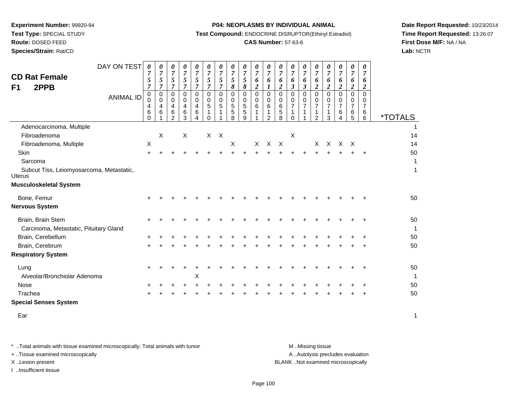**Test Type:** SPECIAL STUDY

## **Route:** DOSED FEED

**Species/Strain:** Rat/CD

#### **P04: NEOPLASMS BY INDIVIDUAL ANIMAL**

**Test Compound:** ENDOCRINE DISRUPTOR(Ethinyl Estradiol)

## **CAS Number:** 57-63-6

**Date Report Requested:** 10/23/2014**Time Report Requested:** 13:26:07**First Dose M/F:** NA / NA**Lab:** NCTR

| <b>CD Rat Female</b><br>2PPB<br>F1                        | DAY ON TEST      | 0<br>7<br>5<br>7             | 0<br>$\overline{7}$<br>5<br>7 | 0<br>$\boldsymbol{7}$<br>5<br>$\overline{7}$ | 0<br>$\boldsymbol{7}$<br>5<br>$\overline{7}$ | 0<br>$\overline{7}$<br>5<br>$\overline{7}$ | 0<br>$\overline{7}$<br>5<br>$\overline{7}$     | 0<br>$\overline{7}$<br>5<br>7     | 0<br>$\boldsymbol{7}$<br>5<br>$\boldsymbol{\delta}$ | 0<br>$\boldsymbol{7}$<br>5<br>8 | 0<br>$\overline{7}$<br>6<br>$\boldsymbol{2}$   | 0<br>$\overline{7}$<br>6<br>1             | 0<br>7<br>6<br>$\boldsymbol{2}$ | 0<br>$\boldsymbol{7}$<br>6<br>$\boldsymbol{\beta}$  | 0<br>$\overline{7}$<br>6<br>3            | 0<br>$\overline{7}$<br>6<br>2          | 0<br>$\overline{7}$<br>6<br>2           | 0<br>$\overline{7}$<br>6<br>$\boldsymbol{2}$ | 0<br>$\overline{7}$<br>6<br>$\overline{2}$             | 0<br>7<br>6<br>2                          |                       |
|-----------------------------------------------------------|------------------|------------------------------|-------------------------------|----------------------------------------------|----------------------------------------------|--------------------------------------------|------------------------------------------------|-----------------------------------|-----------------------------------------------------|---------------------------------|------------------------------------------------|-------------------------------------------|---------------------------------|-----------------------------------------------------|------------------------------------------|----------------------------------------|-----------------------------------------|----------------------------------------------|--------------------------------------------------------|-------------------------------------------|-----------------------|
|                                                           | <b>ANIMAL ID</b> | 0<br>0<br>4<br>6<br>$\Omega$ | 0<br>$\mathbf 0$<br>4<br>6    | 0<br>$\mathbf 0$<br>4<br>6<br>2              | 0<br>0<br>$\overline{4}$<br>6<br>3           | $\Omega$<br>0<br>4<br>6<br>4               | $\Omega$<br>0<br>5<br>$\mathbf{1}$<br>$\Omega$ | $\Omega$<br>$\mathbf 0$<br>5<br>1 | $\mathbf 0$<br>$\mathbf 0$<br>$\sqrt{5}$<br>5<br>8  | 0<br>0<br>$\mathbf 5$<br>5<br>9 | $\mathbf 0$<br>$\mathbf 0$<br>6<br>$\mathbf 1$ | $\Omega$<br>0<br>6<br>1<br>$\overline{2}$ | $\Omega$<br>0<br>6<br>5<br>8    | 0<br>$\mathbf 0$<br>$\overline{7}$<br>1<br>$\Omega$ | 0<br>0<br>$\overline{7}$<br>$\mathbf{1}$ | $\Omega$<br>0<br>7<br>$\mathbf 1$<br>2 | $\Omega$<br>0<br>7<br>$\mathbf{1}$<br>3 | $\Omega$<br>$\mathbf 0$<br>7<br>6<br>4       | $\mathbf 0$<br>$\mathbf 0$<br>$\overline{7}$<br>6<br>5 | $\Omega$<br>0<br>$\overline{7}$<br>6<br>6 | <i><b>*TOTALS</b></i> |
| Adenocarcinoma, Multiple                                  |                  |                              |                               |                                              |                                              |                                            |                                                |                                   |                                                     |                                 |                                                |                                           |                                 |                                                     |                                          |                                        |                                         |                                              |                                                        |                                           |                       |
| Fibroadenoma                                              |                  |                              | X                             |                                              | X                                            |                                            | X                                              | $\mathsf{X}$                      |                                                     |                                 |                                                |                                           |                                 | X                                                   |                                          |                                        |                                         |                                              |                                                        |                                           | 14                    |
| Fibroadenoma, Multiple                                    |                  | $\mathsf X$                  |                               |                                              |                                              |                                            |                                                |                                   | X                                                   |                                 |                                                | X X X                                     |                                 |                                                     |                                          | $\mathsf{X}$                           | X                                       |                                              | X X                                                    |                                           | 14                    |
| Skin                                                      |                  | +                            |                               |                                              |                                              |                                            |                                                |                                   |                                                     |                                 |                                                |                                           |                                 |                                                     | $\ddot{}$                                |                                        |                                         |                                              |                                                        | $\ddot{}$                                 | 50                    |
| Sarcoma                                                   |                  |                              |                               |                                              |                                              |                                            |                                                |                                   |                                                     |                                 |                                                |                                           |                                 |                                                     |                                          |                                        |                                         |                                              |                                                        |                                           | 1                     |
| Subcut Tiss, Leiomyosarcoma, Metastatic,<br><b>Uterus</b> |                  |                              |                               |                                              |                                              |                                            |                                                |                                   |                                                     |                                 |                                                |                                           |                                 |                                                     |                                          |                                        |                                         |                                              |                                                        |                                           | $\mathbf 1$           |
| <b>Musculoskeletal System</b>                             |                  |                              |                               |                                              |                                              |                                            |                                                |                                   |                                                     |                                 |                                                |                                           |                                 |                                                     |                                          |                                        |                                         |                                              |                                                        |                                           |                       |
| Bone, Femur                                               |                  |                              |                               |                                              |                                              |                                            |                                                |                                   |                                                     |                                 |                                                |                                           |                                 |                                                     |                                          |                                        |                                         |                                              |                                                        |                                           | 50                    |
| <b>Nervous System</b>                                     |                  |                              |                               |                                              |                                              |                                            |                                                |                                   |                                                     |                                 |                                                |                                           |                                 |                                                     |                                          |                                        |                                         |                                              |                                                        |                                           |                       |
| Brain, Brain Stem                                         |                  |                              |                               |                                              |                                              |                                            |                                                |                                   |                                                     |                                 |                                                |                                           |                                 |                                                     |                                          |                                        |                                         |                                              |                                                        | ÷                                         | 50                    |
| Carcinoma, Metastatic, Pituitary Gland                    |                  |                              |                               |                                              |                                              |                                            |                                                |                                   |                                                     |                                 |                                                |                                           |                                 |                                                     |                                          |                                        |                                         |                                              |                                                        |                                           | $\mathbf 1$           |
| Brain, Cerebellum                                         |                  |                              |                               |                                              |                                              |                                            |                                                |                                   |                                                     |                                 |                                                |                                           |                                 |                                                     |                                          |                                        |                                         |                                              |                                                        |                                           | 50                    |
| Brain, Cerebrum                                           |                  | +                            |                               |                                              |                                              |                                            |                                                |                                   |                                                     |                                 |                                                |                                           |                                 |                                                     |                                          |                                        |                                         |                                              |                                                        |                                           | 50                    |
| <b>Respiratory System</b>                                 |                  |                              |                               |                                              |                                              |                                            |                                                |                                   |                                                     |                                 |                                                |                                           |                                 |                                                     |                                          |                                        |                                         |                                              |                                                        |                                           |                       |
| Lung                                                      |                  |                              |                               |                                              |                                              |                                            |                                                |                                   |                                                     |                                 |                                                |                                           |                                 |                                                     |                                          |                                        |                                         |                                              |                                                        |                                           | 50                    |
| Alveolar/Bronchiolar Adenoma                              |                  |                              |                               |                                              |                                              | Χ                                          |                                                |                                   |                                                     |                                 |                                                |                                           |                                 |                                                     |                                          |                                        |                                         |                                              |                                                        |                                           | 1                     |
| <b>Nose</b>                                               |                  |                              |                               |                                              |                                              |                                            |                                                |                                   |                                                     |                                 |                                                |                                           |                                 |                                                     |                                          |                                        |                                         |                                              |                                                        |                                           | 50                    |
| Trachea                                                   |                  |                              |                               |                                              |                                              |                                            |                                                |                                   |                                                     |                                 |                                                |                                           |                                 |                                                     |                                          |                                        |                                         |                                              |                                                        |                                           | 50                    |
| <b>Special Senses System</b>                              |                  |                              |                               |                                              |                                              |                                            |                                                |                                   |                                                     |                                 |                                                |                                           |                                 |                                                     |                                          |                                        |                                         |                                              |                                                        |                                           |                       |
| Ear                                                       |                  |                              |                               |                                              |                                              |                                            |                                                |                                   |                                                     |                                 |                                                |                                           |                                 |                                                     |                                          |                                        |                                         |                                              |                                                        |                                           | $\mathbf 1$           |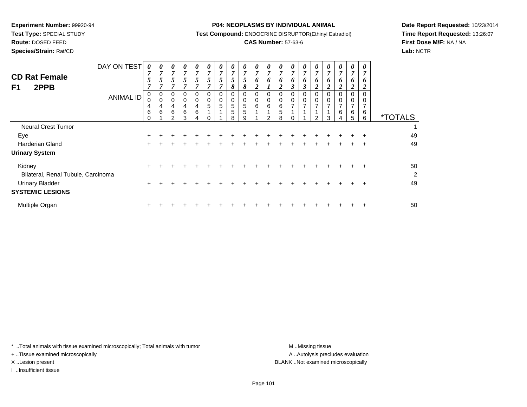**Test Type:** SPECIAL STUDY

## **Route:** DOSED FEED

**Species/Strain:** Rat/CD

#### **P04: NEOPLASMS BY INDIVIDUAL ANIMAL**

**Test Compound:** ENDOCRINE DISRUPTOR(Ethinyl Estradiol)

## **CAS Number:** 57-63-6

**Date Report Requested:** 10/23/2014**Time Report Requested:** 13:26:07**First Dose M/F:** NA / NA**Lab:** NCTR

| <b>CD Rat Female</b><br>2PPB<br>F <sub>1</sub> | DAY ON TEST<br><b>ANIMAL ID</b> | 0<br>$\overline{7}$<br>5<br>7<br>$\mathbf 0$<br>0<br>4<br>6 | 0<br>7<br>5<br>7<br>0<br>0<br>4<br>6 | 0<br>$\overline{7}$<br>5<br>7<br>0<br>$\mathbf 0$<br>4<br>6<br>$\mathcal{L}$ | 0<br>$\overline{7}$<br>5<br>$\overline{7}$<br>0<br>0<br>4<br>6<br>3 | $\pmb{\theta}$<br>$\overline{7}$<br>$5\overline{)}$<br>$\overline{7}$<br>0<br>$\mathbf 0$<br>4<br>6 | 0<br>$\overline{7}$<br>5<br>7<br>0<br>$\mathbf 0$<br>5 | 0<br>$\overline{7}$<br>5<br>7<br>0<br>$\mathbf 0$<br>5 | 0<br>7<br>5<br>8<br>0<br>0<br>5<br>5<br>8 | 0<br>$\overline{7}$<br>5<br>8<br>0<br>0<br>5<br>5<br>9 | 0<br>$\overline{7}$<br>6<br>$\overline{2}$<br>0<br>$\pmb{0}$<br>6 | 0<br>$\overline{7}$<br>6<br>$\Omega$<br>$\mathbf 0$<br>6<br>2 | 0<br>7<br>6<br>$\Omega$<br>0<br>6<br>5<br>8 | 0<br>$\overline{7}$<br>6<br>3<br>0<br>0<br>$\overline{7}$ | 0<br>$\overline{7}$<br>6<br>3<br>0<br>0<br>$\overline{ }$ | 0<br>$\overline{7}$<br>6<br>$\overline{2}$<br>0<br>0<br>$\overline{7}$<br>$\mathfrak{p}$ | $\boldsymbol{\theta}$<br>$\overline{7}$<br>6<br>2<br>$\Omega$<br>$\Omega$<br>$\overline{ }$<br>3 | 0<br>$\overline{7}$<br>6<br>2<br>$\Omega$<br>0<br>$\overline{ }$<br>6 | 0<br>$\overline{7}$<br>6<br>2<br>0<br>$\overline{7}$<br>6<br>5 | 0<br>7<br>6<br>2<br>0<br>0<br>6<br>6 | <i><b>*TOTALS</b></i> |
|------------------------------------------------|---------------------------------|-------------------------------------------------------------|--------------------------------------|------------------------------------------------------------------------------|---------------------------------------------------------------------|-----------------------------------------------------------------------------------------------------|--------------------------------------------------------|--------------------------------------------------------|-------------------------------------------|--------------------------------------------------------|-------------------------------------------------------------------|---------------------------------------------------------------|---------------------------------------------|-----------------------------------------------------------|-----------------------------------------------------------|------------------------------------------------------------------------------------------|--------------------------------------------------------------------------------------------------|-----------------------------------------------------------------------|----------------------------------------------------------------|--------------------------------------|-----------------------|
| <b>Neural Crest Tumor</b>                      |                                 |                                                             |                                      |                                                                              |                                                                     |                                                                                                     |                                                        |                                                        |                                           |                                                        |                                                                   |                                                               |                                             |                                                           |                                                           |                                                                                          |                                                                                                  |                                                                       |                                                                |                                      |                       |
| Eye                                            |                                 | $\div$                                                      |                                      |                                                                              |                                                                     |                                                                                                     |                                                        |                                                        |                                           |                                                        |                                                                   |                                                               |                                             |                                                           |                                                           |                                                                                          |                                                                                                  |                                                                       |                                                                | $\pm$                                | 49                    |
| <b>Harderian Gland</b>                         |                                 | $\ddot{}$                                                   |                                      |                                                                              |                                                                     |                                                                                                     |                                                        |                                                        |                                           |                                                        |                                                                   |                                                               |                                             |                                                           |                                                           |                                                                                          |                                                                                                  |                                                                       |                                                                | $\ddot{}$                            | 49                    |
| <b>Urinary System</b>                          |                                 |                                                             |                                      |                                                                              |                                                                     |                                                                                                     |                                                        |                                                        |                                           |                                                        |                                                                   |                                                               |                                             |                                                           |                                                           |                                                                                          |                                                                                                  |                                                                       |                                                                |                                      |                       |
| Kidney<br>Bilateral, Renal Tubule, Carcinoma   |                                 | 4                                                           |                                      |                                                                              |                                                                     |                                                                                                     |                                                        |                                                        |                                           |                                                        |                                                                   |                                                               |                                             |                                                           |                                                           |                                                                                          |                                                                                                  |                                                                       |                                                                | $\ddot{}$                            | 50<br>$\overline{a}$  |
| <b>Urinary Bladder</b>                         |                                 | $\div$                                                      |                                      |                                                                              |                                                                     |                                                                                                     |                                                        |                                                        |                                           |                                                        |                                                                   |                                                               |                                             |                                                           |                                                           |                                                                                          |                                                                                                  |                                                                       |                                                                | ÷                                    | 49                    |
| <b>SYSTEMIC LESIONS</b>                        |                                 |                                                             |                                      |                                                                              |                                                                     |                                                                                                     |                                                        |                                                        |                                           |                                                        |                                                                   |                                                               |                                             |                                                           |                                                           |                                                                                          |                                                                                                  |                                                                       |                                                                |                                      |                       |
| Multiple Organ                                 |                                 |                                                             |                                      |                                                                              |                                                                     |                                                                                                     |                                                        |                                                        |                                           |                                                        |                                                                   |                                                               |                                             |                                                           |                                                           |                                                                                          |                                                                                                  |                                                                       |                                                                | ÷                                    | 50                    |

\* ..Total animals with tissue examined microscopically; Total animals with tumor **M** . Missing tissue M ..Missing tissue

+ ..Tissue examined microscopically

I ..Insufficient tissue

A ..Autolysis precludes evaluation X ..Lesion present BLANK ..Not examined microscopically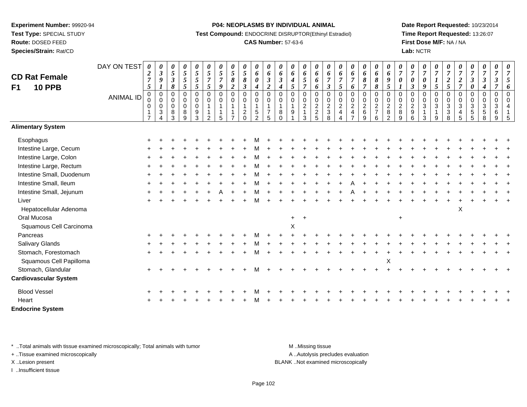**Route:** DOSED FEED

**Species/Strain:** Rat/CD

#### **P04: NEOPLASMS BY INDIVIDUAL ANIMAL**

**Test Compound:** ENDOCRINE DISRUPTOR(Ethinyl Estradiol)

#### **CAS Number:** 57-63-6

**Date Report Requested:** 10/23/2014**Time Report Requested:** 13:26:07**First Dose M/F:** NA / NA**Lab:** NCTR

| <b>CD Rat Female</b>            | DAY ON TEST      | 0<br>$\boldsymbol{2}$<br>$\boldsymbol{7}$                                               | 0<br>$\mathfrak{z}$<br>9                                          | $\boldsymbol{\theta}$<br>$\sqrt{5}$<br>$\mathfrak{z}$ | 0<br>$\mathfrak{H}$<br>$\mathfrak{s}$                                                  | $\boldsymbol{\theta}$<br>$\sqrt{5}$<br>$\mathfrak{I}$ | $\begin{array}{c} 0 \\ 5 \\ 7 \end{array}$                         | $\boldsymbol{\theta}$<br>5<br>$\overline{7}$ | 0<br>$\sqrt{5}$<br>$\pmb{8}$                             | 0<br>5<br>8                                                                            | 0<br>6<br>$\pmb{\theta}$                                   | 0<br>$\pmb{6}$<br>$\mathfrak{z}$                                                  | 0<br>6<br>$\boldsymbol{\beta}$                                                    | $\boldsymbol{\theta}$<br>6<br>$\boldsymbol{4}$    | 0<br>6<br>5                                                                         | 0<br>6<br>6                                           | 0<br>6<br>$\overline{7}$                                                                               | U<br>6<br>$\boldsymbol{7}$                                          | 0<br>$\boldsymbol{\delta}$<br>$\overline{7}$                                                       | $\boldsymbol{\theta}$<br>6<br>8                                           | 0<br>$\boldsymbol{6}$<br>$\pmb{8}$                       | 0<br>6<br>9                                                                | 0<br>$\overline{7}$<br>$\pmb{\theta}$                            | $\boldsymbol{\theta}$<br>$\overline{7}$<br>0                             | $\frac{\boldsymbol{0}}{7}$<br>$\boldsymbol{\theta}$ | $\frac{\theta}{7}$<br>$\boldsymbol{l}$                                         | $\boldsymbol{\theta}$<br>$\overline{7}$<br>$\boldsymbol{2}$ | $\overline{7}$<br>$\overline{\mathbf{c}}$                                        | $\frac{\boldsymbol{\theta}}{\boldsymbol{7}}$<br>$\boldsymbol{\mathfrak{z}}$ | $\frac{\boldsymbol{\theta}}{\boldsymbol{7}}$<br>$\mathfrak{z}$ | 0<br>$\overline{7}$<br>$\mathfrak{z}$                           | $\overline{7}$                              |
|---------------------------------|------------------|-----------------------------------------------------------------------------------------|-------------------------------------------------------------------|-------------------------------------------------------|----------------------------------------------------------------------------------------|-------------------------------------------------------|--------------------------------------------------------------------|----------------------------------------------|----------------------------------------------------------|----------------------------------------------------------------------------------------|------------------------------------------------------------|-----------------------------------------------------------------------------------|-----------------------------------------------------------------------------------|---------------------------------------------------|-------------------------------------------------------------------------------------|-------------------------------------------------------|--------------------------------------------------------------------------------------------------------|---------------------------------------------------------------------|----------------------------------------------------------------------------------------------------|---------------------------------------------------------------------------|----------------------------------------------------------|----------------------------------------------------------------------------|------------------------------------------------------------------|--------------------------------------------------------------------------|-----------------------------------------------------|--------------------------------------------------------------------------------|-------------------------------------------------------------|----------------------------------------------------------------------------------|-----------------------------------------------------------------------------|----------------------------------------------------------------|-----------------------------------------------------------------|---------------------------------------------|
| <b>10 PPB</b><br>F <sub>1</sub> | <b>ANIMAL ID</b> | $\mathfrak{s}$<br>$\pmb{0}$<br>$\pmb{0}$<br>$\pmb{0}$<br>$\mathbf{1}$<br>$\overline{7}$ | $\pmb{0}$<br>$\mathsf 0$<br>$\boldsymbol{0}$<br>$\mathbf{3}$<br>4 | 8<br>$\mathbf 0$<br>$\mathbf 0$<br>0<br>8<br>3        | $\mathfrak{s}$<br>$\mathbf 0$<br>$\mathbf 0$<br>$\mathbf 0$<br>$\,8\,$<br>$\mathsf{Q}$ | 5<br>0<br>0<br>$\pmb{0}$<br>9<br>3                    | 5<br>$\pmb{0}$<br>$\pmb{0}$<br>$\mathbf{1}$<br>$\overline{1}$<br>2 | 9<br>$\pmb{0}$<br>$\mathbf 0$<br>1<br>5      | $\overline{2}$<br>$\pmb{0}$<br>$\pmb{0}$<br>$\mathbf{1}$ | $\mathbf{3}$<br>$\mathsf 0$<br>$\pmb{0}$<br>$\mathbf{1}$<br>$\overline{2}$<br>$\Omega$ | $\boldsymbol{4}$<br>0<br>0<br>$\sqrt{5}$<br>$\overline{2}$ | $\overline{2}$<br>$\pmb{0}$<br>$\pmb{0}$<br>$\overline{1}$<br>$\overline{7}$<br>5 | $\boldsymbol{4}$<br>$\mathbf 0$<br>$\mathbf 0$<br>$\overline{1}$<br>8<br>$\Omega$ | 5<br>$\mathbf 0$<br>$\Omega$<br>$\mathbf{1}$<br>9 | $\overline{7}$<br>$\mathbf 0$<br>$\mathbf 0$<br>$\overline{c}$<br>$\mathbf{1}$<br>3 | 6<br>$\mathbf 0$<br>$_{2}^{\rm 0}$<br>$\sqrt{2}$<br>5 | $\boldsymbol{\beta}$<br>$\pmb{0}$<br>$\begin{smallmatrix} 0\\2 \end{smallmatrix}$<br>$\mathbf{3}$<br>8 | 5<br>$\mathbf 0$<br>0<br>$\sqrt{2}$<br>$\overline{\mathbf{4}}$<br>Δ | 6<br>$\pmb{0}$<br>$\begin{smallmatrix} 0\\2 \end{smallmatrix}$<br>$\overline{4}$<br>$\overline{ }$ | $\overline{7}$<br>0<br>$\boldsymbol{0}$<br>$\overline{2}$<br>$\,6\,$<br>9 | $\boldsymbol{\delta}$<br>$\pmb{0}$<br>$\frac{0}{2}$<br>6 | 5<br>$\mathbf 0$<br>$\mathbf 0$<br>$\boldsymbol{2}$<br>8<br>$\mathfrak{p}$ | $\boldsymbol{l}$<br>$\mathbf 0$<br>0<br>$\overline{2}$<br>8<br>9 | $\mathbf{3}$<br>$\mathbf 0$<br>$\mathbf 0$<br>$\boldsymbol{2}$<br>9<br>6 | 9<br>0<br>0<br>3<br>3                               | 5<br>$\pmb{0}$<br>$\mathsf{O}\xspace$<br>$\overline{3}$<br>$\overline{1}$<br>9 | 5<br>$\mathbf 0$<br>$\mathbf 0$<br>3<br>3<br>8              | $\overline{7}$<br>$\mathbf 0$<br>$\Omega$<br>$\mathbf{3}$<br>$\overline{4}$<br>5 | 0<br>$\mathbf 0$<br>$\mathbf 0$<br>$\sqrt{3}$<br>5<br>5                     | $\boldsymbol{4}$<br>0<br>$_{3}^{\rm 0}$<br>5<br>8              | $\overline{7}$<br>$\mathbf 0$<br>$_{3}^{\rm 0}$<br>$\,6\,$<br>9 | 6<br>$\Omega$<br>$\Omega$<br>$\overline{4}$ |
| <b>Alimentary System</b>        |                  |                                                                                         |                                                                   |                                                       |                                                                                        |                                                       |                                                                    |                                              |                                                          |                                                                                        |                                                            |                                                                                   |                                                                                   |                                                   |                                                                                     |                                                       |                                                                                                        |                                                                     |                                                                                                    |                                                                           |                                                          |                                                                            |                                                                  |                                                                          |                                                     |                                                                                |                                                             |                                                                                  |                                                                             |                                                                |                                                                 |                                             |
| Esophagus                       |                  |                                                                                         |                                                                   |                                                       |                                                                                        |                                                       |                                                                    |                                              |                                                          |                                                                                        |                                                            |                                                                                   |                                                                                   |                                                   |                                                                                     |                                                       |                                                                                                        |                                                                     |                                                                                                    |                                                                           |                                                          |                                                                            |                                                                  |                                                                          |                                                     |                                                                                |                                                             |                                                                                  |                                                                             |                                                                |                                                                 |                                             |
| Intestine Large, Cecum          |                  |                                                                                         |                                                                   |                                                       |                                                                                        |                                                       |                                                                    |                                              |                                                          |                                                                                        |                                                            |                                                                                   |                                                                                   |                                                   |                                                                                     |                                                       |                                                                                                        |                                                                     |                                                                                                    |                                                                           |                                                          |                                                                            |                                                                  |                                                                          |                                                     |                                                                                |                                                             |                                                                                  |                                                                             |                                                                |                                                                 |                                             |
| Intestine Large, Colon          |                  |                                                                                         |                                                                   |                                                       |                                                                                        |                                                       |                                                                    |                                              |                                                          |                                                                                        |                                                            |                                                                                   |                                                                                   |                                                   |                                                                                     |                                                       |                                                                                                        |                                                                     |                                                                                                    |                                                                           |                                                          |                                                                            |                                                                  |                                                                          |                                                     |                                                                                |                                                             |                                                                                  |                                                                             |                                                                |                                                                 |                                             |
| Intestine Large, Rectum         |                  |                                                                                         |                                                                   |                                                       |                                                                                        |                                                       |                                                                    |                                              |                                                          |                                                                                        |                                                            |                                                                                   |                                                                                   |                                                   |                                                                                     |                                                       |                                                                                                        |                                                                     |                                                                                                    |                                                                           |                                                          |                                                                            |                                                                  |                                                                          |                                                     |                                                                                |                                                             |                                                                                  |                                                                             |                                                                |                                                                 |                                             |
| Intestine Small, Duodenum       |                  |                                                                                         |                                                                   |                                                       |                                                                                        |                                                       |                                                                    |                                              |                                                          |                                                                                        |                                                            |                                                                                   |                                                                                   |                                                   |                                                                                     |                                                       |                                                                                                        |                                                                     |                                                                                                    |                                                                           |                                                          |                                                                            |                                                                  |                                                                          |                                                     |                                                                                |                                                             |                                                                                  |                                                                             |                                                                |                                                                 |                                             |
| Intestine Small, Ileum          |                  |                                                                                         |                                                                   |                                                       |                                                                                        |                                                       |                                                                    |                                              |                                                          |                                                                                        |                                                            |                                                                                   |                                                                                   |                                                   |                                                                                     |                                                       |                                                                                                        |                                                                     |                                                                                                    |                                                                           |                                                          |                                                                            |                                                                  |                                                                          |                                                     |                                                                                |                                                             |                                                                                  |                                                                             |                                                                |                                                                 |                                             |
| Intestine Small, Jejunum        |                  |                                                                                         |                                                                   |                                                       |                                                                                        |                                                       |                                                                    |                                              |                                                          |                                                                                        |                                                            |                                                                                   |                                                                                   |                                                   |                                                                                     |                                                       |                                                                                                        |                                                                     |                                                                                                    |                                                                           |                                                          |                                                                            |                                                                  |                                                                          |                                                     |                                                                                |                                                             |                                                                                  |                                                                             |                                                                |                                                                 |                                             |
| Liver                           |                  |                                                                                         |                                                                   |                                                       |                                                                                        |                                                       |                                                                    |                                              |                                                          |                                                                                        |                                                            |                                                                                   |                                                                                   |                                                   |                                                                                     |                                                       |                                                                                                        |                                                                     |                                                                                                    |                                                                           |                                                          |                                                                            |                                                                  |                                                                          |                                                     |                                                                                |                                                             |                                                                                  |                                                                             |                                                                |                                                                 |                                             |
| Hepatocellular Adenoma          |                  |                                                                                         |                                                                   |                                                       |                                                                                        |                                                       |                                                                    |                                              |                                                          |                                                                                        |                                                            |                                                                                   |                                                                                   |                                                   |                                                                                     |                                                       |                                                                                                        |                                                                     |                                                                                                    |                                                                           |                                                          |                                                                            |                                                                  |                                                                          |                                                     |                                                                                |                                                             | X                                                                                |                                                                             |                                                                |                                                                 |                                             |
| Oral Mucosa                     |                  |                                                                                         |                                                                   |                                                       |                                                                                        |                                                       |                                                                    |                                              |                                                          |                                                                                        |                                                            |                                                                                   |                                                                                   | $\ddot{}$                                         |                                                                                     |                                                       |                                                                                                        |                                                                     |                                                                                                    |                                                                           |                                                          |                                                                            | $\ddot{}$                                                        |                                                                          |                                                     |                                                                                |                                                             |                                                                                  |                                                                             |                                                                |                                                                 |                                             |
| Squamous Cell Carcinoma         |                  |                                                                                         |                                                                   |                                                       |                                                                                        |                                                       |                                                                    |                                              |                                                          |                                                                                        |                                                            |                                                                                   |                                                                                   | Χ                                                 |                                                                                     |                                                       |                                                                                                        |                                                                     |                                                                                                    |                                                                           |                                                          |                                                                            |                                                                  |                                                                          |                                                     |                                                                                |                                                             |                                                                                  |                                                                             |                                                                |                                                                 |                                             |
| Pancreas                        |                  |                                                                                         |                                                                   |                                                       |                                                                                        |                                                       |                                                                    |                                              |                                                          |                                                                                        |                                                            |                                                                                   |                                                                                   |                                                   |                                                                                     |                                                       |                                                                                                        |                                                                     |                                                                                                    |                                                                           |                                                          |                                                                            |                                                                  |                                                                          |                                                     |                                                                                |                                                             |                                                                                  |                                                                             |                                                                |                                                                 |                                             |
| <b>Salivary Glands</b>          |                  |                                                                                         |                                                                   |                                                       |                                                                                        |                                                       |                                                                    |                                              |                                                          |                                                                                        |                                                            |                                                                                   |                                                                                   |                                                   |                                                                                     |                                                       |                                                                                                        |                                                                     |                                                                                                    |                                                                           |                                                          |                                                                            |                                                                  |                                                                          |                                                     |                                                                                |                                                             |                                                                                  |                                                                             |                                                                |                                                                 |                                             |
| Stomach, Forestomach            |                  |                                                                                         |                                                                   |                                                       |                                                                                        |                                                       |                                                                    |                                              |                                                          |                                                                                        |                                                            |                                                                                   |                                                                                   |                                                   |                                                                                     |                                                       |                                                                                                        |                                                                     |                                                                                                    |                                                                           |                                                          |                                                                            |                                                                  |                                                                          |                                                     |                                                                                |                                                             |                                                                                  |                                                                             |                                                                |                                                                 |                                             |
| Squamous Cell Papilloma         |                  |                                                                                         |                                                                   |                                                       |                                                                                        |                                                       |                                                                    |                                              |                                                          |                                                                                        |                                                            |                                                                                   |                                                                                   |                                                   |                                                                                     |                                                       |                                                                                                        |                                                                     |                                                                                                    |                                                                           |                                                          | Χ                                                                          |                                                                  |                                                                          |                                                     |                                                                                |                                                             |                                                                                  |                                                                             |                                                                |                                                                 |                                             |
| Stomach, Glandular              |                  |                                                                                         |                                                                   |                                                       |                                                                                        |                                                       |                                                                    |                                              |                                                          |                                                                                        |                                                            |                                                                                   |                                                                                   |                                                   |                                                                                     |                                                       |                                                                                                        |                                                                     |                                                                                                    |                                                                           |                                                          |                                                                            |                                                                  |                                                                          |                                                     |                                                                                |                                                             |                                                                                  |                                                                             |                                                                |                                                                 |                                             |
| <b>Cardiovascular System</b>    |                  |                                                                                         |                                                                   |                                                       |                                                                                        |                                                       |                                                                    |                                              |                                                          |                                                                                        |                                                            |                                                                                   |                                                                                   |                                                   |                                                                                     |                                                       |                                                                                                        |                                                                     |                                                                                                    |                                                                           |                                                          |                                                                            |                                                                  |                                                                          |                                                     |                                                                                |                                                             |                                                                                  |                                                                             |                                                                |                                                                 |                                             |
| <b>Blood Vessel</b>             |                  |                                                                                         |                                                                   |                                                       |                                                                                        |                                                       |                                                                    |                                              |                                                          |                                                                                        |                                                            |                                                                                   |                                                                                   |                                                   |                                                                                     |                                                       |                                                                                                        |                                                                     |                                                                                                    |                                                                           |                                                          |                                                                            |                                                                  |                                                                          |                                                     |                                                                                |                                                             |                                                                                  |                                                                             |                                                                |                                                                 |                                             |
| Heart                           |                  |                                                                                         |                                                                   |                                                       |                                                                                        |                                                       |                                                                    |                                              |                                                          |                                                                                        |                                                            |                                                                                   |                                                                                   |                                                   |                                                                                     |                                                       |                                                                                                        |                                                                     |                                                                                                    |                                                                           |                                                          |                                                                            |                                                                  |                                                                          |                                                     |                                                                                |                                                             |                                                                                  |                                                                             |                                                                |                                                                 |                                             |
| <b>Endocrine System</b>         |                  |                                                                                         |                                                                   |                                                       |                                                                                        |                                                       |                                                                    |                                              |                                                          |                                                                                        |                                                            |                                                                                   |                                                                                   |                                                   |                                                                                     |                                                       |                                                                                                        |                                                                     |                                                                                                    |                                                                           |                                                          |                                                                            |                                                                  |                                                                          |                                                     |                                                                                |                                                             |                                                                                  |                                                                             |                                                                |                                                                 |                                             |

\* ..Total animals with tissue examined microscopically; Total animals with tumor **M** . Missing tissue M ..Missing tissue

+ ..Tissue examined microscopically

I ..Insufficient tissue

A ..Autolysis precludes evaluation

X ..Lesion present BLANK ..Not examined microscopically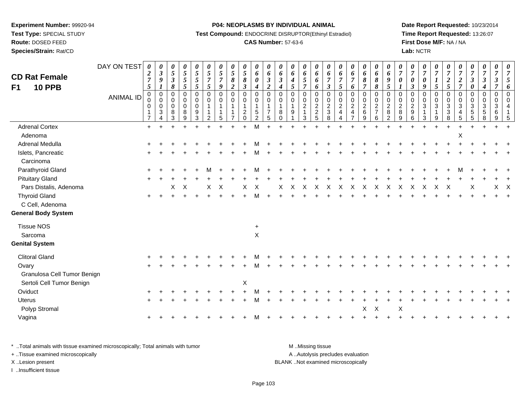**Route:** DOSED FEED

**Species/Strain:** Rat/CD

#### **P04: NEOPLASMS BY INDIVIDUAL ANIMAL**

**Test Compound:** ENDOCRINE DISRUPTOR(Ethinyl Estradiol)

## **CAS Number:** 57-63-6

**Date Report Requested:** 10/23/2014**Time Report Requested:** 13:26:07**First Dose M/F:** NA / NA**Lab:** NCTR

| <b>CD Rat Female</b><br><b>10 PPB</b><br>F <sub>1</sub>           | DAY ON TEST      | 0<br>$\boldsymbol{2}$<br>$\overline{7}$<br>$\overline{5}$ | 0<br>$\boldsymbol{\beta}$<br>$\boldsymbol{g}$<br>$\boldsymbol{l}$ | $\boldsymbol{\theta}$<br>$\overline{5}$<br>$\mathfrak{z}$<br>8      | 0<br>5<br>5<br>5                          | 0<br>$\mathfrak{s}$<br>5<br>5                                      | 0<br>$\sqrt{5}$<br>$\overline{7}$<br>5                        | 0<br>$\sqrt{5}$<br>$\overline{7}$<br>9 | $\boldsymbol{\theta}$<br>$\mathfrak{s}$<br>8<br>$\overline{2}$ | 0<br>$\mathfrak{s}$<br>$\pmb{8}$<br>$\boldsymbol{\beta}$ | 0<br>6<br>$\boldsymbol{\theta}$<br>$\boldsymbol{4}$                            | 0<br>6<br>$\mathbf{3}$<br>$\overline{2}$               | 0<br>6<br>$\mathfrak{z}$<br>$\boldsymbol{4}$ | $\boldsymbol{\theta}$<br>6<br>$\boldsymbol{4}$<br>5 | 0<br>6<br>5<br>$\overline{7}$           | 0<br>$\boldsymbol{6}$<br>6<br>6             | 0<br>6<br>$\overline{7}$<br>$\boldsymbol{\beta}$       | 6<br>$\boldsymbol{7}$<br>5                                | 0<br>6<br>$\overline{7}$<br>6                                                   | 0<br>6<br>8<br>$\overline{7}$                              | 0<br>$\boldsymbol{6}$<br>$\pmb{8}$<br>8                                   | 0<br>$\pmb{6}$<br>9<br>5                                                 | $\boldsymbol{\theta}$<br>$\overline{7}$<br>$\boldsymbol{\theta}$<br>$\boldsymbol{\mathit{1}}$ | $\boldsymbol{\theta}$<br>$\boldsymbol{7}$<br>$\boldsymbol{\theta}$<br>$\mathfrak{z}$ | 0<br>$\boldsymbol{7}$<br>$\boldsymbol{\theta}$<br>9                          | 0<br>$\boldsymbol{7}$<br>$\boldsymbol{l}$<br>$5\overline{)}$ | $\boldsymbol{7}$<br>$\frac{2}{5}$       | $\boldsymbol{\theta}$<br>$\overline{7}$<br>$\boldsymbol{2}$<br>$\overline{7}$ | 0<br>$\boldsymbol{7}$<br>$\mathfrak{z}$<br>$\boldsymbol{\theta}$     | 0<br>$\boldsymbol{7}$<br>$\mathbf{3}$<br>$\boldsymbol{4}$ | 0<br>$\overline{7}$<br>$\mathfrak{z}$<br>7 | 7            |
|-------------------------------------------------------------------|------------------|-----------------------------------------------------------|-------------------------------------------------------------------|---------------------------------------------------------------------|-------------------------------------------|--------------------------------------------------------------------|---------------------------------------------------------------|----------------------------------------|----------------------------------------------------------------|----------------------------------------------------------|--------------------------------------------------------------------------------|--------------------------------------------------------|----------------------------------------------|-----------------------------------------------------|-----------------------------------------|---------------------------------------------|--------------------------------------------------------|-----------------------------------------------------------|---------------------------------------------------------------------------------|------------------------------------------------------------|---------------------------------------------------------------------------|--------------------------------------------------------------------------|-----------------------------------------------------------------------------------------------|--------------------------------------------------------------------------------------|------------------------------------------------------------------------------|--------------------------------------------------------------|-----------------------------------------|-------------------------------------------------------------------------------|----------------------------------------------------------------------|-----------------------------------------------------------|--------------------------------------------|--------------|
|                                                                   | <b>ANIMAL ID</b> | 0<br>0<br>0<br>$\mathbf{1}$<br>$\overline{7}$             | $\mathbf 0$<br>$\mathbf 0$<br>0<br>$\sqrt{3}$<br>4                | $\mathbf 0$<br>$\mathbf 0$<br>$\mathbf 0$<br>$\, 8$<br>$\mathbf{3}$ | 0<br>$\mathbf 0$<br>$\mathbf 0$<br>8<br>9 | $\mathbf 0$<br>$\mathsf 0$<br>$\mathbf 0$<br>$\boldsymbol{9}$<br>3 | $\mathbf 0$<br>$\pmb{0}$<br>$\mathbf{1}$<br>$\mathbf{1}$<br>2 | $\Omega$<br>0<br>5                     | $\mathbf 0$<br>$\mathbf 0$<br>$\mathbf 1$                      | 0<br>$\mathsf 0$<br>1<br>$\boldsymbol{2}$<br>$\Omega$    | $\mathbf 0$<br>$\pmb{0}$<br>$\overline{1}$<br>$\overline{5}$<br>$\overline{2}$ | $\mathbf 0$<br>$\mathbf 0$<br>1<br>$\overline{7}$<br>5 | 0<br>0<br>8<br>$\Omega$                      | $\mathbf 0$<br>$\Omega$<br>9                        | $\mathbf 0$<br>0<br>$\overline{c}$<br>3 | $\mathbf 0$<br>$\pmb{0}$<br>$\frac{2}{2}$ 5 | $\mathbf 0$<br>0<br>$\sqrt{2}$<br>$\sqrt{3}$<br>$\bf8$ | $\mathbf 0$<br>0<br>$\overline{c}$<br>$\overline{4}$<br>4 | $\mathbf 0$<br>0<br>$\overline{c}$<br>$\overline{\mathbf{4}}$<br>$\overline{ }$ | $\mathbf 0$<br>$\pmb{0}$<br>$\overline{2}$<br>$\,6\,$<br>9 | $\mathbf 0$<br>$\pmb{0}$<br>$\boldsymbol{2}$<br>$\overline{7}$<br>$\,6\,$ | $\mathbf 0$<br>$\mathbf 0$<br>$\overline{2}$<br>$\, 8$<br>$\overline{2}$ | $\mathbf 0$<br>$\mathbf 0$<br>$\overline{2}$<br>$\, 8$<br>9                                   | 0<br>0<br>$\overline{2}$<br>$\boldsymbol{9}$<br>6                                    | $\mathbf 0$<br>$\mathbf 0$<br>$\ensuremath{\mathsf{3}}$<br>$\mathbf{1}$<br>3 | $\Omega$<br>0<br>$\mathbf{3}$<br>9                           | 0<br>0<br>$\sqrt{3}$<br>$\sqrt{3}$<br>8 | $\mathbf 0$<br>0<br>$\sqrt{3}$<br>4<br>5                                      | $\mathbf 0$<br>$\mathbf 0$<br>$\sqrt{3}$<br>$\sqrt{5}$<br>$\sqrt{5}$ | $\mathbf 0$<br>0<br>$\sqrt{3}$<br>$\sqrt{5}$<br>8         | $\mathbf 0$<br>0<br>3<br>6<br>9            | $\cap$       |
| <b>Adrenal Cortex</b>                                             |                  | $\ddot{}$                                                 | $+$                                                               |                                                                     |                                           |                                                                    | $\div$                                                        |                                        |                                                                | $+$                                                      | M                                                                              |                                                        |                                              |                                                     |                                         |                                             |                                                        |                                                           |                                                                                 |                                                            |                                                                           |                                                                          |                                                                                               |                                                                                      |                                                                              |                                                              |                                         |                                                                               |                                                                      |                                                           |                                            |              |
| Adenoma                                                           |                  |                                                           |                                                                   |                                                                     |                                           |                                                                    |                                                               |                                        |                                                                |                                                          |                                                                                |                                                        |                                              |                                                     |                                         |                                             |                                                        |                                                           |                                                                                 |                                                            |                                                                           |                                                                          |                                                                                               |                                                                                      |                                                                              |                                                              |                                         | X                                                                             |                                                                      |                                                           |                                            |              |
| Adrenal Medulla                                                   |                  |                                                           |                                                                   |                                                                     |                                           |                                                                    |                                                               |                                        |                                                                |                                                          |                                                                                |                                                        |                                              |                                                     |                                         |                                             |                                                        |                                                           |                                                                                 |                                                            |                                                                           |                                                                          |                                                                                               |                                                                                      |                                                                              |                                                              |                                         |                                                                               |                                                                      |                                                           |                                            |              |
| Islets, Pancreatic<br>Carcinoma                                   |                  |                                                           |                                                                   |                                                                     |                                           |                                                                    |                                                               |                                        |                                                                |                                                          | м                                                                              |                                                        |                                              |                                                     |                                         |                                             |                                                        |                                                           |                                                                                 |                                                            |                                                                           |                                                                          |                                                                                               |                                                                                      |                                                                              |                                                              |                                         |                                                                               |                                                                      |                                                           |                                            |              |
| Parathyroid Gland                                                 |                  |                                                           |                                                                   |                                                                     |                                           |                                                                    |                                                               |                                        |                                                                |                                                          | м                                                                              |                                                        |                                              |                                                     |                                         |                                             |                                                        |                                                           |                                                                                 |                                                            |                                                                           |                                                                          |                                                                                               |                                                                                      |                                                                              |                                                              |                                         | м                                                                             |                                                                      |                                                           |                                            |              |
| <b>Pituitary Gland</b>                                            |                  |                                                           |                                                                   |                                                                     |                                           |                                                                    |                                                               |                                        |                                                                |                                                          |                                                                                |                                                        |                                              |                                                     |                                         |                                             |                                                        |                                                           |                                                                                 |                                                            |                                                                           |                                                                          |                                                                                               |                                                                                      |                                                                              |                                                              |                                         |                                                                               |                                                                      |                                                           |                                            |              |
| Pars Distalis, Adenoma                                            |                  |                                                           |                                                                   | X                                                                   | $\boldsymbol{\mathsf{X}}$                 |                                                                    | X                                                             | X                                      |                                                                | X                                                        | $\mathsf{X}$                                                                   |                                                        | X                                            | $\mathsf{X}$                                        | $\mathsf{X}$                            | $\mathsf{X}$                                | $\mathsf{X}$                                           | $\mathsf{X}$                                              | $\mathsf{X}$                                                                    | $\mathsf{X}$                                               | $\mathsf{X}$                                                              | X                                                                        | $\times$                                                                                      | $\boldsymbol{\mathsf{X}}$                                                            | $\mathsf{X}$                                                                 | $\times$                                                     | $\times$                                |                                                                               | X                                                                    |                                                           | X.                                         | $\mathsf{X}$ |
| <b>Thyroid Gland</b><br>C Cell, Adenoma                           |                  |                                                           |                                                                   |                                                                     |                                           |                                                                    |                                                               |                                        |                                                                |                                                          | M                                                                              |                                                        |                                              |                                                     |                                         |                                             |                                                        |                                                           |                                                                                 |                                                            |                                                                           |                                                                          |                                                                                               |                                                                                      |                                                                              |                                                              |                                         |                                                                               |                                                                      |                                                           |                                            |              |
| <b>General Body System</b>                                        |                  |                                                           |                                                                   |                                                                     |                                           |                                                                    |                                                               |                                        |                                                                |                                                          |                                                                                |                                                        |                                              |                                                     |                                         |                                             |                                                        |                                                           |                                                                                 |                                                            |                                                                           |                                                                          |                                                                                               |                                                                                      |                                                                              |                                                              |                                         |                                                                               |                                                                      |                                                           |                                            |              |
| <b>Tissue NOS</b>                                                 |                  |                                                           |                                                                   |                                                                     |                                           |                                                                    |                                                               |                                        |                                                                |                                                          | $\ddot{}$                                                                      |                                                        |                                              |                                                     |                                         |                                             |                                                        |                                                           |                                                                                 |                                                            |                                                                           |                                                                          |                                                                                               |                                                                                      |                                                                              |                                                              |                                         |                                                                               |                                                                      |                                                           |                                            |              |
| Sarcoma                                                           |                  |                                                           |                                                                   |                                                                     |                                           |                                                                    |                                                               |                                        |                                                                |                                                          | $\boldsymbol{\mathsf{X}}$                                                      |                                                        |                                              |                                                     |                                         |                                             |                                                        |                                                           |                                                                                 |                                                            |                                                                           |                                                                          |                                                                                               |                                                                                      |                                                                              |                                                              |                                         |                                                                               |                                                                      |                                                           |                                            |              |
| <b>Genital System</b>                                             |                  |                                                           |                                                                   |                                                                     |                                           |                                                                    |                                                               |                                        |                                                                |                                                          |                                                                                |                                                        |                                              |                                                     |                                         |                                             |                                                        |                                                           |                                                                                 |                                                            |                                                                           |                                                                          |                                                                                               |                                                                                      |                                                                              |                                                              |                                         |                                                                               |                                                                      |                                                           |                                            |              |
| <b>Clitoral Gland</b>                                             |                  |                                                           |                                                                   |                                                                     |                                           |                                                                    |                                                               |                                        |                                                                |                                                          |                                                                                |                                                        |                                              |                                                     |                                         |                                             |                                                        |                                                           |                                                                                 |                                                            |                                                                           |                                                                          |                                                                                               |                                                                                      |                                                                              |                                                              |                                         |                                                                               |                                                                      |                                                           |                                            |              |
| Ovary<br>Granulosa Cell Tumor Benign<br>Sertoli Cell Tumor Benign |                  |                                                           |                                                                   |                                                                     |                                           |                                                                    |                                                               |                                        |                                                                | X                                                        |                                                                                |                                                        |                                              |                                                     |                                         |                                             |                                                        |                                                           |                                                                                 |                                                            |                                                                           |                                                                          |                                                                                               |                                                                                      |                                                                              |                                                              |                                         |                                                                               |                                                                      |                                                           |                                            |              |
| Oviduct                                                           |                  |                                                           |                                                                   |                                                                     |                                           |                                                                    |                                                               |                                        |                                                                |                                                          |                                                                                |                                                        |                                              |                                                     |                                         |                                             |                                                        |                                                           |                                                                                 |                                                            |                                                                           |                                                                          |                                                                                               |                                                                                      |                                                                              |                                                              |                                         |                                                                               |                                                                      |                                                           |                                            |              |
| <b>Uterus</b>                                                     |                  |                                                           |                                                                   |                                                                     |                                           |                                                                    |                                                               |                                        |                                                                |                                                          |                                                                                |                                                        |                                              |                                                     |                                         |                                             |                                                        |                                                           |                                                                                 |                                                            |                                                                           |                                                                          |                                                                                               |                                                                                      |                                                                              |                                                              |                                         |                                                                               |                                                                      |                                                           |                                            |              |
| Polyp Stromal                                                     |                  |                                                           |                                                                   |                                                                     |                                           |                                                                    |                                                               |                                        |                                                                |                                                          |                                                                                |                                                        |                                              |                                                     |                                         |                                             |                                                        |                                                           |                                                                                 | X                                                          | $\mathsf{X}$                                                              |                                                                          | X                                                                                             |                                                                                      |                                                                              |                                                              |                                         |                                                                               |                                                                      |                                                           |                                            |              |
| Vagina                                                            |                  |                                                           |                                                                   |                                                                     |                                           |                                                                    |                                                               |                                        |                                                                |                                                          |                                                                                |                                                        |                                              |                                                     |                                         |                                             |                                                        |                                                           |                                                                                 |                                                            |                                                                           |                                                                          |                                                                                               |                                                                                      |                                                                              |                                                              |                                         |                                                                               |                                                                      |                                                           |                                            |              |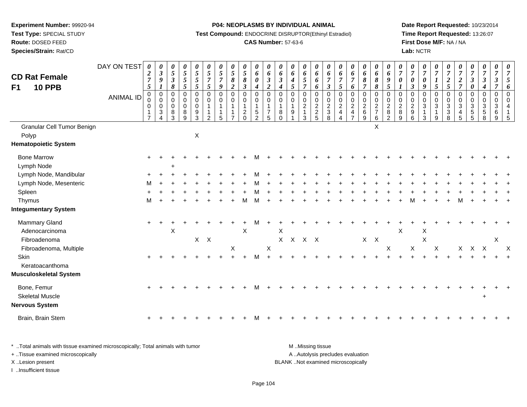**Test Type:** SPECIAL STUDY

## **Route:** DOSED FEED

**Species/Strain:** Rat/CD

## **P04: NEOPLASMS BY INDIVIDUAL ANIMAL**

**Test Compound:** ENDOCRINE DISRUPTOR(Ethinyl Estradiol)

## **CAS Number:** 57-63-6

**Date Report Requested:** 10/23/2014**Time Report Requested:** 13:26:07**First Dose M/F:** NA / NA**Lab:** NCTR

| <b>CD Rat Female</b><br><b>10 PPB</b><br>F <sub>1</sub>            | DAY ON TEST<br><b>ANIMAL ID</b> | 0<br>$\overline{2}$<br>$\overline{7}$<br>5<br>$\mathbf 0$<br>0<br>0<br>1<br>$\overline{7}$ | $\boldsymbol{\theta}$<br>$\boldsymbol{\beta}$<br>9<br>1<br>$\mathbf 0$<br>0<br>$\mathbf 0$<br>$\ensuremath{\mathsf{3}}$<br>$\overline{\mathbf{4}}$ | $\boldsymbol{\theta}$<br>$\sqrt{5}$<br>$\boldsymbol{\beta}$<br>$\pmb{8}$<br>$\overline{0}$<br>$\mathbf 0$<br>$\mathbf 0$<br>8<br>3 | 0<br>$\overline{5}$<br>5<br>5<br>0<br>0<br>0<br>8<br>$\mathsf{Q}$ | 0<br>$\mathfrak{s}$<br>$\sqrt{5}$<br>$\mathfrak{z}$<br>0<br>$\mathbf 0$<br>$\mathsf{O}\xspace$<br>$\frac{9}{3}$ | 0<br>$\mathfrak{s}$<br>$\boldsymbol{7}$<br>5<br>$\pmb{0}$<br>$\boldsymbol{0}$<br>$\mathbf{1}$<br>1<br>$\mathcal{P}$ | 0<br>$\mathfrak{s}$<br>$\overline{7}$<br>$\boldsymbol{g}$<br>$\mathbf 0$<br>0<br>5 | $\boldsymbol{\theta}$<br>$\mathfrak{s}$<br>$\pmb{8}$<br>$\boldsymbol{2}$<br>$\overline{0}$<br>$\pmb{0}$<br>$\mathbf{1}$ | $\frac{\theta}{5}$<br>$\pmb{8}$<br>$\mathfrak{z}$<br>$\pmb{0}$<br>$\mathbf 0$<br>$\overline{1}$<br>$\frac{2}{0}$ | 0<br>6<br>$\pmb{\theta}$<br>$\boldsymbol{4}$<br>$\mathbf 0$<br>$\mathbf 0$<br>$\mathbf{1}$<br>$\frac{5}{2}$ | 0<br>6<br>$\boldsymbol{\beta}$<br>$\boldsymbol{2}$<br>$\mathbf 0$<br>$\mathbf 0$<br>$\mathbf{1}$<br>$\overline{7}$<br>5 | $\boldsymbol{\theta}$<br>6<br>$\boldsymbol{\beta}$<br>$\boldsymbol{4}$<br>$\mathbf 0$<br>0<br>$\mathbf{1}$<br>8<br>$\Omega$ | 0<br>6<br>4<br>5<br>$\mathbf 0$<br>$\mathbf 0$<br>$\mathbf{1}$<br>9 | 0<br>6<br>$\mathfrak{H}$<br>$\overline{7}$<br>$\pmb{0}$<br>$\pmb{0}$<br>$\frac{2}{1}$<br>3 | 0<br>6<br>6<br>6<br>0<br>$\mathbf 0$<br>$\begin{array}{c} 2 \\ 2 \\ 5 \end{array}$ | 0<br>6<br>$\boldsymbol{7}$<br>$\mathfrak{z}$<br>$\mathsf 0$<br>0<br>$\frac{2}{3}$ | $\boldsymbol{\theta}$<br>6<br>$\overline{7}$<br>$\mathfrak{s}$<br>$\mathbf 0$<br>$\pmb{0}$<br>$\sqrt{2}$<br>$\overline{\mathbf{4}}$<br>$\Delta$ | 0<br>6<br>$\boldsymbol{7}$<br>6<br>$\mathbf 0$<br>$\mathbf 0$<br>$\sqrt{2}$<br>$\overline{\mathbf{4}}$<br>$\overline{7}$ | 0<br>$\boldsymbol{6}$<br>$\pmb{8}$<br>$\overline{7}$<br>$\boldsymbol{0}$<br>$\pmb{0}$<br>$\frac{2}{6}$ | 0<br>6<br>$\pmb{8}$<br>$\pmb{8}$<br>$\mathbf 0$<br>0<br>$\sqrt{2}$<br>$\overline{7}$<br>$\,6\,$ | $\boldsymbol{\theta}$<br>$\pmb{6}$<br>$\pmb{9}$<br>$\overline{5}$<br>$\overline{0}$<br>$\mathbf 0$<br>$\begin{array}{c} 2 \\ 8 \\ 2 \end{array}$ | 0<br>$\boldsymbol{7}$<br>$\pmb{\theta}$<br>$\mathbf 0$<br>$\pmb{0}$<br>$\frac{2}{8}$<br>9 | 0<br>$\boldsymbol{7}$<br>$\pmb{\theta}$<br>$\mathfrak{z}$<br>$\pmb{0}$<br>$\mathbf 0$<br>$\frac{2}{9}$<br>6 | 0<br>$\boldsymbol{7}$<br>$\pmb{\theta}$<br>$\boldsymbol{g}$<br>$\mathbf 0$<br>$\mathbf 0$<br>3<br>1<br>3 | $\boldsymbol{7}$<br>$\boldsymbol{l}$<br>$\mathfrak{z}$<br>$\mathbf 0$<br>0<br>$\ensuremath{\mathsf{3}}$<br>$\mathbf{1}$<br>9 | $\boldsymbol{\theta}$<br>$\overline{7}$<br>$\frac{2}{5}$<br>$\mathbf 0$<br>$\pmb{0}$<br>$\ensuremath{\mathsf{3}}$<br>$\ensuremath{\mathsf{3}}$<br>8 | 0<br>$\boldsymbol{7}$<br>$\boldsymbol{2}$<br>$\overline{7}$<br>0<br>$\mathbf 0$<br>$\mathfrak{S}$<br>$\overline{4}$<br>5 | 0<br>$\overline{7}$<br>$\boldsymbol{\beta}$<br>$\pmb{\theta}$<br>$\pmb{0}$<br>$\pmb{0}$<br>$\sqrt{3}$<br>$\frac{5}{5}$ | $\boldsymbol{\theta}$<br>$\overline{7}$<br>$\boldsymbol{\beta}$<br>$\boldsymbol{4}$<br>$\pmb{0}$<br>$\mathbf 0$<br>$\sqrt{3}$<br>$\,$ 5 $\,$<br>8 | 0<br>$\boldsymbol{7}$<br>$\boldsymbol{\beta}$<br>$\overline{7}$<br>$\mathsf 0$<br>0<br>$\ensuremath{\mathsf{3}}$<br>$\,6\,$<br>9 | $\boldsymbol{\theta}$<br>$\overline{7}$<br>$\mathfrak{s}$<br>$\boldsymbol{6}$<br>$\overline{0}$<br>$\pmb{0}$<br>$\overline{4}$<br>$\begin{array}{c} 1 \\ 5 \end{array}$ |
|--------------------------------------------------------------------|---------------------------------|--------------------------------------------------------------------------------------------|----------------------------------------------------------------------------------------------------------------------------------------------------|------------------------------------------------------------------------------------------------------------------------------------|-------------------------------------------------------------------|-----------------------------------------------------------------------------------------------------------------|---------------------------------------------------------------------------------------------------------------------|------------------------------------------------------------------------------------|-------------------------------------------------------------------------------------------------------------------------|------------------------------------------------------------------------------------------------------------------|-------------------------------------------------------------------------------------------------------------|-------------------------------------------------------------------------------------------------------------------------|-----------------------------------------------------------------------------------------------------------------------------|---------------------------------------------------------------------|--------------------------------------------------------------------------------------------|------------------------------------------------------------------------------------|-----------------------------------------------------------------------------------|-------------------------------------------------------------------------------------------------------------------------------------------------|--------------------------------------------------------------------------------------------------------------------------|--------------------------------------------------------------------------------------------------------|-------------------------------------------------------------------------------------------------|--------------------------------------------------------------------------------------------------------------------------------------------------|-------------------------------------------------------------------------------------------|-------------------------------------------------------------------------------------------------------------|----------------------------------------------------------------------------------------------------------|------------------------------------------------------------------------------------------------------------------------------|-----------------------------------------------------------------------------------------------------------------------------------------------------|--------------------------------------------------------------------------------------------------------------------------|------------------------------------------------------------------------------------------------------------------------|---------------------------------------------------------------------------------------------------------------------------------------------------|----------------------------------------------------------------------------------------------------------------------------------|-------------------------------------------------------------------------------------------------------------------------------------------------------------------------|
| Granular Cell Tumor Benign<br>Polyp<br><b>Hematopoietic System</b> |                                 |                                                                                            |                                                                                                                                                    |                                                                                                                                    |                                                                   | $\boldsymbol{\mathsf{X}}$                                                                                       |                                                                                                                     |                                                                                    |                                                                                                                         |                                                                                                                  |                                                                                                             |                                                                                                                         |                                                                                                                             |                                                                     |                                                                                            |                                                                                    |                                                                                   |                                                                                                                                                 |                                                                                                                          |                                                                                                        | $\sf X$                                                                                         |                                                                                                                                                  |                                                                                           |                                                                                                             |                                                                                                          |                                                                                                                              |                                                                                                                                                     |                                                                                                                          |                                                                                                                        |                                                                                                                                                   |                                                                                                                                  |                                                                                                                                                                         |
| <b>Bone Marrow</b><br>Lymph Node                                   |                                 |                                                                                            |                                                                                                                                                    | ÷                                                                                                                                  |                                                                   |                                                                                                                 |                                                                                                                     |                                                                                    |                                                                                                                         |                                                                                                                  |                                                                                                             |                                                                                                                         |                                                                                                                             |                                                                     |                                                                                            |                                                                                    |                                                                                   |                                                                                                                                                 |                                                                                                                          |                                                                                                        |                                                                                                 |                                                                                                                                                  |                                                                                           |                                                                                                             |                                                                                                          |                                                                                                                              |                                                                                                                                                     |                                                                                                                          |                                                                                                                        |                                                                                                                                                   |                                                                                                                                  |                                                                                                                                                                         |
| Lymph Node, Mandibular                                             |                                 |                                                                                            |                                                                                                                                                    |                                                                                                                                    |                                                                   |                                                                                                                 |                                                                                                                     |                                                                                    |                                                                                                                         |                                                                                                                  |                                                                                                             |                                                                                                                         |                                                                                                                             |                                                                     |                                                                                            |                                                                                    |                                                                                   |                                                                                                                                                 |                                                                                                                          |                                                                                                        |                                                                                                 |                                                                                                                                                  |                                                                                           |                                                                                                             |                                                                                                          |                                                                                                                              |                                                                                                                                                     |                                                                                                                          |                                                                                                                        |                                                                                                                                                   |                                                                                                                                  |                                                                                                                                                                         |
| Lymph Node, Mesenteric                                             |                                 | м                                                                                          |                                                                                                                                                    |                                                                                                                                    |                                                                   |                                                                                                                 |                                                                                                                     |                                                                                    |                                                                                                                         |                                                                                                                  |                                                                                                             |                                                                                                                         |                                                                                                                             |                                                                     |                                                                                            |                                                                                    |                                                                                   |                                                                                                                                                 |                                                                                                                          |                                                                                                        |                                                                                                 |                                                                                                                                                  |                                                                                           |                                                                                                             |                                                                                                          |                                                                                                                              |                                                                                                                                                     |                                                                                                                          |                                                                                                                        |                                                                                                                                                   |                                                                                                                                  |                                                                                                                                                                         |
| Spleen                                                             |                                 |                                                                                            |                                                                                                                                                    |                                                                                                                                    |                                                                   |                                                                                                                 |                                                                                                                     |                                                                                    |                                                                                                                         |                                                                                                                  |                                                                                                             |                                                                                                                         |                                                                                                                             |                                                                     |                                                                                            |                                                                                    |                                                                                   |                                                                                                                                                 |                                                                                                                          |                                                                                                        |                                                                                                 |                                                                                                                                                  |                                                                                           |                                                                                                             |                                                                                                          |                                                                                                                              |                                                                                                                                                     |                                                                                                                          |                                                                                                                        |                                                                                                                                                   |                                                                                                                                  |                                                                                                                                                                         |
| Thymus                                                             |                                 | м                                                                                          |                                                                                                                                                    |                                                                                                                                    |                                                                   |                                                                                                                 |                                                                                                                     |                                                                                    |                                                                                                                         |                                                                                                                  | м                                                                                                           |                                                                                                                         |                                                                                                                             |                                                                     |                                                                                            |                                                                                    |                                                                                   |                                                                                                                                                 |                                                                                                                          |                                                                                                        |                                                                                                 |                                                                                                                                                  |                                                                                           |                                                                                                             |                                                                                                          |                                                                                                                              |                                                                                                                                                     |                                                                                                                          |                                                                                                                        |                                                                                                                                                   |                                                                                                                                  |                                                                                                                                                                         |
| <b>Integumentary System</b>                                        |                                 |                                                                                            |                                                                                                                                                    |                                                                                                                                    |                                                                   |                                                                                                                 |                                                                                                                     |                                                                                    |                                                                                                                         |                                                                                                                  |                                                                                                             |                                                                                                                         |                                                                                                                             |                                                                     |                                                                                            |                                                                                    |                                                                                   |                                                                                                                                                 |                                                                                                                          |                                                                                                        |                                                                                                 |                                                                                                                                                  |                                                                                           |                                                                                                             |                                                                                                          |                                                                                                                              |                                                                                                                                                     |                                                                                                                          |                                                                                                                        |                                                                                                                                                   |                                                                                                                                  |                                                                                                                                                                         |
| Mammary Gland<br>Adenocarcinoma<br>Fibroadenoma                    |                                 |                                                                                            |                                                                                                                                                    | X                                                                                                                                  |                                                                   |                                                                                                                 | $X$ $X$                                                                                                             |                                                                                    |                                                                                                                         | X                                                                                                                |                                                                                                             |                                                                                                                         | X                                                                                                                           |                                                                     | X X X X                                                                                    |                                                                                    |                                                                                   |                                                                                                                                                 |                                                                                                                          |                                                                                                        | $X$ $X$                                                                                         |                                                                                                                                                  | X                                                                                         |                                                                                                             | X<br>$\boldsymbol{\mathsf{X}}$                                                                           |                                                                                                                              |                                                                                                                                                     |                                                                                                                          |                                                                                                                        |                                                                                                                                                   | X                                                                                                                                |                                                                                                                                                                         |
| Fibroadenoma, Multiple                                             |                                 |                                                                                            |                                                                                                                                                    |                                                                                                                                    |                                                                   |                                                                                                                 |                                                                                                                     |                                                                                    | X                                                                                                                       |                                                                                                                  |                                                                                                             | X                                                                                                                       |                                                                                                                             |                                                                     |                                                                                            |                                                                                    |                                                                                   |                                                                                                                                                 |                                                                                                                          |                                                                                                        |                                                                                                 | X                                                                                                                                                |                                                                                           | $\mathsf X$                                                                                                 |                                                                                                          | $\boldsymbol{X}$                                                                                                             |                                                                                                                                                     |                                                                                                                          | X X X                                                                                                                  |                                                                                                                                                   |                                                                                                                                  | $\times$                                                                                                                                                                |
| Skin<br>Keratoacanthoma<br><b>Musculoskeletal System</b>           |                                 |                                                                                            |                                                                                                                                                    |                                                                                                                                    |                                                                   |                                                                                                                 |                                                                                                                     |                                                                                    |                                                                                                                         |                                                                                                                  |                                                                                                             |                                                                                                                         |                                                                                                                             |                                                                     |                                                                                            |                                                                                    |                                                                                   |                                                                                                                                                 |                                                                                                                          |                                                                                                        |                                                                                                 |                                                                                                                                                  |                                                                                           |                                                                                                             |                                                                                                          |                                                                                                                              |                                                                                                                                                     |                                                                                                                          |                                                                                                                        |                                                                                                                                                   |                                                                                                                                  |                                                                                                                                                                         |
| Bone, Femur<br><b>Skeletal Muscle</b><br><b>Nervous System</b>     |                                 |                                                                                            |                                                                                                                                                    |                                                                                                                                    |                                                                   |                                                                                                                 |                                                                                                                     |                                                                                    |                                                                                                                         |                                                                                                                  |                                                                                                             |                                                                                                                         |                                                                                                                             |                                                                     |                                                                                            |                                                                                    |                                                                                   |                                                                                                                                                 |                                                                                                                          |                                                                                                        |                                                                                                 |                                                                                                                                                  |                                                                                           |                                                                                                             |                                                                                                          |                                                                                                                              |                                                                                                                                                     |                                                                                                                          |                                                                                                                        |                                                                                                                                                   |                                                                                                                                  |                                                                                                                                                                         |
| Brain, Brain Stem                                                  |                                 |                                                                                            |                                                                                                                                                    |                                                                                                                                    |                                                                   |                                                                                                                 |                                                                                                                     |                                                                                    |                                                                                                                         |                                                                                                                  |                                                                                                             |                                                                                                                         |                                                                                                                             |                                                                     |                                                                                            |                                                                                    |                                                                                   |                                                                                                                                                 |                                                                                                                          |                                                                                                        |                                                                                                 |                                                                                                                                                  |                                                                                           |                                                                                                             |                                                                                                          |                                                                                                                              |                                                                                                                                                     |                                                                                                                          |                                                                                                                        |                                                                                                                                                   |                                                                                                                                  |                                                                                                                                                                         |

| Total animals with tissue examined microscopically: Total animals with tumor. | M Missing tissue                   |
|-------------------------------------------------------------------------------|------------------------------------|
| + Tissue examined microscopically                                             | A Autolysis precludes evaluation   |
| X Lesion present                                                              | BLANK Not examined microscopically |
| Insufficient tissue                                                           |                                    |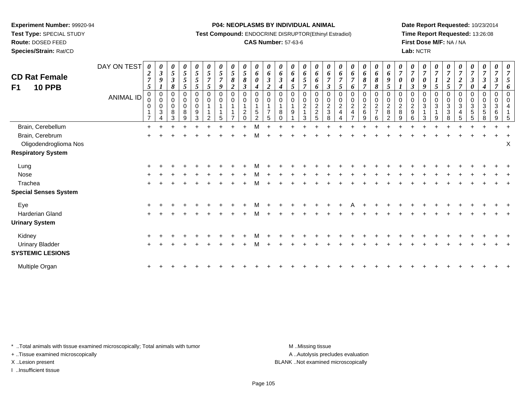**Test Type:** SPECIAL STUDY

**Route:** DOSED FEED

**Species/Strain:** Rat/CD

#### **P04: NEOPLASMS BY INDIVIDUAL ANIMAL**

**Test Compound:** ENDOCRINE DISRUPTOR(Ethinyl Estradiol)

## **CAS Number:** 57-63-6

**Date Report Requested:** 10/23/2014**Time Report Requested:** 13:26:08**First Dose M/F:** NA / NA**Lab:** NCTR

| <b>CD Rat Female</b><br><b>10 PPB</b><br>F1 | DAY ON TEST<br>ANIMAL ID | $\boldsymbol{\theta}$<br>$\boldsymbol{2}$<br>$\overline{7}$<br>$\mathfrak{s}$<br>0<br>$\pmb{0}$<br>$\pmb{0}$ | 0<br>$\boldsymbol{\beta}$<br>9<br>$\boldsymbol{l}$<br>0<br>$\pmb{0}$<br>0<br>$\ensuremath{\mathsf{3}}$<br>4 | U<br>5<br>$\boldsymbol{\beta}$<br>8<br>$\mathbf 0$<br>$\pmb{0}$<br>$\pmb{0}$<br>$\bf 8$<br>3 | 0<br>$\mathfrak{z}$<br>$5\overline{)}$<br>5<br>$\Omega$<br>$\mathbf 0$<br>$\mathbf 0$<br>8<br>9 | 0<br>$\sqrt{5}$<br>5<br>$\sqrt{5}$<br>0<br>$\pmb{0}$<br>$\mbox{O}$<br>$\boldsymbol{9}$<br>3 | 0<br>5<br>$\overline{7}$<br>5<br>0<br>0<br>1 | $\mathfrak{s}$<br>$\overline{7}$<br>9<br>$\Omega$<br>0 | $\boldsymbol{\theta}$<br>$\sqrt{5}$<br>$\pmb{8}$<br>$\boldsymbol{2}$<br>0<br>$\pmb{0}$ | $\boldsymbol{\theta}$<br>$\mathfrak{s}$<br>8<br>$\mathfrak{z}$<br>0<br>$\pmb{0}$<br>1<br>$\overline{2}$ | $\boldsymbol{\theta}$<br>6<br>$\boldsymbol{\theta}$<br>$\boldsymbol{4}$<br>0<br>$\pmb{0}$<br>$\mathbf{1}$<br>$\,$ 5 $\,$<br>$\mathcal{P}$ | $\boldsymbol{\theta}$<br>$\boldsymbol{\theta}$<br>$\boldsymbol{\beta}$<br>$\boldsymbol{2}$<br>0<br>$\mathbf 0$<br>$\overline{7}$<br>5 | 6<br>3<br>4<br>$\Omega$<br>0<br>1 | 6<br>$\boldsymbol{4}$<br>5<br>$\Omega$<br>0<br>9 | 6<br>5<br>$\overline{ }$<br>0<br>$\pmb{0}$<br>$\overline{c}$ | 6<br>6<br>6<br>$\Omega$<br>$\pmb{0}$<br>$\frac{2}{2}$<br>5 | 6<br>$\overline{7}$<br>$\boldsymbol{\beta}$<br>$\Omega$<br>0<br>$\sqrt{2}$<br>$\mathbf{3}$ | 6<br>$\overline{7}$<br>$\overline{5}$<br>$\Omega$<br>$\mathbf 0$<br>$\overline{2}$ | 0<br>6<br>$\overline{7}$<br>6<br>0<br>$\pmb{0}$<br>$\overline{c}$<br>4 | $\boldsymbol{\theta}$<br>6<br>8<br>$\overline{7}$<br>$\Omega$<br>$\pmb{0}$<br>$\overline{c}$<br>$\,6\,$<br>9 | 0<br>6<br>8<br>8<br>$\Omega$<br>$\mathbf 0$<br>$\boldsymbol{2}$<br>$\overline{ }$ | 6<br>9<br>5<br>$\Omega$<br>0<br>$\sqrt{2}$<br>8 | 0<br>0<br>$\mathbf 0$<br>$\overline{c}$<br>8 | $\boldsymbol{7}$<br>0<br>3<br>0<br>$\overline{c}$<br>$\boldsymbol{9}$<br>6 | $\overline{7}$<br>0<br>$\boldsymbol{Q}$<br>$\Omega$<br>$\mathbf 0$<br>$\sqrt{3}$<br>3 | 0<br>$\overline{7}$<br>1<br>5<br>$\Omega$<br>0<br>$\sqrt{3}$<br>9 | $\overline{7}$<br>$\boldsymbol{2}$<br>$\mathfrak{s}$<br>0<br>$\pmb{0}$<br>$\sqrt{3}$<br>$\sqrt{3}$<br>8 | $\boldsymbol{\theta}$<br>$\overline{7}$<br>$\overline{c}$<br>$\overline{7}$<br>0<br>$\mathbf 0$<br>3<br>4<br>5 | 0<br>$\boldsymbol{7}$<br>$\boldsymbol{\beta}$<br>0<br>0<br>$\pmb{0}$<br>$\mathbf{3}$<br>$\overline{5}$<br>5 | 0<br>$\overline{7}$<br>$\mathfrak{z}$<br>$\boldsymbol{4}$<br>0<br>0<br>3<br>5<br>8 | 0<br>$\boldsymbol{7}$<br>$\boldsymbol{\beta}$<br>$\overline{7}$<br>$\pmb{0}$<br>$\pmb{0}$<br>$\ensuremath{\mathsf{3}}$<br>6<br>9 | 0<br>7<br>5<br>6<br>$\Omega$<br>0<br>$\overline{4}$<br>5 |
|---------------------------------------------|--------------------------|--------------------------------------------------------------------------------------------------------------|-------------------------------------------------------------------------------------------------------------|----------------------------------------------------------------------------------------------|-------------------------------------------------------------------------------------------------|---------------------------------------------------------------------------------------------|----------------------------------------------|--------------------------------------------------------|----------------------------------------------------------------------------------------|---------------------------------------------------------------------------------------------------------|-------------------------------------------------------------------------------------------------------------------------------------------|---------------------------------------------------------------------------------------------------------------------------------------|-----------------------------------|--------------------------------------------------|--------------------------------------------------------------|------------------------------------------------------------|--------------------------------------------------------------------------------------------|------------------------------------------------------------------------------------|------------------------------------------------------------------------|--------------------------------------------------------------------------------------------------------------|-----------------------------------------------------------------------------------|-------------------------------------------------|----------------------------------------------|----------------------------------------------------------------------------|---------------------------------------------------------------------------------------|-------------------------------------------------------------------|---------------------------------------------------------------------------------------------------------|----------------------------------------------------------------------------------------------------------------|-------------------------------------------------------------------------------------------------------------|------------------------------------------------------------------------------------|----------------------------------------------------------------------------------------------------------------------------------|----------------------------------------------------------|
| Brain, Cerebellum                           |                          | $+$                                                                                                          | $\ddot{}$                                                                                                   |                                                                                              |                                                                                                 |                                                                                             |                                              |                                                        |                                                                                        |                                                                                                         | M                                                                                                                                         |                                                                                                                                       |                                   |                                                  |                                                              |                                                            |                                                                                            |                                                                                    |                                                                        |                                                                                                              |                                                                                   |                                                 |                                              |                                                                            |                                                                                       |                                                                   |                                                                                                         |                                                                                                                |                                                                                                             |                                                                                    |                                                                                                                                  |                                                          |
| Brain, Cerebrum<br>Oligodendroglioma Nos    |                          |                                                                                                              |                                                                                                             |                                                                                              |                                                                                                 |                                                                                             |                                              |                                                        |                                                                                        |                                                                                                         | М                                                                                                                                         |                                                                                                                                       |                                   |                                                  |                                                              |                                                            |                                                                                            |                                                                                    |                                                                        |                                                                                                              |                                                                                   |                                                 |                                              |                                                                            |                                                                                       |                                                                   |                                                                                                         |                                                                                                                |                                                                                                             |                                                                                    |                                                                                                                                  | X                                                        |
| <b>Respiratory System</b>                   |                          |                                                                                                              |                                                                                                             |                                                                                              |                                                                                                 |                                                                                             |                                              |                                                        |                                                                                        |                                                                                                         |                                                                                                                                           |                                                                                                                                       |                                   |                                                  |                                                              |                                                            |                                                                                            |                                                                                    |                                                                        |                                                                                                              |                                                                                   |                                                 |                                              |                                                                            |                                                                                       |                                                                   |                                                                                                         |                                                                                                                |                                                                                                             |                                                                                    |                                                                                                                                  |                                                          |
| Lung                                        |                          |                                                                                                              |                                                                                                             |                                                                                              |                                                                                                 |                                                                                             |                                              |                                                        |                                                                                        |                                                                                                         |                                                                                                                                           |                                                                                                                                       |                                   |                                                  |                                                              |                                                            |                                                                                            |                                                                                    |                                                                        |                                                                                                              |                                                                                   |                                                 |                                              |                                                                            |                                                                                       |                                                                   |                                                                                                         |                                                                                                                |                                                                                                             |                                                                                    |                                                                                                                                  |                                                          |
| Nose                                        |                          |                                                                                                              |                                                                                                             |                                                                                              |                                                                                                 |                                                                                             |                                              |                                                        |                                                                                        |                                                                                                         |                                                                                                                                           |                                                                                                                                       |                                   |                                                  |                                                              |                                                            |                                                                                            |                                                                                    |                                                                        |                                                                                                              |                                                                                   |                                                 |                                              |                                                                            |                                                                                       |                                                                   |                                                                                                         |                                                                                                                |                                                                                                             |                                                                                    |                                                                                                                                  |                                                          |
| Trachea                                     |                          |                                                                                                              |                                                                                                             |                                                                                              |                                                                                                 |                                                                                             |                                              |                                                        |                                                                                        |                                                                                                         | М                                                                                                                                         |                                                                                                                                       |                                   |                                                  |                                                              |                                                            |                                                                                            |                                                                                    |                                                                        |                                                                                                              |                                                                                   |                                                 |                                              |                                                                            |                                                                                       |                                                                   |                                                                                                         |                                                                                                                |                                                                                                             |                                                                                    |                                                                                                                                  |                                                          |
| <b>Special Senses System</b>                |                          |                                                                                                              |                                                                                                             |                                                                                              |                                                                                                 |                                                                                             |                                              |                                                        |                                                                                        |                                                                                                         |                                                                                                                                           |                                                                                                                                       |                                   |                                                  |                                                              |                                                            |                                                                                            |                                                                                    |                                                                        |                                                                                                              |                                                                                   |                                                 |                                              |                                                                            |                                                                                       |                                                                   |                                                                                                         |                                                                                                                |                                                                                                             |                                                                                    |                                                                                                                                  |                                                          |
| Eye                                         |                          |                                                                                                              |                                                                                                             |                                                                                              |                                                                                                 |                                                                                             |                                              |                                                        |                                                                                        |                                                                                                         |                                                                                                                                           |                                                                                                                                       |                                   |                                                  |                                                              |                                                            |                                                                                            |                                                                                    |                                                                        |                                                                                                              |                                                                                   |                                                 |                                              |                                                                            |                                                                                       |                                                                   |                                                                                                         |                                                                                                                |                                                                                                             |                                                                                    |                                                                                                                                  |                                                          |
| Harderian Gland                             |                          |                                                                                                              |                                                                                                             |                                                                                              |                                                                                                 |                                                                                             |                                              |                                                        |                                                                                        |                                                                                                         | M                                                                                                                                         |                                                                                                                                       |                                   |                                                  |                                                              |                                                            |                                                                                            |                                                                                    |                                                                        |                                                                                                              |                                                                                   |                                                 |                                              |                                                                            |                                                                                       |                                                                   |                                                                                                         |                                                                                                                |                                                                                                             |                                                                                    |                                                                                                                                  |                                                          |
| <b>Urinary System</b>                       |                          |                                                                                                              |                                                                                                             |                                                                                              |                                                                                                 |                                                                                             |                                              |                                                        |                                                                                        |                                                                                                         |                                                                                                                                           |                                                                                                                                       |                                   |                                                  |                                                              |                                                            |                                                                                            |                                                                                    |                                                                        |                                                                                                              |                                                                                   |                                                 |                                              |                                                                            |                                                                                       |                                                                   |                                                                                                         |                                                                                                                |                                                                                                             |                                                                                    |                                                                                                                                  |                                                          |
| Kidney                                      |                          |                                                                                                              |                                                                                                             |                                                                                              |                                                                                                 |                                                                                             |                                              |                                                        |                                                                                        |                                                                                                         |                                                                                                                                           |                                                                                                                                       |                                   |                                                  |                                                              |                                                            |                                                                                            |                                                                                    |                                                                        |                                                                                                              |                                                                                   |                                                 |                                              |                                                                            |                                                                                       |                                                                   |                                                                                                         |                                                                                                                |                                                                                                             |                                                                                    |                                                                                                                                  |                                                          |
| <b>Urinary Bladder</b>                      |                          |                                                                                                              |                                                                                                             |                                                                                              |                                                                                                 |                                                                                             |                                              |                                                        |                                                                                        |                                                                                                         |                                                                                                                                           |                                                                                                                                       |                                   |                                                  |                                                              |                                                            |                                                                                            |                                                                                    |                                                                        |                                                                                                              |                                                                                   |                                                 |                                              |                                                                            |                                                                                       |                                                                   |                                                                                                         |                                                                                                                |                                                                                                             |                                                                                    |                                                                                                                                  |                                                          |
| <b>SYSTEMIC LESIONS</b>                     |                          |                                                                                                              |                                                                                                             |                                                                                              |                                                                                                 |                                                                                             |                                              |                                                        |                                                                                        |                                                                                                         |                                                                                                                                           |                                                                                                                                       |                                   |                                                  |                                                              |                                                            |                                                                                            |                                                                                    |                                                                        |                                                                                                              |                                                                                   |                                                 |                                              |                                                                            |                                                                                       |                                                                   |                                                                                                         |                                                                                                                |                                                                                                             |                                                                                    |                                                                                                                                  |                                                          |
| Multiple Organ                              |                          |                                                                                                              |                                                                                                             |                                                                                              |                                                                                                 |                                                                                             |                                              |                                                        |                                                                                        |                                                                                                         |                                                                                                                                           |                                                                                                                                       |                                   |                                                  |                                                              |                                                            |                                                                                            |                                                                                    |                                                                        |                                                                                                              |                                                                                   |                                                 |                                              |                                                                            |                                                                                       |                                                                   |                                                                                                         |                                                                                                                |                                                                                                             |                                                                                    |                                                                                                                                  |                                                          |

\* ..Total animals with tissue examined microscopically; Total animals with tumor **M** . Missing tissue M ..Missing tissue

+ ..Tissue examined microscopically

I ..Insufficient tissue

A ..Autolysis precludes evaluation X ..Lesion present BLANK ..Not examined microscopically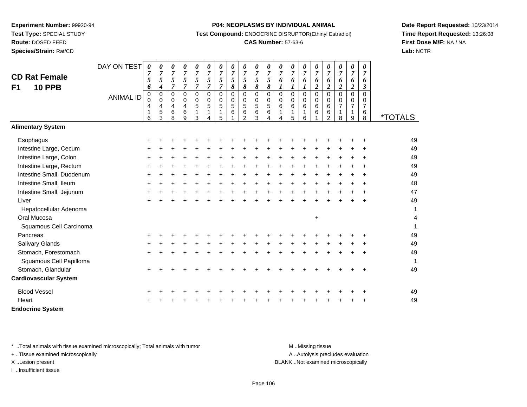**Route:** DOSED FEED

**Species/Strain:** Rat/CD

#### **P04: NEOPLASMS BY INDIVIDUAL ANIMAL**

**Test Compound:** ENDOCRINE DISRUPTOR(Ethinyl Estradiol)

## **CAS Number:** 57-63-6

**Date Report Requested:** 10/23/2014**Time Report Requested:** 13:26:08**First Dose M/F:** NA / NA**Lab:** NCTR

| <b>CD Rat Female</b><br><b>10 PPB</b><br>F <sub>1</sub> | DAY ON TEST<br><b>ANIMAL ID</b> | 0<br>7<br>5<br>6<br>$\mathbf 0$<br>0<br>4<br>6 | $\pmb{\theta}$<br>$\overline{7}$<br>$\sqrt{5}$<br>4<br>$\mathbf 0$<br>0<br>4<br>5<br>3 | 0<br>$\overline{7}$<br>5<br>$\overline{7}$<br>$\Omega$<br>0<br>$\overline{4}$<br>6<br>8 | 0<br>$\overline{7}$<br>5<br>$\overline{7}$<br>$\mathbf 0$<br>$\mathbf 0$<br>$\overline{4}$<br>6<br>9 | 0<br>$\boldsymbol{7}$<br>5<br>$\overline{7}$<br>$\mathbf 0$<br>$\mathbf 0$<br>$\overline{5}$<br>3 | 0<br>$\boldsymbol{7}$<br>5<br>$\overline{7}$<br>$\mathbf 0$<br>0<br>5<br>1<br>4 | $\pmb{\theta}$<br>$\overline{7}$<br>$\sqrt{5}$<br>$\overline{7}$<br>$\mathbf 0$<br>0<br>5<br>1<br>5 | $\boldsymbol{\theta}$<br>$\overline{7}$<br>5<br>8<br>0<br>0<br>5<br>6 | 0<br>$\overline{7}$<br>5<br>8<br>$\mathbf 0$<br>$\mathbf 0$<br>$\,$ 5 $\,$<br>$\frac{6}{2}$ | 0<br>$\overline{7}$<br>5<br>8<br>$\pmb{0}$<br>0<br>$\overline{5}$<br>$\frac{6}{3}$ | 0<br>$\overline{7}$<br>5<br>$\pmb{8}$<br>$\pmb{0}$<br>0<br>$\sqrt{5}$<br>6<br>$\Delta$ | 0<br>$\overline{7}$<br>6<br>$\boldsymbol{l}$<br>$\mathbf 0$<br>$\Omega$<br>6<br>4 | 0<br>$\overline{7}$<br>6<br>$\boldsymbol{l}$<br>0<br>$\mathbf 0$<br>6<br>$\mathbf 1$<br>5 | 0<br>$\overline{7}$<br>6<br>1<br>$\mathbf 0$<br>0<br>6<br>1<br>6 | 0<br>$\overline{7}$<br>6<br>$\overline{2}$<br>$\pmb{0}$<br>$\pmb{0}$<br>$\,6\,$<br>$\,6$ | $\boldsymbol{\theta}$<br>$\overline{7}$<br>6<br>$\overline{2}$<br>$\mathbf 0$<br>$\mathbf 0$<br>6<br>6<br>$\overline{2}$ | 0<br>$\overline{7}$<br>6<br>$\boldsymbol{2}$<br>0<br>$\Omega$<br>$\overline{7}$<br>8 | 0<br>$\overline{7}$<br>6<br>$\boldsymbol{2}$<br>0<br>0<br>$\overline{7}$<br>$\mathbf{1}$<br>9 | 0<br>$\overline{7}$<br>6<br>$\boldsymbol{\beta}$<br>0<br>0<br>$\overline{7}$<br>6<br>8 | <i><b>*TOTALS</b></i> |
|---------------------------------------------------------|---------------------------------|------------------------------------------------|----------------------------------------------------------------------------------------|-----------------------------------------------------------------------------------------|------------------------------------------------------------------------------------------------------|---------------------------------------------------------------------------------------------------|---------------------------------------------------------------------------------|-----------------------------------------------------------------------------------------------------|-----------------------------------------------------------------------|---------------------------------------------------------------------------------------------|------------------------------------------------------------------------------------|----------------------------------------------------------------------------------------|-----------------------------------------------------------------------------------|-------------------------------------------------------------------------------------------|------------------------------------------------------------------|------------------------------------------------------------------------------------------|--------------------------------------------------------------------------------------------------------------------------|--------------------------------------------------------------------------------------|-----------------------------------------------------------------------------------------------|----------------------------------------------------------------------------------------|-----------------------|
| <b>Alimentary System</b>                                |                                 |                                                |                                                                                        |                                                                                         |                                                                                                      |                                                                                                   |                                                                                 |                                                                                                     |                                                                       |                                                                                             |                                                                                    |                                                                                        |                                                                                   |                                                                                           |                                                                  |                                                                                          |                                                                                                                          |                                                                                      |                                                                                               |                                                                                        |                       |
| Esophagus                                               |                                 | +                                              |                                                                                        |                                                                                         |                                                                                                      |                                                                                                   |                                                                                 |                                                                                                     |                                                                       |                                                                                             |                                                                                    |                                                                                        |                                                                                   |                                                                                           |                                                                  |                                                                                          |                                                                                                                          |                                                                                      |                                                                                               |                                                                                        | 49                    |
| Intestine Large, Cecum                                  |                                 |                                                |                                                                                        |                                                                                         |                                                                                                      |                                                                                                   |                                                                                 |                                                                                                     |                                                                       |                                                                                             |                                                                                    |                                                                                        |                                                                                   |                                                                                           |                                                                  |                                                                                          |                                                                                                                          |                                                                                      |                                                                                               |                                                                                        | 49                    |
| Intestine Large, Colon                                  |                                 | ٠                                              |                                                                                        |                                                                                         |                                                                                                      |                                                                                                   |                                                                                 |                                                                                                     |                                                                       |                                                                                             |                                                                                    |                                                                                        |                                                                                   |                                                                                           |                                                                  |                                                                                          |                                                                                                                          |                                                                                      |                                                                                               |                                                                                        | 49                    |
| Intestine Large, Rectum                                 |                                 | ÷                                              |                                                                                        |                                                                                         |                                                                                                      |                                                                                                   |                                                                                 |                                                                                                     |                                                                       |                                                                                             |                                                                                    |                                                                                        |                                                                                   |                                                                                           |                                                                  |                                                                                          |                                                                                                                          |                                                                                      |                                                                                               |                                                                                        | 49                    |
| Intestine Small, Duodenum                               |                                 | +                                              |                                                                                        |                                                                                         |                                                                                                      |                                                                                                   |                                                                                 |                                                                                                     |                                                                       |                                                                                             |                                                                                    |                                                                                        |                                                                                   |                                                                                           |                                                                  |                                                                                          |                                                                                                                          |                                                                                      |                                                                                               |                                                                                        | 49                    |
| Intestine Small, Ileum                                  |                                 | +                                              |                                                                                        |                                                                                         |                                                                                                      |                                                                                                   |                                                                                 |                                                                                                     |                                                                       |                                                                                             |                                                                                    |                                                                                        |                                                                                   |                                                                                           |                                                                  |                                                                                          |                                                                                                                          |                                                                                      |                                                                                               |                                                                                        | 48                    |
| Intestine Small, Jejunum                                |                                 |                                                |                                                                                        |                                                                                         |                                                                                                      |                                                                                                   |                                                                                 |                                                                                                     |                                                                       |                                                                                             |                                                                                    |                                                                                        |                                                                                   |                                                                                           |                                                                  |                                                                                          |                                                                                                                          |                                                                                      |                                                                                               |                                                                                        | 47                    |
| Liver                                                   |                                 |                                                |                                                                                        |                                                                                         |                                                                                                      |                                                                                                   |                                                                                 |                                                                                                     |                                                                       |                                                                                             |                                                                                    |                                                                                        |                                                                                   |                                                                                           |                                                                  |                                                                                          |                                                                                                                          |                                                                                      |                                                                                               |                                                                                        | 49                    |
| Hepatocellular Adenoma                                  |                                 |                                                |                                                                                        |                                                                                         |                                                                                                      |                                                                                                   |                                                                                 |                                                                                                     |                                                                       |                                                                                             |                                                                                    |                                                                                        |                                                                                   |                                                                                           |                                                                  |                                                                                          |                                                                                                                          |                                                                                      |                                                                                               |                                                                                        | 1                     |
| Oral Mucosa                                             |                                 |                                                |                                                                                        |                                                                                         |                                                                                                      |                                                                                                   |                                                                                 |                                                                                                     |                                                                       |                                                                                             |                                                                                    |                                                                                        |                                                                                   |                                                                                           |                                                                  | +                                                                                        |                                                                                                                          |                                                                                      |                                                                                               |                                                                                        | 4                     |
| Squamous Cell Carcinoma                                 |                                 |                                                |                                                                                        |                                                                                         |                                                                                                      |                                                                                                   |                                                                                 |                                                                                                     |                                                                       |                                                                                             |                                                                                    |                                                                                        |                                                                                   |                                                                                           |                                                                  |                                                                                          |                                                                                                                          |                                                                                      |                                                                                               |                                                                                        | 1                     |
| Pancreas                                                |                                 |                                                |                                                                                        |                                                                                         |                                                                                                      |                                                                                                   |                                                                                 |                                                                                                     |                                                                       |                                                                                             |                                                                                    |                                                                                        |                                                                                   |                                                                                           |                                                                  |                                                                                          |                                                                                                                          |                                                                                      |                                                                                               |                                                                                        | 49                    |
| <b>Salivary Glands</b>                                  |                                 |                                                |                                                                                        |                                                                                         |                                                                                                      |                                                                                                   |                                                                                 |                                                                                                     |                                                                       |                                                                                             |                                                                                    |                                                                                        |                                                                                   |                                                                                           |                                                                  |                                                                                          |                                                                                                                          |                                                                                      |                                                                                               |                                                                                        | 49                    |
| Stomach, Forestomach                                    |                                 | +                                              |                                                                                        |                                                                                         |                                                                                                      |                                                                                                   |                                                                                 |                                                                                                     |                                                                       |                                                                                             |                                                                                    |                                                                                        |                                                                                   |                                                                                           |                                                                  |                                                                                          |                                                                                                                          |                                                                                      |                                                                                               |                                                                                        | 49                    |
| Squamous Cell Papilloma                                 |                                 |                                                |                                                                                        |                                                                                         |                                                                                                      |                                                                                                   |                                                                                 |                                                                                                     |                                                                       |                                                                                             |                                                                                    |                                                                                        |                                                                                   |                                                                                           |                                                                  |                                                                                          |                                                                                                                          |                                                                                      |                                                                                               |                                                                                        | $\mathbf{1}$          |
| Stomach, Glandular                                      |                                 |                                                |                                                                                        |                                                                                         |                                                                                                      |                                                                                                   |                                                                                 |                                                                                                     |                                                                       |                                                                                             |                                                                                    |                                                                                        |                                                                                   |                                                                                           |                                                                  |                                                                                          |                                                                                                                          |                                                                                      |                                                                                               |                                                                                        | 49                    |
| <b>Cardiovascular System</b>                            |                                 |                                                |                                                                                        |                                                                                         |                                                                                                      |                                                                                                   |                                                                                 |                                                                                                     |                                                                       |                                                                                             |                                                                                    |                                                                                        |                                                                                   |                                                                                           |                                                                  |                                                                                          |                                                                                                                          |                                                                                      |                                                                                               |                                                                                        |                       |
| <b>Blood Vessel</b>                                     |                                 |                                                |                                                                                        |                                                                                         |                                                                                                      |                                                                                                   |                                                                                 |                                                                                                     |                                                                       |                                                                                             |                                                                                    |                                                                                        |                                                                                   |                                                                                           |                                                                  |                                                                                          |                                                                                                                          |                                                                                      |                                                                                               |                                                                                        | 49                    |
| Heart                                                   |                                 |                                                |                                                                                        |                                                                                         |                                                                                                      |                                                                                                   |                                                                                 |                                                                                                     |                                                                       |                                                                                             |                                                                                    |                                                                                        |                                                                                   |                                                                                           |                                                                  |                                                                                          |                                                                                                                          |                                                                                      |                                                                                               |                                                                                        | 49                    |
| <b>Endocrine System</b>                                 |                                 |                                                |                                                                                        |                                                                                         |                                                                                                      |                                                                                                   |                                                                                 |                                                                                                     |                                                                       |                                                                                             |                                                                                    |                                                                                        |                                                                                   |                                                                                           |                                                                  |                                                                                          |                                                                                                                          |                                                                                      |                                                                                               |                                                                                        |                       |

\* ..Total animals with tissue examined microscopically; Total animals with tumor **M** . Missing tissue M ..Missing tissue

+ ..Tissue examined microscopically

I ..Insufficient tissue

A ..Autolysis precludes evaluation

X ..Lesion present BLANK ..Not examined microscopically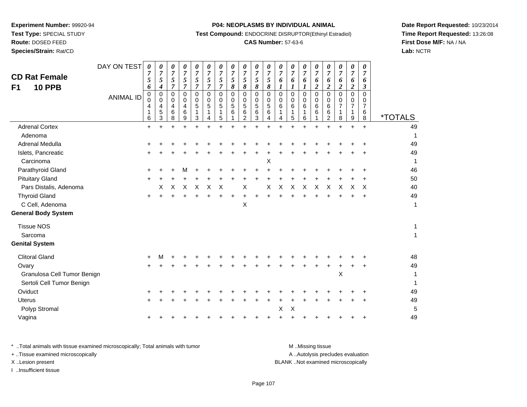**Route:** DOSED FEED

**Species/Strain:** Rat/CD

#### **P04: NEOPLASMS BY INDIVIDUAL ANIMAL**

**Test Compound:** ENDOCRINE DISRUPTOR(Ethinyl Estradiol)

## **CAS Number:** 57-63-6

**Date Report Requested:** 10/23/2014**Time Report Requested:** 13:26:08**First Dose M/F:** NA / NA**Lab:** NCTR

| <b>CD Rat Female</b><br><b>10 PPB</b><br>F <sub>1</sub> | DAY ON TEST<br><b>ANIMAL ID</b> | $\boldsymbol{\theta}$<br>$\overline{7}$<br>5<br>6<br>0<br>0<br>4<br>1<br>6 | 0<br>7<br>5<br>4<br>0<br>0<br>4<br>5<br>3 | 0<br>$\overline{7}$<br>5<br>$\overline{7}$<br>0<br>$\Omega$<br>4<br>6<br>8 | $\pmb{\theta}$<br>$\overline{7}$<br>5<br>$\overline{7}$<br>0<br>$\Omega$<br>4<br>6<br>9 | $\pmb{\theta}$<br>$\overline{7}$<br>$\sqrt{5}$<br>$\overline{7}$<br>$\mathbf 0$<br>0<br>5<br>1<br>3 | $\pmb{\theta}$<br>$\overline{7}$<br>5<br>$\overline{7}$<br>$\mathbf 0$<br>0<br>5<br>1<br>4 | 0<br>7<br>5<br>$\overline{7}$<br>0<br>0<br>5<br>1<br>5 | $\pmb{\theta}$<br>$\overline{7}$<br>$\overline{5}$<br>$\pmb{8}$<br>0<br>0<br>$\mathbf 5$<br>6 | $\pmb{\theta}$<br>$\overline{7}$<br>5<br>8<br>$\mathbf 0$<br>0<br>$\sqrt{5}$<br>6<br>$\overline{2}$ | $\pmb{\theta}$<br>$\overline{7}$<br>$\sqrt{5}$<br>8<br>0<br>0<br>$\sqrt{5}$<br>6<br>$\mathbf{3}$ | 0<br>$\overline{7}$<br>5<br>8<br>$\mathbf 0$<br>0<br>$\sqrt{5}$<br>6<br>4 | 0<br>7<br>6<br>$\mathbf 0$<br>0<br>6<br>4 | $\pmb{\theta}$<br>$\overline{7}$<br>6<br>0<br>$\Omega$<br>6<br>1<br>5 | $\pmb{\theta}$<br>$\overline{7}$<br>6<br>$\mathbf 0$<br>$\Omega$<br>6<br>1<br>6 | $\pmb{\theta}$<br>$\overline{7}$<br>6<br>$\overline{c}$<br>$\mathbf 0$<br>0<br>$\,6$<br>6 | $\pmb{\theta}$<br>$\overline{7}$<br>6<br>$\boldsymbol{2}$<br>$\mathbf 0$<br>0<br>$\,6$<br>$\,6\,$<br>$\overline{c}$ | 0<br>7<br>6<br>$\boldsymbol{2}$<br>$\mathbf 0$<br>0<br>7<br>1<br>8 | $\boldsymbol{\theta}$<br>$\overline{7}$<br>6<br>$\boldsymbol{2}$<br>$\mathbf 0$<br>0<br>$\overline{7}$<br>1<br>9 | 0<br>7<br>6<br>$\boldsymbol{\beta}$<br>$\Omega$<br>$\Omega$<br>$\overline{7}$<br>6<br>8 | <i><b>*TOTALS</b></i> |
|---------------------------------------------------------|---------------------------------|----------------------------------------------------------------------------|-------------------------------------------|----------------------------------------------------------------------------|-----------------------------------------------------------------------------------------|-----------------------------------------------------------------------------------------------------|--------------------------------------------------------------------------------------------|--------------------------------------------------------|-----------------------------------------------------------------------------------------------|-----------------------------------------------------------------------------------------------------|--------------------------------------------------------------------------------------------------|---------------------------------------------------------------------------|-------------------------------------------|-----------------------------------------------------------------------|---------------------------------------------------------------------------------|-------------------------------------------------------------------------------------------|---------------------------------------------------------------------------------------------------------------------|--------------------------------------------------------------------|------------------------------------------------------------------------------------------------------------------|-----------------------------------------------------------------------------------------|-----------------------|
| <b>Adrenal Cortex</b>                                   |                                 | $\ddot{}$                                                                  |                                           |                                                                            |                                                                                         |                                                                                                     | $\ddot{}$                                                                                  | $+$                                                    | ÷                                                                                             |                                                                                                     |                                                                                                  |                                                                           |                                           |                                                                       |                                                                                 | ÷                                                                                         | $\ddot{}$                                                                                                           | $+$                                                                | $\ddot{}$                                                                                                        | $\ddot{}$                                                                               | 49                    |
| Adenoma                                                 |                                 |                                                                            |                                           |                                                                            |                                                                                         |                                                                                                     |                                                                                            |                                                        |                                                                                               |                                                                                                     |                                                                                                  |                                                                           |                                           |                                                                       |                                                                                 |                                                                                           |                                                                                                                     |                                                                    |                                                                                                                  |                                                                                         | 1                     |
| Adrenal Medulla                                         |                                 |                                                                            |                                           |                                                                            |                                                                                         |                                                                                                     |                                                                                            |                                                        |                                                                                               |                                                                                                     |                                                                                                  |                                                                           |                                           |                                                                       |                                                                                 |                                                                                           |                                                                                                                     |                                                                    |                                                                                                                  |                                                                                         | 49                    |
| Islets, Pancreatic                                      |                                 |                                                                            |                                           |                                                                            |                                                                                         |                                                                                                     |                                                                                            |                                                        |                                                                                               |                                                                                                     |                                                                                                  |                                                                           |                                           |                                                                       |                                                                                 |                                                                                           |                                                                                                                     |                                                                    |                                                                                                                  |                                                                                         | 49                    |
| Carcinoma                                               |                                 |                                                                            |                                           |                                                                            |                                                                                         |                                                                                                     |                                                                                            |                                                        |                                                                                               |                                                                                                     |                                                                                                  | X                                                                         |                                           |                                                                       |                                                                                 |                                                                                           |                                                                                                                     |                                                                    |                                                                                                                  |                                                                                         | $\mathbf{1}$          |
| Parathyroid Gland                                       |                                 |                                                                            |                                           |                                                                            |                                                                                         |                                                                                                     |                                                                                            |                                                        |                                                                                               |                                                                                                     |                                                                                                  |                                                                           |                                           |                                                                       |                                                                                 |                                                                                           |                                                                                                                     |                                                                    |                                                                                                                  |                                                                                         | 46                    |
| <b>Pituitary Gland</b>                                  |                                 | ÷                                                                          |                                           |                                                                            |                                                                                         |                                                                                                     |                                                                                            |                                                        |                                                                                               |                                                                                                     |                                                                                                  |                                                                           |                                           |                                                                       |                                                                                 |                                                                                           |                                                                                                                     |                                                                    |                                                                                                                  |                                                                                         | 50                    |
| Pars Distalis, Adenoma                                  |                                 |                                                                            | X                                         | X                                                                          | $\times$                                                                                | X                                                                                                   | X                                                                                          | $\times$                                               |                                                                                               | X                                                                                                   |                                                                                                  | X                                                                         | X                                         | X                                                                     | X                                                                               | X                                                                                         | X                                                                                                                   | X                                                                  | X                                                                                                                | X                                                                                       | 40                    |
| <b>Thyroid Gland</b>                                    |                                 | $\ddot{}$                                                                  |                                           |                                                                            |                                                                                         |                                                                                                     |                                                                                            |                                                        |                                                                                               |                                                                                                     |                                                                                                  |                                                                           |                                           |                                                                       |                                                                                 |                                                                                           |                                                                                                                     |                                                                    | ٠                                                                                                                | $\ddot{}$                                                                               | 49                    |
| C Cell, Adenoma                                         |                                 |                                                                            |                                           |                                                                            |                                                                                         |                                                                                                     |                                                                                            |                                                        |                                                                                               | X                                                                                                   |                                                                                                  |                                                                           |                                           |                                                                       |                                                                                 |                                                                                           |                                                                                                                     |                                                                    |                                                                                                                  |                                                                                         | 1                     |
| <b>General Body System</b>                              |                                 |                                                                            |                                           |                                                                            |                                                                                         |                                                                                                     |                                                                                            |                                                        |                                                                                               |                                                                                                     |                                                                                                  |                                                                           |                                           |                                                                       |                                                                                 |                                                                                           |                                                                                                                     |                                                                    |                                                                                                                  |                                                                                         |                       |
| <b>Tissue NOS</b>                                       |                                 |                                                                            |                                           |                                                                            |                                                                                         |                                                                                                     |                                                                                            |                                                        |                                                                                               |                                                                                                     |                                                                                                  |                                                                           |                                           |                                                                       |                                                                                 |                                                                                           |                                                                                                                     |                                                                    |                                                                                                                  |                                                                                         | 1                     |
| Sarcoma                                                 |                                 |                                                                            |                                           |                                                                            |                                                                                         |                                                                                                     |                                                                                            |                                                        |                                                                                               |                                                                                                     |                                                                                                  |                                                                           |                                           |                                                                       |                                                                                 |                                                                                           |                                                                                                                     |                                                                    |                                                                                                                  |                                                                                         | $\mathbf{1}$          |
| <b>Genital System</b>                                   |                                 |                                                                            |                                           |                                                                            |                                                                                         |                                                                                                     |                                                                                            |                                                        |                                                                                               |                                                                                                     |                                                                                                  |                                                                           |                                           |                                                                       |                                                                                 |                                                                                           |                                                                                                                     |                                                                    |                                                                                                                  |                                                                                         |                       |
| <b>Clitoral Gland</b>                                   |                                 |                                                                            |                                           |                                                                            |                                                                                         |                                                                                                     |                                                                                            |                                                        |                                                                                               |                                                                                                     |                                                                                                  |                                                                           |                                           |                                                                       |                                                                                 |                                                                                           |                                                                                                                     |                                                                    |                                                                                                                  |                                                                                         | 48                    |
| Ovary                                                   |                                 |                                                                            |                                           |                                                                            |                                                                                         |                                                                                                     |                                                                                            |                                                        |                                                                                               |                                                                                                     |                                                                                                  |                                                                           |                                           |                                                                       |                                                                                 |                                                                                           |                                                                                                                     |                                                                    |                                                                                                                  |                                                                                         | 49                    |
| Granulosa Cell Tumor Benign                             |                                 |                                                                            |                                           |                                                                            |                                                                                         |                                                                                                     |                                                                                            |                                                        |                                                                                               |                                                                                                     |                                                                                                  |                                                                           |                                           |                                                                       |                                                                                 |                                                                                           |                                                                                                                     | $\times$                                                           |                                                                                                                  |                                                                                         | 1                     |
| Sertoli Cell Tumor Benign                               |                                 |                                                                            |                                           |                                                                            |                                                                                         |                                                                                                     |                                                                                            |                                                        |                                                                                               |                                                                                                     |                                                                                                  |                                                                           |                                           |                                                                       |                                                                                 |                                                                                           |                                                                                                                     |                                                                    |                                                                                                                  |                                                                                         | 1                     |
| Oviduct                                                 |                                 |                                                                            |                                           |                                                                            |                                                                                         |                                                                                                     |                                                                                            |                                                        |                                                                                               |                                                                                                     |                                                                                                  |                                                                           |                                           |                                                                       |                                                                                 |                                                                                           |                                                                                                                     |                                                                    |                                                                                                                  |                                                                                         | 49                    |
| Uterus                                                  |                                 | $\ddot{}$                                                                  |                                           |                                                                            |                                                                                         |                                                                                                     |                                                                                            |                                                        |                                                                                               |                                                                                                     |                                                                                                  |                                                                           |                                           |                                                                       |                                                                                 |                                                                                           |                                                                                                                     |                                                                    |                                                                                                                  |                                                                                         | 49                    |
| Polyp Stromal                                           |                                 |                                                                            |                                           |                                                                            |                                                                                         |                                                                                                     |                                                                                            |                                                        |                                                                                               |                                                                                                     |                                                                                                  |                                                                           | X                                         | X                                                                     |                                                                                 |                                                                                           |                                                                                                                     |                                                                    |                                                                                                                  |                                                                                         | 5                     |
| Vagina                                                  |                                 |                                                                            |                                           |                                                                            |                                                                                         |                                                                                                     |                                                                                            |                                                        |                                                                                               |                                                                                                     |                                                                                                  |                                                                           |                                           |                                                                       |                                                                                 |                                                                                           |                                                                                                                     |                                                                    |                                                                                                                  |                                                                                         | 49                    |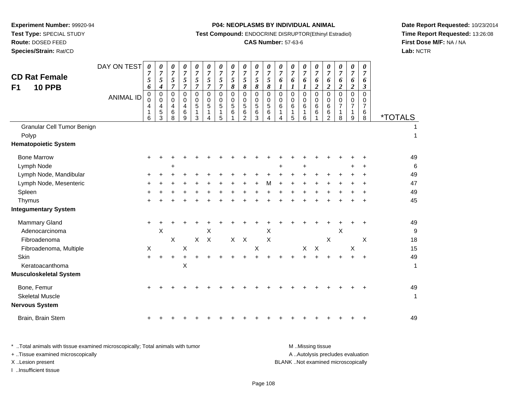**Test Type:** SPECIAL STUDY

# **Route:** DOSED FEED

**Species/Strain:** Rat/CD

## **P04: NEOPLASMS BY INDIVIDUAL ANIMAL**

**Test Compound:** ENDOCRINE DISRUPTOR(Ethinyl Estradiol)

## **CAS Number:** 57-63-6

**Date Report Requested:** 10/23/2014**Time Report Requested:** 13:26:08**First Dose M/F:** NA / NA**Lab:** NCTR

| <b>CD Rat Female</b><br><b>10 PPB</b><br>F1<br><b>Granular Cell Tumor Benign</b> | DAY ON TEST<br><b>ANIMAL ID</b> | 0<br>$\overline{7}$<br>5<br>6<br>0<br>$\Omega$<br>4<br>1<br>6 | 0<br>$\overline{7}$<br>5<br>4<br>0<br>0<br>4<br>5<br>3 | 0<br>$\overline{7}$<br>5<br>$\overline{7}$<br>$\mathbf 0$<br>0<br>4<br>6<br>8 | 0<br>$\overline{7}$<br>5<br>$\overline{7}$<br>$\Omega$<br>0<br>$\overline{\mathbf{4}}$<br>$\,6$<br>9 | 0<br>$\overline{7}$<br>5<br>7<br>$\mathbf 0$<br>0<br>5<br>1<br>3 | 0<br>$\overline{7}$<br>$\overline{5}$<br>$\overline{7}$<br>$\mathbf 0$<br>0<br>$\sqrt{5}$<br>1<br>4 | 0<br>$\overline{7}$<br>5<br>$\overline{7}$<br>$\mathbf 0$<br>0<br>$\overline{5}$<br>1<br>5 | 0<br>$\overline{7}$<br>5<br>8<br>$\mathbf 0$<br>0<br>5<br>6 | 0<br>$\overline{7}$<br>5<br>8<br>$\mathbf 0$<br>0<br>$\sqrt{5}$<br>$\,6$<br>$\overline{2}$ | 0<br>7<br>5<br>8<br>$\mathbf 0$<br>0<br>5<br>6<br>3 | 0<br>$\overline{7}$<br>$\sqrt{5}$<br>8<br>$\mathbf 0$<br>0<br>$\sqrt{5}$<br>$\,6$<br>4 | 0<br>$\overline{7}$<br>6<br>1<br>$\Omega$<br>0<br>6<br>1<br>4 | 0<br>$\overline{7}$<br>6<br>1<br>$\mathbf 0$<br>0<br>$6\phantom{1}6$<br>1<br>5 | 0<br>$\overline{7}$<br>6<br>1<br>$\mathbf 0$<br>0<br>$\,6\,$<br>1<br>6 | 0<br>7<br>6<br>2<br>$\Omega$<br>0<br>6<br>6 | 0<br>$\overline{7}$<br>6<br>$\boldsymbol{2}$<br>$\mathbf 0$<br>0<br>6<br>$\,6$<br>$\overline{2}$ | 0<br>$\overline{7}$<br>6<br>$\overline{2}$<br>$\Omega$<br>0<br>$\overline{7}$<br>1<br>8 | $\pmb{\theta}$<br>$\overline{7}$<br>6<br>$\overline{2}$<br>$\mathbf 0$<br>0<br>$\overline{7}$<br>1<br>9 | 0<br>$\overline{7}$<br>6<br>$\boldsymbol{\beta}$<br>0<br>0<br>$\overline{7}$<br>6<br>8 | <i><b>*TOTALS</b></i> |
|----------------------------------------------------------------------------------|---------------------------------|---------------------------------------------------------------|--------------------------------------------------------|-------------------------------------------------------------------------------|------------------------------------------------------------------------------------------------------|------------------------------------------------------------------|-----------------------------------------------------------------------------------------------------|--------------------------------------------------------------------------------------------|-------------------------------------------------------------|--------------------------------------------------------------------------------------------|-----------------------------------------------------|----------------------------------------------------------------------------------------|---------------------------------------------------------------|--------------------------------------------------------------------------------|------------------------------------------------------------------------|---------------------------------------------|--------------------------------------------------------------------------------------------------|-----------------------------------------------------------------------------------------|---------------------------------------------------------------------------------------------------------|----------------------------------------------------------------------------------------|-----------------------|
| Polyp                                                                            |                                 |                                                               |                                                        |                                                                               |                                                                                                      |                                                                  |                                                                                                     |                                                                                            |                                                             |                                                                                            |                                                     |                                                                                        |                                                               |                                                                                |                                                                        |                                             |                                                                                                  |                                                                                         |                                                                                                         |                                                                                        |                       |
| <b>Hematopoietic System</b>                                                      |                                 |                                                               |                                                        |                                                                               |                                                                                                      |                                                                  |                                                                                                     |                                                                                            |                                                             |                                                                                            |                                                     |                                                                                        |                                                               |                                                                                |                                                                        |                                             |                                                                                                  |                                                                                         |                                                                                                         |                                                                                        |                       |
| <b>Bone Marrow</b>                                                               |                                 | +                                                             |                                                        |                                                                               |                                                                                                      |                                                                  |                                                                                                     |                                                                                            |                                                             |                                                                                            |                                                     |                                                                                        |                                                               |                                                                                |                                                                        |                                             |                                                                                                  |                                                                                         |                                                                                                         |                                                                                        | 49                    |
| Lymph Node                                                                       |                                 |                                                               |                                                        | +                                                                             |                                                                                                      |                                                                  |                                                                                                     |                                                                                            |                                                             |                                                                                            |                                                     |                                                                                        |                                                               |                                                                                | +                                                                      |                                             |                                                                                                  |                                                                                         |                                                                                                         |                                                                                        | 6                     |
| Lymph Node, Mandibular                                                           |                                 |                                                               |                                                        |                                                                               |                                                                                                      |                                                                  |                                                                                                     |                                                                                            |                                                             |                                                                                            |                                                     |                                                                                        |                                                               |                                                                                |                                                                        |                                             |                                                                                                  |                                                                                         |                                                                                                         |                                                                                        | 49                    |
| Lymph Node, Mesenteric                                                           |                                 |                                                               |                                                        |                                                                               |                                                                                                      |                                                                  |                                                                                                     |                                                                                            |                                                             |                                                                                            |                                                     | м                                                                                      |                                                               |                                                                                |                                                                        |                                             |                                                                                                  |                                                                                         |                                                                                                         |                                                                                        | 47                    |
| Spleen                                                                           |                                 |                                                               |                                                        |                                                                               |                                                                                                      |                                                                  |                                                                                                     |                                                                                            |                                                             |                                                                                            |                                                     |                                                                                        |                                                               |                                                                                |                                                                        |                                             |                                                                                                  |                                                                                         |                                                                                                         |                                                                                        | 49                    |
| Thymus                                                                           |                                 |                                                               |                                                        |                                                                               |                                                                                                      |                                                                  |                                                                                                     |                                                                                            |                                                             |                                                                                            |                                                     |                                                                                        |                                                               |                                                                                |                                                                        |                                             |                                                                                                  |                                                                                         |                                                                                                         |                                                                                        | 45                    |
| <b>Integumentary System</b>                                                      |                                 |                                                               |                                                        |                                                                               |                                                                                                      |                                                                  |                                                                                                     |                                                                                            |                                                             |                                                                                            |                                                     |                                                                                        |                                                               |                                                                                |                                                                        |                                             |                                                                                                  |                                                                                         |                                                                                                         |                                                                                        |                       |
| <b>Mammary Gland</b>                                                             |                                 | +                                                             |                                                        |                                                                               |                                                                                                      |                                                                  |                                                                                                     |                                                                                            |                                                             |                                                                                            |                                                     |                                                                                        |                                                               |                                                                                |                                                                        |                                             |                                                                                                  |                                                                                         |                                                                                                         |                                                                                        | 49                    |
| Adenocarcinoma                                                                   |                                 |                                                               | $\pmb{\times}$                                         |                                                                               |                                                                                                      |                                                                  | X                                                                                                   |                                                                                            |                                                             |                                                                                            |                                                     | х                                                                                      |                                                               |                                                                                |                                                                        |                                             |                                                                                                  | $\pmb{\times}$                                                                          |                                                                                                         |                                                                                        | 9                     |
| Fibroadenoma                                                                     |                                 |                                                               |                                                        | $\mathsf{X}$                                                                  |                                                                                                      | $\mathsf{X}$                                                     | $\mathsf{X}$                                                                                        |                                                                                            |                                                             | $X$ $X$                                                                                    |                                                     | Χ                                                                                      |                                                               |                                                                                |                                                                        |                                             | $\boldsymbol{\mathsf{X}}$                                                                        |                                                                                         |                                                                                                         | X                                                                                      | 18                    |
| Fibroadenoma, Multiple                                                           |                                 | X                                                             |                                                        |                                                                               | X                                                                                                    |                                                                  |                                                                                                     |                                                                                            |                                                             |                                                                                            | X                                                   |                                                                                        |                                                               |                                                                                | X                                                                      | $\boldsymbol{\mathsf{X}}$                   |                                                                                                  |                                                                                         | X                                                                                                       |                                                                                        | 15                    |
| Skin                                                                             |                                 | $\ddot{}$                                                     |                                                        | +                                                                             |                                                                                                      |                                                                  |                                                                                                     |                                                                                            |                                                             |                                                                                            |                                                     |                                                                                        |                                                               |                                                                                |                                                                        |                                             |                                                                                                  |                                                                                         |                                                                                                         | $\ddot{}$                                                                              | 49                    |
| Keratoacanthoma                                                                  |                                 |                                                               |                                                        |                                                                               | X                                                                                                    |                                                                  |                                                                                                     |                                                                                            |                                                             |                                                                                            |                                                     |                                                                                        |                                                               |                                                                                |                                                                        |                                             |                                                                                                  |                                                                                         |                                                                                                         |                                                                                        | 1                     |
| <b>Musculoskeletal System</b>                                                    |                                 |                                                               |                                                        |                                                                               |                                                                                                      |                                                                  |                                                                                                     |                                                                                            |                                                             |                                                                                            |                                                     |                                                                                        |                                                               |                                                                                |                                                                        |                                             |                                                                                                  |                                                                                         |                                                                                                         |                                                                                        |                       |
| Bone, Femur<br><b>Skeletal Muscle</b><br><b>Nervous System</b>                   |                                 | ÷                                                             |                                                        |                                                                               |                                                                                                      |                                                                  |                                                                                                     |                                                                                            |                                                             |                                                                                            |                                                     |                                                                                        |                                                               |                                                                                |                                                                        |                                             |                                                                                                  |                                                                                         |                                                                                                         |                                                                                        | 49<br>1               |
| Brain, Brain Stem                                                                |                                 |                                                               |                                                        |                                                                               |                                                                                                      |                                                                  |                                                                                                     |                                                                                            |                                                             |                                                                                            |                                                     |                                                                                        |                                                               |                                                                                |                                                                        |                                             |                                                                                                  |                                                                                         |                                                                                                         |                                                                                        | 49                    |

| Total animals with tissue examined microscopically; Total animals with tumor | M Missing tissue                   |
|------------------------------------------------------------------------------|------------------------------------|
| + Tissue examined microscopically                                            | A Autolysis precludes evaluation   |
| X Lesion present                                                             | BLANK Not examined microscopically |
| Insufficient tissue                                                          |                                    |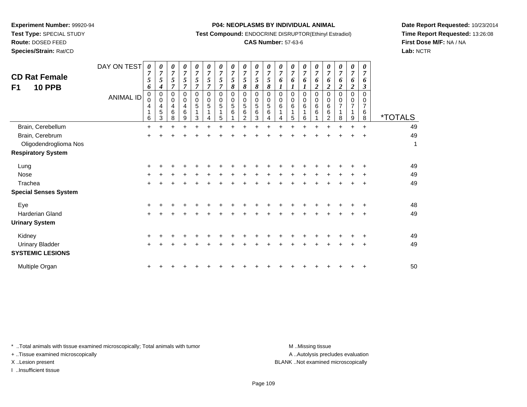**Test Type:** SPECIAL STUDY

**Route:** DOSED FEED

**Species/Strain:** Rat/CD

#### **P04: NEOPLASMS BY INDIVIDUAL ANIMAL**

**Test Compound:** ENDOCRINE DISRUPTOR(Ethinyl Estradiol)

## **CAS Number:** 57-63-6

**Date Report Requested:** 10/23/2014**Time Report Requested:** 13:26:08**First Dose M/F:** NA / NA**Lab:** NCTR

| <b>CD Rat Female</b><br><b>10 PPB</b><br>F <sub>1</sub> | DAY ON TEST<br><b>ANIMAL ID</b> | $\boldsymbol{\theta}$<br>$\overline{7}$<br>5<br>6<br>$\mathbf 0$<br>0<br>4<br>1<br>6 | 0<br>$\overline{7}$<br>5<br>4<br>0<br>0<br>4<br>5<br>3 | 0<br>$\overline{7}$<br>5<br>$\overline{7}$<br>0<br>0<br>4<br>6<br>8 | 0<br>$\overline{7}$<br>5<br>7<br>0<br>0<br>4<br>6<br>9 | 0<br>$\overline{7}$<br>5<br>7<br>$\mathbf 0$<br>0<br>5<br>3 | $\boldsymbol{\theta}$<br>$\overline{7}$<br>5<br>$\overline{7}$<br>$\Omega$<br>0<br>5 | 0<br>$\overline{7}$<br>5<br>$\overline{7}$<br>$\mathbf 0$<br>0<br>5<br>5 | 0<br>$\overline{7}$<br>5<br>8<br>0<br>0<br>5<br>6 | 0<br>$\boldsymbol{7}$<br>5<br>8<br>$\mathbf 0$<br>0<br>5<br>6<br>$\overline{2}$ | 0<br>$\overline{7}$<br>5<br>8<br>$\mathbf 0$<br>$\mathbf 0$<br>$\sqrt{5}$<br>6<br>3 | $\frac{\theta}{7}$<br>5<br>8<br>$\mathbf 0$<br>0<br>5<br>6 | 0<br>$\overline{7}$<br>6<br>$\mathbf 0$<br>0<br>6 | 0<br>$\overline{7}$<br>6<br>0<br>0<br>6<br>1<br>5 | 0<br>$\overline{7}$<br>6<br>$\mathbf 0$<br>0<br>6<br>6 | $\boldsymbol{\theta}$<br>$\overline{7}$<br>6<br>$\boldsymbol{2}$<br>$\mathbf 0$<br>0<br>6<br>6 | 0<br>$\overline{7}$<br>6<br>$\boldsymbol{2}$<br>$\mathbf 0$<br>0<br>6<br>6<br>$\overline{2}$ | 0<br>$\overline{7}$<br>6<br>$\overline{\mathbf{2}}$<br>$\Omega$<br>0<br>8 | $\pmb{\theta}$<br>$\overline{7}$<br>6<br>$\boldsymbol{2}$<br>0<br>0<br>7<br>1<br>9 | 0<br>$\overline{7}$<br>6<br>3<br>$\Omega$<br>0<br>$\overline{7}$<br>6<br>8 | <i><b>*TOTALS</b></i> |
|---------------------------------------------------------|---------------------------------|--------------------------------------------------------------------------------------|--------------------------------------------------------|---------------------------------------------------------------------|--------------------------------------------------------|-------------------------------------------------------------|--------------------------------------------------------------------------------------|--------------------------------------------------------------------------|---------------------------------------------------|---------------------------------------------------------------------------------|-------------------------------------------------------------------------------------|------------------------------------------------------------|---------------------------------------------------|---------------------------------------------------|--------------------------------------------------------|------------------------------------------------------------------------------------------------|----------------------------------------------------------------------------------------------|---------------------------------------------------------------------------|------------------------------------------------------------------------------------|----------------------------------------------------------------------------|-----------------------|
| Brain, Cerebellum                                       |                                 | $\ddot{}$                                                                            | $\ddot{}$                                              | $\ddot{}$                                                           |                                                        | 4                                                           |                                                                                      |                                                                          | $\ddot{}$                                         |                                                                                 | +                                                                                   |                                                            |                                                   | ÷                                                 |                                                        | +                                                                                              | $\ddot{}$                                                                                    |                                                                           | +                                                                                  | $\ddot{}$                                                                  | 49                    |
| Brain, Cerebrum                                         |                                 | $\ddot{}$                                                                            |                                                        |                                                                     |                                                        |                                                             |                                                                                      |                                                                          |                                                   |                                                                                 |                                                                                     |                                                            |                                                   |                                                   |                                                        |                                                                                                |                                                                                              |                                                                           |                                                                                    | $\ddot{}$                                                                  | 49                    |
| Oligodendroglioma Nos                                   |                                 |                                                                                      |                                                        |                                                                     |                                                        |                                                             |                                                                                      |                                                                          |                                                   |                                                                                 |                                                                                     |                                                            |                                                   |                                                   |                                                        |                                                                                                |                                                                                              |                                                                           |                                                                                    |                                                                            | $\mathbf{1}$          |
| <b>Respiratory System</b>                               |                                 |                                                                                      |                                                        |                                                                     |                                                        |                                                             |                                                                                      |                                                                          |                                                   |                                                                                 |                                                                                     |                                                            |                                                   |                                                   |                                                        |                                                                                                |                                                                                              |                                                                           |                                                                                    |                                                                            |                       |
| Lung                                                    |                                 | ÷                                                                                    |                                                        |                                                                     |                                                        |                                                             |                                                                                      |                                                                          |                                                   |                                                                                 |                                                                                     |                                                            |                                                   |                                                   |                                                        |                                                                                                |                                                                                              |                                                                           |                                                                                    |                                                                            | 49                    |
| Nose                                                    |                                 | ÷                                                                                    |                                                        |                                                                     |                                                        |                                                             |                                                                                      |                                                                          |                                                   |                                                                                 |                                                                                     |                                                            |                                                   |                                                   |                                                        |                                                                                                |                                                                                              |                                                                           |                                                                                    |                                                                            | 49                    |
| Trachea                                                 |                                 | +                                                                                    |                                                        |                                                                     |                                                        |                                                             |                                                                                      |                                                                          |                                                   |                                                                                 |                                                                                     |                                                            |                                                   |                                                   |                                                        |                                                                                                |                                                                                              |                                                                           |                                                                                    |                                                                            | 49                    |
| <b>Special Senses System</b>                            |                                 |                                                                                      |                                                        |                                                                     |                                                        |                                                             |                                                                                      |                                                                          |                                                   |                                                                                 |                                                                                     |                                                            |                                                   |                                                   |                                                        |                                                                                                |                                                                                              |                                                                           |                                                                                    |                                                                            |                       |
| Eye                                                     |                                 | ÷                                                                                    |                                                        |                                                                     |                                                        |                                                             |                                                                                      |                                                                          |                                                   |                                                                                 |                                                                                     |                                                            |                                                   |                                                   |                                                        |                                                                                                |                                                                                              |                                                                           |                                                                                    |                                                                            | 48                    |
| Harderian Gland                                         |                                 | $\pm$                                                                                |                                                        |                                                                     |                                                        |                                                             |                                                                                      |                                                                          |                                                   |                                                                                 |                                                                                     |                                                            |                                                   |                                                   |                                                        |                                                                                                |                                                                                              |                                                                           |                                                                                    |                                                                            | 49                    |
| <b>Urinary System</b>                                   |                                 |                                                                                      |                                                        |                                                                     |                                                        |                                                             |                                                                                      |                                                                          |                                                   |                                                                                 |                                                                                     |                                                            |                                                   |                                                   |                                                        |                                                                                                |                                                                                              |                                                                           |                                                                                    |                                                                            |                       |
| Kidney                                                  |                                 |                                                                                      |                                                        |                                                                     |                                                        |                                                             |                                                                                      |                                                                          |                                                   |                                                                                 |                                                                                     |                                                            |                                                   |                                                   |                                                        |                                                                                                |                                                                                              |                                                                           |                                                                                    |                                                                            | 49                    |
| <b>Urinary Bladder</b>                                  |                                 |                                                                                      |                                                        |                                                                     |                                                        |                                                             |                                                                                      |                                                                          |                                                   |                                                                                 |                                                                                     |                                                            |                                                   |                                                   |                                                        |                                                                                                |                                                                                              |                                                                           |                                                                                    |                                                                            | 49                    |
| <b>SYSTEMIC LESIONS</b>                                 |                                 |                                                                                      |                                                        |                                                                     |                                                        |                                                             |                                                                                      |                                                                          |                                                   |                                                                                 |                                                                                     |                                                            |                                                   |                                                   |                                                        |                                                                                                |                                                                                              |                                                                           |                                                                                    |                                                                            |                       |
| Multiple Organ                                          |                                 |                                                                                      |                                                        |                                                                     |                                                        |                                                             |                                                                                      |                                                                          |                                                   |                                                                                 |                                                                                     |                                                            |                                                   |                                                   |                                                        |                                                                                                |                                                                                              |                                                                           |                                                                                    |                                                                            | 50                    |

\* ..Total animals with tissue examined microscopically; Total animals with tumor **M** . Missing tissue M ..Missing tissue

+ ..Tissue examined microscopically

I ..Insufficient tissue

A ..Autolysis precludes evaluation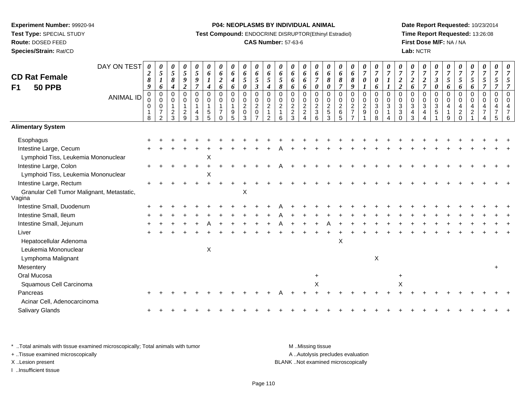**Test Type:** SPECIAL STUDY

**Route:** DOSED FEED

**Species/Strain:** Rat/CD

#### **P04: NEOPLASMS BY INDIVIDUAL ANIMAL**

**Test Compound:** ENDOCRINE DISRUPTOR(Ethinyl Estradiol)

## **CAS Number:** 57-63-6

**Date Report Requested:** 10/23/2014**Time Report Requested:** 13:26:08**First Dose M/F:** NA / NA**Lab:** NCTR

| <b>CD Rat Female</b>                                          | DAY ON TEST      | 0<br>$\boldsymbol{2}$                      | 0<br>$5\overline{)}$                                             | 0<br>$\mathfrak{s}$                                       | 0<br>$\mathfrak{S}$<br>$\boldsymbol{g}$                  | 0<br>$\sqrt{5}$               | 0<br>6                                                     | 0<br>6                                             | 0<br>6                                    | 0<br>6                                                 | 0<br>6                                                                      | 0<br>6                                                         | 0<br>6                                                          | 0<br>6                                                | 0<br>6                                                                      | 0<br>6                                                                 | 0<br>$\boldsymbol{6}$                                         | $\boldsymbol{\theta}$<br>6                 | $\boldsymbol{\theta}$<br>6                                                    | 0<br>$\boldsymbol{7}$                                  | $\boldsymbol{\theta}$<br>$\overline{7}$                             | 0<br>$\boldsymbol{7}$            | $\boldsymbol{\theta}$<br>$\overline{7}$                        | $\boldsymbol{\theta}$<br>$\overline{7}$                         | $\boldsymbol{\theta}$<br>$\overline{7}$          | 0<br>$\overline{7}$                                      | $\boldsymbol{\theta}$<br>$\overline{7}$ | $\boldsymbol{\theta}$<br>$\overline{7}$                                | 0<br>$\overline{7}$                               | 0<br>$\boldsymbol{7}$            | 0<br>$\overline{7}$                          |  |
|---------------------------------------------------------------|------------------|--------------------------------------------|------------------------------------------------------------------|-----------------------------------------------------------|----------------------------------------------------------|-------------------------------|------------------------------------------------------------|----------------------------------------------------|-------------------------------------------|--------------------------------------------------------|-----------------------------------------------------------------------------|----------------------------------------------------------------|-----------------------------------------------------------------|-------------------------------------------------------|-----------------------------------------------------------------------------|------------------------------------------------------------------------|---------------------------------------------------------------|--------------------------------------------|-------------------------------------------------------------------------------|--------------------------------------------------------|---------------------------------------------------------------------|----------------------------------|----------------------------------------------------------------|-----------------------------------------------------------------|--------------------------------------------------|----------------------------------------------------------|-----------------------------------------|------------------------------------------------------------------------|---------------------------------------------------|----------------------------------|----------------------------------------------|--|
| <b>50 PPB</b><br>F <sub>1</sub>                               |                  | $\pmb{8}$<br>9                             | 1<br>6                                                           | 8<br>$\boldsymbol{4}$                                     | $\overline{2}$                                           | 9<br>$\overline{7}$           | $\boldsymbol{4}$                                           | $\overline{\mathbf{c}}$<br>6                       | 4<br>6                                    | 5<br>0                                                 | $\sqrt{5}$<br>$\mathfrak{z}$                                                | $\mathfrak{H}$<br>4                                            | $\overline{5}$<br>8                                             | 6<br>6                                                | 6<br>6                                                                      | $\boldsymbol{7}$<br>$\boldsymbol{\theta}$                              | 8<br>0                                                        | 8<br>$\overline{7}$                        | 8<br>9                                                                        | $\boldsymbol{\theta}$                                  | $\pmb{\theta}$<br>6                                                 |                                  | $\boldsymbol{2}$<br>$\overline{2}$                             | $\boldsymbol{2}$<br>6                                           | $\boldsymbol{2}$<br>$\overline{7}$               | $\boldsymbol{\beta}$<br>0                                | $5\overline{)}$<br>6                    | $\overline{5}$<br>6                                                    | 5<br>6                                            | $\mathfrak{s}$<br>$\overline{7}$ | 5                                            |  |
|                                                               | <b>ANIMAL ID</b> | 0<br>0<br>$\mathbf 0$<br>$\mathbf{1}$<br>8 | $\mathbf 0$<br>$\mathbf 0$<br>$\mathbf 0$<br>$\overline{7}$<br>2 | $\mathbf 0$<br>0<br>$\mathbf{1}$<br>$\boldsymbol{2}$<br>3 | 0<br>0<br>$\mathbf{1}$<br>$\overline{2}$<br>$\mathbf{Q}$ | 0<br>0<br>$\overline{4}$<br>3 | $\mathbf 0$<br>$\pmb{0}$<br>$\mathbf 1$<br>$\sqrt{5}$<br>5 | $\mathbf 0$<br>0<br>$\mathbf{1}$<br>$\overline{7}$ | $\mathbf 0$<br>$\mathbf 0$<br>1<br>9<br>5 | 0<br>$\mathbf 0$<br>$\overline{2}$<br>$\mathbf 0$<br>3 | $\mathbf 0$<br>$\pmb{0}$<br>$\overline{2}$<br>$\mathsf 0$<br>$\overline{ }$ | $\mathbf 0$<br>$\pmb{0}$<br>$\boldsymbol{2}$<br>$\mathfrak{p}$ | $\mathbf 0$<br>$\mathbf 0$<br>$\sqrt{2}$<br>$\overline{1}$<br>6 | $\mathbf 0$<br>0<br>$\sqrt{2}$<br>$\overline{c}$<br>3 | $\mathbf 0$<br>$\pmb{0}$<br>$\overline{c}$<br>$\boldsymbol{2}$<br>$\Lambda$ | 0<br>$\begin{smallmatrix} 0\\2 \end{smallmatrix}$<br>$\mathbf{3}$<br>6 | $\mathsf 0$<br>$\pmb{0}$<br>$\overline{c}$<br>$\sqrt{5}$<br>3 | 0<br>0<br>$\boldsymbol{2}$<br>$\,6\,$<br>5 | $\mathbf 0$<br>$\begin{smallmatrix} 0\\2 \end{smallmatrix}$<br>$\overline{7}$ | 0<br>$\pmb{0}$<br>$\boldsymbol{2}$<br>$\boldsymbol{9}$ | $\mathbf 0$<br>$\boldsymbol{0}$<br>$\mathbf{3}$<br>$\mathbf 0$<br>8 | $\mathbf 0$<br>0<br>$\mathbf{3}$ | $\mathbf 0$<br>0<br>3<br>$\ensuremath{\mathsf{3}}$<br>$\Omega$ | $\mathbf 0$<br>$\mathbf 0$<br>$\sqrt{3}$<br>$\overline{4}$<br>3 | 0<br>$\mathbf 0$<br>$\sqrt{3}$<br>$\overline{4}$ | $\mathbf 0$<br>$\mathbf 0$<br>$\mathbf{3}$<br>$\sqrt{5}$ | 0<br>0<br>4<br>9                        | $\mathbf 0$<br>$\mathbf 0$<br>4<br>$\overline{\mathbf{c}}$<br>$\Omega$ | $\mathsf 0$<br>$\mathbf 0$<br>4<br>$\overline{2}$ | 0<br>0                           | $\mathbf 0$<br>$\mathbf 0$<br>$\overline{7}$ |  |
| <b>Alimentary System</b>                                      |                  |                                            |                                                                  |                                                           |                                                          |                               |                                                            |                                                    |                                           |                                                        |                                                                             |                                                                |                                                                 |                                                       |                                                                             |                                                                        |                                                               |                                            |                                                                               |                                                        |                                                                     |                                  |                                                                |                                                                 |                                                  |                                                          |                                         |                                                                        |                                                   |                                  |                                              |  |
| Esophagus                                                     |                  |                                            |                                                                  |                                                           |                                                          |                               |                                                            |                                                    |                                           |                                                        |                                                                             |                                                                |                                                                 |                                                       |                                                                             |                                                                        |                                                               |                                            |                                                                               |                                                        |                                                                     |                                  |                                                                |                                                                 |                                                  |                                                          |                                         |                                                                        |                                                   |                                  |                                              |  |
| Intestine Large, Cecum<br>Lymphoid Tiss, Leukemia Mononuclear |                  |                                            |                                                                  |                                                           |                                                          |                               | $\pmb{\times}$                                             |                                                    |                                           |                                                        |                                                                             |                                                                |                                                                 |                                                       |                                                                             |                                                                        |                                                               |                                            |                                                                               |                                                        |                                                                     |                                  |                                                                |                                                                 |                                                  |                                                          |                                         |                                                                        |                                                   |                                  |                                              |  |
| Intestine Large, Colon<br>Lymphoid Tiss, Leukemia Mononuclear |                  |                                            |                                                                  |                                                           |                                                          |                               | X                                                          |                                                    |                                           |                                                        |                                                                             |                                                                |                                                                 |                                                       |                                                                             |                                                                        |                                                               |                                            |                                                                               |                                                        |                                                                     |                                  |                                                                |                                                                 |                                                  |                                                          |                                         |                                                                        |                                                   |                                  |                                              |  |
| Intestine Large, Rectum                                       |                  |                                            |                                                                  |                                                           |                                                          |                               |                                                            |                                                    |                                           |                                                        |                                                                             |                                                                |                                                                 |                                                       |                                                                             |                                                                        |                                                               |                                            |                                                                               |                                                        |                                                                     |                                  |                                                                |                                                                 |                                                  |                                                          |                                         |                                                                        |                                                   |                                  |                                              |  |
| Granular Cell Tumor Malignant, Metastatic,<br>Vagina          |                  |                                            |                                                                  |                                                           |                                                          |                               |                                                            |                                                    |                                           | Χ                                                      |                                                                             |                                                                |                                                                 |                                                       |                                                                             |                                                                        |                                                               |                                            |                                                                               |                                                        |                                                                     |                                  |                                                                |                                                                 |                                                  |                                                          |                                         |                                                                        |                                                   |                                  |                                              |  |
| Intestine Small, Duodenum                                     |                  |                                            |                                                                  |                                                           |                                                          |                               |                                                            |                                                    |                                           |                                                        |                                                                             |                                                                |                                                                 |                                                       |                                                                             |                                                                        |                                                               |                                            |                                                                               |                                                        |                                                                     |                                  |                                                                |                                                                 |                                                  |                                                          |                                         |                                                                        |                                                   |                                  |                                              |  |
| Intestine Small, Ileum                                        |                  |                                            |                                                                  |                                                           |                                                          |                               |                                                            |                                                    |                                           |                                                        |                                                                             |                                                                |                                                                 |                                                       |                                                                             |                                                                        |                                                               |                                            |                                                                               |                                                        |                                                                     |                                  |                                                                |                                                                 |                                                  |                                                          |                                         |                                                                        |                                                   |                                  |                                              |  |
| Intestine Small, Jejunum                                      |                  |                                            |                                                                  |                                                           |                                                          |                               |                                                            |                                                    |                                           |                                                        |                                                                             |                                                                |                                                                 |                                                       |                                                                             |                                                                        |                                                               |                                            |                                                                               |                                                        |                                                                     |                                  |                                                                |                                                                 |                                                  |                                                          |                                         |                                                                        |                                                   |                                  |                                              |  |
| Liver                                                         |                  |                                            |                                                                  |                                                           |                                                          |                               |                                                            |                                                    |                                           |                                                        |                                                                             |                                                                |                                                                 |                                                       |                                                                             |                                                                        |                                                               |                                            |                                                                               |                                                        |                                                                     |                                  |                                                                |                                                                 |                                                  |                                                          |                                         |                                                                        |                                                   |                                  |                                              |  |
| Hepatocellular Adenoma                                        |                  |                                            |                                                                  |                                                           |                                                          |                               |                                                            |                                                    |                                           |                                                        |                                                                             |                                                                |                                                                 |                                                       |                                                                             |                                                                        |                                                               | X                                          |                                                                               |                                                        |                                                                     |                                  |                                                                |                                                                 |                                                  |                                                          |                                         |                                                                        |                                                   |                                  |                                              |  |
| Leukemia Mononuclear                                          |                  |                                            |                                                                  |                                                           |                                                          |                               | $\pmb{\times}$                                             |                                                    |                                           |                                                        |                                                                             |                                                                |                                                                 |                                                       |                                                                             |                                                                        |                                                               |                                            |                                                                               |                                                        |                                                                     |                                  |                                                                |                                                                 |                                                  |                                                          |                                         |                                                                        |                                                   |                                  |                                              |  |
| Lymphoma Malignant                                            |                  |                                            |                                                                  |                                                           |                                                          |                               |                                                            |                                                    |                                           |                                                        |                                                                             |                                                                |                                                                 |                                                       |                                                                             |                                                                        |                                                               |                                            |                                                                               |                                                        | $\times$                                                            |                                  |                                                                |                                                                 |                                                  |                                                          |                                         |                                                                        |                                                   |                                  |                                              |  |
| Mesentery                                                     |                  |                                            |                                                                  |                                                           |                                                          |                               |                                                            |                                                    |                                           |                                                        |                                                                             |                                                                |                                                                 |                                                       |                                                                             |                                                                        |                                                               |                                            |                                                                               |                                                        |                                                                     |                                  |                                                                |                                                                 |                                                  |                                                          |                                         |                                                                        |                                                   |                                  |                                              |  |
| Oral Mucosa                                                   |                  |                                            |                                                                  |                                                           |                                                          |                               |                                                            |                                                    |                                           |                                                        |                                                                             |                                                                |                                                                 |                                                       |                                                                             |                                                                        |                                                               |                                            |                                                                               |                                                        |                                                                     |                                  | $\ddot{}$                                                      |                                                                 |                                                  |                                                          |                                         |                                                                        |                                                   |                                  |                                              |  |
| Squamous Cell Carcinoma                                       |                  |                                            |                                                                  |                                                           |                                                          |                               |                                                            |                                                    |                                           |                                                        |                                                                             |                                                                |                                                                 |                                                       |                                                                             | X                                                                      |                                                               |                                            |                                                                               |                                                        |                                                                     |                                  | X                                                              |                                                                 |                                                  |                                                          |                                         |                                                                        |                                                   |                                  |                                              |  |
| Pancreas                                                      |                  |                                            |                                                                  |                                                           |                                                          |                               |                                                            |                                                    |                                           |                                                        |                                                                             |                                                                |                                                                 |                                                       |                                                                             |                                                                        |                                                               |                                            |                                                                               |                                                        |                                                                     |                                  |                                                                |                                                                 |                                                  |                                                          |                                         |                                                                        |                                                   |                                  |                                              |  |
| Acinar Cell, Adenocarcinoma                                   |                  |                                            |                                                                  |                                                           |                                                          |                               |                                                            |                                                    |                                           |                                                        |                                                                             |                                                                |                                                                 |                                                       |                                                                             |                                                                        |                                                               |                                            |                                                                               |                                                        |                                                                     |                                  |                                                                |                                                                 |                                                  |                                                          |                                         |                                                                        |                                                   |                                  |                                              |  |
| Salivary Glands                                               |                  |                                            |                                                                  |                                                           |                                                          |                               |                                                            |                                                    |                                           |                                                        |                                                                             |                                                                |                                                                 |                                                       |                                                                             |                                                                        |                                                               |                                            |                                                                               |                                                        |                                                                     |                                  |                                                                |                                                                 |                                                  |                                                          |                                         |                                                                        |                                                   |                                  |                                              |  |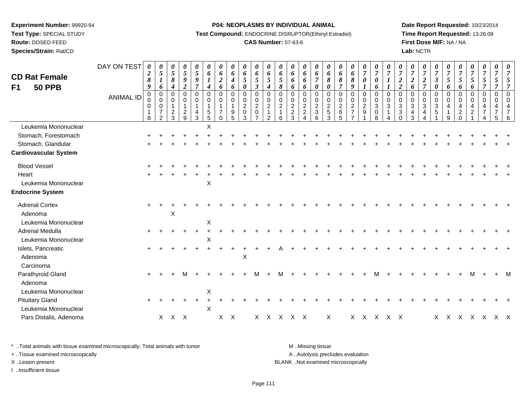**Test Type:** SPECIAL STUDY

**Route:** DOSED FEED

**Species/Strain:** Rat/CD

#### **P04: NEOPLASMS BY INDIVIDUAL ANIMAL**

**Test Compound:** ENDOCRINE DISRUPTOR(Ethinyl Estradiol)

## **CAS Number:** 57-63-6

**Date Report Requested:** 10/23/2014**Time Report Requested:** 13:26:09**First Dose M/F:** NA / NA**Lab:** NCTR

| <b>CD Rat Female</b><br><b>50 PPB</b><br>F <sub>1</sub> | DAY ON TEST      | 0<br>$\boldsymbol{2}$<br>8<br>9 | 0<br>$\overline{5}$<br>$\bm{l}$<br>6                      | 0<br>$\mathfrak{s}$<br>$\pmb{8}$<br>$\boldsymbol{4}$           | 0<br>$\mathfrak{s}$<br>9<br>$\overline{c}$    | $\boldsymbol{\theta}$<br>$\mathfrak{s}$<br>$\boldsymbol{9}$<br>$\overline{7}$ | $\boldsymbol{\theta}$<br>6<br>1<br>4 | 0<br>6<br>$\boldsymbol{2}$<br>6 | $\boldsymbol{\theta}$<br>6<br>$\boldsymbol{4}$<br>6 | 0<br>6<br>5<br>0                   | 0<br>$\pmb{6}$<br>$\mathfrak{s}$<br>$\mathfrak{z}$                  | 0<br>6<br>$5\overline{)}$<br>4               | $\theta$<br>6<br>5<br>8                                | 0<br>6<br>6<br>6                                       | 0<br>6<br>6<br>6                                            | 0<br>6<br>$\overline{7}$<br>$\boldsymbol{\theta}$               | $\boldsymbol{\theta}$<br>6<br>8<br>0          | 0<br>6<br>8<br>$\overline{7}$                    | $\boldsymbol{\theta}$<br>6<br>$\pmb{8}$<br>9                                     | $\boldsymbol{\theta}$<br>$\overline{7}$<br>$\boldsymbol{\theta}$<br>$\boldsymbol{l}$ | $\boldsymbol{\theta}$<br>$\overline{7}$<br>$\boldsymbol{\theta}$<br>6 | $\boldsymbol{\theta}$<br>$\overline{7}$<br>$\boldsymbol{l}$<br>$\boldsymbol{l}$ | 0<br>$\overline{7}$<br>$\overline{2}$<br>$\boldsymbol{2}$ | 0<br>$\boldsymbol{7}$<br>$\boldsymbol{2}$<br>6 | $\boldsymbol{\theta}$<br>$\overline{7}$<br>$\boldsymbol{2}$<br>$\overline{7}$ | $\theta$<br>$\overline{7}$<br>$\boldsymbol{\beta}$<br>$\boldsymbol{\theta}$ | $\boldsymbol{\theta}$<br>$\overline{7}$<br>5<br>6 | $\boldsymbol{\theta}$<br>$\boldsymbol{7}$<br>$\mathfrak{s}$<br>6 | 0<br>$\boldsymbol{7}$<br>$5\overline{)}$<br>6 | 0<br>$\overline{7}$<br>5<br>$\overline{7}$ | 0<br>$\overline{7}$<br>5<br>$\overline{7}$   | 0<br>$\overline{7}$       |
|---------------------------------------------------------|------------------|---------------------------------|-----------------------------------------------------------|----------------------------------------------------------------|-----------------------------------------------|-------------------------------------------------------------------------------|--------------------------------------|---------------------------------|-----------------------------------------------------|------------------------------------|---------------------------------------------------------------------|----------------------------------------------|--------------------------------------------------------|--------------------------------------------------------|-------------------------------------------------------------|-----------------------------------------------------------------|-----------------------------------------------|--------------------------------------------------|----------------------------------------------------------------------------------|--------------------------------------------------------------------------------------|-----------------------------------------------------------------------|---------------------------------------------------------------------------------|-----------------------------------------------------------|------------------------------------------------|-------------------------------------------------------------------------------|-----------------------------------------------------------------------------|---------------------------------------------------|------------------------------------------------------------------|-----------------------------------------------|--------------------------------------------|----------------------------------------------|---------------------------|
|                                                         | <b>ANIMAL ID</b> | 0<br>$\mathbf 0$<br>0<br>8      | 0<br>$\mathbf 0$<br>0<br>$\overline{7}$<br>$\overline{2}$ | $\mathbf 0$<br>$\mathbf 0$<br>$\overline{2}$<br>$\overline{3}$ | 0<br>0<br>$\mathbf{1}$<br>$\overline{2}$<br>9 | $\mathbf 0$<br>$\mathbf 0$<br>$\mathbf{1}$<br>4<br>$\mathbf{3}$               | $\Omega$<br>$\mathbf 0$<br>5<br>5    | 0<br>0<br>$\overline{7}$        | 0<br>$\mathbf 0$<br>9<br>5                          | 0<br>0<br>$\overline{a}$<br>0<br>3 | $\pmb{0}$<br>$\pmb{0}$<br>$\sqrt{2}$<br>$\pmb{0}$<br>$\overline{7}$ | 0<br>0<br>$\overline{c}$<br>$\mathbf 1$<br>2 | $\mathbf 0$<br>$\mathbf 0$<br>$\overline{c}$<br>1<br>6 | $\Omega$<br>0<br>$\overline{c}$<br>$\overline{c}$<br>3 | 0<br>$\pmb{0}$<br>$\boldsymbol{2}$<br>$\boldsymbol{2}$<br>4 | $\mathbf 0$<br>$\pmb{0}$<br>$\overline{c}$<br>$\mathbf{3}$<br>6 | 0<br>0<br>$\boldsymbol{2}$<br>$\sqrt{5}$<br>3 | 0<br>$\pmb{0}$<br>$\overline{2}$<br>$\,6\,$<br>5 | 0<br>$\mathsf{O}\xspace$<br>$\boldsymbol{2}$<br>$\overline{7}$<br>$\overline{ }$ | $\pmb{0}$<br>$\frac{0}{2}$<br>$9\,$                                                  | $\mathbf 0$<br>0<br>3<br>$\mathbf 0$<br>8                             | 0<br>$\mathbf 0$<br>$\mathbf{3}$                                                | $\Omega$<br>$\mathbf 0$<br>$\mathbf{3}$<br>3              | 0<br>$\pmb{0}$<br>$\sqrt{3}$<br>4<br>3         | $\mathbf 0$<br>$\pmb{0}$<br>$\sqrt{3}$<br>4                                   | $\mathbf 0$<br>$\mathbf 0$<br>$\ensuremath{\mathsf{3}}$<br>5                | 0<br>0<br>$\overline{4}$<br>9                     | 0<br>$\mathbf 0$<br>4<br>$\overline{c}$<br>$\Omega$              | 0<br>0<br>4<br>$\overline{2}$                 | 0<br>0<br>4<br>$\overline{7}$<br>4         | 0<br>$\mathbf 0$<br>4<br>$\overline{7}$<br>5 | $\Omega$<br>$\Omega$<br>6 |
| Leukemia Mononuclear                                    |                  |                                 |                                                           |                                                                |                                               |                                                                               | X                                    |                                 |                                                     |                                    |                                                                     |                                              |                                                        |                                                        |                                                             |                                                                 |                                               |                                                  |                                                                                  |                                                                                      |                                                                       |                                                                                 |                                                           |                                                |                                                                               |                                                                             |                                                   |                                                                  |                                               |                                            |                                              |                           |
| Stomach, Forestomach                                    |                  |                                 |                                                           |                                                                |                                               |                                                                               |                                      |                                 |                                                     |                                    |                                                                     |                                              |                                                        |                                                        |                                                             |                                                                 |                                               |                                                  |                                                                                  |                                                                                      |                                                                       |                                                                                 |                                                           |                                                |                                                                               |                                                                             |                                                   |                                                                  |                                               |                                            |                                              |                           |
| Stomach, Glandular                                      |                  |                                 |                                                           |                                                                |                                               |                                                                               |                                      |                                 |                                                     |                                    |                                                                     |                                              |                                                        |                                                        |                                                             |                                                                 |                                               |                                                  |                                                                                  |                                                                                      |                                                                       |                                                                                 |                                                           |                                                |                                                                               |                                                                             |                                                   |                                                                  |                                               |                                            |                                              |                           |
| <b>Cardiovascular System</b>                            |                  |                                 |                                                           |                                                                |                                               |                                                                               |                                      |                                 |                                                     |                                    |                                                                     |                                              |                                                        |                                                        |                                                             |                                                                 |                                               |                                                  |                                                                                  |                                                                                      |                                                                       |                                                                                 |                                                           |                                                |                                                                               |                                                                             |                                                   |                                                                  |                                               |                                            |                                              |                           |
| <b>Blood Vessel</b>                                     |                  |                                 |                                                           |                                                                |                                               |                                                                               |                                      |                                 |                                                     |                                    |                                                                     |                                              |                                                        |                                                        |                                                             |                                                                 |                                               |                                                  |                                                                                  |                                                                                      |                                                                       |                                                                                 |                                                           |                                                |                                                                               |                                                                             |                                                   |                                                                  |                                               |                                            |                                              |                           |
| Heart                                                   |                  |                                 |                                                           |                                                                |                                               |                                                                               |                                      |                                 |                                                     |                                    |                                                                     |                                              |                                                        |                                                        |                                                             |                                                                 |                                               |                                                  |                                                                                  |                                                                                      |                                                                       |                                                                                 |                                                           |                                                |                                                                               |                                                                             |                                                   |                                                                  |                                               |                                            |                                              |                           |
| Leukemia Mononuclear<br><b>Endocrine System</b>         |                  |                                 |                                                           |                                                                |                                               |                                                                               | X                                    |                                 |                                                     |                                    |                                                                     |                                              |                                                        |                                                        |                                                             |                                                                 |                                               |                                                  |                                                                                  |                                                                                      |                                                                       |                                                                                 |                                                           |                                                |                                                                               |                                                                             |                                                   |                                                                  |                                               |                                            |                                              |                           |
| <b>Adrenal Cortex</b>                                   |                  |                                 |                                                           |                                                                |                                               |                                                                               |                                      |                                 |                                                     |                                    |                                                                     |                                              |                                                        |                                                        |                                                             |                                                                 |                                               |                                                  |                                                                                  |                                                                                      |                                                                       |                                                                                 |                                                           |                                                |                                                                               |                                                                             |                                                   |                                                                  |                                               |                                            |                                              |                           |
| Adenoma                                                 |                  |                                 |                                                           | $\mathsf X$                                                    |                                               |                                                                               |                                      |                                 |                                                     |                                    |                                                                     |                                              |                                                        |                                                        |                                                             |                                                                 |                                               |                                                  |                                                                                  |                                                                                      |                                                                       |                                                                                 |                                                           |                                                |                                                                               |                                                                             |                                                   |                                                                  |                                               |                                            |                                              |                           |
| Leukemia Mononuclear                                    |                  |                                 |                                                           |                                                                |                                               |                                                                               | X                                    |                                 |                                                     |                                    |                                                                     |                                              |                                                        |                                                        |                                                             |                                                                 |                                               |                                                  |                                                                                  |                                                                                      |                                                                       |                                                                                 |                                                           |                                                |                                                                               |                                                                             |                                                   |                                                                  |                                               |                                            |                                              |                           |
| Adrenal Medulla                                         |                  |                                 |                                                           |                                                                |                                               |                                                                               |                                      |                                 |                                                     |                                    |                                                                     |                                              |                                                        |                                                        |                                                             |                                                                 |                                               |                                                  |                                                                                  |                                                                                      |                                                                       |                                                                                 |                                                           |                                                |                                                                               |                                                                             |                                                   |                                                                  |                                               |                                            |                                              |                           |
| Leukemia Mononuclear                                    |                  |                                 |                                                           |                                                                |                                               |                                                                               | X                                    |                                 |                                                     |                                    |                                                                     |                                              |                                                        |                                                        |                                                             |                                                                 |                                               |                                                  |                                                                                  |                                                                                      |                                                                       |                                                                                 |                                                           |                                                |                                                                               |                                                                             |                                                   |                                                                  |                                               |                                            |                                              |                           |
| Islets, Pancreatic                                      |                  |                                 |                                                           |                                                                |                                               |                                                                               |                                      |                                 |                                                     |                                    |                                                                     |                                              |                                                        |                                                        |                                                             |                                                                 |                                               |                                                  |                                                                                  |                                                                                      |                                                                       |                                                                                 |                                                           |                                                |                                                                               |                                                                             |                                                   |                                                                  |                                               |                                            |                                              |                           |
| Adenoma                                                 |                  |                                 |                                                           |                                                                |                                               |                                                                               |                                      |                                 |                                                     | X                                  |                                                                     |                                              |                                                        |                                                        |                                                             |                                                                 |                                               |                                                  |                                                                                  |                                                                                      |                                                                       |                                                                                 |                                                           |                                                |                                                                               |                                                                             |                                                   |                                                                  |                                               |                                            |                                              |                           |
| Carcinoma<br>Parathyroid Gland                          |                  |                                 |                                                           |                                                                | м                                             |                                                                               |                                      |                                 |                                                     |                                    |                                                                     |                                              |                                                        |                                                        |                                                             |                                                                 |                                               |                                                  |                                                                                  |                                                                                      |                                                                       |                                                                                 |                                                           |                                                |                                                                               |                                                                             |                                                   |                                                                  |                                               |                                            |                                              |                           |
| Adenoma                                                 |                  |                                 |                                                           |                                                                |                                               |                                                                               |                                      |                                 |                                                     |                                    |                                                                     |                                              |                                                        |                                                        |                                                             |                                                                 |                                               |                                                  |                                                                                  |                                                                                      |                                                                       |                                                                                 |                                                           |                                                |                                                                               |                                                                             |                                                   |                                                                  |                                               |                                            |                                              |                           |
| Leukemia Mononuclear                                    |                  |                                 |                                                           |                                                                |                                               |                                                                               | $\mathsf X$                          |                                 |                                                     |                                    |                                                                     |                                              |                                                        |                                                        |                                                             |                                                                 |                                               |                                                  |                                                                                  |                                                                                      |                                                                       |                                                                                 |                                                           |                                                |                                                                               |                                                                             |                                                   |                                                                  |                                               |                                            |                                              |                           |
| <b>Pituitary Gland</b>                                  |                  |                                 |                                                           |                                                                |                                               |                                                                               |                                      |                                 |                                                     |                                    |                                                                     |                                              |                                                        |                                                        |                                                             |                                                                 |                                               |                                                  |                                                                                  |                                                                                      |                                                                       |                                                                                 |                                                           |                                                |                                                                               |                                                                             |                                                   |                                                                  |                                               |                                            |                                              |                           |
| Leukemia Mononuclear                                    |                  |                                 |                                                           |                                                                |                                               |                                                                               | X                                    |                                 |                                                     |                                    |                                                                     |                                              |                                                        |                                                        |                                                             |                                                                 |                                               |                                                  |                                                                                  |                                                                                      |                                                                       |                                                                                 |                                                           |                                                |                                                                               |                                                                             |                                                   |                                                                  |                                               |                                            |                                              |                           |
| Pars Distalis, Adenoma                                  |                  |                                 |                                                           | $X$ $X$ $X$                                                    |                                               |                                                                               |                                      |                                 | $X$ $X$                                             |                                    |                                                                     |                                              | x x x x x                                              |                                                        |                                                             |                                                                 | Χ                                             |                                                  |                                                                                  | x x x x x                                                                            |                                                                       |                                                                                 |                                                           |                                                |                                                                               |                                                                             |                                                   |                                                                  |                                               | X X X X X X X                              |                                              |                           |
|                                                         |                  |                                 |                                                           |                                                                |                                               |                                                                               |                                      |                                 |                                                     |                                    |                                                                     |                                              |                                                        |                                                        |                                                             |                                                                 |                                               |                                                  |                                                                                  |                                                                                      |                                                                       |                                                                                 |                                                           |                                                |                                                                               |                                                                             |                                                   |                                                                  |                                               |                                            |                                              |                           |

\* ..Total animals with tissue examined microscopically; Total animals with tumor **M** . Missing tissue M ..Missing tissue

+ ..Tissue examined microscopically

I ..Insufficient tissue

A ..Autolysis precludes evaluation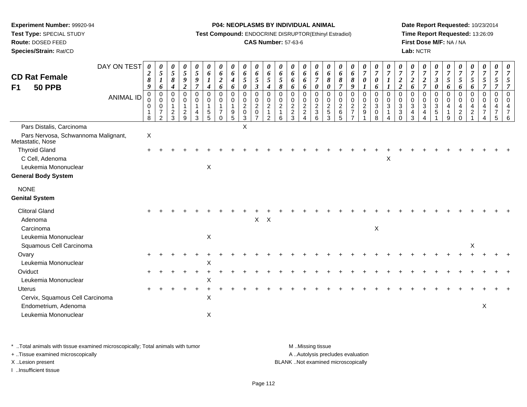**Test Type:** SPECIAL STUDY

**Route:** DOSED FEED

**Species/Strain:** Rat/CD

#### **P04: NEOPLASMS BY INDIVIDUAL ANIMAL**

**Test Compound:** ENDOCRINE DISRUPTOR(Ethinyl Estradiol)

## **CAS Number:** 57-63-6

**Date Report Requested:** 10/23/2014**Time Report Requested:** 13:26:09**First Dose M/F:** NA / NA**Lab:** NCTR

| <b>CD Rat Female</b><br><b>50 PPB</b><br>F <sub>1</sub> | DAY ON TEST<br><b>ANIMAL ID</b> | 0<br>$\boldsymbol{2}$<br>8<br>9<br>$\mathbf 0$<br>0<br>0 | $\boldsymbol{\theta}$<br>$\mathfrak{s}$<br>$\boldsymbol{l}$<br>6<br>$\pmb{0}$<br>$\mathbf 0$<br>$\mathbf 0$ | 0<br>$\sqrt{5}$<br>$\pmb{8}$<br>$\boldsymbol{4}$<br>$\pmb{0}$<br>0<br>-1 | 0<br>$\mathfrak{s}$<br>$\boldsymbol{g}$<br>$\overline{2}$<br>0<br>0<br>$\mathbf{1}$ | $\boldsymbol{\theta}$<br>$\mathfrak{s}$<br>$\boldsymbol{g}$<br>$\overline{7}$<br>$\mathbf 0$<br>$\pmb{0}$<br>$\mathbf{1}$ | $\boldsymbol{\theta}$<br>6<br>4<br>$\mathbf 0$<br>0<br>$\mathbf{1}$ | $\boldsymbol{\theta}$<br>6<br>$\boldsymbol{2}$<br>6<br>$\mathbf 0$<br>$\mathbf 0$<br>1 | 0<br>6<br>$\boldsymbol{4}$<br>6<br>$\mathbf 0$<br>0<br>$\mathbf{1}$ | 0<br>6<br>5<br>0<br>0<br>$\mathbf 0$<br>$\overline{2}$ | 0<br>6<br>5<br>$\boldsymbol{\beta}$<br>$\pmb{0}$<br>$\pmb{0}$<br>$\overline{2}$ | 0<br>6<br>5<br>$\boldsymbol{4}$<br>$\pmb{0}$<br>$\boldsymbol{0}$<br>$\boldsymbol{2}$ | $\boldsymbol{\theta}$<br>6<br>$\mathfrak{s}$<br>$\boldsymbol{\delta}$<br>$\mathbf 0$<br>$\pmb{0}$<br>$\overline{2}$ | 0<br>6<br>6<br>6<br>$\mathbf 0$<br>$\pmb{0}$<br>$\sqrt{2}$ | 0<br>6<br>6<br>6<br>$\mathbf 0$<br>$\pmb{0}$<br>$\overline{2}$ | 0<br>6<br>$\overline{7}$<br>$\boldsymbol{\theta}$<br>$\mathbf 0$<br>$\mathbf 0$<br>$\sqrt{2}$ | $\boldsymbol{\theta}$<br>6<br>$\pmb{8}$<br>0<br>$\mathbf 0$<br>0<br>$\overline{2}$ | $\boldsymbol{\theta}$<br>6<br>8<br>$\overline{7}$<br>$\mathbf 0$<br>$\pmb{0}$<br>$\sqrt{2}$ | 0<br>6<br>$\boldsymbol{\delta}$<br>9<br>$\mathbf 0$<br>$\mathbf 0$<br>$\overline{2}$ | 0<br>$\overline{7}$<br>$\boldsymbol{\theta}$<br>$\boldsymbol{l}$<br>$\mathbf 0$<br>$\pmb{0}$<br>$\overline{2}$ | $\boldsymbol{\theta}$<br>$\overline{7}$<br>$\boldsymbol{\theta}$<br>6<br>$\mathbf{0}$<br>0<br>3 | $\overline{7}$<br>$\boldsymbol{l}$<br>$\Omega$<br>0<br>$\mathbf{3}$ | 0<br>$\overline{\tau}$<br>$\overline{c}$<br>$\overline{2}$<br>$\mathbf 0$<br>0<br>$\mathbf{3}$ | 0<br>$\overline{7}$<br>$\overline{\mathbf{c}}$<br>6<br>$\mathbf 0$<br>$_{3}^{\rm 0}$ | 0<br>$\overline{7}$<br>$\boldsymbol{2}$<br>$\overline{7}$<br>$\mathsf 0$<br>$\pmb{0}$<br>$\mathbf{3}$ | $\overline{7}$<br>$\mathfrak{z}$<br>$\boldsymbol{\theta}$<br>$\mathbf 0$<br>0<br>$\mathfrak{3}$ | 0<br>$\overline{7}$<br>$\mathfrak{s}$<br>6<br>$\pmb{0}$<br>$\pmb{0}$<br>$\overline{4}$ | $\boldsymbol{\theta}$<br>$\overline{7}$<br>$\sqrt{5}$<br>6<br>$\pmb{0}$<br>$\mathbf 0$<br>4 | 0<br>$\overline{7}$<br>$\mathfrak{s}$<br>6<br>$\pmb{0}$<br>$\pmb{0}$<br>$\overline{a}$ | 0<br>$\overline{7}$<br>5<br>7<br>$\pmb{0}$<br>$\mathbf 0$<br>4 | 0<br>$\overline{7}$<br>5<br>$\overline{7}$<br>$\mathbf 0$<br>$\pmb{0}$<br>4 | 0<br>$\overline{7}$<br>5<br>$\boldsymbol{7}$<br>$\overline{0}$<br>0<br>4 |
|---------------------------------------------------------|---------------------------------|----------------------------------------------------------|-------------------------------------------------------------------------------------------------------------|--------------------------------------------------------------------------|-------------------------------------------------------------------------------------|---------------------------------------------------------------------------------------------------------------------------|---------------------------------------------------------------------|----------------------------------------------------------------------------------------|---------------------------------------------------------------------|--------------------------------------------------------|---------------------------------------------------------------------------------|--------------------------------------------------------------------------------------|---------------------------------------------------------------------------------------------------------------------|------------------------------------------------------------|----------------------------------------------------------------|-----------------------------------------------------------------------------------------------|------------------------------------------------------------------------------------|---------------------------------------------------------------------------------------------|--------------------------------------------------------------------------------------|----------------------------------------------------------------------------------------------------------------|-------------------------------------------------------------------------------------------------|---------------------------------------------------------------------|------------------------------------------------------------------------------------------------|--------------------------------------------------------------------------------------|-------------------------------------------------------------------------------------------------------|-------------------------------------------------------------------------------------------------|----------------------------------------------------------------------------------------|---------------------------------------------------------------------------------------------|----------------------------------------------------------------------------------------|----------------------------------------------------------------|-----------------------------------------------------------------------------|--------------------------------------------------------------------------|
|                                                         |                                 | 8                                                        | $\overline{7}$<br>$\overline{2}$                                                                            | $\overline{2}$<br>3                                                      | $\overline{2}$<br>9                                                                 | $\overline{4}$<br>3                                                                                                       | 5<br>5                                                              | $\overline{7}$<br>$\Omega$                                                             | 9<br>5                                                              | $\mathbf 0$<br>3                                       | $\mathbf 0$<br>$\overline{7}$                                                   | $\overline{1}$<br>2                                                                  | $\mathbf{1}$<br>6                                                                                                   | $\overline{c}$<br>3                                        | $\overline{a}$<br>$\overline{\mathbf{4}}$                      | 3<br>6                                                                                        | $\sqrt{5}$<br>3                                                                    | $\,6\,$<br>5                                                                                | $\overline{7}$<br>$\overline{\phantom{a}}$                                           | $\boldsymbol{9}$                                                                                               | $\mathbf 0$<br>8                                                                                | $\overline{1}$                                                      | 3<br>∩                                                                                         | $\overline{4}$<br>3                                                                  | 4<br>4                                                                                                | $\sqrt{5}$                                                                                      | $\mathbf{1}$<br>9                                                                      | $\overline{c}$<br>$\Omega$                                                                  | $\overline{c}$<br>$\overline{ }$                                                       | $\overline{7}$<br>4                                            | $\overline{7}$<br>5                                                         | $\overline{7}$<br>6                                                      |
| Pars Distalis, Carcinoma                                |                                 |                                                          |                                                                                                             |                                                                          |                                                                                     |                                                                                                                           |                                                                     |                                                                                        |                                                                     | $\sf X$                                                |                                                                                 |                                                                                      |                                                                                                                     |                                                            |                                                                |                                                                                               |                                                                                    |                                                                                             |                                                                                      |                                                                                                                |                                                                                                 |                                                                     |                                                                                                |                                                                                      |                                                                                                       |                                                                                                 |                                                                                        |                                                                                             |                                                                                        |                                                                |                                                                             |                                                                          |
| Pars Nervosa, Schwannoma Malignant,<br>Metastatic, Nose |                                 | X                                                        |                                                                                                             |                                                                          |                                                                                     |                                                                                                                           |                                                                     |                                                                                        |                                                                     |                                                        |                                                                                 |                                                                                      |                                                                                                                     |                                                            |                                                                |                                                                                               |                                                                                    |                                                                                             |                                                                                      |                                                                                                                |                                                                                                 |                                                                     |                                                                                                |                                                                                      |                                                                                                       |                                                                                                 |                                                                                        |                                                                                             |                                                                                        |                                                                |                                                                             |                                                                          |
| <b>Thyroid Gland</b>                                    |                                 |                                                          |                                                                                                             |                                                                          |                                                                                     |                                                                                                                           |                                                                     |                                                                                        |                                                                     |                                                        |                                                                                 |                                                                                      |                                                                                                                     |                                                            |                                                                |                                                                                               |                                                                                    |                                                                                             |                                                                                      |                                                                                                                |                                                                                                 |                                                                     |                                                                                                |                                                                                      |                                                                                                       |                                                                                                 |                                                                                        |                                                                                             |                                                                                        |                                                                |                                                                             |                                                                          |
| C Cell, Adenoma                                         |                                 |                                                          |                                                                                                             |                                                                          |                                                                                     |                                                                                                                           |                                                                     |                                                                                        |                                                                     |                                                        |                                                                                 |                                                                                      |                                                                                                                     |                                                            |                                                                |                                                                                               |                                                                                    |                                                                                             |                                                                                      |                                                                                                                |                                                                                                 | $\boldsymbol{\mathsf{X}}$                                           |                                                                                                |                                                                                      |                                                                                                       |                                                                                                 |                                                                                        |                                                                                             |                                                                                        |                                                                |                                                                             |                                                                          |
| Leukemia Mononuclear                                    |                                 |                                                          |                                                                                                             |                                                                          |                                                                                     |                                                                                                                           | $\mathsf X$                                                         |                                                                                        |                                                                     |                                                        |                                                                                 |                                                                                      |                                                                                                                     |                                                            |                                                                |                                                                                               |                                                                                    |                                                                                             |                                                                                      |                                                                                                                |                                                                                                 |                                                                     |                                                                                                |                                                                                      |                                                                                                       |                                                                                                 |                                                                                        |                                                                                             |                                                                                        |                                                                |                                                                             |                                                                          |
| <b>General Body System</b>                              |                                 |                                                          |                                                                                                             |                                                                          |                                                                                     |                                                                                                                           |                                                                     |                                                                                        |                                                                     |                                                        |                                                                                 |                                                                                      |                                                                                                                     |                                                            |                                                                |                                                                                               |                                                                                    |                                                                                             |                                                                                      |                                                                                                                |                                                                                                 |                                                                     |                                                                                                |                                                                                      |                                                                                                       |                                                                                                 |                                                                                        |                                                                                             |                                                                                        |                                                                |                                                                             |                                                                          |
| <b>NONE</b>                                             |                                 |                                                          |                                                                                                             |                                                                          |                                                                                     |                                                                                                                           |                                                                     |                                                                                        |                                                                     |                                                        |                                                                                 |                                                                                      |                                                                                                                     |                                                            |                                                                |                                                                                               |                                                                                    |                                                                                             |                                                                                      |                                                                                                                |                                                                                                 |                                                                     |                                                                                                |                                                                                      |                                                                                                       |                                                                                                 |                                                                                        |                                                                                             |                                                                                        |                                                                |                                                                             |                                                                          |
| <b>Genital System</b>                                   |                                 |                                                          |                                                                                                             |                                                                          |                                                                                     |                                                                                                                           |                                                                     |                                                                                        |                                                                     |                                                        |                                                                                 |                                                                                      |                                                                                                                     |                                                            |                                                                |                                                                                               |                                                                                    |                                                                                             |                                                                                      |                                                                                                                |                                                                                                 |                                                                     |                                                                                                |                                                                                      |                                                                                                       |                                                                                                 |                                                                                        |                                                                                             |                                                                                        |                                                                |                                                                             |                                                                          |
| <b>Clitoral Gland</b>                                   |                                 |                                                          |                                                                                                             |                                                                          |                                                                                     |                                                                                                                           |                                                                     |                                                                                        |                                                                     |                                                        |                                                                                 |                                                                                      |                                                                                                                     |                                                            |                                                                |                                                                                               |                                                                                    |                                                                                             |                                                                                      |                                                                                                                |                                                                                                 |                                                                     |                                                                                                |                                                                                      |                                                                                                       |                                                                                                 |                                                                                        |                                                                                             |                                                                                        |                                                                |                                                                             |                                                                          |
| Adenoma                                                 |                                 |                                                          |                                                                                                             |                                                                          |                                                                                     |                                                                                                                           |                                                                     |                                                                                        |                                                                     |                                                        | X                                                                               | $\times$                                                                             |                                                                                                                     |                                                            |                                                                |                                                                                               |                                                                                    |                                                                                             |                                                                                      |                                                                                                                |                                                                                                 |                                                                     |                                                                                                |                                                                                      |                                                                                                       |                                                                                                 |                                                                                        |                                                                                             |                                                                                        |                                                                |                                                                             |                                                                          |
| Carcinoma                                               |                                 |                                                          |                                                                                                             |                                                                          |                                                                                     |                                                                                                                           |                                                                     |                                                                                        |                                                                     |                                                        |                                                                                 |                                                                                      |                                                                                                                     |                                                            |                                                                |                                                                                               |                                                                                    |                                                                                             |                                                                                      |                                                                                                                | $\mathsf X$                                                                                     |                                                                     |                                                                                                |                                                                                      |                                                                                                       |                                                                                                 |                                                                                        |                                                                                             |                                                                                        |                                                                |                                                                             |                                                                          |
| Leukemia Mononuclear                                    |                                 |                                                          |                                                                                                             |                                                                          |                                                                                     |                                                                                                                           | $\boldsymbol{\mathsf{X}}$                                           |                                                                                        |                                                                     |                                                        |                                                                                 |                                                                                      |                                                                                                                     |                                                            |                                                                |                                                                                               |                                                                                    |                                                                                             |                                                                                      |                                                                                                                |                                                                                                 |                                                                     |                                                                                                |                                                                                      |                                                                                                       |                                                                                                 |                                                                                        |                                                                                             |                                                                                        |                                                                |                                                                             |                                                                          |
| Squamous Cell Carcinoma                                 |                                 |                                                          |                                                                                                             |                                                                          |                                                                                     |                                                                                                                           |                                                                     |                                                                                        |                                                                     |                                                        |                                                                                 |                                                                                      |                                                                                                                     |                                                            |                                                                |                                                                                               |                                                                                    |                                                                                             |                                                                                      |                                                                                                                |                                                                                                 |                                                                     |                                                                                                |                                                                                      |                                                                                                       |                                                                                                 |                                                                                        |                                                                                             | X                                                                                      |                                                                |                                                                             |                                                                          |
| Ovary                                                   |                                 |                                                          |                                                                                                             |                                                                          |                                                                                     |                                                                                                                           |                                                                     |                                                                                        |                                                                     |                                                        |                                                                                 |                                                                                      |                                                                                                                     |                                                            |                                                                |                                                                                               |                                                                                    |                                                                                             |                                                                                      |                                                                                                                |                                                                                                 |                                                                     |                                                                                                |                                                                                      |                                                                                                       |                                                                                                 |                                                                                        |                                                                                             |                                                                                        |                                                                |                                                                             |                                                                          |
| Leukemia Mononuclear                                    |                                 |                                                          |                                                                                                             |                                                                          |                                                                                     |                                                                                                                           | X                                                                   |                                                                                        |                                                                     |                                                        |                                                                                 |                                                                                      |                                                                                                                     |                                                            |                                                                |                                                                                               |                                                                                    |                                                                                             |                                                                                      |                                                                                                                |                                                                                                 |                                                                     |                                                                                                |                                                                                      |                                                                                                       |                                                                                                 |                                                                                        |                                                                                             |                                                                                        |                                                                |                                                                             |                                                                          |
| Oviduct                                                 |                                 |                                                          |                                                                                                             |                                                                          |                                                                                     | $\ddot{}$                                                                                                                 |                                                                     |                                                                                        |                                                                     |                                                        |                                                                                 |                                                                                      |                                                                                                                     |                                                            |                                                                |                                                                                               |                                                                                    |                                                                                             |                                                                                      |                                                                                                                |                                                                                                 |                                                                     |                                                                                                |                                                                                      |                                                                                                       |                                                                                                 |                                                                                        |                                                                                             |                                                                                        |                                                                |                                                                             |                                                                          |
| Leukemia Mononuclear                                    |                                 |                                                          |                                                                                                             |                                                                          |                                                                                     |                                                                                                                           | X                                                                   |                                                                                        |                                                                     |                                                        |                                                                                 |                                                                                      |                                                                                                                     |                                                            |                                                                |                                                                                               |                                                                                    |                                                                                             |                                                                                      |                                                                                                                |                                                                                                 |                                                                     |                                                                                                |                                                                                      |                                                                                                       |                                                                                                 |                                                                                        |                                                                                             |                                                                                        |                                                                |                                                                             |                                                                          |
| <b>Uterus</b>                                           |                                 |                                                          |                                                                                                             |                                                                          |                                                                                     |                                                                                                                           |                                                                     |                                                                                        |                                                                     |                                                        |                                                                                 |                                                                                      |                                                                                                                     |                                                            |                                                                |                                                                                               |                                                                                    |                                                                                             |                                                                                      |                                                                                                                |                                                                                                 |                                                                     |                                                                                                |                                                                                      |                                                                                                       |                                                                                                 |                                                                                        |                                                                                             |                                                                                        |                                                                |                                                                             |                                                                          |
| Cervix, Squamous Cell Carcinoma                         |                                 |                                                          |                                                                                                             |                                                                          |                                                                                     |                                                                                                                           | X                                                                   |                                                                                        |                                                                     |                                                        |                                                                                 |                                                                                      |                                                                                                                     |                                                            |                                                                |                                                                                               |                                                                                    |                                                                                             |                                                                                      |                                                                                                                |                                                                                                 |                                                                     |                                                                                                |                                                                                      |                                                                                                       |                                                                                                 |                                                                                        |                                                                                             |                                                                                        |                                                                |                                                                             |                                                                          |
| Endometrium, Adenoma                                    |                                 |                                                          |                                                                                                             |                                                                          |                                                                                     |                                                                                                                           |                                                                     |                                                                                        |                                                                     |                                                        |                                                                                 |                                                                                      |                                                                                                                     |                                                            |                                                                |                                                                                               |                                                                                    |                                                                                             |                                                                                      |                                                                                                                |                                                                                                 |                                                                     |                                                                                                |                                                                                      |                                                                                                       |                                                                                                 |                                                                                        |                                                                                             |                                                                                        | $\mathsf X$                                                    |                                                                             |                                                                          |
| Leukemia Mononuclear                                    |                                 |                                                          |                                                                                                             |                                                                          |                                                                                     |                                                                                                                           | X                                                                   |                                                                                        |                                                                     |                                                        |                                                                                 |                                                                                      |                                                                                                                     |                                                            |                                                                |                                                                                               |                                                                                    |                                                                                             |                                                                                      |                                                                                                                |                                                                                                 |                                                                     |                                                                                                |                                                                                      |                                                                                                       |                                                                                                 |                                                                                        |                                                                                             |                                                                                        |                                                                |                                                                             |                                                                          |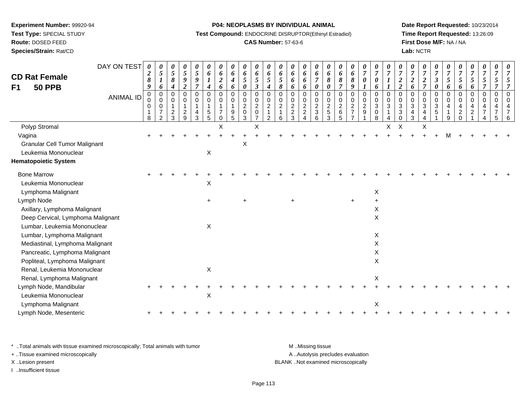**Test Type:** SPECIAL STUDY

**Route:** DOSED FEED

**Species/Strain:** Rat/CD

#### **P04: NEOPLASMS BY INDIVIDUAL ANIMAL**

**Test Compound:** ENDOCRINE DISRUPTOR(Ethinyl Estradiol)

## **CAS Number:** 57-63-6

**Date Report Requested:** 10/23/2014**Time Report Requested:** 13:26:09**First Dose M/F:** NA / NA**Lab:** NCTR

| <b>CD Rat Female</b><br><b>50 PPB</b><br>F <sub>1</sub> | DAY ON TEST<br><b>ANIMAL ID</b> | 0<br>$\overline{c}$<br>8<br>9<br>0<br>0<br>0<br>1<br>8 | $\boldsymbol{\theta}$<br>$\mathfrak{H}$<br>$\boldsymbol{l}$<br>6<br>$\pmb{0}$<br>0<br>$\pmb{0}$<br>$\overline{7}$<br>2 | 0<br>5<br>$\pmb{8}$<br>$\boldsymbol{4}$<br>$\mathbf 0$<br>$\mathbf 0$<br>$\frac{2}{3}$ | $\boldsymbol{\theta}$<br>$\mathfrak{s}$<br>$\pmb{9}$<br>$\overline{c}$<br>0<br>0<br>1<br>$\overline{c}$<br>9 | $\boldsymbol{\theta}$<br>$\mathfrak{s}$<br>9<br>$\overline{7}$<br>$\mathbf 0$<br>$\mathbf 0$<br>$\overline{1}$<br>$\overline{4}$<br>3 | 0<br>6<br>4<br>$\mathbf 0$<br>0<br>$\mathbf{1}$<br>5<br>5 | 0<br>6<br>$\boldsymbol{2}$<br>6<br>$\mathbf 0$<br>0<br>$\mathbf{1}$<br>$\overline{7}$<br>$\Omega$ | 0<br>6<br>4<br>6<br>$\mathbf 0$<br>$\mathbf 0$<br>9<br>5 | $\boldsymbol{\theta}$<br>6<br>$\mathfrak{H}$<br>$\boldsymbol{\theta}$<br>$\mathbf 0$<br>$\pmb{0}$<br>$\boldsymbol{2}$<br>$\mathsf{O}\xspace$<br>3 | 0<br>6<br>$\overline{5}$<br>$\mathfrak{z}$<br>$\pmb{0}$<br>$\pmb{0}$<br>$\boldsymbol{2}$<br>$\mathbf 0$<br>$\overline{7}$ | 0<br>6<br>5<br>4<br>$\mathbf 0$<br>$\mathbf 0$<br>$\overline{c}$<br>1<br>$\overline{2}$ | 0<br>6<br>$\mathfrak{s}$<br>8<br>$\mathbf 0$<br>$\mathbf 0$<br>$\overline{c}$<br>$\mathbf{1}$<br>6 | 0<br>6<br>6<br>6<br>$\mathbf 0$<br>0<br>$\boldsymbol{2}$<br>$\overline{c}$<br>3 | 0<br>6<br>6<br>6<br>0<br>0<br>$\overline{c}$<br>$\overline{2}$<br>4 | 0<br>6<br>$\overline{7}$<br>$\boldsymbol{\theta}$<br>$\mathbf 0$<br>$\mathbf 0$<br>$\overline{c}$<br>$\sqrt{3}$<br>6 | 0<br>6<br>8<br>$\boldsymbol{\theta}$<br>$\mathbf 0$<br>0<br>$\overline{c}$<br>$\overline{5}$<br>3 | 0<br>6<br>8<br>$\overline{7}$<br>$\mathbf 0$<br>$\pmb{0}$<br>$\boldsymbol{2}$<br>$\,6\,$<br>5 | 0<br>6<br>8<br>$\boldsymbol{g}$<br>$\pmb{0}$<br>$\pmb{0}$<br>$\overline{c}$<br>$\overline{7}$<br>$\overline{ }$ | 0<br>$\boldsymbol{7}$<br>0<br>0<br>0<br>$\overline{a}$<br>$\boldsymbol{9}$ | $\boldsymbol{\theta}$<br>$\overline{7}$<br>$\boldsymbol{\theta}$<br>6<br>$\pmb{0}$<br>$\pmb{0}$<br>$\mathbf{3}$<br>$\mathbf 0$<br>8 | 0<br>$\overline{7}$<br>$\boldsymbol{l}$<br>$\boldsymbol{l}$<br>$\mathbf 0$<br>0<br>3<br>1<br>4 | $\overline{7}$<br>$\boldsymbol{2}$<br>$\boldsymbol{2}$<br>$\Omega$<br>$\Omega$<br>3<br>3<br>$\Omega$ | 0<br>$\overline{7}$<br>$\boldsymbol{2}$<br>6<br>$\mathbf 0$<br>0<br>3<br>4<br>3 | 0<br>$\overline{7}$<br>$\boldsymbol{2}$<br>$\overline{7}$<br>0<br>0<br>$\sqrt{3}$<br>$\overline{4}$<br>4 | 0<br>$\overline{7}$<br>$\boldsymbol{\beta}$<br>$\boldsymbol{\theta}$<br>$\mathbf 0$<br>$\mathbf 0$<br>$\sqrt{3}$<br>5 | $\boldsymbol{\theta}$<br>$\overline{7}$<br>$5\overline{)}$<br>6<br>0<br>0<br>4<br>$\mathbf{1}$<br>9 | $\overline{7}$<br>$\mathfrak{s}$<br>6<br>$\mathbf 0$<br>$\mathbf 0$<br>4<br>$\overline{\mathbf{c}}$<br>$\Omega$ | 0<br>$\boldsymbol{7}$<br>5<br>6<br>$\mathbf 0$<br>0<br>4<br>$\overline{c}$ | 0<br>$\overline{7}$<br>$\mathfrak{s}$<br>$\overline{7}$<br>$\mathbf 0$<br>0<br>4<br>$\overline{7}$<br>4 | $\boldsymbol{\theta}$<br>$\overline{7}$<br>5<br>$\mathbf 0$<br>$\mathbf 0$<br>4<br>7<br>5 | $\Omega$ |
|---------------------------------------------------------|---------------------------------|--------------------------------------------------------|------------------------------------------------------------------------------------------------------------------------|----------------------------------------------------------------------------------------|--------------------------------------------------------------------------------------------------------------|---------------------------------------------------------------------------------------------------------------------------------------|-----------------------------------------------------------|---------------------------------------------------------------------------------------------------|----------------------------------------------------------|---------------------------------------------------------------------------------------------------------------------------------------------------|---------------------------------------------------------------------------------------------------------------------------|-----------------------------------------------------------------------------------------|----------------------------------------------------------------------------------------------------|---------------------------------------------------------------------------------|---------------------------------------------------------------------|----------------------------------------------------------------------------------------------------------------------|---------------------------------------------------------------------------------------------------|-----------------------------------------------------------------------------------------------|-----------------------------------------------------------------------------------------------------------------|----------------------------------------------------------------------------|-------------------------------------------------------------------------------------------------------------------------------------|------------------------------------------------------------------------------------------------|------------------------------------------------------------------------------------------------------|---------------------------------------------------------------------------------|----------------------------------------------------------------------------------------------------------|-----------------------------------------------------------------------------------------------------------------------|-----------------------------------------------------------------------------------------------------|-----------------------------------------------------------------------------------------------------------------|----------------------------------------------------------------------------|---------------------------------------------------------------------------------------------------------|-------------------------------------------------------------------------------------------|----------|
| Polyp Stromal                                           |                                 |                                                        |                                                                                                                        |                                                                                        |                                                                                                              |                                                                                                                                       |                                                           | X                                                                                                 |                                                          |                                                                                                                                                   | $\sf X$                                                                                                                   |                                                                                         |                                                                                                    |                                                                                 |                                                                     |                                                                                                                      |                                                                                                   |                                                                                               |                                                                                                                 |                                                                            |                                                                                                                                     | X                                                                                              | X                                                                                                    |                                                                                 | X                                                                                                        |                                                                                                                       |                                                                                                     |                                                                                                                 |                                                                            |                                                                                                         |                                                                                           |          |
| Vagina                                                  |                                 |                                                        |                                                                                                                        |                                                                                        |                                                                                                              |                                                                                                                                       |                                                           |                                                                                                   |                                                          |                                                                                                                                                   |                                                                                                                           |                                                                                         |                                                                                                    |                                                                                 |                                                                     |                                                                                                                      |                                                                                                   |                                                                                               |                                                                                                                 |                                                                            |                                                                                                                                     |                                                                                                |                                                                                                      |                                                                                 |                                                                                                          |                                                                                                                       |                                                                                                     |                                                                                                                 |                                                                            |                                                                                                         |                                                                                           |          |
| <b>Granular Cell Tumor Malignant</b>                    |                                 |                                                        |                                                                                                                        |                                                                                        |                                                                                                              |                                                                                                                                       |                                                           |                                                                                                   |                                                          | $\boldsymbol{\mathsf{X}}$                                                                                                                         |                                                                                                                           |                                                                                         |                                                                                                    |                                                                                 |                                                                     |                                                                                                                      |                                                                                                   |                                                                                               |                                                                                                                 |                                                                            |                                                                                                                                     |                                                                                                |                                                                                                      |                                                                                 |                                                                                                          |                                                                                                                       |                                                                                                     |                                                                                                                 |                                                                            |                                                                                                         |                                                                                           |          |
| Leukemia Mononuclear                                    |                                 |                                                        |                                                                                                                        |                                                                                        |                                                                                                              |                                                                                                                                       | Χ                                                         |                                                                                                   |                                                          |                                                                                                                                                   |                                                                                                                           |                                                                                         |                                                                                                    |                                                                                 |                                                                     |                                                                                                                      |                                                                                                   |                                                                                               |                                                                                                                 |                                                                            |                                                                                                                                     |                                                                                                |                                                                                                      |                                                                                 |                                                                                                          |                                                                                                                       |                                                                                                     |                                                                                                                 |                                                                            |                                                                                                         |                                                                                           |          |
| <b>Hematopoietic System</b>                             |                                 |                                                        |                                                                                                                        |                                                                                        |                                                                                                              |                                                                                                                                       |                                                           |                                                                                                   |                                                          |                                                                                                                                                   |                                                                                                                           |                                                                                         |                                                                                                    |                                                                                 |                                                                     |                                                                                                                      |                                                                                                   |                                                                                               |                                                                                                                 |                                                                            |                                                                                                                                     |                                                                                                |                                                                                                      |                                                                                 |                                                                                                          |                                                                                                                       |                                                                                                     |                                                                                                                 |                                                                            |                                                                                                         |                                                                                           |          |
| <b>Bone Marrow</b>                                      |                                 |                                                        |                                                                                                                        |                                                                                        |                                                                                                              |                                                                                                                                       |                                                           |                                                                                                   |                                                          |                                                                                                                                                   |                                                                                                                           |                                                                                         |                                                                                                    |                                                                                 |                                                                     |                                                                                                                      |                                                                                                   |                                                                                               |                                                                                                                 |                                                                            |                                                                                                                                     |                                                                                                |                                                                                                      |                                                                                 |                                                                                                          |                                                                                                                       |                                                                                                     |                                                                                                                 |                                                                            |                                                                                                         |                                                                                           |          |
| Leukemia Mononuclear                                    |                                 |                                                        |                                                                                                                        |                                                                                        |                                                                                                              |                                                                                                                                       | X                                                         |                                                                                                   |                                                          |                                                                                                                                                   |                                                                                                                           |                                                                                         |                                                                                                    |                                                                                 |                                                                     |                                                                                                                      |                                                                                                   |                                                                                               |                                                                                                                 |                                                                            |                                                                                                                                     |                                                                                                |                                                                                                      |                                                                                 |                                                                                                          |                                                                                                                       |                                                                                                     |                                                                                                                 |                                                                            |                                                                                                         |                                                                                           |          |
| Lymphoma Malignant                                      |                                 |                                                        |                                                                                                                        |                                                                                        |                                                                                                              |                                                                                                                                       |                                                           |                                                                                                   |                                                          |                                                                                                                                                   |                                                                                                                           |                                                                                         |                                                                                                    |                                                                                 |                                                                     |                                                                                                                      |                                                                                                   |                                                                                               |                                                                                                                 |                                                                            | X                                                                                                                                   |                                                                                                |                                                                                                      |                                                                                 |                                                                                                          |                                                                                                                       |                                                                                                     |                                                                                                                 |                                                                            |                                                                                                         |                                                                                           |          |
| Lymph Node                                              |                                 |                                                        |                                                                                                                        |                                                                                        |                                                                                                              |                                                                                                                                       |                                                           |                                                                                                   |                                                          |                                                                                                                                                   |                                                                                                                           |                                                                                         |                                                                                                    |                                                                                 |                                                                     |                                                                                                                      |                                                                                                   |                                                                                               |                                                                                                                 |                                                                            |                                                                                                                                     |                                                                                                |                                                                                                      |                                                                                 |                                                                                                          |                                                                                                                       |                                                                                                     |                                                                                                                 |                                                                            |                                                                                                         |                                                                                           |          |
| Axillary, Lymphoma Malignant                            |                                 |                                                        |                                                                                                                        |                                                                                        |                                                                                                              |                                                                                                                                       |                                                           |                                                                                                   |                                                          |                                                                                                                                                   |                                                                                                                           |                                                                                         |                                                                                                    |                                                                                 |                                                                     |                                                                                                                      |                                                                                                   |                                                                                               |                                                                                                                 |                                                                            | Χ                                                                                                                                   |                                                                                                |                                                                                                      |                                                                                 |                                                                                                          |                                                                                                                       |                                                                                                     |                                                                                                                 |                                                                            |                                                                                                         |                                                                                           |          |
| Deep Cervical, Lymphoma Malignant                       |                                 |                                                        |                                                                                                                        |                                                                                        |                                                                                                              |                                                                                                                                       |                                                           |                                                                                                   |                                                          |                                                                                                                                                   |                                                                                                                           |                                                                                         |                                                                                                    |                                                                                 |                                                                     |                                                                                                                      |                                                                                                   |                                                                                               |                                                                                                                 |                                                                            | X                                                                                                                                   |                                                                                                |                                                                                                      |                                                                                 |                                                                                                          |                                                                                                                       |                                                                                                     |                                                                                                                 |                                                                            |                                                                                                         |                                                                                           |          |
| Lumbar, Leukemia Mononuclear                            |                                 |                                                        |                                                                                                                        |                                                                                        |                                                                                                              |                                                                                                                                       | X                                                         |                                                                                                   |                                                          |                                                                                                                                                   |                                                                                                                           |                                                                                         |                                                                                                    |                                                                                 |                                                                     |                                                                                                                      |                                                                                                   |                                                                                               |                                                                                                                 |                                                                            |                                                                                                                                     |                                                                                                |                                                                                                      |                                                                                 |                                                                                                          |                                                                                                                       |                                                                                                     |                                                                                                                 |                                                                            |                                                                                                         |                                                                                           |          |
| Lumbar, Lymphoma Malignant                              |                                 |                                                        |                                                                                                                        |                                                                                        |                                                                                                              |                                                                                                                                       |                                                           |                                                                                                   |                                                          |                                                                                                                                                   |                                                                                                                           |                                                                                         |                                                                                                    |                                                                                 |                                                                     |                                                                                                                      |                                                                                                   |                                                                                               |                                                                                                                 |                                                                            | X                                                                                                                                   |                                                                                                |                                                                                                      |                                                                                 |                                                                                                          |                                                                                                                       |                                                                                                     |                                                                                                                 |                                                                            |                                                                                                         |                                                                                           |          |
| Mediastinal, Lymphoma Malignant                         |                                 |                                                        |                                                                                                                        |                                                                                        |                                                                                                              |                                                                                                                                       |                                                           |                                                                                                   |                                                          |                                                                                                                                                   |                                                                                                                           |                                                                                         |                                                                                                    |                                                                                 |                                                                     |                                                                                                                      |                                                                                                   |                                                                                               |                                                                                                                 |                                                                            | X                                                                                                                                   |                                                                                                |                                                                                                      |                                                                                 |                                                                                                          |                                                                                                                       |                                                                                                     |                                                                                                                 |                                                                            |                                                                                                         |                                                                                           |          |
| Pancreatic, Lymphoma Malignant                          |                                 |                                                        |                                                                                                                        |                                                                                        |                                                                                                              |                                                                                                                                       |                                                           |                                                                                                   |                                                          |                                                                                                                                                   |                                                                                                                           |                                                                                         |                                                                                                    |                                                                                 |                                                                     |                                                                                                                      |                                                                                                   |                                                                                               |                                                                                                                 |                                                                            | $\boldsymbol{\mathsf{X}}$                                                                                                           |                                                                                                |                                                                                                      |                                                                                 |                                                                                                          |                                                                                                                       |                                                                                                     |                                                                                                                 |                                                                            |                                                                                                         |                                                                                           |          |
| Popliteal, Lymphoma Malignant                           |                                 |                                                        |                                                                                                                        |                                                                                        |                                                                                                              |                                                                                                                                       |                                                           |                                                                                                   |                                                          |                                                                                                                                                   |                                                                                                                           |                                                                                         |                                                                                                    |                                                                                 |                                                                     |                                                                                                                      |                                                                                                   |                                                                                               |                                                                                                                 |                                                                            | X                                                                                                                                   |                                                                                                |                                                                                                      |                                                                                 |                                                                                                          |                                                                                                                       |                                                                                                     |                                                                                                                 |                                                                            |                                                                                                         |                                                                                           |          |
| Renal, Leukemia Mononuclear                             |                                 |                                                        |                                                                                                                        |                                                                                        |                                                                                                              |                                                                                                                                       | $\boldsymbol{\mathsf{X}}$                                 |                                                                                                   |                                                          |                                                                                                                                                   |                                                                                                                           |                                                                                         |                                                                                                    |                                                                                 |                                                                     |                                                                                                                      |                                                                                                   |                                                                                               |                                                                                                                 |                                                                            |                                                                                                                                     |                                                                                                |                                                                                                      |                                                                                 |                                                                                                          |                                                                                                                       |                                                                                                     |                                                                                                                 |                                                                            |                                                                                                         |                                                                                           |          |
| Renal, Lymphoma Malignant                               |                                 |                                                        |                                                                                                                        |                                                                                        |                                                                                                              |                                                                                                                                       |                                                           |                                                                                                   |                                                          |                                                                                                                                                   |                                                                                                                           |                                                                                         |                                                                                                    |                                                                                 |                                                                     |                                                                                                                      |                                                                                                   |                                                                                               |                                                                                                                 |                                                                            | X                                                                                                                                   |                                                                                                |                                                                                                      |                                                                                 |                                                                                                          |                                                                                                                       |                                                                                                     |                                                                                                                 |                                                                            |                                                                                                         |                                                                                           |          |
| Lymph Node, Mandibular                                  |                                 |                                                        |                                                                                                                        |                                                                                        |                                                                                                              |                                                                                                                                       |                                                           |                                                                                                   |                                                          |                                                                                                                                                   |                                                                                                                           |                                                                                         |                                                                                                    |                                                                                 |                                                                     |                                                                                                                      |                                                                                                   |                                                                                               |                                                                                                                 |                                                                            |                                                                                                                                     |                                                                                                |                                                                                                      |                                                                                 |                                                                                                          |                                                                                                                       |                                                                                                     |                                                                                                                 |                                                                            |                                                                                                         |                                                                                           |          |
| Leukemia Mononuclear                                    |                                 |                                                        |                                                                                                                        |                                                                                        |                                                                                                              |                                                                                                                                       | X                                                         |                                                                                                   |                                                          |                                                                                                                                                   |                                                                                                                           |                                                                                         |                                                                                                    |                                                                                 |                                                                     |                                                                                                                      |                                                                                                   |                                                                                               |                                                                                                                 |                                                                            |                                                                                                                                     |                                                                                                |                                                                                                      |                                                                                 |                                                                                                          |                                                                                                                       |                                                                                                     |                                                                                                                 |                                                                            |                                                                                                         |                                                                                           |          |
| Lymphoma Malignant                                      |                                 |                                                        |                                                                                                                        |                                                                                        |                                                                                                              |                                                                                                                                       |                                                           |                                                                                                   |                                                          |                                                                                                                                                   |                                                                                                                           |                                                                                         |                                                                                                    |                                                                                 |                                                                     |                                                                                                                      |                                                                                                   |                                                                                               |                                                                                                                 |                                                                            | X                                                                                                                                   |                                                                                                |                                                                                                      |                                                                                 |                                                                                                          |                                                                                                                       |                                                                                                     |                                                                                                                 |                                                                            |                                                                                                         |                                                                                           |          |
| Lymph Node, Mesenteric                                  |                                 |                                                        |                                                                                                                        |                                                                                        |                                                                                                              |                                                                                                                                       |                                                           |                                                                                                   |                                                          |                                                                                                                                                   |                                                                                                                           |                                                                                         |                                                                                                    |                                                                                 |                                                                     |                                                                                                                      |                                                                                                   |                                                                                               |                                                                                                                 |                                                                            |                                                                                                                                     |                                                                                                |                                                                                                      |                                                                                 |                                                                                                          |                                                                                                                       |                                                                                                     |                                                                                                                 |                                                                            |                                                                                                         |                                                                                           |          |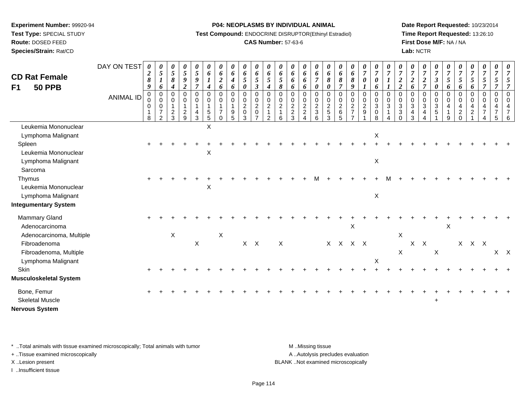**Test Type:** SPECIAL STUDY

**Route:** DOSED FEED

**Species/Strain:** Rat/CD

#### **P04: NEOPLASMS BY INDIVIDUAL ANIMAL**

**Test Compound:** ENDOCRINE DISRUPTOR(Ethinyl Estradiol)

## **CAS Number:** 57-63-6

**Date Report Requested:** 10/23/2014**Time Report Requested:** 13:26:10**First Dose M/F:** NA / NA**Lab:** NCTR

| <b>CD Rat Female</b>                                               | DAY ON TEST      | $\boldsymbol{\theta}$<br>$\boldsymbol{2}$<br>8 | 0<br>$\sqrt{5}$<br>1                                           | 0<br>$\mathfrak{s}$<br>$\pmb{8}$                                  | 0<br>5<br>9                                               | 0<br>$\mathfrak{s}$<br>9                                | $\boldsymbol{\theta}$<br>6<br>$\boldsymbol{l}$                                                   | 0<br>6<br>$\boldsymbol{2}$                | 0<br>6<br>4                                           | 0<br>6<br>5                                                   | 0<br>6<br>$\mathfrak{s}$                                                            | $\pmb{\theta}$<br>$\boldsymbol{\delta}$<br>5                           | 0<br>6<br>5                    | $\boldsymbol{\theta}$<br>6<br>6                                          | 0<br>6<br>6                                            | $\boldsymbol{\theta}$<br>6<br>$\overline{7}$                         | 0<br>6<br>8                                               | $\boldsymbol{\theta}$<br>6<br>$\pmb{8}$                | $\boldsymbol{\theta}$<br>6<br>8                                     | 0<br>$\boldsymbol{7}$<br>0                             | 0<br>$\overline{7}$<br>$\boldsymbol{\theta}$                      | 0<br>$\overline{7}$                   | $\boldsymbol{\theta}$<br>$\overline{7}$<br>$\boldsymbol{2}$                            | 0<br>$\overline{7}$<br>$\boldsymbol{2}$ | 0<br>$\overline{7}$<br>$\boldsymbol{2}$                              | 0<br>$\overline{7}$<br>$\boldsymbol{\beta}$                              | $\boldsymbol{\theta}$<br>$\overline{7}$<br>5 | 0<br>$\overline{7}$<br>$\mathfrak{s}$                                   | 0<br>$\boldsymbol{7}$<br>5                    | $\boldsymbol{\theta}$<br>$\overline{7}$<br>$\mathfrak{H}$                        | 0<br>$\overline{7}$<br>5 | $\overline{7}$ |
|--------------------------------------------------------------------|------------------|------------------------------------------------|----------------------------------------------------------------|-------------------------------------------------------------------|-----------------------------------------------------------|---------------------------------------------------------|--------------------------------------------------------------------------------------------------|-------------------------------------------|-------------------------------------------------------|---------------------------------------------------------------|-------------------------------------------------------------------------------------|------------------------------------------------------------------------|--------------------------------|--------------------------------------------------------------------------|--------------------------------------------------------|----------------------------------------------------------------------|-----------------------------------------------------------|--------------------------------------------------------|---------------------------------------------------------------------|--------------------------------------------------------|-------------------------------------------------------------------|---------------------------------------|----------------------------------------------------------------------------------------|-----------------------------------------|----------------------------------------------------------------------|--------------------------------------------------------------------------|----------------------------------------------|-------------------------------------------------------------------------|-----------------------------------------------|----------------------------------------------------------------------------------|--------------------------|----------------|
| <b>50 PPB</b><br>F <sub>1</sub>                                    | <b>ANIMAL ID</b> | 9<br>0<br>$\mathbf 0$<br>$\mathbf 0$<br>1<br>8 | 6<br>0<br>$\mathbf 0$<br>0<br>$\overline{7}$<br>$\overline{2}$ | $\boldsymbol{4}$<br>0<br>0<br>1<br>$\overline{c}$<br>$\mathbf{3}$ | $\overline{2}$<br>0<br>$\mathbf 0$<br>$\overline{c}$<br>9 | $\overline{7}$<br>0<br>$\mathbf 0$<br>4<br>$\mathbf{3}$ | $\boldsymbol{4}$<br>$\mathbf 0$<br>$\mathbf 0$<br>$\overline{1}$<br>$\sqrt{5}$<br>$\overline{5}$ | 6<br>0<br>0<br>$\overline{7}$<br>$\Omega$ | 6<br>$\mathbf 0$<br>$\Omega$<br>$\boldsymbol{9}$<br>5 | 0<br>0<br>$\mathbf 0$<br>$\boldsymbol{2}$<br>$\mathbf 0$<br>3 | $\mathfrak{z}$<br>0<br>$\mathsf 0$<br>$\overline{2}$<br>$\pmb{0}$<br>$\overline{ }$ | 4<br>$\pmb{0}$<br>$\pmb{0}$<br>$\boldsymbol{2}$<br>$\overline{1}$<br>2 | 8<br>0<br>0<br>$\sqrt{2}$<br>6 | 6<br>$\mathbf 0$<br>$\mathbf 0$<br>$\overline{c}$<br>$\overline{c}$<br>3 | 6<br>0<br>0<br>$\overline{2}$<br>$\boldsymbol{2}$<br>4 | 0<br>$\mathbf 0$<br>$\mathbf 0$<br>$\overline{2}$<br>$\sqrt{3}$<br>6 | 0<br>$\Omega$<br>0<br>$\boldsymbol{2}$<br>$\sqrt{5}$<br>3 | $\overline{7}$<br>0<br>0<br>$\boldsymbol{2}$<br>6<br>5 | 9<br>$\mathbf 0$<br>$\pmb{0}$<br>$\boldsymbol{2}$<br>$\overline{7}$ | 0<br>$\mathbf 0$<br>$\overline{2}$<br>$\boldsymbol{9}$ | 6<br>$\mathbf 0$<br>$\pmb{0}$<br>$\mathbf{3}$<br>$\mathbf 0$<br>8 | $\mathbf 0$<br>0<br>$\mathbf{3}$<br>1 | $\overline{2}$<br>$\mathbf 0$<br>$\mathbf 0$<br>$\mathbf{3}$<br>$\sqrt{3}$<br>$\Omega$ | 6<br>0<br>0<br>$\mathbf{3}$<br>4<br>3   | $\overline{7}$<br>$\mathbf 0$<br>0<br>$\ensuremath{\mathsf{3}}$<br>4 | 0<br>$\mathbf 0$<br>$\pmb{0}$<br>$\ensuremath{\mathsf{3}}$<br>$\sqrt{5}$ | 6<br>0<br>$\mathbf 0$<br>4<br>9              | 6<br>0<br>$\mathbf 0$<br>$\overline{4}$<br>$\boldsymbol{2}$<br>$\Omega$ | 6<br>0<br>$\mathbf{0}$<br>4<br>$\overline{c}$ | $\overline{7}$<br>$\mathbf 0$<br>$\mathbf 0$<br>$\overline{4}$<br>$\overline{7}$ | 7<br>0<br>$\mathbf 0$    | $\Omega$       |
| Leukemia Mononuclear<br>Lymphoma Malignant                         |                  |                                                |                                                                |                                                                   |                                                           |                                                         | X                                                                                                |                                           |                                                       |                                                               |                                                                                     |                                                                        |                                |                                                                          |                                                        |                                                                      |                                                           |                                                        |                                                                     |                                                        | X                                                                 |                                       |                                                                                        |                                         |                                                                      |                                                                          |                                              |                                                                         |                                               |                                                                                  |                          |                |
| Spleen<br>Leukemia Mononuclear<br>Lymphoma Malignant               |                  |                                                |                                                                |                                                                   |                                                           |                                                         | X                                                                                                |                                           |                                                       |                                                               |                                                                                     |                                                                        |                                |                                                                          |                                                        |                                                                      |                                                           |                                                        |                                                                     |                                                        | $\pmb{\times}$                                                    |                                       |                                                                                        |                                         |                                                                      |                                                                          |                                              |                                                                         |                                               |                                                                                  |                          |                |
| Sarcoma<br>Thymus<br>Leukemia Mononuclear                          |                  |                                                |                                                                |                                                                   |                                                           |                                                         | X                                                                                                |                                           |                                                       |                                                               |                                                                                     |                                                                        |                                |                                                                          |                                                        |                                                                      |                                                           |                                                        |                                                                     |                                                        |                                                                   |                                       |                                                                                        |                                         |                                                                      |                                                                          |                                              |                                                                         |                                               |                                                                                  |                          |                |
| Lymphoma Malignant<br><b>Integumentary System</b>                  |                  |                                                |                                                                |                                                                   |                                                           |                                                         |                                                                                                  |                                           |                                                       |                                                               |                                                                                     |                                                                        |                                |                                                                          |                                                        |                                                                      |                                                           |                                                        |                                                                     |                                                        | $\pmb{\times}$                                                    |                                       |                                                                                        |                                         |                                                                      |                                                                          |                                              |                                                                         |                                               |                                                                                  |                          |                |
| Mammary Gland<br>Adenocarcinoma                                    |                  |                                                |                                                                |                                                                   |                                                           |                                                         |                                                                                                  |                                           |                                                       |                                                               |                                                                                     |                                                                        |                                |                                                                          |                                                        |                                                                      |                                                           |                                                        | $\mathsf X$                                                         |                                                        |                                                                   |                                       |                                                                                        |                                         |                                                                      |                                                                          | X                                            |                                                                         |                                               |                                                                                  |                          |                |
| Adenocarcinoma, Multiple<br>Fibroadenoma<br>Fibroadenoma, Multiple |                  |                                                |                                                                | $\boldsymbol{\mathsf{X}}$                                         |                                                           | $\mathsf X$                                             |                                                                                                  | $\mathsf X$                               |                                                       |                                                               | $X$ $X$                                                                             |                                                                        | $\boldsymbol{\mathsf{X}}$      |                                                                          |                                                        |                                                                      |                                                           | X X X X                                                |                                                                     |                                                        |                                                                   |                                       | $\boldsymbol{\mathsf{X}}$<br>$\sf X$                                                   | $\mathsf{X}$                            | $\mathsf{X}$                                                         | $\boldsymbol{\mathsf{X}}$                                                |                                              | X                                                                       | $X$ $X$                                       |                                                                                  | $X$ $X$                  |                |
| Lymphoma Malignant<br>Skin<br><b>Musculoskeletal System</b>        |                  |                                                |                                                                |                                                                   |                                                           |                                                         |                                                                                                  |                                           |                                                       |                                                               |                                                                                     |                                                                        |                                |                                                                          |                                                        |                                                                      |                                                           |                                                        |                                                                     |                                                        | $\mathsf X$                                                       |                                       |                                                                                        |                                         |                                                                      |                                                                          |                                              |                                                                         |                                               |                                                                                  |                          |                |
| Bone, Femur<br><b>Skeletal Muscle</b><br><b>Nervous System</b>     |                  |                                                |                                                                |                                                                   |                                                           |                                                         |                                                                                                  |                                           |                                                       |                                                               |                                                                                     |                                                                        |                                |                                                                          |                                                        |                                                                      |                                                           |                                                        |                                                                     |                                                        |                                                                   |                                       |                                                                                        |                                         |                                                                      | $\ddot{}$                                                                |                                              |                                                                         |                                               |                                                                                  |                          |                |

\* ..Total animals with tissue examined microscopically; Total animals with tumor **M** . Missing tissue M ..Missing tissue

+ ..Tissue examined microscopically

I ..Insufficient tissue

A ..Autolysis precludes evaluation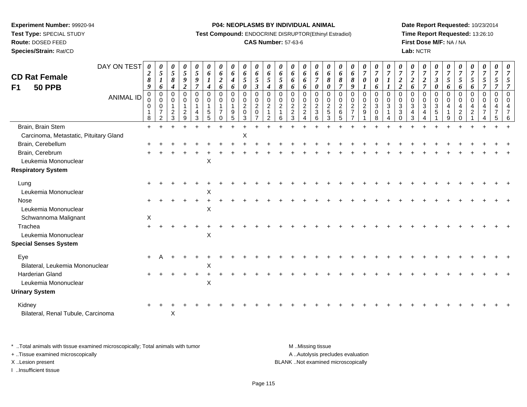**Test Type:** SPECIAL STUDY

**Route:** DOSED FEED

**Species/Strain:** Rat/CD

#### **P04: NEOPLASMS BY INDIVIDUAL ANIMAL**

**Test Compound:** ENDOCRINE DISRUPTOR(Ethinyl Estradiol)

## **CAS Number:** 57-63-6

**Date Report Requested:** 10/23/2014**Time Report Requested:** 13:26:10**First Dose M/F:** NA / NA**Lab:** NCTR

| <b>CD Rat Female</b>                              | DAY ON TEST      | $\boldsymbol{\theta}$<br>$\boldsymbol{2}$<br>8 | 0<br>$\overline{5}$                                 | 0<br>5<br>8                  | 0<br>$\mathfrak{S}$<br>9 | 0<br>$\mathfrak{s}$<br>9           | 0<br>6                          | 0<br>6<br>$\boldsymbol{2}$       | 0<br>6<br>$\boldsymbol{4}$ | 0<br>6<br>$5\overline{)}$          | 0<br>6<br>$\sqrt{5}$                            | $\boldsymbol{\theta}$<br>6<br>$5\overline{)}$    | 0<br>6<br>5                             | 0<br>6<br>6                           | 0<br>6<br>6                       | 0<br>6<br>$\overline{7}$                     | 0<br>6<br>8                       | 0<br>6<br>8                        | 0<br>6<br>8                  | 0<br>$\boldsymbol{7}$<br>$\boldsymbol{\theta}$ | $\boldsymbol{\theta}$<br>$\overline{7}$<br>$\boldsymbol{\theta}$ | 0<br>$\overline{7}$<br>1   | 0<br>$\overline{7}$<br>$\boldsymbol{2}$             | 0<br>$\overline{7}$<br>$\overline{2}$ | 0<br>$\boldsymbol{7}$<br>$\boldsymbol{2}$ | 0<br>$\overline{7}$<br>$\boldsymbol{\beta}$                 | 0<br>$\overline{7}$<br>$\mathfrak{s}$ | $\boldsymbol{\theta}$<br>$\overline{7}$<br>5 | 0<br>$\overline{7}$<br>5 | 0<br>$\boldsymbol{7}$<br>$\mathfrak{H}$ | $\boldsymbol{\theta}$<br>$\overline{7}$<br>5 |  |
|---------------------------------------------------|------------------|------------------------------------------------|-----------------------------------------------------|------------------------------|--------------------------|------------------------------------|---------------------------------|----------------------------------|----------------------------|------------------------------------|-------------------------------------------------|--------------------------------------------------|-----------------------------------------|---------------------------------------|-----------------------------------|----------------------------------------------|-----------------------------------|------------------------------------|------------------------------|------------------------------------------------|------------------------------------------------------------------|----------------------------|-----------------------------------------------------|---------------------------------------|-------------------------------------------|-------------------------------------------------------------|---------------------------------------|----------------------------------------------|--------------------------|-----------------------------------------|----------------------------------------------|--|
| <b>50 PPB</b><br>F <sub>1</sub>                   | <b>ANIMAL ID</b> | 9<br>$\pmb{0}$<br>$\pmb{0}$                    | $\boldsymbol{l}$<br>6<br>$\mathbf 0$<br>$\mathbf 0$ | 4<br>$\mathbf 0$<br>$\Omega$ | $\overline{2}$<br>0<br>0 | $\overline{7}$<br>$\mathbf 0$<br>0 | 4<br>$\mathbf 0$<br>$\mathbf 0$ | 6<br>$\mathbf 0$<br>0            | 6<br>$\mathbf 0$<br>0      | 0<br>0<br>$\mathbf 0$              | $\boldsymbol{\beta}$<br>$\,0\,$<br>$\pmb{0}$    | $\boldsymbol{4}$<br>$\mathsf 0$<br>$\mathbf 0$   | $\pmb{8}$<br>$\mathbf 0$<br>$\mathbf 0$ | 6<br>$\mathbf 0$<br>$\mathbf 0$       | 6<br>0<br>0                       | $\pmb{\theta}$<br>$\mathbf 0$<br>$\mathbf 0$ | 0<br>$\mathbf 0$<br>0             | $\overline{7}$<br>$\mathbf 0$<br>0 | 9<br>$\mathbf 0$<br>0        | $\mathbf 0$<br>$\mathbf 0$                     | 6<br>$\mathbf 0$<br>$\mathsf{O}\xspace$                          | $\mathbf 0$<br>$\mathbf 0$ | $\overline{2}$<br>$\Omega$<br>$\mathbf 0$           | 6<br>$\mathbf 0$<br>0                 | $\overline{7}$<br>0<br>0                  | $\boldsymbol{\theta}$<br>$\mathbf 0$<br>$\mathsf{O}\xspace$ | 6<br>$\mathbf 0$<br>$\mathbf 0$       | 6<br>$\Omega$<br>$\mathbf 0$                 | 6<br>0<br>0              | $\overline{7}$<br>0<br>0                | 0<br>$\mathbf 0$                             |  |
|                                                   |                  | 0<br>1<br>8                                    | 0<br>$\overline{7}$<br>$\overline{2}$               | $\overline{c}$<br>3          | $\overline{c}$<br>9      | $\mathbf{1}$<br>4<br>3             | $\sqrt{5}$<br>5                 | -1<br>$\overline{7}$<br>$\Omega$ | 1<br>9<br>5                | $\overline{c}$<br>$\mathbf 0$<br>3 | $\overline{2}$<br>$\mathbf 0$<br>$\overline{7}$ | $\overline{c}$<br>$\mathbf{1}$<br>$\overline{2}$ | $\overline{2}$<br>6                     | $\overline{2}$<br>$\overline{2}$<br>3 | $\overline{2}$<br>$\sqrt{2}$<br>Δ | $\overline{2}$<br>3<br>6                     | $\overline{c}$<br>$\sqrt{5}$<br>3 | $\overline{2}$<br>6<br>5           | $\sqrt{2}$<br>$\overline{7}$ | $\overline{2}$<br>$\boldsymbol{9}$             | $\overline{3}$<br>$\mathbf 0$<br>8                               | 3                          | $\ensuremath{\mathsf{3}}$<br>$\sqrt{3}$<br>$\Omega$ | $\mathbf{3}$<br>$\overline{4}$<br>3   | 3<br>4                                    | $\overline{3}$<br>$\sqrt{5}$                                | 4<br>1<br>9                           | 4<br>2<br>$\Omega$                           | 2                        | 4                                       | 4<br>5                                       |  |
| Brain, Brain Stem                                 |                  | $\ddot{}$                                      |                                                     |                              |                          |                                    |                                 |                                  |                            |                                    |                                                 |                                                  |                                         |                                       |                                   |                                              |                                   |                                    |                              |                                                |                                                                  |                            |                                                     |                                       |                                           |                                                             |                                       |                                              |                          |                                         |                                              |  |
| Carcinoma, Metastatic, Pituitary Gland            |                  |                                                |                                                     |                              |                          |                                    |                                 |                                  |                            | X                                  |                                                 |                                                  |                                         |                                       |                                   |                                              |                                   |                                    |                              |                                                |                                                                  |                            |                                                     |                                       |                                           |                                                             |                                       |                                              |                          |                                         |                                              |  |
| Brain, Cerebellum                                 |                  |                                                |                                                     |                              |                          |                                    |                                 |                                  |                            |                                    |                                                 |                                                  |                                         |                                       |                                   |                                              |                                   |                                    |                              |                                                |                                                                  |                            |                                                     |                                       |                                           |                                                             |                                       |                                              |                          |                                         |                                              |  |
| Brain, Cerebrum                                   |                  |                                                |                                                     |                              |                          |                                    |                                 |                                  |                            |                                    |                                                 |                                                  |                                         |                                       |                                   |                                              |                                   |                                    |                              |                                                |                                                                  |                            |                                                     |                                       |                                           |                                                             |                                       |                                              |                          |                                         |                                              |  |
| Leukemia Mononuclear<br><b>Respiratory System</b> |                  |                                                |                                                     |                              |                          |                                    | Χ                               |                                  |                            |                                    |                                                 |                                                  |                                         |                                       |                                   |                                              |                                   |                                    |                              |                                                |                                                                  |                            |                                                     |                                       |                                           |                                                             |                                       |                                              |                          |                                         |                                              |  |
| Lung                                              |                  |                                                |                                                     |                              |                          |                                    |                                 |                                  |                            |                                    |                                                 |                                                  |                                         |                                       |                                   |                                              |                                   |                                    |                              |                                                |                                                                  |                            |                                                     |                                       |                                           |                                                             |                                       |                                              |                          |                                         |                                              |  |
| Leukemia Mononuclear                              |                  |                                                |                                                     |                              |                          |                                    | X                               |                                  |                            |                                    |                                                 |                                                  |                                         |                                       |                                   |                                              |                                   |                                    |                              |                                                |                                                                  |                            |                                                     |                                       |                                           |                                                             |                                       |                                              |                          |                                         |                                              |  |
| <b>Nose</b><br>Leukemia Mononuclear               |                  |                                                |                                                     |                              |                          |                                    | X                               |                                  |                            |                                    |                                                 |                                                  |                                         |                                       |                                   |                                              |                                   |                                    |                              |                                                |                                                                  |                            |                                                     |                                       |                                           |                                                             |                                       |                                              |                          |                                         |                                              |  |
| Schwannoma Malignant                              |                  | X                                              |                                                     |                              |                          |                                    |                                 |                                  |                            |                                    |                                                 |                                                  |                                         |                                       |                                   |                                              |                                   |                                    |                              |                                                |                                                                  |                            |                                                     |                                       |                                           |                                                             |                                       |                                              |                          |                                         |                                              |  |
| Trachea<br>Leukemia Mononuclear                   |                  |                                                |                                                     |                              |                          |                                    | X                               |                                  |                            |                                    |                                                 |                                                  |                                         |                                       |                                   |                                              |                                   |                                    |                              |                                                |                                                                  |                            |                                                     |                                       |                                           |                                                             |                                       |                                              |                          |                                         |                                              |  |
| <b>Special Senses System</b>                      |                  |                                                |                                                     |                              |                          |                                    |                                 |                                  |                            |                                    |                                                 |                                                  |                                         |                                       |                                   |                                              |                                   |                                    |                              |                                                |                                                                  |                            |                                                     |                                       |                                           |                                                             |                                       |                                              |                          |                                         |                                              |  |
| Eye                                               |                  |                                                |                                                     |                              |                          |                                    |                                 |                                  |                            |                                    |                                                 |                                                  |                                         |                                       |                                   |                                              |                                   |                                    |                              |                                                |                                                                  |                            |                                                     |                                       |                                           |                                                             |                                       |                                              |                          |                                         |                                              |  |
| Bilateral, Leukemia Mononuclear                   |                  |                                                |                                                     |                              |                          |                                    | X                               |                                  |                            |                                    |                                                 |                                                  |                                         |                                       |                                   |                                              |                                   |                                    |                              |                                                |                                                                  |                            |                                                     |                                       |                                           |                                                             |                                       |                                              |                          |                                         |                                              |  |
| Harderian Gland                                   |                  |                                                |                                                     |                              |                          |                                    |                                 |                                  |                            |                                    |                                                 |                                                  |                                         |                                       |                                   |                                              |                                   |                                    |                              |                                                |                                                                  |                            |                                                     |                                       |                                           |                                                             |                                       |                                              |                          |                                         |                                              |  |
| Leukemia Mononuclear                              |                  |                                                |                                                     |                              |                          |                                    | X                               |                                  |                            |                                    |                                                 |                                                  |                                         |                                       |                                   |                                              |                                   |                                    |                              |                                                |                                                                  |                            |                                                     |                                       |                                           |                                                             |                                       |                                              |                          |                                         |                                              |  |
| <b>Urinary System</b>                             |                  |                                                |                                                     |                              |                          |                                    |                                 |                                  |                            |                                    |                                                 |                                                  |                                         |                                       |                                   |                                              |                                   |                                    |                              |                                                |                                                                  |                            |                                                     |                                       |                                           |                                                             |                                       |                                              |                          |                                         |                                              |  |
| Kidney                                            |                  |                                                |                                                     |                              |                          |                                    |                                 |                                  |                            |                                    |                                                 |                                                  |                                         |                                       |                                   |                                              |                                   |                                    |                              |                                                |                                                                  |                            |                                                     |                                       |                                           |                                                             |                                       |                                              |                          |                                         |                                              |  |
| Bilateral, Renal Tubule, Carcinoma                |                  |                                                |                                                     | X                            |                          |                                    |                                 |                                  |                            |                                    |                                                 |                                                  |                                         |                                       |                                   |                                              |                                   |                                    |                              |                                                |                                                                  |                            |                                                     |                                       |                                           |                                                             |                                       |                                              |                          |                                         |                                              |  |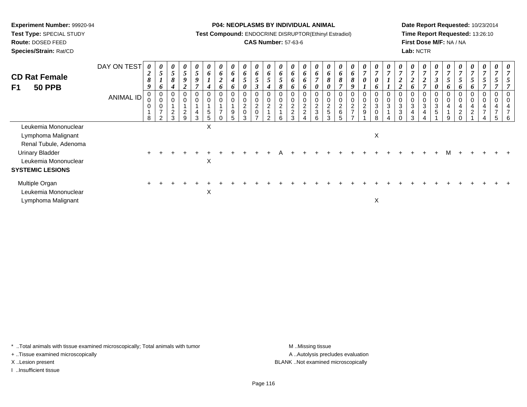**Test Type:** SPECIAL STUDY

**Route:** DOSED FEED

**Species/Strain:** Rat/CD

#### **P04: NEOPLASMS BY INDIVIDUAL ANIMAL**

**Test Compound:** ENDOCRINE DISRUPTOR(Ethinyl Estradiol)

## **CAS Number:** 57-63-6

**Date Report Requested:** 10/23/2014**Time Report Requested:** 13:26:10**First Dose M/F:** NA / NA**Lab:** NCTR

| <b>CD Rat Female</b><br><b>50 PPB</b><br>F1                               | DAY ON TEST<br><b>ANIMAL ID</b> | $\boldsymbol{2}$<br>8<br>9<br>8 | $\boldsymbol{\theta}$<br>$5\overline{)}$<br>6<br>0<br>$\pmb{0}$<br>$\pmb{0}$<br>$\overline{ }$<br>$\overline{2}$ | U<br>5<br>8<br>4<br>0<br>$\overline{\mathbf{c}}$<br>3 | $\boldsymbol{\theta}$<br>$\sqrt{5}$<br>9<br>$\boldsymbol{0}$<br>$\pmb{0}$<br>$\frac{2}{9}$ | $\boldsymbol{\theta}$<br>$5\overline{)}$<br>9<br>0<br>$\pmb{0}$<br>4<br>3 | 0<br>6<br>4<br>0<br>$\pmb{0}$<br>5<br>5 | $\boldsymbol{\theta}$<br>6<br>$\mathbf{\hat{z}}$<br>◢<br>6<br>0<br>$\pmb{0}$<br>$\overline{ }$<br>$\Omega$ | U<br>6<br>$\boldsymbol{4}$<br>6<br>$\mathbf 0$<br>9<br>г. | $\theta$<br>6<br>5<br>0<br>0<br>$\overline{c}$<br>$\pmb{0}$<br>$\Omega$ | $\boldsymbol{\theta}$<br>6<br>$\mathfrak{S}$<br>$\mathfrak{z}$<br>0<br>$\pmb{0}$<br>$\overline{c}$<br>$\pmb{0}$<br>$\overline{ }$ | $\boldsymbol{\theta}$<br>6<br>$5\overline{)}$<br>$\boldsymbol{4}$<br>0<br>$\pmb{0}$<br>$\boldsymbol{2}$<br>ົ | U<br>6<br>$\overline{5}$<br>8<br>$\mathbf 0$<br>$\boldsymbol{2}$<br>6 | $\boldsymbol{\theta}$<br>6<br>6<br>6<br>$\boldsymbol{0}$<br>$\mathbf 0$<br>$\frac{2}{3}$ | $\boldsymbol{\theta}$<br>6<br>6<br>0<br>0<br>$\mathbf 0$<br>$\frac{2}{2}$ | $\boldsymbol{\theta}$<br>6<br>$\overline{ }$<br>$\theta$<br>0<br>$\,0\,$<br>$\boldsymbol{2}$<br>$\sqrt{3}$<br>6 | $\boldsymbol{\theta}$<br>$\pmb{6}$<br>$\boldsymbol{\delta}$<br>$\boldsymbol{\theta}$<br>0<br>$\pmb{0}$<br>$\overline{c}$<br>$\sqrt{5}$<br>3 | $\boldsymbol{\mathit{U}}$<br>6<br>$\pmb{8}$<br>$\boldsymbol{0}$<br>$\overline{c}$<br>6 | $\boldsymbol{\theta}$<br>6<br>8<br>0<br>$\overline{c}$<br>$\overline{ }$ | 0<br>$\overline{7}$<br>$\boldsymbol{\theta}$<br>0<br>$\mathbf 0$<br>$\frac{2}{9}$ | $\boldsymbol{\theta}$<br>$\overline{ }$<br>0<br>6<br>0<br>$\pmb{0}$<br>$\ensuremath{\mathsf{3}}$<br>$\pmb{0}$<br>8 | $\overline{7}$<br>0<br>$\mathbf 0$<br>$\ensuremath{\mathsf{3}}$ | $\boldsymbol{\theta}$<br>$\overline{7}$<br>$\boldsymbol{2}$<br>$\overline{2}$<br>0<br>$\mathbf 0$<br>$\sqrt{3}$<br>$\sqrt{3}$<br>$\Omega$ | $\boldsymbol{\theta}$<br>$\overline{7}$<br>$\overline{2}$<br>6<br>0<br>$\mathbf 0$<br>$\sqrt{3}$<br>4<br>3 | $\boldsymbol{\theta}$<br>$\overline{7}$<br>$\overline{2}$<br>0<br>$\pmb{0}$<br>$\sqrt{3}$<br>$\overline{4}$ | $\boldsymbol{\theta}$<br>$\overline{ }$<br>$\boldsymbol{\beta}$<br>0<br>0<br>$\pmb{0}$<br>$\ensuremath{\mathsf{3}}$<br>5 | υ<br>$\mathcal{L}$<br>$\bm{b}$<br>0<br>$\mathbf 0$<br>4<br>9 | $\boldsymbol{\theta}$<br>$\overline{7}$<br>5<br>6<br>0<br>0<br>4<br>$\overline{a}$<br>$\Omega$ | $\boldsymbol{\theta}$<br>$\boldsymbol{7}$<br>$\mathfrak{s}$<br>o<br>0<br>$\mathbf 0$<br>$\overline{4}$<br>$\boldsymbol{2}$ | 0<br>$\overline{ }$<br>5<br>0<br>$\pmb{0}$<br>4<br>$\overline{ }$<br>4 | $\overline{ }$<br>0<br>$\mathbf 0$<br>$\overline{\phantom{a}}$<br>5 | 0<br>6 |
|---------------------------------------------------------------------------|---------------------------------|---------------------------------|------------------------------------------------------------------------------------------------------------------|-------------------------------------------------------|--------------------------------------------------------------------------------------------|---------------------------------------------------------------------------|-----------------------------------------|------------------------------------------------------------------------------------------------------------|-----------------------------------------------------------|-------------------------------------------------------------------------|-----------------------------------------------------------------------------------------------------------------------------------|--------------------------------------------------------------------------------------------------------------|-----------------------------------------------------------------------|------------------------------------------------------------------------------------------|---------------------------------------------------------------------------|-----------------------------------------------------------------------------------------------------------------|---------------------------------------------------------------------------------------------------------------------------------------------|----------------------------------------------------------------------------------------|--------------------------------------------------------------------------|-----------------------------------------------------------------------------------|--------------------------------------------------------------------------------------------------------------------|-----------------------------------------------------------------|-------------------------------------------------------------------------------------------------------------------------------------------|------------------------------------------------------------------------------------------------------------|-------------------------------------------------------------------------------------------------------------|--------------------------------------------------------------------------------------------------------------------------|--------------------------------------------------------------|------------------------------------------------------------------------------------------------|----------------------------------------------------------------------------------------------------------------------------|------------------------------------------------------------------------|---------------------------------------------------------------------|--------|
| Leukemia Mononuclear<br>Lymphoma Malignant<br>Renal Tubule, Adenoma       |                                 |                                 |                                                                                                                  |                                                       |                                                                                            |                                                                           | X                                       |                                                                                                            |                                                           |                                                                         |                                                                                                                                   |                                                                                                              |                                                                       |                                                                                          |                                                                           |                                                                                                                 |                                                                                                                                             |                                                                                        |                                                                          |                                                                                   | Χ                                                                                                                  |                                                                 |                                                                                                                                           |                                                                                                            |                                                                                                             |                                                                                                                          |                                                              |                                                                                                |                                                                                                                            |                                                                        |                                                                     |        |
| <b>Urinary Bladder</b><br>Leukemia Mononuclear<br><b>SYSTEMIC LESIONS</b> |                                 | $+$                             |                                                                                                                  |                                                       |                                                                                            |                                                                           | X                                       |                                                                                                            |                                                           |                                                                         |                                                                                                                                   |                                                                                                              |                                                                       |                                                                                          |                                                                           |                                                                                                                 |                                                                                                                                             |                                                                                        |                                                                          |                                                                                   |                                                                                                                    |                                                                 |                                                                                                                                           |                                                                                                            |                                                                                                             |                                                                                                                          | м                                                            |                                                                                                |                                                                                                                            |                                                                        |                                                                     |        |
| Multiple Organ<br>Leukemia Mononuclear<br>Lymphoma Malignant              |                                 |                                 |                                                                                                                  |                                                       |                                                                                            |                                                                           | X                                       |                                                                                                            |                                                           |                                                                         |                                                                                                                                   |                                                                                                              |                                                                       |                                                                                          |                                                                           |                                                                                                                 |                                                                                                                                             |                                                                                        |                                                                          |                                                                                   | X                                                                                                                  |                                                                 |                                                                                                                                           |                                                                                                            |                                                                                                             |                                                                                                                          |                                                              |                                                                                                |                                                                                                                            |                                                                        |                                                                     |        |

\* ..Total animals with tissue examined microscopically; Total animals with tumor **M** . Missing tissue M ..Missing tissue

+ ..Tissue examined microscopically

I ..Insufficient tissue

A ..Autolysis precludes evaluation X ..Lesion present BLANK ..Not examined microscopically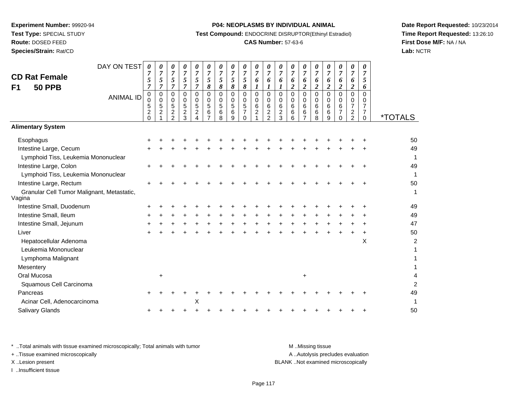**Test Type:** SPECIAL STUDY

**Route:** DOSED FEED

**Species/Strain:** Rat/CD

#### **P04: NEOPLASMS BY INDIVIDUAL ANIMAL**

**Test Compound:** ENDOCRINE DISRUPTOR(Ethinyl Estradiol)

## **CAS Number:** 57-63-6

**Date Report Requested:** 10/23/2014**Time Report Requested:** 13:26:10**First Dose M/F:** NA / NA**Lab:** NCTR

| <b>CD Rat Female</b><br><b>50 PPB</b><br>F1                           | DAY ON TEST<br><b>ANIMAL ID</b> | 0<br>$\overline{7}$<br>5<br>7<br>0   | $\boldsymbol{\theta}$<br>$\overline{7}$<br>$\mathfrak{s}$<br>$\boldsymbol{7}$<br>0 | 0<br>$\overline{7}$<br>5<br>$\overline{7}$<br>$\Omega$ | 0<br>$\overline{7}$<br>5<br>$\overline{7}$<br>$\Omega$ | 0<br>$\overline{7}$<br>5<br>$\overline{7}$<br>0 | $\boldsymbol{\theta}$<br>$\boldsymbol{7}$<br>$\mathfrak{z}$<br>8<br>$\Omega$ | 0<br>$\overline{7}$<br>$\sqrt{5}$<br>$\pmb{\delta}$<br>0 | 0<br>$\overline{7}$<br>5<br>8<br>$\mathbf 0$ | 0<br>$\overline{7}$<br>5<br>$\pmb{8}$<br>0<br>$\mathbf 0$ | 0<br>$\overline{7}$<br>6<br>$\boldsymbol{l}$<br>0 | 0<br>$\boldsymbol{7}$<br>6<br>$\boldsymbol{l}$<br>$\mathbf 0$ | 0<br>$\overline{7}$<br>6<br>1<br>0 | 0<br>$\overline{7}$<br>6<br>$\boldsymbol{2}$<br>$\Omega$ | 0<br>$\overline{7}$<br>6<br>$\overline{\mathbf{c}}$<br>$\Omega$ | 0<br>$\overline{7}$<br>6<br>$\overline{\mathbf{c}}$<br>$\mathbf 0$ | 0<br>$\overline{7}$<br>6<br>$\boldsymbol{2}$<br>$\mathbf 0$ | 0<br>$\overline{7}$<br>6<br>$\boldsymbol{2}$<br>$\Omega$ | 0<br>$\overline{7}$<br>6<br>$\boldsymbol{2}$<br>$\mathbf 0$ | 0<br>$\overline{\mathcal{I}}$<br>5<br>6<br>$\Omega$ |                       |
|-----------------------------------------------------------------------|---------------------------------|--------------------------------------|------------------------------------------------------------------------------------|--------------------------------------------------------|--------------------------------------------------------|-------------------------------------------------|------------------------------------------------------------------------------|----------------------------------------------------------|----------------------------------------------|-----------------------------------------------------------|---------------------------------------------------|---------------------------------------------------------------|------------------------------------|----------------------------------------------------------|-----------------------------------------------------------------|--------------------------------------------------------------------|-------------------------------------------------------------|----------------------------------------------------------|-------------------------------------------------------------|-----------------------------------------------------|-----------------------|
|                                                                       |                                 | 0<br>5<br>$\overline{c}$<br>$\Omega$ | 0<br>$\sqrt{5}$<br>$\boldsymbol{2}$                                                | 0<br>5<br>$\frac{2}{2}$                                | 0<br>5<br>$\overline{c}$<br>3                          | 0<br>$\sqrt{5}$<br>$\frac{2}{4}$                | 0<br>5<br>6<br>$\overline{7}$                                                | 0<br>$\sqrt{5}$<br>$\,6$<br>8                            | $\mathbf 0$<br>5<br>6<br>9                   | 5<br>$\boldsymbol{7}$<br>$\Omega$                         | 0<br>$\overline{6}$<br>$\overline{2}$             | 0<br>6<br>$\frac{2}{2}$                                       | 0<br>6<br>$\boldsymbol{2}$<br>3    | 0<br>6<br>6<br>6                                         | 0<br>6<br>6<br>$\overline{7}$                                   | 0<br>6<br>6<br>$\bar{8}$                                           | 0<br>6<br>$\,6$<br>9                                        | 0<br>6<br>$\overline{7}$<br>$\Omega$                     | 0<br>$\overline{7}$<br>$\frac{2}{2}$                        | 0<br>7<br>7<br>$\mathbf 0$                          | <i><b>*TOTALS</b></i> |
| <b>Alimentary System</b>                                              |                                 |                                      |                                                                                    |                                                        |                                                        |                                                 |                                                                              |                                                          |                                              |                                                           |                                                   |                                                               |                                    |                                                          |                                                                 |                                                                    |                                                             |                                                          |                                                             |                                                     |                       |
| Esophagus                                                             |                                 |                                      |                                                                                    |                                                        |                                                        |                                                 |                                                                              |                                                          |                                              |                                                           |                                                   |                                                               |                                    |                                                          |                                                                 |                                                                    |                                                             |                                                          |                                                             |                                                     | 50                    |
| Intestine Large, Cecum<br>Lymphoid Tiss, Leukemia Mononuclear         |                                 |                                      |                                                                                    |                                                        |                                                        |                                                 |                                                                              |                                                          |                                              |                                                           |                                                   |                                                               |                                    |                                                          |                                                                 |                                                                    |                                                             |                                                          |                                                             |                                                     | 49<br>-1              |
| Intestine Large, Colon<br>Lymphoid Tiss, Leukemia Mononuclear         |                                 |                                      |                                                                                    |                                                        |                                                        |                                                 |                                                                              |                                                          |                                              |                                                           |                                                   |                                                               |                                    |                                                          |                                                                 |                                                                    |                                                             |                                                          |                                                             |                                                     | 49<br>$\mathbf 1$     |
| Intestine Large, Rectum<br>Granular Cell Tumor Malignant, Metastatic, |                                 |                                      |                                                                                    |                                                        |                                                        |                                                 |                                                                              |                                                          |                                              |                                                           |                                                   |                                                               |                                    |                                                          |                                                                 |                                                                    |                                                             |                                                          |                                                             |                                                     | 50<br>1               |
| Vagina                                                                |                                 |                                      |                                                                                    |                                                        |                                                        |                                                 |                                                                              |                                                          |                                              |                                                           |                                                   |                                                               |                                    |                                                          |                                                                 |                                                                    |                                                             |                                                          |                                                             |                                                     |                       |
| Intestine Small, Duodenum                                             |                                 |                                      |                                                                                    |                                                        |                                                        |                                                 |                                                                              |                                                          |                                              |                                                           |                                                   |                                                               |                                    |                                                          |                                                                 |                                                                    |                                                             |                                                          |                                                             |                                                     | 49                    |
| Intestine Small, Ileum                                                |                                 |                                      |                                                                                    |                                                        |                                                        |                                                 |                                                                              |                                                          |                                              |                                                           |                                                   |                                                               |                                    |                                                          |                                                                 |                                                                    |                                                             |                                                          |                                                             |                                                     | 49                    |
| Intestine Small, Jejunum<br>Liver                                     |                                 |                                      |                                                                                    |                                                        |                                                        |                                                 |                                                                              |                                                          |                                              |                                                           |                                                   |                                                               |                                    |                                                          |                                                                 |                                                                    |                                                             |                                                          |                                                             |                                                     | 47<br>50              |
| Hepatocellular Adenoma<br>Leukemia Mononuclear<br>Lymphoma Malignant  |                                 |                                      |                                                                                    |                                                        |                                                        |                                                 |                                                                              |                                                          |                                              |                                                           |                                                   |                                                               |                                    |                                                          |                                                                 |                                                                    |                                                             |                                                          |                                                             | X                                                   | $\overline{2}$        |
| Mesentery                                                             |                                 |                                      |                                                                                    |                                                        |                                                        |                                                 |                                                                              |                                                          |                                              |                                                           |                                                   |                                                               |                                    |                                                          |                                                                 |                                                                    |                                                             |                                                          |                                                             |                                                     |                       |
| Oral Mucosa<br>Squamous Cell Carcinoma                                |                                 |                                      | +                                                                                  |                                                        |                                                        |                                                 |                                                                              |                                                          |                                              |                                                           |                                                   |                                                               |                                    |                                                          | $\ddot{}$                                                       |                                                                    |                                                             |                                                          |                                                             |                                                     | 4<br>$\overline{2}$   |
| Pancreas<br>Acinar Cell, Adenocarcinoma                               |                                 |                                      |                                                                                    |                                                        |                                                        | Χ                                               |                                                                              |                                                          |                                              |                                                           |                                                   |                                                               |                                    |                                                          |                                                                 |                                                                    |                                                             |                                                          |                                                             |                                                     | 49<br>$\mathbf 1$     |
| Salivary Glands                                                       |                                 |                                      |                                                                                    |                                                        |                                                        |                                                 |                                                                              |                                                          |                                              |                                                           |                                                   |                                                               |                                    |                                                          |                                                                 |                                                                    |                                                             |                                                          |                                                             |                                                     | 50                    |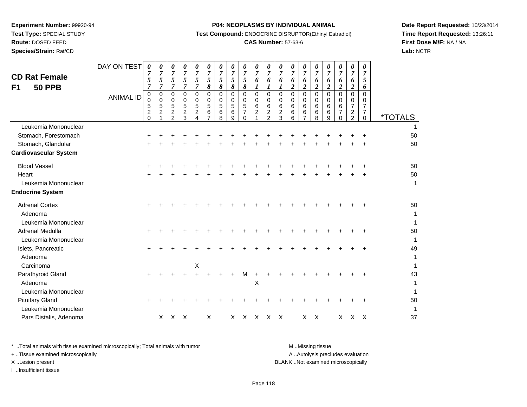**Test Type:** SPECIAL STUDY

**Route:** DOSED FEED

**Species/Strain:** Rat/CD

#### **P04: NEOPLASMS BY INDIVIDUAL ANIMAL**

**Test Compound:** ENDOCRINE DISRUPTOR(Ethinyl Estradiol)

## **CAS Number:** 57-63-6

**Date Report Requested:** 10/23/2014**Time Report Requested:** 13:26:11**First Dose M/F:** NA / NA**Lab:** NCTR

| <b>CD Rat Female</b><br><b>50 PPB</b><br>F <sub>1</sub> | DAY ON TEST<br><b>ANIMAL ID</b> | 0<br>7<br>5<br>7<br>0<br>0<br>5<br>2<br>0 | 0<br>7<br>5<br>7<br>0<br>0<br>5<br>2 | 0<br>$\overline{7}$<br>5<br>$\overline{7}$<br>0<br>$\Omega$<br>5<br>$\overline{\mathbf{c}}$<br>$\overline{2}$ | 0<br>$\overline{7}$<br>5<br>$\overline{7}$<br>$\mathbf 0$<br>0<br>5<br>$\overline{c}$<br>3 | 0<br>7<br>5<br>$\overline{7}$<br>$\Omega$<br>0<br>5<br>$\overline{c}$<br>$\Lambda$ | 0<br>7<br>5<br>8<br>$\mathbf 0$<br>0<br>5<br>6 | 0<br>$\overline{7}$<br>$\sqrt{5}$<br>8<br>0<br>0<br>5<br>6<br>8 | 0<br>$\overline{7}$<br>5<br>8<br>$\pmb{0}$<br>$\mathbf 0$<br>5<br>6<br>9 | 0<br>$\overline{7}$<br>5<br>8<br>$\pmb{0}$<br>0<br>$\,$ 5 $\,$<br>$\overline{7}$<br>$\Omega$ | 0<br>7<br>6<br>1<br>$\mathbf 0$<br>0<br>6<br>$\overline{c}$ | $\boldsymbol{\theta}$<br>7<br>6<br>$\mathbf 0$<br>$\Omega$<br>6<br>$\overline{c}$<br>2 | 0<br>7<br>6<br>$\mathbf 0$<br>$\mathbf 0$<br>6<br>$\overline{c}$<br>3 | 0<br>$\overline{7}$<br>6<br>$\overline{2}$<br>0<br>0<br>6<br>6<br>6 | 0<br>7<br>6<br>$\overline{2}$<br>$\mathbf 0$<br>0<br>6<br>6 | 0<br>7<br>6<br>$\overline{2}$<br>$\mathbf 0$<br>0<br>6<br>6<br>8 | $\boldsymbol{\theta}$<br>7<br>6<br>2<br>$\mathbf 0$<br>0<br>6<br>6<br>9 | 0<br>7<br>6<br>2<br>$\mathbf 0$<br>0<br>6<br>7<br>$\Omega$ | 0<br>$\overline{7}$<br>6<br>$\overline{2}$<br>0<br>$\mathbf 0$<br>$\overline{7}$<br>$\frac{2}{2}$ | 0<br>$\overline{7}$<br>5<br>6<br>$\Omega$<br>0<br>$\overline{7}$<br>7<br>$\mathbf 0$ | <i><b>*TOTALS</b></i> |
|---------------------------------------------------------|---------------------------------|-------------------------------------------|--------------------------------------|---------------------------------------------------------------------------------------------------------------|--------------------------------------------------------------------------------------------|------------------------------------------------------------------------------------|------------------------------------------------|-----------------------------------------------------------------|--------------------------------------------------------------------------|----------------------------------------------------------------------------------------------|-------------------------------------------------------------|----------------------------------------------------------------------------------------|-----------------------------------------------------------------------|---------------------------------------------------------------------|-------------------------------------------------------------|------------------------------------------------------------------|-------------------------------------------------------------------------|------------------------------------------------------------|---------------------------------------------------------------------------------------------------|--------------------------------------------------------------------------------------|-----------------------|
| Leukemia Mononuclear                                    |                                 |                                           |                                      |                                                                                                               |                                                                                            |                                                                                    |                                                |                                                                 |                                                                          |                                                                                              |                                                             |                                                                                        |                                                                       |                                                                     |                                                             |                                                                  |                                                                         |                                                            |                                                                                                   |                                                                                      |                       |
| Stomach, Forestomach                                    |                                 | ٠                                         |                                      |                                                                                                               |                                                                                            |                                                                                    |                                                |                                                                 |                                                                          |                                                                                              |                                                             |                                                                                        |                                                                       |                                                                     |                                                             |                                                                  |                                                                         |                                                            |                                                                                                   |                                                                                      | 50                    |
| Stomach, Glandular<br><b>Cardiovascular System</b>      |                                 |                                           |                                      |                                                                                                               |                                                                                            |                                                                                    |                                                |                                                                 |                                                                          |                                                                                              |                                                             |                                                                                        |                                                                       |                                                                     |                                                             |                                                                  |                                                                         |                                                            |                                                                                                   |                                                                                      | 50                    |
| <b>Blood Vessel</b>                                     |                                 |                                           |                                      |                                                                                                               |                                                                                            |                                                                                    |                                                |                                                                 |                                                                          |                                                                                              |                                                             |                                                                                        |                                                                       |                                                                     |                                                             |                                                                  |                                                                         |                                                            |                                                                                                   |                                                                                      | 50                    |
| Heart                                                   |                                 | +                                         |                                      |                                                                                                               |                                                                                            |                                                                                    |                                                |                                                                 |                                                                          |                                                                                              |                                                             |                                                                                        |                                                                       |                                                                     |                                                             |                                                                  |                                                                         |                                                            | $\ddot{}$                                                                                         | $\ddot{}$                                                                            | 50                    |
| Leukemia Mononuclear<br><b>Endocrine System</b>         |                                 |                                           |                                      |                                                                                                               |                                                                                            |                                                                                    |                                                |                                                                 |                                                                          |                                                                                              |                                                             |                                                                                        |                                                                       |                                                                     |                                                             |                                                                  |                                                                         |                                                            |                                                                                                   |                                                                                      | 1                     |
| <b>Adrenal Cortex</b>                                   |                                 |                                           |                                      |                                                                                                               |                                                                                            |                                                                                    |                                                |                                                                 |                                                                          |                                                                                              |                                                             |                                                                                        |                                                                       |                                                                     |                                                             |                                                                  |                                                                         |                                                            |                                                                                                   |                                                                                      | 50                    |
| Adenoma<br>Leukemia Mononuclear                         |                                 |                                           |                                      |                                                                                                               |                                                                                            |                                                                                    |                                                |                                                                 |                                                                          |                                                                                              |                                                             |                                                                                        |                                                                       |                                                                     |                                                             |                                                                  |                                                                         |                                                            |                                                                                                   |                                                                                      | 1<br>1                |
| Adrenal Medulla                                         |                                 | $\ddot{}$                                 |                                      |                                                                                                               |                                                                                            |                                                                                    |                                                |                                                                 |                                                                          |                                                                                              |                                                             |                                                                                        |                                                                       |                                                                     |                                                             |                                                                  |                                                                         |                                                            |                                                                                                   | $\ddot{}$                                                                            | 50                    |
| Leukemia Mononuclear                                    |                                 |                                           |                                      |                                                                                                               |                                                                                            |                                                                                    |                                                |                                                                 |                                                                          |                                                                                              |                                                             |                                                                                        |                                                                       |                                                                     |                                                             |                                                                  |                                                                         |                                                            |                                                                                                   |                                                                                      | 1                     |
| Islets, Pancreatic                                      |                                 | $\pm$                                     |                                      |                                                                                                               |                                                                                            |                                                                                    |                                                |                                                                 |                                                                          |                                                                                              |                                                             |                                                                                        |                                                                       |                                                                     |                                                             |                                                                  |                                                                         |                                                            |                                                                                                   |                                                                                      | 49                    |
| Adenoma                                                 |                                 |                                           |                                      |                                                                                                               |                                                                                            |                                                                                    |                                                |                                                                 |                                                                          |                                                                                              |                                                             |                                                                                        |                                                                       |                                                                     |                                                             |                                                                  |                                                                         |                                                            |                                                                                                   |                                                                                      | 1                     |
| Carcinoma                                               |                                 |                                           |                                      |                                                                                                               |                                                                                            | X                                                                                  |                                                |                                                                 |                                                                          |                                                                                              |                                                             |                                                                                        |                                                                       |                                                                     |                                                             |                                                                  |                                                                         |                                                            |                                                                                                   |                                                                                      |                       |
| Parathyroid Gland                                       |                                 |                                           |                                      |                                                                                                               |                                                                                            |                                                                                    |                                                |                                                                 |                                                                          | м                                                                                            |                                                             |                                                                                        |                                                                       |                                                                     |                                                             |                                                                  |                                                                         |                                                            |                                                                                                   |                                                                                      | 43                    |
| Adenoma                                                 |                                 |                                           |                                      |                                                                                                               |                                                                                            |                                                                                    |                                                |                                                                 |                                                                          |                                                                                              | Χ                                                           |                                                                                        |                                                                       |                                                                     |                                                             |                                                                  |                                                                         |                                                            |                                                                                                   |                                                                                      | 1                     |
| Leukemia Mononuclear                                    |                                 |                                           |                                      |                                                                                                               |                                                                                            |                                                                                    |                                                |                                                                 |                                                                          |                                                                                              |                                                             |                                                                                        |                                                                       |                                                                     |                                                             |                                                                  |                                                                         |                                                            |                                                                                                   |                                                                                      | 50                    |
| <b>Pituitary Gland</b><br>Leukemia Mononuclear          |                                 | $\pm$                                     |                                      |                                                                                                               |                                                                                            |                                                                                    |                                                |                                                                 |                                                                          |                                                                                              |                                                             |                                                                                        |                                                                       |                                                                     |                                                             |                                                                  |                                                                         |                                                            |                                                                                                   | $\ddot{}$                                                                            | 1                     |
| Pars Distalis, Adenoma                                  |                                 |                                           | X                                    | $\times$                                                                                                      | $\mathsf{X}$                                                                               |                                                                                    | X                                              |                                                                 |                                                                          |                                                                                              |                                                             | X X X X X                                                                              |                                                                       |                                                                     |                                                             | $X \times$                                                       |                                                                         |                                                            | $X \times X$                                                                                      |                                                                                      | 37                    |
|                                                         |                                 |                                           |                                      |                                                                                                               |                                                                                            |                                                                                    |                                                |                                                                 |                                                                          |                                                                                              |                                                             |                                                                                        |                                                                       |                                                                     |                                                             |                                                                  |                                                                         |                                                            |                                                                                                   |                                                                                      |                       |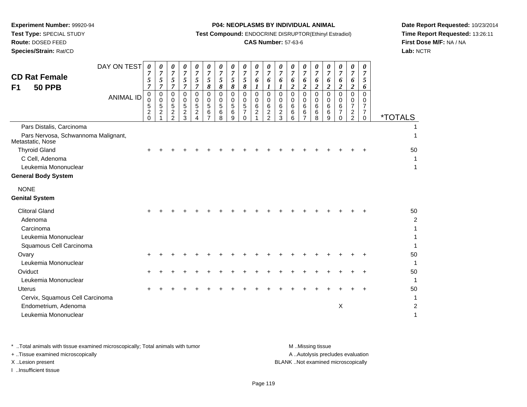**Test Type:** SPECIAL STUDY

**Route:** DOSED FEED

**Species/Strain:** Rat/CD

#### **P04: NEOPLASMS BY INDIVIDUAL ANIMAL**

**Test Compound:** ENDOCRINE DISRUPTOR(Ethinyl Estradiol)

## **CAS Number:** 57-63-6

**Date Report Requested:** 10/23/2014**Time Report Requested:** 13:26:11**First Dose M/F:** NA / NA**Lab:** NCTR

| <b>CD Rat Female</b><br><b>50 PPB</b><br>F1                                                      | DAY ON TEST<br><b>ANIMAL ID</b> | 0<br>7<br>$\mathfrak{s}$<br>7<br>0<br>0<br>5<br>$\boldsymbol{2}$<br>0 | 0<br>$\overline{7}$<br>5<br>7<br>0<br>0<br>5<br>$\overline{c}$ | 0<br>$\overline{7}$<br>5<br>$\overline{7}$<br>$\mathbf 0$<br>0<br>5<br>$\boldsymbol{2}$<br>$\overline{2}$ | 0<br>7<br>5<br>$\overline{7}$<br>$\Omega$<br>0<br>5<br>$\overline{c}$<br>3 | 0<br>7<br>5<br>7<br>0<br>0<br>5<br>$\overline{\mathbf{c}}$<br>4 | 0<br>7<br>5<br>8<br>0<br>0<br>5<br>6<br>7 | 0<br>$\overline{7}$<br>5<br>8<br>$\mathbf 0$<br>0<br>5<br>6<br>8 | 0<br>$\overline{7}$<br>5<br>8<br>$\mathbf 0$<br>0<br>5<br>6<br>9 | 0<br>7<br>5<br>8<br>$\Omega$<br>0<br>5<br>$\overline{7}$<br>$\Omega$ | 0<br>7<br>6<br>1<br>0<br>0<br>6<br>$\overline{\mathbf{c}}$ | 0<br>7<br>6<br>0<br>0<br>6<br>$\boldsymbol{2}$<br>$\overline{2}$ | 0<br>7<br>6<br>0<br>0<br>6<br>$\overline{\mathbf{c}}$<br>3 | 0<br>7<br>6<br>$\overline{2}$<br>$\mathbf 0$<br>0<br>6<br>6<br>6 | 0<br>7<br>6<br>$\boldsymbol{2}$<br>$\Omega$<br>0<br>6<br>6<br>$\overline{7}$ | 0<br>7<br>6<br>$\overline{\mathbf{2}}$<br>$\Omega$<br>0<br>6<br>6<br>8 | 0<br>7<br>6<br>$\boldsymbol{2}$<br>0<br>0<br>6<br>6<br>9 | 0<br>7<br>6<br>$\boldsymbol{2}$<br>$\Omega$<br>0<br>6<br>$\overline{7}$<br>$\Omega$ | 0<br>$\overline{7}$<br>6<br>$\boldsymbol{2}$<br>$\mathbf 0$<br>0<br>$\overline{7}$<br>$\overline{c}$<br>$\overline{2}$ | 0<br>7<br>5<br>6<br>$\Omega$<br>0<br>$\overline{7}$<br>$\overline{7}$<br>$\mathbf 0$ | <i><b>*TOTALS</b></i>     |
|--------------------------------------------------------------------------------------------------|---------------------------------|-----------------------------------------------------------------------|----------------------------------------------------------------|-----------------------------------------------------------------------------------------------------------|----------------------------------------------------------------------------|-----------------------------------------------------------------|-------------------------------------------|------------------------------------------------------------------|------------------------------------------------------------------|----------------------------------------------------------------------|------------------------------------------------------------|------------------------------------------------------------------|------------------------------------------------------------|------------------------------------------------------------------|------------------------------------------------------------------------------|------------------------------------------------------------------------|----------------------------------------------------------|-------------------------------------------------------------------------------------|------------------------------------------------------------------------------------------------------------------------|--------------------------------------------------------------------------------------|---------------------------|
| Pars Distalis, Carcinoma<br>Pars Nervosa, Schwannoma Malignant,<br>Metastatic, Nose              |                                 |                                                                       |                                                                |                                                                                                           |                                                                            |                                                                 |                                           |                                                                  |                                                                  |                                                                      |                                                            |                                                                  |                                                            |                                                                  |                                                                              |                                                                        |                                                          |                                                                                     |                                                                                                                        |                                                                                      | 1                         |
| <b>Thyroid Gland</b><br>C Cell, Adenoma<br>Leukemia Mononuclear<br><b>General Body System</b>    |                                 |                                                                       |                                                                |                                                                                                           |                                                                            |                                                                 |                                           |                                                                  |                                                                  |                                                                      |                                                            |                                                                  |                                                            |                                                                  |                                                                              |                                                                        |                                                          |                                                                                     |                                                                                                                        |                                                                                      | 50<br>1                   |
| <b>NONE</b><br><b>Genital System</b>                                                             |                                 |                                                                       |                                                                |                                                                                                           |                                                                            |                                                                 |                                           |                                                                  |                                                                  |                                                                      |                                                            |                                                                  |                                                            |                                                                  |                                                                              |                                                                        |                                                          |                                                                                     |                                                                                                                        |                                                                                      |                           |
| <b>Clitoral Gland</b><br>Adenoma<br>Carcinoma<br>Leukemia Mononuclear<br>Squamous Cell Carcinoma |                                 |                                                                       |                                                                |                                                                                                           |                                                                            |                                                                 |                                           |                                                                  |                                                                  |                                                                      |                                                            |                                                                  |                                                            |                                                                  |                                                                              |                                                                        |                                                          |                                                                                     |                                                                                                                        |                                                                                      | 50<br>2                   |
| Ovary<br>Leukemia Mononuclear                                                                    |                                 |                                                                       |                                                                |                                                                                                           |                                                                            |                                                                 |                                           |                                                                  |                                                                  |                                                                      |                                                            |                                                                  |                                                            |                                                                  |                                                                              |                                                                        |                                                          |                                                                                     |                                                                                                                        |                                                                                      | 50<br>1                   |
| Oviduct<br>Leukemia Mononuclear                                                                  |                                 | ٠                                                                     |                                                                |                                                                                                           |                                                                            |                                                                 |                                           |                                                                  |                                                                  |                                                                      |                                                            |                                                                  |                                                            |                                                                  |                                                                              |                                                                        |                                                          |                                                                                     |                                                                                                                        |                                                                                      | 50<br>1                   |
| Uterus<br>Cervix, Squamous Cell Carcinoma<br>Endometrium, Adenoma<br>Leukemia Mononuclear        |                                 |                                                                       |                                                                |                                                                                                           |                                                                            |                                                                 |                                           |                                                                  |                                                                  |                                                                      |                                                            |                                                                  |                                                            |                                                                  |                                                                              |                                                                        |                                                          | X                                                                                   |                                                                                                                        |                                                                                      | 50<br>$\overline{c}$<br>1 |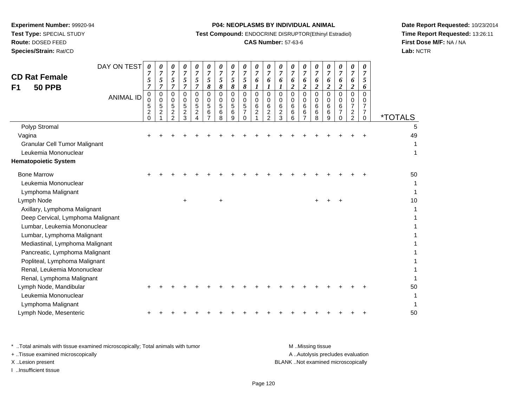**Test Type:** SPECIAL STUDY

**Route:** DOSED FEED

**Species/Strain:** Rat/CD

#### **P04: NEOPLASMS BY INDIVIDUAL ANIMAL**

**Test Compound:** ENDOCRINE DISRUPTOR(Ethinyl Estradiol)

## **CAS Number:** 57-63-6

**Date Report Requested:** 10/23/2014**Time Report Requested:** 13:26:11**First Dose M/F:** NA / NA**Lab:** NCTR

| DAY ON TEST<br><b>CD Rat Female</b><br><b>50 PPB</b><br>F <sub>1</sub> | 0<br>$\overline{7}$<br>5<br>7          | 0<br>$\boldsymbol{7}$<br>$\sqrt{5}$<br>$\overline{7}$ | 0<br>$\overline{7}$<br>5<br>$\overline{7}$                        | 0<br>$\overline{7}$<br>$\sqrt{5}$<br>$\overline{7}$ | 0<br>7<br>5<br>$\overline{7}$ | 0<br>7<br>5<br>8 | 0<br>$\boldsymbol{7}$<br>5<br>8 | 0<br>$\boldsymbol{7}$<br>5<br>8                   | 0<br>$\boldsymbol{7}$<br>5<br>8                                        | 0<br>$\overline{7}$<br>6<br>1                     | 0<br>$\overline{7}$<br>6<br>$\boldsymbol{l}$ | 0<br>$\overline{7}$<br>6                    | 0<br>$\overline{7}$<br>6<br>$\boldsymbol{2}$ | 0<br>$\overline{7}$<br>6<br>$\overline{c}$ | 0<br>7<br>6<br>$\boldsymbol{2}$ | 0<br>$\overline{7}$<br>6<br>$\overline{2}$ | 0<br>$\overline{7}$<br>6<br>$\boldsymbol{2}$ | 0<br>$\overline{7}$<br>6<br>$\overline{\mathbf{c}}$ | 0<br>$\overline{7}$<br>5<br>6             |                       |
|------------------------------------------------------------------------|----------------------------------------|-------------------------------------------------------|-------------------------------------------------------------------|-----------------------------------------------------|-------------------------------|------------------|---------------------------------|---------------------------------------------------|------------------------------------------------------------------------|---------------------------------------------------|----------------------------------------------|---------------------------------------------|----------------------------------------------|--------------------------------------------|---------------------------------|--------------------------------------------|----------------------------------------------|-----------------------------------------------------|-------------------------------------------|-----------------------|
| <b>ANIMAL ID</b>                                                       | 0<br>$\mathbf 0$<br>5<br>2<br>$\Omega$ | 0<br>0<br>5<br>$\overline{c}$                         | 0<br>$\mathbf 0$<br>5<br>$\overline{\mathbf{c}}$<br>$\mathcal{P}$ | 0<br>0<br>5<br>$\overline{\mathbf{c}}$<br>3         | 0<br>0<br>5<br>$\overline{c}$ | 0<br>0<br>5<br>6 | 0<br>0<br>5<br>6<br>8           | $\pmb{0}$<br>$\mathbf 0$<br>$\,$ 5 $\,$<br>6<br>9 | $\mathbf 0$<br>$\mathbf 0$<br>$\sqrt{5}$<br>$\overline{7}$<br>$\Omega$ | $\mathbf 0$<br>$\mathbf 0$<br>6<br>$\overline{c}$ | 0<br>0<br>6<br>$\overline{c}$<br>2           | 0<br>0<br>6<br>$\overline{\mathbf{c}}$<br>3 | 0<br>0<br>6<br>6<br>6                        | 0<br>0<br>6<br>6                           | 0<br>0<br>6<br>6<br>8           | 0<br>0<br>6<br>6<br>9                      | 0<br>0<br>6<br>7<br>$\Omega$                 | 0<br>0<br>$\overline{7}$<br>$\frac{2}{2}$           | 0<br>0<br>$\overline{7}$<br>7<br>$\Omega$ | <i><b>*TOTALS</b></i> |
| Polyp Stromal                                                          |                                        |                                                       |                                                                   |                                                     |                               |                  |                                 |                                                   |                                                                        |                                                   |                                              |                                             |                                              |                                            |                                 |                                            |                                              |                                                     |                                           |                       |
| Vagina                                                                 |                                        |                                                       |                                                                   |                                                     |                               |                  |                                 |                                                   |                                                                        |                                                   |                                              |                                             |                                              |                                            |                                 |                                            |                                              |                                                     |                                           | 49                    |
| <b>Granular Cell Tumor Malignant</b>                                   |                                        |                                                       |                                                                   |                                                     |                               |                  |                                 |                                                   |                                                                        |                                                   |                                              |                                             |                                              |                                            |                                 |                                            |                                              |                                                     |                                           |                       |
| Leukemia Mononuclear                                                   |                                        |                                                       |                                                                   |                                                     |                               |                  |                                 |                                                   |                                                                        |                                                   |                                              |                                             |                                              |                                            |                                 |                                            |                                              |                                                     |                                           |                       |
| <b>Hematopoietic System</b>                                            |                                        |                                                       |                                                                   |                                                     |                               |                  |                                 |                                                   |                                                                        |                                                   |                                              |                                             |                                              |                                            |                                 |                                            |                                              |                                                     |                                           |                       |
| <b>Bone Marrow</b>                                                     |                                        |                                                       |                                                                   |                                                     |                               |                  |                                 |                                                   |                                                                        |                                                   |                                              |                                             |                                              |                                            |                                 |                                            |                                              |                                                     |                                           | 50                    |
| Leukemia Mononuclear                                                   |                                        |                                                       |                                                                   |                                                     |                               |                  |                                 |                                                   |                                                                        |                                                   |                                              |                                             |                                              |                                            |                                 |                                            |                                              |                                                     |                                           |                       |
| Lymphoma Malignant                                                     |                                        |                                                       |                                                                   |                                                     |                               |                  |                                 |                                                   |                                                                        |                                                   |                                              |                                             |                                              |                                            |                                 |                                            |                                              |                                                     |                                           |                       |
| Lymph Node                                                             |                                        |                                                       |                                                                   | $\ddot{}$                                           |                               |                  | $\ddot{}$                       |                                                   |                                                                        |                                                   |                                              |                                             |                                              |                                            | +                               |                                            |                                              |                                                     |                                           | 10                    |
| Axillary, Lymphoma Malignant                                           |                                        |                                                       |                                                                   |                                                     |                               |                  |                                 |                                                   |                                                                        |                                                   |                                              |                                             |                                              |                                            |                                 |                                            |                                              |                                                     |                                           |                       |
| Deep Cervical, Lymphoma Malignant                                      |                                        |                                                       |                                                                   |                                                     |                               |                  |                                 |                                                   |                                                                        |                                                   |                                              |                                             |                                              |                                            |                                 |                                            |                                              |                                                     |                                           |                       |
| Lumbar, Leukemia Mononuclear                                           |                                        |                                                       |                                                                   |                                                     |                               |                  |                                 |                                                   |                                                                        |                                                   |                                              |                                             |                                              |                                            |                                 |                                            |                                              |                                                     |                                           |                       |
| Lumbar, Lymphoma Malignant                                             |                                        |                                                       |                                                                   |                                                     |                               |                  |                                 |                                                   |                                                                        |                                                   |                                              |                                             |                                              |                                            |                                 |                                            |                                              |                                                     |                                           |                       |
| Mediastinal, Lymphoma Malignant                                        |                                        |                                                       |                                                                   |                                                     |                               |                  |                                 |                                                   |                                                                        |                                                   |                                              |                                             |                                              |                                            |                                 |                                            |                                              |                                                     |                                           |                       |
| Pancreatic, Lymphoma Malignant                                         |                                        |                                                       |                                                                   |                                                     |                               |                  |                                 |                                                   |                                                                        |                                                   |                                              |                                             |                                              |                                            |                                 |                                            |                                              |                                                     |                                           |                       |
| Popliteal, Lymphoma Malignant                                          |                                        |                                                       |                                                                   |                                                     |                               |                  |                                 |                                                   |                                                                        |                                                   |                                              |                                             |                                              |                                            |                                 |                                            |                                              |                                                     |                                           |                       |
| Renal, Leukemia Mononuclear                                            |                                        |                                                       |                                                                   |                                                     |                               |                  |                                 |                                                   |                                                                        |                                                   |                                              |                                             |                                              |                                            |                                 |                                            |                                              |                                                     |                                           |                       |
| Renal, Lymphoma Malignant                                              |                                        |                                                       |                                                                   |                                                     |                               |                  |                                 |                                                   |                                                                        |                                                   |                                              |                                             |                                              |                                            |                                 |                                            |                                              |                                                     |                                           |                       |
| Lymph Node, Mandibular                                                 |                                        |                                                       |                                                                   |                                                     |                               |                  |                                 |                                                   |                                                                        |                                                   |                                              |                                             |                                              |                                            |                                 |                                            |                                              |                                                     |                                           | 50                    |
| Leukemia Mononuclear                                                   |                                        |                                                       |                                                                   |                                                     |                               |                  |                                 |                                                   |                                                                        |                                                   |                                              |                                             |                                              |                                            |                                 |                                            |                                              |                                                     |                                           | 1                     |
| Lymphoma Malignant                                                     |                                        |                                                       |                                                                   |                                                     |                               |                  |                                 |                                                   |                                                                        |                                                   |                                              |                                             |                                              |                                            |                                 |                                            |                                              |                                                     |                                           |                       |
| Lymph Node, Mesenteric                                                 |                                        |                                                       |                                                                   |                                                     |                               |                  |                                 |                                                   |                                                                        |                                                   |                                              |                                             |                                              |                                            |                                 |                                            |                                              |                                                     |                                           | 50                    |

| * Total animals with tissue examined microscopically; Total animals with tumor | M Missing tissue                   |
|--------------------------------------------------------------------------------|------------------------------------|
| + Tissue examined microscopically                                              | A Autolysis precludes evaluation   |
| X Lesion present                                                               | BLANK Not examined microscopically |
| Insufficient tissue                                                            |                                    |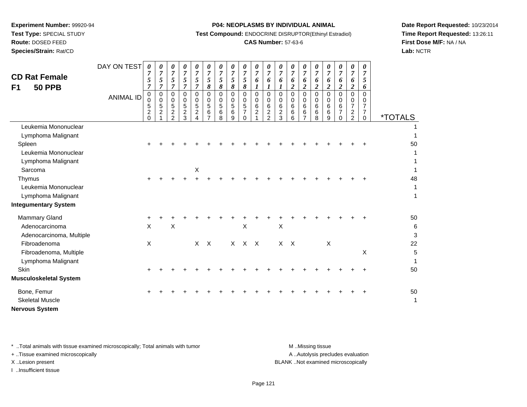**Route:** DOSED FEED

#### **Species/Strain:** Rat/CD

#### **P04: NEOPLASMS BY INDIVIDUAL ANIMAL**

**Test Compound:** ENDOCRINE DISRUPTOR(Ethinyl Estradiol)

## **CAS Number:** 57-63-6

**Date Report Requested:** 10/23/2014**Time Report Requested:** 13:26:11**First Dose M/F:** NA / NA**Lab:** NCTR

| <b>CD Rat Female</b><br><b>50 PPB</b><br>F <sub>1</sub> | DAY ON TEST<br><b>ANIMAL ID</b> | 0<br>7<br>5<br>7<br>0<br>0<br>5<br>$\overline{c}$<br>$\Omega$ | 0<br>$\overline{7}$<br>5<br>7<br>0<br>0<br>$\mathbf 5$<br>$\boldsymbol{2}$ | 0<br>$\overline{7}$<br>5<br>7<br>$\Omega$<br>0<br>$\sqrt{5}$<br>$\overline{\mathbf{c}}$<br>$\overline{2}$ | 0<br>$\overline{7}$<br>5<br>$\overline{7}$<br>$\Omega$<br>0<br>5<br>$\boldsymbol{2}$<br>3 | 0<br>$\overline{7}$<br>5<br>$\Omega$<br>0<br>5<br>$\overline{c}$<br>$\boldsymbol{\Lambda}$ | 0<br>7<br>5<br>8<br>$\Omega$<br>0<br>5<br>6 | 0<br>$\overline{7}$<br>$\mathfrak{s}$<br>8<br>$\mathbf 0$<br>0<br>$\sqrt{5}$<br>6<br>8 | 0<br>$\overline{7}$<br>5<br>8<br>$\Omega$<br>0<br>5<br>6<br>9 | 0<br>$\overline{7}$<br>5<br>8<br>$\Omega$<br>$\mathbf 0$<br>5<br>$\overline{7}$<br>$\Omega$ | 0<br>$\overline{7}$<br>6<br>$\Omega$<br>0<br>6<br>$\overline{c}$ | 0<br>$\overline{7}$<br>6<br>1<br>$\Omega$<br>0<br>6<br>$\boldsymbol{2}$<br>$\overline{2}$ | 0<br>$\overline{7}$<br>6<br>$\Omega$<br>0<br>6<br>$\overline{c}$<br>3 | 0<br>$\overline{7}$<br>6<br>$\overline{\mathbf{2}}$<br>$\Omega$<br>0<br>6<br>6<br>6 | 0<br>$\overline{7}$<br>6<br>$\boldsymbol{2}$<br>$\Omega$<br>$\mathbf 0$<br>6<br>6<br>7 | 0<br>$\overline{7}$<br>6<br>$\boldsymbol{2}$<br>$\Omega$<br>0<br>6<br>6<br>8 | 0<br>7<br>6<br>2<br>$\Omega$<br>0<br>6<br>6<br>9 | 0<br>$\overline{7}$<br>6<br>2<br>$\Omega$<br>0<br>6<br>$\overline{7}$<br>$\Omega$ | 0<br>$\overline{7}$<br>6<br>$\boldsymbol{2}$<br>$\Omega$<br>0<br>7<br>$\overline{c}$<br>$\overline{2}$ | $\boldsymbol{\theta}$<br>$\overline{7}$<br>5<br>6<br>$\Omega$<br>0<br>7<br>$\overline{7}$<br>$\mathbf 0$ | <i><b>*TOTALS</b></i> |
|---------------------------------------------------------|---------------------------------|---------------------------------------------------------------|----------------------------------------------------------------------------|-----------------------------------------------------------------------------------------------------------|-------------------------------------------------------------------------------------------|--------------------------------------------------------------------------------------------|---------------------------------------------|----------------------------------------------------------------------------------------|---------------------------------------------------------------|---------------------------------------------------------------------------------------------|------------------------------------------------------------------|-------------------------------------------------------------------------------------------|-----------------------------------------------------------------------|-------------------------------------------------------------------------------------|----------------------------------------------------------------------------------------|------------------------------------------------------------------------------|--------------------------------------------------|-----------------------------------------------------------------------------------|--------------------------------------------------------------------------------------------------------|----------------------------------------------------------------------------------------------------------|-----------------------|
| Leukemia Mononuclear                                    |                                 |                                                               |                                                                            |                                                                                                           |                                                                                           |                                                                                            |                                             |                                                                                        |                                                               |                                                                                             |                                                                  |                                                                                           |                                                                       |                                                                                     |                                                                                        |                                                                              |                                                  |                                                                                   |                                                                                                        |                                                                                                          |                       |
| Lymphoma Malignant                                      |                                 |                                                               |                                                                            |                                                                                                           |                                                                                           |                                                                                            |                                             |                                                                                        |                                                               |                                                                                             |                                                                  |                                                                                           |                                                                       |                                                                                     |                                                                                        |                                                                              |                                                  |                                                                                   |                                                                                                        |                                                                                                          |                       |
| Spleen                                                  |                                 | $\pm$                                                         |                                                                            |                                                                                                           |                                                                                           |                                                                                            |                                             |                                                                                        |                                                               |                                                                                             |                                                                  |                                                                                           |                                                                       |                                                                                     |                                                                                        |                                                                              |                                                  |                                                                                   |                                                                                                        | $\ddot{}$                                                                                                | 50                    |
| Leukemia Mononuclear                                    |                                 |                                                               |                                                                            |                                                                                                           |                                                                                           |                                                                                            |                                             |                                                                                        |                                                               |                                                                                             |                                                                  |                                                                                           |                                                                       |                                                                                     |                                                                                        |                                                                              |                                                  |                                                                                   |                                                                                                        |                                                                                                          |                       |
| Lymphoma Malignant                                      |                                 |                                                               |                                                                            |                                                                                                           |                                                                                           |                                                                                            |                                             |                                                                                        |                                                               |                                                                                             |                                                                  |                                                                                           |                                                                       |                                                                                     |                                                                                        |                                                                              |                                                  |                                                                                   |                                                                                                        |                                                                                                          |                       |
| Sarcoma                                                 |                                 |                                                               |                                                                            |                                                                                                           |                                                                                           | Χ                                                                                          |                                             |                                                                                        |                                                               |                                                                                             |                                                                  |                                                                                           |                                                                       |                                                                                     |                                                                                        |                                                                              |                                                  |                                                                                   |                                                                                                        |                                                                                                          |                       |
| Thymus                                                  |                                 |                                                               |                                                                            |                                                                                                           |                                                                                           |                                                                                            |                                             |                                                                                        |                                                               |                                                                                             |                                                                  |                                                                                           |                                                                       |                                                                                     |                                                                                        |                                                                              |                                                  |                                                                                   |                                                                                                        |                                                                                                          | 48                    |
| Leukemia Mononuclear                                    |                                 |                                                               |                                                                            |                                                                                                           |                                                                                           |                                                                                            |                                             |                                                                                        |                                                               |                                                                                             |                                                                  |                                                                                           |                                                                       |                                                                                     |                                                                                        |                                                                              |                                                  |                                                                                   |                                                                                                        |                                                                                                          | $\mathbf{1}$          |
| Lymphoma Malignant                                      |                                 |                                                               |                                                                            |                                                                                                           |                                                                                           |                                                                                            |                                             |                                                                                        |                                                               |                                                                                             |                                                                  |                                                                                           |                                                                       |                                                                                     |                                                                                        |                                                                              |                                                  |                                                                                   |                                                                                                        |                                                                                                          | 1                     |
| <b>Integumentary System</b>                             |                                 |                                                               |                                                                            |                                                                                                           |                                                                                           |                                                                                            |                                             |                                                                                        |                                                               |                                                                                             |                                                                  |                                                                                           |                                                                       |                                                                                     |                                                                                        |                                                                              |                                                  |                                                                                   |                                                                                                        |                                                                                                          |                       |
| <b>Mammary Gland</b>                                    |                                 | +                                                             |                                                                            |                                                                                                           |                                                                                           |                                                                                            |                                             |                                                                                        |                                                               |                                                                                             |                                                                  |                                                                                           |                                                                       |                                                                                     |                                                                                        |                                                                              |                                                  |                                                                                   |                                                                                                        |                                                                                                          | 50                    |
| Adenocarcinoma                                          |                                 | $\boldsymbol{\mathsf{X}}$                                     |                                                                            | $\pmb{\times}$                                                                                            |                                                                                           |                                                                                            |                                             |                                                                                        |                                                               | X                                                                                           |                                                                  |                                                                                           | $\boldsymbol{\mathsf{X}}$                                             |                                                                                     |                                                                                        |                                                                              |                                                  |                                                                                   |                                                                                                        |                                                                                                          | $\,6$                 |
| Adenocarcinoma, Multiple                                |                                 |                                                               |                                                                            |                                                                                                           |                                                                                           |                                                                                            |                                             |                                                                                        |                                                               |                                                                                             |                                                                  |                                                                                           |                                                                       |                                                                                     |                                                                                        |                                                                              |                                                  |                                                                                   |                                                                                                        |                                                                                                          | 3                     |
| Fibroadenoma                                            |                                 | $\times$                                                      |                                                                            |                                                                                                           |                                                                                           | X                                                                                          | $\mathsf{X}$                                |                                                                                        |                                                               | X X X                                                                                       |                                                                  |                                                                                           | $\mathsf{X}$                                                          | $\mathsf{X}$                                                                        |                                                                                        |                                                                              | X                                                |                                                                                   |                                                                                                        |                                                                                                          | 22                    |
| Fibroadenoma, Multiple                                  |                                 |                                                               |                                                                            |                                                                                                           |                                                                                           |                                                                                            |                                             |                                                                                        |                                                               |                                                                                             |                                                                  |                                                                                           |                                                                       |                                                                                     |                                                                                        |                                                                              |                                                  |                                                                                   |                                                                                                        | $\pmb{\times}$                                                                                           | 5                     |
| Lymphoma Malignant                                      |                                 |                                                               |                                                                            |                                                                                                           |                                                                                           |                                                                                            |                                             |                                                                                        |                                                               |                                                                                             |                                                                  |                                                                                           |                                                                       |                                                                                     |                                                                                        |                                                                              |                                                  |                                                                                   |                                                                                                        |                                                                                                          | 1                     |
| Skin                                                    |                                 | +                                                             |                                                                            |                                                                                                           |                                                                                           |                                                                                            |                                             |                                                                                        |                                                               |                                                                                             |                                                                  |                                                                                           |                                                                       |                                                                                     |                                                                                        |                                                                              |                                                  |                                                                                   |                                                                                                        | $\div$                                                                                                   | 50                    |
| <b>Musculoskeletal System</b>                           |                                 |                                                               |                                                                            |                                                                                                           |                                                                                           |                                                                                            |                                             |                                                                                        |                                                               |                                                                                             |                                                                  |                                                                                           |                                                                       |                                                                                     |                                                                                        |                                                                              |                                                  |                                                                                   |                                                                                                        |                                                                                                          |                       |
| Bone, Femur                                             |                                 |                                                               |                                                                            |                                                                                                           |                                                                                           |                                                                                            |                                             |                                                                                        |                                                               |                                                                                             |                                                                  |                                                                                           |                                                                       |                                                                                     |                                                                                        |                                                                              |                                                  |                                                                                   |                                                                                                        |                                                                                                          | 50                    |
| <b>Skeletal Muscle</b>                                  |                                 |                                                               |                                                                            |                                                                                                           |                                                                                           |                                                                                            |                                             |                                                                                        |                                                               |                                                                                             |                                                                  |                                                                                           |                                                                       |                                                                                     |                                                                                        |                                                                              |                                                  |                                                                                   |                                                                                                        |                                                                                                          | 1                     |
| <b>Nervous System</b>                                   |                                 |                                                               |                                                                            |                                                                                                           |                                                                                           |                                                                                            |                                             |                                                                                        |                                                               |                                                                                             |                                                                  |                                                                                           |                                                                       |                                                                                     |                                                                                        |                                                                              |                                                  |                                                                                   |                                                                                                        |                                                                                                          |                       |

\* ..Total animals with tissue examined microscopically; Total animals with tumor **M** . Missing tissue M ..Missing tissue

+ ..Tissue examined microscopically

I ..Insufficient tissue

A ..Autolysis precludes evaluation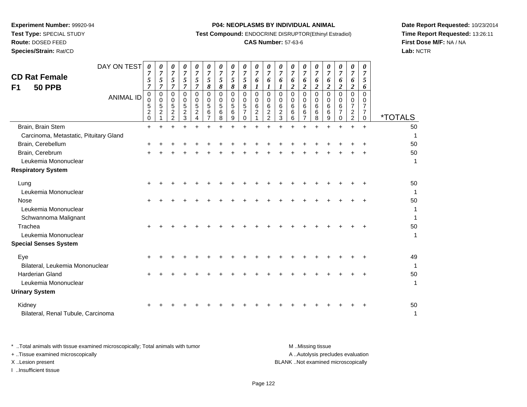**Test Type:** SPECIAL STUDY

**Route:** DOSED FEED

**Species/Strain:** Rat/CD

#### **P04: NEOPLASMS BY INDIVIDUAL ANIMAL**

**Test Compound:** ENDOCRINE DISRUPTOR(Ethinyl Estradiol)

## **CAS Number:** 57-63-6

**Date Report Requested:** 10/23/2014**Time Report Requested:** 13:26:11**First Dose M/F:** NA / NA**Lab:** NCTR

| <b>CD Rat Female</b><br><b>50 PPB</b><br>F <sub>1</sub> | DAY ON TEST<br><b>ANIMAL ID</b> | 0<br>7<br>5<br>0<br>0<br>5<br>$\overline{\mathbf{c}}$<br>0 | 0<br>$\overline{7}$<br>5<br>7<br>0<br>0<br>5<br>$\overline{c}$ | 0<br>$\overline{7}$<br>5<br>7<br>$\mathbf 0$<br>0<br>$\overline{5}$<br>$\overline{c}$<br>$\overline{2}$ | 0<br>$\overline{7}$<br>5<br>7<br>$\Omega$<br>0<br>$\overline{5}$<br>$\overline{c}$<br>$\sqrt{3}$ | 0<br>$\overline{7}$<br>5<br>7<br>$\Omega$<br>0<br>5<br>$\overline{c}$<br>4 | 0<br>$\overline{7}$<br>5<br>8<br>0<br>0<br>5<br>6<br>7 | 0<br>$\overline{7}$<br>5<br>8<br>$\mathbf 0$<br>0<br>5<br>6<br>8 | 0<br>$\overline{7}$<br>5<br>8<br>0<br>0<br>5<br>6<br>9 | 0<br>$\overline{7}$<br>$\mathfrak{s}$<br>8<br>$\mathbf 0$<br>0<br>5<br>$\overline{7}$<br>0 | 0<br>7<br>6<br>1<br>$\Omega$<br>0<br>6<br>$\overline{c}$ | 0<br>7<br>6<br>$\Omega$<br>0<br>6<br>$\overline{2}$<br>$\overline{2}$ | 0<br>$\overline{7}$<br>6<br>$\mathbf 0$<br>0<br>$\,6\,$<br>$\overline{c}$<br>3 | 0<br>$\overline{7}$<br>6<br>$\overline{\mathbf{2}}$<br>$\Omega$<br>0<br>6<br>6<br>6 | 0<br>7<br>6<br>$\overline{\mathbf{2}}$<br>$\Omega$<br>$\Omega$<br>6<br>6<br>7 | 0<br>7<br>6<br>$\overline{2}$<br>$\Omega$<br>0<br>6<br>6<br>8 | 0<br>7<br>6<br>$\overline{2}$<br>$\Omega$<br>0<br>6<br>6<br>9 | 0<br>$\overline{7}$<br>6<br>$\boldsymbol{2}$<br>0<br>0<br>6<br>7<br>0 | 0<br>$\overline{7}$<br>6<br>$\overline{2}$<br>$\Omega$<br>0<br>$\overline{7}$<br>$\overline{\mathbf{c}}$<br>$\overline{2}$ | 0<br>$\overline{7}$<br>5<br>6<br>$\Omega$<br>0<br>$\overline{7}$<br>$\overline{7}$<br>0 | <i><b>*TOTALS</b></i> |
|---------------------------------------------------------|---------------------------------|------------------------------------------------------------|----------------------------------------------------------------|---------------------------------------------------------------------------------------------------------|--------------------------------------------------------------------------------------------------|----------------------------------------------------------------------------|--------------------------------------------------------|------------------------------------------------------------------|--------------------------------------------------------|--------------------------------------------------------------------------------------------|----------------------------------------------------------|-----------------------------------------------------------------------|--------------------------------------------------------------------------------|-------------------------------------------------------------------------------------|-------------------------------------------------------------------------------|---------------------------------------------------------------|---------------------------------------------------------------|-----------------------------------------------------------------------|----------------------------------------------------------------------------------------------------------------------------|-----------------------------------------------------------------------------------------|-----------------------|
| Brain, Brain Stem                                       |                                 | $\ddot{}$                                                  |                                                                |                                                                                                         |                                                                                                  |                                                                            |                                                        | +                                                                |                                                        |                                                                                            |                                                          |                                                                       |                                                                                |                                                                                     |                                                                               |                                                               | $\ddot{}$                                                     | $\ddot{}$                                                             | $\pm$                                                                                                                      | $\ddot{}$                                                                               | 50                    |
| Carcinoma, Metastatic, Pituitary Gland                  |                                 |                                                            |                                                                |                                                                                                         |                                                                                                  |                                                                            |                                                        |                                                                  |                                                        |                                                                                            |                                                          |                                                                       |                                                                                |                                                                                     |                                                                               |                                                               |                                                               |                                                                       |                                                                                                                            |                                                                                         | 1                     |
| Brain, Cerebellum                                       |                                 |                                                            |                                                                |                                                                                                         |                                                                                                  |                                                                            |                                                        |                                                                  |                                                        |                                                                                            |                                                          |                                                                       |                                                                                |                                                                                     |                                                                               |                                                               |                                                               |                                                                       |                                                                                                                            |                                                                                         | 50                    |
| Brain, Cerebrum                                         |                                 |                                                            |                                                                |                                                                                                         |                                                                                                  |                                                                            |                                                        |                                                                  |                                                        |                                                                                            |                                                          |                                                                       |                                                                                |                                                                                     |                                                                               |                                                               |                                                               |                                                                       |                                                                                                                            | $\ddot{}$                                                                               | 50                    |
| Leukemia Mononuclear                                    |                                 |                                                            |                                                                |                                                                                                         |                                                                                                  |                                                                            |                                                        |                                                                  |                                                        |                                                                                            |                                                          |                                                                       |                                                                                |                                                                                     |                                                                               |                                                               |                                                               |                                                                       |                                                                                                                            |                                                                                         | $\mathbf 1$           |
| <b>Respiratory System</b>                               |                                 |                                                            |                                                                |                                                                                                         |                                                                                                  |                                                                            |                                                        |                                                                  |                                                        |                                                                                            |                                                          |                                                                       |                                                                                |                                                                                     |                                                                               |                                                               |                                                               |                                                                       |                                                                                                                            |                                                                                         |                       |
| Lung<br>Leukemia Mononuclear                            |                                 | $\ddot{}$                                                  |                                                                |                                                                                                         |                                                                                                  |                                                                            |                                                        |                                                                  |                                                        |                                                                                            |                                                          |                                                                       |                                                                                |                                                                                     |                                                                               |                                                               |                                                               |                                                                       |                                                                                                                            |                                                                                         | 50<br>1               |
| Nose<br>Leukemia Mononuclear<br>Schwannoma Malignant    |                                 |                                                            |                                                                |                                                                                                         |                                                                                                  |                                                                            |                                                        |                                                                  |                                                        |                                                                                            |                                                          |                                                                       |                                                                                |                                                                                     |                                                                               |                                                               |                                                               |                                                                       |                                                                                                                            |                                                                                         | 50<br>1<br>1          |
| Trachea<br>Leukemia Mononuclear                         |                                 |                                                            |                                                                |                                                                                                         |                                                                                                  |                                                                            |                                                        |                                                                  |                                                        |                                                                                            |                                                          |                                                                       |                                                                                |                                                                                     |                                                                               |                                                               |                                                               |                                                                       |                                                                                                                            |                                                                                         | 50<br>$\mathbf 1$     |
| <b>Special Senses System</b>                            |                                 |                                                            |                                                                |                                                                                                         |                                                                                                  |                                                                            |                                                        |                                                                  |                                                        |                                                                                            |                                                          |                                                                       |                                                                                |                                                                                     |                                                                               |                                                               |                                                               |                                                                       |                                                                                                                            |                                                                                         |                       |
| Eye<br>Bilateral, Leukemia Mononuclear                  |                                 |                                                            |                                                                |                                                                                                         |                                                                                                  |                                                                            |                                                        |                                                                  |                                                        |                                                                                            |                                                          |                                                                       |                                                                                |                                                                                     |                                                                               |                                                               |                                                               |                                                                       |                                                                                                                            |                                                                                         | 49<br>1               |
| <b>Harderian Gland</b><br>Leukemia Mononuclear          |                                 |                                                            |                                                                |                                                                                                         |                                                                                                  |                                                                            |                                                        |                                                                  |                                                        |                                                                                            |                                                          |                                                                       |                                                                                |                                                                                     |                                                                               |                                                               |                                                               |                                                                       |                                                                                                                            |                                                                                         | 50                    |
| <b>Urinary System</b>                                   |                                 |                                                            |                                                                |                                                                                                         |                                                                                                  |                                                                            |                                                        |                                                                  |                                                        |                                                                                            |                                                          |                                                                       |                                                                                |                                                                                     |                                                                               |                                                               |                                                               |                                                                       |                                                                                                                            |                                                                                         | $\mathbf 1$           |
|                                                         |                                 |                                                            |                                                                |                                                                                                         |                                                                                                  |                                                                            |                                                        |                                                                  |                                                        |                                                                                            |                                                          |                                                                       |                                                                                |                                                                                     |                                                                               |                                                               |                                                               |                                                                       |                                                                                                                            |                                                                                         |                       |
| Kidney<br>Bilateral, Renal Tubule, Carcinoma            |                                 |                                                            |                                                                |                                                                                                         |                                                                                                  |                                                                            |                                                        |                                                                  |                                                        |                                                                                            |                                                          |                                                                       |                                                                                |                                                                                     |                                                                               |                                                               |                                                               |                                                                       |                                                                                                                            |                                                                                         | 50<br>1               |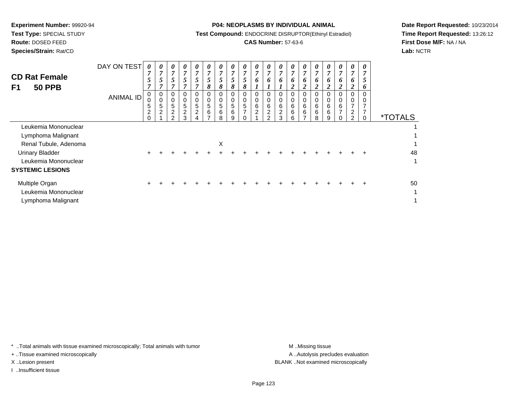**Route:** DOSED FEED

**Species/Strain:** Rat/CD

#### **P04: NEOPLASMS BY INDIVIDUAL ANIMAL**

**Test Compound:** ENDOCRINE DISRUPTOR(Ethinyl Estradiol)

## **CAS Number:** 57-63-6

**Date Report Requested:** 10/23/2014**Time Report Requested:** 13:26:12**First Dose M/F:** NA / NA**Lab:** NCTR

| <b>CD Rat Female</b><br><b>50 PPB</b><br>F <sub>1</sub>                                                                                          | DAY ON TEST<br><b>ANIMAL ID</b> | 0<br>7<br>5<br>7<br>$\mathbf 0$<br>0<br>5<br>$\overline{c}$ | $\boldsymbol{\theta}$<br>7<br>5<br>7<br>0<br>$\pmb{0}$<br>5<br>$\overline{c}$ | 0<br>$\overline{ }$<br>5<br>0<br>0<br>5<br>$\overline{c}$<br>$\mathcal{P}$ | $\boldsymbol{\theta}$<br>$\overline{7}$<br>$5\overline{)}$<br>$\mathbf{z}$<br>0<br>0<br>5<br>$\boldsymbol{2}$<br>3 | 0<br>$\overline{7}$<br>5<br>7<br>0<br>$\,0\,$<br>$\sqrt{5}$<br>$\overline{c}$<br>4 | 0<br>$\overline{7}$<br>5<br>8<br>0<br>$\pmb{0}$<br>5<br>6 | $\boldsymbol{\theta}$<br>$\overline{ }$<br>5<br>8<br>0<br>0<br>$\mathbf 5$<br>6<br>8 | $\boldsymbol{\theta}$<br>5<br>8<br>0<br>0<br>5<br>6<br>9 | $\boldsymbol{\theta}$<br>$\overline{7}$<br>5<br>8<br>$\mathbf 0$<br>$\mathbf 0$<br>$\mathbf 5$<br>$\overline{7}$ | $\boldsymbol{\theta}$<br>$\overline{7}$<br>6<br>$\mathbf 0$<br>$\pmb{0}$<br>$\,6\,$<br>$\overline{c}$ | $\boldsymbol{\theta}$<br>$\overline{ }$<br>6<br>0<br>0<br>6<br>$\boldsymbol{2}$<br>$\mathcal{P}$ | 0<br>$\overline{ }$<br>6<br>0<br>0<br>6<br>$\overline{\mathbf{c}}$<br>3 | $\boldsymbol{\theta}$<br>7<br>6<br>2<br>0<br>$\mathbf 0$<br>$\,6\,$<br>6<br>6 | $\boldsymbol{\theta}$<br>7<br>6<br>$\overline{c}$<br>0<br>0<br>6<br>6<br>$\overline{ }$ | 0<br>$\overline{7}$<br>6<br>$\boldsymbol{2}$<br>0<br>$\pmb{0}$<br>$\,6$<br>$\,6$<br>8 | $\boldsymbol{\theta}$<br>$\overline{7}$<br>6<br>2<br>0<br>0<br>6<br>6<br>9 | 0<br>7<br>6<br>$\overline{2}$<br>0<br>0<br>6<br>$\overline{ }$ | $\boldsymbol{\theta}$<br>7<br>6<br>$\overline{2}$<br>0<br>$\overline{7}$<br>$\overline{2}$<br>2 | 0<br>7<br>5<br>6<br>$\Omega$<br>0<br>7<br>$\overline{\phantom{a}}$ | <i><b>*TOTALS</b></i>   |
|--------------------------------------------------------------------------------------------------------------------------------------------------|---------------------------------|-------------------------------------------------------------|-------------------------------------------------------------------------------|----------------------------------------------------------------------------|--------------------------------------------------------------------------------------------------------------------|------------------------------------------------------------------------------------|-----------------------------------------------------------|--------------------------------------------------------------------------------------|----------------------------------------------------------|------------------------------------------------------------------------------------------------------------------|-------------------------------------------------------------------------------------------------------|--------------------------------------------------------------------------------------------------|-------------------------------------------------------------------------|-------------------------------------------------------------------------------|-----------------------------------------------------------------------------------------|---------------------------------------------------------------------------------------|----------------------------------------------------------------------------|----------------------------------------------------------------|-------------------------------------------------------------------------------------------------|--------------------------------------------------------------------|-------------------------|
| Leukemia Mononuclear<br>Lymphoma Malignant<br>Renal Tubule, Adenoma<br><b>Urinary Bladder</b><br>Leukemia Mononuclear<br><b>SYSTEMIC LESIONS</b> |                                 | $\div$                                                      |                                                                               |                                                                            |                                                                                                                    |                                                                                    |                                                           | X                                                                                    |                                                          |                                                                                                                  |                                                                                                       |                                                                                                  |                                                                         |                                                                               |                                                                                         |                                                                                       |                                                                            |                                                                |                                                                                                 |                                                                    | 48<br>1                 |
| Multiple Organ<br>Leukemia Mononuclear<br>Lymphoma Malignant                                                                                     |                                 | $\pm$                                                       |                                                                               |                                                                            |                                                                                                                    |                                                                                    |                                                           |                                                                                      |                                                          |                                                                                                                  |                                                                                                       |                                                                                                  |                                                                         |                                                                               |                                                                                         |                                                                                       |                                                                            |                                                                |                                                                                                 |                                                                    | 50<br>1<br>$\mathbf{1}$ |

\* ..Total animals with tissue examined microscopically; Total animals with tumor **M** . Missing tissue M ..Missing tissue

+ ..Tissue examined microscopically

I ..Insufficient tissue

A ..Autolysis precludes evaluation X ..Lesion present BLANK ..Not examined microscopically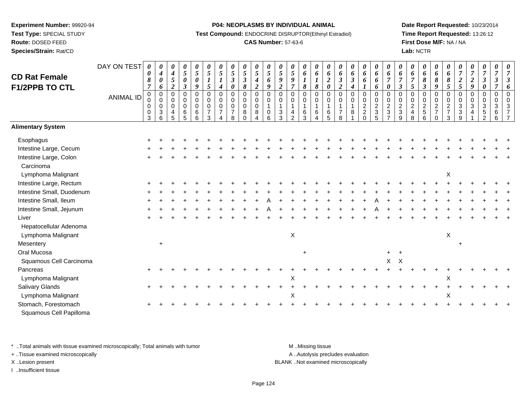**Route:** DOSED FEED

**Species/Strain:** Rat/CD

#### **P04: NEOPLASMS BY INDIVIDUAL ANIMAL**

**Test Compound:** ENDOCRINE DISRUPTOR(Ethinyl Estradiol)

## **CAS Number:** 57-63-6

**Date Report Requested:** 10/23/2014**Time Report Requested:** 13:26:12**First Dose M/F:** NA / NA**Lab:** NCTR

| <b>CD Rat Female</b><br><b>F1/2PPB TO CTL</b>   | DAY ON TEST      | 0<br>$\boldsymbol{\theta}$<br>8<br>7             | 0<br>$\boldsymbol{4}$<br>0<br>6 | 0<br>$\boldsymbol{4}$<br>5<br>$\boldsymbol{2}$ | 0<br>5<br>$\boldsymbol{\theta}$<br>$\boldsymbol{\beta}$ | 0<br>$\sqrt{5}$<br>0<br>9                 | $\pmb{\theta}$<br>$\sqrt{5}$<br>$\boldsymbol{l}$<br>5        | 0<br>5<br>1<br>4                                  | 0<br>$\mathfrak{s}$<br>$\mathfrak{z}$<br>$\boldsymbol{\theta}$   | 0<br>5<br>$\mathbf{3}$<br>8                  | 0<br>$\mathfrak{s}$<br>$\boldsymbol{4}$<br>$\overline{2}$  | 0<br>$\mathfrak{z}$<br>6<br>9                        | 0<br>5<br>9<br>$\boldsymbol{2}$                           | 0<br>$\mathfrak{s}$<br>9<br>$\overline{7}$        | 0<br>6<br>$\boldsymbol{l}$<br>8          | 0<br>6<br>1<br>8                                         | 0<br>6<br>$\boldsymbol{2}$<br>$\boldsymbol{\theta}$ | 0<br>6<br>$\boldsymbol{\beta}$<br>$\boldsymbol{2}$     | 0<br>6<br>3<br>4      | $\pmb{\theta}$<br>6<br>6                                               | 0<br>6<br>6<br>6                                                         | $\boldsymbol{\theta}$<br>6<br>$\overline{7}$<br>$\boldsymbol{\theta}$     | 0<br>6<br>$\boldsymbol{\beta}$                                      | $\pmb{\theta}$<br>$\pmb{6}$<br>$\overline{7}$<br>5            | 0<br>6<br>8<br>$\boldsymbol{\beta}$                               | 0<br>6<br>8<br>9                                                       | 0<br>6<br>8<br>5                                                   | 0<br>$\overline{7}$<br>$\overline{\mathbf{c}}$<br>5                     | 0<br>$\overline{7}$<br>$\boldsymbol{2}$<br>9 | $\boldsymbol{\theta}$<br>$\overline{7}$<br>$\boldsymbol{\beta}$<br>$\boldsymbol{\theta}$ | 0<br>$\overline{7}$<br>3               | 7<br>6               |
|-------------------------------------------------|------------------|--------------------------------------------------|---------------------------------|------------------------------------------------|---------------------------------------------------------|-------------------------------------------|--------------------------------------------------------------|---------------------------------------------------|------------------------------------------------------------------|----------------------------------------------|------------------------------------------------------------|------------------------------------------------------|-----------------------------------------------------------|---------------------------------------------------|------------------------------------------|----------------------------------------------------------|-----------------------------------------------------|--------------------------------------------------------|-----------------------|------------------------------------------------------------------------|--------------------------------------------------------------------------|---------------------------------------------------------------------------|---------------------------------------------------------------------|---------------------------------------------------------------|-------------------------------------------------------------------|------------------------------------------------------------------------|--------------------------------------------------------------------|-------------------------------------------------------------------------|----------------------------------------------|------------------------------------------------------------------------------------------|----------------------------------------|----------------------|
|                                                 | <b>ANIMAL ID</b> | 0<br>$\Omega$<br>$\mathbf 0$<br>$\mathbf 0$<br>3 | 0<br>0<br>$\mathbf 0$<br>3<br>6 | 0<br>0<br>$\Omega$<br>$\overline{4}$<br>5      | $\mathbf 0$<br>$\mathbf 0$<br>$\Omega$<br>6<br>5        | $\mathbf 0$<br>0<br>$\mathbf 0$<br>6<br>6 | $\mathbf 0$<br>$\pmb{0}$<br>$\pmb{0}$<br>$\overline{7}$<br>3 | $\mathbf 0$<br>$\mathbf 0$<br>0<br>$\overline{7}$ | $\mathbf 0$<br>$\mathbf 0$<br>$\mathbf 0$<br>$\overline{7}$<br>8 | 0<br>0<br>$\mathbf 0$<br>$\bf 8$<br>$\Omega$ | $\pmb{0}$<br>$\pmb{0}$<br>$\pmb{0}$<br>8<br>$\overline{4}$ | $\mathbf 0$<br>$\mathsf 0$<br>$\mathbf{1}$<br>0<br>6 | $\Omega$<br>$\mathbf 0$<br>$\ensuremath{\mathsf{3}}$<br>3 | $\mathbf 0$<br>$\mathbf 0$<br>4<br>$\mathfrak{D}$ | 0<br>$\mathsf{O}\xspace$<br>$\,6\,$<br>3 | $\mathbf 0$<br>$\pmb{0}$<br>$\mathbf{1}$<br>$\,6\,$<br>4 | $\Omega$<br>$\mathbf 0$<br>6<br>5                   | $\mathbf 0$<br>$\mathbf 0$<br>1<br>$\overline{7}$<br>8 | $\mathbf 0$<br>0<br>8 | $\pmb{0}$<br>$\pmb{0}$<br>$\overline{c}$<br>$\overline{c}$<br>$\Omega$ | $\mathbf 0$<br>$\pmb{0}$<br>$\sqrt{2}$<br>$\ensuremath{\mathsf{3}}$<br>5 | $\mathbf 0$<br>$\pmb{0}$<br>$\boldsymbol{2}$<br>$\ensuremath{\mathsf{3}}$ | $\Omega$<br>$\mathbf 0$<br>$\sqrt{2}$<br>$\sqrt{3}$<br>$\mathsf{Q}$ | $\mathbf 0$<br>$\pmb{0}$<br>$\sqrt{2}$<br>$\overline{4}$<br>8 | $\mathbf 0$<br>$\mathbf 0$<br>$\boldsymbol{2}$<br>$\sqrt{5}$<br>6 | $\Omega$<br>0<br>$\overline{\mathbf{c}}$<br>$\overline{7}$<br>$\Omega$ | $\Omega$<br>$\mathbf 0$<br>$\boldsymbol{2}$<br>$\overline{7}$<br>3 | $\Omega$<br>$\mathbf 0$<br>$\sqrt{3}$<br>$\ensuremath{\mathsf{3}}$<br>9 | $\Omega$<br>$\overline{0}$<br>3<br>4         | $\Omega$<br>$\mathbf 0$<br>$\mathbf{3}$<br>$\sqrt{5}$<br>$\overline{2}$                  | $\mathbf 0$<br>$\Omega$<br>3<br>6<br>6 | $\Omega$<br>$\Omega$ |
| <b>Alimentary System</b>                        |                  |                                                  |                                 |                                                |                                                         |                                           |                                                              |                                                   |                                                                  |                                              |                                                            |                                                      |                                                           |                                                   |                                          |                                                          |                                                     |                                                        |                       |                                                                        |                                                                          |                                                                           |                                                                     |                                                               |                                                                   |                                                                        |                                                                    |                                                                         |                                              |                                                                                          |                                        |                      |
| Esophagus                                       |                  |                                                  |                                 |                                                |                                                         |                                           |                                                              |                                                   |                                                                  |                                              |                                                            |                                                      |                                                           |                                                   |                                          |                                                          |                                                     |                                                        |                       |                                                                        |                                                                          |                                                                           |                                                                     |                                                               |                                                                   |                                                                        |                                                                    |                                                                         |                                              |                                                                                          |                                        |                      |
| Intestine Large, Cecum                          |                  |                                                  |                                 |                                                |                                                         |                                           |                                                              |                                                   |                                                                  |                                              |                                                            |                                                      |                                                           |                                                   |                                          |                                                          |                                                     |                                                        |                       |                                                                        |                                                                          |                                                                           |                                                                     |                                                               |                                                                   |                                                                        |                                                                    |                                                                         |                                              |                                                                                          |                                        |                      |
| Intestine Large, Colon                          |                  |                                                  |                                 |                                                |                                                         |                                           |                                                              |                                                   |                                                                  |                                              |                                                            |                                                      |                                                           |                                                   |                                          |                                                          |                                                     |                                                        |                       |                                                                        |                                                                          |                                                                           |                                                                     |                                                               |                                                                   |                                                                        |                                                                    |                                                                         |                                              |                                                                                          |                                        |                      |
| Carcinoma<br>Lymphoma Malignant                 |                  |                                                  |                                 |                                                |                                                         |                                           |                                                              |                                                   |                                                                  |                                              |                                                            |                                                      |                                                           |                                                   |                                          |                                                          |                                                     |                                                        |                       |                                                                        |                                                                          |                                                                           |                                                                     |                                                               |                                                                   |                                                                        | X                                                                  |                                                                         |                                              |                                                                                          |                                        |                      |
| Intestine Large, Rectum                         |                  |                                                  |                                 |                                                |                                                         |                                           |                                                              |                                                   |                                                                  |                                              |                                                            |                                                      |                                                           |                                                   |                                          |                                                          |                                                     |                                                        |                       |                                                                        |                                                                          |                                                                           |                                                                     |                                                               |                                                                   |                                                                        |                                                                    |                                                                         |                                              |                                                                                          |                                        |                      |
| Intestine Small, Duodenum                       |                  |                                                  |                                 |                                                |                                                         |                                           |                                                              |                                                   |                                                                  |                                              |                                                            |                                                      |                                                           |                                                   |                                          |                                                          |                                                     |                                                        |                       |                                                                        |                                                                          |                                                                           |                                                                     |                                                               |                                                                   |                                                                        |                                                                    |                                                                         |                                              |                                                                                          |                                        |                      |
| Intestine Small, Ileum                          |                  |                                                  |                                 |                                                |                                                         |                                           |                                                              |                                                   |                                                                  |                                              |                                                            |                                                      |                                                           |                                                   |                                          |                                                          |                                                     |                                                        |                       |                                                                        |                                                                          |                                                                           |                                                                     |                                                               |                                                                   |                                                                        |                                                                    |                                                                         |                                              |                                                                                          |                                        |                      |
| Intestine Small, Jejunum                        |                  |                                                  |                                 |                                                |                                                         |                                           |                                                              |                                                   |                                                                  |                                              |                                                            |                                                      |                                                           |                                                   |                                          |                                                          |                                                     |                                                        |                       |                                                                        |                                                                          |                                                                           |                                                                     |                                                               |                                                                   |                                                                        |                                                                    |                                                                         |                                              |                                                                                          |                                        |                      |
| Liver                                           |                  |                                                  |                                 |                                                |                                                         |                                           |                                                              |                                                   |                                                                  |                                              |                                                            |                                                      |                                                           |                                                   |                                          |                                                          |                                                     |                                                        |                       |                                                                        |                                                                          |                                                                           |                                                                     |                                                               |                                                                   |                                                                        |                                                                    |                                                                         |                                              |                                                                                          |                                        |                      |
| Hepatocellular Adenoma<br>Lymphoma Malignant    |                  |                                                  |                                 |                                                |                                                         |                                           |                                                              |                                                   |                                                                  |                                              |                                                            |                                                      |                                                           | $\pmb{\times}$                                    |                                          |                                                          |                                                     |                                                        |                       |                                                                        |                                                                          |                                                                           |                                                                     |                                                               |                                                                   |                                                                        | $\boldsymbol{\mathsf{X}}$                                          |                                                                         |                                              |                                                                                          |                                        |                      |
| Mesentery                                       |                  |                                                  | $\ddot{}$                       |                                                |                                                         |                                           |                                                              |                                                   |                                                                  |                                              |                                                            |                                                      |                                                           |                                                   |                                          |                                                          |                                                     |                                                        |                       |                                                                        |                                                                          |                                                                           |                                                                     |                                                               |                                                                   |                                                                        |                                                                    | $\ddot{}$                                                               |                                              |                                                                                          |                                        |                      |
| Oral Mucosa                                     |                  |                                                  |                                 |                                                |                                                         |                                           |                                                              |                                                   |                                                                  |                                              |                                                            |                                                      |                                                           |                                                   |                                          |                                                          |                                                     |                                                        |                       |                                                                        |                                                                          |                                                                           |                                                                     |                                                               |                                                                   |                                                                        |                                                                    |                                                                         |                                              |                                                                                          |                                        |                      |
| Squamous Cell Carcinoma                         |                  |                                                  |                                 |                                                |                                                         |                                           |                                                              |                                                   |                                                                  |                                              |                                                            |                                                      |                                                           |                                                   |                                          |                                                          |                                                     |                                                        |                       |                                                                        |                                                                          | $\mathsf{X}$                                                              | $\times$                                                            |                                                               |                                                                   |                                                                        |                                                                    |                                                                         |                                              |                                                                                          |                                        |                      |
| Pancreas<br>Lymphoma Malignant                  |                  |                                                  |                                 |                                                |                                                         |                                           |                                                              |                                                   |                                                                  |                                              |                                                            |                                                      |                                                           | X                                                 |                                          |                                                          |                                                     |                                                        |                       |                                                                        |                                                                          |                                                                           |                                                                     |                                                               |                                                                   |                                                                        | X                                                                  |                                                                         |                                              |                                                                                          |                                        |                      |
| <b>Salivary Glands</b>                          |                  |                                                  |                                 |                                                |                                                         |                                           |                                                              |                                                   |                                                                  |                                              |                                                            |                                                      |                                                           |                                                   |                                          |                                                          |                                                     |                                                        |                       |                                                                        |                                                                          |                                                                           |                                                                     |                                                               |                                                                   |                                                                        |                                                                    |                                                                         |                                              |                                                                                          |                                        |                      |
| Lymphoma Malignant                              |                  |                                                  |                                 |                                                |                                                         |                                           |                                                              |                                                   |                                                                  |                                              |                                                            |                                                      |                                                           | $\sf X$                                           |                                          |                                                          |                                                     |                                                        |                       |                                                                        |                                                                          |                                                                           |                                                                     |                                                               |                                                                   |                                                                        | X                                                                  |                                                                         |                                              |                                                                                          |                                        |                      |
| Stomach, Forestomach<br>Squamous Cell Papilloma |                  |                                                  |                                 |                                                |                                                         |                                           |                                                              |                                                   |                                                                  |                                              |                                                            |                                                      |                                                           |                                                   |                                          |                                                          |                                                     |                                                        |                       |                                                                        |                                                                          |                                                                           |                                                                     |                                                               |                                                                   |                                                                        |                                                                    |                                                                         |                                              |                                                                                          |                                        |                      |

\* ..Total animals with tissue examined microscopically; Total animals with tumor **M** . Missing tissue M ..Missing tissue

+ ..Tissue examined microscopically

I ..Insufficient tissue

A ..Autolysis precludes evaluation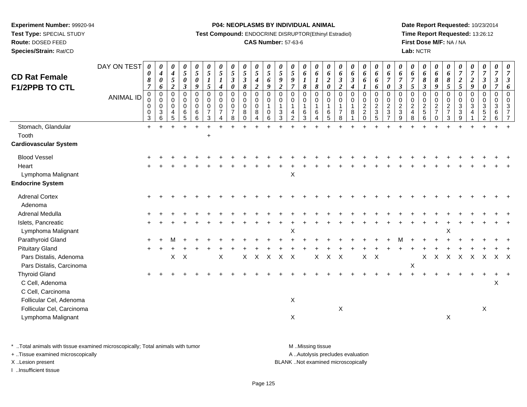**Route:** DOSED FEED

**Species/Strain:** Rat/CD

#### **P04: NEOPLASMS BY INDIVIDUAL ANIMAL**

**Test Compound:** ENDOCRINE DISRUPTOR(Ethinyl Estradiol)

## **CAS Number:** 57-63-6

**Date Report Requested:** 10/23/2014**Time Report Requested:** 13:26:12**First Dose M/F:** NA / NA**Lab:** NCTR

| <b>CD Rat Female</b><br><b>F1/2PPB TO CTL</b>                                 | DAY ON TEST<br>ANIMAL ID | 0<br>0<br>8<br>$\overline{7}$<br>$\Omega$<br>$\mathbf 0$<br>0<br>$\mathbf 0$<br>3 | $\boldsymbol{\theta}$<br>$\boldsymbol{4}$<br>$\boldsymbol{\theta}$<br>6<br>$\mathbf{0}$<br>$\mathbf 0$<br>0<br>$\mathbf{3}$<br>6 | 0<br>$\boldsymbol{4}$<br>5<br>$\boldsymbol{2}$<br>$\Omega$<br>$\mathbf 0$<br>$\mathbf 0$<br>$\overline{4}$<br>5 | 0<br>5<br>$\boldsymbol{\theta}$<br>$\boldsymbol{\beta}$<br>$\Omega$<br>0<br>$\mathbf 0$<br>6<br>5 | 0<br>$\mathfrak{s}$<br>$\boldsymbol{\theta}$<br>9<br>$\Omega$<br>0<br>$\mathbf 0$<br>6<br>6 | 0<br>5<br>5<br>$\Omega$<br>$\,0\,$<br>0<br>$\overline{7}$<br>3 | 0<br>$\mathfrak{s}$<br>$\boldsymbol{4}$<br>$\Omega$<br>0<br>$\mathbf 0$<br>4 | 0<br>$\overline{5}$<br>$\boldsymbol{\beta}$<br>$\boldsymbol{\theta}$<br>$\Omega$<br>$\mathbf 0$<br>$\Omega$<br>$\overline{7}$<br>8 | $\boldsymbol{\theta}$<br>$\mathfrak{s}$<br>$\mathbf{3}$<br>8<br>$\mathbf 0$<br>$\mathbf 0$<br>$\mathbf 0$<br>8<br>$\mathbf 0$ | 0<br>5<br>$\boldsymbol{4}$<br>$\overline{2}$<br>$\Omega$<br>$\mathbf 0$<br>$\mathbf 0$<br>8<br>$\overline{4}$ | $\frac{\theta}{5}$<br>6<br>9<br>$\Omega$<br>0<br>$\mathbf{1}$<br>0<br>6 | 0<br>$\sqrt{5}$<br>9<br>$\overline{2}$<br>$\Omega$<br>$\mathbf 0$<br>$\ensuremath{\mathsf{3}}$<br>3 | 0<br>$\sqrt{5}$<br>9<br>$\overline{7}$<br>$\mathbf{0}$<br>$\mathbf 0$<br>$\overline{4}$<br>$\overline{2}$ | 0<br>6<br>$\boldsymbol{l}$<br>$\pmb{8}$<br>$\Omega$<br>0<br>$\mathbf{1}$<br>6<br>3 | 0<br>6<br>$\boldsymbol{l}$<br>8<br>$\Omega$<br>$\mathbf 0$<br>$\overline{1}$<br>6<br>4 | 0<br>6<br>$\boldsymbol{2}$<br>$\boldsymbol{\theta}$<br>$\Omega$<br>$\mathbf 0$<br>1<br>6<br>5 | 0<br>6<br>$\mathfrak{z}$<br>$\boldsymbol{2}$<br>$\Omega$<br>$\mathbf 0$<br>$\overline{7}$<br>8 | $\boldsymbol{\theta}$<br>6<br>$\boldsymbol{\beta}$<br>$\boldsymbol{4}$<br>$\Omega$<br>$\mathbf 0$<br>8 | 0<br>6<br>6<br>$\boldsymbol{l}$<br>$\mathbf{0}$<br>$\mathbf 0$<br>$\sqrt{2}$<br>$^2_{\rm 0}$ | 0<br>6<br>6<br>6<br>$\Omega$<br>$\mathbf 0$<br>$\sqrt{2}$<br>$\frac{3}{5}$ | 0<br>6<br>$\overline{7}$<br>$\boldsymbol{\theta}$<br>$\Omega$<br>0<br>$\overline{2}$<br>3<br>$\overline{7}$ | 0<br>6<br>$\overline{7}$<br>$\boldsymbol{\beta}$<br>$\Omega$<br>$\mathbf 0$<br>$\overline{c}$<br>$\ensuremath{\mathsf{3}}$<br>9 | 0<br>6<br>$\overline{7}$<br>5<br>$\Omega$<br>$\mathbf 0$<br>$\overline{c}$<br>$\overline{4}$<br>8 | 0<br>6<br>8<br>$\mathfrak{z}$<br>$\Omega$<br>0<br>$\sqrt{2}$<br>$\,$ 5 $\,$<br>6 | 0<br>6<br>8<br>9<br>$\Omega$<br>$\mathbf 0$<br>$\overline{c}$<br>$\overline{7}$<br>$\mathbf 0$ | 0<br>6<br>$\pmb{8}$<br>$5\overline{)}$<br>$\Omega$<br>$\mathbf 0$<br>$\overline{c}$<br>$\overline{7}$<br>3 | $\boldsymbol{\theta}$<br>$\overline{7}$<br>$\boldsymbol{2}$<br>5<br>$\Omega$<br>$\mathbf 0$<br>3<br>3<br>9 | 0<br>$\overline{7}$<br>$\boldsymbol{2}$<br>9<br>$\Omega$<br>0<br>3<br>4 | 0<br>$\boldsymbol{7}$<br>$\boldsymbol{\beta}$<br>$\boldsymbol{\theta}$<br>$\Omega$<br>$\mathbf 0$<br>$\mathbf{3}$<br>5<br>2 | 0<br>$\overline{7}$<br>$\boldsymbol{\beta}$<br>$\overline{7}$<br>$\Omega$<br>$\mathbf 0$<br>3<br>6<br>6 |  |
|-------------------------------------------------------------------------------|--------------------------|-----------------------------------------------------------------------------------|----------------------------------------------------------------------------------------------------------------------------------|-----------------------------------------------------------------------------------------------------------------|---------------------------------------------------------------------------------------------------|---------------------------------------------------------------------------------------------|----------------------------------------------------------------|------------------------------------------------------------------------------|------------------------------------------------------------------------------------------------------------------------------------|-------------------------------------------------------------------------------------------------------------------------------|---------------------------------------------------------------------------------------------------------------|-------------------------------------------------------------------------|-----------------------------------------------------------------------------------------------------|-----------------------------------------------------------------------------------------------------------|------------------------------------------------------------------------------------|----------------------------------------------------------------------------------------|-----------------------------------------------------------------------------------------------|------------------------------------------------------------------------------------------------|--------------------------------------------------------------------------------------------------------|----------------------------------------------------------------------------------------------|----------------------------------------------------------------------------|-------------------------------------------------------------------------------------------------------------|---------------------------------------------------------------------------------------------------------------------------------|---------------------------------------------------------------------------------------------------|----------------------------------------------------------------------------------|------------------------------------------------------------------------------------------------|------------------------------------------------------------------------------------------------------------|------------------------------------------------------------------------------------------------------------|-------------------------------------------------------------------------|-----------------------------------------------------------------------------------------------------------------------------|---------------------------------------------------------------------------------------------------------|--|
| Stomach, Glandular<br>Tooth                                                   |                          | $+$                                                                               | $+$                                                                                                                              |                                                                                                                 | ÷                                                                                                 | $\ddot{}$                                                                                   | $\div$<br>$\ddot{}$                                            |                                                                              |                                                                                                                                    | $\ddot{}$                                                                                                                     |                                                                                                               | $\div$                                                                  |                                                                                                     |                                                                                                           | $\ddot{}$                                                                          |                                                                                        |                                                                                               |                                                                                                |                                                                                                        | ÷                                                                                            | $\ddot{}$                                                                  |                                                                                                             |                                                                                                                                 | $\overline{ }$                                                                                    |                                                                                  |                                                                                                | ÷.                                                                                                         |                                                                                                            |                                                                         |                                                                                                                             |                                                                                                         |  |
| <b>Cardiovascular System</b>                                                  |                          |                                                                                   |                                                                                                                                  |                                                                                                                 |                                                                                                   |                                                                                             |                                                                |                                                                              |                                                                                                                                    |                                                                                                                               |                                                                                                               |                                                                         |                                                                                                     |                                                                                                           |                                                                                    |                                                                                        |                                                                                               |                                                                                                |                                                                                                        |                                                                                              |                                                                            |                                                                                                             |                                                                                                                                 |                                                                                                   |                                                                                  |                                                                                                |                                                                                                            |                                                                                                            |                                                                         |                                                                                                                             |                                                                                                         |  |
| <b>Blood Vessel</b><br>Heart<br>Lymphoma Malignant<br><b>Endocrine System</b> |                          |                                                                                   |                                                                                                                                  |                                                                                                                 |                                                                                                   |                                                                                             |                                                                |                                                                              |                                                                                                                                    |                                                                                                                               |                                                                                                               |                                                                         |                                                                                                     | $\mathsf X$                                                                                               |                                                                                    |                                                                                        |                                                                                               |                                                                                                |                                                                                                        |                                                                                              |                                                                            |                                                                                                             |                                                                                                                                 |                                                                                                   |                                                                                  |                                                                                                |                                                                                                            |                                                                                                            |                                                                         |                                                                                                                             |                                                                                                         |  |
| <b>Adrenal Cortex</b><br>Adenoma                                              |                          |                                                                                   |                                                                                                                                  |                                                                                                                 |                                                                                                   |                                                                                             |                                                                |                                                                              |                                                                                                                                    |                                                                                                                               |                                                                                                               |                                                                         |                                                                                                     |                                                                                                           |                                                                                    |                                                                                        |                                                                                               |                                                                                                |                                                                                                        |                                                                                              |                                                                            |                                                                                                             |                                                                                                                                 |                                                                                                   |                                                                                  |                                                                                                |                                                                                                            |                                                                                                            |                                                                         |                                                                                                                             |                                                                                                         |  |
| <b>Adrenal Medulla</b>                                                        |                          |                                                                                   |                                                                                                                                  |                                                                                                                 |                                                                                                   |                                                                                             |                                                                |                                                                              |                                                                                                                                    |                                                                                                                               |                                                                                                               |                                                                         |                                                                                                     |                                                                                                           |                                                                                    |                                                                                        |                                                                                               |                                                                                                |                                                                                                        |                                                                                              |                                                                            |                                                                                                             |                                                                                                                                 |                                                                                                   |                                                                                  |                                                                                                |                                                                                                            |                                                                                                            |                                                                         |                                                                                                                             |                                                                                                         |  |
| Islets, Pancreatic                                                            |                          |                                                                                   |                                                                                                                                  |                                                                                                                 |                                                                                                   |                                                                                             |                                                                |                                                                              |                                                                                                                                    |                                                                                                                               |                                                                                                               |                                                                         |                                                                                                     |                                                                                                           |                                                                                    |                                                                                        |                                                                                               |                                                                                                |                                                                                                        |                                                                                              |                                                                            |                                                                                                             |                                                                                                                                 |                                                                                                   |                                                                                  |                                                                                                |                                                                                                            |                                                                                                            |                                                                         |                                                                                                                             |                                                                                                         |  |
| Lymphoma Malignant                                                            |                          |                                                                                   |                                                                                                                                  |                                                                                                                 |                                                                                                   |                                                                                             |                                                                |                                                                              |                                                                                                                                    |                                                                                                                               |                                                                                                               |                                                                         |                                                                                                     | $\boldsymbol{\mathsf{X}}$                                                                                 |                                                                                    |                                                                                        |                                                                                               |                                                                                                |                                                                                                        |                                                                                              |                                                                            |                                                                                                             |                                                                                                                                 |                                                                                                   |                                                                                  |                                                                                                | X                                                                                                          |                                                                                                            |                                                                         |                                                                                                                             |                                                                                                         |  |
| Parathyroid Gland                                                             |                          |                                                                                   |                                                                                                                                  |                                                                                                                 |                                                                                                   |                                                                                             |                                                                |                                                                              |                                                                                                                                    |                                                                                                                               |                                                                                                               |                                                                         |                                                                                                     |                                                                                                           |                                                                                    |                                                                                        |                                                                                               |                                                                                                |                                                                                                        |                                                                                              |                                                                            |                                                                                                             |                                                                                                                                 |                                                                                                   |                                                                                  |                                                                                                |                                                                                                            |                                                                                                            |                                                                         |                                                                                                                             |                                                                                                         |  |
| <b>Pituitary Gland</b>                                                        |                          |                                                                                   |                                                                                                                                  |                                                                                                                 |                                                                                                   |                                                                                             |                                                                |                                                                              |                                                                                                                                    |                                                                                                                               |                                                                                                               |                                                                         |                                                                                                     |                                                                                                           |                                                                                    |                                                                                        |                                                                                               |                                                                                                |                                                                                                        |                                                                                              |                                                                            |                                                                                                             |                                                                                                                                 |                                                                                                   |                                                                                  |                                                                                                |                                                                                                            |                                                                                                            |                                                                         |                                                                                                                             |                                                                                                         |  |
| Pars Distalis, Adenoma<br>Pars Distalis, Carcinoma                            |                          |                                                                                   |                                                                                                                                  | X                                                                                                               | $\mathsf{X}$                                                                                      |                                                                                             |                                                                | X                                                                            |                                                                                                                                    | X                                                                                                                             | $\boldsymbol{\mathsf{X}}$                                                                                     | $\sf X$                                                                 |                                                                                                     | $X$ $X$                                                                                                   |                                                                                    | $\times$                                                                               | $\mathsf{X}$                                                                                  | $\mathsf{X}$                                                                                   |                                                                                                        | $X$ $X$                                                                                      |                                                                            |                                                                                                             |                                                                                                                                 | X                                                                                                 | $\times$                                                                         | $\mathsf{X}$                                                                                   | X                                                                                                          | $\mathsf{X}$                                                                                               | $\mathsf{X}$                                                            | $\mathsf{X}$                                                                                                                | X X                                                                                                     |  |
| <b>Thyroid Gland</b><br>C Cell, Adenoma<br>C Cell, Carcinoma                  |                          |                                                                                   |                                                                                                                                  |                                                                                                                 |                                                                                                   |                                                                                             |                                                                |                                                                              |                                                                                                                                    |                                                                                                                               |                                                                                                               |                                                                         |                                                                                                     |                                                                                                           |                                                                                    |                                                                                        |                                                                                               |                                                                                                |                                                                                                        |                                                                                              |                                                                            |                                                                                                             |                                                                                                                                 |                                                                                                   |                                                                                  |                                                                                                |                                                                                                            |                                                                                                            |                                                                         |                                                                                                                             | X                                                                                                       |  |
| Follicular Cel, Adenoma<br>Follicular Cel, Carcinoma                          |                          |                                                                                   |                                                                                                                                  |                                                                                                                 |                                                                                                   |                                                                                             |                                                                |                                                                              |                                                                                                                                    |                                                                                                                               |                                                                                                               |                                                                         |                                                                                                     | $\mathsf X$                                                                                               |                                                                                    |                                                                                        |                                                                                               | $\mathsf X$                                                                                    |                                                                                                        |                                                                                              |                                                                            |                                                                                                             |                                                                                                                                 |                                                                                                   |                                                                                  |                                                                                                |                                                                                                            |                                                                                                            |                                                                         | X                                                                                                                           |                                                                                                         |  |
| Lymphoma Malignant                                                            |                          |                                                                                   |                                                                                                                                  |                                                                                                                 |                                                                                                   |                                                                                             |                                                                |                                                                              |                                                                                                                                    |                                                                                                                               |                                                                                                               |                                                                         |                                                                                                     | X                                                                                                         |                                                                                    |                                                                                        |                                                                                               |                                                                                                |                                                                                                        |                                                                                              |                                                                            |                                                                                                             |                                                                                                                                 |                                                                                                   |                                                                                  |                                                                                                | X                                                                                                          |                                                                                                            |                                                                         |                                                                                                                             |                                                                                                         |  |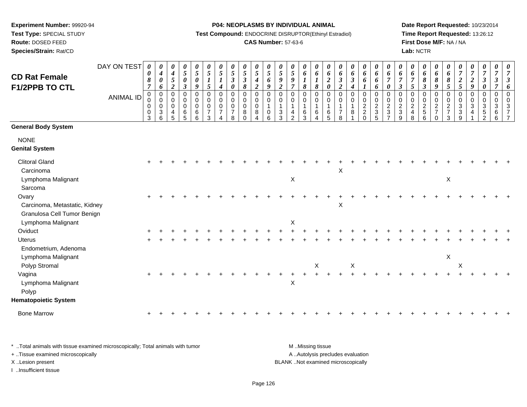**Route:** DOSED FEED

**Species/Strain:** Rat/CD

#### **P04: NEOPLASMS BY INDIVIDUAL ANIMAL**

**Test Compound:** ENDOCRINE DISRUPTOR(Ethinyl Estradiol)

## **CAS Number:** 57-63-6

**Date Report Requested:** 10/23/2014 **Time Report Requested:** 13:26:12**First Dose M/F:** NA / NA**Lab:** NCTR

| <b>CD Rat Female</b>                                                             | DAY ON TEST      | 0<br>$\boldsymbol{\theta}$<br>8<br>$\overline{7}$ | 0<br>$\boldsymbol{4}$<br>$\pmb{\theta}$<br>6               | 0<br>$\boldsymbol{4}$<br>$5\overline{)}$<br>$\boldsymbol{2}$ | $\boldsymbol{\theta}$<br>$\mathfrak{s}$<br>$\pmb{\theta}$<br>$\mathfrak{z}$ | $\boldsymbol{\theta}$<br>$\mathfrak{z}$<br>$\boldsymbol{\theta}$<br>9 | $\boldsymbol{\theta}$<br>$\mathfrak{s}$<br>$\boldsymbol{l}$<br>5 | $\boldsymbol{\theta}$<br>$\overline{5}$<br>$\boldsymbol{l}$<br>$\boldsymbol{4}$ | $\boldsymbol{\theta}$<br>$\overline{5}$<br>$\boldsymbol{\beta}$<br>$\pmb{\theta}$ | $\boldsymbol{\theta}$<br>$\overline{5}$<br>$\mathfrak{z}$<br>8 | 0<br>$\overline{5}$<br>$\boldsymbol{4}$<br>$\boldsymbol{2}$        | $\frac{\theta}{5}$<br>6<br>9               | $\boldsymbol{\theta}$<br>$\sqrt{5}$<br>$\boldsymbol{9}$<br>$\overline{2}$ | 0<br>$\overline{5}$<br>9<br>$\overline{7}$                                   | 0<br>$\pmb{6}$<br>$\boldsymbol{l}$<br>8                               | 0<br>6<br>$\boldsymbol{l}$<br>$\pmb{8}$          | $\boldsymbol{\theta}$<br>6<br>$\overline{\mathbf{c}}$<br>$\boldsymbol{\theta}$ | $\boldsymbol{\theta}$<br>6<br>$\mathfrak{z}$<br>$\boldsymbol{2}$ | $\boldsymbol{\theta}$<br>6<br>$\mathfrak{z}$<br>$\boldsymbol{4}$ | 0<br>6<br>6                                                    | $\boldsymbol{\theta}$<br>6<br>6<br>6                                                        | $\boldsymbol{\theta}$<br>6<br>$\overline{7}$<br>$\boldsymbol{\theta}$ | $\boldsymbol{\theta}$<br>6<br>$\overline{7}$<br>$\mathfrak{z}$  | 0<br>6<br>$\overline{7}$<br>5                            | 0<br>6<br>$\boldsymbol{\delta}$<br>$\boldsymbol{\beta}$                           | $\boldsymbol{\theta}$<br>6<br>8<br>9                                | $\boldsymbol{\theta}$<br>6<br>$\pmb{8}$<br>$\mathfrak{H}$ | 0<br>$\overline{7}$<br>$\boldsymbol{2}$<br>5 | $\boldsymbol{\theta}$<br>$\overline{7}$<br>$\boldsymbol{2}$<br>9 | $\boldsymbol{\theta}$<br>$\overline{7}$<br>$\mathfrak{z}$<br>$\boldsymbol{\theta}$ | 0<br>$\overline{7}$<br>$\boldsymbol{\beta}$<br>$\overline{7}$                        | 0<br>$\overline{7}$<br>$\mathfrak{z}$<br>6     |
|----------------------------------------------------------------------------------|------------------|---------------------------------------------------|------------------------------------------------------------|--------------------------------------------------------------|-----------------------------------------------------------------------------|-----------------------------------------------------------------------|------------------------------------------------------------------|---------------------------------------------------------------------------------|-----------------------------------------------------------------------------------|----------------------------------------------------------------|--------------------------------------------------------------------|--------------------------------------------|---------------------------------------------------------------------------|------------------------------------------------------------------------------|-----------------------------------------------------------------------|--------------------------------------------------|--------------------------------------------------------------------------------|------------------------------------------------------------------|------------------------------------------------------------------|----------------------------------------------------------------|---------------------------------------------------------------------------------------------|-----------------------------------------------------------------------|-----------------------------------------------------------------|----------------------------------------------------------|-----------------------------------------------------------------------------------|---------------------------------------------------------------------|-----------------------------------------------------------|----------------------------------------------|------------------------------------------------------------------|------------------------------------------------------------------------------------|--------------------------------------------------------------------------------------|------------------------------------------------|
| <b>F1/2PPB TO CTL</b>                                                            | <b>ANIMAL ID</b> | 0<br>$\mathbf 0$<br>0<br>$\mathbf 0$<br>3         | $\mathsf{O}\xspace$<br>$\mathbf 0$<br>0<br>$\sqrt{3}$<br>6 | $\pmb{0}$<br>0<br>0<br>4<br>5                                | $\mathbf 0$<br>0<br>$\pmb{0}$<br>$\,6\,$<br>5                               | $\mathbf 0$<br>0<br>$\mathbf 0$<br>6<br>6                             | $\pmb{0}$<br>$\mathbf 0$<br>$\pmb{0}$<br>$\overline{7}$<br>3     | $\mathbf 0$<br>0<br>0<br>$\overline{7}$<br>4                                    | $\mathbf 0$<br>0<br>$\pmb{0}$<br>$\overline{7}$<br>8                              | $\mathbf 0$<br>$\mathbf 0$<br>0<br>8<br>$\Omega$               | $\pmb{0}$<br>0<br>$\mathsf{O}\xspace$<br>$\bf 8$<br>$\overline{4}$ | $\mathsf 0$<br>0<br>$\mathbf{1}$<br>0<br>6 | $\mathbf 0$<br>$\mathbf 0$<br>$\mathbf{1}$<br>$\sqrt{3}$<br>$\mathbf{3}$  | $\pmb{0}$<br>$\mathbf 0$<br>$\mathbf{1}$<br>$\overline{4}$<br>$\mathfrak{p}$ | $\mathbf 0$<br>$\mathbf 0$<br>$\overline{1}$<br>$\,6$<br>$\mathbf{3}$ | $\mathbf 0$<br>0<br>$\mathbf{1}$<br>$\,6\,$<br>4 | $\mathbf 0$<br>0<br>$\mathbf{1}$<br>$6\phantom{1}6$<br>5                       | $\boldsymbol{0}$<br>$\mathbf 0$<br>1<br>$\overline{7}$<br>8      | 0<br>$\mathbf 0$<br>8                                            | $\pmb{0}$<br>0<br>$\overline{2}$<br>$\overline{2}$<br>$\Omega$ | $\pmb{0}$<br>$\begin{smallmatrix} 0\\2 \end{smallmatrix}$<br>$\ensuremath{\mathsf{3}}$<br>5 | $\mathbf 0$<br>0<br>$\overline{c}$<br>$\mathfrak{S}$                  | $\mathbf 0$<br>$\mathbf 0$<br>$\overline{2}$<br>$\sqrt{3}$<br>9 | 0<br>0<br>$\overline{2}$<br>$\overline{\mathbf{4}}$<br>8 | $\mathbf 0$<br>$\mathbf 0$<br>$\overline{2}$<br>$\overline{5}$<br>$6\phantom{1}6$ | $\mathbf 0$<br>0<br>$\overline{c}$<br>$\overline{7}$<br>$\mathbf 0$ | 0<br>$\mathbf 0$<br>$\frac{2}{7}$<br>3                    | 0<br>0<br>$\overline{3}$<br>3<br>9           | $\mathbf 0$<br>0<br>$\mathbf{3}$<br>4                            | $\mathsf 0$<br>$\mathbf 0$<br>$\overline{3}$<br>$\,$ 5 $\,$<br>$\overline{2}$      | $\mathbf 0$<br>$\mathbf 0$<br>$\ensuremath{\mathsf{3}}$<br>$\,6\,$<br>$6\phantom{1}$ | $\mathbf 0$<br>$\Omega$<br>3<br>$\overline{7}$ |
| <b>General Body System</b>                                                       |                  |                                                   |                                                            |                                                              |                                                                             |                                                                       |                                                                  |                                                                                 |                                                                                   |                                                                |                                                                    |                                            |                                                                           |                                                                              |                                                                       |                                                  |                                                                                |                                                                  |                                                                  |                                                                |                                                                                             |                                                                       |                                                                 |                                                          |                                                                                   |                                                                     |                                                           |                                              |                                                                  |                                                                                    |                                                                                      |                                                |
| <b>NONE</b><br><b>Genital System</b>                                             |                  |                                                   |                                                            |                                                              |                                                                             |                                                                       |                                                                  |                                                                                 |                                                                                   |                                                                |                                                                    |                                            |                                                                           |                                                                              |                                                                       |                                                  |                                                                                |                                                                  |                                                                  |                                                                |                                                                                             |                                                                       |                                                                 |                                                          |                                                                                   |                                                                     |                                                           |                                              |                                                                  |                                                                                    |                                                                                      |                                                |
| <b>Clitoral Gland</b><br>Carcinoma<br>Lymphoma Malignant                         |                  |                                                   |                                                            |                                                              |                                                                             |                                                                       |                                                                  |                                                                                 |                                                                                   |                                                                |                                                                    |                                            |                                                                           | $\boldsymbol{\mathsf{X}}$                                                    |                                                                       |                                                  |                                                                                | X                                                                |                                                                  |                                                                |                                                                                             |                                                                       |                                                                 |                                                          |                                                                                   |                                                                     | $\mathsf X$                                               |                                              |                                                                  |                                                                                    |                                                                                      |                                                |
| Sarcoma<br>Ovary<br>Carcinoma, Metastatic, Kidney<br>Granulosa Cell Tumor Benign |                  |                                                   |                                                            |                                                              |                                                                             |                                                                       |                                                                  |                                                                                 |                                                                                   |                                                                |                                                                    |                                            |                                                                           |                                                                              |                                                                       |                                                  |                                                                                | $\boldsymbol{\mathsf{X}}$                                        |                                                                  |                                                                |                                                                                             |                                                                       |                                                                 |                                                          |                                                                                   |                                                                     |                                                           |                                              |                                                                  |                                                                                    |                                                                                      |                                                |
| Lymphoma Malignant<br>Oviduct                                                    |                  |                                                   |                                                            |                                                              |                                                                             |                                                                       |                                                                  |                                                                                 |                                                                                   |                                                                |                                                                    |                                            |                                                                           | X                                                                            |                                                                       |                                                  |                                                                                |                                                                  |                                                                  |                                                                |                                                                                             |                                                                       |                                                                 |                                                          |                                                                                   |                                                                     |                                                           |                                              |                                                                  |                                                                                    |                                                                                      |                                                |
| <b>Uterus</b><br>Endometrium, Adenoma                                            |                  |                                                   |                                                            |                                                              |                                                                             |                                                                       |                                                                  |                                                                                 |                                                                                   |                                                                |                                                                    |                                            |                                                                           |                                                                              |                                                                       |                                                  |                                                                                |                                                                  |                                                                  |                                                                |                                                                                             |                                                                       |                                                                 |                                                          |                                                                                   |                                                                     |                                                           |                                              |                                                                  |                                                                                    |                                                                                      |                                                |
| Lymphoma Malignant<br>Polyp Stromal                                              |                  |                                                   |                                                            |                                                              |                                                                             |                                                                       |                                                                  |                                                                                 |                                                                                   |                                                                |                                                                    |                                            |                                                                           |                                                                              |                                                                       | $\mathsf{X}$                                     |                                                                                |                                                                  | X                                                                |                                                                |                                                                                             |                                                                       |                                                                 |                                                          |                                                                                   |                                                                     | $\mathsf X$                                               | X                                            |                                                                  |                                                                                    |                                                                                      |                                                |
| Vagina<br>Lymphoma Malignant<br>Polyp<br><b>Hematopoietic System</b>             |                  |                                                   |                                                            |                                                              |                                                                             |                                                                       |                                                                  |                                                                                 |                                                                                   |                                                                |                                                                    |                                            |                                                                           | $\mathsf X$                                                                  |                                                                       |                                                  |                                                                                |                                                                  |                                                                  |                                                                |                                                                                             |                                                                       |                                                                 |                                                          |                                                                                   |                                                                     |                                                           |                                              |                                                                  |                                                                                    |                                                                                      |                                                |
| <b>Bone Marrow</b>                                                               |                  |                                                   |                                                            |                                                              |                                                                             |                                                                       |                                                                  |                                                                                 |                                                                                   |                                                                |                                                                    |                                            |                                                                           |                                                                              |                                                                       |                                                  |                                                                                |                                                                  |                                                                  |                                                                |                                                                                             |                                                                       |                                                                 |                                                          |                                                                                   |                                                                     |                                                           |                                              |                                                                  |                                                                                    |                                                                                      |                                                |
|                                                                                  |                  |                                                   |                                                            |                                                              |                                                                             |                                                                       |                                                                  |                                                                                 |                                                                                   |                                                                |                                                                    |                                            |                                                                           |                                                                              |                                                                       |                                                  |                                                                                |                                                                  |                                                                  |                                                                |                                                                                             |                                                                       |                                                                 |                                                          |                                                                                   |                                                                     |                                                           |                                              |                                                                  |                                                                                    |                                                                                      |                                                |

| * Total animals with tissue examined microscopically; Total animals with tumor | M Missing tissue                   |
|--------------------------------------------------------------------------------|------------------------------------|
| + Tissue examined microscopically                                              | A Autolysis precludes evaluation   |
| X Lesion present                                                               | BLANK Not examined microscopically |
| …Insufficient tissue                                                           |                                    |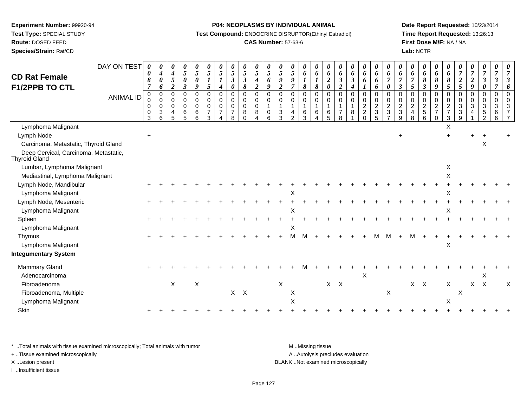**Route:** DOSED FEED

**Species/Strain:** Rat/CD

#### **P04: NEOPLASMS BY INDIVIDUAL ANIMAL**

**Test Compound:** ENDOCRINE DISRUPTOR(Ethinyl Estradiol)

## **CAS Number:** 57-63-6

**Date Report Requested:** 10/23/2014**Time Report Requested:** 13:26:13**First Dose M/F:** NA / NA**Lab:** NCTR

| <b>CD Rat Female</b><br><b>F1/2PPB TO CTL</b>          | DAY ON TEST      | 0<br>0<br>8<br>$\overline{7}$                  | 0<br>$\boldsymbol{4}$<br>0<br>6           | 0<br>$\boldsymbol{4}$<br>$\mathfrak{s}$<br>$\overline{2}$        | 0<br>5<br>$\boldsymbol{\theta}$<br>$\overline{\mathbf{3}}$ | 0<br>$\sqrt{5}$<br>$\boldsymbol{\theta}$<br>9       | 0<br>5<br>$\boldsymbol{l}$<br>5              | $\mathfrak{s}$<br>$\boldsymbol{l}$<br>$\boldsymbol{4}$ | 0<br>$\sqrt{5}$<br>$\boldsymbol{\beta}$<br>$\boldsymbol{\theta}$ | 0<br>$\sqrt{5}$<br>$\boldsymbol{\beta}$<br>8     | 0<br>5<br>$\boldsymbol{4}$<br>$\overline{2}$               | 0<br>$\overline{5}$<br>6<br>9             | $\boldsymbol{\theta}$<br>$\sqrt{5}$<br>9<br>$\boldsymbol{2}$ | 0<br>5<br>9<br>$\overline{7}$       | 0<br>6<br>$\boldsymbol{l}$<br>8            | 0<br>6<br>8                          | 0<br>6<br>$\boldsymbol{2}$<br>$\boldsymbol{\theta}$ | 0<br>6<br>$\boldsymbol{\beta}$<br>$\overline{2}$       | 0<br>6<br>$\boldsymbol{\beta}$<br>$\boldsymbol{4}$ | $\pmb{\theta}$<br>6<br>6                                         | 0<br>6<br>6<br>6                             | 0<br>6<br>$\overline{7}$<br>0                      | 0<br>6<br>$\boldsymbol{\beta}$                                  | $\boldsymbol{\theta}$<br>6<br>$\overline{7}$<br>5         | 0<br>6<br>8<br>$\boldsymbol{\beta}$                    | $\boldsymbol{\theta}$<br>6<br>8<br>9                                     | 0<br>6<br>8<br>5                                          | 0<br>$\overline{7}$<br>$\frac{2}{5}$ | 0<br>$\boldsymbol{7}$<br>$\frac{2}{9}$                   | 0<br>$\overline{7}$<br>$\mathfrak{z}$<br>0                     | 0<br>$\overline{7}$<br>$\boldsymbol{\beta}$<br>$\overline{7}$ | 7                    |
|--------------------------------------------------------|------------------|------------------------------------------------|-------------------------------------------|------------------------------------------------------------------|------------------------------------------------------------|-----------------------------------------------------|----------------------------------------------|--------------------------------------------------------|------------------------------------------------------------------|--------------------------------------------------|------------------------------------------------------------|-------------------------------------------|--------------------------------------------------------------|-------------------------------------|--------------------------------------------|--------------------------------------|-----------------------------------------------------|--------------------------------------------------------|----------------------------------------------------|------------------------------------------------------------------|----------------------------------------------|----------------------------------------------------|-----------------------------------------------------------------|-----------------------------------------------------------|--------------------------------------------------------|--------------------------------------------------------------------------|-----------------------------------------------------------|--------------------------------------|----------------------------------------------------------|----------------------------------------------------------------|---------------------------------------------------------------|----------------------|
|                                                        | <b>ANIMAL ID</b> | 0<br>$\boldsymbol{0}$<br>$\mathbf 0$<br>0<br>3 | 0<br>$\mathbf 0$<br>$\mathbf 0$<br>3<br>6 | $\mathbf 0$<br>$\mathbf 0$<br>$\mathbf 0$<br>4<br>$\overline{5}$ | 0<br>0<br>$\mathbf 0$<br>6<br>5                            | $\mathbf 0$<br>$\mathbf 0$<br>$\mathbf 0$<br>6<br>6 | 0<br>0<br>$\mathbf 0$<br>$\overline{7}$<br>3 | $\pmb{0}$<br>$\mathbf 0$<br>0<br>7                     | 0<br>$\mathbf 0$<br>$\mathbf 0$<br>7<br>8                        | 0<br>$\mathbf 0$<br>$\mathbf 0$<br>8<br>$\Omega$ | $\mathbf 0$<br>$\mathbf 0$<br>$\mathbf 0$<br>8<br>$\Delta$ | $\mathbf 0$<br>$\mathbf 0$<br>1<br>0<br>6 | $\mathbf 0$<br>$\mathbf 0$<br>$\overline{1}$<br>3<br>3       | $\Omega$<br>0<br>4<br>$\mathcal{P}$ | 0<br>$\mathbf 0$<br>$\mathbf{1}$<br>6<br>3 | $\mathbf 0$<br>$\mathbf 0$<br>6<br>Δ | $\mathbf 0$<br>$\mathbf 0$<br>6<br>5                | $\mathbf 0$<br>$\mathbf 0$<br>$\overline{1}$<br>7<br>8 | $\pmb{0}$<br>$\mathbf 0$<br>1<br>8                 | 0<br>$\pmb{0}$<br>$\boldsymbol{2}$<br>$\overline{c}$<br>$\Omega$ | 0<br>$\pmb{0}$<br>$\boldsymbol{2}$<br>3<br>5 | 0<br>$\mathbf 0$<br>$\overline{2}$<br>$\mathbf{3}$ | $\Omega$<br>0<br>$\boldsymbol{2}$<br>$\sqrt{3}$<br>$\mathsf{Q}$ | 0<br>$\mathbf 0$<br>$\overline{2}$<br>$\overline{a}$<br>8 | 0<br>$\mathbf 0$<br>$\overline{c}$<br>$\,$ 5 $\,$<br>6 | $\mathbf 0$<br>$\pmb{0}$<br>$\overline{2}$<br>$\overline{7}$<br>$\Omega$ | 0<br>$\mathbf 0$<br>$\overline{c}$<br>$\overline{7}$<br>3 | 0<br>0<br>3<br>3<br>9                | $\pmb{0}$<br>$\pmb{0}$<br>$\mathbf{3}$<br>$\overline{4}$ | $\mathbf 0$<br>0<br>$\sqrt{3}$<br>$\sqrt{5}$<br>$\mathfrak{D}$ | $\mathbf 0$<br>$\mathbf 0$<br>3<br>6<br>6                     | $\Omega$<br>$\Omega$ |
| Lymphoma Malignant<br>Lymph Node                       |                  | $\ddot{}$                                      |                                           |                                                                  |                                                            |                                                     |                                              |                                                        |                                                                  |                                                  |                                                            |                                           |                                                              |                                     |                                            |                                      |                                                     |                                                        |                                                    |                                                                  |                                              |                                                    | $\ddot{}$                                                       |                                                           |                                                        |                                                                          | Χ                                                         |                                      |                                                          |                                                                |                                                               |                      |
| Carcinoma, Metastatic, Thyroid Gland                   |                  |                                                |                                           |                                                                  |                                                            |                                                     |                                              |                                                        |                                                                  |                                                  |                                                            |                                           |                                                              |                                     |                                            |                                      |                                                     |                                                        |                                                    |                                                                  |                                              |                                                    |                                                                 |                                                           |                                                        |                                                                          |                                                           |                                      |                                                          | X                                                              |                                                               |                      |
| Deep Cervical, Carcinoma, Metastatic,<br>Thyroid Gland |                  |                                                |                                           |                                                                  |                                                            |                                                     |                                              |                                                        |                                                                  |                                                  |                                                            |                                           |                                                              |                                     |                                            |                                      |                                                     |                                                        |                                                    |                                                                  |                                              |                                                    |                                                                 |                                                           |                                                        |                                                                          |                                                           |                                      |                                                          |                                                                |                                                               |                      |
| Lumbar, Lymphoma Malignant                             |                  |                                                |                                           |                                                                  |                                                            |                                                     |                                              |                                                        |                                                                  |                                                  |                                                            |                                           |                                                              |                                     |                                            |                                      |                                                     |                                                        |                                                    |                                                                  |                                              |                                                    |                                                                 |                                                           |                                                        |                                                                          | X                                                         |                                      |                                                          |                                                                |                                                               |                      |
| Mediastinal, Lymphoma Malignant                        |                  |                                                |                                           |                                                                  |                                                            |                                                     |                                              |                                                        |                                                                  |                                                  |                                                            |                                           |                                                              |                                     |                                            |                                      |                                                     |                                                        |                                                    |                                                                  |                                              |                                                    |                                                                 |                                                           |                                                        |                                                                          | X                                                         |                                      |                                                          |                                                                |                                                               |                      |
| Lymph Node, Mandibular                                 |                  |                                                |                                           |                                                                  |                                                            |                                                     |                                              |                                                        |                                                                  |                                                  |                                                            |                                           |                                                              |                                     |                                            |                                      |                                                     |                                                        |                                                    |                                                                  |                                              |                                                    |                                                                 |                                                           |                                                        |                                                                          |                                                           |                                      |                                                          |                                                                |                                                               |                      |
| Lymphoma Malignant                                     |                  |                                                |                                           |                                                                  |                                                            |                                                     |                                              |                                                        |                                                                  |                                                  |                                                            |                                           |                                                              | Χ                                   |                                            |                                      |                                                     |                                                        |                                                    |                                                                  |                                              |                                                    |                                                                 |                                                           |                                                        |                                                                          | х                                                         |                                      |                                                          |                                                                |                                                               |                      |
| Lymph Node, Mesenteric                                 |                  |                                                |                                           |                                                                  |                                                            |                                                     |                                              |                                                        |                                                                  |                                                  |                                                            |                                           |                                                              |                                     |                                            |                                      |                                                     |                                                        |                                                    |                                                                  |                                              |                                                    |                                                                 |                                                           |                                                        |                                                                          |                                                           |                                      |                                                          |                                                                |                                                               |                      |
| Lymphoma Malignant                                     |                  |                                                |                                           |                                                                  |                                                            |                                                     |                                              |                                                        |                                                                  |                                                  |                                                            |                                           |                                                              | X                                   |                                            |                                      |                                                     |                                                        |                                                    |                                                                  |                                              |                                                    |                                                                 |                                                           |                                                        |                                                                          | х                                                         |                                      |                                                          |                                                                |                                                               |                      |
| Spleen                                                 |                  |                                                |                                           |                                                                  |                                                            |                                                     |                                              |                                                        |                                                                  |                                                  |                                                            |                                           |                                                              |                                     |                                            |                                      |                                                     |                                                        |                                                    |                                                                  |                                              |                                                    |                                                                 |                                                           |                                                        |                                                                          |                                                           |                                      |                                                          |                                                                |                                                               |                      |
| Lymphoma Malignant                                     |                  |                                                |                                           |                                                                  |                                                            |                                                     |                                              |                                                        |                                                                  |                                                  |                                                            |                                           |                                                              | Χ                                   |                                            |                                      |                                                     |                                                        |                                                    |                                                                  |                                              |                                                    |                                                                 |                                                           |                                                        |                                                                          |                                                           |                                      |                                                          |                                                                |                                                               |                      |
| Thymus                                                 |                  |                                                |                                           |                                                                  |                                                            |                                                     |                                              |                                                        |                                                                  |                                                  |                                                            |                                           |                                                              |                                     |                                            |                                      |                                                     |                                                        |                                                    |                                                                  |                                              |                                                    |                                                                 |                                                           |                                                        |                                                                          |                                                           |                                      |                                                          |                                                                |                                                               |                      |
| Lymphoma Malignant                                     |                  |                                                |                                           |                                                                  |                                                            |                                                     |                                              |                                                        |                                                                  |                                                  |                                                            |                                           |                                                              |                                     |                                            |                                      |                                                     |                                                        |                                                    |                                                                  |                                              |                                                    |                                                                 |                                                           |                                                        |                                                                          | X                                                         |                                      |                                                          |                                                                |                                                               |                      |
| <b>Integumentary System</b>                            |                  |                                                |                                           |                                                                  |                                                            |                                                     |                                              |                                                        |                                                                  |                                                  |                                                            |                                           |                                                              |                                     |                                            |                                      |                                                     |                                                        |                                                    |                                                                  |                                              |                                                    |                                                                 |                                                           |                                                        |                                                                          |                                                           |                                      |                                                          |                                                                |                                                               |                      |
| Mammary Gland<br>Adenocarcinoma                        |                  |                                                |                                           |                                                                  |                                                            |                                                     |                                              |                                                        |                                                                  |                                                  |                                                            |                                           |                                                              |                                     |                                            |                                      |                                                     |                                                        |                                                    |                                                                  |                                              |                                                    |                                                                 |                                                           |                                                        |                                                                          |                                                           |                                      |                                                          |                                                                |                                                               |                      |
| Fibroadenoma                                           |                  |                                                |                                           | $\boldsymbol{\mathsf{X}}$                                        |                                                            | $\boldsymbol{\mathsf{X}}$                           |                                              |                                                        |                                                                  |                                                  |                                                            |                                           | X                                                            |                                     |                                            |                                      | $\mathsf{X}$                                        | $\times$                                               |                                                    | Χ                                                                |                                              |                                                    |                                                                 | $X$ $X$                                                   |                                                        |                                                                          | $\boldsymbol{\mathsf{X}}$                                 |                                      | $\mathsf{X}$                                             | X<br>$\mathsf{X}$                                              |                                                               | X                    |
|                                                        |                  |                                                |                                           |                                                                  |                                                            |                                                     |                                              |                                                        | $X$ $X$                                                          |                                                  |                                                            |                                           |                                                              |                                     |                                            |                                      |                                                     |                                                        |                                                    |                                                                  |                                              | X                                                  |                                                                 |                                                           |                                                        |                                                                          |                                                           |                                      |                                                          |                                                                |                                                               |                      |
| Fibroadenoma, Multiple<br>Lymphoma Malignant           |                  |                                                |                                           |                                                                  |                                                            |                                                     |                                              |                                                        |                                                                  |                                                  |                                                            |                                           |                                                              | х<br>X                              |                                            |                                      |                                                     |                                                        |                                                    |                                                                  |                                              |                                                    |                                                                 |                                                           |                                                        |                                                                          | X                                                         | X                                    |                                                          |                                                                |                                                               |                      |
| Skin                                                   |                  |                                                |                                           |                                                                  |                                                            |                                                     |                                              |                                                        |                                                                  |                                                  |                                                            |                                           |                                                              |                                     |                                            |                                      |                                                     |                                                        |                                                    |                                                                  |                                              |                                                    |                                                                 |                                                           |                                                        |                                                                          |                                                           |                                      |                                                          |                                                                |                                                               |                      |
|                                                        |                  |                                                |                                           |                                                                  |                                                            |                                                     |                                              |                                                        |                                                                  |                                                  |                                                            |                                           |                                                              |                                     |                                            |                                      |                                                     |                                                        |                                                    |                                                                  |                                              |                                                    |                                                                 |                                                           |                                                        |                                                                          |                                                           |                                      |                                                          |                                                                |                                                               |                      |

\* ..Total animals with tissue examined microscopically; Total animals with tumor **M** . Missing tissue M ..Missing tissue

+ ..Tissue examined microscopically

I ..Insufficient tissue

A ..Autolysis precludes evaluation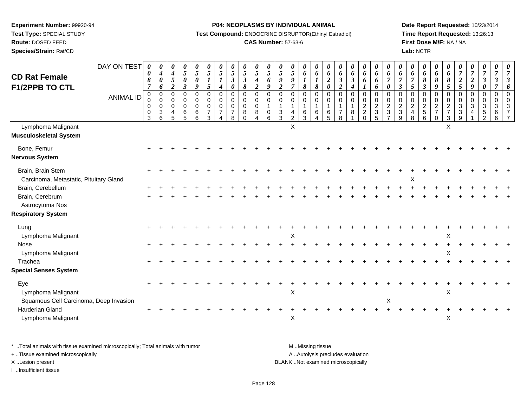**Route:** DOSED FEED

**Species/Strain:** Rat/CD

#### **P04: NEOPLASMS BY INDIVIDUAL ANIMAL**

**Test Compound:** ENDOCRINE DISRUPTOR(Ethinyl Estradiol)

## **CAS Number:** 57-63-6

**Date Report Requested:** 10/23/2014**Time Report Requested:** 13:26:13**First Dose M/F:** NA / NA**Lab:** NCTR

| <b>CD Rat Female</b>                                                           | DAY ON TEST      | $\boldsymbol{\theta}$<br>0                       | 0<br>$\boldsymbol{4}$           | 0<br>$\boldsymbol{4}$<br>5                     | 0<br>5                                              | 0<br>$\mathfrak{s}$                                        | 0<br>5                                                 | 0<br>$\sqrt{5}$                                                | 0<br>$\overline{5}$                                                         | 0<br>$\overline{5}$<br>$\boldsymbol{\beta}$                       | 0<br>5                                              | 0<br>$\overline{5}$                                  | 0<br>$\sqrt{5}$<br>9                                              | 0<br>5<br>9                                           | 0<br>6                               | 0<br>6                                                 | 0<br>6                                                  | 0<br>6                                                            | 0<br>6<br>$\mathfrak{z}$        | 0<br>6                                                                        | 0<br>$\boldsymbol{6}$                                               | 0<br>6<br>$\overline{7}$                                               | 0<br>6<br>$\overline{7}$               | 0<br>6<br>$\overline{7}$                                            | 0<br>6                                                          | 0<br>6                                                           | $\boldsymbol{\theta}$<br>6                                       | 0<br>$\overline{7}$                                 | 0<br>$\boldsymbol{7}$                                                          | 0<br>$\overline{7}$                                    | 0<br>$\overline{7}$                        | 0<br>$\overline{7}$<br>$\boldsymbol{3}$                          |
|--------------------------------------------------------------------------------|------------------|--------------------------------------------------|---------------------------------|------------------------------------------------|-----------------------------------------------------|------------------------------------------------------------|--------------------------------------------------------|----------------------------------------------------------------|-----------------------------------------------------------------------------|-------------------------------------------------------------------|-----------------------------------------------------|------------------------------------------------------|-------------------------------------------------------------------|-------------------------------------------------------|--------------------------------------|--------------------------------------------------------|---------------------------------------------------------|-------------------------------------------------------------------|---------------------------------|-------------------------------------------------------------------------------|---------------------------------------------------------------------|------------------------------------------------------------------------|----------------------------------------|---------------------------------------------------------------------|-----------------------------------------------------------------|------------------------------------------------------------------|------------------------------------------------------------------|-----------------------------------------------------|--------------------------------------------------------------------------------|--------------------------------------------------------|--------------------------------------------|------------------------------------------------------------------|
| <b>F1/2PPB TO CTL</b>                                                          |                  | 8<br>$\overline{7}$                              | 0<br>6                          | $\boldsymbol{2}$                               | 0<br>$\mathfrak{z}$                                 | 0<br>$\boldsymbol{g}$                                      | $\boldsymbol{I}$<br>$\sqrt{5}$                         | $\boldsymbol{l}$<br>$\boldsymbol{4}$                           | $\mathfrak{z}$<br>$\pmb{\theta}$                                            | $\pmb{8}$                                                         | $\boldsymbol{4}$<br>$\boldsymbol{2}$                | 6<br>9                                               | $\boldsymbol{2}$                                                  | $\overline{7}$                                        | 1<br>8                               | $\pmb{8}$                                              | $\overline{2}$<br>$\pmb{\theta}$                        | $\boldsymbol{\beta}$<br>$\sqrt{2}$                                | $\boldsymbol{4}$                | 6<br>1                                                                        | 6<br>6                                                              | $\boldsymbol{\theta}$                                                  | $\boldsymbol{\beta}$                   | 5                                                                   | 8<br>$\boldsymbol{\beta}$                                       | 8<br>9                                                           | 8<br>$\mathfrak{s}$                                              | $\overline{a}$<br>5                                 | $\frac{2}{9}$                                                                  | $\mathbf{3}$<br>$\pmb{\theta}$                         | $\mathfrak{z}$<br>$\overline{7}$           | 6                                                                |
|                                                                                | <b>ANIMAL ID</b> | $\mathbf 0$<br>0<br>$\Omega$<br>$\mathbf 0$<br>3 | $\mathbf 0$<br>0<br>0<br>3<br>6 | $\pmb{0}$<br>$\Omega$<br>$\mathbf 0$<br>4<br>5 | $\mathsf 0$<br>$\mathbf 0$<br>$\mathbf 0$<br>6<br>5 | $\mathbf 0$<br>0<br>$\pmb{0}$<br>$\,6\,$<br>$6\phantom{1}$ | $\mathbf 0$<br>0<br>$\mathbf 0$<br>$\overline{7}$<br>3 | $\mathsf{O}\xspace$<br>0<br>$\mathbf 0$<br>$\overline{7}$<br>4 | $\mathsf 0$<br>$\mathbf 0$<br>$\mathbf 0$<br>$\overline{7}$<br>$\mathbf{8}$ | $\mathbf 0$<br>$\mathbf 0$<br>$\pmb{0}$<br>$\bf 8$<br>$\mathbf 0$ | $\mathsf 0$<br>$\mathbf 0$<br>$\mathbf 0$<br>8<br>4 | $\mathbf 0$<br>$\mathbf 0$<br>$\mathbf{1}$<br>0<br>6 | $\mathbf 0$<br>$\mathbf 0$<br>$\mathbf{1}$<br>3<br>$\overline{3}$ | $\pmb{0}$<br>0<br>$\mathbf{1}$<br>4<br>$\overline{2}$ | $\mathbf 0$<br>$\mathbf 0$<br>6<br>3 | $\mathbf 0$<br>$\mathbf 0$<br>$\overline{1}$<br>6<br>4 | $\mathbf 0$<br>0<br>$\mathbf{1}$<br>6<br>$\overline{5}$ | $\pmb{0}$<br>$\mathbf 0$<br>$\overline{1}$<br>$\overline{7}$<br>8 | $\mathbf 0$<br>$\mathbf 0$<br>8 | $\mathbf 0$<br>$\mathbf 0$<br>$\overline{2}$<br>$\overline{2}$<br>$\mathbf 0$ | $\mathbf 0$<br>$\mathbf 0$<br>$\overline{c}$<br>$\overline{3}$<br>5 | $\mathbf 0$<br>0<br>$\overline{2}$<br>$\mathfrak{Z}$<br>$\overline{7}$ | $\mathbf 0$<br>0<br>$\frac{2}{3}$<br>9 | $\mathbf 0$<br>$\mathbf 0$<br>$\overline{2}$<br>$\overline{4}$<br>8 | $\mathbf 0$<br>$\mathbf 0$<br>$\overline{2}$<br>$\sqrt{5}$<br>6 | $\mathbf 0$<br>0<br>$\overline{c}$<br>$\overline{7}$<br>$\Omega$ | $\boldsymbol{0}$<br>$\mathbf 0$<br>$\frac{2}{7}$<br>$\mathbf{3}$ | $\pmb{0}$<br>0<br>$\mathbf{3}$<br>$\mathbf{3}$<br>9 | $\pmb{0}$<br>$\mathbf 0$<br>$\overline{3}$<br>$\overline{4}$<br>$\overline{1}$ | $\mathbf 0$<br>$\mathbf 0$<br>3<br>5<br>$\overline{2}$ | $\pmb{0}$<br>0<br>3<br>6<br>$\overline{6}$ | $\mathbf 0$<br>$\Omega$<br>3<br>$\overline{7}$<br>$\overline{7}$ |
| Lymphoma Malignant<br><b>Musculoskeletal System</b>                            |                  |                                                  |                                 |                                                |                                                     |                                                            |                                                        |                                                                |                                                                             |                                                                   |                                                     |                                                      |                                                                   | X                                                     |                                      |                                                        |                                                         |                                                                   |                                 |                                                                               |                                                                     |                                                                        |                                        |                                                                     |                                                                 |                                                                  | X                                                                |                                                     |                                                                                |                                                        |                                            |                                                                  |
| Bone, Femur<br><b>Nervous System</b>                                           |                  |                                                  |                                 |                                                |                                                     |                                                            |                                                        |                                                                |                                                                             |                                                                   |                                                     |                                                      |                                                                   |                                                       |                                      |                                                        |                                                         |                                                                   |                                 |                                                                               |                                                                     |                                                                        |                                        |                                                                     |                                                                 |                                                                  |                                                                  |                                                     |                                                                                |                                                        |                                            |                                                                  |
| Brain, Brain Stem<br>Carcinoma, Metastatic, Pituitary Gland                    |                  |                                                  |                                 |                                                |                                                     |                                                            |                                                        |                                                                |                                                                             |                                                                   |                                                     |                                                      |                                                                   |                                                       |                                      |                                                        |                                                         |                                                                   |                                 |                                                                               |                                                                     |                                                                        |                                        | X                                                                   |                                                                 |                                                                  |                                                                  |                                                     |                                                                                |                                                        |                                            |                                                                  |
| Brain, Cerebellum<br>Brain, Cerebrum<br>Astrocytoma Nos                        |                  |                                                  |                                 |                                                |                                                     |                                                            |                                                        |                                                                |                                                                             |                                                                   |                                                     |                                                      |                                                                   |                                                       |                                      |                                                        |                                                         |                                                                   |                                 |                                                                               |                                                                     |                                                                        |                                        |                                                                     |                                                                 |                                                                  |                                                                  |                                                     |                                                                                |                                                        |                                            |                                                                  |
| <b>Respiratory System</b>                                                      |                  |                                                  |                                 |                                                |                                                     |                                                            |                                                        |                                                                |                                                                             |                                                                   |                                                     |                                                      |                                                                   |                                                       |                                      |                                                        |                                                         |                                                                   |                                 |                                                                               |                                                                     |                                                                        |                                        |                                                                     |                                                                 |                                                                  |                                                                  |                                                     |                                                                                |                                                        |                                            |                                                                  |
| Lung<br>Lymphoma Malignant                                                     |                  |                                                  |                                 |                                                |                                                     |                                                            |                                                        |                                                                |                                                                             |                                                                   |                                                     |                                                      |                                                                   | X                                                     |                                      |                                                        |                                                         |                                                                   |                                 |                                                                               |                                                                     |                                                                        |                                        |                                                                     |                                                                 |                                                                  | Х                                                                |                                                     |                                                                                |                                                        |                                            |                                                                  |
| Nose<br>Lymphoma Malignant                                                     |                  |                                                  |                                 |                                                |                                                     |                                                            |                                                        |                                                                |                                                                             |                                                                   |                                                     |                                                      |                                                                   |                                                       |                                      |                                                        |                                                         |                                                                   |                                 |                                                                               |                                                                     |                                                                        |                                        |                                                                     |                                                                 |                                                                  | Х                                                                |                                                     |                                                                                |                                                        |                                            |                                                                  |
| Trachea<br><b>Special Senses System</b>                                        |                  |                                                  |                                 |                                                |                                                     |                                                            |                                                        |                                                                |                                                                             |                                                                   |                                                     |                                                      |                                                                   |                                                       |                                      |                                                        |                                                         |                                                                   |                                 |                                                                               |                                                                     |                                                                        |                                        |                                                                     |                                                                 |                                                                  |                                                                  |                                                     |                                                                                |                                                        |                                            |                                                                  |
| Eye<br>Lymphoma Malignant<br>Squamous Cell Carcinoma, Deep Invasion            |                  |                                                  |                                 |                                                |                                                     |                                                            |                                                        |                                                                |                                                                             |                                                                   |                                                     |                                                      |                                                                   | $\times$                                              |                                      |                                                        |                                                         |                                                                   |                                 |                                                                               |                                                                     | X                                                                      |                                        |                                                                     |                                                                 |                                                                  | $\boldsymbol{\mathsf{X}}$                                        |                                                     |                                                                                |                                                        |                                            |                                                                  |
| Harderian Gland<br>Lymphoma Malignant                                          |                  |                                                  |                                 |                                                |                                                     |                                                            |                                                        |                                                                |                                                                             |                                                                   |                                                     |                                                      |                                                                   | Χ                                                     |                                      |                                                        |                                                         |                                                                   |                                 |                                                                               |                                                                     |                                                                        |                                        |                                                                     |                                                                 |                                                                  | X                                                                |                                                     |                                                                                |                                                        |                                            |                                                                  |
| * Total animals with tissue examined microscopically; Total animals with tumor |                  |                                                  |                                 |                                                |                                                     |                                                            |                                                        |                                                                |                                                                             |                                                                   |                                                     |                                                      |                                                                   |                                                       |                                      | M Missing tissue                                       |                                                         |                                                                   |                                 |                                                                               |                                                                     |                                                                        |                                        |                                                                     |                                                                 |                                                                  |                                                                  |                                                     |                                                                                |                                                        |                                            |                                                                  |
| + Tissue examined microscopically                                              |                  |                                                  |                                 |                                                |                                                     |                                                            |                                                        |                                                                |                                                                             |                                                                   |                                                     |                                                      |                                                                   |                                                       |                                      |                                                        |                                                         | A Autolysis precludes evaluation                                  |                                 |                                                                               |                                                                     |                                                                        |                                        |                                                                     |                                                                 |                                                                  |                                                                  |                                                     |                                                                                |                                                        |                                            |                                                                  |

+ ..Tissue examined microscopically

X ..Lesion present BLANK ..Not examined microscopically

I ..Insufficient tissue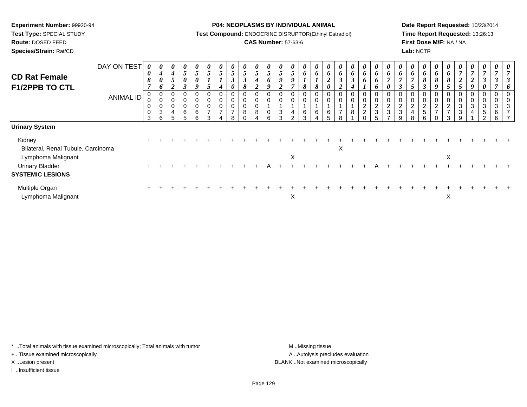**Test Type:** SPECIAL STUDY**Route:** DOSED FEED

**Species/Strain:** Rat/CD

#### **P04: NEOPLASMS BY INDIVIDUAL ANIMAL**

**Test Compound:** ENDOCRINE DISRUPTOR(Ethinyl Estradiol)

## **CAS Number:** 57-63-6

**Date Report Requested:** 10/23/2014**Time Report Requested:** 13:26:13**First Dose M/F:** NA / NA**Lab:** NCTR

| <b>CD Rat Female</b><br><b>F1/2PPB TO CTL</b>     | DAY ON TEST<br><b>ANIMAL ID</b> | $\theta$<br>0<br>8<br>$\overline{ }$<br>0 | $\boldsymbol{\theta}$<br>$\boldsymbol{4}$<br>$\boldsymbol{\theta}$<br>6<br>$\boldsymbol{0}$<br>$\pmb{0}$<br>$\pmb{0}$ | $\boldsymbol{\theta}$<br>$\boldsymbol{4}$<br>$\mathfrak{s}$<br>$\overline{2}$<br>0<br>$\pmb{0}$<br>$\pmb{0}$ | U<br>$\mathfrak{s}$<br>$\boldsymbol{\theta}$<br>$\boldsymbol{\beta}$<br>$\pmb{0}$<br>$\pmb{0}$ | $\boldsymbol{\theta}$<br>$\mathfrak{s}$<br>$\boldsymbol{\theta}$<br>9<br>0<br>$\pmb{0}$<br>0 | $\boldsymbol{\theta}$<br>$\mathfrak{s}$<br>5<br>$\overline{0}$ | $\boldsymbol{\theta}$<br>5<br>4<br>0<br>0 | $\boldsymbol{\theta}$<br>$\mathfrak{s}$<br>$\boldsymbol{\beta}$<br>$\boldsymbol{\theta}$<br>0<br>$\mathbf 0$ | $\boldsymbol{\theta}$<br>$\mathfrak{s}$<br>$\mathbf{r}$<br>8<br>$\pmb{0}$<br>0 | $\boldsymbol{\theta}$<br>$5\overline{)}$<br>4<br>$\boldsymbol{2}$<br>0<br>$\pmb{0}$<br>0 | $\boldsymbol{\theta}$<br>$\mathfrak{s}$<br>6<br>9<br>$\mathbf 0$<br>$\pmb{0}$ | $\boldsymbol{\mathit{U}}$<br>$\mathfrak{s}$<br>9<br>$\boldsymbol{2}$<br>$\,0\,$ | U<br>$5\overline{)}$<br>9<br>$\overline{ }$<br>$\pmb{0}$ | $\boldsymbol{\theta}$<br>6<br>8<br>$\pmb{0}$ | $\boldsymbol{\theta}$<br>6<br>$\mathbf{I}$<br>8<br>$\pmb{0}$ | $\boldsymbol{\theta}$<br>6<br>$\mathbf{\hat{z}}$<br>$\epsilon$<br>$\boldsymbol{\theta}$<br>0<br>$\pmb{0}$ | 6<br>$\boldsymbol{\mathfrak{z}}$<br>$\overline{2}$<br>$\mathbf 0$ | $\boldsymbol{\mathit{U}}$<br>6<br>$\boldsymbol{\beta}$<br>4<br>0 | $\boldsymbol{\theta}$<br>6<br>6<br>$\mathbf 0$<br>$\pmb{0}$<br>$\frac{2}{2}$ | $\boldsymbol{\theta}$<br>6<br>6<br>6<br>0<br>0<br>$\boldsymbol{2}$ | $\boldsymbol{\theta}$<br>6<br>$\overline{ }$<br>$\boldsymbol{\theta}$<br>0<br>$\pmb{0}$<br>$\frac{2}{3}$ | U<br>6<br>$\overline{ }$<br>$\mathbf 0$<br>$\sim$<br>∠ | $\boldsymbol{\theta}$<br>6<br>ົ<br>$\epsilon$ | $\theta$<br>6<br>8<br>$\mathfrak{z}$<br>0<br>0<br>$\frac{2}{5}$ | $\boldsymbol{\theta}$<br>6<br>8<br>9<br>0<br>$\pmb{0}$<br>$\frac{2}{7}$ | 6<br>8<br>$\mathfrak{s}$<br>$\frac{2}{7}$ | $\boldsymbol{\theta}$<br>$\overline{7}$<br>$\boldsymbol{2}$<br>5<br>0<br>$\boldsymbol{0}$<br>$\sqrt{3}$ | $\frac{\theta}{7}$<br>$\overline{2}$<br>9<br>$\mathbf 0$<br>$\mathbf 0$<br>$\mathbf{3}$ | $\boldsymbol{\theta}$<br>$\overline{7}$<br>$\boldsymbol{\beta}$<br>$\boldsymbol{\theta}$<br>$\mathbf 0$<br>$\pmb{0}$<br>$\mathbf{3}$ | $\boldsymbol{\theta}$<br>$\overline{ }$<br>0<br>$\overline{0}$<br>3 | $\boldsymbol{\theta}$ |
|---------------------------------------------------|---------------------------------|-------------------------------------------|-----------------------------------------------------------------------------------------------------------------------|--------------------------------------------------------------------------------------------------------------|------------------------------------------------------------------------------------------------|----------------------------------------------------------------------------------------------|----------------------------------------------------------------|-------------------------------------------|--------------------------------------------------------------------------------------------------------------|--------------------------------------------------------------------------------|------------------------------------------------------------------------------------------|-------------------------------------------------------------------------------|---------------------------------------------------------------------------------|----------------------------------------------------------|----------------------------------------------|--------------------------------------------------------------|-----------------------------------------------------------------------------------------------------------|-------------------------------------------------------------------|------------------------------------------------------------------|------------------------------------------------------------------------------|--------------------------------------------------------------------|----------------------------------------------------------------------------------------------------------|--------------------------------------------------------|-----------------------------------------------|-----------------------------------------------------------------|-------------------------------------------------------------------------|-------------------------------------------|---------------------------------------------------------------------------------------------------------|-----------------------------------------------------------------------------------------|--------------------------------------------------------------------------------------------------------------------------------------|---------------------------------------------------------------------|-----------------------|
|                                                   |                                 | $\mathbf 0$<br>3                          | $\sqrt{3}$<br>6                                                                                                       | $\overline{\mathbf{4}}$<br>5                                                                                 | $\,6$<br>5                                                                                     | $\,6$<br>6                                                                                   | 7<br>◠                                                         | $\overline{ }$                            | $\overline{7}$<br>$\Omega$                                                                                   | $\bf 8$                                                                        | 8                                                                                        | $\pmb{0}$<br>6                                                                | $\sqrt{3}$<br>3                                                                 | $\overline{4}$<br>$\sim$                                 | 6<br>$\sim$                                  | $\,6\,$                                                      | 6<br>5                                                                                                    | $\overline{7}$<br>8                                               | $\bf 8$                                                          | $\Omega$                                                                     | $\mathbf{3}$<br>5                                                  | ⇁                                                                                                        | 3<br>g                                                 | 4<br>$\circ$                                  | 6                                                               | $\Omega$                                                                | 3                                         | $\ensuremath{\mathsf{3}}$<br>9                                                                          | 4                                                                                       | $\overline{5}$<br>$\mathcal{P}$                                                                                                      | 6<br>6                                                              |                       |
| <b>Urinary System</b>                             |                                 |                                           |                                                                                                                       |                                                                                                              |                                                                                                |                                                                                              |                                                                |                                           |                                                                                                              |                                                                                |                                                                                          |                                                                               |                                                                                 |                                                          |                                              |                                                              |                                                                                                           |                                                                   |                                                                  |                                                                              |                                                                    |                                                                                                          |                                                        |                                               |                                                                 |                                                                         |                                           |                                                                                                         |                                                                                         |                                                                                                                                      |                                                                     |                       |
| Kidney<br>Bilateral, Renal Tubule, Carcinoma      |                                 |                                           |                                                                                                                       |                                                                                                              |                                                                                                |                                                                                              |                                                                |                                           |                                                                                                              |                                                                                |                                                                                          |                                                                               |                                                                                 |                                                          |                                              |                                                              |                                                                                                           | X                                                                 |                                                                  |                                                                              |                                                                    |                                                                                                          |                                                        |                                               |                                                                 |                                                                         |                                           |                                                                                                         |                                                                                         |                                                                                                                                      |                                                                     |                       |
| Lymphoma Malignant                                |                                 |                                           |                                                                                                                       |                                                                                                              |                                                                                                |                                                                                              |                                                                |                                           |                                                                                                              |                                                                                |                                                                                          |                                                                               |                                                                                 | X                                                        |                                              |                                                              |                                                                                                           |                                                                   |                                                                  |                                                                              |                                                                    |                                                                                                          |                                                        |                                               |                                                                 |                                                                         | X                                         |                                                                                                         |                                                                                         |                                                                                                                                      |                                                                     |                       |
| <b>Urinary Bladder</b><br><b>SYSTEMIC LESIONS</b> |                                 |                                           |                                                                                                                       |                                                                                                              |                                                                                                |                                                                                              |                                                                |                                           |                                                                                                              |                                                                                |                                                                                          |                                                                               |                                                                                 |                                                          |                                              |                                                              |                                                                                                           |                                                                   |                                                                  |                                                                              |                                                                    |                                                                                                          |                                                        |                                               |                                                                 |                                                                         |                                           |                                                                                                         |                                                                                         |                                                                                                                                      |                                                                     |                       |
| Multiple Organ<br>Lymphoma Malignant              |                                 |                                           |                                                                                                                       |                                                                                                              |                                                                                                |                                                                                              |                                                                |                                           |                                                                                                              |                                                                                |                                                                                          |                                                                               |                                                                                 | X                                                        |                                              |                                                              |                                                                                                           |                                                                   |                                                                  |                                                                              |                                                                    |                                                                                                          |                                                        |                                               |                                                                 |                                                                         | X                                         |                                                                                                         |                                                                                         |                                                                                                                                      |                                                                     |                       |

\* ..Total animals with tissue examined microscopically; Total animals with tumor **M** . Missing tissue M ..Missing tissue

+ ..Tissue examined microscopically

I ..Insufficient tissue

A ..Autolysis precludes evaluation X ..Lesion present BLANK ..Not examined microscopically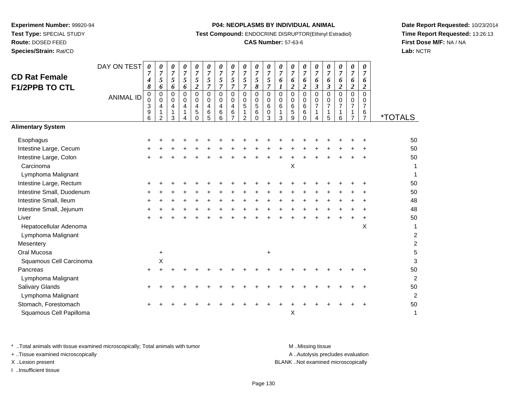## **Route:** DOSED FEED

**Species/Strain:** Rat/CD

#### **P04: NEOPLASMS BY INDIVIDUAL ANIMAL**

**Test Compound:** ENDOCRINE DISRUPTOR(Ethinyl Estradiol)

## **CAS Number:** 57-63-6

**Date Report Requested:** 10/23/2014**Time Report Requested:** 13:26:13**First Dose M/F:** NA / NA**Lab:** NCTR

| <b>CD Rat Female</b><br><b>F1/2PPB TO CTL</b> | DAY ON TEST      | 0<br>7<br>4<br>8      | 0<br>$\overline{7}$<br>5<br>6 | 0<br>$\overline{7}$<br>5<br>6                          | 0<br>$\overline{7}$<br>5<br>6             | 0<br>$\overline{7}$<br>5<br>$\boldsymbol{2}$               | 0<br>$\overline{7}$<br>5<br>$\overline{7}$       | 0<br>$\boldsymbol{7}$<br>5<br>7              | 0<br>$\overline{7}$<br>5<br>7 | 0<br>$\boldsymbol{7}$<br>5<br>$\overline{7}$               | 0<br>$\overline{7}$<br>5<br>8                    | 0<br>$\overline{7}$<br>5<br>$\overline{7}$       | 0<br>$\overline{7}$<br>6<br>1                 | 0<br>7<br>6<br>$\overline{c}$ | 0<br>$\overline{7}$<br>6<br>$\overline{c}$ | 0<br>$\overline{7}$<br>6<br>$\mathfrak{z}$                | 0<br>7<br>6<br>$\boldsymbol{\beta}$                         | 0<br>7<br>6<br>$\boldsymbol{2}$           | 0<br>$\overline{7}$<br>6<br>$\boldsymbol{2}$ | 0<br>$\overline{7}$<br>6<br>$\boldsymbol{2}$                        |                       |
|-----------------------------------------------|------------------|-----------------------|-------------------------------|--------------------------------------------------------|-------------------------------------------|------------------------------------------------------------|--------------------------------------------------|----------------------------------------------|-------------------------------|------------------------------------------------------------|--------------------------------------------------|--------------------------------------------------|-----------------------------------------------|-------------------------------|--------------------------------------------|-----------------------------------------------------------|-------------------------------------------------------------|-------------------------------------------|----------------------------------------------|---------------------------------------------------------------------|-----------------------|
|                                               | <b>ANIMAL ID</b> | 0<br>0<br>3<br>9<br>6 | 0<br>0<br>4<br>1<br>2         | 0<br>0<br>$\overline{\mathbf{4}}$<br>$\mathbf{1}$<br>3 | $\mathbf 0$<br>$\mathbf 0$<br>4<br>1<br>4 | $\mathbf 0$<br>$\Omega$<br>$\overline{4}$<br>5<br>$\Omega$ | $\mathbf 0$<br>0<br>$\overline{4}$<br>$\,6$<br>5 | $\mathbf 0$<br>0<br>$\overline{4}$<br>6<br>6 | 0<br>$\mathbf 0$<br>4<br>6    | $\pmb{0}$<br>$\pmb{0}$<br>$\mathbf 5$<br>$\mathbf{1}$<br>2 | $\mathbf 0$<br>$\mathbf 0$<br>5<br>6<br>$\Omega$ | $\mathbf 0$<br>$\Omega$<br>6<br>$\mathbf 0$<br>3 | $\mathbf 0$<br>$\mathbf 0$<br>$\,6$<br>1<br>3 | 0<br>0<br>6<br>5<br>9         | 0<br>0<br>6<br>6<br>$\Omega$               | $\mathbf 0$<br>0<br>$\overline{7}$<br>1<br>$\overline{4}$ | $\Omega$<br>$\Omega$<br>$\overline{7}$<br>$\mathbf{1}$<br>5 | $\Omega$<br>0<br>$\overline{7}$<br>1<br>6 | 0<br>$\mathbf 0$<br>$\overline{7}$<br>1      | $\overline{0}$<br>$\Omega$<br>$\overline{7}$<br>6<br>$\overline{7}$ | <i><b>*TOTALS</b></i> |
| <b>Alimentary System</b>                      |                  |                       |                               |                                                        |                                           |                                                            |                                                  |                                              |                               |                                                            |                                                  |                                                  |                                               |                               |                                            |                                                           |                                                             |                                           |                                              |                                                                     |                       |
| Esophagus                                     |                  | +                     |                               |                                                        |                                           |                                                            |                                                  |                                              |                               |                                                            |                                                  |                                                  |                                               |                               |                                            |                                                           |                                                             |                                           |                                              |                                                                     | 50                    |
| Intestine Large, Cecum                        |                  |                       |                               |                                                        |                                           |                                                            |                                                  |                                              |                               |                                                            |                                                  |                                                  |                                               |                               |                                            |                                                           |                                                             |                                           |                                              |                                                                     | 50                    |
| Intestine Large, Colon                        |                  |                       |                               |                                                        |                                           |                                                            |                                                  |                                              |                               |                                                            |                                                  |                                                  |                                               |                               |                                            |                                                           |                                                             |                                           |                                              |                                                                     | 50                    |
| Carcinoma                                     |                  |                       |                               |                                                        |                                           |                                                            |                                                  |                                              |                               |                                                            |                                                  |                                                  |                                               | X                             |                                            |                                                           |                                                             |                                           |                                              |                                                                     | 1                     |
| Lymphoma Malignant                            |                  |                       |                               |                                                        |                                           |                                                            |                                                  |                                              |                               |                                                            |                                                  |                                                  |                                               |                               |                                            |                                                           |                                                             |                                           |                                              |                                                                     |                       |
| Intestine Large, Rectum                       |                  |                       |                               |                                                        |                                           |                                                            |                                                  |                                              |                               |                                                            |                                                  |                                                  |                                               |                               |                                            |                                                           |                                                             |                                           |                                              |                                                                     | 50                    |
| Intestine Small, Duodenum                     |                  |                       |                               |                                                        |                                           |                                                            |                                                  |                                              |                               |                                                            |                                                  |                                                  |                                               |                               |                                            |                                                           |                                                             |                                           |                                              |                                                                     | 50                    |
| Intestine Small, Ileum                        |                  |                       |                               |                                                        |                                           |                                                            |                                                  |                                              |                               |                                                            |                                                  |                                                  |                                               |                               |                                            |                                                           |                                                             |                                           |                                              |                                                                     | 48                    |
| Intestine Small, Jejunum                      |                  |                       |                               |                                                        |                                           |                                                            |                                                  |                                              |                               |                                                            |                                                  |                                                  |                                               |                               |                                            |                                                           |                                                             |                                           |                                              |                                                                     | 48                    |
| Liver                                         |                  |                       |                               |                                                        |                                           |                                                            |                                                  |                                              |                               |                                                            |                                                  |                                                  |                                               |                               |                                            |                                                           |                                                             |                                           |                                              | ÷                                                                   | 50                    |
| Hepatocellular Adenoma                        |                  |                       |                               |                                                        |                                           |                                                            |                                                  |                                              |                               |                                                            |                                                  |                                                  |                                               |                               |                                            |                                                           |                                                             |                                           |                                              | X                                                                   | 1                     |
| Lymphoma Malignant                            |                  |                       |                               |                                                        |                                           |                                                            |                                                  |                                              |                               |                                                            |                                                  |                                                  |                                               |                               |                                            |                                                           |                                                             |                                           |                                              |                                                                     | 2                     |
| Mesentery                                     |                  |                       |                               |                                                        |                                           |                                                            |                                                  |                                              |                               |                                                            |                                                  |                                                  |                                               |                               |                                            |                                                           |                                                             |                                           |                                              |                                                                     | 2                     |
| Oral Mucosa                                   |                  |                       | $\ddot{}$                     |                                                        |                                           |                                                            |                                                  |                                              |                               |                                                            |                                                  | $\ddot{}$                                        |                                               |                               |                                            |                                                           |                                                             |                                           |                                              |                                                                     | 5                     |
| Squamous Cell Carcinoma                       |                  |                       | X                             |                                                        |                                           |                                                            |                                                  |                                              |                               |                                                            |                                                  |                                                  |                                               |                               |                                            |                                                           |                                                             |                                           |                                              |                                                                     | 3                     |
| Pancreas                                      |                  | $\ddot{}$             |                               |                                                        |                                           |                                                            |                                                  |                                              |                               |                                                            |                                                  |                                                  |                                               |                               |                                            |                                                           |                                                             |                                           |                                              |                                                                     | 50                    |
| Lymphoma Malignant                            |                  |                       |                               |                                                        |                                           |                                                            |                                                  |                                              |                               |                                                            |                                                  |                                                  |                                               |                               |                                            |                                                           |                                                             |                                           |                                              |                                                                     | 2                     |
| <b>Salivary Glands</b>                        |                  | $\pm$                 |                               |                                                        |                                           |                                                            |                                                  |                                              |                               |                                                            |                                                  |                                                  |                                               |                               |                                            |                                                           |                                                             |                                           |                                              |                                                                     | 50                    |
| Lymphoma Malignant                            |                  |                       |                               |                                                        |                                           |                                                            |                                                  |                                              |                               |                                                            |                                                  |                                                  |                                               |                               |                                            |                                                           |                                                             |                                           |                                              |                                                                     | $\overline{a}$        |
| Stomach, Forestomach                          |                  |                       |                               |                                                        |                                           |                                                            |                                                  |                                              |                               |                                                            |                                                  |                                                  |                                               |                               |                                            |                                                           |                                                             |                                           |                                              |                                                                     | 50                    |
| Squamous Cell Papilloma                       |                  |                       |                               |                                                        |                                           |                                                            |                                                  |                                              |                               |                                                            |                                                  |                                                  |                                               | Х                             |                                            |                                                           |                                                             |                                           |                                              |                                                                     | 1                     |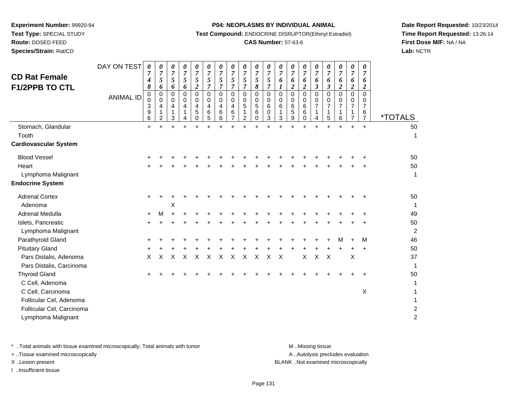## **Route:** DOSED FEED

**Species/Strain:** Rat/CD

#### **P04: NEOPLASMS BY INDIVIDUAL ANIMAL**

**Test Compound:** ENDOCRINE DISRUPTOR(Ethinyl Estradiol)

## **CAS Number:** 57-63-6

**Date Report Requested:** 10/23/2014**Time Report Requested:** 13:26:14**First Dose M/F:** NA / NA**Lab:** NCTR

| <b>CD Rat Female</b><br><b>F1/2PPB TO CTL</b> | DAY ON TEST<br><b>ANIMAL ID</b> | $\boldsymbol{\theta}$<br>7<br>4<br>8<br>0<br>$\mathbf 0$<br>3<br>9<br>6 | 0<br>7<br>5<br>6<br>0<br>$\Omega$<br>4<br>$\overline{c}$ | 0<br>$\boldsymbol{7}$<br>5<br>6<br>0<br>$\Omega$<br>4<br>3 | 0<br>$\overline{7}$<br>5<br>6<br>0<br>$\Omega$<br>4 | 0<br>$\overline{7}$<br>$\sqrt{5}$<br>$\boldsymbol{2}$<br>$\pmb{0}$<br>$\mathbf 0$<br>$\overline{4}$<br>$\sqrt{5}$<br>$\Omega$ | 0<br>$\overline{7}$<br>5<br>$\overline{7}$<br>$\mathbf 0$<br>0<br>4<br>6<br>5 | 0<br>7<br>$\sqrt{5}$<br>$\overline{7}$<br>0<br>0<br>$\overline{4}$<br>6<br>6 | 0<br>$\boldsymbol{7}$<br>$\sqrt{5}$<br>$\overline{7}$<br>0<br>$\mathbf 0$<br>4<br>6<br>7 | 0<br>$\overline{7}$<br>5<br>$\overline{7}$<br>0<br>$\mathbf 0$<br>5<br>1<br>$\overline{2}$ | 0<br>$\overline{7}$<br>$\mathfrak{s}$<br>8<br>$\pmb{0}$<br>$\pmb{0}$<br>$\sqrt{5}$<br>$\,6$<br>$\mathbf 0$ | 0<br>7<br>$\mathfrak{s}$<br>$\overline{7}$<br>$\mathbf 0$<br>$\mathbf 0$<br>6<br>0<br>$\mathbf{3}$ | 0<br>$\overline{7}$<br>6<br>1<br>0<br>$\Omega$<br>6<br>3 | 0<br>6<br>2<br>0<br>$\mathbf 0$<br>6<br>$\sqrt{5}$<br>9 | 0<br>7<br>6<br>$\overline{\mathbf{c}}$<br>0<br>0<br>6<br>6<br>0 | 0<br>7<br>6<br>$\mathfrak{z}$<br>$\pmb{0}$<br>$\pmb{0}$<br>$\overline{7}$<br>1<br>$\overline{4}$ | 0<br>7<br>6<br>3<br>0<br>0<br>$\overline{7}$<br>1<br>5 | 0<br>7<br>6<br>$\boldsymbol{2}$<br>$\mathbf 0$<br>0<br>$\overline{7}$<br>-1<br>6 | 0<br>$\overline{7}$<br>6<br>$\boldsymbol{2}$<br>0<br>0<br>$\overline{7}$ | 0<br>7<br>6<br>2<br>0<br>0<br>$\overline{7}$<br>6<br>$\overline{7}$ | <i><b>*TOTALS</b></i> |
|-----------------------------------------------|---------------------------------|-------------------------------------------------------------------------|----------------------------------------------------------|------------------------------------------------------------|-----------------------------------------------------|-------------------------------------------------------------------------------------------------------------------------------|-------------------------------------------------------------------------------|------------------------------------------------------------------------------|------------------------------------------------------------------------------------------|--------------------------------------------------------------------------------------------|------------------------------------------------------------------------------------------------------------|----------------------------------------------------------------------------------------------------|----------------------------------------------------------|---------------------------------------------------------|-----------------------------------------------------------------|--------------------------------------------------------------------------------------------------|--------------------------------------------------------|----------------------------------------------------------------------------------|--------------------------------------------------------------------------|---------------------------------------------------------------------|-----------------------|
| Stomach, Glandular                            |                                 | $+$                                                                     | ÷                                                        | $\ddot{}$                                                  | $\ddot{}$                                           | $\ddot{}$                                                                                                                     |                                                                               | $+$                                                                          | $\ddot{}$                                                                                | $\ddot{}$                                                                                  | ÷.                                                                                                         |                                                                                                    |                                                          | $\ddot{}$                                               | $\ddot{}$                                                       | $\ddot{}$                                                                                        |                                                        | $\ddot{}$                                                                        | $\ddot{}$                                                                | $+$                                                                 | 50                    |
| Tooth                                         |                                 |                                                                         |                                                          |                                                            |                                                     |                                                                                                                               |                                                                               |                                                                              |                                                                                          |                                                                                            |                                                                                                            |                                                                                                    |                                                          |                                                         |                                                                 |                                                                                                  |                                                        |                                                                                  |                                                                          |                                                                     | $\mathbf{1}$          |
| <b>Cardiovascular System</b>                  |                                 |                                                                         |                                                          |                                                            |                                                     |                                                                                                                               |                                                                               |                                                                              |                                                                                          |                                                                                            |                                                                                                            |                                                                                                    |                                                          |                                                         |                                                                 |                                                                                                  |                                                        |                                                                                  |                                                                          |                                                                     |                       |
| <b>Blood Vessel</b>                           |                                 |                                                                         |                                                          |                                                            |                                                     |                                                                                                                               |                                                                               |                                                                              |                                                                                          |                                                                                            |                                                                                                            |                                                                                                    |                                                          |                                                         |                                                                 |                                                                                                  |                                                        |                                                                                  |                                                                          |                                                                     | 50                    |
| Heart                                         |                                 |                                                                         |                                                          |                                                            |                                                     |                                                                                                                               |                                                                               |                                                                              |                                                                                          |                                                                                            |                                                                                                            |                                                                                                    |                                                          |                                                         |                                                                 |                                                                                                  |                                                        |                                                                                  |                                                                          |                                                                     | 50                    |
| Lymphoma Malignant                            |                                 |                                                                         |                                                          |                                                            |                                                     |                                                                                                                               |                                                                               |                                                                              |                                                                                          |                                                                                            |                                                                                                            |                                                                                                    |                                                          |                                                         |                                                                 |                                                                                                  |                                                        |                                                                                  |                                                                          |                                                                     | 1                     |
| <b>Endocrine System</b>                       |                                 |                                                                         |                                                          |                                                            |                                                     |                                                                                                                               |                                                                               |                                                                              |                                                                                          |                                                                                            |                                                                                                            |                                                                                                    |                                                          |                                                         |                                                                 |                                                                                                  |                                                        |                                                                                  |                                                                          |                                                                     |                       |
| <b>Adrenal Cortex</b>                         |                                 |                                                                         |                                                          |                                                            |                                                     |                                                                                                                               |                                                                               |                                                                              |                                                                                          |                                                                                            |                                                                                                            |                                                                                                    |                                                          |                                                         |                                                                 |                                                                                                  |                                                        |                                                                                  |                                                                          |                                                                     | 50                    |
| Adenoma                                       |                                 |                                                                         |                                                          | X                                                          |                                                     |                                                                                                                               |                                                                               |                                                                              |                                                                                          |                                                                                            |                                                                                                            |                                                                                                    |                                                          |                                                         |                                                                 |                                                                                                  |                                                        |                                                                                  |                                                                          |                                                                     | $\mathbf{1}$          |
| Adrenal Medulla                               |                                 | $\ddot{}$                                                               | м                                                        |                                                            |                                                     |                                                                                                                               |                                                                               |                                                                              |                                                                                          |                                                                                            |                                                                                                            |                                                                                                    |                                                          |                                                         |                                                                 |                                                                                                  |                                                        |                                                                                  |                                                                          |                                                                     | 49                    |
| Islets, Pancreatic                            |                                 | +                                                                       |                                                          |                                                            |                                                     |                                                                                                                               |                                                                               |                                                                              |                                                                                          |                                                                                            |                                                                                                            |                                                                                                    |                                                          |                                                         |                                                                 |                                                                                                  |                                                        |                                                                                  |                                                                          |                                                                     | 50                    |
| Lymphoma Malignant                            |                                 |                                                                         |                                                          |                                                            |                                                     |                                                                                                                               |                                                                               |                                                                              |                                                                                          |                                                                                            |                                                                                                            |                                                                                                    |                                                          |                                                         |                                                                 |                                                                                                  |                                                        |                                                                                  |                                                                          |                                                                     | $\overline{2}$        |
| Parathyroid Gland                             |                                 |                                                                         |                                                          |                                                            |                                                     |                                                                                                                               |                                                                               |                                                                              |                                                                                          |                                                                                            |                                                                                                            |                                                                                                    |                                                          |                                                         |                                                                 |                                                                                                  |                                                        | M                                                                                |                                                                          | M                                                                   | 46                    |
| <b>Pituitary Gland</b>                        |                                 |                                                                         |                                                          |                                                            |                                                     |                                                                                                                               |                                                                               |                                                                              |                                                                                          |                                                                                            |                                                                                                            |                                                                                                    |                                                          |                                                         |                                                                 |                                                                                                  |                                                        |                                                                                  |                                                                          | $\pm$                                                               | 50                    |
| Pars Distalis, Adenoma                        |                                 | X                                                                       | X                                                        | X                                                          | $\times$                                            | $\times$                                                                                                                      | $\mathsf{X}$                                                                  | $\mathsf{X}$                                                                 | X                                                                                        | $\boldsymbol{\mathsf{X}}$                                                                  | $\times$                                                                                                   | X                                                                                                  | $\times$                                                 |                                                         | X                                                               | $\mathsf{X}$                                                                                     | $\mathsf{X}$                                           |                                                                                  | $\times$                                                                 |                                                                     | 37                    |
| Pars Distalis, Carcinoma                      |                                 |                                                                         |                                                          |                                                            |                                                     |                                                                                                                               |                                                                               |                                                                              |                                                                                          |                                                                                            |                                                                                                            |                                                                                                    |                                                          |                                                         |                                                                 |                                                                                                  |                                                        |                                                                                  |                                                                          |                                                                     | $\mathbf 1$           |
| <b>Thyroid Gland</b>                          |                                 |                                                                         |                                                          |                                                            |                                                     |                                                                                                                               |                                                                               |                                                                              |                                                                                          |                                                                                            |                                                                                                            |                                                                                                    |                                                          |                                                         |                                                                 |                                                                                                  |                                                        |                                                                                  |                                                                          |                                                                     | 50                    |
| C Cell, Adenoma                               |                                 |                                                                         |                                                          |                                                            |                                                     |                                                                                                                               |                                                                               |                                                                              |                                                                                          |                                                                                            |                                                                                                            |                                                                                                    |                                                          |                                                         |                                                                 |                                                                                                  |                                                        |                                                                                  |                                                                          |                                                                     | 1                     |
| C Cell, Carcinoma                             |                                 |                                                                         |                                                          |                                                            |                                                     |                                                                                                                               |                                                                               |                                                                              |                                                                                          |                                                                                            |                                                                                                            |                                                                                                    |                                                          |                                                         |                                                                 |                                                                                                  |                                                        |                                                                                  |                                                                          | $\times$                                                            | 1                     |
| Follicular Cel, Adenoma                       |                                 |                                                                         |                                                          |                                                            |                                                     |                                                                                                                               |                                                                               |                                                                              |                                                                                          |                                                                                            |                                                                                                            |                                                                                                    |                                                          |                                                         |                                                                 |                                                                                                  |                                                        |                                                                                  |                                                                          |                                                                     | 1                     |
| Follicular Cel, Carcinoma                     |                                 |                                                                         |                                                          |                                                            |                                                     |                                                                                                                               |                                                                               |                                                                              |                                                                                          |                                                                                            |                                                                                                            |                                                                                                    |                                                          |                                                         |                                                                 |                                                                                                  |                                                        |                                                                                  |                                                                          |                                                                     | $\boldsymbol{2}$      |
| Lymphoma Malignant                            |                                 |                                                                         |                                                          |                                                            |                                                     |                                                                                                                               |                                                                               |                                                                              |                                                                                          |                                                                                            |                                                                                                            |                                                                                                    |                                                          |                                                         |                                                                 |                                                                                                  |                                                        |                                                                                  |                                                                          |                                                                     | $\overline{c}$        |

\* ..Total animals with tissue examined microscopically; Total animals with tumor **M** . Missing tissue M ..Missing tissue

+ ..Tissue examined microscopically

I ..Insufficient tissue

A ..Autolysis precludes evaluation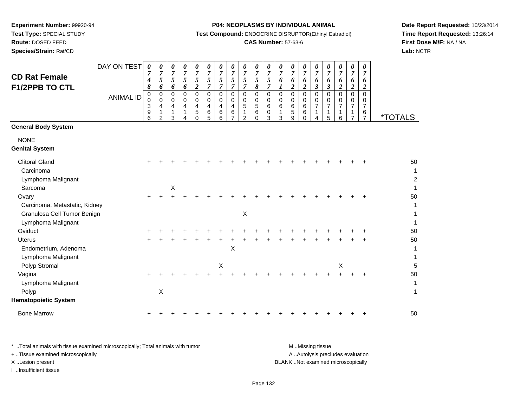# **Route:** DOSED FEED

**Species/Strain:** Rat/CD

#### **P04: NEOPLASMS BY INDIVIDUAL ANIMAL**

**Test Compound:** ENDOCRINE DISRUPTOR(Ethinyl Estradiol)

## **CAS Number:** 57-63-6

**Date Report Requested:** 10/23/2014**Time Report Requested:** 13:26:14**First Dose M/F:** NA / NA**Lab:** NCTR

| <b>CD Rat Female</b><br><b>F1/2PPB TO CTL</b><br><b>General Body System</b>                 | DAY ON TEST<br><b>ANIMAL ID</b> | $\boldsymbol{\theta}$<br>$\overline{7}$<br>4<br>8<br>0<br>0<br>3<br>$\boldsymbol{9}$<br>6 | $\boldsymbol{\theta}$<br>$\overline{7}$<br>5<br>6<br>0<br>0<br>4<br>$\mathbf 1$<br>$\overline{2}$ | 0<br>$\overline{7}$<br>5<br>6<br>0<br>0<br>4<br>$\mathbf{1}$<br>3 | 0<br>$\boldsymbol{7}$<br>$\overline{5}$<br>6<br>$\mathbf 0$<br>$\mathbf 0$<br>$\overline{\mathbf{4}}$<br>$\mathbf{1}$<br>$\boldsymbol{\Lambda}$ | 0<br>$\overline{7}$<br>5<br>$\boldsymbol{2}$<br>$\mathbf 0$<br>0<br>$\overline{\mathbf{4}}$<br>$\overline{5}$<br>$\Omega$ | 0<br>$\boldsymbol{7}$<br>5<br>$\overline{7}$<br>$\mathbf 0$<br>0<br>4<br>6<br>5 | 0<br>$\boldsymbol{7}$<br>5<br>7<br>$\mathbf 0$<br>0<br>4<br>6<br>6 | 0<br>$\boldsymbol{7}$<br>$\sqrt{5}$<br>$\boldsymbol{7}$<br>$\mathbf 0$<br>0<br>4<br>$\,6\,$<br>$\overline{7}$ | $\pmb{\theta}$<br>$\overline{7}$<br>5<br>$\overline{7}$<br>$\mathbf 0$<br>0<br>$\,$ 5 $\,$<br>$\mathbf{1}$<br>2 | 0<br>$\overline{7}$<br>$\sqrt{5}$<br>8<br>$\mathbf 0$<br>0<br>5<br>$\,6$<br>$\Omega$ | 0<br>$\boldsymbol{7}$<br>5<br>$\overline{7}$<br>$\mathbf 0$<br>0<br>6<br>$\mathbf 0$<br>3 | 0<br>$\overline{7}$<br>6<br>$\mathbf 0$<br>$\mathbf 0$<br>6<br>1<br>3 | 0<br>$\overline{7}$<br>6<br>$\overline{c}$<br>$\mathbf 0$<br>0<br>$\,6\,$<br>$\sqrt{5}$<br>9 | $\pmb{\theta}$<br>$\boldsymbol{7}$<br>6<br>$\overline{c}$<br>$\mathbf 0$<br>0<br>6<br>6<br>$\Omega$ | 0<br>$\overline{7}$<br>6<br>$\boldsymbol{\beta}$<br>$\mathbf 0$<br>$\mathbf 0$<br>$\overline{7}$<br>$\mathbf{1}$<br>$\overline{\mathbf{4}}$ | 0<br>7<br>6<br>3<br>0<br>0<br>$\overline{7}$<br>$\mathbf{1}$<br>5 | 0<br>$\overline{7}$<br>6<br>$\boldsymbol{2}$<br>$\mathbf 0$<br>0<br>$\overline{7}$<br>$\mathbf{1}$<br>6 | $\boldsymbol{\theta}$<br>$\overline{7}$<br>6<br>$\boldsymbol{2}$<br>$\mathbf 0$<br>$\mathbf 0$<br>$\overline{7}$<br>1<br>$\overline{7}$ | 0<br>$\overline{\tau}$<br>6<br>$\overline{2}$<br>$\mathbf 0$<br>0<br>$\overline{7}$<br>6<br>$\overline{7}$ | <i><b>*TOTALS</b></i>                                |
|---------------------------------------------------------------------------------------------|---------------------------------|-------------------------------------------------------------------------------------------|---------------------------------------------------------------------------------------------------|-------------------------------------------------------------------|-------------------------------------------------------------------------------------------------------------------------------------------------|---------------------------------------------------------------------------------------------------------------------------|---------------------------------------------------------------------------------|--------------------------------------------------------------------|---------------------------------------------------------------------------------------------------------------|-----------------------------------------------------------------------------------------------------------------|--------------------------------------------------------------------------------------|-------------------------------------------------------------------------------------------|-----------------------------------------------------------------------|----------------------------------------------------------------------------------------------|-----------------------------------------------------------------------------------------------------|---------------------------------------------------------------------------------------------------------------------------------------------|-------------------------------------------------------------------|---------------------------------------------------------------------------------------------------------|-----------------------------------------------------------------------------------------------------------------------------------------|------------------------------------------------------------------------------------------------------------|------------------------------------------------------|
| <b>NONE</b>                                                                                 |                                 |                                                                                           |                                                                                                   |                                                                   |                                                                                                                                                 |                                                                                                                           |                                                                                 |                                                                    |                                                                                                               |                                                                                                                 |                                                                                      |                                                                                           |                                                                       |                                                                                              |                                                                                                     |                                                                                                                                             |                                                                   |                                                                                                         |                                                                                                                                         |                                                                                                            |                                                      |
| <b>Genital System</b>                                                                       |                                 |                                                                                           |                                                                                                   |                                                                   |                                                                                                                                                 |                                                                                                                           |                                                                                 |                                                                    |                                                                                                               |                                                                                                                 |                                                                                      |                                                                                           |                                                                       |                                                                                              |                                                                                                     |                                                                                                                                             |                                                                   |                                                                                                         |                                                                                                                                         |                                                                                                            |                                                      |
| <b>Clitoral Gland</b><br>Carcinoma<br>Lymphoma Malignant<br>Sarcoma                         |                                 |                                                                                           |                                                                                                   | $\boldsymbol{\mathsf{X}}$                                         |                                                                                                                                                 |                                                                                                                           |                                                                                 |                                                                    |                                                                                                               |                                                                                                                 |                                                                                      |                                                                                           |                                                                       |                                                                                              |                                                                                                     |                                                                                                                                             |                                                                   |                                                                                                         |                                                                                                                                         |                                                                                                            | 50<br>$\mathbf{1}$<br>$\overline{c}$<br>$\mathbf{1}$ |
| Ovary<br>Carcinoma, Metastatic, Kidney<br>Granulosa Cell Tumor Benign<br>Lymphoma Malignant |                                 | $\ddot{}$                                                                                 |                                                                                                   |                                                                   |                                                                                                                                                 |                                                                                                                           |                                                                                 |                                                                    |                                                                                                               | $\pmb{\times}$                                                                                                  |                                                                                      |                                                                                           |                                                                       |                                                                                              |                                                                                                     |                                                                                                                                             |                                                                   |                                                                                                         |                                                                                                                                         |                                                                                                            | 50<br>$\mathbf{1}$<br>1<br>$\mathbf{1}$              |
| Oviduct<br><b>Uterus</b><br>Endometrium, Adenoma<br>Lymphoma Malignant                      |                                 |                                                                                           |                                                                                                   |                                                                   |                                                                                                                                                 |                                                                                                                           |                                                                                 |                                                                    | $\boldsymbol{\mathsf{X}}$                                                                                     |                                                                                                                 |                                                                                      |                                                                                           |                                                                       |                                                                                              |                                                                                                     |                                                                                                                                             |                                                                   |                                                                                                         |                                                                                                                                         |                                                                                                            | 50<br>50<br>$\mathbf{1}$<br>$\mathbf{1}$             |
| Polyp Stromal<br>Vagina<br>Lymphoma Malignant<br>Polyp<br><b>Hematopoietic System</b>       |                                 | $\ddot{}$                                                                                 | $\times$                                                                                          |                                                                   |                                                                                                                                                 |                                                                                                                           |                                                                                 | $\boldsymbol{\mathsf{X}}$                                          |                                                                                                               |                                                                                                                 |                                                                                      |                                                                                           |                                                                       |                                                                                              |                                                                                                     |                                                                                                                                             |                                                                   | X                                                                                                       |                                                                                                                                         |                                                                                                            | 5<br>50<br>$\mathbf{1}$<br>$\mathbf{1}$              |
| <b>Bone Marrow</b>                                                                          |                                 |                                                                                           |                                                                                                   |                                                                   |                                                                                                                                                 |                                                                                                                           |                                                                                 |                                                                    |                                                                                                               |                                                                                                                 |                                                                                      |                                                                                           |                                                                       |                                                                                              |                                                                                                     |                                                                                                                                             |                                                                   |                                                                                                         |                                                                                                                                         |                                                                                                            | 50                                                   |

| Total animals with tissue examined microscopically; Total animals with tumor | M Missing tissue                   |
|------------------------------------------------------------------------------|------------------------------------|
| + Tissue examined microscopically                                            | A Autolysis precludes evaluation   |
| X Lesion present                                                             | BLANK Not examined microscopically |
| Insufficient tissue                                                          |                                    |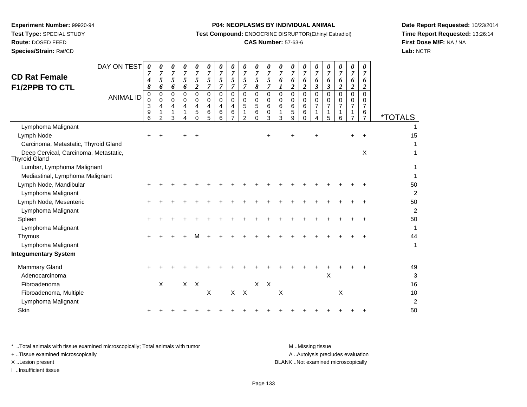**Route:** DOSED FEED

**Species/Strain:** Rat/CD

#### **P04: NEOPLASMS BY INDIVIDUAL ANIMAL**

**Test Compound:** ENDOCRINE DISRUPTOR(Ethinyl Estradiol)

## **CAS Number:** 57-63-6

**Date Report Requested:** 10/23/2014**Time Report Requested:** 13:26:14**First Dose M/F:** NA / NA**Lab:** NCTR

| DAY ON TEST                           | 0<br>7<br>4           | 0<br>$\overline{7}$<br>$\mathfrak{s}$<br>6 | 0<br>$\overline{7}$<br>5<br>6 | 0<br>$\boldsymbol{7}$<br>5<br>6 | 0<br>$\boldsymbol{7}$<br>5   | 0<br>$\overline{7}$<br>$\mathfrak{s}$<br>$\overline{7}$ | 0<br>$\overline{7}$<br>$\mathfrak{s}$<br>$\overline{7}$ | 0<br>$\overline{7}$<br>$\mathfrak{s}$<br>$\overline{7}$ | 0<br>$\overline{7}$<br>5<br>$\overline{7}$        | 0<br>$\boldsymbol{7}$<br>5   | 0<br>$\overline{7}$<br>5        | 0<br>$\overline{7}$<br>6<br>1     | 0<br>$\overline{7}$<br>6<br>$\overline{\mathbf{2}}$ | 0<br>$\overline{7}$<br>6<br>$\overline{2}$ | 0<br>$\boldsymbol{7}$<br>6         | 0<br>$\overline{7}$<br>6                     | 0<br>7<br>6                         | 0<br>$\overline{7}$<br>6      | 0<br>$\overline{7}$<br>6<br>$\overline{2}$   |                       |
|---------------------------------------|-----------------------|--------------------------------------------|-------------------------------|---------------------------------|------------------------------|---------------------------------------------------------|---------------------------------------------------------|---------------------------------------------------------|---------------------------------------------------|------------------------------|---------------------------------|-----------------------------------|-----------------------------------------------------|--------------------------------------------|------------------------------------|----------------------------------------------|-------------------------------------|-------------------------------|----------------------------------------------|-----------------------|
| <b>ANIMAL ID</b>                      | 0<br>0<br>3<br>9<br>6 | $\mathbf 0$<br>$\Omega$<br>4<br>2          | 0<br>0<br>4<br>1<br>3         | 0<br>0<br>4                     | 0<br>0<br>4<br>5<br>$\Omega$ | $\mathbf 0$<br>0<br>4<br>6<br>5                         | $\mathbf 0$<br>$\Omega$<br>4<br>6<br>6                  | 0<br>0<br>4<br>6<br>$\overline{7}$                      | $\mathbf 0$<br>$\mathbf 0$<br>5<br>$\overline{2}$ | 0<br>0<br>5<br>6<br>$\Omega$ | $\mathbf 0$<br>0<br>6<br>0<br>3 | $\mathbf 0$<br>$\Omega$<br>6<br>3 | 0<br>0<br>6<br>$\sqrt{5}$<br>9                      | 0<br>0<br>6<br>6<br>0                      | 0<br>0<br>$\overline{7}$<br>1<br>4 | $\mathbf 0$<br>0<br>$\overline{7}$<br>1<br>5 | $\Omega$<br>$\Omega$<br>7<br>1<br>6 | 0<br>0<br>$\overline{7}$<br>7 | $\mathbf 0$<br>0<br>7<br>6<br>$\overline{7}$ | <i><b>*TOTALS</b></i> |
|                                       |                       |                                            |                               |                                 |                              |                                                         |                                                         |                                                         |                                                   |                              |                                 |                                   |                                                     |                                            |                                    |                                              |                                     |                               |                                              |                       |
|                                       |                       |                                            |                               |                                 |                              |                                                         |                                                         |                                                         |                                                   |                              |                                 |                                   |                                                     |                                            | 4                                  |                                              |                                     |                               |                                              | 15                    |
| Carcinoma, Metastatic, Thyroid Gland  |                       |                                            |                               |                                 |                              |                                                         |                                                         |                                                         |                                                   |                              |                                 |                                   |                                                     |                                            |                                    |                                              |                                     |                               |                                              | 1                     |
| Deep Cervical, Carcinoma, Metastatic, |                       |                                            |                               |                                 |                              |                                                         |                                                         |                                                         |                                                   |                              |                                 |                                   |                                                     |                                            |                                    |                                              |                                     |                               | X                                            |                       |
| Lumbar, Lymphoma Malignant            |                       |                                            |                               |                                 |                              |                                                         |                                                         |                                                         |                                                   |                              |                                 |                                   |                                                     |                                            |                                    |                                              |                                     |                               |                                              |                       |
| Mediastinal, Lymphoma Malignant       |                       |                                            |                               |                                 |                              |                                                         |                                                         |                                                         |                                                   |                              |                                 |                                   |                                                     |                                            |                                    |                                              |                                     |                               |                                              |                       |
|                                       |                       |                                            |                               |                                 |                              |                                                         |                                                         |                                                         |                                                   |                              |                                 |                                   |                                                     |                                            |                                    |                                              |                                     |                               |                                              | 50                    |
|                                       |                       |                                            |                               |                                 |                              |                                                         |                                                         |                                                         |                                                   |                              |                                 |                                   |                                                     |                                            |                                    |                                              |                                     |                               |                                              | $\overline{2}$        |
|                                       |                       |                                            |                               |                                 |                              |                                                         |                                                         |                                                         |                                                   |                              |                                 |                                   |                                                     |                                            |                                    |                                              |                                     |                               |                                              | 50                    |
|                                       |                       |                                            |                               |                                 |                              |                                                         |                                                         |                                                         |                                                   |                              |                                 |                                   |                                                     |                                            |                                    |                                              |                                     |                               |                                              | $\overline{2}$        |
|                                       |                       |                                            |                               |                                 |                              |                                                         |                                                         |                                                         |                                                   |                              |                                 |                                   |                                                     |                                            |                                    |                                              |                                     |                               |                                              | 50                    |
|                                       |                       |                                            |                               |                                 |                              |                                                         |                                                         |                                                         |                                                   |                              |                                 |                                   |                                                     |                                            |                                    |                                              |                                     |                               |                                              | 1                     |
|                                       |                       |                                            |                               |                                 |                              |                                                         |                                                         |                                                         |                                                   |                              |                                 |                                   |                                                     |                                            |                                    |                                              |                                     |                               |                                              | 44                    |
|                                       |                       |                                            |                               |                                 |                              |                                                         |                                                         |                                                         |                                                   |                              |                                 |                                   |                                                     |                                            |                                    |                                              |                                     |                               |                                              | 1                     |
|                                       |                       |                                            |                               |                                 |                              |                                                         |                                                         |                                                         |                                                   |                              |                                 |                                   |                                                     |                                            |                                    |                                              |                                     |                               |                                              |                       |
|                                       |                       |                                            |                               |                                 |                              |                                                         |                                                         |                                                         |                                                   |                              |                                 |                                   |                                                     |                                            |                                    |                                              |                                     |                               |                                              | 49                    |
|                                       |                       |                                            |                               |                                 |                              |                                                         |                                                         |                                                         |                                                   |                              |                                 |                                   |                                                     |                                            |                                    | $\pmb{\times}$                               |                                     |                               |                                              | 3                     |
|                                       |                       | X                                          |                               | $\times$                        | $\mathsf{X}$                 |                                                         |                                                         |                                                         |                                                   | X                            | $\times$                        |                                   |                                                     |                                            |                                    |                                              |                                     |                               |                                              | 16                    |
|                                       |                       |                                            |                               |                                 |                              | X                                                       |                                                         | $\times$                                                | $\mathsf{X}$                                      |                              |                                 | X                                 |                                                     |                                            |                                    |                                              | X                                   |                               |                                              | 10                    |
|                                       |                       |                                            |                               |                                 |                              |                                                         |                                                         |                                                         |                                                   |                              |                                 |                                   |                                                     |                                            |                                    |                                              |                                     |                               |                                              | $\overline{2}$        |
|                                       |                       |                                            |                               |                                 |                              |                                                         |                                                         |                                                         |                                                   |                              |                                 |                                   |                                                     |                                            |                                    |                                              |                                     |                               |                                              | 50                    |
|                                       |                       | 8                                          |                               |                                 |                              | $\overline{\mathbf{c}}$                                 |                                                         |                                                         |                                                   |                              | 8                               | $\overline{7}$                    |                                                     |                                            |                                    | $\boldsymbol{\beta}$                         | $\boldsymbol{\beta}$                | $\boldsymbol{2}$              | 2                                            |                       |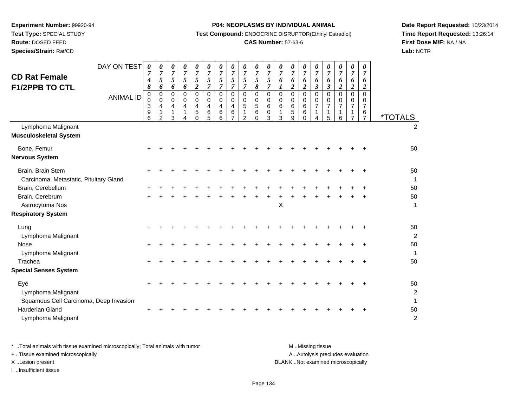# **Route:** DOSED FEED

**Species/Strain:** Rat/CD

## **P04: NEOPLASMS BY INDIVIDUAL ANIMAL**

**Test Compound:** ENDOCRINE DISRUPTOR(Ethinyl Estradiol)

## **CAS Number:** 57-63-6

**Date Report Requested:** 10/23/2014**Time Report Requested:** 13:26:14**First Dose M/F:** NA / NA**Lab:** NCTR

| <b>CD Rat Female</b><br><b>F1/2PPB TO CTL</b><br>Lymphoma Malignant | DAY ON TEST<br><b>ANIMAL ID</b> | 0<br>7<br>4<br>8<br>0<br>0<br>3<br>9<br>6 | 0<br>$\overline{7}$<br>$\mathfrak{s}$<br>6<br>0<br>0<br>4<br>1<br>$\overline{2}$ | 0<br>$\overline{7}$<br>5<br>6<br>$\Omega$<br>0<br>4<br>1<br>3 | 0<br>$\boldsymbol{7}$<br>5<br>6<br>$\Omega$<br>0<br>4<br>4 | 0<br>$\boldsymbol{7}$<br>5<br>$\boldsymbol{2}$<br>0<br>0<br>4<br>5<br>0 | 0<br>$\boldsymbol{7}$<br>$\mathfrak{s}$<br>$\overline{7}$<br>$\mathbf 0$<br>0<br>4<br>6<br>5 | 0<br>$\overline{7}$<br>5<br>$\overline{7}$<br>$\mathbf 0$<br>0<br>4<br>6<br>6 | 0<br>$\overline{7}$<br>$\sqrt{5}$<br>$\overline{7}$<br>$\mathbf 0$<br>$\mathbf 0$<br>$\overline{4}$<br>6 | 0<br>$\boldsymbol{7}$<br>5<br>$\overline{7}$<br>$\mathbf 0$<br>$\mathbf 0$<br>5<br>$\mathbf{1}$<br>$\overline{2}$ | 0<br>$\boldsymbol{7}$<br>$\mathfrak{s}$<br>8<br>$\pmb{0}$<br>$\pmb{0}$<br>$\overline{5}$<br>$\,6\,$<br>$\Omega$ | 0<br>$\overline{7}$<br>5<br>$\overline{7}$<br>$\mathbf 0$<br>$\mathbf 0$<br>$\,6$<br>0<br>3 | 0<br>$\overline{7}$<br>6<br>$\boldsymbol{l}$<br>$\mathbf 0$<br>$\mathbf 0$<br>6<br>$\mathbf 1$<br>3 | 0<br>$\overline{7}$<br>6<br>$\boldsymbol{2}$<br>$\mathbf 0$<br>$\mathbf 0$<br>$6\phantom{1}6$<br>5<br>9 | 0<br>$\overline{7}$<br>6<br>$\overline{c}$<br>0<br>0<br>6<br>6<br>0 | 0<br>$\boldsymbol{7}$<br>6<br>$\boldsymbol{\beta}$<br>$\pmb{0}$<br>$\mathbf 0$<br>$\overline{7}$<br>1<br>4 | 0<br>$\overline{7}$<br>6<br>$\boldsymbol{\beta}$<br>$\Omega$<br>0<br>$\overline{7}$<br>1<br>5 | 0<br>$\overline{7}$<br>6<br>$\boldsymbol{2}$<br>$\mathbf 0$<br>0<br>$\overline{7}$<br>$\mathbf{1}$<br>6 | 0<br>$\overline{7}$<br>6<br>$\boldsymbol{2}$<br>$\mathbf 0$<br>0<br>$\overline{7}$<br>1<br>7 | 0<br>$\overline{7}$<br>6<br>$\overline{2}$<br>$\Omega$<br>0<br>$\overline{7}$<br>6<br>$\overline{7}$ | <i><b>*TOTALS</b></i><br>$\overline{2}$ |
|---------------------------------------------------------------------|---------------------------------|-------------------------------------------|----------------------------------------------------------------------------------|---------------------------------------------------------------|------------------------------------------------------------|-------------------------------------------------------------------------|----------------------------------------------------------------------------------------------|-------------------------------------------------------------------------------|----------------------------------------------------------------------------------------------------------|-------------------------------------------------------------------------------------------------------------------|-----------------------------------------------------------------------------------------------------------------|---------------------------------------------------------------------------------------------|-----------------------------------------------------------------------------------------------------|---------------------------------------------------------------------------------------------------------|---------------------------------------------------------------------|------------------------------------------------------------------------------------------------------------|-----------------------------------------------------------------------------------------------|---------------------------------------------------------------------------------------------------------|----------------------------------------------------------------------------------------------|------------------------------------------------------------------------------------------------------|-----------------------------------------|
| <b>Musculoskeletal System</b>                                       |                                 |                                           |                                                                                  |                                                               |                                                            |                                                                         |                                                                                              |                                                                               |                                                                                                          |                                                                                                                   |                                                                                                                 |                                                                                             |                                                                                                     |                                                                                                         |                                                                     |                                                                                                            |                                                                                               |                                                                                                         |                                                                                              |                                                                                                      |                                         |
| Bone, Femur<br><b>Nervous System</b>                                |                                 |                                           |                                                                                  |                                                               |                                                            |                                                                         |                                                                                              |                                                                               |                                                                                                          |                                                                                                                   |                                                                                                                 |                                                                                             |                                                                                                     |                                                                                                         |                                                                     |                                                                                                            |                                                                                               |                                                                                                         |                                                                                              |                                                                                                      | 50                                      |
| Brain, Brain Stem<br>Carcinoma, Metastatic, Pituitary Gland         |                                 |                                           |                                                                                  |                                                               |                                                            |                                                                         |                                                                                              |                                                                               |                                                                                                          |                                                                                                                   |                                                                                                                 |                                                                                             |                                                                                                     |                                                                                                         |                                                                     |                                                                                                            |                                                                                               |                                                                                                         |                                                                                              |                                                                                                      | 50<br>1                                 |
| Brain, Cerebellum                                                   |                                 |                                           |                                                                                  |                                                               |                                                            |                                                                         |                                                                                              |                                                                               |                                                                                                          |                                                                                                                   |                                                                                                                 |                                                                                             |                                                                                                     |                                                                                                         |                                                                     |                                                                                                            |                                                                                               |                                                                                                         |                                                                                              |                                                                                                      | 50                                      |
| Brain, Cerebrum<br>Astrocytoma Nos                                  |                                 |                                           |                                                                                  |                                                               |                                                            |                                                                         |                                                                                              |                                                                               |                                                                                                          |                                                                                                                   |                                                                                                                 |                                                                                             | X                                                                                                   |                                                                                                         |                                                                     |                                                                                                            |                                                                                               |                                                                                                         |                                                                                              |                                                                                                      | 50<br>$\mathbf{1}$                      |
| <b>Respiratory System</b>                                           |                                 |                                           |                                                                                  |                                                               |                                                            |                                                                         |                                                                                              |                                                                               |                                                                                                          |                                                                                                                   |                                                                                                                 |                                                                                             |                                                                                                     |                                                                                                         |                                                                     |                                                                                                            |                                                                                               |                                                                                                         |                                                                                              |                                                                                                      |                                         |
| Lung<br>Lymphoma Malignant                                          |                                 | $\ddot{}$                                 |                                                                                  |                                                               |                                                            |                                                                         |                                                                                              |                                                                               |                                                                                                          |                                                                                                                   |                                                                                                                 |                                                                                             |                                                                                                     |                                                                                                         |                                                                     |                                                                                                            |                                                                                               |                                                                                                         |                                                                                              |                                                                                                      | 50<br>$\overline{2}$                    |
| <b>Nose</b><br>Lymphoma Malignant                                   |                                 | $\ddot{}$                                 |                                                                                  |                                                               |                                                            |                                                                         |                                                                                              |                                                                               |                                                                                                          |                                                                                                                   |                                                                                                                 |                                                                                             |                                                                                                     |                                                                                                         |                                                                     |                                                                                                            |                                                                                               |                                                                                                         |                                                                                              |                                                                                                      | 50<br>1                                 |
| Trachea                                                             |                                 | ÷                                         |                                                                                  |                                                               |                                                            |                                                                         |                                                                                              |                                                                               |                                                                                                          |                                                                                                                   |                                                                                                                 |                                                                                             |                                                                                                     |                                                                                                         |                                                                     |                                                                                                            |                                                                                               |                                                                                                         |                                                                                              |                                                                                                      | 50                                      |
| <b>Special Senses System</b>                                        |                                 |                                           |                                                                                  |                                                               |                                                            |                                                                         |                                                                                              |                                                                               |                                                                                                          |                                                                                                                   |                                                                                                                 |                                                                                             |                                                                                                     |                                                                                                         |                                                                     |                                                                                                            |                                                                                               |                                                                                                         |                                                                                              |                                                                                                      |                                         |
| Eye<br>Lymphoma Malignant<br>Squamous Cell Carcinoma, Deep Invasion |                                 |                                           |                                                                                  |                                                               |                                                            |                                                                         |                                                                                              |                                                                               |                                                                                                          |                                                                                                                   |                                                                                                                 |                                                                                             |                                                                                                     |                                                                                                         |                                                                     |                                                                                                            |                                                                                               |                                                                                                         |                                                                                              |                                                                                                      | 50<br>$\overline{c}$<br>1               |
| Harderian Gland<br>Lymphoma Malignant                               |                                 |                                           |                                                                                  |                                                               |                                                            |                                                                         |                                                                                              |                                                                               |                                                                                                          |                                                                                                                   |                                                                                                                 |                                                                                             |                                                                                                     |                                                                                                         |                                                                     |                                                                                                            |                                                                                               |                                                                                                         |                                                                                              |                                                                                                      | 50<br>$\overline{c}$                    |

| Total animals with tissue examined microscopically; Total animals with tumor | M Missing tissue                   |
|------------------------------------------------------------------------------|------------------------------------|
| + Tissue examined microscopically                                            | A Autolysis precludes evaluation   |
| X Lesion present                                                             | BLANK Not examined microscopically |
| …Insufficient tissue                                                         |                                    |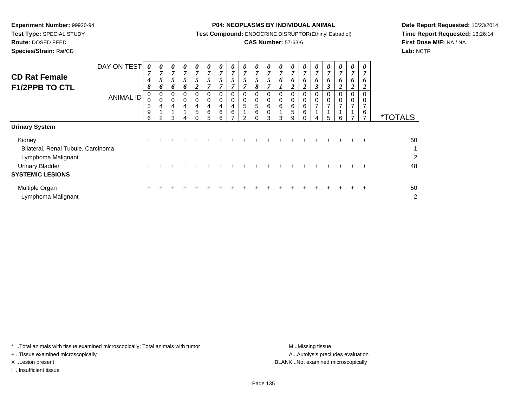**Route:** DOSED FEED

**Species/Strain:** Rat/CD

#### **P04: NEOPLASMS BY INDIVIDUAL ANIMAL**

**Test Compound:** ENDOCRINE DISRUPTOR(Ethinyl Estradiol)

## **CAS Number:** 57-63-6

**Date Report Requested:** 10/23/2014**Time Report Requested:** 13:26:14**First Dose M/F:** NA / NA**Lab:** NCTR

| <b>CD Rat Female</b><br><b>F1/2PPB TO CTL</b>                                                                           | DAY ON TEST<br><b>ANIMAL ID</b> | 0<br>$\overline{7}$<br>$\boldsymbol{4}$<br>8<br>0<br>$\pmb{0}$<br>3<br>$\boldsymbol{9}$<br>6 | 0<br>5 <sup>1</sup><br>6<br>0<br>4<br>$\mathcal{P}$ | $\boldsymbol{\theta}$<br>$\overline{7}$<br>$5\overline{)}$<br>6<br>0<br>$\pmb{0}$<br>4<br>3 | $\boldsymbol{\theta}$<br>$\overline{7}$<br>5<br>6<br>0<br>$\,0\,$<br>$\overline{\mathbf{4}}$ | $\boldsymbol{\theta}$<br>$\overline{7}$<br>5<br>2<br>$\mathbf 0$<br>$\,0\,$<br>4<br>$\overline{5}$ | 0<br>$\overline{7}$<br>$5\overline{)}$<br>7<br>0<br>$\mathbf 0$<br>4<br>6<br>5 | 0<br>7<br>5<br>0<br>$\mathbf 0$<br>4<br>6<br>6 | 0<br>$\overline{7}$<br>5<br>7<br>$\mathbf 0$<br>0<br>4<br>6<br>$\overline{ }$ | 0<br>7<br>5<br>$\overline{ }$<br>0<br>0<br>5<br>$\overline{2}$ | 0<br>$\overline{7}$<br>5<br>8<br>$\mathbf 0$<br>$\pmb{0}$<br>$\sqrt{5}$<br>$\,6\,$<br>$\Omega$ | 0<br>7<br>5<br>7<br>0<br>0<br>6<br>0<br>3 | 0<br>$\overline{7}$<br>6<br>0<br>$\pmb{0}$<br>$\,6\,$<br>3 | 0<br>6<br>0<br>6<br>5<br>9 | 0<br>$\overline{\tau}$<br>6<br>$\overline{2}$<br>$\mathbf 0$<br>$\pmb{0}$<br>6<br>6<br>$\Omega$ | 0<br>$\overline{7}$<br>6<br>$\boldsymbol{\beta}$<br>0<br>0<br>$\overline{ }$<br>4 | 0<br>$\overline{7}$<br>6<br>$\boldsymbol{\beta}$<br>0<br>0<br>$\overline{ }$<br>5 | 0<br>$\overline{7}$<br>6<br>$\overline{2}$<br>0<br>$\overline{ }$<br>6 | 0<br>7<br>6<br>$\overline{2}$<br>$\overline{ }$ | 0<br>7<br>6<br>$\overline{c}$<br>6<br>$\overline{ }$ | <i><b>*TOTALS</b></i>                      |
|-------------------------------------------------------------------------------------------------------------------------|---------------------------------|----------------------------------------------------------------------------------------------|-----------------------------------------------------|---------------------------------------------------------------------------------------------|----------------------------------------------------------------------------------------------|----------------------------------------------------------------------------------------------------|--------------------------------------------------------------------------------|------------------------------------------------|-------------------------------------------------------------------------------|----------------------------------------------------------------|------------------------------------------------------------------------------------------------|-------------------------------------------|------------------------------------------------------------|----------------------------|-------------------------------------------------------------------------------------------------|-----------------------------------------------------------------------------------|-----------------------------------------------------------------------------------|------------------------------------------------------------------------|-------------------------------------------------|------------------------------------------------------|--------------------------------------------|
| <b>Urinary System</b>                                                                                                   |                                 |                                                                                              |                                                     |                                                                                             |                                                                                              |                                                                                                    |                                                                                |                                                |                                                                               |                                                                |                                                                                                |                                           |                                                            |                            |                                                                                                 |                                                                                   |                                                                                   |                                                                        |                                                 |                                                      |                                            |
| Kidney<br>Bilateral, Renal Tubule, Carcinoma<br>Lymphoma Malignant<br><b>Urinary Bladder</b><br><b>SYSTEMIC LESIONS</b> |                                 | $\div$<br>$\div$                                                                             |                                                     |                                                                                             |                                                                                              |                                                                                                    |                                                                                |                                                |                                                                               |                                                                |                                                                                                |                                           |                                                            |                            |                                                                                                 |                                                                                   |                                                                                   |                                                                        |                                                 | ÷<br>$\div$                                          | 50<br>$\mathbf{1}$<br>$\overline{2}$<br>48 |
| Multiple Organ<br>Lymphoma Malignant                                                                                    |                                 | ÷                                                                                            |                                                     |                                                                                             |                                                                                              |                                                                                                    |                                                                                |                                                |                                                                               |                                                                |                                                                                                |                                           |                                                            |                            |                                                                                                 |                                                                                   |                                                                                   |                                                                        |                                                 | $\pm$                                                | 50<br>$\overline{2}$                       |

\* ..Total animals with tissue examined microscopically; Total animals with tumor **M** . Missing tissue M ..Missing tissue

+ ..Tissue examined microscopically

I ..Insufficient tissue

A ..Autolysis precludes evaluation X ..Lesion present BLANK ..Not examined microscopically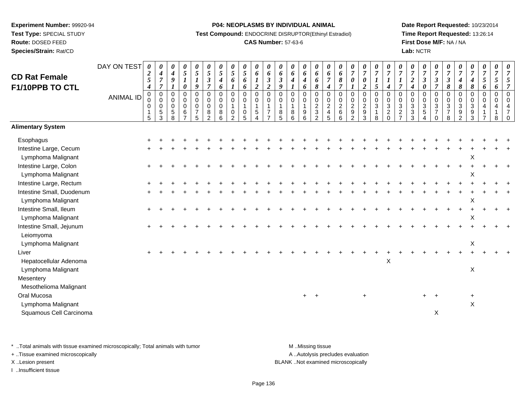**Route:** DOSED FEED

**Species/Strain:** Rat/CD

#### **P04: NEOPLASMS BY INDIVIDUAL ANIMAL**

**Test Compound:** ENDOCRINE DISRUPTOR(Ethinyl Estradiol)

## **CAS Number:** 57-63-6

**Date Report Requested:** 10/23/2014**Time Report Requested:** 13:26:14**First Dose M/F:** NA / NA**Lab:** NCTR

| <b>CD Rat Female</b><br>F1/10PPB TO CTL                                                                   | DAY ON TEST<br><b>ANIMAL ID</b> | 0<br>$\overline{a}$<br>5<br>4<br>$\mathbf 0$<br>0<br>$\mathbf 0$<br>1<br>5 | 0<br>$\boldsymbol{4}$<br>$\boldsymbol{7}$<br>$\overline{7}$<br>$\pmb{0}$<br>0<br>$\mathbf 0$<br>5<br>3 | 0<br>$\boldsymbol{4}$<br>9<br>$\mathbf 0$<br>$\mathbf 0$<br>$\pmb{0}$<br>5<br>8 | $\pmb{\theta}$<br>$\mathfrak{s}$<br>$\boldsymbol{l}$<br>$\boldsymbol{\theta}$<br>0<br>0<br>$\mathsf{O}\xspace$<br>$\,6\,$<br>$\overline{ }$ | $\boldsymbol{\theta}$<br>5<br>$\boldsymbol{l}$<br>$\boldsymbol{g}$<br>$\overline{0}$<br>$\mathbf 0$<br>$\mathbf 0$<br>$\overline{7}$<br>5 | 0<br>5<br>$\mathfrak{z}$<br>$\overline{7}$<br>$\mathbf 0$<br>$\pmb{0}$<br>$\mathbf 0$<br>8<br>2 | 0<br>5<br>$\boldsymbol{4}$<br>6<br>$\mathbf 0$<br>$\mathbf 0$<br>$\pmb{0}$<br>8<br>6 | 0<br>5<br>6<br>$\boldsymbol{l}$<br>$\overline{0}$<br>0<br>$\mathbf{1}$<br>0<br>$\mathfrak{p}$ | $\pmb{\theta}$<br>$\mathfrak{s}$<br>6<br>6<br>$\mathbf 0$<br>$\pmb{0}$<br>$\mathbf{1}$<br>$\pmb{0}$<br>5 | $\pmb{\theta}$<br>6<br>$\boldsymbol{l}$<br>$\boldsymbol{2}$<br>$\overline{0}$<br>$\pmb{0}$<br>$\mathbf{1}$<br>$\sqrt{5}$<br>4 | $\boldsymbol{\theta}$<br>6<br>$\boldsymbol{\beta}$<br>$\overline{2}$<br>$\mathbf 0$<br>0<br>$\overline{1}$<br>$\overline{7}$<br>$\overline{ }$ | 0<br>6<br>$\mathfrak{z}$<br>9<br>$\mathbf 0$<br>0<br>$\overline{1}$<br>8<br>$\overline{5}$ | 0<br>6<br>4<br>0<br>0<br>$\mathbf{1}$<br>8<br>6 | 0<br>6<br>$\boldsymbol{4}$<br>6<br>0<br>0<br>$\mathbf{1}$<br>9<br>6 | 0<br>6<br>6<br>8<br>$\mathbf 0$<br>$\mathbf 0$<br>$\overline{c}$<br>$\sqrt{3}$<br>2 | 0<br>6<br>$\overline{7}$<br>$\boldsymbol{4}$<br>$\mathbf 0$<br>$\mathbf 0$<br>$\overline{c}$<br>$\overline{4}$<br>5 | 0<br>6<br>$\pmb{8}$<br>$\overline{7}$<br>$\mathbf 0$<br>$\pmb{0}$<br>$\overline{c}$<br>$\,6\,$<br>6 | $\pmb{\theta}$<br>$\overline{7}$<br>$\boldsymbol{\theta}$<br>$\boldsymbol{l}$<br>$\pmb{0}$<br>$\pmb{0}$<br>$\overline{c}$<br>$\boldsymbol{9}$<br>2 | 0<br>$\boldsymbol{7}$<br>$\pmb{\theta}$<br>$\boldsymbol{2}$<br>$\pmb{0}$<br>$\mathsf 0$<br>$\overline{a}$<br>9<br>3 | 0<br>$\overline{7}$<br>$\boldsymbol{l}$<br>5<br>$\overline{0}$<br>0<br>3<br>$\mathbf{1}$<br>8 | 0<br>$\overline{7}$<br>$\boldsymbol{l}$<br>$\boldsymbol{4}$<br>$\Omega$<br>$\pmb{0}$<br>$\sqrt{3}$<br>$\boldsymbol{2}$<br>$\Omega$ | 0<br>$\overline{7}$<br>$\overline{7}$<br>$\mathbf 0$<br>$\pmb{0}$<br>$\mathbf{3}$<br>$\sqrt{2}$<br>$\overline{ }$ | $\boldsymbol{\theta}$<br>$\overline{7}$<br>$\boldsymbol{2}$<br>$\boldsymbol{4}$<br>0<br>$\pmb{0}$<br>$\mathbf{3}$<br>$\mathbf{3}$<br>3 | $\boldsymbol{\theta}$<br>$\overline{7}$<br>$\mathfrak{z}$<br>$\boldsymbol{\theta}$<br>$\mathbf 0$<br>$\pmb{0}$<br>$\mathbf{3}$<br>$\overline{5}$<br>4 | 0<br>$\overline{7}$<br>$\overline{\mathbf{3}}$<br>$\overline{7}$<br>$\mathbf 0$<br>$\mathbf 0$<br>$\mathbf{3}$<br>$\overline{7}$<br>$\Omega$ | 0<br>$\boldsymbol{7}$<br>$\boldsymbol{\beta}$<br>8<br>$\mathbf 0$<br>$\mathbf 0$<br>$\mathbf 3$<br>$\overline{7}$<br>8 | 0<br>$\overline{7}$<br>$\boldsymbol{4}$<br>8<br>$\mathbf 0$<br>$\pmb{0}$<br>$\sqrt{3}$<br>9<br>2 | 0<br>$\overline{7}$<br>$\boldsymbol{4}$<br>$\boldsymbol{\delta}$<br>$\mathsf 0$<br>$\mathbf 0$<br>$\mathbf{3}$<br>9<br>3 | $\pmb{\theta}$<br>$\boldsymbol{7}$<br>$\mathfrak{s}$<br>6<br>$\overline{0}$<br>$\mathbf 0$<br>$\overline{4}$<br>$\overline{\mathbf{1}}$<br>$\overline{7}$ | 0<br>$\overline{7}$<br>$\mathfrak{s}$<br>6<br>$\pmb{0}$<br>$\mathbf 0$<br>4<br>1<br>8 | $\overline{7}$<br>7<br>$\Omega$<br>$\Omega$<br>$\overline{A}$<br>$\overline{7}$<br>$\Omega$ |
|-----------------------------------------------------------------------------------------------------------|---------------------------------|----------------------------------------------------------------------------|--------------------------------------------------------------------------------------------------------|---------------------------------------------------------------------------------|---------------------------------------------------------------------------------------------------------------------------------------------|-------------------------------------------------------------------------------------------------------------------------------------------|-------------------------------------------------------------------------------------------------|--------------------------------------------------------------------------------------|-----------------------------------------------------------------------------------------------|----------------------------------------------------------------------------------------------------------|-------------------------------------------------------------------------------------------------------------------------------|------------------------------------------------------------------------------------------------------------------------------------------------|--------------------------------------------------------------------------------------------|-------------------------------------------------|---------------------------------------------------------------------|-------------------------------------------------------------------------------------|---------------------------------------------------------------------------------------------------------------------|-----------------------------------------------------------------------------------------------------|----------------------------------------------------------------------------------------------------------------------------------------------------|---------------------------------------------------------------------------------------------------------------------|-----------------------------------------------------------------------------------------------|------------------------------------------------------------------------------------------------------------------------------------|-------------------------------------------------------------------------------------------------------------------|----------------------------------------------------------------------------------------------------------------------------------------|-------------------------------------------------------------------------------------------------------------------------------------------------------|----------------------------------------------------------------------------------------------------------------------------------------------|------------------------------------------------------------------------------------------------------------------------|--------------------------------------------------------------------------------------------------|--------------------------------------------------------------------------------------------------------------------------|-----------------------------------------------------------------------------------------------------------------------------------------------------------|---------------------------------------------------------------------------------------|---------------------------------------------------------------------------------------------|
| <b>Alimentary System</b>                                                                                  |                                 |                                                                            |                                                                                                        |                                                                                 |                                                                                                                                             |                                                                                                                                           |                                                                                                 |                                                                                      |                                                                                               |                                                                                                          |                                                                                                                               |                                                                                                                                                |                                                                                            |                                                 |                                                                     |                                                                                     |                                                                                                                     |                                                                                                     |                                                                                                                                                    |                                                                                                                     |                                                                                               |                                                                                                                                    |                                                                                                                   |                                                                                                                                        |                                                                                                                                                       |                                                                                                                                              |                                                                                                                        |                                                                                                  |                                                                                                                          |                                                                                                                                                           |                                                                                       |                                                                                             |
| Esophagus<br>Intestine Large, Cecum<br>Lymphoma Malignant<br>Intestine Large, Colon<br>Lymphoma Malignant |                                 |                                                                            |                                                                                                        |                                                                                 |                                                                                                                                             |                                                                                                                                           |                                                                                                 |                                                                                      |                                                                                               |                                                                                                          |                                                                                                                               |                                                                                                                                                |                                                                                            |                                                 |                                                                     |                                                                                     |                                                                                                                     |                                                                                                     |                                                                                                                                                    |                                                                                                                     |                                                                                               |                                                                                                                                    |                                                                                                                   |                                                                                                                                        |                                                                                                                                                       |                                                                                                                                              |                                                                                                                        |                                                                                                  | X                                                                                                                        |                                                                                                                                                           |                                                                                       |                                                                                             |
| Intestine Large, Rectum<br>Intestine Small, Duodenum<br>Lymphoma Malignant                                |                                 |                                                                            |                                                                                                        |                                                                                 |                                                                                                                                             |                                                                                                                                           |                                                                                                 |                                                                                      |                                                                                               |                                                                                                          |                                                                                                                               |                                                                                                                                                |                                                                                            |                                                 |                                                                     |                                                                                     |                                                                                                                     |                                                                                                     |                                                                                                                                                    |                                                                                                                     |                                                                                               |                                                                                                                                    |                                                                                                                   |                                                                                                                                        |                                                                                                                                                       |                                                                                                                                              |                                                                                                                        |                                                                                                  | Χ<br>X                                                                                                                   |                                                                                                                                                           |                                                                                       |                                                                                             |
| Intestine Small, Ileum<br>Lymphoma Malignant<br>Intestine Small, Jejunum<br>Leiomyoma                     |                                 |                                                                            |                                                                                                        |                                                                                 |                                                                                                                                             |                                                                                                                                           |                                                                                                 |                                                                                      |                                                                                               |                                                                                                          |                                                                                                                               |                                                                                                                                                |                                                                                            |                                                 |                                                                     |                                                                                     |                                                                                                                     |                                                                                                     |                                                                                                                                                    |                                                                                                                     |                                                                                               |                                                                                                                                    |                                                                                                                   |                                                                                                                                        |                                                                                                                                                       |                                                                                                                                              |                                                                                                                        |                                                                                                  | X                                                                                                                        |                                                                                                                                                           |                                                                                       |                                                                                             |
| Lymphoma Malignant<br>Liver<br>Hepatocellular Adenoma<br>Lymphoma Malignant<br>Mesentery                  |                                 |                                                                            |                                                                                                        |                                                                                 |                                                                                                                                             |                                                                                                                                           |                                                                                                 |                                                                                      |                                                                                               |                                                                                                          |                                                                                                                               |                                                                                                                                                |                                                                                            |                                                 |                                                                     |                                                                                     |                                                                                                                     |                                                                                                     |                                                                                                                                                    |                                                                                                                     |                                                                                               | X                                                                                                                                  |                                                                                                                   |                                                                                                                                        |                                                                                                                                                       |                                                                                                                                              |                                                                                                                        |                                                                                                  | X<br>X                                                                                                                   |                                                                                                                                                           |                                                                                       |                                                                                             |
| Mesothelioma Malignant<br>Oral Mucosa<br>Lymphoma Malignant<br>Squamous Cell Carcinoma                    |                                 |                                                                            |                                                                                                        |                                                                                 |                                                                                                                                             |                                                                                                                                           |                                                                                                 |                                                                                      |                                                                                               |                                                                                                          |                                                                                                                               |                                                                                                                                                |                                                                                            |                                                 | $+$                                                                 | $+$                                                                                 |                                                                                                                     |                                                                                                     |                                                                                                                                                    |                                                                                                                     |                                                                                               |                                                                                                                                    |                                                                                                                   |                                                                                                                                        |                                                                                                                                                       | X                                                                                                                                            |                                                                                                                        |                                                                                                  | $\ddot{}$<br>$\boldsymbol{\mathsf{X}}$                                                                                   |                                                                                                                                                           |                                                                                       |                                                                                             |

\* ..Total animals with tissue examined microscopically; Total animals with tumor **M** . Missing tissue M ..Missing tissue

+ ..Tissue examined microscopically

I ..Insufficient tissue

A ..Autolysis precludes evaluation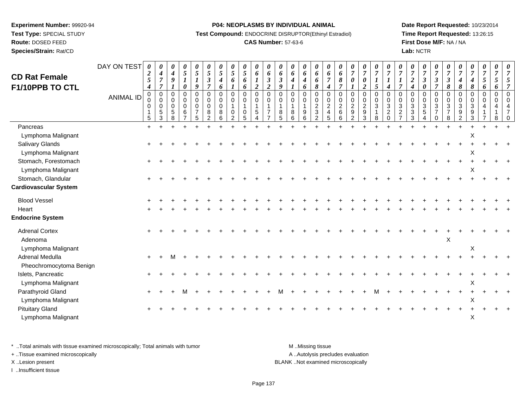**Route:** DOSED FEED

**Species/Strain:** Rat/CD

#### **P04: NEOPLASMS BY INDIVIDUAL ANIMAL**

**Test Compound:** ENDOCRINE DISRUPTOR(Ethinyl Estradiol)

## **CAS Number:** 57-63-6

**Date Report Requested:** 10/23/2014**Time Report Requested:** 13:26:15**First Dose M/F:** NA / NA**Lab:** NCTR

| <b>CD Rat Female</b>                         | DAY ON TEST | 0<br>$\boldsymbol{2}$<br>5                                              | 0<br>$\boldsymbol{4}$<br>$\overline{7}$                            | $\boldsymbol{\theta}$<br>4<br>9             | 0<br>5                                     | 0<br>$\mathfrak{s}$<br>$\boldsymbol{l}$                  | $\boldsymbol{\theta}$<br>$\overline{5}$<br>$\mathfrak{z}$      | $\boldsymbol{\theta}$<br>5<br>$\boldsymbol{4}$ | $\boldsymbol{\theta}$<br>$\overline{5}$<br>6                         | $\boldsymbol{\theta}$<br>$\mathfrak{s}$<br>6           | $\boldsymbol{\theta}$<br>6<br>$\boldsymbol{l}$                         | 0<br>6<br>$\mathfrak{z}$                                         | $\boldsymbol{\theta}$<br>6<br>$\boldsymbol{\beta}$ | $\boldsymbol{\theta}$<br>6<br>$\boldsymbol{4}$ | 0<br>6<br>$\boldsymbol{4}$             | $\boldsymbol{\theta}$<br>$\boldsymbol{6}$<br>6                             | $\boldsymbol{\theta}$<br>$\boldsymbol{6}$<br>$\overline{7}$                          | 6<br>8                                                                | $\boldsymbol{\theta}$<br>$\overline{7}$<br>0                          | $\boldsymbol{\theta}$<br>$\overline{7}$<br>$\boldsymbol{\theta}$                     | U<br>$\overline{7}$                               | $\boldsymbol{\theta}$<br>$\overline{7}$<br>$\boldsymbol{l}$       | $\overline{7}$                                                        | $\boldsymbol{\theta}$<br>$\overline{7}$<br>$\boldsymbol{2}$          | 0<br>$\overline{7}$<br>$\overline{\mathbf{3}}$         | $\boldsymbol{\theta}$<br>$\overline{7}$<br>$\overline{\mathbf{3}}$ | $\overline{7}$<br>$\mathfrak{z}$               | $\boldsymbol{\theta}$<br>$\overline{7}$<br>$\boldsymbol{4}$ | $\boldsymbol{\theta}$<br>$\overline{7}$<br>$\boldsymbol{4}$         | $\boldsymbol{\theta}$<br>$\boldsymbol{7}$<br>5         | $\boldsymbol{\theta}$<br>$\overline{7}$<br>5 |  |
|----------------------------------------------|-------------|-------------------------------------------------------------------------|--------------------------------------------------------------------|---------------------------------------------|--------------------------------------------|----------------------------------------------------------|----------------------------------------------------------------|------------------------------------------------|----------------------------------------------------------------------|--------------------------------------------------------|------------------------------------------------------------------------|------------------------------------------------------------------|----------------------------------------------------|------------------------------------------------|----------------------------------------|----------------------------------------------------------------------------|--------------------------------------------------------------------------------------|-----------------------------------------------------------------------|-----------------------------------------------------------------------|--------------------------------------------------------------------------------------|---------------------------------------------------|-------------------------------------------------------------------|-----------------------------------------------------------------------|----------------------------------------------------------------------|--------------------------------------------------------|--------------------------------------------------------------------|------------------------------------------------|-------------------------------------------------------------|---------------------------------------------------------------------|--------------------------------------------------------|----------------------------------------------|--|
| F1/10PPB TO CTL                              | ANIMAL ID   | $\boldsymbol{4}$<br>$\mathbf 0$<br>$\mathbf 0$<br>$\mathbf 0$<br>1<br>5 | $\overline{7}$<br>$\Omega$<br>$\mathbf 0$<br>$\mathbf 0$<br>5<br>3 | 1<br>$\Omega$<br>0<br>$\mathbf 0$<br>5<br>8 | 0<br>$\Omega$<br>$\Omega$<br>$\Omega$<br>6 | 9<br>$\Omega$<br>0<br>$\mathbf 0$<br>$\overline{7}$<br>5 | $\overline{7}$<br>$\Omega$<br>$\pmb{0}$<br>$\pmb{0}$<br>8<br>2 | 6<br>$\Omega$<br>0<br>$\mathbf 0$<br>8<br>6    | $\boldsymbol{l}$<br>$\Omega$<br>$\mathbf 0$<br>1<br>$\mathbf 0$<br>2 | 6<br>$\Omega$<br>$\mathbf 0$<br>$\mathbf{1}$<br>0<br>5 | $\boldsymbol{2}$<br>$\mathbf 0$<br>$\pmb{0}$<br>$\mathbf{1}$<br>5<br>4 | $\overline{2}$<br>$\Omega$<br>$\mathbf 0$<br>$\overline{7}$<br>7 | 9<br>$\Omega$<br>0<br>$\mathbf{1}$<br>8<br>5       | $\Omega$<br>$\Omega$<br>8<br>6                 | 6<br>$\Omega$<br>$\mathbf 0$<br>9<br>6 | 8<br>$\Omega$<br>$\mathbf 0$<br>$\sqrt{2}$<br>$\sqrt{3}$<br>$\overline{2}$ | $\boldsymbol{4}$<br>$\Omega$<br>$\mathbf 0$<br>$\overline{c}$<br>$\overline{a}$<br>5 | $\overline{7}$<br>$\Omega$<br>$\mathbf 0$<br>$\overline{c}$<br>6<br>6 | $\Omega$<br>0<br>$\overline{c}$<br>$\boldsymbol{9}$<br>$\overline{2}$ | $\boldsymbol{2}$<br>$\Omega$<br>$\mathbf 0$<br>$\overline{c}$<br>9<br>$\overline{3}$ | 5<br>$\Omega$<br>$\pmb{0}$<br>$\mathfrak{Z}$<br>8 | $\boldsymbol{4}$<br>$\Omega$<br>0<br>$\mathbf{3}$<br>$^2_{\rm 0}$ | 7<br>$\Omega$<br>$\mathbf 0$<br>3<br>$\overline{2}$<br>$\overline{7}$ | $\boldsymbol{4}$<br>$\Omega$<br>0<br>$\mathbf{3}$<br>$\sqrt{3}$<br>3 | 0<br>$\Omega$<br>$\mathbf 0$<br>$\mathbf{3}$<br>5<br>4 | $\overline{7}$<br>$\Omega$<br>0<br>3<br>$\overline{7}$<br>0        | 8<br>$\Omega$<br>0<br>3<br>$\overline{7}$<br>8 | 8<br>$\Omega$<br>0<br>3<br>9<br>2                           | 8<br>$\Omega$<br>$\mathbf 0$<br>$\mathbf{3}$<br>9<br>$\overline{3}$ | 6<br>$\Omega$<br>0<br>$\overline{4}$<br>$\overline{7}$ | 6<br>$\Omega$<br>0<br>4<br>8                 |  |
| Pancreas                                     |             | $+$                                                                     | $\ddot{}$                                                          |                                             |                                            |                                                          |                                                                |                                                |                                                                      |                                                        |                                                                        |                                                                  |                                                    |                                                |                                        |                                                                            |                                                                                      |                                                                       |                                                                       |                                                                                      |                                                   |                                                                   |                                                                       |                                                                      |                                                        |                                                                    |                                                |                                                             |                                                                     |                                                        |                                              |  |
| Lymphoma Malignant                           |             |                                                                         |                                                                    |                                             |                                            |                                                          |                                                                |                                                |                                                                      |                                                        |                                                                        |                                                                  |                                                    |                                                |                                        |                                                                            |                                                                                      |                                                                       |                                                                       |                                                                                      |                                                   |                                                                   |                                                                       |                                                                      |                                                        |                                                                    |                                                |                                                             | X                                                                   |                                                        |                                              |  |
| Salivary Glands                              |             |                                                                         |                                                                    |                                             |                                            |                                                          |                                                                |                                                |                                                                      |                                                        |                                                                        |                                                                  |                                                    |                                                |                                        |                                                                            |                                                                                      |                                                                       |                                                                       |                                                                                      |                                                   |                                                                   |                                                                       |                                                                      |                                                        |                                                                    |                                                |                                                             |                                                                     |                                                        |                                              |  |
| Lymphoma Malignant                           |             |                                                                         |                                                                    |                                             |                                            |                                                          |                                                                |                                                |                                                                      |                                                        |                                                                        |                                                                  |                                                    |                                                |                                        |                                                                            |                                                                                      |                                                                       |                                                                       |                                                                                      |                                                   |                                                                   |                                                                       |                                                                      |                                                        |                                                                    |                                                |                                                             | X                                                                   |                                                        |                                              |  |
| Stomach, Forestomach                         |             |                                                                         |                                                                    |                                             |                                            |                                                          |                                                                |                                                |                                                                      |                                                        |                                                                        |                                                                  |                                                    |                                                |                                        |                                                                            |                                                                                      |                                                                       |                                                                       |                                                                                      |                                                   |                                                                   |                                                                       |                                                                      |                                                        |                                                                    |                                                |                                                             |                                                                     |                                                        |                                              |  |
| Lymphoma Malignant                           |             |                                                                         |                                                                    |                                             |                                            |                                                          |                                                                |                                                |                                                                      |                                                        |                                                                        |                                                                  |                                                    |                                                |                                        |                                                                            |                                                                                      |                                                                       |                                                                       |                                                                                      |                                                   |                                                                   |                                                                       |                                                                      |                                                        |                                                                    |                                                |                                                             | Χ                                                                   |                                                        |                                              |  |
| Stomach, Glandular                           |             |                                                                         |                                                                    |                                             |                                            |                                                          |                                                                |                                                |                                                                      |                                                        |                                                                        |                                                                  |                                                    |                                                |                                        |                                                                            |                                                                                      |                                                                       |                                                                       |                                                                                      |                                                   |                                                                   |                                                                       |                                                                      |                                                        |                                                                    |                                                |                                                             |                                                                     |                                                        |                                              |  |
| <b>Cardiovascular System</b>                 |             |                                                                         |                                                                    |                                             |                                            |                                                          |                                                                |                                                |                                                                      |                                                        |                                                                        |                                                                  |                                                    |                                                |                                        |                                                                            |                                                                                      |                                                                       |                                                                       |                                                                                      |                                                   |                                                                   |                                                                       |                                                                      |                                                        |                                                                    |                                                |                                                             |                                                                     |                                                        |                                              |  |
| <b>Blood Vessel</b>                          |             |                                                                         |                                                                    |                                             |                                            |                                                          |                                                                |                                                |                                                                      |                                                        |                                                                        |                                                                  |                                                    |                                                |                                        |                                                                            |                                                                                      |                                                                       |                                                                       |                                                                                      |                                                   |                                                                   |                                                                       |                                                                      |                                                        |                                                                    |                                                |                                                             |                                                                     |                                                        |                                              |  |
| Heart                                        |             |                                                                         |                                                                    |                                             |                                            |                                                          |                                                                |                                                |                                                                      |                                                        |                                                                        |                                                                  |                                                    |                                                |                                        |                                                                            |                                                                                      |                                                                       |                                                                       |                                                                                      |                                                   |                                                                   |                                                                       |                                                                      |                                                        |                                                                    |                                                |                                                             |                                                                     |                                                        |                                              |  |
| <b>Endocrine System</b>                      |             |                                                                         |                                                                    |                                             |                                            |                                                          |                                                                |                                                |                                                                      |                                                        |                                                                        |                                                                  |                                                    |                                                |                                        |                                                                            |                                                                                      |                                                                       |                                                                       |                                                                                      |                                                   |                                                                   |                                                                       |                                                                      |                                                        |                                                                    |                                                |                                                             |                                                                     |                                                        |                                              |  |
| <b>Adrenal Cortex</b><br>Adenoma             |             |                                                                         |                                                                    |                                             |                                            |                                                          |                                                                |                                                |                                                                      |                                                        |                                                                        |                                                                  |                                                    |                                                |                                        |                                                                            |                                                                                      |                                                                       |                                                                       |                                                                                      |                                                   |                                                                   |                                                                       |                                                                      |                                                        |                                                                    | X                                              |                                                             | $\mathsf X$                                                         |                                                        |                                              |  |
| Lymphoma Malignant                           |             |                                                                         |                                                                    |                                             |                                            |                                                          |                                                                |                                                |                                                                      |                                                        |                                                                        |                                                                  |                                                    |                                                |                                        |                                                                            |                                                                                      |                                                                       |                                                                       |                                                                                      |                                                   |                                                                   |                                                                       |                                                                      |                                                        |                                                                    |                                                |                                                             |                                                                     |                                                        |                                              |  |
| Adrenal Medulla<br>Pheochromocytoma Benign   |             |                                                                         |                                                                    |                                             |                                            |                                                          |                                                                |                                                |                                                                      |                                                        |                                                                        |                                                                  |                                                    |                                                |                                        |                                                                            |                                                                                      |                                                                       |                                                                       |                                                                                      |                                                   |                                                                   |                                                                       |                                                                      |                                                        |                                                                    |                                                |                                                             |                                                                     |                                                        |                                              |  |
| Islets, Pancreatic<br>Lymphoma Malignant     |             |                                                                         |                                                                    |                                             |                                            |                                                          |                                                                |                                                |                                                                      |                                                        |                                                                        |                                                                  |                                                    |                                                |                                        |                                                                            |                                                                                      |                                                                       |                                                                       |                                                                                      |                                                   |                                                                   |                                                                       |                                                                      |                                                        |                                                                    |                                                |                                                             | Χ                                                                   |                                                        |                                              |  |
| Parathyroid Gland<br>Lymphoma Malignant      |             |                                                                         |                                                                    |                                             |                                            |                                                          |                                                                |                                                |                                                                      |                                                        |                                                                        |                                                                  |                                                    |                                                |                                        |                                                                            |                                                                                      |                                                                       |                                                                       |                                                                                      |                                                   |                                                                   |                                                                       |                                                                      |                                                        |                                                                    |                                                |                                                             | X                                                                   |                                                        |                                              |  |
| <b>Pituitary Gland</b><br>Lymphoma Malignant |             |                                                                         |                                                                    |                                             |                                            |                                                          |                                                                |                                                |                                                                      |                                                        |                                                                        |                                                                  |                                                    |                                                |                                        |                                                                            |                                                                                      |                                                                       |                                                                       |                                                                                      |                                                   |                                                                   |                                                                       |                                                                      |                                                        |                                                                    |                                                |                                                             | X                                                                   |                                                        |                                              |  |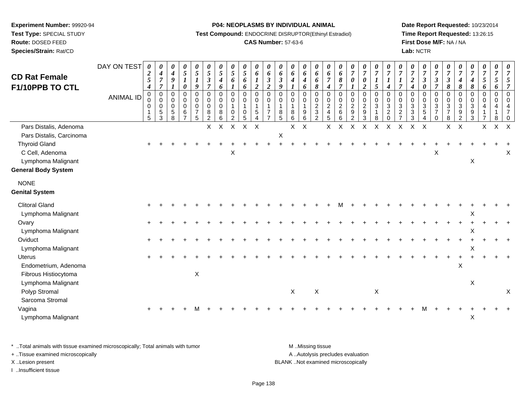**Route:** DOSED FEED

**Species/Strain:** Rat/CD

#### **P04: NEOPLASMS BY INDIVIDUAL ANIMAL**

**Test Compound:** ENDOCRINE DISRUPTOR(Ethinyl Estradiol)

## **CAS Number:** 57-63-6

**Date Report Requested:** 10/23/2014**Time Report Requested:** 13:26:15**First Dose M/F:** NA / NA**Lab:** NCTR

| <b>CD Rat Female</b><br>F1/10PPB TO CTL                                                                                                           | DAY ON TEST<br><b>ANIMAL ID</b> | 0<br>$\boldsymbol{2}$<br>5<br>$\boldsymbol{4}$<br>0<br>$\mathbf 0$<br>0<br>1<br>5 | 0<br>$\boldsymbol{4}$<br>$\overline{7}$<br>$\overline{7}$<br>$\pmb{0}$<br>$\ddot{\mathbf{0}}$<br>$\mathsf 0$<br>$\sqrt{5}$<br>3 | $\boldsymbol{\theta}$<br>$\boldsymbol{4}$<br>9<br>$\mathbf 0$<br>$\mathbf 0$<br>0<br>$\sqrt{5}$<br>8 | 0<br>$\sqrt{5}$<br>$\boldsymbol{\theta}$<br>$\mathbf 0$<br>$\mathbf 0$<br>$\mathbf 0$<br>$\,6$<br>$\overline{ }$ | 0<br>$\overline{5}$<br>$\boldsymbol{l}$<br>9<br>0<br>0<br>$\mathbf 0$<br>$\overline{7}$<br>5 | $\boldsymbol{\theta}$<br>$\overline{5}$<br>$\boldsymbol{\beta}$<br>$\overline{7}$<br>$\pmb{0}$<br>$\mathbf 0$<br>$\mathbf 0$<br>8<br>$\overline{2}$ | 0<br>5<br>4<br>6<br>$\mathbf 0$<br>$\mathbf 0$<br>0<br>8<br>6 | 0<br>5<br>6<br>$\boldsymbol{l}$<br>0<br>$\mathbf 0$<br>1<br>0<br>2 | 0<br>5<br>6<br>6<br>$\pmb{0}$<br>0<br>1<br>0<br>5 | 0<br>6<br>$\boldsymbol{l}$<br>$\overline{2}$<br>$\mathsf 0$<br>0<br>5<br>4 | 0<br>$\pmb{6}$<br>$\boldsymbol{\beta}$<br>$\overline{2}$<br>$\boldsymbol{0}$<br>$\mathbf 0$<br>$\overline{1}$<br>$\overline{7}$<br>$\overline{7}$ | 0<br>6<br>$\boldsymbol{\beta}$<br>9<br>$\mathbf 0$<br>$\mathbf 0$<br>$\mathbf{1}$<br>8<br>5 | $\boldsymbol{\theta}$<br>6<br>$\boldsymbol{4}$<br>$\mathbf 0$<br>$\mathbf 0$<br>$\mathbf 1$<br>8<br>6 | 0<br>6<br>4<br>6<br>$\Omega$<br>$\mathbf 0$<br>9<br>6 | 0<br>6<br>6<br>8<br>$\mathbf 0$<br>0<br>$\overline{c}$<br>$\ensuremath{\mathsf{3}}$<br>$\overline{2}$ | 0<br>6<br>$\overline{7}$<br>$\boldsymbol{4}$<br>$\pmb{0}$<br>$\pmb{0}$<br>$\sqrt{2}$<br>$\overline{4}$<br>5 | $\boldsymbol{\theta}$<br>6<br>8<br>$\overline{7}$<br>$\mathbf 0$<br>$\mathbf 0$<br>$\overline{c}$<br>6<br>6 | $\boldsymbol{\theta}$<br>$\overline{7}$<br>$\boldsymbol{\theta}$<br>$\boldsymbol{l}$<br>$\mathbf 0$<br>$\mathbf 0$<br>$\overline{c}$<br>$\boldsymbol{9}$<br>$\overline{2}$ | 0<br>$\overline{7}$<br>$\boldsymbol{\theta}$<br>$\overline{\mathbf{c}}$<br>0<br>$\mathbf 0$<br>$\boldsymbol{2}$<br>$9\,$<br>$\mathbf{3}$ | 0<br>$\overline{7}$<br>$\boldsymbol{l}$<br>5<br>$\pmb{0}$<br>0<br>$\mathbf{3}$<br>$\mathbf{1}$<br>8 | 0<br>$\overline{7}$<br>$\boldsymbol{l}$<br>4<br>$\mathbf 0$<br>0<br>3<br>$\overline{a}$<br>$\mathbf 0$ | $\boldsymbol{\theta}$<br>$\overline{7}$<br>$\boldsymbol{l}$<br>$\overline{7}$<br>$\mathbf 0$<br>$\mathbf 0$<br>3<br>$\overline{c}$<br>$\overline{7}$ | $\boldsymbol{\theta}$<br>$\overline{7}$<br>$\overline{2}$<br>$\boldsymbol{4}$<br>$\mathbf 0$<br>$\mathbf 0$<br>$\mathbf{3}$<br>$\sqrt{3}$<br>3 | 0<br>$\overline{7}$<br>$\boldsymbol{\beta}$<br>$\boldsymbol{\theta}$<br>$\mathbf 0$<br>$\mathbf 0$<br>3<br>$\sqrt{5}$<br>$\overline{4}$ | 0<br>$\boldsymbol{7}$<br>$\boldsymbol{\beta}$<br>$\overline{7}$<br>$\mathbf 0$<br>$\mathbf 0$<br>$\mathbf{3}$<br>$\overline{7}$<br>$\Omega$ | $\boldsymbol{\theta}$<br>$\overline{7}$<br>$\boldsymbol{\beta}$<br>$\pmb{8}$<br>$\mathbf 0$<br>$\overline{0}$<br>$\mathbf{3}$<br>$\overline{7}$<br>8 | 0<br>$\overline{7}$<br>4<br>8<br>$\mathbf 0$<br>$\mathbf 0$<br>$\ensuremath{\mathsf{3}}$<br>$\frac{9}{2}$ | 0<br>$\overline{7}$<br>$\boldsymbol{4}$<br>8<br>0<br>0<br>3<br>$\frac{9}{3}$ | 0<br>$\overline{7}$<br>$\sqrt{5}$<br>6<br>0<br>$\pmb{0}$<br>$\overline{4}$<br>-1<br>$\overline{7}$ | $\boldsymbol{\theta}$<br>7<br>5<br>6<br>$\pmb{0}$<br>$\mathbf 0$<br>$\overline{4}$<br>8 | $\Omega$      |
|---------------------------------------------------------------------------------------------------------------------------------------------------|---------------------------------|-----------------------------------------------------------------------------------|---------------------------------------------------------------------------------------------------------------------------------|------------------------------------------------------------------------------------------------------|------------------------------------------------------------------------------------------------------------------|----------------------------------------------------------------------------------------------|-----------------------------------------------------------------------------------------------------------------------------------------------------|---------------------------------------------------------------|--------------------------------------------------------------------|---------------------------------------------------|----------------------------------------------------------------------------|---------------------------------------------------------------------------------------------------------------------------------------------------|---------------------------------------------------------------------------------------------|-------------------------------------------------------------------------------------------------------|-------------------------------------------------------|-------------------------------------------------------------------------------------------------------|-------------------------------------------------------------------------------------------------------------|-------------------------------------------------------------------------------------------------------------|----------------------------------------------------------------------------------------------------------------------------------------------------------------------------|------------------------------------------------------------------------------------------------------------------------------------------|-----------------------------------------------------------------------------------------------------|--------------------------------------------------------------------------------------------------------|------------------------------------------------------------------------------------------------------------------------------------------------------|------------------------------------------------------------------------------------------------------------------------------------------------|-----------------------------------------------------------------------------------------------------------------------------------------|---------------------------------------------------------------------------------------------------------------------------------------------|------------------------------------------------------------------------------------------------------------------------------------------------------|-----------------------------------------------------------------------------------------------------------|------------------------------------------------------------------------------|----------------------------------------------------------------------------------------------------|-----------------------------------------------------------------------------------------|---------------|
| Pars Distalis, Adenoma<br>Pars Distalis, Carcinoma<br><b>Thyroid Gland</b><br>C Cell, Adenoma<br>Lymphoma Malignant<br><b>General Body System</b> |                                 |                                                                                   |                                                                                                                                 |                                                                                                      |                                                                                                                  |                                                                                              | $\mathsf{X}$                                                                                                                                        | $\boldsymbol{\mathsf{X}}$                                     | X<br>X                                                             | X                                                 | $\times$                                                                   |                                                                                                                                                   | $\boldsymbol{\mathsf{X}}$                                                                   | X                                                                                                     | $\boldsymbol{\mathsf{X}}$                             |                                                                                                       | $\times$                                                                                                    | X                                                                                                           | X                                                                                                                                                                          | $\pmb{\times}$                                                                                                                           | X                                                                                                   | $\pmb{\times}$                                                                                         | X                                                                                                                                                    | X                                                                                                                                              | $\times$                                                                                                                                | X                                                                                                                                           | X                                                                                                                                                    | $\times$                                                                                                  | X                                                                            | X                                                                                                  | X                                                                                       | $\times$<br>Χ |
| <b>NONE</b><br><b>Genital System</b>                                                                                                              |                                 |                                                                                   |                                                                                                                                 |                                                                                                      |                                                                                                                  |                                                                                              |                                                                                                                                                     |                                                               |                                                                    |                                                   |                                                                            |                                                                                                                                                   |                                                                                             |                                                                                                       |                                                       |                                                                                                       |                                                                                                             |                                                                                                             |                                                                                                                                                                            |                                                                                                                                          |                                                                                                     |                                                                                                        |                                                                                                                                                      |                                                                                                                                                |                                                                                                                                         |                                                                                                                                             |                                                                                                                                                      |                                                                                                           |                                                                              |                                                                                                    |                                                                                         |               |
| <b>Clitoral Gland</b><br>Lymphoma Malignant                                                                                                       |                                 |                                                                                   |                                                                                                                                 |                                                                                                      |                                                                                                                  |                                                                                              |                                                                                                                                                     |                                                               |                                                                    |                                                   |                                                                            |                                                                                                                                                   |                                                                                             |                                                                                                       |                                                       |                                                                                                       |                                                                                                             |                                                                                                             |                                                                                                                                                                            |                                                                                                                                          |                                                                                                     |                                                                                                        |                                                                                                                                                      |                                                                                                                                                |                                                                                                                                         |                                                                                                                                             |                                                                                                                                                      |                                                                                                           | Χ                                                                            |                                                                                                    |                                                                                         |               |
| Ovary<br>Lymphoma Malignant                                                                                                                       |                                 |                                                                                   |                                                                                                                                 |                                                                                                      |                                                                                                                  |                                                                                              |                                                                                                                                                     |                                                               |                                                                    |                                                   |                                                                            |                                                                                                                                                   |                                                                                             |                                                                                                       |                                                       |                                                                                                       |                                                                                                             |                                                                                                             |                                                                                                                                                                            |                                                                                                                                          |                                                                                                     |                                                                                                        |                                                                                                                                                      |                                                                                                                                                |                                                                                                                                         |                                                                                                                                             |                                                                                                                                                      |                                                                                                           | X                                                                            |                                                                                                    |                                                                                         |               |
| Oviduct<br>Lymphoma Malignant                                                                                                                     |                                 |                                                                                   |                                                                                                                                 |                                                                                                      |                                                                                                                  |                                                                                              |                                                                                                                                                     |                                                               |                                                                    |                                                   |                                                                            |                                                                                                                                                   |                                                                                             |                                                                                                       |                                                       |                                                                                                       |                                                                                                             |                                                                                                             |                                                                                                                                                                            |                                                                                                                                          |                                                                                                     |                                                                                                        |                                                                                                                                                      |                                                                                                                                                |                                                                                                                                         |                                                                                                                                             |                                                                                                                                                      |                                                                                                           | Χ                                                                            |                                                                                                    |                                                                                         |               |
| <b>Uterus</b><br>Endometrium, Adenoma<br>Fibrous Histiocytoma                                                                                     |                                 |                                                                                   |                                                                                                                                 |                                                                                                      |                                                                                                                  | $\boldsymbol{\mathsf{X}}$                                                                    |                                                                                                                                                     |                                                               |                                                                    |                                                   |                                                                            |                                                                                                                                                   |                                                                                             |                                                                                                       |                                                       |                                                                                                       |                                                                                                             |                                                                                                             |                                                                                                                                                                            |                                                                                                                                          |                                                                                                     |                                                                                                        |                                                                                                                                                      |                                                                                                                                                |                                                                                                                                         |                                                                                                                                             |                                                                                                                                                      | X                                                                                                         |                                                                              |                                                                                                    |                                                                                         |               |
| Lymphoma Malignant<br>Polyp Stromal<br>Sarcoma Stromal                                                                                            |                                 |                                                                                   |                                                                                                                                 |                                                                                                      |                                                                                                                  |                                                                                              |                                                                                                                                                     |                                                               |                                                                    |                                                   |                                                                            |                                                                                                                                                   |                                                                                             | $\sf X$                                                                                               |                                                       | $\boldsymbol{\mathsf{X}}$                                                                             |                                                                                                             |                                                                                                             |                                                                                                                                                                            |                                                                                                                                          | $\sf X$                                                                                             |                                                                                                        |                                                                                                                                                      |                                                                                                                                                |                                                                                                                                         |                                                                                                                                             |                                                                                                                                                      |                                                                                                           | X                                                                            |                                                                                                    |                                                                                         | Χ             |
| Vagina<br>Lymphoma Malignant                                                                                                                      |                                 |                                                                                   |                                                                                                                                 |                                                                                                      |                                                                                                                  |                                                                                              |                                                                                                                                                     |                                                               |                                                                    |                                                   |                                                                            |                                                                                                                                                   |                                                                                             |                                                                                                       |                                                       |                                                                                                       |                                                                                                             |                                                                                                             |                                                                                                                                                                            |                                                                                                                                          |                                                                                                     |                                                                                                        |                                                                                                                                                      |                                                                                                                                                |                                                                                                                                         |                                                                                                                                             |                                                                                                                                                      |                                                                                                           | X                                                                            |                                                                                                    |                                                                                         |               |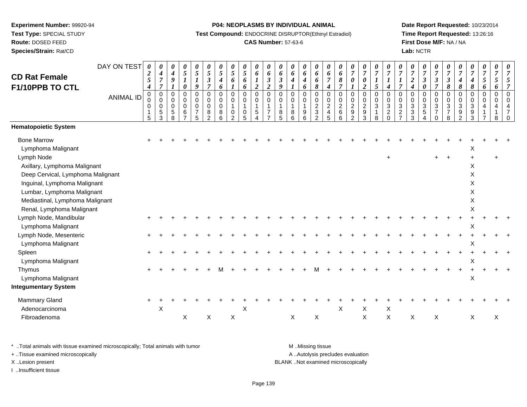**Route:** DOSED FEED

**Species/Strain:** Rat/CD

#### **P04: NEOPLASMS BY INDIVIDUAL ANIMAL**

**Test Compound:** ENDOCRINE DISRUPTOR(Ethinyl Estradiol)

### **CAS Number:** 57-63-6

**Date Report Requested:** 10/23/2014**Time Report Requested:** 13:26:16**First Dose M/F:** NA / NA**Lab:** NCTR

| <b>CD Rat Female</b><br>F1/10PPB TO CTL                                                                                                                                                                       | DAY ON TEST<br><b>ANIMAL ID</b> | 0<br>$\boldsymbol{2}$<br>5<br>4<br>$\Omega$<br>$\Omega$<br>0<br>5 | $\boldsymbol{\theta}$<br>$\boldsymbol{4}$<br>$\overline{7}$<br>$\overline{7}$<br>$\pmb{0}$<br>$\mathbf 0$<br>$\mathbf 0$<br>$\frac{5}{3}$ | 0<br>$\boldsymbol{4}$<br>$\boldsymbol{g}$<br>$\boldsymbol{l}$<br>$\mathbf 0$<br>$\mathbf{0}$<br>$\mathbf 0$<br>$\sqrt{5}$<br>8 | 0<br>5<br>0<br>$\Omega$<br>$\mathbf 0$<br>$\mathbf 0$<br>$\,6$<br>$\overline{ }$ | 0<br>$\overline{5}$<br>$\boldsymbol{l}$<br>9<br>$\pmb{0}$<br>$\pmb{0}$<br>$\mathbf 0$<br>$\begin{array}{c} 7 \\ 5 \end{array}$ | 0<br>$\mathfrak{S}$<br>$\boldsymbol{\beta}$<br>$\overline{7}$<br>$\mathsf 0$<br>$\mathbf 0$<br>$\mathsf 0$<br>8<br>$\overline{2}$ | $\boldsymbol{\theta}$<br>5<br>$\boldsymbol{4}$<br>6<br>$\Omega$<br>$\mathbf 0$<br>$\mathbf 0$<br>8<br>6 | 0<br>$\mathfrak{s}$<br>6<br>$\overline{0}$<br>$\mathbf 0$<br>$\mathbf{1}$<br>$\pmb{0}$<br>$\overline{2}$ | 0<br>$\mathfrak{s}$<br>6<br>6<br>0<br>$\mathbf 0$<br>1<br>0<br>5 | $\boldsymbol{\theta}$<br>6<br>$\boldsymbol{l}$<br>$\boldsymbol{2}$<br>$\boldsymbol{0}$<br>$\overline{0}$<br>$\overline{1}$<br>$\sqrt{5}$<br>$\boldsymbol{\Lambda}$ | 0<br>6<br>$\mathfrak{z}$<br>$\overline{\mathbf{c}}$<br>$\Omega$<br>$\Omega$<br>1<br>$\overline{7}$<br>$\overline{ }$ | 0<br>6<br>$\mathfrak{z}$<br>9<br>$\Omega$<br>$\mathbf 0$<br>$\mathbf{1}$<br>8<br>$\overline{5}$ | $\boldsymbol{\theta}$<br>6<br>4<br>$\Omega$<br>$\mathbf 0$<br>8<br>6 | 0<br>6<br>4<br>6<br>$\Omega$<br>$\Omega$<br>9<br>6 | 0<br>6<br>6<br>$\pmb{8}$<br>$\mathbf 0$<br>$\mathbf 0$<br>$\overline{c}$<br>$\frac{3}{2}$ | 0<br>6<br>$\overline{7}$<br>$\boldsymbol{4}$<br>$\Omega$<br>$\mathbf 0$<br>$\sqrt{2}$<br>$\frac{4}{5}$ | $\boldsymbol{\theta}$<br>6<br>8<br>$\boldsymbol{7}$<br>$\Omega$<br>$\mathbf 0$<br>$\boldsymbol{2}$<br>$\,6$<br>6 | 0<br>$\overline{7}$<br>$\pmb{\theta}$<br>0<br>0<br>$\overline{c}$<br>$\frac{9}{2}$ | 0<br>$\boldsymbol{7}$<br>$\boldsymbol{\theta}$<br>$\boldsymbol{2}$<br>$\pmb{0}$<br>0<br>$\overline{c}$<br>$\frac{9}{3}$ | 0<br>$\overline{7}$<br>5<br>$\mathsf 0$<br>$\mathbf 0$<br>$\sqrt{3}$<br>8 | $\boldsymbol{\theta}$<br>$\overline{7}$<br>$\boldsymbol{l}$<br>$\boldsymbol{4}$<br>$\mathbf 0$<br>$\mathbf 0$<br>$\ensuremath{\mathsf{3}}$<br>$\frac{2}{0}$ | $\overline{7}$<br>1<br>$\overline{7}$<br>$\mathbf 0$<br>$\mathbf 0$<br>$\sqrt{3}$<br>$\sqrt{2}$<br>$\overline{z}$ | 0<br>$\overline{7}$<br>$\boldsymbol{2}$<br>4<br>$\Omega$<br>0<br>3<br>3<br>3 | 0<br>$\boldsymbol{7}$<br>$\boldsymbol{\mathfrak{z}}$<br>$\pmb{\theta}$<br>$\pmb{0}$<br>$\pmb{0}$<br>$\mathbf{3}$<br>$\,$ 5 $\,$<br>4 | 0<br>$\overline{7}$<br>$\mathfrak{z}$<br>$\overline{7}$<br>$\mathbf 0$<br>$\Omega$<br>$\mathbf{3}$<br>$\overline{7}$<br>$\Omega$ | $\overline{7}$<br>$\boldsymbol{\beta}$<br>8<br>$\mathbf 0$<br>$\mathbf 0$<br>$\sqrt{3}$<br>$\boldsymbol{7}$<br>8 | 0<br>$\overline{7}$<br>$\boldsymbol{4}$<br>$\pmb{8}$<br>$\pmb{0}$<br>$\mathsf{O}\xspace$<br>$\sqrt{3}$<br>$\boldsymbol{9}$<br>$\overline{2}$ | 0<br>$\overline{7}$<br>$\boldsymbol{4}$<br>$\pmb{8}$<br>0<br>0<br>$\sqrt{3}$<br>9<br>$\overline{3}$ | 0<br>$\overline{7}$<br>$\overline{5}$<br>6<br>$\pmb{0}$<br>$\overline{0}$<br>$\overline{4}$<br>-1<br>$\overline{7}$ | $\boldsymbol{\theta}$<br>$\overline{7}$<br>5<br>6<br>$\mathbf 0$<br>$\Omega$<br>4<br>8 | $\overline{7}$<br>$\Omega$<br>$\Omega$ |
|---------------------------------------------------------------------------------------------------------------------------------------------------------------------------------------------------------------|---------------------------------|-------------------------------------------------------------------|-------------------------------------------------------------------------------------------------------------------------------------------|--------------------------------------------------------------------------------------------------------------------------------|----------------------------------------------------------------------------------|--------------------------------------------------------------------------------------------------------------------------------|-----------------------------------------------------------------------------------------------------------------------------------|---------------------------------------------------------------------------------------------------------|----------------------------------------------------------------------------------------------------------|------------------------------------------------------------------|--------------------------------------------------------------------------------------------------------------------------------------------------------------------|----------------------------------------------------------------------------------------------------------------------|-------------------------------------------------------------------------------------------------|----------------------------------------------------------------------|----------------------------------------------------|-------------------------------------------------------------------------------------------|--------------------------------------------------------------------------------------------------------|------------------------------------------------------------------------------------------------------------------|------------------------------------------------------------------------------------|-------------------------------------------------------------------------------------------------------------------------|---------------------------------------------------------------------------|-------------------------------------------------------------------------------------------------------------------------------------------------------------|-------------------------------------------------------------------------------------------------------------------|------------------------------------------------------------------------------|--------------------------------------------------------------------------------------------------------------------------------------|----------------------------------------------------------------------------------------------------------------------------------|------------------------------------------------------------------------------------------------------------------|----------------------------------------------------------------------------------------------------------------------------------------------|-----------------------------------------------------------------------------------------------------|---------------------------------------------------------------------------------------------------------------------|----------------------------------------------------------------------------------------|----------------------------------------|
| <b>Hematopoietic System</b><br><b>Bone Marrow</b><br>Lymphoma Malignant                                                                                                                                       |                                 |                                                                   |                                                                                                                                           |                                                                                                                                |                                                                                  |                                                                                                                                |                                                                                                                                   |                                                                                                         |                                                                                                          |                                                                  |                                                                                                                                                                    |                                                                                                                      |                                                                                                 |                                                                      |                                                    |                                                                                           |                                                                                                        |                                                                                                                  |                                                                                    |                                                                                                                         |                                                                           |                                                                                                                                                             |                                                                                                                   |                                                                              |                                                                                                                                      |                                                                                                                                  |                                                                                                                  |                                                                                                                                              | х                                                                                                   |                                                                                                                     |                                                                                        |                                        |
| Lymph Node<br>Axillary, Lymphoma Malignant<br>Deep Cervical, Lymphoma Malignant<br>Inguinal, Lymphoma Malignant<br>Lumbar, Lymphoma Malignant<br>Mediastinal, Lymphoma Malignant<br>Renal, Lymphoma Malignant |                                 |                                                                   |                                                                                                                                           |                                                                                                                                |                                                                                  |                                                                                                                                |                                                                                                                                   |                                                                                                         |                                                                                                          |                                                                  |                                                                                                                                                                    |                                                                                                                      |                                                                                                 |                                                                      |                                                    |                                                                                           |                                                                                                        |                                                                                                                  |                                                                                    |                                                                                                                         |                                                                           | $\ddot{}$                                                                                                                                                   |                                                                                                                   |                                                                              |                                                                                                                                      |                                                                                                                                  |                                                                                                                  |                                                                                                                                              | X<br>X<br>X<br>х<br>X<br>X                                                                          |                                                                                                                     |                                                                                        |                                        |
| Lymph Node, Mandibular<br>Lymphoma Malignant                                                                                                                                                                  |                                 |                                                                   |                                                                                                                                           |                                                                                                                                |                                                                                  |                                                                                                                                |                                                                                                                                   |                                                                                                         |                                                                                                          |                                                                  |                                                                                                                                                                    |                                                                                                                      |                                                                                                 |                                                                      |                                                    |                                                                                           |                                                                                                        |                                                                                                                  |                                                                                    |                                                                                                                         |                                                                           |                                                                                                                                                             |                                                                                                                   |                                                                              |                                                                                                                                      |                                                                                                                                  |                                                                                                                  |                                                                                                                                              | х                                                                                                   |                                                                                                                     |                                                                                        |                                        |
| Lymph Node, Mesenteric<br>Lymphoma Malignant                                                                                                                                                                  |                                 |                                                                   |                                                                                                                                           |                                                                                                                                |                                                                                  |                                                                                                                                |                                                                                                                                   |                                                                                                         |                                                                                                          |                                                                  |                                                                                                                                                                    |                                                                                                                      |                                                                                                 |                                                                      |                                                    |                                                                                           |                                                                                                        |                                                                                                                  |                                                                                    |                                                                                                                         |                                                                           |                                                                                                                                                             |                                                                                                                   |                                                                              |                                                                                                                                      |                                                                                                                                  |                                                                                                                  |                                                                                                                                              | х                                                                                                   |                                                                                                                     |                                                                                        |                                        |
| Spleen<br>Lymphoma Malignant                                                                                                                                                                                  |                                 |                                                                   |                                                                                                                                           |                                                                                                                                |                                                                                  |                                                                                                                                |                                                                                                                                   |                                                                                                         |                                                                                                          |                                                                  |                                                                                                                                                                    |                                                                                                                      |                                                                                                 |                                                                      |                                                    |                                                                                           |                                                                                                        |                                                                                                                  |                                                                                    |                                                                                                                         |                                                                           |                                                                                                                                                             |                                                                                                                   |                                                                              |                                                                                                                                      |                                                                                                                                  |                                                                                                                  |                                                                                                                                              | X                                                                                                   |                                                                                                                     |                                                                                        |                                        |
| Thymus<br>Lymphoma Malignant<br><b>Integumentary System</b>                                                                                                                                                   |                                 |                                                                   |                                                                                                                                           |                                                                                                                                |                                                                                  |                                                                                                                                |                                                                                                                                   |                                                                                                         |                                                                                                          |                                                                  |                                                                                                                                                                    |                                                                                                                      |                                                                                                 |                                                                      |                                                    |                                                                                           |                                                                                                        |                                                                                                                  |                                                                                    |                                                                                                                         |                                                                           |                                                                                                                                                             |                                                                                                                   |                                                                              |                                                                                                                                      |                                                                                                                                  |                                                                                                                  |                                                                                                                                              | Χ                                                                                                   |                                                                                                                     |                                                                                        |                                        |
| Mammary Gland<br>Adenocarcinoma<br>Fibroadenoma                                                                                                                                                               |                                 |                                                                   | $\boldsymbol{\mathsf{X}}$                                                                                                                 |                                                                                                                                | X                                                                                |                                                                                                                                | X                                                                                                                                 |                                                                                                         | X                                                                                                        | X                                                                |                                                                                                                                                                    |                                                                                                                      |                                                                                                 | X                                                                    |                                                    | $\boldsymbol{\mathsf{X}}$                                                                 |                                                                                                        | X                                                                                                                |                                                                                    | X<br>X                                                                                                                  |                                                                           | $\boldsymbol{\mathsf{X}}$<br>$\times$                                                                                                                       |                                                                                                                   | X                                                                            |                                                                                                                                      | X                                                                                                                                |                                                                                                                  |                                                                                                                                              | X                                                                                                   |                                                                                                                     | X                                                                                      |                                        |

\* ..Total animals with tissue examined microscopically; Total animals with tumor **M** . Missing tissue M ..Missing tissue

+ ..Tissue examined microscopically

I ..Insufficient tissue

A ..Autolysis precludes evaluation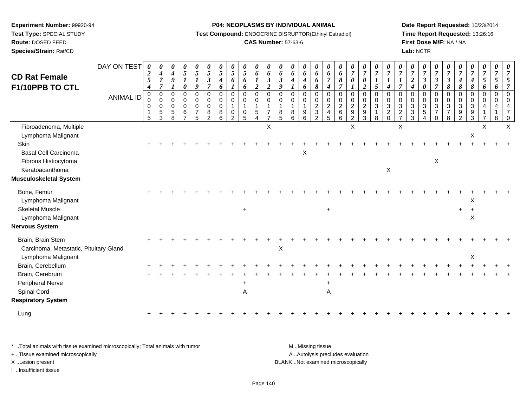**Route:** DOSED FEED

**Species/Strain:** Rat/CD

#### **P04: NEOPLASMS BY INDIVIDUAL ANIMAL**

**Test Compound:** ENDOCRINE DISRUPTOR(Ethinyl Estradiol)

## **CAS Number:** 57-63-6

**Date Report Requested:** 10/23/2014**Time Report Requested:** 13:26:16**First Dose M/F:** NA / NA**Lab:** NCTR

| <b>CD Rat Female</b>                                                              | DAY ON TEST | $\boldsymbol{\theta}$<br>$\boldsymbol{2}$<br>5                           | 0<br>$\boldsymbol{4}$<br>$\overline{7}$                              | $\theta$<br>$\boldsymbol{4}$<br>$\boldsymbol{9}$                           | 0<br>5<br>1                            | 0<br>$\mathfrak{s}$<br>$\boldsymbol{l}$                                              | $\boldsymbol{\theta}$<br>$\sqrt{5}$<br>$\boldsymbol{\beta}$         | 5<br>$\boldsymbol{4}$                       | $\boldsymbol{\theta}$<br>$\mathfrak{s}$<br>6                                               | 0<br>$\sqrt{5}$<br>6                  | 0<br>6<br>$\boldsymbol{l}$                                                                           | 0<br>6<br>$\mathfrak{z}$                                               | $\boldsymbol{\theta}$<br>6<br>$\boldsymbol{\beta}$ | 6<br>4                  | 0<br>6<br>4                                  | $\boldsymbol{\theta}$<br>6<br>6                                                                  | $\boldsymbol{\theta}$<br>6<br>$\overline{7}$                                  | 6<br>$\pmb{8}$                                                                         | $\boldsymbol{\theta}$<br>$\overline{7}$<br>0                            | $\boldsymbol{\theta}$<br>$\overline{7}$<br>$\boldsymbol{\theta}$                                       | $\boldsymbol{\theta}$<br>$\overline{7}$              | $\boldsymbol{\theta}$<br>$\overline{7}$                                       | $\overline{7}$                                                                      | $\boldsymbol{\theta}$<br>$\overline{7}$<br>$\overline{2}$             | 0<br>$\overline{7}$<br>$\mathfrak{z}$                     | $\boldsymbol{\theta}$<br>$\overline{7}$<br>$\boldsymbol{\beta}$ | $\overline{7}$<br>$\boldsymbol{\beta}$                               | $\overline{7}$<br>4                                                               | 0<br>$\overline{7}$<br>$\boldsymbol{4}$                                            | $\boldsymbol{\theta}$<br>$\overline{7}$<br>$\sqrt{5}$                    | $\overline{7}$<br>5                       | 7                    |
|-----------------------------------------------------------------------------------|-------------|--------------------------------------------------------------------------|----------------------------------------------------------------------|----------------------------------------------------------------------------|----------------------------------------|--------------------------------------------------------------------------------------|---------------------------------------------------------------------|---------------------------------------------|--------------------------------------------------------------------------------------------|---------------------------------------|------------------------------------------------------------------------------------------------------|------------------------------------------------------------------------|----------------------------------------------------|-------------------------|----------------------------------------------|--------------------------------------------------------------------------------------------------|-------------------------------------------------------------------------------|----------------------------------------------------------------------------------------|-------------------------------------------------------------------------|--------------------------------------------------------------------------------------------------------|------------------------------------------------------|-------------------------------------------------------------------------------|-------------------------------------------------------------------------------------|-----------------------------------------------------------------------|-----------------------------------------------------------|-----------------------------------------------------------------|----------------------------------------------------------------------|-----------------------------------------------------------------------------------|------------------------------------------------------------------------------------|--------------------------------------------------------------------------|-------------------------------------------|----------------------|
| F1/10PPB TO CTL                                                                   | ANIMAL ID   | $\boldsymbol{4}$<br>0<br>$\mathbf 0$<br>$\mathbf 0$<br>$\mathbf{1}$<br>5 | $\overline{7}$<br>$\mathbf 0$<br>0<br>$\mathbf 0$<br>$\sqrt{5}$<br>3 | $\boldsymbol{l}$<br>$\mathbf 0$<br>0<br>$\mathbf 0$<br>$\overline{5}$<br>8 | 0<br>$\Omega$<br>0<br>$\mathbf 0$<br>6 | $\boldsymbol{g}$<br>$\mathbf 0$<br>$\mathbf 0$<br>$\mathbf 0$<br>$\overline{7}$<br>5 | $\overline{7}$<br>$\pmb{0}$<br>$\mathbf 0$<br>$\mathbf 0$<br>8<br>2 | 6<br>$\Omega$<br>0<br>$\mathbf 0$<br>8<br>6 | $\boldsymbol{l}$<br>$\pmb{0}$<br>$\mathbf 0$<br>$\mathbf{1}$<br>$\pmb{0}$<br>$\mathcal{P}$ | 6<br>0<br>0<br>$\mathbf{1}$<br>0<br>5 | $\boldsymbol{2}$<br>$\mathbf 0$<br>$\mathbf 0$<br>$\overline{1}$<br>$\overline{5}$<br>$\overline{4}$ | $\overline{2}$<br>$\Omega$<br>0<br>$\mathbf{1}$<br>$\overline{7}$<br>7 | $\boldsymbol{g}$<br>$\Omega$<br>0<br>1<br>8<br>5   | $\Omega$<br>0<br>8<br>6 | 6<br>$\Omega$<br>0<br>$\mathbf{1}$<br>9<br>6 | 8<br>$\mathbf 0$<br>$\begin{smallmatrix} 0\\2 \end{smallmatrix}$<br>$\sqrt{3}$<br>$\overline{2}$ | $\boldsymbol{4}$<br>$\mathbf 0$<br>0<br>$\overline{2}$<br>$\overline{a}$<br>5 | $\overline{7}$<br>$\Omega$<br>$\overline{0}$<br>$\overline{2}$<br>$6\phantom{1}6$<br>6 | $\Omega$<br>0<br>$\boldsymbol{2}$<br>$\boldsymbol{9}$<br>$\overline{c}$ | $\overline{2}$<br>$\mathbf 0$<br>$\begin{smallmatrix} 0\\2 \end{smallmatrix}$<br>$\boldsymbol{9}$<br>3 | 5<br>$\mathbf 0$<br>$\pmb{0}$<br>$\overline{3}$<br>8 | $\boldsymbol{4}$<br>$\Omega$<br>0<br>$\sqrt{3}$<br>$\overline{c}$<br>$\Omega$ | $\overline{7}$<br>$\Omega$<br>0<br>$\mathbf{3}$<br>$\overline{c}$<br>$\overline{7}$ | $\boldsymbol{4}$<br>$\mathbf 0$<br>0<br>$\sqrt{3}$<br>$\sqrt{3}$<br>3 | 0<br>$\mathbf 0$<br>$\mathbf 0$<br>$\mathbf{3}$<br>5<br>4 | $\overline{7}$<br>$\mathbf 0$<br>0<br>3<br>$\overline{7}$<br>0  | $\pmb{8}$<br>$\mathbf 0$<br>0<br>$\sqrt{3}$<br>$\boldsymbol{7}$<br>8 | $\pmb{8}$<br>$\mathbf 0$<br>0<br>$\sqrt{3}$<br>$\boldsymbol{9}$<br>$\mathfrak{p}$ | $\pmb{8}$<br>$\mathsf{O}\xspace$<br>$\mathbf 0$<br>$\sqrt{3}$<br>9<br>$\mathbf{3}$ | 6<br>$\mathbf 0$<br>0<br>$\overline{4}$<br>$\mathbf 1$<br>$\overline{7}$ | 6<br>$\mathbf 0$<br>$\mathbf 0$<br>4<br>8 | $\Omega$<br>$\Omega$ |
| Fibroadenoma, Multiple<br>Lymphoma Malignant                                      |             |                                                                          |                                                                      |                                                                            |                                        |                                                                                      |                                                                     |                                             |                                                                                            |                                       |                                                                                                      | $\pmb{\times}$                                                         |                                                    |                         |                                              |                                                                                                  |                                                                               |                                                                                        | X                                                                       |                                                                                                        |                                                      |                                                                               | X                                                                                   |                                                                       |                                                           |                                                                 |                                                                      |                                                                                   | X                                                                                  | $\times$                                                                 |                                           | X                    |
| Skin<br><b>Basal Cell Carcinoma</b><br>Fibrous Histiocytoma                       |             |                                                                          |                                                                      |                                                                            |                                        |                                                                                      |                                                                     |                                             |                                                                                            |                                       |                                                                                                      |                                                                        |                                                    |                         | X                                            |                                                                                                  |                                                                               |                                                                                        |                                                                         |                                                                                                        |                                                      |                                                                               |                                                                                     |                                                                       |                                                           | $\pmb{\times}$                                                  |                                                                      |                                                                                   |                                                                                    |                                                                          |                                           |                      |
| Keratoacanthoma<br><b>Musculoskeletal System</b>                                  |             |                                                                          |                                                                      |                                                                            |                                        |                                                                                      |                                                                     |                                             |                                                                                            |                                       |                                                                                                      |                                                                        |                                                    |                         |                                              |                                                                                                  |                                                                               |                                                                                        |                                                                         |                                                                                                        |                                                      | $\mathsf X$                                                                   |                                                                                     |                                                                       |                                                           |                                                                 |                                                                      |                                                                                   |                                                                                    |                                                                          |                                           |                      |
| Bone, Femur<br>Lymphoma Malignant<br><b>Skeletal Muscle</b><br>Lymphoma Malignant |             |                                                                          |                                                                      |                                                                            |                                        |                                                                                      |                                                                     |                                             |                                                                                            | $+$                                   |                                                                                                      |                                                                        |                                                    |                         |                                              |                                                                                                  | $+$                                                                           |                                                                                        |                                                                         |                                                                                                        |                                                      |                                                                               |                                                                                     |                                                                       |                                                           |                                                                 |                                                                      | $\ddot{}$                                                                         | х<br>$\boldsymbol{\mathsf{X}}$                                                     |                                                                          |                                           |                      |
| <b>Nervous System</b>                                                             |             |                                                                          |                                                                      |                                                                            |                                        |                                                                                      |                                                                     |                                             |                                                                                            |                                       |                                                                                                      |                                                                        |                                                    |                         |                                              |                                                                                                  |                                                                               |                                                                                        |                                                                         |                                                                                                        |                                                      |                                                                               |                                                                                     |                                                                       |                                                           |                                                                 |                                                                      |                                                                                   |                                                                                    |                                                                          |                                           |                      |
| Brain, Brain Stem<br>Carcinoma, Metastatic, Pituitary Gland<br>Lymphoma Malignant |             |                                                                          |                                                                      |                                                                            |                                        |                                                                                      |                                                                     |                                             |                                                                                            |                                       |                                                                                                      |                                                                        | $\mathsf X$                                        |                         |                                              |                                                                                                  |                                                                               |                                                                                        |                                                                         |                                                                                                        |                                                      |                                                                               |                                                                                     |                                                                       |                                                           |                                                                 |                                                                      |                                                                                   | X                                                                                  |                                                                          |                                           |                      |
| Brain, Cerebellum                                                                 |             |                                                                          |                                                                      |                                                                            |                                        |                                                                                      |                                                                     |                                             |                                                                                            |                                       |                                                                                                      |                                                                        |                                                    |                         |                                              |                                                                                                  |                                                                               |                                                                                        |                                                                         |                                                                                                        |                                                      |                                                                               |                                                                                     |                                                                       |                                                           |                                                                 |                                                                      |                                                                                   |                                                                                    |                                                                          |                                           |                      |
| Brain, Cerebrum<br>Peripheral Nerve<br>Spinal Cord<br><b>Respiratory System</b>   |             |                                                                          |                                                                      |                                                                            |                                        |                                                                                      |                                                                     |                                             |                                                                                            | Α                                     |                                                                                                      |                                                                        |                                                    |                         |                                              |                                                                                                  | $\ddot{}$<br>Α                                                                |                                                                                        |                                                                         |                                                                                                        |                                                      |                                                                               |                                                                                     |                                                                       |                                                           |                                                                 |                                                                      |                                                                                   |                                                                                    |                                                                          |                                           |                      |
| Lung                                                                              |             |                                                                          |                                                                      |                                                                            |                                        |                                                                                      |                                                                     |                                             |                                                                                            |                                       |                                                                                                      |                                                                        |                                                    |                         |                                              |                                                                                                  |                                                                               |                                                                                        |                                                                         |                                                                                                        |                                                      |                                                                               |                                                                                     |                                                                       |                                                           |                                                                 |                                                                      |                                                                                   |                                                                                    |                                                                          |                                           |                      |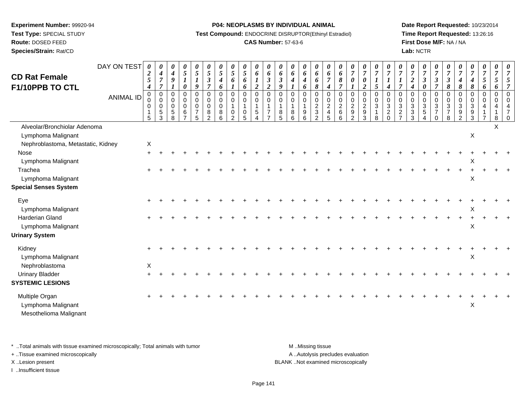**Test Type:** SPECIAL STUDY

## **Route:** DOSED FEED

**Species/Strain:** Rat/CD

#### **P04: NEOPLASMS BY INDIVIDUAL ANIMAL**

**Test Compound:** ENDOCRINE DISRUPTOR(Ethinyl Estradiol)

## **CAS Number:** 57-63-6

**Date Report Requested:** 10/23/2014**Time Report Requested:** 13:26:16**First Dose M/F:** NA / NA**Lab:** NCTR

| <b>CD Rat Female</b><br>F1/10PPB TO CTL                                                  | DAY ON TEST<br><b>ANIMAL ID</b> | 0<br>$\boldsymbol{2}$<br>5<br>$\boldsymbol{4}$<br>0<br>0<br>$\Omega$<br>$\mathbf 1$<br>5 | 0<br>$\boldsymbol{4}$<br>$\overline{7}$<br>$\overline{7}$<br>$\mathbf 0$<br>0<br>$\mathbf 0$<br>5<br>3 | $\boldsymbol{\theta}$<br>4<br>9<br>1<br>$\mathbf 0$<br>$\mathbf 0$<br>$\mathbf 0$<br>5<br>8 | 0<br>5<br>0<br>$\Omega$<br>$\Omega$<br>$\Omega$<br>6 | 0<br>5<br>$\boldsymbol{l}$<br>9<br>0<br>0<br>$\mathbf 0$<br>$\overline{7}$<br>5 | 0<br>5<br>$\boldsymbol{\beta}$<br>7<br>$\mathbf 0$<br>0<br>$\mathbf 0$<br>8<br>$\mathcal{P}$ | 0<br>5<br>4<br>6<br>$\Omega$<br>0<br>$\Omega$<br>8<br>6 | 0<br>$\mathfrak{s}$<br>6<br>$\pmb{0}$<br>$\mathbf 0$<br>1<br>0<br>$\mathcal{P}$ | $\pmb{\theta}$<br>5<br>6<br>6<br>0<br>0<br>1<br>0<br>5 | $\pmb{\theta}$<br>6<br>$\boldsymbol{l}$<br>$\overline{2}$<br>$\pmb{0}$<br>$\mathbf 0$<br>$\mathbf{1}$<br>$\sqrt{5}$<br>$\overline{4}$ | 0<br>6<br>3<br>$\boldsymbol{2}$<br>$\mathbf 0$<br>0<br>$\overline{7}$ | 0<br>6<br>$\boldsymbol{\beta}$<br>9<br>$\mathbf 0$<br>0<br>$\mathbf{1}$<br>8<br>5 | 0<br>6<br>4<br>$\Omega$<br>0<br>8<br>6 | 0<br>6<br>$\boldsymbol{4}$<br>6<br>$\mathbf 0$<br>0<br>$\mathbf{1}$<br>9<br>6 | 0<br>6<br>6<br>8<br>$\mathbf 0$<br>0<br>$\sqrt{2}$<br>$\sqrt{3}$<br>2 | $\boldsymbol{\theta}$<br>6<br>$\overline{7}$<br>$\boldsymbol{4}$<br>$\mathbf 0$<br>0<br>$\overline{2}$<br>$\overline{a}$<br>$\sqrt{5}$ | 0<br>6<br>8<br>$\overline{7}$<br>$\mathbf 0$<br>0<br>$\overline{2}$<br>$\,6\,$<br>6 | 0<br>$\overline{7}$<br>$\boldsymbol{\theta}$<br>$\mathbf 0$<br>$\mathbf 0$<br>$\overline{2}$<br>9<br>$\overline{2}$ | 0<br>$\overline{7}$<br>$\boldsymbol{\theta}$<br>$\boldsymbol{2}$<br>$\mathbf 0$<br>$\overline{0}$<br>$\overline{2}$<br>$\boldsymbol{9}$<br>3 | 0<br>$\overline{7}$<br>$5\overline{)}$<br>$\mathbf 0$<br>0<br>3<br>$\mathbf{1}$<br>8 | 0<br>$\overline{7}$<br>1<br>$\boldsymbol{4}$<br>$\Omega$<br>0<br>$\sqrt{3}$<br>$\overline{2}$ | 0<br>$\overline{7}$<br>7<br>$\mathbf 0$<br>0<br>$\mathbf{3}$<br>$\overline{2}$ | 0<br>$\overline{7}$<br>$\overline{\mathbf{c}}$<br>4<br>$\Omega$<br>0<br>$\mathbf{3}$<br>$\mathbf{3}$<br>3 | 0<br>$\overline{7}$<br>3<br>$\boldsymbol{\theta}$<br>$\mathbf 0$<br>0<br>$\overline{3}$<br>$\,$ 5 $\,$<br>4 | 0<br>$\overline{7}$<br>$\boldsymbol{\beta}$<br>$\overline{7}$<br>$\Omega$<br>0<br>3<br>$\overline{7}$<br>0 | 0<br>$\overline{7}$<br>$\boldsymbol{\beta}$<br>8<br>$\mathbf 0$<br>$\mathbf 0$<br>$\sqrt{3}$<br>$\overline{7}$<br>8 | 0<br>$\overline{7}$<br>4<br>8<br>0<br>0<br>3<br>9<br>$\mathfrak{p}$ | 0<br>$\overline{7}$<br>$\boldsymbol{4}$<br>8<br>0<br>0<br>$\mathbf{3}$<br>9<br>3 | 0<br>$\overline{7}$<br>5<br>6<br>$\mathbf 0$<br>0<br>4 | 0<br>$\overline{7}$<br>5<br>6<br>$\mathbf 0$<br>0<br>$\mathbf{1}$<br>8 | O<br>5<br>$\Omega$<br>$\Omega$<br>$\overline{\mathcal{L}}$<br>7<br>$\mathbf 0$ |
|------------------------------------------------------------------------------------------|---------------------------------|------------------------------------------------------------------------------------------|--------------------------------------------------------------------------------------------------------|---------------------------------------------------------------------------------------------|------------------------------------------------------|---------------------------------------------------------------------------------|----------------------------------------------------------------------------------------------|---------------------------------------------------------|---------------------------------------------------------------------------------|--------------------------------------------------------|---------------------------------------------------------------------------------------------------------------------------------------|-----------------------------------------------------------------------|-----------------------------------------------------------------------------------|----------------------------------------|-------------------------------------------------------------------------------|-----------------------------------------------------------------------|----------------------------------------------------------------------------------------------------------------------------------------|-------------------------------------------------------------------------------------|---------------------------------------------------------------------------------------------------------------------|----------------------------------------------------------------------------------------------------------------------------------------------|--------------------------------------------------------------------------------------|-----------------------------------------------------------------------------------------------|--------------------------------------------------------------------------------|-----------------------------------------------------------------------------------------------------------|-------------------------------------------------------------------------------------------------------------|------------------------------------------------------------------------------------------------------------|---------------------------------------------------------------------------------------------------------------------|---------------------------------------------------------------------|----------------------------------------------------------------------------------|--------------------------------------------------------|------------------------------------------------------------------------|--------------------------------------------------------------------------------|
| Alveolar/Bronchiolar Adenoma<br>Lymphoma Malignant<br>Nephroblastoma, Metastatic, Kidney |                                 | X                                                                                        |                                                                                                        |                                                                                             |                                                      |                                                                                 |                                                                                              |                                                         |                                                                                 |                                                        |                                                                                                                                       |                                                                       |                                                                                   |                                        |                                                                               |                                                                       |                                                                                                                                        |                                                                                     |                                                                                                                     |                                                                                                                                              |                                                                                      |                                                                                               |                                                                                |                                                                                                           |                                                                                                             |                                                                                                            |                                                                                                                     |                                                                     | X                                                                                |                                                        | X                                                                      |                                                                                |
| <b>Nose</b><br>Lymphoma Malignant                                                        |                                 |                                                                                          |                                                                                                        |                                                                                             |                                                      |                                                                                 |                                                                                              |                                                         |                                                                                 |                                                        |                                                                                                                                       |                                                                       |                                                                                   |                                        |                                                                               |                                                                       |                                                                                                                                        |                                                                                     |                                                                                                                     |                                                                                                                                              |                                                                                      |                                                                                               |                                                                                |                                                                                                           |                                                                                                             |                                                                                                            |                                                                                                                     |                                                                     | Х                                                                                |                                                        |                                                                        |                                                                                |
| Trachea<br>Lymphoma Malignant<br><b>Special Senses System</b>                            |                                 |                                                                                          |                                                                                                        |                                                                                             |                                                      |                                                                                 |                                                                                              |                                                         |                                                                                 |                                                        |                                                                                                                                       |                                                                       |                                                                                   |                                        |                                                                               |                                                                       |                                                                                                                                        |                                                                                     |                                                                                                                     |                                                                                                                                              |                                                                                      |                                                                                               |                                                                                |                                                                                                           |                                                                                                             |                                                                                                            |                                                                                                                     |                                                                     | X                                                                                |                                                        |                                                                        |                                                                                |
| Eye<br>Lymphoma Malignant                                                                |                                 |                                                                                          |                                                                                                        |                                                                                             |                                                      |                                                                                 |                                                                                              |                                                         |                                                                                 |                                                        |                                                                                                                                       |                                                                       |                                                                                   |                                        |                                                                               |                                                                       |                                                                                                                                        |                                                                                     |                                                                                                                     |                                                                                                                                              |                                                                                      |                                                                                               |                                                                                |                                                                                                           |                                                                                                             |                                                                                                            |                                                                                                                     |                                                                     | Х                                                                                |                                                        |                                                                        |                                                                                |
| Harderian Gland<br>Lymphoma Malignant                                                    |                                 |                                                                                          |                                                                                                        |                                                                                             |                                                      |                                                                                 |                                                                                              |                                                         |                                                                                 |                                                        |                                                                                                                                       |                                                                       |                                                                                   |                                        |                                                                               |                                                                       |                                                                                                                                        |                                                                                     |                                                                                                                     |                                                                                                                                              |                                                                                      |                                                                                               |                                                                                |                                                                                                           |                                                                                                             |                                                                                                            |                                                                                                                     |                                                                     | X                                                                                |                                                        |                                                                        |                                                                                |
| <b>Urinary System</b>                                                                    |                                 |                                                                                          |                                                                                                        |                                                                                             |                                                      |                                                                                 |                                                                                              |                                                         |                                                                                 |                                                        |                                                                                                                                       |                                                                       |                                                                                   |                                        |                                                                               |                                                                       |                                                                                                                                        |                                                                                     |                                                                                                                     |                                                                                                                                              |                                                                                      |                                                                                               |                                                                                |                                                                                                           |                                                                                                             |                                                                                                            |                                                                                                                     |                                                                     |                                                                                  |                                                        |                                                                        |                                                                                |
| Kidney<br>Lymphoma Malignant                                                             |                                 |                                                                                          |                                                                                                        |                                                                                             |                                                      |                                                                                 |                                                                                              |                                                         |                                                                                 |                                                        |                                                                                                                                       |                                                                       |                                                                                   |                                        |                                                                               |                                                                       |                                                                                                                                        |                                                                                     |                                                                                                                     |                                                                                                                                              |                                                                                      |                                                                                               |                                                                                |                                                                                                           |                                                                                                             |                                                                                                            |                                                                                                                     |                                                                     | X                                                                                |                                                        |                                                                        |                                                                                |
| Nephroblastoma                                                                           |                                 | $\boldsymbol{\mathsf{X}}$                                                                |                                                                                                        |                                                                                             |                                                      |                                                                                 |                                                                                              |                                                         |                                                                                 |                                                        |                                                                                                                                       |                                                                       |                                                                                   |                                        |                                                                               |                                                                       |                                                                                                                                        |                                                                                     |                                                                                                                     |                                                                                                                                              |                                                                                      |                                                                                               |                                                                                |                                                                                                           |                                                                                                             |                                                                                                            |                                                                                                                     |                                                                     |                                                                                  |                                                        |                                                                        |                                                                                |
| <b>Urinary Bladder</b><br><b>SYSTEMIC LESIONS</b>                                        |                                 |                                                                                          |                                                                                                        |                                                                                             |                                                      |                                                                                 |                                                                                              |                                                         |                                                                                 |                                                        |                                                                                                                                       |                                                                       |                                                                                   |                                        |                                                                               |                                                                       |                                                                                                                                        |                                                                                     |                                                                                                                     |                                                                                                                                              |                                                                                      |                                                                                               |                                                                                |                                                                                                           |                                                                                                             |                                                                                                            |                                                                                                                     |                                                                     |                                                                                  |                                                        |                                                                        |                                                                                |
| Multiple Organ<br>Lymphoma Malignant<br>Mesothelioma Malignant                           |                                 |                                                                                          |                                                                                                        |                                                                                             |                                                      |                                                                                 |                                                                                              |                                                         |                                                                                 |                                                        |                                                                                                                                       |                                                                       |                                                                                   |                                        |                                                                               |                                                                       |                                                                                                                                        |                                                                                     |                                                                                                                     |                                                                                                                                              |                                                                                      |                                                                                               |                                                                                |                                                                                                           |                                                                                                             |                                                                                                            |                                                                                                                     |                                                                     | X                                                                                |                                                        |                                                                        |                                                                                |

\* ..Total animals with tissue examined microscopically; Total animals with tumor **M** . Missing tissue M ..Missing tissue

+ ..Tissue examined microscopically

I ..Insufficient tissue

A ..Autolysis precludes evaluation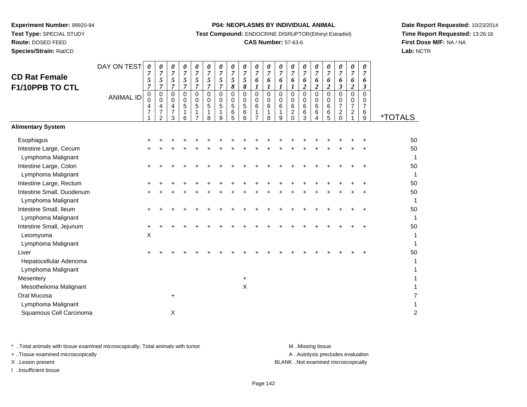**Route:** DOSED FEED

**Species/Strain:** Rat/CD

#### **P04: NEOPLASMS BY INDIVIDUAL ANIMAL**

**Test Compound:** ENDOCRINE DISRUPTOR(Ethinyl Estradiol)

## **CAS Number:** 57-63-6

**Date Report Requested:** 10/23/2014**Time Report Requested:** 13:26:16**First Dose M/F:** NA / NA**Lab:** NCTR

| <b>CD Rat Female</b><br>F1/10PPB TO CTL | DAY ON TEST<br><b>ANIMAL ID</b> | $\pmb{\theta}$<br>7<br>5<br>7<br>0<br>$\mathbf 0$<br>4<br>$\overline{7}$ | 0<br>7<br>5<br>$\overline{7}$<br>$\mathbf 0$<br>$\mathbf 0$<br>4<br>$\overline{7}$<br>$\overline{2}$ | 0<br>$\overline{7}$<br>5<br>$\overline{7}$<br>0<br>0<br>$\overline{4}$<br>$\overline{7}$<br>3 | 0<br>7<br>5<br>$\overline{7}$<br>0<br>0<br>5<br>6 | 0<br>$\overline{7}$<br>5<br>7<br>$\Omega$<br>0<br>5<br>1<br>$\overline{7}$ | 0<br>$\overline{7}$<br>5<br>$\overline{7}$<br>$\Omega$<br>0<br>5<br>1<br>8 | $\pmb{\theta}$<br>$\overline{7}$<br>5<br>$\overline{7}$<br>$\mathbf 0$<br>0<br>5<br>$\mathbf 1$<br>9 | 0<br>$\overline{7}$<br>5<br>8<br>0<br>$\mathbf 0$<br>5<br>6<br>5 | 0<br>$\overline{7}$<br>5<br>8<br>0<br>0<br>5<br>6<br>6 | $\pmb{\theta}$<br>$\boldsymbol{7}$<br>6<br>$\boldsymbol{l}$<br>$\mathbf 0$<br>$\pmb{0}$<br>6<br>1<br>$\overline{7}$ | 0<br>$\overline{7}$<br>6<br>$\boldsymbol{l}$<br>$\Omega$<br>$\mathbf 0$<br>$6\phantom{1}6$<br>1<br>8 | 0<br>7<br>6<br>1<br>$\mathbf 0$<br>0<br>6<br>1<br>9 | 0<br>7<br>6<br>0<br>0<br>6<br>$\overline{\mathbf{c}}$<br>$\Omega$ | 0<br>$\overline{7}$<br>6<br>$\overline{c}$<br>$\mathbf 0$<br>0<br>6<br>6<br>3 | 0<br>$\overline{7}$<br>6<br>$\overline{2}$<br>$\mathbf 0$<br>0<br>$\,6$<br>6<br>4 | 0<br>7<br>6<br>$\boldsymbol{2}$<br>$\Omega$<br>0<br>6<br>6<br>5 | 0<br>7<br>6<br>$\mathfrak{z}$<br>$\Omega$<br>0<br>$\overline{7}$<br>$\overline{2}$<br>$\Omega$ | $\pmb{\theta}$<br>$\overline{7}$<br>6<br>$\boldsymbol{2}$<br>0<br>0<br>$\overline{7}$<br>$\overline{c}$<br>1 | 0<br>7<br>6<br>$\boldsymbol{\beta}$<br>$\Omega$<br>0<br>$\overline{7}$<br>6<br>9 | <i><b>*TOTALS</b></i> |
|-----------------------------------------|---------------------------------|--------------------------------------------------------------------------|------------------------------------------------------------------------------------------------------|-----------------------------------------------------------------------------------------------|---------------------------------------------------|----------------------------------------------------------------------------|----------------------------------------------------------------------------|------------------------------------------------------------------------------------------------------|------------------------------------------------------------------|--------------------------------------------------------|---------------------------------------------------------------------------------------------------------------------|------------------------------------------------------------------------------------------------------|-----------------------------------------------------|-------------------------------------------------------------------|-------------------------------------------------------------------------------|-----------------------------------------------------------------------------------|-----------------------------------------------------------------|------------------------------------------------------------------------------------------------|--------------------------------------------------------------------------------------------------------------|----------------------------------------------------------------------------------|-----------------------|
| <b>Alimentary System</b>                |                                 |                                                                          |                                                                                                      |                                                                                               |                                                   |                                                                            |                                                                            |                                                                                                      |                                                                  |                                                        |                                                                                                                     |                                                                                                      |                                                     |                                                                   |                                                                               |                                                                                   |                                                                 |                                                                                                |                                                                                                              |                                                                                  |                       |
| Esophagus                               |                                 |                                                                          |                                                                                                      |                                                                                               |                                                   |                                                                            |                                                                            |                                                                                                      |                                                                  |                                                        |                                                                                                                     |                                                                                                      |                                                     |                                                                   |                                                                               |                                                                                   |                                                                 |                                                                                                |                                                                                                              |                                                                                  | 50                    |
| Intestine Large, Cecum                  |                                 |                                                                          |                                                                                                      |                                                                                               |                                                   |                                                                            |                                                                            |                                                                                                      |                                                                  |                                                        |                                                                                                                     |                                                                                                      |                                                     |                                                                   |                                                                               |                                                                                   |                                                                 |                                                                                                |                                                                                                              |                                                                                  | 50                    |
| Lymphoma Malignant                      |                                 |                                                                          |                                                                                                      |                                                                                               |                                                   |                                                                            |                                                                            |                                                                                                      |                                                                  |                                                        |                                                                                                                     |                                                                                                      |                                                     |                                                                   |                                                                               |                                                                                   |                                                                 |                                                                                                |                                                                                                              |                                                                                  | 1                     |
| Intestine Large, Colon                  |                                 |                                                                          |                                                                                                      |                                                                                               |                                                   |                                                                            |                                                                            |                                                                                                      |                                                                  |                                                        |                                                                                                                     |                                                                                                      |                                                     |                                                                   |                                                                               |                                                                                   |                                                                 |                                                                                                |                                                                                                              |                                                                                  | 50                    |
| Lymphoma Malignant                      |                                 |                                                                          |                                                                                                      |                                                                                               |                                                   |                                                                            |                                                                            |                                                                                                      |                                                                  |                                                        |                                                                                                                     |                                                                                                      |                                                     |                                                                   |                                                                               |                                                                                   |                                                                 |                                                                                                |                                                                                                              |                                                                                  | 1                     |
| Intestine Large, Rectum                 |                                 |                                                                          |                                                                                                      |                                                                                               |                                                   |                                                                            |                                                                            |                                                                                                      |                                                                  |                                                        |                                                                                                                     |                                                                                                      |                                                     |                                                                   |                                                                               |                                                                                   |                                                                 |                                                                                                |                                                                                                              |                                                                                  | 50                    |
| Intestine Small, Duodenum               |                                 |                                                                          |                                                                                                      |                                                                                               |                                                   |                                                                            |                                                                            |                                                                                                      |                                                                  |                                                        |                                                                                                                     |                                                                                                      |                                                     |                                                                   |                                                                               |                                                                                   |                                                                 |                                                                                                |                                                                                                              |                                                                                  | 50                    |
| Lymphoma Malignant                      |                                 |                                                                          |                                                                                                      |                                                                                               |                                                   |                                                                            |                                                                            |                                                                                                      |                                                                  |                                                        |                                                                                                                     |                                                                                                      |                                                     |                                                                   |                                                                               |                                                                                   |                                                                 |                                                                                                |                                                                                                              |                                                                                  | 1                     |
| Intestine Small, Ileum                  |                                 |                                                                          |                                                                                                      |                                                                                               |                                                   |                                                                            |                                                                            |                                                                                                      |                                                                  |                                                        |                                                                                                                     |                                                                                                      |                                                     |                                                                   |                                                                               |                                                                                   |                                                                 |                                                                                                |                                                                                                              |                                                                                  | 50                    |
| Lymphoma Malignant                      |                                 |                                                                          |                                                                                                      |                                                                                               |                                                   |                                                                            |                                                                            |                                                                                                      |                                                                  |                                                        |                                                                                                                     |                                                                                                      |                                                     |                                                                   |                                                                               |                                                                                   |                                                                 |                                                                                                |                                                                                                              |                                                                                  | $\mathbf{1}$          |
| Intestine Small, Jejunum                |                                 |                                                                          |                                                                                                      |                                                                                               |                                                   |                                                                            |                                                                            |                                                                                                      |                                                                  |                                                        |                                                                                                                     |                                                                                                      |                                                     |                                                                   |                                                                               |                                                                                   |                                                                 |                                                                                                |                                                                                                              |                                                                                  | 50                    |
| Leiomyoma                               |                                 | $\times$                                                                 |                                                                                                      |                                                                                               |                                                   |                                                                            |                                                                            |                                                                                                      |                                                                  |                                                        |                                                                                                                     |                                                                                                      |                                                     |                                                                   |                                                                               |                                                                                   |                                                                 |                                                                                                |                                                                                                              |                                                                                  | 1                     |
| Lymphoma Malignant                      |                                 |                                                                          |                                                                                                      |                                                                                               |                                                   |                                                                            |                                                                            |                                                                                                      |                                                                  |                                                        |                                                                                                                     |                                                                                                      |                                                     |                                                                   |                                                                               |                                                                                   |                                                                 |                                                                                                |                                                                                                              |                                                                                  | 1                     |
| Liver                                   |                                 |                                                                          |                                                                                                      |                                                                                               |                                                   |                                                                            |                                                                            |                                                                                                      |                                                                  |                                                        |                                                                                                                     |                                                                                                      |                                                     |                                                                   |                                                                               |                                                                                   |                                                                 |                                                                                                |                                                                                                              |                                                                                  | 50                    |
| Hepatocellular Adenoma                  |                                 |                                                                          |                                                                                                      |                                                                                               |                                                   |                                                                            |                                                                            |                                                                                                      |                                                                  |                                                        |                                                                                                                     |                                                                                                      |                                                     |                                                                   |                                                                               |                                                                                   |                                                                 |                                                                                                |                                                                                                              |                                                                                  | 1                     |
| Lymphoma Malignant                      |                                 |                                                                          |                                                                                                      |                                                                                               |                                                   |                                                                            |                                                                            |                                                                                                      |                                                                  |                                                        |                                                                                                                     |                                                                                                      |                                                     |                                                                   |                                                                               |                                                                                   |                                                                 |                                                                                                |                                                                                                              |                                                                                  | 1                     |
| Mesentery                               |                                 |                                                                          |                                                                                                      |                                                                                               |                                                   |                                                                            |                                                                            |                                                                                                      |                                                                  | $\pm$                                                  |                                                                                                                     |                                                                                                      |                                                     |                                                                   |                                                                               |                                                                                   |                                                                 |                                                                                                |                                                                                                              |                                                                                  |                       |
| Mesothelioma Malignant                  |                                 |                                                                          |                                                                                                      |                                                                                               |                                                   |                                                                            |                                                                            |                                                                                                      |                                                                  | $\boldsymbol{\mathsf{X}}$                              |                                                                                                                     |                                                                                                      |                                                     |                                                                   |                                                                               |                                                                                   |                                                                 |                                                                                                |                                                                                                              |                                                                                  | 1                     |
| Oral Mucosa                             |                                 |                                                                          |                                                                                                      | $\ddot{}$                                                                                     |                                                   |                                                                            |                                                                            |                                                                                                      |                                                                  |                                                        |                                                                                                                     |                                                                                                      |                                                     |                                                                   |                                                                               |                                                                                   |                                                                 |                                                                                                |                                                                                                              |                                                                                  | 7                     |
| Lymphoma Malignant                      |                                 |                                                                          |                                                                                                      |                                                                                               |                                                   |                                                                            |                                                                            |                                                                                                      |                                                                  |                                                        |                                                                                                                     |                                                                                                      |                                                     |                                                                   |                                                                               |                                                                                   |                                                                 |                                                                                                |                                                                                                              |                                                                                  | $\mathbf{1}$          |
| Squamous Cell Carcinoma                 |                                 |                                                                          |                                                                                                      | X                                                                                             |                                                   |                                                                            |                                                                            |                                                                                                      |                                                                  |                                                        |                                                                                                                     |                                                                                                      |                                                     |                                                                   |                                                                               |                                                                                   |                                                                 |                                                                                                |                                                                                                              |                                                                                  | $\overline{2}$        |

\* ..Total animals with tissue examined microscopically; Total animals with tumor **M** . Missing tissue M ..Missing tissue

+ ..Tissue examined microscopically

I ..Insufficient tissue

A ..Autolysis precludes evaluation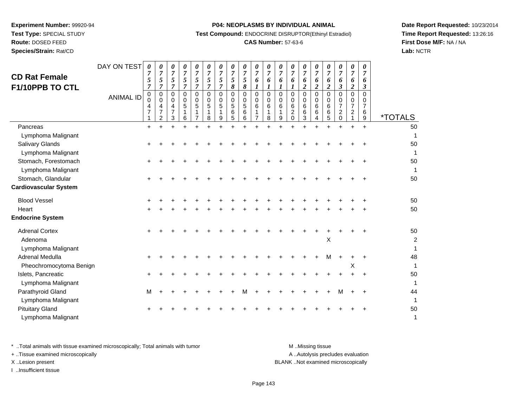**Route:** DOSED FEED

**Species/Strain:** Rat/CD

#### **P04: NEOPLASMS BY INDIVIDUAL ANIMAL**

**Test Compound:** ENDOCRINE DISRUPTOR(Ethinyl Estradiol)

## **CAS Number:** 57-63-6

**Date Report Requested:** 10/23/2014**Time Report Requested:** 13:26:16**First Dose M/F:** NA / NA**Lab:** NCTR

| <b>CD Rat Female</b><br>F1/10PPB TO CTL | DAY ON TEST<br><b>ANIMAL ID</b> | 0<br>7<br>5<br>$\overline{7}$<br>0<br>$\Omega$<br>4<br>$\overline{7}$ | 0<br>$\overline{7}$<br>5<br>$\overline{7}$<br>0<br>0<br>4<br>$\overline{7}$<br>$\overline{2}$ | 0<br>$\boldsymbol{7}$<br>5<br>$\overline{7}$<br>0<br>0<br>4<br>7<br>3 | 0<br>$\boldsymbol{7}$<br>$\sqrt{5}$<br>7<br>$\mathbf 0$<br>$\Omega$<br>5<br>1<br>6 | 0<br>$\overline{7}$<br>5<br>$\overline{7}$<br>$\mathbf 0$<br>$\mathbf 0$<br>5<br>1<br>$\overline{7}$ | 0<br>7<br>$\mathfrak{s}$<br>$\overline{7}$<br>$\mathbf 0$<br>$\Omega$<br>5<br>1<br>8 | 0<br>$\overline{7}$<br>$\sqrt{5}$<br>$\overline{7}$<br>0<br>$\mathbf 0$<br>$\overline{5}$<br>1<br>9 | 0<br>$\overline{7}$<br>5<br>8<br>0<br>0<br>$\sqrt{5}$<br>6<br>5 | 0<br>$\boldsymbol{7}$<br>$\sqrt{5}$<br>8<br>0<br>0<br>5<br>6<br>6 | 0<br>$\overline{7}$<br>6<br>1<br>$\mathbf 0$<br>$\mathbf 0$<br>6<br>1<br>$\overline{7}$ | 0<br>7<br>6<br>1<br>$\Omega$<br>$\Omega$<br>6<br>1<br>8 | 0<br>7<br>6<br>$\Omega$<br>$\Omega$<br>6<br>9 | 0<br>$\overline{7}$<br>6<br>$\Omega$<br>$\Omega$<br>6<br>$\overline{2}$<br>$\Omega$ | 0<br>7<br>6<br>2<br>$\mathbf 0$<br>0<br>6<br>6<br>3 | 0<br>$\overline{7}$<br>6<br>$\overline{c}$<br>$\mathbf 0$<br>$\mathbf 0$<br>6<br>6<br>4 | 0<br>$\overline{7}$<br>6<br>2<br>$\mathbf 0$<br>$\Omega$<br>6<br>6<br>5 | 0<br>$\overline{7}$<br>6<br>3<br>$\Omega$<br>$\mathbf 0$<br>$\overline{7}$<br>$\overline{c}$<br>$\Omega$ | 0<br>$\overline{7}$<br>6<br>$\overline{c}$<br>0<br>$\mathbf 0$<br>$\overline{7}$<br>$\overline{2}$ | 0<br>7<br>6<br>3<br>$\Omega$<br>0<br>$\overline{7}$<br>6<br>9 | <i><b>*TOTALS</b></i>   |
|-----------------------------------------|---------------------------------|-----------------------------------------------------------------------|-----------------------------------------------------------------------------------------------|-----------------------------------------------------------------------|------------------------------------------------------------------------------------|------------------------------------------------------------------------------------------------------|--------------------------------------------------------------------------------------|-----------------------------------------------------------------------------------------------------|-----------------------------------------------------------------|-------------------------------------------------------------------|-----------------------------------------------------------------------------------------|---------------------------------------------------------|-----------------------------------------------|-------------------------------------------------------------------------------------|-----------------------------------------------------|-----------------------------------------------------------------------------------------|-------------------------------------------------------------------------|----------------------------------------------------------------------------------------------------------|----------------------------------------------------------------------------------------------------|---------------------------------------------------------------|-------------------------|
| Pancreas                                |                                 | $+$                                                                   |                                                                                               |                                                                       |                                                                                    |                                                                                                      |                                                                                      |                                                                                                     |                                                                 |                                                                   |                                                                                         |                                                         |                                               |                                                                                     |                                                     |                                                                                         |                                                                         |                                                                                                          | $\ddot{}$                                                                                          | $+$                                                           | 50                      |
| Lymphoma Malignant                      |                                 |                                                                       |                                                                                               |                                                                       |                                                                                    |                                                                                                      |                                                                                      |                                                                                                     |                                                                 |                                                                   |                                                                                         |                                                         |                                               |                                                                                     |                                                     |                                                                                         |                                                                         |                                                                                                          |                                                                                                    |                                                               | 1                       |
| <b>Salivary Glands</b>                  |                                 |                                                                       |                                                                                               |                                                                       |                                                                                    |                                                                                                      |                                                                                      |                                                                                                     |                                                                 |                                                                   |                                                                                         |                                                         |                                               |                                                                                     |                                                     |                                                                                         |                                                                         |                                                                                                          |                                                                                                    |                                                               | 50                      |
| Lymphoma Malignant                      |                                 |                                                                       |                                                                                               |                                                                       |                                                                                    |                                                                                                      |                                                                                      |                                                                                                     |                                                                 |                                                                   |                                                                                         |                                                         |                                               |                                                                                     |                                                     |                                                                                         |                                                                         |                                                                                                          |                                                                                                    |                                                               | 1                       |
| Stomach, Forestomach                    |                                 |                                                                       |                                                                                               |                                                                       |                                                                                    |                                                                                                      |                                                                                      |                                                                                                     |                                                                 |                                                                   |                                                                                         |                                                         |                                               |                                                                                     |                                                     |                                                                                         |                                                                         |                                                                                                          |                                                                                                    |                                                               | 50                      |
| Lymphoma Malignant                      |                                 |                                                                       |                                                                                               |                                                                       |                                                                                    |                                                                                                      |                                                                                      |                                                                                                     |                                                                 |                                                                   |                                                                                         |                                                         |                                               |                                                                                     |                                                     |                                                                                         |                                                                         |                                                                                                          |                                                                                                    |                                                               |                         |
| Stomach, Glandular                      |                                 |                                                                       |                                                                                               |                                                                       |                                                                                    |                                                                                                      |                                                                                      |                                                                                                     |                                                                 |                                                                   |                                                                                         |                                                         |                                               |                                                                                     |                                                     |                                                                                         |                                                                         |                                                                                                          |                                                                                                    |                                                               | 50                      |
| <b>Cardiovascular System</b>            |                                 |                                                                       |                                                                                               |                                                                       |                                                                                    |                                                                                                      |                                                                                      |                                                                                                     |                                                                 |                                                                   |                                                                                         |                                                         |                                               |                                                                                     |                                                     |                                                                                         |                                                                         |                                                                                                          |                                                                                                    |                                                               |                         |
| <b>Blood Vessel</b>                     |                                 |                                                                       |                                                                                               |                                                                       |                                                                                    |                                                                                                      |                                                                                      |                                                                                                     |                                                                 |                                                                   |                                                                                         |                                                         |                                               |                                                                                     |                                                     |                                                                                         |                                                                         |                                                                                                          |                                                                                                    |                                                               | 50                      |
| Heart                                   |                                 |                                                                       |                                                                                               |                                                                       |                                                                                    |                                                                                                      |                                                                                      |                                                                                                     |                                                                 |                                                                   |                                                                                         |                                                         |                                               |                                                                                     |                                                     |                                                                                         |                                                                         |                                                                                                          |                                                                                                    |                                                               | 50                      |
| <b>Endocrine System</b>                 |                                 |                                                                       |                                                                                               |                                                                       |                                                                                    |                                                                                                      |                                                                                      |                                                                                                     |                                                                 |                                                                   |                                                                                         |                                                         |                                               |                                                                                     |                                                     |                                                                                         |                                                                         |                                                                                                          |                                                                                                    |                                                               |                         |
| <b>Adrenal Cortex</b>                   |                                 |                                                                       |                                                                                               |                                                                       |                                                                                    |                                                                                                      |                                                                                      |                                                                                                     |                                                                 |                                                                   |                                                                                         |                                                         |                                               |                                                                                     |                                                     |                                                                                         |                                                                         |                                                                                                          |                                                                                                    |                                                               | 50                      |
| Adenoma                                 |                                 |                                                                       |                                                                                               |                                                                       |                                                                                    |                                                                                                      |                                                                                      |                                                                                                     |                                                                 |                                                                   |                                                                                         |                                                         |                                               |                                                                                     |                                                     |                                                                                         | X                                                                       |                                                                                                          |                                                                                                    |                                                               | $\overline{\mathbf{c}}$ |
| Lymphoma Malignant                      |                                 |                                                                       |                                                                                               |                                                                       |                                                                                    |                                                                                                      |                                                                                      |                                                                                                     |                                                                 |                                                                   |                                                                                         |                                                         |                                               |                                                                                     |                                                     |                                                                                         |                                                                         |                                                                                                          |                                                                                                    |                                                               | $\mathbf 1$             |
| Adrenal Medulla                         |                                 | ÷                                                                     |                                                                                               |                                                                       |                                                                                    |                                                                                                      |                                                                                      |                                                                                                     |                                                                 |                                                                   |                                                                                         |                                                         |                                               |                                                                                     |                                                     |                                                                                         | М                                                                       | $\ddot{}$                                                                                                | +                                                                                                  | $\ddot{}$                                                     | 48                      |
| Pheochromocytoma Benign                 |                                 |                                                                       |                                                                                               |                                                                       |                                                                                    |                                                                                                      |                                                                                      |                                                                                                     |                                                                 |                                                                   |                                                                                         |                                                         |                                               |                                                                                     |                                                     |                                                                                         |                                                                         |                                                                                                          | X                                                                                                  |                                                               | 1                       |
| Islets, Pancreatic                      |                                 |                                                                       |                                                                                               |                                                                       |                                                                                    |                                                                                                      |                                                                                      |                                                                                                     |                                                                 |                                                                   |                                                                                         |                                                         |                                               |                                                                                     |                                                     |                                                                                         |                                                                         |                                                                                                          |                                                                                                    | ÷                                                             | 50                      |
| Lymphoma Malignant                      |                                 |                                                                       |                                                                                               |                                                                       |                                                                                    |                                                                                                      |                                                                                      |                                                                                                     |                                                                 |                                                                   |                                                                                         |                                                         |                                               |                                                                                     |                                                     |                                                                                         |                                                                         |                                                                                                          |                                                                                                    |                                                               | 1                       |
| Parathyroid Gland                       |                                 | M                                                                     |                                                                                               |                                                                       |                                                                                    |                                                                                                      |                                                                                      |                                                                                                     |                                                                 | м                                                                 |                                                                                         |                                                         |                                               |                                                                                     |                                                     |                                                                                         |                                                                         | м                                                                                                        | $\ddot{}$                                                                                          | $\ddot{}$                                                     | 44                      |
| Lymphoma Malignant                      |                                 |                                                                       |                                                                                               |                                                                       |                                                                                    |                                                                                                      |                                                                                      |                                                                                                     |                                                                 |                                                                   |                                                                                         |                                                         |                                               |                                                                                     |                                                     |                                                                                         |                                                                         |                                                                                                          |                                                                                                    |                                                               | 1                       |
| <b>Pituitary Gland</b>                  |                                 |                                                                       |                                                                                               |                                                                       |                                                                                    |                                                                                                      |                                                                                      |                                                                                                     |                                                                 |                                                                   |                                                                                         |                                                         |                                               |                                                                                     |                                                     |                                                                                         |                                                                         |                                                                                                          |                                                                                                    |                                                               | 50                      |
| Lymphoma Malignant                      |                                 |                                                                       |                                                                                               |                                                                       |                                                                                    |                                                                                                      |                                                                                      |                                                                                                     |                                                                 |                                                                   |                                                                                         |                                                         |                                               |                                                                                     |                                                     |                                                                                         |                                                                         |                                                                                                          |                                                                                                    |                                                               | $\mathbf{1}$            |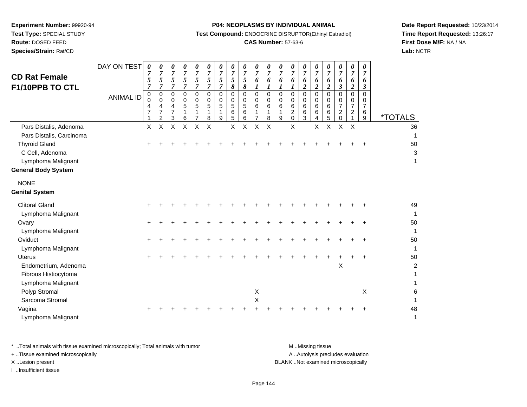**Route:** DOSED FEED

**Species/Strain:** Rat/CD

#### **P04: NEOPLASMS BY INDIVIDUAL ANIMAL**

**Test Compound:** ENDOCRINE DISRUPTOR(Ethinyl Estradiol)

## **CAS Number:** 57-63-6

**Date Report Requested:** 10/23/2014**Time Report Requested:** 13:26:17**First Dose M/F:** NA / NA**Lab:** NCTR

| <b>CD Rat Female</b><br>F1/10PPB TO CTL | DAY ON TEST<br><b>ANIMAL ID</b> | $\boldsymbol{\theta}$<br>7<br>$\mathfrak{s}$<br>7<br>0<br>$\Omega$<br>4<br>7 | 0<br>$\overline{7}$<br>5<br>$\overline{7}$<br>0<br>$\Omega$<br>4<br>$\overline{7}$<br>$\overline{c}$ | 0<br>$\overline{7}$<br>5<br>$\overline{7}$<br>0<br>$\Omega$<br>$\overline{4}$<br>$\overline{7}$<br>3 | 0<br>$\overline{7}$<br>5<br>$\overline{7}$<br>$\mathbf 0$<br>0<br>5<br>6 | 0<br>$\boldsymbol{7}$<br>5<br>$\overline{7}$<br>$\mathbf 0$<br>0<br>5<br>1<br>$\overline{7}$ | 0<br>$\overline{7}$<br>5<br>$\overline{7}$<br>$\mathbf 0$<br>$\Omega$<br>$\sqrt{5}$<br>1<br>8 | 0<br>7<br>5<br>$\overline{7}$<br>$\mathbf 0$<br>$\Omega$<br>5<br>1<br>9 | 0<br>$\overline{7}$<br>$\sqrt{5}$<br>8<br>$\pmb{0}$<br>0<br>$\overline{5}$<br>6<br>5 | 0<br>$\boldsymbol{7}$<br>5<br>8<br>0<br>0<br>5<br>6<br>6 | 0<br>$\overline{7}$<br>6<br>$\boldsymbol{l}$<br>$\mathbf 0$<br>0<br>6<br>$\mathbf{1}$<br>$\overline{7}$ | 0<br>7<br>6<br>1<br>$\mathbf 0$<br>0<br>6<br>1<br>8 | 0<br>7<br>6<br>$\mathbf 0$<br>0<br>6<br>9 | 0<br>$\overline{7}$<br>6<br>$\mathbf 0$<br>$\Omega$<br>6<br>$\overline{\mathbf{c}}$<br>$\mathbf 0$ | 0<br>$\overline{7}$<br>6<br>$\overline{2}$<br>$\mathbf 0$<br>$\Omega$<br>6<br>6<br>$\mathbf{3}$ | 0<br>$\overline{7}$<br>6<br>$\overline{2}$<br>$\mathbf 0$<br>0<br>6<br>6<br>4 | 0<br>7<br>6<br>$\overline{\mathbf{c}}$<br>$\mathbf 0$<br>0<br>6<br>6<br>5 | 0<br>7<br>6<br>$\boldsymbol{\beta}$<br>$\mathbf 0$<br>0<br>$\overline{7}$<br>$\boldsymbol{2}$<br>$\mathbf 0$ | 0<br>7<br>6<br>$\overline{2}$<br>$\mathbf 0$<br>$\Omega$<br>$\overline{7}$<br>2 | 0<br>7<br>6<br>3<br>0<br>0<br>$\overline{7}$<br>6<br>9 | <i><b>*TOTALS</b></i> |
|-----------------------------------------|---------------------------------|------------------------------------------------------------------------------|------------------------------------------------------------------------------------------------------|------------------------------------------------------------------------------------------------------|--------------------------------------------------------------------------|----------------------------------------------------------------------------------------------|-----------------------------------------------------------------------------------------------|-------------------------------------------------------------------------|--------------------------------------------------------------------------------------|----------------------------------------------------------|---------------------------------------------------------------------------------------------------------|-----------------------------------------------------|-------------------------------------------|----------------------------------------------------------------------------------------------------|-------------------------------------------------------------------------------------------------|-------------------------------------------------------------------------------|---------------------------------------------------------------------------|--------------------------------------------------------------------------------------------------------------|---------------------------------------------------------------------------------|--------------------------------------------------------|-----------------------|
| Pars Distalis, Adenoma                  |                                 | Χ                                                                            | X                                                                                                    | X                                                                                                    | X                                                                        | Χ                                                                                            | X                                                                                             |                                                                         | X                                                                                    | X                                                        | X                                                                                                       | X                                                   |                                           | X                                                                                                  |                                                                                                 | X                                                                             | Χ                                                                         | X                                                                                                            | X                                                                               |                                                        | 36                    |
| Pars Distalis, Carcinoma                |                                 |                                                                              |                                                                                                      |                                                                                                      |                                                                          |                                                                                              |                                                                                               |                                                                         |                                                                                      |                                                          |                                                                                                         |                                                     |                                           |                                                                                                    |                                                                                                 |                                                                               |                                                                           |                                                                                                              |                                                                                 |                                                        |                       |
| <b>Thyroid Gland</b>                    |                                 |                                                                              |                                                                                                      |                                                                                                      |                                                                          |                                                                                              |                                                                                               |                                                                         |                                                                                      |                                                          |                                                                                                         |                                                     |                                           |                                                                                                    |                                                                                                 |                                                                               |                                                                           |                                                                                                              |                                                                                 |                                                        | 50                    |
| C Cell, Adenoma                         |                                 |                                                                              |                                                                                                      |                                                                                                      |                                                                          |                                                                                              |                                                                                               |                                                                         |                                                                                      |                                                          |                                                                                                         |                                                     |                                           |                                                                                                    |                                                                                                 |                                                                               |                                                                           |                                                                                                              |                                                                                 |                                                        | 3                     |
| Lymphoma Malignant                      |                                 |                                                                              |                                                                                                      |                                                                                                      |                                                                          |                                                                                              |                                                                                               |                                                                         |                                                                                      |                                                          |                                                                                                         |                                                     |                                           |                                                                                                    |                                                                                                 |                                                                               |                                                                           |                                                                                                              |                                                                                 |                                                        | 1                     |
| <b>General Body System</b>              |                                 |                                                                              |                                                                                                      |                                                                                                      |                                                                          |                                                                                              |                                                                                               |                                                                         |                                                                                      |                                                          |                                                                                                         |                                                     |                                           |                                                                                                    |                                                                                                 |                                                                               |                                                                           |                                                                                                              |                                                                                 |                                                        |                       |
| <b>NONE</b><br><b>Genital System</b>    |                                 |                                                                              |                                                                                                      |                                                                                                      |                                                                          |                                                                                              |                                                                                               |                                                                         |                                                                                      |                                                          |                                                                                                         |                                                     |                                           |                                                                                                    |                                                                                                 |                                                                               |                                                                           |                                                                                                              |                                                                                 |                                                        |                       |
| <b>Clitoral Gland</b>                   |                                 | $\ddot{}$                                                                    |                                                                                                      |                                                                                                      |                                                                          |                                                                                              |                                                                                               |                                                                         |                                                                                      |                                                          |                                                                                                         |                                                     |                                           |                                                                                                    |                                                                                                 |                                                                               |                                                                           |                                                                                                              |                                                                                 |                                                        | 49                    |
| Lymphoma Malignant                      |                                 |                                                                              |                                                                                                      |                                                                                                      |                                                                          |                                                                                              |                                                                                               |                                                                         |                                                                                      |                                                          |                                                                                                         |                                                     |                                           |                                                                                                    |                                                                                                 |                                                                               |                                                                           |                                                                                                              |                                                                                 |                                                        | 1                     |
| Ovary                                   |                                 | $\ddot{}$                                                                    |                                                                                                      |                                                                                                      |                                                                          |                                                                                              |                                                                                               |                                                                         |                                                                                      |                                                          |                                                                                                         |                                                     |                                           |                                                                                                    |                                                                                                 |                                                                               |                                                                           |                                                                                                              |                                                                                 |                                                        | 50                    |
| Lymphoma Malignant                      |                                 |                                                                              |                                                                                                      |                                                                                                      |                                                                          |                                                                                              |                                                                                               |                                                                         |                                                                                      |                                                          |                                                                                                         |                                                     |                                           |                                                                                                    |                                                                                                 |                                                                               |                                                                           |                                                                                                              |                                                                                 |                                                        |                       |
| Oviduct                                 |                                 | ÷                                                                            |                                                                                                      |                                                                                                      |                                                                          |                                                                                              |                                                                                               |                                                                         |                                                                                      |                                                          |                                                                                                         |                                                     |                                           |                                                                                                    |                                                                                                 |                                                                               |                                                                           |                                                                                                              |                                                                                 |                                                        | 50                    |
| Lymphoma Malignant                      |                                 |                                                                              |                                                                                                      |                                                                                                      |                                                                          |                                                                                              |                                                                                               |                                                                         |                                                                                      |                                                          |                                                                                                         |                                                     |                                           |                                                                                                    |                                                                                                 |                                                                               |                                                                           |                                                                                                              |                                                                                 |                                                        | 1                     |
| <b>Uterus</b>                           |                                 |                                                                              |                                                                                                      |                                                                                                      |                                                                          |                                                                                              |                                                                                               |                                                                         |                                                                                      |                                                          |                                                                                                         |                                                     |                                           |                                                                                                    |                                                                                                 |                                                                               |                                                                           |                                                                                                              |                                                                                 |                                                        | 50                    |
| Endometrium, Adenoma                    |                                 |                                                                              |                                                                                                      |                                                                                                      |                                                                          |                                                                                              |                                                                                               |                                                                         |                                                                                      |                                                          |                                                                                                         |                                                     |                                           |                                                                                                    |                                                                                                 |                                                                               |                                                                           | $\pmb{\times}$                                                                                               |                                                                                 |                                                        | $\overline{c}$        |
| Fibrous Histiocytoma                    |                                 |                                                                              |                                                                                                      |                                                                                                      |                                                                          |                                                                                              |                                                                                               |                                                                         |                                                                                      |                                                          |                                                                                                         |                                                     |                                           |                                                                                                    |                                                                                                 |                                                                               |                                                                           |                                                                                                              |                                                                                 |                                                        |                       |
| Lymphoma Malignant                      |                                 |                                                                              |                                                                                                      |                                                                                                      |                                                                          |                                                                                              |                                                                                               |                                                                         |                                                                                      |                                                          |                                                                                                         |                                                     |                                           |                                                                                                    |                                                                                                 |                                                                               |                                                                           |                                                                                                              |                                                                                 |                                                        |                       |
| Polyp Stromal                           |                                 |                                                                              |                                                                                                      |                                                                                                      |                                                                          |                                                                                              |                                                                                               |                                                                         |                                                                                      |                                                          | X                                                                                                       |                                                     |                                           |                                                                                                    |                                                                                                 |                                                                               |                                                                           |                                                                                                              |                                                                                 | X                                                      | 6                     |
| Sarcoma Stromal                         |                                 |                                                                              |                                                                                                      |                                                                                                      |                                                                          |                                                                                              |                                                                                               |                                                                         |                                                                                      |                                                          | X                                                                                                       |                                                     |                                           |                                                                                                    |                                                                                                 |                                                                               |                                                                           |                                                                                                              |                                                                                 |                                                        | 1                     |
| Vagina                                  |                                 |                                                                              |                                                                                                      |                                                                                                      |                                                                          |                                                                                              |                                                                                               |                                                                         |                                                                                      |                                                          |                                                                                                         |                                                     |                                           |                                                                                                    |                                                                                                 |                                                                               |                                                                           |                                                                                                              |                                                                                 |                                                        | 48                    |
| Lymphoma Malignant                      |                                 |                                                                              |                                                                                                      |                                                                                                      |                                                                          |                                                                                              |                                                                                               |                                                                         |                                                                                      |                                                          |                                                                                                         |                                                     |                                           |                                                                                                    |                                                                                                 |                                                                               |                                                                           |                                                                                                              |                                                                                 |                                                        | 1                     |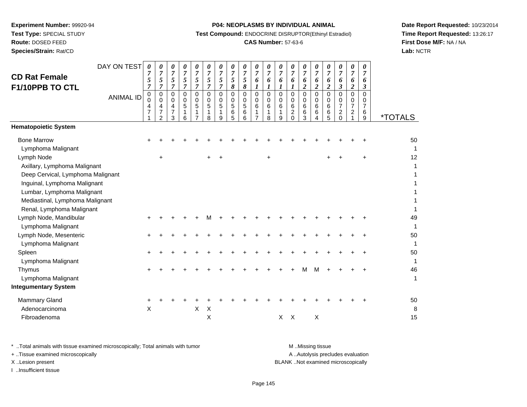**Route:** DOSED FEED

**Species/Strain:** Rat/CD

## **P04: NEOPLASMS BY INDIVIDUAL ANIMAL**

**Test Compound:** ENDOCRINE DISRUPTOR(Ethinyl Estradiol)

# **CAS Number:** 57-63-6

**Date Report Requested:** 10/23/2014 **Time Report Requested:** 13:26:17**First Dose M/F:** NA / NA**Lab:** NCTR

| DAY ON TEST                       | 0                         | 0                                | 0                                | 0                | 0                          | 0                            | 0                   | 0                                | 0                            | 0                          | 0                          | 0      | 0                   | 0                   | 0              | 0              | 0                                | 0                                | 0                    |                       |
|-----------------------------------|---------------------------|----------------------------------|----------------------------------|------------------|----------------------------|------------------------------|---------------------|----------------------------------|------------------------------|----------------------------|----------------------------|--------|---------------------|---------------------|----------------|----------------|----------------------------------|----------------------------------|----------------------|-----------------------|
| <b>CD Rat Female</b>              | 7<br>5                    | $\overline{7}$<br>$\sqrt{5}$     | $\overline{7}$<br>$\sqrt{5}$     | 7<br>5           | $\overline{7}$<br>5        | $\overline{7}$<br>$\sqrt{5}$ | $\overline{7}$<br>5 | $\overline{7}$<br>$\mathfrak{s}$ | $\overline{7}$<br>$\sqrt{5}$ | $\overline{7}$<br>6        | $\overline{7}$<br>6        | 7<br>6 | $\overline{7}$<br>6 | $\overline{7}$<br>6 | 7<br>6         | 7<br>6         | 7<br>6                           | 7<br>6                           | 6                    |                       |
| F1/10PPB TO CTL                   | $\overline{7}$            | $\overline{7}$                   | $\overline{7}$                   | $\overline{7}$   | $\overline{7}$             | $\overline{7}$               | $\overline{7}$      | 8                                | 8                            | $\bm{l}$                   | 1                          | 1      | $\boldsymbol{l}$    | $\boldsymbol{2}$    | $\overline{2}$ | $\overline{c}$ | $\boldsymbol{\beta}$             | $\boldsymbol{2}$                 | $\boldsymbol{\beta}$ |                       |
| <b>ANIMAL ID</b>                  | 0<br>$\mathbf 0$          | 0<br>$\Omega$                    | 0<br>$\mathbf 0$                 | 0<br>$\mathbf 0$ | $\mathbf 0$<br>$\mathbf 0$ | $\Omega$<br>0                | 0<br>$\mathbf 0$    | 0<br>$\mathbf 0$                 | 0<br>$\mathbf 0$             | $\mathbf 0$<br>$\mathbf 0$ | $\mathbf 0$<br>$\mathbf 0$ | 0<br>0 | 0<br>$\Omega$       | $\mathbf 0$<br>0    | 0<br>0         | 0<br>0         | 0<br>0                           | $\mathbf 0$<br>$\Omega$          | $\Omega$<br>$\Omega$ |                       |
|                                   | 4<br>$\overline{7}$       | $\overline{4}$<br>$\overline{7}$ | $\overline{4}$<br>$\overline{7}$ | 5                | 5                          | 5<br>1                       | 5                   | 5<br>6                           | 5<br>6                       | 6<br>$\overline{7}$        | 6                          | 6<br>1 | 6<br>$\overline{c}$ | 6<br>6              | 6<br>6         | 6<br>6         | $\overline{7}$<br>$\overline{c}$ | $\overline{7}$<br>$\overline{c}$ | $\overline{7}$<br>6  |                       |
| <b>Hematopoietic System</b>       |                           | $\overline{2}$                   | 3                                | 6                | $\overline{7}$             | 8                            | 9                   | 5                                | 6                            |                            | 8                          | 9      | $\Omega$            | 3                   | $\Lambda$      | 5              | $\Omega$                         |                                  | 9                    | <i><b>*TOTALS</b></i> |
| <b>Bone Marrow</b>                |                           |                                  |                                  |                  |                            |                              |                     |                                  |                              |                            |                            |        |                     |                     |                |                |                                  |                                  |                      | 50                    |
| Lymphoma Malignant                |                           |                                  |                                  |                  |                            |                              |                     |                                  |                              |                            |                            |        |                     |                     |                |                |                                  |                                  |                      |                       |
| Lymph Node                        |                           | +                                |                                  |                  |                            |                              |                     |                                  |                              |                            | +                          |        |                     |                     |                |                |                                  |                                  | ÷                    | 12                    |
| Axillary, Lymphoma Malignant      |                           |                                  |                                  |                  |                            |                              |                     |                                  |                              |                            |                            |        |                     |                     |                |                |                                  |                                  |                      |                       |
| Deep Cervical, Lymphoma Malignant |                           |                                  |                                  |                  |                            |                              |                     |                                  |                              |                            |                            |        |                     |                     |                |                |                                  |                                  |                      |                       |
| Inguinal, Lymphoma Malignant      |                           |                                  |                                  |                  |                            |                              |                     |                                  |                              |                            |                            |        |                     |                     |                |                |                                  |                                  |                      |                       |
| Lumbar, Lymphoma Malignant        |                           |                                  |                                  |                  |                            |                              |                     |                                  |                              |                            |                            |        |                     |                     |                |                |                                  |                                  |                      |                       |
| Mediastinal, Lymphoma Malignant   |                           |                                  |                                  |                  |                            |                              |                     |                                  |                              |                            |                            |        |                     |                     |                |                |                                  |                                  |                      |                       |
| Renal, Lymphoma Malignant         |                           |                                  |                                  |                  |                            |                              |                     |                                  |                              |                            |                            |        |                     |                     |                |                |                                  |                                  |                      |                       |
| Lymph Node, Mandibular            |                           |                                  |                                  |                  |                            |                              |                     |                                  |                              |                            |                            |        |                     |                     |                |                |                                  |                                  |                      | 49                    |
| Lymphoma Malignant                |                           |                                  |                                  |                  |                            |                              |                     |                                  |                              |                            |                            |        |                     |                     |                |                |                                  |                                  |                      |                       |
| Lymph Node, Mesenteric            |                           |                                  |                                  |                  |                            |                              |                     |                                  |                              |                            |                            |        |                     |                     |                |                |                                  |                                  |                      | 50                    |
| Lymphoma Malignant                |                           |                                  |                                  |                  |                            |                              |                     |                                  |                              |                            |                            |        |                     |                     |                |                |                                  |                                  |                      | 1                     |
| Spleen                            |                           |                                  |                                  |                  |                            |                              |                     |                                  |                              |                            |                            |        |                     |                     |                |                |                                  |                                  |                      | 50                    |
| Lymphoma Malignant                |                           |                                  |                                  |                  |                            |                              |                     |                                  |                              |                            |                            |        |                     |                     |                |                |                                  |                                  |                      | -1                    |
| Thymus                            |                           |                                  |                                  |                  |                            |                              |                     |                                  |                              |                            |                            |        |                     | м                   | м              |                |                                  |                                  |                      | 46                    |
| Lymphoma Malignant                |                           |                                  |                                  |                  |                            |                              |                     |                                  |                              |                            |                            |        |                     |                     |                |                |                                  |                                  |                      | 1                     |
| <b>Integumentary System</b>       |                           |                                  |                                  |                  |                            |                              |                     |                                  |                              |                            |                            |        |                     |                     |                |                |                                  |                                  |                      |                       |
| Mammary Gland                     |                           |                                  |                                  |                  |                            |                              |                     |                                  |                              |                            |                            |        |                     |                     |                |                |                                  |                                  |                      | 50                    |
| Adenocarcinoma                    | $\boldsymbol{\mathsf{X}}$ |                                  |                                  |                  | X                          | $\boldsymbol{\mathsf{X}}$    |                     |                                  |                              |                            |                            |        |                     |                     |                |                |                                  |                                  |                      | 8                     |
| Fibroadenoma                      |                           |                                  |                                  |                  |                            | X                            |                     |                                  |                              |                            |                            | X      | $\times$            |                     | X              |                |                                  |                                  |                      | 15                    |

| * Total animals with tissue examined microscopically; Total animals with tumor | M Missing tissue                   |
|--------------------------------------------------------------------------------|------------------------------------|
| + Tissue examined microscopically                                              | A Autolysis precludes evaluation   |
| X Lesion present                                                               | BLANK Not examined microscopically |
| …Insufficient tissue                                                           |                                    |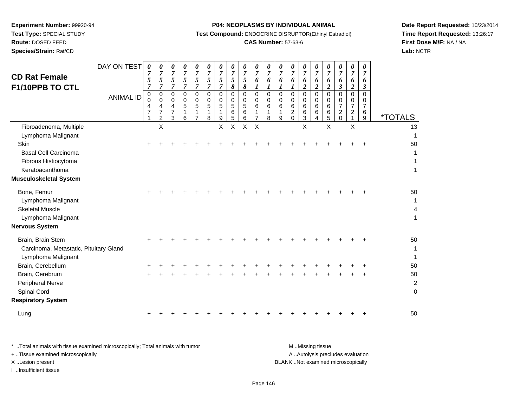**Route:** DOSED FEED

**Species/Strain:** Rat/CD

## **P04: NEOPLASMS BY INDIVIDUAL ANIMAL**

**Test Compound:** ENDOCRINE DISRUPTOR(Ethinyl Estradiol)

# **CAS Number:** 57-63-6

**Date Report Requested:** 10/23/2014 **Time Report Requested:** 13:26:17**First Dose M/F:** NA / NA**Lab:** NCTR

| <b>CD Rat Female</b><br>F1/10PPB TO CTL                                           | DAY ON TEST<br><b>ANIMAL ID</b> | $\boldsymbol{\theta}$<br>7<br>5<br>7<br>0<br>$\mathbf 0$<br>4<br>7 | 0<br>$\overline{7}$<br>5<br>7<br>$\mathbf 0$<br>$\Omega$<br>4<br>$\overline{7}$<br>$\overline{2}$ | 0<br>$\overline{7}$<br>5<br>$\overline{7}$<br>0<br>0<br>4<br>$\overline{7}$<br>3 | 0<br>$\overline{7}$<br>5<br>$\overline{7}$<br>$\Omega$<br>0<br>5<br>6 | 0<br>$\boldsymbol{7}$<br>5<br>$\overline{7}$<br>$\mathbf 0$<br>0<br>5<br>1<br>$\overline{7}$ | 0<br>$\overline{7}$<br>5<br>$\overline{7}$<br>$\Omega$<br>0<br>5<br>1<br>8 | 0<br>$\boldsymbol{7}$<br>5<br>$\overline{7}$<br>$\mathbf 0$<br>0<br>5<br>$\mathbf{1}$<br>9 | 0<br>$\overline{7}$<br>5<br>8<br>0<br>0<br>5<br>6<br>5 | 0<br>$\overline{7}$<br>5<br>$\pmb{8}$<br>$\mathbf 0$<br>0<br>$\sqrt{5}$<br>6<br>6 | $\pmb{\theta}$<br>$\boldsymbol{7}$<br>6<br>$\boldsymbol{l}$<br>$\mathbf 0$<br>$\mathbf 0$<br>6<br>1<br>$\overline{7}$ | 0<br>$\overline{7}$<br>6<br>1<br>$\mathbf 0$<br>0<br>$6\phantom{1}6$<br>1<br>8 | 0<br>7<br>6<br>1<br>$\Omega$<br>0<br>6<br>1<br>9 | 0<br>$\overline{7}$<br>6<br>1<br>$\mathbf 0$<br>0<br>6<br>$\overline{c}$<br>$\Omega$ | 0<br>$\overline{7}$<br>6<br>$\boldsymbol{2}$<br>0<br>0<br>6<br>6<br>3 | 0<br>$\overline{7}$<br>6<br>$\overline{c}$<br>0<br>0<br>6<br>6<br>4 | 0<br>$\overline{7}$<br>6<br>$\overline{c}$<br>0<br>0<br>6<br>$\,6\,$<br>$\overline{5}$ | 0<br>$\overline{7}$<br>6<br>$\mathfrak{z}$<br>$\Omega$<br>0<br>$\overline{7}$<br>$\overline{2}$<br>$\mathbf 0$ | $\pmb{\theta}$<br>$\overline{7}$<br>6<br>$\boldsymbol{2}$<br>$\Omega$<br>0<br>$\overline{7}$<br>$\overline{c}$<br>$\mathbf 1$ | 0<br>$\overline{7}$<br>6<br>$\boldsymbol{\beta}$<br>$\Omega$<br>0<br>$\overline{7}$<br>6<br>9 | <i><b>*TOTALS</b></i> |
|-----------------------------------------------------------------------------------|---------------------------------|--------------------------------------------------------------------|---------------------------------------------------------------------------------------------------|----------------------------------------------------------------------------------|-----------------------------------------------------------------------|----------------------------------------------------------------------------------------------|----------------------------------------------------------------------------|--------------------------------------------------------------------------------------------|--------------------------------------------------------|-----------------------------------------------------------------------------------|-----------------------------------------------------------------------------------------------------------------------|--------------------------------------------------------------------------------|--------------------------------------------------|--------------------------------------------------------------------------------------|-----------------------------------------------------------------------|---------------------------------------------------------------------|----------------------------------------------------------------------------------------|----------------------------------------------------------------------------------------------------------------|-------------------------------------------------------------------------------------------------------------------------------|-----------------------------------------------------------------------------------------------|-----------------------|
| Fibroadenoma, Multiple                                                            |                                 |                                                                    | X                                                                                                 |                                                                                  |                                                                       |                                                                                              |                                                                            | X                                                                                          | X                                                      | $\times$                                                                          | $\boldsymbol{\mathsf{X}}$                                                                                             |                                                                                |                                                  |                                                                                      | X                                                                     |                                                                     | $\times$                                                                               |                                                                                                                | X                                                                                                                             |                                                                                               | 13                    |
| Lymphoma Malignant                                                                |                                 |                                                                    |                                                                                                   |                                                                                  |                                                                       |                                                                                              |                                                                            |                                                                                            |                                                        |                                                                                   |                                                                                                                       |                                                                                |                                                  |                                                                                      |                                                                       |                                                                     |                                                                                        |                                                                                                                |                                                                                                                               |                                                                                               | 1                     |
| <b>Skin</b><br><b>Basal Cell Carcinoma</b>                                        |                                 |                                                                    |                                                                                                   |                                                                                  |                                                                       |                                                                                              |                                                                            |                                                                                            |                                                        |                                                                                   |                                                                                                                       |                                                                                |                                                  |                                                                                      |                                                                       |                                                                     |                                                                                        |                                                                                                                |                                                                                                                               |                                                                                               | 50                    |
| Fibrous Histiocytoma                                                              |                                 |                                                                    |                                                                                                   |                                                                                  |                                                                       |                                                                                              |                                                                            |                                                                                            |                                                        |                                                                                   |                                                                                                                       |                                                                                |                                                  |                                                                                      |                                                                       |                                                                     |                                                                                        |                                                                                                                |                                                                                                                               |                                                                                               |                       |
| Keratoacanthoma                                                                   |                                 |                                                                    |                                                                                                   |                                                                                  |                                                                       |                                                                                              |                                                                            |                                                                                            |                                                        |                                                                                   |                                                                                                                       |                                                                                |                                                  |                                                                                      |                                                                       |                                                                     |                                                                                        |                                                                                                                |                                                                                                                               |                                                                                               | 1                     |
| <b>Musculoskeletal System</b>                                                     |                                 |                                                                    |                                                                                                   |                                                                                  |                                                                       |                                                                                              |                                                                            |                                                                                            |                                                        |                                                                                   |                                                                                                                       |                                                                                |                                                  |                                                                                      |                                                                       |                                                                     |                                                                                        |                                                                                                                |                                                                                                                               |                                                                                               |                       |
| Bone, Femur                                                                       |                                 |                                                                    |                                                                                                   |                                                                                  |                                                                       |                                                                                              |                                                                            |                                                                                            |                                                        |                                                                                   |                                                                                                                       |                                                                                |                                                  |                                                                                      |                                                                       |                                                                     |                                                                                        |                                                                                                                |                                                                                                                               |                                                                                               | 50                    |
| Lymphoma Malignant                                                                |                                 |                                                                    |                                                                                                   |                                                                                  |                                                                       |                                                                                              |                                                                            |                                                                                            |                                                        |                                                                                   |                                                                                                                       |                                                                                |                                                  |                                                                                      |                                                                       |                                                                     |                                                                                        |                                                                                                                |                                                                                                                               |                                                                                               | 1                     |
| <b>Skeletal Muscle</b>                                                            |                                 |                                                                    |                                                                                                   |                                                                                  |                                                                       |                                                                                              |                                                                            |                                                                                            |                                                        |                                                                                   |                                                                                                                       |                                                                                |                                                  |                                                                                      |                                                                       |                                                                     |                                                                                        |                                                                                                                |                                                                                                                               |                                                                                               | 4                     |
| Lymphoma Malignant                                                                |                                 |                                                                    |                                                                                                   |                                                                                  |                                                                       |                                                                                              |                                                                            |                                                                                            |                                                        |                                                                                   |                                                                                                                       |                                                                                |                                                  |                                                                                      |                                                                       |                                                                     |                                                                                        |                                                                                                                |                                                                                                                               |                                                                                               | $\mathbf{1}$          |
| <b>Nervous System</b>                                                             |                                 |                                                                    |                                                                                                   |                                                                                  |                                                                       |                                                                                              |                                                                            |                                                                                            |                                                        |                                                                                   |                                                                                                                       |                                                                                |                                                  |                                                                                      |                                                                       |                                                                     |                                                                                        |                                                                                                                |                                                                                                                               |                                                                                               |                       |
| Brain, Brain Stem<br>Carcinoma, Metastatic, Pituitary Gland<br>Lymphoma Malignant |                                 |                                                                    |                                                                                                   |                                                                                  |                                                                       |                                                                                              |                                                                            |                                                                                            |                                                        |                                                                                   |                                                                                                                       |                                                                                |                                                  |                                                                                      |                                                                       |                                                                     |                                                                                        |                                                                                                                |                                                                                                                               |                                                                                               | 50                    |
| Brain, Cerebellum                                                                 |                                 |                                                                    |                                                                                                   |                                                                                  |                                                                       |                                                                                              |                                                                            |                                                                                            |                                                        |                                                                                   |                                                                                                                       |                                                                                |                                                  |                                                                                      |                                                                       |                                                                     |                                                                                        |                                                                                                                |                                                                                                                               |                                                                                               | 50                    |
| Brain, Cerebrum<br><b>Peripheral Nerve</b>                                        |                                 |                                                                    |                                                                                                   |                                                                                  |                                                                       |                                                                                              |                                                                            |                                                                                            |                                                        |                                                                                   |                                                                                                                       |                                                                                |                                                  |                                                                                      |                                                                       |                                                                     |                                                                                        |                                                                                                                |                                                                                                                               |                                                                                               | 50<br>$\overline{c}$  |
| Spinal Cord                                                                       |                                 |                                                                    |                                                                                                   |                                                                                  |                                                                       |                                                                                              |                                                                            |                                                                                            |                                                        |                                                                                   |                                                                                                                       |                                                                                |                                                  |                                                                                      |                                                                       |                                                                     |                                                                                        |                                                                                                                |                                                                                                                               |                                                                                               | $\mathbf 0$           |
| <b>Respiratory System</b>                                                         |                                 |                                                                    |                                                                                                   |                                                                                  |                                                                       |                                                                                              |                                                                            |                                                                                            |                                                        |                                                                                   |                                                                                                                       |                                                                                |                                                  |                                                                                      |                                                                       |                                                                     |                                                                                        |                                                                                                                |                                                                                                                               |                                                                                               |                       |
| Lung                                                                              |                                 |                                                                    |                                                                                                   |                                                                                  |                                                                       |                                                                                              |                                                                            |                                                                                            |                                                        |                                                                                   |                                                                                                                       |                                                                                |                                                  |                                                                                      |                                                                       |                                                                     |                                                                                        |                                                                                                                |                                                                                                                               |                                                                                               | 50                    |

| Total animals with tissue examined microscopically: Total animals with tumor | M Missing tissue                   |
|------------------------------------------------------------------------------|------------------------------------|
| + . Tissue examined microscopically                                          | A Autolysis precludes evaluation   |
| X Lesion present                                                             | BLANK Not examined microscopically |
| …Insufficient tissue                                                         |                                    |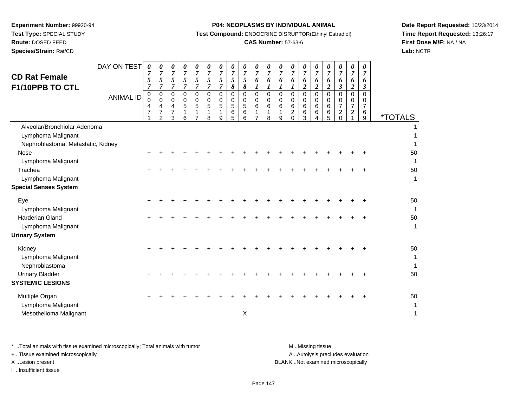**Test Type:** SPECIAL STUDY

**Route:** DOSED FEED

### **Species/Strain:** Rat/CD

### **P04: NEOPLASMS BY INDIVIDUAL ANIMAL**

**Test Compound:** ENDOCRINE DISRUPTOR(Ethinyl Estradiol)

## **CAS Number:** 57-63-6

**Date Report Requested:** 10/23/2014**Time Report Requested:** 13:26:17**First Dose M/F:** NA / NA**Lab:** NCTR

| <b>CD Rat Female</b><br>F1/10PPB TO CTL                                                                                | DAY ON TEST<br><b>ANIMAL ID</b> | 0<br>7<br>5<br>$\overline{7}$<br>0<br>0<br>4<br>$\overline{7}$ | 0<br>$\overline{7}$<br>$\sqrt{5}$<br>0<br>0<br>4<br>7<br>$\overline{2}$ | 0<br>$\overline{7}$<br>5<br>$\overline{7}$<br>0<br>0<br>4<br>7<br>3 | 0<br>$\overline{7}$<br>$\sqrt{5}$<br>$\overline{7}$<br>0<br>$\mathbf 0$<br>$\,$ 5 $\,$<br>1<br>6 | 0<br>$\overline{7}$<br>5<br>$\overline{7}$<br>$\Omega$<br>0<br>5<br>1<br>$\overline{7}$ | 0<br>$\overline{7}$<br>$\sqrt{5}$<br>$\overline{7}$<br>$\Omega$<br>$\Omega$<br>5<br>$\mathbf 1$<br>8 | 0<br>$\overline{7}$<br>$\mathfrak{s}$<br>$\overline{7}$<br>0<br>$\mathbf 0$<br>$\sqrt{5}$<br>1<br>9 | 0<br>$\overline{7}$<br>5<br>8<br>0<br>0<br>5<br>6<br>5 | 0<br>$\overline{7}$<br>$\mathfrak{s}$<br>8<br>0<br>$\mathbf 0$<br>$\sqrt{5}$<br>6<br>6 | 0<br>7<br>6<br>1<br>$\Omega$<br>$\Omega$<br>6<br>1<br>7 | 0<br>7<br>6<br>1<br>$\mathbf 0$<br>$\Omega$<br>6<br>1<br>8 | 0<br>$\overline{7}$<br>6<br>$\mathbf 0$<br>$\mathbf 0$<br>6<br>1<br>9 | 0<br>$\overline{7}$<br>6<br>0<br>0<br>6<br>$\overline{c}$<br>$\Omega$ | 0<br>7<br>6<br>$\overline{2}$<br>$\mathbf 0$<br>0<br>$\,6$<br>6<br>3 | 0<br>7<br>6<br>$\boldsymbol{2}$<br>$\Omega$<br>$\Omega$<br>6<br>6 | 0<br>7<br>6<br>$\boldsymbol{2}$<br>$\mathbf 0$<br>$\Omega$<br>6<br>6<br>5 | 0<br>$\overline{7}$<br>6<br>3<br>$\mathbf 0$<br>0<br>$\overline{7}$<br>$\overline{c}$<br>$\Omega$ | 0<br>$\overline{7}$<br>6<br>$\overline{2}$<br>$\mathbf 0$<br>0<br>$\overline{7}$<br>$\overline{a}$ | 0<br>7<br>6<br>3<br>$\Omega$<br>0<br>$\overline{7}$<br>6<br>9 | <i><b>*TOTALS</b></i>         |
|------------------------------------------------------------------------------------------------------------------------|---------------------------------|----------------------------------------------------------------|-------------------------------------------------------------------------|---------------------------------------------------------------------|--------------------------------------------------------------------------------------------------|-----------------------------------------------------------------------------------------|------------------------------------------------------------------------------------------------------|-----------------------------------------------------------------------------------------------------|--------------------------------------------------------|----------------------------------------------------------------------------------------|---------------------------------------------------------|------------------------------------------------------------|-----------------------------------------------------------------------|-----------------------------------------------------------------------|----------------------------------------------------------------------|-------------------------------------------------------------------|---------------------------------------------------------------------------|---------------------------------------------------------------------------------------------------|----------------------------------------------------------------------------------------------------|---------------------------------------------------------------|-------------------------------|
| Alveolar/Bronchiolar Adenoma<br>Lymphoma Malignant<br>Nephroblastoma, Metastatic, Kidney<br>Nose<br>Lymphoma Malignant |                                 | +                                                              |                                                                         |                                                                     |                                                                                                  |                                                                                         |                                                                                                      |                                                                                                     |                                                        |                                                                                        |                                                         |                                                            |                                                                       |                                                                       |                                                                      |                                                                   |                                                                           |                                                                                                   |                                                                                                    |                                                               | 50                            |
| Trachea<br>Lymphoma Malignant<br><b>Special Senses System</b>                                                          |                                 | $\ddot{}$                                                      |                                                                         |                                                                     |                                                                                                  |                                                                                         |                                                                                                      |                                                                                                     |                                                        |                                                                                        |                                                         |                                                            |                                                                       |                                                                       |                                                                      |                                                                   |                                                                           |                                                                                                   |                                                                                                    |                                                               | 50<br>1                       |
| Eye<br>Lymphoma Malignant<br><b>Harderian Gland</b><br>Lymphoma Malignant<br><b>Urinary System</b>                     |                                 | ÷                                                              |                                                                         |                                                                     |                                                                                                  |                                                                                         |                                                                                                      |                                                                                                     |                                                        |                                                                                        |                                                         |                                                            |                                                                       |                                                                       |                                                                      |                                                                   |                                                                           |                                                                                                   |                                                                                                    | ÷                                                             | 50<br>1<br>50<br>$\mathbf{1}$ |
| Kidney<br>Lymphoma Malignant<br>Nephroblastoma<br><b>Urinary Bladder</b><br><b>SYSTEMIC LESIONS</b>                    |                                 | ÷<br>$\ddot{}$                                                 |                                                                         |                                                                     |                                                                                                  |                                                                                         |                                                                                                      |                                                                                                     |                                                        |                                                                                        |                                                         |                                                            |                                                                       |                                                                       |                                                                      |                                                                   |                                                                           |                                                                                                   |                                                                                                    | ÷                                                             | 50<br>50                      |
| Multiple Organ<br>Lymphoma Malignant<br>Mesothelioma Malignant                                                         |                                 | +                                                              |                                                                         |                                                                     |                                                                                                  |                                                                                         |                                                                                                      |                                                                                                     |                                                        | X                                                                                      |                                                         |                                                            |                                                                       |                                                                       |                                                                      |                                                                   |                                                                           |                                                                                                   |                                                                                                    |                                                               | 50                            |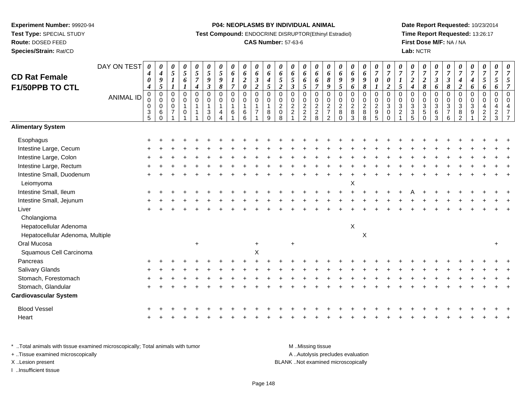**Route:** DOSED FEED

**Species/Strain:** Rat/CD

### **P04: NEOPLASMS BY INDIVIDUAL ANIMAL**

**Test Compound:** ENDOCRINE DISRUPTOR(Ethinyl Estradiol)

## **CAS Number:** 57-63-6

**Date Report Requested:** 10/23/2014**Time Report Requested:** 13:26:17**First Dose M/F:** NA / NA**Lab:** NCTR

| <b>CD Rat Female</b>                                                      | DAY ON TEST      | 0<br>$\boldsymbol{4}$<br>$\pmb{\theta}$                                           | 0<br>$\boldsymbol{4}$<br>9                                           | 0<br>$\sqrt{5}$<br>$\boldsymbol{l}$                                          | 0<br>5<br>6           | $\boldsymbol{\theta}$<br>$\sqrt{5}$<br>$\overline{7}$ | $\boldsymbol{\theta}$<br>$\mathfrak{s}$<br>9                                         | $\pmb{\theta}$<br>$\mathfrak{s}$<br>$\boldsymbol{g}$                            | 0<br>6<br>$\boldsymbol{l}$                                                            | 0<br>6<br>$\boldsymbol{2}$                                    | 0<br>6<br>$\boldsymbol{\beta}$                                                       | 0<br>6<br>$\boldsymbol{4}$                                    | 0<br>6<br>$\sqrt{5}$                                                  | 0<br>6<br>$\mathfrak{s}$                                   | 0<br>6<br>6                                              | 0<br>$\boldsymbol{6}$<br>6                                                       | 0<br>6<br>8                                                                      | 0<br>6<br>$\boldsymbol{9}$                                             | 0<br>6<br>9                                             | 0<br>6<br>9                                                                       | $\frac{\boldsymbol{\theta}}{\boldsymbol{7}}$<br>$\pmb{\theta}$ | $\boldsymbol{\theta}$<br>$\overline{7}$<br>$\pmb{\theta}$       | 0<br>$\overline{7}$<br>$\boldsymbol{l}$                                          | 0<br>$\overline{7}$<br>$\overline{c}$               | $\frac{\theta}{7}$                                                                              | $\frac{\theta}{7}$<br>$\boldsymbol{\beta}$                  | 0<br>$\boldsymbol{7}$<br>$\boldsymbol{\beta}$                                  | $\boldsymbol{\theta}$<br>$\overline{7}$<br>$\boldsymbol{4}$                     | 0<br>$\boldsymbol{7}$<br>4                                       | 0<br>$\overline{7}$<br>5                                      | 0<br>$\boldsymbol{7}$<br>5                         | $\boldsymbol{\theta}$<br>$\overline{7}$<br>5 |
|---------------------------------------------------------------------------|------------------|-----------------------------------------------------------------------------------|----------------------------------------------------------------------|------------------------------------------------------------------------------|-----------------------|-------------------------------------------------------|--------------------------------------------------------------------------------------|---------------------------------------------------------------------------------|---------------------------------------------------------------------------------------|---------------------------------------------------------------|--------------------------------------------------------------------------------------|---------------------------------------------------------------|-----------------------------------------------------------------------|------------------------------------------------------------|----------------------------------------------------------|----------------------------------------------------------------------------------|----------------------------------------------------------------------------------|------------------------------------------------------------------------|---------------------------------------------------------|-----------------------------------------------------------------------------------|----------------------------------------------------------------|-----------------------------------------------------------------|----------------------------------------------------------------------------------|-----------------------------------------------------|-------------------------------------------------------------------------------------------------|-------------------------------------------------------------|--------------------------------------------------------------------------------|---------------------------------------------------------------------------------|------------------------------------------------------------------|---------------------------------------------------------------|----------------------------------------------------|----------------------------------------------|
| <b>F1/50PPB TO CTL</b>                                                    | <b>ANIMAL ID</b> | $\boldsymbol{4}$<br>$\mathbf 0$<br>$\boldsymbol{0}$<br>$\pmb{0}$<br>$\frac{3}{5}$ | 5<br>$\overline{0}$<br>$\mathbf 0$<br>$\pmb{0}$<br>$\,6$<br>$\Omega$ | $\boldsymbol{l}$<br>$\Omega$<br>$\mathbf 0$<br>$\mathbf 0$<br>$\overline{7}$ | $\mathbf 0$<br>0<br>0 | $\boldsymbol{4}$<br>$\Omega$<br>$\mathbf 0$           | $\mathfrak{z}$<br>$\mathbf 0$<br>$\pmb{0}$<br>$\mathbf{1}$<br>$\sqrt{3}$<br>$\Omega$ | $\boldsymbol{\delta}$<br>$\Omega$<br>0<br>$\overline{1}$<br>4<br>$\overline{4}$ | $\overline{7}$<br>$\mathbf 0$<br>$\mathbf 0$<br>$\overline{1}$<br>6<br>$\overline{ }$ | $\boldsymbol{\theta}$<br>$\mathbf 0$<br>$\mathbf 0$<br>6<br>6 | $\overline{2}$<br>$\pmb{0}$<br>$\mathsf{O}\xspace$<br>$\mathbf{1}$<br>$\overline{7}$ | 5<br>$\mathbf 0$<br>$\pmb{0}$<br>$\mathbf{1}$<br>$\bf 8$<br>9 | $\overline{2}$<br>$\Omega$<br>0<br>$\boldsymbol{2}$<br>$\pmb{0}$<br>8 | $\mathfrak{z}$<br>$\Omega$<br>$\mathbf 0$<br>$\frac{2}{2}$ | 5<br>$\mathbf 0$<br>0<br>$\overline{2}$<br>$\frac{2}{2}$ | $\overline{7}$<br>$\mathbf 0$<br>$\begin{array}{c} 0 \\ 2 \\ 2 \\ 8 \end{array}$ | 9<br>$\Omega$<br>$\pmb{0}$<br>$\overline{c}$<br>$\overline{7}$<br>$\overline{2}$ | 5<br>$\mathbf 0$<br>$\pmb{0}$<br>$\overline{2}$<br>$\bf 8$<br>$\Omega$ | 6<br>$\pmb{0}$<br>$\pmb{0}$<br>$\overline{c}$<br>8<br>3 | $\boldsymbol{\delta}$<br>$\Omega$<br>$\overline{0}$<br>$\overline{2}$<br>$_{8}^8$ | $\mathbf{I}$<br>$\mathbf 0$<br>$\pmb{0}$<br>$rac{2}{9}$        | $\overline{2}$<br>$\Omega$<br>0<br>3<br>$\mathbf 0$<br>$\Omega$ | 5<br>$\Omega$<br>$\mathbf 0$<br>$\mathbf{3}$<br>$\overline{2}$<br>$\overline{ }$ | 4<br>$\Omega$<br>0<br>$\mathbf{3}$<br>$\frac{3}{5}$ | $\frac{2}{8}$<br>$\mathbf 0$<br>$\mathsf{O}\xspace$<br>$\overline{3}$<br>$\sqrt{5}$<br>$\Omega$ | 6<br>$\pmb{0}$<br>$\pmb{0}$<br>$\overline{3}$<br>$\,6$<br>3 | $\pmb{8}$<br>$\Omega$<br>0<br>$\sqrt{3}$<br>$\boldsymbol{7}$<br>$6\phantom{1}$ | $\overline{2}$<br>$\mathbf 0$<br>$\mathbf 0$<br>$\overline{3}$<br>$\frac{8}{2}$ | 6<br>$\Omega$<br>$\mathbf 0$<br>$\mathbf{3}$<br>$\boldsymbol{9}$ | 6<br>$\Omega$<br>$\pmb{0}$<br>$\overline{4}$<br>$\frac{2}{2}$ | 6<br>$\Omega$<br>$\mathbf 0$<br>4<br>$\frac{2}{3}$ | $\Omega$<br>$\Omega$<br>$\overline{ }$       |
| <b>Alimentary System</b>                                                  |                  |                                                                                   |                                                                      |                                                                              |                       |                                                       |                                                                                      |                                                                                 |                                                                                       |                                                               |                                                                                      |                                                               |                                                                       |                                                            |                                                          |                                                                                  |                                                                                  |                                                                        |                                                         |                                                                                   |                                                                |                                                                 |                                                                                  |                                                     |                                                                                                 |                                                             |                                                                                |                                                                                 |                                                                  |                                                               |                                                    |                                              |
| Esophagus                                                                 |                  |                                                                                   |                                                                      |                                                                              |                       |                                                       |                                                                                      |                                                                                 |                                                                                       |                                                               |                                                                                      |                                                               |                                                                       |                                                            |                                                          |                                                                                  |                                                                                  |                                                                        |                                                         |                                                                                   |                                                                |                                                                 |                                                                                  |                                                     |                                                                                                 |                                                             |                                                                                |                                                                                 |                                                                  |                                                               |                                                    |                                              |
| Intestine Large, Cecum                                                    |                  |                                                                                   |                                                                      |                                                                              |                       |                                                       |                                                                                      |                                                                                 |                                                                                       |                                                               |                                                                                      |                                                               |                                                                       |                                                            |                                                          |                                                                                  |                                                                                  |                                                                        |                                                         |                                                                                   |                                                                |                                                                 |                                                                                  |                                                     |                                                                                                 |                                                             |                                                                                |                                                                                 |                                                                  |                                                               |                                                    |                                              |
| Intestine Large, Colon                                                    |                  |                                                                                   |                                                                      |                                                                              |                       |                                                       |                                                                                      |                                                                                 |                                                                                       |                                                               |                                                                                      |                                                               |                                                                       |                                                            |                                                          |                                                                                  |                                                                                  |                                                                        |                                                         |                                                                                   |                                                                |                                                                 |                                                                                  |                                                     |                                                                                                 |                                                             |                                                                                |                                                                                 |                                                                  |                                                               |                                                    |                                              |
| Intestine Large, Rectum                                                   |                  |                                                                                   |                                                                      |                                                                              |                       |                                                       |                                                                                      |                                                                                 |                                                                                       |                                                               |                                                                                      |                                                               |                                                                       |                                                            |                                                          |                                                                                  |                                                                                  |                                                                        |                                                         |                                                                                   |                                                                |                                                                 |                                                                                  |                                                     |                                                                                                 |                                                             |                                                                                |                                                                                 |                                                                  |                                                               |                                                    |                                              |
| Intestine Small, Duodenum<br>Leiomyoma                                    |                  |                                                                                   |                                                                      |                                                                              |                       |                                                       |                                                                                      |                                                                                 |                                                                                       |                                                               |                                                                                      |                                                               |                                                                       |                                                            |                                                          |                                                                                  |                                                                                  |                                                                        | X                                                       |                                                                                   |                                                                |                                                                 |                                                                                  |                                                     |                                                                                                 |                                                             |                                                                                |                                                                                 |                                                                  |                                                               |                                                    |                                              |
| Intestine Small, Ileum                                                    |                  |                                                                                   |                                                                      |                                                                              |                       |                                                       |                                                                                      |                                                                                 |                                                                                       |                                                               |                                                                                      |                                                               |                                                                       |                                                            |                                                          |                                                                                  |                                                                                  |                                                                        |                                                         |                                                                                   |                                                                |                                                                 |                                                                                  |                                                     |                                                                                                 |                                                             |                                                                                |                                                                                 |                                                                  |                                                               |                                                    |                                              |
| Intestine Small, Jejunum                                                  |                  |                                                                                   |                                                                      |                                                                              |                       |                                                       |                                                                                      |                                                                                 |                                                                                       |                                                               |                                                                                      |                                                               |                                                                       |                                                            |                                                          |                                                                                  |                                                                                  |                                                                        |                                                         |                                                                                   |                                                                |                                                                 |                                                                                  |                                                     |                                                                                                 |                                                             |                                                                                |                                                                                 |                                                                  |                                                               |                                                    |                                              |
| Liver                                                                     |                  |                                                                                   |                                                                      |                                                                              |                       |                                                       |                                                                                      |                                                                                 |                                                                                       |                                                               |                                                                                      |                                                               |                                                                       |                                                            |                                                          |                                                                                  |                                                                                  |                                                                        |                                                         |                                                                                   |                                                                |                                                                 |                                                                                  |                                                     |                                                                                                 |                                                             |                                                                                |                                                                                 |                                                                  |                                                               |                                                    |                                              |
| Cholangioma<br>Hepatocellular Adenoma<br>Hepatocellular Adenoma, Multiple |                  |                                                                                   |                                                                      |                                                                              |                       |                                                       |                                                                                      |                                                                                 |                                                                                       |                                                               |                                                                                      |                                                               |                                                                       |                                                            |                                                          |                                                                                  |                                                                                  |                                                                        | X                                                       | $\boldsymbol{\mathsf{X}}$                                                         |                                                                |                                                                 |                                                                                  |                                                     |                                                                                                 |                                                             |                                                                                |                                                                                 |                                                                  |                                                               |                                                    |                                              |
| Oral Mucosa                                                               |                  |                                                                                   |                                                                      |                                                                              |                       | $\pm$                                                 |                                                                                      |                                                                                 |                                                                                       |                                                               | $+$                                                                                  |                                                               |                                                                       | $\ddot{}$                                                  |                                                          |                                                                                  |                                                                                  |                                                                        |                                                         |                                                                                   |                                                                |                                                                 |                                                                                  |                                                     |                                                                                                 |                                                             |                                                                                |                                                                                 |                                                                  |                                                               | $\ddot{}$                                          |                                              |
| Squamous Cell Carcinoma                                                   |                  |                                                                                   |                                                                      |                                                                              |                       |                                                       |                                                                                      |                                                                                 |                                                                                       |                                                               | X                                                                                    |                                                               |                                                                       |                                                            |                                                          |                                                                                  |                                                                                  |                                                                        |                                                         |                                                                                   |                                                                |                                                                 |                                                                                  |                                                     |                                                                                                 |                                                             |                                                                                |                                                                                 |                                                                  |                                                               |                                                    |                                              |
| Pancreas                                                                  |                  |                                                                                   |                                                                      |                                                                              |                       |                                                       |                                                                                      |                                                                                 |                                                                                       |                                                               |                                                                                      |                                                               |                                                                       |                                                            |                                                          |                                                                                  |                                                                                  |                                                                        |                                                         |                                                                                   |                                                                |                                                                 |                                                                                  |                                                     |                                                                                                 |                                                             |                                                                                |                                                                                 |                                                                  |                                                               |                                                    |                                              |
| <b>Salivary Glands</b>                                                    |                  |                                                                                   |                                                                      |                                                                              |                       |                                                       |                                                                                      |                                                                                 |                                                                                       |                                                               |                                                                                      |                                                               |                                                                       |                                                            |                                                          |                                                                                  |                                                                                  |                                                                        |                                                         |                                                                                   |                                                                |                                                                 |                                                                                  |                                                     |                                                                                                 |                                                             |                                                                                |                                                                                 |                                                                  |                                                               |                                                    |                                              |
| Stomach, Forestomach                                                      |                  |                                                                                   |                                                                      |                                                                              |                       |                                                       |                                                                                      |                                                                                 |                                                                                       |                                                               |                                                                                      |                                                               |                                                                       |                                                            |                                                          |                                                                                  |                                                                                  |                                                                        |                                                         |                                                                                   |                                                                |                                                                 |                                                                                  |                                                     |                                                                                                 |                                                             |                                                                                |                                                                                 |                                                                  |                                                               |                                                    |                                              |
| Stomach, Glandular                                                        |                  |                                                                                   |                                                                      |                                                                              |                       |                                                       |                                                                                      |                                                                                 |                                                                                       |                                                               |                                                                                      |                                                               |                                                                       |                                                            |                                                          |                                                                                  |                                                                                  |                                                                        |                                                         |                                                                                   |                                                                |                                                                 |                                                                                  |                                                     |                                                                                                 |                                                             |                                                                                |                                                                                 |                                                                  |                                                               |                                                    |                                              |
| <b>Cardiovascular System</b>                                              |                  |                                                                                   |                                                                      |                                                                              |                       |                                                       |                                                                                      |                                                                                 |                                                                                       |                                                               |                                                                                      |                                                               |                                                                       |                                                            |                                                          |                                                                                  |                                                                                  |                                                                        |                                                         |                                                                                   |                                                                |                                                                 |                                                                                  |                                                     |                                                                                                 |                                                             |                                                                                |                                                                                 |                                                                  |                                                               |                                                    |                                              |
| <b>Blood Vessel</b>                                                       |                  |                                                                                   |                                                                      |                                                                              |                       |                                                       |                                                                                      |                                                                                 |                                                                                       |                                                               |                                                                                      |                                                               |                                                                       |                                                            |                                                          |                                                                                  |                                                                                  |                                                                        |                                                         |                                                                                   |                                                                |                                                                 |                                                                                  |                                                     |                                                                                                 |                                                             |                                                                                |                                                                                 |                                                                  |                                                               |                                                    |                                              |
| Heart                                                                     |                  |                                                                                   |                                                                      |                                                                              |                       |                                                       |                                                                                      |                                                                                 |                                                                                       |                                                               |                                                                                      |                                                               |                                                                       |                                                            |                                                          |                                                                                  |                                                                                  |                                                                        |                                                         |                                                                                   |                                                                |                                                                 |                                                                                  |                                                     |                                                                                                 |                                                             |                                                                                |                                                                                 |                                                                  |                                                               |                                                    |                                              |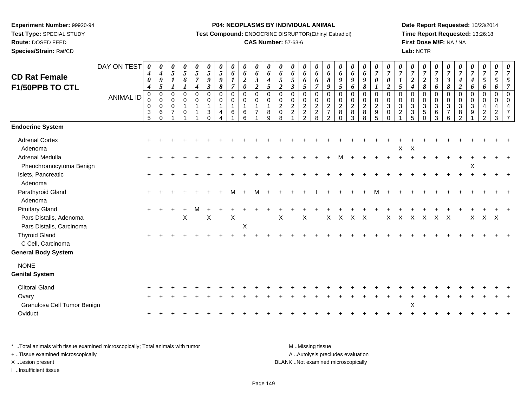**Test Type:** SPECIAL STUDY

**Route:** DOSED FEED

**Species/Strain:** Rat/CD

### **P04: NEOPLASMS BY INDIVIDUAL ANIMAL**

**Test Compound:** ENDOCRINE DISRUPTOR(Ethinyl Estradiol)

## **CAS Number:** 57-63-6

**Date Report Requested:** 10/23/2014**Time Report Requested:** 13:26:18**First Dose M/F:** NA / NA**Lab:** NCTR

| <b>CD Rat Female</b><br>F1/50PPB TO CTL                                      | DAY ON TEST<br><b>ANIMAL ID</b> | $\pmb{\theta}$<br>$\boldsymbol{4}$<br>$\boldsymbol{\theta}$<br>$\boldsymbol{4}$<br>$_{\rm 0}^{\rm 0}$<br>$\pmb{0}$<br>$\frac{3}{5}$ | 0<br>$\boldsymbol{4}$<br>9<br>$5\overline{)}$<br>$\pmb{0}$<br>$\boldsymbol{0}$<br>0<br>6<br>$\Omega$ | 0<br>$\sqrt{5}$<br>$\bm{l}$<br>$\boldsymbol{l}$<br>$\mathbf 0$<br>0<br>0<br>$\overline{7}$ | 0<br>$\sqrt{5}$<br>6<br>$\mathbf 0$<br>$\mathbf 0$<br>$\Omega$ | $\pmb{\theta}$<br>$\mathfrak{s}$<br>$\overline{7}$<br>$\boldsymbol{4}$<br>$\mathbf 0$<br>$\mathbf 0$ | 0<br>$\mathfrak{s}$<br>9<br>$\mathfrak{z}$<br>$\mathbf 0$<br>$\mathbf 0$<br>$\mathbf{1}$<br>3<br>$\Omega$ | 0<br>$\sqrt{5}$<br>$\boldsymbol{g}$<br>8<br>$\mathbf 0$<br>$\mathbf 0$<br>1<br>4 | 0<br>6<br>$\overline{7}$<br>$\mathbf 0$<br>$\mathbf 0$<br>$\mathbf{1}$<br>6 | 0<br>6<br>$\overline{2}$<br>0<br>0<br>0<br>6 | 0<br>6<br>$\mathfrak{z}$<br>$\boldsymbol{2}$<br>0<br>0<br>$\mathbf{1}$<br>$\overline{7}$ | 0<br>6<br>$\boldsymbol{4}$<br>5<br>$\pmb{0}$<br>$\pmb{0}$<br>$\mathbf{1}$<br>8<br>9 | 0<br>6<br>5<br>$\overline{2}$<br>0<br>0<br>$\overline{2}$<br>$\pmb{0}$<br>8 | $\boldsymbol{\theta}$<br>6<br>$\mathfrak{s}$<br>$\mathfrak{z}$<br>$\mathbf 0$<br>$\pmb{0}$<br>$\frac{2}{2}$ | $\boldsymbol{\theta}$<br>6<br>6<br>5<br>0<br>$\mathbf 0$<br>$\frac{2}{2}$ | 0<br>$\pmb{6}$<br>6<br>$\overline{7}$<br>$\mathbf 0$<br>$\frac{0}{2}$<br>8 | 0<br>6<br>8<br>9<br>$\mathbf 0$<br>0<br>$\boldsymbol{2}$<br>$\overline{7}$<br>$\mathfrak{p}$ | 0<br>6<br>9<br>5<br>$\mathbf 0$<br>$\mathbf 0$<br>$\overline{2}$<br>8 | 0<br>6<br>9<br>6<br>0<br>$\frac{0}{2}$<br>8<br>3 | 0<br>6<br>9<br>8<br>$\mathbf 0$<br>$\frac{0}{2}$<br>8 | 0<br>$\overline{7}$<br>0<br>$\mathbf 0$<br>$0$<br>9<br>9<br>5 | 0<br>$\overline{7}$<br>$\boldsymbol{\theta}$<br>$\overline{2}$<br>$\mathbf 0$<br>$\mathbf 0$<br>3<br>0<br>$\Omega$ | 0<br>$\overline{7}$<br>5<br>$\mathbf 0$<br>$\mathbf 0$<br>3<br>$\overline{2}$ | 0<br>$\boldsymbol{7}$<br>$\boldsymbol{2}$<br>4<br>0<br>0<br>$\mathbf{3}$<br>3<br>5 | 0<br>$\overline{7}$<br>$\boldsymbol{2}$<br>8<br>$\mathbf 0$<br>$\mathbf 0$<br>$\mathbf{3}$<br>$\overline{5}$<br>$\Omega$ | 0<br>$\overline{7}$<br>3<br>6<br>$\Omega$<br>0<br>3<br>6<br>3 | 0<br>$\overline{7}$<br>$\boldsymbol{\beta}$<br>8<br>$\mathbf 0$<br>$\mathbf 0$<br>$\mathbf{3}$<br>$\boldsymbol{7}$<br>6 | 0<br>$\overline{7}$<br>4<br>$\boldsymbol{2}$<br>$\mathbf 0$<br>0<br>$\mathbf{3}$<br>8 | 0<br>$\overline{7}$<br>$\boldsymbol{4}$<br>6<br>0<br>$\mathbf 0$<br>$\mathbf{3}$<br>9 | 0<br>$\overline{7}$<br>5<br>6<br>$\mathbf 0$<br>$\mathbf 0$<br>$\overline{a}$<br>$\overline{c}$<br>$\mathcal{P}$ | $\boldsymbol{\theta}$<br>$\overline{7}$<br>5<br>6<br>$\pmb{0}$<br>$\mathbf 0$<br>4<br>$\frac{2}{3}$ | 0<br>$\overline{7}$<br>5<br>7<br>$\Omega$<br>$\Omega$<br>$\overline{4}$<br>$\overline{7}$ |
|------------------------------------------------------------------------------|---------------------------------|-------------------------------------------------------------------------------------------------------------------------------------|------------------------------------------------------------------------------------------------------|--------------------------------------------------------------------------------------------|----------------------------------------------------------------|------------------------------------------------------------------------------------------------------|-----------------------------------------------------------------------------------------------------------|----------------------------------------------------------------------------------|-----------------------------------------------------------------------------|----------------------------------------------|------------------------------------------------------------------------------------------|-------------------------------------------------------------------------------------|-----------------------------------------------------------------------------|-------------------------------------------------------------------------------------------------------------|---------------------------------------------------------------------------|----------------------------------------------------------------------------|----------------------------------------------------------------------------------------------|-----------------------------------------------------------------------|--------------------------------------------------|-------------------------------------------------------|---------------------------------------------------------------|--------------------------------------------------------------------------------------------------------------------|-------------------------------------------------------------------------------|------------------------------------------------------------------------------------|--------------------------------------------------------------------------------------------------------------------------|---------------------------------------------------------------|-------------------------------------------------------------------------------------------------------------------------|---------------------------------------------------------------------------------------|---------------------------------------------------------------------------------------|------------------------------------------------------------------------------------------------------------------|-----------------------------------------------------------------------------------------------------|-------------------------------------------------------------------------------------------|
| <b>Endocrine System</b>                                                      |                                 |                                                                                                                                     |                                                                                                      |                                                                                            |                                                                |                                                                                                      |                                                                                                           |                                                                                  |                                                                             |                                              |                                                                                          |                                                                                     |                                                                             |                                                                                                             |                                                                           |                                                                            |                                                                                              |                                                                       |                                                  |                                                       |                                                               |                                                                                                                    |                                                                               |                                                                                    |                                                                                                                          |                                                               |                                                                                                                         |                                                                                       |                                                                                       |                                                                                                                  |                                                                                                     |                                                                                           |
| <b>Adrenal Cortex</b><br>Adenoma                                             |                                 |                                                                                                                                     |                                                                                                      |                                                                                            |                                                                |                                                                                                      |                                                                                                           |                                                                                  |                                                                             |                                              |                                                                                          |                                                                                     |                                                                             |                                                                                                             |                                                                           |                                                                            |                                                                                              |                                                                       |                                                  |                                                       |                                                               |                                                                                                                    | X                                                                             | Χ                                                                                  |                                                                                                                          |                                                               |                                                                                                                         |                                                                                       |                                                                                       |                                                                                                                  |                                                                                                     |                                                                                           |
| Adrenal Medulla<br>Pheochromocytoma Benign                                   |                                 |                                                                                                                                     |                                                                                                      |                                                                                            |                                                                |                                                                                                      |                                                                                                           |                                                                                  |                                                                             |                                              |                                                                                          |                                                                                     |                                                                             |                                                                                                             |                                                                           |                                                                            |                                                                                              |                                                                       |                                                  |                                                       |                                                               |                                                                                                                    |                                                                               |                                                                                    |                                                                                                                          |                                                               |                                                                                                                         |                                                                                       | Χ                                                                                     |                                                                                                                  |                                                                                                     |                                                                                           |
| Islets, Pancreatic<br>Adenoma                                                |                                 |                                                                                                                                     |                                                                                                      |                                                                                            |                                                                |                                                                                                      |                                                                                                           |                                                                                  |                                                                             |                                              |                                                                                          |                                                                                     |                                                                             |                                                                                                             |                                                                           |                                                                            |                                                                                              |                                                                       |                                                  |                                                       |                                                               |                                                                                                                    |                                                                               |                                                                                    |                                                                                                                          |                                                               |                                                                                                                         |                                                                                       |                                                                                       |                                                                                                                  |                                                                                                     |                                                                                           |
| Parathyroid Gland<br>Adenoma                                                 |                                 |                                                                                                                                     |                                                                                                      |                                                                                            |                                                                |                                                                                                      |                                                                                                           |                                                                                  | м                                                                           |                                              | м                                                                                        |                                                                                     |                                                                             |                                                                                                             |                                                                           |                                                                            |                                                                                              |                                                                       |                                                  |                                                       | м                                                             |                                                                                                                    |                                                                               |                                                                                    |                                                                                                                          |                                                               |                                                                                                                         |                                                                                       |                                                                                       |                                                                                                                  |                                                                                                     |                                                                                           |
| <b>Pituitary Gland</b><br>Pars Distalis, Adenoma<br>Pars Distalis, Carcinoma |                                 |                                                                                                                                     |                                                                                                      |                                                                                            | X                                                              |                                                                                                      | X                                                                                                         |                                                                                  | X                                                                           | X                                            |                                                                                          |                                                                                     | X                                                                           |                                                                                                             | X                                                                         |                                                                            | X                                                                                            | $\mathsf{X}$                                                          | X X                                              |                                                       |                                                               |                                                                                                                    |                                                                               | X X X                                                                              | $\mathsf{X}$                                                                                                             | $\mathsf{X}$                                                  | $\mathsf{X}$                                                                                                            |                                                                                       | X.                                                                                    | X.                                                                                                               | X                                                                                                   |                                                                                           |
| <b>Thyroid Gland</b><br>C Cell, Carcinoma<br><b>General Body System</b>      |                                 |                                                                                                                                     |                                                                                                      |                                                                                            |                                                                |                                                                                                      |                                                                                                           |                                                                                  |                                                                             |                                              |                                                                                          |                                                                                     |                                                                             |                                                                                                             |                                                                           |                                                                            |                                                                                              |                                                                       |                                                  |                                                       |                                                               |                                                                                                                    |                                                                               |                                                                                    |                                                                                                                          |                                                               |                                                                                                                         |                                                                                       |                                                                                       |                                                                                                                  |                                                                                                     |                                                                                           |
| <b>NONE</b><br><b>Genital System</b>                                         |                                 |                                                                                                                                     |                                                                                                      |                                                                                            |                                                                |                                                                                                      |                                                                                                           |                                                                                  |                                                                             |                                              |                                                                                          |                                                                                     |                                                                             |                                                                                                             |                                                                           |                                                                            |                                                                                              |                                                                       |                                                  |                                                       |                                                               |                                                                                                                    |                                                                               |                                                                                    |                                                                                                                          |                                                               |                                                                                                                         |                                                                                       |                                                                                       |                                                                                                                  |                                                                                                     |                                                                                           |
| <b>Clitoral Gland</b>                                                        |                                 |                                                                                                                                     |                                                                                                      |                                                                                            |                                                                |                                                                                                      |                                                                                                           |                                                                                  |                                                                             |                                              |                                                                                          |                                                                                     |                                                                             |                                                                                                             |                                                                           |                                                                            |                                                                                              |                                                                       |                                                  |                                                       |                                                               |                                                                                                                    |                                                                               |                                                                                    |                                                                                                                          |                                                               |                                                                                                                         |                                                                                       |                                                                                       |                                                                                                                  |                                                                                                     |                                                                                           |
| Ovary<br>Granulosa Cell Tumor Benign                                         |                                 |                                                                                                                                     |                                                                                                      |                                                                                            |                                                                |                                                                                                      |                                                                                                           |                                                                                  |                                                                             |                                              |                                                                                          |                                                                                     |                                                                             |                                                                                                             |                                                                           |                                                                            |                                                                                              |                                                                       |                                                  |                                                       |                                                               |                                                                                                                    |                                                                               | $\sf X$                                                                            |                                                                                                                          |                                                               |                                                                                                                         |                                                                                       |                                                                                       |                                                                                                                  |                                                                                                     |                                                                                           |
| Oviduct                                                                      |                                 | $^+$                                                                                                                                |                                                                                                      |                                                                                            |                                                                |                                                                                                      |                                                                                                           |                                                                                  |                                                                             |                                              |                                                                                          |                                                                                     |                                                                             |                                                                                                             |                                                                           |                                                                            |                                                                                              |                                                                       |                                                  |                                                       |                                                               |                                                                                                                    |                                                                               |                                                                                    |                                                                                                                          |                                                               |                                                                                                                         |                                                                                       |                                                                                       |                                                                                                                  |                                                                                                     |                                                                                           |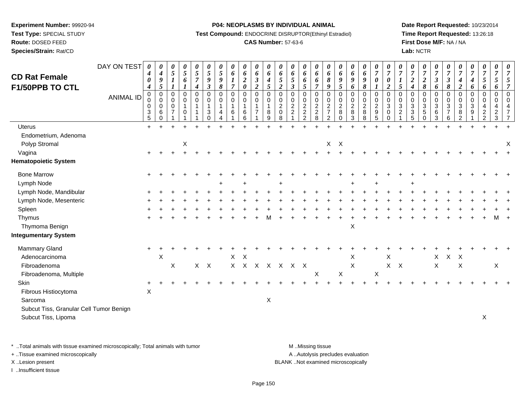**Test Type:** SPECIAL STUDY

**Route:** DOSED FEED

**Species/Strain:** Rat/CD

### **P04: NEOPLASMS BY INDIVIDUAL ANIMAL**

**Test Compound:** ENDOCRINE DISRUPTOR(Ethinyl Estradiol)

## **CAS Number:** 57-63-6

**Date Report Requested:** 10/23/2014**Time Report Requested:** 13:26:18**First Dose M/F:** NA / NA**Lab:** NCTR

| <b>CD Rat Female</b>                                           | DAY ON TEST      | 0<br>$\boldsymbol{4}$<br>0<br>$\boldsymbol{4}$          | 0<br>$\boldsymbol{4}$<br>$\pmb{9}$<br>5   | 0<br>$\sqrt{5}$<br>$\boldsymbol{l}$<br>$\boldsymbol{l}$  | $\boldsymbol{\theta}$<br>$\sqrt{5}$<br>$\boldsymbol{6}$<br>$\boldsymbol{l}$ | 0<br>5<br>$\overline{7}$<br>$\boldsymbol{4}$  | 0<br>5<br>9<br>$\mathfrak{z}$                     | $\boldsymbol{\theta}$<br>$\mathfrak{H}$<br>$\boldsymbol{g}$<br>$\pmb{8}$ | 0<br>6<br>$\boldsymbol{l}$<br>$\overline{7}$ | 0<br>$\pmb{6}$<br>$\sqrt{2}$<br>$\boldsymbol{\theta}$       | $\boldsymbol{\theta}$<br>$\boldsymbol{6}$<br>$\mathfrak{z}$<br>$\overline{2}$ | 0<br>6<br>$\boldsymbol{4}$<br>5   | 0<br>6<br>$5\overline{)}$<br>$\boldsymbol{2}$                  | 0<br>6<br>5<br>$\boldsymbol{\beta}$                  | 0<br>6<br>6<br>5                                                | 0<br>6<br>$\boldsymbol{6}$<br>$\overline{7}$                   | 0<br>6<br>$\pmb{8}$<br>$\boldsymbol{9}$                          | $\boldsymbol{\theta}$<br>6<br>$\boldsymbol{9}$<br>5      | 0<br>6<br>9<br>6                                  | 0<br>$\boldsymbol{6}$<br>9<br>$\boldsymbol{\delta}$ | 0<br>$\boldsymbol{7}$<br>$\boldsymbol{\theta}$<br>$\mathbf{I}$ | $\boldsymbol{\theta}$<br>$\overline{7}$<br>$\boldsymbol{\theta}$<br>$\overline{2}$ | 0<br>$\overline{7}$<br>$\boldsymbol{l}$<br>5    | 0<br>$\boldsymbol{7}$<br>$\boldsymbol{2}$<br>$\boldsymbol{4}$                   | 0<br>$\boldsymbol{7}$<br>$\boldsymbol{2}$<br>$\pmb{8}$          | 0<br>$\overline{7}$<br>$\overline{\mathbf{3}}$<br>6 | 0<br>$\boldsymbol{7}$<br>$\mathfrak{z}$<br>8 | $\boldsymbol{\theta}$<br>$\overline{7}$<br>$\boldsymbol{4}$<br>$\boldsymbol{2}$ | 0<br>$\overline{7}$<br>$\boldsymbol{4}$<br>6                | 0<br>$\boldsymbol{7}$<br>$\overline{5}$<br>6                              | 0<br>$\overline{7}$<br>$\mathfrak{s}$<br>6            | $\overline{7}$<br>5<br>$\overline{7}$ |
|----------------------------------------------------------------|------------------|---------------------------------------------------------|-------------------------------------------|----------------------------------------------------------|-----------------------------------------------------------------------------|-----------------------------------------------|---------------------------------------------------|--------------------------------------------------------------------------|----------------------------------------------|-------------------------------------------------------------|-------------------------------------------------------------------------------|-----------------------------------|----------------------------------------------------------------|------------------------------------------------------|-----------------------------------------------------------------|----------------------------------------------------------------|------------------------------------------------------------------|----------------------------------------------------------|---------------------------------------------------|-----------------------------------------------------|----------------------------------------------------------------|------------------------------------------------------------------------------------|-------------------------------------------------|---------------------------------------------------------------------------------|-----------------------------------------------------------------|-----------------------------------------------------|----------------------------------------------|---------------------------------------------------------------------------------|-------------------------------------------------------------|---------------------------------------------------------------------------|-------------------------------------------------------|---------------------------------------|
| F1/50PPB TO CTL                                                | <b>ANIMAL ID</b> | $\mathbf 0$<br>0<br>0<br>$\ensuremath{\mathsf{3}}$<br>5 | $\mathbf 0$<br>0<br>0<br>6<br>$\mathbf 0$ | $\Omega$<br>$\mathbf 0$<br>$\mathbf 0$<br>$\overline{7}$ | $\Omega$<br>$\mathbf 0$<br>$\mathbf 0$                                      | $\Omega$<br>0<br>$\mathbf{1}$<br>$\mathbf{1}$ | $\mathbf 0$<br>0<br>$\mathbf{1}$<br>3<br>$\Omega$ | 0<br>0<br>4                                                              | $\mathbf 0$<br>0<br>6                        | $\mathbf 0$<br>0<br>$\overline{\mathbf{1}}$<br>$\,6\,$<br>6 | $\mathbf 0$<br>$\mathbf 0$<br>$\mathbf{1}$<br>$\overline{7}$<br>$\mathbf{1}$  | $\Omega$<br>$\mathbf 0$<br>8<br>9 | $\mathbf 0$<br>$\mathbf 0$<br>$\overline{2}$<br>$\pmb{0}$<br>8 | $\mathbf 0$<br>0<br>$\overline{c}$<br>$\overline{2}$ | $\Omega$<br>0<br>$\overline{c}$<br>$\sqrt{2}$<br>$\overline{2}$ | $\Omega$<br>$\mathbf 0$<br>$\boldsymbol{2}$<br>$\sqrt{2}$<br>8 | $\Omega$<br>$\mathbf 0$<br>$\overline{c}$<br>$\overline{7}$<br>2 | $\mathbf 0$<br>0<br>$\overline{2}$<br>$\, 8$<br>$\Omega$ | $\Omega$<br>0<br>$\boldsymbol{2}$<br>$\,8\,$<br>3 | 0<br>0<br>$\overline{2}$<br>$\bf 8$<br>8            | $\mathbf 0$<br>0<br>$\overline{c}$<br>$\boldsymbol{9}$<br>5    | $\Omega$<br>$\mathbf 0$<br>3<br>0<br>$\mathbf 0$                                   | $\Omega$<br>0<br>$\mathbf{3}$<br>$\overline{2}$ | $\mathbf 0$<br>0<br>$\ensuremath{\mathsf{3}}$<br>$\ensuremath{\mathsf{3}}$<br>5 | $\Omega$<br>$\mathbf 0$<br>$\sqrt{3}$<br>$\sqrt{5}$<br>$\Omega$ | $\Omega$<br>0<br>3<br>$\,6\,$<br>3                  | $\mathbf 0$<br>0<br>3<br>$\overline{7}$<br>6 | $\Omega$<br>0<br>$\sqrt{3}$<br>$\bf 8$<br>$\overline{2}$                        | $\Omega$<br>$\mathbf 0$<br>$\mathbf{3}$<br>$\boldsymbol{9}$ | $\Omega$<br>$\mathbf 0$<br>$\overline{4}$<br>$\sqrt{2}$<br>$\overline{2}$ | $\mathbf 0$<br>0<br>4<br>$\overline{\mathbf{c}}$<br>3 | $\Omega$<br>$\Omega$                  |
| <b>Uterus</b>                                                  |                  | $+$                                                     |                                           |                                                          |                                                                             |                                               |                                                   |                                                                          |                                              |                                                             |                                                                               |                                   |                                                                |                                                      |                                                                 |                                                                |                                                                  |                                                          |                                                   |                                                     |                                                                |                                                                                    |                                                 |                                                                                 |                                                                 |                                                     |                                              |                                                                                 |                                                             |                                                                           |                                                       |                                       |
| Endometrium, Adenoma<br>Polyp Stromal                          |                  |                                                         |                                           |                                                          | X                                                                           |                                               |                                                   |                                                                          |                                              |                                                             |                                                                               |                                   |                                                                |                                                      |                                                                 |                                                                | $\mathsf{X}$                                                     | $\boldsymbol{X}$                                         |                                                   |                                                     |                                                                |                                                                                    |                                                 |                                                                                 |                                                                 |                                                     |                                              |                                                                                 |                                                             |                                                                           |                                                       | X                                     |
| Vagina                                                         |                  |                                                         |                                           |                                                          |                                                                             |                                               |                                                   |                                                                          |                                              |                                                             |                                                                               |                                   |                                                                |                                                      |                                                                 |                                                                |                                                                  |                                                          |                                                   |                                                     |                                                                |                                                                                    |                                                 |                                                                                 |                                                                 |                                                     |                                              |                                                                                 |                                                             |                                                                           |                                                       |                                       |
| <b>Hematopoietic System</b>                                    |                  |                                                         |                                           |                                                          |                                                                             |                                               |                                                   |                                                                          |                                              |                                                             |                                                                               |                                   |                                                                |                                                      |                                                                 |                                                                |                                                                  |                                                          |                                                   |                                                     |                                                                |                                                                                    |                                                 |                                                                                 |                                                                 |                                                     |                                              |                                                                                 |                                                             |                                                                           |                                                       |                                       |
| <b>Bone Marrow</b><br>Lymph Node                               |                  |                                                         |                                           |                                                          |                                                                             |                                               |                                                   |                                                                          |                                              |                                                             |                                                                               |                                   |                                                                |                                                      |                                                                 |                                                                |                                                                  |                                                          |                                                   |                                                     |                                                                |                                                                                    |                                                 |                                                                                 |                                                                 |                                                     |                                              |                                                                                 |                                                             |                                                                           |                                                       |                                       |
| Lymph Node, Mandibular                                         |                  |                                                         |                                           |                                                          |                                                                             |                                               |                                                   |                                                                          |                                              |                                                             |                                                                               |                                   |                                                                |                                                      |                                                                 |                                                                |                                                                  |                                                          |                                                   |                                                     |                                                                |                                                                                    |                                                 |                                                                                 |                                                                 |                                                     |                                              |                                                                                 |                                                             |                                                                           |                                                       |                                       |
| Lymph Node, Mesenteric                                         |                  |                                                         |                                           |                                                          |                                                                             |                                               |                                                   |                                                                          |                                              |                                                             |                                                                               |                                   |                                                                |                                                      |                                                                 |                                                                |                                                                  |                                                          |                                                   |                                                     |                                                                |                                                                                    |                                                 |                                                                                 |                                                                 |                                                     |                                              |                                                                                 |                                                             |                                                                           |                                                       |                                       |
| Spleen                                                         |                  |                                                         |                                           |                                                          |                                                                             |                                               |                                                   |                                                                          |                                              |                                                             |                                                                               |                                   |                                                                |                                                      |                                                                 |                                                                |                                                                  |                                                          |                                                   |                                                     |                                                                |                                                                                    |                                                 |                                                                                 |                                                                 |                                                     |                                              |                                                                                 |                                                             |                                                                           |                                                       |                                       |
| Thymus                                                         |                  |                                                         |                                           |                                                          |                                                                             |                                               |                                                   |                                                                          |                                              |                                                             |                                                                               |                                   |                                                                |                                                      |                                                                 |                                                                |                                                                  |                                                          |                                                   |                                                     |                                                                |                                                                                    |                                                 |                                                                                 |                                                                 |                                                     |                                              |                                                                                 |                                                             |                                                                           |                                                       |                                       |
| Thymoma Benign                                                 |                  |                                                         |                                           |                                                          |                                                                             |                                               |                                                   |                                                                          |                                              |                                                             |                                                                               |                                   |                                                                |                                                      |                                                                 |                                                                |                                                                  |                                                          | $\mathsf X$                                       |                                                     |                                                                |                                                                                    |                                                 |                                                                                 |                                                                 |                                                     |                                              |                                                                                 |                                                             |                                                                           |                                                       |                                       |
| <b>Integumentary System</b>                                    |                  |                                                         |                                           |                                                          |                                                                             |                                               |                                                   |                                                                          |                                              |                                                             |                                                                               |                                   |                                                                |                                                      |                                                                 |                                                                |                                                                  |                                                          |                                                   |                                                     |                                                                |                                                                                    |                                                 |                                                                                 |                                                                 |                                                     |                                              |                                                                                 |                                                             |                                                                           |                                                       |                                       |
| Mammary Gland                                                  |                  |                                                         |                                           |                                                          |                                                                             |                                               |                                                   |                                                                          |                                              |                                                             |                                                                               |                                   |                                                                |                                                      |                                                                 |                                                                |                                                                  |                                                          |                                                   |                                                     |                                                                |                                                                                    |                                                 |                                                                                 |                                                                 |                                                     |                                              |                                                                                 |                                                             |                                                                           |                                                       |                                       |
| Adenocarcinoma                                                 |                  |                                                         | $\mathsf X$                               |                                                          |                                                                             |                                               |                                                   |                                                                          | $\times$                                     | $\times$                                                    |                                                                               |                                   |                                                                |                                                      |                                                                 |                                                                |                                                                  |                                                          | X                                                 |                                                     |                                                                | X                                                                                  |                                                 |                                                                                 |                                                                 | X                                                   | X                                            | $\times$                                                                        |                                                             |                                                                           |                                                       |                                       |
| Fibroadenoma                                                   |                  |                                                         |                                           | X                                                        |                                                                             |                                               | $X$ $X$                                           |                                                                          | $\mathsf{X}^-$                               | $\mathsf{X}$                                                | x x x x x                                                                     |                                   |                                                                |                                                      |                                                                 |                                                                |                                                                  |                                                          | $\mathsf{X}$                                      |                                                     |                                                                |                                                                                    | $X$ $X$                                         |                                                                                 |                                                                 | X                                                   |                                              | X                                                                               |                                                             |                                                                           | $\sf X$                                               |                                       |
| Fibroadenoma, Multiple                                         |                  |                                                         |                                           |                                                          |                                                                             |                                               |                                                   |                                                                          |                                              |                                                             |                                                                               |                                   |                                                                |                                                      |                                                                 | X                                                              |                                                                  | X                                                        |                                                   |                                                     | X                                                              |                                                                                    |                                                 |                                                                                 |                                                                 |                                                     |                                              |                                                                                 |                                                             |                                                                           |                                                       |                                       |
| Skin                                                           |                  |                                                         |                                           |                                                          |                                                                             |                                               |                                                   |                                                                          |                                              |                                                             |                                                                               |                                   |                                                                |                                                      |                                                                 |                                                                |                                                                  |                                                          |                                                   |                                                     |                                                                |                                                                                    |                                                 |                                                                                 |                                                                 |                                                     |                                              |                                                                                 |                                                             |                                                                           |                                                       |                                       |
| Fibrous Histiocytoma                                           |                  | $\mathsf X$                                             |                                           |                                                          |                                                                             |                                               |                                                   |                                                                          |                                              |                                                             |                                                                               |                                   |                                                                |                                                      |                                                                 |                                                                |                                                                  |                                                          |                                                   |                                                     |                                                                |                                                                                    |                                                 |                                                                                 |                                                                 |                                                     |                                              |                                                                                 |                                                             |                                                                           |                                                       |                                       |
| Sarcoma                                                        |                  |                                                         |                                           |                                                          |                                                                             |                                               |                                                   |                                                                          |                                              |                                                             |                                                                               | $\boldsymbol{\mathsf{X}}$         |                                                                |                                                      |                                                                 |                                                                |                                                                  |                                                          |                                                   |                                                     |                                                                |                                                                                    |                                                 |                                                                                 |                                                                 |                                                     |                                              |                                                                                 |                                                             |                                                                           |                                                       |                                       |
| Subcut Tiss, Granular Cell Tumor Benign<br>Subcut Tiss, Lipoma |                  |                                                         |                                           |                                                          |                                                                             |                                               |                                                   |                                                                          |                                              |                                                             |                                                                               |                                   |                                                                |                                                      |                                                                 |                                                                |                                                                  |                                                          |                                                   |                                                     |                                                                |                                                                                    |                                                 |                                                                                 |                                                                 |                                                     |                                              |                                                                                 |                                                             | X                                                                         |                                                       |                                       |

\* ..Total animals with tissue examined microscopically; Total animals with tumor **M** . Missing tissue M ..Missing tissue

+ ..Tissue examined microscopically

I ..Insufficient tissue

A ..Autolysis precludes evaluation

X ..Lesion present BLANK ..Not examined microscopically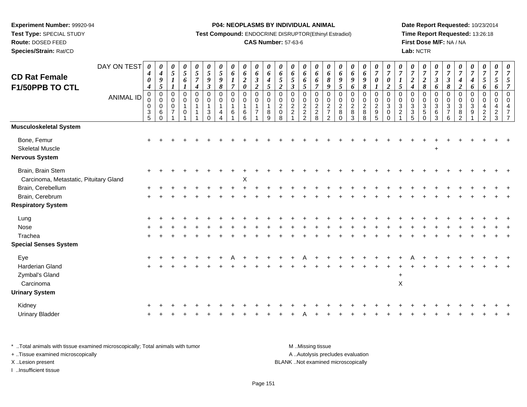**Test Type:** SPECIAL STUDY

**Route:** DOSED FEED**Species/Strain:** Rat/CD

## **P04: NEOPLASMS BY INDIVIDUAL ANIMAL**

**Test Compound:** ENDOCRINE DISRUPTOR(Ethinyl Estradiol)

# **CAS Number:** 57-63-6

**Date Report Requested:** 10/23/2014**Time Report Requested:** 13:26:18**First Dose M/F:** NA / NA**Lab:** NCTR

| <b>CD Rat Female</b>                                           | DAY ON TEST      | $\boldsymbol{\theta}$<br>$\boldsymbol{4}$<br>$\boldsymbol{\theta}$ | 0<br>$\boldsymbol{4}$<br>9                                     | 0<br>$\mathfrak{S}$<br>$\boldsymbol{l}$           | 0<br>5<br>6                            | 0<br>$\sqrt{5}$<br>$\overline{7}$ | 0<br>$\sqrt{5}$<br>9                                      | 0<br>$\mathfrak{s}$<br>$\boldsymbol{9}$           | 0<br>6<br>$\boldsymbol{l}$                      | 0<br>$\pmb{6}$<br>$\boldsymbol{2}$                   | 0<br>6<br>$\boldsymbol{\beta}$                             | 0<br>6<br>$\boldsymbol{4}$                 | 0<br>6<br>$\sqrt{5}$                                             | 0<br>6<br>5                                                  | 0<br>6<br>6             | 0<br>6<br>6                       | 0<br>6<br>8                                       | 0<br>6<br>$\boldsymbol{9}$                                  | 0<br>6<br>9                                                    | 0<br>6<br>9                                                         | 0<br>$\boldsymbol{7}$<br>$\pmb{\theta}$                                | 0<br>$\overline{7}$<br>$\boldsymbol{\theta}$                          | 0<br>$\overline{7}$                                          | 0<br>$\overline{7}$<br>$\boldsymbol{2}$   | 0<br>$\overline{7}$<br>$\boldsymbol{2}$                                | 0<br>$\overline{7}$<br>$\boldsymbol{\beta}$ | 0<br>$\overline{7}$<br>$\boldsymbol{\beta}$                       | 0<br>$\boldsymbol{7}$<br>$\overline{4}$                | 0<br>$\boldsymbol{7}$<br>$\boldsymbol{4}$ | 0<br>$\overline{7}$<br>5                                    | 0<br>$\overline{7}$<br>5               | 0<br>7<br>5                                                 |
|----------------------------------------------------------------|------------------|--------------------------------------------------------------------|----------------------------------------------------------------|---------------------------------------------------|----------------------------------------|-----------------------------------|-----------------------------------------------------------|---------------------------------------------------|-------------------------------------------------|------------------------------------------------------|------------------------------------------------------------|--------------------------------------------|------------------------------------------------------------------|--------------------------------------------------------------|-------------------------|-----------------------------------|---------------------------------------------------|-------------------------------------------------------------|----------------------------------------------------------------|---------------------------------------------------------------------|------------------------------------------------------------------------|-----------------------------------------------------------------------|--------------------------------------------------------------|-------------------------------------------|------------------------------------------------------------------------|---------------------------------------------|-------------------------------------------------------------------|--------------------------------------------------------|-------------------------------------------|-------------------------------------------------------------|----------------------------------------|-------------------------------------------------------------|
| F1/50PPB TO CTL                                                |                  | $\boldsymbol{4}$                                                   | 5                                                              | $\boldsymbol{l}$                                  |                                        | $\boldsymbol{4}$                  | $\mathfrak{z}$                                            | 8                                                 | $\overline{7}$                                  | $\boldsymbol{\theta}$                                | $\boldsymbol{2}$                                           | 5                                          | $\overline{2}$                                                   | $\mathfrak{z}$                                               | 5                       | $\overline{7}$                    | $\boldsymbol{g}$                                  | $\sqrt{5}$                                                  | 6                                                              | 8                                                                   | $\boldsymbol{l}$                                                       | $\boldsymbol{2}$                                                      | 5                                                            | $\boldsymbol{4}$                          | 8                                                                      | 6                                           | 8                                                                 | $\overline{2}$                                         | 6                                         | 6                                                           | 6                                      | 7                                                           |
|                                                                | <b>ANIMAL ID</b> | 0<br>$\mathbf 0$<br>$\mathbf 0$<br>$\mathbf{3}$<br>5               | $\mathbf 0$<br>$\mathbf 0$<br>$\mathbf 0$<br>$\,6$<br>$\Omega$ | $\mathbf 0$<br>0<br>$\mathbf 0$<br>$\overline{7}$ | $\mathbf 0$<br>$\mathbf 0$<br>$\Omega$ | 0<br>0                            | $\mathbf 0$<br>$\pmb{0}$<br>$\mathbf{1}$<br>3<br>$\Omega$ | $\mathbf 0$<br>$\mathbf 0$<br>$\overline{1}$<br>4 | $\mathbf 0$<br>$\mathbf 0$<br>$\mathbf{1}$<br>6 | $\pmb{0}$<br>$\pmb{0}$<br>$\mathbf{1}$<br>$\,6$<br>6 | $\mathbf 0$<br>$\pmb{0}$<br>$\mathbf{1}$<br>$\overline{7}$ | $\mathbf 0$<br>0<br>$\mathbf{1}$<br>8<br>9 | $\mathbf 0$<br>$\mathbf 0$<br>$\overline{2}$<br>$\mathbf 0$<br>8 | $\mathbf 0$<br>$\pmb{0}$<br>$\overline{a}$<br>$\overline{c}$ | 0<br>0<br>$\frac{2}{2}$ | $\mathbf 0$<br>$\frac{0}{2}$<br>8 | 0<br>$\pmb{0}$<br>$\frac{2}{7}$<br>$\overline{2}$ | $\mathbf 0$<br>$\pmb{0}$<br>$\overline{2}$<br>8<br>$\Omega$ | $\mathbf 0$<br>$\begin{array}{c} 0 \\ 2 \\ 8 \end{array}$<br>3 | $\mathbf 0$<br>$\begin{smallmatrix} 0\\2\\8 \end{smallmatrix}$<br>8 | 0<br>$\begin{smallmatrix} 0\\2\\9 \end{smallmatrix}$<br>$\overline{5}$ | $\mathbf 0$<br>$\mathbf 0$<br>$\mathbf{3}$<br>$\mathbf 0$<br>$\Omega$ | $\mathbf 0$<br>$\mathbf 0$<br>$\mathbf{3}$<br>$\overline{2}$ | $\mathbf 0$<br>$\mathbf 0$<br>3<br>3<br>5 | $\mathbf 0$<br>$\mathbf 0$<br>$\overline{3}$<br>$\sqrt{5}$<br>$\Omega$ | $\mathbf 0$<br>0<br>3<br>6<br>3             | $\mathbf 0$<br>$\mathbf 0$<br>$\mathbf{3}$<br>$\overline{7}$<br>6 | $\mathbf 0$<br>0<br>$\mathbf{3}$<br>8<br>$\mathcal{P}$ | $\,0\,$<br>$\pmb{0}$<br>$\frac{3}{9}$     | 0<br>0<br>$\overline{4}$<br>$\overline{c}$<br>$\mathcal{P}$ | $\mathbf 0$<br>0<br>4<br>$\frac{2}{3}$ | $\Omega$<br>$\mathbf 0$<br>$\overline{4}$<br>$\overline{7}$ |
| <b>Musculoskeletal System</b>                                  |                  |                                                                    |                                                                |                                                   |                                        |                                   |                                                           |                                                   |                                                 |                                                      |                                                            |                                            |                                                                  |                                                              |                         |                                   |                                                   |                                                             |                                                                |                                                                     |                                                                        |                                                                       |                                                              |                                           |                                                                        |                                             |                                                                   |                                                        |                                           |                                                             |                                        |                                                             |
| Bone, Femur<br><b>Skeletal Muscle</b><br><b>Nervous System</b> |                  |                                                                    |                                                                |                                                   |                                        |                                   |                                                           |                                                   |                                                 |                                                      |                                                            |                                            |                                                                  |                                                              |                         |                                   |                                                   |                                                             |                                                                |                                                                     |                                                                        |                                                                       |                                                              |                                           |                                                                        | +                                           |                                                                   |                                                        |                                           |                                                             |                                        |                                                             |
| Brain, Brain Stem<br>Carcinoma, Metastatic, Pituitary Gland    |                  |                                                                    |                                                                |                                                   |                                        |                                   |                                                           |                                                   |                                                 | X                                                    |                                                            |                                            |                                                                  |                                                              |                         |                                   |                                                   |                                                             |                                                                |                                                                     |                                                                        |                                                                       |                                                              |                                           |                                                                        |                                             |                                                                   |                                                        |                                           |                                                             |                                        |                                                             |
| Brain, Cerebellum                                              |                  |                                                                    |                                                                |                                                   |                                        |                                   |                                                           |                                                   |                                                 |                                                      |                                                            |                                            |                                                                  |                                                              |                         |                                   |                                                   |                                                             |                                                                |                                                                     |                                                                        |                                                                       |                                                              |                                           |                                                                        |                                             |                                                                   |                                                        |                                           |                                                             |                                        |                                                             |
| Brain, Cerebrum                                                |                  |                                                                    |                                                                |                                                   |                                        |                                   |                                                           |                                                   |                                                 |                                                      |                                                            |                                            |                                                                  |                                                              |                         |                                   |                                                   |                                                             |                                                                |                                                                     |                                                                        |                                                                       |                                                              |                                           |                                                                        |                                             |                                                                   |                                                        |                                           |                                                             |                                        |                                                             |
| <b>Respiratory System</b>                                      |                  |                                                                    |                                                                |                                                   |                                        |                                   |                                                           |                                                   |                                                 |                                                      |                                                            |                                            |                                                                  |                                                              |                         |                                   |                                                   |                                                             |                                                                |                                                                     |                                                                        |                                                                       |                                                              |                                           |                                                                        |                                             |                                                                   |                                                        |                                           |                                                             |                                        |                                                             |
| Lung                                                           |                  |                                                                    |                                                                |                                                   |                                        |                                   |                                                           |                                                   |                                                 |                                                      |                                                            |                                            |                                                                  |                                                              |                         |                                   |                                                   |                                                             |                                                                |                                                                     |                                                                        |                                                                       |                                                              |                                           |                                                                        |                                             |                                                                   |                                                        |                                           |                                                             |                                        |                                                             |
| Nose                                                           |                  |                                                                    |                                                                |                                                   |                                        |                                   |                                                           |                                                   |                                                 |                                                      |                                                            |                                            |                                                                  |                                                              |                         |                                   |                                                   |                                                             |                                                                |                                                                     |                                                                        |                                                                       |                                                              |                                           |                                                                        |                                             |                                                                   |                                                        |                                           |                                                             |                                        |                                                             |
| Trachea                                                        |                  |                                                                    |                                                                |                                                   |                                        |                                   |                                                           |                                                   |                                                 |                                                      |                                                            |                                            |                                                                  |                                                              |                         |                                   |                                                   |                                                             |                                                                |                                                                     |                                                                        |                                                                       |                                                              |                                           |                                                                        |                                             |                                                                   |                                                        |                                           |                                                             |                                        |                                                             |
| <b>Special Senses System</b>                                   |                  |                                                                    |                                                                |                                                   |                                        |                                   |                                                           |                                                   |                                                 |                                                      |                                                            |                                            |                                                                  |                                                              |                         |                                   |                                                   |                                                             |                                                                |                                                                     |                                                                        |                                                                       |                                                              |                                           |                                                                        |                                             |                                                                   |                                                        |                                           |                                                             |                                        |                                                             |
| Eye                                                            |                  |                                                                    |                                                                |                                                   |                                        |                                   |                                                           |                                                   |                                                 |                                                      |                                                            |                                            |                                                                  |                                                              |                         |                                   |                                                   |                                                             |                                                                |                                                                     |                                                                        |                                                                       |                                                              |                                           |                                                                        |                                             |                                                                   |                                                        |                                           |                                                             |                                        |                                                             |
| Harderian Gland                                                |                  |                                                                    |                                                                |                                                   |                                        |                                   |                                                           |                                                   |                                                 |                                                      |                                                            |                                            |                                                                  |                                                              |                         |                                   |                                                   |                                                             |                                                                |                                                                     |                                                                        |                                                                       |                                                              |                                           |                                                                        |                                             |                                                                   |                                                        |                                           |                                                             |                                        |                                                             |
| Zymbal's Gland                                                 |                  |                                                                    |                                                                |                                                   |                                        |                                   |                                                           |                                                   |                                                 |                                                      |                                                            |                                            |                                                                  |                                                              |                         |                                   |                                                   |                                                             |                                                                |                                                                     |                                                                        |                                                                       | $+$                                                          |                                           |                                                                        |                                             |                                                                   |                                                        |                                           |                                                             |                                        |                                                             |
| Carcinoma                                                      |                  |                                                                    |                                                                |                                                   |                                        |                                   |                                                           |                                                   |                                                 |                                                      |                                                            |                                            |                                                                  |                                                              |                         |                                   |                                                   |                                                             |                                                                |                                                                     |                                                                        |                                                                       | X                                                            |                                           |                                                                        |                                             |                                                                   |                                                        |                                           |                                                             |                                        |                                                             |
| <b>Urinary System</b>                                          |                  |                                                                    |                                                                |                                                   |                                        |                                   |                                                           |                                                   |                                                 |                                                      |                                                            |                                            |                                                                  |                                                              |                         |                                   |                                                   |                                                             |                                                                |                                                                     |                                                                        |                                                                       |                                                              |                                           |                                                                        |                                             |                                                                   |                                                        |                                           |                                                             |                                        |                                                             |
| Kidney                                                         |                  |                                                                    |                                                                |                                                   |                                        |                                   |                                                           |                                                   |                                                 |                                                      |                                                            |                                            |                                                                  |                                                              |                         |                                   |                                                   |                                                             |                                                                |                                                                     |                                                                        |                                                                       |                                                              |                                           |                                                                        |                                             |                                                                   |                                                        |                                           |                                                             |                                        |                                                             |
| <b>Urinary Bladder</b>                                         |                  |                                                                    |                                                                |                                                   |                                        |                                   |                                                           |                                                   |                                                 |                                                      |                                                            |                                            |                                                                  |                                                              |                         |                                   |                                                   |                                                             |                                                                |                                                                     |                                                                        |                                                                       |                                                              |                                           |                                                                        |                                             |                                                                   |                                                        |                                           |                                                             |                                        |                                                             |
|                                                                |                  |                                                                    |                                                                |                                                   |                                        |                                   |                                                           |                                                   |                                                 |                                                      |                                                            |                                            |                                                                  |                                                              |                         |                                   |                                                   |                                                             |                                                                |                                                                     |                                                                        |                                                                       |                                                              |                                           |                                                                        |                                             |                                                                   |                                                        |                                           |                                                             |                                        |                                                             |

| * Total animals with tissue examined microscopically; Total animals with tumor | M Missing tissue                   |
|--------------------------------------------------------------------------------|------------------------------------|
| + Tissue examined microscopically                                              | A Autolysis precludes evaluation   |
| X Lesion present                                                               | BLANK Not examined microscopically |
| Insufficient tissue                                                            |                                    |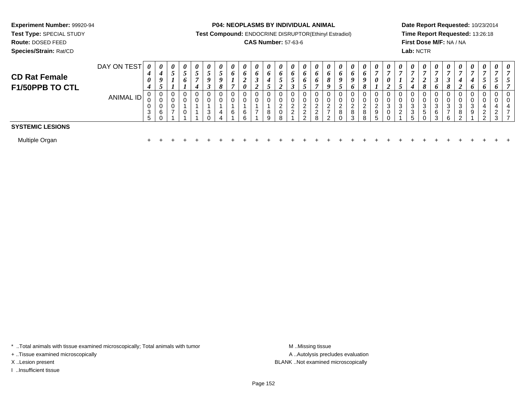**Test Type:** SPECIAL STUDY

# **Route:** DOSED FEED

**Species/Strain:** Rat/CD

### **P04: NEOPLASMS BY INDIVIDUAL ANIMAL**

**Test Compound:** ENDOCRINE DISRUPTOR(Ethinyl Estradiol)

# **CAS Number:** 57-63-6

**Date Report Requested:** 10/23/2014**Time Report Requested:** 13:26:18**First Dose M/F:** NA / NA**Lab:** NCTR

| <b>CD Rat Female</b><br><b>F1/50PPB TO CTL</b> | DAY ON TEST | $\boldsymbol{4}$<br>$\boldsymbol{\theta}$<br>4 | $\theta$ | 0<br>ັ | $\boldsymbol{\theta}$<br>6 | $\boldsymbol{\theta}$<br>$\overline{ }$ | 0<br>o | $\theta$<br>J<br>8 | $\boldsymbol{\theta}$<br>6 | $\boldsymbol{\theta}$<br>6<br>◠<br>$\epsilon$<br>0 | 0<br>6<br>3<br>ာ<br>◢    | 0<br>6<br>4<br>◡ | $\boldsymbol{\theta}$<br>6 | $\boldsymbol{\theta}$<br>o | 0<br>6<br>o | 0<br>6<br>6                               | 0<br>6<br>$\mathbf{o}$<br>o | $\theta$<br>6<br>$\boldsymbol{o}$ | $\theta$<br>O<br>$\boldsymbol{o}$<br>6 | $\boldsymbol{\theta}$<br>$\bm{o}$<br>$\boldsymbol{o}$<br>8 | 0<br>$\boldsymbol{\theta}$ | 0<br>0      | $\boldsymbol{\theta}$<br>J                | $\boldsymbol{\theta}$<br>ി | 0<br>$\mathbf{o}$ | $\boldsymbol{\theta}$<br>0 | 0<br>8      | 0                             | $\boldsymbol{\theta}$<br>$\overline{ }$<br>o | $\theta$<br>o    | $\boldsymbol{\theta}$<br>6                             | $\boldsymbol{\theta}$                                  |
|------------------------------------------------|-------------|------------------------------------------------|----------|--------|----------------------------|-----------------------------------------|--------|--------------------|----------------------------|----------------------------------------------------|--------------------------|------------------|----------------------------|----------------------------|-------------|-------------------------------------------|-----------------------------|-----------------------------------|----------------------------------------|------------------------------------------------------------|----------------------------|-------------|-------------------------------------------|----------------------------|-------------------|----------------------------|-------------|-------------------------------|----------------------------------------------|------------------|--------------------------------------------------------|--------------------------------------------------------|
|                                                | ANIMAL ID   | 3                                              | 6        |        | $\mathbf{0}$<br>0<br>0     | 0<br>0                                  | U<br>3 | 4                  | 0<br>0<br>6                | $\overline{0}$<br>0<br>6<br>6                      | 0<br>0<br>$\overline{ }$ | 0<br>0<br>8<br>9 | <b>U</b><br>0<br>я         | $\sim$                     | ∼<br>ົ<br>ے | 0<br>U.<br>$\sim$<br>$\epsilon$<br>ົ<br>8 | ◠<br>ے<br>-<br>ົ            | U<br>ີ<br>8<br>$\Omega$           | ົ<br>8<br>2                            | 0<br>0<br>റ<br>8<br>8                                      | 0<br>0<br>ົ<br>∼<br>9<br>5 | 0<br>3<br>0 | 0<br>0<br>C.<br>J<br>$\mathbf{2}^{\circ}$ | 0<br>U<br>3<br>3<br>5      | ◠<br>5            | 6<br>ີ                     | ົ<br>-<br>ĥ | $\overline{0}$<br>3<br>8<br>ີ | 0<br>0<br>3<br>9                             | 0<br>ົ<br>∠<br>◠ | $\mathbf{0}$<br>$\mathbf{0}$<br>4<br>2<br>$\mathbf{3}$ | $\mathbf 0$<br>$\mathbf 0$<br>$\overline{\phantom{0}}$ |
| <b>SYSTEMIC LESIONS</b>                        |             |                                                |          |        |                            |                                         |        |                    |                            |                                                    |                          |                  |                            |                            |             |                                           |                             |                                   |                                        |                                                            |                            |             |                                           |                            |                   |                            |             |                               |                                              |                  |                                                        |                                                        |
| Multiple Organ                                 |             |                                                |          |        |                            |                                         |        |                    |                            |                                                    |                          |                  |                            |                            |             |                                           |                             |                                   |                                        |                                                            |                            |             |                                           |                            |                   |                            |             |                               |                                              |                  |                                                        |                                                        |

\* ..Total animals with tissue examined microscopically; Total animals with tumor **M** . Missing tissue M ..Missing tissue

+ ..Tissue examined microscopically

I ..Insufficient tissue

A ..Autolysis precludes evaluation X ..Lesion present BLANK ..Not examined microscopically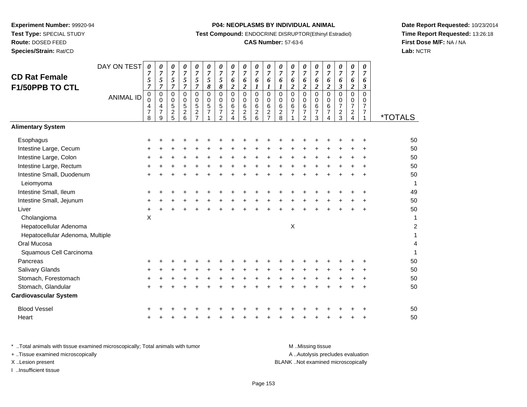**Route:** DOSED FEED

**Species/Strain:** Rat/CD

### **P04: NEOPLASMS BY INDIVIDUAL ANIMAL**

**Test Compound:** ENDOCRINE DISRUPTOR(Ethinyl Estradiol)

## **CAS Number:** 57-63-6

**Date Report Requested:** 10/23/2014**Time Report Requested:** 13:26:18**First Dose M/F:** NA / NA**Lab:** NCTR

| <b>CD Rat Female</b><br>F1/50PPB TO CTL | DAY ON TEST<br><b>ANIMAL ID</b> | $\boldsymbol{\theta}$<br>$\overline{7}$<br>5<br>$\overline{7}$<br>$\pmb{0}$<br>$\Omega$ | 0<br>$\overline{7}$<br>5<br>$\overline{7}$<br>$\mathbf 0$<br>0 | 0<br>$\overline{7}$<br>5<br>$\overline{7}$<br>$\mathbf 0$<br>0 | $\pmb{\theta}$<br>$\boldsymbol{7}$<br>$\mathfrak{s}$<br>$\overline{7}$<br>$\mathbf 0$<br>0 | 0<br>$\overline{7}$<br>5<br>$\overline{7}$<br>$\mathbf 0$<br>0 | 0<br>$\boldsymbol{7}$<br>5<br>8<br>$\mathbf 0$<br>0 | 0<br>$\boldsymbol{7}$<br>5<br>8<br>$\mathbf 0$       | 0<br>$\boldsymbol{7}$<br>6<br>$\boldsymbol{2}$<br>$\overline{0}$<br>0 | $\pmb{\theta}$<br>$\boldsymbol{7}$<br>6<br>$\overline{c}$<br>$\overline{0}$<br>0 | 0<br>$\overline{7}$<br>6<br>$\boldsymbol{l}$<br>$\overline{0}$<br>0 | 0<br>$\overline{7}$<br>6<br>1<br>$\mathbf 0$<br>0 | 0<br>$\overline{7}$<br>6<br>1<br>$\mathbf 0$<br>0 | 0<br>7<br>6<br>$\overline{c}$<br>$\Omega$<br>0 | 0<br>$\boldsymbol{7}$<br>6<br>$\overline{2}$<br>0<br>0 | 0<br>7<br>6<br>$\boldsymbol{2}$<br>$\overline{0}$<br>0 | 0<br>$\overline{7}$<br>6<br>$\boldsymbol{2}$<br>$\overline{0}$<br>0 | 0<br>$\overline{7}$<br>6<br>$\mathfrak{z}$<br>$\mathbf 0$ | 0<br>$\overline{7}$<br>6<br>$\boldsymbol{2}$<br>$\mathbf 0$ | 0<br>7<br>6<br>$\mathfrak{z}$<br>0<br>0 |                       |
|-----------------------------------------|---------------------------------|-----------------------------------------------------------------------------------------|----------------------------------------------------------------|----------------------------------------------------------------|--------------------------------------------------------------------------------------------|----------------------------------------------------------------|-----------------------------------------------------|------------------------------------------------------|-----------------------------------------------------------------------|----------------------------------------------------------------------------------|---------------------------------------------------------------------|---------------------------------------------------|---------------------------------------------------|------------------------------------------------|--------------------------------------------------------|--------------------------------------------------------|---------------------------------------------------------------------|-----------------------------------------------------------|-------------------------------------------------------------|-----------------------------------------|-----------------------|
|                                         |                                 | 4<br>$\overline{7}$<br>8                                                                | 4<br>$\overline{7}$<br>9                                       | 5<br>$\overline{c}$<br>5                                       | $\sqrt{5}$<br>$\begin{array}{c} 2 \\ 6 \end{array}$                                        | 5<br>$\overline{2}$<br>$\overline{7}$                          | $\sqrt{5}$<br>$\overline{7}$                        | 0<br>$\mathbf 5$<br>$\overline{7}$<br>$\overline{2}$ | $\,6$<br>$\overline{c}$<br>$\overline{4}$                             | $\,6\,$<br>$\frac{2}{5}$                                                         | $\,6\,$<br>$\frac{2}{6}$                                            | 6<br>$\overline{c}$                               | $\,6\,$<br>$\boldsymbol{2}$<br>8                  | 6<br>$\overline{7}$                            | 6<br>$\boldsymbol{7}$<br>$\overline{2}$                | 6<br>$\overline{7}$<br>3                               | $\,6\,$<br>$\boldsymbol{7}$                                         | 0<br>$\overline{7}$<br>$\overline{c}$<br>3                | 0<br>$\overline{7}$<br>$\overline{c}$<br>4                  | $\overline{7}$<br>$\overline{7}$        | <i><b>*TOTALS</b></i> |
| <b>Alimentary System</b>                |                                 |                                                                                         |                                                                |                                                                |                                                                                            |                                                                |                                                     |                                                      |                                                                       |                                                                                  |                                                                     |                                                   |                                                   |                                                |                                                        |                                                        |                                                                     |                                                           |                                                             |                                         |                       |
| Esophagus                               |                                 |                                                                                         |                                                                |                                                                |                                                                                            |                                                                |                                                     |                                                      |                                                                       |                                                                                  |                                                                     |                                                   |                                                   |                                                |                                                        |                                                        |                                                                     |                                                           |                                                             |                                         | 50                    |
| Intestine Large, Cecum                  |                                 |                                                                                         |                                                                |                                                                |                                                                                            |                                                                |                                                     |                                                      |                                                                       |                                                                                  |                                                                     |                                                   |                                                   |                                                |                                                        |                                                        |                                                                     |                                                           |                                                             |                                         | 50                    |
| Intestine Large, Colon                  |                                 | $\ddot{}$                                                                               |                                                                |                                                                |                                                                                            |                                                                |                                                     |                                                      |                                                                       |                                                                                  |                                                                     |                                                   |                                                   |                                                |                                                        |                                                        |                                                                     |                                                           |                                                             |                                         | 50                    |
| Intestine Large, Rectum                 |                                 | ٠                                                                                       |                                                                |                                                                |                                                                                            |                                                                |                                                     |                                                      |                                                                       |                                                                                  |                                                                     |                                                   |                                                   |                                                |                                                        |                                                        |                                                                     |                                                           |                                                             |                                         | 50                    |
| Intestine Small, Duodenum<br>Leiomyoma  |                                 | $\ddot{}$                                                                               |                                                                |                                                                |                                                                                            |                                                                |                                                     |                                                      |                                                                       |                                                                                  |                                                                     |                                                   |                                                   |                                                |                                                        |                                                        |                                                                     |                                                           |                                                             |                                         | 50<br>-1              |
| Intestine Small, Ileum                  |                                 | +                                                                                       |                                                                |                                                                |                                                                                            |                                                                |                                                     |                                                      |                                                                       |                                                                                  |                                                                     |                                                   |                                                   |                                                |                                                        |                                                        |                                                                     |                                                           |                                                             |                                         | 49                    |
| Intestine Small, Jejunum                |                                 |                                                                                         |                                                                |                                                                |                                                                                            |                                                                |                                                     |                                                      |                                                                       |                                                                                  |                                                                     |                                                   |                                                   |                                                |                                                        |                                                        |                                                                     |                                                           |                                                             |                                         | 50                    |
| Liver                                   |                                 | $\ddot{}$                                                                               |                                                                |                                                                |                                                                                            |                                                                |                                                     |                                                      |                                                                       |                                                                                  |                                                                     |                                                   |                                                   |                                                |                                                        |                                                        |                                                                     |                                                           |                                                             |                                         | 50                    |
| Cholangioma                             |                                 | X                                                                                       |                                                                |                                                                |                                                                                            |                                                                |                                                     |                                                      |                                                                       |                                                                                  |                                                                     |                                                   |                                                   |                                                |                                                        |                                                        |                                                                     |                                                           |                                                             |                                         | $\mathbf 1$           |
| Hepatocellular Adenoma                  |                                 |                                                                                         |                                                                |                                                                |                                                                                            |                                                                |                                                     |                                                      |                                                                       |                                                                                  |                                                                     |                                                   |                                                   | X                                              |                                                        |                                                        |                                                                     |                                                           |                                                             |                                         | $\boldsymbol{2}$      |
| Hepatocellular Adenoma, Multiple        |                                 |                                                                                         |                                                                |                                                                |                                                                                            |                                                                |                                                     |                                                      |                                                                       |                                                                                  |                                                                     |                                                   |                                                   |                                                |                                                        |                                                        |                                                                     |                                                           |                                                             |                                         | $\mathbf{1}$          |
| Oral Mucosa                             |                                 |                                                                                         |                                                                |                                                                |                                                                                            |                                                                |                                                     |                                                      |                                                                       |                                                                                  |                                                                     |                                                   |                                                   |                                                |                                                        |                                                        |                                                                     |                                                           |                                                             |                                         | 4                     |
| Squamous Cell Carcinoma                 |                                 |                                                                                         |                                                                |                                                                |                                                                                            |                                                                |                                                     |                                                      |                                                                       |                                                                                  |                                                                     |                                                   |                                                   |                                                |                                                        |                                                        |                                                                     |                                                           |                                                             |                                         | $\overline{1}$        |
| Pancreas                                |                                 | ÷                                                                                       |                                                                |                                                                |                                                                                            |                                                                |                                                     |                                                      |                                                                       |                                                                                  |                                                                     |                                                   |                                                   |                                                |                                                        |                                                        |                                                                     |                                                           |                                                             |                                         | 50                    |
| <b>Salivary Glands</b>                  |                                 | $\ddot{}$                                                                               |                                                                |                                                                |                                                                                            |                                                                |                                                     |                                                      |                                                                       |                                                                                  |                                                                     |                                                   |                                                   |                                                |                                                        |                                                        |                                                                     |                                                           |                                                             |                                         | 50                    |
| Stomach, Forestomach                    |                                 |                                                                                         |                                                                |                                                                |                                                                                            |                                                                |                                                     |                                                      |                                                                       |                                                                                  |                                                                     |                                                   |                                                   |                                                |                                                        |                                                        |                                                                     |                                                           |                                                             |                                         | 50                    |
| Stomach, Glandular                      |                                 | $\div$                                                                                  |                                                                |                                                                |                                                                                            |                                                                |                                                     |                                                      |                                                                       |                                                                                  |                                                                     |                                                   |                                                   |                                                |                                                        |                                                        |                                                                     |                                                           |                                                             |                                         | 50                    |
| <b>Cardiovascular System</b>            |                                 |                                                                                         |                                                                |                                                                |                                                                                            |                                                                |                                                     |                                                      |                                                                       |                                                                                  |                                                                     |                                                   |                                                   |                                                |                                                        |                                                        |                                                                     |                                                           |                                                             |                                         |                       |
| <b>Blood Vessel</b>                     |                                 |                                                                                         |                                                                |                                                                |                                                                                            |                                                                |                                                     |                                                      |                                                                       |                                                                                  |                                                                     |                                                   |                                                   |                                                |                                                        |                                                        |                                                                     |                                                           |                                                             |                                         | 50                    |
| Heart                                   |                                 |                                                                                         |                                                                |                                                                |                                                                                            |                                                                |                                                     |                                                      |                                                                       |                                                                                  |                                                                     |                                                   |                                                   |                                                |                                                        |                                                        |                                                                     |                                                           |                                                             |                                         | 50                    |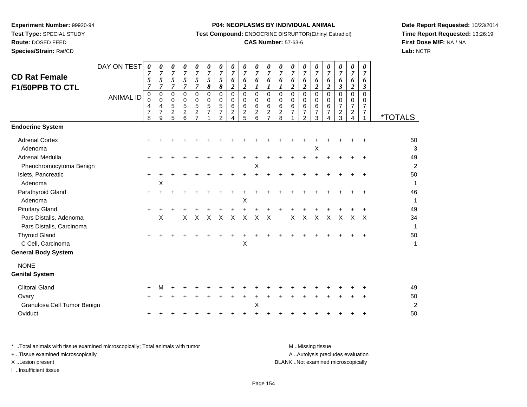**Test Type:** SPECIAL STUDY

**Route:** DOSED FEED

**Species/Strain:** Rat/CD

### **P04: NEOPLASMS BY INDIVIDUAL ANIMAL**

**Test Compound:** ENDOCRINE DISRUPTOR(Ethinyl Estradiol)

## **CAS Number:** 57-63-6

**Date Report Requested:** 10/23/2014**Time Report Requested:** 13:26:19**First Dose M/F:** NA / NA**Lab:** NCTR

| <b>CD Rat Female</b><br>F1/50PPB TO CTL                                      | DAY ON TEST<br><b>ANIMAL ID</b> | $\boldsymbol{\theta}$<br>7<br>5<br>$\overline{7}$<br>$\pmb{0}$<br>0<br>4<br>$\overline{7}$<br>8 | 0<br>$\overline{7}$<br>5<br>$\overline{7}$<br>0<br>$\mathbf 0$<br>4<br>$\overline{7}$<br>9 | 0<br>$\overline{7}$<br>5<br>$\overline{7}$<br>$\Omega$<br>$\mathbf 0$<br>$\sqrt{5}$<br>$\overline{\mathbf{c}}$<br>5 | 0<br>$\boldsymbol{7}$<br>5<br>7<br>0<br>$\mathbf 0$<br>$\sqrt{5}$<br>$\sqrt{2}$<br>6 | 0<br>$\boldsymbol{7}$<br>5<br>$\overline{7}$<br>0<br>$\mathbf 0$<br>$\sqrt{5}$<br>$\boldsymbol{2}$<br>$\overline{7}$ | 0<br>$\overline{7}$<br>$\mathfrak{s}$<br>8<br>0<br>0<br>5<br>$\overline{7}$ | 0<br>$\boldsymbol{7}$<br>5<br>8<br>0<br>0<br>$\sqrt{5}$<br>$\boldsymbol{7}$<br>$\overline{2}$ | 0<br>$\overline{7}$<br>6<br>$\overline{c}$<br>$\pmb{0}$<br>$\mathbf 0$<br>6<br>$\overline{\mathbf{c}}$<br>4 | 0<br>$\overline{7}$<br>6<br>$\overline{\mathbf{c}}$<br>$\mathsf{O}\xspace$<br>$\mathbf 0$<br>$\,6$<br>$\frac{2}{5}$ | 0<br>$\overline{7}$<br>6<br>$\boldsymbol{l}$<br>$\mathbf 0$<br>$\mathbf 0$<br>$\,6$<br>$\frac{2}{6}$ | 0<br>7<br>6<br>1<br>$\mathbf 0$<br>0<br>6<br>$\overline{c}$<br>$\overline{7}$ | 0<br>$\overline{7}$<br>6<br>1<br>0<br>$\mathbf 0$<br>$\,6$<br>$\frac{2}{8}$ | 0<br>$\overline{7}$<br>6<br>$\overline{2}$<br>0<br>0<br>6<br>$\overline{7}$ | 0<br>$\overline{7}$<br>6<br>$\overline{2}$<br>$\mathsf{O}$<br>$\overline{0}$<br>6<br>$\overline{7}$<br>$\overline{2}$ | 0<br>$\overline{7}$<br>6<br>$\overline{2}$<br>$\mathbf 0$<br>$\mathbf 0$<br>$\,6\,$<br>$\overline{7}$<br>3 | 0<br>$\overline{7}$<br>6<br>$\boldsymbol{2}$<br>$\mathbf 0$<br>$\mathbf 0$<br>6<br>$\boldsymbol{7}$<br>4 | 0<br>7<br>6<br>$\boldsymbol{\beta}$<br>$\mathbf 0$<br>$\Omega$<br>$\overline{7}$<br>$\boldsymbol{2}$<br>3 | 0<br>$\overline{7}$<br>6<br>$\boldsymbol{2}$<br>$\mathbf 0$<br>$\mathbf 0$<br>$\overline{7}$<br>$\boldsymbol{2}$<br>$\overline{4}$ | 0<br>$\overline{7}$<br>6<br>3<br>$\Omega$<br>0<br>7<br>7 | <i><b>*TOTALS</b></i>    |
|------------------------------------------------------------------------------|---------------------------------|-------------------------------------------------------------------------------------------------|--------------------------------------------------------------------------------------------|---------------------------------------------------------------------------------------------------------------------|--------------------------------------------------------------------------------------|----------------------------------------------------------------------------------------------------------------------|-----------------------------------------------------------------------------|-----------------------------------------------------------------------------------------------|-------------------------------------------------------------------------------------------------------------|---------------------------------------------------------------------------------------------------------------------|------------------------------------------------------------------------------------------------------|-------------------------------------------------------------------------------|-----------------------------------------------------------------------------|-----------------------------------------------------------------------------|-----------------------------------------------------------------------------------------------------------------------|------------------------------------------------------------------------------------------------------------|----------------------------------------------------------------------------------------------------------|-----------------------------------------------------------------------------------------------------------|------------------------------------------------------------------------------------------------------------------------------------|----------------------------------------------------------|--------------------------|
| <b>Endocrine System</b>                                                      |                                 |                                                                                                 |                                                                                            |                                                                                                                     |                                                                                      |                                                                                                                      |                                                                             |                                                                                               |                                                                                                             |                                                                                                                     |                                                                                                      |                                                                               |                                                                             |                                                                             |                                                                                                                       |                                                                                                            |                                                                                                          |                                                                                                           |                                                                                                                                    |                                                          |                          |
| <b>Adrenal Cortex</b><br>Adenoma                                             |                                 |                                                                                                 |                                                                                            |                                                                                                                     |                                                                                      |                                                                                                                      |                                                                             |                                                                                               |                                                                                                             |                                                                                                                     |                                                                                                      |                                                                               |                                                                             |                                                                             |                                                                                                                       | X                                                                                                          |                                                                                                          |                                                                                                           |                                                                                                                                    |                                                          | 50<br>3                  |
| <b>Adrenal Medulla</b><br>Pheochromocytoma Benign                            |                                 |                                                                                                 |                                                                                            |                                                                                                                     |                                                                                      |                                                                                                                      |                                                                             |                                                                                               |                                                                                                             |                                                                                                                     | Х                                                                                                    |                                                                               |                                                                             |                                                                             |                                                                                                                       |                                                                                                            |                                                                                                          |                                                                                                           |                                                                                                                                    |                                                          | 49<br>$\overline{2}$     |
| Islets, Pancreatic<br>Adenoma                                                |                                 | $\ddot{}$                                                                                       | Х                                                                                          |                                                                                                                     |                                                                                      |                                                                                                                      |                                                                             |                                                                                               |                                                                                                             |                                                                                                                     |                                                                                                      |                                                                               |                                                                             |                                                                             |                                                                                                                       |                                                                                                            |                                                                                                          |                                                                                                           |                                                                                                                                    |                                                          | 50<br>$\mathbf{1}$       |
| Parathyroid Gland<br>Adenoma                                                 |                                 | $\ddot{}$                                                                                       |                                                                                            |                                                                                                                     |                                                                                      |                                                                                                                      |                                                                             |                                                                                               |                                                                                                             | X                                                                                                                   |                                                                                                      |                                                                               |                                                                             |                                                                             |                                                                                                                       |                                                                                                            |                                                                                                          |                                                                                                           |                                                                                                                                    |                                                          | 46<br>$\mathbf{1}$       |
| <b>Pituitary Gland</b><br>Pars Distalis, Adenoma<br>Pars Distalis, Carcinoma |                                 | +                                                                                               | X                                                                                          |                                                                                                                     | X                                                                                    | X                                                                                                                    | X                                                                           | X                                                                                             | $\times$                                                                                                    | $\mathsf{X}$                                                                                                        | X                                                                                                    | $\times$                                                                      |                                                                             | X                                                                           | $\times$                                                                                                              | X                                                                                                          | $\times$                                                                                                 | $\times$                                                                                                  | $\times$                                                                                                                           | $\mathsf{X}$                                             | 49<br>34<br>$\mathbf{1}$ |
| <b>Thyroid Gland</b><br>C Cell, Carcinoma<br><b>General Body System</b>      |                                 | $\ddot{}$                                                                                       |                                                                                            |                                                                                                                     |                                                                                      |                                                                                                                      |                                                                             |                                                                                               |                                                                                                             | X                                                                                                                   |                                                                                                      |                                                                               |                                                                             |                                                                             |                                                                                                                       |                                                                                                            |                                                                                                          |                                                                                                           |                                                                                                                                    |                                                          | 50<br>1                  |
| <b>NONE</b><br><b>Genital System</b>                                         |                                 |                                                                                                 |                                                                                            |                                                                                                                     |                                                                                      |                                                                                                                      |                                                                             |                                                                                               |                                                                                                             |                                                                                                                     |                                                                                                      |                                                                               |                                                                             |                                                                             |                                                                                                                       |                                                                                                            |                                                                                                          |                                                                                                           |                                                                                                                                    |                                                          |                          |
| <b>Clitoral Gland</b>                                                        |                                 |                                                                                                 |                                                                                            |                                                                                                                     |                                                                                      |                                                                                                                      |                                                                             |                                                                                               |                                                                                                             |                                                                                                                     |                                                                                                      |                                                                               |                                                                             |                                                                             |                                                                                                                       |                                                                                                            |                                                                                                          |                                                                                                           |                                                                                                                                    |                                                          | 49                       |
| Ovary<br>Granulosa Cell Tumor Benign                                         |                                 | +                                                                                               |                                                                                            |                                                                                                                     |                                                                                      |                                                                                                                      |                                                                             |                                                                                               |                                                                                                             |                                                                                                                     | X                                                                                                    |                                                                               |                                                                             |                                                                             |                                                                                                                       |                                                                                                            |                                                                                                          |                                                                                                           |                                                                                                                                    |                                                          | 50<br>$\overline{2}$     |
| Oviduct                                                                      |                                 |                                                                                                 |                                                                                            |                                                                                                                     |                                                                                      |                                                                                                                      |                                                                             |                                                                                               |                                                                                                             |                                                                                                                     |                                                                                                      |                                                                               |                                                                             |                                                                             |                                                                                                                       |                                                                                                            |                                                                                                          |                                                                                                           |                                                                                                                                    |                                                          | 50                       |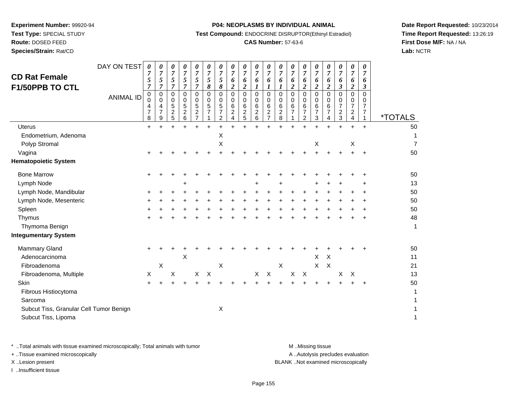**Test Type:** SPECIAL STUDY

**Route:** DOSED FEED

**Species/Strain:** Rat/CD

### **P04: NEOPLASMS BY INDIVIDUAL ANIMAL**

**Test Compound:** ENDOCRINE DISRUPTOR(Ethinyl Estradiol)

## **CAS Number:** 57-63-6

**Date Report Requested:** 10/23/2014**Time Report Requested:** 13:26:19**First Dose M/F:** NA / NA**Lab:** NCTR

| <b>CD Rat Female</b><br>F1/50PPB TO CTL                        | DAY ON TEST<br><b>ANIMAL ID</b> | 0<br>7<br>5<br>0<br>0<br>4<br>$\overline{7}$<br>8 | $\boldsymbol{\theta}$<br>$\overline{7}$<br>$\mathfrak{s}$<br>$\overline{7}$<br>$\pmb{0}$<br>$\mathbf 0$<br>4<br>$\overline{7}$<br>9 | 0<br>$\overline{7}$<br>5<br>$\overline{7}$<br>0<br>0<br>5<br>$\overline{c}$<br>5 | 0<br>$\overline{7}$<br>5<br>$\overline{7}$<br>0<br>0<br>5<br>$\overline{c}$<br>6 | 0<br>7<br>5<br>$\overline{7}$<br>0<br>0<br>5<br>2<br>$\overline{7}$ | 0<br>$\overline{7}$<br>$\mathfrak{s}$<br>8<br>$\mathbf 0$<br>0<br>5<br>$\overline{7}$ | $\pmb{\theta}$<br>$\overline{7}$<br>5<br>8<br>$\pmb{0}$<br>0<br>5<br>$\overline{7}$<br>$\overline{2}$ | $\pmb{\theta}$<br>$\overline{7}$<br>6<br>2<br>$\pmb{0}$<br>0<br>6<br>$\overline{c}$<br>4 | 0<br>$\overline{7}$<br>6<br>2<br>0<br>0<br>6<br>$\frac{2}{5}$ | 0<br>$\overline{7}$<br>6<br>1<br>0<br>0<br>$\,6\,$<br>$\overline{c}$<br>6 | 0<br>7<br>6<br>1<br>$\pmb{0}$<br>0<br>$\,6$<br>$\overline{c}$<br>$\overline{7}$ | 0<br>$\overline{7}$<br>6<br>$\boldsymbol{l}$<br>$\pmb{0}$<br>0<br>6<br>$\overline{\mathbf{c}}$<br>8 | $\boldsymbol{\theta}$<br>$\overline{7}$<br>6<br>$\boldsymbol{2}$<br>$\mathbf 0$<br>$\mathbf 0$<br>6<br>$\overline{7}$ | 0<br>$\overline{7}$<br>6<br>2<br>0<br>0<br>6<br>7<br>2 | 0<br>$\overline{7}$<br>6<br>$\overline{c}$<br>0<br>0<br>$\,6\,$<br>$\overline{7}$<br>$\mathbf{3}$ | 0<br>7<br>6<br>$\boldsymbol{2}$<br>$\mathbf 0$<br>0<br>6<br>$\overline{7}$<br>4 | 0<br>7<br>6<br>3<br>$\pmb{0}$<br>0<br>$\overline{7}$<br>$\overline{c}$<br>3 | 0<br>$\overline{7}$<br>6<br>$\boldsymbol{2}$<br>0<br>0<br>$\overline{7}$<br>$\overline{\mathbf{c}}$<br>4 | 0<br>$\overline{7}$<br>6<br>3<br>0<br>0<br>$\overline{7}$<br>$\overline{7}$<br>$\mathbf{1}$ | <i><b>*TOTALS</b></i> |
|----------------------------------------------------------------|---------------------------------|---------------------------------------------------|-------------------------------------------------------------------------------------------------------------------------------------|----------------------------------------------------------------------------------|----------------------------------------------------------------------------------|---------------------------------------------------------------------|---------------------------------------------------------------------------------------|-------------------------------------------------------------------------------------------------------|------------------------------------------------------------------------------------------|---------------------------------------------------------------|---------------------------------------------------------------------------|---------------------------------------------------------------------------------|-----------------------------------------------------------------------------------------------------|-----------------------------------------------------------------------------------------------------------------------|--------------------------------------------------------|---------------------------------------------------------------------------------------------------|---------------------------------------------------------------------------------|-----------------------------------------------------------------------------|----------------------------------------------------------------------------------------------------------|---------------------------------------------------------------------------------------------|-----------------------|
| <b>Uterus</b>                                                  |                                 | $+$                                               |                                                                                                                                     |                                                                                  | $\ddot{}$                                                                        | $\ddot{}$                                                           |                                                                                       |                                                                                                       |                                                                                          | $\ddot{}$                                                     |                                                                           |                                                                                 |                                                                                                     | $\ddot{}$                                                                                                             |                                                        | 4                                                                                                 |                                                                                 | +                                                                           | $+$                                                                                                      | $\ddot{}$                                                                                   | 50                    |
| Endometrium, Adenoma                                           |                                 |                                                   |                                                                                                                                     |                                                                                  |                                                                                  |                                                                     |                                                                                       | X                                                                                                     |                                                                                          |                                                               |                                                                           |                                                                                 |                                                                                                     |                                                                                                                       |                                                        |                                                                                                   |                                                                                 |                                                                             |                                                                                                          |                                                                                             | 1                     |
| Polyp Stromal                                                  |                                 |                                                   |                                                                                                                                     |                                                                                  |                                                                                  |                                                                     |                                                                                       | Χ                                                                                                     |                                                                                          |                                                               |                                                                           |                                                                                 |                                                                                                     |                                                                                                                       |                                                        | Χ                                                                                                 |                                                                                 |                                                                             | $\boldsymbol{\mathsf{X}}$                                                                                |                                                                                             | $\overline{7}$        |
| Vagina                                                         |                                 |                                                   |                                                                                                                                     |                                                                                  |                                                                                  |                                                                     |                                                                                       |                                                                                                       |                                                                                          |                                                               |                                                                           |                                                                                 |                                                                                                     |                                                                                                                       |                                                        |                                                                                                   |                                                                                 |                                                                             | $+$                                                                                                      |                                                                                             | 50                    |
| <b>Hematopoietic System</b>                                    |                                 |                                                   |                                                                                                                                     |                                                                                  |                                                                                  |                                                                     |                                                                                       |                                                                                                       |                                                                                          |                                                               |                                                                           |                                                                                 |                                                                                                     |                                                                                                                       |                                                        |                                                                                                   |                                                                                 |                                                                             |                                                                                                          |                                                                                             |                       |
| <b>Bone Marrow</b>                                             |                                 | $\ddot{}$                                         |                                                                                                                                     |                                                                                  |                                                                                  |                                                                     |                                                                                       |                                                                                                       |                                                                                          |                                                               |                                                                           |                                                                                 |                                                                                                     |                                                                                                                       |                                                        |                                                                                                   |                                                                                 |                                                                             |                                                                                                          |                                                                                             | 50                    |
| Lymph Node                                                     |                                 |                                                   |                                                                                                                                     |                                                                                  | ÷                                                                                |                                                                     |                                                                                       |                                                                                                       |                                                                                          |                                                               | +                                                                         |                                                                                 |                                                                                                     |                                                                                                                       |                                                        |                                                                                                   |                                                                                 |                                                                             |                                                                                                          |                                                                                             | 13                    |
| Lymph Node, Mandibular                                         |                                 | +                                                 |                                                                                                                                     |                                                                                  |                                                                                  |                                                                     |                                                                                       |                                                                                                       |                                                                                          |                                                               |                                                                           |                                                                                 |                                                                                                     |                                                                                                                       |                                                        |                                                                                                   |                                                                                 |                                                                             |                                                                                                          |                                                                                             | 50                    |
| Lymph Node, Mesenteric                                         |                                 |                                                   |                                                                                                                                     |                                                                                  |                                                                                  |                                                                     |                                                                                       |                                                                                                       |                                                                                          |                                                               |                                                                           |                                                                                 |                                                                                                     |                                                                                                                       |                                                        |                                                                                                   |                                                                                 |                                                                             |                                                                                                          |                                                                                             | 50                    |
| Spleen                                                         |                                 |                                                   |                                                                                                                                     |                                                                                  |                                                                                  |                                                                     |                                                                                       |                                                                                                       |                                                                                          |                                                               |                                                                           |                                                                                 |                                                                                                     |                                                                                                                       |                                                        |                                                                                                   |                                                                                 |                                                                             |                                                                                                          |                                                                                             | 50                    |
| Thymus                                                         |                                 |                                                   |                                                                                                                                     |                                                                                  |                                                                                  |                                                                     |                                                                                       |                                                                                                       |                                                                                          |                                                               |                                                                           |                                                                                 |                                                                                                     |                                                                                                                       |                                                        |                                                                                                   |                                                                                 |                                                                             |                                                                                                          |                                                                                             | 48                    |
| Thymoma Benign                                                 |                                 |                                                   |                                                                                                                                     |                                                                                  |                                                                                  |                                                                     |                                                                                       |                                                                                                       |                                                                                          |                                                               |                                                                           |                                                                                 |                                                                                                     |                                                                                                                       |                                                        |                                                                                                   |                                                                                 |                                                                             |                                                                                                          |                                                                                             | 1                     |
| <b>Integumentary System</b>                                    |                                 |                                                   |                                                                                                                                     |                                                                                  |                                                                                  |                                                                     |                                                                                       |                                                                                                       |                                                                                          |                                                               |                                                                           |                                                                                 |                                                                                                     |                                                                                                                       |                                                        |                                                                                                   |                                                                                 |                                                                             |                                                                                                          |                                                                                             |                       |
| Mammary Gland                                                  |                                 | $\ddot{}$                                         |                                                                                                                                     |                                                                                  |                                                                                  |                                                                     |                                                                                       |                                                                                                       |                                                                                          |                                                               |                                                                           |                                                                                 |                                                                                                     |                                                                                                                       |                                                        |                                                                                                   |                                                                                 |                                                                             |                                                                                                          |                                                                                             | 50                    |
| Adenocarcinoma                                                 |                                 |                                                   |                                                                                                                                     |                                                                                  | X                                                                                |                                                                     |                                                                                       |                                                                                                       |                                                                                          |                                                               |                                                                           |                                                                                 |                                                                                                     |                                                                                                                       |                                                        | X                                                                                                 | $\boldsymbol{\mathsf{X}}$                                                       |                                                                             |                                                                                                          |                                                                                             | 11                    |
| Fibroadenoma                                                   |                                 |                                                   | $\boldsymbol{\mathsf{X}}$                                                                                                           |                                                                                  |                                                                                  |                                                                     |                                                                                       | X                                                                                                     |                                                                                          |                                                               |                                                                           |                                                                                 | $\boldsymbol{\mathsf{X}}$                                                                           |                                                                                                                       |                                                        | $\mathsf{X}$                                                                                      | $\boldsymbol{\mathsf{X}}$                                                       |                                                                             |                                                                                                          |                                                                                             | 21                    |
| Fibroadenoma, Multiple                                         |                                 | $\boldsymbol{\mathsf{X}}$                         |                                                                                                                                     | X                                                                                |                                                                                  | Χ                                                                   | $\times$                                                                              |                                                                                                       |                                                                                          |                                                               | $\mathsf{X}$                                                              | $\boldsymbol{\mathsf{X}}$                                                       |                                                                                                     | $\boldsymbol{\mathsf{X}}$                                                                                             | $\times$                                               |                                                                                                   |                                                                                 | X                                                                           | $\times$                                                                                                 |                                                                                             | 13                    |
| Skin                                                           |                                 | ÷                                                 |                                                                                                                                     |                                                                                  |                                                                                  |                                                                     |                                                                                       |                                                                                                       |                                                                                          |                                                               |                                                                           |                                                                                 |                                                                                                     |                                                                                                                       |                                                        |                                                                                                   |                                                                                 |                                                                             |                                                                                                          |                                                                                             | 50                    |
| Fibrous Histiocytoma                                           |                                 |                                                   |                                                                                                                                     |                                                                                  |                                                                                  |                                                                     |                                                                                       |                                                                                                       |                                                                                          |                                                               |                                                                           |                                                                                 |                                                                                                     |                                                                                                                       |                                                        |                                                                                                   |                                                                                 |                                                                             |                                                                                                          |                                                                                             | 1                     |
| Sarcoma                                                        |                                 |                                                   |                                                                                                                                     |                                                                                  |                                                                                  |                                                                     |                                                                                       |                                                                                                       |                                                                                          |                                                               |                                                                           |                                                                                 |                                                                                                     |                                                                                                                       |                                                        |                                                                                                   |                                                                                 |                                                                             |                                                                                                          |                                                                                             | 1                     |
| Subcut Tiss, Granular Cell Tumor Benign<br>Subcut Tiss, Lipoma |                                 |                                                   |                                                                                                                                     |                                                                                  |                                                                                  |                                                                     |                                                                                       | X                                                                                                     |                                                                                          |                                                               |                                                                           |                                                                                 |                                                                                                     |                                                                                                                       |                                                        |                                                                                                   |                                                                                 |                                                                             |                                                                                                          |                                                                                             | 1<br>1                |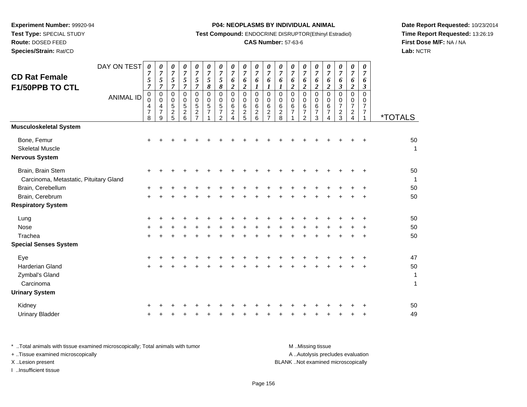**Route:** DOSED FEED

**Species/Strain:** Rat/CD

## **P04: NEOPLASMS BY INDIVIDUAL ANIMAL**

**Test Compound:** ENDOCRINE DISRUPTOR(Ethinyl Estradiol)

## **CAS Number:** 57-63-6

**Date Report Requested:** 10/23/2014**Time Report Requested:** 13:26:19**First Dose M/F:** NA / NA**Lab:** NCTR

| <b>CD Rat Female</b><br>F1/50PPB TO CTL                        | DAY ON TEST<br><b>ANIMAL ID</b> | $\boldsymbol{\theta}$<br>7<br>5<br>$\overline{7}$<br>$\mathbf 0$<br>0<br>4<br>$\overline{\mathbf{7}}$<br>8 | 0<br>$\overline{7}$<br>5<br>$\overline{7}$<br>$\mathbf 0$<br>0<br>4<br>$\overline{7}$<br>9 | 0<br>$\overline{7}$<br>5<br>$\overline{7}$<br>$\Omega$<br>$\mathbf 0$<br>$\sqrt{5}$<br>$\sqrt{2}$<br>5 | 0<br>$\overline{7}$<br>5<br>$\overline{7}$<br>$\Omega$<br>0<br>$\sqrt{5}$<br>$\frac{2}{6}$ | 0<br>$\overline{7}$<br>5<br>$\overline{7}$<br>0<br>0<br>$\mathbf 5$<br>$\overline{2}$<br>$\overline{7}$ | 0<br>$\boldsymbol{7}$<br>5<br>$\pmb{8}$<br>$\mathbf 0$<br>0<br>5<br>$\overline{7}$ | 0<br>$\overline{7}$<br>5<br>8<br>$\mathbf 0$<br>$\mathbf 0$<br>$\,$ 5 $\,$<br>$\overline{7}$<br>2 | 0<br>$\overline{7}$<br>6<br>$\boldsymbol{2}$<br>$\mathbf 0$<br>$\mathbf 0$<br>6<br>$\overline{c}$<br>$\overline{4}$ | 0<br>$\overline{7}$<br>6<br>$\overline{c}$<br>$\mathbf 0$<br>0<br>6<br>$\frac{2}{5}$ | 0<br>$\overline{7}$<br>6<br>$\boldsymbol{l}$<br>0<br>$\mathbf 0$<br>$\,6\,$<br>$\frac{2}{6}$ | 0<br>$\overline{7}$<br>6<br>$\boldsymbol{l}$<br>$\mathbf 0$<br>0<br>$\,6$<br>$\overline{2}$<br>$\overline{7}$ | 0<br>$\overline{7}$<br>6<br>1<br>$\mathbf 0$<br>0<br>6<br>$\frac{2}{8}$ | 0<br>$\overline{7}$<br>6<br>2<br>0<br>0<br>6<br>7 | 0<br>$\overline{7}$<br>6<br>$\overline{\mathbf{c}}$<br>$\mathbf 0$<br>$\mathbf 0$<br>6<br>$\overline{7}$<br>$\overline{2}$ | 0<br>$\boldsymbol{7}$<br>6<br>$\overline{c}$<br>$\mathbf 0$<br>$\mathbf 0$<br>$\,6$<br>$\overline{\mathcal{I}}$<br>3 | 0<br>$\overline{7}$<br>6<br>$\overline{c}$<br>$\mathbf 0$<br>$\mathbf 0$<br>$\,6$<br>$\overline{7}$<br>4 | 0<br>$\overline{7}$<br>6<br>3<br>$\mathbf 0$<br>0<br>$\overline{7}$<br>$\frac{2}{3}$ | 0<br>$\overline{7}$<br>6<br>$\boldsymbol{2}$<br>$\mathbf 0$<br>0<br>$\overline{7}$<br>$\frac{2}{4}$ | 0<br>$\overline{7}$<br>6<br>$\boldsymbol{\beta}$<br>$\Omega$<br>$\mathbf 0$<br>7<br>$\overline{7}$<br>$\mathbf{1}$ | <i><b>*TOTALS</b></i> |
|----------------------------------------------------------------|---------------------------------|------------------------------------------------------------------------------------------------------------|--------------------------------------------------------------------------------------------|--------------------------------------------------------------------------------------------------------|--------------------------------------------------------------------------------------------|---------------------------------------------------------------------------------------------------------|------------------------------------------------------------------------------------|---------------------------------------------------------------------------------------------------|---------------------------------------------------------------------------------------------------------------------|--------------------------------------------------------------------------------------|----------------------------------------------------------------------------------------------|---------------------------------------------------------------------------------------------------------------|-------------------------------------------------------------------------|---------------------------------------------------|----------------------------------------------------------------------------------------------------------------------------|----------------------------------------------------------------------------------------------------------------------|----------------------------------------------------------------------------------------------------------|--------------------------------------------------------------------------------------|-----------------------------------------------------------------------------------------------------|--------------------------------------------------------------------------------------------------------------------|-----------------------|
| <b>Musculoskeletal System</b>                                  |                                 |                                                                                                            |                                                                                            |                                                                                                        |                                                                                            |                                                                                                         |                                                                                    |                                                                                                   |                                                                                                                     |                                                                                      |                                                                                              |                                                                                                               |                                                                         |                                                   |                                                                                                                            |                                                                                                                      |                                                                                                          |                                                                                      |                                                                                                     |                                                                                                                    |                       |
| Bone, Femur<br><b>Skeletal Muscle</b><br><b>Nervous System</b> |                                 | $\ddot{}$                                                                                                  |                                                                                            |                                                                                                        |                                                                                            |                                                                                                         |                                                                                    |                                                                                                   |                                                                                                                     |                                                                                      |                                                                                              |                                                                                                               |                                                                         |                                                   |                                                                                                                            |                                                                                                                      |                                                                                                          |                                                                                      |                                                                                                     |                                                                                                                    | 50<br>$\mathbf{1}$    |
| Brain, Brain Stem                                              |                                 | $\ddot{}$                                                                                                  |                                                                                            |                                                                                                        |                                                                                            |                                                                                                         |                                                                                    |                                                                                                   |                                                                                                                     |                                                                                      |                                                                                              |                                                                                                               |                                                                         |                                                   |                                                                                                                            |                                                                                                                      |                                                                                                          |                                                                                      |                                                                                                     |                                                                                                                    | 50                    |
| Carcinoma, Metastatic, Pituitary Gland                         |                                 |                                                                                                            |                                                                                            |                                                                                                        |                                                                                            |                                                                                                         |                                                                                    |                                                                                                   |                                                                                                                     |                                                                                      |                                                                                              |                                                                                                               |                                                                         |                                                   |                                                                                                                            |                                                                                                                      |                                                                                                          |                                                                                      |                                                                                                     |                                                                                                                    | $\mathbf 1$           |
| Brain, Cerebellum                                              |                                 | +                                                                                                          |                                                                                            |                                                                                                        |                                                                                            |                                                                                                         |                                                                                    |                                                                                                   |                                                                                                                     |                                                                                      |                                                                                              |                                                                                                               |                                                                         |                                                   |                                                                                                                            |                                                                                                                      |                                                                                                          |                                                                                      |                                                                                                     |                                                                                                                    | 50                    |
| Brain, Cerebrum                                                |                                 | $+$                                                                                                        |                                                                                            |                                                                                                        |                                                                                            |                                                                                                         |                                                                                    |                                                                                                   |                                                                                                                     |                                                                                      |                                                                                              |                                                                                                               |                                                                         |                                                   |                                                                                                                            |                                                                                                                      |                                                                                                          |                                                                                      |                                                                                                     |                                                                                                                    | 50                    |
| <b>Respiratory System</b>                                      |                                 |                                                                                                            |                                                                                            |                                                                                                        |                                                                                            |                                                                                                         |                                                                                    |                                                                                                   |                                                                                                                     |                                                                                      |                                                                                              |                                                                                                               |                                                                         |                                                   |                                                                                                                            |                                                                                                                      |                                                                                                          |                                                                                      |                                                                                                     |                                                                                                                    |                       |
| Lung                                                           |                                 | $\ddot{}$                                                                                                  |                                                                                            |                                                                                                        |                                                                                            |                                                                                                         |                                                                                    |                                                                                                   |                                                                                                                     |                                                                                      |                                                                                              |                                                                                                               |                                                                         |                                                   |                                                                                                                            |                                                                                                                      |                                                                                                          |                                                                                      |                                                                                                     |                                                                                                                    | 50                    |
| <b>Nose</b>                                                    |                                 | ٠                                                                                                          |                                                                                            |                                                                                                        |                                                                                            |                                                                                                         |                                                                                    |                                                                                                   |                                                                                                                     |                                                                                      |                                                                                              |                                                                                                               |                                                                         |                                                   |                                                                                                                            |                                                                                                                      |                                                                                                          |                                                                                      |                                                                                                     |                                                                                                                    | 50                    |
| Trachea                                                        |                                 | $\ddot{}$                                                                                                  |                                                                                            |                                                                                                        |                                                                                            |                                                                                                         |                                                                                    |                                                                                                   |                                                                                                                     |                                                                                      |                                                                                              |                                                                                                               |                                                                         |                                                   |                                                                                                                            |                                                                                                                      |                                                                                                          |                                                                                      |                                                                                                     |                                                                                                                    | 50                    |
| <b>Special Senses System</b>                                   |                                 |                                                                                                            |                                                                                            |                                                                                                        |                                                                                            |                                                                                                         |                                                                                    |                                                                                                   |                                                                                                                     |                                                                                      |                                                                                              |                                                                                                               |                                                                         |                                                   |                                                                                                                            |                                                                                                                      |                                                                                                          |                                                                                      |                                                                                                     |                                                                                                                    |                       |
| Eye                                                            |                                 | +                                                                                                          |                                                                                            |                                                                                                        |                                                                                            |                                                                                                         |                                                                                    |                                                                                                   |                                                                                                                     |                                                                                      |                                                                                              |                                                                                                               |                                                                         |                                                   |                                                                                                                            |                                                                                                                      |                                                                                                          |                                                                                      |                                                                                                     |                                                                                                                    | 47                    |
| <b>Harderian Gland</b>                                         |                                 | $\ddot{}$                                                                                                  |                                                                                            |                                                                                                        |                                                                                            |                                                                                                         |                                                                                    |                                                                                                   |                                                                                                                     |                                                                                      |                                                                                              |                                                                                                               |                                                                         |                                                   |                                                                                                                            |                                                                                                                      |                                                                                                          |                                                                                      |                                                                                                     |                                                                                                                    | 50                    |
| Zymbal's Gland                                                 |                                 |                                                                                                            |                                                                                            |                                                                                                        |                                                                                            |                                                                                                         |                                                                                    |                                                                                                   |                                                                                                                     |                                                                                      |                                                                                              |                                                                                                               |                                                                         |                                                   |                                                                                                                            |                                                                                                                      |                                                                                                          |                                                                                      |                                                                                                     |                                                                                                                    | 1                     |
| Carcinoma                                                      |                                 |                                                                                                            |                                                                                            |                                                                                                        |                                                                                            |                                                                                                         |                                                                                    |                                                                                                   |                                                                                                                     |                                                                                      |                                                                                              |                                                                                                               |                                                                         |                                                   |                                                                                                                            |                                                                                                                      |                                                                                                          |                                                                                      |                                                                                                     |                                                                                                                    | 1                     |
| <b>Urinary System</b>                                          |                                 |                                                                                                            |                                                                                            |                                                                                                        |                                                                                            |                                                                                                         |                                                                                    |                                                                                                   |                                                                                                                     |                                                                                      |                                                                                              |                                                                                                               |                                                                         |                                                   |                                                                                                                            |                                                                                                                      |                                                                                                          |                                                                                      |                                                                                                     |                                                                                                                    |                       |
| Kidney                                                         |                                 |                                                                                                            |                                                                                            |                                                                                                        |                                                                                            |                                                                                                         |                                                                                    |                                                                                                   |                                                                                                                     |                                                                                      |                                                                                              |                                                                                                               |                                                                         |                                                   |                                                                                                                            |                                                                                                                      |                                                                                                          |                                                                                      |                                                                                                     |                                                                                                                    | 50                    |
| <b>Urinary Bladder</b>                                         |                                 |                                                                                                            |                                                                                            |                                                                                                        |                                                                                            |                                                                                                         |                                                                                    |                                                                                                   |                                                                                                                     |                                                                                      |                                                                                              |                                                                                                               |                                                                         |                                                   |                                                                                                                            |                                                                                                                      |                                                                                                          |                                                                                      |                                                                                                     |                                                                                                                    | 49                    |

| * Total animals with tissue examined microscopically; Total animals with tumor | M Missing tissue                   |
|--------------------------------------------------------------------------------|------------------------------------|
| + Tissue examined microscopically                                              | A Autolysis precludes evaluation   |
| X Lesion present                                                               | BLANK Not examined microscopically |
| Insufficient tissue                                                            |                                    |